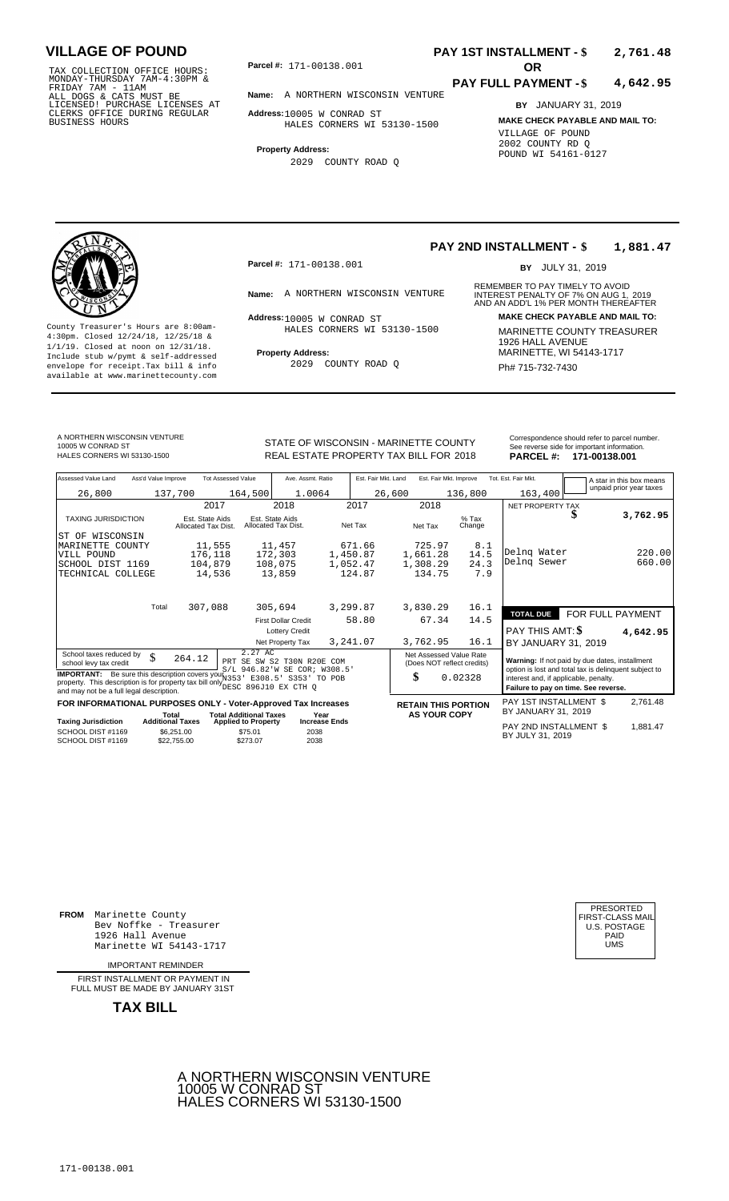TAX COLLECTION OFFICE HOURS: **Parcel#:** 171-00138.001<br>MONDAY-THURSDAY 7AM-4:30PM &<br>FRIDAY 7AM - 11AM<br>ALL DOGS & CATS MUST BE **Name:** A NORTHERN WIS<br>LICENSED! PURCHASE LICENSES AT CLERKS OFFICE DURING REGULAR BUSINESS HOURS

**Parcel #: OR**

**Name:** A NORTHERN WISCONSIN VENTURE

**Address:** 10005 W CONRAD ST

HALES CORNERS WI 53130-1500

**Property Address:**

2029 COUNTY ROAD Q

### **PAY 1ST INSTALLMENT - \$ 2,761.48**

#### **PAY FULL PAYMENT - \$ 4,642.95**

**BY** JANUARY 31, 2019 **MAKE CHECK PAYABLE AND MAIL TO:** VILLAGE OF POUND 2002 COUNTY RD Q POUND WI 54161-0127



County Treasurer's Hours are 8:00am-<br>
4:30pm. Closed 12/24/18, 12/25/18 & HALES CORNERS WI 53130-1500 MARINETTE COUNTY TREASURER<br>
1/1/19. Closed at noon on 12/31/18.<br>
Include stub w/pwmt & self-addressed **Property Address: Property Address:** MARINETTE, WI 54143-1717 Include stub w/pymt & self-addressed envelope for receipt.Tax bill & info Fig. 2029 COUNTY ROAD Q Fig. 2020 Ph# 715-732-7430 available at www.marinettecounty.com

**Parcel #:** 171-00138.001

Address: 10005 W CONRAD ST HALES CORNERS WI 53130-1500

2029 COUNTY ROAD Q

**PAY 2ND INSTALLMENT - \$ 1,881.47**

BY JULY 31, 2019

REMEMBER TO PAY TIMELY TO AVOID **Name:** A NORTHERN WISCONSIN VENTURE INTEREST PENALTY OF 7% ON AUG 1, 2019<br>AND AN ADD'L 1% PER MONTH THEREAFTER **Address: MAKE CHECK PAYABLE AND MAIL TO:**

A NORTHERN WISCONSIN VENTURE 10005 W CONRAD ST<br>HALES CORNERS WI 53130-1500

STATE OF WISCONSIN - MARINETTE COUNTY<br>
See reverse side for important information.<br>
REAL ESTATE PROPERTY TAX BILL FOR 2018 PARCEL #: 171-00138.001 REAL ESTATE PROPERTY TAX BILL FOR **PARCEL #:** HALES CORNERS WI 53130-1500 2018 **171-00138.001**

| Assessed Value Land                                                                                                                                                                      | Ass'd Value Improve |                                        | <b>Tot Assessed Value</b>                                             | Ave. Assmt. Ratio                      |                              | Est. Fair Mkt. Land |          | Est. Fair Mkt. Improve                                |      | Tot. Est. Fair Mkt.                                                                                     | A star in this box means |
|------------------------------------------------------------------------------------------------------------------------------------------------------------------------------------------|---------------------|----------------------------------------|-----------------------------------------------------------------------|----------------------------------------|------------------------------|---------------------|----------|-------------------------------------------------------|------|---------------------------------------------------------------------------------------------------------|--------------------------|
| 26,800                                                                                                                                                                                   |                     | 137,700                                | 164,500                                                               | 1.0064                                 |                              |                     | 26,600   | 136,800                                               |      | 163,400                                                                                                 | unpaid prior year taxes  |
|                                                                                                                                                                                          |                     | 2017                                   |                                                                       | 2018                                   |                              | 2017                | 2018     |                                                       |      | NET PROPERTY TAX                                                                                        |                          |
| <b>TAXING JURISDICTION</b>                                                                                                                                                               |                     | Est. State Aids<br>Allocated Tax Dist. |                                                                       | Est. State Aids<br>Allocated Tax Dist. | Net Tax                      |                     | Net Tax  | $%$ Tax<br>Change                                     |      |                                                                                                         | 3,762.95                 |
| WISCONSIN<br>ST OF                                                                                                                                                                       |                     |                                        |                                                                       |                                        |                              |                     |          |                                                       |      |                                                                                                         |                          |
| MARINETTE COUNTY                                                                                                                                                                         |                     | 11,555                                 |                                                                       | 11,457                                 |                              | 671.66              | 725.97   |                                                       | 8.1  |                                                                                                         |                          |
| VILL POUND                                                                                                                                                                               |                     | 176,118                                |                                                                       | 172,303                                | 1,450.87                     |                     | 1,661.28 |                                                       | 14.5 | Delng Water<br>Delng Sewer                                                                              | 220.00                   |
| SCHOOL DIST 1169                                                                                                                                                                         |                     | 104,879                                |                                                                       | 108,075                                | 1,052.47                     |                     | 1,308.29 |                                                       | 24.3 |                                                                                                         | 660.00                   |
| TECHNICAL COLLEGE                                                                                                                                                                        |                     | 14,536                                 |                                                                       | 13,859                                 |                              | 124.87              | 134.75   |                                                       | 7.9  |                                                                                                         |                          |
|                                                                                                                                                                                          | Total               | 307,088                                |                                                                       | 305,694                                | 3,299.87                     |                     | 3,830.29 |                                                       | 16.1 | <b>TOTAL DUE</b>                                                                                        | FOR FULL PAYMENT         |
|                                                                                                                                                                                          |                     |                                        |                                                                       | <b>First Dollar Credit</b>             |                              | 58.80               | 67.34    |                                                       | 14.5 |                                                                                                         |                          |
|                                                                                                                                                                                          |                     |                                        |                                                                       | <b>Lottery Credit</b>                  |                              |                     |          |                                                       |      | <b>PAY THIS AMT: \$</b>                                                                                 | 4,642.95                 |
|                                                                                                                                                                                          |                     |                                        |                                                                       | Net Property Tax                       | 3,241.07                     |                     | 3,762.95 |                                                       | 16.1 | BY JANUARY 31, 2019                                                                                     |                          |
| School taxes reduced by<br>school levy tax credit                                                                                                                                        | \$                  | 264.12                                 | 2.27 AC<br>PRT SE SW S2 T30N R20E COM<br>S/L 946.82'W SE COR; W308.5' |                                        |                              |                     |          | Net Assessed Value Rate<br>(Does NOT reflect credits) |      | Warning: If not paid by due dates, installment<br>option is lost and total tax is delinquent subject to |                          |
| <b>IMPORTANT:</b> Be sure this description covers your 1353<br>property. This description is for property tax bill only DESC 896J10 EX CTH Q<br>and may not be a full legal description. |                     |                                        | E308.5'                                                               | S353' TO POB                           |                              |                     | \$       | 0.02328                                               |      | interest and, if applicable, penalty.<br>Failure to pay on time. See reverse.                           |                          |
| FOR INFORMATIONAL PURPOSES ONLY - Voter-Approved Tax Increases                                                                                                                           |                     |                                        |                                                                       |                                        |                              |                     |          | <b>RETAIN THIS PORTION</b>                            |      | PAY 1ST INSTALLMENT \$                                                                                  | 2,761.48                 |
| <b>Taxing Jurisdiction</b>                                                                                                                                                               |                     | Total<br><b>Additional Taxes</b>       | <b>Total Additional Taxes</b><br><b>Applied to Property</b>           |                                        | Year<br><b>Increase Ends</b> |                     |          | <b>AS YOUR COPY</b>                                   |      | BY JANUARY 31, 2019                                                                                     |                          |
| SCHOOL DIST #1169<br>SCHOOL DIST #1169                                                                                                                                                   |                     | \$6,251.00<br>\$22,755.00              | \$75.01<br>\$273.07                                                   | 2038<br>2038                           |                              |                     |          |                                                       |      | PAY 2ND INSTALLMENT \$<br>BY JULY 31, 2019                                                              | 1,881.47                 |

**FROM** Marinette County Bev Noffke - Treasurer (U.S. POSTAGE)<br>1926 Hall Avenue (U.S. POSTAGE)<br>Marinette WI 54143-1717 (UMS 1926 Hall Avenue Marinette WI 54143-1717

IMPORTANT REMINDER

FIRST INSTALLMENT OR PAYMENT IN FULL MUST BE MADE BY JANUARY 31ST

**TAX BILL**



PRESORTED<br>FIRST-CLASS MAII<br>U.S. POSTAGE

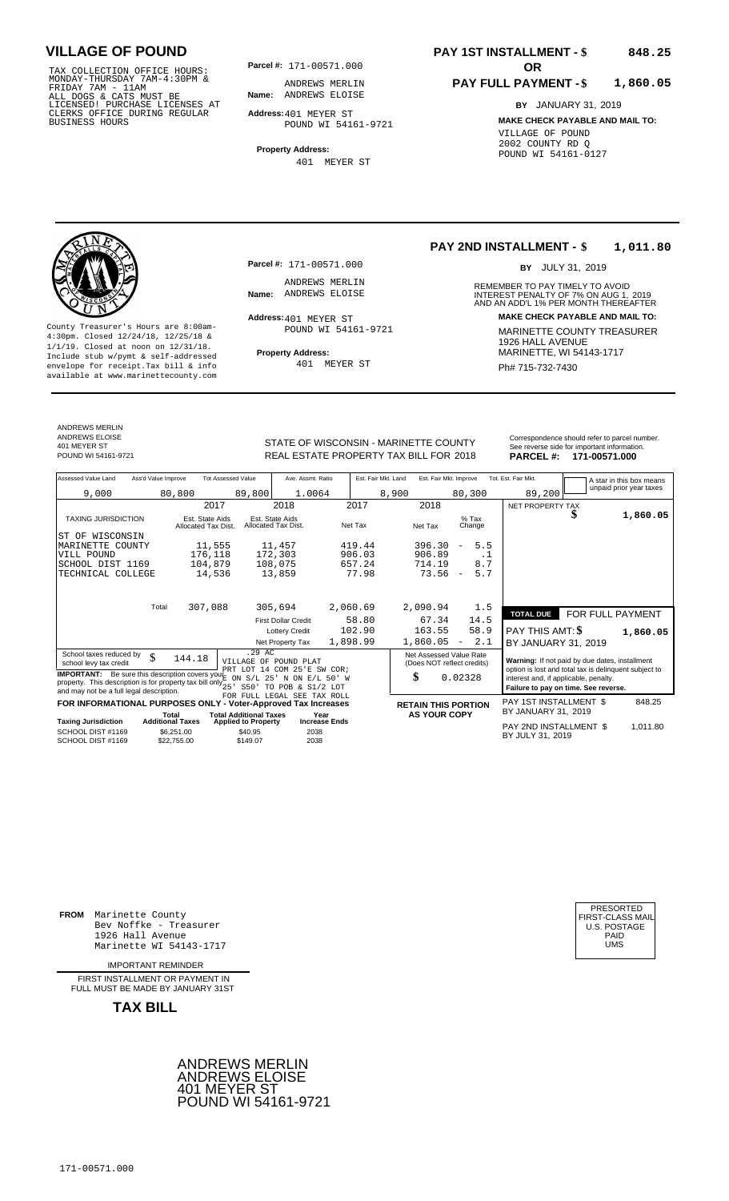TAX COLLECTION OFFICE HOURS:<br>
MONDAY-THURSDAY 7AM-4:30PM & ANDREWS MERLIN<br>
FRIDAY 7AM - 11AM<br>
ALL DOGS & CATS MUST BE **Name:** ANDREWS ELOISE<br>
LICENSED! PURCHASE LICENSES AT<br>
CLERKS OFFICE DURING REGULAR **Address:**401 MEYER

**Parcel #:** 171-00571.000

**Name:** ANDREWS ELOISE ANDREWS MERLIN

**Address:** 401 MEYER ST POUND WI 54161-9721

**Property Address:** 401 MEYER ST

#### **PAY 1ST INSTALLMENT - \$ 848.25**

#### **PAY FULL PAYMENT - \$ 1,860.05**

**BY** JANUARY 31, 2019 **MAKE CHECK PAYABLE AND MAIL TO:** VILLAGE OF POUND 2002 COUNTY RD Q POUND WI 54161-0127

**Property Address:** MARINETTE, WI 54143-1717 Include stub w/pymt & self-addressed envelope for receipt.Tax bill & info Ph# 715-732-7430 available at www.marinettecounty.com

### ANDREWS MERLIN ANDREWS ELOISE 401 MEYER ST<br>POUND WI 54161-9721

**Parcel #:** 171-00571.000

ANDREWS MERLIN<br>Name: ANDREWS ELOISE

Address: 401 MEYER ST POUND WI 54161-9721

401 MEYER ST

#### **PAY 2ND INSTALLMENT - \$ 1,011.80**

BY JULY 31, 2019

REMEMBER TO PAY TIMELY TO AVOID **Name:** ANDREWS ELOISE **1998**<br>
AND AN ADD'L 1% PER MONTH THEREAFTER **Address: MAKE CHECK PAYABLE AND MAIL TO:** County Treasurer's Hours are 8:00am-<br>
4:30pm. Closed 12/24/18, 12/25/18 & MARINETTE COUNTY TREASURER<br>
1/1/19. Closed at noon on 12/31/18.<br>
Include stub w/pwmt & self-addressed<br>
Property Address: MARINETTE, WI 54143-1717

STATE OF WISCONSIN - MARINETTE COUNTY<br>
See reverse side for important information.<br>
REAL ESTATE PROPERTY TAX BILL FOR 2018 PARCEL #: 171-00571.000 REAL ESTATE PROPERTY TAX BILL FOR **PARCEL #:** POUND WI 54161-9721 2018 **171-00571.000**

| Assessed Value Land                                                                                                                                                           | Ass'd Value Improve              |                                        | <b>Tot Assessed Value</b>                                   | Ave. Assmt. Ratio                                                          |                              | Est. Fair Mkt. Land |                                                       | Est. Fair Mkt. Improve            |                   | Tot. Est. Fair Mkt.                                                                                                                    |   | A star in this box means |
|-------------------------------------------------------------------------------------------------------------------------------------------------------------------------------|----------------------------------|----------------------------------------|-------------------------------------------------------------|----------------------------------------------------------------------------|------------------------------|---------------------|-------------------------------------------------------|-----------------------------------|-------------------|----------------------------------------------------------------------------------------------------------------------------------------|---|--------------------------|
| 9,000                                                                                                                                                                         |                                  | 80,800                                 | 89,800                                                      | 1.0064                                                                     |                              |                     | 8,900                                                 |                                   | 80,300            | 89,200                                                                                                                                 |   | unpaid prior year taxes  |
|                                                                                                                                                                               |                                  | 2017                                   |                                                             | 2018                                                                       |                              | 2017                | 2018                                                  |                                   |                   | NET PROPERTY TAX                                                                                                                       |   |                          |
| <b>TAXING JURISDICTION</b>                                                                                                                                                    |                                  | Est. State Aids<br>Allocated Tax Dist. |                                                             | Est. State Aids<br>Allocated Tax Dist.                                     |                              | Net Tax             | Net Tax                                               |                                   | $%$ Tax<br>Change |                                                                                                                                        | ж | 1,860.05                 |
| WISCONSIN<br>ST OF                                                                                                                                                            |                                  |                                        |                                                             |                                                                            |                              |                     |                                                       |                                   |                   |                                                                                                                                        |   |                          |
| MARINETTE<br>COUNTY                                                                                                                                                           |                                  | 11,555                                 |                                                             | 11,457                                                                     |                              | 419.44              | 396.30                                                | $\qquad \qquad -$                 | 5.5               |                                                                                                                                        |   |                          |
| VILL POUND                                                                                                                                                                    |                                  | 176,118                                |                                                             | 172,303                                                                    |                              | 906.03              | 906.89                                                |                                   | . 1               |                                                                                                                                        |   |                          |
| SCHOOL DIST 1169                                                                                                                                                              |                                  | 104,879                                |                                                             | 108,075                                                                    |                              | 657.24              | 714.19                                                |                                   | 8.7               |                                                                                                                                        |   |                          |
| TECHNICAL COLLEGE                                                                                                                                                             |                                  | 14,536                                 |                                                             | 13,859                                                                     |                              | 77.98               |                                                       | 73.56<br>$\overline{\phantom{a}}$ | 5.7               |                                                                                                                                        |   |                          |
|                                                                                                                                                                               | Total                            | 307,088                                |                                                             | 305,694                                                                    |                              | 2,060.69            | 2,090.94                                              |                                   | 1.5               |                                                                                                                                        |   |                          |
|                                                                                                                                                                               |                                  |                                        |                                                             | <b>First Dollar Credit</b>                                                 |                              | 58.80               |                                                       | 67.34                             | 14.5              | <b>TOTAL DUE</b>                                                                                                                       |   | FOR FULL PAYMENT         |
|                                                                                                                                                                               |                                  |                                        |                                                             | <b>Lottery Credit</b>                                                      |                              | 102.90              | 163.55                                                |                                   | 58.9              | PAY THIS AMT: \$                                                                                                                       |   | 1,860.05                 |
|                                                                                                                                                                               |                                  |                                        |                                                             | Net Property Tax                                                           |                              | 1,898.99            | 1,860.05                                              | $\overline{\phantom{a}}$          | 2.1               | BY JANUARY 31, 2019                                                                                                                    |   |                          |
| School taxes reduced by<br>school levy tax credit                                                                                                                             | \$                               | 144.18                                 | .29 AC                                                      | VILLAGE OF POUND PLAT                                                      |                              |                     | Net Assessed Value Rate<br>(Does NOT reflect credits) |                                   |                   | Warning: If not paid by due dates, installment                                                                                         |   |                          |
| <b>IMPORTANT:</b> Be sure this description covers your<br>property. This description is for property tax bill only $\frac{1}{25}$<br>and may not be a full legal description. |                                  |                                        | ON<br>S50                                                   | PRT LOT 14 COM 25'E SW COR:<br>S/L 25' N ON E/L 50' W<br>TO POB & S1/2 LOT |                              |                     | \$                                                    | 0.02328                           |                   | option is lost and total tax is delinguent subject to<br>interest and, if applicable, penalty.<br>Failure to pay on time. See reverse. |   |                          |
| FOR INFORMATIONAL PURPOSES ONLY - Voter-Approved Tax Increases                                                                                                                |                                  |                                        |                                                             | FOR FULL LEGAL SEE TAX ROLL                                                |                              |                     | <b>RETAIN THIS PORTION</b>                            |                                   |                   | PAY 1ST INSTALLMENT \$                                                                                                                 |   | 848.25                   |
| <b>Taxing Jurisdiction</b>                                                                                                                                                    | Total<br><b>Additional Taxes</b> |                                        | <b>Total Additional Taxes</b><br><b>Applied to Property</b> |                                                                            | Year<br><b>Increase Ends</b> |                     |                                                       | <b>AS YOUR COPY</b>               |                   | BY JANUARY 31, 2019                                                                                                                    |   |                          |
| SCHOOL DIST #1169<br>SCHOOL DIST #1169                                                                                                                                        | \$6,251.00<br>\$22,755.00        |                                        | \$40.95<br>\$149.07                                         |                                                                            | 2038<br>2038                 |                     |                                                       |                                   |                   | PAY 2ND INSTALLMENT \$<br>BY JULY 31, 2019                                                                                             |   | 1,011.80                 |

**FROM** Marinette County Bev Noffke - Treasurer (U.S. POSTAGE)<br>1926 Hall Avenue (U.S. POSTAGE)<br>Marinette WI 54143-1717 (U.S. POSTAGE) 1926 Hall Avenue PAID Marinette WI 54143-1717 UMS

IMPORTANT REMINDER

FIRST INSTALL MENT OR PAYMENT IN FULL MUST BE MADE BY JANUARY 31ST

**TAX BILL**





171-00571.000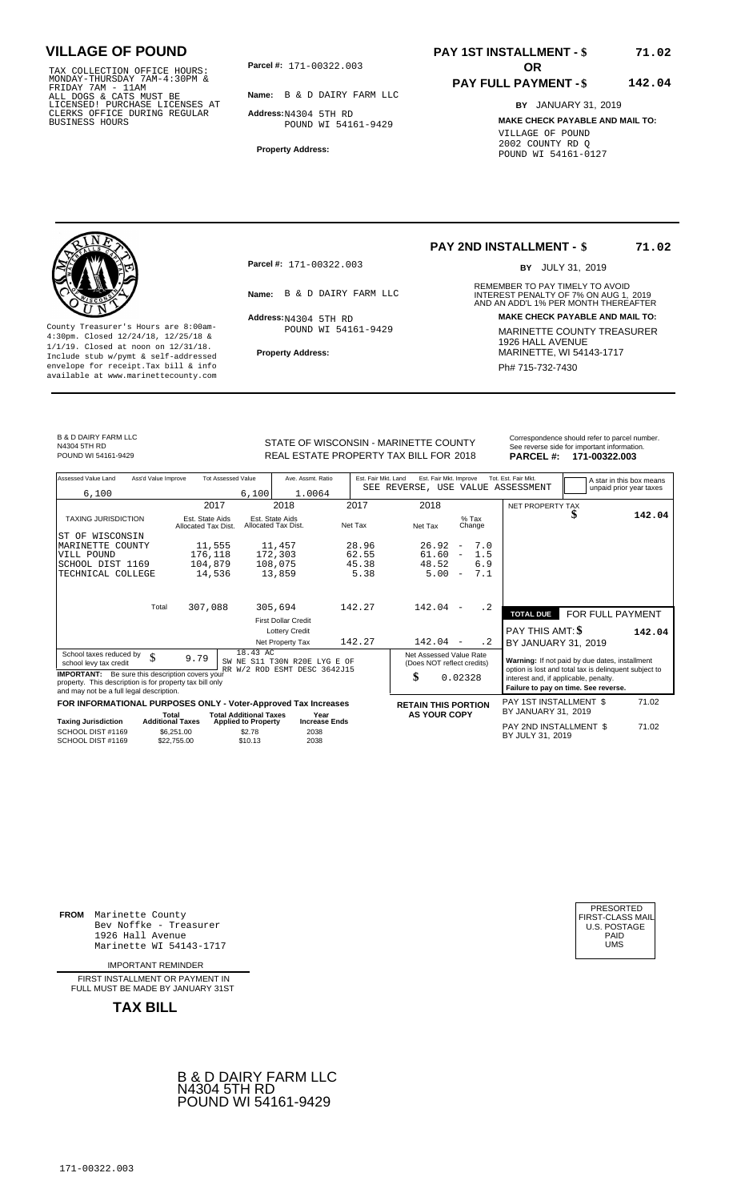TAX COLLECTION OFFICE HOURS:<br>
MONDAY-THURSDAY 7AM-4:30PM &<br>
FRIDAY 7AM - 11AM<br>
ALL DOGS & CATS MUST BE<br>
LICENSED! PURCHASE LICENSES AT<br>
CLERKS OFFICE DURING REGULAR<br>
CLERKS OFFICE DURING REGULAR<br>
BUSINESS HOURS<br>
BUSINESS H

**Parcel #: OR**

**Name:** B & D DAIRY FARM LLC

**Address:** N4304 5TH RD POUND WI 54161-9429

**Property Address:**

### **PAY 1ST INSTALLMENT - \$ 71.02**

#### **PAY FULL PAYMENT - \$ 142.04**

**BY** JANUARY 31, 2019 **MAKE CHECK PAYABLE AND MAIL TO:** VILLAGE OF POUND 2002 COUNTY RD Q POUND WI 54161-0127

**Property Address:** MARINETTE, WI 54143-1717 Include stub w/pymt & self-addressed envelope for receipt.Tax bill & info Phat is a set of the phat of the Phat 715-732-7430 envelope for receipt.Tax bill & info Phat 715-732-7430 envelope for the phat 715-732-7430 envelope for the phat 715-732-7430 envelope

**Parcel #:** 171-00322.003

 $Address:_{N4304}$  5TH RD POUND WI 54161-9429

### **PAY 2ND INSTALLMENT - \$**

BY JULY 31, 2019

**71.02**

REMEMBER TO PAY TIMELY TO AVOID **Name:** B & D DAIRY FARM LLC **INTEREST PENALTY OF 7% ON AUG 1, 2019**<br>AND AN ADD'L 1% PER MONTH THEREAFTER **Address: MAKE CHECK PAYABLE AND MAIL TO:** County Treasurer's Hours are 8:00am-<br>
4:30pm. Closed 12/24/18, 12/25/18 & 1/1/19. Closed at noon on 12/31/18.<br>
Include stub w/pwmt. & self-addressed<br>
Froperty Address: MARINETTE, WI 54143-1717

B & D DAIRY FARM LLC N4304 5TH RD<br>POUND WI 54161-9429

STATE OF WISCONSIN - MARINETTE COUNTY<br>
See reverse side for important information.<br>
REAL ESTATE PROPERTY TAX BILL FOR 2018 PARCEL #: 171-00322.003 POUND WI 54161-9429 **171-00322.003** REAL ESTATE PROPERTY TAX BILL FOR 2018 **PARCEL #: 171-00322.003** 

| Assessed Value Land                                                                                                                                            | Ass'd Value Improve              |                                        | <b>Tot Assessed Value</b>                                   | Ave. Assmt. Ratio                                            | Est. Fair Mkt. Land | Est. Fair Mkt. Improve                                |                          |                   | Tot. Est. Fair Mkt.<br>SEE REVERSE, USE VALUE ASSESSMENT                                                | A star in this box means<br>unpaid prior year taxes |
|----------------------------------------------------------------------------------------------------------------------------------------------------------------|----------------------------------|----------------------------------------|-------------------------------------------------------------|--------------------------------------------------------------|---------------------|-------------------------------------------------------|--------------------------|-------------------|---------------------------------------------------------------------------------------------------------|-----------------------------------------------------|
| 6,100                                                                                                                                                          |                                  |                                        | 6,100                                                       | 1.0064                                                       |                     |                                                       |                          |                   |                                                                                                         |                                                     |
|                                                                                                                                                                |                                  | 2017                                   |                                                             | 2018                                                         | 2017                | 2018                                                  |                          |                   | NET PROPERTY TAX                                                                                        |                                                     |
| <b>TAXING JURISDICTION</b>                                                                                                                                     |                                  | Est. State Aids<br>Allocated Tax Dist. |                                                             | Est. State Aids<br>Allocated Tax Dist.                       | Net Tax             | Net Tax                                               |                          | $%$ Tax<br>Change |                                                                                                         | 142.04                                              |
| WISCONSIN<br>ST OF                                                                                                                                             |                                  |                                        |                                                             |                                                              |                     |                                                       |                          |                   |                                                                                                         |                                                     |
| MARINETTE COUNTY                                                                                                                                               |                                  | 11,555                                 |                                                             | 11,457                                                       | 28.96               | 26.92                                                 | $\overline{\phantom{a}}$ | 7.0               |                                                                                                         |                                                     |
| VILL POUND                                                                                                                                                     |                                  | 176,118                                |                                                             | 172,303                                                      | 62.55               | 61.60                                                 | $\overline{\phantom{m}}$ | 1.5               |                                                                                                         |                                                     |
| SCHOOL DIST 1169                                                                                                                                               |                                  | 104,879                                |                                                             | 108,075                                                      | 45.38               | 48.52                                                 |                          | 6.9               |                                                                                                         |                                                     |
| TECHNICAL COLLEGE                                                                                                                                              |                                  | 14,536                                 |                                                             | 13,859                                                       | 5.38                | 5.00                                                  | $\overline{\phantom{m}}$ | 7.1               |                                                                                                         |                                                     |
|                                                                                                                                                                | Total                            | 307,088                                |                                                             | 305,694                                                      | 142.27              | 142.04                                                | $\overline{\phantom{a}}$ | $\cdot$ 2         |                                                                                                         |                                                     |
|                                                                                                                                                                |                                  |                                        |                                                             | <b>First Dollar Credit</b>                                   |                     |                                                       |                          |                   | <b>TOTAL DUE</b>                                                                                        | FOR FULL PAYMENT                                    |
|                                                                                                                                                                |                                  |                                        |                                                             | <b>Lottery Credit</b>                                        |                     |                                                       |                          |                   | PAY THIS AMT: \$                                                                                        |                                                     |
|                                                                                                                                                                |                                  |                                        |                                                             |                                                              | 142.27              | 142.04                                                | $\overline{\phantom{a}}$ | $\cdot$ 2         |                                                                                                         | 142.04                                              |
|                                                                                                                                                                |                                  |                                        |                                                             | Net Property Tax                                             |                     |                                                       |                          |                   | BY JANUARY 31, 2019                                                                                     |                                                     |
| School taxes reduced by<br>school levy tax credit                                                                                                              | \$                               | 9.79                                   | 18.43 AC                                                    | SW NE S11 T30N R20E LYG E OF<br>RR W/2 ROD ESMT DESC 3642J15 |                     | Net Assessed Value Rate<br>(Does NOT reflect credits) |                          |                   | Warning: If not paid by due dates, installment<br>option is lost and total tax is delinquent subject to |                                                     |
| <b>IMPORTANT:</b> Be sure this description covers your<br>property. This description is for property tax bill only<br>and may not be a full legal description. |                                  |                                        |                                                             |                                                              |                     | \$                                                    | 0.02328                  |                   | interest and, if applicable, penalty.<br>Failure to pay on time. See reverse.                           |                                                     |
| FOR INFORMATIONAL PURPOSES ONLY - Voter-Approved Tax Increases                                                                                                 |                                  |                                        |                                                             |                                                              |                     | <b>RETAIN THIS PORTION</b>                            |                          |                   | PAY 1ST INSTALLMENT \$                                                                                  | 71.02                                               |
| <b>Taxing Jurisdiction</b>                                                                                                                                     | Total<br><b>Additional Taxes</b> |                                        | <b>Total Additional Taxes</b><br><b>Applied to Property</b> | Year<br><b>Increase Ends</b>                                 |                     | <b>AS YOUR COPY</b>                                   |                          |                   | BY JANUARY 31, 2019                                                                                     |                                                     |
| SCHOOL DIST #1169<br>SCHOOL DIST #1169                                                                                                                         | \$6.251.00<br>\$22,755.00        |                                        | \$2.78<br>\$10.13                                           | 2038<br>2038                                                 |                     |                                                       |                          |                   | PAY 2ND INSTALLMENT \$<br>BY JULY 31, 2019                                                              | 71.02                                               |

**FROM** Marinette County Bev Noffke - Treasurer (U.S. POSTAGE)<br>1926 Hall Avenue (U.S. POSTAGE)<br>Marinette WI 54143-1717 (U.S. POSTAGE) 1926 Hall Avenue PAID Marinette WI 54143-1717 UMS

IMPORTANT REMINDER

FIRST INSTALLMENT OR PAYMENT IN FULL MUST BE MADE BY JANUARY 31ST



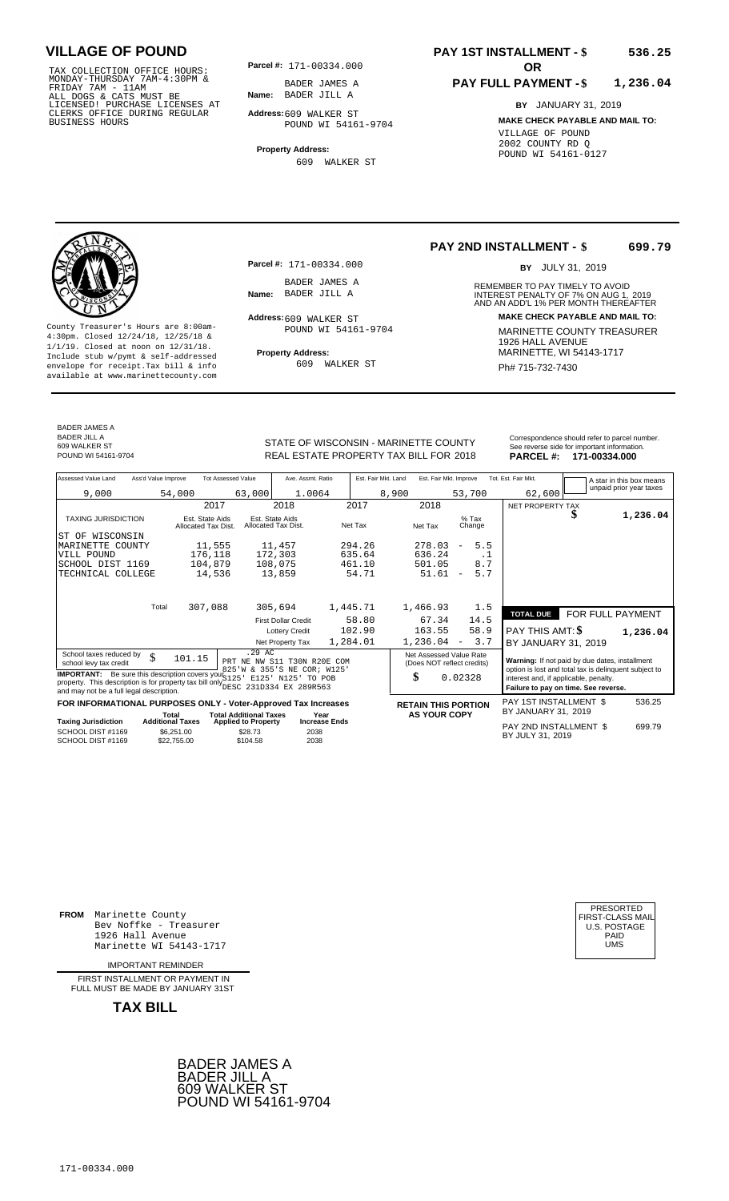TAX COLLECTION OFFICE HOURS:<br>
MONDAY-THURSDAY 7AM-4:30PM &<br>
FRIDAY 7AM - 11AM<br>
ALL DOGS & CATS MUST BE<br>
LICENSED! PURCHASE LICENSES AT<br>
CLERKS OFFICE DURING REGULAR<br>
CLERKS OFFICE DURING REGULAR<br>
BUSINESS HOURS<br>
BUSINESS H

**Parcel #:** 171-00334.000

**Name:** BADER JILL A BADER JAMES A

**Address:** 609 WALKER ST POUND WI 54161-9704

**Property Address:** 609 WALKER ST

#### **PAY 1ST INSTALLMENT - \$ 536.25**

#### **PAY FULL PAYMENT - \$ 1,236.04**

**BY** JANUARY 31, 2019 **MAKE CHECK PAYABLE AND MAIL TO:** VILLAGE OF POUND 2002 COUNTY RD Q POUND WI 54161-0127

**Property Address:** MARINETTE, WI 54143-1717 Include stub w/pymt & self-addressed envelope for receipt.Tax bill & info Ph# 715-732-7430 available at www.marinettecounty.com

BADER JAMES A BADER JILL A

REAL ESTATE PROPERTY TAX BILL FOR **PARCEL #:** POUND WI 54161-9704 2018 **171-00334.000** 609 WALKER ST

**Parcel #:** 171-00334.000

BADER JAMES A<br>**Name:** BADER JILL A

Address: 609 WALKER ST POUND WI 54161-9704

609 WALKER ST

#### **PAY 2ND INSTALLMENT - \$ 699.79**

BY JULY 31, 2019

REMEMBER TO PAY TIMELY TO AVOID **Name:** BADER JILL A **CONTACT AND AN INTEREST PENALTY OF 7% ON AUG 1, 2019<br>AND AN ADD'L 1% PER MONTH THEREAFTER Address: MAKE CHECK PAYABLE AND MAIL TO:** County Treasurer's Hours are 8:00am-<br>
4:30pm. Closed 12/24/18, 12/25/18 & MARINETTE COUNTY TREASURER<br>
1/1/19. Closed at noon on 12/31/18.<br>
Include stub w/pwmt & self-addressed **Property Address:** MARINETTE, WI 54143-1717

| Assessed Value Land                                                                                                                                                                          | Ass'd Value Improve |                                        | <b>Tot Assessed Value</b>             | Ave. Assmt. Ratio                                          | Est. Fair Mkt. Land |                            | Est. Fair Mkt. Improve          | Tot. Est. Fair Mkt.                                                                                     | A star in this box means |
|----------------------------------------------------------------------------------------------------------------------------------------------------------------------------------------------|---------------------|----------------------------------------|---------------------------------------|------------------------------------------------------------|---------------------|----------------------------|---------------------------------|---------------------------------------------------------------------------------------------------------|--------------------------|
| 9,000                                                                                                                                                                                        |                     | 54,000                                 | 63,000                                | 1.0064                                                     |                     | 8,900                      | 53,700                          | 62,600                                                                                                  | unpaid prior year taxes  |
|                                                                                                                                                                                              |                     | 2017                                   |                                       | 2018                                                       | 2017                | 2018                       |                                 | NET PROPERTY TAX                                                                                        |                          |
| <b>TAXING JURISDICTION</b>                                                                                                                                                                   |                     | Est. State Aids<br>Allocated Tax Dist. |                                       | Est. State Aids<br>Allocated Tax Dist.                     | Net Tax             | Net Tax                    | $%$ Tax<br>Change               |                                                                                                         | 1,236.04                 |
| ST OF WISCONSIN                                                                                                                                                                              |                     |                                        |                                       |                                                            |                     |                            |                                 |                                                                                                         |                          |
| MARINETTE COUNTY                                                                                                                                                                             |                     | 11,555                                 |                                       | 11,457                                                     | 294.26              | 278.03                     | 5.5<br>$\qquad \qquad -$        |                                                                                                         |                          |
| VILL POUND<br>SCHOOL DIST 1169                                                                                                                                                               |                     | 176,118<br>104,879                     |                                       | 172,303<br>108,075                                         | 635.64<br>461.10    | 636.24<br>501.05           | . 1<br>8.7                      |                                                                                                         |                          |
| TECHNICAL COLLEGE                                                                                                                                                                            |                     | 14,536                                 |                                       | 13,859                                                     | 54.71               | 51.61                      | 5.7<br>$\overline{\phantom{a}}$ |                                                                                                         |                          |
|                                                                                                                                                                                              |                     |                                        |                                       |                                                            |                     |                            |                                 |                                                                                                         |                          |
|                                                                                                                                                                                              | Total               | 307,088                                |                                       | 305,694                                                    | 1,445.71            | 1,466.93                   | 1.5                             |                                                                                                         |                          |
|                                                                                                                                                                                              |                     |                                        |                                       | <b>First Dollar Credit</b>                                 | 58.80               | 67.34                      | 14.5                            | <b>TOTAL DUE</b>                                                                                        | FOR FULL PAYMENT         |
|                                                                                                                                                                                              |                     |                                        |                                       | <b>Lottery Credit</b>                                      | 102.90              | 163.55                     | 58.9                            | PAY THIS AMT: \$                                                                                        | 1,236.04                 |
|                                                                                                                                                                                              |                     |                                        |                                       | Net Property Tax                                           | 1,284.01            | 1,236.04                   | 3.7<br>$\overline{\phantom{0}}$ | BY JANUARY 31, 2019                                                                                     |                          |
| School taxes reduced by<br>school levy tax credit                                                                                                                                            | \$                  | 101.15                                 | .29 AC                                | PRT NE NW S11 T30N R20E COM<br>825'W & 355'S NE COR; W125' |                     | Net Assessed Value Rate    | (Does NOT reflect credits)      | Warning: If not paid by due dates, installment<br>option is lost and total tax is delinquent subject to |                          |
| <b>IMPORTANT:</b> Be sure this description covers your \$125<br>property. This description is for property tax bill only DESC 231D334 EX 289R563<br>and may not be a full legal description. |                     |                                        |                                       | E125' N125'<br>TO POB                                      |                     | \$                         | 0.02328                         | interest and, if applicable, penalty.<br>Failure to pay on time. See reverse.                           |                          |
| FOR INFORMATIONAL PURPOSES ONLY - Voter-Approved Tax Increases                                                                                                                               |                     |                                        |                                       |                                                            |                     | <b>RETAIN THIS PORTION</b> |                                 | PAY 1ST INSTALLMENT \$                                                                                  | 536.25                   |
|                                                                                                                                                                                              |                     | Total                                  | <b>Total Additional Taxes</b>         | Year                                                       |                     | <b>AS YOUR COPY</b>        |                                 | BY JANUARY 31, 2019                                                                                     |                          |
| Taxing Jurisdiction<br>SCHOOL DIST #1169                                                                                                                                                     |                     | <b>Additional Taxes</b><br>\$6,251.00  | <b>Applied to Property</b><br>\$28.73 | <b>Increase Ends</b><br>2038                               |                     |                            |                                 | PAY 2ND INSTALLMENT \$<br>DV IIII V 94 9040                                                             | 699.79                   |

STATE OF WISCONSIN - MARINETTE COUNTY<br>
See reverse side for important information.<br>
REAL ESTATE PROPERTY TAX BILL FOR 2018 PARCEL #: 171-00334.000

BY JULY 31, <sup>2038</sup> <sup>2019</sup> SCHOOL DIST #1169<br>SCHOOL DIST #1169  $$22,755.00$  $$104.58$ 2038

**FROM** Marinette County Bev Noffke - Treasurer 1926 Hall Avenue Marinette WI 54143-1717

IMPORTANT REMINDER

FIRST INSTALL MENT OR PAYMENT IN FULL MUST BE MADE BY JANUARY 31ST



| PRESORTED           |
|---------------------|
| FIRST-CLASS MAIL    |
| <b>U.S. POSTAGE</b> |
| PAID                |
| UMS                 |
|                     |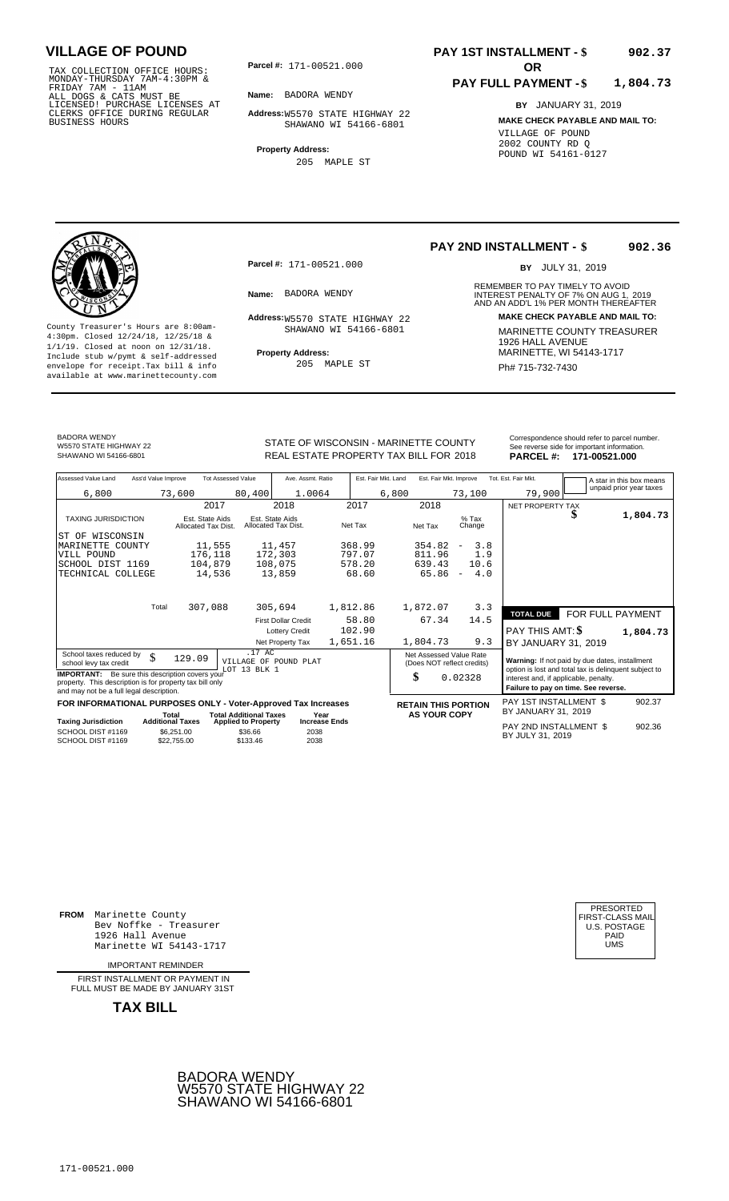TAX COLLECTION OFFICE HOURS:<br>
MONDAY-THURSDAY 7AM-4:30PM &<br>
FRIDAY 7AM - 11AM<br>
ALL DOGS & CATS MUST BE<br>
LICENSED! PURCHASE LICENSES AT<br>
CLERKS OFFICE DURING REGULAR<br>
CLERKS OFFICE DURING REGULAR<br>
BUSINESS HOURS<br>
BUSINESS H

**Parcel #:** 171-00521.000

**Name:** BADORA WENDY

**Address:** W5570 STATE HIGHWAY 22 SHAWANO WI 54166-6801

**Property Address:** 205 MAPLE ST

### **PAY 1ST INSTALLMENT - \$ 902.37**

#### **PAY FULL PAYMENT - \$ 1,804.73**

**BY** JANUARY 31, 2019 **MAKE CHECK PAYABLE AND MAIL TO:** VILLAGE OF POUND 2002 COUNTY RD Q POUND WI 54161-0127

**Property Address:** MARINETTE, WI 54143-1717 Include stub w/pymt & self-addressed envelope for receipt.Tax bill & info Ph# 715-732-7430 available at www.marinettecounty.com

**Parcel #:** 171-00521.000

SHAWANO WI 54166-6801

205 MAPLE ST

#### **PAY 2ND INSTALLMENT - \$ 902.36**

BY JULY 31, 2019

REMEMBER TO PAY TIMELY TO AVOID **Name:** BADORA WENDY **Example 2018** INTEREST PENALTY OF 7% ON AUG 1, 2019<br>AND AN ADD'L 1% PER MONTH THEREAFTER **Address: MAKE CHECK PAYABLE AND MAIL TO:** W5570 STATE HIGHWAY 22 County Treasurer's Hours are 8:00am-<br>
4:30pm. Closed 12/24/18, 12/25/18 & SHAWANO WI 54166-6801 MARINETTE COUNTY TREASURER<br>
1/1/19. Closed at noon on 12/31/18.<br>
Include stub w/pwmt & self-addressed **Property Address:** MARI

BADORA WENDY W5570 STATE HIGHWAY 22<br>SHAWANO WI 54166-6801

STATE OF WISCONSIN - MARINETTE COUNTY<br>
See reverse side for important information.<br>
REAL ESTATE PROPERTY TAX BILL FOR 2018 PARCEL #: 171-00521.000 SHAWANO WI 54166-6801 **171-00521.000** REAL ESTATE PROPERTY TAX BILL FOR 2018 **PARCEL #: 171-00521.000** 

| Assessed Value Land                                                                                                                                            | Ass'd Value Improve     |                                        | <b>Tot Assessed Value</b>     | Ave. Assmt. Ratio                      |          | Est. Fair Mkt. Land | Est. Fair Mkt. Improve  |                                 | Tot. Est. Fair Mkt.                                                                                     |                  | A star in this box means |
|----------------------------------------------------------------------------------------------------------------------------------------------------------------|-------------------------|----------------------------------------|-------------------------------|----------------------------------------|----------|---------------------|-------------------------|---------------------------------|---------------------------------------------------------------------------------------------------------|------------------|--------------------------|
| 6,800                                                                                                                                                          |                         | 73,600                                 | 80,400                        | 1.0064                                 |          | 6,800               |                         | 73,100                          | 79,900                                                                                                  |                  | unpaid prior year taxes  |
|                                                                                                                                                                |                         |                                        | 2017                          | 2018                                   | 2017     |                     | 2018                    |                                 | NET PROPERTY TAX                                                                                        |                  |                          |
| <b>TAXING JURISDICTION</b>                                                                                                                                     |                         | Est. State Aids<br>Allocated Tax Dist. |                               | Est. State Aids<br>Allocated Tax Dist. | Net Tax  |                     | Net Tax                 | $%$ Tax<br>Change               |                                                                                                         | D                | 1,804.73                 |
| IST OF WISCONSIN                                                                                                                                               |                         |                                        |                               |                                        |          |                     |                         |                                 |                                                                                                         |                  |                          |
| MARINETTE COUNTY                                                                                                                                               |                         | 11,555                                 |                               | 11,457                                 | 368.99   |                     | 354.82                  | 3.8<br>$\qquad \qquad -$        |                                                                                                         |                  |                          |
| VILL POUND                                                                                                                                                     |                         | 176,118                                |                               | 172,303                                | 797.07   |                     | 811.96                  | 1.9                             |                                                                                                         |                  |                          |
| SCHOOL DIST 1169                                                                                                                                               |                         | 104,879                                |                               | 108,075                                | 578.20   |                     | 639.43                  | 10.6                            |                                                                                                         |                  |                          |
| TECHNICAL COLLEGE                                                                                                                                              |                         | 14,536                                 |                               | 13,859                                 | 68.60    |                     | 65.86                   | 4.0<br>$\overline{\phantom{a}}$ |                                                                                                         |                  |                          |
|                                                                                                                                                                |                         |                                        |                               |                                        |          |                     |                         |                                 |                                                                                                         |                  |                          |
|                                                                                                                                                                | Total                   | 307,088                                |                               | 305,694                                | 1,812.86 |                     | 1,872.07                | 3.3                             | <b>TOTAL DUE</b>                                                                                        | FOR FULL PAYMENT |                          |
|                                                                                                                                                                |                         |                                        |                               | <b>First Dollar Credit</b>             | 58.80    |                     | 67.34                   | 14.5                            |                                                                                                         |                  |                          |
|                                                                                                                                                                |                         |                                        |                               | <b>Lottery Credit</b>                  | 102.90   |                     |                         |                                 | PAY THIS AMT: \$                                                                                        |                  | 1,804.73                 |
|                                                                                                                                                                |                         |                                        |                               | Net Property Tax                       | 1,651.16 |                     | 1,804.73                | 9.3                             | BY JANUARY 31, 2019                                                                                     |                  |                          |
| School taxes reduced by<br>school levy tax credit                                                                                                              | \$                      | 129.09                                 | .17 AC<br>LOT 13 BLK 1        | VILLAGE OF POUND PLAT                  |          |                     | Net Assessed Value Rate | (Does NOT reflect credits)      | Warning: If not paid by due dates, installment<br>option is lost and total tax is delinquent subject to |                  |                          |
| <b>IMPORTANT:</b> Be sure this description covers your<br>property. This description is for property tax bill only<br>and may not be a full legal description. |                         |                                        |                               |                                        |          | \$                  |                         | 0.02328                         | interest and, if applicable, penalty.<br>Failure to pay on time. See reverse.                           |                  |                          |
| FOR INFORMATIONAL PURPOSES ONLY - Voter-Approved Tax Increases                                                                                                 |                         |                                        |                               |                                        |          |                     |                         | <b>RETAIN THIS PORTION</b>      | <b>PAY 1ST INSTALLMENT \$</b>                                                                           |                  | 902.37                   |
|                                                                                                                                                                | Total                   |                                        | <b>Total Additional Taxes</b> | Year                                   |          |                     | <b>AS YOUR COPY</b>     |                                 | BY JANUARY 31, 2019                                                                                     |                  |                          |
| <b>Taxing Jurisdiction</b>                                                                                                                                     | <b>Additional Taxes</b> |                                        | <b>Applied to Property</b>    | <b>Increase Ends</b>                   |          |                     |                         |                                 | PAY 2ND INSTALLMENT \$                                                                                  |                  | 902.36                   |
| SCHOOL DIST #1169<br>SCHOOL DIST #1169                                                                                                                         |                         | \$6,251.00<br>\$22,755,00              | \$36.66<br>\$133.46           | 2038<br>2038                           |          |                     |                         |                                 | BY JULY 31, 2019                                                                                        |                  |                          |

**FROM** Marinette County Bev Noffke - Treasurer 1926 Hall Avenue PAID Marinette WI 54143-1717 UMS

IMPORTANT REMINDER

FIRST INSTALLMENT OR PAYMENT IN FULL MUST BE MADE BY JANUARY 31ST



| PRESORTED           |
|---------------------|
| FIRST-CLASS MAIL    |
| <b>U.S. POSTAGE</b> |
| PAID                |
| UMS                 |
|                     |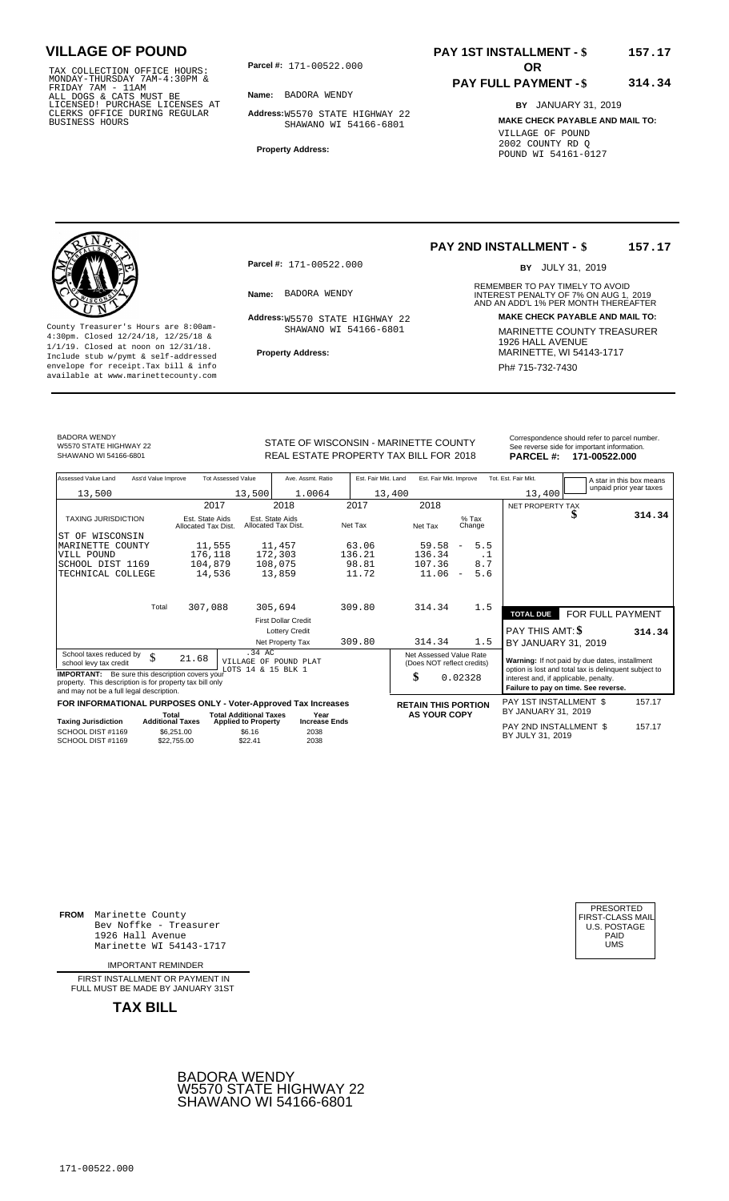TAX COLLECTION OFFICE HOURS:<br>
MONDAY-THURSDAY 7AM-4:30PM &<br>
FRIDAY 7AM - 11AM<br>
ALL DOGS & CATS MUST BE<br>
LICENSED! PURCHASE LICENSES AT<br>
CLERKS OFFICE DURING REGULAR<br>
CLERKS OFFICE DURING REGULAR<br>
BUSINESS HOURS<br>
BUSINESS H

**Parcel #: OR**

**Name:** BADORA WENDY

**Address:** W5570 STATE HIGHWAY 22 SHAWANO WI 54166-6801

**Property Address:**

### **PAY 1ST INSTALLMENT - \$ 157.17**

#### **PAY FULL PAYMENT - \$ 314.34**

**BY** JANUARY 31, 2019 **MAKE CHECK PAYABLE AND MAIL TO:** VILLAGE OF POUND 2002 COUNTY RD Q POUND WI 54161-0127



**Property Address:** MARINETTE, WI 54143-1717 Include stub w/pymt & self-addressed envelope for receipt.Tax bill & info Phat is a set of the phat of the Phat 715-732-7430 envelope for receipt.Tax bill & info Phat 715-732-7430 envelope for the phat 715-732-7430 envelope for the phat 715-732-7430 envelope

**Parcel #:** 171-00522.000

SHAWANO WI 54166-6801

#### **PAY 2ND INSTALLMENT - \$ 157.17**

BY JULY 31, 2019

REMEMBER TO PAY TIMELY TO AVOID **Name:** BADORA WENDY **Example 2018** INTEREST PENALTY OF 7% ON AUG 1, 2019<br>AND AN ADD'L 1% PER MONTH THEREAFTER **Address: MAKE CHECK PAYABLE AND MAIL TO:** W5570 STATE HIGHWAY 22 County Treasurer's Hours are 8:00am-<br>
4:30pm. Closed 12/24/18, 12/25/18 & SHAWANO WI 54166-6801 MARINETTE COUNTY TREASURER<br>
1/1/19. Closed at noon on 12/31/18.<br>
Include stub w/pwmt. & self-addressed Property Address: MARIN

BADORA WENDY W5570 STATE HIGHWAY 22<br>SHAWANO WI 54166-6801

SHAWANO WI 54166-6801 **171-00522.000** REAL ESTATE PROPERTY TAX BILL FOR 2018 **PARCEL #: 171-00522.000** 

| STATE OF WISCONSIN - MARINETTE COUNTY  | Correspondence should refer to parcel number.<br>See reverse side for important information. |
|----------------------------------------|----------------------------------------------------------------------------------------------|
| REAL ESTATE PROPERTY TAY RILL FOR 2018 | <b>DADCEL # 471-00522.000</b>                                                                |

| Assessed Value Land                                                                                                                                            | Ass'd Value Improve                    | <b>Tot Assessed Value</b>     | Ave. Assmt. Ratio                      | Est. Fair Mkt. Land | Est. Fair Mkt. Improve                                |                                 | Tot. Est. Fair Mkt.                   | A star in this box means<br>unpaid prior year taxes                                                     |        |
|----------------------------------------------------------------------------------------------------------------------------------------------------------------|----------------------------------------|-------------------------------|----------------------------------------|---------------------|-------------------------------------------------------|---------------------------------|---------------------------------------|---------------------------------------------------------------------------------------------------------|--------|
| 13,500                                                                                                                                                         |                                        | 13,500                        | 1.0064                                 | 13,400              |                                                       |                                 | 13,400                                |                                                                                                         |        |
|                                                                                                                                                                |                                        | 2017                          | 2018                                   | 2017                | 2018                                                  |                                 | NET PROPERTY TAX                      |                                                                                                         |        |
| <b>TAXING JURISDICTION</b>                                                                                                                                     | Est. State Aids<br>Allocated Tax Dist. |                               | Est. State Aids<br>Allocated Tax Dist. | Net Tax             | Net Tax                                               | $%$ Tax<br>Change               |                                       |                                                                                                         | 314.34 |
| WISCONSIN<br>ST OF                                                                                                                                             |                                        |                               |                                        |                     |                                                       |                                 |                                       |                                                                                                         |        |
| MARINETTE COUNTY                                                                                                                                               |                                        | 11,555                        | 11,457                                 | 63.06               | 59.58                                                 | 5.5<br>$\overline{\phantom{m}}$ |                                       |                                                                                                         |        |
| VILL POUND                                                                                                                                                     | 176,118                                |                               | 172,303                                | 136.21              | 136.34                                                | $\cdot$ 1                       |                                       |                                                                                                         |        |
| SCHOOL DIST 1169                                                                                                                                               | 104,879                                |                               | 108,075                                | 98.81               | 107.36                                                | 8.7                             |                                       |                                                                                                         |        |
| TECHNICAL COLLEGE                                                                                                                                              |                                        | 14,536                        | 13,859                                 | 11.72               | 11.06                                                 | 5.6<br>$\overline{\phantom{m}}$ |                                       |                                                                                                         |        |
|                                                                                                                                                                |                                        |                               |                                        |                     |                                                       |                                 |                                       |                                                                                                         |        |
|                                                                                                                                                                | 307,088<br>Total                       |                               | 305,694                                | 309.80              | 314.34                                                | 1.5                             | <b>TOTAL DUE</b>                      | FOR FULL PAYMENT                                                                                        |        |
|                                                                                                                                                                |                                        |                               | <b>First Dollar Credit</b>             |                     |                                                       |                                 |                                       |                                                                                                         |        |
|                                                                                                                                                                |                                        |                               | <b>Lottery Credit</b>                  |                     |                                                       |                                 | <b>PAY THIS AMT: \$</b>               |                                                                                                         | 314.34 |
|                                                                                                                                                                |                                        |                               | Net Property Tax                       | 309.80              | 314.34                                                | 1.5                             | BY JANUARY 31, 2019                   |                                                                                                         |        |
| School taxes reduced by<br>school levy tax credit                                                                                                              | \$<br>21.68                            | .34 AC<br>LOTS 14 & 15 BLK 1  | VILLAGE OF POUND PLAT                  |                     | Net Assessed Value Rate<br>(Does NOT reflect credits) |                                 |                                       | Warning: If not paid by due dates, installment<br>option is lost and total tax is delinquent subject to |        |
| <b>IMPORTANT:</b> Be sure this description covers your<br>property. This description is for property tax bill only<br>and may not be a full legal description. |                                        |                               |                                        |                     | \$                                                    | 0.02328                         | interest and, if applicable, penalty. | Failure to pay on time. See reverse.                                                                    |        |
| FOR INFORMATIONAL PURPOSES ONLY - Voter-Approved Tax Increases                                                                                                 |                                        |                               |                                        |                     | <b>RETAIN THIS PORTION</b>                            |                                 | PAY 1ST INSTALLMENT \$                |                                                                                                         | 157.17 |
|                                                                                                                                                                | Total                                  | <b>Total Additional Taxes</b> | Year                                   |                     | <b>AS YOUR COPY</b>                                   |                                 | BY JANUARY 31, 2019                   |                                                                                                         |        |
| <b>Taxing Jurisdiction</b>                                                                                                                                     | <b>Additional Taxes</b>                | <b>Applied to Property</b>    | <b>Increase Ends</b>                   |                     |                                                       |                                 | PAY 2ND INSTALLMENT \$                |                                                                                                         | 157.17 |
| SCHOOL DIST #1169<br>SCHOOL DIST #1169                                                                                                                         | \$6,251.00<br>\$22,755,00              | \$6.16<br>\$22.41             | 2038<br>2038                           |                     |                                                       |                                 | BY JULY 31, 2019                      |                                                                                                         |        |

**FROM** Marinette County Bev Noffke - Treasurer 1926 Hall Avenue PAID Marinette WI 54143-1717 UMS

IMPORTANT REMINDER

FIRST INSTALLMENT OR PAYMENT IN FULL MUST BE MADE BY JANUARY 31ST



| PRESORTED        |
|------------------|
| FIRST-CLASS MAIL |
| U.S. POSTAGE     |
| PAID             |
| UMS              |
|                  |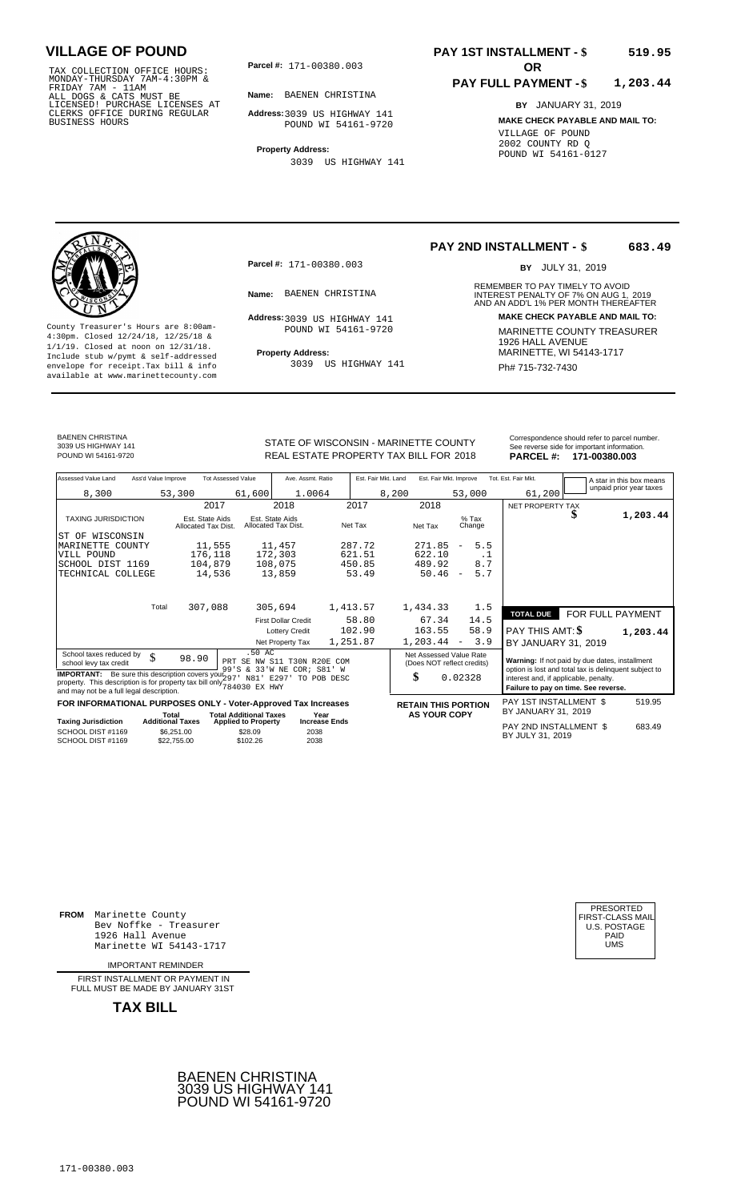TAX COLLECTION OFFICE HOURS:<br>
MONDAY-THURSDAY 7AM-4:30PM &<br>
FRIDAY 7AM - 11AM<br>
ALL DOGS & CATS MUST BE<br>
LICENSED! PURCHASE LICENSES AT<br>
CLERKS OFFICE DURING REGULAR<br>
CLERKS OFFICE DURING REGULAR<br>
BUSINESS HOURS<br>
POUND WI 5

**Parcel #: OR**

**Name:** BAENEN CHRISTINA

**Address:** 3039 US HIGHWAY 141 POUND WI 54161-9720

**Property Address:** 3039 US HIGHWAY 141

### **PAY 1ST INSTALLMENT - \$ 519.95**

#### **PAY FULL PAYMENT - \$ 1,203.44**

**BY** JANUARY 31, 2019 **MAKE CHECK PAYABLE AND MAIL TO:** VILLAGE OF POUND 2002 COUNTY RD Q POUND WI 54161-0127

**Property Address:** MARINETTE, WI 54143-1717 Include stub w/pymt & self-addressed envelope for receipt.Tax bill & info Ph# 715-732-7430 available at www.marinettecounty.com

**Parcel #:** 171-00380.003

Address: 3039 US HIGHWAY 141 POUND WI 54161-9720

3039 US HIGHWAY 141

#### **PAY 2ND INSTALLMENT - \$ 683.49**

BY JULY 31, 2019

REMEMBER TO PAY TIMELY TO AVOID **Name:** BAENEN CHRISTINA **Example 1** INTEREST PENALTY OF 7% ON AUG 1, 2019<br>AND AN ADD'L 1% PER MONTH THEREAFTER **Address: MAKE CHECK PAYABLE AND MAIL TO:** County Treasurer's Hours are 8:00am-<br>
4:30pm. Closed 12/24/18, 12/25/18 & 1/1/19. Closed at noon on 12/31/18.<br>
Include stub w/pwmt. & self-addressed<br>
Froperty Address: MARINETTE, WI 54143-1717

BAENEN CHRISTINA 3039 US HIGHWAY 141

STATE OF WISCONSIN - MARINETTE COUNTY POUND WI 54161-9720 **18. EXELL ESTATE PROPERTY TAX BILL FOR 2018 PARCEL #: 171-00380.003** 

| See reverse side for important information.   |  |
|-----------------------------------------------|--|
|                                               |  |
| Correspondence should refer to parcel number. |  |

| Assessed Value Land                                                                                                                                                                  | Ass'd Value Improve       | <b>Tot Assessed Value</b>              | Ave. Assmt. Ratio                                         | Est. Fair Mkt. Land | Est. Fair Mkt. Improve                                |                                 | Tot. Est. Fair Mkt.                                                                                     |                  | A star in this box means |
|--------------------------------------------------------------------------------------------------------------------------------------------------------------------------------------|---------------------------|----------------------------------------|-----------------------------------------------------------|---------------------|-------------------------------------------------------|---------------------------------|---------------------------------------------------------------------------------------------------------|------------------|--------------------------|
| 8,300                                                                                                                                                                                | 53,300                    | 61,600                                 | 1.0064                                                    | 8,200               |                                                       | 53,000                          | 61,200                                                                                                  |                  | unpaid prior year taxes  |
|                                                                                                                                                                                      |                           | 2017                                   | 2018                                                      | 2017                | 2018                                                  |                                 | NET PROPERTY TAX                                                                                        |                  |                          |
| <b>TAXING JURISDICTION</b>                                                                                                                                                           |                           | Est. State Aids<br>Allocated Tax Dist. | Est. State Aids<br>Allocated Tax Dist.                    | Net Tax             | Net Tax                                               | $%$ Tax<br>Change               |                                                                                                         |                  | 1,203.44                 |
| WISCONSIN<br>IST OF                                                                                                                                                                  |                           |                                        |                                                           |                     |                                                       |                                 |                                                                                                         |                  |                          |
| MARINETTE COUNTY                                                                                                                                                                     |                           | 11,555                                 | 11,457                                                    | 287.72              | 271.85                                                | 5.5<br>$\overline{\phantom{m}}$ |                                                                                                         |                  |                          |
| VILL POUND                                                                                                                                                                           |                           | 176,118                                | 172,303                                                   | 621.51              | 622.10                                                | . 1                             |                                                                                                         |                  |                          |
| SCHOOL DIST 1169                                                                                                                                                                     |                           | 104,879                                | 108,075                                                   | 450.85              | 489.92                                                | 8.7                             |                                                                                                         |                  |                          |
| TECHNICAL COLLEGE                                                                                                                                                                    |                           | 14,536                                 | 13,859                                                    | 53.49               | 50.46                                                 | 5.7<br>$\overline{\phantom{m}}$ |                                                                                                         |                  |                          |
|                                                                                                                                                                                      | Total                     |                                        |                                                           | 1,413.57            |                                                       |                                 |                                                                                                         |                  |                          |
|                                                                                                                                                                                      |                           | 307,088                                | 305,694                                                   |                     | 1,434.33                                              | 1.5                             | <b>TOTAL DUE</b>                                                                                        | FOR FULL PAYMENT |                          |
|                                                                                                                                                                                      |                           |                                        | <b>First Dollar Credit</b>                                | 58.80               | 67.34                                                 | 14.5                            |                                                                                                         |                  |                          |
|                                                                                                                                                                                      |                           |                                        | <b>Lottery Credit</b>                                     | 102.90              | 163.55                                                | 58.9                            | PAY THIS AMT: \$                                                                                        |                  | 1,203.44                 |
|                                                                                                                                                                                      |                           |                                        | Net Property Tax                                          | 1,251.87            | 1,203.44                                              | 3.9<br>$\overline{\phantom{a}}$ | BY JANUARY 31, 2019                                                                                     |                  |                          |
| School taxes reduced by<br>school levy tax credit                                                                                                                                    | \$<br>98.90               | .50 AC                                 | PRT SE NW S11 T30N R20E COM<br>99'S & 33'W NE COR; S81' W |                     | Net Assessed Value Rate<br>(Does NOT reflect credits) |                                 | Warning: If not paid by due dates, installment<br>option is lost and total tax is delinquent subject to |                  |                          |
| <b>IMPORTANT:</b> Be sure this description covers your $297$<br>property. This description is for property tax bill only $784030$ EX HWY<br>and may not be a full legal description. |                           |                                        | N81' E297' TO POB DESC                                    |                     | \$                                                    | 0.02328                         | interest and, if applicable, penalty.<br>Failure to pay on time. See reverse.                           |                  |                          |
| FOR INFORMATIONAL PURPOSES ONLY - Voter-Approved Tax Increases                                                                                                                       |                           |                                        |                                                           |                     | <b>RETAIN THIS PORTION</b>                            |                                 | PAY 1ST INSTALLMENT \$                                                                                  |                  | 519.95                   |
|                                                                                                                                                                                      | Total                     | <b>Total Additional Taxes</b>          | Year                                                      |                     | <b>AS YOUR COPY</b>                                   |                                 | BY JANUARY 31, 2019                                                                                     |                  |                          |
| <b>Taxing Jurisdiction</b>                                                                                                                                                           | <b>Additional Taxes</b>   | <b>Applied to Property</b>             | <b>Increase Ends</b>                                      |                     |                                                       |                                 | PAY 2ND INSTALLMENT \$                                                                                  |                  | 683.49                   |
| SCHOOL DIST #1169<br>SCHOOL DIST #1169                                                                                                                                               | \$6,251.00<br>\$22,755.00 | \$28.09<br>\$102.26                    | 2038<br>2038                                              |                     |                                                       |                                 | BY JULY 31, 2019                                                                                        |                  |                          |

**FROM** Marinette County Bev Noffke - Treasurer 1926 Hall Avenue PAID Marinette WI 54143-1717 UMS

IMPORTANT REMINDER

FIRST INSTALLMENT OR PAYMENT IN FULL MUST BE MADE BY JANUARY 31ST



| UMS |  | PRESORTED<br>FIRST-CLASS MAIL<br>U.S. POSTAGE<br>PAID |
|-----|--|-------------------------------------------------------|
|-----|--|-------------------------------------------------------|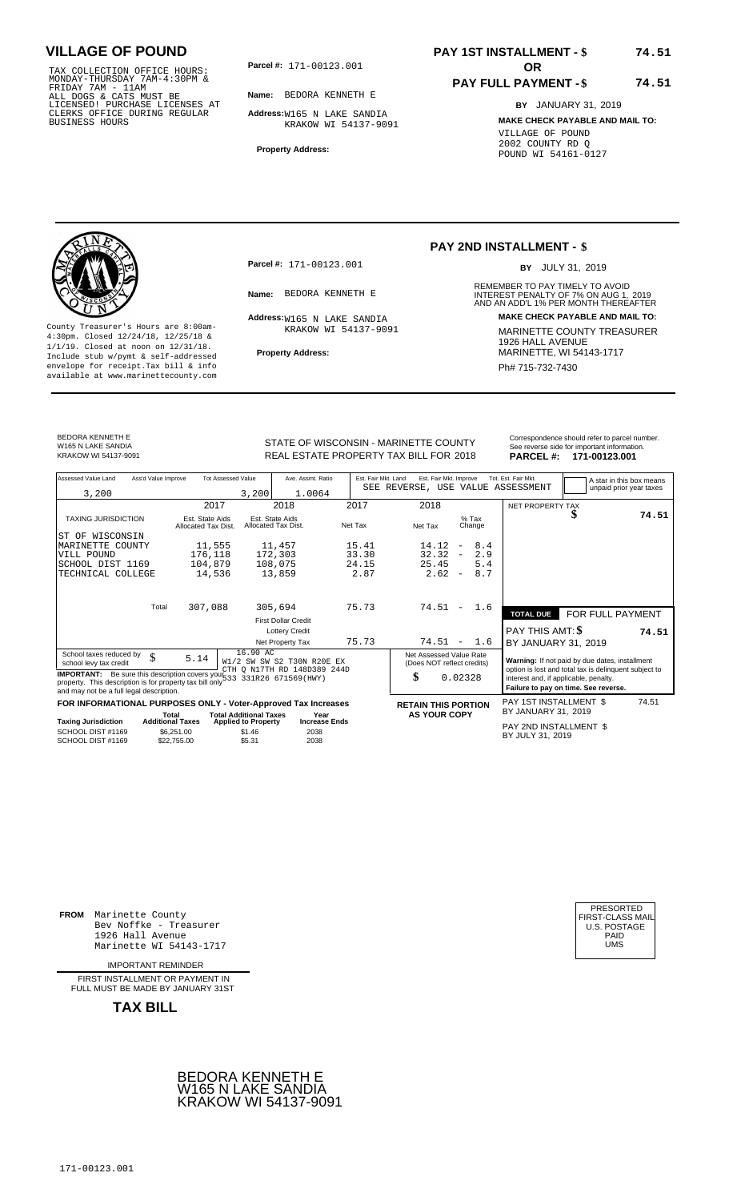TAX COLLECTION OFFICE HOURS:<br>
MONDAY-THURSDAY 7AM-4:30PM &<br>
FRIDAY 7AM - 11AM<br>
ALL DOGS & CATS MUST BE<br>
LICENSED! PURCHASE LICENSES AT<br>
CLERKS OFFICE DURING REGULAR<br>
CLERKS OFFICE DURING REGULAR<br>
BUSINESS HOURS<br>
BUSINESS H

**Parcel #: OR**

**Name:** BEDORA KENNETH E

**Address:** W165 N LAKE SANDIA KRAKOW WI 54137-9091

**Property Address:**

### **PAY 1ST INSTALLMENT - \$ 74.51**

### **PAY FULL PAYMENT - \$**

**BY** JANUARY 31, 2019 **MAKE CHECK PAYABLE AND MAIL TO:** VILLAGE OF POUND 2002 COUNTY RD Q POUND WI 54161-0127

**74.51**



**Property Address:** MARINETTE, WI 54143-1717 Include stub w/pymt & self-addressed envelope for receipt.Tax bill & info Phat is a set of the phat of the Phat 715-732-7430 envelope for receipt.Tax bill & info Phat 715-732-7430 envelope for the phat 715-732-7430 envelope for the phat 715-732-7430 envelope

**Parcel #:** 171-00123.001

Address: W165 N LAKE SANDIA KRAKOW WI 54137-9091

### **PAY 2ND INSTALLMENT - \$**

BY JULY 31, 2019

REMEMBER TO PAY TIMELY TO AVOID **Name:** BEDORA KENNETH E **INTEREST PENALTY OF 7% ON AUG 1, 2019**<br>AND AN ADD'L 1% PER MONTH THEREAFTER **Address: MAKE CHECK PAYABLE AND MAIL TO:** County Treasurer's Hours are 8:00am-<br>
4:30pm. Closed 12/24/18, 12/25/18 & MARINETTE COUNTY TREASURER<br>
1/1/19. Closed at noon on 12/31/18.<br>
Include stub w/pwmt. & self-addressed **Property Address:** MARINETTE, WI 54143-1717

BEDORA KENNETH E W165 N LAKE SANDIA<br>KRAKOW WI 54137-9091

STATE OF WISCONSIN - MARINETTE COUNTY<br>
See reverse side for important information.<br>
REAL ESTATE PROPERTY TAX BILL FOR 2018 PARCEL #: 171-00123.001 REAL ESTATE PROPERTY TAX BILL FOR **PARCEL #:** KRAKOW WI 54137-9091 2018 **171-00123.001**

| Assessed Value Land                                                                                                                                                             | Ass'd Value Improve              |                                        | <b>Tot Assessed Value</b>                                   | Ave. Assmt. Ratio                                         | Est. Fair Mkt. Land | Est. Fair Mkt. Improve                                |                          |        | Tot. Est. Fair Mkt.                                                                                     |                  | A star in this box means |
|---------------------------------------------------------------------------------------------------------------------------------------------------------------------------------|----------------------------------|----------------------------------------|-------------------------------------------------------------|-----------------------------------------------------------|---------------------|-------------------------------------------------------|--------------------------|--------|---------------------------------------------------------------------------------------------------------|------------------|--------------------------|
| 3,200                                                                                                                                                                           |                                  |                                        | 3,200                                                       | 1.0064                                                    |                     | SEE REVERSE, USE VALUE ASSESSMENT                     |                          |        |                                                                                                         |                  | unpaid prior year taxes  |
|                                                                                                                                                                                 |                                  | 2017                                   |                                                             | 2018                                                      | 2017                | 2018                                                  |                          |        | NET PROPERTY TAX                                                                                        |                  |                          |
| <b>TAXING JURISDICTION</b>                                                                                                                                                      |                                  | Est. State Aids<br>Allocated Tax Dist. |                                                             | Est. State Aids<br>Allocated Tax Dist.                    | Net Tax             | Net Tax                                               | $%$ Tax                  | Change |                                                                                                         | ъ                | 74.51                    |
| ST OF WISCONSIN                                                                                                                                                                 |                                  |                                        |                                                             |                                                           |                     |                                                       |                          |        |                                                                                                         |                  |                          |
| MARINETTE COUNTY                                                                                                                                                                |                                  | 11,555                                 |                                                             | 11,457                                                    | 15.41               | 14.12                                                 | $\overline{\phantom{a}}$ | 8.4    |                                                                                                         |                  |                          |
| VILL POUND                                                                                                                                                                      |                                  | 176,118                                |                                                             | 172,303                                                   | 33.30               | 32.32                                                 | $\overline{\phantom{a}}$ | 2.9    |                                                                                                         |                  |                          |
| SCHOOL DIST 1169                                                                                                                                                                |                                  | 104,879                                |                                                             | 108,075                                                   | 24.15               | 25.45                                                 |                          | 5.4    |                                                                                                         |                  |                          |
| TECHNICAL COLLEGE                                                                                                                                                               |                                  | 14,536                                 |                                                             | 13,859                                                    | 2.87                | 2.62                                                  | $\overline{\phantom{a}}$ | 8.7    |                                                                                                         |                  |                          |
|                                                                                                                                                                                 |                                  |                                        |                                                             |                                                           |                     |                                                       |                          |        |                                                                                                         |                  |                          |
|                                                                                                                                                                                 | Total                            | 307,088                                |                                                             | 305,694                                                   | 75.73               | 74.51                                                 | $\overline{\phantom{a}}$ | 1.6    | <b>TOTAL DUE</b>                                                                                        | FOR FULL PAYMENT |                          |
|                                                                                                                                                                                 |                                  |                                        |                                                             | <b>First Dollar Credit</b>                                |                     |                                                       |                          |        |                                                                                                         |                  |                          |
|                                                                                                                                                                                 |                                  |                                        |                                                             | <b>Lottery Credit</b>                                     |                     |                                                       |                          |        | PAY THIS AMT: \$                                                                                        |                  | 74.51                    |
|                                                                                                                                                                                 |                                  |                                        |                                                             | Net Property Tax                                          | 75.73               | $74.51 -$                                             |                          | 1.6    | BY JANUARY 31, 2019                                                                                     |                  |                          |
| School taxes reduced by<br>school levy tax credit                                                                                                                               | \$                               | 5.14                                   | $16.90$ AC                                                  | W1/2 SW SW S2 T30N R20E EX<br>CTH O N17TH RD 148D389 244D |                     | Net Assessed Value Rate<br>(Does NOT reflect credits) |                          |        | Warning: If not paid by due dates, installment<br>option is lost and total tax is delinquent subject to |                  |                          |
| IMPORTANT: Be sure this description covers your 533 331R26 671569 (HWY)<br>property. This description is for property tax bill only<br>and may not be a full legal description. |                                  |                                        |                                                             |                                                           |                     | \$                                                    | 0.02328                  |        | interest and, if applicable, penalty.<br>Failure to pay on time. See reverse.                           |                  |                          |
| FOR INFORMATIONAL PURPOSES ONLY - Voter-Approved Tax Increases                                                                                                                  |                                  |                                        |                                                             |                                                           |                     | <b>RETAIN THIS PORTION</b>                            |                          |        | PAY 1ST INSTALLMENT \$                                                                                  |                  | 74.51                    |
| Taxing Jurisdiction                                                                                                                                                             | Total<br><b>Additional Taxes</b> |                                        | <b>Total Additional Taxes</b><br><b>Applied to Property</b> | Year<br><b>Increase Ends</b>                              |                     | <b>AS YOUR COPY</b>                                   |                          |        | BY JANUARY 31, 2019                                                                                     |                  |                          |
| SCHOOL DIST #1169<br>SCHOOL DIST #1169                                                                                                                                          | \$6.251.00<br>\$22,755,00        |                                        | \$1.46<br>\$5.31                                            | 2038<br>2038                                              |                     |                                                       |                          |        | PAY 2ND INSTALLMENT \$<br>BY JULY 31, 2019                                                              |                  |                          |
|                                                                                                                                                                                 |                                  |                                        |                                                             |                                                           |                     |                                                       |                          |        |                                                                                                         |                  |                          |

**FROM** Marinette County Bev Noffke - Treasurer 1926 Hall Avenue PAID Marinette WI 54143-1717 UMS

IMPORTANT REMINDER

FIRST INSTALLMENT OR PAYMENT IN FULL MUST BE MADE BY JANUARY 31ST



| PRESORTED        |
|------------------|
| FIRST-CLASS MAIL |
| U.S. POSTAGE     |
| PAID             |
| UMS              |
|                  |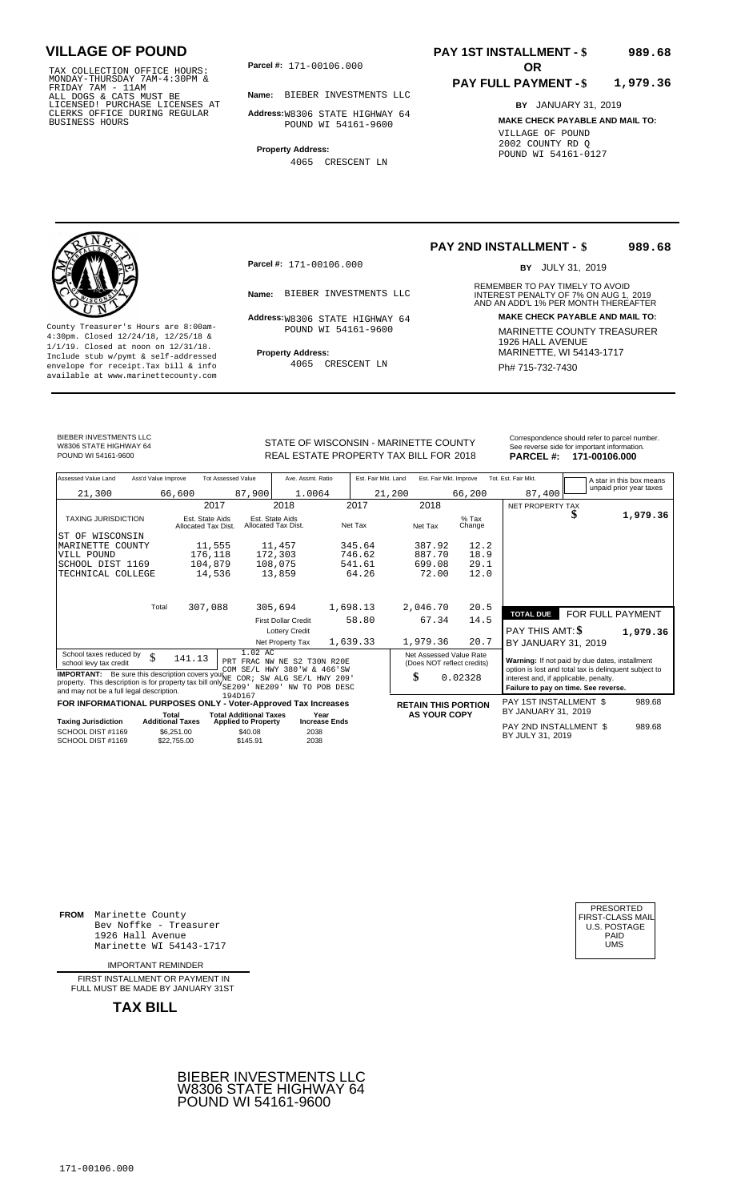TAX COLLECTION OFFICE HOURS:<br>
MONDAY-THURSDAY 7AM-4:30PM &<br>
FRIDAY 7AM - 11AM<br>
ALL DOGS & CATS MUST BE<br>
LICENSED! PURCHASE LICENSES AT<br>
CLERKS OFFICE DURING REGULAR<br>
CLERKS OFFICE DURING REGULAR<br>
BUSINESS HOURS<br>
BUSINESS H

**Parcel #:** 171-00106.000

**Name:** BIEBER INVESTMENTS LLC

**Address:** W8306 STATE HIGHWAY 64 POUND WI 54161-9600

**Property Address:** 4065 CRESCENT LN

#### **PAY 1ST INSTALLMENT - \$ 989.68**

#### **PAY FULL PAYMENT - \$ 1,979.36**

**BY** JANUARY 31, 2019 **MAKE CHECK PAYABLE AND MAIL TO:** VILLAGE OF POUND 2002 COUNTY RD Q POUND WI 54161-0127

**Property Address:** MARINETTE, WI 54143-1717 Include stub w/pymt & self-addressed envelope for receipt.Tax bill & info Ph# 715-732-7430 available at www.marinettecounty.com

**Parcel #:** 171-00106.000

POUND WI 54161-9600

4065 CRESCENT LN

**PAY 2ND INSTALLMENT - \$ 989.68**

BY JULY 31, 2019

REMEMBER TO PAY TIMELY TO AVOID **Name:** BIEBER INVESTMENTS LLC **INTEREST PENALTY OF 7% ON AUG 1, 2019**<br>AND AN ADD'L 1% PER MONTH THEREAFTER **Address:**W8306 STATE HIGHWAY 64 **MAKE CHECK PAYABLE AND MAIL TO:** County Treasurer's Hours are 8:00am-<br>
4:30pm. Closed 12/24/18, 12/25/18 & MARINETTE COUNTY TREASURER<br>
1/1/19. Closed at noon on 12/31/18.<br>
Include stub w/pwmt & self-addressed **Property Address:** MARINETTE, WI 54143-1717

BIEBER INVESTMENTS LLC W8306 STATE HIGHWAY 64<br>POUND WI 54161-9600

STATE OF WISCONSIN - MARINETTE COUNTY<br>
See reverse side for important information.<br>
REAL ESTATE PROPERTY TAX BILL FOR 2018 PARCEL #: 171-00106.000 REAL ESTATE PROPERTY TAX BILL FOR **PARCEL #:** POUND WI 54161-9600 2018 **171-00106.000**

| Assessed Value Land                                                                                                                                                                                       | Ass'd Value Improve     |                                        | <b>Tot Assessed Value</b>                                             | Ave. Assmt. Ratio                      |                      | Est. Fair Mkt. Land |                            | Est. Fair Mkt. Improve     | Tot. Est. Fair Mkt.                                                                                     |                  | A star in this box means |
|-----------------------------------------------------------------------------------------------------------------------------------------------------------------------------------------------------------|-------------------------|----------------------------------------|-----------------------------------------------------------------------|----------------------------------------|----------------------|---------------------|----------------------------|----------------------------|---------------------------------------------------------------------------------------------------------|------------------|--------------------------|
| 21,300                                                                                                                                                                                                    |                         | 66,600                                 | 87,900                                                                | 1.0064                                 |                      | 21,200              |                            | 66,200                     | 87,400                                                                                                  |                  | unpaid prior year taxes  |
|                                                                                                                                                                                                           |                         | 2017                                   |                                                                       | 2018                                   |                      | 2017                | 2018                       |                            | NET PROPERTY TAX                                                                                        |                  |                          |
| <b>TAXING JURISDICTION</b>                                                                                                                                                                                |                         | Est. State Aids<br>Allocated Tax Dist. |                                                                       | Est. State Aids<br>Allocated Tax Dist. | Net Tax              |                     | Net Tax                    | $%$ Tax<br>Change          |                                                                                                         | \$               | 1,979.36                 |
| ST OF WISCONSIN                                                                                                                                                                                           |                         |                                        |                                                                       |                                        |                      |                     |                            |                            |                                                                                                         |                  |                          |
| MARINETTE<br>COUNTY                                                                                                                                                                                       |                         | 11,555                                 |                                                                       | 11,457                                 |                      | 345.64              | 387.92                     | 12.2                       |                                                                                                         |                  |                          |
| VILL POUND                                                                                                                                                                                                |                         | 176,118                                |                                                                       | 172,303                                |                      | 746.62              | 887.70                     | 18.9                       |                                                                                                         |                  |                          |
| SCHOOL DIST 1169                                                                                                                                                                                          |                         | 104,879                                |                                                                       | 108,075                                |                      | 541.61              | 699.08                     | 29.1                       |                                                                                                         |                  |                          |
| TECHNICAL COLLEGE                                                                                                                                                                                         |                         | 14,536                                 |                                                                       | 13,859                                 |                      | 64.26               | 72.00                      | 12.0                       |                                                                                                         |                  |                          |
|                                                                                                                                                                                                           |                         |                                        |                                                                       |                                        |                      |                     |                            |                            |                                                                                                         |                  |                          |
|                                                                                                                                                                                                           | Total                   | 307,088                                |                                                                       | 305,694                                | 1,698.13             |                     | 2,046.70                   | 20.5                       | <b>TOTAL DUE</b>                                                                                        | FOR FULL PAYMENT |                          |
|                                                                                                                                                                                                           |                         |                                        |                                                                       | <b>First Dollar Credit</b>             |                      | 58.80               | 67.34                      | 14.5                       |                                                                                                         |                  |                          |
|                                                                                                                                                                                                           |                         |                                        |                                                                       | <b>Lottery Credit</b>                  |                      |                     |                            |                            | PAY THIS AMT: \$                                                                                        |                  | 1,979.36                 |
|                                                                                                                                                                                                           |                         |                                        |                                                                       | Net Property Tax                       | 1,639.33             |                     | 1,979.36                   | 20.7                       | BY JANUARY 31, 2019                                                                                     |                  |                          |
| School taxes reduced by<br>school levy tax credit                                                                                                                                                         | \$                      | 141.13                                 | 1.02 AC<br>PRT FRAC NW NE S2 T30N R20E<br>COM SE/L HWY 380'W & 466'SW |                                        |                      |                     | Net Assessed Value Rate    | (Does NOT reflect credits) | Warning: If not paid by due dates, installment<br>option is lost and total tax is delinquent subject to |                  |                          |
| <b>IMPORTANT:</b> Be sure this description covers your ME COR; SW ALG SE/L HWY 209'<br>property. This description is for property tax bill only SE209' NE209'<br>and may not be a full legal description. |                         |                                        | 194D167                                                               | NW TO POB DESC                         |                      |                     | \$                         | 0.02328                    | interest and, if applicable, penalty.<br>Failure to pay on time. See reverse.                           |                  |                          |
| FOR INFORMATIONAL PURPOSES ONLY - Voter-Approved Tax Increases                                                                                                                                            |                         |                                        |                                                                       |                                        |                      |                     | <b>RETAIN THIS PORTION</b> |                            | PAY 1ST INSTALLMENT \$                                                                                  |                  | 989.68                   |
|                                                                                                                                                                                                           | Total                   |                                        | <b>Total Additional Taxes</b>                                         |                                        | Year                 |                     | <b>AS YOUR COPY</b>        |                            | BY JANUARY 31, 2019                                                                                     |                  |                          |
| <b>Taxing Jurisdiction</b>                                                                                                                                                                                | <b>Additional Taxes</b> |                                        | <b>Applied to Property</b>                                            |                                        | <b>Increase Ends</b> |                     |                            |                            | PAY 2ND INSTALLMENT \$                                                                                  |                  | 989.68                   |
| SCHOOL DIST #1169<br>SCHOOL DIST #1169                                                                                                                                                                    |                         | \$6,251.00<br>\$22,755.00              | \$40.08<br>\$145.91                                                   | 2038<br>2038                           |                      |                     |                            |                            | BY JULY 31, 2019                                                                                        |                  |                          |

**FROM** Marinette County Bev Noffke - Treasurer (U.S. POSTAGE)<br>1926 Hall Avenue (U.S. POSTAGE)<br>Marinette WI 54143-1717 (U.S. POSTAGE) 1926 Hall Avenue Marinette WI 54143-1717

IMPORTANT REMINDER

FIRST INSTALLMENT OR PAYMENT IN FULL MUST BE MADE BY JANUARY 31ST



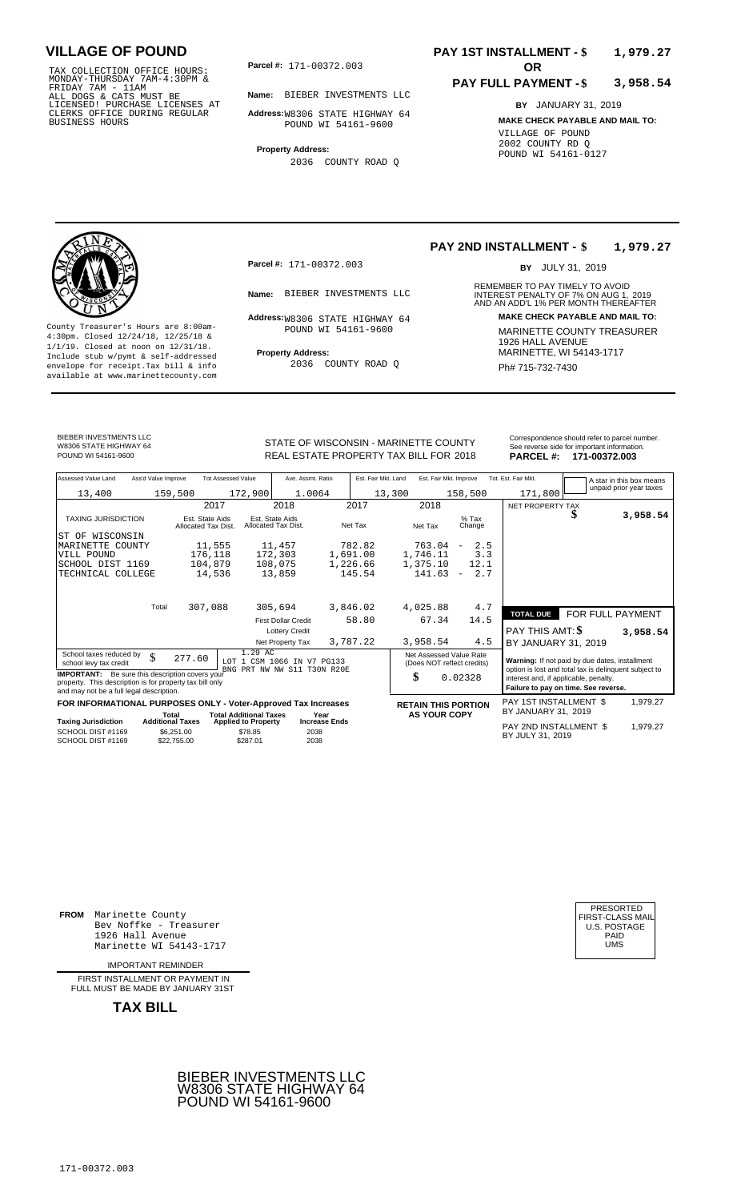TAX COLLECTION OFFICE HOURS:<br>
MONDAY-THURSDAY 7AM-4:30PM &<br>
FRIDAY 7AM - 11AM<br>
ALL DOGS & CATS MUST BE<br>
LICENSED! PURCHASE LICENSES AT<br>
CLERKS OFFICE DURING REGULAR<br>
CLERKS OFFICE DURING REGULAR<br>
BUSINESS HOURS<br>
BUSINESS H

**Parcel #: OR**

**Name:** BIEBER INVESTMENTS LLC

**Address:** W8306 STATE HIGHWAY 64 POUND WI 54161-9600

**Property Address:**

2036 COUNTY ROAD Q

### **PAY 1ST INSTALLMENT - \$ 1,979.27**

#### **PAY FULL PAYMENT - \$ 3,958.54**

**BY** JANUARY 31, 2019 **MAKE CHECK PAYABLE AND MAIL TO:** VILLAGE OF POUND 2002 COUNTY RD Q POUND WI 54161-0127



**Property Address:** MARINETTE, WI 54143-1717 Include stub w/pymt & self-addressed envelope for receipt.Tax bill & info Ph# 715-732-7430 available at www.marinettecounty.com

**Parcel #:** 171-00372.003

POUND WI 54161-9600

2036 COUNTY ROAD Q

#### **PAY 2ND INSTALLMENT - \$ 1,979.27**

BY JULY 31, 2019

REMEMBER TO PAY TIMELY TO AVOID **Name:** BIEBER INVESTMENTS LLC **INTEREST PENALTY OF 7% ON AUG 1, 2019**<br>AND AN ADD'L 1% PER MONTH THEREAFTER **Address:**W8306 STATE HIGHWAY 64 **MAKE CHECK PAYABLE AND MAIL TO:** County Treasurer's Hours are 8:00am-<br>
4:30pm. Closed 12/24/18, 12/25/18 & MARINETTE COUNTY TREASURER<br>
1/1/19. Closed at noon on 12/31/18.<br>
Include stub w/pwmt & self-addressed **Property Address:** MARINETTE, WI 54143-1717

BIEBER INVESTMENTS LLC W8306 STATE HIGHWAY 64<br>POUND WI 54161-9600

STATE OF WISCONSIN - MARINETTE COUNTY<br>
See reverse side for important information.<br>
REAL ESTATE PROPERTY TAX BILL FOR 2018 PARCEL #: 171-00372.003 POUND WI 54161-9600 **1841 171-00372.003** REAL ESTATE PROPERTY TAX BILL FOR 2018 **PARCEL #: 171-00372.003** 

| Assessed Value Land<br>Ass'd Value Improve                                                                                                                     | <b>Tot Assessed Value</b>              | Ave. Assmt. Ratio                                                    | Est. Fair Mkt. Land  | Est. Fair Mkt. Improve                                |                                 | Tot. Est. Fair Mkt.                                                           | A star in this box means                                                                                |
|----------------------------------------------------------------------------------------------------------------------------------------------------------------|----------------------------------------|----------------------------------------------------------------------|----------------------|-------------------------------------------------------|---------------------------------|-------------------------------------------------------------------------------|---------------------------------------------------------------------------------------------------------|
| 13,400                                                                                                                                                         | 159,500                                | 172,900<br>1.0064                                                    |                      | 13,300                                                | 158,500                         | 171,800                                                                       | unpaid prior year taxes                                                                                 |
|                                                                                                                                                                | 2017                                   | 2018                                                                 | 2017                 | 2018                                                  |                                 | NET PROPERTY TAX                                                              |                                                                                                         |
| <b>TAXING JURISDICTION</b>                                                                                                                                     | Est. State Aids<br>Allocated Tax Dist. | Est. State Aids<br>Allocated Tax Dist.                               | Net Tax              | Net Tax                                               | $%$ Tax<br>Change               |                                                                               | 3,958.54                                                                                                |
| WISCONSIN<br>ST OF                                                                                                                                             |                                        |                                                                      |                      |                                                       |                                 |                                                                               |                                                                                                         |
| MARINETTE COUNTY                                                                                                                                               | 11,555                                 | 11,457                                                               | 782.82               | 763.04                                                | 2.5<br>$\overline{\phantom{a}}$ |                                                                               |                                                                                                         |
| VILL POUND                                                                                                                                                     | 176,118                                | 172,303                                                              | 1,691.00             | 1,746.11                                              | 3.3                             |                                                                               |                                                                                                         |
| SCHOOL DIST 1169                                                                                                                                               | 104,879                                | 108,075                                                              | 1,226.66             | 1,375.10                                              | 12.1                            |                                                                               |                                                                                                         |
| TECHNICAL COLLEGE                                                                                                                                              | 14,536                                 | 13,859                                                               | 145.54               | 141.63                                                | 2.7<br>$\overline{\phantom{m}}$ |                                                                               |                                                                                                         |
|                                                                                                                                                                |                                        |                                                                      |                      |                                                       |                                 |                                                                               |                                                                                                         |
| Total                                                                                                                                                          | 307,088                                | 305,694                                                              | 3,846.02             | 4,025.88                                              | 4.7                             |                                                                               |                                                                                                         |
|                                                                                                                                                                |                                        | <b>First Dollar Credit</b>                                           | 58.80                | 67.34                                                 | 14.5                            | <b>TOTAL DUE</b>                                                              | FOR FULL PAYMENT                                                                                        |
|                                                                                                                                                                |                                        | <b>Lottery Credit</b>                                                |                      |                                                       |                                 | PAY THIS AMT: \$                                                              | 3,958.54                                                                                                |
|                                                                                                                                                                |                                        | Net Property Tax                                                     | 3,787.22             | 3,958.54                                              | 4.5                             | BY JANUARY 31, 2019                                                           |                                                                                                         |
| School taxes reduced by<br>\$<br>school levy tax credit                                                                                                        | 277.60                                 | 1.29 AC<br>LOT 1 CSM 1066 IN V7 PG133<br>BNG PRT NW NW S11 T30N R20E |                      | Net Assessed Value Rate<br>(Does NOT reflect credits) |                                 |                                                                               | Warning: If not paid by due dates, installment<br>option is lost and total tax is delinquent subject to |
| <b>IMPORTANT:</b> Be sure this description covers your<br>property. This description is for property tax bill only<br>and may not be a full legal description. |                                        |                                                                      |                      | \$                                                    | 0.02328                         | interest and, if applicable, penalty.<br>Failure to pay on time. See reverse. |                                                                                                         |
| FOR INFORMATIONAL PURPOSES ONLY - Voter-Approved Tax Increases                                                                                                 |                                        |                                                                      |                      | <b>RETAIN THIS PORTION</b>                            |                                 | PAY 1ST INSTALLMENT \$                                                        | 1,979.27                                                                                                |
|                                                                                                                                                                | Total                                  | <b>Total Additional Taxes</b><br>Year                                |                      | <b>AS YOUR COPY</b>                                   |                                 | BY JANUARY 31, 2019                                                           |                                                                                                         |
| <b>Taxing Jurisdiction</b><br>SCHOOL DIST #1169                                                                                                                | <b>Additional Taxes</b><br>\$6,251.00  | <b>Applied to Property</b><br>\$78.85<br>2038                        | <b>Increase Ends</b> |                                                       |                                 | PAY 2ND INSTALLMENT \$<br>BY JULY 31, 2019                                    | 1,979.27                                                                                                |
| SCHOOL DIST #1169                                                                                                                                              | \$22,755.00                            | \$287.01<br>2038                                                     |                      |                                                       |                                 |                                                                               |                                                                                                         |

**FROM** Marinette County Bev Noffke - Treasurer (U.S. POSTAGE)<br>1926 Hall Avenue (U.S. POSTAGE)<br>Marinette WI 54143-1717 (U.S. POSTAGE) 1926 Hall Avenue Marinette WI 54143-1717

IMPORTANT REMINDER

FIRST INSTALL MENT OR PAYMENT IN FULL MUST BE MADE BY JANUARY 31ST



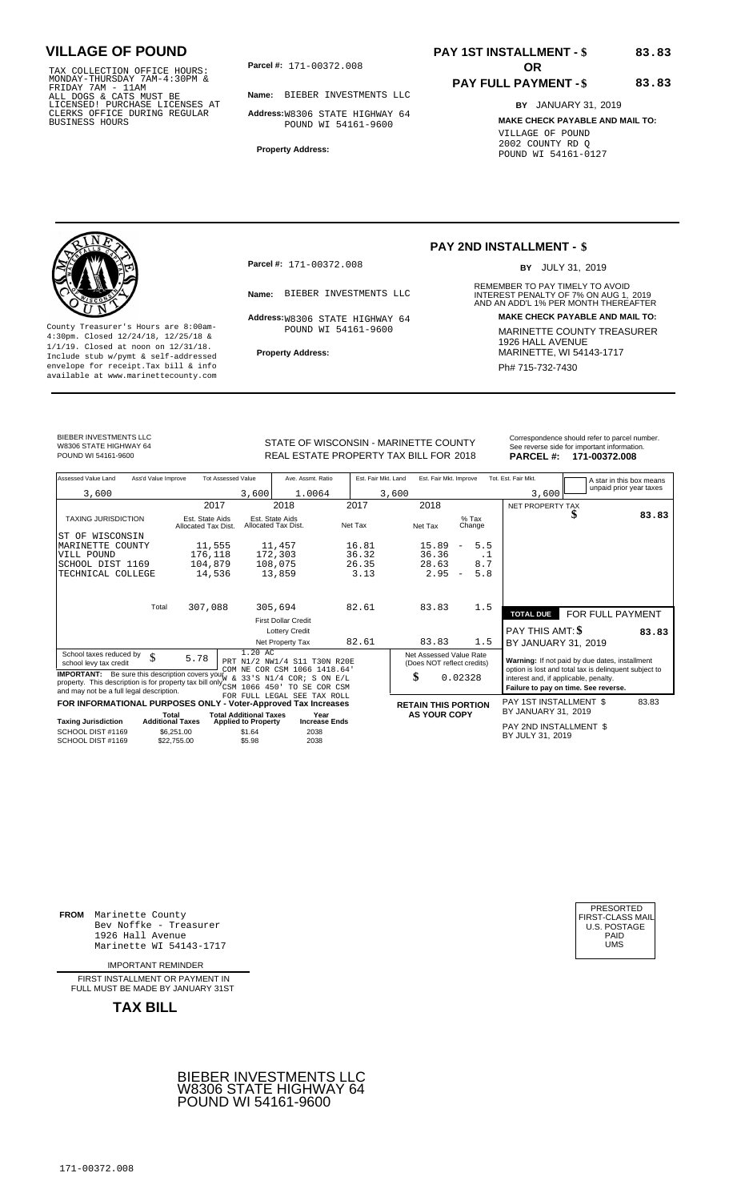TAX COLLECTION OFFICE HOURS:<br>
MONDAY-THURSDAY 7AM-4:30PM &<br>
FRIDAY 7AM - 11AM<br>
ALL DOGS & CATS MUST BE<br>
LICENSED! PURCHASE LICENSES AT<br>
CLERKS OFFICE DURING REGULAR<br>
CLERKS OFFICE DURING REGULAR<br>
BUSINESS HOURS<br>
BUSINESS H

**Parcel #: OR**

**Name:** BIEBER INVESTMENTS LLC

**Address:** W8306 STATE HIGHWAY 64 POUND WI 54161-9600

**Property Address:**

### **PAY 1ST INSTALLMENT - \$ 83.83**

#### **PAY FULL PAYMENT - \$ 83.83**

**BY** JANUARY 31, 2019 **MAKE CHECK PAYABLE AND MAIL TO:** VILLAGE OF POUND 2002 COUNTY RD Q POUND WI 54161-0127



**Property Address:** MARINETTE, WI 54143-1717 Include stub w/pymt & self-addressed envelope for receipt.Tax bill & info Phat is a set of the phat of the Phat 715-732-7430 envelope for receipt.Tax bill & info Phat 715-732-7430 envelope for the phat 715-732-7430 envelope for the phat 715-732-7430 envelope

**Parcel #:** 171-00372.008

POUND WI 54161-9600

### **PAY 2ND INSTALLMENT - \$**

BY JULY 31, 2019

REMEMBER TO PAY TIMELY TO AVOID **Name:** BIEBER INVESTMENTS LLC **INTEREST PENALTY OF 7% ON AUG 1, 2019**<br>AND AN ADD'L 1% PER MONTH THEREAFTER **Address:**W8306 STATE HIGHWAY 64 **MAKE CHECK PAYABLE AND MAIL TO:** County Treasurer's Hours are 8:00am-<br>
4:30pm. Closed 12/24/18, 12/25/18 & 1/1/19. Closed at noon on 12/31/18.<br>
Include stub w/pwmt. & self-addressed<br>
Froperty Address: MARINETTE, WI 54143-1717

BIEBER INVESTMENTS LLC W8306 STATE HIGHWAY 64<br>POUND WI 54161-9600

POUND WI 54161-9600 **1841 171-00372.008** REAL ESTATE PROPERTY TAX BILL FOR 2018 **PARCEL #: 171-00372.008** 

| STATE OF WISCONSIN - MARINETTE COUNTY         | Correspondence should refer to parcel number.<br>See reverse side for important information. |
|-----------------------------------------------|----------------------------------------------------------------------------------------------|
| <b>DEAL ECTATE DRODEDTV TAV DILL EOD 2010</b> | <b>DADCEL 4. 474 00272 008</b>                                                               |

| Assessed Value Land                                                                                                                                                                                                                           | Ass'd Value Improve                    | <b>Tot Assessed Value</b>        | Ave. Assmt. Ratio                                                                                        | Est. Fair Mkt. Land | Est. Fair Mkt. Improve                                      |                                 | Tot. Est. Fair Mkt.                   | A star in this box means                                                                                                                        |       |
|-----------------------------------------------------------------------------------------------------------------------------------------------------------------------------------------------------------------------------------------------|----------------------------------------|----------------------------------|----------------------------------------------------------------------------------------------------------|---------------------|-------------------------------------------------------------|---------------------------------|---------------------------------------|-------------------------------------------------------------------------------------------------------------------------------------------------|-------|
| 3,600                                                                                                                                                                                                                                         |                                        | 3,600                            | 1.0064                                                                                                   |                     | 3,600                                                       |                                 | 3,600                                 | unpaid prior year taxes                                                                                                                         |       |
|                                                                                                                                                                                                                                               | 2017                                   |                                  | 2018                                                                                                     | 2017                | 2018                                                        |                                 | NET PROPERTY TAX                      |                                                                                                                                                 |       |
| <b>TAXING JURISDICTION</b>                                                                                                                                                                                                                    | Est. State Aids<br>Allocated Tax Dist. |                                  | Est. State Aids<br>Allocated Tax Dist.                                                                   | Net Tax             | Net Tax                                                     | $%$ Tax<br>Change               |                                       | S                                                                                                                                               | 83.83 |
| ST OF WISCONSIN                                                                                                                                                                                                                               |                                        |                                  |                                                                                                          |                     |                                                             |                                 |                                       |                                                                                                                                                 |       |
| MARINETTE<br>COUNTY                                                                                                                                                                                                                           | 11,555                                 |                                  | 11,457                                                                                                   | 16.81               | 15.89                                                       | 5.5<br>$\overline{\phantom{a}}$ |                                       |                                                                                                                                                 |       |
| VILL POUND                                                                                                                                                                                                                                    | 176,118                                |                                  | 172,303                                                                                                  | 36.32               | 36.36                                                       | . 1                             |                                       |                                                                                                                                                 |       |
| SCHOOL DIST 1169                                                                                                                                                                                                                              | 104,879                                |                                  | 108,075                                                                                                  | 26.35               | 28.63                                                       | 8.7                             |                                       |                                                                                                                                                 |       |
| TECHNICAL COLLEGE                                                                                                                                                                                                                             | 14,536                                 |                                  | 13,859                                                                                                   | 3.13                | 2.95                                                        | 5.8<br>$\overline{\phantom{a}}$ |                                       |                                                                                                                                                 |       |
|                                                                                                                                                                                                                                               |                                        |                                  |                                                                                                          |                     |                                                             |                                 |                                       |                                                                                                                                                 |       |
|                                                                                                                                                                                                                                               | Total<br>307,088                       |                                  | 305,694                                                                                                  | 82.61               | 83.83                                                       | 1.5                             | <b>TOTAL DUE</b>                      | FOR FULL PAYMENT                                                                                                                                |       |
|                                                                                                                                                                                                                                               |                                        |                                  | <b>First Dollar Credit</b>                                                                               |                     |                                                             |                                 |                                       |                                                                                                                                                 |       |
|                                                                                                                                                                                                                                               |                                        |                                  | <b>Lottery Credit</b>                                                                                    |                     |                                                             |                                 | PAY THIS AMT: \$                      | 83.83                                                                                                                                           |       |
|                                                                                                                                                                                                                                               |                                        |                                  | Net Property Tax                                                                                         | 82.61               | 83.83                                                       | 1.5                             | BY JANUARY 31, 2019                   |                                                                                                                                                 |       |
| School taxes reduced by<br>\$<br>school levy tax credit<br><b>IMPORTANT:</b> Be sure this description covers your<br>property. This description is for property tax bill only $\sum_{\text{CSM}}$<br>and may not be a full legal description. | 5.78                                   | 1.20 AC<br>$\delta$<br>1066 450' | PRT N1/2 NW1/4 S11 T30N R20E<br>COM NE COR CSM 1066 1418.64'<br>33'S N1/4 COR; S ON E/L<br>TO SE COR CSM |                     | Net Assessed Value Rate<br>(Does NOT reflect credits)<br>\$ | 0.02328                         | interest and, if applicable, penalty. | Warning: If not paid by due dates, installment<br>option is lost and total tax is delinquent subject to<br>Failure to pay on time. See reverse. |       |
| FOR INFORMATIONAL PURPOSES ONLY - Voter-Approved Tax Increases                                                                                                                                                                                |                                        |                                  | FOR FULL LEGAL SEE TAX ROLL                                                                              |                     |                                                             |                                 | PAY 1ST INSTALLMENT \$                | 83.83                                                                                                                                           |       |
|                                                                                                                                                                                                                                               | Total                                  | <b>Total Additional Taxes</b>    | Year                                                                                                     |                     | <b>RETAIN THIS PORTION</b><br><b>AS YOUR COPY</b>           |                                 | BY JANUARY 31, 2019                   |                                                                                                                                                 |       |
| <b>Taxing Jurisdiction</b>                                                                                                                                                                                                                    | <b>Additional Taxes</b>                | <b>Applied to Property</b>       | <b>Increase Ends</b>                                                                                     |                     |                                                             |                                 | PAY 2ND INSTALLMENT \$                |                                                                                                                                                 |       |
| SCHOOL DIST #1169<br>SCHOOL DIST #1169                                                                                                                                                                                                        | \$6,251.00<br>\$22,755.00              | \$1.64<br>\$5.98                 | 2038<br>2038                                                                                             |                     |                                                             |                                 | BY JULY 31, 2019                      |                                                                                                                                                 |       |

**FROM** Marinette County Bev Noffke - Treasurer (U.S. POSTAGE)<br>1926 Hall Avenue (U.S. POSTAGE)<br>Marinette WI 54143-1717 (U.S. POSTAGE) 1926 Hall Avenue Marinette WI 54143-1717

IMPORTANT REMINDER

FIRST INSTALLMENT OR PAYMENT IN FULL MUST BE MADE BY JANUARY 31ST



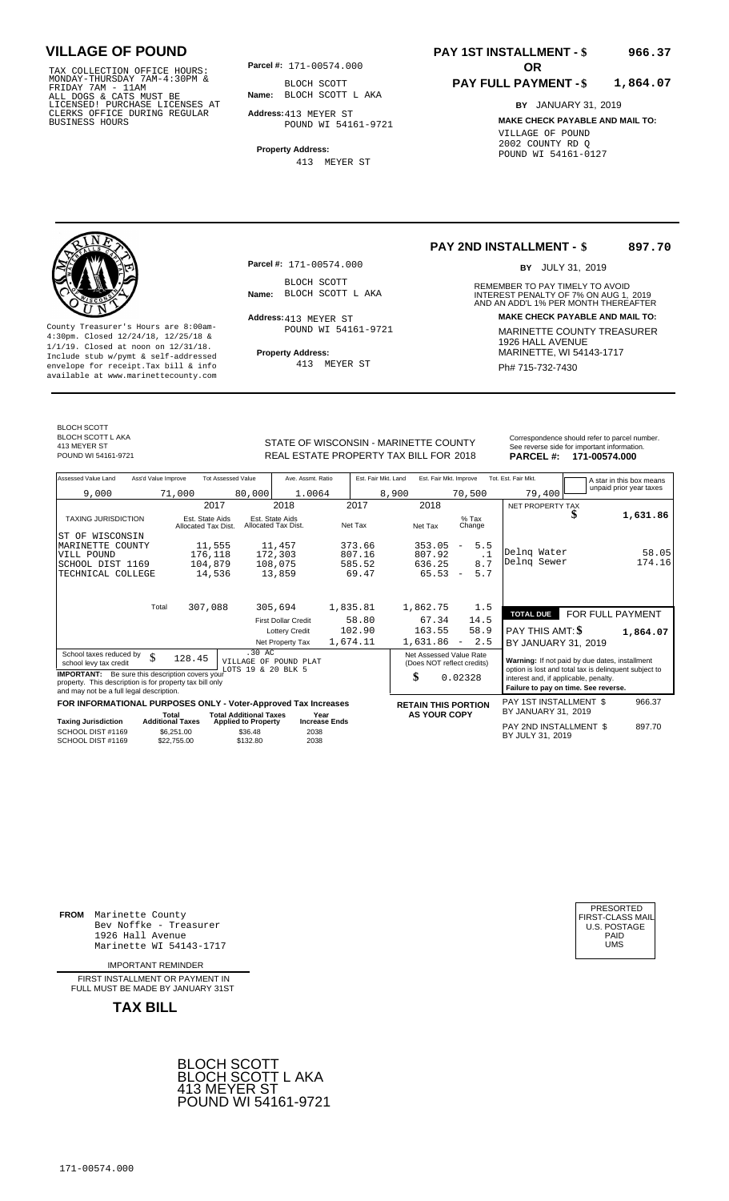TAX COLLECTION OFFICE HOURS:<br>
MONDAY-THURSDAY 7AM-4:30PM &<br>
FRIDAY 7AM - 11AM<br>
ALL DOGS & CATS MUST BE<br>
LICENSED! PURCHASE LICENSES AT<br>
CLERKS OFFICE DURING REGULAR<br>
CLERKS OFFICE DURING REGULAR<br>
BUSINESS HOURS<br>
BUSINESS H

**Parcel #:** 171-00574.000

**Name:** BLOCH SCOTT L AKA BLOCH SCOTT

**Address:** 413 MEYER ST POUND WI 54161-9721

**Property Address:** 413 MEYER ST

#### **PAY 1ST INSTALLMENT - \$ 966.37**

#### **PAY FULL PAYMENT - \$ 1,864.07**

**BY** JANUARY 31, 2019 **MAKE CHECK PAYABLE AND MAIL TO:** VILLAGE OF POUND 2002 COUNTY RD Q POUND WI 54161-0127



**Property Address:** MARINETTE, WI 54143-1717 Include stub w/pymt & self-addressed envelope for receipt.Tax bill & info Fig. 2014 413 MEYER ST Phase Research Ph# 715-732-7430 available at www.marinettecounty.com

**Parcel #:** 171-00574.000

BLOCH SCOTT<br>Name: BLOCH SCOTT L AKA

Address: 413 MEYER ST POUND WI 54161-9721

413 MEYER ST

#### **PAY 2ND INSTALLMENT - \$ 897.70**

BY JULY 31, 2019

REMEMBER TO PAY TIMELY TO AVOID **Name:** BLOCH SCOTT L AKA **INTEREST PENALTY OF 7% ON AUG 1, 2019**<br>AND AN ADD'L 1% PER MONTH THEREAFTER **Address: MAKE CHECK PAYABLE AND MAIL TO:** County Treasurer's Hours are 8:00am-<br>
4:30pm. Closed 12/24/18, 12/25/18 & MARINETTE COUNTY TREASURER<br>
1/1/19. Closed at noon on 12/31/18.<br>
Include stub w/pwmt & self-addressed<br>
Property Address: MARINETTE, WI 54143-1717

BLOCH SCOTT BLOCH SCOTT L AKA 413 MEYER ST

STATE OF WISCONSIN - MARINETTE COUNTY<br>
See reverse side for important information.<br>
REAL ESTATE PROPERTY TAX BILL FOR 2018 PARCEL #: 171-00574.000 POUND WI 54161-9721 **171-00574.000** REAL ESTATE PROPERTY TAX BILL FOR 2018 **PARCEL #: 171-00574.000** 

| Assessed Value Land        | Ass'd Value Improve | <b>Tot Assessed Value</b>              |                                        | Ave. Assmt. Ratio | Est. Fair Mkt. Land | Est. Fair Mkt. Improve |                   | Tot. Est. Fair Mkt. | A star in this box means |
|----------------------------|---------------------|----------------------------------------|----------------------------------------|-------------------|---------------------|------------------------|-------------------|---------------------|--------------------------|
| 9,000                      | 71,000              |                                        | 80,000                                 | 1.0064            | 8,900               |                        | 70,500            | 79,400              | unpaid prior year taxes  |
|                            |                     | 2017                                   | 2018                                   |                   | 2017                | 2018                   |                   | NET PROPERTY TAX    |                          |
| <b>TAXING JURISDICTION</b> |                     | Est. State Aids<br>Allocated Tax Dist. | Est. State Aids<br>Allocated Tax Dist. |                   | Net Tax             | Net Tax                | $%$ Tax<br>Change |                     | 1,631.86                 |
| ST OF<br>WISCONSIN         |                     |                                        |                                        |                   |                     |                        |                   |                     |                          |
| MARINETTE COUNTY           |                     | 11,555                                 | 11,457                                 |                   | 373.66              | 353.05                 | 5.5<br>-          |                     |                          |
| TITT T DOIDID              |                     | $1.777$ 110                            | 1.70.202                               |                   | 007.1c              | 0.0700                 |                   | Delng Water         | 58 05                    |

|                                                                                                                                                                                                                              | 2017                                                 | 2018                                                                    | 2017                                | 2018                                                        |                                                                                        | NET PROPERTY TAX                                                                                                                                                                         |                  |
|------------------------------------------------------------------------------------------------------------------------------------------------------------------------------------------------------------------------------|------------------------------------------------------|-------------------------------------------------------------------------|-------------------------------------|-------------------------------------------------------------|----------------------------------------------------------------------------------------|------------------------------------------------------------------------------------------------------------------------------------------------------------------------------------------|------------------|
| <b>TAXING JURISDICTION</b>                                                                                                                                                                                                   | Est. State Aids<br>Allocated Tax Dist.               | Est. State Aids<br>Allocated Tax Dist.                                  | Net Tax                             | Net Tax                                                     | $%$ Tax<br>Change                                                                      | D                                                                                                                                                                                        | 1,631.86         |
| WISCONSIN<br>ST OF<br>MARINETTE COUNTY<br>VILL POUND<br>SCHOOL DIST 1169<br>TECHNICAL COLLEGE                                                                                                                                | 11,555<br>176,118<br>104,879<br>14,536               | 11,457<br>172,303<br>108,075<br>13,859                                  | 373.66<br>807.16<br>585.52<br>69.47 | 353.05<br>807.92<br>636.25<br>65.53                         | 5.5<br>$\overline{\phantom{a}}$<br>$\cdot$ 1<br>8.7<br>5.7<br>$\overline{\phantom{a}}$ | Delng Water<br>Delng Sewer                                                                                                                                                               | 58.05<br>174.16  |
| Total                                                                                                                                                                                                                        | 307,088                                              | 305,694                                                                 | 1,835.81                            | 1,862.75                                                    | 1.5                                                                                    | <b>TOTAL DUE</b>                                                                                                                                                                         | FOR FULL PAYMENT |
|                                                                                                                                                                                                                              |                                                      | <b>First Dollar Credit</b><br><b>Lottery Credit</b><br>Net Property Tax | 58.80<br>102.90<br>1,674.11         | 67.34<br>163.55<br>1,631.86                                 | 14.5<br>58.9<br>2.5<br>$\overline{\phantom{a}}$                                        | PAY THIS AMT: <b>\$</b><br>BY JANUARY 31, 2019                                                                                                                                           | 1,864.07         |
| School taxes reduced by<br>\$<br>school levy tax credit<br>Be sure this description covers your<br><b>IMPORTANT:</b><br>property. This description is for property tax bill only<br>and may not be a full legal description. | 128.45                                               | $.30 \text{ AC}$<br>VILLAGE OF POUND PLAT<br>LOTS 19 & 20 BLK 5         |                                     | Net Assessed Value Rate<br>(Does NOT reflect credits)<br>\$ | 0.02328                                                                                | Warning: If not paid by due dates, installment<br>option is lost and total tax is delinquent subject to<br>interest and, if applicable, penalty.<br>Failure to pay on time. See reverse. |                  |
| FOR INFORMATIONAL PURPOSES ONLY - Voter-Approved Tax Increases                                                                                                                                                               | Total                                                | <b>Total Additional Taxes</b>                                           | Year                                | <b>RETAIN THIS PORTION</b><br><b>AS YOUR COPY</b>           |                                                                                        | PAY 1ST INSTALLMENT \$<br>BY JANUARY 31, 2019                                                                                                                                            | 966.37           |
| <b>Taxing Jurisdiction</b><br>SCHOOL DIST #1169<br>SCHOOL DIST #1169                                                                                                                                                         | <b>Additional Taxes</b><br>\$6,251.00<br>\$22,755.00 | <b>Applied to Property</b><br>\$36.48<br>2038<br>2038<br>\$132.80       | <b>Increase Ends</b>                |                                                             |                                                                                        | PAY 2ND INSTALLMENT \$<br>BY JULY 31, 2019                                                                                                                                               | 897.70           |
|                                                                                                                                                                                                                              |                                                      |                                                                         |                                     |                                                             |                                                                                        |                                                                                                                                                                                          |                  |

**FROM** Marinette County Bev Noffke - Treasurer (U.S. POSTAGE)<br>1926 Hall Avenue (U.S. POSTAGE)<br>Marinette WI 54143-1717 (UMS 1926 Hall Avenue Marinette WI 54143-1717

IMPORTANT REMINDER

FIRST INSTALL MENT OR PAYMENT IN FULL MUST BE MADE BY JANUARY 31ST



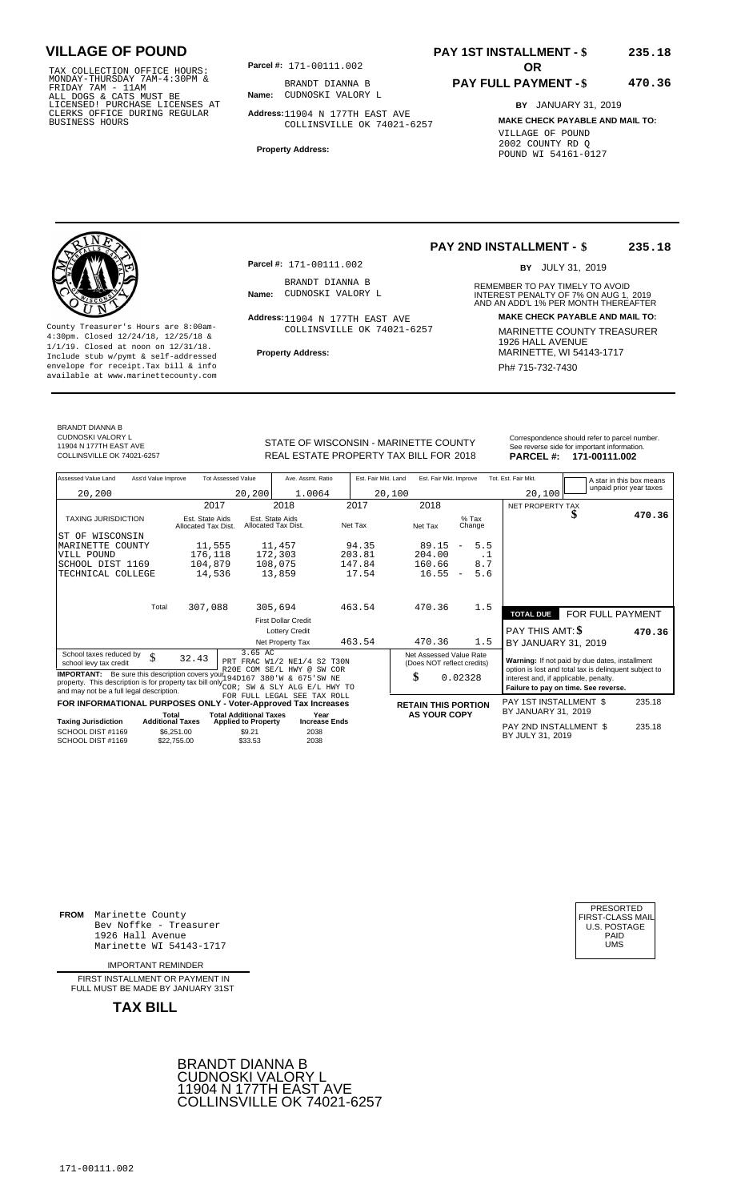TAX COLLECTION OFFICE HOURS: **Parcel#:** 171-00111.002<br>MONDAY-THURSDAY 7AM-4:30PM & BRANDT DIANNA<br>FRIDAY 7AM - 11AM<br>ALL DOGS & CATS MUST BE **Name:** CUDNOSKI VALOF<br>LICENSED! PURCHASE LICENSES AT CLERKS OFFICE DURING REGULAR BUSINESS HOURS

**Parcel #:** 171-00111.002 **OR** 

**Name:** CUDNOSKI VALORY L BRANDT DIANNA B

**Address:** 11904 N 177TH EAST AVE COLLINSVILLE OK 74021-6257

**Property Address:**

### **PAY 1ST INSTALLMENT - \$ 235.18**

#### **PAY FULL PAYMENT - \$ 470.36**

**BY** JANUARY 31, 2019 **MAKE CHECK PAYABLE AND MAIL TO:** VILLAGE OF POUND 2002 COUNTY RD Q POUND WI 54161-0127

County Treasurer's Hours are 8:00am-<br>
4:30pm. Closed 12/24/18, 12/25/18 & COLLINSVILLE OK 74021-6257 MARINETTE COUNTY TREASURER<br>
1/1/19. Closed at noon on 12/31/18.<br>
Include stub w/pwmt & self-addressed **Property Address: Property Address:** MARINETTE, WI 54143-1717 Include stub w/pymt & self-addressed envelope for receipt.Tax bill & info Ph# 715-732-7430 available at www.marinettecounty.com

**Parcel #:** 171-00111.002

BRANDT DIANNA B<br>**Name:** CUDNOSKI VALORY L

COLLINSVILLE OK 74021-6257

#### **PAY 2ND INSTALLMENT - \$ 235.18**

BY JULY 31, 2019

REMEMBER TO PAY TIMELY TO AVOID **Name:** CUDNOSKI VALORY L<br>
AND AN ADD'L 1% PER MONTH THEREAFTER<br>
AND AN ADD'L 1% PER MONTH THEREAFTER **Address: MAKE CHECK PAYABLE AND MAIL TO:** 11904 N 177TH EAST AVE

BRANDT DIANNA B CUDNOSKI VALORY L 11904 N 177TH EAST AVE<br>COLLINSVILLE OK 74021-6257

STATE OF WISCONSIN - MARINETTE COUNTY<br>
See reverse side for important information.<br>
REAL ESTATE PROPERTY TAX BILL FOR 2018 PARCEL #: 171-00111.002 REAL ESTATE PROPERTY TAX BILL FOR **PARCEL #:** COLLINSVILLE OK 74021-6257 2018 **171-00111.002**

| Assessed Value Land<br>Ass'd Value Improve                                                                                                                                                                   |                                        | <b>Tot Assessed Value</b>              | Ave. Assmt. Ratio                     | Est. Fair Mkt. Land | Est. Fair Mkt. Improve                                |                                 | Tot. Est. Fair Mkt.                           |                                                                                                         | A star in this box means |
|--------------------------------------------------------------------------------------------------------------------------------------------------------------------------------------------------------------|----------------------------------------|----------------------------------------|---------------------------------------|---------------------|-------------------------------------------------------|---------------------------------|-----------------------------------------------|---------------------------------------------------------------------------------------------------------|--------------------------|
| 20,200                                                                                                                                                                                                       |                                        | 20, 200                                | 1.0064                                | 20,100              |                                                       |                                 | 20,100                                        |                                                                                                         | unpaid prior year taxes  |
|                                                                                                                                                                                                              | 2017                                   |                                        | 2018                                  | 2017                | 2018                                                  |                                 | NET PROPERTY TAX                              |                                                                                                         |                          |
| <b>TAXING JURISDICTION</b>                                                                                                                                                                                   | Est. State Aids<br>Allocated Tax Dist. | Est. State Aids<br>Allocated Tax Dist. |                                       | Net Tax             | Net Tax                                               | $%$ Tax<br>Change               |                                               |                                                                                                         | 470.36                   |
| WISCONSIN<br>ST OF                                                                                                                                                                                           |                                        |                                        |                                       |                     |                                                       |                                 |                                               |                                                                                                         |                          |
| MARINETTE<br>COUNTY                                                                                                                                                                                          | 11,555                                 |                                        | 11,457                                | 94.35               | 89.15                                                 | 5.5<br>$\qquad \qquad -$        |                                               |                                                                                                         |                          |
| VILL POUND                                                                                                                                                                                                   | 176,118                                |                                        | 172,303                               | 203.81              | 204.00                                                | . 1                             |                                               |                                                                                                         |                          |
| SCHOOL DIST 1169                                                                                                                                                                                             | 104,879                                |                                        | 108,075                               | 147.84              | 160.66                                                | 8.7                             |                                               |                                                                                                         |                          |
| TECHNICAL COLLEGE                                                                                                                                                                                            | 14,536                                 |                                        | 13,859                                | 17.54               | 16.55                                                 | 5.6<br>$\overline{\phantom{a}}$ |                                               |                                                                                                         |                          |
| Total                                                                                                                                                                                                        |                                        |                                        |                                       | 463.54              | 470.36                                                | 1.5                             |                                               |                                                                                                         |                          |
|                                                                                                                                                                                                              | 307,088                                |                                        | 305,694                               |                     |                                                       |                                 | <b>TOTAL DUE</b>                              | FOR FULL PAYMENT                                                                                        |                          |
|                                                                                                                                                                                                              |                                        |                                        | <b>First Dollar Credit</b>            |                     |                                                       |                                 |                                               |                                                                                                         |                          |
|                                                                                                                                                                                                              |                                        |                                        | <b>Lottery Credit</b>                 |                     |                                                       |                                 | PAY THIS AMT: \$                              |                                                                                                         | 470.36                   |
|                                                                                                                                                                                                              |                                        |                                        | Net Property Tax                      | 463.54              | 470.36                                                | 1.5                             | BY JANUARY 31, 2019                           |                                                                                                         |                          |
| School taxes reduced by<br>\$<br>school levy tax credit                                                                                                                                                      | 32.43                                  | 3.65 AC<br>R20E COM SE/L HWY @         | PRT FRAC W1/2 NE1/4 S2 T30N<br>SW COR |                     | Net Assessed Value Rate<br>(Does NOT reflect credits) |                                 |                                               | Warning: If not paid by due dates, installment<br>option is lost and total tax is delinquent subject to |                          |
| <b>IMPORTANT:</b> Be sure this description covers you 194D167 380'W & 675'SW NE<br>property. This description is for property tax bill only $\sim$ $\sim$ $\sim$<br>and may not be a full legal description. |                                        |                                        | SW & SLY ALG E/L HWY TO               |                     | \$                                                    | 0.02328                         | interest and, if applicable, penalty.         | Failure to pay on time. See reverse.                                                                    |                          |
|                                                                                                                                                                                                              |                                        |                                        | FOR FULL LEGAL SEE TAX ROLL           |                     |                                                       |                                 |                                               |                                                                                                         |                          |
| FOR INFORMATIONAL PURPOSES ONLY - Voter-Approved Tax Increases                                                                                                                                               |                                        | <b>Total Additional Taxes</b>          |                                       |                     | <b>RETAIN THIS PORTION</b>                            |                                 | PAY 1ST INSTALLMENT \$<br>BY JANUARY 31, 2019 |                                                                                                         | 235.18                   |
| <b>Taxing Jurisdiction</b>                                                                                                                                                                                   | Total<br><b>Additional Taxes</b>       | <b>Applied to Property</b>             | Year<br><b>Increase Ends</b>          |                     | <b>AS YOUR COPY</b>                                   |                                 |                                               |                                                                                                         |                          |
| SCHOOL DIST #1169<br>SCHOOL DIST #1169                                                                                                                                                                       | \$6,251.00<br>\$22,755,00              | \$9.21<br>\$33.53                      | 2038<br>2038                          |                     |                                                       |                                 | PAY 2ND INSTALLMENT \$<br>BY JULY 31, 2019    |                                                                                                         | 235.18                   |

**FROM** Marinette County Bev Noffke - Treasurer (U.S. POSTAGE)<br>1926 Hall Avenue (U.S. POSTAGE)<br>Marinette WI 54143-1717 (UMS 1926 Hall Avenue Marinette WI 54143-1717

IMPORTANT REMINDER

FIRST INSTALL MENT OR PAYMENT IN FULL MUST BE MADE BY JANUARY 31ST



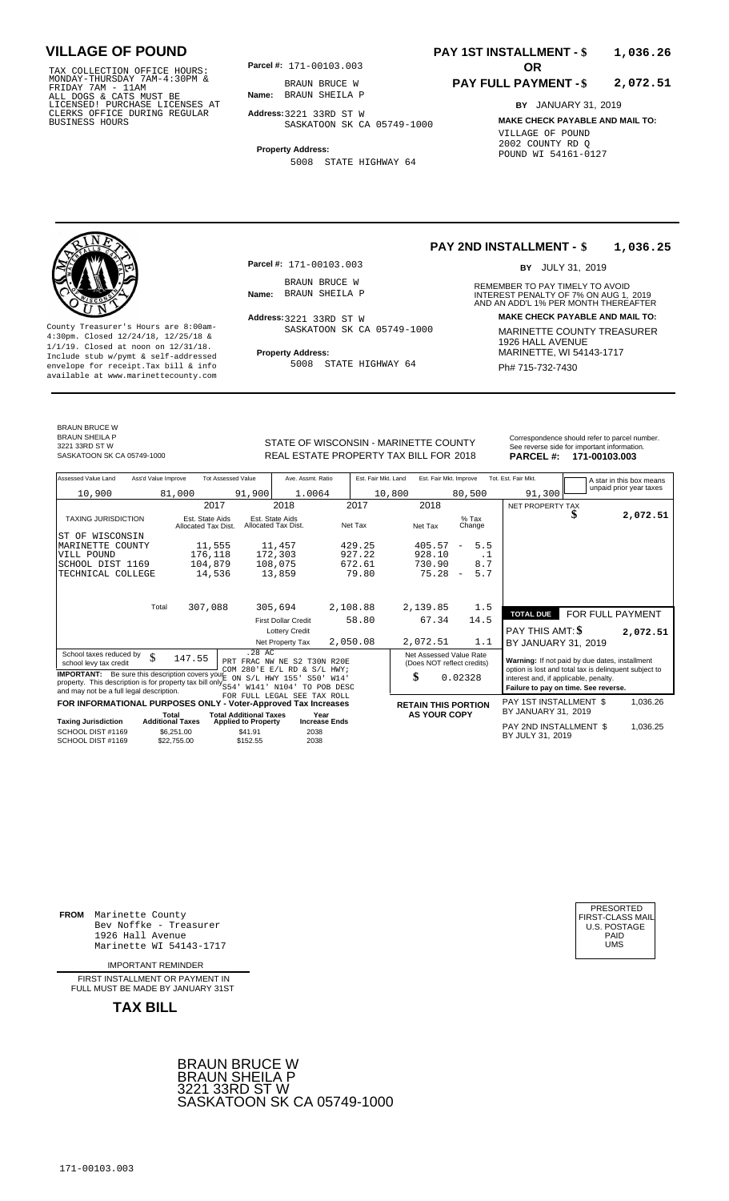TAX COLLECTION OFFICE HOURS:<br>
MONDAY-THURSDAY 7AM-4:30PM &<br>
FRIDAY 7AM - 11AM<br>
ALL DOGS & CATS MUST BE<br>
LICENSED! PURCHASE LICENSES AT<br>
CLERKS OFFICE DURING REGULAR<br>
CLERKS OFFICE DURING REGULAR<br>
BUSINESS HOURS<br>
BUSINESS H

**Parcel #: OR**

**Name:** BRAUN SHEILA P BRAUN BRUCE W

**Address:** 3221 33RD ST W

SASKATOON SK CA 05749-1000

**Property Address:** 5008 STATE HIGHWAY 64

#### **PAY 1ST INSTALLMENT - \$ 1,036.26**

#### **PAY FULL PAYMENT - \$ 2,072.51**

**BY** JANUARY 31, 2019 **MAKE CHECK PAYABLE AND MAIL TO:** VILLAGE OF POUND 2002 COUNTY RD Q POUND WI 54161-0127

**Property Address:** MARINETTE, WI 54143-1717 Include stub w/pymt & self-addressed envelope for receipt.Tax bill & info Ph# 715-732-7430 available at www.marinettecounty.com

**Parcel #:** 171-00103.003

BRAUN BRUCE W<br>**Name:** BRAUN SHEILA P

Address: 3221 33RD ST W SASKATOON SK CA 05749-1000

5008 STATE HIGHWAY 64

**PAY 2ND INSTALLMENT - \$ 1,036.25** BY JULY 31, 2019

REMEMBER TO PAY TIMELY TO AVOID **Name:** INTEREST PENALTY OF 7% ON AUG 1, AND AN ADD'L 1% PER MONTH THEREAFTER BRAUN SHEILA P 2019 **Address: MAKE CHECK PAYABLE AND MAIL TO:** County Treasurer's Hours are 8:00am-<br>
4:30pm. Closed 12/24/18, 12/25/18 & SASKATOON SK CA 05749-1000 MARINETTE COUNTY TREASURER<br>
1/1/19. Closed at noon on 12/31/18.<br>
Include stub w/pwmt & self-addressed **Property Address:** 

BRAUN BRUCE W BRAUN SHEILA P 3221 33RD ST W

Correspondence should refer to parcel n<br>
See reverse side for important informatic<br>
REAL ESTATE PROPERTY TAX BILL FOR 2018 PARCEL #: 171-00103.003 REAL ESTATE PROPERTY TAX BILL FOR **PARCEL #:** SASKATOON SK CA 05749-1000 2018 **171-00103.003**

| Correspondence should refer to parcel number. |
|-----------------------------------------------|
| See reverse side for important information.   |
| .<br>------                                   |

| Assessed Value Land                                                                                                                                                              | Ass'd Value Improve                    | <b>Tot Assessed Value</b>     | Ave. Assmt. Ratio                                             | Est. Fair Mkt. Land | Est. Fair Mkt. Improve                                |                                 | Tot. Est. Fair Mkt.                                                                                     |                         | A star in this box means |
|----------------------------------------------------------------------------------------------------------------------------------------------------------------------------------|----------------------------------------|-------------------------------|---------------------------------------------------------------|---------------------|-------------------------------------------------------|---------------------------------|---------------------------------------------------------------------------------------------------------|-------------------------|--------------------------|
| 10,900                                                                                                                                                                           | 81,000                                 | 91,900                        | 1.0064                                                        | 10,800              |                                                       | 80,500                          | 91,300                                                                                                  |                         | unpaid prior year taxes  |
|                                                                                                                                                                                  |                                        | 2017                          | 2018                                                          | 2017                | 2018                                                  |                                 | NET PROPERTY TAX                                                                                        |                         |                          |
| <b>TAXING JURISDICTION</b>                                                                                                                                                       | Est. State Aids<br>Allocated Tax Dist. |                               | Est. State Aids<br>Allocated Tax Dist.                        | Net Tax             | Net Tax                                               | $%$ Tax<br>Change               |                                                                                                         | \$                      | 2,072.51                 |
| IST OF WISCONSIN                                                                                                                                                                 |                                        |                               |                                                               |                     |                                                       |                                 |                                                                                                         |                         |                          |
| MARINETTE COUNTY                                                                                                                                                                 |                                        | 11,555                        | 11,457                                                        | 429.25              | 405.57                                                | 5.5<br>$\overline{\phantom{0}}$ |                                                                                                         |                         |                          |
| VILL POUND                                                                                                                                                                       | 176,118                                |                               | 172,303                                                       | 927.22              | 928.10                                                | . 1                             |                                                                                                         |                         |                          |
| SCHOOL DIST 1169                                                                                                                                                                 | 104,879                                |                               | 108,075                                                       | 672.61              | 730.90                                                | 8.7                             |                                                                                                         |                         |                          |
| TECHNICAL COLLEGE                                                                                                                                                                |                                        | 14,536                        | 13,859                                                        | 79.80               | 75.28                                                 | 5.7<br>$\overline{\phantom{m}}$ |                                                                                                         |                         |                          |
|                                                                                                                                                                                  | Total<br>307,088                       |                               | 305,694                                                       | 2,108.88            | 2,139.85                                              | 1.5                             |                                                                                                         |                         |                          |
|                                                                                                                                                                                  |                                        |                               |                                                               |                     |                                                       |                                 | <b>TOTAL DUE</b>                                                                                        | <b>FOR FULL PAYMENT</b> |                          |
|                                                                                                                                                                                  |                                        |                               | <b>First Dollar Credit</b>                                    | 58.80               | 67.34                                                 | 14.5                            |                                                                                                         |                         |                          |
|                                                                                                                                                                                  |                                        |                               | <b>Lottery Credit</b>                                         |                     |                                                       |                                 | PAY THIS AMT: \$                                                                                        |                         | 2,072.51                 |
|                                                                                                                                                                                  |                                        |                               | Net Property Tax                                              | 2,050.08            | 2,072.51                                              | 1.1                             | BY JANUARY 31, 2019                                                                                     |                         |                          |
| School taxes reduced by<br>\$<br>school levy tax credit                                                                                                                          | 147.55                                 | .28 AC                        | PRT FRAC NW NE S2 T30N R20E<br>COM 280'E E/L RD & S/L HWY;    |                     | Net Assessed Value Rate<br>(Does NOT reflect credits) |                                 | Warning: If not paid by due dates, installment<br>option is lost and total tax is delinquent subject to |                         |                          |
| <b>IMPORTANT:</b> Be sure this description covers your<br>property. This description is for property tax bill only $\frac{1}{554}$ .<br>and may not be a full legal description. |                                        | ON<br>W141' N104'             | S/L HWY 155'<br>S50'<br>W14'<br>TO POB DESC                   |                     | \$                                                    | 0.02328                         | interest and, if applicable, penalty.<br>Failure to pay on time. See reverse.                           |                         |                          |
| FOR INFORMATIONAL PURPOSES ONLY                                                                                                                                                  |                                        |                               | FOR FULL LEGAL SEE TAX ROLL<br>- Voter-Approved Tax Increases |                     | <b>RETAIN THIS PORTION</b>                            |                                 | PAY 1ST INSTALLMENT \$                                                                                  |                         | 1,036.26                 |
|                                                                                                                                                                                  | Total                                  | <b>Total Additional Taxes</b> | Year                                                          |                     | <b>AS YOUR COPY</b>                                   |                                 | BY JANUARY 31, 2019                                                                                     |                         |                          |
| <b>Taxing Jurisdiction</b>                                                                                                                                                       | <b>Additional Taxes</b>                | <b>Applied to Property</b>    | <b>Increase Ends</b>                                          |                     |                                                       |                                 | PAY 2ND INSTALLMENT \$                                                                                  |                         | 1,036.25                 |
| SCHOOL DIST #1169<br>SCHOOL DIST #1169                                                                                                                                           | \$6,251.00<br>\$22,755.00              | \$41.91<br>\$152.55           | 2038<br>2038                                                  |                     |                                                       |                                 | BY JULY 31, 2019                                                                                        |                         |                          |

**FROM** Marinette County Bev Noffke - Treasurer (U.S. POSTAGE)<br>1926 Hall Avenue (U.S. POSTAGE)<br>Marinette WI 54143-1717 (U.S. POSTAGE) 1926 Hall Avenue Marinette WI 54143-1717

IMPORTANT REMINDER

FIRST INSTALLMENT OR PAYMENT IN FULL MUST BE MADE BY JANUARY 31ST



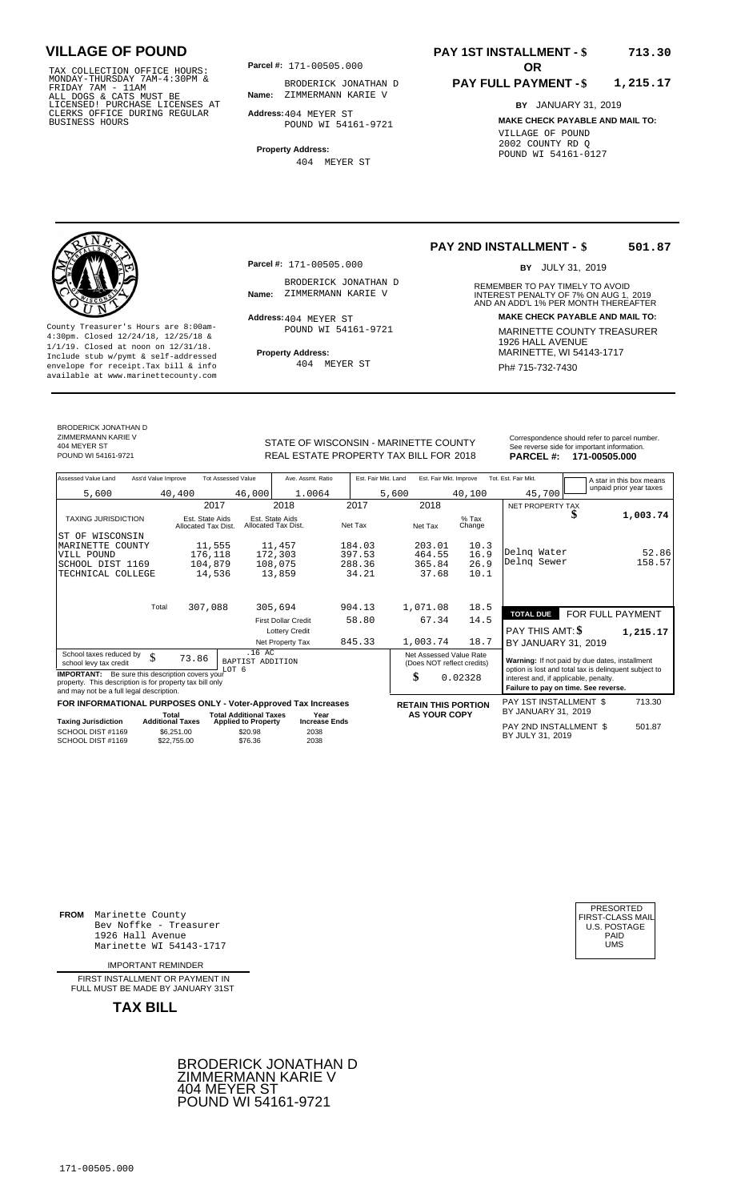TAX COLLECTION OFFICE HOURS:<br>
MONDAY-THURSDAY 7AM-4:30PM &<br>
FRIDAY 7AM - 11AM<br>
ALL DOGS & CATS MUST BE<br>
LICENSED I PURCHASE LICENSES AT<br>
CLERKS OFFICE DURING REGULAR<br>
CLERKS OFFICE DURING REGULAR<br>
BUSINESS HOURS<br>
BUSINESS

**Parcel #:** 171-00505.000

**Name:** ZIMMERMANN KARIE V BRODERICK JONATHAN D

**Address:** 404 MEYER ST POUND WI 54161-9721

**Property Address:** 404 MEYER ST

### **PAY 1ST INSTALLMENT - \$ 713.30**

#### **PAY FULL PAYMENT - \$ 1,215.17**

**BY** JANUARY 31, 2019 **MAKE CHECK PAYABLE AND MAIL TO:** VILLAGE OF POUND 2002 COUNTY RD Q POUND WI 54161-0127

**Property Address:** MARINETTE, WI 54143-1717 Include stub w/pymt & self-addressed envelope for receipt.Tax bill & info Ph# 715-732-7430 available at www.marinettecounty.com

**Parcel #:** 171-00505.000

BRODERICK JONATHAN D<br>Name: ZIMMERMANN KARIE V

Address: 404 MEYER ST POUND WI 54161-9721

404 MEYER ST

#### **PAY 2ND INSTALLMENT - \$ 501.87**

BY JULY 31, 2019

REMEMBER TO PAY TIMELY TO AVOID **Name:** INTEREST PENALTY OF 7% ON AUG 1, AND AN ADD'L 1% PER MONTH THEREAFTER ZIMMERMANN KARIE V 2019 **Address: MAKE CHECK PAYABLE AND MAIL TO:** County Treasurer's Hours are 8:00am-<br>
4:30pm. Closed 12/24/18, 12/25/18 & 1/1/19. Closed at noon on 12/31/18.<br>
Include stub w/pwmt. & self-addressed<br>
Froperty Address: MARINETTE, WI 54143-1717

BRODERICK JONATHAN D ZIMMERMANN KARIE V 404 MEYER ST

STATE OF WISCONSIN - MARINETTE COUNTY REAL ESTATE PROPERTY TAX BILL FOR **PARCEL #:** POUND WI 54161-9721 2018 **171-00505.000**

| Correspondence should refer to parcel number. |
|-----------------------------------------------|
| See reverse side for important information.   |
| <b>DADOFI 4. 474 00505 000</b>                |

| Assessed Value Land                                                                                                       | Ass'd Value Improve |                                        | <b>Tot Assessed Value</b>    | Ave. Assmt. Ratio                      |         | Est. Fair Mkt. Land | Est. Fair Mkt. Improve  |                            | Tot. Est. Fair Mkt.                                                                                                                    |   | A star in this box means |
|---------------------------------------------------------------------------------------------------------------------------|---------------------|----------------------------------------|------------------------------|----------------------------------------|---------|---------------------|-------------------------|----------------------------|----------------------------------------------------------------------------------------------------------------------------------------|---|--------------------------|
| 5,600                                                                                                                     |                     | 40,400                                 | 46,000                       | 1.0064                                 |         | 5,600               |                         | 40,100                     | 45,700                                                                                                                                 |   | unpaid prior year taxes  |
|                                                                                                                           |                     | 2017                                   |                              | 2018                                   | 2017    |                     | 2018                    |                            | NET PROPERTY TAX                                                                                                                       |   |                          |
| TAXING JURISDICTION                                                                                                       |                     | Est. State Aids<br>Allocated Tax Dist. |                              | Est. State Aids<br>Allocated Tax Dist. | Net Tax |                     | Net Tax                 | $%$ Tax<br>Change          |                                                                                                                                        | Φ | 1,003.74                 |
| WISCONSIN<br>ST OF                                                                                                        |                     |                                        |                              |                                        |         |                     |                         |                            |                                                                                                                                        |   |                          |
| MARINETTE COUNTY                                                                                                          |                     | 11,555                                 |                              | 11,457                                 | 184.03  |                     | 203.01                  | 10.3                       |                                                                                                                                        |   |                          |
| VILL POUND                                                                                                                |                     | 176,118                                |                              | 172,303                                | 397.53  |                     | 464.55                  | 16.9                       | Delng Water                                                                                                                            |   | 52.86                    |
| SCHOOL DIST 1169                                                                                                          |                     | 104,879                                |                              | 108,075                                | 288.36  |                     | 365.84                  | 26.9                       | Delng Sewer                                                                                                                            |   | 158.57                   |
| TECHNICAL COLLEGE                                                                                                         |                     | 14,536                                 |                              | 13,859                                 | 34.21   |                     | 37.68                   | 10.1                       |                                                                                                                                        |   |                          |
|                                                                                                                           | Total               | 307,088                                |                              | 305,694                                | 904.13  |                     | 1,071.08                | 18.5                       | <b>TOTAL DUE</b>                                                                                                                       |   | FOR FULL PAYMENT         |
|                                                                                                                           |                     |                                        |                              | <b>First Dollar Credit</b>             | 58.80   |                     | 67.34                   | 14.5                       |                                                                                                                                        |   |                          |
|                                                                                                                           |                     |                                        |                              | <b>Lottery Credit</b>                  |         |                     |                         |                            | PAY THIS AMT: \$                                                                                                                       |   | 1,215.17                 |
|                                                                                                                           |                     |                                        |                              | Net Property Tax                       | 845.33  |                     | 1,003.74                | 18.7                       | BY JANUARY 31, 2019                                                                                                                    |   |                          |
| School taxes reduced by<br>school levy tax credit                                                                         | \$                  | 73.86                                  | $.16$ AC<br>BAPTIST ADDITION |                                        |         |                     | Net Assessed Value Rate | (Does NOT reflect credits) | Warning: If not paid by due dates, installment                                                                                         |   |                          |
| <b>IMPORTANT:</b><br>property. This description is for property tax bill only<br>and may not be a full legal description. |                     | Be sure this description covers your   | T.OT 6                       |                                        |         |                     | \$                      | 0.02328                    | option is lost and total tax is delinquent subject to<br>interest and, if applicable, penalty.<br>Failure to pay on time. See reverse. |   |                          |
| <b>COD INCORMATIONAL BURDOCCO ONLY Mater Approved Tax bears</b>                                                           |                     |                                        |                              |                                        |         |                     |                         |                            | DAV 1CT INCTALL MENT C                                                                                                                 |   | 712.20                   |

|                                        |                                  | FOR INFORMATIONAL PURPOSES ONLY - Voter-Approved Tax Increases |                              | <b>RETAIN THIS PORTION</b> | PAY 1ST INSTALLMENT \$                     | 713.30 |
|----------------------------------------|----------------------------------|----------------------------------------------------------------|------------------------------|----------------------------|--------------------------------------------|--------|
| <b>Taxing Jurisdiction</b>             | Total<br><b>Additional Taxes</b> | <b>Total Additional Taxes</b><br><b>Applied to Property</b>    | Year<br><b>Increase Ends</b> | <b>AS YOUR COPY</b>        | BY JANUARY 31, 2019                        |        |
| SCHOOL DIST #1169<br>SCHOOL DIST #1169 | \$6.251.00<br>\$22,755,00        | \$20.98<br>\$76.36                                             | 2038<br>2038                 |                            | PAY 2ND INSTALLMENT \$<br>BY JULY 31, 2019 | 501.87 |

**FROM** Marinette County Bev Noffke - Treasurer 1926 Hall Avenue PAID Marinette WI 54143-1717 UMS

IMPORTANT REMINDER

FIRST INSTALLMENT OR PAYMENT IN FULL MUST BE MADE BY JANUARY 31ST



| PRESORTED        |
|------------------|
| FIRST-CLASS MAIL |
| U.S. POSTAGE     |
| PAID             |
| UMS              |
|                  |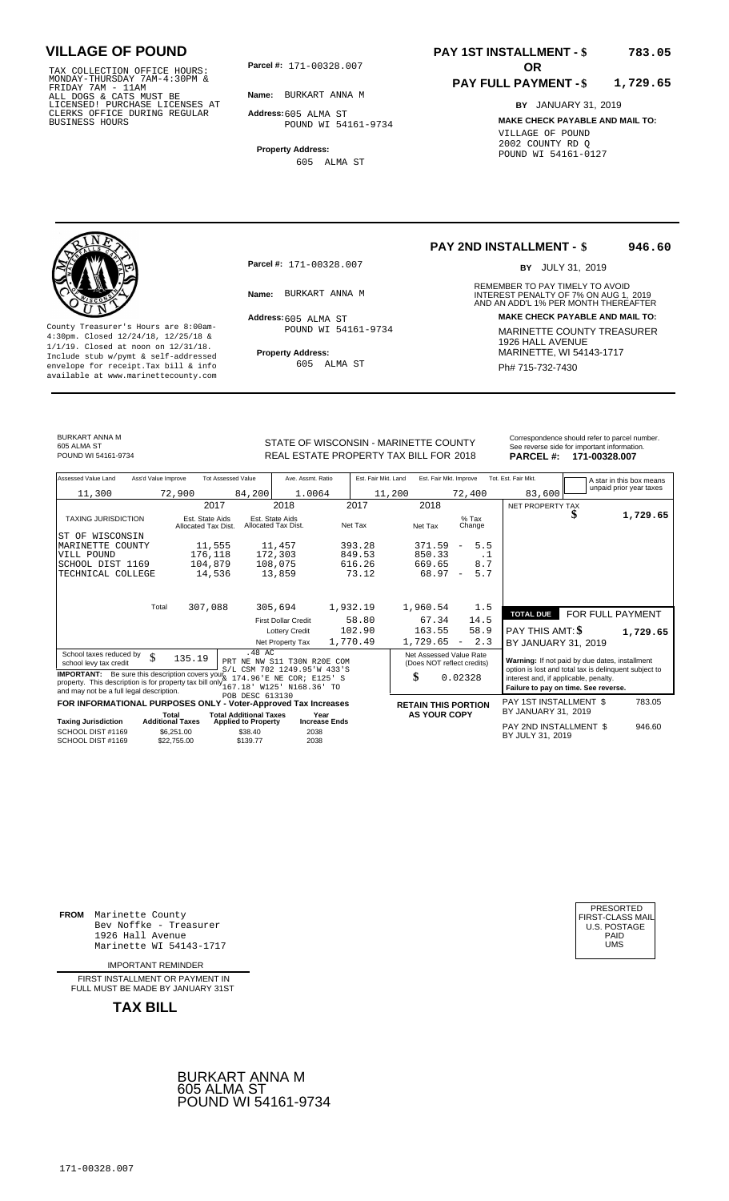TAX COLLECTION OFFICE HOURS:<br>
MONDAY-THURSDAY 7AM-4:30PM &<br>
FRIDAY 7AM - 11AM<br>
ALL DOGS & CATS MUST BE<br>
LICENSED! PURCHASE LICENSES AT<br>
CLERKS OFFICE DURING REGULAR<br>
CLERKS OFFICE DURING REGULAR<br>
BUSINESS HOURS<br>
BUSINESS H

**Parcel #: OR**

**Name:** BURKART ANNA M

**Address:** 605 ALMA ST POUND WI 54161-9734

**Property Address:** 605 ALMA ST

#### **PAY 1ST INSTALLMENT - \$ 783.05**

#### **PAY FULL PAYMENT - \$ 1,729.65**

**BY** JANUARY 31, 2019 **MAKE CHECK PAYABLE AND MAIL TO:** VILLAGE OF POUND 2002 COUNTY RD Q POUND WI 54161-0127

**Property Address:** MARINETTE, WI 54143-1717 Include stub w/pymt & self-addressed envelope for receipt.Tax bill & info Ph# 715-732-7430 available at www.marinettecounty.com

**Parcel #:** 171-00328.007

Address: 605 ALMA ST POUND WI 54161-9734

605 ALMA ST

**PAY 2ND INSTALLMENT - \$ 946.60**

BY JULY 31, 2019

REMEMBER TO PAY TIMELY TO AVOID **Name:** INTEREST PENALTY OF 7% ON AUG 1, AND AN ADD'L 1% PER MONTH THEREAFTER BURKART ANNA M 2019 **Address: MAKE CHECK PAYABLE AND MAIL TO:** County Treasurer's Hours are 8:00am-<br>
4:30pm. Closed 12/24/18, 12/25/18 & MARINETTE COUNTY TREASURER<br>
1/1/19. Closed at noon on 12/31/18.<br>
Include stub w/pwmt. & self-addressed<br>
Property Address:<br>
MARINETTE, WI 54143-1717

| BURKART ANNA M      |
|---------------------|
| 605 ALMA ST         |
| POUND WI 54161-9734 |

| BURKART ANNA M<br>605 ALMA ST<br>POUND WI 54161-9734 |                     |                           | STATE OF WISCONSIN - MARINETTE COUNTY<br>REAL ESTATE PROPERTY TAX BILL FOR 2018 |                     | Correspondence should refer to parcel number.<br>See reverse side for important information.<br>171-00328.007<br><b>PARCEL#:</b> |                     |                         |
|------------------------------------------------------|---------------------|---------------------------|---------------------------------------------------------------------------------|---------------------|----------------------------------------------------------------------------------------------------------------------------------|---------------------|-------------------------|
| Assessed Value Land                                  | Ass'd Value Improve | <b>Tot Assessed Value</b> | Ave. Assmt. Ratio                                                               | Est. Fair Mkt. Land | Est. Fair Mkt. Improve                                                                                                           | Tot. Est. Fair Mkt. | A star in this box mear |
| 11,300                                               | 72,900              | 84,200                    | 1.0064                                                                          | 11,200              | 72,400                                                                                                                           | 83,600              | unpaid prior year taxes |
|                                                      |                     |                           |                                                                                 |                     |                                                                                                                                  |                     |                         |

| Assessed Value Land<br>Ass'd Value Improve                                                                                                                                        | <b>Tot Assessed Value</b>                                   | Ave. Assmt. Ratio                      | Est. Fair Mkt. Land | Est. Fair Mkt. Improve                      | Tot. Est. Fair Mkt.                   | A star in this box means                              |
|-----------------------------------------------------------------------------------------------------------------------------------------------------------------------------------|-------------------------------------------------------------|----------------------------------------|---------------------|---------------------------------------------|---------------------------------------|-------------------------------------------------------|
| 11,300                                                                                                                                                                            | 72,900<br>84,200                                            | 1.0064                                 | 11,200              | 72,400                                      | 83,600                                | unpaid prior year taxes                               |
|                                                                                                                                                                                   | 2017                                                        | 2018                                   | 2017                | 2018                                        | NET PROPERTY TAX                      |                                                       |
| <b>TAXING JURISDICTION</b>                                                                                                                                                        | Est. State Aids<br>Allocated Tax Dist.                      | Est. State Aids<br>Allocated Tax Dist. | Net Tax             | $%$ Tax<br>Net Tax<br>Change                |                                       | 1,729.65                                              |
| ST OF WISCONSIN                                                                                                                                                                   |                                                             |                                        |                     |                                             |                                       |                                                       |
| MARINETTE COUNTY                                                                                                                                                                  | 11,555                                                      | 11,457                                 | 393.28              | 5.5<br>371.59<br>$\overline{\phantom{m}}$   |                                       |                                                       |
| VILL POUND                                                                                                                                                                        | 176,118                                                     | 172,303                                | 849.53              | 850.33<br>. 1                               |                                       |                                                       |
| SCHOOL DIST 1169                                                                                                                                                                  | 104,879                                                     | 108,075                                | 616.26              | 8.7<br>669.65                               |                                       |                                                       |
| TECHNICAL COLLEGE                                                                                                                                                                 | 14,536                                                      | 13,859                                 | 73.12               | 68.97<br>5.7<br>$\overline{\phantom{a}}$    |                                       |                                                       |
|                                                                                                                                                                                   |                                                             |                                        |                     |                                             |                                       |                                                       |
|                                                                                                                                                                                   |                                                             |                                        |                     |                                             |                                       |                                                       |
| Total                                                                                                                                                                             | 307,088                                                     | 305,694                                | 1,932.19            | 1.5<br>1,960.54                             | <b>TOTAL DUE</b>                      | FOR FULL PAYMENT                                      |
|                                                                                                                                                                                   |                                                             | <b>First Dollar Credit</b>             | 58.80               | 14.5<br>67.34                               |                                       |                                                       |
|                                                                                                                                                                                   |                                                             | <b>Lottery Credit</b>                  | 102.90              | 163.55<br>58.9                              | PAY THIS AMT: \$                      | 1,729.65                                              |
|                                                                                                                                                                                   |                                                             | Net Property Tax                       | 1,770.49            | 2.3<br>1,729.65<br>$\overline{\phantom{a}}$ | BY JANUARY 31, 2019                   |                                                       |
| School taxes reduced by<br>\$                                                                                                                                                     | .48 AC                                                      |                                        |                     | Net Assessed Value Rate                     |                                       |                                                       |
| school levy tax credit                                                                                                                                                            | 135.19                                                      | PRT NE NW S11 T30N R20E COM            |                     | (Does NOT reflect credits)                  |                                       | Warning: If not paid by due dates, installment        |
| <b>IMPORTANT:</b> Be sure this description covers you $S/L$ CSM 702 1249.95 W 433 'S<br>property. This description is for property the bill patch $k$ 174.96 'E NE COR ; R125 ' C |                                                             |                                        |                     | \$<br>0.02328                               |                                       | option is lost and total tax is delinquent subject to |
|                                                                                                                                                                                   |                                                             |                                        |                     |                                             | interest and, if applicable, penalty. | Failure to pay on time. See reverse.                  |
| and may not be a full legal description.                                                                                                                                          | POB DESC 613130                                             |                                        |                     |                                             |                                       |                                                       |
| FOR INFORMATIONAL PURPOSES ONLY - Voter-Approved Tax Increases                                                                                                                    |                                                             |                                        |                     | <b>RETAIN THIS PORTION</b>                  | PAY 1ST INSTALLMENT \$                | 783.05                                                |
| Total<br><b>Taxing Jurisdiction</b><br><b>Additional Taxes</b>                                                                                                                    | <b>Total Additional Taxes</b><br><b>Applied to Property</b> | Year<br><b>Increase Ends</b>           |                     | <b>AS YOUR COPY</b>                         | BY JANUARY 31, 2019                   |                                                       |
| SCHOOL DIST #1169                                                                                                                                                                 | \$6,251.00<br>\$38.40                                       | 2038                                   |                     |                                             | PAY 2ND INSTALLMENT \$                | 946.60                                                |
| SCHOOL DIST #1169                                                                                                                                                                 | \$139.77<br>\$22,755.00                                     | 2038                                   |                     |                                             | BY JULY 31, 2019                      |                                                       |

**FROM** Marinette County Bev Noffke - Treasurer (U.S. POSTAGE)<br>1926 Hall Avenue (U.S. POSTAGE)<br>Marinette WI 54143-1717 (U.S. POSTAGE) 1926 Hall Avenue PAID Marinette WI 54143-1717 UMS

IMPORTANT REMINDER

FIRST INSTALLMENT OR PAYMENT IN FULL MUST BE MADE BY JANUARY 31ST



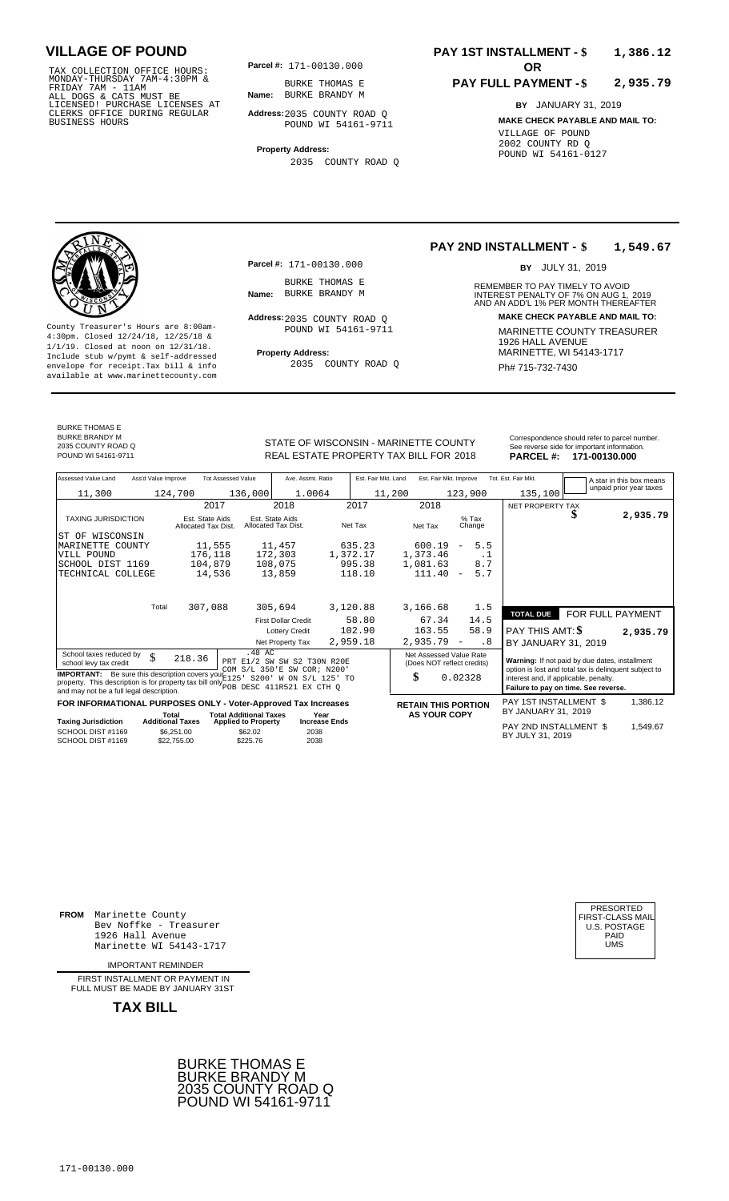TAX COLLECTION OFFICE HOURS:<br>
MONDAY-THURSDAY 7AM-4:30PM &<br>
FRIDAY 7AM - 11AM<br>
ALL DOGS & CATS MUST BE<br>
LICENSED I PURCHASE LICENSES AT<br>
CLERKS OFFICE DURING REGULAR<br>
CLERKS OFFICE DURING REGULAR<br>
BUSINESS HOURS<br>
BUSINESS

**Parcel #: OR**

**Name:** BURKE BRANDY M BURKE THOMAS E

**Address:** 2035 COUNTY ROAD Q POUND WI 54161-9711

**Property Address:** 2035 COUNTY ROAD Q

### **PAY 1ST INSTALLMENT - \$ 1,386.12**

#### **PAY FULL PAYMENT - \$ 2,935.79**

**BY** JANUARY 31, 2019 **MAKE CHECK PAYABLE AND MAIL TO:** VILLAGE OF POUND 2002 COUNTY RD Q POUND WI 54161-0127



**Property Address:** MARINETTE, WI 54143-1717 Include stub w/pymt & self-addressed envelope for receipt.Tax bill & info Ph# 715-732-7430 available at www.marinettecounty.com

### BURKE THOMAS E BURKE BRANDY M 2035 COUNTY ROAD Q POUND WI 54161-9711 2018 **171-00130.000**

**Parcel #:** 171-00130.000

BURKE THOMAS E<br>Name: BURKE BRANDY M

Address: 2035 COUNTY ROAD Q POUND WI 54161-9711

2035 COUNTY ROAD Q

#### **PAY 2ND INSTALLMENT - \$ 1,549.67**

BY JULY 31, 2019

REMEMBER TO PAY TIMELY TO AVOID **Name:** BURKE BRANDY M **INTEREST PENALTY OF 7% ON AUG 1, 2019**<br>AND AN ADD'L 1% PER MONTH THEREAFTER **Address: MAKE CHECK PAYABLE AND MAIL TO:** County Treasurer's Hours are 8:00am-<br>
4:30pm. Closed 12/24/18, 12/25/18 & 1/1/19. Closed at noon on 12/31/18.<br>
Include stub w/pwmt. & self-addressed<br>
Froperty Address: MARINETTE, WI 54143-1717

| v  |                     | Correspondence should refer to parcel number.<br>See reverse side for important information. |
|----|---------------------|----------------------------------------------------------------------------------------------|
| 8  | <b>PARCEL #:</b>    | 171-00130.000                                                                                |
| we | Tot. Est. Fair Mkt. | $\overline{1}$ A etar in thie have moone                                                     |

| Assessed Value Land<br>Ass'd Value Improve                                                                                                        | <b>Tot Assessed Value</b>                                                                       | Ave. Assmt. Ratio                      | Est. Fair Mkt. Land | Est. Fair Mkt. Improve               | Tot. Est. Fair Mkt. |                                               |                                                       | A star in this box means |
|---------------------------------------------------------------------------------------------------------------------------------------------------|-------------------------------------------------------------------------------------------------|----------------------------------------|---------------------|--------------------------------------|---------------------|-----------------------------------------------|-------------------------------------------------------|--------------------------|
| 11,300                                                                                                                                            | 136,000<br>124,700                                                                              | 1.0064                                 | 11,200              | 123,900                              |                     | 135,100                                       |                                                       | unpaid prior year taxes  |
|                                                                                                                                                   | 2017                                                                                            | 2018                                   | 2017                | 2018                                 |                     | NET PROPERTY TAX                              |                                                       |                          |
| <b>TAXING JURISDICTION</b>                                                                                                                        | Est. State Aids<br>Allocated Tax Dist.                                                          | Est. State Aids<br>Allocated Tax Dist. | Net Tax             | $%$ Tax<br>Net Tax<br>Change         |                     |                                               |                                                       | 2,935.79                 |
| OF WISCONSIN<br>ST                                                                                                                                |                                                                                                 |                                        |                     |                                      |                     |                                               |                                                       |                          |
| MARINETTE COUNTY                                                                                                                                  | 11,555                                                                                          | 11,457                                 | 635.23              | 600.19<br>$\overline{\phantom{m}}$   | 5.5                 |                                               |                                                       |                          |
| VILL POUND                                                                                                                                        | 176,118                                                                                         | 172,303                                | 1,372.17            | 1,373.46                             | $\cdot$ 1           |                                               |                                                       |                          |
| SCHOOL DIST 1169                                                                                                                                  | 104,879                                                                                         | 108,075                                | 995.38              | 1,081.63                             | 8.7                 |                                               |                                                       |                          |
| TECHNICAL COLLEGE                                                                                                                                 | 14,536                                                                                          | 13,859                                 | 118.10              | 111.40<br>$\overline{\phantom{m}}$   | 5.7                 |                                               |                                                       |                          |
|                                                                                                                                                   |                                                                                                 |                                        |                     |                                      |                     |                                               |                                                       |                          |
|                                                                                                                                                   |                                                                                                 |                                        |                     |                                      |                     |                                               |                                                       |                          |
| Total                                                                                                                                             | 307,088                                                                                         | 305,694                                | 3,120.88            | 3,166.68                             | 1.5                 |                                               |                                                       |                          |
|                                                                                                                                                   |                                                                                                 | <b>First Dollar Credit</b>             | 58.80               | 67.34                                | 14.5                | <b>TOTAL DUE</b>                              | FOR FULL PAYMENT                                      |                          |
|                                                                                                                                                   |                                                                                                 | <b>Lottery Credit</b>                  | 102.90              | 163.55                               | 58.9                | PAY THIS AMT: \$                              |                                                       | 2,935.79                 |
|                                                                                                                                                   |                                                                                                 | Net Property Tax                       | 2,959.18            | 2,935.79<br>$\overline{\phantom{a}}$ | . 8                 | BY JANUARY 31, 2019                           |                                                       |                          |
| School taxes reduced by                                                                                                                           | .48 AC                                                                                          |                                        |                     | Net Assessed Value Rate              |                     |                                               |                                                       |                          |
| \$<br>school levy tax credit                                                                                                                      | 218.36                                                                                          | PRT E1/2 SW SW S2 T30N R20E            |                     | (Does NOT reflect credits)           |                     |                                               | Warning: If not paid by due dates, installment        |                          |
|                                                                                                                                                   |                                                                                                 | COM S/L 350'E SW COR; N200'            |                     |                                      |                     |                                               | option is lost and total tax is delinquent subject to |                          |
| <b>IMPORTANT:</b> Be sure this description covers your E125<br>property. This description is for property tax bill only The DESC 411R521 EX CTH Q |                                                                                                 | S200' W ON S/L 125' TO                 |                     | \$<br>0.02328                        |                     |                                               | interest and, if applicable, penalty.                 |                          |
| and may not be a full legal description.                                                                                                          |                                                                                                 |                                        |                     |                                      |                     |                                               | Failure to pay on time. See reverse.                  |                          |
| FOR INFORMATIONAL PURPOSES ONLY - Voter-Approved Tax Increases                                                                                    |                                                                                                 |                                        |                     | <b>RETAIN THIS PORTION</b>           |                     | PAY 1ST INSTALLMENT \$<br>BY JANUARY 31, 2019 |                                                       | 1,386.12                 |
| <b>Taxing Jurisdiction</b>                                                                                                                        | <b>Total Additional Taxes</b><br>Total<br><b>Additional Taxes</b><br><b>Applied to Property</b> | Year<br><b>Increase Ends</b>           |                     | <b>AS YOUR COPY</b>                  |                     |                                               |                                                       |                          |
| SCHOOL DIST #1169<br>SCHOOL DIST #1169                                                                                                            | \$6.251.00<br>\$62.02<br>\$225.76<br>\$22.755.00                                                | 2038<br>2038                           |                     |                                      |                     | PAY 2ND INSTALLMENT \$<br>BY JULY 31, 2019    |                                                       | 1,549.67                 |

**FROM** Marinette County Bev Noffke - Treasurer 1926 Hall Avenue PAID Marinette WI 54143-1717 UMS

IMPORTANT REMINDER

FIRST INSTALLMENT OR PAYMENT IN FULL MUST BE MADE BY JANUARY 31ST



| PRESORTED           |
|---------------------|
| FIRST-CLASS MAIL    |
| <b>U.S. POSTAGE</b> |
| PAID                |
| UMS                 |
|                     |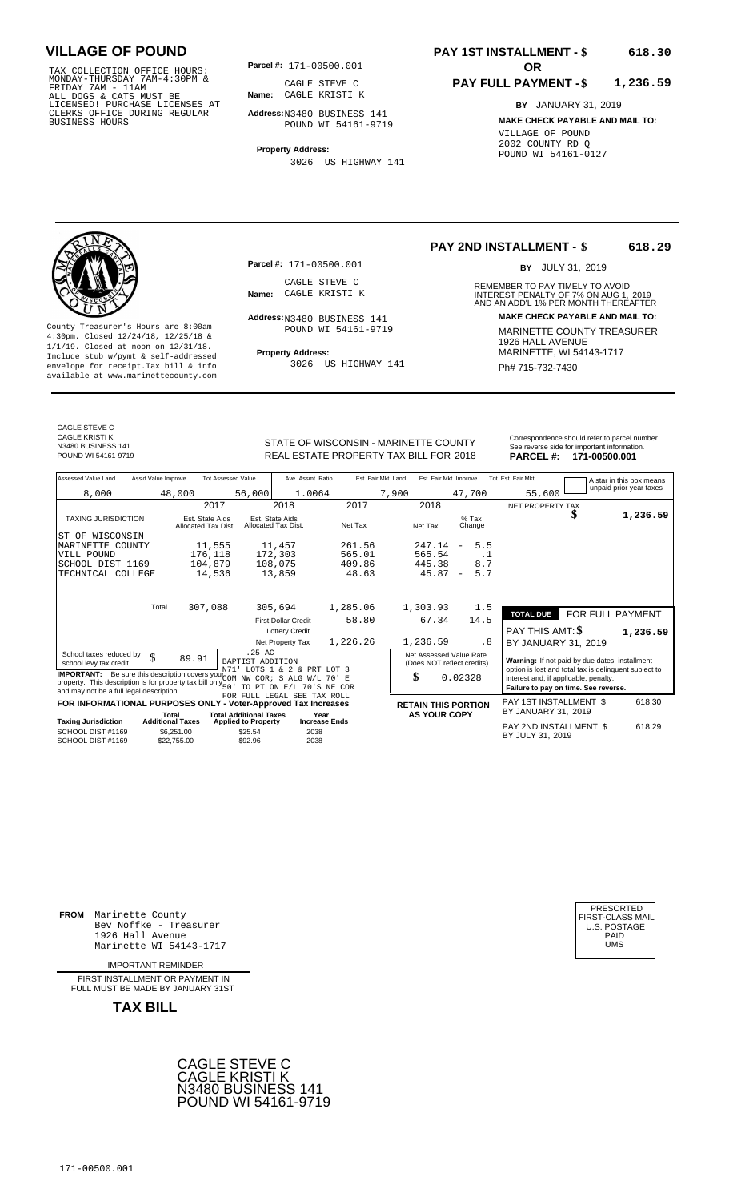TAX COLLECTION OFFICE HOURS: **Parcel#:** 171-00500.001<br>MONDAY-THURSDAY 7AM-4:30PM & CAGLE STEVE C<br>FRIDAY 7AM - 11AM<br>ALL DOGS & CATS MUST BE **Name:** CAGLE KRISTI K<br>LICENSED! PURCHASE LICENSES AT CLERKS OFFICE DURING REGULAR BUSINESS HOURS

**Parcel #: OR**

**Name:** CAGLE KRISTI K CAGLE STEVE C

**Address:** N3480 BUSINESS 141 POUND WI 54161-9719

**Property Address:** 3026 US HIGHWAY 141

### **PAY 1ST INSTALLMENT - \$ 618.30**

#### **PAY FULL PAYMENT - \$ 1,236.59**

**BY** JANUARY 31, 2019 **MAKE CHECK PAYABLE AND MAIL TO:** VILLAGE OF POUND 2002 COUNTY RD Q POUND WI 54161-0127

**Property Address:** MARINETTE, WI 54143-1717 Include stub w/pymt & self-addressed envelope for receipt.Tax bill & info Ph# 715-732-7430 available at www.marinettecounty.com

**Parcel #:** 171-00500.001

CAGLE STEVE C<br>Name: CAGLE KRISTI K

Address: N3480 BUSINESS 141 POUND WI 54161-9719

3026 US HIGHWAY 141

**PAY 2ND INSTALLMENT - \$ 618.29**

BY JULY 31, 2019

REMEMBER TO PAY TIMELY TO AVOID **Name:** CAGLE KRISTI K **INTEREST PENALTY OF 7% ON AUG 1, 2019**<br>AND AN ADD'L 1% PER MONTH THEREAFTER **Address: MAKE CHECK PAYABLE AND MAIL TO:** County Treasurer's Hours are 8:00am-<br>
4:30pm. Closed 12/24/18, 12/25/18 & MARINETTE COUNTY TREASURER<br>
1/1/19. Closed at noon on 12/31/18.<br>
Include stub w/pwmt & self-addressed **Property Address:** MARINETTE, WI 54143-1717

CAGLE STEVE C CAGLE KRISTI K N3480 BUSINESS 141

STATE OF WISCONSIN - MARINETTE COUNTY<br>
See reverse side for important information.<br>
REAL ESTATE PROPERTY TAX BILL FOR 2018 PARCEL #: 171-00500.001 REAL ESTATE PROPERTY TAX BILL FOR **PARCEL #:** POUND WI 54161-9719 2018 **171-00500.001**

| Assessed Value Land                                                                                                                                                                                            | Ass'd Value Improve |                                        | <b>Tot Assessed Value</b>             | Ave. Assmt. Ratio                      |                      | Est. Fair Mkt. Land | Est. Fair Mkt. Improve                                |                                 | Tot. Est. Fair Mkt.                                                                                     |   | A star in this box means |
|----------------------------------------------------------------------------------------------------------------------------------------------------------------------------------------------------------------|---------------------|----------------------------------------|---------------------------------------|----------------------------------------|----------------------|---------------------|-------------------------------------------------------|---------------------------------|---------------------------------------------------------------------------------------------------------|---|--------------------------|
| 8,000                                                                                                                                                                                                          |                     | 48,000                                 | 56,000                                | 1.0064                                 |                      | 7,900               |                                                       | 47,700                          | 55,600                                                                                                  |   | unpaid prior year taxes  |
|                                                                                                                                                                                                                |                     | 2017                                   |                                       | 2018                                   | 2017                 |                     | 2018                                                  |                                 | <b>NET PROPERTY TAX</b>                                                                                 |   |                          |
| <b>TAXING JURISDICTION</b>                                                                                                                                                                                     |                     | Est. State Aids<br>Allocated Tax Dist. |                                       | Est. State Aids<br>Allocated Tax Dist. | Net Tax              |                     | Net Tax                                               | $%$ Tax<br>Change               |                                                                                                         | ъ | 1,236.59                 |
| ST OF WISCONSIN                                                                                                                                                                                                |                     |                                        |                                       |                                        |                      |                     |                                                       |                                 |                                                                                                         |   |                          |
| MARINETTE COUNTY                                                                                                                                                                                               |                     | 11,555                                 |                                       | 11,457                                 | 261.56               |                     | 247.14                                                | 5.5<br>$\overline{\phantom{a}}$ |                                                                                                         |   |                          |
| VILL POUND                                                                                                                                                                                                     |                     | 176,118                                |                                       | 172,303                                | 565.01               |                     | 565.54                                                | . 1                             |                                                                                                         |   |                          |
| SCHOOL DIST 1169                                                                                                                                                                                               |                     | 104,879                                |                                       | 108,075                                | 409.86               |                     | 445.38                                                | 8.7                             |                                                                                                         |   |                          |
| TECHNICAL COLLEGE                                                                                                                                                                                              |                     | 14,536                                 |                                       | 13,859                                 | 48.63                |                     | 45.87                                                 | 5.7<br>$\overline{\phantom{a}}$ |                                                                                                         |   |                          |
|                                                                                                                                                                                                                | Total               | 307,088                                |                                       | 305,694                                | 1,285.06             |                     | 1,303.93                                              | 1.5                             |                                                                                                         |   |                          |
|                                                                                                                                                                                                                |                     |                                        |                                       | <b>First Dollar Credit</b>             | 58.80                |                     | 67.34                                                 | 14.5                            | <b>TOTAL DUE</b>                                                                                        |   | FOR FULL PAYMENT         |
|                                                                                                                                                                                                                |                     |                                        |                                       | <b>Lottery Credit</b>                  |                      |                     |                                                       |                                 | PAY THIS AMT: \$                                                                                        |   |                          |
|                                                                                                                                                                                                                |                     |                                        |                                       | Net Property Tax                       | 1,226.26             |                     | 1,236.59                                              | .8                              |                                                                                                         |   | 1,236.59                 |
|                                                                                                                                                                                                                |                     |                                        | $.25 \text{ AC}$                      |                                        |                      |                     |                                                       |                                 | BY JANUARY 31, 2019                                                                                     |   |                          |
| School taxes reduced by<br>school levy tax credit                                                                                                                                                              | \$                  | 89.91                                  | BAPTIST ADDITION                      | N71' LOTS 1 & 2 & PRT LOT 3            |                      |                     | Net Assessed Value Rate<br>(Does NOT reflect credits) |                                 | Warning: If not paid by due dates, installment<br>option is lost and total tax is delinquent subject to |   |                          |
| <b>IMPORTANT:</b> Be sure this description covers your $C$ on NW COR; S ALG W/L 70' E<br>property. This description is for property tax bill only $\frac{1}{50}$ .<br>and may not be a full legal description. |                     |                                        |                                       | TO PT ON E/L 70'S NE COR               |                      | \$                  |                                                       | 0.02328                         | interest and, if applicable, penalty.<br>Failure to pay on time. See reverse.                           |   |                          |
| FOR INFORMATIONAL PURPOSES ONLY - Voter-Approved Tax Increases                                                                                                                                                 |                     |                                        |                                       | FOR FULL LEGAL SEE TAX ROLL            |                      |                     |                                                       |                                 | PAY 1ST INSTALLMENT \$                                                                                  |   | 618.30                   |
|                                                                                                                                                                                                                |                     | Total                                  | <b>Total Additional Taxes</b>         | Year                                   |                      |                     | <b>RETAIN THIS PORTION</b><br><b>AS YOUR COPY</b>     |                                 | BY JANUARY 31, 2019                                                                                     |   |                          |
| <b>Taxing Jurisdiction</b><br>SCHOOL DIST #1169                                                                                                                                                                |                     | <b>Additional Taxes</b><br>\$6,251.00  | <b>Applied to Property</b><br>\$25.54 | 2038                                   | <b>Increase Ends</b> |                     |                                                       |                                 | PAY 2ND INSTALLMENT \$<br>BY JULY 31, 2019                                                              |   | 618.29                   |
| SCHOOL DIST #1169                                                                                                                                                                                              |                     | \$22,755.00                            | \$92.96                               | 2038                                   |                      |                     |                                                       |                                 |                                                                                                         |   |                          |
|                                                                                                                                                                                                                |                     |                                        |                                       |                                        |                      |                     |                                                       |                                 |                                                                                                         |   |                          |

**FROM** Marinette County Bev Noffke - Treasurer (U.S. POSTAGE)<br>1926 Hall Avenue (U.S. POSTAGE)<br>Marinette WI 54143-1717 (U.S. POSTAGE) 1926 Hall Avenue Marinette WI 54143-1717

IMPORTANT REMINDER

FIRST INSTALLMENT OR PAYMENT IN FULL MUST BE MADE BY JANUARY 31ST



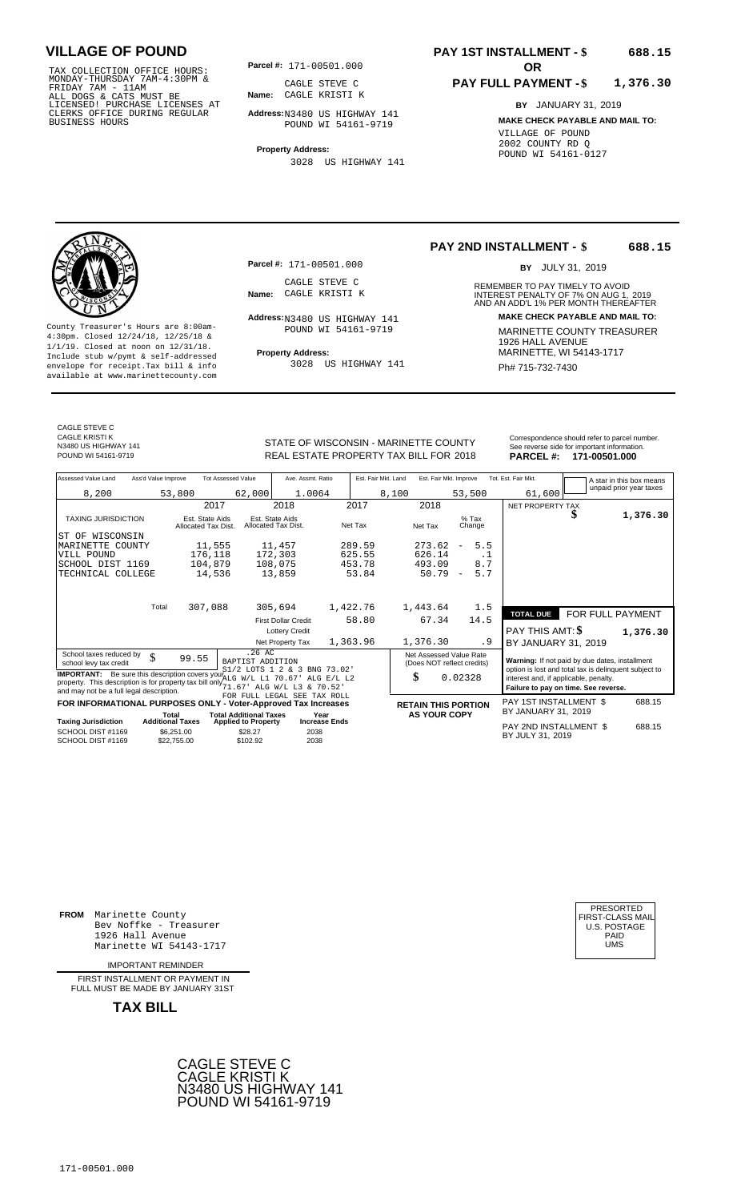TAX COLLECTION OFFICE HOURS:<br>
MONDAY-THURSDAY 7AM-4:30PM &<br>
FRIDAY 7AM - 11AM<br>
ALL DOGS & CATS MUST BE<br>
LICENSED! PURCHASE LICENSES AT<br>
CLERKS OFFICE DURING REGULAR<br>
CLERKS OFFICE DURING REGULAR<br>
BUSINESS HOURS<br>
BUSINESS H

**Parcel #:** 171-00501.000

**Name:** CAGLE KRISTI K CAGLE STEVE C

**Address:** N3480 US HIGHWAY 141 POUND WI 54161-9719

**Property Address:** 3028 US HIGHWAY 141

#### **PAY 1ST INSTALLMENT - \$ 688.15**

#### **PAY FULL PAYMENT - \$ 1,376.30**

**BY** JANUARY 31, 2019 **MAKE CHECK PAYABLE AND MAIL TO:** VILLAGE OF POUND 2002 COUNTY RD Q POUND WI 54161-0127

**Property Address:** MARINETTE, WI 54143-1717 Include stub w/pymt & self-addressed envelope for receipt.Tax bill & info Filed Buck Buck Constants and the Phet 715-732-7430 available at www.marinettecounty.com

**Parcel #:** 171-00501.000

CAGLE STEVE C<br>Name: CAGLE KRISTI K

Address: N3480 US HIGHWAY 141 POUND WI 54161-9719

3028 US HIGHWAY 141

**PAY 2ND INSTALLMENT - \$ 688.15**

BY JULY 31, 2019

REMEMBER TO PAY TIMELY TO AVOID **Name:** CAGLE KRISTI K **INTEREST PENALTY OF 7% ON AUG 1, 2019**<br>AND AN ADD'L 1% PER MONTH THEREAFTER **Address: MAKE CHECK PAYABLE AND MAIL TO:** County Treasurer's Hours are 8:00am-<br>
4:30pm. Closed 12/24/18, 12/25/18 & 1926 MARINETTE COUNTY TREASURER<br>
1/1/19. Closed at noon on 12/31/18.<br>
Include stub w/pwmt & self-addressed **Property Address:** MARINETTE, WI 54143-1

CAGLE STEVE C CAGLE KRISTI K N3480 US HIGHWAY 141

STATE OF WISCONSIN - MARINETTE COUNTY<br>
See reverse side for important information.<br>
REAL ESTATE PROPERTY TAX BILL FOR 2018 PARCEL #: 171-00501.000 REAL ESTATE PROPERTY TAX BILL FOR **PARCEL #:** POUND WI 54161-9719 2018 **171-00501.000**

| Assessed Value Land                                                                                                                                         | Ass'd Value Improve              |                                        | <b>Tot Assessed Value</b>                                   | Ave. Assmt. Ratio                      |                              | Est. Fair Mkt. Land |       | Est. Fair Mkt. Improve                                |                                 |     | Tot. Est. Fair Mkt.                                                                            |   | A star in this box means |
|-------------------------------------------------------------------------------------------------------------------------------------------------------------|----------------------------------|----------------------------------------|-------------------------------------------------------------|----------------------------------------|------------------------------|---------------------|-------|-------------------------------------------------------|---------------------------------|-----|------------------------------------------------------------------------------------------------|---|--------------------------|
| 8,200                                                                                                                                                       |                                  | 53,800                                 | 62,000                                                      | 1.0064                                 |                              |                     | 8,100 |                                                       | 53,500                          |     | 61,600                                                                                         |   | unpaid prior year taxes  |
|                                                                                                                                                             |                                  | 2017                                   |                                                             | 2018                                   |                              | 2017                |       | 2018                                                  |                                 |     | NET PROPERTY TAX                                                                               |   |                          |
| <b>TAXING JURISDICTION</b>                                                                                                                                  |                                  | Est. State Aids<br>Allocated Tax Dist. |                                                             | Est. State Aids<br>Allocated Tax Dist. |                              | Net Tax             |       | Net Tax                                               | $%$ Tax<br>Change               |     |                                                                                                | ъ | 1,376.30                 |
| ST OF WISCONSIN                                                                                                                                             |                                  |                                        |                                                             |                                        |                              |                     |       |                                                       |                                 |     |                                                                                                |   |                          |
| MARINETTE COUNTY                                                                                                                                            |                                  | 11,555                                 |                                                             | 11,457                                 |                              | 289.59              |       | 273.62                                                | 5.5<br>$\overline{\phantom{0}}$ |     |                                                                                                |   |                          |
| VILL POUND                                                                                                                                                  |                                  | 176,118                                |                                                             | 172,303                                |                              | 625.55              |       | 626.14                                                |                                 | . 1 |                                                                                                |   |                          |
| SCHOOL DIST 1169                                                                                                                                            |                                  | 104,879                                |                                                             | 108,075                                |                              | 453.78              |       | 493.09                                                | 8.7                             |     |                                                                                                |   |                          |
| TECHNICAL COLLEGE                                                                                                                                           |                                  | 14,536                                 |                                                             | 13,859                                 |                              | 53.84               |       | 50.79                                                 | 5.7<br>$\overline{\phantom{a}}$ |     |                                                                                                |   |                          |
|                                                                                                                                                             |                                  |                                        |                                                             |                                        |                              |                     |       |                                                       |                                 |     |                                                                                                |   |                          |
|                                                                                                                                                             | Total                            | 307,088                                |                                                             | 305,694                                |                              | 1,422.76            |       | 1,443.64                                              | 1.5                             |     |                                                                                                |   |                          |
|                                                                                                                                                             |                                  |                                        |                                                             | <b>First Dollar Credit</b>             |                              | 58.80               |       | 67.34                                                 | 14.5                            |     | <b>TOTAL DUE</b>                                                                               |   | FOR FULL PAYMENT         |
|                                                                                                                                                             |                                  |                                        |                                                             | <b>Lottery Credit</b>                  |                              |                     |       |                                                       |                                 |     | <b>PAY THIS AMT: \$</b>                                                                        |   | 1,376.30                 |
|                                                                                                                                                             |                                  |                                        |                                                             | Net Property Tax                       |                              | 1,363.96            |       | 1,376.30                                              |                                 | . 9 | BY JANUARY 31, 2019                                                                            |   |                          |
| School taxes reduced by<br>school levy tax credit                                                                                                           | \$                               | 99.55                                  | .26 AC<br>BAPTIST ADDITION                                  |                                        |                              |                     |       | Net Assessed Value Rate<br>(Does NOT reflect credits) |                                 |     | Warning: If not paid by due dates, installment                                                 |   |                          |
| <b>IMPORTANT:</b> Be sure this description covers your 1/4LG W/L L1 70.67<br>property. This description is for property tax bill only $71.67'$ ALG W/L L3 & |                                  |                                        | S1/2 LOTS 1 2 & 3 BNG 73.02'                                |                                        | ALG E/L L2<br>70.52          |                     |       | \$                                                    | 0.02328                         |     | option is lost and total tax is delinquent subject to<br>interest and, if applicable, penalty. |   |                          |
| and may not be a full legal description.                                                                                                                    |                                  |                                        | FOR FULL LEGAL SEE TAX ROLL                                 |                                        |                              |                     |       |                                                       |                                 |     | Failure to pay on time. See reverse.                                                           |   |                          |
| FOR INFORMATIONAL PURPOSES ONLY - Voter-Approved Tax Increases                                                                                              |                                  |                                        |                                                             |                                        |                              |                     |       | <b>RETAIN THIS PORTION</b>                            |                                 |     | PAY 1ST INSTALLMENT \$<br>BY JANUARY 31, 2019                                                  |   | 688.15                   |
| <b>Taxing Jurisdiction</b>                                                                                                                                  | Total<br><b>Additional Taxes</b> |                                        | <b>Total Additional Taxes</b><br><b>Applied to Property</b> |                                        | Year<br><b>Increase Ends</b> |                     |       | <b>AS YOUR COPY</b>                                   |                                 |     |                                                                                                |   |                          |
| SCHOOL DIST #1169<br>SCHOOL DIST #1169                                                                                                                      |                                  | \$6.251.00<br>\$22,755.00              | \$28.27<br>\$102.92                                         | 2038<br>2038                           |                              |                     |       |                                                       |                                 |     | PAY 2ND INSTALLMENT \$<br>BY JULY 31, 2019                                                     |   | 688.15                   |
|                                                                                                                                                             |                                  |                                        |                                                             |                                        |                              |                     |       |                                                       |                                 |     |                                                                                                |   |                          |

**FROM** Marinette County Bev Noffke - Treasurer (U.S. POSTAGE)<br>1926 Hall Avenue (U.S. POSTAGE)<br>Marinette WI 54143-1717 (U.S. POSTAGE) 1926 Hall Avenue Marinette WI 54143-1717

IMPORTANT REMINDER

FIRST INSTALL MENT OR PAYMENT IN FULL MUST BE MADE BY JANUARY 31ST



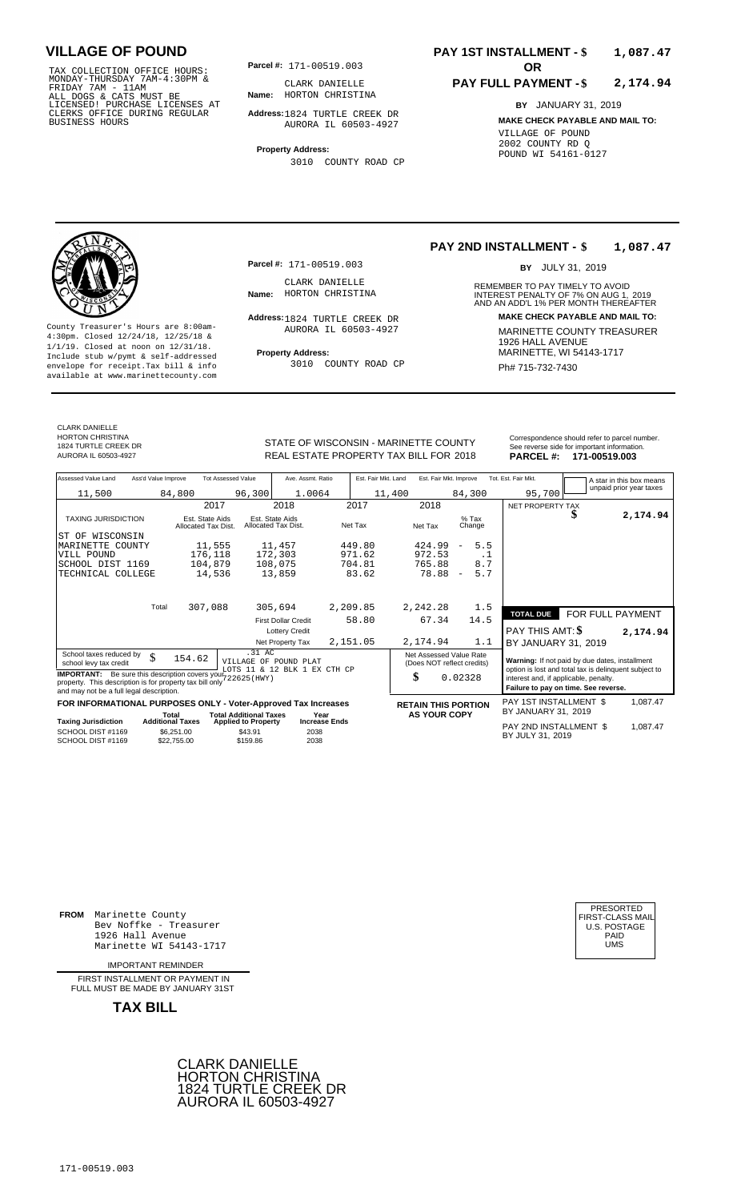TAX COLLECTION OFFICE HOURS:<br>
MONDAY-THURSDAY 7AM-4:30PM & CLARK DANIELLE<br>
FRIDAY 7AM - 11AM<br>
ALL DOGS & CATS MUST BE **Name:** HORTON CHRISTI<br>
LICENSED ! PURCHASE LICENSES AT<br>
CLERKS OFFICE DURING REGULAR **Address**:1824 TUR

**Parcel #: OR**

**Name:** HORTON CHRISTINA CLARK DANIELLE

**Address:** 1824 TURTLE CREEK DR AURORA IL 60503-4927

**Property Address:** 3010 COUNTY ROAD CP

### **PAY 1ST INSTALLMENT - \$ 1,087.47**

#### **PAY FULL PAYMENT - \$ 2,174.94**

**BY** JANUARY 31, 2019 **MAKE CHECK PAYABLE AND MAIL TO:** VILLAGE OF POUND 2002 COUNTY RD Q POUND WI 54161-0127



**Property Address:** MARINETTE, WI 54143-1717 Include stub w/pymt & self-addressed envelope for receipt.Tax bill & info Fig. 2010 COUNTY ROAD CP Research Ph# **715-732-7430** available at www.marinettecounty.com

**Parcel #:** 171-00519.003

CLARK DANIELLE<br>Name: HORTON CHRISTINA

Address: 1824 TURTLE CREEK DR AURORA IL 60503-4927

3010 COUNTY ROAD CP

#### **PAY 2ND INSTALLMENT - \$ 1,087.47**

BY JULY 31, 2019

REMEMBER TO PAY TIMELY TO AVOID **Name:** INTEREST PENALTY OF 7% ON AUG 1, AND AN ADD'L 1% PER MONTH THEREAFTER HORTON CHRISTINA 2019 **Address: MAKE CHECK PAYABLE AND MAIL TO:** County Treasurer's Hours are 8:00am-<br>
4:30pm. Closed 12/24/18, 12/25/18 & MARINETTE COUNTY TREASURER<br>
1/1/19. Closed at noon on 12/31/18.<br>
Include stub w/pwmt & self-addressed **Property Address:** MARINETTE, WI 54143-1717

CLARK DANIELLE HORTON CHRISTINA 1824 TURTLE CREEK DR

STATE OF WISCONSIN - MARINETTE COUNTY<br>
See reverse side for important information.<br>
REAL ESTATE PROPERTY TAX BILL FOR 2018 PARCEL #: 171-00519.003 REAL ESTATE PROPERTY TAX BILL FOR **PARCEL #:** AURORA IL 60503-4927 2018 **171-00519.003**

| Assessed Value Land                                                                                                                                                         | Ass'd Value Improve     | <b>Tot Assessed Value</b>              |                                        | Ave. Assmt. Ratio                                     | Est. Fair Mkt. Land  |        | Est. Fair Mkt. Improve                                |                                 | Tot. Est. Fair Mkt.                                                                                     |   | A star in this box means |
|-----------------------------------------------------------------------------------------------------------------------------------------------------------------------------|-------------------------|----------------------------------------|----------------------------------------|-------------------------------------------------------|----------------------|--------|-------------------------------------------------------|---------------------------------|---------------------------------------------------------------------------------------------------------|---|--------------------------|
| 11,500                                                                                                                                                                      |                         | 84,800                                 | 96,300                                 | 1.0064                                                |                      | 11,400 |                                                       | 84,300                          | 95,700                                                                                                  |   | unpaid prior year taxes  |
|                                                                                                                                                                             |                         | 2017                                   |                                        | 2018                                                  | 2017                 |        | 2018                                                  |                                 | NET PROPERTY TAX                                                                                        |   |                          |
| <b>TAXING JURISDICTION</b>                                                                                                                                                  |                         | Est. State Aids<br>Allocated Tax Dist. | Est. State Aids<br>Allocated Tax Dist. |                                                       | Net Tax              |        | Net Tax                                               | $%$ Tax<br>Change               |                                                                                                         | D | 2,174.94                 |
| OF WISCONSIN<br>ST                                                                                                                                                          |                         |                                        |                                        |                                                       |                      |        |                                                       |                                 |                                                                                                         |   |                          |
| MARINETTE COUNTY                                                                                                                                                            |                         | 11,555                                 |                                        | 11,457                                                | 449.80               |        | 424.99                                                | 5.5<br>$\overline{\phantom{a}}$ |                                                                                                         |   |                          |
| VILL POUND                                                                                                                                                                  |                         | 176,118                                | 172,303                                |                                                       | 971.62               |        | 972.53                                                | . 1                             |                                                                                                         |   |                          |
| SCHOOL DIST 1169                                                                                                                                                            |                         | 104,879                                | 108,075                                |                                                       | 704.81               |        | 765.88                                                | 8.7                             |                                                                                                         |   |                          |
| TECHNICAL COLLEGE                                                                                                                                                           |                         | 14,536                                 |                                        | 13,859                                                | 83.62                |        | 78.88                                                 | 5.7<br>$\overline{\phantom{a}}$ |                                                                                                         |   |                          |
|                                                                                                                                                                             | Total                   | 307,088                                | 305,694                                |                                                       | 2,209.85             |        | 2,242.28                                              | 1.5                             |                                                                                                         |   |                          |
|                                                                                                                                                                             |                         |                                        |                                        | <b>First Dollar Credit</b>                            | 58.80                |        | 67.34                                                 | 14.5                            | <b>TOTAL DUE</b>                                                                                        |   | FOR FULL PAYMENT         |
|                                                                                                                                                                             |                         |                                        |                                        | <b>Lottery Credit</b>                                 |                      |        |                                                       |                                 | PAY THIS AMT: \$                                                                                        |   | 2,174.94                 |
|                                                                                                                                                                             |                         |                                        |                                        | Net Property Tax                                      | 2,151.05             |        | 2,174.94                                              | 1.1                             | BY JANUARY 31, 2019                                                                                     |   |                          |
| School taxes reduced by<br>school levy tax credit                                                                                                                           | \$                      | 154.62                                 | .31 AC                                 | VILLAGE OF POUND PLAT<br>LOTS 11 & 12 BLK 1 EX CTH CP |                      |        | Net Assessed Value Rate<br>(Does NOT reflect credits) |                                 | Warning: If not paid by due dates, installment<br>option is lost and total tax is delinquent subject to |   |                          |
| <b>IMPORTANT:</b> Be sure this description covers your 722625 (HWY)<br>property. This description is for property tax bill only<br>and may not be a full legal description. |                         |                                        |                                        |                                                       |                      |        | \$                                                    | 0.02328                         | interest and, if applicable, penalty.<br>Failure to pay on time. See reverse.                           |   |                          |
| FOR INFORMATIONAL PURPOSES ONLY - Voter-Approved Tax Increases                                                                                                              | Total                   |                                        | <b>Total Additional Taxes</b>          |                                                       | Year                 |        | <b>RETAIN THIS PORTION</b><br><b>AS YOUR COPY</b>     |                                 | PAY 1ST INSTALLMENT \$<br>BY JANUARY 31, 2019                                                           |   | 1,087.47                 |
| <b>Taxing Jurisdiction</b>                                                                                                                                                  | <b>Additional Taxes</b> |                                        | <b>Applied to Property</b>             |                                                       | <b>Increase Ends</b> |        |                                                       |                                 | DAV OND INCTALL MENT C                                                                                  |   | 1 0 2 7 4 7              |

**Taxing Jurisdiction Additional Taxes Applied to Property Increase Ends** Particle Particle PAY 2ND INSTALLMENT \$ 1,087.47<br>SCHOOL DIST #1169 \$22,755.00 \$43.91 2038<br>SCHOOL DIST #1169 \$22,755.00 \$159.86 2038 SCHOOL DIST #1169<br>SCHOOL DIST #1169 \$6,251.00  $$22,755.00$  \$43.91 \$159.86 2038

**FROM** Marinette County Bev Noffke - Treasurer (U.S. POSTAGE)<br>1926 Hall Avenue (U.S. POSTAGE)<br>Marinette WI 54143-1717 (UMS 1926 Hall Avenue Marinette WI 54143-1717

IMPORTANT REMINDER

FIRST INSTALL MENT OR PAYMENT IN FULL MUST BE MADE BY JANUARY 31ST



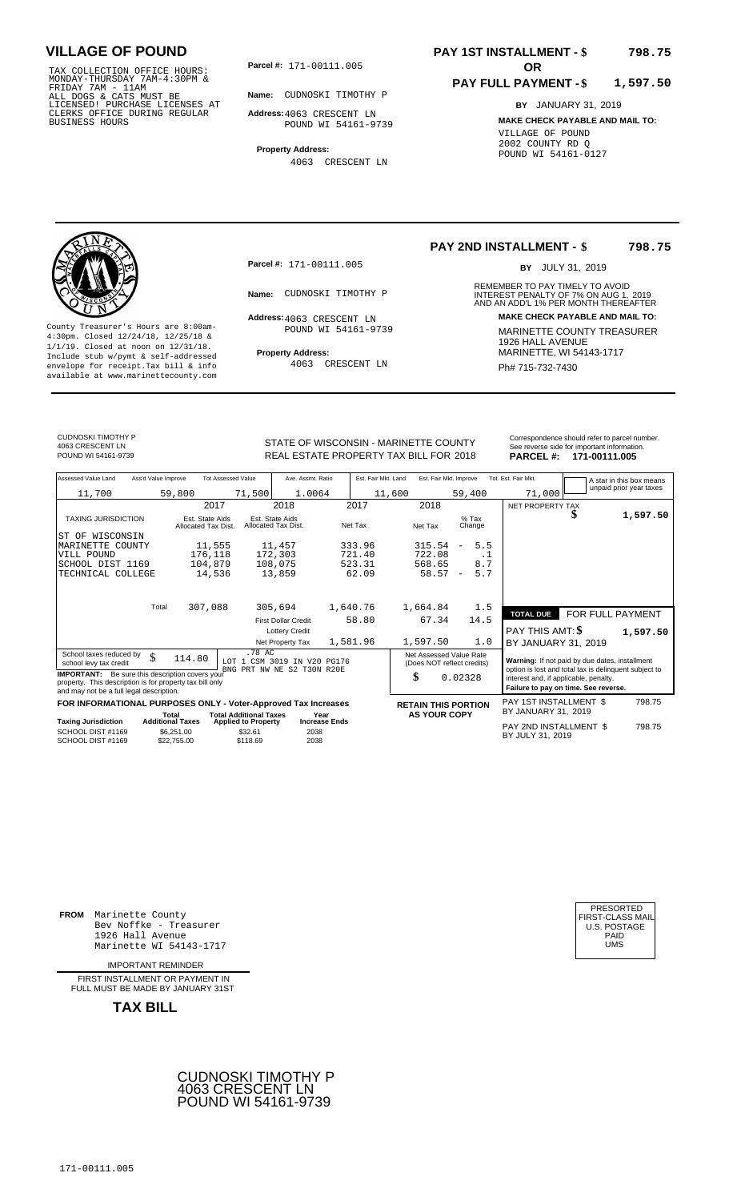TAX COLLECTION OFFICE HOURS:<br>
MONDAY-THURSDAY 7AM-4:30PM &<br>
FRIDAY 7AM - 11AM<br>
ALL DOGS & CATS MUST BE<br>
LICENSED! PURCHASE LICENSES AT<br>
CLERKS OFFICE DURING REGULAR<br>
CLERKS OFFICE DURING REGULAR<br>
BUSINESS HOURS<br>
BUSINESS H

**Parcel #: OR**

**Name:** CUDNOSKI TIMOTHY P

**Address:** 4063 CRESCENT LN POUND WI 54161-9739

**Property Address:** 4063 CRESCENT LN

### **PAY 1ST INSTALLMENT - \$ 798.75**

#### **PAY FULL PAYMENT - \$ 1,597.50**

**BY** JANUARY 31, 2019 **MAKE CHECK PAYABLE AND MAIL TO:** VILLAGE OF POUND 2002 COUNTY RD Q POUND WI 54161-0127

**Property Address:** MARINETTE, WI 54143-1717 Include stub w/pymt & self-addressed envelope for receipt.Tax bill & info Ph# 715-732-7430 available at www.marinettecounty.com

**Parcel #:** 171-00111.005

Address: 4063 CRESCENT LN POUND WI 54161-9739

4063 CRESCENT LN

#### **PAY 2ND INSTALLMENT - \$ 798.75**

BY JULY 31, 2019

REMEMBER TO PAY TIMELY TO AVOID **Name:** CUDNOSKI TIMOTHY P<br>
AND AN ADD'L 1% PER MONTH THEREAFTER **Address: MAKE CHECK PAYABLE AND MAIL TO:** County Treasurer's Hours are 8:00am-<br>
4:30pm. Closed 12/24/18, 12/25/18 & 1/1/19. Closed at noon on 12/31/18.<br>
Include stub w/pwmt. & self-addressed<br>
Froperty Address: MARINETTE, WI 54143-1717

CUDNOSKI TIMOTHY P 4063 CRESCENT LN<br>POUND WI 54161-9739

STATE OF WISCONSIN - MARINETTE COUNTY REAL ESTATE PROPERTY TAX BILL FOR **PARCEL #:** POUND WI 54161-9739 2018 **171-00111.005**

| See reverse side for important information.<br>18<br>PARCEL#: 171-00111.005 |
|-----------------------------------------------------------------------------|
| ГY                                                                          |
| Correspondence should refer to parcel number.                               |

| Assessed Value Land                                                                                                                                                                          | Ass'd Value Improve       | <b>Tot Assessed Value</b>              |                                       | Ave. Assmt. Ratio                      |                      | Est. Fair Mkt. Land | Est. Fair Mkt. Improve                                |                          |           | Tot. Est. Fair Mkt.                                                                                     |   | A star in this box means<br>unpaid prior year taxes |          |
|----------------------------------------------------------------------------------------------------------------------------------------------------------------------------------------------|---------------------------|----------------------------------------|---------------------------------------|----------------------------------------|----------------------|---------------------|-------------------------------------------------------|--------------------------|-----------|---------------------------------------------------------------------------------------------------------|---|-----------------------------------------------------|----------|
| 11,700                                                                                                                                                                                       | 59,800                    |                                        | 71,500                                | 1.0064                                 |                      | 11,600              |                                                       | 59,400                   |           | 71,000                                                                                                  |   |                                                     |          |
|                                                                                                                                                                                              |                           | 2017                                   |                                       | 2018                                   |                      | 2017                | 2018                                                  |                          |           | NET PROPERTY TAX                                                                                        |   |                                                     |          |
| <b>TAXING JURISDICTION</b>                                                                                                                                                                   |                           | Est. State Aids<br>Allocated Tax Dist. |                                       | Est. State Aids<br>Allocated Tax Dist. |                      | Net Tax             | Net Tax                                               | $%$ Tax<br>Change        |           |                                                                                                         | S |                                                     | 1,597.50 |
| ST OF WISCONSIN                                                                                                                                                                              |                           |                                        |                                       |                                        |                      |                     |                                                       |                          |           |                                                                                                         |   |                                                     |          |
| MARINETTE COUNTY                                                                                                                                                                             |                           | 11,555                                 |                                       | 11,457                                 |                      | 333.96              | 315.54                                                | $\overline{\phantom{m}}$ | 5.5       |                                                                                                         |   |                                                     |          |
| VILL POUND                                                                                                                                                                                   |                           | 176,118                                |                                       | 172,303                                |                      | 721.40              | 722.08                                                |                          | $\cdot$ 1 |                                                                                                         |   |                                                     |          |
| SCHOOL DIST 1169                                                                                                                                                                             |                           | 104,879                                |                                       | 108,075                                |                      | 523.31              | 568.65                                                |                          | 8.7       |                                                                                                         |   |                                                     |          |
| TECHNICAL COLLEGE                                                                                                                                                                            |                           | 14,536                                 |                                       | 13,859                                 |                      | 62.09               | 58.57                                                 | $\overline{\phantom{a}}$ | 5.7       |                                                                                                         |   |                                                     |          |
|                                                                                                                                                                                              |                           |                                        |                                       |                                        |                      |                     |                                                       |                          |           |                                                                                                         |   |                                                     |          |
|                                                                                                                                                                                              | Total                     | 307,088                                |                                       | 305,694                                | 1,640.76             |                     | 1,664.84                                              |                          | 1.5       | <b>TOTAL DUE</b>                                                                                        |   | FOR FULL PAYMENT                                    |          |
|                                                                                                                                                                                              |                           |                                        |                                       | <b>First Dollar Credit</b>             |                      | 58.80               | 67.34                                                 |                          | 14.5      |                                                                                                         |   |                                                     |          |
|                                                                                                                                                                                              |                           |                                        |                                       | <b>Lottery Credit</b>                  |                      |                     |                                                       |                          |           | PAY THIS AMT: \$                                                                                        |   |                                                     | 1,597.50 |
|                                                                                                                                                                                              |                           |                                        |                                       | Net Property Tax                       |                      | 1,581.96            | 1,597.50                                              |                          | 1.0       | BY JANUARY 31, 2019                                                                                     |   |                                                     |          |
| School taxes reduced by<br>school levy tax credit                                                                                                                                            | \$                        | 114.80                                 | .78 AC                                | LOT 1 CSM 3019 IN V20 PG176            |                      |                     | Net Assessed Value Rate<br>(Does NOT reflect credits) |                          |           | Warning: If not paid by due dates, installment<br>option is lost and total tax is delinquent subject to |   |                                                     |          |
| BNG PRT NW NE S2 T30N R20E<br><b>IMPORTANT:</b> Be sure this description covers your<br>property. This description is for property tax bill only<br>and may not be a full legal description. |                           |                                        |                                       |                                        |                      |                     | \$                                                    | 0.02328                  |           | interest and, if applicable, penalty.<br>Failure to pay on time. See reverse.                           |   |                                                     |          |
| FOR INFORMATIONAL PURPOSES ONLY - Voter-Approved Tax Increases                                                                                                                               |                           |                                        |                                       |                                        |                      |                     | <b>RETAIN THIS PORTION</b>                            |                          |           | PAY 1ST INSTALLMENT \$                                                                                  |   |                                                     | 798.75   |
|                                                                                                                                                                                              | Total                     |                                        | <b>Total Additional Taxes</b>         |                                        | Year                 |                     | <b>AS YOUR COPY</b>                                   |                          |           | BY JANUARY 31, 2019                                                                                     |   |                                                     |          |
| <b>Taxing Jurisdiction</b><br>SCHOOL DIST #1169                                                                                                                                              | <b>Additional Taxes</b>   |                                        | <b>Applied to Property</b><br>\$32.61 |                                        | <b>Increase Ends</b> |                     |                                                       |                          |           | PAY 2ND INSTALLMENT \$                                                                                  |   |                                                     | 798.75   |
| SCHOOL DIST #1169                                                                                                                                                                            | \$6.251.00<br>\$22.755.00 |                                        | \$118.69                              | 2038<br>2038                           |                      |                     |                                                       |                          |           | BY JULY 31, 2019                                                                                        |   |                                                     |          |

**FROM** Marinette County Bev Noffke - Treasurer (U.S. POSTAGE)<br>1926 Hall Avenue (U.S. POSTAGE)<br>Marinette WI 54143-1717 (U.S. POSTAGE) 1926 Hall Avenue PAID Marinette WI 54143-1717 UMS

IMPORTANT REMINDER

FIRST INSTALLMENT OR PAYMENT IN FULL MUST BE MADE BY JANUARY 31ST

**TAX BILL**



### CUDNOSKI TIMOTHY P 4063 CRESCENT LN POUND WI 54161-9739

171-00111.005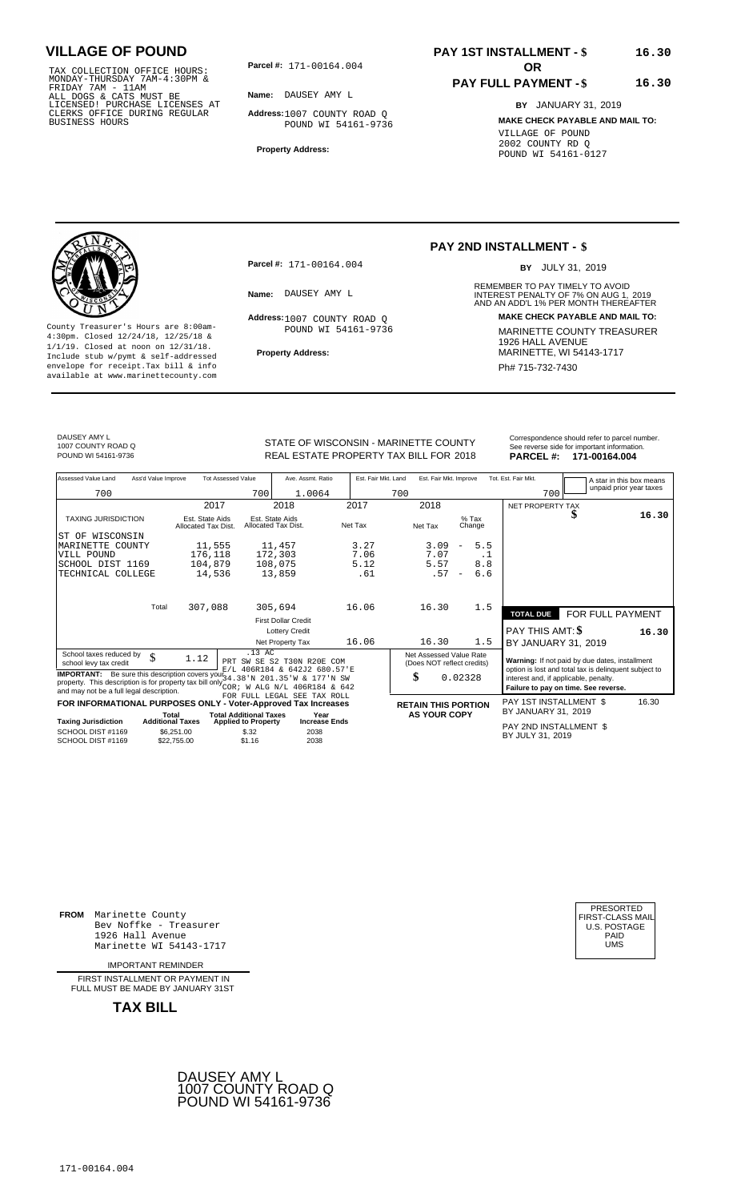TAX COLLECTION OFFICE HOURS: **Parcel#:** 171-00164.004<br>MONDAY-THURSDAY 7AM-4:30PM &<br>FRIDAY 7AM - 11AM<br>ALL DOGS & CATS MUST BE **Name:** DAUSEY AMY L<br>LICENSED! PURCHASE LICENSES AT CLERKS OFFICE DURING REGULAR BUSINESS HOURS

**Parcel #:** 171-00164.004 **OR** 

**Name:** DAUSEY AMY L

**Address:** 1007 COUNTY ROAD Q POUND WI 54161-9736

**Property Address:**

### **PAY 1ST INSTALLMENT - \$ 16.30**

### **PAY FULL PAYMENT - \$**

**BY** JANUARY 31, 2019 **MAKE CHECK PAYABLE AND MAIL TO:** VILLAGE OF POUND 2002 COUNTY RD Q POUND WI 54161-0127

**16.30**



**Property Address:** MARINETTE, WI 54143-1717 Include stub w/pymt & self-addressed envelope for receipt.Tax bill & info **Phenomenon Contract Contract Phenomenon** Ph# 715-732-7430 available at www.marinettecounty.com

**Parcel #:** 171-00164.004

Address: 1007 COUNTY ROAD Q POUND WI 54161-9736

### **PAY 2ND INSTALLMENT - \$**

BY JULY 31, 2019

REMEMBER TO PAY TIMELY TO AVOID **Name:** DAUSEY AMY L<br> **NAME:** DAUSEY AMY L<br>
AND AN ADD'L 1% PER MONTH THEREAFTER **Address: MAKE CHECK PAYABLE AND MAIL TO:** County Treasurer's Hours are 8:00am-<br>
4:30pm. Closed 12/24/18, 12/25/18 & MARINETTE COUNTY TREASURER<br>
1/1/19. Closed at noon on 12/31/18.<br>
Include stub w/pwmt & self-addressed **Property Address:** MARINETTE, WI 54143-1717

DAUSEY AMY L 1007 COUNTY ROAD Q

STATE OF WISCONSIN - MARINETTE COUNTY<br>
See reverse side for important information.<br>
REAL ESTATE PROPERTY TAX BILL FOR 2018 PARCEL #: 171-00164.004 REAL ESTATE PROPERTY TAX BILL FOR **PARCEL #:** POUND WI 54161-9736 2018 **171-00164.004**

| Assessed Value Land<br>Ass'd Value Improve              |                                        | <b>Tot Assessed Value</b> | Ave. Assmt. Ratio                      | Est. Fair Mkt. Land | Est. Fair Mkt. Improve                                |                                 | Tot. Est. Fair Mkt. | A star in this box means<br>unpaid prior year taxes |       |
|---------------------------------------------------------|----------------------------------------|---------------------------|----------------------------------------|---------------------|-------------------------------------------------------|---------------------------------|---------------------|-----------------------------------------------------|-------|
| 700                                                     |                                        | 700                       | 1.0064                                 |                     | 700                                                   |                                 | 700                 |                                                     |       |
|                                                         | 2017                                   |                           | 2018                                   | 2017                | 2018                                                  |                                 | NET PROPERTY TAX    |                                                     |       |
| <b>TAXING JURISDICTION</b>                              | Est. State Aids<br>Allocated Tax Dist. |                           | Est. State Aids<br>Allocated Tax Dist. | Net Tax             | Net Tax                                               | $%$ Tax<br>Change               | Φ                   |                                                     | 16.30 |
| WISCONSIN<br>ST OF                                      |                                        |                           |                                        |                     |                                                       |                                 |                     |                                                     |       |
| MARINETTE<br>COUNTY                                     | 11,555                                 |                           | 11,457                                 | 3.27                | 3.09                                                  | 5.5<br>$\equiv$                 |                     |                                                     |       |
| VILL POUND                                              | 176,118                                |                           | 172,303                                | 7.06                | 7.07                                                  | . .                             |                     |                                                     |       |
| SCHOOL DIST 1169                                        | 104,879                                |                           | 108,075                                | 5.12                | 5.57                                                  | 8.8                             |                     |                                                     |       |
| TECHNICAL COLLEGE                                       | 14,536                                 |                           | 13,859                                 | .61                 | .57                                                   | 6.6<br>$\overline{\phantom{m}}$ |                     |                                                     |       |
| Total                                                   | 307,088                                |                           | 305,694                                | 16.06               | 16.30                                                 | 1.5                             |                     |                                                     |       |
|                                                         |                                        |                           | <b>First Dollar Credit</b>             |                     |                                                       |                                 | <b>TOTAL DUE</b>    | FOR FULL PAYMENT                                    |       |
|                                                         |                                        |                           | <b>Lottery Credit</b>                  |                     |                                                       |                                 | PAY THIS AMT: \$    |                                                     | 16.30 |
|                                                         |                                        |                           | Net Property Tax                       | 16.06               | 16.30                                                 | 1.5                             | BY JANUARY 31, 2019 |                                                     |       |
| School taxes reduced by<br>\$<br>school levy tax credit | 1.12                                   | .13 AC<br>SW SE S2<br>PRT | T30N R20E COM                          |                     | Net Assessed Value Rate<br>(Does NOT reflect credits) |                                 |                     | Warning: If not paid by due dates, installment      |       |

**IMPORTANT:** Be sure this description covers your  $\frac{E}{1}$ . 406R184 & 642J2 680.57 E<br>property. This description is for property tax bill only  $\frac{E}{34}$ .38 IN 201.35 IN & 177 IN SW<br>and may not be a full legal description PRT SW SE S2 T30N R20E COM E/L 406R184 & 642J2 680.57'E 34.38'N 201.35'W & 177'N SW COR; W ALG N/L 406R184 & 642 FOR FULL LEGAL SEE TAX ROLL

|                                        |                                  | FOR INFORMATIONAL PURPOSES ONLY - Voter-Approved Tax Increases | <b>RETAIN THIS PORTION</b>   | PAY 1ST INSTALLMENT \$ |                                            |
|----------------------------------------|----------------------------------|----------------------------------------------------------------|------------------------------|------------------------|--------------------------------------------|
| <b>Taxing Jurisdiction</b>             | Total<br><b>Additional Taxes</b> | <b>Total Additional Taxes</b><br><b>Applied to Property</b>    | Year<br><b>Increase Ends</b> | <b>AS YOUR COPY</b>    | BY JANUARY 31, 2019                        |
| SCHOOL DIST #1169<br>SCHOOL DIST #1169 | \$6,251,00<br>\$22,755,00        | \$.32<br>\$1.16                                                | 2038<br>2038                 |                        | PAY 2ND INSTALLMENT \$<br>BY JULY 31, 2019 |

0.02328

**PAY 2ND INSTALLMENT \$** BY JULY 31, <sup>2038</sup> <sup>2019</sup> BY JANUARY 31, 2019

**FROM** Marinette County Bev Noffke - Treasurer (U.S. POSTAGE)<br>1926 Hall Avenue (U.S. POSTAGE)<br>Marinette WI 54143-1717 (UMS 1926 Hall Avenue Marinette WI 54143-1717

IMPORTANT REMINDER

FIRST INSTALL MENT OR PAYMENT IN FULL MUST BE MADE BY JANUARY 31ST

**TAX BILL**





16.30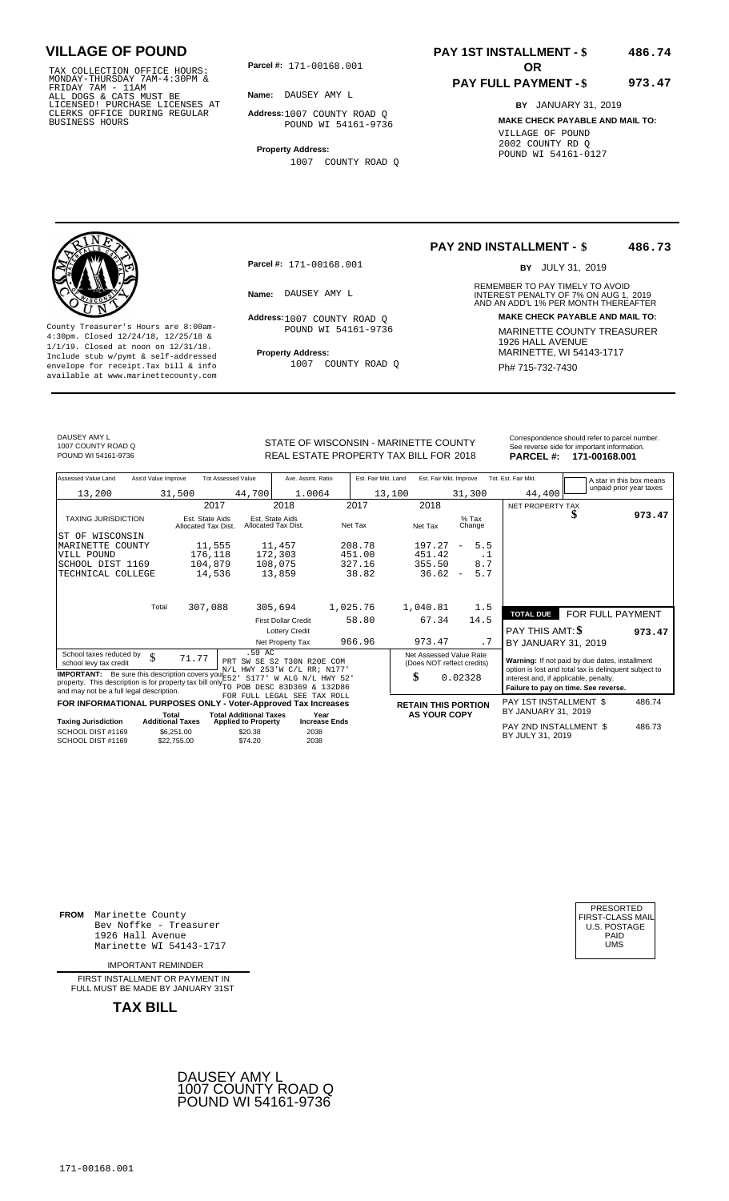TAX COLLECTION OFFICE HOURS:<br>
MONDAY-THURSDAY 7AM-4:30PM &<br>
FRIDAY 7AM - 11AM<br>
ALL DOGS & CATS MUST BE<br>
LICENSED! PURCHASE LICENSES AT<br>
CLERKS OFFICE DURING REGULAR<br>
CLERKS OFFICE DURING REGULAR<br>
BUSINESS HOURS<br>
BUSINESS H

**Parcel #: OR**

**Name:** DAUSEY AMY L

**Address:** 1007 COUNTY ROAD Q POUND WI 54161-9736

**Property Address:** 1007 COUNTY ROAD Q

### **PAY 1ST INSTALLMENT - \$ 486.74**

#### **PAY FULL PAYMENT - \$ 973.47**

**BY** JANUARY 31, 2019 **MAKE CHECK PAYABLE AND MAIL TO:** VILLAGE OF POUND 2002 COUNTY RD Q POUND WI 54161-0127

**Property Address:** MARINETTE, WI 54143-1717 Include stub w/pymt & self-addressed envelope for receipt.Tax bill & info Ph# 715-732-7430 available at www.marinettecounty.com

**Parcel #:** 171-00168.001

Address: 1007 COUNTY ROAD Q POUND WI 54161-9736

1007 COUNTY ROAD Q

#### **PAY 2ND INSTALLMENT - \$ 486.73**

BY JULY 31, 2019

REMEMBER TO PAY TIMELY TO AVOID **Name:** DAUSEY AMY L<br> **NAME:** DAUSEY AMY L<br>
AND AN ADD'L 1% PER MONTH THEREAFTER **Address: MAKE CHECK PAYABLE AND MAIL TO:** County Treasurer's Hours are 8:00am-<br>
4:30pm. Closed 12/24/18, 12/25/18 & MARINETTE COUNTY TREASURER<br>
1/1/19. Closed at noon on 12/31/18.<br>
Include stub w/pwmt. & self-addressed<br> **Property Address:** MARINETTE, WI 54143-1717

DAUSEY AMY L 1007 COUNTY ROAD Q

REAL ESTATE PROPERTY TAX BILL FOR **PARCEL #:** POUND WI 54161-9736 2018 **171-00168.001**

| STATE OF WISCONSIN - MARINETTE COUNTY  | Correspondence should refer to parcel number.<br>See reverse side for important information. |
|----------------------------------------|----------------------------------------------------------------------------------------------|
| REAL ESTATE PROPERTY TAX BILL FOR 2018 | PARCEL #: 171-00168.001                                                                      |

| Assessed Value Land                                                                                                                                                                               | Ass'd Value Improve              | <b>Tot Assessed Value</b>                                   | Ave. Assmt. Ratio                                               | Est. Fair Mkt. Land | Est. Fair Mkt. Improve                                |                                 | Tot. Est. Fair Mkt.                        |                                                                                                         | A star in this box means |
|---------------------------------------------------------------------------------------------------------------------------------------------------------------------------------------------------|----------------------------------|-------------------------------------------------------------|-----------------------------------------------------------------|---------------------|-------------------------------------------------------|---------------------------------|--------------------------------------------|---------------------------------------------------------------------------------------------------------|--------------------------|
| 13,200                                                                                                                                                                                            | 31,500                           | 44,700                                                      | 1.0064                                                          | 13,100              |                                                       | 31,300                          | 44,400                                     | unpaid prior year taxes                                                                                 |                          |
|                                                                                                                                                                                                   |                                  | 2017                                                        | 2018                                                            | 2017                | 2018                                                  |                                 | NET PROPERTY TAX                           |                                                                                                         |                          |
| <b>TAXING JURISDICTION</b>                                                                                                                                                                        |                                  | Est. State Aids<br>Allocated Tax Dist.                      | Est. State Aids<br>Allocated Tax Dist.                          | Net Tax             | Net Tax                                               | $%$ Tax<br>Change               |                                            |                                                                                                         | 973.47                   |
| ST OF<br>WISCONSIN                                                                                                                                                                                |                                  |                                                             |                                                                 |                     |                                                       |                                 |                                            |                                                                                                         |                          |
| MARINETTE COUNTY                                                                                                                                                                                  |                                  | 11,555                                                      | 11,457                                                          | 208.78              | 197.27                                                | 5.5<br>$\overline{\phantom{m}}$ |                                            |                                                                                                         |                          |
| VILL POUND                                                                                                                                                                                        |                                  | 176,118                                                     | 172,303                                                         | 451.00              | 451.42                                                | . 1                             |                                            |                                                                                                         |                          |
| SCHOOL DIST 1169                                                                                                                                                                                  |                                  | 104,879                                                     | 108,075                                                         | 327.16              | 355.50                                                | 8.7                             |                                            |                                                                                                         |                          |
| TECHNICAL COLLEGE                                                                                                                                                                                 |                                  | 14,536                                                      | 13,859                                                          | 38.82               | 36.62                                                 | 5.7<br>$\overline{\phantom{a}}$ |                                            |                                                                                                         |                          |
|                                                                                                                                                                                                   |                                  |                                                             |                                                                 |                     |                                                       |                                 |                                            |                                                                                                         |                          |
|                                                                                                                                                                                                   | Total                            | 307,088                                                     | 305,694                                                         | 1,025.76            | 1,040.81                                              | 1.5                             | <b>TOTAL DUE</b>                           | FOR FULL PAYMENT                                                                                        |                          |
|                                                                                                                                                                                                   |                                  |                                                             | <b>First Dollar Credit</b>                                      | 58.80               | 67.34                                                 | 14.5                            |                                            |                                                                                                         |                          |
|                                                                                                                                                                                                   |                                  |                                                             | <b>Lottery Credit</b>                                           |                     |                                                       |                                 | <b>PAY THIS AMT: \$</b>                    |                                                                                                         | 973.47                   |
|                                                                                                                                                                                                   |                                  |                                                             | Net Property Tax                                                | 966.96              | 973.47                                                | . 7                             | BY JANUARY 31, 2019                        |                                                                                                         |                          |
| School taxes reduced by<br>school levy tax credit                                                                                                                                                 | \$<br>71.77                      | PRT                                                         | .59 AC<br>SW SE S2 T30N R20E COM<br>N/L HWY 253'W C/L RR; N177' |                     | Net Assessed Value Rate<br>(Does NOT reflect credits) |                                 |                                            | Warning: If not paid by due dates, installment<br>option is lost and total tax is delinquent subject to |                          |
| <b>IMPORTANT:</b> Be sure this description covers yout $52$ .<br>property. This description is for property tax bill only TO POB DESC 83D369 & 132D86<br>and may not be a full legal description. |                                  |                                                             | S177'<br>W ALG N/L HWY 52'                                      |                     | \$                                                    | 0.02328                         | interest and, if applicable, penalty.      | Failure to pay on time. See reverse.                                                                    |                          |
|                                                                                                                                                                                                   |                                  |                                                             | FOR FULL LEGAL SEE TAX ROLL                                     |                     |                                                       |                                 | PAY 1ST INSTALLMENT \$                     |                                                                                                         | 486.74                   |
| FOR INFORMATIONAL PURPOSES ONLY - Voter-Approved Tax Increases                                                                                                                                    |                                  |                                                             |                                                                 |                     | <b>RETAIN THIS PORTION</b>                            |                                 | BY JANUARY 31, 2019                        |                                                                                                         |                          |
| <b>Taxing Jurisdiction</b>                                                                                                                                                                        | Total<br><b>Additional Taxes</b> | <b>Total Additional Taxes</b><br><b>Applied to Property</b> | Year<br><b>Increase Ends</b>                                    |                     | <b>AS YOUR COPY</b>                                   |                                 |                                            |                                                                                                         |                          |
| SCHOOL DIST #1169<br>SCHOOL DIST #1169                                                                                                                                                            | \$6,251.00<br>\$22,755.00        | \$20.38<br>\$74.20                                          | 2038<br>2038                                                    |                     |                                                       |                                 | PAY 2ND INSTALLMENT \$<br>BY JULY 31, 2019 |                                                                                                         | 486.73                   |

**FROM** Marinette County Bev Noffke - Treasurer 1926 Hall Avenue PAID Marinette WI 54143-1717 UMS

IMPORTANT REMINDER

FIRST INSTALLMENT OR PAYMENT IN FULL MUST BE MADE BY JANUARY 31ST



| FIRST-CLASS MAIL<br>U.S. POSTAGE<br>PAID<br>UMS |
|-------------------------------------------------|
|-------------------------------------------------|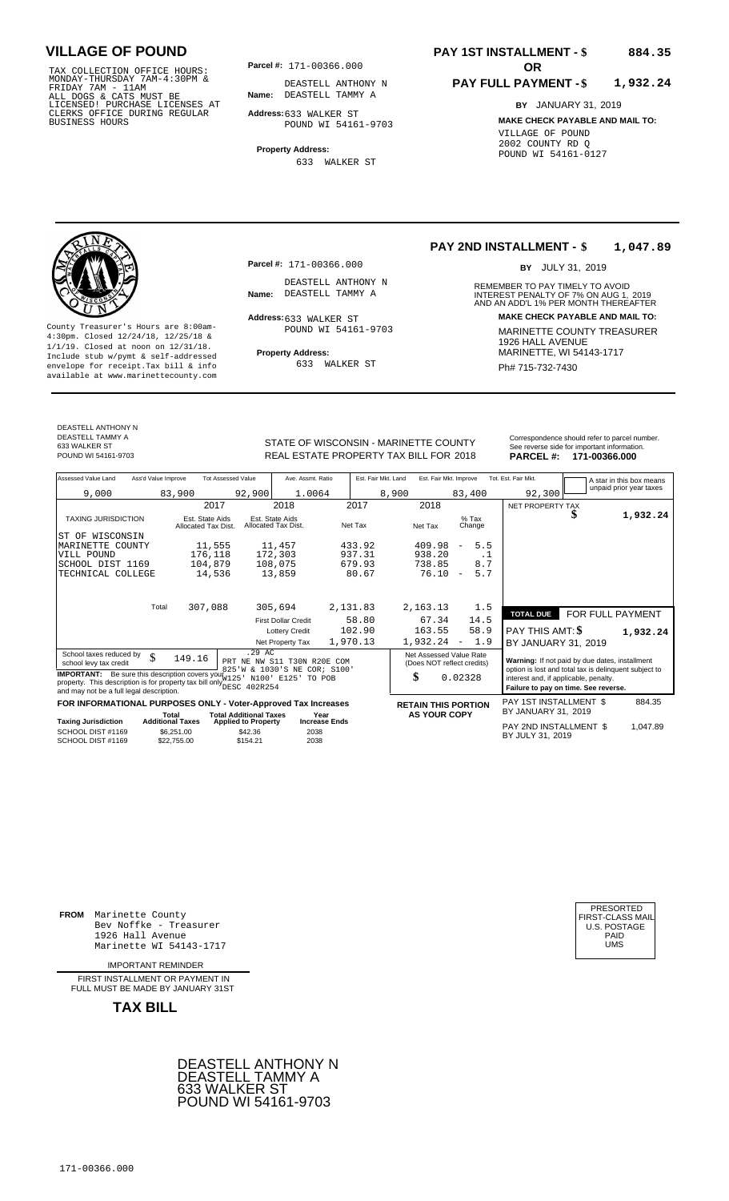TAX COLLECTION OFFICE HOURS:<br>
MONDAY-THURSDAY 7AM-4:30PM & DEASTELL ANTHO<br>
FRIDAY 7AM - 11AM<br>
ALL DOGS & CATS MUST BE **Name:** DEASTELL TAMMY<br>
LICENSED ! PURCHASE LICENSES AT<br>
CLERKS OFFICE DURING REGULAR **Address**:633 WALK

**Parcel #: OR**

**Name:** DEASTELL TAMMY A DEASTELL ANTHONY N

**Address:** 633 WALKER ST POUND WI 54161-9703

**Property Address:** 633 WALKER ST

### **PAY 1ST INSTALLMENT - \$ 884.35**

#### **PAY FULL PAYMENT - \$ 1,932.24**

**BY** JANUARY 31, 2019 **MAKE CHECK PAYABLE AND MAIL TO:** VILLAGE OF POUND 2002 COUNTY RD Q POUND WI 54161-0127

**Property Address:** MARINETTE, WI 54143-1717 Include stub w/pymt & self-addressed envelope for receipt.Tax bill & info Ph# 715-732-7430 available at www.marinettecounty.com

**Parcel #:** 171-00366.000

DEASTELL ANTHONY N<br>Name: DEASTELL TAMMY A

Address: 633 WALKER ST POUND WI 54161-9703

633 WALKER ST

#### **PAY 2ND INSTALLMENT - \$ 1,047.89**

BY JULY 31, 2019

REMEMBER TO PAY TIMELY TO AVOID **Name:** DEASTELL TAMMY A **INTEREST PENALTY OF 7% ON AUG 1, 2019**<br>AND AN ADD'L 1% PER MONTH THEREAFTER **Address: MAKE CHECK PAYABLE AND MAIL TO:** County Treasurer's Hours are 8:00am-<br>
4:30pm. Closed 12/24/18, 12/25/18 & 1/1/19. Closed at noon on 12/31/18.<br>
Include stub w/pwmt. & self-addressed<br>
Froperty Address: MARINETTE, WI 54143-1717

DEASTELL ANTHONY N

DEASTELL TAMMY A 633 WALKER ST<br>POUND WI 54161-9703

REAL ESTATE PROPERTY TAX BILL FOR **PARCEL #:** POUND WI 54161-9703 2018 **171-00366.000**

| STATE OF WISCONSIN - MARINETTE COUNTY<br>REAL ESTATE PROPERTY TAX BILL FOR 2018 |                     |                        |                     | Correspondence should refer to parcel number.<br>See reverse side for important information.<br>PARCEL #: 171-00366.000 |
|---------------------------------------------------------------------------------|---------------------|------------------------|---------------------|-------------------------------------------------------------------------------------------------------------------------|
| Ave. Assmt. Ratio                                                               | Est. Fair Mkt. Land | Est. Fair Mkt. Improve | Tot. Est. Fair Mkt. | A star in this box means                                                                                                |

| Assessed Value Land<br>Ass'd Value Improve                                                                       | <b>Tot Assessed Value</b>                                            | Ave. Assmt. Ratio                      | Est. Fair Mkt. Land | Est. Fair Mkt. Improve     |                                 | Tot. Est. Fair Mkt.                        | A star in this box means<br>unpaid prior year taxes   |  |
|------------------------------------------------------------------------------------------------------------------|----------------------------------------------------------------------|----------------------------------------|---------------------|----------------------------|---------------------------------|--------------------------------------------|-------------------------------------------------------|--|
| 9,000                                                                                                            | 92,900<br>83,900                                                     | 1.0064                                 | 8,900               |                            | 83,400                          | 92,300                                     |                                                       |  |
|                                                                                                                  | 2017                                                                 | 2018                                   | 2017                | 2018                       |                                 | NET PROPERTY TAX                           |                                                       |  |
| <b>TAXING JURISDICTION</b>                                                                                       | Est. State Aids<br>Allocated Tax Dist.                               | Est. State Aids<br>Allocated Tax Dist. | Net Tax             | Net Tax                    | $%$ Tax<br>Change               |                                            | 1,932.24<br>D                                         |  |
| ST OF WISCONSIN                                                                                                  |                                                                      |                                        |                     |                            |                                 |                                            |                                                       |  |
| MARINETTE<br>COUNTY                                                                                              | 11,555                                                               | 11,457                                 | 433.92              | 409.98                     | 5.5<br>$\qquad \qquad -$        |                                            |                                                       |  |
| VILL POUND                                                                                                       | 176,118                                                              | 172,303                                | 937.31              | 938.20                     | . 1                             |                                            |                                                       |  |
| SCHOOL DIST 1169                                                                                                 | 104,879                                                              | 108,075                                | 679.93              | 738.85                     | 8.7                             |                                            |                                                       |  |
| TECHNICAL COLLEGE                                                                                                | 14,536                                                               | 13,859                                 | 80.67               | 76.10                      | 5.7<br>$\overline{\phantom{a}}$ |                                            |                                                       |  |
|                                                                                                                  |                                                                      |                                        |                     |                            |                                 |                                            |                                                       |  |
| Total                                                                                                            | 307,088                                                              | 305,694                                | 2,131.83            | 2,163.13                   | 1.5                             |                                            |                                                       |  |
|                                                                                                                  |                                                                      | <b>First Dollar Credit</b>             | 58.80               | 67.34                      | 14.5                            | <b>TOTAL DUE</b>                           | FOR FULL PAYMENT                                      |  |
|                                                                                                                  |                                                                      |                                        | 102.90              |                            | 58.9                            |                                            |                                                       |  |
|                                                                                                                  |                                                                      | <b>Lottery Credit</b>                  |                     | 163.55                     |                                 | PAY THIS AMT: \$                           | 1,932.24                                              |  |
|                                                                                                                  |                                                                      | Net Property Tax                       | 1,970.13            | 1,932.24                   | 1.9<br>$\overline{\phantom{a}}$ | BY JANUARY 31, 2019                        |                                                       |  |
| School taxes reduced by<br>\$                                                                                    | .29 AC<br>149.16                                                     | PRT NE NW S11 T30N R20E COM            |                     | Net Assessed Value Rate    |                                 |                                            | Warning: If not paid by due dates, installment        |  |
| school levy tax credit                                                                                           |                                                                      | 825'W & 1030'S NE COR; S100'           |                     | (Does NOT reflect credits) |                                 |                                            | option is lost and total tax is delinquent subject to |  |
| <b>IMPORTANT:</b> Be sure this description covers your 22                                                        |                                                                      | N100' E125' TO POB                     |                     | \$                         | 0.02328                         | interest and, if applicable, penalty.      |                                                       |  |
| property. This description is for property tax bill only ESC 402R254<br>and may not be a full legal description. |                                                                      |                                        |                     |                            |                                 |                                            | Failure to pay on time. See reverse.                  |  |
|                                                                                                                  |                                                                      |                                        |                     |                            |                                 | PAY 1ST INSTALLMENT \$                     | 884.35                                                |  |
| FOR INFORMATIONAL PURPOSES ONLY - Voter-Approved Tax Increases                                                   |                                                                      |                                        |                     | <b>RETAIN THIS PORTION</b> |                                 | BY JANUARY 31, 2019                        |                                                       |  |
| <b>Additional Taxes</b><br><b>Taxing Jurisdiction</b>                                                            | <b>Total Additional Taxes</b><br>Total<br><b>Applied to Property</b> | Year<br><b>Increase Ends</b>           |                     | <b>AS YOUR COPY</b>        |                                 |                                            |                                                       |  |
| SCHOOL DIST #1169<br>SCHOOL DIST #1169                                                                           | \$6,251.00<br>\$42.36<br>\$154.21<br>\$22,755.00                     | 2038<br>2038                           |                     |                            |                                 | PAY 2ND INSTALLMENT \$<br>BY JULY 31, 2019 | 1,047.89                                              |  |

**FROM** Marinette County Bev Noffke - Treasurer (U.S. POSTAGE)<br>1926 Hall Avenue (U.S. POSTAGE)<br>Marinette WI 54143-1717 (U.S. POSTAGE) 1926 Hall Avenue PAID Marinette WI 54143-1717 UMS

IMPORTANT REMINDER

FIRST INSTALLMENT OR PAYMENT IN FULL MUST BE MADE BY JANUARY 31ST



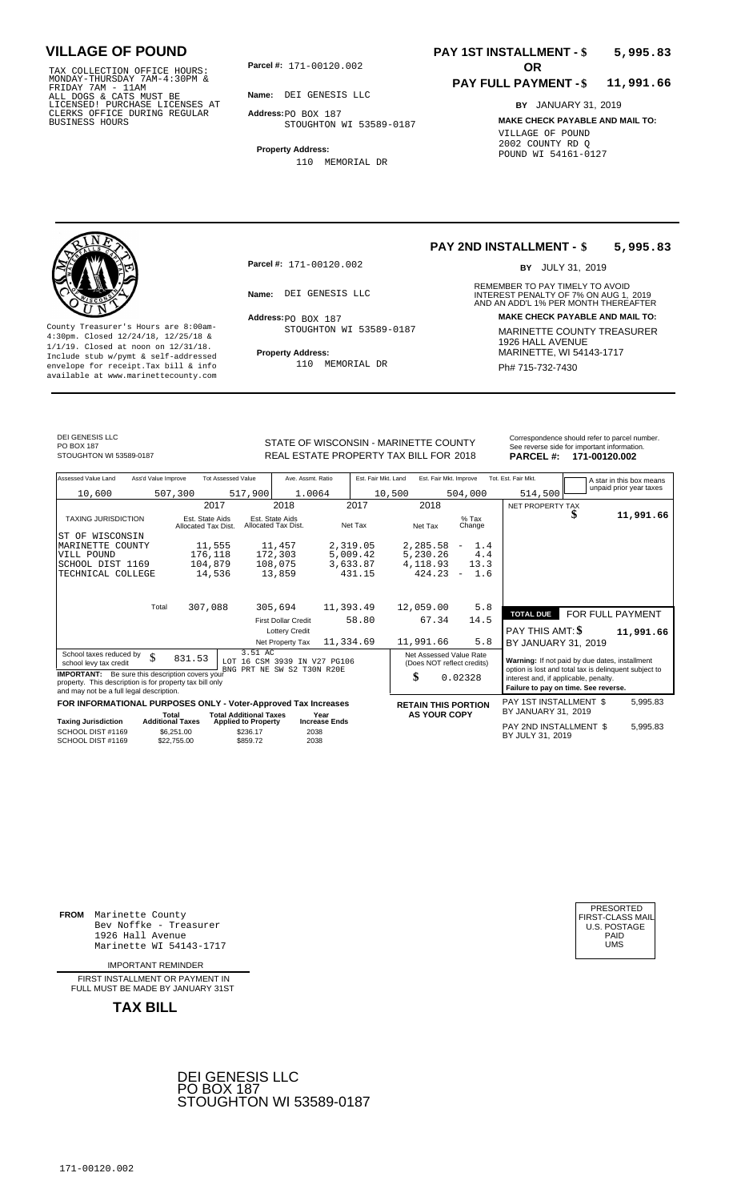TAX COLLECTION OFFICE HOURS:<br>
MONDAY-THURSDAY 7AM-4:30PM &<br>
FRIDAY 7AM - 11AM<br>
ALL DOGS & CATS MUST BE<br>
LICENSED! PURCHASE LICENSES AT<br>
CLERKS OFFICE DURING REGULAR<br>
CLERKS OFFICE DURING REGULAR<br>
BUSINESS HOURS<br>
BUSINESS H

**Parcel #:** 171-00120.002 **OR** 

**Name:** DEI GENESIS LLC

**Address:** PO BOX 187 STOUGHTON WI 53589-0187

**Property Address:** 110 MEMORIAL DR

### **PAY 1ST INSTALLMENT - \$ 5,995.83**

#### **PAY FULL PAYMENT - \$ 11,991.66**

**BY** JANUARY 31, 2019 **MAKE CHECK PAYABLE AND MAIL TO:** VILLAGE OF POUND 2002 COUNTY RD Q POUND WI 54161-0127

**Property Address:** MARINETTE, WI 54143-1717 Include stub w/pymt & self-addressed envelope for receipt.Tax bill & info Ph# 715-732-7430 available at www.marinettecounty.com

**Parcel #:** 171-00120.002

Address: PO BOX 187 STOUGHTON WI 53589-0187

110 MEMORIAL DR

**PAY 2ND INSTALLMENT - \$ 5,995.83**

BY JULY 31, 2019

REMEMBER TO PAY TIMELY TO AVOID **Name:** DEI GENESIS LLC<br>
AND AN ADD'L 1% PER MONTH THEREAFTER **Address: MAKE CHECK PAYABLE AND MAIL TO:** County Treasurer's Hours are 8:00am-<br>
4:30pm. Closed 12/24/18, 12/25/18 & 11/1/19. Closed at noon on 12/31/18.<br>
1/1/19. Closed at noon on 12/31/18.<br>
Include stub w/pwmt & self-addressed **Property Address:** MARINETTE, WI 54

DEI GENESIS LLC PO BOX 187<br>STOUGHTON WI 53589-0187

Correspondence should refer to parcel n<br>
Correspondence should refer to parcel n<br>
REAL ESTATE PROPERTY TAX BILL FOR 2018 PARCEL #: 171-00120.002 REAL ESTATE PROPERTY TAX BILL FOR **PARCEL #:** STOUGHTON WI 53589-0187 2018 **171-00120.002**

| Correspondence should refer to parcel number. |
|-----------------------------------------------|
| See reverse side for important information.   |
|                                               |

| Assessed Value Land                                                                                                                                            | Ass'd Value Improve                                  | <b>Tot Assessed Value</b>                          | Ave. Assmt. Ratio                    |           | Est. Fair Mkt. Land |                                                       | Est. Fair Mkt. Improve   |                                                                                                                                        | Tot. Est. Fair Mkt.                            |   | A star in this box means |  |
|----------------------------------------------------------------------------------------------------------------------------------------------------------------|------------------------------------------------------|----------------------------------------------------|--------------------------------------|-----------|---------------------|-------------------------------------------------------|--------------------------|----------------------------------------------------------------------------------------------------------------------------------------|------------------------------------------------|---|--------------------------|--|
| 10,600                                                                                                                                                         | 507,300                                              | 517,900                                            | 1.0064                               |           | 10,500              |                                                       | 504,000                  |                                                                                                                                        | 514,500                                        |   | unpaid prior year taxes  |  |
|                                                                                                                                                                | 2017                                                 |                                                    | 2018                                 |           | 2017                | 2018                                                  |                          |                                                                                                                                        | NET PROPERTY TAX                               |   |                          |  |
| <b>TAXING JURISDICTION</b>                                                                                                                                     | Est. State Aids<br>Allocated Tax Dist.               | Allocated Tax Dist.                                | Est. State Aids                      | Net Tax   |                     | Net Tax                                               | $%$ Tax<br>Change        |                                                                                                                                        |                                                | æ | 11,991.66                |  |
| ST OF<br>WISCONSIN                                                                                                                                             |                                                      |                                                    |                                      |           |                     |                                                       |                          |                                                                                                                                        |                                                |   |                          |  |
| MARINETTE COUNTY                                                                                                                                               | 11,555                                               |                                                    | 11,457                               | 2,319.05  |                     | 2,285.58                                              | $\overline{\phantom{a}}$ | 1.4                                                                                                                                    |                                                |   |                          |  |
| VILL POUND                                                                                                                                                     | 176,118                                              |                                                    | 172,303                              | 5,009.42  |                     | 5,230.26                                              |                          | 4.4                                                                                                                                    |                                                |   |                          |  |
| SCHOOL DIST 1169                                                                                                                                               | 104,879                                              |                                                    | 108,075                              | 3,633.87  |                     | 4,118.93                                              |                          | 13.3                                                                                                                                   |                                                |   |                          |  |
| TECHNICAL COLLEGE                                                                                                                                              | 14,536                                               |                                                    | 13,859                               |           | 431.15              | 424.23                                                | $\equiv$                 | 1.6                                                                                                                                    |                                                |   |                          |  |
|                                                                                                                                                                |                                                      |                                                    |                                      |           |                     |                                                       |                          |                                                                                                                                        |                                                |   |                          |  |
|                                                                                                                                                                | Total<br>307,088                                     |                                                    | 305,694                              | 11,393.49 |                     | 12,059.00                                             |                          | 5.8                                                                                                                                    |                                                |   |                          |  |
|                                                                                                                                                                |                                                      |                                                    | <b>First Dollar Credit</b>           |           | 58.80               | 14.5<br>67.34                                         |                          |                                                                                                                                        | FOR FULL PAYMENT<br><b>TOTAL DUE</b>           |   |                          |  |
|                                                                                                                                                                |                                                      |                                                    | <b>Lottery Credit</b>                |           |                     |                                                       |                          |                                                                                                                                        | PAY THIS AMT: \$                               |   | 11,991.66                |  |
|                                                                                                                                                                |                                                      |                                                    | Net Property Tax                     | 11,334.69 |                     | 11,991.66                                             |                          | 5.8                                                                                                                                    | BY JANUARY 31, 2019                            |   |                          |  |
| School taxes reduced by<br>\$<br>school levy tax credit                                                                                                        | 831.53                                               | 3.51 AC<br>LOT 16 CSM 3939 IN V27 PG106            | BNG PRT NE SW S2 T30N R20E           |           |                     | Net Assessed Value Rate<br>(Does NOT reflect credits) |                          |                                                                                                                                        | Warning: If not paid by due dates, installment |   |                          |  |
| <b>IMPORTANT:</b> Be sure this description covers your<br>property. This description is for property tax bill only<br>and may not be a full legal description. |                                                      |                                                    |                                      |           | \$                  | 0.02328                                               |                          | option is lost and total tax is delinquent subject to<br>interest and, if applicable, penalty.<br>Failure to pay on time. See reverse. |                                                |   |                          |  |
| FOR INFORMATIONAL PURPOSES ONLY - Voter-Approved Tax Increases                                                                                                 |                                                      |                                                    |                                      |           |                     | <b>RETAIN THIS PORTION</b>                            |                          |                                                                                                                                        | PAY 1ST INSTALLMENT \$                         |   | 5,995.83                 |  |
|                                                                                                                                                                | Total                                                | <b>Total Additional Taxes</b>                      | Year                                 |           |                     | <b>AS YOUR COPY</b>                                   |                          |                                                                                                                                        | BY JANUARY 31, 2019                            |   |                          |  |
| <b>Taxing Jurisdiction</b><br>SCHOOL DIST #1169<br>SCHOOL DIST #1169                                                                                           | <b>Additional Taxes</b><br>\$6,251.00<br>\$22,755,00 | <b>Applied to Property</b><br>\$236.17<br>\$859.72 | <b>Increase Ends</b><br>2038<br>2038 |           |                     |                                                       |                          |                                                                                                                                        | PAY 2ND INSTALLMENT \$<br>BY JULY 31, 2019     |   | 5,995.83                 |  |

**FROM** Marinette County Bev Noffke - Treasurer 1926 Hall Avenue PAID Marinette WI 54143-1717 UMS

IMPORTANT REMINDER

FIRST INSTALLMENT OR PAYMENT IN FULL MUST BE MADE BY JANUARY 31ST



| PRESORTED        |
|------------------|
| FIRST-CLASS MAIL |
| U.S. POSTAGE     |
| PAID             |
| UMS              |
|                  |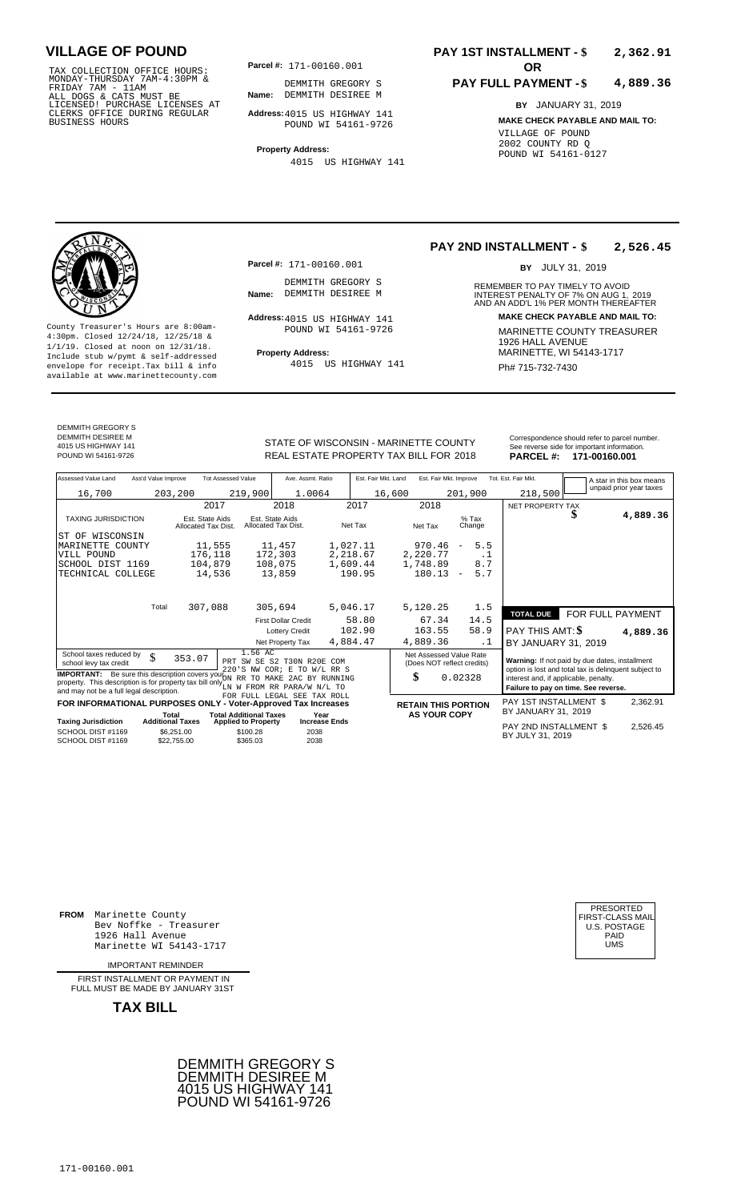TAX COLLECTION OFFICE HOURS:<br>
MONDAY-THURSDAY 7AM-4:30PM &<br>
FRIDAY 7AM - 11AM<br>
ALL DOGS & CATS MUST BE<br>
LICENSED I PURCHASE LICENSES AT<br>
LICENSED I PURCHASE LICENSES AT<br>
CLERKS OFFICE DURING REGULAR<br>
BUSINESS HOURS<br>
BUSINE

**Parcel #: OR**

**Parcel #:** 171-00160.001

DEMMITH GREGORY S<br>Name: DEMMITH DESIREE M

Address: 4015 US HIGHWAY 141 POUND WI 54161-9726

**Name:** DEMMITH DESIREE M DEMMITH GREGORY S

**Address:** 4015 US HIGHWAY 141 POUND WI 54161-9726

**Property Address:** 4015 US HIGHWAY 141

### **PAY 1ST INSTALLMENT - \$ 2,362.91**

#### **PAY FULL PAYMENT - \$ 4,889.36**

**BY** JANUARY 31, 2019 **MAKE CHECK PAYABLE AND MAIL TO:** VILLAGE OF POUND 2002 COUNTY RD Q POUND WI 54161-0127

### **PAY 2ND INSTALLMENT - \$ 2,526.45**

BY JULY 31, 2019

REMEMBER TO PAY TIMELY TO AVOID **Name:** DEMMITH DESIREE M<br>
AND AN ADD'L 1% PER MONTH THEREAFTER **Address: MAKE CHECK PAYABLE AND MAIL TO:** County Treasurer's Hours are 8:00am-<br>
4:30pm. Closed 12/24/18, 12/25/18 & MARINETTE COUNTY TREASURER<br>
1/1/19. Closed at noon on 12/31/18.<br>
Include stub w/pwmt & self-addressed **Property Address:** MARINETTE, WI 54143-1717

**Property Address:** MARINETTE, WI 54143-1717 Include stub w/pymt & self-addressed envelope for receipt.Tax bill & info Film Automobility of Hugher and Political Ph# 715-732-7430 available at www.marinettecounty.com

DEMMITH GREGORY S DEMMITH DESIREE M 4015 US HIGHWAY 141

STATE OF WISCONSIN - MARINETTE COUNTY<br>
See reverse side for important information.<br>
REAL ESTATE PROPERTY TAX BILL FOR 2018 PARCEL #: 171-00160.001 REAL ESTATE PROPERTY TAX BILL FOR **PARCEL #:** POUND WI 54161-9726 2018 **171-00160.001**

4015 US HIGHWAY 141

| Assessed Value Land                                                                                                                                                                                      | Ass'd Value Improve              |                                        | <b>Tot Assessed Value</b>                                   | Ave. Assmt. Ratio                      |                              |          | Est. Fair Mkt. Land | Est. Fair Mkt. Improve                                |                          |           | Tot. Est. Fair Mkt.                                                                                     |  | A star in this box means |  |
|----------------------------------------------------------------------------------------------------------------------------------------------------------------------------------------------------------|----------------------------------|----------------------------------------|-------------------------------------------------------------|----------------------------------------|------------------------------|----------|---------------------|-------------------------------------------------------|--------------------------|-----------|---------------------------------------------------------------------------------------------------------|--|--------------------------|--|
| 16,700                                                                                                                                                                                                   |                                  | 203,200                                | 219,900                                                     | 1.0064                                 |                              |          | 16,600              |                                                       | 201,900                  |           | 218,500                                                                                                 |  | unpaid prior year taxes  |  |
|                                                                                                                                                                                                          |                                  |                                        | 2017                                                        | 2018                                   |                              | 2017     |                     | 2018                                                  |                          |           | NET PROPERTY TAX                                                                                        |  |                          |  |
| <b>TAXING JURISDICTION</b>                                                                                                                                                                               |                                  | Est. State Aids<br>Allocated Tax Dist. |                                                             | Est. State Aids<br>Allocated Tax Dist. |                              | Net Tax  |                     | Net Tax                                               | $%$ Tax<br>Change        |           |                                                                                                         |  | 4,889.36                 |  |
| ST OF WISCONSIN                                                                                                                                                                                          |                                  |                                        |                                                             |                                        |                              |          |                     |                                                       |                          |           |                                                                                                         |  |                          |  |
| MARINETTE COUNTY                                                                                                                                                                                         |                                  |                                        | 11,555                                                      | 11,457                                 |                              | 1,027.11 |                     | 970.46                                                | $\overline{\phantom{a}}$ | 5.5       |                                                                                                         |  |                          |  |
| VILL POUND                                                                                                                                                                                               |                                  | 176,118                                |                                                             | 172,303                                |                              | 2,218.67 |                     | 2,220.77                                              |                          | $\cdot$ 1 |                                                                                                         |  |                          |  |
| SCHOOL DIST 1169                                                                                                                                                                                         |                                  | 104,879                                |                                                             | 108,075                                |                              | 1,609.44 |                     | 1,748.89                                              |                          | 8.7       |                                                                                                         |  |                          |  |
| TECHNICAL COLLEGE                                                                                                                                                                                        |                                  |                                        | 14,536                                                      | 13,859                                 |                              | 190.95   |                     | 180.13                                                | $\overline{\phantom{m}}$ | 5.7       |                                                                                                         |  |                          |  |
|                                                                                                                                                                                                          |                                  |                                        |                                                             |                                        |                              |          |                     |                                                       |                          |           |                                                                                                         |  |                          |  |
|                                                                                                                                                                                                          | Total                            | 307,088                                |                                                             | 305,694                                |                              | 5,046.17 |                     | 5,120.25                                              |                          | 1.5       |                                                                                                         |  |                          |  |
|                                                                                                                                                                                                          |                                  |                                        |                                                             | <b>First Dollar Credit</b>             |                              | 58.80    |                     | 67.34                                                 |                          | 14.5      | <b>TOTAL DUE</b>                                                                                        |  | FOR FULL PAYMENT         |  |
|                                                                                                                                                                                                          |                                  |                                        |                                                             | <b>Lottery Credit</b>                  |                              | 102.90   |                     | 163.55                                                |                          | 58.9      | PAY THIS AMT: \$                                                                                        |  | 4,889.36                 |  |
|                                                                                                                                                                                                          |                                  |                                        |                                                             | Net Property Tax                       |                              | 4,884.47 |                     | 4,889.36                                              |                          | . 1       | BY JANUARY 31, 2019                                                                                     |  |                          |  |
| School taxes reduced by<br>school levy tax credit                                                                                                                                                        | \$                               | 353.07                                 | 1.56 AC<br>220'S NW COR;                                    | PRT SW SE S2 T30N R20E<br>E            | COM<br>TO W/L RR S           |          |                     | Net Assessed Value Rate<br>(Does NOT reflect credits) |                          |           | Warning: If not paid by due dates, installment<br>option is lost and total tax is delinquent subject to |  |                          |  |
| <b>IMPORTANT:</b> Be sure this description covers your ON RR TO MAKE<br>property. This description is for property tax bill only $_{\text{LN}}^{\text{max}}$<br>and may not be a full legal description. |                                  |                                        |                                                             | FROM RR PARA/W N/L TO                  | 2AC BY RUNNING               |          |                     | \$                                                    | 0.02328                  |           | interest and, if applicable, penalty.<br>Failure to pay on time. See reverse.                           |  |                          |  |
|                                                                                                                                                                                                          |                                  |                                        |                                                             | FOR FULL LEGAL SEE TAX ROLL            |                              |          |                     |                                                       |                          |           |                                                                                                         |  |                          |  |
| FOR INFORMATIONAL PURPOSES ONLY - Voter-Approved Tax Increases                                                                                                                                           |                                  |                                        |                                                             |                                        |                              |          |                     | <b>RETAIN THIS PORTION</b>                            |                          |           | PAY 1ST INSTALLMENT \$<br>BY JANUARY 31, 2019                                                           |  | 2,362.91                 |  |
| <b>Taxing Jurisdiction</b>                                                                                                                                                                               | Total<br><b>Additional Taxes</b> |                                        | <b>Total Additional Taxes</b><br><b>Applied to Property</b> |                                        | Year<br><b>Increase Ends</b> |          |                     | <b>AS YOUR COPY</b>                                   |                          |           |                                                                                                         |  |                          |  |
| SCHOOL DIST #1169<br>SCHOOL DIST #1169                                                                                                                                                                   |                                  | \$6,251.00<br>\$22,755.00              | \$100.28<br>\$365.03                                        | 2038<br>2038                           |                              |          |                     |                                                       |                          |           | PAY 2ND INSTALLMENT \$<br>BY JULY 31, 2019                                                              |  | 2,526.45                 |  |

**FROM** Marinette County Bev Noffke - Treasurer (U.S. POSTAGE)<br>1926 Hall Avenue (U.S. POSTAGE)<br>Marinette WI 54143-1717 (UMS 1926 Hall Avenue Marinette WI 54143-1717

IMPORTANT REMINDER

FIRST INSTALL MENT OR PAYMENT IN FULL MUST BE MADE BY JANUARY 31ST



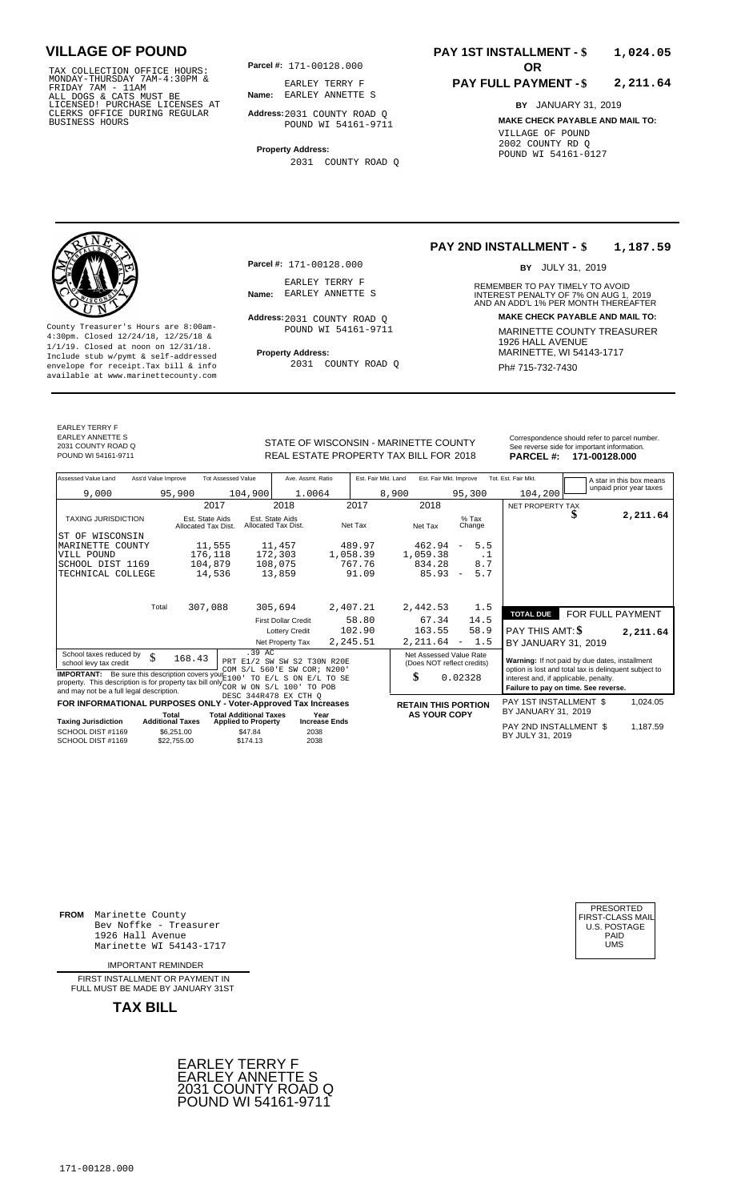TAX COLLECTION OFFICE HOURS:<br>
MONDAY-THURSDAY 7AM-4:30PM &<br>
FRIDAY 7AM - 11AM<br>
ALL DOGS & CATS MUST BE<br>
LICENSED! PURCHASE LICENSES AT<br>
CLERKS OFFICE DURING REGULAR<br>
CLERKS OFFICE DURING REGULAR<br>
BUSINESS HOURS<br>
BUSINESS H

**Parcel #:** 171-00128.000

**Name:** EARLEY ANNETTE S EARLEY TERRY F

**Address:** 2031 COUNTY ROAD Q POUND WI 54161-9711

**Property Address:** 2031 COUNTY ROAD Q

### **PAY 1ST INSTALLMENT - \$ 1,024.05**

#### **PAY FULL PAYMENT - \$ 2,211.64**

**BY** JANUARY 31, 2019 **MAKE CHECK PAYABLE AND MAIL TO:** VILLAGE OF POUND 2002 COUNTY RD Q POUND WI 54161-0127

**Property Address:** MARINETTE, WI 54143-1717 Include stub w/pymt & self-addressed envelope for receipt.Tax bill & info Fig. 2031 COUNTY ROAD Q Fig. 2014 Ph# 715-732-7430 available at www.marinettecounty.com

**Parcel #:** 171-00128.000

EARLEY TERRY F<br>Name: EARLEY ANNETTE S

Address: 2031 COUNTY ROAD Q POUND WI 54161-9711

2031 COUNTY ROAD Q

#### **PAY 2ND INSTALLMENT - \$ 1,187.59**

BY JULY 31, 2019

REMEMBER TO PAY TIMELY TO AVOID **Name:** EARLEY ANNETTE S<br>
AND AN ADD'L 1% PER MONTH THEREAFTER **Address: MAKE CHECK PAYABLE AND MAIL TO:** County Treasurer's Hours are 8:00am-<br>
4:30pm. Closed 12/24/18, 12/25/18 & 1/1/19. Closed at noon on 12/31/18.<br>
1/1/19. Closed at noon on 12/31/18.<br>
Include stub w/pwmt & self-addressed **Property Address:** MARINETTE, WI 541

EARLEY TERRY F EARLEY ANNETTE S

2031 COUNTY ROAD Q

STATE OF WISCONSIN - MARINETTE COUNTY REAL ESTATE PROPERTY TAX BILL FOR **PARCEL #:** POUND WI 54161-9711 2018 **171-00128.000**

|          | Correspondence should refer to parcel number. |
|----------|-----------------------------------------------|
|          | See reverse side for important information.   |
| PAPCFI H | 171-00128.000                                 |

| Assessed Value Land                                                                                                                                                                               | Ass'd Value Improve       | <b>Tot Assessed Value</b>              | Ave. Assmt. Ratio                                          | Est. Fair Mkt. Land | Est. Fair Mkt. Improve                                |                                 | Tot. Est. Fair Mkt.                                                                                     |                  | A star in this box means |  |
|---------------------------------------------------------------------------------------------------------------------------------------------------------------------------------------------------|---------------------------|----------------------------------------|------------------------------------------------------------|---------------------|-------------------------------------------------------|---------------------------------|---------------------------------------------------------------------------------------------------------|------------------|--------------------------|--|
| 9,000                                                                                                                                                                                             | 95,900                    | 104,900                                | 1.0064                                                     | 8,900               |                                                       | 95,300                          | 104,200                                                                                                 |                  | unpaid prior year taxes  |  |
|                                                                                                                                                                                                   |                           | 2017                                   | 2018                                                       | 2017                | 2018                                                  |                                 | NET PROPERTY TAX                                                                                        |                  |                          |  |
| <b>TAXING JURISDICTION</b>                                                                                                                                                                        |                           | Est. State Aids<br>Allocated Tax Dist. | Est. State Aids<br>Allocated Tax Dist.                     | Net Tax             | Net Tax                                               | $%$ Tax<br>Change               |                                                                                                         |                  | 2,211.64                 |  |
| ST OF WISCONSIN                                                                                                                                                                                   |                           |                                        |                                                            |                     |                                                       |                                 |                                                                                                         |                  |                          |  |
| MARINETTE COUNTY                                                                                                                                                                                  |                           | 11,555                                 | 11,457                                                     | 489.97              | 462.94                                                | 5.5<br>$\overline{\phantom{a}}$ |                                                                                                         |                  |                          |  |
| VILL POUND                                                                                                                                                                                        |                           | 176,118                                | 172,303                                                    | 1,058.39            | 1,059.38                                              | . 1                             |                                                                                                         |                  |                          |  |
| SCHOOL DIST 1169                                                                                                                                                                                  |                           | 104,879                                | 108,075                                                    | 767.76              | 834.28                                                | 8.7                             |                                                                                                         |                  |                          |  |
| TECHNICAL COLLEGE                                                                                                                                                                                 |                           | 14,536                                 | 13,859                                                     | 91.09               | 85.93                                                 | 5.7<br>$\overline{\phantom{a}}$ |                                                                                                         |                  |                          |  |
|                                                                                                                                                                                                   |                           |                                        |                                                            |                     |                                                       |                                 |                                                                                                         |                  |                          |  |
|                                                                                                                                                                                                   | Total                     | 307,088                                | 305,694                                                    | 2,407.21            | 2,442.53                                              | 1.5                             | <b>TOTAL DUE</b>                                                                                        | FOR FULL PAYMENT |                          |  |
|                                                                                                                                                                                                   |                           |                                        | <b>First Dollar Credit</b>                                 | 58.80               | 67.34                                                 | 14.5                            |                                                                                                         |                  |                          |  |
|                                                                                                                                                                                                   |                           |                                        | <b>Lottery Credit</b>                                      | 102.90              | 163.55                                                | 58.9                            | PAY THIS AMT: \$                                                                                        |                  | 2,211.64                 |  |
|                                                                                                                                                                                                   |                           |                                        | Net Property Tax                                           | 2,245.51            | 2,211.64                                              | 1.5<br>$\overline{\phantom{a}}$ | BY JANUARY 31, 2019                                                                                     |                  |                          |  |
| School taxes reduced by<br>school levy tax credit                                                                                                                                                 | \$<br>168.43              | .39 AC                                 | PRT E1/2 SW SW S2 T30N R20E<br>COM S/L 560'E SW COR; N200' |                     | Net Assessed Value Rate<br>(Does NOT reflect credits) |                                 | Warning: If not paid by due dates, installment<br>option is lost and total tax is delinquent subject to |                  |                          |  |
| <b>IMPORTANT:</b> Be sure this description covers your E100<br>property. This description is for property tax bill only $_{COR}^{220}$ W ON $S/L$ 100<br>and may not be a full legal description. |                           |                                        | TO E/L S ON E/L TO SE<br>TO POB<br>DESC 344R478 EX CTH O   |                     | \$                                                    | 0.02328                         | interest and, if applicable, penalty.<br>Failure to pay on time. See reverse.                           |                  |                          |  |
| FOR INFORMATIONAL PURPOSES ONLY - Voter-Approved Tax Increases                                                                                                                                    |                           |                                        |                                                            |                     | <b>RETAIN THIS PORTION</b>                            |                                 | PAY 1ST INSTALLMENT \$                                                                                  |                  | 1,024.05                 |  |
|                                                                                                                                                                                                   | Total                     | <b>Total Additional Taxes</b>          | Year                                                       |                     | <b>AS YOUR COPY</b>                                   |                                 | BY JANUARY 31, 2019                                                                                     |                  |                          |  |
| <b>Taxing Jurisdiction</b>                                                                                                                                                                        | <b>Additional Taxes</b>   | <b>Applied to Property</b>             | <b>Increase Ends</b>                                       |                     |                                                       |                                 | PAY 2ND INSTALLMENT \$                                                                                  |                  | 1,187.59                 |  |
| SCHOOL DIST #1169<br>SCHOOL DIST #1169                                                                                                                                                            | \$6,251.00<br>\$22,755.00 | \$47.84<br>\$174.13                    | 2038<br>2038                                               |                     |                                                       |                                 | BY JULY 31, 2019                                                                                        |                  |                          |  |

**FROM** Marinette County Bev Noffke - Treasurer (U.S. POSTAGE)<br>1926 Hall Avenue (U.S. POSTAGE)<br>Marinette WI 54143-1717 (U.S. POSTAGE) 1926 Hall Avenue Marinette WI 54143-1717

IMPORTANT REMINDER

FIRST INSTALLMENT OR PAYMENT IN FULL MUST BE MADE BY JANUARY 31ST



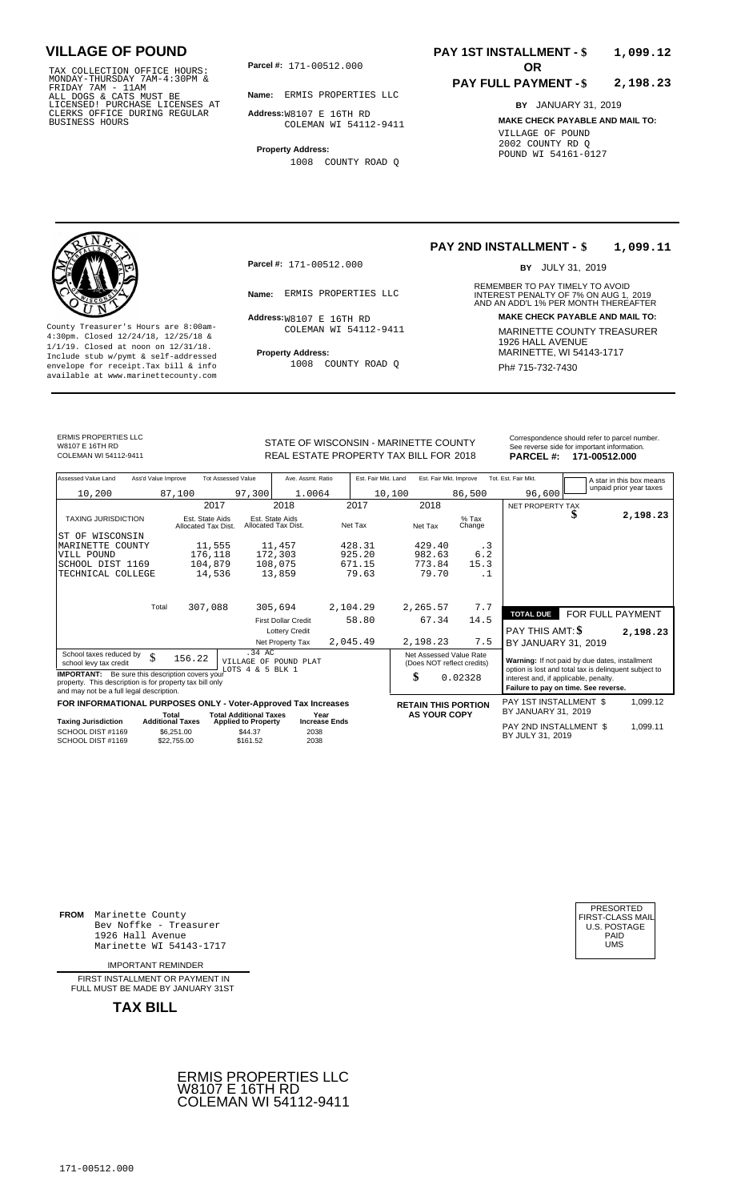TAX COLLECTION OFFICE HOURS:<br>
MONDAY-THURSDAY 7AM-4:30PM &<br>
FRIDAY 7AM - 11AM<br>
ALL DOGS & CATS MUST BE<br>
LICENSED! PURCHASE LICENSES AT<br>
CLERKS OFFICE DURING REGULAR<br>
CLERKS OFFICE DURING REGULAR<br>
BUSINESS HOURS<br>
COLEMAN WI

**Parcel #:** 171-00512.000

**Name:** ERMIS PROPERTIES LLC

**Address:** W8107 E 16TH RD COLEMAN WI 54112-9411

**Property Address:** 1008 COUNTY ROAD Q

### **PAY 1ST INSTALLMENT - \$ 1,099.12**

#### **PAY FULL PAYMENT - \$ 2,198.23**

**BY** JANUARY 31, 2019 **MAKE CHECK PAYABLE AND MAIL TO:** VILLAGE OF POUND 2002 COUNTY RD Q POUND WI 54161-0127



**Property Address:** MARINETTE, WI 54143-1717 Include stub w/pymt & self-addressed envelope for receipt.Tax bill & info Ph# 715-732-7430 available at www.marinettecounty.com

**Parcel #:** 171-00512.000

 $Address:W8107 \to 16TH \text{RD}$ COLEMAN WI 54112-9411

1008 COUNTY ROAD Q

#### **PAY 2ND INSTALLMENT - \$ 1,099.11**

BY JULY 31, 2019

REMEMBER TO PAY TIMELY TO AVOID **Name:** ERMIS PROPERTIES LLC<br>
AND AN ADD'L 1% PER MONTH THEREAFTER **Address: MAKE CHECK PAYABLE AND MAIL TO:** County Treasurer's Hours are 8:00am-<br>
4:30pm. Closed 12/24/18, 12/25/18 & MARINETTE COUNTY TREASURER<br>
1/1/19. Closed at noon on 12/31/18.<br>
Include stub w/pwmt & self-addressed **Property Address:** MARINETTE, WI 54143-1717

ERMIS PROPERTIES LLC W8107 E 16TH RD<br>COLEMAN WI 54112-9411

STATE OF WISCONSIN - MARINETTE COUNTY<br>
See reverse side for important information.<br>
REAL ESTATE PROPERTY TAX BILL FOR 2018 PARCEL #: 171-00512.000 REAL ESTATE PROPERTY TAX BILL FOR **PARCEL #:** COLEMAN WI 54112-9411 2018 **171-00512.000**

PRESORTED<br>FIRST-CLASS MAII<br>U.S. POSTAGE

| Assessed Value Land                                                                                                                                            | Ass'd Value Improve |                                        | <b>Tot Assessed Value</b>                                   | Ave. Assmt. Ratio                      |                      | Est. Fair Mkt. Land |               | Est. Fair Mkt. Improve                                |           | Tot. Est. Fair Mkt.                                                                                                                    |    | A star in this box means<br>unpaid prior year taxes |  |
|----------------------------------------------------------------------------------------------------------------------------------------------------------------|---------------------|----------------------------------------|-------------------------------------------------------------|----------------------------------------|----------------------|---------------------|---------------|-------------------------------------------------------|-----------|----------------------------------------------------------------------------------------------------------------------------------------|----|-----------------------------------------------------|--|
| 10,200                                                                                                                                                         |                     | 87,100                                 | 97,300                                                      | 1.0064                                 |                      | 10,100              |               | 86,500                                                |           | 96,600                                                                                                                                 |    |                                                     |  |
|                                                                                                                                                                |                     |                                        | 2017                                                        | 2018                                   |                      | 2017                | 2018          |                                                       |           | NET PROPERTY TAX                                                                                                                       |    |                                                     |  |
| <b>TAXING JURISDICTION</b>                                                                                                                                     |                     | Est. State Aids<br>Allocated Tax Dist. |                                                             | Est. State Aids<br>Allocated Tax Dist. |                      | Net Tax             | Net Tax       | $%$ Tax<br>Change                                     |           |                                                                                                                                        | \$ | 2,198.23                                            |  |
| ST OF WISCONSIN                                                                                                                                                |                     |                                        |                                                             |                                        |                      |                     |               |                                                       |           |                                                                                                                                        |    |                                                     |  |
| MARINETTE<br>COUNTY                                                                                                                                            |                     |                                        | 11,555                                                      | 11,457                                 |                      | 428.31              | 429.40        |                                                       | . 3       |                                                                                                                                        |    |                                                     |  |
| VILL POUND                                                                                                                                                     |                     | 176,118                                |                                                             | 172,303                                |                      | 925.20              | 982.63        |                                                       | 6.2       |                                                                                                                                        |    |                                                     |  |
| SCHOOL DIST 1169                                                                                                                                               |                     | 104,879                                |                                                             | 108,075                                |                      | 671.15              | 773.84        | 15.3                                                  |           |                                                                                                                                        |    |                                                     |  |
| TECHNICAL COLLEGE                                                                                                                                              |                     |                                        | 14,536                                                      | 13,859                                 |                      | 79.63               | 79.70         |                                                       | $\cdot$ 1 |                                                                                                                                        |    |                                                     |  |
|                                                                                                                                                                |                     |                                        |                                                             |                                        |                      |                     |               |                                                       |           |                                                                                                                                        |    |                                                     |  |
|                                                                                                                                                                | Total               | 307,088                                |                                                             | 305,694                                | 2,104.29             |                     | 2,265.57      |                                                       | 7.7       | <b>TOTAL DUE</b>                                                                                                                       |    | FOR FULL PAYMENT                                    |  |
|                                                                                                                                                                |                     |                                        |                                                             | <b>First Dollar Credit</b>             |                      | 58.80               | 67.34         | 14.5                                                  |           |                                                                                                                                        |    |                                                     |  |
|                                                                                                                                                                |                     |                                        |                                                             | <b>Lottery Credit</b>                  |                      |                     |               |                                                       |           | PAY THIS AMT: \$                                                                                                                       |    | 2,198.23                                            |  |
|                                                                                                                                                                |                     |                                        |                                                             | Net Property Tax                       | 2,045.49             |                     | 2,198.23      |                                                       | 7.5       | BY JANUARY 31, 2019                                                                                                                    |    |                                                     |  |
| School taxes reduced by<br>school levy tax credit                                                                                                              | \$                  | 156.22                                 | $.34 \text{ AC}$<br>VILLAGE OF<br>LOTS $4 \& 5$ BLK $1$     | POUND PLAT                             |                      |                     |               | Net Assessed Value Rate<br>(Does NOT reflect credits) |           | Warning: If not paid by due dates, installment                                                                                         |    |                                                     |  |
| <b>IMPORTANT:</b> Be sure this description covers your<br>property. This description is for property tax bill only<br>and may not be a full legal description. |                     |                                        |                                                             |                                        |                      |                     | \$<br>0.02328 |                                                       |           | option is lost and total tax is delinquent subject to<br>interest and, if applicable, penalty.<br>Failure to pay on time. See reverse. |    |                                                     |  |
|                                                                                                                                                                |                     |                                        |                                                             |                                        |                      |                     |               |                                                       |           |                                                                                                                                        |    |                                                     |  |
| FOR INFORMATIONAL PURPOSES ONLY - Voter-Approved Tax Increases                                                                                                 |                     |                                        |                                                             |                                        |                      |                     |               | <b>RETAIN THIS PORTION</b>                            |           | PAY 1ST INSTALLMENT \$<br>BY JANUARY 31, 2019                                                                                          |    | 1,099.12                                            |  |
| <b>Taxing Jurisdiction</b>                                                                                                                                     |                     | Total<br><b>Additional Taxes</b>       | <b>Total Additional Taxes</b><br><b>Applied to Property</b> | Year                                   | <b>Increase Ends</b> |                     |               | <b>AS YOUR COPY</b>                                   |           |                                                                                                                                        |    |                                                     |  |
| SCHOOL DIST #1169<br>SCHOOL DIST #1169                                                                                                                         |                     | \$6,251.00<br>\$22,755,00              | \$44.37<br>\$161.52                                         | 2038<br>2038                           |                      |                     |               |                                                       |           | PAY 2ND INSTALLMENT \$<br>BY JULY 31, 2019                                                                                             |    | 1,099.11                                            |  |

**FROM** Marinette County Bev Noffke - Treasurer (U.S. POSTAGE)<br>1926 Hall Avenue (U.S. POSTAGE)<br>Marinette WI 54143-1717 (U.S. POSTAGE) 1926 Hall Avenue Marinette WI 54143-1717

IMPORTANT REMINDER

FIRST INSTALLMENT OR PAYMENT IN FULL MUST BE MADE BY JANUARY 31ST



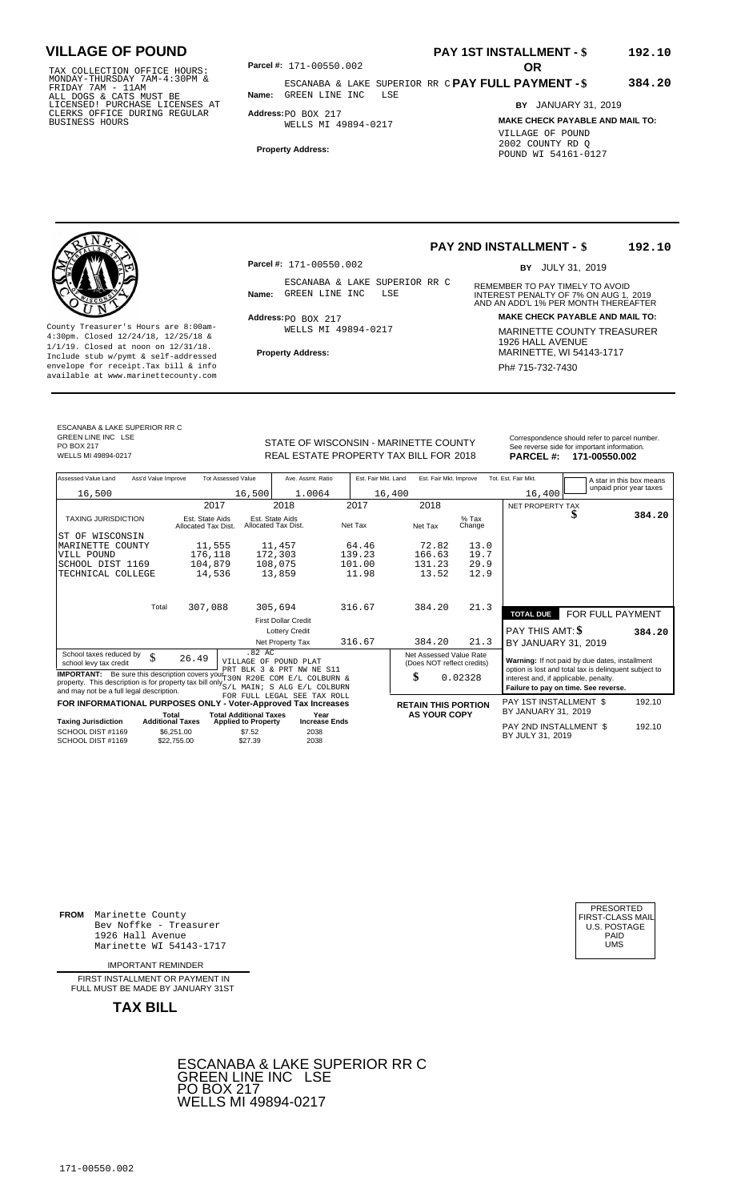TAX COLLECTION OFFICE HOURS:<br>
MONDAY-THURSDAY 7AM-4:30PM &<br>
FRIDAY 7AM - 11AM<br>
ALL DOGS & CATS MUST BE<br>
LICENSED! PURCHASE LICENSES AT<br>
LICENSED! PURCHASE LICENSES AT<br>
CLERKS OFFICE DURING REGULAR<br>
BUSINESS HOURS<br>
BUSINESS

**PAY 1ST INSTALLMENT - \$ 192.10**

**PAY FULL PAYMENT - \$** ESCANABA & LAKE SUPERIOR RR C **Name:** GREEN LINE INC LSE **384.20**

**Address:** PO BOX 217 WELLS MI 49894-0217

**Property Address:**

### **BY** JANUARY 31, 2019 **MAKE CHECK PAYABLE AND MAIL TO:** VILLAGE OF POUND 2002 COUNTY RD Q POUND WI 54161-0127

County Treasurer's Hours are 8:00am-<br>
4:30pm. Closed 12/24/18, 12/25/18 & MARINETTE COUNTY TREASURER<br>
1/1/19. Closed at noon on 12/31/18.<br>
Include stub w/pwmt & self-addressed **Property Address:** MARINETTE, WI 54143-1717 **Property Address:** MARINETTE, WI 54143-1717 Include stub w/pymt & self-addressed envelope for receipt.Tax bill & info Phat is a set of the phat of the Phat 715-732-7430 envelope for receipt.Tax bill & info Phat 715-732-7430 envelope for the phat 715-732-7430 envelope for the phat 715-732-7430 envelope

**Parcel #:** 171-00550.002

ESCANABA & LAKE SUPERIOR RR C<br>Name: GREEN LINE INC LSE

 $Address:  $PO$  BOX 217$ WELLS MI 49894-0217

### **PAY 2ND INSTALLMENT - \$ 192.10**

BY JULY 31, 2019

REMEMBER TO PAY TIMELY TO AVOID **Name:** GREEN LINE INC LSE **INTEREST PENALTY OF 7% ON AUG 1, 2019**<br>AND AN ADD'L 1% PER MONTH THEREAFTER **Address: MAKE CHECK PAYABLE AND MAIL TO:**

ESCANABA & LAKE SUPERIOR RR C GREEN LINE INC LSE PO BOX 217<br>WELLS MI 49894-0217

STATE OF WISCONSIN - MARINETTE COUNTY<br>
See reverse side for important information.<br>
REAL ESTATE PROPERTY TAX BILL FOR 2018 PARCEL #: 171-00550.002 WELLS MI 49894-0217 **171-00550.002** REAL ESTATE PROPERTY TAX BILL FOR 2018 **PARCEL #: 171-00550.002** 

| Assessed Value Land                                                                                                                                                                                                     | Ass'd Value Improve                    | <b>Tot Assessed Value</b>      | Ave. Assmt. Ratio                      | Est. Fair Mkt. Land | Est. Fair Mkt. Improve                                |                   | Tot. Est. Fair Mkt.                                                                                                                    | A star in this box means |        |  |
|-------------------------------------------------------------------------------------------------------------------------------------------------------------------------------------------------------------------------|----------------------------------------|--------------------------------|----------------------------------------|---------------------|-------------------------------------------------------|-------------------|----------------------------------------------------------------------------------------------------------------------------------------|--------------------------|--------|--|
| 16,500                                                                                                                                                                                                                  |                                        | 16,500                         | 1.0064                                 | 16,400              |                                                       |                   | 16,400                                                                                                                                 | unpaid prior year taxes  |        |  |
|                                                                                                                                                                                                                         |                                        | 2017                           | 2018                                   | 2017                | 2018                                                  |                   | NET PROPERTY TAX                                                                                                                       |                          |        |  |
| <b>TAXING JURISDICTION</b>                                                                                                                                                                                              | Est. State Aids<br>Allocated Tax Dist. |                                | Est. State Aids<br>Allocated Tax Dist. | Net Tax             | Net Tax                                               | $%$ Tax<br>Change |                                                                                                                                        |                          | 384.20 |  |
| WISCONSIN<br>IST OF                                                                                                                                                                                                     |                                        |                                |                                        |                     |                                                       |                   |                                                                                                                                        |                          |        |  |
| MARINETTE COUNTY                                                                                                                                                                                                        |                                        | 11,555                         | 11,457                                 | 64.46               | 72.82                                                 | 13.0              |                                                                                                                                        |                          |        |  |
| VILL POUND                                                                                                                                                                                                              | 176,118                                |                                | 172,303                                | 139.23              | 166.63                                                | 19.7              |                                                                                                                                        |                          |        |  |
| SCHOOL DIST 1169                                                                                                                                                                                                        | 104,879                                |                                | 108,075                                | 101.00              | 131.23                                                | 29.9              |                                                                                                                                        |                          |        |  |
| TECHNICAL COLLEGE                                                                                                                                                                                                       |                                        | 14,536                         | 13,859                                 | 11.98               | 13.52                                                 | 12.9              |                                                                                                                                        |                          |        |  |
|                                                                                                                                                                                                                         |                                        |                                |                                        |                     |                                                       |                   |                                                                                                                                        |                          |        |  |
|                                                                                                                                                                                                                         | Total<br>307,088                       |                                | 305,694                                | 316.67              | 384.20                                                | 21.3              | <b>TOTAL DUE</b>                                                                                                                       | FOR FULL PAYMENT         |        |  |
|                                                                                                                                                                                                                         |                                        |                                | <b>First Dollar Credit</b>             |                     |                                                       |                   |                                                                                                                                        |                          |        |  |
|                                                                                                                                                                                                                         |                                        |                                | <b>Lottery Credit</b>                  |                     |                                                       |                   | PAY THIS AMT: \$                                                                                                                       |                          | 384.20 |  |
|                                                                                                                                                                                                                         |                                        |                                | Net Property Tax                       | 316.67              | 384.20                                                | 21.3              | BY JANUARY 31, 2019                                                                                                                    |                          |        |  |
| School taxes reduced by<br>school levy tax credit                                                                                                                                                                       | \$<br>26.49                            | .82AC<br>VILLAGE OF POUND PLAT | PRT BLK 3 & PRT NW NE S11              |                     | Net Assessed Value Rate<br>(Does NOT reflect credits) |                   | Warning: If not paid by due dates, installment                                                                                         |                          |        |  |
| <b>IMPORTANT:</b> Be sure this description covers your $\frac{1}{130N}$<br>property. This description is for property tax bill only $_{S/L}^{2000}$ MAIN; S ALG E/L COLBURN<br>and may not be a full legal description. |                                        |                                | R20E COM E/L COLBURN &                 |                     | \$                                                    | 0.02328           | option is lost and total tax is delinquent subject to<br>interest and, if applicable, penalty.<br>Failure to pay on time. See reverse. |                          |        |  |
| FOR INFORMATIONAL PURPOSES ONLY - Voter-Approved Tax Increases                                                                                                                                                          |                                        |                                | FOR FULL LEGAL SEE TAX ROLL            |                     | <b>RETAIN THIS PORTION</b>                            |                   | PAY 1ST INSTALLMENT \$                                                                                                                 |                          | 192.10 |  |
|                                                                                                                                                                                                                         | Total                                  | <b>Total Additional Taxes</b>  | Year                                   |                     | <b>AS YOUR COPY</b>                                   |                   | BY JANUARY 31, 2019                                                                                                                    |                          |        |  |
| <b>Taxing Jurisdiction</b>                                                                                                                                                                                              | <b>Additional Taxes</b>                | <b>Applied to Property</b>     | <b>Increase Ends</b>                   |                     |                                                       |                   | PAY 2ND INSTALLMENT \$                                                                                                                 |                          | 192.10 |  |
| SCHOOL DIST #1169<br>SCHOOL DIST #1169                                                                                                                                                                                  | \$6,251.00<br>\$22,755.00              | \$7.52<br>\$27.39              | 2038<br>2038                           |                     |                                                       |                   | BY JULY 31, 2019                                                                                                                       |                          |        |  |

**FROM** Marinette County Bev Noffke - Treasurer (U.S. POSTAGE)<br>1926 Hall Avenue (U.S. POSTAGE)<br>Marinette WI 54143-1717 (U.S. POSTAGE) 1926 Hall Avenue PAID Marinette WI 54143-1717 UMS

IMPORTANT REMINDER

FIRST INSTALL MENT OR PAYMENT IN FULL MUST BE MADE BY JANUARY 31ST



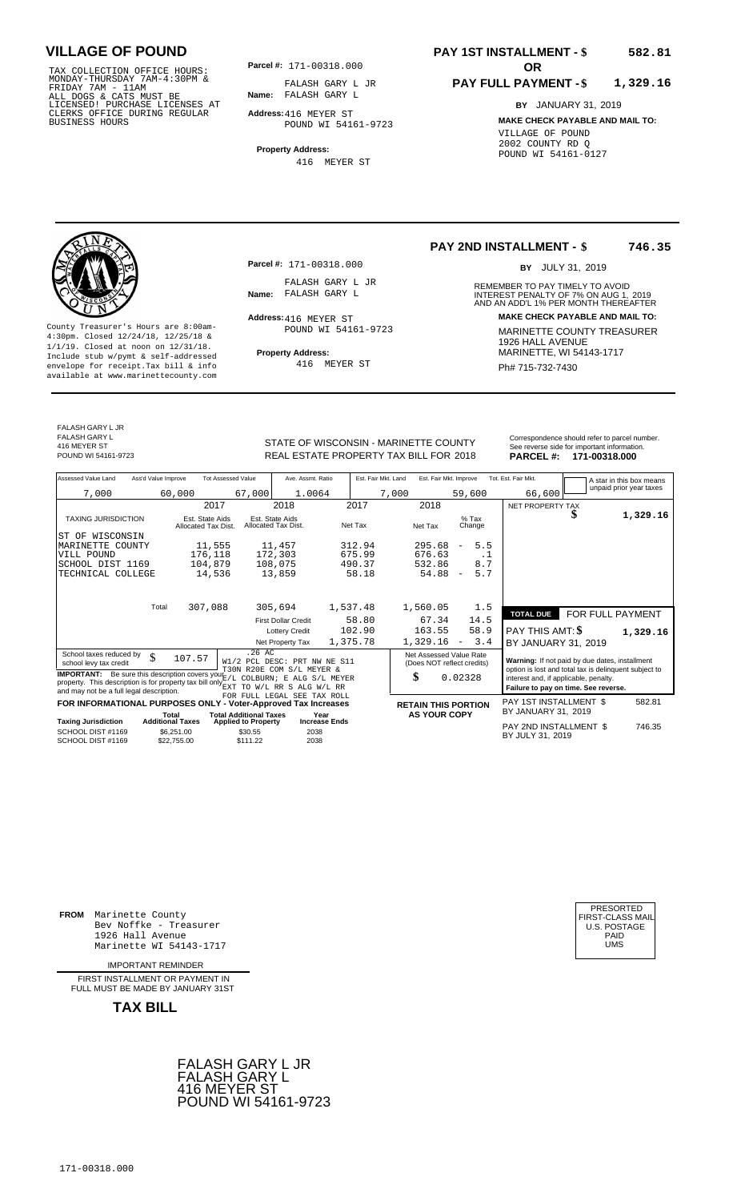TAX COLLECTION OFFICE HOURS:<br>
MONDAY-THURSDAY 7AM-4:30PM &<br>
FRIDAY 7AM - 11AM<br>
ALL DOGS & CATS MUST BE<br>
LICENSED! PURCHASE LICENSES AT<br>
CLERKS OFFICE DURING REGULAR<br>
CLERKS OFFICE DURING REGULAR<br>
BUSINESS HOURS<br>
BUSINESS H

**Parcel #:** 171-00318.000

**Name:** FALASH GARY L FALASH GARY L JR

**Address:** 416 MEYER ST POUND WI 54161-9723

**Property Address:** 416 MEYER ST

#### **PAY 1ST INSTALLMENT - \$ 582.81**

#### **PAY FULL PAYMENT - \$ 1,329.16**

**BY** JANUARY 31, 2019 **MAKE CHECK PAYABLE AND MAIL TO:** VILLAGE OF POUND 2002 COUNTY RD Q POUND WI 54161-0127

**Property Address:** MARINETTE, WI 54143-1717 Include stub w/pymt & self-addressed envelope for receipt.Tax bill & info Ph# 715-732-7430 available at www.marinettecounty.com

**Parcel #:** 171-00318.000

FALASH GARY L JR<br>Name: FALASH GARY L

Address: 416 MEYER ST POUND WI 54161-9723

416 MEYER ST

**PAY 2ND INSTALLMENT - \$ 746.35**

BY JULY 31, 2019

REMEMBER TO PAY TIMELY TO AVOID **Name:** FALASH GARY L<br>
INTEREST PENALTY OF 7% ON AUG 1, 2019<br>
AND AN ADD'L 1% PER MONTH THEREAFTER **Address: MAKE CHECK PAYABLE AND MAIL TO:** County Treasurer's Hours are 8:00am-<br>
4:30pm. Closed 12/24/18, 12/25/18 & MARINETTE COUNTY TREASURER<br>
1/1/19. Closed at noon on 12/31/18.<br>
Include stub w/pwmt & self-addressed<br>
Property Address: MARINETTE, WI 54143-1717

FALASH GARY L JR FALASH GARY L 416 MEYER ST<br>POUND WI 54161-9723

STATE OF WISCONSIN - MARINETTE COUNTY<br>
See reverse side for important information.<br>
REAL ESTATE PROPERTY TAX BILL FOR 2018 PARCEL #: 171-00318.000 REAL ESTATE PROPERTY TAX BILL FOR **PARCEL #:** POUND WI 54161-9723 2018 **171-00318.000**

| Assessed Value Land                                                                                                                                                       | Ass'd Value Improve       | <b>Tot Assessed Value</b>              | Ave. Assmt. Ratio                                   |                      | Est. Fair Mkt. Land | Est. Fair Mkt. Improve                                | Tot. Est. Fair Mkt.                                                                                                                    |   | A star in this box means |
|---------------------------------------------------------------------------------------------------------------------------------------------------------------------------|---------------------------|----------------------------------------|-----------------------------------------------------|----------------------|---------------------|-------------------------------------------------------|----------------------------------------------------------------------------------------------------------------------------------------|---|--------------------------|
| 7,000                                                                                                                                                                     | 60,000                    |                                        | 67,000                                              | 1.0064               | 7,000               | 59,600                                                | 66,600                                                                                                                                 |   | unpaid prior year taxes  |
|                                                                                                                                                                           |                           | 2017                                   | 2018                                                | 2017                 | 2018                |                                                       | NET PROPERTY TAX                                                                                                                       |   |                          |
| <b>TAXING JURISDICTION</b>                                                                                                                                                |                           | Est. State Aids<br>Allocated Tax Dist. | Est. State Aids<br>Allocated Tax Dist.              | Net Tax              | Net Tax             | $%$ Tax<br>Change                                     |                                                                                                                                        | D | 1,329.16                 |
| WISCONSIN<br>ST<br>OF                                                                                                                                                     |                           |                                        |                                                     |                      |                     |                                                       |                                                                                                                                        |   |                          |
| MARINETTE COUNTY                                                                                                                                                          |                           | 11,555                                 | 11,457                                              | 312.94               | 295.68              | 5.5<br>$\overline{\phantom{a}}$                       |                                                                                                                                        |   |                          |
| VILL POUND                                                                                                                                                                |                           | 176,118                                | 172,303                                             | 675.99               | 676.63              | $\cdot$ 1                                             |                                                                                                                                        |   |                          |
| SCHOOL DIST 1169                                                                                                                                                          |                           | 104,879                                | 108,075                                             | 490.37               | 532.86              | 8.7                                                   |                                                                                                                                        |   |                          |
| TECHNICAL COLLEGE                                                                                                                                                         |                           | 14,536                                 | 13,859                                              | 58.18                |                     | 54.88<br>5.7<br>$\overline{\phantom{a}}$              |                                                                                                                                        |   |                          |
|                                                                                                                                                                           | Total                     | 307,088                                | 305,694                                             | 1,537.48             | 1,560.05            | 1.5                                                   |                                                                                                                                        |   |                          |
|                                                                                                                                                                           |                           |                                        |                                                     |                      |                     |                                                       | <b>TOTAL DUE</b>                                                                                                                       |   | FOR FULL PAYMENT         |
|                                                                                                                                                                           |                           |                                        | <b>First Dollar Credit</b>                          | 58.80                |                     | 67.34<br>14.5                                         |                                                                                                                                        |   |                          |
|                                                                                                                                                                           |                           |                                        | <b>Lottery Credit</b>                               | 102.90               | 163.55              | 58.9                                                  | PAY THIS AMT: \$                                                                                                                       |   | 1,329.16                 |
|                                                                                                                                                                           |                           |                                        | Net Property Tax                                    | 1,375.78             | 1,329.16            | 3.4<br>$\equiv$                                       | BY JANUARY 31, 2019                                                                                                                    |   |                          |
| School taxes reduced by<br>school levy tax credit                                                                                                                         | \$                        | 107.57                                 | .26AC<br>W1/2 PCL DESC: PRT NW NE S11               |                      |                     | Net Assessed Value Rate<br>(Does NOT reflect credits) | Warning: If not paid by due dates, installment                                                                                         |   |                          |
| <b>IMPORTANT:</b> Be sure this description covers your VE /L COLBURN; E ALG S/L MEYER<br>property. This description is for property tax bill only $_{\rm EXT}^{\omega,+}$ |                           |                                        | T30N R20E COM S/L MEYER &<br>TO W/L RR S ALG W/L RR |                      | \$                  | 0.02328                                               | option is lost and total tax is delinquent subject to<br>interest and, if applicable, penalty.<br>Failure to pay on time. See reverse. |   |                          |
| and may not be a full legal description.                                                                                                                                  |                           |                                        | FOR FULL LEGAL SEE TAX ROLL                         |                      |                     |                                                       |                                                                                                                                        |   |                          |
| FOR INFORMATIONAL PURPOSES ONLY - Voter-Approved Tax Increases                                                                                                            | Total                     |                                        | <b>Total Additional Taxes</b>                       | Year                 |                     | <b>RETAIN THIS PORTION</b><br><b>AS YOUR COPY</b>     | PAY 1ST INSTALLMENT \$<br>BY JANUARY 31, 2019                                                                                          |   | 582.81                   |
| <b>Taxing Jurisdiction</b>                                                                                                                                                | <b>Additional Taxes</b>   |                                        | <b>Applied to Property</b>                          | <b>Increase Ends</b> |                     |                                                       |                                                                                                                                        |   |                          |
| SCHOOL DIST #1169<br>SCHOOL DIST #1169                                                                                                                                    | \$6,251.00<br>\$22,755.00 |                                        | \$30.55<br>\$111.22                                 | 2038<br>2038         |                     |                                                       | PAY 2ND INSTALLMENT \$<br>BY JULY 31, 2019                                                                                             |   | 746.35                   |

**FROM** Marinette County Bev Noffke - Treasurer 1926 Hall Avenue PAID Marinette WI 54143-1717 UMS

IMPORTANT REMINDER

FIRST INSTALLMENT OR PAYMENT IN FULL MUST BE MADE BY JANUARY 31ST



| PRESORTED           |
|---------------------|
| FIRST-CLASS MAIL    |
| <b>U.S. POSTAGE</b> |
| PAID                |
| UMS                 |
|                     |
|                     |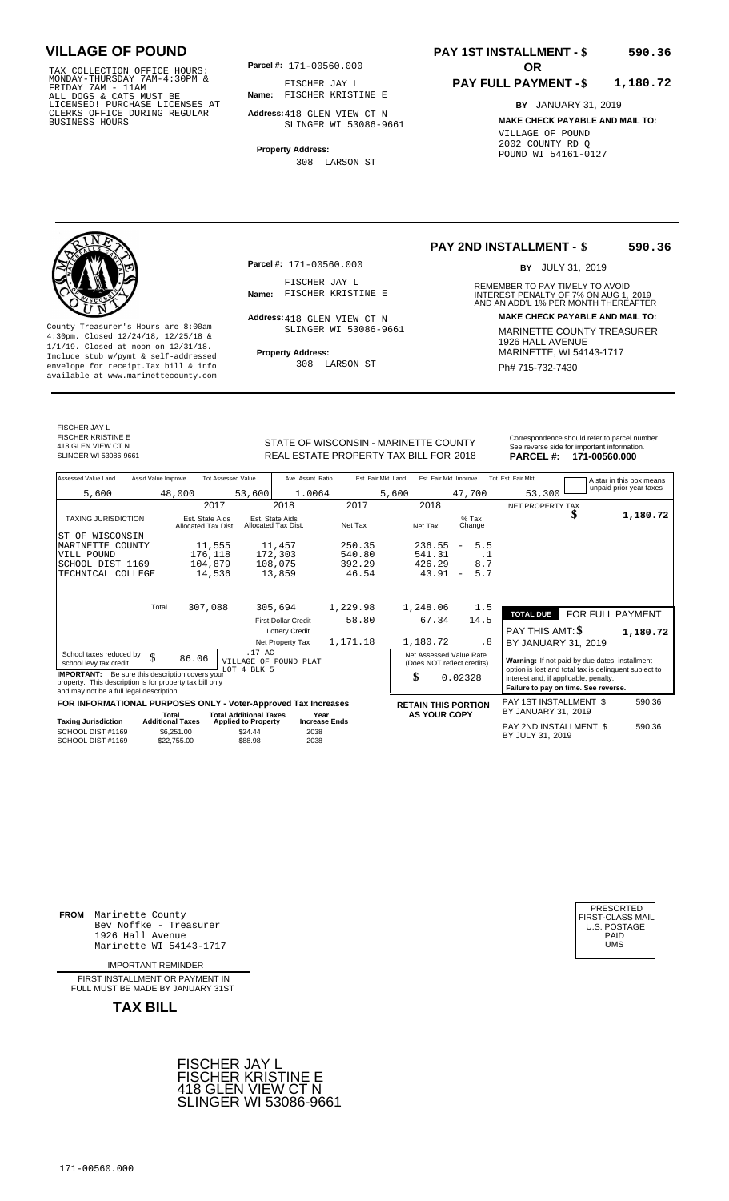TAX COLLECTION OFFICE HOURS:<br>
MONDAY-THURSDAY 7AM-4:30PM &<br>
FRIDAY 7AM - 11AM<br>
ALL DOGS & CATS MUST BE<br>
LICENSED! PURCHASE LICENSES AT<br>
CLERKS OFFICE DURING REGULAR<br>
CLERKS OFFICE DURING REGULAR<br>
BUSINESS HOURS<br>
BUSINESS H

**Parcel #: OR**

**Name:** FISCHER KRISTINE E FISCHER JAY L

**Address:** 418 GLEN VIEW CT N SLINGER WI 53086-9661

**Property Address:** 308 LARSON ST

#### **PAY 1ST INSTALLMENT - \$ 590.36**

#### **PAY FULL PAYMENT - \$ 1,180.72**

**BY** JANUARY 31, 2019 **MAKE CHECK PAYABLE AND MAIL TO:** VILLAGE OF POUND 2002 COUNTY RD Q POUND WI 54161-0127

**Property Address:** MARINETTE, WI 54143-1717 Include stub w/pymt & self-addressed envelope for receipt.Tax bill & info Ph# 715-732-7430 available at www.marinettecounty.com

**Parcel #:** 171-00560.000

FISCHER JAY L<br>Name: FISCHER KRISTINE E

Address: 418 GLEN VIEW CT N SLINGER WI 53086-9661

308 LARSON ST

#### **PAY 2ND INSTALLMENT - \$ 590.36**

BY JULY 31, 2019

REMEMBER TO PAY TIMELY TO AVOID **Name:** FISCHER KRISTINE E INTEREST PENALTY OF 7% ON AUG 1, 2019<br>AND AN ADD'L 1% PER MONTH THEREAFTER **Address: MAKE CHECK PAYABLE AND MAIL TO:** County Treasurer's Hours are 8:00am-<br>
4:30pm. Closed 12/24/18, 12/25/18 & 1/1/19. Closed at noon on 12/31/18.<br>
1/1/19. Closed at noon on 12/31/18.<br>
Include stub w/pwmt & self-addressed **Property Address:** MARINETTE, WI 541

FISCHER JAY L FISCHER KRISTINE E 418 GLEN VIEW CT N<br>SLINGER WI 53086-9661

STATE OF WISCONSIN - MARINETTE COUNTY REAL ESTATE PROPERTY TAX BILL FOR **PARCEL #:** SLINGER WI 53086-9661 2018 **171-00560.000**

| Correspondence should refer to parcel number. |
|-----------------------------------------------|
| See reverse side for important information.   |
| <b>BABOEL # 474 00500 000</b>                 |

| Assessed Value Land                                            | Ass'd Value Improve     |                                        | <b>Tot Assessed Value</b>             | Ave. Assmt. Ratio                      |                      |          | Est. Fair Mkt. Land | Est. Fair Mkt. Improve     |                          |                   | Tot. Est. Fair Mkt.                                   | A star in this box means<br>unpaid prior year taxes |
|----------------------------------------------------------------|-------------------------|----------------------------------------|---------------------------------------|----------------------------------------|----------------------|----------|---------------------|----------------------------|--------------------------|-------------------|-------------------------------------------------------|-----------------------------------------------------|
| 5,600                                                          |                         | 48,000                                 | 53,600                                | 1.0064                                 |                      |          | 5,600               |                            |                          | 47,700            | 53,300                                                |                                                     |
|                                                                |                         | 2017                                   |                                       | 2018                                   |                      | 2017     |                     | 2018                       |                          |                   | <b>NET PROPERTY TAX</b>                               |                                                     |
| <b>TAXING JURISDICTION</b>                                     |                         | Est. State Aids<br>Allocated Tax Dist. |                                       | Est. State Aids<br>Allocated Tax Dist. |                      | Net Tax  |                     | Net Tax                    |                          | $%$ Tax<br>Change |                                                       | 1,180.72                                            |
| WISCONSIN<br>ST OF                                             |                         |                                        |                                       |                                        |                      |          |                     |                            |                          |                   |                                                       |                                                     |
| MARINETTE<br>COUNTY                                            |                         | 11,555                                 |                                       | 11,457                                 |                      | 250.35   |                     | 236.55                     | $\overline{\phantom{m}}$ | 5.5               |                                                       |                                                     |
| VILL POUND                                                     |                         | 176,118                                |                                       | 172,303                                |                      | 540.80   |                     | 541.31                     |                          | . 1               |                                                       |                                                     |
| SCHOOL DIST 1169                                               |                         | 104,879                                |                                       | 108,075                                |                      | 392.29   |                     | 426.29                     |                          | 8.7               |                                                       |                                                     |
| TECHNICAL COLLEGE                                              |                         | 14,536                                 |                                       | 13,859                                 |                      | 46.54    |                     | 43.91                      | $\overline{\phantom{m}}$ | 5.7               |                                                       |                                                     |
|                                                                |                         |                                        |                                       |                                        |                      |          |                     |                            |                          |                   |                                                       |                                                     |
|                                                                | Total                   | 307,088                                |                                       | 305,694                                |                      | 1,229.98 |                     | 1,248.06                   |                          | 1.5               |                                                       |                                                     |
|                                                                |                         |                                        |                                       | <b>First Dollar Credit</b>             |                      | 58.80    |                     | 67.34                      |                          | 14.5              | <b>TOTAL DUE</b>                                      | FOR FULL PAYMENT                                    |
|                                                                |                         |                                        |                                       | <b>Lottery Credit</b>                  |                      |          |                     |                            |                          |                   | <b>PAY THIS AMT: \$</b>                               | 1,180.72                                            |
|                                                                |                         |                                        |                                       | Net Property Tax                       |                      | 1,171.18 |                     | 1,180.72                   |                          | . 8               | BY JANUARY 31, 2019                                   |                                                     |
| School taxes reduced by                                        |                         |                                        | .17 AC                                |                                        |                      |          |                     | Net Assessed Value Rate    |                          |                   |                                                       |                                                     |
| school levy tax credit                                         | \$                      | 86.06                                  |                                       | VILLAGE OF POUND PLAT                  |                      |          |                     | (Does NOT reflect credits) |                          |                   | Warning: If not paid by due dates, installment        |                                                     |
| <b>IMPORTANT:</b> Be sure this description covers your         |                         |                                        | LOT 4 BLK 5                           |                                        |                      |          |                     |                            |                          |                   | option is lost and total tax is delinquent subject to |                                                     |
| property. This description is for property tax bill only       |                         |                                        |                                       |                                        |                      |          |                     | \$                         | 0.02328                  |                   | interest and, if applicable, penalty.                 |                                                     |
| and may not be a full legal description.                       |                         |                                        |                                       |                                        |                      |          |                     |                            |                          |                   | Failure to pay on time. See reverse.                  |                                                     |
| FOR INFORMATIONAL PURPOSES ONLY - Voter-Approved Tax Increases |                         |                                        |                                       |                                        |                      |          |                     | <b>RETAIN THIS PORTION</b> |                          |                   | PAY 1ST INSTALLMENT \$                                | 590.36                                              |
|                                                                | Total                   |                                        | <b>Total Additional Taxes</b>         |                                        | Year                 |          |                     | <b>AS YOUR COPY</b>        |                          |                   | BY JANUARY 31, 2019                                   |                                                     |
| <b>Taxing Jurisdiction</b><br>SCHOOL DIST #1169                | <b>Additional Taxes</b> | \$6,251.00                             | <b>Applied to Property</b><br>\$24.44 | 2038                                   | <b>Increase Ends</b> |          |                     |                            |                          |                   | PAY 2ND INSTALLMENT \$<br>BY JULY 31, 2019            | 590.36                                              |
| SCHOOL DIST #1169                                              |                         | \$22,755.00                            | \$88.98                               | 2038                                   |                      |          |                     |                            |                          |                   |                                                       |                                                     |

**FROM** Marinette County Bev Noffke - Treasurer 1926 Hall Avenue PAID Marinette WI 54143-1717 UMS

IMPORTANT REMINDER

FIRST INSTALLMENT OR PAYMENT IN FULL MUST BE MADE BY JANUARY 31ST



| PRESORTED<br>FIRST-CLASS MAIL<br><b>U.S. POSTAGE</b><br>PAID<br>UMS |
|---------------------------------------------------------------------|
|---------------------------------------------------------------------|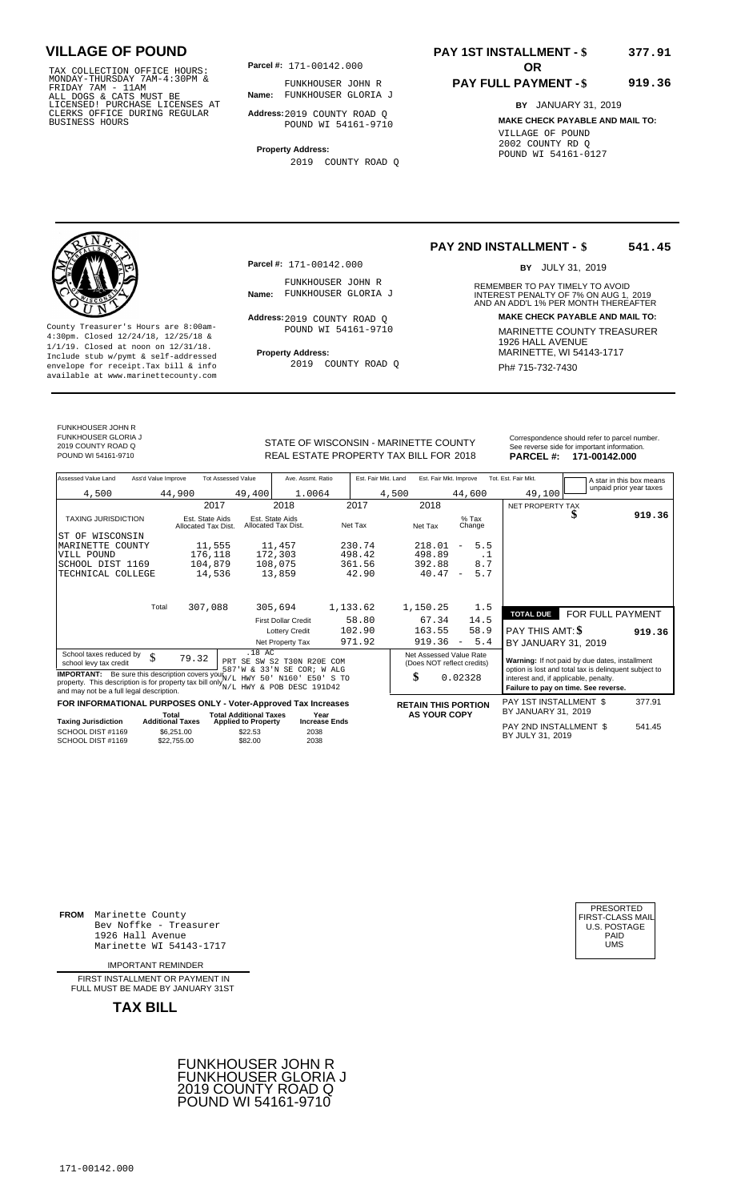TAX COLLECTION OFFICE HOURS:<br>
MONDAY-THURSDAY 7AM-4:30PM &<br>
FRIDAY 7AM - 11AM<br>
ALL DOGS & CATS MUST BE<br>
LICENSED I PURCHASE LICENSES AT<br>
CLERKS OFFICE DURING REGULAR<br>
CLERKS OFFICE DURING REGULAR<br>
BUSINESS HOURS<br>
BUSINESS

**Parcel #:** 171-00142.000

**Name:** FUNKHOUSER GLORIA J FUNKHOUSER JOHN R

**Address:** 2019 COUNTY ROAD Q POUND WI 54161-9710

**Property Address:** 2019 COUNTY ROAD Q

### **PAY 1ST INSTALLMENT - \$ 377.91**

#### **PAY FULL PAYMENT - \$ 919.36**

**BY** JANUARY 31, 2019 **MAKE CHECK PAYABLE AND MAIL TO:** VILLAGE OF POUND 2002 COUNTY RD Q POUND WI 54161-0127

**Property Address:** MARINETTE, WI 54143-1717 Include stub w/pymt & self-addressed envelope for receipt.Tax bill & info Ph# 715-732-7430 available at www.marinettecounty.com

**Parcel #:** 171-00142.000

FUNKHOUSER JOHN R<br>Name: FUNKHOUSER GLORIA J

Address: 2019 COUNTY ROAD Q POUND WI 54161-9710

2019 COUNTY ROAD Q

#### **PAY 2ND INSTALLMENT - \$ 541.45**

BY JULY 31, 2019

REMEMBER TO PAY TIMELY TO AVOID **Name:** FUNKHOUSER GLORIA J<br>
AND AN ADD'L 1% PER MONTH THEREAFTER **Address: MAKE CHECK PAYABLE AND MAIL TO:** County Treasurer's Hours are 8:00am-<br>
4:30pm. Closed 12/24/18, 12/25/18 & 1/1/19. Closed at noon on 12/31/18.<br>
Include stub w/pwmt. & self-addressed<br>
Froperty Address: MARINETTE, WI 54143-1717

FUNKHOUSER JOHN R

FUNKHOUSER GLORIA J 2019 COUNTY ROAD Q

STATE OF WISCONSIN - MARINETTE COUNTY REAL ESTATE PROPERTY TAX BILL FOR **PARCEL #:** POUND WI 54161-9710 2018 **171-00142.000**

|                 | Correspondence should refer to parcel number. |
|-----------------|-----------------------------------------------|
|                 | See reverse side for important information.   |
| <b>PARCEL#:</b> | 171-00142.000                                 |

| Assessed Value Land<br>Ass'd Value Improve                                                                                       | <b>Tot Assessed Value</b>                                                     | Ave. Assmt. Ratio                      | Est. Fair Mkt. Land | Est. Fair Mkt. Improve                                |                                                                                                | Tot. Est. Fair Mkt.<br>A star in this box means      |  |
|----------------------------------------------------------------------------------------------------------------------------------|-------------------------------------------------------------------------------|----------------------------------------|---------------------|-------------------------------------------------------|------------------------------------------------------------------------------------------------|------------------------------------------------------|--|
| 4,500                                                                                                                            | 49,400<br>44,900                                                              | 1.0064                                 | 4,500               |                                                       | 44,600                                                                                         | unpaid prior year taxes<br>49,100                    |  |
|                                                                                                                                  | 2017                                                                          | 2018                                   | 2017                | 2018                                                  |                                                                                                | NET PROPERTY TAX                                     |  |
| <b>TAXING JURISDICTION</b>                                                                                                       | Est. State Aids<br>Allocated Tax Dist.                                        | Est. State Aids<br>Allocated Tax Dist. | Net Tax             | Net Tax                                               | $%$ Tax<br>Change                                                                              | 919.36                                               |  |
| WISCONSIN<br>ST OF                                                                                                               |                                                                               |                                        |                     |                                                       |                                                                                                |                                                      |  |
| MARINETTE COUNTY                                                                                                                 | 11,555                                                                        | 11,457                                 | 230.74              | 218.01                                                | 5.5<br>$\overline{\phantom{a}}$                                                                |                                                      |  |
| VILL POUND                                                                                                                       | 176,118                                                                       | 172,303                                | 498.42              | 498.89                                                | $\cdot$ 1                                                                                      |                                                      |  |
| SCHOOL DIST 1169                                                                                                                 | 104,879                                                                       | 108,075                                | 361.56              | 392.88                                                | 8.7                                                                                            |                                                      |  |
| TECHNICAL COLLEGE                                                                                                                | 14,536                                                                        | 13,859                                 | 42.90               | 40.47                                                 | 5.7<br>$\overline{\phantom{a}}$                                                                |                                                      |  |
|                                                                                                                                  |                                                                               |                                        |                     |                                                       |                                                                                                |                                                      |  |
| Total                                                                                                                            | 307,088                                                                       | 305,694                                | 1,133.62            | 1,150.25                                              | 1.5                                                                                            |                                                      |  |
|                                                                                                                                  |                                                                               |                                        |                     |                                                       |                                                                                                | FOR FULL PAYMENT<br><b>TOTAL DUE</b>                 |  |
|                                                                                                                                  |                                                                               | <b>First Dollar Credit</b>             | 58.80               | 67.34                                                 | 14.5                                                                                           |                                                      |  |
|                                                                                                                                  |                                                                               | <b>Lottery Credit</b>                  | 102.90              | 163.55                                                | 58.9                                                                                           | <b>PAY THIS AMT: \$</b><br>919.36                    |  |
|                                                                                                                                  |                                                                               | Net Property Tax                       | 971.92              | 919.36                                                | 5.4<br>$\overline{\phantom{a}}$                                                                | BY JANUARY 31, 2019                                  |  |
| School taxes reduced by<br>\$<br>school levy tax credit                                                                          | .18 AC<br>79.32                                                               | PRT SE SW S2 T30N R20E COM             |                     | Net Assessed Value Rate<br>(Does NOT reflect credits) |                                                                                                | Warning: If not paid by due dates, installment       |  |
| <b>IMPORTANT:</b> Be sure this description covers your $N/L$                                                                     | 587'W & 33'N SE COR; W ALG<br>HWY 50' N160' E50' S TO                         |                                        | \$                  | 0.02328                                               | option is lost and total tax is delinquent subject to<br>interest and, if applicable, penalty. |                                                      |  |
| property. This description is for property tax bill only $N/L$ HWY & POB DESC 191D42<br>and may not be a full legal description. |                                                                               |                                        |                     |                                                       |                                                                                                | Failure to pay on time. See reverse.                 |  |
| FOR INFORMATIONAL PURPOSES ONLY - Voter-Approved Tax Increases                                                                   |                                                                               |                                        |                     | <b>RETAIN THIS PORTION</b>                            |                                                                                                | PAY 1ST INSTALLMENT \$<br>377.91                     |  |
| <b>Taxing Jurisdiction</b>                                                                                                       | <b>Total Additional Taxes</b><br>Total<br><b>Additional Taxes</b>             | Year<br><b>Increase Ends</b>           |                     | <b>AS YOUR COPY</b>                                   |                                                                                                | BY JANUARY 31, 2019                                  |  |
| SCHOOL DIST #1169<br>SCHOOL DIST #1169                                                                                           | <b>Applied to Property</b><br>\$6,251.00<br>\$22.53<br>\$82.00<br>\$22,755.00 | 2038<br>2038                           |                     |                                                       |                                                                                                | PAY 2ND INSTALLMENT \$<br>541.45<br>BY JULY 31, 2019 |  |

**FROM** Marinette County Bev Noffke - Treasurer (U.S. POSTAGE)<br>1926 Hall Avenue (U.S. POSTAGE)<br>Marinette WI 54143-1717 (U.S. POSTAGE) 1926 Hall Avenue PAID Marinette WI 54143-1717 UMS

IMPORTANT REMINDER

FIRST INSTALLMENT OR PAYMENT IN FULL MUST BE MADE BY JANUARY 31ST



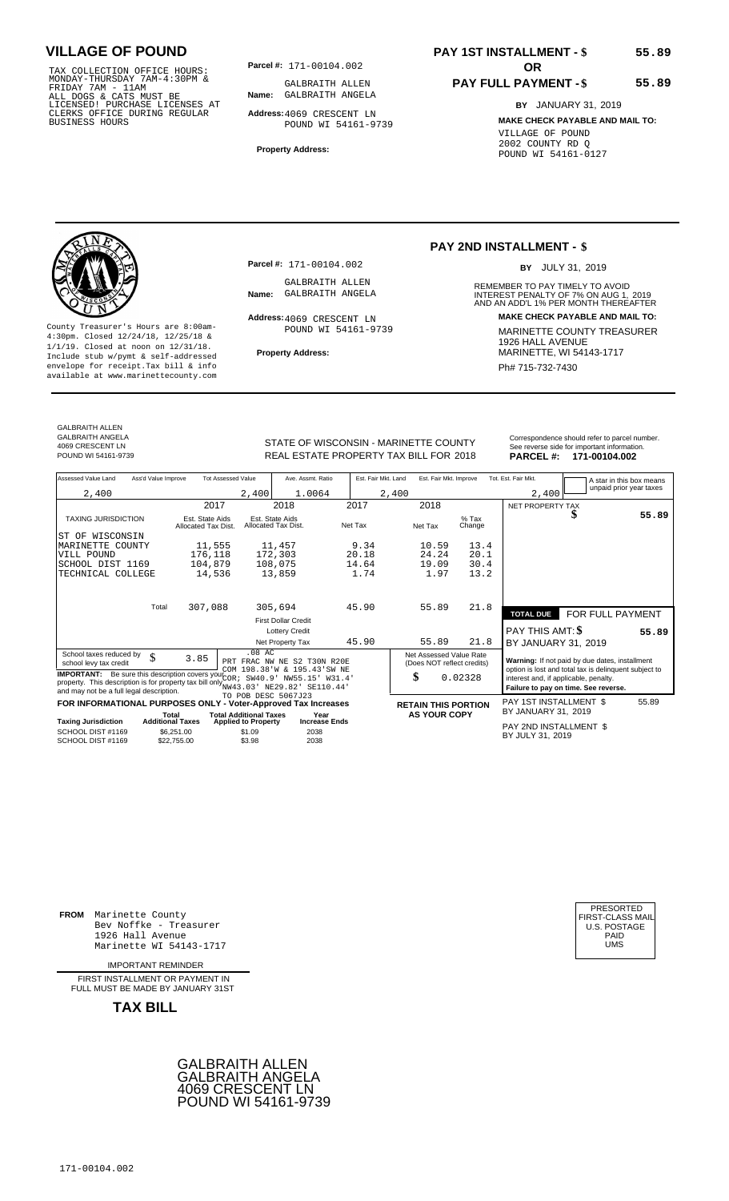TAX COLLECTION OFFICE HOURS:<br>
MONDAY-THURSDAY 7AM-4:30PM & GALBRAITH ALLE<br>
FRIDAY 7AM - 11AM<br>
ALL DOGS & CATS MUST BE **Name:** GALBRAITH ANGE<br>
LICENSED ! PURCHASE LICENSES AT<br>
CLERKS OFFICE DURING REGULAR **Address:**4069 CRE

**Parcel #:** 171-00104.002 **OR** 

**Name:** GALBRAITH ANGELA GALBRAITH ALLEN

**Address:** 4069 CRESCENT LN POUND WI 54161-9739

**Property Address:**

# **PAY 1ST INSTALLMENT - \$**

### **PAY FULL PAYMENT - \$**

**BY** JANUARY 31, 2019

**55.89**

**55.89**

**MAKE CHECK PAYABLE AND MAIL TO:** VILLAGE OF POUND 2002 COUNTY RD Q POUND WI 54161-0127



**Property Address:** MARINETTE, WI 54143-1717 Include stub w/pymt & self-addressed envelope for receipt.Tax bill & info Phat is a set of the phat of the Phat 715-732-7430 envelope for receipt.Tax bill & info Phat 715-732-7430 envelope for the phat 715-732-7430 envelope for the phat 715-732-7430 envelope

**Parcel #:** 171-00104.002

GALBRAITH ALLEN<br>Name: GALBRAITH ANGELA

Address: 4069 CRESCENT LN POUND WI 54161-9739

### **PAY 2ND INSTALLMENT - \$**

BY JULY 31, 2019

REMEMBER TO PAY TIMELY TO AVOID **Name:** GALBRAITH ANGELA **INTEREST PENALTY OF 7% ON AUG 1, 2019**<br>AND AN ADD'L 1% PER MONTH THEREAFTER **Address: MAKE CHECK PAYABLE AND MAIL TO:** County Treasurer's Hours are 8:00am-<br>
4:30pm. Closed 12/24/18, 12/25/18 & MARINETTE COUNTY TREASURER<br>
1/1/19. Closed at noon on 12/31/18.<br>
Include stub w/pwmt. & self-addressed<br>
Property Address:<br>
MARINETTE, WI 54143-1717

GALBRAITH ALLEN GALBRAITH ANGELA 4069 CRESCENT LN<br>POUND WI 54161-9739

STATE OF WISCONSIN - MARINETTE COUNTY<br>
See reverse side for important information.<br>
REAL ESTATE PROPERTY TAX BILL FOR 2018 PARCEL #: 171-00104.002 REAL ESTATE PROPERTY TAX BILL FOR **PARCEL #:** POUND WI 54161-9739 2018 **171-00104.002**

| Assessed Value Land                                                                                                                                                                                | Ass'd Value Improve                                  | <b>Tot Assessed Value</b>                      | Ave. Assmt. Ratio                                          | Est. Fair Mkt. Land | Est. Fair Mkt. Improve                                |                                      | Tot. Est. Fair Mkt.                        | A star in this box means                                                                                |       |
|----------------------------------------------------------------------------------------------------------------------------------------------------------------------------------------------------|------------------------------------------------------|------------------------------------------------|------------------------------------------------------------|---------------------|-------------------------------------------------------|--------------------------------------|--------------------------------------------|---------------------------------------------------------------------------------------------------------|-------|
| 2,400                                                                                                                                                                                              |                                                      | 2,400                                          | 1.0064                                                     | 2,400               |                                                       |                                      | 2,400                                      | unpaid prior year taxes                                                                                 |       |
|                                                                                                                                                                                                    | 2017                                                 |                                                | 2018                                                       | 2017                | 2018                                                  |                                      | NET PROPERTY TAX                           |                                                                                                         |       |
| <b>TAXING JURISDICTION</b>                                                                                                                                                                         | Est. State Aids<br>Allocated Tax Dist.               |                                                | Est. State Aids<br>Allocated Tax Dist.                     | Net Tax             | Net Tax                                               | $%$ Tax<br>Change                    |                                            | S                                                                                                       | 55.89 |
| IST OF WISCONSIN                                                                                                                                                                                   |                                                      |                                                |                                                            |                     |                                                       |                                      |                                            |                                                                                                         |       |
| MARINETTE<br>COUNTY                                                                                                                                                                                | 11,555                                               |                                                | 11,457                                                     | 9.34                | 10.59                                                 | 13.4                                 |                                            |                                                                                                         |       |
| VILL POUND                                                                                                                                                                                         | 176,118                                              |                                                | 172,303                                                    | 20.18               | 24.24                                                 | 20.1                                 |                                            |                                                                                                         |       |
| SCHOOL DIST 1169                                                                                                                                                                                   | 104,879                                              |                                                | 108,075                                                    | 14.64               | 19.09                                                 | 30.4                                 |                                            |                                                                                                         |       |
| TECHNICAL COLLEGE                                                                                                                                                                                  | 14,536                                               |                                                | 13,859                                                     | 1.74                | 1.97                                                  | 13.2                                 |                                            |                                                                                                         |       |
|                                                                                                                                                                                                    |                                                      |                                                |                                                            |                     |                                                       |                                      |                                            |                                                                                                         |       |
|                                                                                                                                                                                                    | 307,088<br>Total                                     |                                                | 305,694                                                    | 45.90               | 55.89                                                 | 21.8                                 | <b>TOTAL DUE</b>                           | FOR FULL PAYMENT                                                                                        |       |
|                                                                                                                                                                                                    |                                                      |                                                | <b>First Dollar Credit</b>                                 |                     |                                                       |                                      |                                            |                                                                                                         |       |
|                                                                                                                                                                                                    |                                                      |                                                | <b>Lottery Credit</b>                                      |                     |                                                       |                                      | PAY THIS AMT: \$                           |                                                                                                         | 55.89 |
|                                                                                                                                                                                                    |                                                      |                                                | Net Property Tax                                           | 45.90               | 55.89                                                 | 21.8                                 | BY JANUARY 31, 2019                        |                                                                                                         |       |
| School taxes reduced by<br>\$<br>school levy tax credit                                                                                                                                            | 3.85                                                 | $.08$ AC                                       | PRT FRAC NW NE S2 T30N R20E<br>COM 198.38'W & 195.43'SW NE |                     | Net Assessed Value Rate<br>(Does NOT reflect credits) |                                      |                                            | Warning: If not paid by due dates, installment<br>option is lost and total tax is delinquent subject to |       |
| <b>IMPORTANT:</b> Be sure this description covers your COR $i$<br>property. This description is for property tax bill only NW43.03' NE29.82' SE110.44'<br>and may not be a full legal description. | SW40.9' NW55.15' W31.4'<br>TO POB DESC 5067J23       |                                                | \$                                                         | 0.02328             | interest and, if applicable, penalty.                 | Failure to pay on time. See reverse. |                                            |                                                                                                         |       |
| FOR INFORMATIONAL PURPOSES ONLY - Voter-Approved Tax Increases                                                                                                                                     |                                                      |                                                |                                                            |                     | <b>RETAIN THIS PORTION</b>                            |                                      | PAY 1ST INSTALLMENT \$                     |                                                                                                         | 55.89 |
|                                                                                                                                                                                                    | Total                                                | <b>Total Additional Taxes</b>                  | Year                                                       |                     | <b>AS YOUR COPY</b>                                   |                                      | BY JANUARY 31, 2019                        |                                                                                                         |       |
| <b>Taxing Jurisdiction</b><br>SCHOOL DIST #1169<br>SCHOOL DIST #1169                                                                                                                               | <b>Additional Taxes</b><br>\$6,251.00<br>\$22,755.00 | <b>Applied to Property</b><br>\$1.09<br>\$3.98 | <b>Increase Ends</b><br>2038<br>2038                       |                     |                                                       |                                      | PAY 2ND INSTALLMENT \$<br>BY JULY 31, 2019 |                                                                                                         |       |

**FROM** Marinette County Bev Noffke - Treasurer (U.S. POSTAGE)<br>1926 Hall Avenue (U.S. POSTAGE)<br>Marinette WI 54143-1717 (U.S. POSTAGE) 1926 Hall Avenue PAID Marinette WI 54143-1717 UMS

IMPORTANT REMINDER

FIRST INSTALL MENT OR PAYMENT IN FULL MUST BE MADE BY JANUARY 31ST



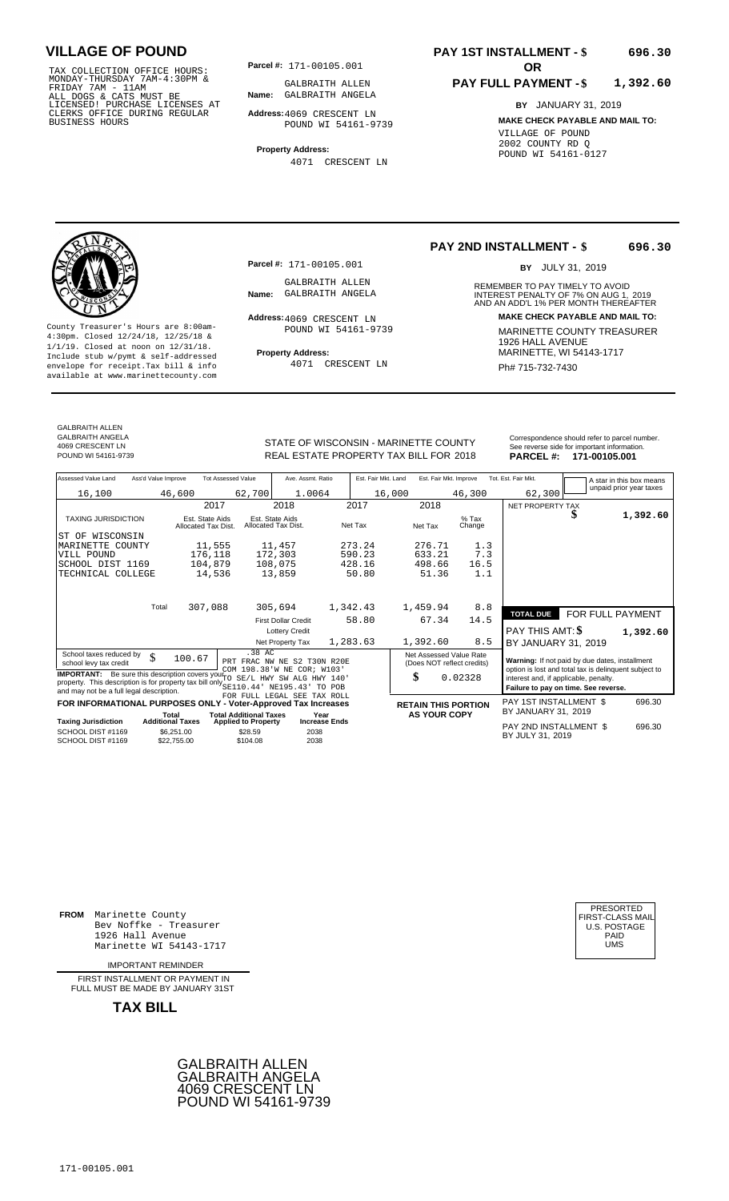TAX COLLECTION OFFICE HOURS:<br>
MONDAY-THURSDAY 7AM-4:30PM & GALBRAITH ALLE<br>
FRIDAY 7AM - 11AM<br>
ALL DOGS & CATS MUST BE **Name:** GALBRAITH ANGE<br>
LICENSED ! PURCHASE LICENSES AT<br>
CLERKS OFFICE DURING REGULAR **Address:**4069 CRE

**Parcel #: OR**

**Name:** GALBRAITH ANGELA GALBRAITH ALLEN

**Address:** 4069 CRESCENT LN POUND WI 54161-9739

**Property Address:** 4071 CRESCENT LN

#### **PAY 1ST INSTALLMENT - \$ 696.30**

#### **PAY FULL PAYMENT - \$ 1,392.60**

**BY** JANUARY 31, 2019 **MAKE CHECK PAYABLE AND MAIL TO:** VILLAGE OF POUND 2002 COUNTY RD Q POUND WI 54161-0127

**Property Address:** MARINETTE, WI 54143-1717 Include stub w/pymt & self-addressed envelope for receipt.Tax bill & info Ph# 715-732-7430 available at www.marinettecounty.com

**Parcel #:** 171-00105.001

GALBRAITH ALLEN<br>Name: GALBRAITH ANGELA

Address: 4069 CRESCENT LN POUND WI 54161-9739

4071 CRESCENT LN

**PAY 2ND INSTALLMENT - \$ 696.30**

BY JULY 31, 2019

REMEMBER TO PAY TIMELY TO AVOID **Name:** GALBRAITH ANGELA **INTEREST PENALTY OF 7% ON AUG 1, 2019**<br>AND AN ADD'L 1% PER MONTH THEREAFTER **Address: MAKE CHECK PAYABLE AND MAIL TO:** County Treasurer's Hours are 8:00am-<br>
4:30pm. Closed 12/24/18, 12/25/18 & MARINETTE COUNTY TREASURER<br>
1/1/19. Closed at noon on 12/31/18.<br>
Include stub w/pwmt & self-addressed **Property Address:** MARINETTE, WI 54143-1717

GALBRAITH ALLEN GALBRAITH ANGELA 4069 CRESCENT LN<br>POUND WI 54161-9739

STATE OF WISCONSIN - MARINETTE COUNTY<br>
See reverse side for important information.<br>
REAL ESTATE PROPERTY TAX BILL FOR 2018<br>
PARCEL #: 171-00105.001 REAL ESTATE PROPERTY TAX BILL FOR **PARCEL #:** POUND WI 54161-9739 2018 **171-00105.001**

| Assessed Value Land                                                                                                                                                                                                          | Ass'd Value Improve                                  | <b>Tot Assessed Value</b>                         | Ave. Assmt. Ratio                                         | Est. Fair Mkt. Land | Est. Fair Mkt. Improve                                |                   | Tot. Est. Fair Mkt.                                                                                     |                  | A star in this box means |
|------------------------------------------------------------------------------------------------------------------------------------------------------------------------------------------------------------------------------|------------------------------------------------------|---------------------------------------------------|-----------------------------------------------------------|---------------------|-------------------------------------------------------|-------------------|---------------------------------------------------------------------------------------------------------|------------------|--------------------------|
| 16,100                                                                                                                                                                                                                       | 46,600                                               | 62,700                                            | 1.0064                                                    | 16,000              |                                                       | 46,300            | 62,300                                                                                                  |                  | unpaid prior year taxes  |
|                                                                                                                                                                                                                              |                                                      | 2017                                              | 2018                                                      | 2017                | 2018                                                  |                   | NET PROPERTY TAX                                                                                        |                  |                          |
| <b>TAXING JURISDICTION</b>                                                                                                                                                                                                   | Est. State Aids<br>Allocated Tax Dist.               |                                                   | Est. State Aids<br>Allocated Tax Dist.                    | Net Tax             | Net Tax                                               | $%$ Tax<br>Change | \$                                                                                                      |                  | 1,392.60                 |
| ST OF WISCONSIN                                                                                                                                                                                                              |                                                      |                                                   |                                                           |                     |                                                       |                   |                                                                                                         |                  |                          |
| MARINETTE COUNTY                                                                                                                                                                                                             |                                                      | 11,555                                            | 11,457                                                    | 273.24              | 276.71                                                | 1.3               |                                                                                                         |                  |                          |
| VILL POUND                                                                                                                                                                                                                   | 176,118                                              |                                                   | 172,303                                                   | 590.23              | 633.21                                                | 7.3               |                                                                                                         |                  |                          |
| SCHOOL DIST 1169                                                                                                                                                                                                             | 104,879                                              |                                                   | 108,075                                                   | 428.16              | 498.66                                                | 16.5              |                                                                                                         |                  |                          |
| TECHNICAL COLLEGE                                                                                                                                                                                                            |                                                      | 14,536                                            | 13,859                                                    | 50.80               | 51.36                                                 | 1.1               |                                                                                                         |                  |                          |
|                                                                                                                                                                                                                              | Total<br>307,088                                     |                                                   | 305,694                                                   | 1,342.43            | 1,459.94                                              | 8.8               |                                                                                                         |                  |                          |
|                                                                                                                                                                                                                              |                                                      |                                                   | <b>First Dollar Credit</b>                                | 58.80               | 67.34                                                 | 14.5              | <b>TOTAL DUE</b>                                                                                        | FOR FULL PAYMENT |                          |
|                                                                                                                                                                                                                              |                                                      |                                                   | <b>Lottery Credit</b>                                     |                     |                                                       |                   | PAY THIS AMT: \$                                                                                        |                  | 1,392.60                 |
|                                                                                                                                                                                                                              |                                                      |                                                   | Net Property Tax                                          | 1,283.63            | 1,392.60                                              | 8.5               | BY JANUARY 31, 2019                                                                                     |                  |                          |
| School taxes reduced by<br>\$<br>school levy tax credit                                                                                                                                                                      | 100.67                                               | .38 AC                                            | PRT FRAC NW NE S2 T30N R20E<br>COM 198.38'W NE COR; W103' |                     | Net Assessed Value Rate<br>(Does NOT reflect credits) |                   | Warning: If not paid by due dates, installment<br>option is lost and total tax is delinquent subject to |                  |                          |
| <b>IMPORTANT:</b> Be sure this description covers your TO<br>property. This description is for property tax bill only $\frac{1}{\sqrt{2}}$ and $\frac{1}{4}$ in NE195.43' TO POB<br>and may not be a full legal description. |                                                      |                                                   | SE/L HWY SW ALG HWY 140'                                  |                     | \$                                                    | 0.02328           | interest and, if applicable, penalty.<br>Failure to pay on time. See reverse.                           |                  |                          |
| FOR INFORMATIONAL PURPOSES ONLY - Voter-Approved Tax Increases                                                                                                                                                               |                                                      |                                                   | FOR FULL LEGAL SEE TAX ROLL                               |                     | <b>RETAIN THIS PORTION</b>                            |                   | PAY 1ST INSTALLMENT \$                                                                                  |                  | 696.30                   |
|                                                                                                                                                                                                                              | Total                                                | <b>Total Additional Taxes</b>                     | Year                                                      |                     | <b>AS YOUR COPY</b>                                   |                   | BY JANUARY 31, 2019                                                                                     |                  |                          |
| Taxing Jurisdiction<br>SCHOOL DIST #1169<br>SCHOOL DIST #1169                                                                                                                                                                | <b>Additional Taxes</b><br>\$6,251.00<br>\$22,755.00 | <b>Applied to Property</b><br>\$28.59<br>\$104.08 | <b>Increase Ends</b><br>2038<br>2038                      |                     |                                                       |                   | PAY 2ND INSTALLMENT \$<br>BY JULY 31, 2019                                                              |                  | 696.30                   |
|                                                                                                                                                                                                                              |                                                      |                                                   |                                                           |                     |                                                       |                   |                                                                                                         |                  |                          |

**FROM** Marinette County Bev Noffke - Treasurer 1926 Hall Avenue Marinette WI 54143-1717

IMPORTANT REMINDER

FIRST INSTALLMENT OR PAYMENT IN FULL MUST BE MADE BY JANUARY 31ST

**TAX BILL**



| PRESORTED               |
|-------------------------|
| <b>FIRST-CLASS MAIL</b> |
| <b>U.S. POSTAGE</b>     |
| PAID                    |
| UMS                     |
|                         |

171-00105.001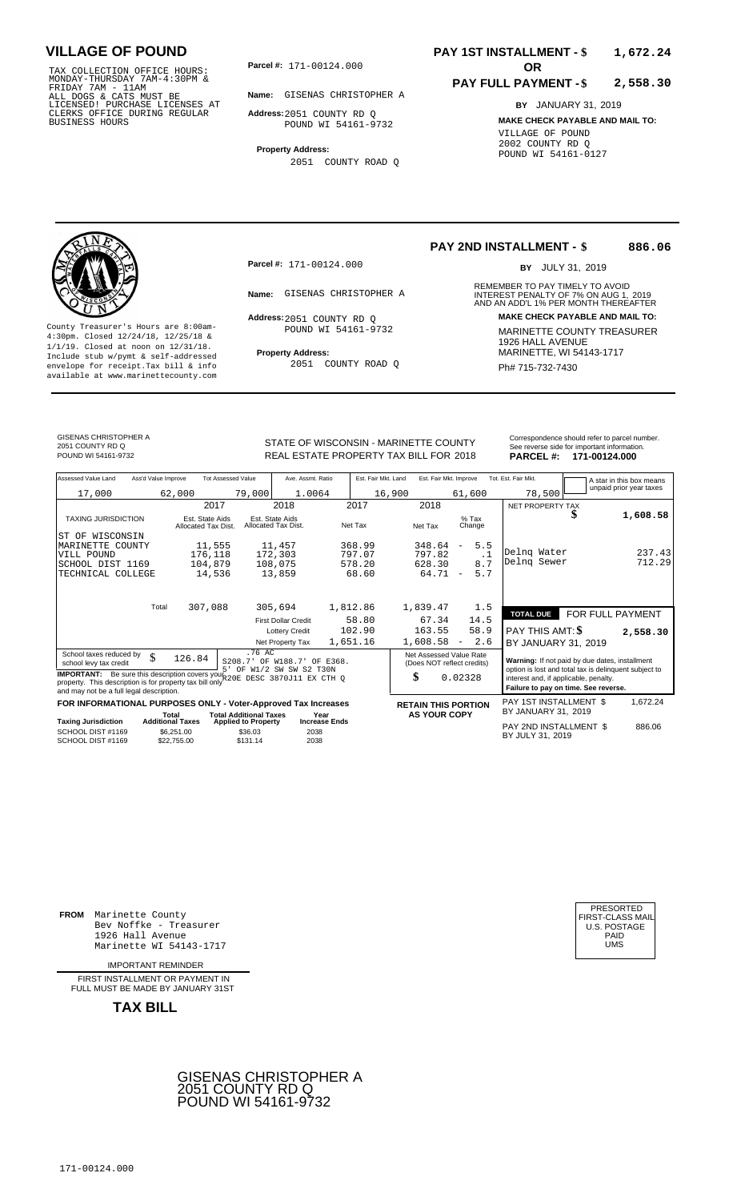TAX COLLECTION OFFICE HOURS:<br>
MONDAY-THURSDAY 7AM-4:30PM &<br>
FRIDAY 7AM - 11AM<br>
ALL DOGS & CATS MUST BE<br>
LICENSED! PURCHASE LICENSES AT<br>
CLERKS OFFICE DURING REGULAR<br>
CLERKS OFFICE DURING REGULAR<br>
BUSINESS HOURS<br>
POUND WI 5

**Parcel #:** 171-00124.000

**Name:** GISENAS CHRISTOPHER A

**Address:** 2051 COUNTY RD Q POUND WI 54161-9732

**Property Address:** 2051 COUNTY ROAD Q

### **PAY 1ST INSTALLMENT - \$ 1,672.24**

#### **PAY FULL PAYMENT - \$ 2,558.30**

**BY** JANUARY 31, 2019 **MAKE CHECK PAYABLE AND MAIL TO:** VILLAGE OF POUND 2002 COUNTY RD Q POUND WI 54161-0127



**Property Address:** MARINETTE, WI 54143-1717 Include stub w/pymt & self-addressed envelope for receipt.Tax bill & info Ph# 715-732-7430 available at www.marinettecounty.com

**Parcel #:** 171-00124.000

Address: 2051 COUNTY RD Q POUND WI 54161-9732

2051 COUNTY ROAD Q

#### **PAY 2ND INSTALLMENT - \$ 886.06**

BY JULY 31, 2019

REMEMBER TO PAY TIMELY TO AVOID **Name:** GISENAS CHRISTOPHER A **INTEREST PENALTY OF 7% ON AUG 1, 2019**<br>AND AN ADD'L 1% PER MONTH THEREAFTER **Address: MAKE CHECK PAYABLE AND MAIL TO:** County Treasurer's Hours are 8:00am-<br>
4:30pm. Closed 12/24/18, 12/25/18 & MARINETTE COUNTY TREASURER<br>
1/1/19. Closed at noon on 12/31/18.<br>
Include stub w/pwmt & self-addressed **Property Address:** MARINETTE, WI 54143-1717

GISENAS CHRISTOPHER A 2051 COUNTY RD Q

Correspondence should refer to parcel n<br>
See reverse side for important informatic<br>
REAL ESTATE PROPERTY TAX BILL FOR 2018 PARCEL #: 171-00124.000 POUND WI 54161-9732 **18. INCREAL ESTATE PROPERTY TAX BILL FOR 2018 PARCEL #: 171-00124.000** 

| Correspondence should refer to parcel number. |
|-----------------------------------------------|
|                                               |
| See reverse side for important information.   |

| Assessed Value Land                                                                                                                                                                      | Ass'd Value Improve              | <b>Tot Assessed Value</b>                                   | Ave. Assmt. Ratio                                              | Est. Fair Mkt. Land          | Est. Fair Mkt. Improve                                                        |                                 | Tot. Est. Fair Mkt.                        | A star in this box means                                                                                |
|------------------------------------------------------------------------------------------------------------------------------------------------------------------------------------------|----------------------------------|-------------------------------------------------------------|----------------------------------------------------------------|------------------------------|-------------------------------------------------------------------------------|---------------------------------|--------------------------------------------|---------------------------------------------------------------------------------------------------------|
| 17,000                                                                                                                                                                                   | 62,000                           |                                                             | 79,000<br>1.0064                                               |                              | 16,900                                                                        | 61,600                          | 78,500                                     | unpaid prior year taxes                                                                                 |
|                                                                                                                                                                                          |                                  | 2017                                                        | 2018                                                           | 2017                         | 2018                                                                          |                                 | <b>NET PROPERTY TAX</b>                    |                                                                                                         |
| <b>TAXING JURISDICTION</b>                                                                                                                                                               |                                  | Est. State Aids<br>Allocated Tax Dist.                      | Est. State Aids<br>Allocated Tax Dist.                         | Net Tax                      | Net Tax                                                                       | $%$ Tax<br>Change               |                                            | 1,608.58                                                                                                |
| WISCONSIN<br>ST OF                                                                                                                                                                       |                                  |                                                             |                                                                |                              |                                                                               |                                 |                                            |                                                                                                         |
| MARINETTE COUNTY                                                                                                                                                                         |                                  | 11,555                                                      | 11,457                                                         | 368.99                       | 348.64                                                                        | 5.5<br>$\overline{\phantom{a}}$ | Delng Water                                |                                                                                                         |
| VILL POUND                                                                                                                                                                               |                                  | 176,118                                                     | 172,303                                                        | 797.07                       | 797.82                                                                        | $\cdot$ 1                       | Delng Sewer                                | 237.43<br>712.29                                                                                        |
| SCHOOL DIST 1169                                                                                                                                                                         |                                  | 104,879                                                     | 108,075                                                        | 578.20                       | 628.30                                                                        | 8.7                             |                                            |                                                                                                         |
| TECHNICAL COLLEGE                                                                                                                                                                        |                                  | 14,536                                                      | 13,859                                                         | 68.60                        | 64.71                                                                         | 5.7<br>$\overline{\phantom{m}}$ |                                            |                                                                                                         |
|                                                                                                                                                                                          | Total                            | 307,088                                                     | 305,694                                                        | 1,812.86                     | 1,839.47                                                                      | 1.5                             |                                            |                                                                                                         |
|                                                                                                                                                                                          |                                  |                                                             | <b>First Dollar Credit</b>                                     | 58.80                        | 67.34                                                                         | 14.5                            | <b>TOTAL DUE</b>                           | FOR FULL PAYMENT                                                                                        |
|                                                                                                                                                                                          |                                  |                                                             | <b>Lottery Credit</b>                                          | 102.90                       | 163.55                                                                        | 58.9                            | PAY THIS AMT: \$                           | 2,558.30                                                                                                |
|                                                                                                                                                                                          |                                  |                                                             | Net Property Tax                                               | 1,651.16                     | 1,608.58                                                                      | 2.6<br>$\overline{\phantom{a}}$ | BY JANUARY 31, 2019                        |                                                                                                         |
| School taxes reduced by<br>school levy tax credit                                                                                                                                        | \$<br>126.84                     | г,                                                          | .76 AC<br>S208.7' OF W188.7' OF E368.<br>OF W1/2 SW SW S2 T30N |                              | Net Assessed Value Rate<br>(Does NOT reflect credits)                         |                                 |                                            | Warning: If not paid by due dates, installment<br>option is lost and total tax is delinquent subject to |
| <b>IMPORTANT:</b> Be sure this description covers your 20E DESC 3870J11 EX CTH Q<br>property. This description is for property tax bill only<br>and may not be a full legal description. |                                  |                                                             | \$                                                             | 0.02328                      | interest and, if applicable, penalty.<br>Failure to pay on time. See reverse. |                                 |                                            |                                                                                                         |
| FOR INFORMATIONAL PURPOSES ONLY - Voter-Approved Tax Increases                                                                                                                           |                                  |                                                             |                                                                |                              | <b>RETAIN THIS PORTION</b>                                                    |                                 | PAY 1ST INSTALLMENT \$                     | 1,672.24                                                                                                |
| <b>Taxing Jurisdiction</b>                                                                                                                                                               | Total<br><b>Additional Taxes</b> | <b>Total Additional Taxes</b><br><b>Applied to Property</b> |                                                                | Year<br><b>Increase Ends</b> | <b>AS YOUR COPY</b>                                                           |                                 | BY JANUARY 31, 2019                        |                                                                                                         |
| SCHOOL DIST #1169<br>SCHOOL DIST #1169                                                                                                                                                   | \$6,251.00<br>\$22,755.00        | \$36.03<br>\$131.14                                         | 2038<br>2038                                                   |                              |                                                                               |                                 | PAY 2ND INSTALLMENT \$<br>BY JULY 31, 2019 | 886.06                                                                                                  |

**FROM** Marinette County Bev Noffke - Treasurer (U.S. POSTAGE)<br>1926 Hall Avenue (U.S. POSTAGE)<br>Marinette WI 54143-1717 (U.S. POSTAGE) 1926 Hall Avenue Marinette WI 54143-1717

IMPORTANT REMINDER

FIRST INSTALLMENT OR PAYMENT IN FULL MUST BE MADE BY JANUARY 31ST



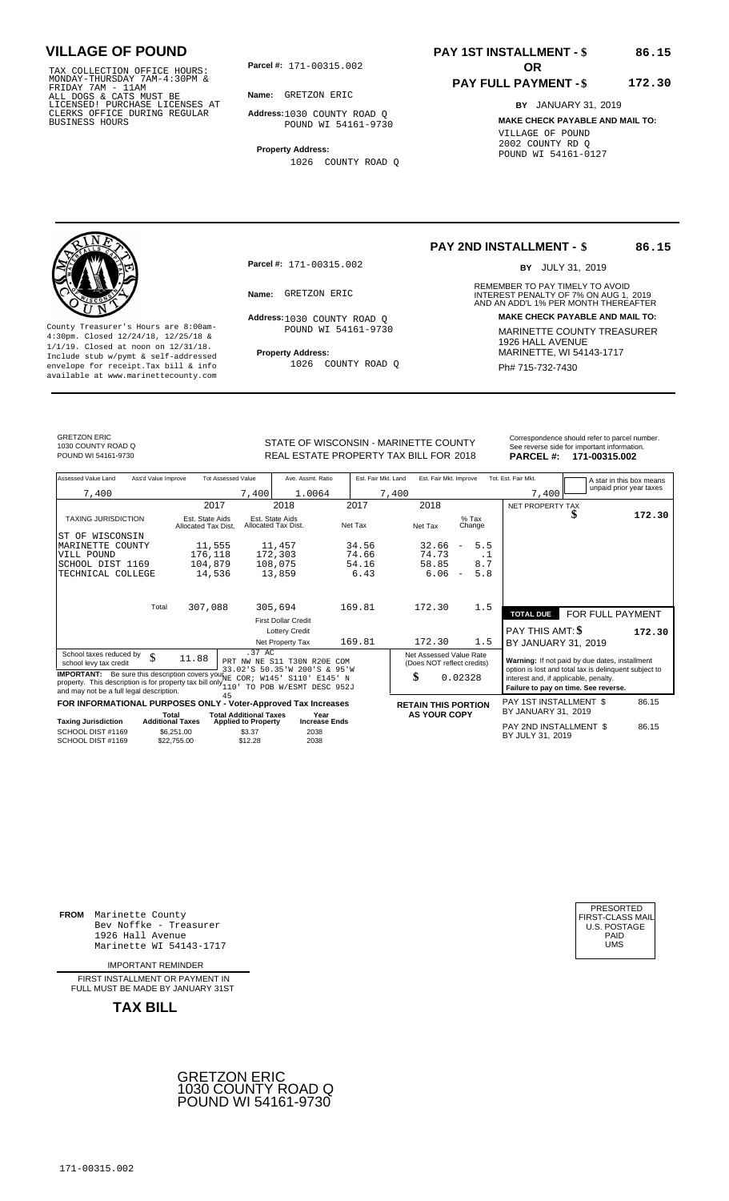TAX COLLECTION OFFICE HOURS:<br>
MONDAY-THURSDAY 7AM-4:30PM &<br>
FRIDAY 7AM - 11AM<br>
ALL DOGS & CATS MUST BE<br>
LICENSED! PURCHASE LICENSES AT<br>
CLERKS OFFICE DURING REGULAR<br>
CLERKS OFFICE DURING REGULAR<br>
BUSINESS HOURS<br>
BUSINESS H

**Parcel #:** 171-00315.002 **OR** 

**Name:** GRETZON ERIC

**Address:** 1030 COUNTY ROAD Q POUND WI 54161-9730

**Property Address:**

1026 COUNTY ROAD Q

## **PAY 1ST INSTALLMENT - \$**

### **PAY FULL PAYMENT - \$**

**BY** JANUARY 31, 2019

**MAKE CHECK PAYABLE AND MAIL TO:** VILLAGE OF POUND 2002 COUNTY RD Q POUND WI 54161-0127



**Property Address:** MARINETTE, WI 54143-1717 Include stub w/pymt & self-addressed envelope for receipt.Tax bill & info Ph# 715-732-7430 available at www.marinettecounty.com

**Parcel #:** 171-00315.002

Address: 1030 COUNTY ROAD Q POUND WI 54161-9730

1026 COUNTY ROAD Q

### **PAY 2ND INSTALLMENT - \$**

BY JULY 31, 2019

**86.15**

**86.15**

**172.30**

REMEMBER TO PAY TIMELY TO AVOID **Name:** GRETZON ERIC **INTEREST PENALTY OF 7% ON AUG 1, 2019**<br>AND AN ADD'L 1% PER MONTH THEREAFTER **Address: MAKE CHECK PAYABLE AND MAIL TO:** County Treasurer's Hours are 8:00am-<br>
4:30pm. Closed 12/24/18, 12/25/18 & MARINETTE COUNTY TREASURER<br>
1/1/19. Closed at noon on 12/31/18.<br>
Include stub w/pwmt & self-addressed **Property Address:** MARINETTE, WI 54143-1717

GRETZON ERIC 1030 COUNTY ROAD Q

Correspondence should refer to parcel n<br>
See reverse side for important informatic<br>
REAL ESTATE PROPERTY TAX BILL FOR 2018 PARCEL #: 171-00315.002 REAL ESTATE PROPERTY TAX BILL FOR **PARCEL #:** POUND WI 54161-9730 2018 **171-00315.002**

| Correspondence should refer to parcel number. |  |
|-----------------------------------------------|--|
| See reverse side for important information.   |  |

| Assessed Value Land                                                                                                                                                                                        | Ass'd Value Improve       | <b>Tot Assessed Value</b>     | Ave. Assmt. Ratio                                           | Est. Fair Mkt. Land | Est. Fair Mkt. Improve                                |                                      | Tot. Est. Fair Mkt.    | A star in this box means                                                                                |        |
|------------------------------------------------------------------------------------------------------------------------------------------------------------------------------------------------------------|---------------------------|-------------------------------|-------------------------------------------------------------|---------------------|-------------------------------------------------------|--------------------------------------|------------------------|---------------------------------------------------------------------------------------------------------|--------|
| 7,400                                                                                                                                                                                                      |                           | 7,400                         | 1.0064                                                      | 7,400               |                                                       |                                      | 7,400                  | unpaid prior year taxes                                                                                 |        |
|                                                                                                                                                                                                            |                           | 2017                          | 2018                                                        | 2017                | 2018                                                  |                                      | NET PROPERTY TAX       |                                                                                                         |        |
| <b>TAXING JURISDICTION</b>                                                                                                                                                                                 | Allocated Tax Dist.       | Est. State Aids               | Est. State Aids<br>Allocated Tax Dist.                      | Net Tax             | Net Tax                                               | $%$ Tax<br>Change                    |                        | \$                                                                                                      | 172.30 |
| ST OF WISCONSIN                                                                                                                                                                                            |                           |                               |                                                             |                     |                                                       |                                      |                        |                                                                                                         |        |
| MARINETTE COUNTY                                                                                                                                                                                           |                           | 11,555                        | 11,457                                                      | 34.56               | 32.66                                                 | 5.5<br>$\overline{\phantom{m}}$      |                        |                                                                                                         |        |
| VILL POUND                                                                                                                                                                                                 |                           | 176,118                       | 172,303                                                     | 74.66               | 74.73                                                 | . 1                                  |                        |                                                                                                         |        |
| SCHOOL DIST 1169                                                                                                                                                                                           |                           | 104,879                       | 108,075                                                     | 54.16               | 58.85                                                 | 8.7                                  |                        |                                                                                                         |        |
| TECHNICAL COLLEGE                                                                                                                                                                                          |                           | 14,536                        | 13,859                                                      | 6.43                | 6.06                                                  | 5.8<br>$\overline{\phantom{a}}$      |                        |                                                                                                         |        |
|                                                                                                                                                                                                            |                           |                               |                                                             |                     |                                                       |                                      |                        |                                                                                                         |        |
|                                                                                                                                                                                                            | Total                     | 307,088                       | 305,694                                                     | 169.81              | 172.30                                                | 1.5                                  | <b>TOTAL DUE</b>       | <b>FOR FULL PAYMENT</b>                                                                                 |        |
|                                                                                                                                                                                                            |                           |                               | <b>First Dollar Credit</b>                                  |                     |                                                       |                                      |                        |                                                                                                         |        |
|                                                                                                                                                                                                            |                           |                               | <b>Lottery Credit</b>                                       |                     |                                                       |                                      | PAY THIS AMT: \$       |                                                                                                         | 172.30 |
|                                                                                                                                                                                                            |                           |                               | Net Property Tax                                            | 169.81              | 172.30                                                | 1.5                                  | BY JANUARY 31, 2019    |                                                                                                         |        |
| School taxes reduced by<br>school levy tax credit                                                                                                                                                          | \$<br>11.88               | .37 AC                        | PRT NW NE S11 T30N R20E COM<br>33.02'S 50.35'W 200'S & 95'W |                     | Net Assessed Value Rate<br>(Does NOT reflect credits) |                                      |                        | Warning: If not paid by due dates, installment<br>option is lost and total tax is delinquent subject to |        |
| <b>IMPORTANT:</b> Be sure this description covers your NE COR; W145' S110' E145' N<br>property. This description is for property tax bill only $\frac{1}{110}$<br>and may not be a full legal description. | TO POB W/ESMT DESC 952J   |                               | \$                                                          | 0.02328             | interest and, if applicable, penalty.                 | Failure to pay on time. See reverse. |                        |                                                                                                         |        |
| FOR INFORMATIONAL PURPOSES ONLY - Voter-Approved Tax Increases                                                                                                                                             |                           | 45                            |                                                             |                     | <b>RETAIN THIS PORTION</b>                            |                                      | PAY 1ST INSTALLMENT \$ |                                                                                                         | 86.15  |
|                                                                                                                                                                                                            | Total                     | <b>Total Additional Taxes</b> | Year                                                        |                     | <b>AS YOUR COPY</b>                                   |                                      | BY JANUARY 31, 2019    |                                                                                                         |        |
| <b>Taxing Jurisdiction</b>                                                                                                                                                                                 | <b>Additional Taxes</b>   | <b>Applied to Property</b>    | <b>Increase Ends</b>                                        |                     |                                                       |                                      | PAY 2ND INSTALLMENT \$ |                                                                                                         | 86.15  |
| SCHOOL DIST #1169<br>SCHOOL DIST #1169                                                                                                                                                                     | \$6.251.00<br>\$22,755.00 | \$3.37<br>\$12.28             | 2038<br>2038                                                |                     |                                                       |                                      | BY JULY 31, 2019       |                                                                                                         |        |

**FROM** Marinette County Bev Noffke - Treasurer (U.S. POSTAGE)<br>1926 Hall Avenue (U.S. POSTAGE)<br>Marinette WI 54143-1717 (U.S. POSTAGE) 1926 Hall Avenue PAID Marinette WI 54143-1717 UMS

IMPORTANT REMINDER

FIRST INSTALLMENT OR PAYMENT IN FULL MUST BE MADE BY JANUARY 31ST



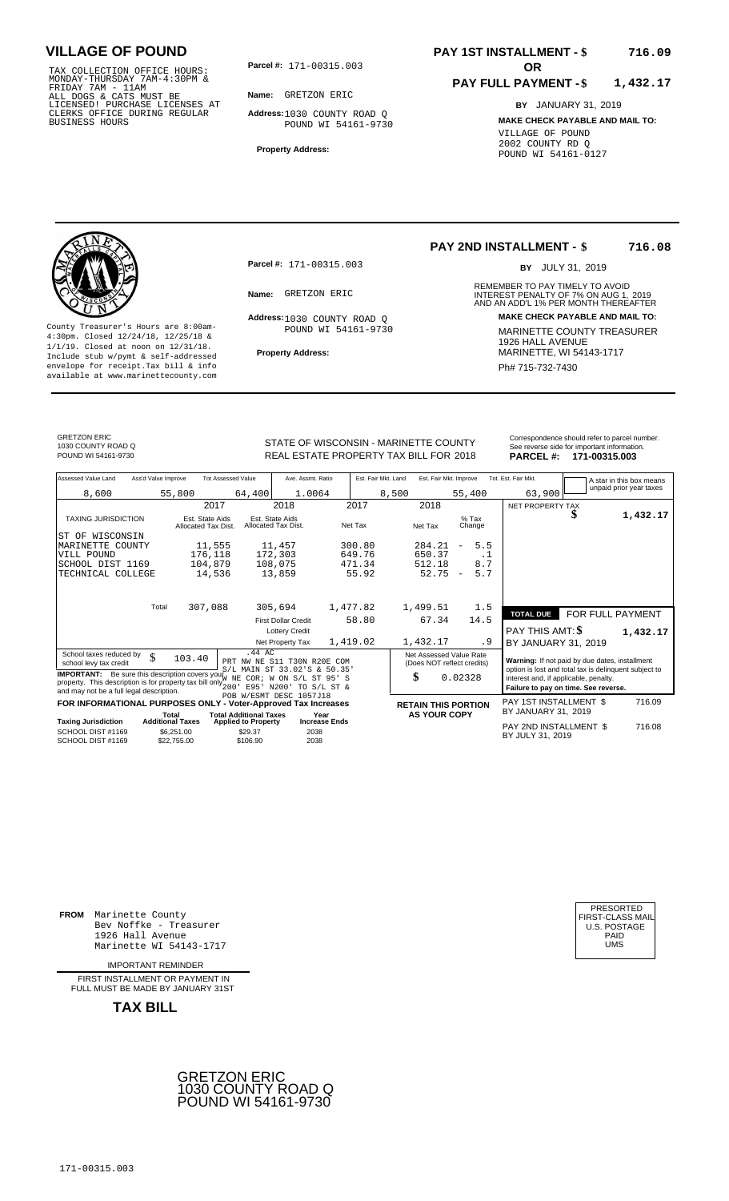TAX COLLECTION OFFICE HOURS:<br>
MONDAY-THURSDAY 7AM-4:30PM &<br>
FRIDAY 7AM - 11AM<br>
ALL DOGS & CATS MUST BE<br>
LICENSED! PURCHASE LICENSES AT<br>
CLERKS OFFICE DURING REGULAR<br>
CLERKS OFFICE DURING REGULAR<br>
BUSINESS HOURS<br>
BUSINESS H

**Parcel #:** 171-00315.003

**Name:** GRETZON ERIC

**Address:** 1030 COUNTY ROAD Q POUND WI 54161-9730

**Property Address:**

### **PAY 1ST INSTALLMENT - \$ 716.09**

#### **PAY FULL PAYMENT - \$ 1,432.17**

**BY** JANUARY 31, 2019 **MAKE CHECK PAYABLE AND MAIL TO:** VILLAGE OF POUND 2002 COUNTY RD Q POUND WI 54161-0127

**Property Address:** MARINETTE, WI 54143-1717 Include stub w/pymt & self-addressed envelope for receipt.Tax bill & info Phat is a set of the phat of the Phat 715-732-7430 envelope for receipt.Tax bill & info Phat 715-732-7430 envelope for the phat 715-732-7430 envelope for the phat 715-732-7430 envelope

**Parcel #:** 171-00315.003

Address: 1030 COUNTY ROAD Q POUND WI 54161-9730

#### **PAY 2ND INSTALLMENT - \$ 716.08**

BY JULY 31, 2019

REMEMBER TO PAY TIMELY TO AVOID **Name:** GRETZON ERIC **INTEREST PENALTY OF 7% ON AUG 1, 2019**<br>AND AN ADD'L 1% PER MONTH THEREAFTER **Address: MAKE CHECK PAYABLE AND MAIL TO:** County Treasurer's Hours are 8:00am-<br>
4:30pm. Closed 12/24/18, 12/25/18 & MARINETTE COUNTY TREASURER<br>
1/1/19. Closed at noon on 12/31/18.<br>
Include stub w/pwmt. & self-addressed<br>
Froperty Address:<br>
MARINETTE, WI 54143-1717

GRETZON ERIC 1030 COUNTY ROAD Q

STATE OF WISCONSIN - MARINETTE COUNTY<br>
See reverse side for important information.<br>
REAL ESTATE PROPERTY TAX BILL FOR 2018 PARCEL #: 171-00315.003 REAL ESTATE PROPERTY TAX BILL FOR **PARCEL #:** POUND WI 54161-9730 2018 **171-00315.003**

| Assessed Value Land                                                                                                                                                                                                                                             | Ass'd Value Improve |                                                      | <b>Tot Assessed Value</b>                         | Ave. Assmt. Ratio                                                                          |                                     | Est. Fair Mkt. Land |       | Est. Fair Mkt. Improve                                |                          |                   | Tot. Est. Fair Mkt.                                                                                                                                                                      |                  | A star in this box means |
|-----------------------------------------------------------------------------------------------------------------------------------------------------------------------------------------------------------------------------------------------------------------|---------------------|------------------------------------------------------|---------------------------------------------------|--------------------------------------------------------------------------------------------|-------------------------------------|---------------------|-------|-------------------------------------------------------|--------------------------|-------------------|------------------------------------------------------------------------------------------------------------------------------------------------------------------------------------------|------------------|--------------------------|
| 8,600                                                                                                                                                                                                                                                           |                     | 55,800                                               | 64,400                                            | 1.0064                                                                                     |                                     |                     | 8,500 |                                                       | 55,400                   |                   | 63,900                                                                                                                                                                                   |                  | unpaid prior year taxes  |
|                                                                                                                                                                                                                                                                 |                     |                                                      | 2017                                              | 2018                                                                                       |                                     | 2017                |       | 2018                                                  |                          |                   | NET PROPERTY TAX                                                                                                                                                                         |                  |                          |
| <b>TAXING JURISDICTION</b>                                                                                                                                                                                                                                      |                     | Est. State Aids<br>Allocated Tax Dist.               |                                                   | Est. State Aids<br>Allocated Tax Dist.                                                     |                                     | Net Tax             |       | Net Tax                                               |                          | $%$ Tax<br>Change |                                                                                                                                                                                          | \$               | 1,432.17                 |
| ST OF WISCONSIN                                                                                                                                                                                                                                                 |                     |                                                      |                                                   |                                                                                            |                                     |                     |       |                                                       |                          |                   |                                                                                                                                                                                          |                  |                          |
| MARINETTE COUNTY                                                                                                                                                                                                                                                |                     |                                                      | 11,555                                            | 11,457                                                                                     |                                     | 300.80              |       | 284.21                                                | $\overline{\phantom{a}}$ | 5.5               |                                                                                                                                                                                          |                  |                          |
| VILL POUND                                                                                                                                                                                                                                                      |                     | 176,118                                              |                                                   | 172,303                                                                                    |                                     | 649.76              |       | 650.37                                                |                          | . 1               |                                                                                                                                                                                          |                  |                          |
| SCHOOL DIST 1169                                                                                                                                                                                                                                                |                     | 104,879                                              |                                                   | 108,075                                                                                    |                                     | 471.34              |       | 512.18                                                |                          | 8.7               |                                                                                                                                                                                          |                  |                          |
| TECHNICAL COLLEGE                                                                                                                                                                                                                                               |                     |                                                      | 14,536                                            | 13,859                                                                                     |                                     | 55.92               |       | 52.75                                                 | $\overline{\phantom{a}}$ | 5.7               |                                                                                                                                                                                          |                  |                          |
|                                                                                                                                                                                                                                                                 | Total               | 307,088                                              |                                                   | 305,694                                                                                    |                                     | 1,477.82            |       | 1,499.51                                              |                          | 1.5               | <b>TOTAL DUE</b>                                                                                                                                                                         | FOR FULL PAYMENT |                          |
|                                                                                                                                                                                                                                                                 |                     |                                                      |                                                   | <b>First Dollar Credit</b>                                                                 |                                     | 58.80               |       | 67.34                                                 |                          | 14.5              |                                                                                                                                                                                          |                  |                          |
|                                                                                                                                                                                                                                                                 |                     |                                                      |                                                   | <b>Lottery Credit</b>                                                                      |                                     |                     |       |                                                       |                          |                   | <b>PAY THIS AMT: \$</b>                                                                                                                                                                  |                  | 1,432.17                 |
|                                                                                                                                                                                                                                                                 |                     |                                                      |                                                   | Net Property Tax                                                                           |                                     | 1,419.02            |       | 1,432.17                                              |                          | . 9               | BY JANUARY 31, 2019                                                                                                                                                                      |                  |                          |
| School taxes reduced by<br>school levy tax credit<br><b>IMPORTANT:</b> Be sure this description covers your $\overleftrightarrow{W}$ NE<br>property. This description is for property tax bill only $\frac{1}{200}$<br>and may not be a full legal description. | \$                  | 103.40                                               | .44 AC                                            | PRT NW NE S11 T30N R20E COM<br>S/L MAIN ST 33.02'S & 50.35'<br>COR; W ON S/L<br>E95' N200' | <b>ST</b><br>$95'$ S<br>TO S/L ST & |                     | \$    | Net Assessed Value Rate<br>(Does NOT reflect credits) | 0.02328                  |                   | Warning: If not paid by due dates, installment<br>option is lost and total tax is delinquent subject to<br>interest and, if applicable, penalty.<br>Failure to pay on time. See reverse. |                  |                          |
| FOR INFORMATIONAL PURPOSES ONLY - Voter-Approved Tax Increases                                                                                                                                                                                                  |                     |                                                      |                                                   | POB W/ESMT DESC 1057J18                                                                    |                                     |                     |       |                                                       |                          |                   | PAY 1ST INSTALLMENT \$                                                                                                                                                                   |                  | 716.09                   |
|                                                                                                                                                                                                                                                                 |                     | Total                                                | <b>Total Additional Taxes</b>                     |                                                                                            | Year                                |                     |       | <b>RETAIN THIS PORTION</b><br><b>AS YOUR COPY</b>     |                          |                   | BY JANUARY 31, 2019                                                                                                                                                                      |                  |                          |
| <b>Taxing Jurisdiction</b><br>SCHOOL DIST #1169<br>SCHOOL DIST #1169                                                                                                                                                                                            |                     | <b>Additional Taxes</b><br>\$6,251.00<br>\$22,755.00 | <b>Applied to Property</b><br>\$29.37<br>\$106.90 | 2038                                                                                       | <b>Increase Ends</b><br>2038        |                     |       |                                                       |                          |                   | PAY 2ND INSTALLMENT \$<br>BY JULY 31, 2019                                                                                                                                               |                  | 716.08                   |

**FROM** Marinette County Bev Noffke - Treasurer (U.S. POSTAGE)<br>1926 Hall Avenue (U.S. POSTAGE)<br>Marinette WI 54143-1717 (U.S. POSTAGE) 1926 Hall Avenue PAID Marinette WI 54143-1717 UMS

IMPORTANT REMINDER

FIRST INSTALLMENT OR PAYMENT IN FULL MUST BE MADE BY JANUARY 31ST



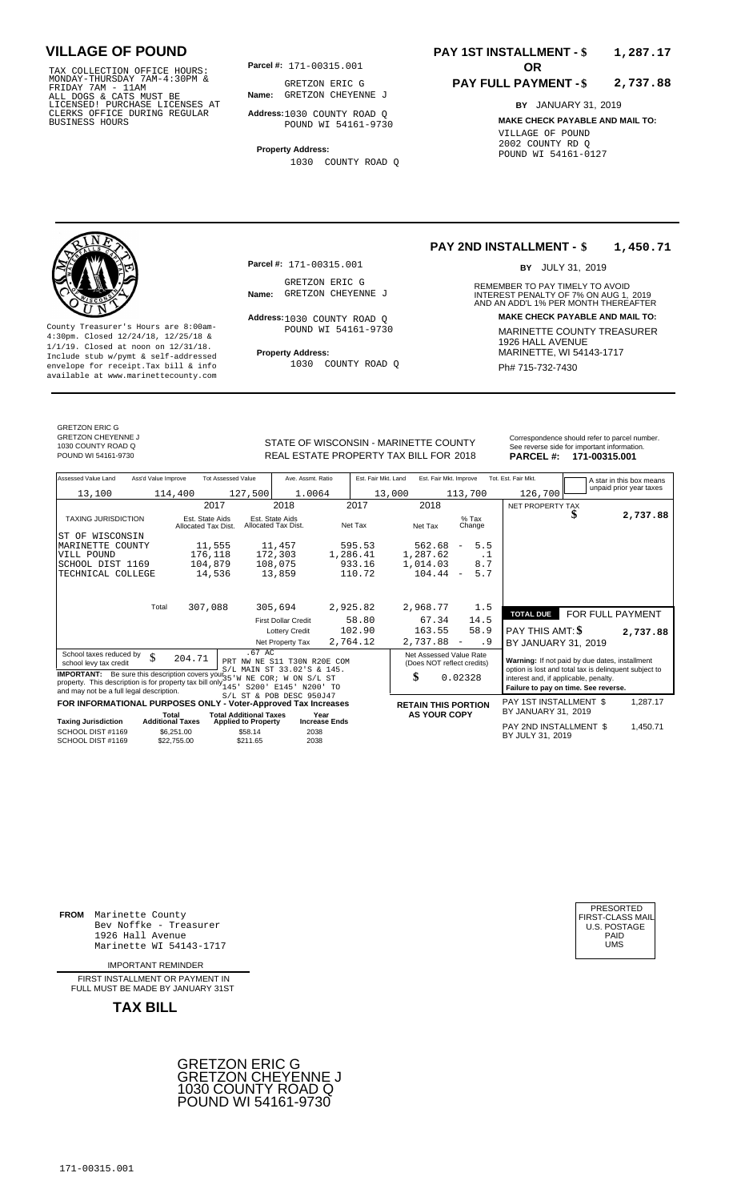TAX COLLECTION OFFICE HOURS:<br>
MONDAY-THURSDAY 7AM-4:30PM & GRETZON ERIC G<br>
FRIDAY 7AM - 11AM<br>
ALL DOGS & CATS MUST BE **Name:** GRETZON CHEYEN<br>
LICENSED ! PURCHASE LICENSES AT<br>
CLERKS OFFICE DURING REGULAR **Address**:1030 COU

**Parcel #:** 171-00315.001 **OR** 

**Name:** GRETZON CHEYENNE J GRETZON ERIC G

**Address:** 1030 COUNTY ROAD Q POUND WI 54161-9730

**Property Address:** 1030 COUNTY ROAD Q

### **PAY 1ST INSTALLMENT - \$ 1,287.17**

#### **PAY FULL PAYMENT - \$ 2,737.88**

**BY** JANUARY 31, 2019 **MAKE CHECK PAYABLE AND MAIL TO:** VILLAGE OF POUND 2002 COUNTY RD Q POUND WI 54161-0127

**Property Address:** MARINETTE, WI 54143-1717 Include stub w/pymt & self-addressed envelope for receipt.Tax bill & info Fig. 1030 COUNTY ROAD Q Fig. 2014 Ph# 715-732-7430 available at www.marinettecounty.com

**Parcel #:** 171-00315.001

GRETZON ERIC G<br>Name: GRETZON CHEYENNE J

Address: 1030 COUNTY ROAD Q POUND WI 54161-9730

1030 COUNTY ROAD Q

#### **PAY 2ND INSTALLMENT - \$ 1,450.71**

BY JULY 31, 2019

REMEMBER TO PAY TIMELY TO AVOID **Name:** GRETZON CHEYENNE J<br> **INTEREST PENALTY OF 7% ON AUG 1, 2019**<br>
AND AN ADD'L 1% PER MONTH THEREAFTER **Address: MAKE CHECK PAYABLE AND MAIL TO:** County Treasurer's Hours are 8:00am-<br>
4:30pm. Closed 12/24/18, 12/25/18 & MARINETTE COUNTY TREASURER<br>
1/1/19. Closed at noon on 12/31/18.<br>
Include stub w/pwmt & self-addressed **Property Address:** MARINETTE, WI 54143-1717

GRETZON ERIC G GRETZON CHEYENNE J 1030 COUNTY ROAD Q

STATE OF WISCONSIN - MARINETTE COUNTY<br>
See reverse side for important information.<br>
REAL ESTATE PROPERTY TAX BILL FOR 2018 PARCEL #: 171-00315.001 REAL ESTATE PROPERTY TAX BILL FOR **PARCEL #:** POUND WI 54161-9730 2018 **171-00315.001**

| Assessed Value Land                                                                                                    | Ass'd Value Improve     |                                        | <b>Tot Assessed Value</b>                                                                                                                                                                                   | Ave. Assmt. Ratio                      |                      | Est. Fair Mkt. Land |                            | Est. Fair Mkt. Improve |                                                       |           | Tot. Est. Fair Mkt.                                                           |   | A star in this box means                              |
|------------------------------------------------------------------------------------------------------------------------|-------------------------|----------------------------------------|-------------------------------------------------------------------------------------------------------------------------------------------------------------------------------------------------------------|----------------------------------------|----------------------|---------------------|----------------------------|------------------------|-------------------------------------------------------|-----------|-------------------------------------------------------------------------------|---|-------------------------------------------------------|
| 13,100                                                                                                                 |                         | 114,400                                | 127,500                                                                                                                                                                                                     | 1.0064                                 |                      |                     | 13,000                     |                        | 113,700                                               |           | 126,700                                                                       |   | unpaid prior year taxes                               |
|                                                                                                                        |                         | 2017                                   |                                                                                                                                                                                                             | 2018                                   |                      | 2017                | 2018                       |                        |                                                       |           | NET PROPERTY TAX                                                              |   |                                                       |
| <b>TAXING JURISDICTION</b>                                                                                             |                         | Est. State Aids<br>Allocated Tax Dist. |                                                                                                                                                                                                             | Est. State Aids<br>Allocated Tax Dist. |                      | Net Tax             | Net Tax                    |                        | $%$ Tax<br>Change                                     |           |                                                                               | J | 2,737.88                                              |
| IST OF WISCONSIN                                                                                                       |                         |                                        |                                                                                                                                                                                                             |                                        |                      |                     |                            |                        |                                                       |           |                                                                               |   |                                                       |
| MARINETTE COUNTY                                                                                                       |                         | 11,555                                 |                                                                                                                                                                                                             | 11,457                                 |                      | 595.53              |                            | 562.68                 | 5.5<br>$\overline{\phantom{a}}$                       |           |                                                                               |   |                                                       |
| VILL POUND                                                                                                             |                         | 176,118                                |                                                                                                                                                                                                             | 172,303                                |                      | 1,286.41            | 1,287.62                   |                        |                                                       | $\cdot$ 1 |                                                                               |   |                                                       |
| SCHOOL DIST 1169                                                                                                       |                         | 104,879                                |                                                                                                                                                                                                             | 108,075                                |                      | 933.16              | 1,014.03                   |                        | 8.7                                                   |           |                                                                               |   |                                                       |
| TECHNICAL COLLEGE                                                                                                      |                         | 14,536                                 |                                                                                                                                                                                                             | 13,859                                 |                      | 110.72              |                            | 104.44                 | 5.7<br>$\overline{\phantom{a}}$                       |           |                                                                               |   |                                                       |
|                                                                                                                        | Total                   |                                        |                                                                                                                                                                                                             |                                        |                      |                     |                            |                        |                                                       |           |                                                                               |   |                                                       |
|                                                                                                                        |                         | 307,088                                |                                                                                                                                                                                                             | 305,694                                |                      | 2,925.82            | 2,968.77                   |                        | 1.5                                                   |           | <b>TOTAL DUE</b>                                                              |   | FOR FULL PAYMENT                                      |
|                                                                                                                        |                         |                                        |                                                                                                                                                                                                             | <b>First Dollar Credit</b>             |                      | 58.80               |                            | 67.34                  | 14.5                                                  |           |                                                                               |   |                                                       |
|                                                                                                                        |                         |                                        |                                                                                                                                                                                                             | <b>Lottery Credit</b>                  |                      | 102.90              |                            | 163.55                 | 58.9                                                  |           | PAY THIS AMT: \$                                                              |   | 2,737.88                                              |
|                                                                                                                        |                         |                                        |                                                                                                                                                                                                             | Net Property Tax                       |                      | 2,764.12            | 2,737.88                   |                        | $\overline{\phantom{a}}$                              | . 9       | BY JANUARY 31, 2019                                                           |   |                                                       |
| School taxes reduced by<br>school levy tax credit<br><b>IMPORTANT:</b>                                                 | \$                      | 204.71                                 | $.67$ AC<br>PRT NW NE S11 T30N R20E COM<br>Be sure this description covers your <sub>3</sub> 5/L MAIN ST 33.02'S & 145.<br>description is for arranged thru bill soli. <sup>3</sup> 5'W NE COR; W ON S/L ST |                                        |                      |                     |                            |                        | Net Assessed Value Rate<br>(Does NOT reflect credits) |           | Warning: If not paid by due dates, installment                                |   | option is lost and total tax is delinquent subject to |
| property. This description is for property tax bill only $\frac{3}{145}$ .<br>and may not be a full legal description. |                         |                                        |                                                                                                                                                                                                             | S200' E145' N200' TO                   |                      |                     | \$                         |                        | 0.02328                                               |           | interest and, if applicable, penalty.<br>Failure to pay on time. See reverse. |   |                                                       |
| S/L ST & POB DESC 950J47<br>FOR INFORMATIONAL PURPOSES ONLY - Voter-Approved Tax Increases                             |                         |                                        |                                                                                                                                                                                                             |                                        |                      |                     | <b>RETAIN THIS PORTION</b> |                        |                                                       |           | PAY 1ST INSTALLMENT \$                                                        |   | 1,287.17                                              |
|                                                                                                                        | Total                   |                                        | <b>Total Additional Taxes</b>                                                                                                                                                                               |                                        | Year                 |                     |                            | <b>AS YOUR COPY</b>    |                                                       |           | BY JANUARY 31, 2019                                                           |   |                                                       |
| <b>Taxing Jurisdiction</b>                                                                                             | <b>Additional Taxes</b> |                                        | <b>Applied to Property</b>                                                                                                                                                                                  |                                        | <b>Increase Ends</b> |                     |                            |                        |                                                       |           | PAY 2ND INSTALLMENT \$                                                        |   | 1,450.71                                              |
| SCHOOL DIST #1169<br>SCHOOL DIST #1169                                                                                 |                         | \$6,251.00<br>\$22,755.00              | \$58.14<br>\$211.65                                                                                                                                                                                         | 2038<br>2038                           |                      |                     |                            |                        |                                                       |           | BY JULY 31, 2019                                                              |   |                                                       |

**FROM** Marinette County Bev Noffke - Treasurer (U.S. POSTAGE)<br>1926 Hall Avenue (U.S. POSTAGE)<br>Marinette WI 54143-1717 (U.S. POSTAGE) 1926 Hall Avenue Marinette WI 54143-1717

IMPORTANT REMINDER

FIRST INSTALL MENT OR PAYMENT IN FULL MUST BE MADE BY JANUARY 31ST



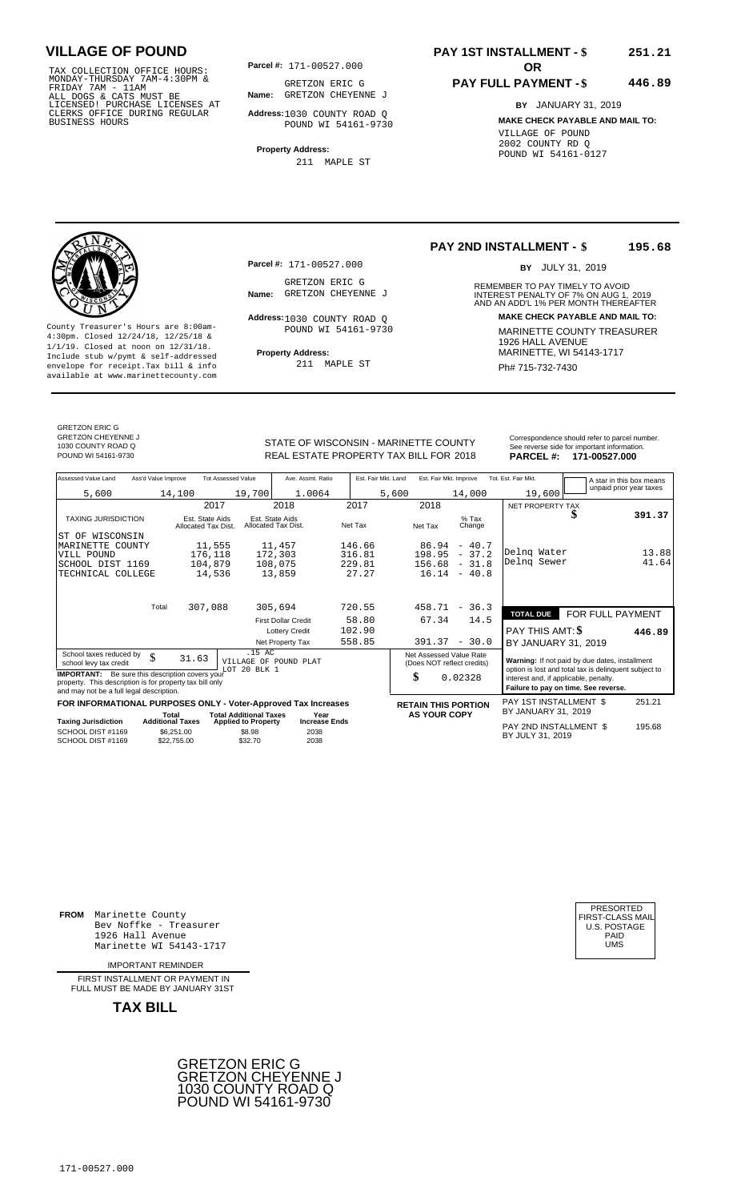TAX COLLECTION OFFICE HOURS:<br>
MONDAY-THURSDAY 7AM-4:30PM & GRETZON ERIC G<br>
FRIDAY 7AM - 11AM<br>
ALL DOGS & CATS MUST BE **Name:** GRETZON CHEYEN<br>
LICENSED ! PURCHASE LICENSES AT<br>
CLERKS OFFICE DURING REGULAR **Address**:1030 COU

**Parcel #:** 171-00527.000

**Name:** GRETZON CHEYENNE J GRETZON ERIC G

**Address:** 1030 COUNTY ROAD Q POUND WI 54161-9730

**Property Address:** 211 MAPLE ST

### **PAY 1ST INSTALLMENT - \$ 251.21**

#### **PAY FULL PAYMENT - \$ 446.89**

**BY** JANUARY 31, 2019 **MAKE CHECK PAYABLE AND MAIL TO:** VILLAGE OF POUND 2002 COUNTY RD Q POUND WI 54161-0127

**Property Address:** MARINETTE, WI 54143-1717 Include stub w/pymt & self-addressed envelope for receipt.Tax bill & info Ph# 715-732-7430 available at www.marinettecounty.com

**Parcel #:** 171-00527.000

GRETZON ERIC G<br>Name: GRETZON CHEYENNE J

Address: 1030 COUNTY ROAD Q POUND WI 54161-9730

211 MAPLE ST

#### **PAY 2ND INSTALLMENT - \$ 195.68**

BY JULY 31, 2019

REMEMBER TO PAY TIMELY TO AVOID **Name:** GRETZON CHEYENNE J<br> **INTEREST PENALTY OF 7% ON AUG 1, 2019**<br>
AND AN ADD'L 1% PER MONTH THEREAFTER **Address: MAKE CHECK PAYABLE AND MAIL TO:** County Treasurer's Hours are 8:00am-<br>
4:30pm. Closed 12/24/18, 12/25/18 & MARINETTE COUNTY TREASURER<br>
1/1/19. Closed at noon on 12/31/18.<br>
Include stub w/pwmt & self-addressed **Property Address:** MARINETTE, WI 54143-1717

GRETZON ERIC G GRETZON CHEYENNE J 1030 COUNTY ROAD Q

STATE OF WISCONSIN - MARINETTE COUNTY<br>
See reverse side for important information.<br>
REAL ESTATE PROPERTY TAX BILL FOR 2018 PARCEL #: 171-00527.000 REAL ESTATE PROPERTY TAX BILL FOR **PARCEL #:** POUND WI 54161-9730 2018 **171-00527.000**

| Assessed Value Land                                                                                                                                            | Ass'd Value Improve              | <b>Tot Assessed Value</b>              |                                                 | Ave. Assmt. Ratio                      |         | Est. Fair Mkt. Land |                                                       | Est. Fair Mkt. Improve | Tot. Est. Fair Mkt.                                                           |   | A star in this box means                                                                                |
|----------------------------------------------------------------------------------------------------------------------------------------------------------------|----------------------------------|----------------------------------------|-------------------------------------------------|----------------------------------------|---------|---------------------|-------------------------------------------------------|------------------------|-------------------------------------------------------------------------------|---|---------------------------------------------------------------------------------------------------------|
| 5,600                                                                                                                                                          | 14,100                           |                                        | 19,700                                          | 1.0064                                 |         | 5,600               |                                                       | 14,000                 | 19,600                                                                        |   | unpaid prior year taxes                                                                                 |
|                                                                                                                                                                |                                  | 2017                                   |                                                 | 2018                                   | 2017    |                     | 2018                                                  |                        | NET PROPERTY TAX                                                              |   |                                                                                                         |
| <b>TAXING JURISDICTION</b>                                                                                                                                     |                                  | Est. State Aids<br>Allocated Tax Dist. |                                                 | Est. State Aids<br>Allocated Tax Dist. | Net Tax |                     | Net Tax                                               | $%$ Tax<br>Change      |                                                                               | D | 391.37                                                                                                  |
| ST OF WISCONSIN                                                                                                                                                |                                  |                                        |                                                 |                                        |         |                     |                                                       |                        |                                                                               |   |                                                                                                         |
| MARINETTE COUNTY                                                                                                                                               |                                  | 11,555                                 |                                                 | 11,457                                 | 146.66  |                     | 86.94                                                 | $-40.7$                |                                                                               |   |                                                                                                         |
| VILL POUND                                                                                                                                                     |                                  | 176,118                                |                                                 | 172,303                                | 316.81  |                     | 198.95                                                | $-37.2$                | Delng Water                                                                   |   | 13.88                                                                                                   |
| SCHOOL DIST 1169                                                                                                                                               |                                  | 104,879                                |                                                 | 108,075                                | 229.81  |                     | 156.68                                                | $-31.8$                | Delng Sewer                                                                   |   | 41.64                                                                                                   |
| TECHNICAL COLLEGE                                                                                                                                              |                                  | 14,536                                 |                                                 | 13,859                                 | 27.27   |                     |                                                       | $16.14 - 40.8$         |                                                                               |   |                                                                                                         |
|                                                                                                                                                                | Total                            | 307,088                                |                                                 | 305,694                                | 720.55  |                     | 458.71                                                | $-36.3$                |                                                                               |   |                                                                                                         |
|                                                                                                                                                                |                                  |                                        |                                                 | <b>First Dollar Credit</b>             | 58.80   |                     | 67.34                                                 | 14.5                   | <b>TOTAL DUE</b>                                                              |   | FOR FULL PAYMENT                                                                                        |
|                                                                                                                                                                |                                  |                                        |                                                 | <b>Lottery Credit</b>                  | 102.90  |                     |                                                       |                        | PAY THIS AMT: \$                                                              |   |                                                                                                         |
|                                                                                                                                                                |                                  |                                        |                                                 | Net Property Tax                       | 558.85  |                     | 391.37                                                | $-30.0$                |                                                                               |   | 446.89                                                                                                  |
|                                                                                                                                                                |                                  |                                        | .15 AC                                          |                                        |         |                     |                                                       |                        | BY JANUARY 31, 2019                                                           |   |                                                                                                         |
| School taxes reduced by<br>school levy tax credit                                                                                                              | \$                               | 31.63                                  | LOT 20 BLK 1                                    | VILLAGE OF POUND PLAT                  |         |                     | Net Assessed Value Rate<br>(Does NOT reflect credits) |                        |                                                                               |   | Warning: If not paid by due dates, installment<br>option is lost and total tax is delinquent subject to |
| <b>IMPORTANT:</b> Be sure this description covers your<br>property. This description is for property tax bill only<br>and may not be a full legal description. |                                  |                                        |                                                 |                                        |         |                     | \$                                                    | 0.02328                | interest and, if applicable, penalty.<br>Failure to pay on time. See reverse. |   |                                                                                                         |
| FOR INFORMATIONAL PURPOSES ONLY - Voter-Approved Tax Increases                                                                                                 |                                  |                                        |                                                 |                                        |         |                     | <b>RETAIN THIS PORTION</b>                            |                        | PAY 1ST INSTALLMENT \$                                                        |   | 251.21                                                                                                  |
|                                                                                                                                                                | Total<br><b>Additional Taxes</b> |                                        | <b>Total Additional Taxes</b>                   | Year<br><b>Increase Ends</b>           |         |                     | <b>AS YOUR COPY</b>                                   |                        | BY JANUARY 31, 2019                                                           |   |                                                                                                         |
| <b>Taxing Jurisdiction</b><br>SCHOOL DIST #1169<br>SCHOOL DIST #1169                                                                                           | \$6,251.00<br>\$22.755.00        |                                        | <b>Applied to Property</b><br>\$8.98<br>\$32.70 | 2038<br>2038                           |         |                     |                                                       |                        | PAY 2ND INSTALLMENT \$<br>BY JULY 31, 2019                                    |   | 195.68                                                                                                  |

**FROM** Marinette County Bev Noffke - Treasurer (U.S. POSTAGE)<br>1926 Hall Avenue (U.S. POSTAGE)<br>Marinette WI 54143-1717 (UMS 1926 Hall Avenue PAID Marinette WI 54143-1717 UMS

IMPORTANT REMINDER

FIRST INSTALL MENT OR PAYMENT IN FULL MUST BE MADE BY JANUARY 31ST



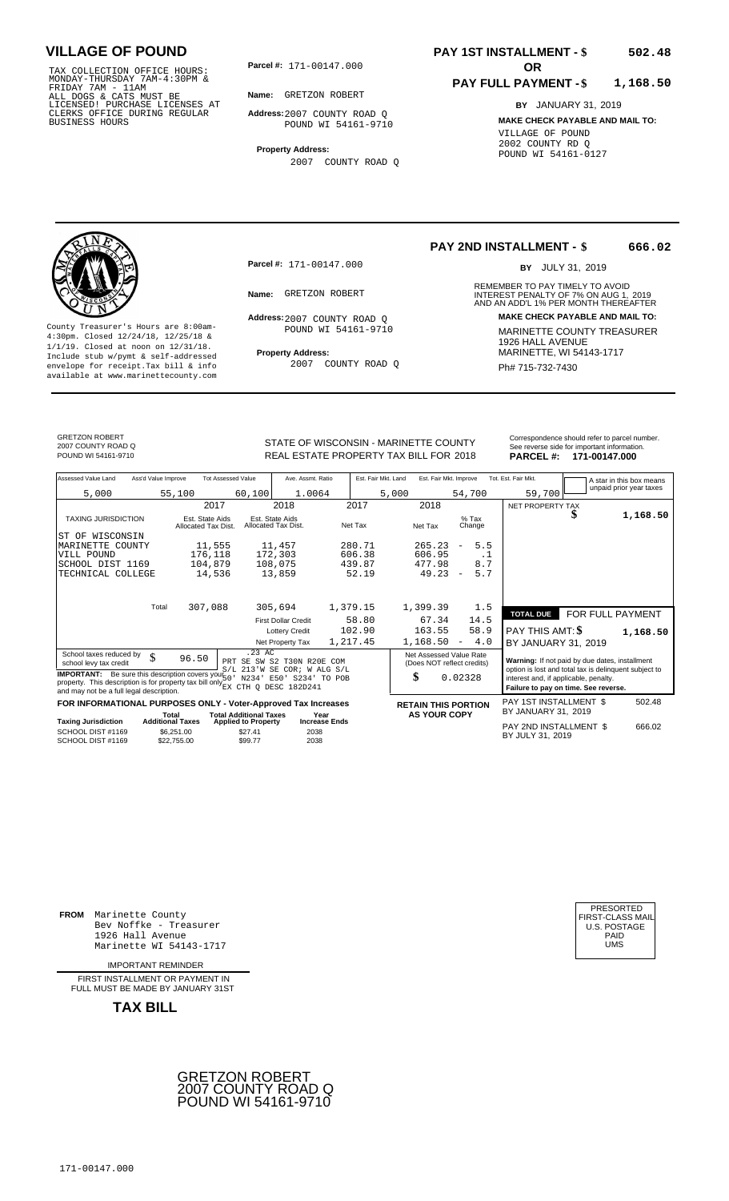TAX COLLECTION OFFICE HOURS:<br>
MONDAY-THURSDAY 7AM-4:30PM &<br>
FRIDAY 7AM - 11AM<br>
ALL DOGS & CATS MUST BE<br>
LICENSED! PURCHASE LICENSES AT<br>
CLERKS OFFICE DURING REGULAR<br>
CLERKS OFFICE DURING REGULAR<br>
BUSINESS HOURS<br>
BUSINESS H

**Parcel #:** 171-00147.000

**Name:** GRETZON ROBERT

**Address:** 2007 COUNTY ROAD Q POUND WI 54161-9710

**Property Address:** 2007 COUNTY ROAD Q

### **PAY 1ST INSTALLMENT - \$ 502.48**

#### **PAY FULL PAYMENT - \$ 1,168.50**

**BY** JANUARY 31, 2019 **MAKE CHECK PAYABLE AND MAIL TO:** VILLAGE OF POUND 2002 COUNTY RD Q POUND WI 54161-0127



**Property Address:** MARINETTE, WI 54143-1717 Include stub w/pymt & self-addressed envelope for receipt.Tax bill & info Ph# 715-732-7430 available at www.marinettecounty.com

**Parcel #:** 171-00147.000

Address: 2007 COUNTY ROAD Q POUND WI 54161-9710

2007 COUNTY ROAD Q

#### **PAY 2ND INSTALLMENT - \$ 666.02**

BY JULY 31, 2019

REMEMBER TO PAY TIMELY TO AVOID **Name:** GRETZON ROBERT **INTEREST PENALTY OF 7% ON AUG 1, 2019**<br>AND AN ADD'L 1% PER MONTH THEREAFTER **Address: MAKE CHECK PAYABLE AND MAIL TO:** County Treasurer's Hours are 8:00am-<br>
4:30pm. Closed 12/24/18, 12/25/18 & MARINETTE COUNTY TREASURER<br>
1/1/19. Closed at noon on 12/31/18.<br>
Include stub w/pwmt & self-addressed **Property Address:** MARINETTE, WI 54143-1717

GRETZON ROBERT 2007 COUNTY ROAD Q

Correspondence should refer to parcel n<br>
See reverse side for important informatic<br>
REAL ESTATE PROPERTY TAX BILL FOR 2018 PARCEL #: 171-00147.000 REAL ESTATE PROPERTY TAX BILL FOR **PARCEL #:** POUND WI 54161-9710 2018 **171-00147.000**

| Correspondence should refer to parcel number. |
|-----------------------------------------------|
| See reverse side for important information.   |
|                                               |

| Assessed Value Land<br>Ass'd Value Improve                                                                                 | <b>Tot Assessed Value</b>              | Ave. Assmt. Ratio                                                                           | Est. Fair Mkt. Land | Est. Fair Mkt. Improve                                      |                                 | Tot. Est. Fair Mkt.<br>A star in this box means                                                         |
|----------------------------------------------------------------------------------------------------------------------------|----------------------------------------|---------------------------------------------------------------------------------------------|---------------------|-------------------------------------------------------------|---------------------------------|---------------------------------------------------------------------------------------------------------|
| 5,000                                                                                                                      | 55,100                                 | 1.0064<br>60,100                                                                            |                     | 5,000                                                       | 54,700                          | unpaid prior year taxes<br>59,700                                                                       |
|                                                                                                                            | 2017                                   | 2018                                                                                        | 2017                | 2018                                                        |                                 | NET PROPERTY TAX                                                                                        |
| <b>TAXING JURISDICTION</b>                                                                                                 | Est. State Aids<br>Allocated Tax Dist. | Est. State Aids<br>Allocated Tax Dist.                                                      | Net Tax             | Net Tax                                                     | $%$ Tax<br>Change               | 1,168.50                                                                                                |
| WISCONSIN<br>ST OF                                                                                                         |                                        |                                                                                             |                     |                                                             |                                 |                                                                                                         |
| MARINETTE COUNTY                                                                                                           | 11,555                                 | 11,457                                                                                      | 280.71              | 265.23                                                      | 5.5<br>$\overline{\phantom{m}}$ |                                                                                                         |
| VILL POUND                                                                                                                 | 176,118                                | 172,303                                                                                     | 606.38              | 606.95                                                      | . 1                             |                                                                                                         |
| SCHOOL DIST 1169                                                                                                           | 104,879                                | 108,075                                                                                     | 439.87              | 477.98                                                      | 8.7                             |                                                                                                         |
| TECHNICAL COLLEGE                                                                                                          | 14,536                                 | 13,859                                                                                      | 52.19               | 49.23                                                       | 5.7<br>$\overline{\phantom{a}}$ |                                                                                                         |
|                                                                                                                            |                                        |                                                                                             |                     |                                                             |                                 |                                                                                                         |
| Total                                                                                                                      | 307,088                                | 305,694                                                                                     | 1,379.15            | 1,399.39                                                    | 1.5                             | FOR FULL PAYMENT<br><b>TOTAL DUE</b>                                                                    |
|                                                                                                                            |                                        | <b>First Dollar Credit</b>                                                                  | 58.80               | 67.34                                                       | 14.5                            |                                                                                                         |
|                                                                                                                            |                                        | <b>Lottery Credit</b>                                                                       | 102.90              | 163.55                                                      | 58.9                            | PAY THIS AMT: \$<br>1,168.50                                                                            |
|                                                                                                                            |                                        | Net Property Tax                                                                            | 1,217.45            | 1,168.50                                                    | 4.0<br>$\overline{\phantom{a}}$ | BY JANUARY 31, 2019                                                                                     |
| School taxes reduced by<br>\$<br>school levy tax credit<br><b>IMPORTANT:</b> Be sure this description covers your 50       | 96.50                                  | .23 AC<br>PRT SE SW S2 T30N R20E COM<br>S/L 213'W SE COR; W ALG S/L                         |                     | Net Assessed Value Rate<br>(Does NOT reflect credits)<br>\$ | 0.02328                         | Warning: If not paid by due dates, installment<br>option is lost and total tax is delinquent subject to |
| property. This description is for property tax bill only EX CTH Q DESC 182D241<br>and may not be a full legal description. |                                        | N234' E50' S234' TO POB                                                                     |                     |                                                             |                                 | interest and, if applicable, penalty.<br>Failure to pay on time. See reverse.                           |
| FOR INFORMATIONAL PURPOSES ONLY - Voter-Approved Tax Increases                                                             |                                        |                                                                                             |                     | <b>RETAIN THIS PORTION</b>                                  |                                 | <b>PAY 1ST INSTALLMENT \$</b><br>502.48                                                                 |
| <b>Taxing Jurisdiction</b>                                                                                                 | Total<br><b>Additional Taxes</b>       | <b>Total Additional Taxes</b><br>Year<br><b>Increase Ends</b><br><b>Applied to Property</b> |                     | <b>AS YOUR COPY</b>                                         |                                 | BY JANUARY 31, 2019                                                                                     |
| SCHOOL DIST #1169<br>SCHOOL DIST #1169                                                                                     | \$6,251.00<br>\$22,755,00              | \$27.41<br>2038<br>2038<br>\$99.77                                                          |                     |                                                             |                                 | PAY 2ND INSTALLMENT \$<br>666.02<br>BY JULY 31, 2019                                                    |

**FROM** Marinette County Bev Noffke - Treasurer (U.S. POSTAGE)<br>1926 Hall Avenue (U.S. POSTAGE)<br>Marinette WI 54143-1717 (U.S. POSTAGE) 1926 Hall Avenue Marinette WI 54143-1717

IMPORTANT REMINDER

FIRST INSTALLMENT OR PAYMENT IN FULL MUST BE MADE BY JANUARY 31ST



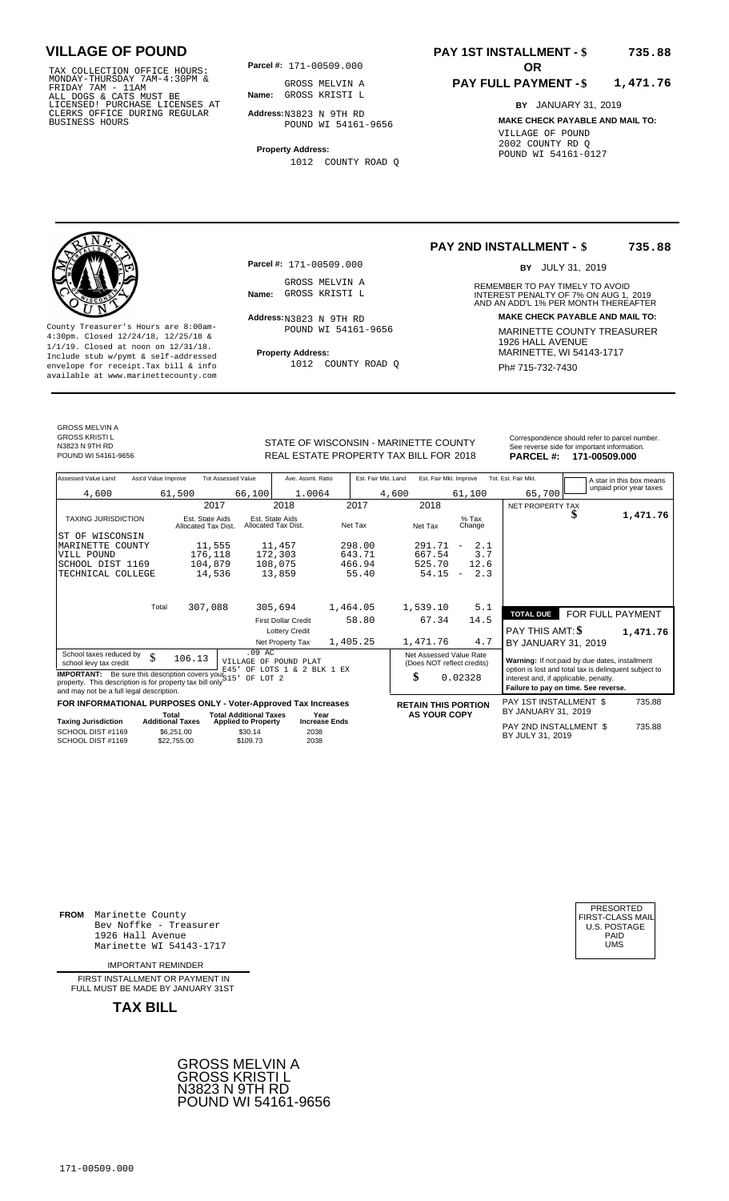TAX COLLECTION OFFICE HOURS:<br>
MONDAY-THURSDAY 7AM-4:30PM &<br>
FRIDAY 7AM - 11AM<br>
ALL DOGS & CATS MUST BE<br>
LICENSED! PURCHASE LICENSES AT<br>
CLERKS OFFICE DURING REGULAR<br>
CLERKS OFFICE DURING REGULAR<br>
BUSINESS HOURS<br>
BUSINESS H

**Parcel #: OR**

**Name:** GROSS KRISTI L GROSS MELVIN A

**Address:** N3823 N 9TH RD POUND WI 54161-9656

**Property Address:** 1012 COUNTY ROAD Q

### **PAY 1ST INSTALLMENT - \$ 735.88**

#### **PAY FULL PAYMENT - \$ 1,471.76**

**BY** JANUARY 31, 2019 **MAKE CHECK PAYABLE AND MAIL TO:** VILLAGE OF POUND 2002 COUNTY RD Q POUND WI 54161-0127



**Property Address:** MARINETTE, WI 54143-1717 Include stub w/pymt & self-addressed envelope for receipt.Tax bill & info Ph# 715-732-7430 available at www.marinettecounty.com

**Parcel #:** 171-00509.000

GROSS MELVIN A<br>Name: GROSS KRISTI L

 $Address:_{N3823}$  N 9TH RD POUND WI 54161-9656

1012 COUNTY ROAD Q

**PAY 2ND INSTALLMENT - \$ 735.88**

BY JULY 31, 2019

REMEMBER TO PAY TIMELY TO AVOID **Name:** GROSS KRISTI L **INTEREST PENALTY OF 7% ON AUG 1, 2019**<br>AND AN ADD'L 1% PER MONTH THEREAFTER **Address: MAKE CHECK PAYABLE AND MAIL TO:** County Treasurer's Hours are 8:00am-<br>
4:30pm. Closed 12/24/18, 12/25/18 & MARINETTE COUNTY TREASURER<br>
1/1/19. Closed at noon on 12/31/18.<br>
Include stub w/pwmt & self-addressed **Property Address:** MARINETTE, WI 54143-1717

| <b>GROSS MELVIN A</b> |  |
|-----------------------|--|
| <b>GROSS KRISTIL</b>  |  |
| N3823 N 9TH RD        |  |
| POUND WL54161-9656    |  |

STATE OF WISCONSIN - MARINETTE COUNTY REAL ESTATE PROPERTY TAX BILL FOR **PARCEL #:** POUND WI 54161-9656 2018 **171-00509.000**

| Correspondence should refer to parcel number. |
|-----------------------------------------------|
| See reverse side for important information.   |
| DADCEL #-<br>171-00500 000                    |

| Assessed Value Land                                                                                                                                                  | Ass'd Value Improve     |                                        | <b>Tot Assessed Value</b>                         | Ave. Assmt. Ratio                               |                      |          | Est. Fair Mkt. Land |                                                       | Est. Fair Mkt. Improve   |      | Tot. Est. Fair Mkt.                                                                                     |                  | A star in this box means<br>unpaid prior year taxes |
|----------------------------------------------------------------------------------------------------------------------------------------------------------------------|-------------------------|----------------------------------------|---------------------------------------------------|-------------------------------------------------|----------------------|----------|---------------------|-------------------------------------------------------|--------------------------|------|---------------------------------------------------------------------------------------------------------|------------------|-----------------------------------------------------|
| 4,600                                                                                                                                                                |                         | 61,500                                 | 66,100                                            | 1.0064                                          |                      |          | 4,600               |                                                       | 61,100                   |      | 65,700                                                                                                  |                  |                                                     |
|                                                                                                                                                                      |                         | 2017                                   |                                                   | 2018                                            |                      | 2017     |                     | 2018                                                  |                          |      | NET PROPERTY TAX                                                                                        |                  |                                                     |
| <b>TAXING JURISDICTION</b>                                                                                                                                           |                         | Est. State Aids<br>Allocated Tax Dist. |                                                   | Est. State Aids<br>Allocated Tax Dist.          |                      | Net Tax  |                     | Net Tax                                               | $%$ Tax<br>Change        |      |                                                                                                         |                  | 1,471.76                                            |
| ST OF WISCONSIN                                                                                                                                                      |                         |                                        |                                                   |                                                 |                      |          |                     |                                                       |                          |      |                                                                                                         |                  |                                                     |
| MARINETTE COUNTY                                                                                                                                                     |                         | 11,555                                 |                                                   | 11,457                                          |                      | 298.00   |                     | 291.71                                                | $\overline{\phantom{m}}$ | 2.1  |                                                                                                         |                  |                                                     |
| VILL POUND                                                                                                                                                           |                         | 176,118                                |                                                   | 172,303                                         |                      | 643.71   |                     | 667.54                                                |                          | 3.7  |                                                                                                         |                  |                                                     |
| SCHOOL DIST 1169                                                                                                                                                     |                         | 104,879                                |                                                   | 108,075                                         |                      | 466.94   |                     | 525.70                                                |                          | 12.6 |                                                                                                         |                  |                                                     |
| TECHNICAL COLLEGE                                                                                                                                                    |                         | 14,536                                 |                                                   | 13,859                                          |                      | 55.40    |                     | 54.15                                                 | $\overline{\phantom{a}}$ | 2.3  |                                                                                                         |                  |                                                     |
|                                                                                                                                                                      |                         |                                        |                                                   |                                                 |                      |          |                     |                                                       |                          |      |                                                                                                         |                  |                                                     |
|                                                                                                                                                                      | Total                   | 307,088                                |                                                   | 305,694                                         |                      | 1,464.05 |                     | 1,539.10                                              |                          | 5.1  | <b>TOTAL DUE</b>                                                                                        | FOR FULL PAYMENT |                                                     |
|                                                                                                                                                                      |                         |                                        |                                                   | <b>First Dollar Credit</b>                      |                      | 58.80    |                     | 67.34                                                 |                          | 14.5 |                                                                                                         |                  |                                                     |
|                                                                                                                                                                      |                         |                                        |                                                   | <b>Lottery Credit</b>                           |                      |          |                     |                                                       |                          |      | PAY THIS AMT: \$                                                                                        |                  | 1,471.76                                            |
|                                                                                                                                                                      |                         |                                        |                                                   | Net Property Tax                                |                      | 1,405.25 |                     | 1,471.76                                              |                          | 4.7  | BY JANUARY 31, 2019                                                                                     |                  |                                                     |
| School taxes reduced by<br>school levy tax credit                                                                                                                    | $\mathcal{S}$           | 106.13                                 | $.09$ AC<br>E45'                                  | VILLAGE OF POUND PLAT<br>OF LOTS 1 & 2 BLK 1 EX |                      |          |                     | Net Assessed Value Rate<br>(Does NOT reflect credits) |                          |      | Warning: If not paid by due dates, installment<br>option is lost and total tax is delinquent subject to |                  |                                                     |
| <b>IMPORTANT:</b> Be sure this description covers your $S15$<br>property. This description is for property tax bill only<br>and may not be a full legal description. |                         |                                        | OF LOT 2                                          |                                                 |                      |          |                     | \$                                                    | 0.02328                  |      | interest and, if applicable, penalty.<br>Failure to pay on time. See reverse.                           |                  |                                                     |
| FOR INFORMATIONAL PURPOSES ONLY - Voter-Approved Tax Increases                                                                                                       |                         |                                        |                                                   |                                                 |                      |          |                     | <b>RETAIN THIS PORTION</b>                            |                          |      | PAY 1ST INSTALLMENT \$                                                                                  |                  | 735.88                                              |
|                                                                                                                                                                      |                         | Total                                  | <b>Total Additional Taxes</b>                     | Year                                            |                      |          |                     | <b>AS YOUR COPY</b>                                   |                          |      | BY JANUARY 31, 2019                                                                                     |                  |                                                     |
| <b>Taxing Jurisdiction</b><br>SCHOOL DIST #1169<br>SCHOOL DIST #1169                                                                                                 | <b>Additional Taxes</b> | \$6.251.00<br>\$22,755.00              | <b>Applied to Property</b><br>\$30.14<br>\$109.73 | 2038<br>2038                                    | <b>Increase Ends</b> |          |                     |                                                       |                          |      | PAY 2ND INSTALLMENT \$<br>BY JULY 31, 2019                                                              |                  | 735.88                                              |

**FROM** Marinette County Bev Noffke - Treasurer (U.S. POSTAGE)<br>1926 Hall Avenue (U.S. POSTAGE)<br>Marinette WI 54143-1717 (U.S. POSTAGE) 1926 Hall Avenue Marinette WI 54143-1717

IMPORTANT REMINDER

FIRST INSTALLMENT OR PAYMENT IN FULL MUST BE MADE BY JANUARY 31ST



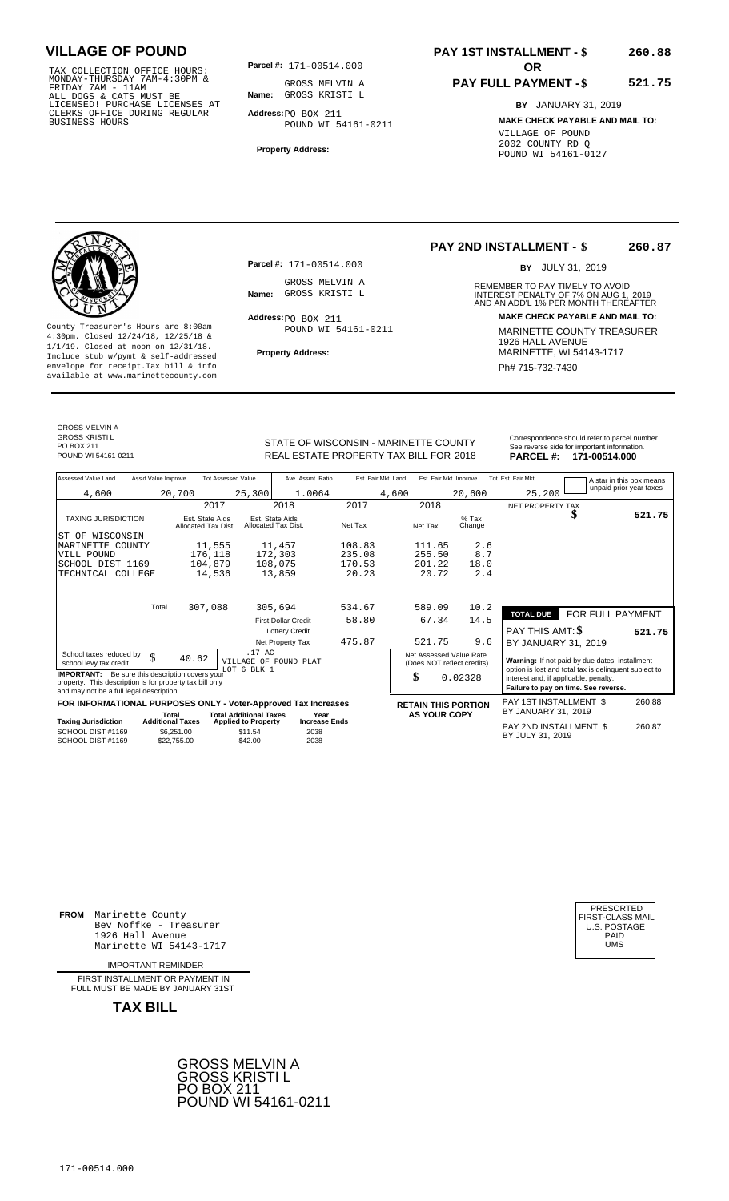TAX COLLECTION OFFICE HOURS:<br>
MONDAY-THURSDAY 7AM-4:30PM &<br>
FRIDAY 7AM - 11AM<br>
ALL DOGS & CATS MUST BE<br>
LICENSED! PURCHASE LICENSES AT<br>
CLERKS OFFICE DURING REGULAR<br>
CLERKS OFFICE DURING REGULAR<br>
BUSINESS HOURS<br>
BUSINESS H

**Parcel #:** 171-00514.000

**Name:** GROSS KRISTI L GROSS MELVIN A

**Address:** PO BOX 211 POUND WI 54161-0211

**Property Address:**

### **PAY 1ST INSTALLMENT - \$ 260.88**

POUND WI 54161-0127

### **PAY FULL PAYMENT - \$**

**BY** JANUARY 31, 2019 **MAKE CHECK PAYABLE AND MAIL TO:** VILLAGE OF POUND 2002 COUNTY RD Q

**521.75**

**Property Address:** MARINETTE, WI 54143-1717 Include stub w/pymt & self-addressed envelope for receipt.Tax bill & info Phat is a set of the phat of the Phat 715-732-7430 envelope for receipt.Tax bill & info Phat 715-732-7430 envelope for the phat 715-732-7430 envelope for the phat 715-732-7430 envelope

**Parcel #:** 171-00514.000 GROSS MELVIN A<br>Name: GROSS KRISTI L

Address: PO BOX 211 POUND WI 54161-0211

#### **PAY 2ND INSTALLMENT - \$ 260.87**

BY JULY 31, 2019

REMEMBER TO PAY TIMELY TO AVOID **Name:** GROSS KRISTI L **INTEREST PENALTY OF 7% ON AUG 1, 2019**<br>AND AN ADD'L 1% PER MONTH THEREAFTER **Address: MAKE CHECK PAYABLE AND MAIL TO:** County Treasurer's Hours are 8:00am-<br>
4:30pm. Closed 12/24/18, 12/25/18 & MARINETTE COUNTY TREASURER<br>
1/1/19. Closed at noon on 12/31/18.<br>
Include stub w/pwmt. & self-addressed<br> **Property Address:** MARINETTE, WI 54143-1717

GROSS MELVIN A GROSS KRISTI L PO BOX 211<br>POUND WI 54161-0211

STATE OF WISCONSIN - MARINETTE COUNTY<br>
See reverse side for important information.<br>
REAL ESTATE PROPERTY TAX BILL FOR 2018 PARCEL #: 171-00514.000 REAL ESTATE PROPERTY TAX BILL FOR **PARCEL #:** POUND WI 54161-0211 2018 **171-00514.000**

| Assessed Value Land<br>Ass'd Value Improve                                                                                                                     | <b>Tot Assessed Value</b>                                                                                | Ave. Assmt. Ratio                      | Est. Fair Mkt. Land | Est. Fair Mkt. Improve                                |                   | Tot. Est. Fair Mkt.                        | A star in this box means<br>unpaid prior year taxes                                                     |        |
|----------------------------------------------------------------------------------------------------------------------------------------------------------------|----------------------------------------------------------------------------------------------------------|----------------------------------------|---------------------|-------------------------------------------------------|-------------------|--------------------------------------------|---------------------------------------------------------------------------------------------------------|--------|
| 4,600                                                                                                                                                          | 25,300<br>20,700                                                                                         | 1.0064                                 | 4,600               |                                                       | 20,600            | 25,200                                     |                                                                                                         |        |
|                                                                                                                                                                | 2017                                                                                                     | 2018                                   | 2017                | 2018                                                  |                   | NET PROPERTY TAX                           |                                                                                                         |        |
| <b>TAXING JURISDICTION</b>                                                                                                                                     | Est. State Aids<br>Allocated Tax Dist.                                                                   | Est. State Aids<br>Allocated Tax Dist. | Net Tax             | Net Tax                                               | $%$ Tax<br>Change |                                            | \$                                                                                                      | 521.75 |
| ST OF WISCONSIN                                                                                                                                                |                                                                                                          |                                        |                     |                                                       |                   |                                            |                                                                                                         |        |
| MARINETTE COUNTY                                                                                                                                               | 11,555                                                                                                   | 11,457                                 | 108.83              | 111.65                                                | 2.6               |                                            |                                                                                                         |        |
| VILL POUND                                                                                                                                                     | 176,118                                                                                                  | 172,303                                | 235.08              | 255.50                                                | 8.7               |                                            |                                                                                                         |        |
| SCHOOL DIST 1169                                                                                                                                               | 104,879                                                                                                  | 108,075                                | 170.53              | 201.22                                                | 18.0              |                                            |                                                                                                         |        |
| TECHNICAL COLLEGE                                                                                                                                              | 14,536                                                                                                   | 13,859                                 | 20.23               | 20.72                                                 | 2.4               |                                            |                                                                                                         |        |
|                                                                                                                                                                |                                                                                                          |                                        |                     |                                                       |                   |                                            |                                                                                                         |        |
| Total                                                                                                                                                          | 307,088                                                                                                  | 305,694                                | 534.67              | 589.09                                                | 10.2              | <b>TOTAL DUE</b>                           | FOR FULL PAYMENT                                                                                        |        |
|                                                                                                                                                                |                                                                                                          | <b>First Dollar Credit</b>             | 58.80               | 67.34                                                 | 14.5              |                                            |                                                                                                         |        |
|                                                                                                                                                                |                                                                                                          | <b>Lottery Credit</b>                  |                     |                                                       |                   | PAY THIS AMT: \$                           |                                                                                                         | 521.75 |
|                                                                                                                                                                |                                                                                                          | Net Property Tax                       | 475.87              | 521.75                                                | 9.6               | BY JANUARY 31, 2019                        |                                                                                                         |        |
| School taxes reduced by<br>\$<br>school levy tax credit                                                                                                        | 40.62<br>LOT 6 BLK 1                                                                                     | .17 AC<br>VILLAGE OF POUND PLAT        |                     | Net Assessed Value Rate<br>(Does NOT reflect credits) |                   |                                            | Warning: If not paid by due dates, installment<br>option is lost and total tax is delinquent subject to |        |
| <b>IMPORTANT:</b> Be sure this description covers your<br>property. This description is for property tax bill only<br>and may not be a full legal description. |                                                                                                          |                                        |                     | \$                                                    | 0.02328           | interest and, if applicable, penalty.      | Failure to pay on time. See reverse.                                                                    |        |
| FOR INFORMATIONAL PURPOSES ONLY - Voter-Approved Tax Increases                                                                                                 |                                                                                                          |                                        |                     | <b>RETAIN THIS PORTION</b>                            |                   | PAY 1ST INSTALLMENT \$                     |                                                                                                         | 260.88 |
|                                                                                                                                                                | <b>Total Additional Taxes</b><br>Total                                                                   | Year                                   |                     | <b>AS YOUR COPY</b>                                   |                   | BY JANUARY 31, 2019                        |                                                                                                         |        |
| <b>Taxing Jurisdiction</b><br>SCHOOL DIST #1169<br>SCHOOL DIST #1169                                                                                           | <b>Additional Taxes</b><br><b>Applied to Property</b><br>\$6,251.00<br>\$11.54<br>\$42.00<br>\$22,755.00 | <b>Increase Ends</b><br>2038<br>2038   |                     |                                                       |                   | PAY 2ND INSTALLMENT \$<br>BY JULY 31, 2019 |                                                                                                         | 260.87 |

**FROM** Marinette County Bev Noffke - Treasurer (U.S. POSTAGE)<br>1926 Hall Avenue (U.S. POSTAGE)<br>Marinette WI 54143-1717 (U.S. POSTAGE) 1926 Hall Avenue PAID Marinette WI 54143-1717 UMS

IMPORTANT REMINDER

FIRST INSTALLMENT OR PAYMENT IN FULL MUST BE MADE BY JANUARY 31ST



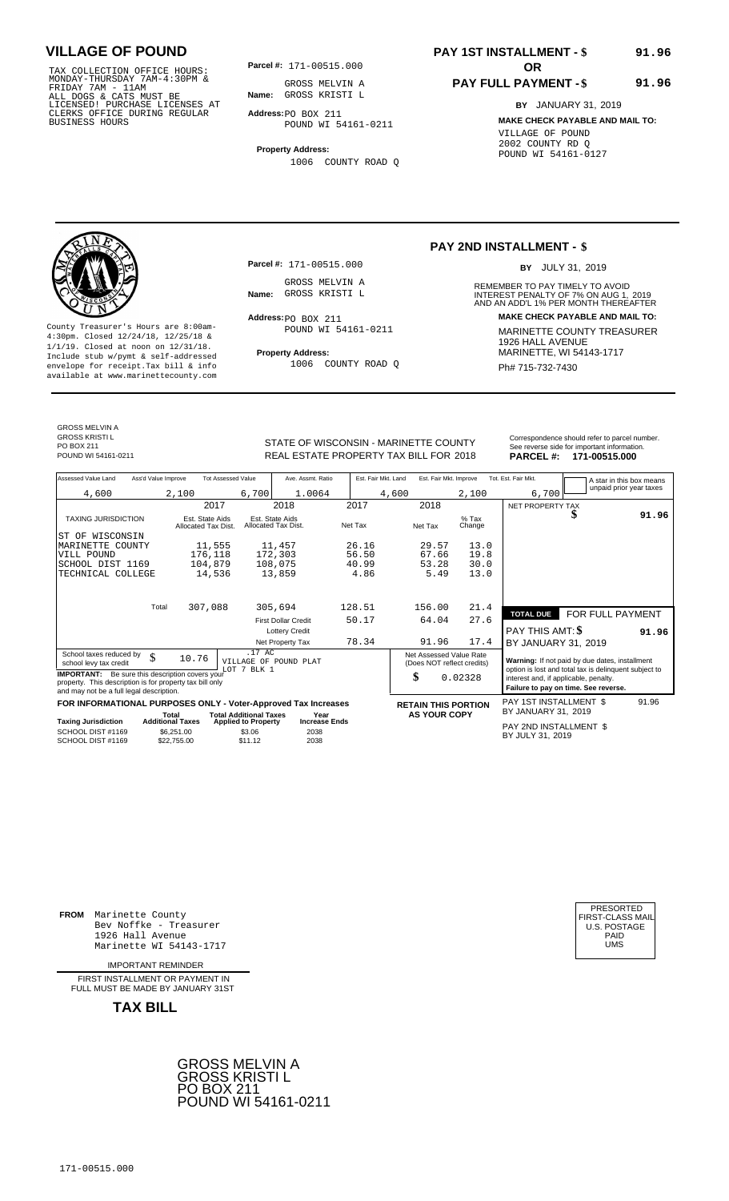TAX COLLECTION OFFICE HOURS:<br>
MONDAY-THURSDAY 7AM-4:30PM &<br>
FRIDAY 7AM - 11AM<br>
ALL DOGS & CATS MUST BE<br>
LICENSED! PURCHASE LICENSES AT<br>
CLERKS OFFICE DURING REGULAR<br>
CLERKS OFFICE DURING REGULAR<br>
BUSINESS HOURS<br>
BUSINESS H

**Parcel #:** 171-00515.000

**Parcel #:** 171-00515.000

GROSS MELVIN A<br>Name: GROSS KRISTI L

POUND WI 54161-0211

1006 COUNTY ROAD Q

Address: PO BOX 211

**Name:** GROSS KRISTI L GROSS MELVIN A

**Address:** PO BOX 211 POUND WI 54161-0211

**Property Address:** 1006 COUNTY ROAD Q

### **PAY 1ST INSTALLMENT - \$ 91.96**

### **PAY FULL PAYMENT - \$**

**PAY 2ND INSTALLMENT - \$**

**Name:** GROSS KRISTI L **INTEREST PENALTY OF 7% ON AUG 1, 2019**<br>AND AN ADD'L 1% PER MONTH THEREAFTER

REMEMBER TO PAY TIMELY TO AVOID

BY JULY 31, 2019

**Address: MAKE CHECK PAYABLE AND MAIL TO:**

**BY** JANUARY 31, 2019 **MAKE CHECK PAYABLE AND MAIL TO:** VILLAGE OF POUND 2002 COUNTY RD Q POUND WI 54161-0127

**91.96**



County Treasurer's Hours are 8:00am-<br>
4:30pm. Closed 12/24/18, 12/25/18 & MARINETTE COUNTY TREASURER<br>
1/1/19. Closed at noon on 12/31/18.<br>
Include stub w/pwmt. & self-addressed<br> **Property Address:** MARINETTE, WI 54143-1717 **Property Address:** MARINETTE, WI 54143-1717 Include stub w/pymt & self-addressed envelope for receipt.Tax bill & info Ph# 715-732-7430 available at www.marinettecounty.com

GROSS MELVIN A

GROSS KRISTI L PO BOX 211<br>POUND WI 54161-0211

REAL ESTATE PROPERTY TAX BILL FOR **PARCEL #:** POUND WI 54161-0211 2018 **171-00515.000**

| Assessed Value Land                                                                                                                                            | Ass'd Value Improve |                                        | <b>Tot Assessed Value</b>                       | Ave. Assmt. Ratio                      |         | Est. Fair Mkt. Land |       |                     | Est. Fair Mkt. Improve                                | Tot. Est. Fair Mkt.                                                                                                                    |   | A star in this box means |
|----------------------------------------------------------------------------------------------------------------------------------------------------------------|---------------------|----------------------------------------|-------------------------------------------------|----------------------------------------|---------|---------------------|-------|---------------------|-------------------------------------------------------|----------------------------------------------------------------------------------------------------------------------------------------|---|--------------------------|
| 4,600                                                                                                                                                          |                     | 2,100                                  | 6,700                                           | 1.0064                                 |         |                     | 4,600 |                     | 2,100                                                 | 6,700                                                                                                                                  |   | unpaid prior year taxes  |
|                                                                                                                                                                |                     | 2017                                   |                                                 | 2018                                   |         | 2017                |       | 2018                |                                                       | NET PROPERTY TAX                                                                                                                       |   |                          |
| <b>TAXING JURISDICTION</b>                                                                                                                                     |                     | Est. State Aids<br>Allocated Tax Dist. |                                                 | Est. State Aids<br>Allocated Tax Dist. | Net Tax |                     |       | Net Tax             | $%$ Tax<br>Change                                     |                                                                                                                                        | D | 91.96                    |
| WISCONSIN<br>ST OF                                                                                                                                             |                     |                                        |                                                 |                                        |         |                     |       |                     |                                                       |                                                                                                                                        |   |                          |
| MARINETTE COUNTY                                                                                                                                               |                     | 11,555                                 |                                                 | 11,457                                 |         | 26.16               |       | 29.57               | 13.0                                                  |                                                                                                                                        |   |                          |
| VILL POUND                                                                                                                                                     |                     | 176,118                                |                                                 | 172,303                                |         | 56.50               |       | 67.66               | 19.8                                                  |                                                                                                                                        |   |                          |
| SCHOOL DIST 1169                                                                                                                                               |                     | 104,879                                |                                                 | 108,075                                |         | 40.99               |       | 53.28               | 30.0                                                  |                                                                                                                                        |   |                          |
| TECHNICAL COLLEGE                                                                                                                                              |                     | 14,536                                 |                                                 | 13,859                                 |         | 4.86                |       | 5.49                | 13.0                                                  |                                                                                                                                        |   |                          |
|                                                                                                                                                                | Total               | 307,088                                |                                                 | 305,694                                |         | 128.51              |       | 156.00              | 21.4                                                  |                                                                                                                                        |   |                          |
|                                                                                                                                                                |                     |                                        |                                                 |                                        |         |                     |       |                     |                                                       | <b>TOTAL DUE</b>                                                                                                                       |   | FOR FULL PAYMENT         |
|                                                                                                                                                                |                     |                                        |                                                 | <b>First Dollar Credit</b>             |         | 50.17               |       | 64.04               | 27.6                                                  |                                                                                                                                        |   |                          |
|                                                                                                                                                                |                     |                                        |                                                 | <b>Lottery Credit</b>                  |         |                     |       |                     |                                                       | <b>PAY THIS AMT: \$</b>                                                                                                                |   | 91.96                    |
|                                                                                                                                                                |                     |                                        |                                                 | Net Property Tax                       |         | 78.34               |       | 91.96               | 17.4                                                  | BY JANUARY 31, 2019                                                                                                                    |   |                          |
| School taxes reduced by<br>school levy tax credit                                                                                                              | \$                  | 10.76                                  | .17 AC                                          | VILLAGE OF POUND PLAT                  |         |                     |       |                     | Net Assessed Value Rate<br>(Does NOT reflect credits) | Warning: If not paid by due dates, installment                                                                                         |   |                          |
| <b>IMPORTANT:</b> Be sure this description covers your<br>property. This description is for property tax bill only<br>and may not be a full legal description. |                     |                                        | LOT 7 BLK 1                                     |                                        |         |                     |       | \$                  | 0.02328                                               | option is lost and total tax is delinquent subject to<br>interest and, if applicable, penalty.<br>Failure to pay on time. See reverse. |   |                          |
| FOR INFORMATIONAL PURPOSES ONLY - Voter-Approved Tax Increases                                                                                                 |                     |                                        |                                                 |                                        |         |                     |       |                     | <b>RETAIN THIS PORTION</b>                            | PAY 1ST INSTALLMENT \$                                                                                                                 |   | 91.96                    |
|                                                                                                                                                                |                     | Total<br><b>Additional Taxes</b>       | <b>Total Additional Taxes</b>                   | Year<br><b>Increase Ends</b>           |         |                     |       | <b>AS YOUR COPY</b> |                                                       | BY JANUARY 31, 2019                                                                                                                    |   |                          |
| Taxing Jurisdiction<br>SCHOOL DIST #1169<br>SCHOOL DIST #1169                                                                                                  |                     | \$6,251.00<br>\$22,755,00              | <b>Applied to Property</b><br>\$3.06<br>\$11.12 | 2038<br>2038                           |         |                     |       |                     |                                                       | PAY 2ND INSTALLMENT \$<br>BY JULY 31, 2019                                                                                             |   |                          |

**FROM** Marinette County Bev Noffke - Treasurer (U.S. POSTAGE)<br>1926 Hall Avenue (U.S. POSTAGE)<br>Marinette WI 54143-1717 (UMS  $1926$  Hall Avenue Marinette WI 54143-1717

IMPORTANT REMINDER

FIRST INSTALLMENT OR PAYMENT IN FULL MUST BE MADE BY JANUARY 31ST

**TAX BILL**





# STATE OF WISCONSIN - MARINETTE COUNTY<br>
See reverse side for important information.<br>
REAL ESTATE PROPERTY TAX BILL FOR 2018 PARCEL #: 171-00515.000

171-00515.000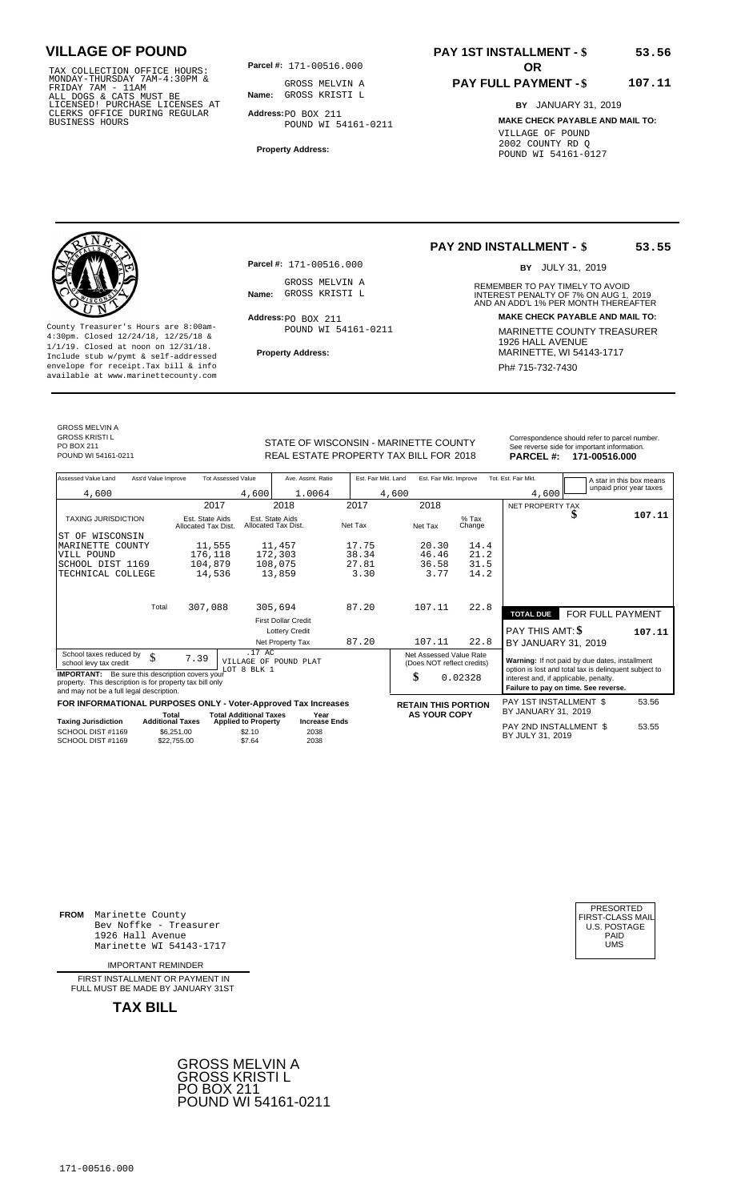TAX COLLECTION OFFICE HOURS:<br>
MONDAY-THURSDAY 7AM-4:30PM &<br>
FRIDAY 7AM - 11AM<br>
ALL DOGS & CATS MUST BE<br>
LICENSED! PURCHASE LICENSES AT<br>
CLERKS OFFICE DURING REGULAR<br>
CLERKS OFFICE DURING REGULAR<br>
BUSINESS HOURS<br>
BUSINESS H

**Parcel #:** 171-00516.000

**Name:** GROSS KRISTI L GROSS MELVIN A

**Address:** PO BOX 211 POUND WI 54161-0211

**Property Address:**

## **PAY 1ST INSTALLMENT - \$**

#### **PAY FULL PAYMENT - \$ 107.11**

**BY** JANUARY 31, 2019 **MAKE CHECK PAYABLE AND MAIL TO:** VILLAGE OF POUND 2002 COUNTY RD Q POUND WI 54161-0127

**Property Address:** MARINETTE, WI 54143-1717 Include stub w/pymt & self-addressed envelope for receipt.Tax bill & info Phat is a set of the phat of the Phat 715-732-7430 envelope for receipt.Tax bill & info Phat 715-732-7430 envelope for the phat 715-732-7430 envelope for the phat 715-732-7430 envelope

**Parcel #:** 171-00516.000 GROSS MELVIN A<br>Name: GROSS KRISTI L

Address: PO BOX 211 POUND WI 54161-0211

### **PAY 2ND INSTALLMENT - \$**

BY JULY 31, 2019

**53.55**

**53.56**

REMEMBER TO PAY TIMELY TO AVOID **Name:** GROSS KRISTI L **INTEREST PENALTY OF 7% ON AUG 1, 2019**<br>AND AN ADD'L 1% PER MONTH THEREAFTER **Address: MAKE CHECK PAYABLE AND MAIL TO:** County Treasurer's Hours are 8:00am-<br>
4:30pm. Closed 12/24/18, 12/25/18 & MARINETTE COUNTY TREASURER<br>
1/1/19. Closed at noon on 12/31/18.<br>
Include stub w/pwmt. & self-addressed<br> **Property Address:** MARINETTE, WI 54143-1717

GROSS MELVIN A GROSS KRISTI L PO BOX 211<br>POUND WI 54161-0211

STATE OF WISCONSIN - MARINETTE COUNTY<br>
See reverse side for important information.<br>
REAL ESTATE PROPERTY TAX BILL FOR 2018 PARCEL #: 171-00516.000 REAL ESTATE PROPERTY TAX BILL FOR **PARCEL #:** POUND WI 54161-0211 2018 **171-00516.000**

| OUNTY  |                  | Correspondence should refer to parcel<br>See reverse side for important informat |
|--------|------------------|----------------------------------------------------------------------------------|
| R 2018 | <b>PARCEL #:</b> | 171-00516.00                                                                     |

| Assessed Value Land                                                                                                                                            | Ass'd Value Improve                    | <b>Tot Assessed Value</b>            | Ave. Assmt. Ratio                      | Est. Fair Mkt. Land | Est. Fair Mkt. Improve                                |                   | Tot. Est. Fair Mkt.                   |                                                                                                         | A star in this box means |
|----------------------------------------------------------------------------------------------------------------------------------------------------------------|----------------------------------------|--------------------------------------|----------------------------------------|---------------------|-------------------------------------------------------|-------------------|---------------------------------------|---------------------------------------------------------------------------------------------------------|--------------------------|
| 4,600                                                                                                                                                          |                                        | 4,600                                | 1.0064                                 |                     | 4,600                                                 |                   | 4,600                                 |                                                                                                         | unpaid prior year taxes  |
|                                                                                                                                                                |                                        | 2017                                 | 2018                                   | 2017                | 2018                                                  |                   | NET PROPERTY TAX                      |                                                                                                         |                          |
| <b>TAXING JURISDICTION</b>                                                                                                                                     | Est. State Aids<br>Allocated Tax Dist. |                                      | Est. State Aids<br>Allocated Tax Dist. | Net Tax             | Net Tax                                               | $%$ Tax<br>Change |                                       |                                                                                                         | 107.11                   |
| WISCONSIN<br>ST OF                                                                                                                                             |                                        |                                      |                                        |                     |                                                       |                   |                                       |                                                                                                         |                          |
| MARINETTE COUNTY                                                                                                                                               |                                        | 11,555                               | 11,457                                 | 17.75               | 20.30                                                 | 14.4              |                                       |                                                                                                         |                          |
| VILL POUND                                                                                                                                                     | 176,118                                |                                      | 172,303                                | 38.34               | 46.46                                                 | 21.2              |                                       |                                                                                                         |                          |
| SCHOOL DIST 1169                                                                                                                                               | 104,879                                |                                      | 108,075                                | 27.81               | 36.58                                                 | 31.5              |                                       |                                                                                                         |                          |
| TECHNICAL COLLEGE                                                                                                                                              |                                        | 14,536                               | 13,859                                 | 3.30                | 3.77                                                  | 14.2              |                                       |                                                                                                         |                          |
|                                                                                                                                                                |                                        |                                      |                                        |                     |                                                       |                   |                                       |                                                                                                         |                          |
|                                                                                                                                                                | Total<br>307,088                       |                                      | 305,694                                | 87.20               | 107.11                                                | 22.8              | <b>TOTAL DUE</b>                      | FOR FULL PAYMENT                                                                                        |                          |
|                                                                                                                                                                |                                        |                                      | <b>First Dollar Credit</b>             |                     |                                                       |                   |                                       |                                                                                                         |                          |
|                                                                                                                                                                |                                        |                                      | <b>Lottery Credit</b>                  |                     |                                                       |                   | <b>PAY THIS AMT: \$</b>               |                                                                                                         | 107.11                   |
|                                                                                                                                                                |                                        |                                      | Net Property Tax                       | 87.20               | 107.11                                                | 22.8              | BY JANUARY 31, 2019                   |                                                                                                         |                          |
| School taxes reduced by<br>school levy tax credit                                                                                                              | \$<br>7.39                             | .17 AC<br>LOT 8 BLK 1                | VILLAGE OF POUND PLAT                  |                     | Net Assessed Value Rate<br>(Does NOT reflect credits) |                   |                                       | Warning: If not paid by due dates, installment<br>option is lost and total tax is delinquent subject to |                          |
| <b>IMPORTANT:</b> Be sure this description covers your<br>property. This description is for property tax bill only<br>and may not be a full legal description. |                                        |                                      |                                        |                     | \$                                                    | 0.02328           | interest and, if applicable, penalty. | Failure to pay on time. See reverse.                                                                    |                          |
| FOR INFORMATIONAL PURPOSES ONLY - Voter-Approved Tax Increases                                                                                                 |                                        |                                      |                                        |                     | <b>RETAIN THIS PORTION</b>                            |                   | <b>PAY 1ST INSTALLMENT \$</b>         |                                                                                                         | 53.56                    |
|                                                                                                                                                                | Total                                  | <b>Total Additional Taxes</b>        | Year                                   |                     | <b>AS YOUR COPY</b>                                   |                   | BY JANUARY 31, 2019                   |                                                                                                         |                          |
| <b>Taxing Jurisdiction</b><br>SCHOOL DIST #1169                                                                                                                | <b>Additional Taxes</b>                | <b>Applied to Property</b><br>\$2.10 | <b>Increase Ends</b><br>2038           |                     |                                                       |                   | PAY 2ND INSTALLMENT \$                |                                                                                                         | 53.55                    |
| SCHOOL DIST #1169                                                                                                                                              | \$6,251.00<br>\$22.755.00              | \$7.64                               | 2038                                   |                     |                                                       |                   | BY JULY 31, 2019                      |                                                                                                         |                          |

**FROM** Marinette County Bev Noffke - Treasurer (U.S. POSTAGE)<br>1926 Hall Avenue (U.S. POSTAGE)<br>Marinette WI 54143-1717 (U.S. POSTAGE) 1926 Hall Avenue PAID Marinette WI 54143-1717 UMS

IMPORTANT REMINDER

FIRST INSTALLMENT OR PAYMENT IN FULL MUST BE MADE BY JANUARY 31ST



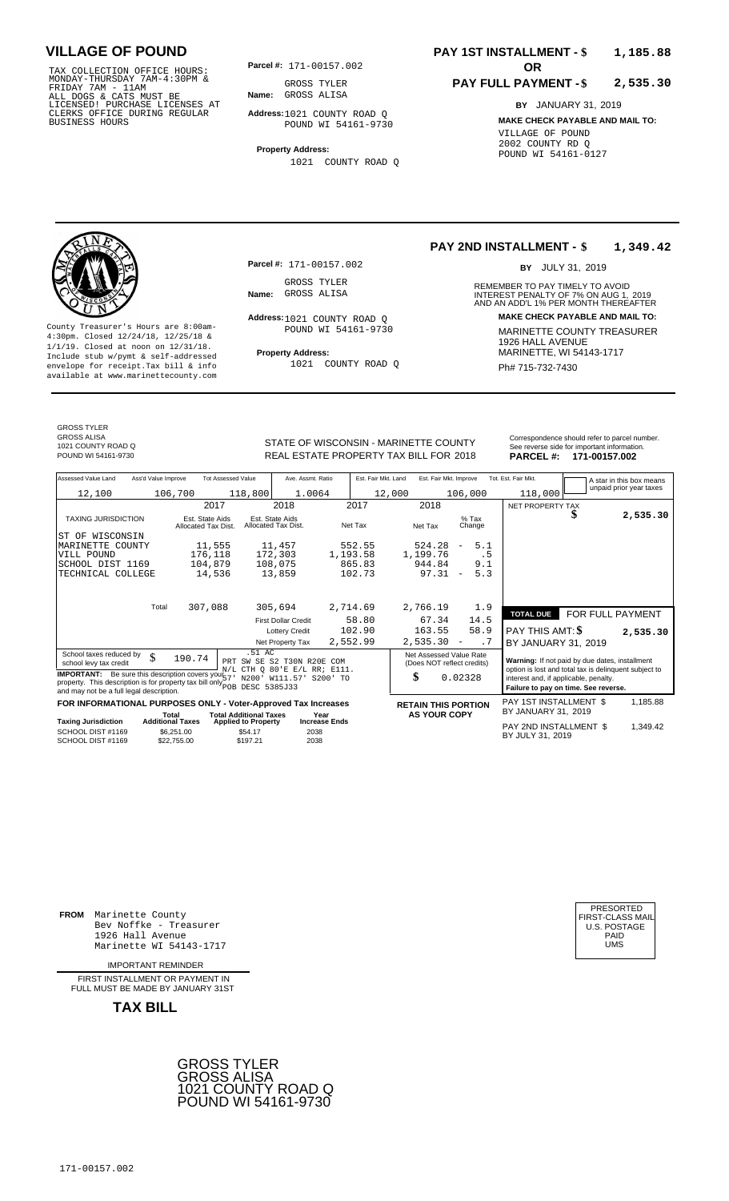TAX COLLECTION OFFICE HOURS:<br>
MONDAY-THURSDAY 7AM-4:30PM & GROSS TYLER<br>
FRIDAY 7AM - 11AM<br>
ALL DOGS & CATS MUST BE **Name:** GROSS ALISA<br>
LICENSED! PURCHASE LICENSES AT<br>
CLERKS OFFICE DURING REGULAR **Address:**1021 COUNTY RC<br>

**Parcel #:** 171-00157.002 **OR** 

**Name:** GROSS ALISA GROSS TYLER

**Parcel #:** 171-00157.002

Address: 1021 COUNTY ROAD Q POUND WI 54161-9730

1021 COUNTY ROAD Q

GROSS TYLER<br>Name: GROSS ALISA

**Address:** 1021 COUNTY ROAD Q POUND WI 54161-9730

**Property Address:**

1021 COUNTY ROAD Q

### **PAY 1ST INSTALLMENT - \$ 1,185.88**

#### **PAY FULL PAYMENT - \$ 2,535.30**

REMEMBER TO PAY TIMELY TO AVOID

BY JULY 31, 2019

**Address: MAKE CHECK PAYABLE AND MAIL TO:**

**1,349.42**

**PAY 2ND INSTALLMENT - \$**

**Name:** GROSS ALISA **CONTREST PENALTY OF 7% ON AUG 1, 2019**<br>AND AN ADD'L 1% PER MONTH THEREAFTER

**BY** JANUARY 31, 2019 **MAKE CHECK PAYABLE AND MAIL TO:** VILLAGE OF POUND 2002 COUNTY RD Q POUND WI 54161-0127



County Treasurer's Hours are 8:00am-<br>
4:30pm. Closed 12/24/18, 12/25/18 & MARINETTE COUNTY TREASURER<br>
1/1/19. Closed at noon on 12/31/18.<br>
Include stub w/pwmt & self-addressed **Property Address:** MARINETTE, WI 54143-1717 **Property Address:** MARINETTE, WI 54143-1717 Include stub w/pymt & self-addressed envelope for receipt.Tax bill & info Ph# 715-732-7430 available at www.marinettecounty.com

GROSS TYLER GROSS ALISA 1021 COUNTY ROAD Q

STATE OF WISCONSIN - MARINETTE COUNTY<br>
See reverse side for important information.<br>
REAL ESTATE PROPERTY TAX BILL FOR 2018 PARCEL #: 171-00157.002 REAL ESTATE PROPERTY TAX BILL FOR **PARCEL #:** POUND WI 54161-9730 2018 **171-00157.002**

| Assessed Value Land                                                                                                                                                                            | Ass'd Value Improve     |                                        | <b>Tot Assessed Value</b>                         | Ave. Assmt. Ratio                                      | Est. Fair Mkt. Land                                                           |                            | Est. Fair Mkt. Improve            |                   | Tot. Est. Fair Mkt.                                                                                     |                  | A star in this box means |
|------------------------------------------------------------------------------------------------------------------------------------------------------------------------------------------------|-------------------------|----------------------------------------|---------------------------------------------------|--------------------------------------------------------|-------------------------------------------------------------------------------|----------------------------|-----------------------------------|-------------------|---------------------------------------------------------------------------------------------------------|------------------|--------------------------|
| 12,100                                                                                                                                                                                         |                         | 106,700                                | 118,800                                           | 1.0064                                                 |                                                                               | 12,000                     |                                   | 106,000           | 118,000                                                                                                 |                  | unpaid prior year taxes  |
|                                                                                                                                                                                                |                         | 2017                                   |                                                   | 2018                                                   | 2017                                                                          | 2018                       |                                   |                   | NET PROPERTY TAX                                                                                        |                  |                          |
| <b>TAXING JURISDICTION</b>                                                                                                                                                                     |                         | Est. State Aids<br>Allocated Tax Dist. |                                                   | Est. State Aids<br>Allocated Tax Dist.                 | Net Tax                                                                       | Net Tax                    |                                   | $%$ Tax<br>Change |                                                                                                         |                  | 2,535.30                 |
| WISCONSIN<br>ST OF                                                                                                                                                                             |                         |                                        |                                                   |                                                        |                                                                               |                            |                                   |                   |                                                                                                         |                  |                          |
| MARINETTE COUNTY                                                                                                                                                                               |                         | 11,555                                 |                                                   | 11,457                                                 | 552.55                                                                        | 524.28                     | $\overline{\phantom{a}}$          | 5.1               |                                                                                                         |                  |                          |
| VILL POUND                                                                                                                                                                                     |                         | 176,118                                |                                                   | 172,303                                                | 1,193.58                                                                      | 1,199.76                   |                                   | . 5               |                                                                                                         |                  |                          |
| SCHOOL DIST 1169                                                                                                                                                                               |                         | 104,879                                |                                                   | 108,075                                                | 865.83                                                                        | 944.84                     |                                   | 9.1               |                                                                                                         |                  |                          |
| TECHNICAL COLLEGE                                                                                                                                                                              |                         | 14,536                                 |                                                   | 13,859                                                 | 102.73                                                                        |                            | 97.31<br>$\overline{\phantom{m}}$ | 5.3               |                                                                                                         |                  |                          |
|                                                                                                                                                                                                | Total                   |                                        |                                                   | 305,694                                                |                                                                               |                            |                                   |                   |                                                                                                         |                  |                          |
|                                                                                                                                                                                                |                         | 307,088                                |                                                   |                                                        | 2,714.69                                                                      | 2,766.19                   |                                   | 1.9               | <b>TOTAL DUE</b>                                                                                        | FOR FULL PAYMENT |                          |
|                                                                                                                                                                                                |                         |                                        |                                                   | <b>First Dollar Credit</b>                             | 58.80                                                                         | 67.34                      |                                   | 14.5              |                                                                                                         |                  |                          |
|                                                                                                                                                                                                |                         |                                        |                                                   | <b>Lottery Credit</b>                                  | 102.90                                                                        | 163.55                     |                                   | 58.9              | PAY THIS AMT: \$                                                                                        |                  | 2,535.30                 |
|                                                                                                                                                                                                |                         |                                        |                                                   | Net Property Tax                                       | 2,552.99                                                                      | 2,535.30                   | $\overline{\phantom{a}}$          | . 7               | BY JANUARY 31, 2019                                                                                     |                  |                          |
| School taxes reduced by<br>school levy tax credit                                                                                                                                              | \$                      | 190.74                                 | .51 AC                                            | PRT SW SE S2 T30N R20E<br>N/L CTH O 80'E E/L RR; E111. | COM                                                                           | Net Assessed Value Rate    | (Does NOT reflect credits)        |                   | Warning: If not paid by due dates, installment<br>option is lost and total tax is delinquent subject to |                  |                          |
| <b>IMPORTANT:</b> Be sure this description covers your $\frac{1}{5}$<br>property. This description is for property tax bill only pour DESC 5385J33<br>and may not be a full legal description. | N200' W111.57' S200' TO | \$                                     | 0.02328                                           |                                                        | interest and, if applicable, penalty.<br>Failure to pay on time. See reverse. |                            |                                   |                   |                                                                                                         |                  |                          |
| FOR INFORMATIONAL PURPOSES ONLY - Voter-Approved Tax Increases                                                                                                                                 |                         |                                        |                                                   |                                                        |                                                                               | <b>RETAIN THIS PORTION</b> |                                   |                   | PAY 1ST INSTALLMENT \$                                                                                  |                  | 1,185.88                 |
|                                                                                                                                                                                                | Total                   |                                        | <b>Total Additional Taxes</b>                     | Year                                                   |                                                                               |                            | <b>AS YOUR COPY</b>               |                   | BY JANUARY 31, 2019                                                                                     |                  |                          |
| <b>Taxing Jurisdiction</b><br>SCHOOL DIST #1169<br>SCHOOL DIST #1169                                                                                                                           | <b>Additional Taxes</b> | \$6,251.00<br>\$22.755.00              | <b>Applied to Property</b><br>\$54.17<br>\$197.21 | <b>Increase Ends</b><br>2038<br>2038                   |                                                                               |                            |                                   |                   | PAY 2ND INSTALLMENT \$<br>BY JULY 31, 2019                                                              |                  | 1,349.42                 |

**FROM** Marinette County Bev Noffke - Treasurer  $1926$  Hall Avenue Marinette WI 54143-1717

IMPORTANT REMINDER

FIRST INSTALLMENT OR PAYMENT IN FULL MUST BE MADE BY JANUARY 31ST



| FIRST-CLASS MAIL<br>U.S. POSTAGE<br>PAID<br>UMS |
|-------------------------------------------------|
|-------------------------------------------------|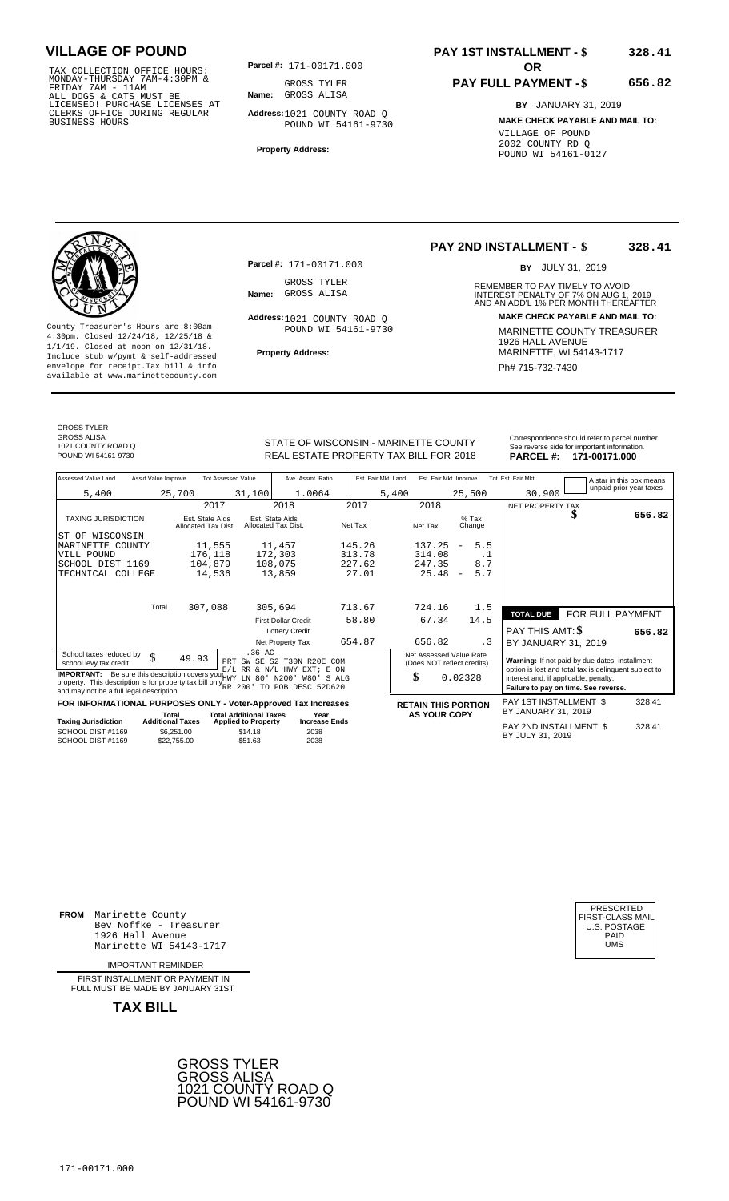TAX COLLECTION OFFICE HOURS:<br>
MONDAY-THURSDAY 7AM-4:30PM &<br>
FRIDAY 7AM - 11AM<br>
ALL DOGS & CATS MUST BE<br>
LICENSED I PURCHASE LICENSES AT<br>
CLERKS OFFICE DURING REGULAR<br>
CLERKS OFFICE DURING REGULAR<br>
BUSINESS HOURS<br>
BUSINESS

**Parcel #:** 171-00171.000 **OR** 

**Name:** GROSS ALISA GROSS TYLER

**Address:** 1021 COUNTY ROAD Q POUND WI 54161-9730

**Property Address:**

**Parcel #:** 171-00171.000

Address: 1021 COUNTY ROAD Q POUND WI 54161-9730

GROSS TYLER<br>Name: GROSS ALISA

### **PAY 1ST INSTALLMENT - \$ 328.41**

### **PAY FULL PAYMENT - \$**

**PAY 2ND INSTALLMENT - \$**

**656.82**

**328.41**

**BY** JANUARY 31, 2019 **MAKE CHECK PAYABLE AND MAIL TO:** VILLAGE OF POUND 2002 COUNTY RD Q POUND WI 54161-0127



County Treasurer's Hours are 8:00am-<br>
4:30pm. Closed 12/24/18, 12/25/18 & MARINETTE COUNTY TREASURER<br>
1/1/19. Closed at noon on 12/31/18.<br>
Include stub w/pwmt. & self-addressed<br> **Property Address:** MARINETTE, WI 54143-1717 **Property Address:** MARINETTE, WI 54143-1717 Include stub w/pymt & self-addressed envelope for receipt.Tax bill & info Phat is a set of the phat of the Phat 715-732-7430 envelope for receipt.Tax bill & info Phat 715-732-7430 envelope for the phat 715-732-7430 envelope for the phat 715-732-7430 envelope

GROSS TYLER GROSS ALISA

STATE OF WISCONSIN - MARINETTE COUNTY<br>
See reverse side for important information.<br>
REAL ESTATE PROPERTY TAX BILL FOR 2018 PARCEL #: 171-00171.000

REAL ESTATE PROPERTY TAX BILL FOR **PARCEL #:** POUND WI 54161-9730 2018 **171-00171.000**

GROSS ITLER<br>INTEREST PAY TIMELY TO AVOID<br>AND AN ADD'L 1% PER MONTH THEREAFTER<br>AND AN ADD'L 1% PER MONTH THEREAFTER

**Address: MAKE CHECK PAYABLE AND MAIL TO:**

BY JULY 31, 2019

| Assessed Value Land<br>Ass'd Value Improve                                                                                                                                               | <b>Tot Assessed Value</b>                            | Ave. Assmt. Ratio                                                                        | Est. Fair Mkt. Land | Est. Fair Mkt. Improve                                |                                 | Tot. Est. Fair Mkt.<br>A star in this box means                                                         |  |  |  |
|------------------------------------------------------------------------------------------------------------------------------------------------------------------------------------------|------------------------------------------------------|------------------------------------------------------------------------------------------|---------------------|-------------------------------------------------------|---------------------------------|---------------------------------------------------------------------------------------------------------|--|--|--|
| 5,400                                                                                                                                                                                    | 25,700                                               | 1.0064<br>31,100                                                                         |                     | 5,400                                                 | 25,500                          | unpaid prior year taxes<br>30,900                                                                       |  |  |  |
|                                                                                                                                                                                          | 2017                                                 | 2018                                                                                     | 2017                | 2018                                                  |                                 | NET PROPERTY TAX                                                                                        |  |  |  |
| <b>TAXING JURISDICTION</b>                                                                                                                                                               | Est. State Aids<br>Allocated Tax Dist.               | Est. State Aids<br>Allocated Tax Dist.                                                   | Net Tax             | Net Tax                                               | $%$ Tax<br>Change               | 656.82                                                                                                  |  |  |  |
| WISCONSIN<br>ST OF                                                                                                                                                                       |                                                      |                                                                                          |                     |                                                       |                                 |                                                                                                         |  |  |  |
| MARINETTE COUNTY                                                                                                                                                                         | 11,555                                               | 11,457                                                                                   | 145.26              | 137.25                                                | 5.5<br>$\overline{\phantom{m}}$ |                                                                                                         |  |  |  |
| VILL POUND                                                                                                                                                                               | 176,118                                              | 172,303                                                                                  | 313.78              | 314.08                                                | . 1                             |                                                                                                         |  |  |  |
| SCHOOL DIST 1169                                                                                                                                                                         | 104,879                                              | 108,075                                                                                  | 227.62              | 247.35                                                | 8.7                             |                                                                                                         |  |  |  |
| TECHNICAL COLLEGE                                                                                                                                                                        | 14,536                                               | 13,859                                                                                   | 27.01               | 25.48                                                 | 5.7<br>$\overline{\phantom{m}}$ |                                                                                                         |  |  |  |
|                                                                                                                                                                                          |                                                      |                                                                                          |                     |                                                       |                                 |                                                                                                         |  |  |  |
| Total                                                                                                                                                                                    | 307,088                                              | 305,694                                                                                  | 713.67              | 724.16                                                | 1.5                             | FOR FULL PAYMENT<br><b>TOTAL DUE</b>                                                                    |  |  |  |
|                                                                                                                                                                                          |                                                      | <b>First Dollar Credit</b>                                                               | 58.80               | 67.34                                                 | 14.5                            |                                                                                                         |  |  |  |
|                                                                                                                                                                                          |                                                      | <b>Lottery Credit</b>                                                                    |                     |                                                       |                                 | PAY THIS AMT: \$<br>656.82                                                                              |  |  |  |
|                                                                                                                                                                                          |                                                      | Net Property Tax                                                                         | 654.87              | 656.82                                                | . 3                             | BY JANUARY 31, 2019                                                                                     |  |  |  |
| School taxes reduced by<br>\$<br>school levy tax credit                                                                                                                                  | 49.93                                                | .36AC<br>PRT SW SE S2 T30N R20E COM<br>E/L RR & N/L HWY EXT; E ON                        |                     | Net Assessed Value Rate<br>(Does NOT reflect credits) |                                 | Warning: If not paid by due dates, installment<br>option is lost and total tax is delinquent subject to |  |  |  |
| <b>IMPORTANT:</b> Be sure this description covers your HWY LN<br>property. This description is for property tax bill only $\frac{1}{RR}$ 200<br>and may not be a full legal description. |                                                      | 80' N200'<br>W80'<br>S ALG<br>TO POB DESC 52D620                                         |                     | \$                                                    | 0.02328                         | interest and, if applicable, penalty.<br>Failure to pay on time. See reverse.                           |  |  |  |
| FOR INFORMATIONAL PURPOSES ONLY - Voter-Approved Tax Increases                                                                                                                           |                                                      |                                                                                          |                     | <b>RETAIN THIS PORTION</b>                            |                                 | PAY 1ST INSTALLMENT \$<br>328.41                                                                        |  |  |  |
|                                                                                                                                                                                          | Total                                                | <b>Total Additional Taxes</b><br>Year                                                    |                     | <b>AS YOUR COPY</b>                                   |                                 | BY JANUARY 31, 2019                                                                                     |  |  |  |
| <b>Taxing Jurisdiction</b><br>SCHOOL DIST #1169<br>SCHOOL DIST #1169                                                                                                                     | <b>Additional Taxes</b><br>\$6,251.00<br>\$22,755,00 | <b>Increase Ends</b><br><b>Applied to Property</b><br>\$14.18<br>2038<br>\$51.63<br>2038 |                     |                                                       |                                 | 328.41<br>PAY 2ND INSTALLMENT \$<br>BY JULY 31, 2019                                                    |  |  |  |

**FROM** Marinette County Bev Noffke - Treasurer 1926 Hall Avenue PAID Marinette WI 54143-1717 UMS

IMPORTANT REMINDER

FIRST INSTALLMENT OR PAYMENT IN FULL MUST BE MADE BY JANUARY 31ST

**TAX BILL**



| PRESORTED<br>FIRST-CLASS MAIL<br>U.S. POSTAGE<br>PAID |  |
|-------------------------------------------------------|--|
| UMS                                                   |  |

1021 COUNTY ROAD Q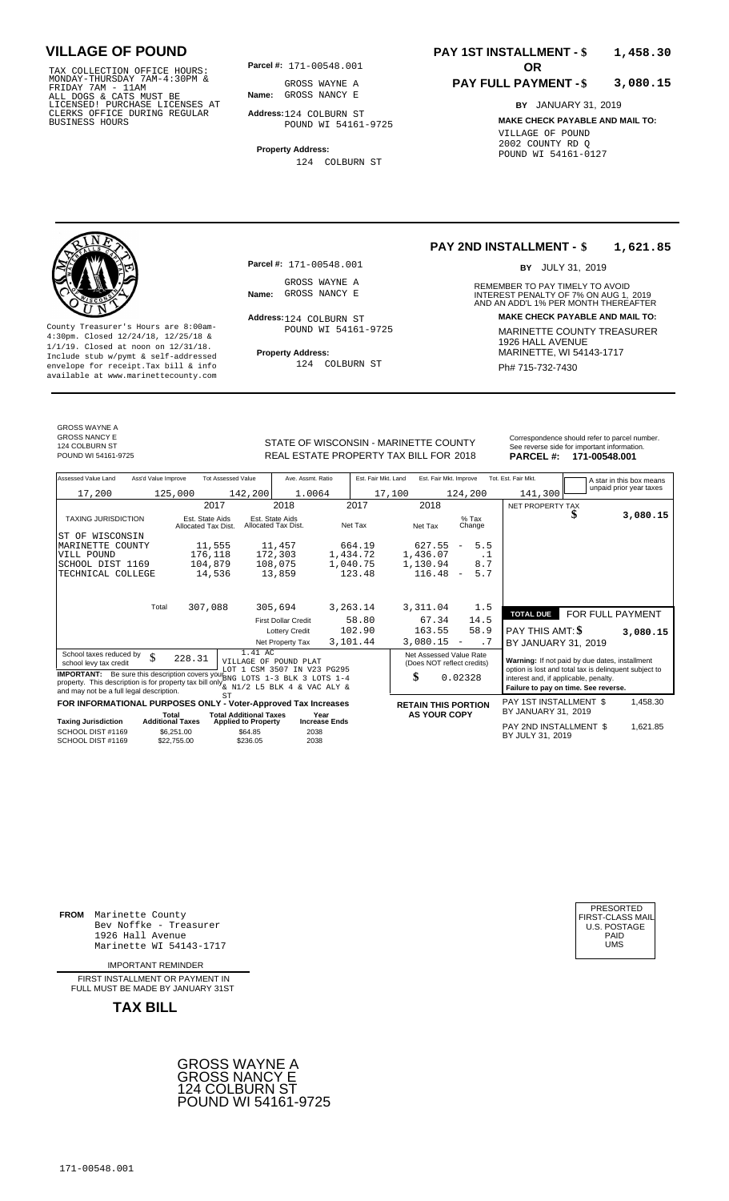TAX COLLECTION OFFICE HOURS:<br>
MONDAY-THURSDAY 7AM-4:30PM & GROSS WAYNE A<br>
FRIDAY 7AM - 11AM<br>
ALL DOGS & CATS MUST BE **Name:** GROSS NANCY E<br>
LICENSED ! PURCHASE LICENSES AT<br>
CLERKS OFFICE DURING REGULAR **Address**:124 COLBUR

**Parcel #: OR**

**Name:** GROSS NANCY E GROSS WAYNE A

**Address:** 124 COLBURN ST POUND WI 54161-9725

**Property Address:** 124 COLBURN ST

### **PAY 1ST INSTALLMENT - \$ 1,458.30**

#### **PAY FULL PAYMENT - \$ 3,080.15**

**BY** JANUARY 31, 2019 **MAKE CHECK PAYABLE AND MAIL TO:** VILLAGE OF POUND 2002 COUNTY RD Q POUND WI 54161-0127

**Property Address:** MARINETTE, WI 54143-1717 Include stub w/pymt & self-addressed envelope for receipt.Tax bill & info Ph# 715-732-7430 available at www.marinettecounty.com

**Parcel #:** 171-00548.001

GROSS WAYNE A<br>Name: GROSS NANCY E

Address: 124 COLBURN ST POUND WI 54161-9725

124 COLBURN ST

**PAY 2ND INSTALLMENT - \$ 1,621.85**

BY JULY 31, 2019

REMEMBER TO PAY TIMELY TO AVOID **Name:** INTEREST PENALTY OF 7% ON AUG 1, AND AN ADD'L 1% PER MONTH THEREAFTER GROSS NANCY E 2019 **Address: MAKE CHECK PAYABLE AND MAIL TO:** County Treasurer's Hours are 8:00am-<br>
4:30pm. Closed 12/24/18, 12/25/18 & MARINETTE COUNTY TREASURER<br>
1/1/19. Closed at noon on 12/31/18.<br>
Include stub w/pwmt & self-addressed<br>
Property Address: MARINETTE, WI 54143-1717

GROSS WAYNE A

GROSS NANCY E 124 COLBURN ST<br>POUND WI 54161-9725

STATE OF WISCONSIN - MARINETTE COUNTY REAL ESTATE PROPERTY TAX BILL FOR **PARCEL #:** POUND WI 54161-9725 2018 **171-00548.001**

| Correspondence should refer to parcel number. |
|-----------------------------------------------|
| See reverse side for important information.   |
| <b>BABOEL # 474 00540 004</b>                 |

| Assessed Value Land                                                                                                                                                                                                                                                  | Ass'd Value Improve |                                        | <b>Tot Assessed Value</b>     |                                        | Ave. Assmt. Ratio    | Est. Fair Mkt. Land |        | Est. Fair Mkt. Improve                                |                          |           | Tot. Est. Fair Mkt.                                                                                     |                  | A star in this box means |
|----------------------------------------------------------------------------------------------------------------------------------------------------------------------------------------------------------------------------------------------------------------------|---------------------|----------------------------------------|-------------------------------|----------------------------------------|----------------------|---------------------|--------|-------------------------------------------------------|--------------------------|-----------|---------------------------------------------------------------------------------------------------------|------------------|--------------------------|
| 17,200                                                                                                                                                                                                                                                               |                     | 125,000                                | 142,200                       |                                        | 1.0064               |                     | 17,100 |                                                       | 124,200                  |           | 141,300                                                                                                 |                  | unpaid prior year taxes  |
|                                                                                                                                                                                                                                                                      |                     |                                        | 2017                          | 2018                                   |                      | 2017                |        | 2018                                                  |                          |           | NET PROPERTY TAX                                                                                        |                  |                          |
| <b>TAXING JURISDICTION</b>                                                                                                                                                                                                                                           |                     | Est. State Aids<br>Allocated Tax Dist. |                               | Est. State Aids<br>Allocated Tax Dist. |                      | Net Tax             |        | Net Tax                                               | $%$ Tax<br>Change        |           |                                                                                                         | S                | 3,080.15                 |
| ST OF WISCONSIN                                                                                                                                                                                                                                                      |                     |                                        |                               |                                        |                      |                     |        |                                                       |                          |           |                                                                                                         |                  |                          |
| <b>MARINETTE</b><br>COUNTY                                                                                                                                                                                                                                           |                     | 11,555                                 |                               | 11,457                                 |                      | 664.19              |        | 627.55                                                | $\overline{\phantom{a}}$ | 5.5       |                                                                                                         |                  |                          |
| VILL POUND                                                                                                                                                                                                                                                           |                     | 176,118                                |                               | 172,303                                |                      | 1,434.72            |        | 1,436.07                                              |                          | . 1       |                                                                                                         |                  |                          |
| SCHOOL DIST 1169                                                                                                                                                                                                                                                     |                     | 104,879                                |                               | 108,075                                |                      | 1,040.75            |        | 1,130.94                                              |                          | 8.7       |                                                                                                         |                  |                          |
| TECHNICAL COLLEGE                                                                                                                                                                                                                                                    |                     |                                        | 14,536                        | 13,859                                 |                      | 123.48              |        | 116.48                                                | $\overline{\phantom{a}}$ | 5.7       |                                                                                                         |                  |                          |
|                                                                                                                                                                                                                                                                      |                     |                                        |                               |                                        |                      |                     |        |                                                       |                          |           |                                                                                                         |                  |                          |
|                                                                                                                                                                                                                                                                      | Total               | 307,088                                |                               | 305,694                                |                      | 3,263.14            |        | 3,311.04                                              |                          | 1.5       | <b>TOTAL DUE</b>                                                                                        | FOR FULL PAYMENT |                          |
|                                                                                                                                                                                                                                                                      |                     |                                        |                               | <b>First Dollar Credit</b>             |                      | 58.80               |        | 67.34                                                 |                          | 14.5      |                                                                                                         |                  |                          |
|                                                                                                                                                                                                                                                                      |                     |                                        |                               | <b>Lottery Credit</b>                  |                      | 102.90              |        | 163.55                                                |                          | 58.9      | PAY THIS AMT: \$                                                                                        |                  | 3,080.15                 |
|                                                                                                                                                                                                                                                                      |                     |                                        |                               | Net Property Tax                       |                      | 3,101.44            |        | 3,080.15                                              | $\overline{\phantom{a}}$ | $\cdot$ 7 | BY JANUARY 31, 2019                                                                                     |                  |                          |
| School taxes reduced by<br>school levy tax credit                                                                                                                                                                                                                    | \$                  | 228.31                                 |                               | 1.41 AC<br>VILLAGE OF POUND PLAT       |                      |                     |        | Net Assessed Value Rate<br>(Does NOT reflect credits) |                          |           | Warning: If not paid by due dates, installment<br>option is lost and total tax is delinquent subject to |                  |                          |
| LOT 1 CSM 3507 IN V23 PG295<br><b>IMPORTANT:</b> Be sure this description covers you barged to TS 1-3 BLK 3 LOTS 1-4<br>property. This description is for property tax bill only $\frac{1}{6}$ N1/2 L5 BLK 4 & VAC ALY &<br>and may not be a full legal description. |                     |                                        |                               |                                        |                      |                     | \$     |                                                       | 0.02328                  |           | interest and, if applicable, penalty.<br>Failure to pay on time. See reverse.                           |                  |                          |
| FOR INFORMATIONAL PURPOSES ONLY - Voter-Approved Tax Increases                                                                                                                                                                                                       |                     |                                        | <b>ST</b>                     |                                        |                      |                     |        | <b>RETAIN THIS PORTION</b>                            |                          |           | PAY 1ST INSTALLMENT \$                                                                                  |                  | 1,458.30                 |
|                                                                                                                                                                                                                                                                      |                     | Total                                  | <b>Total Additional Taxes</b> |                                        | Year                 |                     |        | <b>AS YOUR COPY</b>                                   |                          |           | BY JANUARY 31, 2019                                                                                     |                  |                          |
| <b>Taxing Jurisdiction</b>                                                                                                                                                                                                                                           |                     | <b>Additional Taxes</b>                | <b>Applied to Property</b>    |                                        | <b>Increase Ends</b> |                     |        |                                                       |                          |           | PAY 2ND INSTALLMENT \$                                                                                  |                  | 1,621.85                 |
| SCHOOL DIST #1169<br>SCHOOL DIST #1169                                                                                                                                                                                                                               |                     | \$6,251.00<br>\$22,755,00              | \$64.85<br>\$236.05           |                                        | 2038<br>2038         |                     |        |                                                       |                          |           | BY JULY 31, 2019                                                                                        |                  |                          |

**FROM** Marinette County Bev Noffke - Treasurer (U.S. POSTAGE)<br>1926 Hall Avenue (U.S. POSTAGE)<br>Marinette WI 54143-1717 (U.S. POSTAGE) 1926 Hall Avenue PAID Marinette WI 54143-1717 UMS

IMPORTANT REMINDER

FIRST INSTALLMENT OR PAYMENT IN FULL MUST BE MADE BY JANUARY 31ST



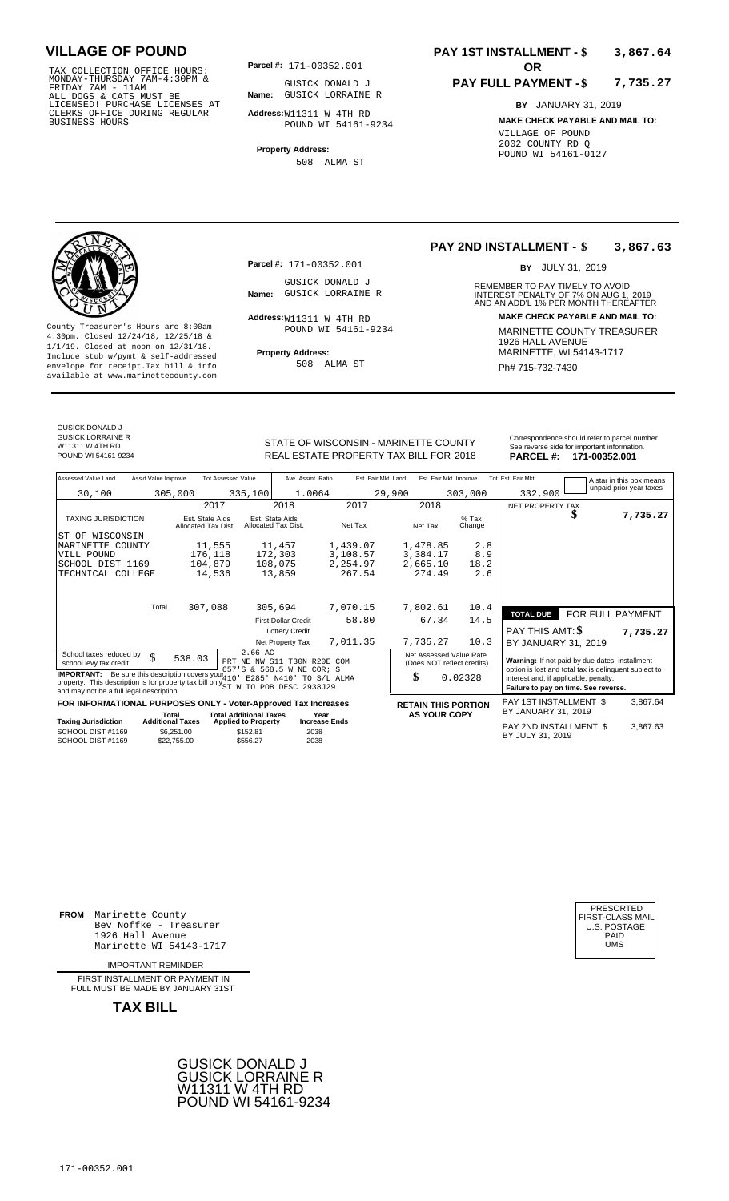TAX COLLECTION OFFICE HOURS:<br>
MONDAY-THURSDAY 7AM-4:30PM & GUSICK DONALD<br>
FRIDAY 7AM - 11AM<br>
ALL DOGS & CATS MUST BE **Name**: GUSICK LORRAIN<br>
LICENSED ! PURCHASE LICENSES AT<br>
CLERKS OFFICE DURING REGULAR **Address:**W11311 W

**Parcel #: OR**

**Name:** GUSICK LORRAINE R GUSICK DONALD J

**Address:** W11311 W 4TH RD POUND WI 54161-9234

**Property Address:** 508 ALMA ST

### **PAY 1ST INSTALLMENT - \$ 3,867.64**

#### **PAY FULL PAYMENT - \$ 7,735.27**

**BY** JANUARY 31, 2019 **MAKE CHECK PAYABLE AND MAIL TO:** VILLAGE OF POUND 2002 COUNTY RD Q POUND WI 54161-0127

**Property Address:** MARINETTE, WI 54143-1717 Include stub w/pymt & self-addressed envelope for receipt.Tax bill & info Ph# 715-732-7430 available at www.marinettecounty.com

**Parcel #:** 171-00352.001

GUSICK DONALD J<br>Name: GUSICK LORRAINE R

Address: W11311 W 4TH RD POUND WI 54161-9234

508 ALMA ST

#### **PAY 2ND INSTALLMENT - \$ 3,867.63**

BY JULY 31, 2019

REMEMBER TO PAY TIMELY TO AVOID **Name:** GUSICK LORRAINE R<br>
AND AN ADD'L 1% PER MONTH THEREAFTER **Address: MAKE CHECK PAYABLE AND MAIL TO:** County Treasurer's Hours are 8:00am-<br>
4:30pm. Closed 12/24/18, 12/25/18 & MARINETTE COUNTY TREASURER<br>
1/1/19. Closed at noon on 12/31/18.<br>
Include stub w/pwmt. & self-addressed<br>
Property Address:<br>
MARINETTE, WI 54143-1717

| <b>GUSICK DONALD J</b>   |
|--------------------------|
| <b>GUSICK LORRAINE R</b> |
| W11311 W 4TH RD          |
| POUND WI 54161-9234      |

STATE OF WISCONSIN - MARINETTE COUNTY Correspondence should refer to parcel number REAL ESTATE PROPERTY TAX BILL FOR **PARCEL #:** POUND WI 54161-9234 2018 **171-00352.001**

| <b>DUNTY</b><br>R 2018 |                     | Correspondence should refer to parcel number.<br>See reverse side for important information.<br>PARCEL #: 171-00352.001 |
|------------------------|---------------------|-------------------------------------------------------------------------------------------------------------------------|
| Akt. Improve           | Tot. Est. Fair Mkt. | A star in this box mean                                                                                                 |

| Assessed Value Land                                                                                                                                                                                                                                                                                                                | Ass'd Value Improve                                                                                        |                           | <b>Tot Assessed Value</b>                          | Ave. Assmt. Ratio                      |                      | Est. Fair Mkt. Improve<br>Est. Fair Mkt. Land |        |          | Tot. Est. Fair Mkt.<br>A star in this box means                  |                                                                                                                                                                                          |  |                         |
|------------------------------------------------------------------------------------------------------------------------------------------------------------------------------------------------------------------------------------------------------------------------------------------------------------------------------------|------------------------------------------------------------------------------------------------------------|---------------------------|----------------------------------------------------|----------------------------------------|----------------------|-----------------------------------------------|--------|----------|------------------------------------------------------------------|------------------------------------------------------------------------------------------------------------------------------------------------------------------------------------------|--|-------------------------|
| 30,100                                                                                                                                                                                                                                                                                                                             |                                                                                                            | 305,000                   | 335,100                                            | 1.0064                                 |                      |                                               | 29,900 |          | 303,000                                                          | 332,900                                                                                                                                                                                  |  | unpaid prior year taxes |
|                                                                                                                                                                                                                                                                                                                                    |                                                                                                            | 2017                      |                                                    | 2018                                   |                      | 2017                                          |        | 2018     |                                                                  | NET PROPERTY TAX                                                                                                                                                                         |  |                         |
|                                                                                                                                                                                                                                                                                                                                    | <b>TAXING JURISDICTION</b>                                                                                 |                           | Est. State Aids<br>Allocated Tax Dist.             | Est. State Aids<br>Allocated Tax Dist. |                      | Net Tax                                       |        | Net Tax  | $%$ Tax<br>Change                                                |                                                                                                                                                                                          |  | 7,735.27                |
| WISCONSIN<br>ST OF                                                                                                                                                                                                                                                                                                                 |                                                                                                            |                           |                                                    |                                        |                      |                                               |        |          |                                                                  |                                                                                                                                                                                          |  |                         |
| MARINETTE COUNTY                                                                                                                                                                                                                                                                                                                   |                                                                                                            | 11,555                    |                                                    | 11,457                                 |                      | 1,439.07                                      |        | 1,478.85 | 2.8                                                              |                                                                                                                                                                                          |  |                         |
| VILL POUND                                                                                                                                                                                                                                                                                                                         |                                                                                                            | 176,118                   |                                                    | 172,303                                |                      | 3,108.57                                      |        | 3,384.17 | 8.9                                                              |                                                                                                                                                                                          |  |                         |
| SCHOOL DIST 1169                                                                                                                                                                                                                                                                                                                   |                                                                                                            | 104,879                   |                                                    | 108,075                                |                      | 2,254.97                                      |        | 2,665.10 | 18.2                                                             |                                                                                                                                                                                          |  |                         |
| TECHNICAL COLLEGE                                                                                                                                                                                                                                                                                                                  |                                                                                                            | 14,536                    |                                                    | 13,859                                 |                      | 267.54                                        |        | 274.49   | 2.6                                                              |                                                                                                                                                                                          |  |                         |
|                                                                                                                                                                                                                                                                                                                                    | Total                                                                                                      |                           |                                                    |                                        |                      |                                               |        |          |                                                                  |                                                                                                                                                                                          |  |                         |
|                                                                                                                                                                                                                                                                                                                                    |                                                                                                            | 307,088                   |                                                    | 305,694                                |                      | 7,070.15                                      |        | 7,802.61 | 10.4                                                             | <b>TOTAL DUE</b>                                                                                                                                                                         |  | FOR FULL PAYMENT        |
|                                                                                                                                                                                                                                                                                                                                    |                                                                                                            |                           |                                                    | <b>First Dollar Credit</b>             |                      | 58.80                                         |        | 67.34    | 14.5                                                             |                                                                                                                                                                                          |  |                         |
|                                                                                                                                                                                                                                                                                                                                    |                                                                                                            |                           |                                                    | <b>Lottery Credit</b>                  |                      |                                               |        |          |                                                                  | PAY THIS AMT: \$                                                                                                                                                                         |  | 7,735.27                |
|                                                                                                                                                                                                                                                                                                                                    |                                                                                                            |                           |                                                    | Net Property Tax                       |                      | 7,011.35                                      |        | 7,735.27 | 10.3                                                             | BY JANUARY 31, 2019                                                                                                                                                                      |  |                         |
| 2.66 AC<br>School taxes reduced by<br>\$<br>538.03<br>PRT NE NW S11 T30N R20E COM<br>school levy tax credit<br>657'S & 568.5'W NE COR; S<br><b>IMPORTANT:</b> Be sure this description covers your 410<br>E285' N410' TO S/L ALMA<br>property. This description is for property tax bill only $_{ST}^{***}$<br>TO POB DESC 2938J29 |                                                                                                            |                           |                                                    |                                        |                      |                                               |        | \$       | Net Assessed Value Rate<br>(Does NOT reflect credits)<br>0.02328 | Warning: If not paid by due dates, installment<br>option is lost and total tax is delinquent subject to<br>interest and, if applicable, penalty.<br>Failure to pay on time. See reverse. |  |                         |
|                                                                                                                                                                                                                                                                                                                                    | and may not be a full legal description.<br>FOR INFORMATIONAL PURPOSES ONLY - Voter-Approved Tax Increases |                           |                                                    |                                        |                      |                                               |        |          |                                                                  | PAY 1ST INSTALLMENT \$                                                                                                                                                                   |  |                         |
|                                                                                                                                                                                                                                                                                                                                    | Total                                                                                                      |                           | <b>Total Additional Taxes</b>                      |                                        | Year                 |                                               |        |          | <b>RETAIN THIS PORTION</b><br><b>AS YOUR COPY</b>                | BY JANUARY 31, 2019                                                                                                                                                                      |  | 3,867.64                |
| <b>Taxing Jurisdiction</b><br>SCHOOL DIST #1169<br>SCHOOL DIST #1169                                                                                                                                                                                                                                                               | <b>Additional Taxes</b>                                                                                    | \$6.251.00<br>\$22,755.00 | <b>Applied to Property</b><br>\$152.81<br>\$556.27 | 2038<br>2038                           | <b>Increase Ends</b> |                                               |        |          |                                                                  | PAY 2ND INSTALLMENT \$<br>BY JULY 31, 2019                                                                                                                                               |  | 3,867.63                |

**FROM** Marinette County Bev Noffke - Treasurer 1926 Hall Avenue PAID Marinette WI 54143-1717 UMS

IMPORTANT REMINDER

FIRST INSTALLMENT OR PAYMENT IN FULL MUST BE MADE BY JANUARY 31ST



| PRESORTED<br>FIRST-CLASS MAIL<br>U.S. POSTAGE<br>PAID |  |
|-------------------------------------------------------|--|
| UMS                                                   |  |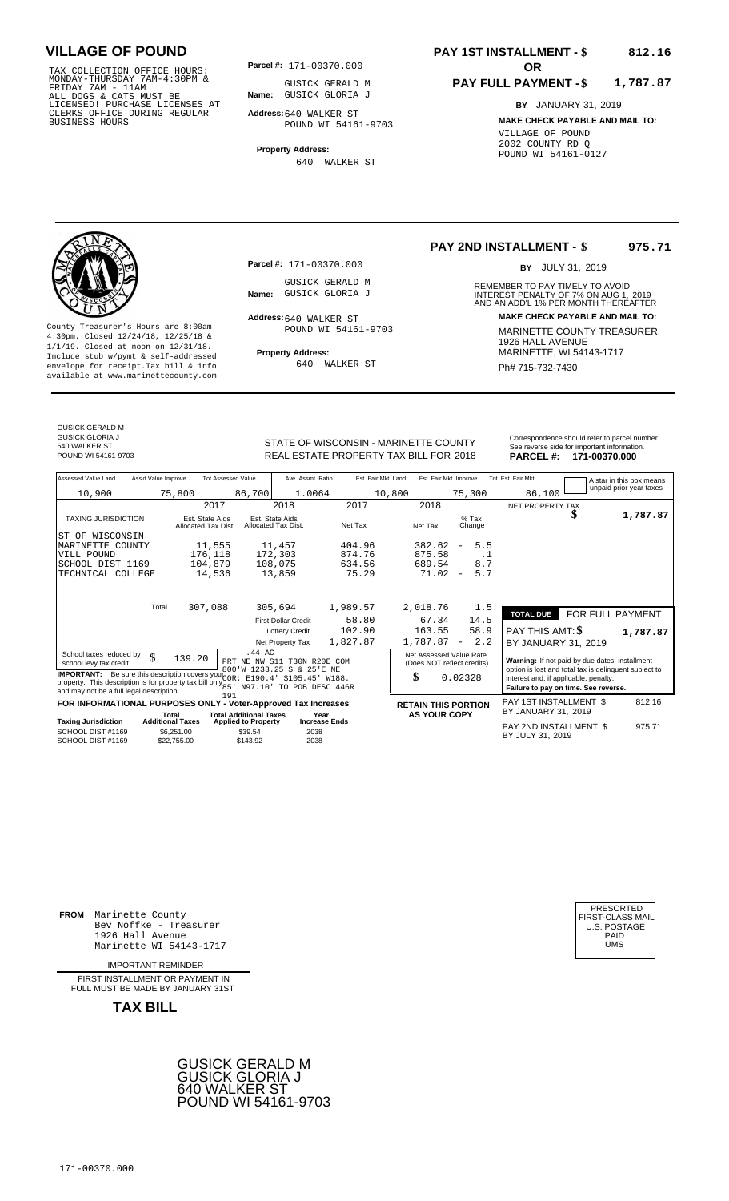TAX COLLECTION OFFICE HOURS:<br>
MONDAY-THURSDAY 7AM-4:30PM & GUSICK GERALD<br>
FRIDAY 7AM - 11AM<br>
ALL DOGS & CATS MUST BE **Name**: GUSICK GLORIA<br>
LICENSED ! PURCHASE LICENSES AT<br>
CLERKS OFFICE DURING REGULAR **Address:**640 WALKER

**Parcel #: OR**

**Name:** GUSICK GLORIA J GUSICK GERALD M

**Address:** 640 WALKER ST POUND WI 54161-9703

**Property Address:** 640 WALKER ST

### **PAY 1ST INSTALLMENT - \$ 812.16**

#### **PAY FULL PAYMENT - \$ 1,787.87**

**BY** JANUARY 31, 2019 **MAKE CHECK PAYABLE AND MAIL TO:** VILLAGE OF POUND 2002 COUNTY RD Q POUND WI 54161-0127

**Property Address:** MARINETTE, WI 54143-1717 Include stub w/pymt & self-addressed envelope for receipt.Tax bill & info Ph# 715-732-7430 available at www.marinettecounty.com

**Parcel #:** 171-00370.000

GUSICK GERALD M<br>Name: GUSICK GLORIA J

Address: 640 WALKER ST POUND WI 54161-9703

640 WALKER ST

**PAY 2ND INSTALLMENT - \$ 975.71**

BY JULY 31, 2019

REMEMBER TO PAY TIMELY TO AVOID **Name:** GUSICK GLORIA J<br> **INTEREST PENALTY OF 7% ON AUG 1, 2019**<br>
AND AN ADD'L 1% PER MONTH THEREAFTER **Address: MAKE CHECK PAYABLE AND MAIL TO:** County Treasurer's Hours are 8:00am-<br>
4:30pm. Closed 12/24/18, 12/25/18 & 1/1/19. Closed at noon on 12/31/18.<br>
Include stub w/pwmt. & self-addressed<br>
Froperty Address: MARINETTE, WI 54143-1717

GUSICK GERALD M

GUSICK GLORIA J 640 WALKER ST

REAL ESTATE PROPERTY TAX BILL FOR **PARCEL #:** POUND WI 54161-9703 2018 **171-00370.000**

| STATE OF WISCONSIN - MARINETTE COUNTY  | Correspondence should refer to parcel number.<br>See reverse side for important information. |
|----------------------------------------|----------------------------------------------------------------------------------------------|
| REAL ESTATE PROPERTY TAX BILL FOR 2018 | PARCEL #: 171-00370.000                                                                      |

| Assessed Value Land                                                                                                                                                                                                                                   | Ass'd Value Improve     |                                        | <b>Tot Assessed Value</b>                       | Ave. Assmt. Ratio                      |                      | Est. Fair Mkt. Land |        | Est. Fair Mkt. Improve                                |                          |                   | Tot. Est. Fair Mkt.                                                                                     |  | A star in this box means |  |
|-------------------------------------------------------------------------------------------------------------------------------------------------------------------------------------------------------------------------------------------------------|-------------------------|----------------------------------------|-------------------------------------------------|----------------------------------------|----------------------|---------------------|--------|-------------------------------------------------------|--------------------------|-------------------|---------------------------------------------------------------------------------------------------------|--|--------------------------|--|
| 10,900                                                                                                                                                                                                                                                |                         | 75,800                                 | 86,700                                          | 1.0064                                 |                      |                     | 10,800 |                                                       |                          | 75,300            | 86,100                                                                                                  |  | unpaid prior year taxes  |  |
|                                                                                                                                                                                                                                                       |                         | 2017                                   |                                                 | 2018                                   |                      | 2017                |        | 2018                                                  |                          |                   | NET PROPERTY TAX                                                                                        |  |                          |  |
| <b>TAXING JURISDICTION</b>                                                                                                                                                                                                                            |                         | Est. State Aids<br>Allocated Tax Dist. |                                                 | Est. State Aids<br>Allocated Tax Dist. |                      | Net Tax             |        | Net Tax                                               |                          | $%$ Tax<br>Change |                                                                                                         |  | 1,787.87                 |  |
| ST OF WISCONSIN                                                                                                                                                                                                                                       |                         |                                        |                                                 |                                        |                      |                     |        |                                                       |                          |                   |                                                                                                         |  |                          |  |
| MARINETTE COUNTY                                                                                                                                                                                                                                      |                         | 11,555                                 |                                                 | 11,457                                 |                      | 404.96              |        | 382.62                                                | $\overline{\phantom{a}}$ | 5.5               |                                                                                                         |  |                          |  |
| VILL POUND                                                                                                                                                                                                                                            |                         | 176,118                                |                                                 | 172,303                                |                      | 874.76              |        | 875.58                                                |                          | . 1               |                                                                                                         |  |                          |  |
| SCHOOL DIST 1169                                                                                                                                                                                                                                      |                         | 104,879                                |                                                 | 108,075                                |                      | 634.56              |        | 689.54                                                |                          | 8.7               |                                                                                                         |  |                          |  |
| TECHNICAL COLLEGE                                                                                                                                                                                                                                     |                         | 14,536                                 |                                                 | 13,859                                 |                      | 75.29               |        | 71.02                                                 | $\overline{\phantom{m}}$ | 5.7               |                                                                                                         |  |                          |  |
|                                                                                                                                                                                                                                                       |                         |                                        |                                                 |                                        |                      |                     |        |                                                       |                          |                   |                                                                                                         |  |                          |  |
|                                                                                                                                                                                                                                                       | Total                   | 307,088                                |                                                 | 305,694                                | 1,989.57             |                     |        | 2,018.76                                              |                          | 1.5               |                                                                                                         |  |                          |  |
|                                                                                                                                                                                                                                                       |                         |                                        |                                                 | <b>First Dollar Credit</b>             |                      | 58.80               |        | 67.34                                                 |                          | 14.5              | <b>TOTAL DUE</b>                                                                                        |  | FOR FULL PAYMENT         |  |
|                                                                                                                                                                                                                                                       |                         |                                        |                                                 | <b>Lottery Credit</b>                  |                      | 102.90              |        | 163.55                                                |                          | 58.9              | <b>PAY THIS AMT: \$</b>                                                                                 |  | 1,787.87                 |  |
|                                                                                                                                                                                                                                                       |                         |                                        |                                                 | Net Property Tax                       | 1,827.87             |                     |        | 1,787.87                                              | $\overline{\phantom{a}}$ | 2.2               | BY JANUARY 31, 2019                                                                                     |  |                          |  |
| School taxes reduced by<br>school levy tax credit                                                                                                                                                                                                     | \$                      | 139.20                                 | $.44 \text{ AC}$<br>PRT NE NW S11 T30N R20E COM |                                        |                      |                     |        | Net Assessed Value Rate<br>(Does NOT reflect credits) |                          |                   | Warning: If not paid by due dates, installment<br>option is lost and total tax is delinquent subject to |  |                          |  |
| 800'W 1233.25'S & 25'E NE<br><b>IMPORTANT:</b> Be sure this description covers your COR; E190.4' S105.45' W188.<br>property. This description is for property tax bill only 85 by 197.10 TO POB DESC 446R<br>and may not be a full legal description. |                         |                                        |                                                 |                                        |                      |                     |        | \$                                                    | 0.02328                  |                   | interest and, if applicable, penalty.<br>Failure to pay on time. See reverse.                           |  |                          |  |
| FOR INFORMATIONAL PURPOSES ONLY - Voter-Approved Tax Increases                                                                                                                                                                                        |                         |                                        | 191                                             |                                        |                      |                     |        | <b>RETAIN THIS PORTION</b>                            |                          |                   | PAY 1ST INSTALLMENT \$                                                                                  |  | 812.16                   |  |
|                                                                                                                                                                                                                                                       | Total                   |                                        | <b>Total Additional Taxes</b>                   |                                        | Year                 |                     |        | <b>AS YOUR COPY</b>                                   |                          |                   | BY JANUARY 31, 2019                                                                                     |  |                          |  |
| <b>Taxing Jurisdiction</b>                                                                                                                                                                                                                            | <b>Additional Taxes</b> |                                        | <b>Applied to Property</b>                      |                                        | <b>Increase Ends</b> |                     |        |                                                       |                          |                   | PAY 2ND INSTALLMENT \$                                                                                  |  | 975.71                   |  |
| SCHOOL DIST #1169<br>SCHOOL DIST #1169                                                                                                                                                                                                                |                         | \$6.251.00<br>\$22,755.00              | \$39.54<br>\$143.92                             | 2038<br>2038                           |                      |                     |        |                                                       |                          |                   | BY JULY 31, 2019                                                                                        |  |                          |  |

**FROM** Marinette County Bev Noffke - Treasurer (U.S. POSTAGE)<br>1926 Hall Avenue (U.S. POSTAGE)<br>Marinette WI 54143-1717 (U.S. POSTAGE) 1926 Hall Avenue PAID Marinette WI 54143-1717 UMS

IMPORTANT REMINDER

FIRST INSTALLMENT OR PAYMENT IN FULL MUST BE MADE BY JANUARY 31ST

**TAX BILL**





171-00370.000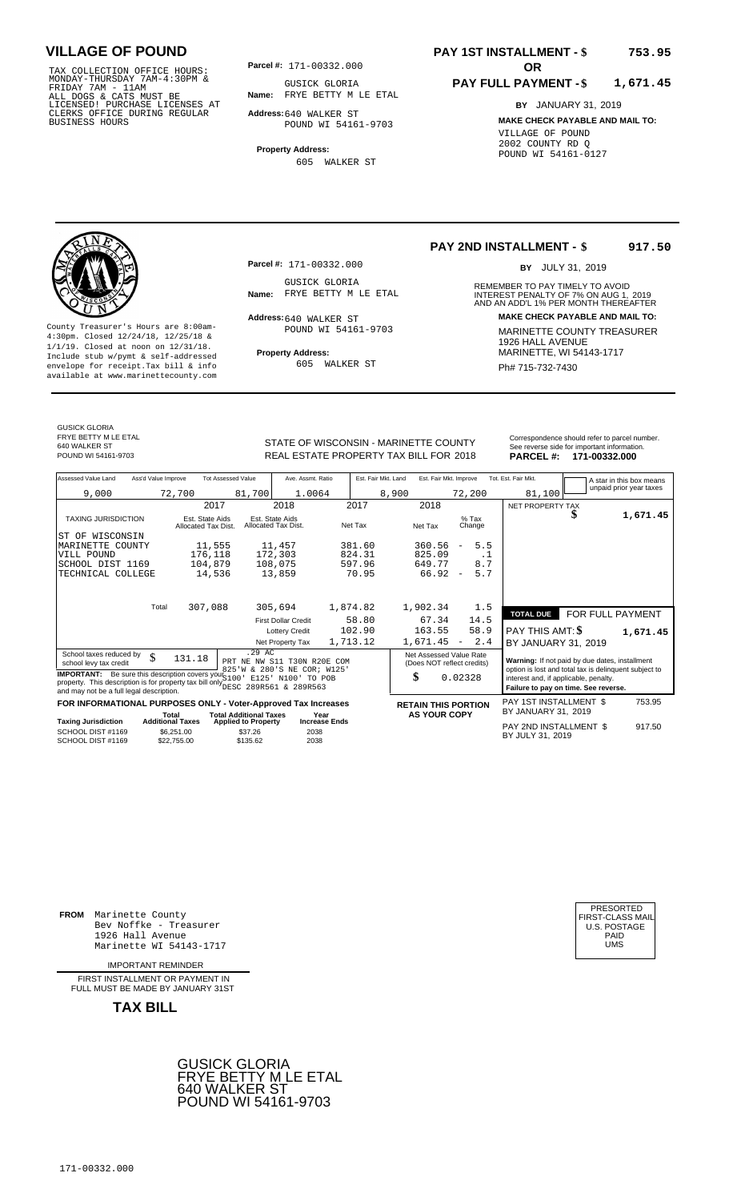TAX COLLECTION OFFICE HOURS:<br>
MONDAY-THURSDAY 7AM-4:30PM & GUSICK GLORIA<br>
FRIDAY 7AM - 11AM<br>
ALL DOGS & CATS MUST BE **Name:** FRYE BETTY M I<br>
LICENSED ! PURCHASE LICENSES AT<br>
CLERKS OFFICE DURING REGULAR **Address:**640 WALKE

**Parcel #: OR**

**Name:** FRYE BETTY M LE ETAL GUSICK GLORIA

**Address:** 640 WALKER ST POUND WI 54161-9703

**Property Address:** 605 WALKER ST

#### **PAY 1ST INSTALLMENT - \$ 753.95**

#### **PAY FULL PAYMENT - \$ 1,671.45**

**BY** JANUARY 31, 2019 **MAKE CHECK PAYABLE AND MAIL TO:** VILLAGE OF POUND 2002 COUNTY RD Q POUND WI 54161-0127



**Property Address:** MARINETTE, WI 54143-1717 Include stub w/pymt & self-addressed envelope for receipt.Tax bill & info Ph# 715-732-7430 available at www.marinettecounty.com

**Parcel #:** 171-00332.000

GUSICK GLORIA<br>Name: FRYE BETTY M LE ETAL

Address: 640 WALKER ST POUND WI 54161-9703

605 WALKER ST

#### **PAY 2ND INSTALLMENT - \$ 917.50**

BY JULY 31, 2019

REMEMBER TO PAY TIMELY TO AVOID **Name:** FRYE BETTY M LE ETAL **INTEREST PENALTY OF 7% ON AUG 1, 2019**<br>AND AN ADD'L 1% PER MONTH THEREAFTER **Address: MAKE CHECK PAYABLE AND MAIL TO:** County Treasurer's Hours are 8:00am-<br>
4:30pm. Closed 12/24/18, 12/25/18 & MARINETTE COUNTY TREASURER<br>
1/1/19. Closed at noon on 12/31/18.<br>
Include stub w/pwmt & self-addressed **Property Address:** MARINETTE, WI 54143-1717

GUSICK GLORIA FRYE BETTY M LE ETAL 640 WALKER ST<br>POUND WI 54161-9703

### STATE OF WISCONSIN - MARINETTE COUNTY<br>
See reverse side for important information.<br>
REAL ESTATE PROPERTY TAX BILL FOR 2018 PARCEL #: 171-00332.000 REAL ESTATE PROPERTY TAX BILL FOR **PARCEL #:** POUND WI 54161-9703 2018 **171-00332.000**

unpaid prior year taxes

| Assessed Value Land                                                                                                                                                                        | Ass'd Value Improve                                  | <b>Tot Assessed Value</b>                         | Ave. Assmt. Ratio                                   | Est. Fair Mkt. Land | Est. Fair Mkt. Improve                                |                                 | Tot. Est. Fair Mkt.                                                                                     |                  | A star in this box means |
|--------------------------------------------------------------------------------------------------------------------------------------------------------------------------------------------|------------------------------------------------------|---------------------------------------------------|-----------------------------------------------------|---------------------|-------------------------------------------------------|---------------------------------|---------------------------------------------------------------------------------------------------------|------------------|--------------------------|
| 9,000                                                                                                                                                                                      | 72,700                                               | 81,700                                            | 1.0064                                              |                     | 8,900                                                 | 72,200                          | 81,100                                                                                                  |                  | unpaid prior year taxes  |
|                                                                                                                                                                                            |                                                      | 2017                                              | 2018                                                | 2017                | 2018                                                  |                                 | NET PROPERTY TAX                                                                                        |                  |                          |
| <b>TAXING JURISDICTION</b>                                                                                                                                                                 | Est. State Aids<br>Allocated Tax Dist.               |                                                   | Est. State Aids<br>Allocated Tax Dist.              | Net Tax             | Net Tax                                               | $%$ Tax<br>Change               |                                                                                                         | J.               | 1,671.45                 |
| ST OF WISCONSIN                                                                                                                                                                            |                                                      |                                                   |                                                     |                     |                                                       |                                 |                                                                                                         |                  |                          |
| MARINETTE COUNTY                                                                                                                                                                           |                                                      | 11,555                                            | 11,457                                              | 381.60              | 360.56                                                | 5.5<br>$\overline{\phantom{a}}$ |                                                                                                         |                  |                          |
| VILL POUND                                                                                                                                                                                 |                                                      | 176,118                                           | 172,303                                             | 824.31              | 825.09                                                | $\cdot$ 1                       |                                                                                                         |                  |                          |
| SCHOOL DIST 1169                                                                                                                                                                           |                                                      | 104,879                                           | 108,075                                             | 597.96              | 649.77                                                | 8.7                             |                                                                                                         |                  |                          |
| TECHNICAL COLLEGE                                                                                                                                                                          |                                                      | 14,536                                            | 13,859                                              | 70.95               | 66.92                                                 | 5.7<br>$\overline{\phantom{a}}$ |                                                                                                         |                  |                          |
|                                                                                                                                                                                            |                                                      |                                                   |                                                     |                     |                                                       |                                 |                                                                                                         |                  |                          |
|                                                                                                                                                                                            | Total                                                | 307,088                                           | 305,694                                             | 1,874.82            | 1,902.34                                              | 1.5                             | <b>TOTAL DUE</b>                                                                                        | FOR FULL PAYMENT |                          |
|                                                                                                                                                                                            |                                                      |                                                   | <b>First Dollar Credit</b>                          | 58.80               | 67.34                                                 | 14.5                            |                                                                                                         |                  |                          |
|                                                                                                                                                                                            |                                                      |                                                   | <b>Lottery Credit</b>                               | 102.90              | 163.55                                                | 58.9                            | PAY THIS AMT: \$                                                                                        |                  | 1,671.45                 |
|                                                                                                                                                                                            |                                                      |                                                   | Net Property Tax                                    | 1,713.12            | 1,671.45                                              | 2.4<br>$\overline{\phantom{a}}$ | BY JANUARY 31, 2019                                                                                     |                  |                          |
| School taxes reduced by<br>school levy tax credit                                                                                                                                          | \$<br>131.18                                         | .29 AC<br>PRT NE                                  | NW S11 T30N R20E COM<br>825'W & 280'S NE COR; W125' |                     | Net Assessed Value Rate<br>(Does NOT reflect credits) |                                 | Warning: If not paid by due dates, installment<br>option is lost and total tax is delinquent subject to |                  |                          |
| <b>IMPORTANT:</b> Be sure this description covers your 5100<br>property. This description is for property tax bill only DESC 289R561 & 289R563<br>and may not be a full legal description. |                                                      |                                                   | E125' N100' TO POB                                  |                     | \$                                                    | 0.02328                         | interest and, if applicable, penalty.<br>Failure to pay on time. See reverse.                           |                  |                          |
| FOR INFORMATIONAL PURPOSES ONLY - Voter-Approved Tax Increases                                                                                                                             |                                                      |                                                   |                                                     |                     | <b>RETAIN THIS PORTION</b>                            |                                 | PAY 1ST INSTALLMENT \$                                                                                  |                  | 753.95                   |
|                                                                                                                                                                                            | Total                                                | <b>Total Additional Taxes</b>                     | Year                                                |                     | <b>AS YOUR COPY</b>                                   |                                 | BY JANUARY 31, 2019                                                                                     |                  |                          |
| <b>Taxing Jurisdiction</b><br>SCHOOL DIST #1169<br>SCHOOL DIST #1169                                                                                                                       | <b>Additional Taxes</b><br>\$6,251.00<br>\$22,755.00 | <b>Applied to Property</b><br>\$37.26<br>\$135.62 | <b>Increase Ends</b><br>2038<br>2038                |                     |                                                       |                                 | PAY 2ND INSTALLMENT \$<br>BY JULY 31, 2019                                                              |                  | 917.50                   |

**FROM** Marinette County Bev Noffke - Treasurer (U.S. POSTAGE)<br>1926 Hall Avenue (U.S. POSTAGE)<br>Marinette WI 54143-1717 (UMS 1926 Hall Avenue Marinette WI 54143-1717

IMPORTANT REMINDER

FIRST INSTALL MENT OR PAYMENT IN FULL MUST BE MADE BY JANUARY 31ST



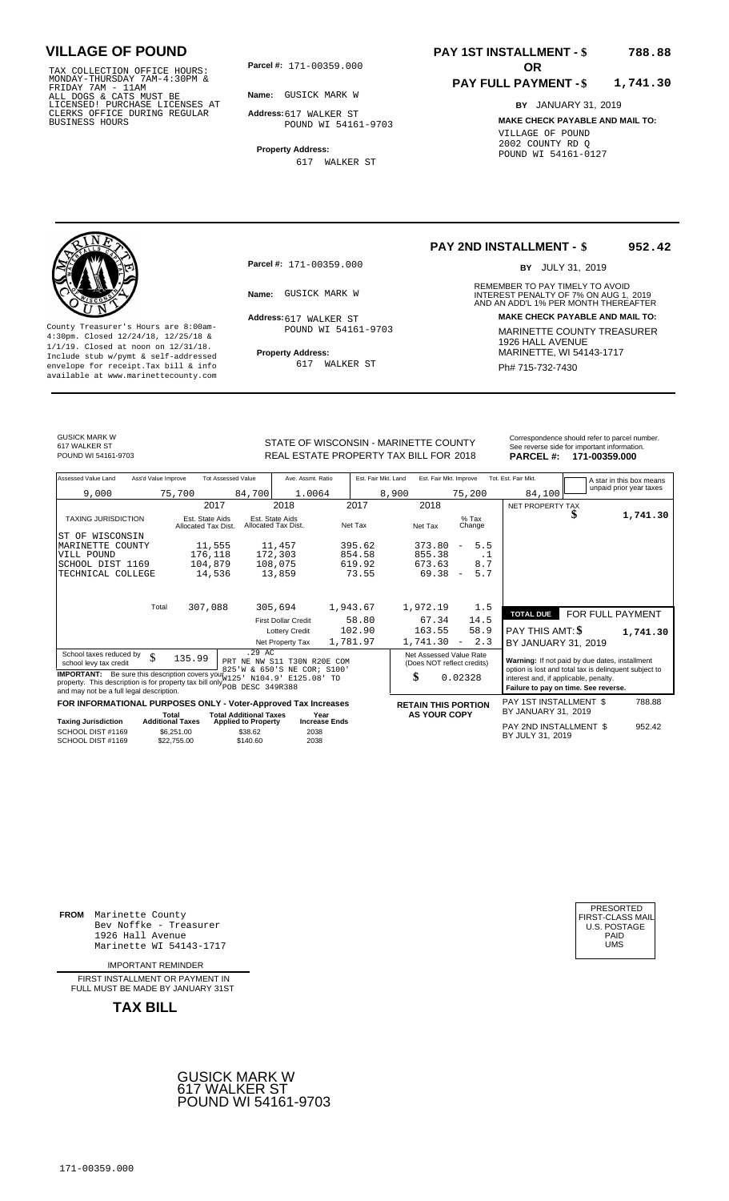TAX COLLECTION OFFICE HOURS:<br>
MONDAY-THURSDAY 7AM-4:30PM &<br>
FRIDAY 7AM - 11AM<br>
ALL DOGS & CATS MUST BE<br>
LICENSED! PURCHASE LICENSES AT<br>
CLERKS OFFICE DURING REGULAR<br>
CLERKS OFFICE DURING REGULAR<br>
BUSINESS HOURS<br>
BUSINESS H

**Parcel #: OR**

**Name:** GUSICK MARK W

**Address:** 617 WALKER ST POUND WI 54161-9703

**Property Address:** 617 WALKER ST

#### **PAY 1ST INSTALLMENT - \$ 788.88**

#### **PAY FULL PAYMENT - \$ 1,741.30**

**BY** JANUARY 31, 2019 **MAKE CHECK PAYABLE AND MAIL TO:** VILLAGE OF POUND 2002 COUNTY RD Q POUND WI 54161-0127

**Property Address:** MARINETTE, WI 54143-1717 Include stub w/pymt & self-addressed envelope for receipt.Tax bill & info Ph# 715-732-7430 available at www.marinettecounty.com

**Parcel #:** 171-00359.000

Address: 617 WALKER ST POUND WI 54161-9703

617 WALKER ST

**PAY 2ND INSTALLMENT - \$ 952.42**

BY JULY 31, 2019

REMEMBER TO PAY TIMELY TO AVOID **Name:** GUSICK MARK W **2019**<br>
AND AN ADD'L 1% PER MONTH THEREAFTER **Address: MAKE CHECK PAYABLE AND MAIL TO:** County Treasurer's Hours are 8:00am-<br>
4:30pm. Closed 12/24/18, 12/25/18 & 1900MD WI 54161-9703 MARINETTE COUNTY TREASURER<br>
1/1/19. Closed at noon on 12/31/18.<br>
Include stub w/pwmt. & self-addressed Property Address: MARINE

GUSICK MARK W

617 WALKER ST<br>POUND WI 54161-9703

STATE OF WISCONSIN - MARINETTE COUNTY<br>
REAL ESTATE PROPERTY TAX BILL FOR 2018 PARCEL #: 171-00359.000 REAL ESTATE PROPERTY TAX BILL FOR **PARCEL #:** POUND WI 54161-9703 2018 **171-00359.000**

| Assessed Value Land                                                                                                                                                                              | Ass'd Value Improve |                                        | <b>Tot Assessed Value</b>                                            | Ave. Assmt. Ratio                      |      | Est. Fair Mkt. Land |       | Est. Fair Mkt. Improve |                                                       | Tot. Est. Fair Mkt.                                                           |   | A star in this box means                              |
|--------------------------------------------------------------------------------------------------------------------------------------------------------------------------------------------------|---------------------|----------------------------------------|----------------------------------------------------------------------|----------------------------------------|------|---------------------|-------|------------------------|-------------------------------------------------------|-------------------------------------------------------------------------------|---|-------------------------------------------------------|
| 9,000                                                                                                                                                                                            |                     | 75,700                                 | 84,700                                                               | 1.0064                                 |      |                     | 8,900 |                        | 75,200                                                | 84,100                                                                        |   | unpaid prior year taxes                               |
|                                                                                                                                                                                                  |                     | 2017                                   |                                                                      | 2018                                   |      | 2017                |       | 2018                   |                                                       | NET PROPERTY TAX                                                              |   |                                                       |
| <b>TAXING JURISDICTION</b>                                                                                                                                                                       |                     | Est. State Aids<br>Allocated Tax Dist. |                                                                      | Est. State Aids<br>Allocated Tax Dist. |      | Net Tax             |       | Net Tax                | $%$ Tax<br>Change                                     |                                                                               | Φ | 1,741.30                                              |
| OF WISCONSIN<br>ST                                                                                                                                                                               |                     |                                        |                                                                      |                                        |      |                     |       |                        |                                                       |                                                                               |   |                                                       |
| MARINETTE COUNTY                                                                                                                                                                                 |                     | 11,555                                 |                                                                      | 11,457                                 |      | 395.62              |       | 373.80                 | 5.5<br>$\overline{\phantom{a}}$                       |                                                                               |   |                                                       |
| VILL POUND                                                                                                                                                                                       |                     | 176,118                                |                                                                      | 172,303                                |      | 854.58              |       | 855.38                 | . 1                                                   |                                                                               |   |                                                       |
| SCHOOL DIST 1169                                                                                                                                                                                 |                     | 104,879                                |                                                                      | 108,075                                |      | 619.92              |       | 673.63                 | 8.7                                                   |                                                                               |   |                                                       |
| TECHNICAL COLLEGE                                                                                                                                                                                |                     | 14,536                                 |                                                                      | 13,859                                 |      | 73.55               |       | $69.38 -$              | 5.7                                                   |                                                                               |   |                                                       |
|                                                                                                                                                                                                  | Total               | 307,088                                |                                                                      | 305,694                                |      | 1,943.67            |       | 1,972.19               | 1.5                                                   |                                                                               |   |                                                       |
|                                                                                                                                                                                                  |                     |                                        |                                                                      | <b>First Dollar Credit</b>             |      | 58.80               |       | 67.34                  | 14.5                                                  | <b>TOTAL DUE</b>                                                              |   | FOR FULL PAYMENT                                      |
|                                                                                                                                                                                                  |                     |                                        |                                                                      | <b>Lottery Credit</b>                  |      | 102.90              |       | 163.55                 | 58.9                                                  | PAY THIS AMT: \$                                                              |   | 1,741.30                                              |
|                                                                                                                                                                                                  |                     |                                        |                                                                      | Net Property Tax                       |      | 1,781.97            |       | $1,741.30 -$           | 2.3                                                   | BY JANUARY 31, 2019                                                           |   |                                                       |
| School taxes reduced by<br>school levy tax credit                                                                                                                                                | \$                  | 135.99                                 | .29 AC<br>PRT NE NW S11 T30N R20E COM<br>825'W & 650'S NE COR; S100' |                                        |      |                     |       |                        | Net Assessed Value Rate<br>(Does NOT reflect credits) | Warning: If not paid by due dates, installment                                |   | option is lost and total tax is delinquent subject to |
| <b>IMPORTANT:</b> Be sure this description covers your W125<br>property. This description is for property tax bill only <b>portally</b> DESC 349R388<br>and may not be a full legal description. |                     |                                        |                                                                      | N104.9' E125.08' TO                    |      |                     |       | \$                     | 0.02328                                               | interest and, if applicable, penalty.<br>Failure to pay on time. See reverse. |   |                                                       |
| FOR INFORMATIONAL PURPOSES ONLY - Voter-Approved Tax Increases<br><b>Taving Iuriediction</b>                                                                                                     |                     | Total<br>Additional Tayos              | <b>Total Additional Taxes</b>                                        |                                        | Year |                     |       | <b>AS YOUR COPY</b>    | <b>RETAIN THIS PORTION</b>                            | PAY 1ST INSTALLMENT \$<br>BY JANUARY 31, 2019                                 |   | 788.88                                                |

| Taxing Jurisdiction                    | .<br><b>Additional Taxes</b> | <b>Applied to Property</b> | .<br><b>Increase Ends</b> |                                            |        |
|----------------------------------------|------------------------------|----------------------------|---------------------------|--------------------------------------------|--------|
| SCHOOL DIST #1169<br>SCHOOL DIST #1169 | \$6,251,00<br>\$22,755,00    | \$38.62<br>\$140.60        | 2038<br>2038              | PAY 2ND INSTALLMENT \$<br>BY JULY 31, 2019 | 952.42 |
|                                        |                              |                            |                           |                                            |        |

**FROM** Marinette County Bev Noffke - Treasurer 1926 Hall Avenue PAID Marinette WI 54143-1717 UMS

IMPORTANT REMINDER

FIRST INSTALLMENT OR PAYMENT IN FULL MUST BE MADE BY JANUARY 31ST

**TAX BILL**



| PRESORTED<br>FIRST-CLASS MAIL<br>U.S. POSTAGE<br>PAID<br>UMS |
|--------------------------------------------------------------|
|                                                              |
|                                                              |

171-00359.000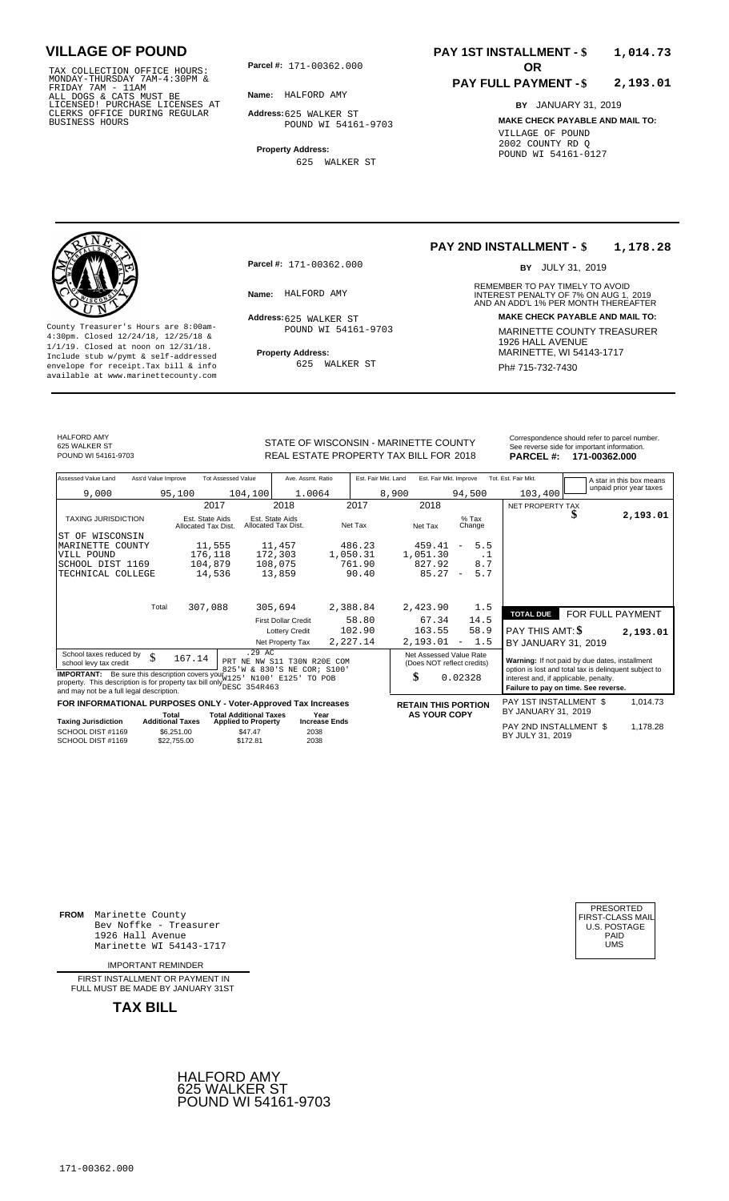TAX COLLECTION OFFICE HOURS:<br>
MONDAY-THURSDAY 7AM-4:30PM &<br>
FRIDAY 7AM - 11AM<br>
ALL DOGS & CATS MUST BE<br>
LICENSED! PURCHASE LICENSES AT<br>
CLERKS OFFICE DURING REGULAR<br>
CLERKS OFFICE DURING REGULAR<br>
BUSINESS HOURS<br>
BUSINESS H

**Parcel #: OR**

**Name:** HALFORD AMY

**Address:** 625 WALKER ST POUND WI 54161-9703

**Property Address:** 625 WALKER ST

### **PAY 1ST INSTALLMENT - \$ 1,014.73**

#### **PAY FULL PAYMENT - \$ 2,193.01**

**BY** JANUARY 31, 2019 **MAKE CHECK PAYABLE AND MAIL TO:** VILLAGE OF POUND 2002 COUNTY RD Q POUND WI 54161-0127



**Property Address:** MARINETTE, WI 54143-1717 Include stub w/pymt & self-addressed envelope for receipt.Tax bill & info Ph# 715-732-7430 available at www.marinettecounty.com

**Parcel #:** 171-00362.000

Address: 625 WALKER ST POUND WI 54161-9703

625 WALKER ST

#### **PAY 2ND INSTALLMENT - \$ 1,178.28**

BY JULY 31, 2019

REMEMBER TO PAY TIMELY TO AVOID **Name:** HALFORD AMY **And Account 10 INTEREST PENALTY OF 7% ON AUG 1, 2019**<br>AND AN ADD'L 1% PER MONTH THEREAFTER **Address: MAKE CHECK PAYABLE AND MAIL TO:** County Treasurer's Hours are 8:00am-<br>
4:30pm. Closed 12/24/18, 12/25/18 & MARINETTE COUNTY TREASURER<br>
1/1/19. Closed at noon on 12/31/18.<br>
Include stub w/pwmt & self-addressed **Property Address:** MARINETTE, WI 54143-1717

HALFORD AMY 625 WALKER ST<br>POUND WI 54161-9703

STATE OF WISCONSIN - MARINETTE COUNTY<br>
See reverse side for important information.<br>
REAL ESTATE PROPERTY TAX BILL FOR 2018 PARCEL #: 171-00362.000 REAL ESTATE PROPERTY TAX BILL FOR **PARCEL #:** POUND WI 54161-9703 2018 **171-00362.000**

| Assessed Value Land                                                                                                                                                             | Ass'd Value Improve                                  | <b>Tot Assessed Value</b>              |                                                                     | Ave. Assmt. Ratio                    | Est. Fair Mkt. Land | Est. Fair Mkt. Improve                                |                                 | Tot. Est. Fair Mkt.                                                                                     |   |                                                     |
|---------------------------------------------------------------------------------------------------------------------------------------------------------------------------------|------------------------------------------------------|----------------------------------------|---------------------------------------------------------------------|--------------------------------------|---------------------|-------------------------------------------------------|---------------------------------|---------------------------------------------------------------------------------------------------------|---|-----------------------------------------------------|
|                                                                                                                                                                                 |                                                      |                                        |                                                                     |                                      |                     |                                                       |                                 |                                                                                                         |   | A star in this box means<br>unpaid prior year taxes |
| 9,000                                                                                                                                                                           | 95,100                                               |                                        | 104,100                                                             | 1.0064                               | 8,900               |                                                       | 94,500                          | 103,400                                                                                                 |   |                                                     |
|                                                                                                                                                                                 |                                                      | 2017                                   | 2018                                                                | 2017                                 |                     | 2018                                                  |                                 | NET PROPERTY TAX                                                                                        |   |                                                     |
| <b>TAXING JURISDICTION</b>                                                                                                                                                      |                                                      | Est. State Aids<br>Allocated Tax Dist. | Est. State Aids<br>Allocated Tax Dist.                              | Net Tax                              |                     | Net Tax                                               | $%$ Tax<br>Change               |                                                                                                         | D | 2,193.01                                            |
| OF WISCONSIN<br>ST                                                                                                                                                              |                                                      |                                        |                                                                     |                                      |                     |                                                       |                                 |                                                                                                         |   |                                                     |
| MARINETTE COUNTY                                                                                                                                                                |                                                      | 11,555                                 | 11,457                                                              | 486.23                               |                     | 459.41                                                | 5.5<br>$\overline{\phantom{a}}$ |                                                                                                         |   |                                                     |
| VILL POUND                                                                                                                                                                      |                                                      | 176,118                                | 172,303                                                             | 1,050.31                             |                     | 1,051.30                                              | $\cdot$ 1                       |                                                                                                         |   |                                                     |
| SCHOOL DIST 1169                                                                                                                                                                |                                                      | 104,879                                | 108,075                                                             | 761.90                               |                     | 827.92                                                | 8.7                             |                                                                                                         |   |                                                     |
| TECHNICAL COLLEGE                                                                                                                                                               |                                                      | 14,536                                 | 13,859                                                              |                                      | 90.40               | 85.27                                                 | 5.7<br>$\sim$                   |                                                                                                         |   |                                                     |
|                                                                                                                                                                                 | Total                                                | 307,088                                | 305,694                                                             | 2,388.84                             |                     | 2,423.90                                              | 1.5                             |                                                                                                         |   |                                                     |
|                                                                                                                                                                                 |                                                      |                                        | <b>First Dollar Credit</b>                                          |                                      | 58.80               | 67.34                                                 | 14.5                            | <b>TOTAL DUE</b>                                                                                        |   | FOR FULL PAYMENT                                    |
|                                                                                                                                                                                 |                                                      |                                        | <b>Lottery Credit</b>                                               | 102.90                               |                     | 163.55                                                | 58.9                            | PAY THIS AMT: \$                                                                                        |   | 2,193.01                                            |
|                                                                                                                                                                                 |                                                      |                                        | Net Property Tax                                                    | 2,227.14                             |                     | 2,193.01                                              | 1.5<br>$\overline{\phantom{a}}$ | BY JANUARY 31, 2019                                                                                     |   |                                                     |
| School taxes reduced by<br>school levy tax credit                                                                                                                               | \$                                                   | 167.14                                 | .29AC<br>PRT NE NW S11 T30N R20E COM<br>825'W & 830'S NE COR: S100' |                                      |                     | Net Assessed Value Rate<br>(Does NOT reflect credits) |                                 | Warning: If not paid by due dates, installment<br>option is lost and total tax is delinquent subject to |   |                                                     |
| <b>IMPORTANT:</b> Be sure this description covers your 22<br>property. This description is for property tax bill only These 354R463<br>and may not be a full legal description. |                                                      |                                        | N100' E125'                                                         | TO POB                               |                     | \$                                                    | 0.02328                         | interest and, if applicable, penalty.<br>Failure to pay on time. See reverse.                           |   |                                                     |
| FOR INFORMATIONAL PURPOSES ONLY - Voter-Approved Tax Increases                                                                                                                  |                                                      |                                        |                                                                     |                                      |                     | <b>RETAIN THIS PORTION</b>                            |                                 | PAY 1ST INSTALLMENT \$                                                                                  |   | 1,014.73                                            |
|                                                                                                                                                                                 | Total                                                |                                        | <b>Total Additional Taxes</b>                                       | Year                                 |                     | <b>AS YOUR COPY</b>                                   |                                 | BY JANUARY 31, 2019                                                                                     |   |                                                     |
| <b>Taxing Jurisdiction</b><br>SCHOOL DIST #1169<br>SCHOOL DIST #1169                                                                                                            | <b>Additional Taxes</b><br>\$6,251.00<br>\$22.755.00 |                                        | <b>Applied to Property</b><br>\$47.47<br>\$172.81                   | <b>Increase Ends</b><br>2038<br>2038 |                     |                                                       |                                 | PAY 2ND INSTALLMENT \$<br>BY JULY 31, 2019                                                              |   | 1,178.28                                            |

**FROM** Marinette County Bev Noffke - Treasurer 1926 Hall Avenue PAID Marinette WI 54143-1717 UMS

IMPORTANT REMINDER

FIRST INSTALLMENT OR PAYMENT IN FULL MUST BE MADE BY JANUARY 31ST



| PRESORTED        |
|------------------|
| FIRST-CLASS MAIL |
| U.S. POSTAGE     |
| PAID             |
| UMS              |
|                  |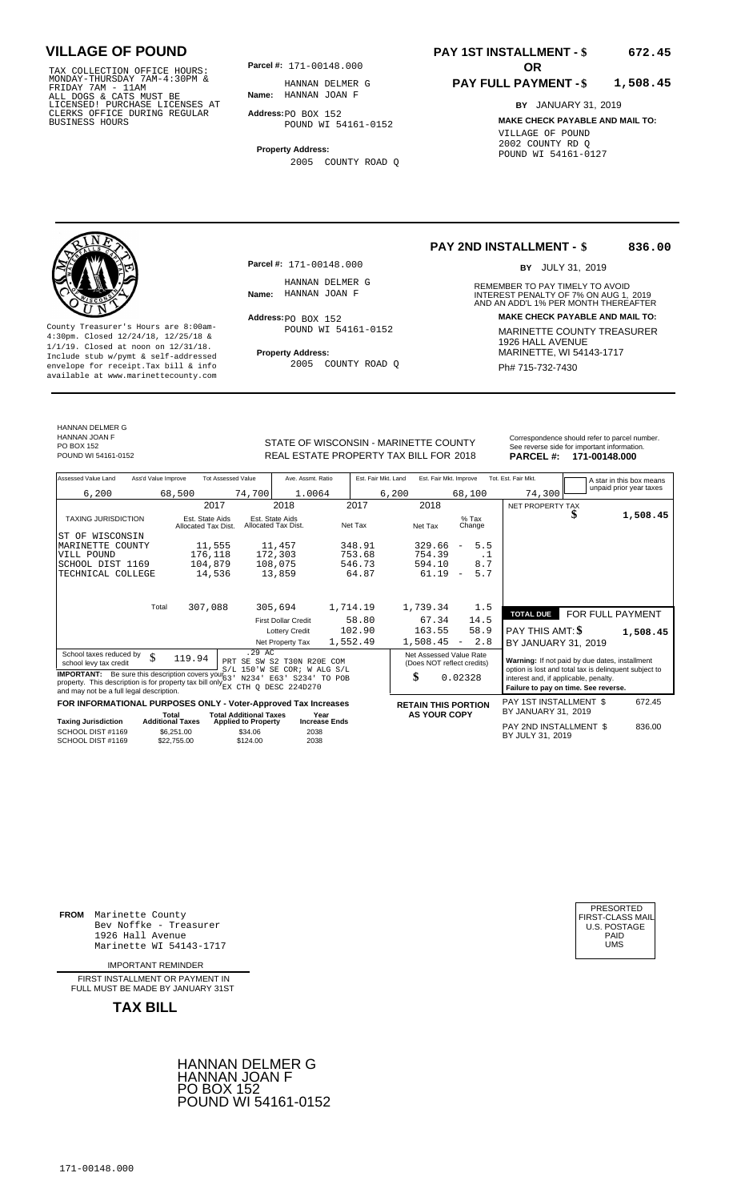TAX COLLECTION OFFICE HOURS:<br>
MONDAY-THURSDAY 7AM-4:30PM & HANNAN DELMER<br>
FRIDAY 7AM - 11AM<br>
ALL DOGS & CATS MUST BE **Name**: HANNAN JOAN F<br>
LICENSED! PURCHASE LICENSES AT<br>
CLERKS OFFICE DURING REGULAR **Address**:PO BOX 152<br>

**Parcel #:** 171-00148.000

**Name:** HANNAN JOAN F HANNAN DELMER G

**Address:** PO BOX 152 POUND WI 54161-0152

**Property Address:** 2005 COUNTY ROAD Q

### **PAY 1ST INSTALLMENT - \$ 672.45**

#### **PAY FULL PAYMENT - \$ 1,508.45**

**BY** JANUARY 31, 2019 **MAKE CHECK PAYABLE AND MAIL TO:** VILLAGE OF POUND 2002 COUNTY RD Q POUND WI 54161-0127



**Property Address:** MARINETTE, WI 54143-1717 Include stub w/pymt & self-addressed envelope for receipt.Tax bill & info Ph# 715-732-7430 available at www.marinettecounty.com

HANNAN DELMER G HANNAN JOAN F PO BOX 152<br>POUND WI 54161-0152

**Parcel #:** 171-00148.000

HANNAN DELMER G<br>Name: HANNAN JOAN F

 $Address:  $PO$  BOX 152$ POUND WI 54161-0152

2005 COUNTY ROAD Q

**PAY 2ND INSTALLMENT - \$ 836.00**

BY JULY 31, 2019

REMEMBER TO PAY TIMELY TO AVOID **Name:** HANNAN JOAN F **INTEREST PENALTY OF 7% ON AUG 1, 2019**<br>AND AN ADD'L 1% PER MONTH THEREAFTER **Address: MAKE CHECK PAYABLE AND MAIL TO:** County Treasurer's Hours are 8:00am-<br>
4:30pm. Closed 12/24/18, 12/25/18 & MARINETTE COUNTY TREASURER<br>
1/1/19. Closed at noon on 12/31/18.<br>
Include stub w/pwmt & self-addressed **Property Address:** MARINETTE, WI 54143-1717

STATE OF WISCONSIN - MARINETTE COUNTY<br>
See reverse side for important information.<br>
REAL ESTATE PROPERTY TAX BILL FOR 2018 PARCEL #: 171-00148.000 REAL ESTATE PROPERTY TAX BILL FOR **PARCEL #:** POUND WI 54161-0152 2018 **171-00148.000**

| Assessed Value Land                                                                                                                                                                                   | Ass'd Value Improve       | <b>Tot Assessed Value</b>              |                               | Ave. Assmt. Ratio                                         |                      | Est. Fair Mkt. Land |                                                       | Est. Fair Mkt. Improve     |                          |                   | Tot. Est. Fair Mkt.                                                                                     |    | A star in this box means |
|-------------------------------------------------------------------------------------------------------------------------------------------------------------------------------------------------------|---------------------------|----------------------------------------|-------------------------------|-----------------------------------------------------------|----------------------|---------------------|-------------------------------------------------------|----------------------------|--------------------------|-------------------|---------------------------------------------------------------------------------------------------------|----|--------------------------|
| 6,200                                                                                                                                                                                                 | 68,500                    |                                        | 74,700                        | 1.0064                                                    |                      |                     | 6,200                                                 |                            |                          | 68,100            | 74,300                                                                                                  |    | unpaid prior year taxes  |
|                                                                                                                                                                                                       |                           | 2017                                   |                               | 2018                                                      |                      | 2017                |                                                       | 2018                       |                          |                   | NET PROPERTY TAX                                                                                        |    |                          |
| <b>TAXING JURISDICTION</b>                                                                                                                                                                            |                           | Est. State Aids<br>Allocated Tax Dist. |                               | Est. State Aids<br>Allocated Tax Dist.                    |                      | Net Tax             |                                                       | Net Tax                    |                          | $%$ Tax<br>Change |                                                                                                         | \$ | 1,508.45                 |
| ST OF WISCONSIN                                                                                                                                                                                       |                           |                                        |                               |                                                           |                      |                     |                                                       |                            |                          |                   |                                                                                                         |    |                          |
| MARINETTE COUNTY                                                                                                                                                                                      |                           | 11,555                                 |                               | 11,457                                                    |                      | 348.91              |                                                       | 329.66                     | $\overline{\phantom{a}}$ | 5.5               |                                                                                                         |    |                          |
| VILL POUND                                                                                                                                                                                            |                           | 176,118                                |                               | 172,303                                                   |                      | 753.68              |                                                       | 754.39                     |                          | $\cdot$ 1         |                                                                                                         |    |                          |
| SCHOOL DIST 1169                                                                                                                                                                                      |                           | 104,879                                |                               | 108,075                                                   |                      | 546.73              |                                                       | 594.10                     |                          | 8.7               |                                                                                                         |    |                          |
| TECHNICAL COLLEGE                                                                                                                                                                                     |                           | 14,536                                 |                               | 13,859                                                    |                      | 64.87               |                                                       | 61.19                      | $\overline{\phantom{a}}$ | 5.7               |                                                                                                         |    |                          |
|                                                                                                                                                                                                       |                           |                                        |                               |                                                           |                      |                     |                                                       |                            |                          |                   |                                                                                                         |    |                          |
|                                                                                                                                                                                                       | Total                     | 307,088                                |                               | 305,694                                                   |                      | 1,714.19            |                                                       | 1,739.34                   |                          | 1.5               | <b>TOTAL DUE</b>                                                                                        |    | FOR FULL PAYMENT         |
|                                                                                                                                                                                                       |                           |                                        |                               | <b>First Dollar Credit</b>                                |                      | 58.80               |                                                       | 67.34                      |                          | 14.5              |                                                                                                         |    |                          |
|                                                                                                                                                                                                       |                           |                                        |                               | <b>Lottery Credit</b>                                     |                      | 102.90              |                                                       | 163.55                     |                          | 58.9              | PAY THIS AMT: \$                                                                                        |    | 1,508.45                 |
|                                                                                                                                                                                                       |                           |                                        |                               | Net Property Tax                                          |                      | 1,552.49            |                                                       | 1,508.45                   | $\overline{\phantom{m}}$ | 2.8               | BY JANUARY 31, 2019                                                                                     |    |                          |
| School taxes reduced by<br>school levy tax credit                                                                                                                                                     | \$                        | 119.94                                 | .29 AC                        | PRT SE SW S2 T30N R20E COM<br>S/L 150'W SE COR; W ALG S/L |                      |                     | Net Assessed Value Rate<br>(Does NOT reflect credits) |                            |                          |                   | Warning: If not paid by due dates, installment<br>option is lost and total tax is delinquent subject to |    |                          |
| <b>IMPORTANT:</b> Be sure this description covers your 63<br>N234' E63'<br>property. This description is for property tax bill only EX CTH Q DESC 224D270<br>and may not be a full legal description. |                           |                                        |                               |                                                           | S234'<br>TO POB      |                     |                                                       | \$                         | 0.02328                  |                   | interest and, if applicable, penalty.<br>Failure to pay on time. See reverse.                           |    |                          |
| FOR INFORMATIONAL PURPOSES ONLY - Voter-Approved Tax Increases                                                                                                                                        |                           |                                        |                               |                                                           |                      |                     |                                                       | <b>RETAIN THIS PORTION</b> |                          |                   | PAY 1ST INSTALLMENT \$                                                                                  |    | 672.45                   |
|                                                                                                                                                                                                       | Total                     |                                        | <b>Total Additional Taxes</b> |                                                           | Year                 |                     |                                                       | <b>AS YOUR COPY</b>        |                          |                   | BY JANUARY 31, 2019                                                                                     |    |                          |
| <b>Taxing Jurisdiction</b>                                                                                                                                                                            | <b>Additional Taxes</b>   |                                        | <b>Applied to Property</b>    |                                                           | <b>Increase Ends</b> |                     |                                                       |                            |                          |                   | PAY 2ND INSTALLMENT \$                                                                                  |    | 836.00                   |
| SCHOOL DIST #1169<br>SCHOOL DIST #1169                                                                                                                                                                | \$6,251.00<br>\$22,755.00 |                                        | \$34.06<br>\$124.00           | 2038<br>2038                                              |                      |                     |                                                       |                            |                          |                   | BY JULY 31, 2019                                                                                        |    |                          |

**FROM** Marinette County Bev Noffke - Treasurer (U.S. POSTAGE)<br>1926 Hall Avenue (U.S. POSTAGE)<br>Marinette WI 54143-1717 (U.S. POSTAGE) 1926 Hall Avenue Marinette WI 54143-1717

IMPORTANT REMINDER

FIRST INSTALLMENT OR PAYMENT IN FULL MUST BE MADE BY JANUARY 31ST

**TAX BILL**





171-00148.000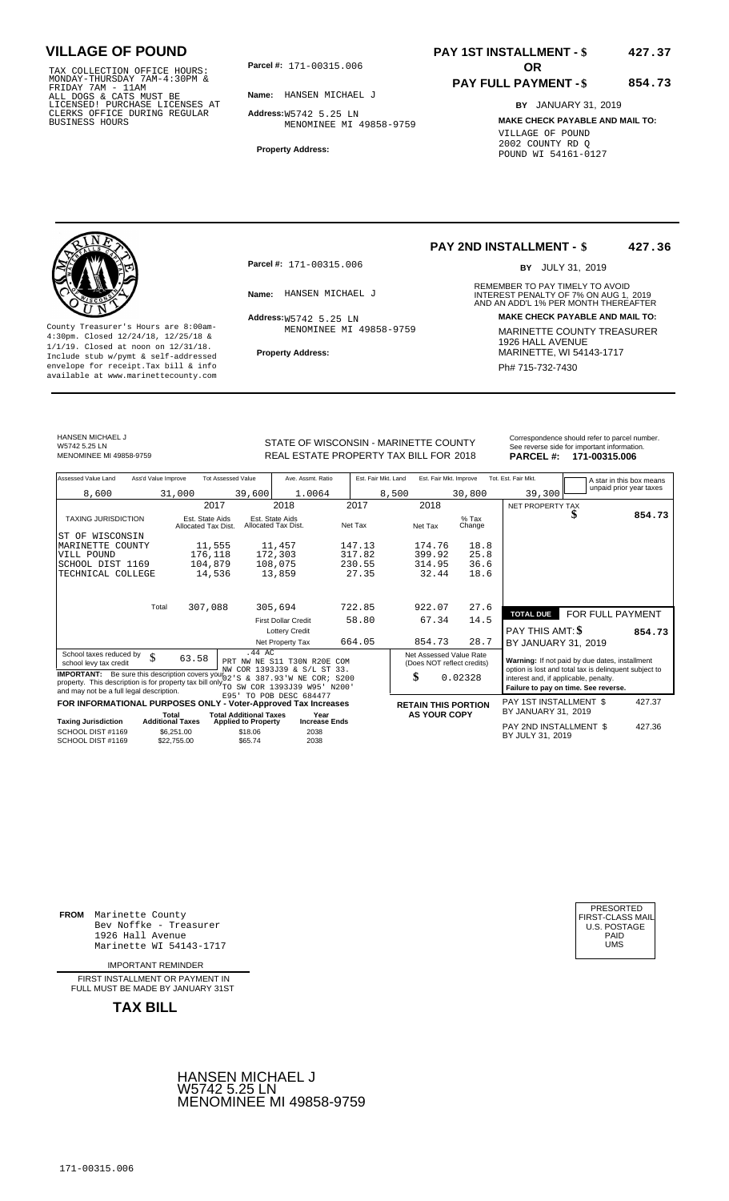TAX COLLECTION OFFICE HOURS:<br>
MONDAY-THURSDAY 7AM-4:30PM &<br>
FRIDAY 7AM - 11AM<br>
ALL DOGS & CATS MUST BE<br>
LICENSED! PURCHASE LICENSES AT<br>
CLERKS OFFICE DURING REGULAR<br>
CLERKS OFFICE DURING REGULAR<br>
BUSINESS HOURS<br>
MENOMINER

**Parcel #:** 171-00315.006 **OR** 

**Name:** HANSEN MICHAEL J

**Address:** W5742 5.25 LN MENOMINEE MI 49858-9759

**Property Address:**

### **PAY 1ST INSTALLMENT - \$ 427.37**

#### **PAY FULL PAYMENT - \$ 854.73**

**BY** JANUARY 31, 2019 **MAKE CHECK PAYABLE AND MAIL TO:** VILLAGE OF POUND 2002 COUNTY RD Q POUND WI 54161-0127

**Property Address:** MARINETTE, WI 54143-1717 Include stub w/pymt & self-addressed envelope for receipt.Tax bill & info Phat is a set of the phat of the Phat 715-732-7430 envelope for receipt.Tax bill & info Phat 715-732-7430 envelope for the phat 715-732-7430 envelope for the phat 715-732-7430 envelope

**Parcel #:** 171-00315.006

 $Address:_{W5742}$  5.25 LN MENOMINEE MI 49858-9759

#### **PAY 2ND INSTALLMENT - \$ 427.36**

BY JULY 31, 2019

REMEMBER TO PAY TIMELY TO AVOID **Name:** HANSEN MICHAEL J<br>
AND AN ADD'L 1% PER MONTH THEREAFTER **Address: MAKE CHECK PAYABLE AND MAIL TO:** County Treasurer's Hours are 8:00am-<br>
4:30pm. Closed 12/24/18, 12/25/18 & MARINETTE COUNTY TREASURER<br>
1/1/19. Closed at noon on 12/31/18.<br>
Include stub w/pwmt. & self-addressed<br> **Property Address:** MARINETTE, WI 54143-1717

HANSEN MICHAEL J W5742 5.25 LN<br>MENOMINEE MI 49858-9759

STATE OF WISCONSIN - MARINETTE COUNTY<br>
See reverse side for important information.<br>
REAL ESTATE PROPERTY TAX BILL FOR 2018 PARCEL #: 171-00315.006 MENOMINEE MI 49858-9759 **18 CHAL ESTATE PROPERTY TAX BILL FOR 2018 1948 CEL #: 171-00315.006** 

| Assessed Value Land                                                                                                                                                                                        | Ass'd Value Improve     |                                        | <b>Tot Assessed Value</b>     | Ave. Assmt. Ratio                                          |         | Est. Fair Mkt. Land | Est. Fair Mkt. Improve |                                                       | Tot. Est. Fair Mkt.                                                                                     | A star in this box means<br>unpaid prior year taxes |        |
|------------------------------------------------------------------------------------------------------------------------------------------------------------------------------------------------------------|-------------------------|----------------------------------------|-------------------------------|------------------------------------------------------------|---------|---------------------|------------------------|-------------------------------------------------------|---------------------------------------------------------------------------------------------------------|-----------------------------------------------------|--------|
| 8,600                                                                                                                                                                                                      |                         | 31,000                                 | 39,600                        | 1.0064                                                     |         | 8,500               |                        | 30,800                                                | 39,300                                                                                                  |                                                     |        |
|                                                                                                                                                                                                            |                         | 2017                                   |                               | 2018                                                       | 2017    |                     | 2018                   |                                                       | NET PROPERTY TAX                                                                                        |                                                     |        |
| <b>TAXING JURISDICTION</b>                                                                                                                                                                                 |                         | Est. State Aids<br>Allocated Tax Dist. |                               | Est. State Aids<br>Allocated Tax Dist.                     | Net Tax |                     | Net Tax                | $%$ Tax<br>Change                                     |                                                                                                         | \$                                                  | 854.73 |
| ST OF WISCONSIN                                                                                                                                                                                            |                         |                                        |                               |                                                            |         |                     |                        |                                                       |                                                                                                         |                                                     |        |
| MARINETTE<br>COUNTY                                                                                                                                                                                        |                         | 11,555                                 |                               | 11,457                                                     | 147.13  |                     | 174.76                 | 18.8                                                  |                                                                                                         |                                                     |        |
| VILL POUND                                                                                                                                                                                                 |                         | 176,118                                |                               | 172,303                                                    | 317.82  |                     | 399.92                 | 25.8                                                  |                                                                                                         |                                                     |        |
| SCHOOL DIST 1169                                                                                                                                                                                           |                         | 104,879                                |                               | 108,075                                                    | 230.55  |                     | 314.95                 | 36.6                                                  |                                                                                                         |                                                     |        |
| TECHNICAL COLLEGE                                                                                                                                                                                          |                         | 14,536                                 |                               | 13,859                                                     | 27.35   |                     | 32.44                  | 18.6                                                  |                                                                                                         |                                                     |        |
|                                                                                                                                                                                                            |                         |                                        |                               |                                                            |         |                     |                        |                                                       |                                                                                                         |                                                     |        |
|                                                                                                                                                                                                            | Total                   | 307,088                                |                               | 305,694                                                    | 722.85  |                     | 922.07                 | 27.6                                                  | <b>TOTAL DUE</b>                                                                                        | FOR FULL PAYMENT                                    |        |
|                                                                                                                                                                                                            |                         |                                        |                               | <b>First Dollar Credit</b>                                 | 58.80   |                     | 67.34                  | 14.5                                                  |                                                                                                         |                                                     |        |
|                                                                                                                                                                                                            |                         |                                        |                               | <b>Lottery Credit</b>                                      |         |                     |                        |                                                       | PAY THIS AMT: \$                                                                                        |                                                     | 854.73 |
|                                                                                                                                                                                                            |                         |                                        |                               | Net Property Tax                                           | 664.05  |                     | 854.73                 | 28.7                                                  | BY JANUARY 31, 2019                                                                                     |                                                     |        |
| School taxes reduced by<br>school levy tax credit                                                                                                                                                          | \$                      | 63.58                                  | .44 AC                        | PRT NW NE S11 T30N R20E COM<br>NW COR 1393J39 & S/L ST 33. |         |                     |                        | Net Assessed Value Rate<br>(Does NOT reflect credits) | Warning: If not paid by due dates, installment<br>option is lost and total tax is delinquent subject to |                                                     |        |
| <b>IMPORTANT:</b> Be sure this description covers your <sup>***</sup><br>property. This description is for property tax bill only by SW COR 1393J39 W95' N200'<br>and may not be a full legal description. |                         |                                        |                               | & 387.93'W NE<br>COR; S200                                 |         | \$                  |                        | 0.02328                                               | interest and, if applicable, penalty.                                                                   | Failure to pay on time. See reverse.                |        |
| FOR INFORMATIONAL PURPOSES ONLY - Voter-Approved Tax Increases                                                                                                                                             |                         |                                        |                               | E95' TO POB DESC 684477                                    |         |                     |                        | <b>RETAIN THIS PORTION</b>                            | PAY 1ST INSTALLMENT \$                                                                                  |                                                     | 427.37 |
|                                                                                                                                                                                                            | Total                   |                                        | <b>Total Additional Taxes</b> | Year                                                       |         |                     | <b>AS YOUR COPY</b>    |                                                       | BY JANUARY 31, 2019                                                                                     |                                                     |        |
| <b>Taxing Jurisdiction</b>                                                                                                                                                                                 | <b>Additional Taxes</b> |                                        | <b>Applied to Property</b>    | <b>Increase Ends</b>                                       |         |                     |                        |                                                       | PAY 2ND INSTALLMENT \$                                                                                  |                                                     | 427.36 |
| SCHOOL DIST #1169<br>SCHOOL DIST #1169                                                                                                                                                                     |                         | \$6,251.00<br>\$22.755.00              | \$18.06<br>\$65.74            | 2038<br>2038                                               |         |                     |                        |                                                       | BY JULY 31, 2019                                                                                        |                                                     |        |

**FROM** Marinette County Bev Noffke - Treasurer (U.S. POSTAGE)<br>1926 Hall Avenue (U.S. POSTAGE)<br>Marinette WI 54143-1717 (U.S. POSTAGE) 1926 Hall Avenue PAID Marinette WI 54143-1717 UMS

IMPORTANT REMINDER

FIRST INSTALLMENT OR PAYMENT IN FULL MUST BE MADE BY JANUARY 31ST



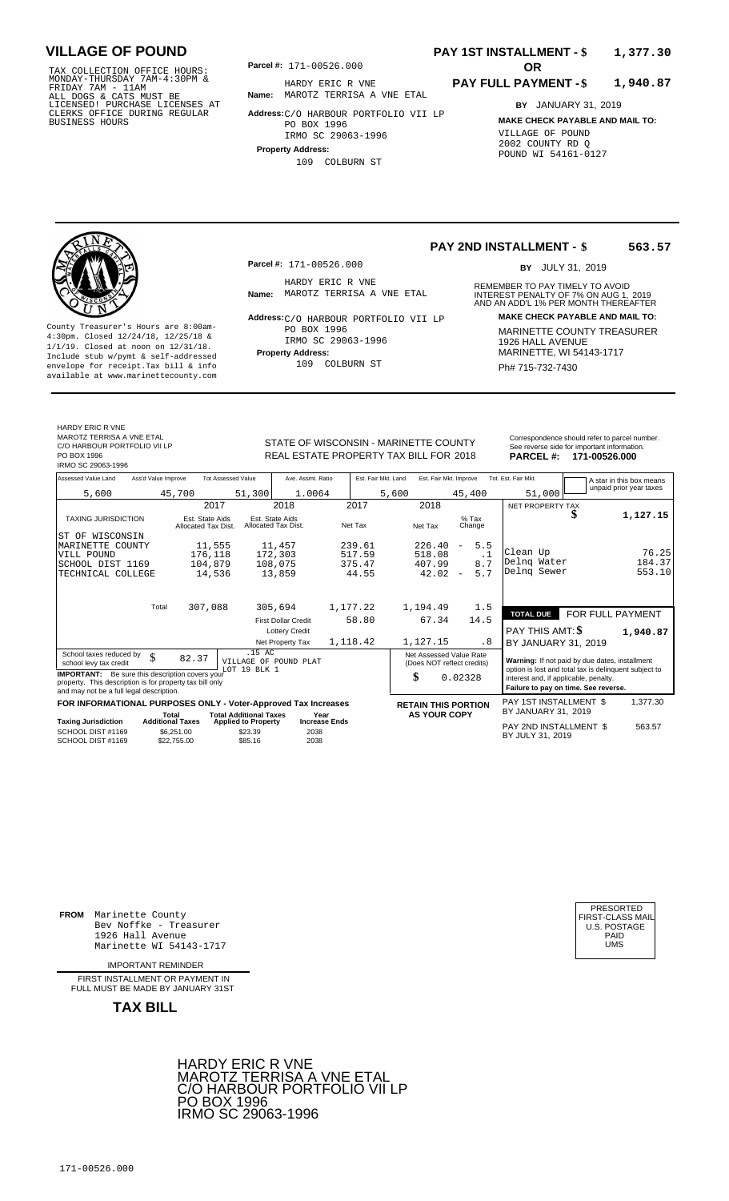TAX COLLECTION OFFICE HOURS:<br>
MONDAY-THURSDAY 7AM-4:30PM & HARDY ERIC R V<br>
FRIDAY 7AM - 11AM<br>
ALL DOGS & CATS MUST BE **Name:** MAROTZ TERRISA<br>
LICENSED ! PURCHASE LICENSES AT<br>
CLERKS OFFICE DURING REGULAR **Address**:C/O HARB

**Parcel #: OR**

**Name:** MAROTZ TERRISA A VNE ETAL HARDY ERIC R VNE

**Address:** C/O HARBOUR PORTFOLIO VII LP PO BOX 1996 IRMO SC 29063-1996

**Property Address:**

109 COLBURN ST

### **PAY 1ST INSTALLMENT - \$ 1,377.30**

#### **PAY FULL PAYMENT - \$ 1,940.87**

**BY** JANUARY 31, 2019 **MAKE CHECK PAYABLE AND MAIL TO:** VILLAGE OF POUND 2002 COUNTY RD Q POUND WI 54161-0127

**Property Address:** MARINETTE, WI 54143-1717 Include stub w/pymt & self-addressed envelope for receipt.Tax bill & info Ph# 715-732-7430 available at www.marinettecounty.com

**Parcel #:** 171-00526.000

HARDY ERIC R VNE<br>Name: MAROTZ TERRISA A VNE ETAL

**Address: MAKE CHECK PAYABLE AND MAIL TO:** C/O HARBOUR PORTFOLIO VII LP County Treasurer's Hours are 8:00am-<br>
4:30pm. Closed 12/24/18, 12/25/18 & 17MO SC 29063-1996 MARINETTE COUNTY TREASURER<br>
1/1/19. Closed at noon on 12/31/18.<br>
Include stub w/pwmt & self-addressed Property Address: MARINETTE PO BOX 1996 IRMO SC 29063-1996

109 COLBURN ST

REMEMBER TO PAY TIMELY TO AVOID BY JULY 31, 2019

**563.57**

**PAY 2ND INSTALLMENT - \$**

**Name:** MAROTZ TERRISA A VNE ETAL **INTEREST PENALTY OF 7% ON AUG 1, 2019**<br>AND AN ADD'L 1% PER MONTH THEREAFTER

| HARDY ERIC R VNE             |
|------------------------------|
| MAROTZ TERRISA A VNE ETAL    |
| C/O HARBOUR PORTFOLIO VII LP |

PO BOX 1996

IRMO SC 29063-1996

REAL ESTATE PROPERTY TAX BILL FOR 2018

STATE OF WISCONSIN - MARINETTE COUNTY Correspondence should refer to parcel number. See reverse side for important information<br>**PARCEL #: 171-00526.000** 

| Assessed Value Land<br>Ass'd Value Improve                                                                                                                     | <b>Tot Assessed Value</b>                                                                                | Ave. Assmt. Ratio                      | Est. Fair Mkt. Land | Est. Fair Mkt. Improve                                |                   | Tot. Est. Fair Mkt.                                                                                     | A star in this box means             |  |
|----------------------------------------------------------------------------------------------------------------------------------------------------------------|----------------------------------------------------------------------------------------------------------|----------------------------------------|---------------------|-------------------------------------------------------|-------------------|---------------------------------------------------------------------------------------------------------|--------------------------------------|--|
| 5,600                                                                                                                                                          | 45,700<br>51,300                                                                                         | 1.0064                                 | 5,600               |                                                       | 45,400            | 51,000                                                                                                  | unpaid prior year taxes              |  |
|                                                                                                                                                                | 2017                                                                                                     | 2018                                   | 2017                | 2018                                                  |                   | NET PROPERTY TAX                                                                                        |                                      |  |
| TAXING JURISDICTION                                                                                                                                            | Est. State Aids<br>Allocated Tax Dist.                                                                   | Est. State Aids<br>Allocated Tax Dist. | Net Tax             | Net Tax                                               | $%$ Tax<br>Change |                                                                                                         | 1,127.15<br>J                        |  |
| ST OF WISCONSIN                                                                                                                                                |                                                                                                          |                                        |                     |                                                       |                   |                                                                                                         |                                      |  |
| MARINETTE COUNTY                                                                                                                                               | 11,555                                                                                                   | 11,457                                 | 239.61              | 226.40<br>$\overline{\phantom{a}}$                    | 5.5               |                                                                                                         |                                      |  |
| VILL POUND                                                                                                                                                     | 176,118                                                                                                  | 172,303                                | 517.59              | 518.08                                                | $\cdot$ 1         | Clean Up                                                                                                | 76.25                                |  |
| SCHOOL DIST 1169                                                                                                                                               | 104,879                                                                                                  | 108,075                                | 375.47              | 407.99                                                | 8.7               | Delng Water                                                                                             | 184.37                               |  |
| TECHNICAL COLLEGE                                                                                                                                              | 14,536                                                                                                   | 13,859                                 | 44.55               | 42.02<br>$\overline{\phantom{a}}$                     | 5.7               | Delng Sewer                                                                                             | 553.10                               |  |
| Total                                                                                                                                                          | 307,088                                                                                                  | 305,694                                | 1,177.22            | 1,194.49                                              | 1.5               |                                                                                                         |                                      |  |
|                                                                                                                                                                |                                                                                                          |                                        |                     |                                                       |                   | <b>TOTAL DUE</b>                                                                                        | FOR FULL PAYMENT                     |  |
|                                                                                                                                                                |                                                                                                          | <b>First Dollar Credit</b>             | 58.80               | 67.34                                                 | 14.5              |                                                                                                         |                                      |  |
|                                                                                                                                                                |                                                                                                          | <b>Lottery Credit</b>                  |                     |                                                       |                   | PAY THIS AMT: \$                                                                                        | 1,940.87                             |  |
|                                                                                                                                                                |                                                                                                          | Net Property Tax                       | 1,118.42            | 1,127.15                                              | . 8               | BY JANUARY 31, 2019                                                                                     |                                      |  |
| School taxes reduced by<br>$\mathcal{S}$<br>school levy tax credit                                                                                             | $.15 \text{ AC}$<br>82.37<br>LOT 19 BLK 1                                                                | VILLAGE OF POUND PLAT                  |                     | Net Assessed Value Rate<br>(Does NOT reflect credits) |                   | Warning: If not paid by due dates, installment<br>option is lost and total tax is delinquent subject to |                                      |  |
| <b>IMPORTANT:</b> Be sure this description covers your<br>property. This description is for property tax bill only<br>and may not be a full legal description. |                                                                                                          |                                        |                     | \$<br>0.02328                                         |                   | interest and, if applicable, penalty.                                                                   | Failure to pay on time. See reverse. |  |
| FOR INFORMATIONAL PURPOSES ONLY - Voter-Approved Tax Increases                                                                                                 |                                                                                                          |                                        |                     | <b>RETAIN THIS PORTION</b>                            |                   | PAY 1ST INSTALLMENT \$                                                                                  | 1,377.30                             |  |
|                                                                                                                                                                | <b>Total Additional Taxes</b><br>Total                                                                   | Year                                   |                     | <b>AS YOUR COPY</b>                                   |                   | BY JANUARY 31, 2019                                                                                     |                                      |  |
| <b>Taxing Jurisdiction</b><br>SCHOOL DIST #1169<br>SCHOOL DIST #1169                                                                                           | <b>Additional Taxes</b><br><b>Applied to Property</b><br>\$23.39<br>\$6.251.00<br>\$85.16<br>\$22.755.00 | <b>Increase Ends</b><br>2038<br>2038   |                     |                                                       |                   | PAY 2ND INSTALLMENT \$<br>BY JULY 31, 2019                                                              | 563.57                               |  |

**FROM** Marinette County Bev Noffke - Treasurer (U.S. POSTAGE)<br>1926 Hall Avenue (U.S. POSTAGE)<br>Marinette WI 54143-1717 (UMS 1926 Hall Avenue Marinette WI 54143-1717

IMPORTANT REMINDER

FIRST INSTALL MENT OR PAYMENT IN FULL MUST BE MADE BY JANUARY 31ST



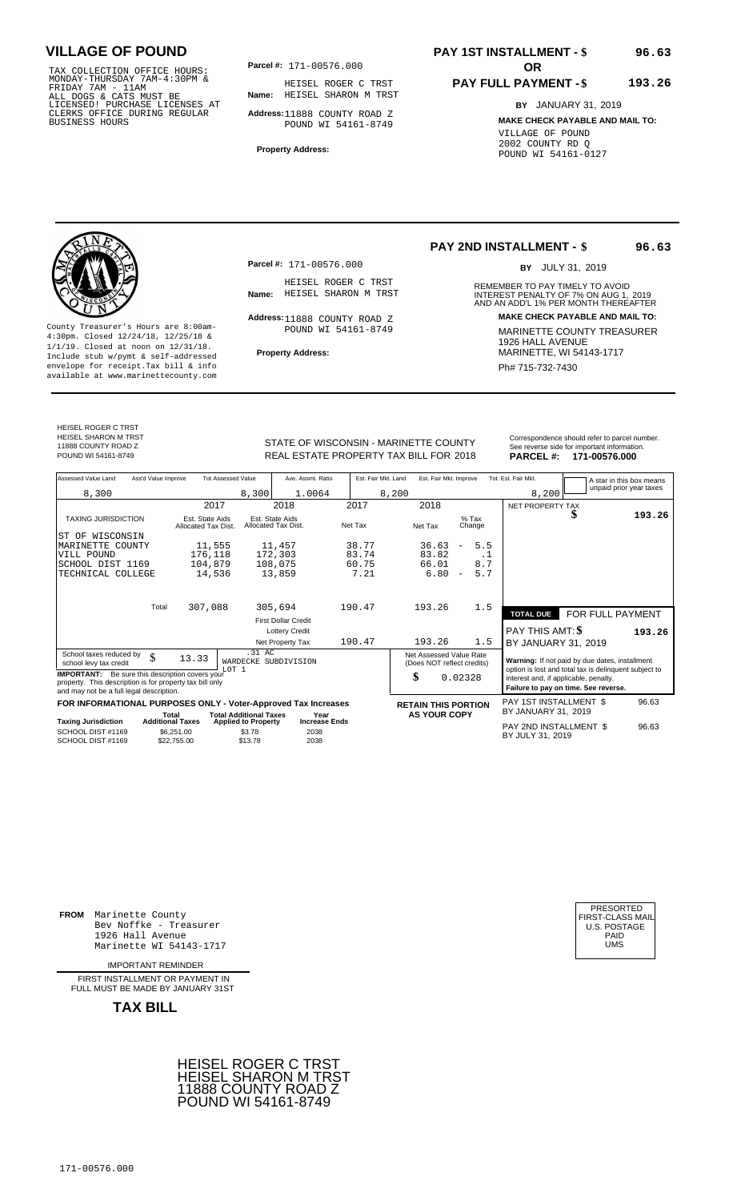TAX COLLECTION OFFICE HOURS:<br>
MONDAY-THURSDAY 7AM-4:30PM & HEISEL ROGER C<br>
FRIDAY 7AM - 11AM<br>
ALL DOGS & CATS MUST BE **Name:** HEISEL SHARON<br>
LICENSED ! PURCHASE LICENSES AT<br>
CLERKS OFFICE DURING REGULAR **Address**:11888 COU

**Parcel #:** 171-00576.000

**Name:** HEISEL SHARON M TRST HEISEL ROGER C TRST

**Address:** 11888 COUNTY ROAD Z POUND WI 54161-8749

**Property Address:**

**Parcel #:** 171-00576.000

HEISEL ROGER C TRST<br>Name: HEISEL SHARON M TRST

Address: 11888 COUNTY ROAD Z POUND WI 54161-8749

## **PAY 1ST INSTALLMENT - \$**

#### **PAY FULL PAYMENT - \$ 193.26**

**BY** JANUARY 31, 2019 **MAKE CHECK PAYABLE AND MAIL TO:** VILLAGE OF POUND 2002 COUNTY RD Q POUND WI 54161-0127

### **PAY 2ND INSTALLMENT - \$**

BY JULY 31, 2019

**96.63**

**96.63**

REMEMBER TO PAY TIMELY TO AVOID **Name:** HEISEL SHARON M TRST **INTEREST PENALTY OF 7% ON AUG 1, 2019**<br>AND AN ADD'L 1% PER MONTH THEREAFTER **Address: MAKE CHECK PAYABLE AND MAIL TO:**

County Treasurer's Hours are 8:00am-<br>
4:30pm. Closed 12/24/18, 12/25/18 & MARINETTE COUNTY TREASURER<br>
1/1/19. Closed at noon on 12/31/18.<br>
Include stub w/pwmt. & self-addressed<br>
Property Address:<br>
MARINETTE, WI 54143-1717 **Property Address:** MARINETTE, WI 54143-1717 Include stub w/pymt & self-addressed envelope for receipt.Tax bill & info Phat is a set of the phat of the Phat 715-732-7430 envelope for receipt.Tax bill & info Phat 715-732-7430 envelope for the phat 715-732-7430 envelope for the phat 715-732-7430 envelope

HEISEL ROGER C TRST HEISEL SHARON M TRST 11888 COUNTY ROAD Z

STATE OF WISCONSIN - MARINETTE COUNTY<br>
See reverse side for important information.<br>
REAL ESTATE PROPERTY TAX BILL FOR 2018 PARCEL #: 171-00576.000 REAL ESTATE PROPERTY TAX BILL FOR **PARCEL #:** POUND WI 54161-8749 2018 **171-00576.000**

| Assessed Value Land                                                                                                                                            | Ass'd Value Improve                    | <b>Tot Assessed Value</b>                                   | Ave. Assmt. Ratio                      | Est. Fair Mkt. Land | Est. Fair Mkt. Improve                                |                                 | Tot. Est. Fair Mkt.                                                                                                                    |                  | A star in this box means |
|----------------------------------------------------------------------------------------------------------------------------------------------------------------|----------------------------------------|-------------------------------------------------------------|----------------------------------------|---------------------|-------------------------------------------------------|---------------------------------|----------------------------------------------------------------------------------------------------------------------------------------|------------------|--------------------------|
| 8,300                                                                                                                                                          |                                        | 8,300                                                       | 1.0064                                 | 8,200               |                                                       |                                 | 8,200                                                                                                                                  |                  | unpaid prior year taxes  |
|                                                                                                                                                                |                                        | 2017                                                        | 2018                                   | 2017                | 2018                                                  |                                 | NET PROPERTY TAX                                                                                                                       |                  |                          |
| <b>TAXING JURISDICTION</b>                                                                                                                                     | Est. State Aids<br>Allocated Tax Dist. |                                                             | Est. State Aids<br>Allocated Tax Dist. | Net Tax             | Net Tax                                               | $%$ Tax<br>Change               |                                                                                                                                        | J                | 193.26                   |
| ST OF WISCONSIN                                                                                                                                                |                                        |                                                             |                                        |                     |                                                       |                                 |                                                                                                                                        |                  |                          |
| MARINETTE COUNTY                                                                                                                                               |                                        | 11,555                                                      | 11,457                                 | 38.77               | 36.63                                                 | 5.5<br>$\overline{\phantom{m}}$ |                                                                                                                                        |                  |                          |
| VILL POUND                                                                                                                                                     |                                        | 176,118                                                     | 172,303                                | 83.74               | 83.82                                                 | . 1                             |                                                                                                                                        |                  |                          |
| SCHOOL DIST 1169                                                                                                                                               |                                        | 104,879                                                     | 108,075                                | 60.75               | 66.01                                                 | 8.7                             |                                                                                                                                        |                  |                          |
| TECHNICAL COLLEGE                                                                                                                                              |                                        | 14,536                                                      | 13,859                                 | 7.21                | 6.80                                                  | 5.7<br>$\overline{\phantom{a}}$ |                                                                                                                                        |                  |                          |
|                                                                                                                                                                |                                        |                                                             |                                        |                     |                                                       |                                 |                                                                                                                                        |                  |                          |
|                                                                                                                                                                | Total<br>307,088                       |                                                             | 305,694                                | 190.47              | 193.26                                                | 1.5                             | <b>TOTAL DUE</b>                                                                                                                       |                  |                          |
|                                                                                                                                                                |                                        |                                                             | <b>First Dollar Credit</b>             |                     |                                                       |                                 |                                                                                                                                        | FOR FULL PAYMENT |                          |
|                                                                                                                                                                |                                        |                                                             | <b>Lottery Credit</b>                  |                     |                                                       |                                 | PAY THIS AMT: \$                                                                                                                       |                  | 193.26                   |
|                                                                                                                                                                |                                        |                                                             | Net Property Tax                       | 190.47              | 193.26                                                | 1.5                             | BY JANUARY 31, 2019                                                                                                                    |                  |                          |
| School taxes reduced by<br>school levy tax credit                                                                                                              | \$<br>13.33                            | .31 AC<br>WARDECKE                                          | SUBDIVISION                            |                     | Net Assessed Value Rate<br>(Does NOT reflect credits) |                                 | Warning: If not paid by due dates, installment                                                                                         |                  |                          |
| <b>IMPORTANT:</b> Be sure this description covers your<br>property. This description is for property tax bill only<br>and may not be a full legal description. |                                        | LOT <sub>1</sub>                                            |                                        |                     | \$                                                    | 0.02328                         | option is lost and total tax is delinquent subject to<br>interest and, if applicable, penalty.<br>Failure to pay on time. See reverse. |                  |                          |
| FOR INFORMATIONAL PURPOSES ONLY - Voter-Approved Tax Increases                                                                                                 |                                        |                                                             |                                        |                     | <b>RETAIN THIS PORTION</b>                            |                                 | PAY 1ST INSTALLMENT \$                                                                                                                 |                  | 96.63                    |
| <b>Taxing Jurisdiction</b>                                                                                                                                     | Total<br><b>Additional Taxes</b>       | <b>Total Additional Taxes</b><br><b>Applied to Property</b> | Year<br><b>Increase Ends</b>           |                     | <b>AS YOUR COPY</b>                                   |                                 | BY JANUARY 31, 2019                                                                                                                    |                  |                          |
| SCHOOL DIST #1169<br>SCHOOL DIST #1169                                                                                                                         | \$6.251.00<br>\$22.755.00              | \$3.78<br>\$13.78                                           | 2038<br>2038                           |                     |                                                       |                                 | PAY 2ND INSTALLMENT \$<br>BY JULY 31, 2019                                                                                             |                  | 96.63                    |

**FROM** Marinette County Bev Noffke - Treasurer (U.S. POSTAGE)<br>1926 Hall Avenue (U.S. POSTAGE)<br>Marinette WI 54143-1717 (UMS 1926 Hall Avenue Marinette WI 54143-1717

IMPORTANT REMINDER

FIRST INSTALL MENT OR PAYMENT IN FULL MUST BE MADE BY JANUARY 31ST



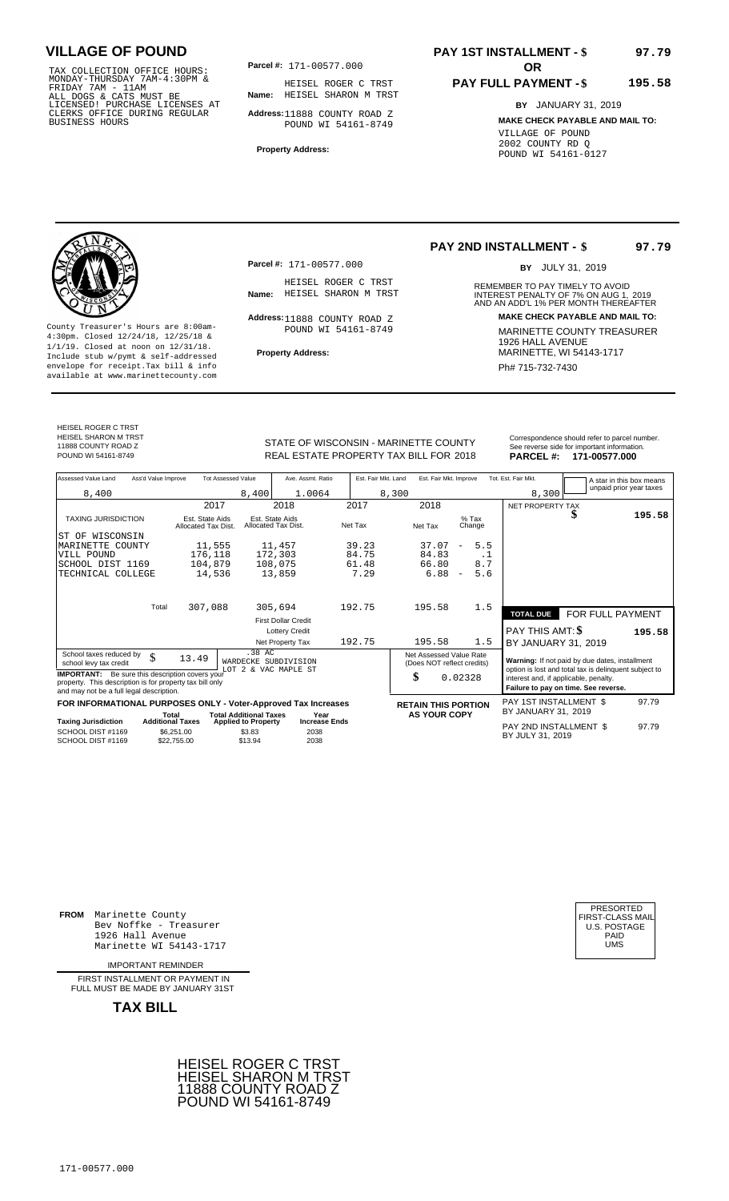TAX COLLECTION OFFICE HOURS:<br>
MONDAY-THURSDAY 7AM-4:30PM & HEISEL ROGER C<br>
FRIDAY 7AM - 11AM<br>
ALL DOGS & CATS MUST BE **Name:** HEISEL SHARON<br>
LICENSED ! PURCHASE LICENSES AT<br>
CLERKS OFFICE DURING REGULAR **Address**:11888 COU

**Parcel #:** 171-00577.000

**Name:** HEISEL SHARON M TRST HEISEL ROGER C TRST

**Address:** 11888 COUNTY ROAD Z POUND WI 54161-8749

**Property Address:**

## **PAY 1ST INSTALLMENT - \$**

#### **PAY FULL PAYMENT - \$ 195.58**

**BY** JANUARY 31, 2019 **MAKE CHECK PAYABLE AND MAIL TO:** VILLAGE OF POUND 2002 COUNTY RD Q POUND WI 54161-0127

**Property Address:** MARINETTE, WI 54143-1717 Include stub w/pymt & self-addressed envelope for receipt.Tax bill & info Phat is a set of the phat of the Phat 715-732-7430 envelope for receipt.Tax bill & info Phat 715-732-7430 envelope for the phat 715-732-7430 envelope for the phat 715-732-7430 envelope

**Parcel #:** 171-00577.000

HEISEL ROGER C TRST<br>Name: HEISEL SHARON M TRST

Address: 11888 COUNTY ROAD Z POUND WI 54161-8749

### **PAY 2ND INSTALLMENT - \$**

BY JULY 31, 2019

**97.79**

**97.79**

REMEMBER TO PAY TIMELY TO AVOID **Name:** HEISEL SHARON M TRST **INTEREST PENALTY OF 7% ON AUG 1, 2019**<br>AND AN ADD'L 1% PER MONTH THEREAFTER **Address: MAKE CHECK PAYABLE AND MAIL TO:** County Treasurer's Hours are 8:00am-<br>
4:30pm. Closed 12/24/18, 12/25/18 & MARINETTE COUNTY TREASURER<br>
1/1/19. Closed at noon on 12/31/18.<br>
Include stub w/pwmt. & self-addressed<br>
Property Address:<br>
MARINETTE, WI 54143-1717

| HEISEL SHARON M-I RST |                                        | Correspondence should refer to parcel number. |
|-----------------------|----------------------------------------|-----------------------------------------------|
| 11888 COUNTY ROAD Z   | STATE OF WISCONSIN - MARINETTE COUNTY  | See reverse side for important information.   |
| POUND WI 54161-8749   | REAL ESTATE PROPERTY TAX BILL FOR 2018 | PARCEL #: 171-00577.000                       |
|                       |                                        |                                               |

| Assessed Value Land                                                                                                                                            | Ass'd Value Improve              |                                        | <b>Tot Assessed Value</b>  |                                                        | Ave. Assmt. Ratio            | Est. Fair Mkt. Land |       | Est. Fair Mkt. Improve                                |                          |                   | Tot. Est. Fair Mkt.                                                                                     | A star in this box means |
|----------------------------------------------------------------------------------------------------------------------------------------------------------------|----------------------------------|----------------------------------------|----------------------------|--------------------------------------------------------|------------------------------|---------------------|-------|-------------------------------------------------------|--------------------------|-------------------|---------------------------------------------------------------------------------------------------------|--------------------------|
| 8,400                                                                                                                                                          |                                  |                                        |                            | 8,400                                                  | 1.0064                       |                     | 8,300 |                                                       |                          |                   | 8,300                                                                                                   | unpaid prior year taxes  |
|                                                                                                                                                                |                                  | 2017                                   |                            | 2018                                                   |                              | 2017                |       | 2018                                                  |                          |                   | NET PROPERTY TAX                                                                                        |                          |
| <b>TAXING JURISDICTION</b>                                                                                                                                     |                                  | Est. State Aids<br>Allocated Tax Dist. |                            | Est. State Aids<br>Allocated Tax Dist.                 |                              | Net Tax             |       | Net Tax                                               |                          | $%$ Tax<br>Change |                                                                                                         | 195.58                   |
| WISCONSIN<br>ST OF                                                                                                                                             |                                  |                                        |                            |                                                        |                              |                     |       |                                                       |                          |                   |                                                                                                         |                          |
| MARINETTE COUNTY                                                                                                                                               |                                  | 11,555                                 |                            | 11,457                                                 |                              | 39.23               |       | 37.07                                                 | $\equiv$                 | 5.5               |                                                                                                         |                          |
| VILL POUND                                                                                                                                                     |                                  | 176,118                                |                            | 172,303                                                |                              | 84.75               |       | 84.83                                                 |                          | . 1               |                                                                                                         |                          |
| SCHOOL DIST 1169                                                                                                                                               |                                  | 104,879                                |                            | 108,075                                                |                              | 61.48               |       | 66.80                                                 |                          | 8.7               |                                                                                                         |                          |
| TECHNICAL COLLEGE                                                                                                                                              |                                  | 14,536                                 |                            | 13,859                                                 |                              | 7.29                |       | 6.88                                                  | $\overline{\phantom{a}}$ | 5.6               |                                                                                                         |                          |
|                                                                                                                                                                |                                  |                                        |                            |                                                        |                              |                     |       |                                                       |                          |                   |                                                                                                         |                          |
|                                                                                                                                                                | Total                            | 307,088                                |                            | 305,694                                                |                              | 192.75              |       | 195.58                                                |                          | 1.5               | <b>TOTAL DUE</b>                                                                                        | FOR FULL PAYMENT         |
|                                                                                                                                                                |                                  |                                        |                            | <b>First Dollar Credit</b>                             |                              |                     |       |                                                       |                          |                   |                                                                                                         |                          |
|                                                                                                                                                                |                                  |                                        |                            | <b>Lottery Credit</b>                                  |                              |                     |       |                                                       |                          |                   | PAY THIS AMT: \$                                                                                        | 195.58                   |
|                                                                                                                                                                |                                  |                                        |                            | Net Property Tax                                       |                              | 192.75              |       | 195.58                                                |                          | 1.5               | BY JANUARY 31, 2019                                                                                     |                          |
| School taxes reduced by<br>school levy tax credit                                                                                                              | \$                               | 13.49                                  |                            | .38 AC<br>WARDECKE SUBDIVISION<br>LOT 2 & VAC MAPLE ST |                              |                     |       | Net Assessed Value Rate<br>(Does NOT reflect credits) |                          |                   | Warning: If not paid by due dates, installment<br>option is lost and total tax is delinquent subject to |                          |
| <b>IMPORTANT:</b> Be sure this description covers your<br>property. This description is for property tax bill only<br>and may not be a full legal description. |                                  |                                        |                            |                                                        |                              |                     |       | \$                                                    | 0.02328                  |                   | interest and, if applicable, penalty.<br>Failure to pay on time. See reverse.                           |                          |
| FOR INFORMATIONAL PURPOSES ONLY - Voter-Approved Tax Increases                                                                                                 |                                  |                                        |                            |                                                        |                              |                     |       | <b>RETAIN THIS PORTION</b>                            |                          |                   | PAY 1ST INSTALLMENT \$                                                                                  | 97.79                    |
| <b>Taxing Jurisdiction</b>                                                                                                                                     | Total<br><b>Additional Taxes</b> |                                        | <b>Applied to Property</b> | <b>Total Additional Taxes</b>                          | Year<br><b>Increase Ends</b> |                     |       | <b>AS YOUR COPY</b>                                   |                          |                   | BY JANUARY 31, 2019                                                                                     |                          |
| SCHOOL DIST #1169<br>SCHOOL DIST #1169                                                                                                                         |                                  | \$6,251.00<br>\$22,755.00              | \$3.83<br>\$13.94          |                                                        | 2038<br>2038                 |                     |       |                                                       |                          |                   | PAY 2ND INSTALLMENT \$<br>BY JULY 31, 2019                                                              | 97.79                    |

**FROM** Marinette County Bev Noffke - Treasurer (U.S. POSTAGE)<br>1926 Hall Avenue (U.S. POSTAGE)<br>Marinette WI 54143-1717 (U.S. POSTAGE) 1926 Hall Avenue PAID Marinette WI 54143-1717 UMS

IMPORTANT REMINDER

FIRST INSTALL MENT OR PAYMENT IN FULL MUST BE MADE BY JANUARY 31ST

**TAX BILL**





HEISEL ROGER C TRST HEISEL SHARON M TRST 11888 COUNTY ROAD Z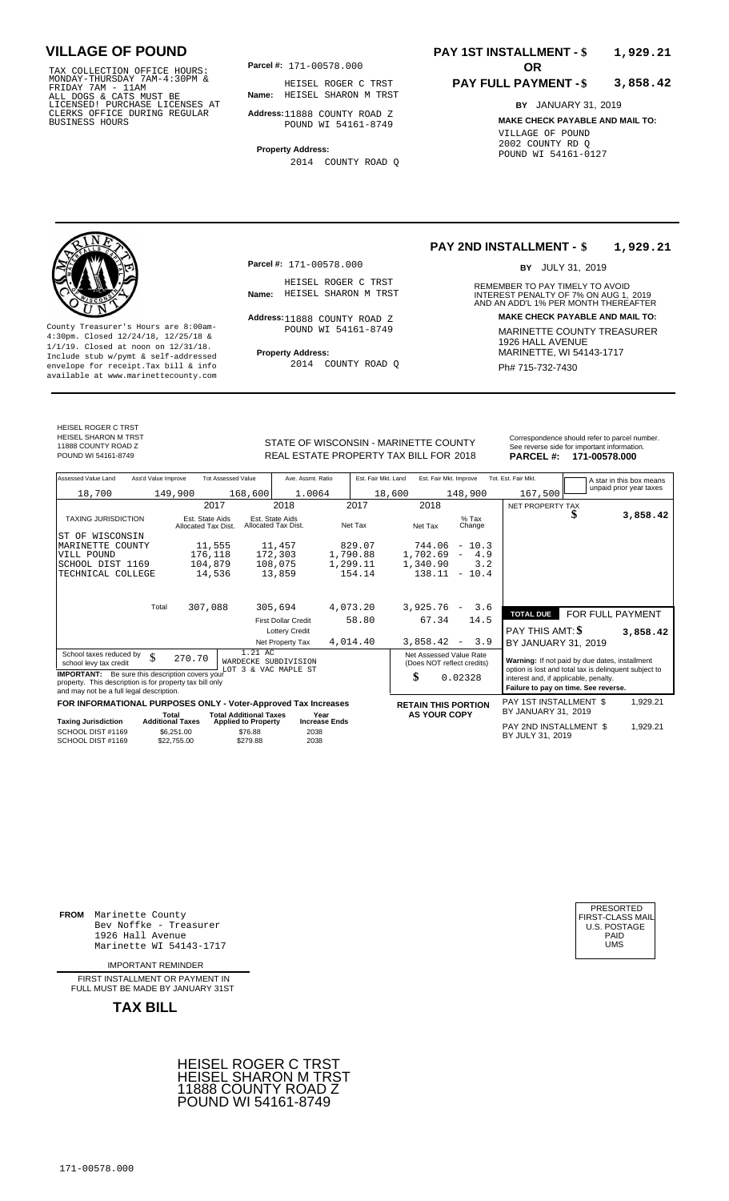TAX COLLECTION OFFICE HOURS:<br>
MONDAY-THURSDAY 7AM-4:30PM & HEISEL ROGER C<br>
FRIDAY 7AM - 11AM<br>
ALL DOGS & CATS MUST BE **Name:** HEISEL SHARON<br>
LICENSED ! PURCHASE LICENSES AT<br>
CLERKS OFFICE DURING REGULAR **Address**:11888 COU

**Parcel #:** 171-00578.000

**Name:** HEISEL SHARON M TRST HEISEL ROGER C TRST

**Address:** 11888 COUNTY ROAD Z POUND WI 54161-8749

**Property Address:** 2014 COUNTY ROAD Q

### **PAY 1ST INSTALLMENT - \$ 1,929.21**

#### **PAY FULL PAYMENT - \$ 3,858.42**

**BY** JANUARY 31, 2019 **MAKE CHECK PAYABLE AND MAIL TO:** VILLAGE OF POUND 2002 COUNTY RD Q POUND WI 54161-0127

**Property Address:** MARINETTE, WI 54143-1717 Include stub w/pymt & self-addressed envelope for receipt.Tax bill & info Fig. 2014 COUNTY ROAD Q Fig. 2014 Ph# 715-732-7430 available at www.marinettecounty.com

**Parcel #:** 171-00578.000

HEISEL ROGER C TRST<br>Name: HEISEL SHARON M TRST

Address: 11888 COUNTY ROAD Z POUND WI 54161-8749

2014 COUNTY ROAD Q

#### **PAY 2ND INSTALLMENT - \$ 1,929.21**

BY JULY 31, 2019

REMEMBER TO PAY TIMELY TO AVOID **Name:** HEISEL SHARON M TRST **INTEREST PENALTY OF 7% ON AUG 1, 2019**<br>AND AN ADD'L 1% PER MONTH THEREAFTER **Address: MAKE CHECK PAYABLE AND MAIL TO:** County Treasurer's Hours are 8:00am-<br>
4:30pm. Closed 12/24/18, 12/25/18 & MARINETTE COUNTY TREASURER<br>
1/1/19. Closed at noon on 12/31/18.<br>
Include stub w/pwmt & self-addressed **Property Address:** MARINETTE, WI 54143-1717

HEISEL ROGER C TRST HEISEL SHARON M TRST 11888 COUNTY ROAD Z

STATE OF WISCONSIN - MARINETTE COUNTY REAL ESTATE PROPERTY TAX BILL FOR **PARCEL #:** POUND WI 54161-8749 2018 **171-00578.000**

| Correspondence should refer to parcel number.<br>See reverse side for important information. |  |
|----------------------------------------------------------------------------------------------|--|
|                                                                                              |  |

| Assessed Value Land                                                                                                                                            | Ass'd Value Improve     |                                        | <b>Tot Assessed Value</b>                         | Ave. Assmt. Ratio                            |                      | Est. Fair Mkt. Land | Est. Fair Mkt. Improve                                |                            | Tot. Est. Fair Mkt.                                                           |  | A star in this box means                              |
|----------------------------------------------------------------------------------------------------------------------------------------------------------------|-------------------------|----------------------------------------|---------------------------------------------------|----------------------------------------------|----------------------|---------------------|-------------------------------------------------------|----------------------------|-------------------------------------------------------------------------------|--|-------------------------------------------------------|
| 18,700                                                                                                                                                         |                         | 149,900                                | 168,600                                           | 1.0064                                       |                      | 18,600              |                                                       | 148,900                    | 167,500                                                                       |  | unpaid prior year taxes                               |
|                                                                                                                                                                |                         | 2017                                   |                                                   | 2018                                         | 2017                 |                     | 2018                                                  |                            | NET PROPERTY TAX                                                              |  |                                                       |
| <b>TAXING JURISDICTION</b>                                                                                                                                     |                         | Est. State Aids<br>Allocated Tax Dist. |                                                   | Est. State Aids<br>Allocated Tax Dist.       | Net Tax              |                     | Net Tax                                               | $%$ Tax<br>Change          |                                                                               |  | 3,858.42                                              |
| WISCONSIN<br>ST OF                                                                                                                                             |                         |                                        |                                                   |                                              |                      |                     |                                                       |                            |                                                                               |  |                                                       |
| MARINETTE COUNTY                                                                                                                                               |                         | 11,555                                 |                                                   | 11,457                                       | 829.07               |                     |                                                       | $744.06 - 10.3$            |                                                                               |  |                                                       |
| VILL POUND                                                                                                                                                     |                         | 176,118                                |                                                   | 172,303                                      | 1,790.88             |                     |                                                       | $1,702.69 - 4.9$           |                                                                               |  |                                                       |
| SCHOOL DIST 1169                                                                                                                                               |                         | 104,879                                |                                                   | 108,075                                      | 1,299.11             |                     | 1,340.90                                              | 3.2                        |                                                                               |  |                                                       |
| TECHNICAL COLLEGE                                                                                                                                              |                         | 14,536                                 |                                                   | 13,859                                       | 154.14               |                     | 138.11                                                | $-10.4$                    |                                                                               |  |                                                       |
|                                                                                                                                                                |                         |                                        |                                                   |                                              |                      |                     |                                                       |                            |                                                                               |  |                                                       |
|                                                                                                                                                                | Total                   | 307,088                                |                                                   | 305,694                                      | 4,073.20             |                     | 3,925.76                                              | 3.6<br>$-$                 | <b>TOTAL DUE</b>                                                              |  | FOR FULL PAYMENT                                      |
|                                                                                                                                                                |                         |                                        |                                                   | <b>First Dollar Credit</b>                   | 58.80                |                     | 67.34                                                 | 14.5                       |                                                                               |  |                                                       |
|                                                                                                                                                                |                         |                                        |                                                   | <b>Lottery Credit</b>                        |                      |                     |                                                       |                            | <b>PAY THIS AMT: \$</b>                                                       |  | 3,858.42                                              |
|                                                                                                                                                                |                         |                                        |                                                   | Net Property Tax                             | 4,014.40             |                     | 3,858.42                                              | 3.9<br>$\sim$              | BY JANUARY 31, 2019                                                           |  |                                                       |
| School taxes reduced by<br>school levy tax credit                                                                                                              | \$                      | 270.70                                 | 1.21 AC                                           | WARDECKE SUBDIVISION<br>LOT 3 & VAC MAPLE ST |                      |                     | Net Assessed Value Rate<br>(Does NOT reflect credits) |                            | Warning: If not paid by due dates, installment                                |  | option is lost and total tax is delinquent subject to |
| <b>IMPORTANT:</b> Be sure this description covers your<br>property. This description is for property tax bill only<br>and may not be a full legal description. |                         |                                        |                                                   |                                              |                      |                     | \$                                                    | 0.02328                    | interest and, if applicable, penalty.<br>Failure to pay on time. See reverse. |  |                                                       |
| FOR INFORMATIONAL PURPOSES ONLY - Voter-Approved Tax Increases                                                                                                 |                         |                                        |                                                   |                                              |                      |                     |                                                       | <b>RETAIN THIS PORTION</b> | PAY 1ST INSTALLMENT \$                                                        |  | 1,929.21                                              |
|                                                                                                                                                                | Total                   |                                        | <b>Total Additional Taxes</b>                     | Year                                         |                      |                     | <b>AS YOUR COPY</b>                                   |                            | BY JANUARY 31, 2019                                                           |  |                                                       |
| <b>Taxing Jurisdiction</b><br>SCHOOL DIST #1169<br>SCHOOL DIST #1169                                                                                           | <b>Additional Taxes</b> | \$6,251.00<br>\$22.755.00              | <b>Applied to Property</b><br>\$76.88<br>\$279.88 | 2038<br>2038                                 | <b>Increase Ends</b> |                     |                                                       |                            | PAY 2ND INSTALLMENT \$<br>BY JULY 31, 2019                                    |  | 1,929.21                                              |

**FROM** Marinette County Bev Noffke - Treasurer (U.S. POSTAGE)<br>1926 Hall Avenue (U.S. POSTAGE)<br>Marinette WI 54143-1717 (U.S. POSTAGE) 1926 Hall Avenue Marinette WI 54143-1717

IMPORTANT REMINDER

FIRST INSTALL MENT OR PAYMENT IN FULL MUST BE MADE BY JANUARY 31ST



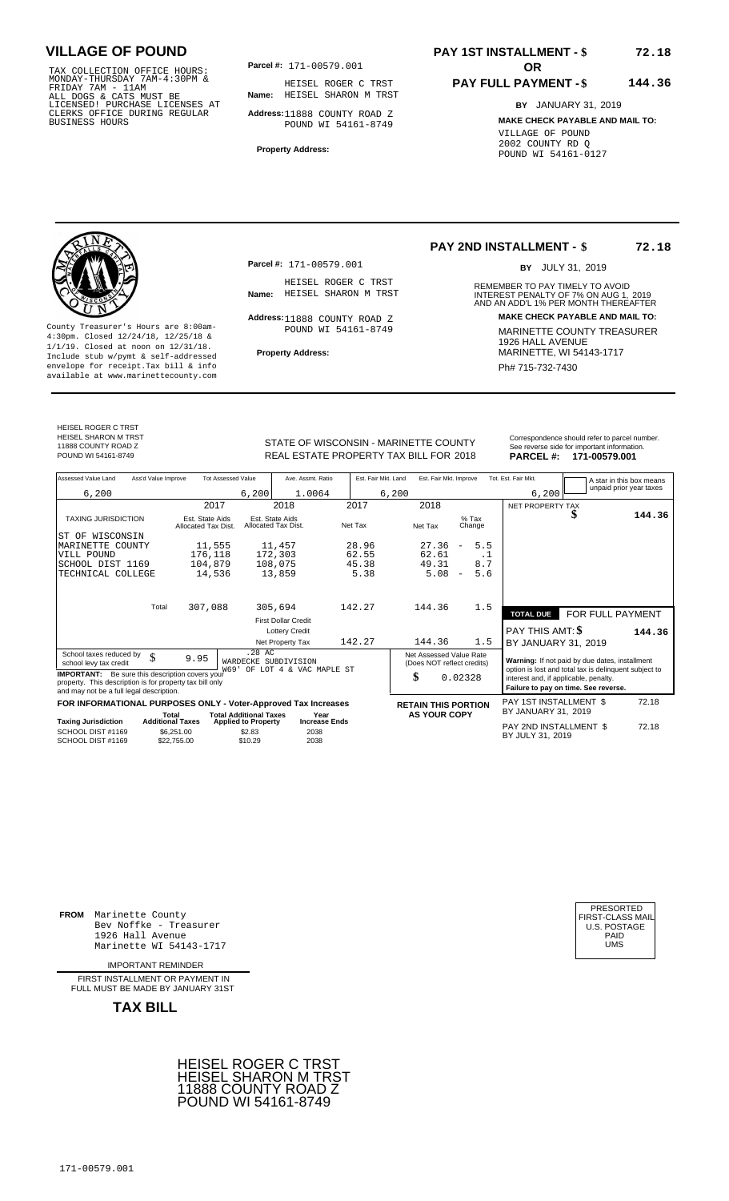TAX COLLECTION OFFICE HOURS:<br>
MONDAY-THURSDAY 7AM-4:30PM & HEISEL ROGER C<br>
FRIDAY 7AM - 11AM<br>
ALL DOGS & CATS MUST BE **Name:** HEISEL SHARON<br>
LICENSED ! PURCHASE LICENSES AT<br>
CLERKS OFFICE DURING REGULAR **Address**:11888 COU

**Parcel #: OR**

**Name:** HEISEL SHARON M TRST HEISEL ROGER C TRST

**Address:** 11888 COUNTY ROAD Z POUND WI 54161-8749

**Property Address:**

## **PAY 1ST INSTALLMENT - \$**

#### **PAY FULL PAYMENT - \$ 144.36**

**BY** JANUARY 31, 2019 **MAKE CHECK PAYABLE AND MAIL TO:** VILLAGE OF POUND 2002 COUNTY RD Q POUND WI 54161-0127

County Treasurer's Hours are 8:00am-<br>
4:30pm. Closed 12/24/18, 12/25/18 & MARINETTE COUNTY TREASURER<br>
1/1/19. Closed at noon on 12/31/18.<br>
Include stub w/pwmt. & self-addressed<br>
Property Address:<br>
MARINETTE, WI 54143-1717 **Property Address:** MARINETTE, WI 54143-1717 Include stub w/pymt & self-addressed envelope for receipt.Tax bill & info Phat is a set of the phat of the Phat 715-732-7430 envelope for receipt.Tax bill & info Phat 715-732-7430 envelope for the phat 715-732-7430 envelope for the phat 715-732-7430 envelope

**Parcel #:** 171-00579.001

HEISEL ROGER C TRST<br>Name: HEISEL SHARON M TRST

Address: 11888 COUNTY ROAD Z POUND WI 54161-8749

### **PAY 2ND INSTALLMENT - \$**

BY JULY 31, 2019

**72.18**

**72.18**

REMEMBER TO PAY TIMELY TO AVOID **Name:** HEISEL SHARON M TRST **INTEREST PENALTY OF 7% ON AUG 1, 2019**<br>AND AN ADD'L 1% PER MONTH THEREAFTER **Address: MAKE CHECK PAYABLE AND MAIL TO:**

HEISEL ROGER C TRST HEISEL SHARON M TRST 11888 COUNTY ROAD Z

STATE OF WISCONSIN - MARINETTE COUNTY<br>
See reverse side for important information.<br>
REAL ESTATE PROPERTY TAX BILL FOR 2018 PARCEL #: 171-00579.001 REAL ESTATE PROPERTY TAX BILL FOR **PARCEL #:** POUND WI 54161-8749 2018 **171-00579.001**

| Assessed Value Land                                                                                                                                            | Ass'd Value Improve              |                                        | <b>Tot Assessed Value</b>                                   |                                        | Ave. Assmt. Ratio            |         | Est. Fair Mkt. Land | Est. Fair Mkt. Improve                                |                          |                   | Tot. Est. Fair Mkt.                                                                                     |    | A star in this box means |
|----------------------------------------------------------------------------------------------------------------------------------------------------------------|----------------------------------|----------------------------------------|-------------------------------------------------------------|----------------------------------------|------------------------------|---------|---------------------|-------------------------------------------------------|--------------------------|-------------------|---------------------------------------------------------------------------------------------------------|----|--------------------------|
| 6,200                                                                                                                                                          |                                  |                                        | 6,200                                                       |                                        | 1.0064                       |         | 6,200               |                                                       |                          |                   | 6,200                                                                                                   |    | unpaid prior year taxes  |
|                                                                                                                                                                |                                  | 2017                                   |                                                             | 2018                                   |                              | 2017    |                     | 2018                                                  |                          |                   | NET PROPERTY TAX                                                                                        |    |                          |
| <b>TAXING JURISDICTION</b>                                                                                                                                     |                                  | Est. State Aids<br>Allocated Tax Dist. |                                                             | Est. State Aids<br>Allocated Tax Dist. |                              | Net Tax |                     | Net Tax                                               |                          | $%$ Tax<br>Change |                                                                                                         | ۰D | 144.36                   |
| WISCONSIN<br>ST OF                                                                                                                                             |                                  |                                        |                                                             |                                        |                              |         |                     |                                                       |                          |                   |                                                                                                         |    |                          |
| MARINETTE COUNTY                                                                                                                                               |                                  | 11,555                                 |                                                             | 11,457                                 |                              | 28.96   |                     | 27.36                                                 | $\overline{\phantom{m}}$ | 5.5               |                                                                                                         |    |                          |
| VILL POUND                                                                                                                                                     |                                  | 176,118                                |                                                             | 172,303                                |                              | 62.55   |                     | 62.61                                                 |                          | . 1               |                                                                                                         |    |                          |
| SCHOOL DIST 1169                                                                                                                                               |                                  | 104,879                                |                                                             | 108,075                                |                              | 45.38   |                     | 49.31                                                 |                          | 8.7               |                                                                                                         |    |                          |
| TECHNICAL COLLEGE                                                                                                                                              |                                  | 14,536                                 |                                                             | 13,859                                 |                              | 5.38    |                     | 5.08                                                  | $\overline{\phantom{m}}$ | 5.6               |                                                                                                         |    |                          |
|                                                                                                                                                                | Total                            | 307,088                                |                                                             | 305,694                                |                              | 142.27  |                     | 144.36                                                |                          | 1.5               |                                                                                                         |    |                          |
|                                                                                                                                                                |                                  |                                        |                                                             | <b>First Dollar Credit</b>             |                              |         |                     |                                                       |                          |                   | <b>TOTAL DUE</b>                                                                                        |    | FOR FULL PAYMENT         |
|                                                                                                                                                                |                                  |                                        |                                                             |                                        | <b>Lottery Credit</b>        |         |                     |                                                       |                          |                   | PAY THIS AMT: \$                                                                                        |    | 144.36                   |
|                                                                                                                                                                |                                  |                                        |                                                             | Net Property Tax                       |                              | 142.27  |                     | 144.36                                                |                          | 1.5               | BY JANUARY 31, 2019                                                                                     |    |                          |
| School taxes reduced by<br>school levy tax credit                                                                                                              | \$                               | 9.95                                   | WARDECKE SUBDIVISION<br>W69'                                | .28 AC                                 | OF LOT 4 & VAC MAPLE ST      |         |                     | Net Assessed Value Rate<br>(Does NOT reflect credits) |                          |                   | Warning: If not paid by due dates, installment<br>option is lost and total tax is delinquent subject to |    |                          |
| <b>IMPORTANT:</b> Be sure this description covers your<br>property. This description is for property tax bill only<br>and may not be a full legal description. |                                  |                                        |                                                             |                                        |                              |         |                     | \$                                                    | 0.02328                  |                   | interest and, if applicable, penalty.<br>Failure to pay on time. See reverse.                           |    |                          |
| FOR INFORMATIONAL PURPOSES ONLY - Voter-Approved Tax Increases                                                                                                 |                                  |                                        |                                                             |                                        |                              |         |                     | <b>RETAIN THIS PORTION</b>                            |                          |                   | PAY 1ST INSTALLMENT \$                                                                                  |    | 72.18                    |
| <b>Taxing Jurisdiction</b>                                                                                                                                     | Total<br><b>Additional Taxes</b> |                                        | <b>Total Additional Taxes</b><br><b>Applied to Property</b> |                                        | Year<br><b>Increase Ends</b> |         |                     | <b>AS YOUR COPY</b>                                   |                          |                   | BY JANUARY 31, 2019                                                                                     |    |                          |
| SCHOOL DIST #1169<br>SCHOOL DIST #1169                                                                                                                         | \$6.251.00<br>\$22,755.00        |                                        | \$2.83<br>\$10.29                                           |                                        | 2038<br>2038                 |         |                     |                                                       |                          |                   | PAY 2ND INSTALLMENT \$<br>BY JULY 31, 2019                                                              |    | 72.18                    |

**FROM** Marinette County Bev Noffke - Treasurer 1926 Hall Avenue PAID Marinette WI 54143-1717 UMS

IMPORTANT REMINDER

FIRST INSTALLMENT OR PAYMENT IN FULL MUST BE MADE BY JANUARY 31ST



| PRESORTED           |
|---------------------|
| FIRST-CLASS MAIL    |
| <b>U.S. POSTAGE</b> |
| PAID                |
| UMS                 |
|                     |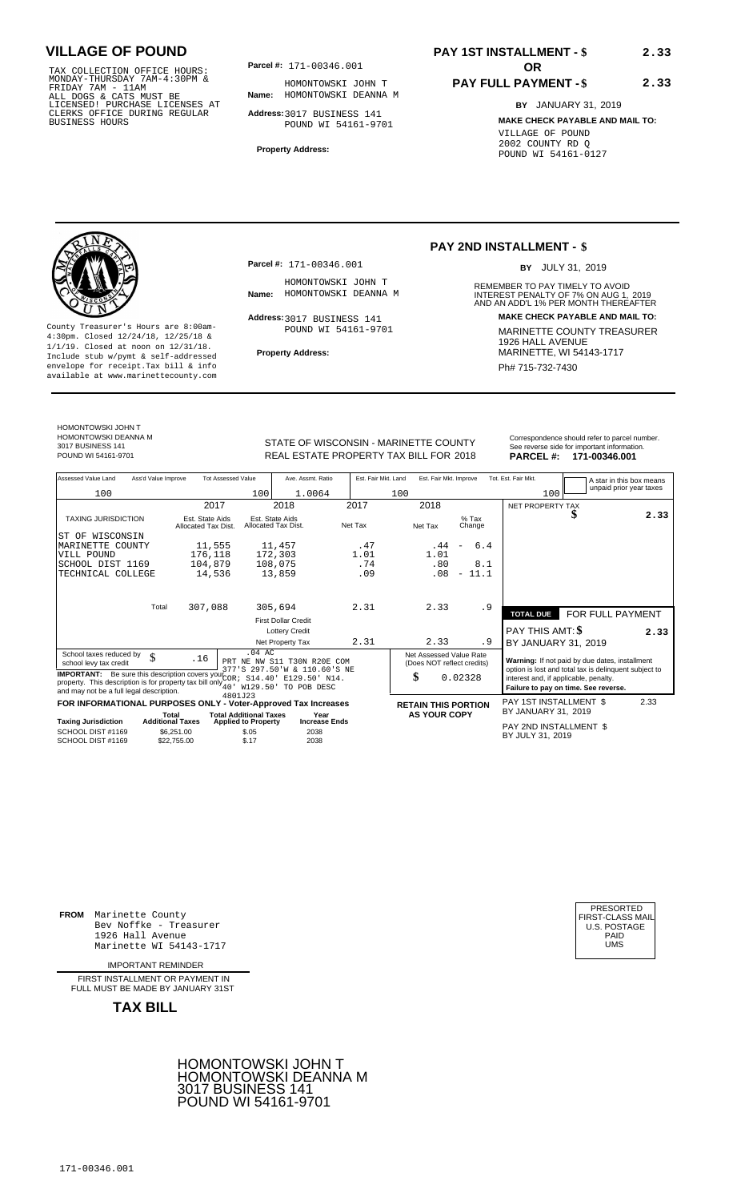TAX COLLECTION OFFICE HOURS:<br>
MONDAY-THURSDAY 7AM-4:30PM & HOMONTOWSKI JC<br>
FRIDAY 7AM - 11AM<br>
ALL DOGS & CATS MUST BE **Name**: HOMONTOWSKI DE<br>
LICENSED ! PURCHASE LICENSES AT<br>
CLERKS OFFICE DURING REGULAR **Address**:3017 BUS

**Parcel #:** 171-00346.001 **OR** 

**Name:** HOMONTOWSKI DEANNA M HOMONTOWSKI JOHN T

**Address:** 3017 BUSINESS 141 POUND WI 54161-9701

**Property Address:**

## **PAY 1ST INSTALLMENT - \$**

### **PAY FULL PAYMENT - \$**

**BY** JANUARY 31, 2019 **MAKE CHECK PAYABLE AND MAIL TO:** VILLAGE OF POUND 2002 COUNTY RD Q POUND WI 54161-0127

**2.33**

**2.33**



**Property Address:** MARINETTE, WI 54143-1717 Include stub w/pymt & self-addressed envelope for receipt.Tax bill & info Phat is a set of the phat of the Phat 715-732-7430 envelope for receipt.Tax bill & info Phat 715-732-7430 envelope for the phat 715-732-7430 envelope for the phat 715-732-7430 envelope

**Parcel #:** 171-00346.001

HOMONTOWSKI JOHN T<br>Name: HOMONTOWSKI DEANNA M

Address: 3017 BUSINESS 141 POUND WI 54161-9701

### **PAY 2ND INSTALLMENT - \$**

BY JULY 31, 2019

REMEMBER TO PAY TIMELY TO AVOID **Name:** HOMONTOWSKI DEANNA M **INTEREST PENALTY OF 7% ON AUG 1, 2019**<br>AND AN ADD'L 1% PER MONTH THEREAFTER **Address: MAKE CHECK PAYABLE AND MAIL TO:** County Treasurer's Hours are 8:00am-<br>
4:30pm. Closed 12/24/18, 12/25/18 & MARINETTE COUNTY TREASURER<br>
1/1/19. Closed at noon on 12/31/18.<br>
Include stub w/pwmt. & self-addressed<br> **Property Address:** MARINETTE, WI 54143-1717

HOMONTOWSKI JOHN T HOMONTOWSKI DEANNA M 3017 BUSINESS 141

STATE OF WISCONSIN - MARINETTE COUNTY<br>
See reverse side for important information.<br>
REAL ESTATE PROPERTY TAX BILL FOR 2018 PARCEL #: 171-00346.001 REAL ESTATE PROPERTY TAX BILL FOR **PARCEL #:** POUND WI 54161-9701 2018 **171-00346.001**

| Assessed Value Land                                                                                                                                                                                                | Ass'd Value Improve     |                                        | <b>Tot Assessed Value</b>                    |                                        | Ave. Assmt. Ratio                                           | Est. Fair Mkt. Land | Est. Fair Mkt. Improve                                |                                  | Tot. Est. Fair Mkt.                        | A star in this box means                                                                                |      |
|--------------------------------------------------------------------------------------------------------------------------------------------------------------------------------------------------------------------|-------------------------|----------------------------------------|----------------------------------------------|----------------------------------------|-------------------------------------------------------------|---------------------|-------------------------------------------------------|----------------------------------|--------------------------------------------|---------------------------------------------------------------------------------------------------------|------|
| 100                                                                                                                                                                                                                |                         |                                        | 100                                          |                                        | 1.0064                                                      |                     | 100                                                   |                                  | 100                                        | unpaid prior year taxes                                                                                 |      |
|                                                                                                                                                                                                                    |                         | 2017                                   |                                              | 2018                                   |                                                             | 2017                | 2018                                                  |                                  | NET PROPERTY TAX                           |                                                                                                         |      |
| <b>TAXING JURISDICTION</b>                                                                                                                                                                                         |                         | Est. State Aids<br>Allocated Tax Dist. |                                              | Est. State Aids<br>Allocated Tax Dist. |                                                             | Net Tax             | Net Tax                                               | $%$ Tax<br>Change                |                                            |                                                                                                         | 2.33 |
| ST OF WISCONSIN                                                                                                                                                                                                    |                         |                                        |                                              |                                        |                                                             |                     |                                                       |                                  |                                            |                                                                                                         |      |
| MARINETTE<br>COUNTY                                                                                                                                                                                                |                         | 11,555                                 |                                              | 11,457                                 |                                                             | .47                 | .44                                                   | 6.4                              |                                            |                                                                                                         |      |
| VILL POUND                                                                                                                                                                                                         |                         | 176,118                                |                                              | 172,303                                |                                                             | 1.01                | 1.01                                                  |                                  |                                            |                                                                                                         |      |
| SCHOOL DIST 1169                                                                                                                                                                                                   |                         | 104,879                                |                                              | 108,075                                |                                                             | .74                 | .80                                                   | 8.1                              |                                            |                                                                                                         |      |
| TECHNICAL COLLEGE                                                                                                                                                                                                  |                         | 14,536                                 |                                              | 13,859                                 |                                                             | .09                 | .08                                                   | 11.1<br>$\overline{\phantom{a}}$ |                                            |                                                                                                         |      |
|                                                                                                                                                                                                                    |                         |                                        |                                              |                                        |                                                             |                     |                                                       |                                  |                                            |                                                                                                         |      |
|                                                                                                                                                                                                                    | Total                   | 307,088                                |                                              | 305,694                                |                                                             | 2.31                | 2.33                                                  | . 9                              | <b>TOTAL DUE</b>                           | FOR FULL PAYMENT                                                                                        |      |
|                                                                                                                                                                                                                    |                         |                                        |                                              | <b>First Dollar Credit</b>             |                                                             |                     |                                                       |                                  |                                            |                                                                                                         |      |
|                                                                                                                                                                                                                    |                         |                                        |                                              | <b>Lottery Credit</b>                  |                                                             |                     |                                                       |                                  | <b>PAY THIS AMT: \$</b>                    |                                                                                                         | 2.33 |
|                                                                                                                                                                                                                    |                         |                                        |                                              | Net Property Tax                       |                                                             | 2.31                | 2.33                                                  | . 9                              | BY JANUARY 31, 2019                        |                                                                                                         |      |
| School taxes reduced by<br>school levy tax credit                                                                                                                                                                  | \$                      | .16                                    | $.04$ AC                                     |                                        | PRT NE NW S11 T30N R20E COM<br>377'S 297.50'W & 110.60'S NE |                     | Net Assessed Value Rate<br>(Does NOT reflect credits) |                                  |                                            | Warning: If not paid by due dates, installment<br>option is lost and total tax is delinquent subject to |      |
| <b>IMPORTANT:</b> Be sure this description covers your $\frac{1}{2}$<br>property. This description is for property tax bill only $\frac{1}{40}$ , $\frac{1}{129}$ , 50<br>and may not be a full legal description. |                         |                                        | 4801J23                                      |                                        | S14.40' E129.50' N14.<br>TO POB DESC                        |                     | \$                                                    | 0.02328                          | interest and, if applicable, penalty.      | Failure to pay on time. See reverse.                                                                    |      |
| FOR INFORMATIONAL PURPOSES ONLY - Voter-Approved Tax Increases                                                                                                                                                     |                         |                                        |                                              |                                        |                                                             |                     | <b>RETAIN THIS PORTION</b>                            |                                  | PAY 1ST INSTALLMENT \$                     |                                                                                                         | 2.33 |
|                                                                                                                                                                                                                    | Total                   |                                        | <b>Total Additional Taxes</b>                |                                        | Year                                                        |                     | <b>AS YOUR COPY</b>                                   |                                  | BY JANUARY 31, 2019                        |                                                                                                         |      |
| <b>Taxing Jurisdiction</b><br>SCHOOL DIST #1169<br>SCHOOL DIST #1169                                                                                                                                               | <b>Additional Taxes</b> | \$6,251.00<br>\$22,755.00              | <b>Applied to Property</b><br>\$.05<br>\$.17 |                                        | <b>Increase Ends</b><br>2038<br>2038                        |                     |                                                       |                                  | PAY 2ND INSTALLMENT \$<br>BY JULY 31, 2019 |                                                                                                         |      |

**FROM** Marinette County Bev Noffke - Treasurer (U.S. POSTAGE)<br>1926 Hall Avenue (U.S. POSTAGE)<br>Marinette WI 54143-1717 (U.S. POSTAGE) 1926 Hall Avenue PAID Marinette WI 54143-1717 UMS

IMPORTANT REMINDER

FIRST INSTALL MENT OR PAYMENT IN FULL MUST BE MADE BY JANUARY 31ST



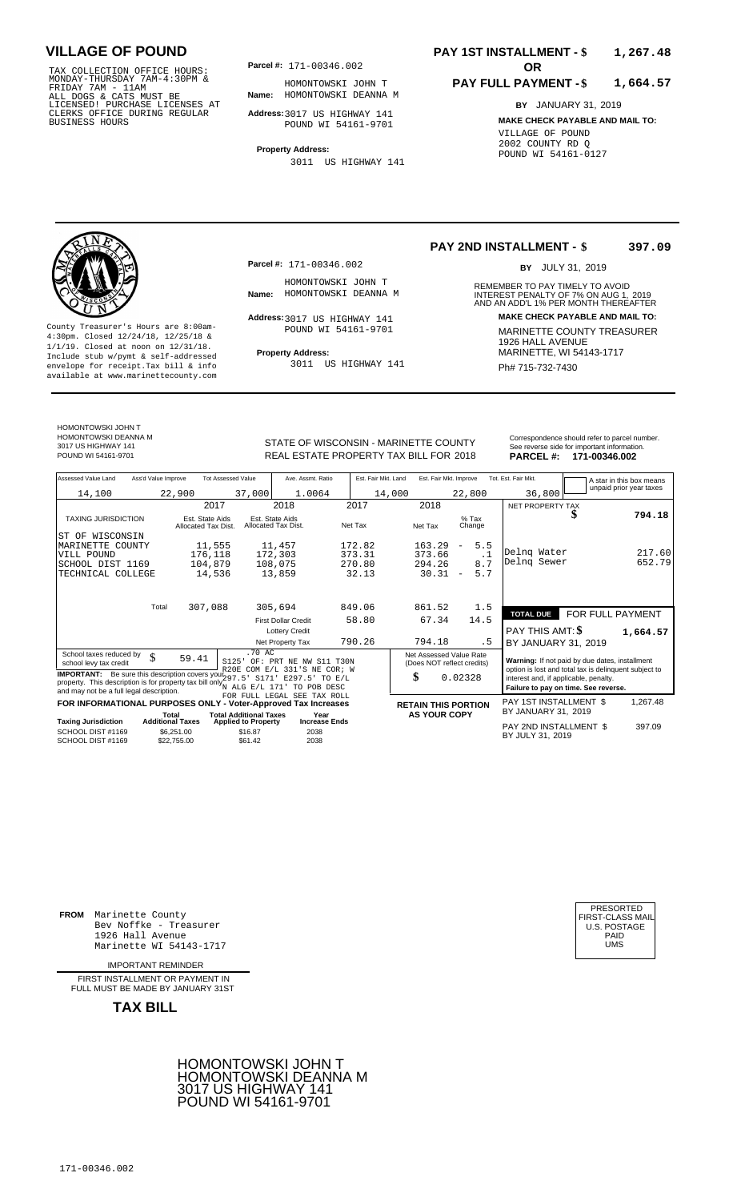TAX COLLECTION OFFICE HOURS:<br>
MONDAY-THURSDAY 7AM-4:30PM & HOMONTOWSKI JC<br>
FRIDAY 7AM - 11AM<br>
ALL DOGS & CATS MUST BE **Name**: HOMONTOWSKI DE<br>
LICENSED ! PURCHASE LICENSES AT<br>
CLERKS OFFICE DURING REGULAR **Address**:3017 US

**Parcel #:** 171-00346.002 **OR** 

**Name:** HOMONTOWSKI DEANNA M HOMONTOWSKI JOHN T

**Address:** 3017 US HIGHWAY 141 POUND WI 54161-9701

**Property Address:** 3011 US HIGHWAY 141

### **PAY 1ST INSTALLMENT - \$ 1,267.48**

#### **PAY FULL PAYMENT - \$ 1,664.57**

**BY** JANUARY 31, 2019 **MAKE CHECK PAYABLE AND MAIL TO:** VILLAGE OF POUND 2002 COUNTY RD Q POUND WI 54161-0127

**Property Address:** Mariner Address: 1/1/19. Closed at noon on 12/31/18.<br>Include stub w/pymt & self-addressed envelope for receipt.Tax bill & info 3011 US HIGHWAY 141 Ph# 715-732-7430 available at www.marinettecounty.com

**Parcel #:** 171-00346.002

HOMONTOWSKI JOHN T<br>Name: HOMONTOWSKI DEANNA M

Address: 3017 US HIGHWAY 141 POUND WI 54161-9701

3011 US HIGHWAY 141

#### **PAY 2ND INSTALLMENT - \$ 397.09**

BY JULY 31, 2019

REMEMBER TO PAY TIMELY TO AVOID **Name:** HOMONTOWSKI DEANNA M **INTEREST PENALTY OF 7% ON AUG 1, 2019**<br>AND AN ADD'L 1% PER MONTH THEREAFTER **Address: MAKE CHECK PAYABLE AND MAIL TO:** County Treasurer's Hours are 8:00am-<br>
4:30pm. Closed 12/24/18, 12/25/18 & MARINETTE COUNTY TREASURER<br>
1/1/19. Closed at noon on 12/31/18.<br>
Include stub w/pwmt & self-addressed **Property Address:** MARINETTE, WI 54143-1717

HOMONTOWSKI JOHN T

HOMONTOWSKI DEANNA M 3017 US HIGHWAY 141

STATE OF WISCONSIN - MARINETTE COUNTY<br>
See reverse side for important information.<br>
REAL ESTATE PROPERTY TAX BILL FOR 2018<br>
PARCEL #: 171-00346.002 REAL ESTATE PROPERTY TAX BILL FOR **PARCEL #:** POUND WI 54161-9701 2018 **171-00346.002**

|                                                                                               |                     |                                        |        |                                                                                  |                                     |                                     |                                                      |                   | .                          | 17 I VVVTVIVVL           |
|-----------------------------------------------------------------------------------------------|---------------------|----------------------------------------|--------|----------------------------------------------------------------------------------|-------------------------------------|-------------------------------------|------------------------------------------------------|-------------------|----------------------------|--------------------------|
| Assessed Value Land                                                                           | Ass'd Value Improve | <b>Tot Assessed Value</b>              |        | Ave. Assmt. Ratio                                                                | Est. Fair Mkt. Land                 | Est. Fair Mkt. Improve              |                                                      |                   | Tot. Est. Fair Mkt.        | A star in this box means |
| 14,100                                                                                        | 22,900              |                                        | 37.000 | 1.0064                                                                           | 14,000                              |                                     |                                                      | 22,800            | 36,800                     | unpaid prior year taxes  |
|                                                                                               |                     | 2017                                   |        | 2018                                                                             | 2017                                | 2018                                |                                                      |                   | NET PROPERTY TAX           |                          |
| <b>TAXING JURISDICTION</b>                                                                    |                     | Est. State Aids<br>Allocated Tax Dist. |        | Est. State Aids<br>Allocated Tax Dist.                                           | Net Tax                             | Net Tax                             |                                                      | % Tax<br>Change   |                            | 794.18                   |
| ST OF<br>WISCONSIN<br>MARINETTE COUNTY<br>VILL POUND<br>SCHOOL DIST 1169<br>TECHNICAL COLLEGE |                     | 11,555<br>176,118<br>104,879<br>14,536 |        | 11,457<br>172,303<br>108,075<br>13,859                                           | 172.82<br>373.31<br>270.80<br>32.13 | 163.29<br>373.66<br>294.26<br>30.31 | $\overline{\phantom{a}}$<br>$\overline{\phantom{m}}$ | 5.5<br>8.7<br>5.7 | Delng Water<br>Delng Sewer | 217.60<br>652.79         |
|                                                                                               | $T - 1 - 1$         | 20000                                  |        | $\begin{array}{c} \n\bullet \bullet \bullet \bullet \bullet \bullet \end{array}$ | 0.1000                              | $0.01$ $0.02$                       |                                                      |                   |                            |                          |

| MARINETTE COUNTY                                                                                                                                 | 11,555                                     | 11,457                                                      | 172.82                       | 163.29                                                | 5.5<br>$\overline{\phantom{a}}$ |                                                                                                                                        |                  |
|--------------------------------------------------------------------------------------------------------------------------------------------------|--------------------------------------------|-------------------------------------------------------------|------------------------------|-------------------------------------------------------|---------------------------------|----------------------------------------------------------------------------------------------------------------------------------------|------------------|
| VILL POUND                                                                                                                                       | 176,118                                    | 172,303                                                     | 373.31                       | 373.66                                                | $\cdot$ 1                       | Delng Water                                                                                                                            | 217.60           |
| SCHOOL DIST 1169                                                                                                                                 | 104,879                                    | 108,075                                                     | 270.80                       | 294.26                                                | 8.7                             | Delng Sewer                                                                                                                            | 652.79           |
| TECHNICAL COLLEGE                                                                                                                                | 14,536                                     | 13,859                                                      | 32.13                        | 30.31                                                 | 5.7<br>$\overline{\phantom{a}}$ |                                                                                                                                        |                  |
| Total                                                                                                                                            | 307,088                                    | 305,694                                                     | 849.06                       | 861.52                                                | 1.5                             |                                                                                                                                        |                  |
|                                                                                                                                                  |                                            | <b>First Dollar Credit</b>                                  | 58.80                        | 67.34                                                 | 14.5                            | <b>TOTAL DUE</b>                                                                                                                       | FOR FULL PAYMENT |
|                                                                                                                                                  |                                            | <b>Lottery Credit</b>                                       |                              |                                                       |                                 | PAY THIS AMT: \$                                                                                                                       | 1,664.57         |
|                                                                                                                                                  |                                            | Net Property Tax                                            | 790.26                       | 794.18                                                | . 5                             | BY JANUARY 31, 2019                                                                                                                    |                  |
| School taxes reduced by<br>¢<br>۰D<br>school levy tax credit                                                                                     | 59.41                                      | .70 AC<br>S125'<br>OF:<br>PRT NE NW S11 T30N                |                              | Net Assessed Value Rate<br>(Does NOT reflect credits) |                                 | Warning: If not paid by due dates, installment                                                                                         |                  |
| <b>IMPORTANT:</b><br>property. This description is for property tax bill only $_{N}^{2}$ ALG E/L 171<br>and may not be a full legal description. | Be sure this description covers your 297.5 | R20E COM E/L 331'S NE COR; W<br>S171' E297.5' TO<br>TO.     | E/T <sub>1</sub><br>POB DESC | \$                                                    | 0.02328                         | option is lost and total tax is delinquent subject to<br>interest and, if applicable, penalty.<br>Failure to pay on time. See reverse. |                  |
| FOR INFORMATIONAL PURPOSES ONLY - Voter-Approved Tax Increases                                                                                   |                                            | FOR FULL LEGAL SEE TAX ROLL                                 |                              | <b>RETAIN THIS PORTION</b>                            |                                 | PAY 1ST INSTALLMENT \$                                                                                                                 | 1,267.48         |
| <b>Taxing Jurisdiction</b>                                                                                                                       | Total<br><b>Additional Taxes</b>           | <b>Total Additional Taxes</b><br><b>Applied to Property</b> | Year<br><b>Increase Ends</b> | <b>AS YOUR COPY</b>                                   |                                 | BY JANUARY 31, 2019<br>PAY 2ND INSTALLMENT \$                                                                                          | 397.09           |
| SCHOOL DIST #1169<br>SCHOOL DIST #1169                                                                                                           | \$6.251.00<br>\$22,755.00                  | 2038<br>\$16.87<br>2038<br>\$61.42                          |                              |                                                       |                                 | BY JULY 31, 2019                                                                                                                       |                  |
|                                                                                                                                                  |                                            |                                                             |                              |                                                       |                                 |                                                                                                                                        |                  |

**FROM** Marinette County Bev Noffke - Treasurer (U.S. POSTAGE)<br>1926 Hall Avenue (U.S. POSTAGE)<br>Marinette WI 54143-1717 (UMS 1926 Hall Avenue Marinette WI 54143-1717

IMPORTANT REMINDER

FIRST INSTALL MENT OR PAYMENT IN FULL MUST BE MADE BY JANUARY 31ST



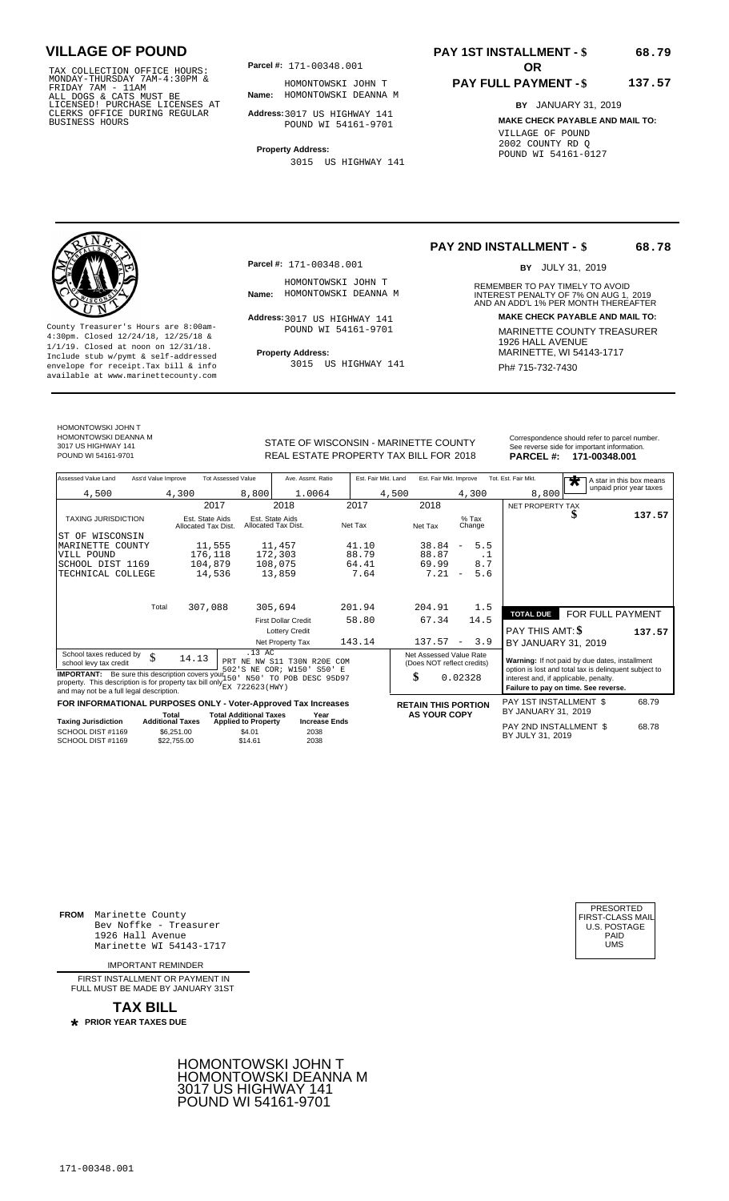TAX COLLECTION OFFICE HOURS:<br>
MONDAY-THURSDAY 7AM-4:30PM & HOMONTOWSKI JC<br>
FRIDAY 7AM - 11AM<br>
ALL DOGS & CATS MUST BE **Name:** HOMONTOWSKI DE<br>
LICENSED ! PURCHASE LICENSES AT<br>
CLERKS OFFICE DURING REGULAR **Address**:3017 US

**Parcel #: OR**

**Name:** HOMONTOWSKI DEANNA M HOMONTOWSKI JOHN T

**Address:** 3017 US HIGHWAY 141 POUND WI 54161-9701

**Property Address:** 3015 US HIGHWAY 141

## **PAY 1ST INSTALLMENT - \$**

#### **PAY FULL PAYMENT - \$ 137.57**

**BY** JANUARY 31, 2019 **MAKE CHECK PAYABLE AND MAIL TO:** VILLAGE OF POUND 2002 COUNTY RD Q POUND WI 54161-0127

**Property Address:** MARINETTE, WI 54143-1717 Include stub w/pymt & self-addressed envelope for receipt.Tax bill & info Film Roll Build US HIGHWAY 141 Film Ph# **715-732-7430** available at www.marinettecounty.com

**Parcel #:** 171-00348.001

HOMONTOWSKI JOHN T<br>Name: HOMONTOWSKI DEANNA M

Address: 3017 US HIGHWAY 141 POUND WI 54161-9701

3015 US HIGHWAY 141

### **PAY 2ND INSTALLMENT - \$**

BY JULY 31, 2019

**68.78**

**68.79**

REMEMBER TO PAY TIMELY TO AVOID **Name:** HOMONTOWSKI DEANNA M **INTEREST PENALTY OF 7% ON AUG 1, 2019**<br>AND AN ADD'L 1% PER MONTH THEREAFTER **Address: MAKE CHECK PAYABLE AND MAIL TO:** County Treasurer's Hours are 8:00am-<br>
4:30pm. Closed 12/24/18, 12/25/18 & MARINETTE COUNTY TREASURER<br>
1/1/19. Closed at noon on 12/31/18.<br>
Include stub w/pwmt & self-addressed **Property Address:** MARINETTE, WI 54143-1717

HOMONTOWSKI JOHN T HOMONTOWSKI DEANNA M 3017 US HIGHWAY 141

STATE OF WISCONSIN - MARINETTE COUNTY<br>
See reverse side for important information.<br>
REAL ESTATE PROPERTY TAX BILL FOR 2018 PARCEL #: 171-00348.001 REAL ESTATE PROPERTY TAX BILL FOR **PARCEL #:** POUND WI 54161-9701 2018 **171-00348.001**

| Assessed Value Land                                                                                                              | Ass'd Value Improve |                                        | <b>Tot Assessed Value</b>     | Ave. Assmt. Ratio                                     | Est. Fair Mkt. Land |                                                             | Est. Fair Mkt. Improve          | Tot. Est. Fair Mkt.                           | $\bigstar$                                                                                              | A star in this box means<br>unpaid prior year taxes |
|----------------------------------------------------------------------------------------------------------------------------------|---------------------|----------------------------------------|-------------------------------|-------------------------------------------------------|---------------------|-------------------------------------------------------------|---------------------------------|-----------------------------------------------|---------------------------------------------------------------------------------------------------------|-----------------------------------------------------|
| 4,500                                                                                                                            |                     | 4,300                                  | 8,800                         | 1.0064                                                |                     | 4,500                                                       | 4,300                           | 8,800                                         |                                                                                                         |                                                     |
|                                                                                                                                  |                     | 2017                                   |                               | 2018                                                  | 2017                | 2018                                                        |                                 | NET PROPERTY TAX                              |                                                                                                         |                                                     |
| <b>TAXING JURISDICTION</b>                                                                                                       |                     | Est. State Aids<br>Allocated Tax Dist. |                               | Est. State Aids<br>Allocated Tax Dist.                | Net Tax             | Net Tax                                                     | $%$ Tax<br>Change               |                                               | D                                                                                                       | 137.57                                              |
| WISCONSIN<br>ST OF                                                                                                               |                     |                                        |                               |                                                       |                     |                                                             |                                 |                                               |                                                                                                         |                                                     |
| MARINETTE COUNTY                                                                                                                 |                     | 11,555                                 |                               | 11,457                                                | 41.10               | 38.84                                                       | 5.5<br>$\overline{\phantom{a}}$ |                                               |                                                                                                         |                                                     |
| VILL POUND                                                                                                                       |                     | 176,118                                |                               | 172,303                                               | 88.79               | 88.87                                                       | $\cdot$ 1                       |                                               |                                                                                                         |                                                     |
| SCHOOL DIST 1169                                                                                                                 |                     | 104,879                                |                               | 108,075                                               | 64.41               | 69.99                                                       | 8.7                             |                                               |                                                                                                         |                                                     |
| TECHNICAL                                                                                                                        | COLLEGE             | 14,536                                 |                               | 13,859                                                | 7.64                | 7.21                                                        | 5.6<br>$\qquad \qquad -$        |                                               |                                                                                                         |                                                     |
|                                                                                                                                  | Total               |                                        |                               |                                                       | 201.94              | 204.91                                                      |                                 |                                               |                                                                                                         |                                                     |
|                                                                                                                                  |                     | 307,088                                |                               | 305,694                                               |                     |                                                             | 1.5                             | <b>TOTAL DUE</b>                              | FOR FULL PAYMENT                                                                                        |                                                     |
|                                                                                                                                  |                     |                                        |                               | <b>First Dollar Credit</b>                            | 58.80               | 67.34                                                       | 14.5                            |                                               |                                                                                                         |                                                     |
|                                                                                                                                  |                     |                                        |                               | <b>Lottery Credit</b>                                 |                     |                                                             |                                 | <b>PAY THIS AMT: \$</b>                       |                                                                                                         | 137.57                                              |
|                                                                                                                                  |                     |                                        |                               | Net Property Tax                                      | 143.14              | 137.57                                                      | 3.9<br>$\overline{\phantom{a}}$ | BY JANUARY 31, 2019                           |                                                                                                         |                                                     |
| School taxes reduced by<br>school levy tax credit<br><b>IMPORTANT:</b> Be sure this description covers your 150                  | \$                  | 14.13                                  | .13 AC<br>PRT                 | NE NW S11 T30N R20E COM<br>502'S NE COR; W150' S50' E |                     | Net Assessed Value Rate<br>(Does NOT reflect credits)<br>\$ |                                 |                                               | Warning: If not paid by due dates, installment<br>option is lost and total tax is delinguent subject to |                                                     |
| property. This description is for property tax bill only $_{\text{EX}}^{\text{222}}$<br>and may not be a full legal description. |                     |                                        | 722623(HWY)                   | N50' TO POB DESC 95D97                                |                     |                                                             | 0.02328                         | interest and, if applicable, penalty.         | Failure to pay on time. See reverse.                                                                    |                                                     |
| FOR INFORMATIONAL PURPOSES ONLY - Voter-Approved Tax Increases                                                                   |                     | Total                                  | <b>Total Additional Taxes</b> | Year                                                  |                     | <b>RETAIN THIS PORTION</b><br><b>AS YOUR COPY</b>           |                                 | PAY 1ST INSTALLMENT \$<br>BY JANUARY 31, 2019 |                                                                                                         | 68.79                                               |
| <b>Taxing Jurisdiction</b>                                                                                                       |                     | <b>Additional Taxes</b>                | <b>Applied to Property</b>    | <b>Increase Ends</b>                                  |                     |                                                             |                                 | PAY 2ND INSTALLMENT \$                        |                                                                                                         | 68.78                                               |
| SCHOOL DIST #1169<br>SCHOOL DIST #1169                                                                                           |                     | \$6.251.00<br>\$22,755.00              | \$4.01<br>\$14.61             | 2038<br>2038                                          |                     |                                                             |                                 | BY JULY 31, 2019                              |                                                                                                         |                                                     |

**FROM** Marinette County Bev Noffke - Treasurer (U.S. POSTAGE)<br>1926 Hall Avenue (U.S. POSTAGE)<br>Marinette WI 54143-1717 (UMS 1926 Hall Avenue Marinette WI 54143-1717

IMPORTANT REMINDER

FIRST INSTALL MENT OR PAYMENT IN FULL MUST BE MADE BY JANUARY 31ST

**TAX BILL**

 **PRIOR YEAR TAXES DUE \***





171-00348.001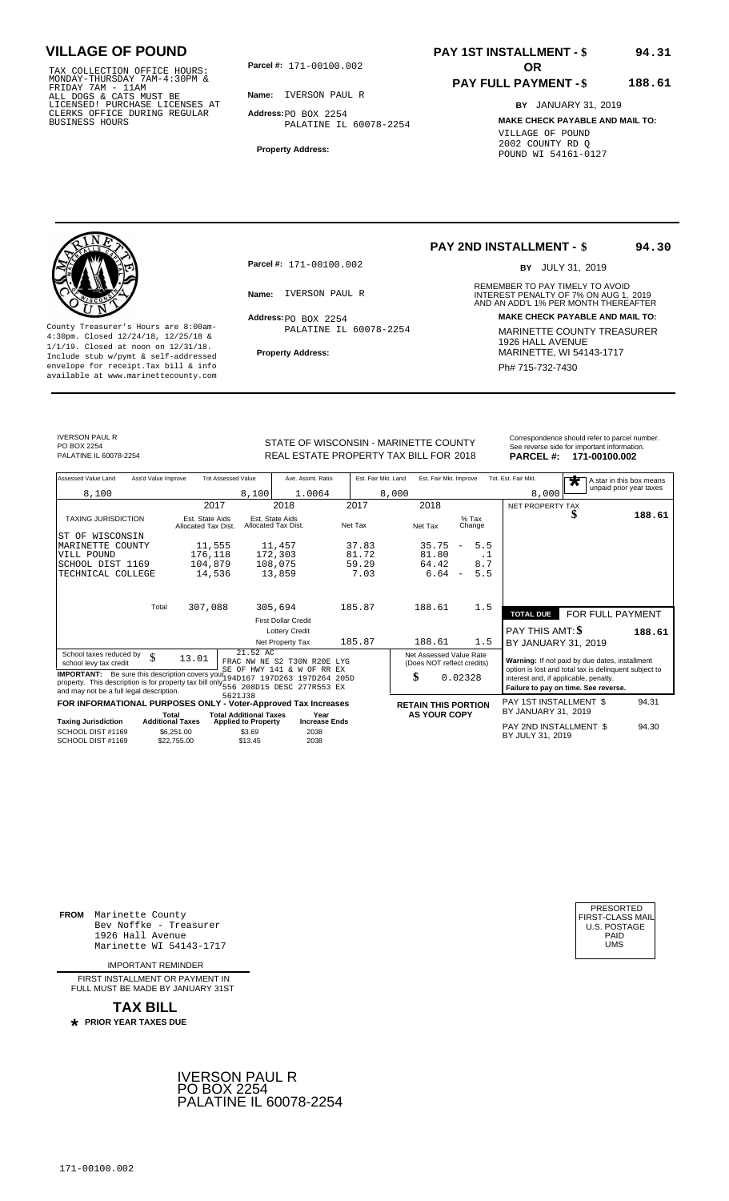171-00100.002 TAX COLLECTION OFFICE HOURS: MONDAY-THURSDAY 7AM-4:30PM & FRIDAY 7AM - 11AM ALL DOGS & CATS MUST BE LICENSED! PURCHASE LICENSES AT CLERKS OFFICE DURING REGULAR BUSINESS HOURS

**Parcel #: OR**

**Name:** IVERSON PAUL R

**Address:** PO BOX 2254 PALATINE IL 60078-2254

**Property Address:**

### **PAY 1ST INSTALLMENT - \$ 94.31**

#### **PAY FULL PAYMENT - \$ 188.61**

**BY** JANUARY 31, 2019 **MAKE CHECK PAYABLE AND MAIL TO:** VILLAGE OF POUND 2002 COUNTY RD Q POUND WI 54161-0127

**Property Address:** MARINETTE, WI 54143-1717 Include stub w/pymt & self-addressed envelope for receipt.Tax bill & info Phat is a set of the phat of the Phat 715-732-7430 envelope for receipt.Tax bill & info Phat 715-732-7430 envelope for the phat 715-732-7430 envelope for the phat 715-732-7430 envelope

**Parcel #:** 171-00100.002

 $Address:  $PO$  BOX 2254$ PALATINE IL 60078-2254

## **PAY 2ND INSTALLMENT - \$**

BY JULY 31, 2019

**94.30**

REMEMBER TO PAY TIMELY TO AVOID **Name:** IVERSON PAUL R<br> **INTEREST PENALTY OF 7% ON AUG 1, 2019**<br>
AND AN ADD'L 1% PER MONTH THEREAFTER **Address: MAKE CHECK PAYABLE AND MAIL TO:** County Treasurer's Hours are 8:00am-<br>
4:30pm. Closed 12/24/18, 12/25/18 & MARINETTE COUNTY TREASURER<br>
1/1/19. Closed at noon on 12/31/18.<br>
Include stub w/pwmt. & self-addressed<br>
Property Address: MARINETTE, WI 54143-1717

IVERSON PAUL R PO BOX 2254<br>PALATINE IL 60078-2254

### STATE OF WISCONSIN - MARINETTE COUNTY<br>
See reverse side for important information.<br>
REAL ESTATE PROPERTY TAX BILL FOR 2018 PARCEL #: 171-00100.002 REAL ESTATE PROPERTY TAX BILL FOR **PARCEL #:** PALATINE IL 60078-2254 2018 **171-00100.002**

| Assessed Value Land                                                                                                                                                                                                   | Ass'd Value Improve                    | <b>Tot Assessed Value</b>                                   | Ave. Assmt. Ratio                                         | Est. Fair Mkt. Land | Est. Fair Mkt. Improve                                |                                 | Tot. Est. Fair Mkt.                        | مالہ                                                                                                    | A star in this box means |
|-----------------------------------------------------------------------------------------------------------------------------------------------------------------------------------------------------------------------|----------------------------------------|-------------------------------------------------------------|-----------------------------------------------------------|---------------------|-------------------------------------------------------|---------------------------------|--------------------------------------------|---------------------------------------------------------------------------------------------------------|--------------------------|
| 8,100                                                                                                                                                                                                                 |                                        | 8,100                                                       | 1.0064                                                    |                     | 8,000                                                 |                                 | 8,000                                      |                                                                                                         | unpaid prior year taxes  |
|                                                                                                                                                                                                                       |                                        | 2017                                                        | 2018                                                      | 2017                | 2018                                                  |                                 | NET PROPERTY TAX                           |                                                                                                         |                          |
| <b>TAXING JURISDICTION</b>                                                                                                                                                                                            | Est. State Aids<br>Allocated Tax Dist. |                                                             | Est. State Aids<br>Allocated Tax Dist.                    | Net Tax             | Net Tax                                               | $%$ Tax<br>Change               |                                            | J                                                                                                       | 188.61                   |
| ST OF WISCONSIN                                                                                                                                                                                                       |                                        |                                                             |                                                           |                     |                                                       |                                 |                                            |                                                                                                         |                          |
| MARINETTE COUNTY                                                                                                                                                                                                      |                                        | 11,555                                                      | 11,457                                                    | 37.83               | 35.75                                                 | 5.5<br>$\overline{\phantom{m}}$ |                                            |                                                                                                         |                          |
| VILL POUND                                                                                                                                                                                                            |                                        | 176,118                                                     | 172,303                                                   | 81.72               | 81.80                                                 | . 1                             |                                            |                                                                                                         |                          |
| SCHOOL DIST 1169                                                                                                                                                                                                      |                                        | 104,879                                                     | 108,075                                                   | 59.29               | 64.42                                                 | 8.7                             |                                            |                                                                                                         |                          |
| TECHNICAL COLLEGE                                                                                                                                                                                                     |                                        | 14,536                                                      | 13,859                                                    | 7.03                | 6.64                                                  | 5.5<br>$\overline{\phantom{m}}$ |                                            |                                                                                                         |                          |
|                                                                                                                                                                                                                       | Total                                  | 307,088                                                     | 305,694                                                   | 185.87              | 188.61                                                | 1.5                             | <b>TOTAL DUE</b>                           | FOR FULL PAYMENT                                                                                        |                          |
|                                                                                                                                                                                                                       |                                        |                                                             | <b>First Dollar Credit</b>                                |                     |                                                       |                                 |                                            |                                                                                                         |                          |
|                                                                                                                                                                                                                       |                                        |                                                             | <b>Lottery Credit</b>                                     |                     |                                                       |                                 | <b>PAY THIS AMT: \$</b>                    |                                                                                                         | 188.61                   |
|                                                                                                                                                                                                                       |                                        |                                                             | Net Property Tax                                          | 185.87              | 188.61                                                | 1.5                             | BY JANUARY 31, 2019                        |                                                                                                         |                          |
| School taxes reduced by<br>school levy tax credit                                                                                                                                                                     | \$<br>13.01                            | 21.52 AC                                                    | FRAC NW NE S2 T30N R20E LYG<br>SE OF HWY 141 & W OF RR EX |                     | Net Assessed Value Rate<br>(Does NOT reflect credits) |                                 |                                            | Warning: If not paid by due dates, installment<br>option is lost and total tax is delinquent subject to |                          |
| <b>IMPORTANT:</b> Be sure this description covers you 194D167 197D263 197D264 205D<br>property. This description is for property tax bill only 556 208D15 DESC 277R553 EX<br>and may not be a full legal description. |                                        | 5621J38                                                     |                                                           |                     | \$                                                    | 0.02328                         | interest and, if applicable, penalty.      | Failure to pay on time. See reverse.                                                                    |                          |
| FOR INFORMATIONAL PURPOSES ONLY - Voter-Approved Tax Increases                                                                                                                                                        |                                        |                                                             |                                                           |                     | <b>RETAIN THIS PORTION</b>                            |                                 | PAY 1ST INSTALLMENT \$                     |                                                                                                         | 94.31                    |
| <b>Taxing Jurisdiction</b>                                                                                                                                                                                            | Total<br><b>Additional Taxes</b>       | <b>Total Additional Taxes</b><br><b>Applied to Property</b> | Year<br><b>Increase Ends</b>                              |                     | <b>AS YOUR COPY</b>                                   |                                 | BY JANUARY 31, 2019                        |                                                                                                         |                          |
| SCHOOL DIST #1169<br>SCHOOL DIST #1169                                                                                                                                                                                | \$6,251.00<br>\$22,755.00              | \$3.69<br>\$13.45                                           | 2038<br>2038                                              |                     |                                                       |                                 | PAY 2ND INSTALLMENT \$<br>BY JULY 31, 2019 |                                                                                                         | 94.30                    |

**FROM** Marinette County Bev Noffke - Treasurer 1926 Hall Avenue PAID Marinette WI 54143-1717 UMS

IMPORTANT REMINDER

FIRST INSTALL MENT OR PAYMENT IN FULL MUST BE MADE BY JANUARY 31ST

**TAX BILL PRIOR YEAR TAXES DUE \***



| PRESORTED<br>FIRST-CLASS MAIL<br>U.S. POSTAGE<br>PAID<br>UMS |
|--------------------------------------------------------------|
|--------------------------------------------------------------|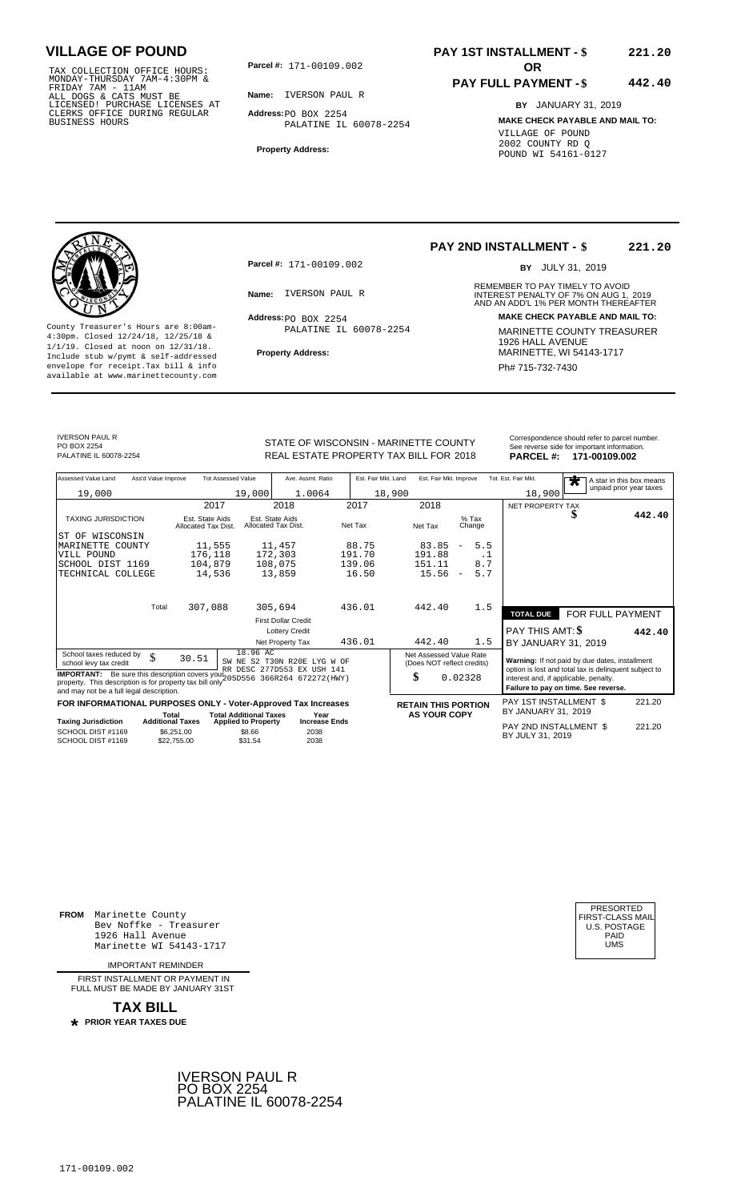TAX COLLECTION OFFICE HOURS:<br>
MONDAY-THURSDAY 7AM-4:30PM &<br>
FRIDAY 7AM - 11AM<br>
ALL DOGS & CATS MUST BE<br>
LICENSED! PURCHASE LICENSES AT<br>
CLERKS OFFICE DURING REGULAR<br>
CLERKS OFFICE DURING REGULAR<br>
BUSINESS HOURS<br>
BUSINESS H

**Parcel #:** 171-00109.002 **OR** 

**Name:** IVERSON PAUL R

**Address:** PO BOX 2254 PALATINE IL 60078-2254

**Property Address:**

### **PAY 1ST INSTALLMENT - \$ 221.20**

#### **PAY FULL PAYMENT - \$ 442.40**

**BY** JANUARY 31, 2019 **MAKE CHECK PAYABLE AND MAIL TO:** VILLAGE OF POUND 2002 COUNTY RD Q POUND WI 54161-0127

**Property Address:** MARINETTE, WI 54143-1717 Include stub w/pymt & self-addressed envelope for receipt.Tax bill & info Phat is a set of the phat of the Phat 715-732-7430 envelope for receipt.Tax bill & info Phat 715-732-7430 envelope for the phat 715-732-7430 envelope for the phat 715-732-7430 envelope

**Parcel #:** 171-00109.002

 $Address:  $PO$  BOX 2254$ PALATINE IL 60078-2254

#### **PAY 2ND INSTALLMENT - \$ 221.20**

BY JULY 31, 2019

REMEMBER TO PAY TIMELY TO AVOID **Name:** IVERSON PAUL R<br> **INTEREST PENALTY OF 7% ON AUG 1, 2019**<br>
AND AN ADD'L 1% PER MONTH THEREAFTER **Address: MAKE CHECK PAYABLE AND MAIL TO:** County Treasurer's Hours are 8:00am-<br>
4:30pm. Closed 12/24/18, 12/25/18 & MARINETTE COUNTY TREASURER<br>
1/1/19. Closed at noon on 12/31/18.<br>
Include stub w/pwmt. & self-addressed<br>
Property Address: MARINETTE, WI 54143-1717

IVERSON PAUL R PO BOX 2254<br>PAI ATINE II 60078-2254

STATE OF WISCONSIN - MARINETTE COUNTY<br>
See reverse side for important information.<br>
REAL ESTATE PROPERTY TAX BILL FOR 2018 PARCEL #: 171-00109.002 REAL ESTATE PROPERTY TAX BILL FOR **PARCEL #:** PALATINE IL 60078-2254 2018 **171-00109.002**

| Assessed Value Land<br>Ass'd Value Improve                                                                                                                                                      | <b>Tot Assessed Value</b>                            | Ave. Assmt. Ratio                                                                       | Est. Fair Mkt. Land | Est. Fair Mkt. Improve                                |                                 | Tot. Est. Fair Mkt.<br>$\overline{\textbf{r}}$                                                          | A star in this box means |
|-------------------------------------------------------------------------------------------------------------------------------------------------------------------------------------------------|------------------------------------------------------|-----------------------------------------------------------------------------------------|---------------------|-------------------------------------------------------|---------------------------------|---------------------------------------------------------------------------------------------------------|--------------------------|
| 19,000                                                                                                                                                                                          |                                                      | 19,000<br>1.0064                                                                        |                     | 18,900                                                |                                 | 18,900                                                                                                  | unpaid prior year taxes  |
|                                                                                                                                                                                                 | 2017                                                 | 2018                                                                                    | 2017                | 2018                                                  |                                 | NET PROPERTY TAX                                                                                        |                          |
| <b>TAXING JURISDICTION</b>                                                                                                                                                                      | Est. State Aids<br>Allocated Tax Dist.               | Est. State Aids<br>Allocated Tax Dist.                                                  | Net Tax             | Net Tax                                               | $%$ Tax<br>Change               | J                                                                                                       | 442.40                   |
| IST OF WISCONSIN                                                                                                                                                                                |                                                      |                                                                                         |                     |                                                       |                                 |                                                                                                         |                          |
| MARINETTE COUNTY                                                                                                                                                                                | 11,555                                               | 11,457                                                                                  | 88.75               | 83.85                                                 | 5.5<br>$\overline{\phantom{m}}$ |                                                                                                         |                          |
| VILL POUND                                                                                                                                                                                      | 176,118                                              | 172,303                                                                                 | 191.70              | 191.88                                                | . 1                             |                                                                                                         |                          |
| SCHOOL DIST 1169                                                                                                                                                                                | 104,879                                              | 108,075                                                                                 | 139.06              | 151.11                                                | 8.7                             |                                                                                                         |                          |
| TECHNICAL COLLEGE                                                                                                                                                                               | 14,536                                               | 13,859                                                                                  | 16.50               | 15.56                                                 | 5.7<br>$\overline{\phantom{m}}$ |                                                                                                         |                          |
|                                                                                                                                                                                                 |                                                      |                                                                                         |                     |                                                       |                                 |                                                                                                         |                          |
| Total                                                                                                                                                                                           | 307,088                                              | 305,694                                                                                 | 436.01              | 442.40                                                | 1.5                             | <b>TOTAL DUE</b>                                                                                        | FOR FULL PAYMENT         |
|                                                                                                                                                                                                 |                                                      | <b>First Dollar Credit</b>                                                              |                     |                                                       |                                 |                                                                                                         |                          |
|                                                                                                                                                                                                 |                                                      | <b>Lottery Credit</b>                                                                   |                     |                                                       |                                 | <b>PAY THIS AMT: \$</b>                                                                                 | 442.40                   |
|                                                                                                                                                                                                 |                                                      | Net Property Tax                                                                        | 436.01              | 442.40                                                | 1.5                             | BY JANUARY 31, 2019                                                                                     |                          |
| School taxes reduced by<br>\$<br>school levy tax credit                                                                                                                                         | 30.51                                                | 18.96 AC<br>SW NE S2 T30N R20E LYG W OF<br>RR DESC 277D553 EX USH 141                   |                     | Net Assessed Value Rate<br>(Does NOT reflect credits) |                                 | Warning: If not paid by due dates, installment<br>option is lost and total tax is delinquent subject to |                          |
| <b>IMPORTANT:</b> Be sure this description covers you?"<br>205D556 366R264 672272 (HWY)<br>property. This description is for property tax bill only<br>and may not be a full legal description. |                                                      |                                                                                         |                     | \$                                                    | 0.02328                         | interest and, if applicable, penalty.<br>Failure to pay on time. See reverse.                           |                          |
| FOR INFORMATIONAL PURPOSES ONLY - Voter-Approved Tax Increases                                                                                                                                  |                                                      |                                                                                         |                     | <b>RETAIN THIS PORTION</b>                            |                                 | PAY 1ST INSTALLMENT \$                                                                                  | 221.20                   |
|                                                                                                                                                                                                 | Total                                                | <b>Total Additional Taxes</b><br>Year                                                   |                     | <b>AS YOUR COPY</b>                                   |                                 | BY JANUARY 31, 2019                                                                                     |                          |
| <b>Taxing Jurisdiction</b><br>SCHOOL DIST #1169<br>SCHOOL DIST #1169                                                                                                                            | <b>Additional Taxes</b><br>\$6.251.00<br>\$22,755.00 | <b>Increase Ends</b><br><b>Applied to Property</b><br>\$8.66<br>2038<br>\$31.54<br>2038 |                     |                                                       |                                 | PAY 2ND INSTALLMENT \$<br>BY JULY 31, 2019                                                              | 221.20                   |

**FROM** Marinette County Bev Noffke - Treasurer 1926 Hall Avenue PAID Marinette WI 54143-1717 UMS

IMPORTANT REMINDER

FIRST INSTALL MENT OR PAYMENT IN FULL MUST BE MADE BY JANUARY 31ST

**TAX BILL PRIOR YEAR TAXES DUE \***



| PRESORTED        |
|------------------|
| FIRST-CLASS MAIL |
| U.S. POSTAGE     |
| PAID             |
| UMS              |
|                  |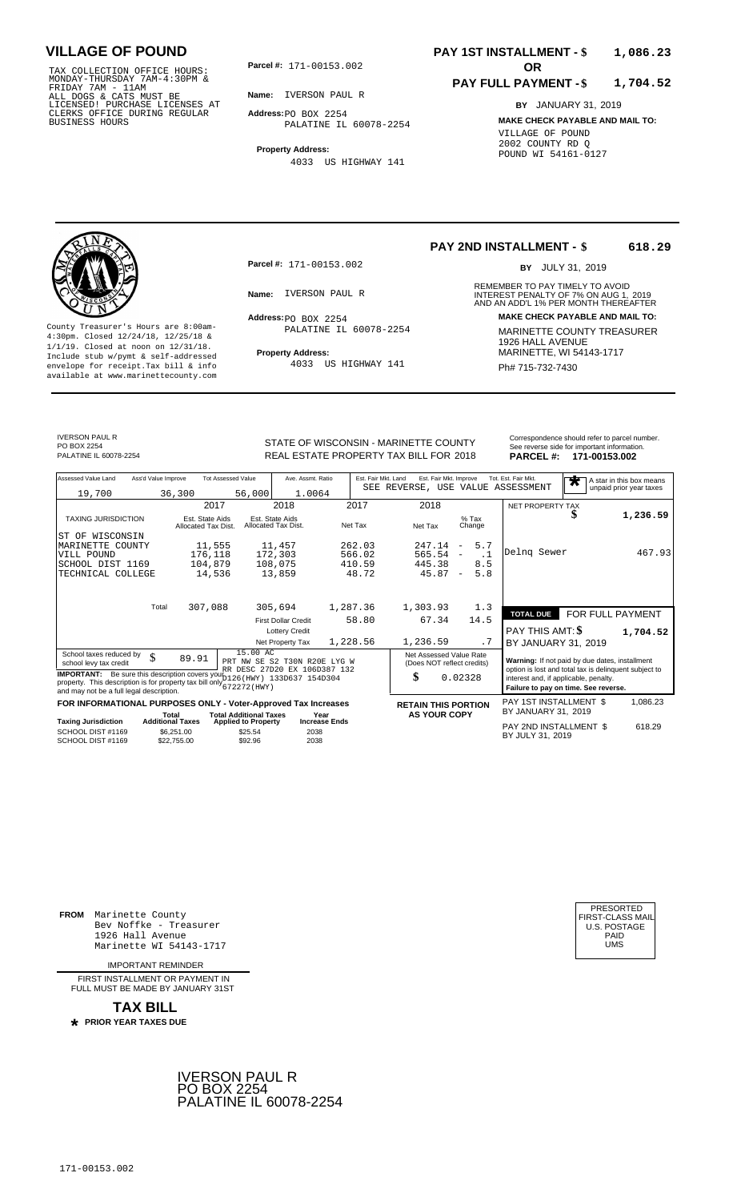171-00153.002 TAX COLLECTION OFFICE HOURS: MONDAY-THURSDAY 7AM-4:30PM & FRIDAY 7AM - 11AM ALL DOGS & CATS MUST BE LICENSED! PURCHASE LICENSES AT CLERKS OFFICE DURING REGULAR BUSINESS HOURS

**Parcel #:** 171-00153.002 **OR** 

**Name:** IVERSON PAUL R

**Address:** PO BOX 2254 PALATINE IL 60078-2254

**Property Address:** 4033 US HIGHWAY 141

### **PAY 1ST INSTALLMENT - \$ 1,086.23**

#### **PAY FULL PAYMENT - \$ 1,704.52**

**BY** JANUARY 31, 2019 **MAKE CHECK PAYABLE AND MAIL TO:** VILLAGE OF POUND 2002 COUNTY RD Q POUND WI 54161-0127

**Property Address:** MARINETTE, WI 54143-1717 Include stub w/pymt & self-addressed envelope for receipt.Tax bill & info Ph# 715-732-7430 available at www.marinettecounty.com

**Parcel #:** 171-00153.002

 $Address:  $PO$  BOX 2254$ PALATINE IL 60078-2254

4033 US HIGHWAY 141

**PAY 2ND INSTALLMENT - \$ 618.29**

BY JULY 31, 2019

REMEMBER TO PAY TIMELY TO AVOID **Name:** IVERSON PAUL R<br> **INTEREST PENALTY OF 7% ON AUG 1, 2019**<br>
AND AN ADD'L 1% PER MONTH THEREAFTER **Address: MAKE CHECK PAYABLE AND MAIL TO:** County Treasurer's Hours are 8:00am-<br>
4:30pm. Closed 12/24/18, 12/25/18 & MARINETTE COUNTY TREASURER<br>
1/1/19. Closed at noon on 12/31/18.<br>
Include stub w/pwmt & self-addressed **Property Address:** MARINETTE, WI 54143-1717

IVERSON PAUL R PO BOX 2254<br>PALATINE IL 60078-2254

STATE OF WISCONSIN - MARINETTE COUNTY<br>
See reverse side for important information.<br>
REAL ESTATE PROPERTY TAX BILL FOR 2018 PARCEL #: 171-00153.002 PALATINE IL 60078-2254 **171-00153.002** REAL ESTATE PROPERTY TAX BILL FOR 2018 **PARCEL #: 171-00153.002** 

| Assessed Value Land<br>Ass'd Value Improve                                                                                                                                                            | <b>Tot Assessed Value</b>                                                     | Ave. Assmt. Ratio                                            | Est. Fair Mkt. Land  | Est. Fair Mkt. Improve                                | Tot. Est. Fair Mkt.<br>$\overline{\textbf{r}}$                                                          | A star in this box means |
|-------------------------------------------------------------------------------------------------------------------------------------------------------------------------------------------------------|-------------------------------------------------------------------------------|--------------------------------------------------------------|----------------------|-------------------------------------------------------|---------------------------------------------------------------------------------------------------------|--------------------------|
| 19,700                                                                                                                                                                                                | 36,300<br>56,000                                                              | 1.0064                                                       |                      | SEE REVERSE, USE VALUE ASSESSMENT                     |                                                                                                         | unpaid prior year taxes  |
|                                                                                                                                                                                                       | 2017                                                                          | 2018                                                         | 2017                 | 2018                                                  | NET PROPERTY TAX                                                                                        |                          |
| <b>TAXING JURISDICTION</b>                                                                                                                                                                            | Est. State Aids<br>Allocated Tax Dist.                                        | Est. State Aids<br>Allocated Tax Dist.                       | Net Tax<br>Net Tax   | $%$ Tax<br>Change                                     |                                                                                                         | 1,236.59                 |
| WISCONSIN<br>ST OF                                                                                                                                                                                    |                                                                               |                                                              |                      |                                                       |                                                                                                         |                          |
| MARINETTE COUNTY                                                                                                                                                                                      | 11,555                                                                        | 11,457                                                       | 262.03               | 5.7<br>247.14<br>$\overline{\phantom{a}}$             |                                                                                                         |                          |
| VILL POUND                                                                                                                                                                                            | 176,118                                                                       | 172,303                                                      | 566.02               | 565.54<br>$\cdot$ 1<br>$\overline{\phantom{m}}$       | Delng Sewer                                                                                             | 467.93                   |
| SCHOOL DIST 1169                                                                                                                                                                                      | 104,879                                                                       | 108,075                                                      | 410.59               | 8.5<br>445.38                                         |                                                                                                         |                          |
| TECHNICAL COLLEGE                                                                                                                                                                                     | 14,536                                                                        | 13,859                                                       | 48.72                | 5.8<br>45.87<br>$\overline{\phantom{m}}$              |                                                                                                         |                          |
| Total                                                                                                                                                                                                 | 307,088                                                                       | 305,694                                                      | 1,287.36<br>1,303.93 | 1.3                                                   |                                                                                                         |                          |
|                                                                                                                                                                                                       |                                                                               | <b>First Dollar Credit</b>                                   | 58.80                | 67.34<br>14.5                                         | <b>TOTAL DUE</b>                                                                                        | FOR FULL PAYMENT         |
|                                                                                                                                                                                                       |                                                                               | <b>Lottery Credit</b>                                        |                      |                                                       | PAY THIS AMT: <b>\$</b>                                                                                 | 1,704.52                 |
|                                                                                                                                                                                                       |                                                                               | Net Property Tax                                             | 1,228.56<br>1,236.59 | . 7                                                   | BY JANUARY 31, 2019                                                                                     |                          |
| School taxes reduced by<br>\$<br>school levy tax credit                                                                                                                                               | 15.00 AC<br>89.91                                                             | PRT NW SE S2 T30N R20E LYG W<br>RR DESC 27D20 EX 106D387 132 |                      | Net Assessed Value Rate<br>(Does NOT reflect credits) | Warning: If not paid by due dates, installment<br>option is lost and total tax is delinquent subject to |                          |
| <b>IMPORTANT:</b> Be sure this description covers you b126 (HWY) 133D637 154D304<br>property. This description is for property tax bill only 672272 (HWY)<br>and may not be a full legal description. |                                                                               |                                                              | \$                   | 0.02328                                               | interest and, if applicable, penalty.<br>Failure to pay on time. See reverse.                           |                          |
| FOR INFORMATIONAL PURPOSES ONLY - Voter-Approved Tax Increases                                                                                                                                        |                                                                               |                                                              |                      | <b>RETAIN THIS PORTION</b>                            | PAY 1ST INSTALLMENT \$                                                                                  | 1,086.23                 |
| Total<br><b>Taxing Jurisdiction</b><br><b>Additional Taxes</b>                                                                                                                                        | <b>Total Additional Taxes</b>                                                 | Year<br><b>Increase Ends</b>                                 |                      | <b>AS YOUR COPY</b>                                   | BY JANUARY 31, 2019                                                                                     |                          |
| SCHOOL DIST #1169<br>SCHOOL DIST #1169                                                                                                                                                                | <b>Applied to Property</b><br>\$6.251.00<br>\$25.54<br>\$92.96<br>\$22,755.00 | 2038<br>2038                                                 |                      |                                                       | PAY 2ND INSTALLMENT \$<br>BY JULY 31, 2019                                                              | 618.29                   |

**FROM** Marinette County Bev Noffke - Treasurer 1926 Hall Avenue Marinette WI 54143-1717

IMPORTANT REMINDER

FIRST INSTALL MENT OR PAYMENT IN FULL MUST BE MADE BY JANUARY 31ST

**TAX BILL PRIOR YEAR TAXES DUE \***



| PRESORTED        |
|------------------|
| FIRST-CLASS MAIL |
| U.S. POSTAGE     |
| PAID             |
| UMS              |
|                  |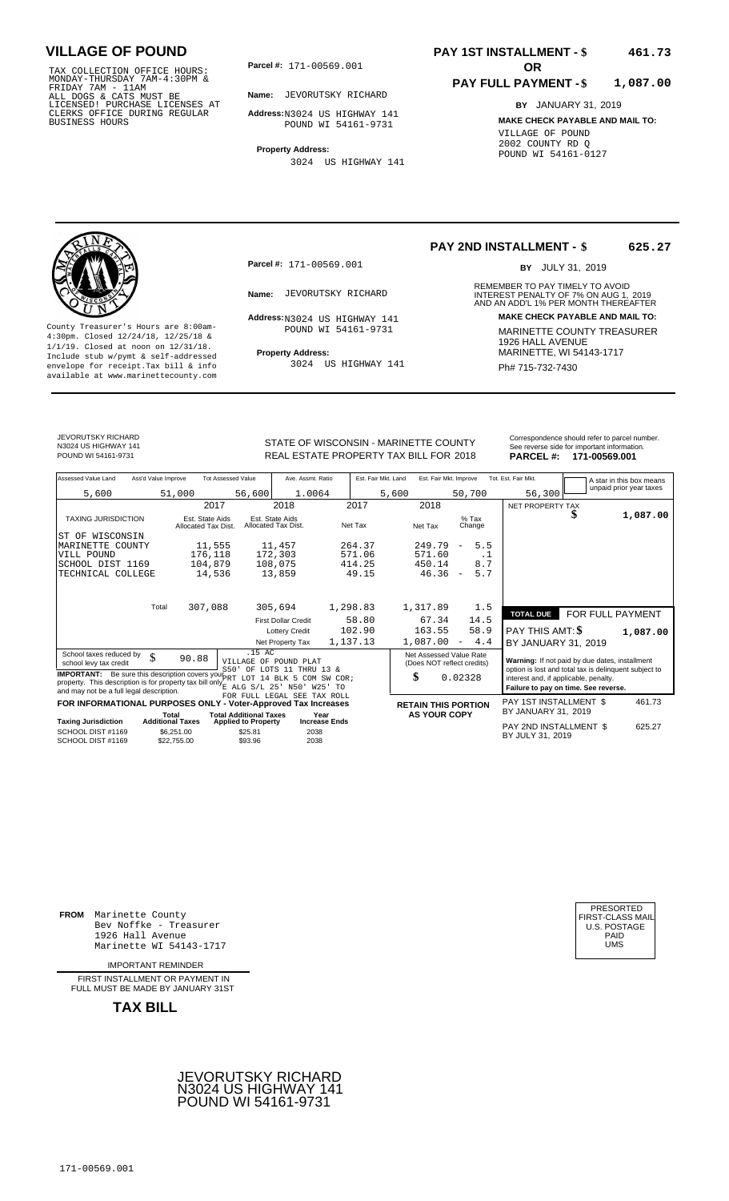TAX COLLECTION OFFICE HOURS:<br>
MONDAY-THURSDAY 7AM-4:30PM &<br>
FRIDAY 7AM - 11AM<br>
ALL DOGS & CATS MUST BE<br>
LICENSED! PURCHASE LICENSES AT<br>
CLERKS OFFICE DURING REGULAR<br>
CLERKS OFFICE DURING REGULAR<br>
BUSINESS HOURS<br>
POUND WI 5

**Parcel #: OR**

**Name:** JEVORUTSKY RICHARD

**Address:** N3024 US HIGHWAY 141 POUND WI 54161-9731

**Property Address:** 3024 US HIGHWAY 141

### **PAY 1ST INSTALLMENT - \$ 461.73**

#### **PAY FULL PAYMENT - \$ 1,087.00**

**BY** JANUARY 31, 2019 **MAKE CHECK PAYABLE AND MAIL TO:** VILLAGE OF POUND 2002 COUNTY RD Q POUND WI 54161-0127

**Property Address:** MARINETTE, WI 54143-1717 Include stub w/pymt & self-addressed envelope for receipt.Tax bill & info Ph# 715-732-7430 available at www.marinettecounty.com

**Parcel #:** 171-00569.001

Address: N3024 US HIGHWAY 141 POUND WI 54161-9731

3024 US HIGHWAY 141

#### **PAY 2ND INSTALLMENT - \$ 625.27**

BY JULY 31, 2019

REMEMBER TO PAY TIMELY TO AVOID **Name:** JEVORUTSKY RICHARD **INTEREST PENALTY OF 7% ON AUG 1, 2019**<br>AND AN ADD'L 1% PER MONTH THEREAFTER **Address: MAKE CHECK PAYABLE AND MAIL TO:** County Treasurer's Hours are 8:00am-<br>
4:30pm. Closed 12/24/18, 12/25/18 & 1926 MARINETTE COUNTY TREASURER<br>
1/1/19. Closed at noon on 12/31/18.<br>
Include stub w/pwmt & self-addressed **Property Address:** MARINETTE, WI 54143-1

JEVORUTSKY RICHARD N3024 US HIGHWAY 141

STATE OF WISCONSIN - MARINETTE COUNTY<br>
See reverse side for important information.<br>
REAL ESTATE PROPERTY TAX BILL FOR 2018 PARCEL #: 171-00569.001 REAL ESTATE PROPERTY TAX BILL FOR **PARCEL #:** POUND WI 54161-9731 2018 **171-00569.001**

| Assessed Value Land                                                                                                                                                                           | Ass'd Value Improve                    | <b>Tot Assessed Value</b>       | Ave. Assmt. Ratio                      | Est. Fair Mkt. Land | Est. Fair Mkt. Improve                                |                                 | Tot. Est. Fair Mkt.                                                                                     |                  | A star in this box means<br>unpaid prior year taxes |
|-----------------------------------------------------------------------------------------------------------------------------------------------------------------------------------------------|----------------------------------------|---------------------------------|----------------------------------------|---------------------|-------------------------------------------------------|---------------------------------|---------------------------------------------------------------------------------------------------------|------------------|-----------------------------------------------------|
| 5,600                                                                                                                                                                                         | 51,000                                 | 56,600                          | 1.0064                                 | 5,600               |                                                       | 50,700                          | 56,300                                                                                                  |                  |                                                     |
|                                                                                                                                                                                               |                                        | 2017                            | 2018                                   | 2017                | 2018                                                  |                                 | NET PROPERTY TAX                                                                                        |                  |                                                     |
| <b>TAXING JURISDICTION</b>                                                                                                                                                                    | Est. State Aids<br>Allocated Tax Dist. |                                 | Est. State Aids<br>Allocated Tax Dist. | Net Tax             | Net Tax                                               | $%$ Tax<br>Change               |                                                                                                         | D                | 1,087.00                                            |
| WISCONSIN<br>ST OF                                                                                                                                                                            |                                        |                                 |                                        |                     |                                                       |                                 |                                                                                                         |                  |                                                     |
| MARINETTE COUNTY                                                                                                                                                                              |                                        | 11,555                          | 11,457                                 | 264.37              | 249.79                                                | 5.5<br>$\overline{\phantom{0}}$ |                                                                                                         |                  |                                                     |
| VILL POUND                                                                                                                                                                                    | 176,118                                |                                 | 172,303                                | 571.06              | 571.60                                                | . 1                             |                                                                                                         |                  |                                                     |
| SCHOOL DIST 1169                                                                                                                                                                              | 104,879                                |                                 | 108,075                                | 414.25              | 450.14                                                | 8.7                             |                                                                                                         |                  |                                                     |
| TECHNICAL COLLEGE                                                                                                                                                                             |                                        | 14,536                          | 13,859                                 | 49.15               | 46.36                                                 | 5.7<br>$\overline{\phantom{a}}$ |                                                                                                         |                  |                                                     |
|                                                                                                                                                                                               |                                        |                                 |                                        |                     |                                                       |                                 |                                                                                                         |                  |                                                     |
|                                                                                                                                                                                               | Total<br>307,088                       |                                 | 305,694                                | 1,298.83            | 1,317.89                                              | 1.5                             | <b>TOTAL DUE</b>                                                                                        | FOR FULL PAYMENT |                                                     |
|                                                                                                                                                                                               |                                        |                                 | <b>First Dollar Credit</b>             | 58.80               | 67.34                                                 | 14.5                            |                                                                                                         |                  |                                                     |
|                                                                                                                                                                                               |                                        |                                 | <b>Lottery Credit</b>                  | 102.90              | 163.55                                                | 58.9                            | PAY THIS AMT: \$                                                                                        |                  | 1,087.00                                            |
|                                                                                                                                                                                               |                                        |                                 | Net Property Tax                       | 1,137.13            | 1,087.00                                              | 4.4<br>$\overline{\phantom{a}}$ | BY JANUARY 31, 2019                                                                                     |                  |                                                     |
| School taxes reduced by<br>\$<br>school levy tax credit                                                                                                                                       | 90.88                                  | .15 AC<br>VILLAGE OF POUND PLAT | S50' OF LOTS 11 THRU 13 &              |                     | Net Assessed Value Rate<br>(Does NOT reflect credits) |                                 | Warning: If not paid by due dates, installment<br>option is lost and total tax is delinquent subject to |                  |                                                     |
| <b>IMPORTANT:</b> Be sure this description covers you PRT<br>property. This description is for property tax bill only $_{E}^{2}$ ALG S/L 25' N50'<br>and may not be a full legal description. |                                        |                                 | LOT 14 BLK 5 COM<br>SW COR;<br>W25' TO |                     | \$                                                    | 0.02328                         | interest and, if applicable, penalty.<br>Failure to pay on time. See reverse.                           |                  |                                                     |
| FOR INFORMATIONAL PURPOSES ONLY - Voter-Approved Tax Increases                                                                                                                                |                                        |                                 | FOR FULL LEGAL SEE TAX ROLL            |                     |                                                       |                                 | <b>PAY 1ST INSTALLMENT \$</b>                                                                           |                  | 461.73                                              |
|                                                                                                                                                                                               | Total                                  | <b>Total Additional Taxes</b>   | Year                                   |                     | <b>RETAIN THIS PORTION</b><br><b>AS YOUR COPY</b>     |                                 | BY JANUARY 31, 2019                                                                                     |                  |                                                     |
| <b>Taxing Jurisdiction</b>                                                                                                                                                                    | <b>Additional Taxes</b>                | <b>Applied to Property</b>      | <b>Increase Ends</b>                   |                     |                                                       |                                 |                                                                                                         |                  |                                                     |
| SCHOOL DIST #1169<br>SCHOOL DIST #1169                                                                                                                                                        | \$6,251.00<br>\$22,755.00              | \$25.81<br>\$93.96              | 2038<br>2038                           |                     |                                                       |                                 | PAY 2ND INSTALLMENT \$<br>BY JULY 31, 2019                                                              |                  | 625.27                                              |

**FROM** Marinette County Bev Noffke - Treasurer 1926 Hall Avenue Marinette WI 54143-1717

IMPORTANT REMINDER

FIRST INSTALLMENT OR PAYMENT IN FULL MUST BE MADE BY JANUARY 31ST



| PRESORTED           |  |
|---------------------|--|
| FIRST-CLASS MAIL    |  |
| <b>U.S. POSTAGE</b> |  |
| PAID                |  |
| UMS                 |  |
|                     |  |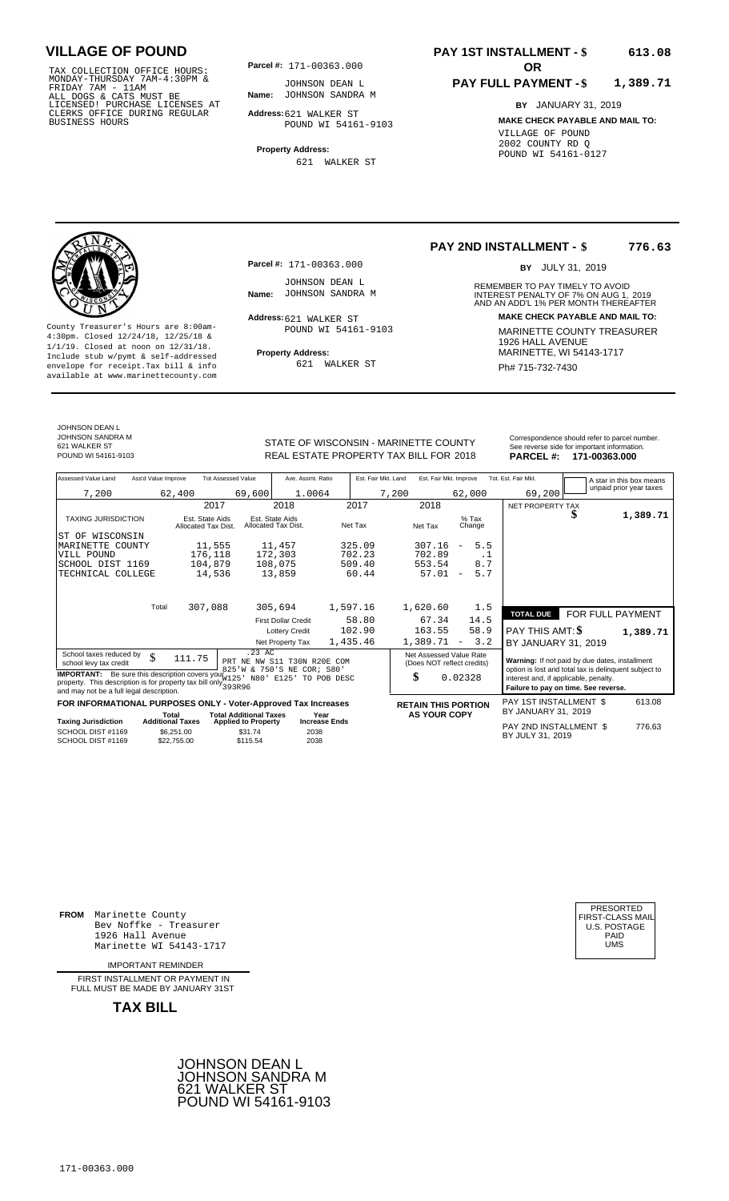TAX COLLECTION OFFICE HOURS:<br>
MONDAY-THURSDAY 7AM-4:30PM & JOHNSON DEAN I<br>
FRIDAY 7AM - 11AM<br>
ALL DOGS & CATS MUST BE **Name**: JOHNSON SANDRA<br>
LICENSED ! PURCHASE LICENSES AT<br>
CLERKS OFFICE DURING REGULAR **Address:**621 WALK

**Parcel #: OR**

**Name:** JOHNSON SANDRA M JOHNSON DEAN L

**Address:** 621 WALKER ST POUND WI 54161-9103

**Property Address:** 621 WALKER ST

### **PAY 1ST INSTALLMENT - \$ 613.08**

#### **PAY FULL PAYMENT - \$ 1,389.71**

**BY** JANUARY 31, 2019 **MAKE CHECK PAYABLE AND MAIL TO:** VILLAGE OF POUND 2002 COUNTY RD Q POUND WI 54161-0127

**Property Address:** MARINETTE, WI 54143-1717 Include stub w/pymt & self-addressed envelope for receipt.Tax bill & info Ph# 715-732-7430 available at www.marinettecounty.com

**Parcel #:** 171-00363.000

JOHNSON DEAN L<br>Name: JOHNSON SANDRA M

Address: 621 WALKER ST POUND WI 54161-9103

621 WALKER ST

#### **PAY 2ND INSTALLMENT - \$ 776.63**

BY JULY 31, 2019

REMEMBER TO PAY TIMELY TO AVOID **Name:** JOHNSON SANDRA M<br>
AND AN ADD'L 1% PER MONTH THEREAFTER **Address: MAKE CHECK PAYABLE AND MAIL TO:** County Treasurer's Hours are 8:00am-<br>
4:30pm. Closed 12/24/18, 12/25/18 & MARINETTE COUNTY TREASURER<br>
1/1/19. Closed at noon on 12/31/18.<br>
Include stub w/pwmt & self-addressed **Property Address:** MARINETTE, WI 54143-1717

JOHNSON DEAN L JOHNSON SANDRA M 621 WALKER ST<br>POUND WI 54161-9103

## STATE OF WISCONSIN - MARINETTE COUNTY<br>
See reverse side for important information.<br>
REAL ESTATE PROPERTY TAX BILL FOR 2018 **PARCEL #: 171-00363.000** REAL ESTATE PROPERTY TAX BILL FOR **PARCEL #:** POUND WI 54161-9103 2018 **171-00363.000**

| Assessed Value Land                                                                                                                                                                                 | Ass'd Value Improve     |                                        | <b>Tot Assessed Value</b>     | Ave. Assmt. Ratio                               |                      | Est. Fair Mkt. Land | Est. Fair Mkt. Improve                                |                          |      | Tot. Est. Fair Mkt.                                                                                     |                  | A star in this box means |
|-----------------------------------------------------------------------------------------------------------------------------------------------------------------------------------------------------|-------------------------|----------------------------------------|-------------------------------|-------------------------------------------------|----------------------|---------------------|-------------------------------------------------------|--------------------------|------|---------------------------------------------------------------------------------------------------------|------------------|--------------------------|
| 7,200                                                                                                                                                                                               |                         | 62,400                                 | 69,600                        | 1.0064                                          |                      | 7,200               |                                                       | 62,000                   |      | 69,200                                                                                                  |                  | unpaid prior year taxes  |
|                                                                                                                                                                                                     |                         | 2017                                   |                               | 2018                                            | 2017                 |                     | 2018                                                  |                          |      | NET PROPERTY TAX                                                                                        |                  |                          |
| <b>TAXING JURISDICTION</b>                                                                                                                                                                          |                         | Est. State Aids<br>Allocated Tax Dist. |                               | Est. State Aids<br>Allocated Tax Dist.          | Net Tax              |                     | Net Tax                                               | $%$ Tax<br>Change        |      |                                                                                                         | D                | 1,389.71                 |
| ST OF WISCONSIN                                                                                                                                                                                     |                         |                                        |                               |                                                 |                      |                     |                                                       |                          |      |                                                                                                         |                  |                          |
| MARINETTE COUNTY                                                                                                                                                                                    |                         | 11,555                                 |                               | 11,457                                          | 325.09               |                     | 307.16                                                | $\overline{\phantom{a}}$ | 5.5  |                                                                                                         |                  |                          |
| VILL POUND                                                                                                                                                                                          |                         | 176,118                                |                               | 172,303                                         | 702.23               |                     | 702.89                                                |                          | . 1  |                                                                                                         |                  |                          |
| SCHOOL DIST 1169                                                                                                                                                                                    |                         | 104,879                                |                               | 108,075                                         | 509.40               |                     | 553.54                                                |                          | 8.7  |                                                                                                         |                  |                          |
| TECHNICAL COLLEGE                                                                                                                                                                                   |                         | 14,536                                 |                               | 13,859                                          | 60.44                |                     | 57.01                                                 | $\overline{\phantom{m}}$ | 5.7  |                                                                                                         |                  |                          |
|                                                                                                                                                                                                     |                         |                                        |                               |                                                 |                      |                     |                                                       |                          |      |                                                                                                         |                  |                          |
|                                                                                                                                                                                                     | Total                   | 307,088                                |                               | 305,694                                         | 1,597.16             |                     | 1,620.60                                              |                          | 1.5  |                                                                                                         |                  |                          |
|                                                                                                                                                                                                     |                         |                                        |                               | <b>First Dollar Credit</b>                      | 58.80                |                     | 67.34                                                 |                          | 14.5 | <b>TOTAL DUE</b>                                                                                        | FOR FULL PAYMENT |                          |
|                                                                                                                                                                                                     |                         |                                        |                               | <b>Lottery Credit</b>                           | 102.90               |                     | 163.55                                                |                          | 58.9 | <b>PAY THIS AMT: \$</b>                                                                                 |                  | 1,389.71                 |
|                                                                                                                                                                                                     |                         |                                        |                               | Net Property Tax                                | 1,435.46             |                     | 1,389.71                                              | $\overline{\phantom{a}}$ | 3.2  | BY JANUARY 31, 2019                                                                                     |                  |                          |
| School taxes reduced by<br>school levy tax credit                                                                                                                                                   | \$                      | 111.75                                 | $.23$ AC<br>PRT NE NW         | S11 T30N R20E COM<br>825'W & 750'S NE COR; S80' |                      |                     | Net Assessed Value Rate<br>(Does NOT reflect credits) |                          |      | Warning: If not paid by due dates, installment<br>option is lost and total tax is delinguent subject to |                  |                          |
| <b>IMPORTANT:</b> Be sure this description covers you W125' N80' E125' TO POB DESC<br>property. This description is for property tax bill only $393R96$<br>and may not be a full legal description. |                         |                                        |                               |                                                 |                      |                     | \$                                                    | 0.02328                  |      | interest and, if applicable, penalty.<br>Failure to pay on time. See reverse.                           |                  |                          |
| FOR INFORMATIONAL PURPOSES ONLY - Voter-Approved Tax Increases                                                                                                                                      |                         |                                        |                               |                                                 |                      |                     | <b>RETAIN THIS PORTION</b>                            |                          |      | PAY 1ST INSTALLMENT \$                                                                                  |                  | 613.08                   |
|                                                                                                                                                                                                     |                         | Total                                  | <b>Total Additional Taxes</b> | Year                                            |                      |                     | <b>AS YOUR COPY</b>                                   |                          |      | BY JANUARY 31, 2019                                                                                     |                  |                          |
| <b>Taxing Jurisdiction</b>                                                                                                                                                                          | <b>Additional Taxes</b> |                                        | <b>Applied to Property</b>    |                                                 | <b>Increase Ends</b> |                     |                                                       |                          |      | PAY 2ND INSTALLMENT \$                                                                                  |                  | 776.63                   |
| SCHOOL DIST #1169<br>SCHOOL DIST #1169                                                                                                                                                              |                         | \$6.251.00<br>\$22,755.00              | \$31.74<br>\$115.54           | 2038<br>2038                                    |                      |                     |                                                       |                          |      | BY JULY 31, 2019                                                                                        |                  |                          |

**FROM** Marinette County Bev Noffke - Treasurer (U.S. POSTAGE)<br>1926 Hall Avenue (U.S. POSTAGE)<br>Marinette WI 54143-1717 (U.S. POSTAGE) 1926 Hall Avenue Marinette WI 54143-1717

IMPORTANT REMINDER

FIRST INSTALLMENT OR PAYMENT IN FULL MUST BE MADE BY JANUARY 31ST



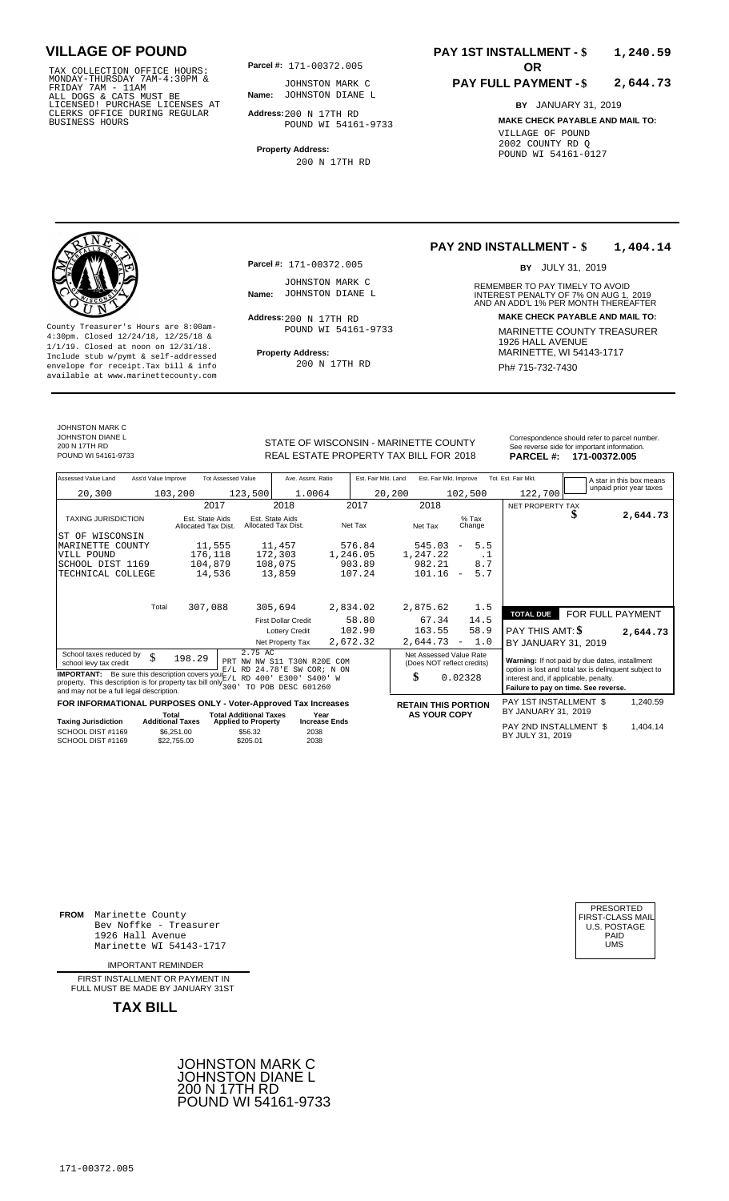TAX COLLECTION OFFICE HOURS:<br>
MONDAY-THURSDAY 7AM-4:30PM & JOHNSTON MARK<br>
FRIDAY 7AM - 11AM<br>
ALL DOGS & CATS MUST BE **Name**: JOHNSTON DIANE<br>
LICENSED! PURCHASE LICENSES AT<br>
CLERKS OFFICE DURING REGULAR **Address**:200 N 17TH

**Parcel #: OR**

**Name:** JOHNSTON DIANE L JOHNSTON MARK C

**Address:** 200 N 17TH RD POUND WI 54161-9733

**Property Address:** 200 N 17TH RD

### **PAY 1ST INSTALLMENT - \$ 1,240.59**

#### **PAY FULL PAYMENT - \$ 2,644.73**

**BY** JANUARY 31, 2019 **MAKE CHECK PAYABLE AND MAIL TO:** VILLAGE OF POUND 2002 COUNTY RD Q POUND WI 54161-0127

**Property Address:** MARINETTE, WI 54143-1717 Include stub w/pymt & self-addressed envelope for receipt.Tax bill & info Ph# 715-732-7430 available at www.marinettecounty.com

**Parcel #:** 171-00372.005

JOHNSTON MARK C<br>Name: JOHNSTON DIANE L

 $Address:200 N 17TH RD$ POUND WI 54161-9733

200 N 17TH RD

#### **PAY 2ND INSTALLMENT - \$ 1,404.14**

BY JULY 31, 2019

REMEMBER TO PAY TIMELY TO AVOID **Name:** JOHNSTON DIANE L<br>
AND AN ADD'L 1% PER MONTH THEREAFTER **Address: MAKE CHECK PAYABLE AND MAIL TO:** County Treasurer's Hours are 8:00am-<br>
4:30pm. Closed 12/24/18, 12/25/18 & MARINETTE COUNTY TREASURER<br>
1/1/19. Closed at noon on 12/31/18.<br>
Include stub w/pwmt. & self-addressed<br> **Property Address:** MARINETTE, WI 54143-1717

JOHNSTON MARK C JOHNSTON DIANE L

200 N 17TH RD<br>POUND WI 54161-9733

STATE OF WISCONSIN - MARINETTE COUNTY REAL ESTATE PROPERTY TAX BILL FOR **PARCEL #:** POUND WI 54161-9733 2018 **171-00372.005**

| Correspondence should refer to parcel number. |
|-----------------------------------------------|
| See reverse side for important information.   |
| PARCEL#: 171-00372.005                        |

| Assessed Value Land                                                                                                                                                                                   | Ass'd Value Improve              |                                        | <b>Tot Assessed Value</b>                                   |                                        | Ave. Assmt. Ratio                                               |                      |          | Est. Fair Mkt. Land | Est. Fair Mkt. Improve                                |                          |                   | Tot. Est. Fair Mkt.                                                           | A star in this box means                              |
|-------------------------------------------------------------------------------------------------------------------------------------------------------------------------------------------------------|----------------------------------|----------------------------------------|-------------------------------------------------------------|----------------------------------------|-----------------------------------------------------------------|----------------------|----------|---------------------|-------------------------------------------------------|--------------------------|-------------------|-------------------------------------------------------------------------------|-------------------------------------------------------|
| 20,300                                                                                                                                                                                                |                                  | 103,200                                |                                                             | 123,500                                | 1.0064                                                          |                      |          | 20,200              |                                                       |                          | 102,500           | 122,700                                                                       | unpaid prior year taxes                               |
|                                                                                                                                                                                                       |                                  |                                        | 2017                                                        |                                        | 2018                                                            |                      | 2017     |                     | 2018                                                  |                          |                   | NET PROPERTY TAX                                                              |                                                       |
| <b>TAXING JURISDICTION</b>                                                                                                                                                                            |                                  | Est. State Aids<br>Allocated Tax Dist. |                                                             | Est. State Aids<br>Allocated Tax Dist. |                                                                 |                      | Net Tax  |                     | Net Tax                                               |                          | $%$ Tax<br>Change |                                                                               | 2,644.73                                              |
| ST OF WISCONSIN                                                                                                                                                                                       |                                  |                                        |                                                             |                                        |                                                                 |                      |          |                     |                                                       |                          |                   |                                                                               |                                                       |
| MARINETTE COUNTY                                                                                                                                                                                      |                                  |                                        | 11,555                                                      | 11,457                                 |                                                                 |                      | 576.84   |                     | 545.03                                                | $\overline{\phantom{a}}$ | 5.5               |                                                                               |                                                       |
| VILL POUND                                                                                                                                                                                            |                                  | 176,118                                |                                                             | 172,303                                |                                                                 |                      | 1,246.05 |                     | 1,247.22                                              |                          | . 1               |                                                                               |                                                       |
| SCHOOL DIST 1169                                                                                                                                                                                      |                                  | 104,879                                |                                                             | 108,075                                |                                                                 |                      | 903.89   |                     | 982.21                                                |                          | 8.7               |                                                                               |                                                       |
| TECHNICAL COLLEGE                                                                                                                                                                                     |                                  |                                        | 14,536                                                      | 13,859                                 |                                                                 |                      | 107.24   |                     | 101.16                                                | $\overline{\phantom{a}}$ | 5.7               |                                                                               |                                                       |
|                                                                                                                                                                                                       | Total                            |                                        |                                                             |                                        |                                                                 |                      |          |                     |                                                       |                          |                   |                                                                               |                                                       |
|                                                                                                                                                                                                       |                                  | 307,088                                |                                                             | 305,694                                |                                                                 |                      | 2,834.02 |                     | 2,875.62                                              |                          | 1.5               | <b>TOTAL DUE</b>                                                              | FOR FULL PAYMENT                                      |
|                                                                                                                                                                                                       |                                  |                                        |                                                             |                                        | <b>First Dollar Credit</b>                                      |                      | 58.80    |                     | 67.34                                                 |                          | 14.5              |                                                                               |                                                       |
|                                                                                                                                                                                                       |                                  |                                        |                                                             |                                        | <b>Lottery Credit</b>                                           |                      | 102.90   |                     | 163.55                                                |                          | 58.9              | <b>PAY THIS AMT: \$</b>                                                       | 2,644.73                                              |
|                                                                                                                                                                                                       |                                  |                                        |                                                             |                                        | Net Property Tax                                                |                      | 2,672.32 |                     | 2,644.73                                              | $\overline{\phantom{a}}$ | 1.0               | BY JANUARY 31, 2019                                                           |                                                       |
| School taxes reduced by<br>school levy tax credit                                                                                                                                                     | \$                               | 198.29                                 |                                                             | 2.75 AC                                | PRT NW NW S11 T30N R20E COM<br>$E/L$ RD $24.78$ 'E SW COR; N ON |                      |          |                     | Net Assessed Value Rate<br>(Does NOT reflect credits) |                          |                   | Warning: If not paid by due dates, installment                                | option is lost and total tax is delinquent subject to |
| <b>IMPORTANT:</b> Be sure this description covers your $E/L$ RD 400' E300'<br>property. This description is for property tax bill only $\frac{27}{300}$ .<br>and may not be a full legal description. |                                  |                                        |                                                             |                                        | TO POB DESC 601260                                              | S400' W              |          |                     | \$                                                    | 0.02328                  |                   | interest and, if applicable, penalty.<br>Failure to pay on time. See reverse. |                                                       |
| FOR INFORMATIONAL PURPOSES ONLY - Voter-Approved Tax Increases                                                                                                                                        |                                  |                                        |                                                             |                                        |                                                                 |                      |          |                     | <b>RETAIN THIS PORTION</b>                            |                          |                   | PAY 1ST INSTALLMENT \$                                                        | 1,240.59                                              |
| <b>Taxing Jurisdiction</b>                                                                                                                                                                            | Total<br><b>Additional Taxes</b> |                                        | <b>Total Additional Taxes</b><br><b>Applied to Property</b> |                                        | Year                                                            | <b>Increase Ends</b> |          |                     | <b>AS YOUR COPY</b>                                   |                          |                   | BY JANUARY 31, 2019                                                           |                                                       |
| SCHOOL DIST #1169<br>SCHOOL DIST #1169                                                                                                                                                                |                                  | \$6.251.00<br>\$22,755.00              |                                                             | \$56.32<br>\$205.01                    | 2038<br>2038                                                    |                      |          |                     |                                                       |                          |                   | PAY 2ND INSTALLMENT \$<br>BY JULY 31, 2019                                    | 1.404.14                                              |

**FROM** Marinette County Bev Noffke - Treasurer (U.S. POSTAGE)<br>1926 Hall Avenue (U.S. POSTAGE)<br>Marinette WI 54143-1717 (U.S. POSTAGE) 1926 Hall Avenue PAID Marinette WI 54143-1717 UMS

IMPORTANT REMINDER

FIRST INSTALLMENT OR PAYMENT IN FULL MUST BE MADE BY JANUARY 31ST

**TAX BILL**

171-00372.005



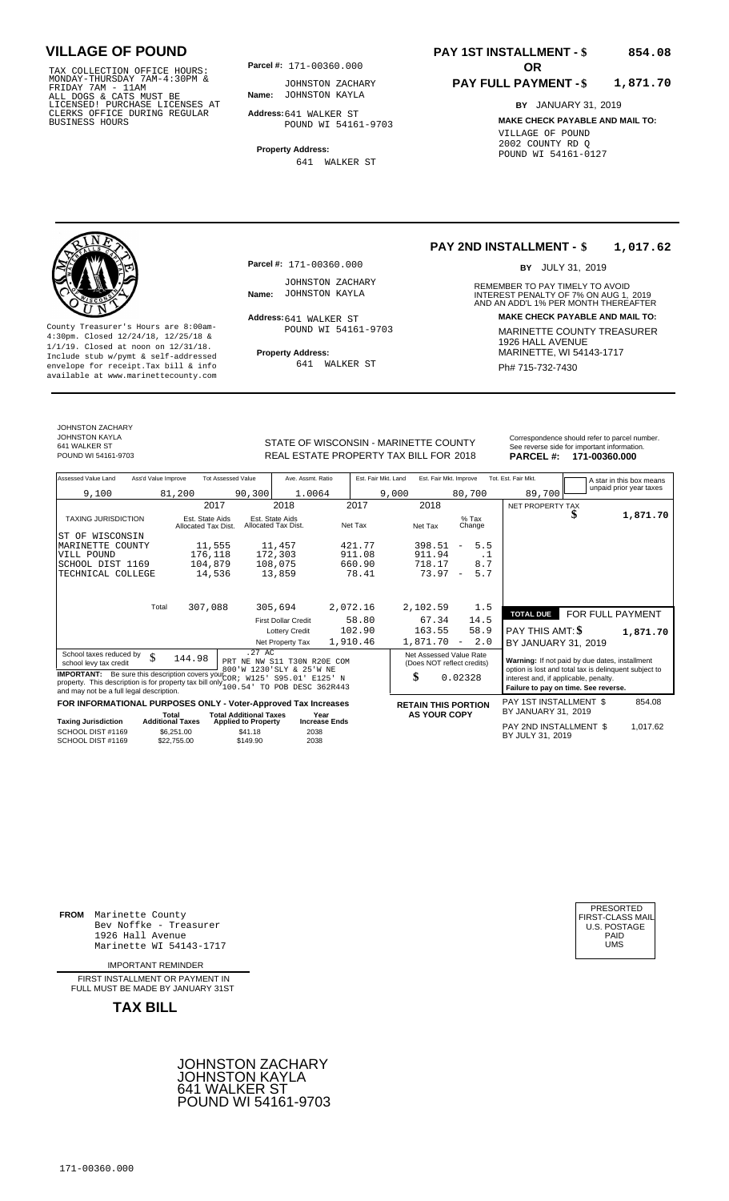TAX COLLECTION OFFICE HOURS:<br>
MONDAY-THURSDAY 7AM-4:30PM & JOHNSTON ZACHA<br>
FRIDAY 7AM - 11AM<br>
ALL DOGS & CATS MUST BE **Name**: JOHNSTON KAYLA<br>
LICENSED ! PURCHASE LICENSES AT<br>
CLERKS OFFICE DURING REGULAR **Address:**641 WALK

**Parcel #: OR**

**Name:** JOHNSTON KAYLA JOHNSTON ZACHARY

**Address:** 641 WALKER ST POUND WI 54161-9703

**Property Address:** 641 WALKER ST

### **PAY 1ST INSTALLMENT - \$ 854.08**

#### **PAY FULL PAYMENT - \$ 1,871.70**

**BY** JANUARY 31, 2019 **MAKE CHECK PAYABLE AND MAIL TO:** VILLAGE OF POUND 2002 COUNTY RD Q POUND WI 54161-0127

**Property Address:** MARINETTE, WI 54143-1717 Include stub w/pymt & self-addressed envelope for receipt.Tax bill & info Ph# 715-732-7430 available at www.marinettecounty.com

**Parcel #:** 171-00360.000

JOHNSTON ZACHARY<br>Name: JOHNSTON KAYLA

Address: 641 WALKER ST POUND WI 54161-9703

641 WALKER ST

**PAY 2ND INSTALLMENT - \$ 1,017.62**

BY JULY 31, 2019

REMEMBER TO PAY TIMELY TO AVOID **Name:** INTEREST PENALTY OF 7% ON AUG 1, AND AN ADD'L 1% PER MONTH THEREAFTER JOHNSTON KAYLA 2019 **Address: MAKE CHECK PAYABLE AND MAIL TO:** County Treasurer's Hours are 8:00am-<br>
4:30pm. Closed 12/24/18, 12/25/18 & MARINETTE COUNTY TREASURER<br>
1/1/19. Closed at noon on 12/31/18.<br>
Include stub w/pwmt & self-addressed **Property Address:** MARINETTE, WI 54143-1717

JOHNSTON ZACHARY JOHNSTON KAYLA 641 WALKER ST

STATE OF WISCONSIN - MARINETTE COUNTY Correspondence should refer to parcel number.<br>
SEAL ESTATE PROPERTY TAX RILL FOR 2018 REAL ESTATE PROPERTY TAX BILL FOR **PARCEL #:** POUND WI 54161-9703 2018 **171-00360.000**

| $0.110110 + 10110100$      |                     |                           | 11 LAL LUI AT LITIUI LITTI TAA DILLI UN 2010 |                     |                               | FANUEL #.           | 17 1-00300.000           |
|----------------------------|---------------------|---------------------------|----------------------------------------------|---------------------|-------------------------------|---------------------|--------------------------|
| Assessed Value Land        | Ass'd Value Improve | <b>Tot Assessed Value</b> | Ave. Assmt. Ratio                            | Est. Fair Mkt. Land | Est. Fair Mkt. Improve        | Tot. Est. Fair Mkt. | A star in this box means |
| 9,100                      | 81,200              | 90,300                    | 1.0064                                       | 9.000               | 80,700                        | 89,700              | unpaid prior year taxes  |
|                            |                     | 2017                      | 2018                                         | 2017                | 2018                          | NET PROPERTY TAX    |                          |
| <b>TAXING JURISDICTION</b> |                     | Est. State Aids           | Est. State Aids                              | $\cdots$            | $%$ Tax<br>$\cdots$<br>$\sim$ |                     | 1,871.70                 |

| 9,100                                                                                                                                                                                              | 81,200                                     | 90, 300                                                           | 1.0064                                 |                      |       | 9,000                                                 | 80,700                   |      | 89,700                                                                                                  |                  | unpaid prior year taxes |
|----------------------------------------------------------------------------------------------------------------------------------------------------------------------------------------------------|--------------------------------------------|-------------------------------------------------------------------|----------------------------------------|----------------------|-------|-------------------------------------------------------|--------------------------|------|---------------------------------------------------------------------------------------------------------|------------------|-------------------------|
|                                                                                                                                                                                                    | 2017                                       |                                                                   | 2018                                   | 2017                 |       | 2018                                                  |                          |      | NET PROPERTY TAX                                                                                        |                  |                         |
| <b>TAXING JURISDICTION</b>                                                                                                                                                                         | Est. State Aids<br>Allocated Tax Dist.     |                                                                   | Est. State Aids<br>Allocated Tax Dist. | Net Tax              |       | Net Tax                                               | $%$ Tax<br>Change        |      |                                                                                                         |                  | 1,871.70                |
| WISCONSIN<br>ST<br>OF                                                                                                                                                                              |                                            |                                                                   |                                        |                      |       |                                                       |                          |      |                                                                                                         |                  |                         |
| MARINETTE COUNTY                                                                                                                                                                                   | 11,555                                     |                                                                   | 11,457                                 | 421.77               |       | 398.51                                                | $\qquad \qquad -$        | 5.5  |                                                                                                         |                  |                         |
| VILL POUND                                                                                                                                                                                         | 176,118                                    |                                                                   | 172,303                                | 911.08               |       | 911.94                                                |                          | .1   |                                                                                                         |                  |                         |
| SCHOOL DIST 1169                                                                                                                                                                                   | 104,879                                    |                                                                   | 108,075                                | 660.90               |       | 718.17                                                |                          | 8.7  |                                                                                                         |                  |                         |
| TECHNICAL COLLEGE                                                                                                                                                                                  | 14,536                                     |                                                                   | 13,859                                 |                      | 78.41 | 73.97                                                 | $\overline{\phantom{m}}$ | 5.7  |                                                                                                         |                  |                         |
|                                                                                                                                                                                                    | Total<br>307,088                           |                                                                   | 305,694                                | 2,072.16             |       | 2,102.59                                              |                          | 1.5  |                                                                                                         |                  |                         |
|                                                                                                                                                                                                    |                                            |                                                                   |                                        |                      |       |                                                       |                          |      | <b>TOTAL DUE</b>                                                                                        | FOR FULL PAYMENT |                         |
|                                                                                                                                                                                                    |                                            |                                                                   | <b>First Dollar Credit</b>             |                      | 58.80 | 67.34                                                 |                          | 14.5 |                                                                                                         |                  |                         |
|                                                                                                                                                                                                    |                                            |                                                                   | <b>Lottery Credit</b>                  | 102.90               |       | 163.55                                                |                          | 58.9 | <b>PAY THIS AMT: \$</b>                                                                                 |                  | 1,871.70                |
|                                                                                                                                                                                                    |                                            |                                                                   | Net Property Tax                       | 1,910.46             |       | 1,871.70                                              | $\overline{\phantom{m}}$ | 2.0  | BY JANUARY 31, 2019                                                                                     |                  |                         |
| School taxes reduced by<br>\$<br>school levy tax credit                                                                                                                                            | 144.98                                     | .27 AC<br>PRT NE NW S11 T30N R20E COM<br>800'W 1230'SLY & 25'W NE |                                        |                      |       | Net Assessed Value Rate<br>(Does NOT reflect credits) |                          |      | Warning: If not paid by due dates, installment<br>option is lost and total tax is delinquent subject to |                  |                         |
| <b>IMPORTANT:</b> Be sure this description covers your $COR$ ;<br>property. This description is for property tax bill only 200.54' TO POB DESC 362R443<br>and may not be a full legal description. |                                            |                                                                   | W125' S95.01'                          | E125' N              |       | \$                                                    | 0.02328                  |      | interest and, if applicable, penalty.<br>Failure to pay on time. See reverse.                           |                  |                         |
| FOR INFORMATIONAL PURPOSES ONLY - Voter-Approved Tax Increases                                                                                                                                     | Total                                      | <b>Total Additional Taxes</b>                                     |                                        | Year                 |       | <b>RETAIN THIS PORTION</b><br><b>AS YOUR COPY</b>     |                          |      | PAY 1ST INSTALLMENT \$<br>BY JANUARY 31, 2019                                                           |                  | 854.08                  |
| <b>Taxing Jurisdiction</b><br>$0.011001$ $0.07$ $0.1100$                                                                                                                                           | <b>Additional Taxes</b><br>$A - A - A - A$ | <b>Applied to Property</b><br>                                    | 0.000                                  | <b>Increase Ends</b> |       |                                                       |                          |      | PAY 2ND INSTALLMENT \$                                                                                  |                  | 1,017.62                |

BY JULY 31, <sup>2038</sup> <sup>2019</sup> 1,017.62 SCHOOL DIST #1169 SCHOOL DIST #1169 \$6,251.00  $$22,755.00$  $$41.18$  $$149.90$ 2038

**FROM** Marinette County Bev Noffke - Treasurer (U.S. POSTAGE)<br>1926 Hall Avenue (U.S. POSTAGE)<br>Marinette WI 54143-1717 (UMS  $1926$  Hall Avenue Marinette WI 54143-1717

IMPORTANT REMINDER

FIRST INSTALL MENT OR PAYMENT IN FULL MUST BE MADE BY JANUARY 31ST



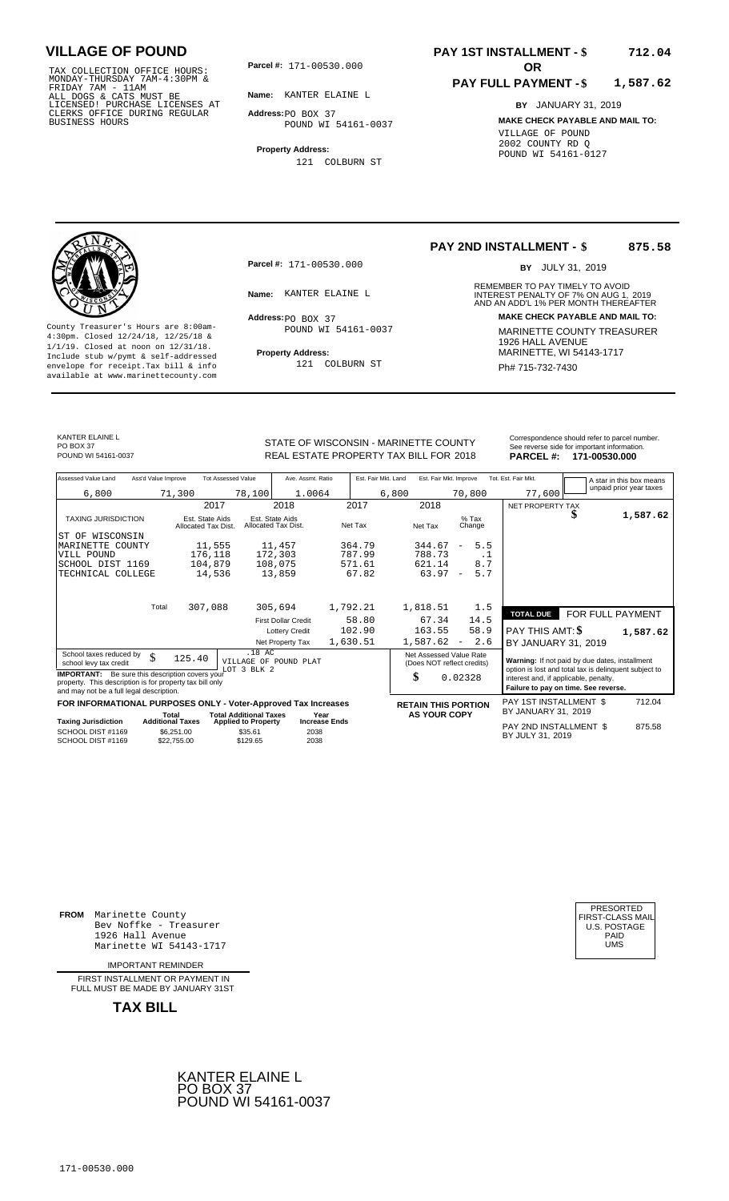171-00530.000 TAX COLLECTION OFFICE HOURS: MONDAY-THURSDAY 7AM-4:30PM & FRIDAY 7AM - 11AM ALL DOGS & CATS MUST BE LICENSED! PURCHASE LICENSES AT CLERKS OFFICE DURING REGULAR BUSINESS HOURS

**Parcel #: OR**

**Name:** KANTER ELAINE L

**Address:** PO BOX 37 POUND WI 54161-0037

**Property Address:** 121 COLBURN ST

### **PAY 1ST INSTALLMENT - \$ 712.04**

#### **PAY FULL PAYMENT - \$ 1,587.62**

**BY** JANUARY 31, 2019 **MAKE CHECK PAYABLE AND MAIL TO:** VILLAGE OF POUND 2002 COUNTY RD Q POUND WI 54161-0127



**Property Address:** MARINETTE, WI 54143-1717 Include stub w/pymt & self-addressed envelope for receipt.Tax bill & info Ph# 715-732-7430 available at www.marinettecounty.com

**Parcel #:** 171-00530.000

Address: PO BOX 37 POUND WI 54161-0037

121 COLBURN ST

**PAY 2ND INSTALLMENT - \$ 875.58**

BY JULY 31, 2019

REMEMBER TO PAY TIMELY TO AVOID **Name:** KANTER ELAINE L<br>
INTEREST PENALTY OF 7% ON AUG 1, 2019<br>
AND AN ADD'L 1% PER MONTH THEREAFTER **Address: MAKE CHECK PAYABLE AND MAIL TO:** County Treasurer's Hours are 8:00am-<br>
4:30pm. Closed 12/24/18, 12/25/18 & MARINETTE COUNTY TREASURER<br>
1/1/19. Closed at noon on 12/31/18.<br>
Include stub w/pwmt & self-addressed **Property Address:** MARINETTE, WI 54143-1717

KANTER ELAINE L PO BOX 37<br>POUND WI 54161-0037

STATE OF WISCONSIN - MARINETTE COUNTY<br>
See reverse side for important information.<br>
REAL ESTATE PROPERTY TAX BILL FOR 2018 PARCEL #: 171-00530.000 REAL ESTATE PROPERTY TAX BILL FOR **PARCEL #:** POUND WI 54161-0037 2018 **171-00530.000**

| Assessed Value Land                                                                                                                                            | Ass'd Value Improve     |                                        | <b>Tot Assessed Value</b>                         |                                        | Ave. Assmt. Ratio                    | Est. Fair Mkt. Land |       | Est. Fair Mkt. Improve                                |                          |           | Tot. Est. Fair Mkt.                                                           | A star in this box means                              |
|----------------------------------------------------------------------------------------------------------------------------------------------------------------|-------------------------|----------------------------------------|---------------------------------------------------|----------------------------------------|--------------------------------------|---------------------|-------|-------------------------------------------------------|--------------------------|-----------|-------------------------------------------------------------------------------|-------------------------------------------------------|
| 6,800                                                                                                                                                          |                         | 71,300                                 | 78,100                                            |                                        | 1.0064                               |                     | 6,800 |                                                       | 70,800                   |           | 77,600                                                                        | unpaid prior year taxes                               |
|                                                                                                                                                                |                         | 2017                                   |                                                   | 2018                                   |                                      | 2017                |       | 2018                                                  |                          |           | NET PROPERTY TAX                                                              |                                                       |
| <b>TAXING JURISDICTION</b>                                                                                                                                     |                         | Est. State Aids<br>Allocated Tax Dist. |                                                   | Est. State Aids<br>Allocated Tax Dist. |                                      | Net Tax             |       | Net Tax                                               | $%$ Tax<br>Change        |           |                                                                               | \$<br>1,587.62                                        |
| WISCONSIN<br>ST OF                                                                                                                                             |                         |                                        |                                                   |                                        |                                      |                     |       |                                                       |                          |           |                                                                               |                                                       |
| MARINETTE COUNTY                                                                                                                                               |                         | 11,555                                 |                                                   | 11,457                                 |                                      | 364.79              |       | 344.67                                                | $\overline{\phantom{m}}$ | 5.5       |                                                                               |                                                       |
| VILL POUND                                                                                                                                                     |                         | 176,118                                |                                                   | 172,303                                |                                      | 787.99              |       | 788.73                                                |                          | $\cdot$ 1 |                                                                               |                                                       |
| SCHOOL DIST 1169                                                                                                                                               |                         | 104,879                                |                                                   | 108,075                                |                                      | 571.61              |       | 621.14                                                |                          | 8.7       |                                                                               |                                                       |
| TECHNICAL COLLEGE                                                                                                                                              |                         | 14,536                                 |                                                   | 13,859                                 |                                      | 67.82               |       | 63.97                                                 | $\overline{a}$           | 5.7       |                                                                               |                                                       |
|                                                                                                                                                                |                         |                                        |                                                   |                                        |                                      |                     |       |                                                       |                          |           |                                                                               |                                                       |
|                                                                                                                                                                | Total                   | 307,088                                |                                                   | 305,694                                |                                      | 1,792.21            |       | 1,818.51                                              |                          | 1.5       |                                                                               |                                                       |
|                                                                                                                                                                |                         |                                        |                                                   | <b>First Dollar Credit</b>             |                                      | 58.80               |       | 67.34                                                 |                          | 14.5      | <b>TOTAL DUE</b>                                                              | FOR FULL PAYMENT                                      |
|                                                                                                                                                                |                         |                                        |                                                   | <b>Lottery Credit</b>                  |                                      | 102.90              |       | 163.55                                                |                          | 58.9      | PAY THIS AMT: \$                                                              | 1,587.62                                              |
|                                                                                                                                                                |                         |                                        |                                                   | Net Property Tax                       |                                      | 1,630.51            |       | 1,587.62                                              | $\overline{\phantom{a}}$ | 2.6       | BY JANUARY 31, 2019                                                           |                                                       |
| School taxes reduced by<br>school levy tax credit                                                                                                              | \$                      | 125.40                                 |                                                   | .18 AC<br>VILLAGE OF POUND PLAT        |                                      |                     |       | Net Assessed Value Rate<br>(Does NOT reflect credits) |                          |           | Warning: If not paid by due dates, installment                                |                                                       |
| <b>IMPORTANT:</b> Be sure this description covers your<br>property. This description is for property tax bill only<br>and may not be a full legal description. |                         |                                        | LOT 3 BLK 2                                       |                                        |                                      |                     | \$    |                                                       | 0.02328                  |           | interest and, if applicable, penalty.<br>Failure to pay on time. See reverse. | option is lost and total tax is delinquent subject to |
| FOR INFORMATIONAL PURPOSES ONLY - Voter-Approved Tax Increases                                                                                                 |                         |                                        |                                                   |                                        |                                      |                     |       | <b>RETAIN THIS PORTION</b>                            |                          |           | PAY 1ST INSTALLMENT \$                                                        | 712.04                                                |
|                                                                                                                                                                | Total                   |                                        | <b>Total Additional Taxes</b>                     |                                        | Year                                 |                     |       | <b>AS YOUR COPY</b>                                   |                          |           | BY JANUARY 31, 2019                                                           |                                                       |
| <b>Taxing Jurisdiction</b><br>SCHOOL DIST #1169<br>SCHOOL DIST #1169                                                                                           | <b>Additional Taxes</b> | \$6,251.00<br>\$22.755.00              | <b>Applied to Property</b><br>\$35.61<br>\$129.65 |                                        | <b>Increase Ends</b><br>2038<br>2038 |                     |       |                                                       |                          |           | PAY 2ND INSTALLMENT \$<br>BY JULY 31, 2019                                    | 875.58                                                |

**FROM** Marinette County Bev Noffke - Treasurer 1926 Hall Avenue PAID Marinette WI 54143-1717 UMS

IMPORTANT REMINDER

FIRST INSTALLMENT OR PAYMENT IN FULL MUST BE MADE BY JANUARY 31ST



| PRESORTED<br>FIRST-CLASS MAIL<br>U.S. POSTAGE<br>PAID<br>UMS |
|--------------------------------------------------------------|
|--------------------------------------------------------------|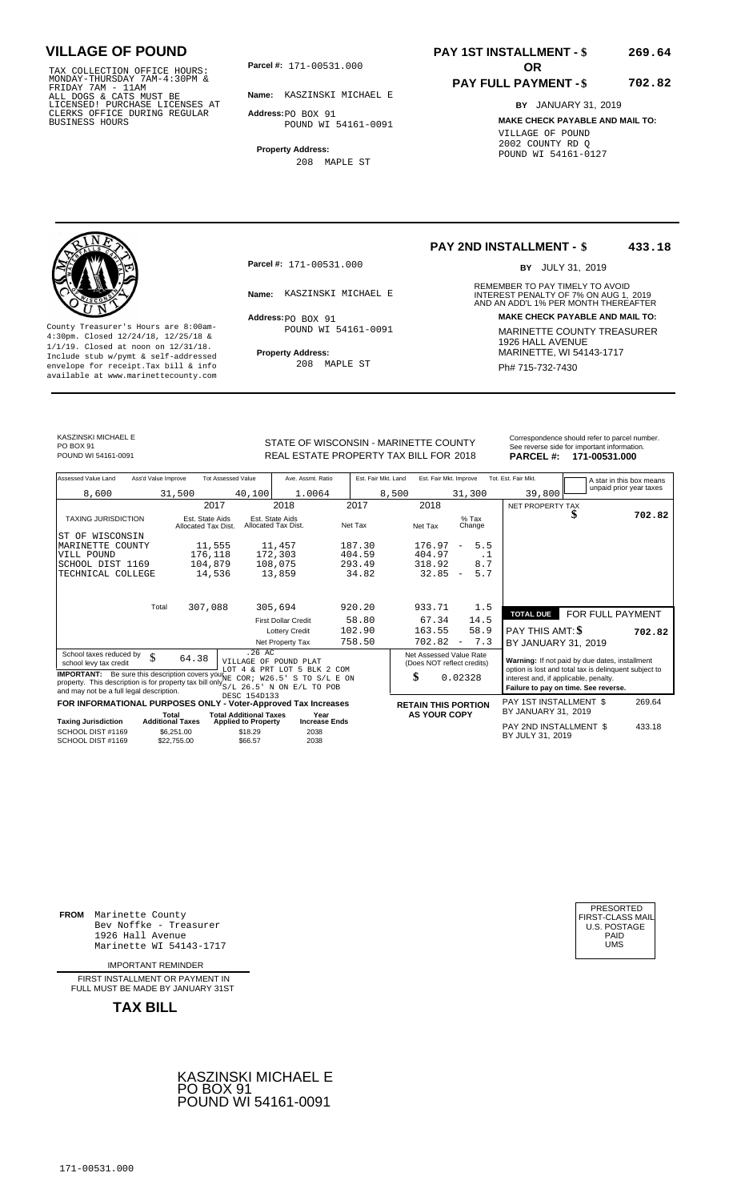171-00531.000 TAX COLLECTION OFFICE HOURS: MONDAY-THURSDAY 7AM-4:30PM & FRIDAY 7AM - 11AM ALL DOGS & CATS MUST BE LICENSED! PURCHASE LICENSES AT CLERKS OFFICE DURING REGULAR BUSINESS HOURS

**Parcel #:** 171-00531.000 **OR** 

**Name:** KASZINSKI MICHAEL E

**Address:** PO BOX 91 POUND WI 54161-0091

**Property Address:** 208 MAPLE ST

### **PAY 1ST INSTALLMENT - \$ 269.64**

### **PAY FULL PAYMENT - \$**

**702.82**

**BY** JANUARY 31, 2019 **MAKE CHECK PAYABLE AND MAIL TO:** VILLAGE OF POUND 2002 COUNTY RD Q POUND WI 54161-0127



**Property Address:** MARINETTE, WI 54143-1717 Include stub w/pymt & self-addressed envelope for receipt.Tax bill & info Ph# 715-732-7430 available at www.marinettecounty.com

**Parcel #:** 171-00531.000

Address: PO BOX 91 POUND WI 54161-0091

208 MAPLE ST

#### **PAY 2ND INSTALLMENT - \$ 433.18**

BY JULY 31, 2019

REMEMBER TO PAY TIMELY TO AVOID **Name:** KASZINSKI MICHAEL E INTEREST PENALTY OF 7% ON AUG 1, 2019<br>AND AN ADD'L 1% PER MONTH THEREAFTER **Address: MAKE CHECK PAYABLE AND MAIL TO:** County Treasurer's Hours are 8:00am-<br>
4:30pm. Closed 12/24/18, 12/25/18 & 1/1/19. Closed at noon on 12/31/18.<br>
Include stub w/pwmt. & self-addressed<br>
Froperty Address: MARINETTE, WI 54143-1717

KASZINSKI MICHAEL E PO BOX 91<br>POUND WI 54161-0091

STATE OF WISCONSIN - MARINETTE COUNTY REAL ESTATE PROPERTY TAX BILL FOR **PARCEL #:** POUND WI 54161-0091 2018 **171-00531.000**

| Correspondence should refer to parcel number. |
|-----------------------------------------------|
| See reverse side for important information.   |
| - - - - - .                                   |

| Assessed Value Land                                                                                                                                                                                                      | Ass'd Value Improve | <b>Tot Assessed Value</b>              |                               | Ave. Assmt. Ratio                                    |         | Est. Fair Mkt. Land        | Est. Fair Mkt. Improve                                |                                 | Tot. Est. Fair Mkt.                                                                                                                    |                  | A star in this box means |
|--------------------------------------------------------------------------------------------------------------------------------------------------------------------------------------------------------------------------|---------------------|----------------------------------------|-------------------------------|------------------------------------------------------|---------|----------------------------|-------------------------------------------------------|---------------------------------|----------------------------------------------------------------------------------------------------------------------------------------|------------------|--------------------------|
| 8,600                                                                                                                                                                                                                    |                     | 31,500                                 | 40,100                        | 1.0064                                               |         | 8,500                      |                                                       | 31,300                          | 39,800                                                                                                                                 |                  | unpaid prior year taxes  |
|                                                                                                                                                                                                                          |                     | 2017                                   |                               | 2018                                                 | 2017    |                            | 2018                                                  |                                 | NET PROPERTY TAX                                                                                                                       |                  |                          |
| <b>TAXING JURISDICTION</b>                                                                                                                                                                                               |                     | Est. State Aids<br>Allocated Tax Dist. |                               | Est. State Aids<br>Allocated Tax Dist.               | Net Tax |                            | Net Tax                                               | $%$ Tax<br>Change               |                                                                                                                                        | ъ                | 702.82                   |
| ST OF WISCONSIN                                                                                                                                                                                                          |                     |                                        |                               |                                                      |         |                            |                                                       |                                 |                                                                                                                                        |                  |                          |
| MARINETTE COUNTY                                                                                                                                                                                                         |                     | 11,555                                 |                               | 11,457                                               | 187.30  |                            | 176.97                                                | 5.5<br>$\overline{\phantom{a}}$ |                                                                                                                                        |                  |                          |
| VILL POUND                                                                                                                                                                                                               |                     | 176,118                                |                               | 172,303                                              | 404.59  |                            | 404.97                                                | . 1                             |                                                                                                                                        |                  |                          |
| SCHOOL DIST 1169                                                                                                                                                                                                         |                     | 104,879                                |                               | 108,075                                              | 293.49  |                            | 318.92                                                | 8.7                             |                                                                                                                                        |                  |                          |
| TECHNICAL COLLEGE                                                                                                                                                                                                        |                     | 14,536                                 |                               | 13,859                                               | 34.82   |                            | 32.85                                                 | 5.7<br>$\overline{\phantom{a}}$ |                                                                                                                                        |                  |                          |
|                                                                                                                                                                                                                          |                     |                                        |                               |                                                      |         |                            |                                                       |                                 |                                                                                                                                        |                  |                          |
|                                                                                                                                                                                                                          | Total               | 307,088                                |                               | 305,694                                              | 920.20  |                            | 933.71                                                | 1.5                             | <b>TOTAL DUE</b>                                                                                                                       | FOR FULL PAYMENT |                          |
|                                                                                                                                                                                                                          |                     |                                        |                               | <b>First Dollar Credit</b>                           | 58.80   |                            | 67.34                                                 | 14.5                            |                                                                                                                                        |                  |                          |
|                                                                                                                                                                                                                          |                     |                                        |                               | <b>Lottery Credit</b>                                | 102.90  |                            | 163.55                                                | 58.9                            | PAY THIS AMT: \$                                                                                                                       |                  | 702.82                   |
|                                                                                                                                                                                                                          |                     |                                        |                               | Net Property Tax                                     | 758.50  |                            | 702.82                                                | 7.3<br>$\overline{\phantom{a}}$ | BY JANUARY 31, 2019                                                                                                                    |                  |                          |
| School taxes reduced by<br>school levy tax credit                                                                                                                                                                        | \$                  | 64.38                                  | $.26$ AC                      | VILLAGE OF POUND PLAT<br>LOT 4 & PRT LOT 5 BLK 2 COM |         |                            | Net Assessed Value Rate<br>(Does NOT reflect credits) |                                 | Warning: If not paid by due dates, installment                                                                                         |                  |                          |
| <b>IMPORTANT:</b> Be sure this description covers you NE COR; W26.5' S TO S/L E ON<br>property. This description is for property tax bill only $S/L$ 26.5' N ON $E/L$ TO POB<br>and may not be a full legal description. |                     |                                        |                               |                                                      |         |                            | \$                                                    | 0.02328                         | option is lost and total tax is delinquent subject to<br>interest and, if applicable, penalty.<br>Failure to pay on time. See reverse. |                  |                          |
| DESC 154D133<br>FOR INFORMATIONAL PURPOSES ONLY - Voter-Approved Tax Increases                                                                                                                                           |                     |                                        |                               |                                                      |         | <b>RETAIN THIS PORTION</b> |                                                       | PAY 1ST INSTALLMENT \$          |                                                                                                                                        | 269.64           |                          |
|                                                                                                                                                                                                                          |                     | Total                                  | <b>Total Additional Taxes</b> | Year                                                 |         |                            | <b>AS YOUR COPY</b>                                   |                                 | BY JANUARY 31, 2019                                                                                                                    |                  |                          |
| <b>Taxing Jurisdiction</b>                                                                                                                                                                                               |                     | <b>Additional Taxes</b>                | <b>Applied to Property</b>    | <b>Increase Ends</b>                                 |         |                            |                                                       |                                 | PAY 2ND INSTALLMENT \$                                                                                                                 |                  | 433.18                   |
| SCHOOL DIST #1169<br>SCHOOL DIST #1169                                                                                                                                                                                   |                     | \$6,251.00<br>\$22,755.00              | \$18.29<br>\$66.57            | 2038<br>2038                                         |         |                            |                                                       |                                 | BY JULY 31, 2019                                                                                                                       |                  |                          |

**FROM** Marinette County Bev Noffke - Treasurer 1926 Hall Avenue PAID Marinette WI 54143-1717 UMS

IMPORTANT REMINDER

FIRST INSTALLMENT OR PAYMENT IN FULL MUST BE MADE BY JANUARY 31ST



| PRESORTED<br>FIRST-CLASS MAIL<br><b>U.S. POSTAGE</b><br>PAID<br>UMS |  |
|---------------------------------------------------------------------|--|
|---------------------------------------------------------------------|--|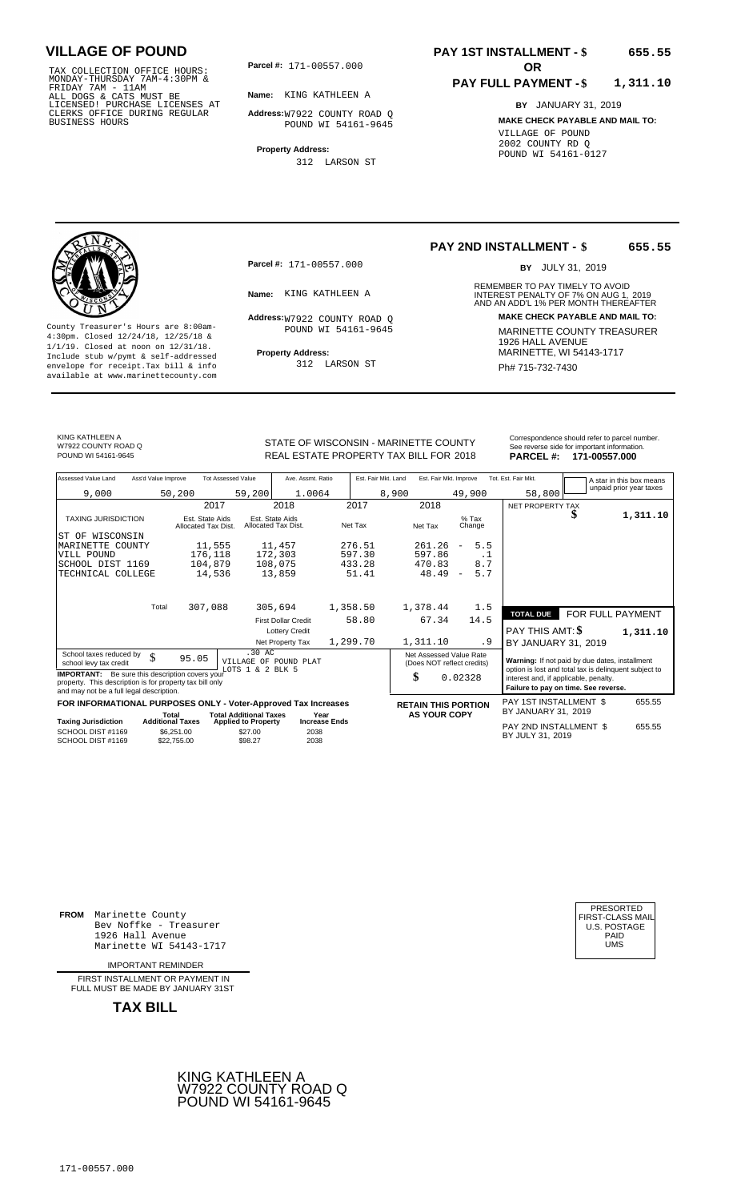TAX COLLECTION OFFICE HOURS:<br>
MONDAY-THURSDAY 7AM-4:30PM &<br>
FRIDAY 7AM - 11AM<br>
ALL DOGS & CATS MUST BE<br>
LICENSED! PURCHASE LICENSES AT<br>
CLERKS OFFICE DURING REGULAR<br>
BUSINESS HOURS<br>
BUSINESS HOURS

**Parcel #:** 171-00557.000

**Name:** KING KATHLEEN A

**Address:** W7922 COUNTY ROAD Q POUND WI 54161-9645

**Property Address:** 312 LARSON ST

### **PAY 1ST INSTALLMENT - \$ 655.55**

#### **PAY FULL PAYMENT - \$ 1,311.10**

**BY** JANUARY 31, 2019 **MAKE CHECK PAYABLE AND MAIL TO:** VILLAGE OF POUND 2002 COUNTY RD Q POUND WI 54161-0127

**Property Address:** MARINETTE, WI 54143-1717 Include stub w/pymt & self-addressed envelope for receipt.Tax bill & info Ph# 715-732-7430 available at www.marinettecounty.com

**Parcel #:** 171-00557.000

Address: W7922 COUNTY ROAD Q POUND WI 54161-9645

312 LARSON ST

### **PAY 2ND INSTALLMENT - \$**

BY JULY 31, 2019

**655.55**

REMEMBER TO PAY TIMELY TO AVOID **Name:** KING KATHLEEN A **INTEREST PENALTY OF 7% ON AUG 1, 2019**<br>AND AN ADD'L 1% PER MONTH THEREAFTER **Address: MAKE CHECK PAYABLE AND MAIL TO:** County Treasurer's Hours are 8:00am-<br>  $\begin{array}{r}\n4:30 \text{pm.} \text{ 2.14} & 4:30 \text{pm.} \text{ 3.14} \\
4:30 \text{pm.} \text{ 2.14} & 4:30 \text{pm.} \text{ 3.14} \\
1/1/19. \text{ 2.14} & 4:30 \text{pm.} \text{ 4.14} \\
1/1/19. \text{ 2.14} & 4:30 \text{pm.} \text{ 4.14} \\
1/1/19. \text{ 2.14}$ 

KING KATHLEEN A W7922 COUNTY ROAD Q<br>POUND WI 54161-9645

Correspondence should refer to parcel n<br>
Correspondence should refer to parcel n<br>
REAL ESTATE PROPERTY TAX BILL FOR 2018 PARCEL #: 171-00557.000 REAL ESTATE PROPERTY TAX BILL FOR **PARCEL #:** POUND WI 54161-9645 2018 **171-00557.000**

| forrespondence should refer to parcel number. |  |
|-----------------------------------------------|--|
| ee reverse side for important information.    |  |
|                                               |  |

| Assessed Value Land                                                                                                                                            | Ass'd Value Improve<br><b>Tot Assessed Value</b>                                                |                                                               | Ave. Assmt. Ratio<br>Est. Fair Mkt. Land |          | Est. Fair Mkt. Improve                                                        |                                 | Tot. Est. Fair Mkt.                                                                                     | A star in this box means |                         |
|----------------------------------------------------------------------------------------------------------------------------------------------------------------|-------------------------------------------------------------------------------------------------|---------------------------------------------------------------|------------------------------------------|----------|-------------------------------------------------------------------------------|---------------------------------|---------------------------------------------------------------------------------------------------------|--------------------------|-------------------------|
| 9,000                                                                                                                                                          | 50,200                                                                                          | 59,200                                                        | 1.0064                                   | 8,900    |                                                                               | 49,900                          | 58,800                                                                                                  |                          | unpaid prior year taxes |
|                                                                                                                                                                |                                                                                                 | 2017                                                          | 2018                                     | 2017     | 2018                                                                          |                                 | NET PROPERTY TAX                                                                                        |                          |                         |
| <b>TAXING JURISDICTION</b>                                                                                                                                     |                                                                                                 | Est. State Aids<br>Allocated Tax Dist.                        | Est. State Aids<br>Allocated Tax Dist.   | Net Tax  | Net Tax                                                                       | $%$ Tax<br>Change               |                                                                                                         |                          | 1,311.10                |
| WISCONSIN<br>ST OF                                                                                                                                             |                                                                                                 |                                                               |                                          |          |                                                                               |                                 |                                                                                                         |                          |                         |
| MARINETTE COUNTY                                                                                                                                               |                                                                                                 | 11,555                                                        | 11,457                                   | 276.51   | 261.26                                                                        | 5.5<br>$\overline{\phantom{a}}$ |                                                                                                         |                          |                         |
| VILL POUND                                                                                                                                                     |                                                                                                 | 176,118                                                       | 172,303                                  | 597.30   | 597.86                                                                        | $\cdot$ 1                       |                                                                                                         |                          |                         |
| SCHOOL DIST 1169                                                                                                                                               |                                                                                                 | 104,879                                                       | 108,075                                  | 433.28   | 470.83                                                                        | 8.7                             |                                                                                                         |                          |                         |
| TECHNICAL COLLEGE                                                                                                                                              |                                                                                                 | 14,536                                                        | 13,859                                   | 51.41    | 48.49                                                                         | 5.7<br>$\overline{\phantom{a}}$ |                                                                                                         |                          |                         |
|                                                                                                                                                                |                                                                                                 |                                                               |                                          |          |                                                                               |                                 |                                                                                                         |                          |                         |
|                                                                                                                                                                | Total                                                                                           | 307,088                                                       | 305,694                                  | 1,358.50 | 1,378.44                                                                      | 1.5                             | <b>TOTAL DUE</b>                                                                                        | FOR FULL PAYMENT         |                         |
|                                                                                                                                                                |                                                                                                 |                                                               | <b>First Dollar Credit</b>               | 58.80    | 67.34                                                                         | 14.5                            |                                                                                                         |                          |                         |
|                                                                                                                                                                |                                                                                                 |                                                               | <b>Lottery Credit</b>                    |          |                                                                               |                                 | PAY THIS AMT: \$                                                                                        |                          | 1,311.10                |
|                                                                                                                                                                |                                                                                                 |                                                               | Net Property Tax                         | 1,299.70 | 1,311.10                                                                      | . 9                             | BY JANUARY 31, 2019                                                                                     |                          |                         |
| School taxes reduced by<br>school levy tax credit                                                                                                              | \$<br>95.05                                                                                     | $.30 \text{ AC}$<br>VILLAGE OF POUND PLAT<br>LOTS 1 & 2 BLK 5 |                                          |          | Net Assessed Value Rate<br>(Does NOT reflect credits)                         |                                 | Warning: If not paid by due dates, installment<br>option is lost and total tax is delinquent subject to |                          |                         |
| <b>IMPORTANT:</b> Be sure this description covers your<br>property. This description is for property tax bill only<br>and may not be a full legal description. |                                                                                                 |                                                               | \$                                       | 0.02328  | interest and, if applicable, penalty.<br>Failure to pay on time. See reverse. |                                 |                                                                                                         |                          |                         |
| FOR INFORMATIONAL PURPOSES ONLY - Voter-Approved Tax Increases                                                                                                 |                                                                                                 |                                                               |                                          |          | <b>RETAIN THIS PORTION</b>                                                    |                                 | <b>PAY 1ST INSTALLMENT \$</b>                                                                           |                          | 655.55                  |
| <b>Taxing Jurisdiction</b>                                                                                                                                     | <b>Total Additional Taxes</b><br>Total<br><b>Additional Taxes</b><br><b>Applied to Property</b> |                                                               | Year<br><b>Increase Ends</b>             |          | <b>AS YOUR COPY</b>                                                           |                                 | BY JANUARY 31, 2019                                                                                     |                          |                         |
| SCHOOL DIST #1169<br>SCHOOL DIST #1169                                                                                                                         | \$6,251.00<br>\$22,755,00                                                                       | \$27.00<br>\$98.27                                            | 2038<br>2038                             |          |                                                                               |                                 | PAY 2ND INSTALLMENT \$<br>BY JULY 31, 2019                                                              |                          | 655.55                  |

**FROM** Marinette County Bev Noffke - Treasurer (U.S. POSTAGE)<br>1926 Hall Avenue (U.S. POSTAGE)<br>Marinette WI 54143-1717 (U.S. POSTAGE) 1926 Hall Avenue PAID Marinette WI 54143-1717 UMS

IMPORTANT REMINDER

FIRST INSTALLMENT OR PAYMENT IN FULL MUST BE MADE BY JANUARY 31ST



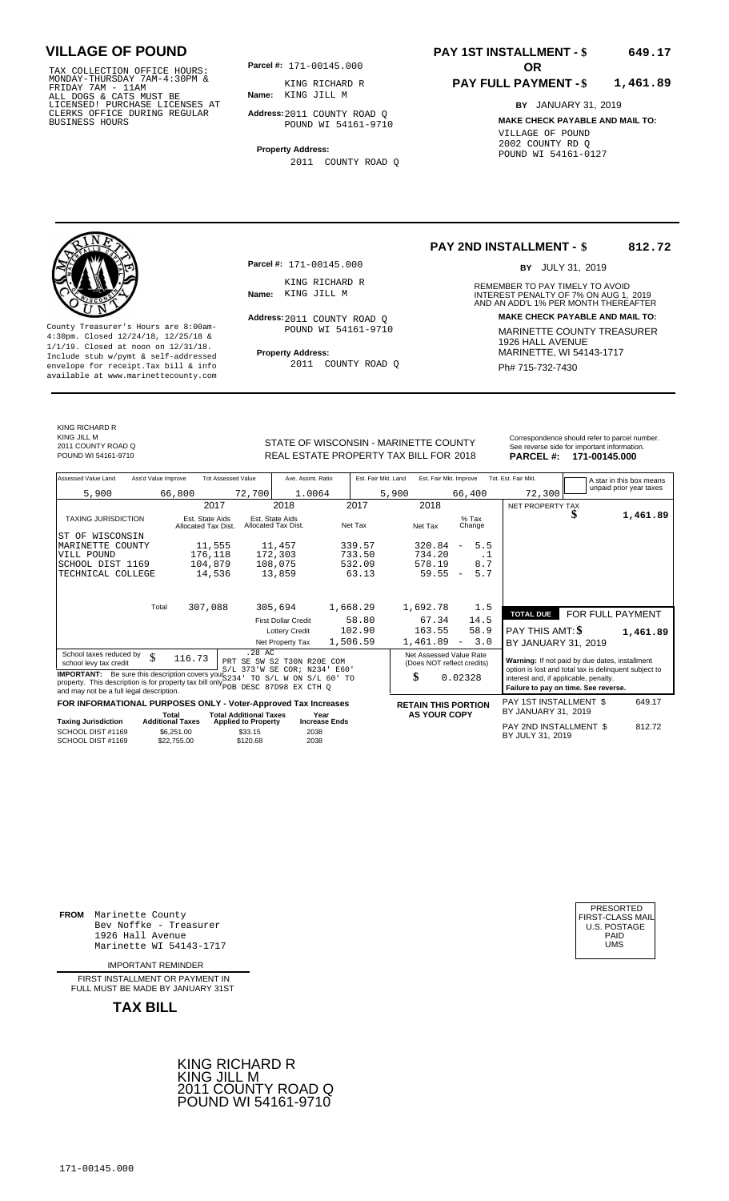TAX COLLECTION OFFICE HOURS:<br>
MONDAY-THURSDAY 7AM-4:30PM & KING RICHARD F<br>
FRIDAY 7AM - 11AM<br>
ALL DOGS & CATS MUST BE **Name**: KING JILL M<br>
LICENSED ! PURCHASE LICENSES AT<br>
CLERKS OFFICE DURING REGULAR **Address**:2011 COUNTY

**Parcel #:** 171-00145.000

**Name:** KING JILL M KING RICHARD R

**Address:** 2011 COUNTY ROAD Q POUND WI 54161-9710

**Property Address:** 2011 COUNTY ROAD Q

**Parcel #:** 171-00145.000

KING RICHARD R<br>Name: KING JILL M

Address: 2011 COUNTY ROAD Q POUND WI 54161-9710

2011 COUNTY ROAD Q

### **PAY 1ST INSTALLMENT - \$ 649.17**

**PAY 2ND INSTALLMENT - \$**

**Name:** KING JILL M **INTEREST PENALTY OF 7% ON AUG 1, 2019**<br>AND AN ADD'L 1% PER MONTH THEREAFTER

#### **PAY FULL PAYMENT - \$ 1,461.89**

REMEMBER TO PAY TIMELY TO AVOID

BY JULY 31, 2019

**Address: MAKE CHECK PAYABLE AND MAIL TO:**

**812.72**

**BY** JANUARY 31, 2019 **MAKE CHECK PAYABLE AND MAIL TO:** VILLAGE OF POUND 2002 COUNTY RD Q POUND WI 54161-0127



County Treasurer's Hours are 8:00am-<br>
4:30pm. Closed 12/24/18, 12/25/18 & MARINETTE COUNTY TREASURER<br>
1/1/19. Closed at noon on 12/31/18.<br>
Include stub w/pwmt & self-addressed **Property Address:** MARINETTE, WI 54143-1717 **Property Address:** MARINETTE, WI 54143-1717 Include stub w/pymt & self-addressed envelope for receipt.Tax bill & info Ph# 715-732-7430 available at www.marinettecounty.com

KING RICHARD R KING JILL M 2011 COUNTY ROAD Q

STATE OF WISCONSIN - MARINETTE COUNTY<br>
See reverse side for important information.<br>
REAL ESTATE PROPERTY TAX BILL FOR 2018 PARCEL #: 171-00145.000 REAL ESTATE PROPERTY TAX BILL FOR **PARCEL #:** POUND WI 54161-9710 2018 **171-00145.000**

| Assessed Value Land<br>Ass'd Value Improve                                                                                                                                                                                                                                       |                                        | <b>Tot Assessed Value</b>              | Ave. Assmt. Ratio             | Est. Fair Mkt. Land | Est. Fair Mkt. Improve                                |                                                                               | Tot. Est. Fair Mkt.                                                                                     |                  | A star in this box means |
|----------------------------------------------------------------------------------------------------------------------------------------------------------------------------------------------------------------------------------------------------------------------------------|----------------------------------------|----------------------------------------|-------------------------------|---------------------|-------------------------------------------------------|-------------------------------------------------------------------------------|---------------------------------------------------------------------------------------------------------|------------------|--------------------------|
| 5,900                                                                                                                                                                                                                                                                            | 66,800                                 | 72,700                                 | 1.0064                        |                     | 5,900                                                 | 66,400                                                                        | 72,300                                                                                                  |                  | unpaid prior year taxes  |
|                                                                                                                                                                                                                                                                                  | 2017                                   |                                        | 2018                          | 2017                | 2018                                                  |                                                                               | NET PROPERTY TAX                                                                                        |                  |                          |
| <b>TAXING JURISDICTION</b>                                                                                                                                                                                                                                                       | Est. State Aids<br>Allocated Tax Dist. | Est. State Aids<br>Allocated Tax Dist. |                               | Net Tax             | Net Tax                                               | $%$ Tax<br>Change                                                             |                                                                                                         |                  | 1,461.89                 |
| WISCONSIN<br>ST OF                                                                                                                                                                                                                                                               |                                        |                                        |                               |                     |                                                       |                                                                               |                                                                                                         |                  |                          |
| MARINETTE COUNTY                                                                                                                                                                                                                                                                 | 11,555                                 |                                        | 11,457                        | 339.57              | 320.84                                                | 5.5<br>$\overline{\phantom{m}}$                                               |                                                                                                         |                  |                          |
| VILL POUND                                                                                                                                                                                                                                                                       | 176,118                                | 172,303                                |                               | 733.50              | 734.20                                                | . 1                                                                           |                                                                                                         |                  |                          |
| SCHOOL DIST 1169                                                                                                                                                                                                                                                                 | 104,879                                | 108,075                                |                               | 532.09              | 578.19                                                | 8.7                                                                           |                                                                                                         |                  |                          |
| TECHNICAL COLLEGE                                                                                                                                                                                                                                                                | 14,536                                 |                                        | 13,859                        | 63.13               | 59.55                                                 | 5.7<br>$\overline{\phantom{a}}$                                               |                                                                                                         |                  |                          |
|                                                                                                                                                                                                                                                                                  |                                        |                                        |                               |                     |                                                       |                                                                               |                                                                                                         |                  |                          |
| Total                                                                                                                                                                                                                                                                            | 307,088                                | 305,694                                |                               | 1,668.29            | 1,692.78                                              | 1.5                                                                           | <b>TOTAL DUE</b>                                                                                        | FOR FULL PAYMENT |                          |
|                                                                                                                                                                                                                                                                                  |                                        |                                        | <b>First Dollar Credit</b>    | 58.80               | 67.34                                                 | 14.5                                                                          |                                                                                                         |                  |                          |
|                                                                                                                                                                                                                                                                                  |                                        |                                        | <b>Lottery Credit</b>         | 102.90              | 163.55                                                | 58.9                                                                          | PAY THIS AMT: \$                                                                                        |                  | 1,461.89                 |
|                                                                                                                                                                                                                                                                                  |                                        |                                        | Net Property Tax              | 1,506.59            | 1,461.89                                              | 3.0<br>$\overline{\phantom{a}}$                                               | BY JANUARY 31, 2019                                                                                     |                  |                          |
| School taxes reduced by<br>\$<br>school levy tax credit                                                                                                                                                                                                                          | 116.73                                 | .28 AC                                 | PRT SE SW S2 T30N R20E<br>COM |                     | Net Assessed Value Rate<br>(Does NOT reflect credits) |                                                                               | Warning: If not paid by due dates, installment<br>option is lost and total tax is delinquent subject to |                  |                          |
| S/L 373'W SE COR; N234' E60'<br><b>IMPORTANT:</b> Be sure this description covers your 5234<br>\$<br>0.02328<br>TO S/L W ON S/L 60'<br><b>TO</b><br>property. This description is for property tax bill only POB DESC 87D98 EX CTH Q<br>and may not be a full legal description. |                                        |                                        |                               |                     |                                                       | interest and, if applicable, penalty.<br>Failure to pay on time. See reverse. |                                                                                                         |                  |                          |
| FOR INFORMATIONAL PURPOSES ONLY - Voter-Approved Tax Increases                                                                                                                                                                                                                   |                                        |                                        |                               |                     | <b>RETAIN THIS PORTION</b>                            |                                                                               | PAY 1ST INSTALLMENT \$                                                                                  |                  | 649.17                   |
|                                                                                                                                                                                                                                                                                  | Total                                  | <b>Total Additional Taxes</b>          | Year                          |                     | <b>AS YOUR COPY</b>                                   |                                                                               | BY JANUARY 31, 2019                                                                                     |                  |                          |
| <b>Taxing Jurisdiction</b>                                                                                                                                                                                                                                                       | <b>Additional Taxes</b>                | <b>Applied to Property</b>             | <b>Increase Ends</b>          |                     |                                                       |                                                                               | PAY 2ND INSTALLMENT \$                                                                                  |                  | 812.72                   |
| SCHOOL DIST #1169<br>SCHOOL DIST #1169                                                                                                                                                                                                                                           | \$6,251.00<br>\$22.755.00              | \$33.15<br>\$120.68                    | 2038<br>2038                  |                     |                                                       |                                                                               | BY JULY 31, 2019                                                                                        |                  |                          |

**FROM** Marinette County Bev Noffke - Treasurer (U.S. POSTAGE)<br>1926 Hall Avenue (U.S. POSTAGE)<br>Marinette WI 54143-1717 (U.S. POSTAGE) 1926 Hall Avenue Marinette WI 54143-1717

IMPORTANT REMINDER

FIRST INSTALLMENT OR PAYMENT IN FULL MUST BE MADE BY JANUARY 31ST



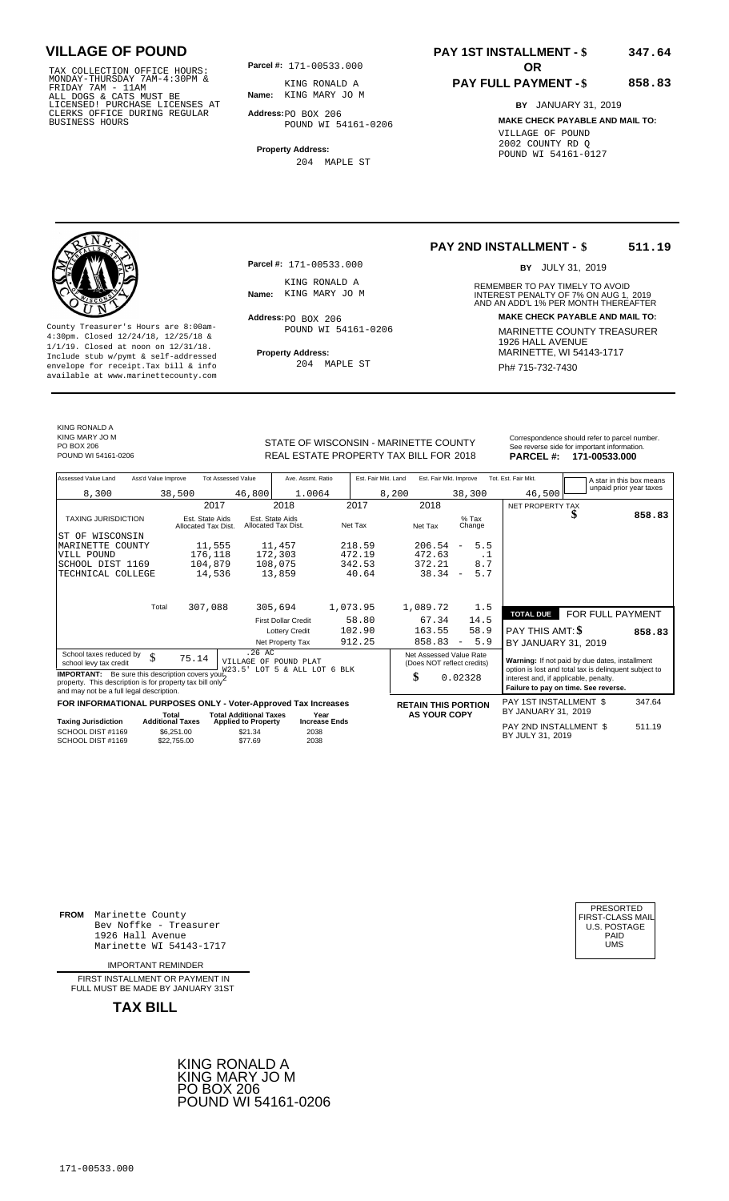TAX COLLECTION OFFICE HOURS:<br>
MONDAY-THURSDAY 7AM-4:30PM & KING RONALD A<br>
FRIDAY 7AM - 11AM<br>
ALL DOGS & CATS MUST BE **Name**: KING MARY JO M<br>
LICENSED! PURCHASE LICENSES AT<br>
CLERKS OFFICE DURING REGULAR **Address**:PO BOX 206

**Parcel #: OR**

**Name:** KING MARY JO M KING RONALD A

**Address:** PO BOX 206 POUND WI 54161-0206

**Property Address:** 204 MAPLE ST

### **PAY 1ST INSTALLMENT - \$ 347.64**

### **PAY FULL PAYMENT - \$**

**858.83**

**BY** JANUARY 31, 2019 **MAKE CHECK PAYABLE AND MAIL TO:** VILLAGE OF POUND 2002 COUNTY RD Q POUND WI 54161-0127

**Property Address:** MARINETTE, WI 54143-1717 Include stub w/pymt & self-addressed envelope for receipt.Tax bill & info Ph# 715-732-7430 available at www.marinettecounty.com

**Parcel #:** 171-00533.000

KING RONALD A<br>Name: KING MARY JO M

 $Address:  $PO$  BOX 206$ POUND WI 54161-0206

204 MAPLE ST

**PAY 2ND INSTALLMENT - \$ 511.19**

BY JULY 31, 2019

REMEMBER TO PAY TIMELY TO AVOID **Name:** KING MARY JOM **CONTRIGHT AND AN ADDEM** INTEREST PENALTY OF 7% ON AUG 1, 2019<br>AND AN ADD'L 1% PER MONTH THEREAFTER **Address: MAKE CHECK PAYABLE AND MAIL TO:** County Treasurer's Hours are 8:00am-<br>
4:30pm. Closed 12/24/18, 12/25/18 & MARINETTE COUNTY TREASURER<br>
1/1/19. Closed at noon on 12/31/18.<br>
Include stub w/pwmt. & self-addressed<br> **Property Address:** MARINETTE, WI 54143-1717

KING RONALD A KING MARY JO M

PO BOX 206<br>POUND WI 54161-0206

STATE OF WISCONSIN - MARINETTE COUNTY REAL ESTATE PROPERTY TAX BILL FOR **PARCEL #:** POUND WI 54161-0206 2018 **171-00533.000**

| Correspondence should refer to parcel number. |
|-----------------------------------------------|
| See reverse side for important information.   |
| <b>DADCEL #124 00522 000</b>                  |

| Assessed Value Land                                                                                                                                            | Ass'd Value Improve              |                                        | <b>Tot Assessed Value</b>                        | Ave. Assmt. Ratio                      |                      | Est. Fair Mkt. Land | Est. Fair Mkt. Improve                                |                          |                   | Tot. Est. Fair Mkt.                                                                                                                    |   | A star in this box means |
|----------------------------------------------------------------------------------------------------------------------------------------------------------------|----------------------------------|----------------------------------------|--------------------------------------------------|----------------------------------------|----------------------|---------------------|-------------------------------------------------------|--------------------------|-------------------|----------------------------------------------------------------------------------------------------------------------------------------|---|--------------------------|
| 8,300                                                                                                                                                          |                                  | 38,500                                 | 46,800                                           | 1.0064                                 |                      | 8,200               |                                                       | 38,300                   |                   | 46,500                                                                                                                                 |   | unpaid prior year taxes  |
|                                                                                                                                                                |                                  | 2017                                   |                                                  | 2018                                   | 2017                 |                     | 2018                                                  |                          |                   | NET PROPERTY TAX                                                                                                                       |   |                          |
| <b>TAXING JURISDICTION</b>                                                                                                                                     |                                  | Est. State Aids<br>Allocated Tax Dist. |                                                  | Est. State Aids<br>Allocated Tax Dist. | Net Tax              |                     | Net Tax                                               |                          | $%$ Tax<br>Change |                                                                                                                                        | ъ | 858.83                   |
| ST OF WISCONSIN                                                                                                                                                |                                  |                                        |                                                  |                                        |                      |                     |                                                       |                          |                   |                                                                                                                                        |   |                          |
| MARINETTE COUNTY                                                                                                                                               |                                  | 11,555                                 |                                                  | 11,457                                 | 218.59               |                     | 206.54                                                | $\qquad \qquad -$        | 5.5               |                                                                                                                                        |   |                          |
| VILL POUND                                                                                                                                                     |                                  | 176,118                                |                                                  | 172,303                                | 472.19               |                     | 472.63                                                |                          | . 1               |                                                                                                                                        |   |                          |
| SCHOOL DIST 1169                                                                                                                                               |                                  | 104,879                                |                                                  | 108,075                                | 342.53               |                     | 372.21                                                |                          | 8.7               |                                                                                                                                        |   |                          |
| TECHNICAL COLLEGE                                                                                                                                              |                                  | 14,536                                 |                                                  | 13,859                                 |                      | 40.64               | 38.34                                                 | $\overline{\phantom{a}}$ | 5.7               |                                                                                                                                        |   |                          |
|                                                                                                                                                                |                                  |                                        |                                                  |                                        |                      |                     |                                                       |                          |                   |                                                                                                                                        |   |                          |
|                                                                                                                                                                | Total                            | 307,088                                |                                                  | 305,694                                | 1,073.95             |                     | 1,089.72                                              |                          | 1.5               |                                                                                                                                        |   |                          |
|                                                                                                                                                                |                                  |                                        |                                                  | <b>First Dollar Credit</b>             |                      | 58.80               | 67.34                                                 |                          | 14.5              | <b>TOTAL DUE</b>                                                                                                                       |   | FOR FULL PAYMENT         |
|                                                                                                                                                                |                                  |                                        |                                                  | <b>Lottery Credit</b>                  | 102.90               |                     | 163.55                                                |                          | 58.9              | PAY THIS AMT: \$                                                                                                                       |   | 858.83                   |
|                                                                                                                                                                |                                  |                                        |                                                  | Net Property Tax                       | 912.25               |                     | 858.83                                                | $\overline{\phantom{a}}$ | 5.9               | BY JANUARY 31, 2019                                                                                                                    |   |                          |
| School taxes reduced by<br>school levy tax credit                                                                                                              | \$                               | 75.14                                  | .26AC                                            | VILLAGE OF POUND PLAT                  |                      |                     | Net Assessed Value Rate<br>(Does NOT reflect credits) |                          |                   | Warning: If not paid by due dates, installment                                                                                         |   |                          |
| <b>IMPORTANT:</b> Be sure this description covers you!<br>property. This description is for property tax bill only<br>and may not be a full legal description. |                                  |                                        | W23.5'                                           | LOT 5 & ALL LOT 6 BLK                  |                      |                     | \$                                                    | 0.02328                  |                   | option is lost and total tax is delinquent subject to<br>interest and, if applicable, penalty.<br>Failure to pay on time. See reverse. |   |                          |
| FOR INFORMATIONAL PURPOSES ONLY - Voter-Approved Tax Increases                                                                                                 |                                  |                                        |                                                  |                                        |                      |                     | <b>RETAIN THIS PORTION</b>                            |                          |                   | PAY 1ST INSTALLMENT \$                                                                                                                 |   | 347.64                   |
| <b>Taxing Jurisdiction</b>                                                                                                                                     | Total<br><b>Additional Taxes</b> |                                        | <b>Total Additional Taxes</b>                    | Year                                   | <b>Increase Ends</b> |                     | <b>AS YOUR COPY</b>                                   |                          |                   | BY JANUARY 31, 2019                                                                                                                    |   |                          |
| SCHOOL DIST #1169<br>SCHOOL DIST #1169                                                                                                                         |                                  | \$6.251.00<br>\$22,755.00              | <b>Applied to Property</b><br>\$21.34<br>\$77.69 | 2038<br>2038                           |                      |                     |                                                       |                          |                   | PAY 2ND INSTALLMENT \$<br>BY JULY 31, 2019                                                                                             |   | 511.19                   |

**FROM** Marinette County Bev Noffke - Treasurer (U.S. POSTAGE)<br>1926 Hall Avenue (U.S. POSTAGE)<br>Marinette WI 54143-1717 (U.S. POSTAGE) 1926 Hall Avenue PAID Marinette WI 54143-1717 UMS

IMPORTANT REMINDER

FIRST INSTALLMENT OR PAYMENT IN FULL MUST BE MADE BY JANUARY 31ST

**TAX BILL**



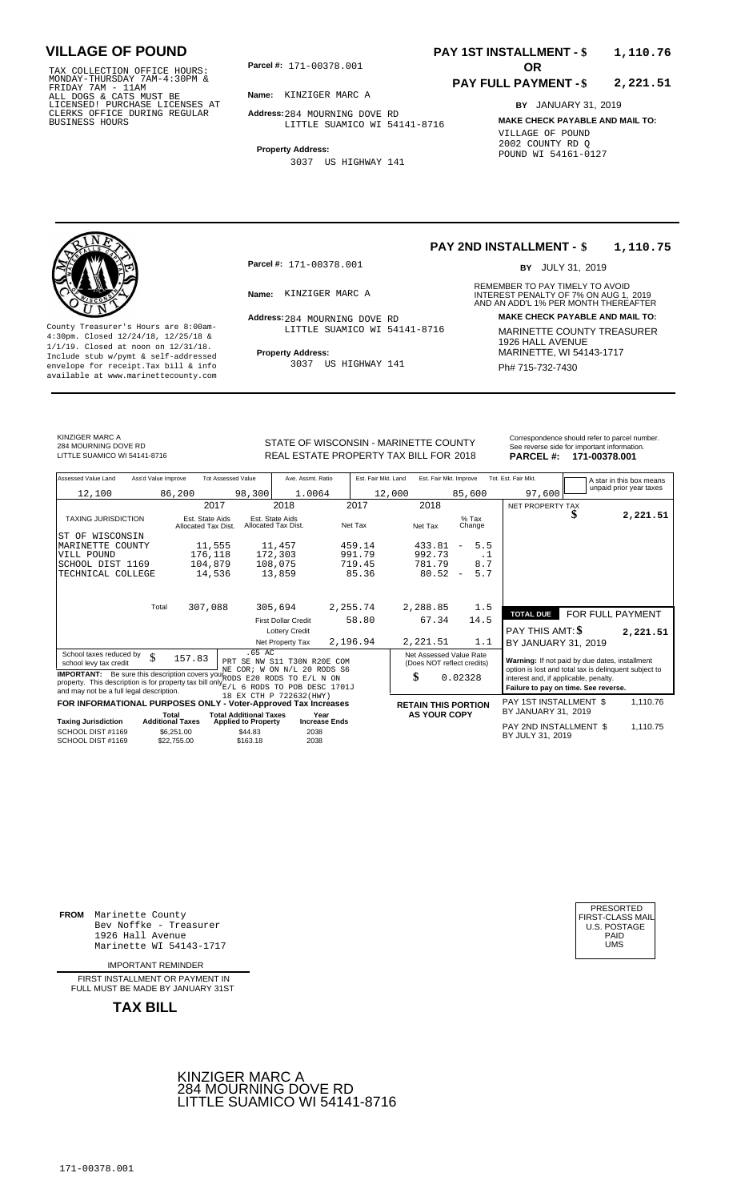TAX COLLECTION OFFICE HOURS:<br>
MONDAY-THURSDAY 7AM-4:30PM &<br>
FRIDAY 7AM - 11AM<br>
ALL DOGS & CATS MUST BE<br>
LICENSED! PURCHASE LICENSES AT<br>
CLERKS OFFICE DURING REGULAR<br>
BUSINESS HOURS<br>
BUSINESS HOURS

**Parcel #: OR**

**Name:** KINZIGER MARC A

**Address:** 284 MOURNING DOVE RD LITTLE SUAMICO WI 54141-8716

**Property Address:**

3037 US HIGHWAY 141

### **PAY 1ST INSTALLMENT - \$ 1,110.76**

#### **PAY FULL PAYMENT - \$ 2,221.51**

**BY** JANUARY 31, 2019 **MAKE CHECK PAYABLE AND MAIL TO:** VILLAGE OF POUND 2002 COUNTY RD Q POUND WI 54161-0127

**Property Address:** MARINETTE, WI 54143-1717 Include stub w/pymt & self-addressed envelope for receipt.Tax bill & info Ph# 715-732-7430 available at www.marinettecounty.com

**Parcel #:** 171-00378.001

Address: 284 MOURNING DOVE RD LITTLE SUAMICO WI 54141-8716

3037 US HIGHWAY 141

#### **PAY 2ND INSTALLMENT - \$ 1,110.75**

BY JULY 31, 2019

REMEMBER TO PAY TIMELY TO AVOID **Name:** KINZIGER MARC A **INTEREST PENALTY OF 7% ON AUG 1, 2019**<br>AND AN ADD'L 1% PER MONTH THEREAFTER **Address: MAKE CHECK PAYABLE AND MAIL TO:** County Treasurer's Hours are 8:00am-<br>
4:30pm. Closed 12/24/18, 12/25/18 & 17TLE SUAMICO WI 54141-8716 MARINETTE COUNTY TREASURER<br>
1/1/19. Closed at noon on 12/31/18.<br>
Include stub w/pwmt & self-addressed **Property Address:** 

KINZIGER MARC A 284 MOURNING DOVE RD<br>LITTLE SUAMICO WI 54141-8716

STATE OF WISCONSIN - MARINETTE COUNTY<br>
See reverse side for important information.<br>
REAL ESTATE PROPERTY TAX BILL FOR 2018 PARCEL #: 171-00378.001 REAL ESTATE PROPERTY TAX BILL FOR **PARCEL #:** LITTLE SUAMICO WI 54141-8716 2018 **171-00378.001**

| Assessed Value Land                                                                                                               | Ass'd Value Improve              |                                        | <b>Tot Assessed Value</b>                                   | Ave. Assmt. Ratio                                          |          | Est. Fair Mkt. Land | Est. Fair Mkt. Improve                                |                                 | Tot. Est. Fair Mkt.                                                                                     |                  | A star in this box means |
|-----------------------------------------------------------------------------------------------------------------------------------|----------------------------------|----------------------------------------|-------------------------------------------------------------|------------------------------------------------------------|----------|---------------------|-------------------------------------------------------|---------------------------------|---------------------------------------------------------------------------------------------------------|------------------|--------------------------|
| 12,100                                                                                                                            |                                  | 86,200                                 | 98,300                                                      | 1.0064                                                     |          | 12,000              |                                                       | 85,600                          | 97,600                                                                                                  |                  | unpaid prior year taxes  |
|                                                                                                                                   |                                  | 2017                                   |                                                             | 2018                                                       | 2017     |                     | 2018                                                  |                                 | NET PROPERTY TAX                                                                                        |                  |                          |
| <b>TAXING JURISDICTION</b>                                                                                                        |                                  | Est. State Aids<br>Allocated Tax Dist. |                                                             | Est. State Aids<br>Allocated Tax Dist.                     | Net Tax  |                     | Net Tax                                               | $%$ Tax<br>Change               |                                                                                                         |                  | 2,221.51                 |
| WISCONSIN<br>ST OF                                                                                                                |                                  |                                        |                                                             |                                                            |          |                     |                                                       |                                 |                                                                                                         |                  |                          |
| MARINETTE COUNTY                                                                                                                  |                                  | 11,555                                 |                                                             | 11,457                                                     | 459.14   |                     | 433.81                                                | 5.5<br>$\overline{\phantom{a}}$ |                                                                                                         |                  |                          |
| VILL POUND                                                                                                                        |                                  | 176,118                                |                                                             | 172,303                                                    | 991.79   |                     | 992.73                                                | $\cdot$ 1                       |                                                                                                         |                  |                          |
| SCHOOL DIST 1169                                                                                                                  |                                  | 104,879                                |                                                             | 108,075                                                    | 719.45   |                     | 781.79                                                | 8.7                             |                                                                                                         |                  |                          |
| TECHNICAL COLLEGE                                                                                                                 |                                  | 14,536                                 |                                                             | 13,859                                                     | 85.36    |                     | 80.52                                                 | 5.7<br>$\overline{\phantom{a}}$ |                                                                                                         |                  |                          |
|                                                                                                                                   |                                  |                                        |                                                             |                                                            |          |                     |                                                       |                                 |                                                                                                         |                  |                          |
|                                                                                                                                   | Total                            | 307,088                                |                                                             | 305,694                                                    | 2,255.74 |                     | 2,288.85                                              | 1.5                             | <b>TOTAL DUE</b>                                                                                        | FOR FULL PAYMENT |                          |
|                                                                                                                                   |                                  |                                        |                                                             | <b>First Dollar Credit</b>                                 | 58.80    |                     | 67.34                                                 | 14.5                            |                                                                                                         |                  |                          |
|                                                                                                                                   |                                  |                                        |                                                             | <b>Lottery Credit</b>                                      |          |                     |                                                       |                                 | <b>PAY THIS AMT: \$</b>                                                                                 |                  | 2,221.51                 |
|                                                                                                                                   |                                  |                                        |                                                             | Net Property Tax                                           | 2,196.94 |                     | 2,221.51                                              | 1.1                             | BY JANUARY 31, 2019                                                                                     |                  |                          |
| School taxes reduced by<br>school levy tax credit<br><b>IMPORTANT:</b> Be sure this description covers your RODS E20 RODS         | \$                               | 157.83                                 | .65 AC                                                      | PRT SE NW S11 T30N R20E COM<br>NE COR; W ON N/L 20 RODS S6 |          |                     | Net Assessed Value Rate<br>(Does NOT reflect credits) |                                 | Warning: If not paid by due dates, installment<br>option is lost and total tax is delinquent subject to |                  |                          |
| property. This description is for property tax bill only E/L 6 RODS TO POB DESC 1701J<br>and may not be a full legal description. |                                  |                                        |                                                             | $F/I$ , $N$ $ON$<br>TO.                                    |          |                     | \$                                                    | 0.02328                         | interest and, if applicable, penalty.<br>Failure to pay on time. See reverse.                           |                  |                          |
| FOR INFORMATIONAL PURPOSES ONLY - Voter-Approved Tax Increases                                                                    |                                  |                                        |                                                             | 18 EX CTH P 722632(HWY)                                    |          |                     | <b>RETAIN THIS PORTION</b>                            |                                 | PAY 1ST INSTALLMENT \$                                                                                  |                  | 1,110.76                 |
| <b>Taxing Jurisdiction</b>                                                                                                        | Total<br><b>Additional Taxes</b> |                                        | <b>Total Additional Taxes</b><br><b>Applied to Property</b> | Year<br><b>Increase Ends</b>                               |          |                     | <b>AS YOUR COPY</b>                                   |                                 | BY JANUARY 31, 2019                                                                                     |                  |                          |
| SCHOOL DIST #1169<br>SCHOOL DIST #1169                                                                                            |                                  | \$6,251.00<br>\$22,755.00              | \$44.83<br>\$163.18                                         | 2038<br>2038                                               |          |                     |                                                       |                                 | PAY 2ND INSTALLMENT \$<br>BY JULY 31, 2019                                                              |                  | 1,110.75                 |

**FROM** Marinette County Bev Noffke - Treasurer 1926 Hall Avenue Marinette WI 54143-1717 UMS

IMPORTANT REMINDER

FIRST INSTALLMENT OR PAYMENT IN FULL MUST BE MADE BY JANUARY 31ST



| PRESORTED           |
|---------------------|
| FIRST-CLASS MAIL    |
| <b>U.S. POSTAGE</b> |
| PAID                |
| UMS                 |
|                     |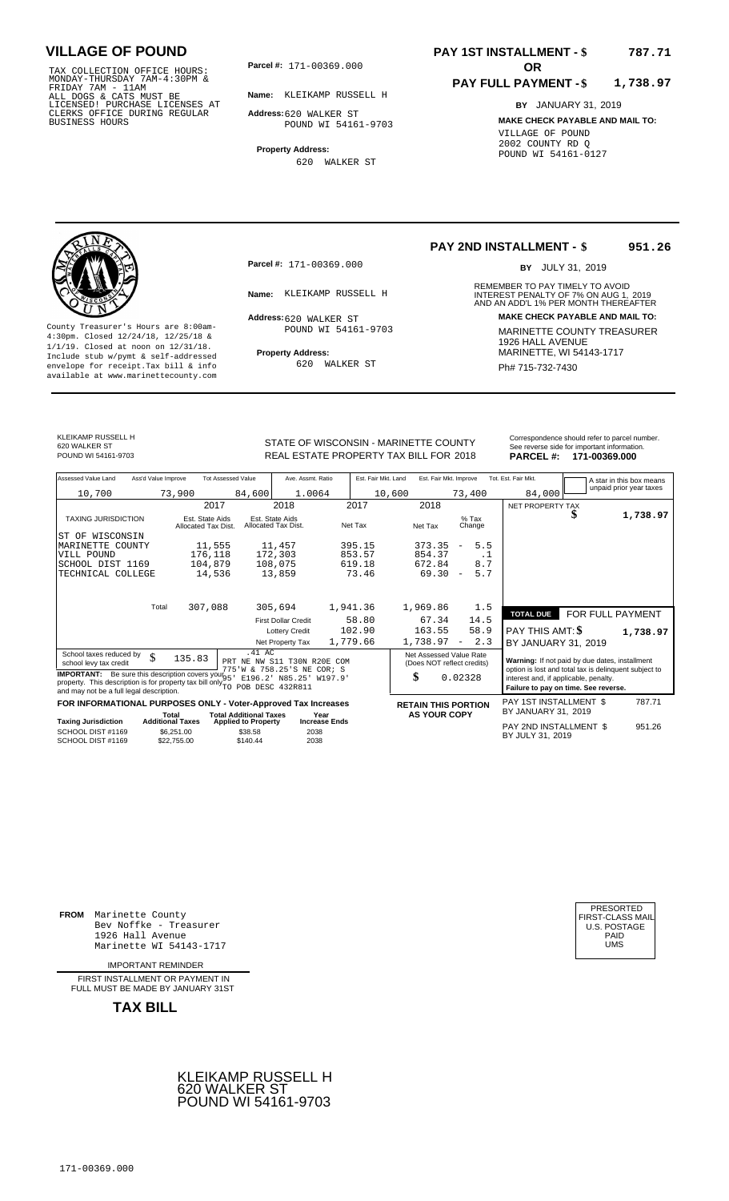TAX COLLECTION OFFICE HOURS:<br>
MONDAY-THURSDAY 7AM-4:30PM &<br>
FRIDAY 7AM - 11AM<br>
ALL DOGS & CATS MUST BE<br>
LICENSED! PURCHASE LICENSES AT<br>
CLERKS OFFICE DURING REGULAR<br>
CLERKS OFFICE DURING REGULAR<br>
BUSINESS HOURS<br>
BUSINESS H

**Parcel #:** 171-00369.000

**Name:** KLEIKAMP RUSSELL H

**Address:** 620 WALKER ST POUND WI 54161-9703

**Property Address:** 620 WALKER ST

### **PAY 1ST INSTALLMENT - \$ 787.71**

#### **PAY FULL PAYMENT - \$ 1,738.97**

**BY** JANUARY 31, 2019 **MAKE CHECK PAYABLE AND MAIL TO:** VILLAGE OF POUND 2002 COUNTY RD Q POUND WI 54161-0127



**Property Address:** MARINETTE, WI 54143-1717 Include stub w/pymt & self-addressed envelope for receipt.Tax bill & info Ph# 715-732-7430 available at www.marinettecounty.com

**Parcel #:** 171-00369.000

Address: 620 WALKER ST POUND WI 54161-9703

620 WALKER ST

#### **PAY 2ND INSTALLMENT - \$ 951.26**

BY JULY 31, 2019

REMEMBER TO PAY TIMELY TO AVOID **Name:** KLEIKAMP RUSSELL H **INTEREST PENALTY OF 7% ON AUG 1, 2019**<br>AND AN ADD'L 1% PER MONTH THEREAFTER **Address: MAKE CHECK PAYABLE AND MAIL TO:** County Treasurer's Hours are 8:00am-<br>
4:30pm. Closed 12/24/18, 12/25/18 & 1/1/19. Closed at noon on 12/31/18.<br>
Include stub w/pwmt. & self-addressed<br>
Froperty Address: MARINETTE, WI 54143-1717

KLEIKAMP RUSSELL H 620 WALKER ST<br>POUND WI 54161-9703

SC<br>TE

STATE OF WISCONSIN - MARINETTE COUNTY REAL ESTATE PROPERTY TAX BILL FOR **PARCEL #:** POUND WI 54161-9703 2018 **171-00369.000**

|          | Correspondence should refer to parcel number. |
|----------|-----------------------------------------------|
|          | See reverse side for important information.   |
| PARCEL # | 171-00369 000                                 |

| Assessed Value Land                                                                                                                                                                                  | Ass'd Value Improve     |                                        | <b>Tot Assessed Value</b>     | Ave. Assmt. Ratio                                                         | Est. Fair Mkt. Land | Est. Fair Mkt. Improve                                |                                 | Tot. Est. Fair Mkt.                                                                                                                    |                  | A star in this box means |
|------------------------------------------------------------------------------------------------------------------------------------------------------------------------------------------------------|-------------------------|----------------------------------------|-------------------------------|---------------------------------------------------------------------------|---------------------|-------------------------------------------------------|---------------------------------|----------------------------------------------------------------------------------------------------------------------------------------|------------------|--------------------------|
| 10,700                                                                                                                                                                                               |                         | 73,900                                 | 84,600                        | 1.0064                                                                    |                     | 10,600                                                | 73,400                          | 84,000                                                                                                                                 |                  | unpaid prior year taxes  |
|                                                                                                                                                                                                      |                         | 2017                                   |                               | 2018                                                                      | 2017                | 2018                                                  |                                 | NET PROPERTY TAX                                                                                                                       |                  |                          |
| <b>TAXING JURISDICTION</b>                                                                                                                                                                           |                         | Est. State Aids<br>Allocated Tax Dist. |                               | Est. State Aids<br>Allocated Tax Dist.                                    | Net Tax             | Net Tax                                               | $%$ Tax<br>Change               |                                                                                                                                        |                  | 1,738.97                 |
| ST OF WISCONSIN                                                                                                                                                                                      |                         |                                        |                               |                                                                           |                     |                                                       |                                 |                                                                                                                                        |                  |                          |
| MARINETTE COUNTY                                                                                                                                                                                     |                         | 11,555                                 |                               | 11,457                                                                    | 395.15              | 373.35                                                | 5.5<br>$\overline{\phantom{a}}$ |                                                                                                                                        |                  |                          |
| VILL POUND<br>SCHOOL DIST 1169                                                                                                                                                                       |                         | 176,118<br>104,879                     |                               | 172,303<br>108,075                                                        | 853.57<br>619.18    | 854.37<br>672.84                                      | . 1<br>8.7                      |                                                                                                                                        |                  |                          |
| TECHNICAL COLLEGE                                                                                                                                                                                    |                         | 14,536                                 |                               | 13,859                                                                    | 73.46               | 69.30                                                 | 5.7<br>$\overline{\phantom{a}}$ |                                                                                                                                        |                  |                          |
|                                                                                                                                                                                                      |                         |                                        |                               |                                                                           |                     |                                                       |                                 |                                                                                                                                        |                  |                          |
|                                                                                                                                                                                                      | Total                   | 307,088                                |                               | 305,694                                                                   | 1,941.36            | 1,969.86                                              | 1.5                             |                                                                                                                                        |                  |                          |
|                                                                                                                                                                                                      |                         |                                        |                               | <b>First Dollar Credit</b>                                                | 58.80               | 67.34                                                 | 14.5                            | <b>TOTAL DUE</b>                                                                                                                       | FOR FULL PAYMENT |                          |
|                                                                                                                                                                                                      |                         |                                        |                               | <b>Lottery Credit</b>                                                     | 102.90              | 163.55                                                | 58.9                            | PAY THIS AMT: \$                                                                                                                       |                  | 1,738.97                 |
|                                                                                                                                                                                                      |                         |                                        |                               | Net Property Tax                                                          | 1,779.66            | 1,738.97                                              | 2.3<br>$\overline{\phantom{a}}$ | BY JANUARY 31, 2019                                                                                                                    |                  |                          |
| School taxes reduced by<br>school levy tax credit                                                                                                                                                    | \$                      | 135.83                                 | .41 AC                        | PRT NE NW S11 T30N R20E COM                                               |                     | Net Assessed Value Rate<br>(Does NOT reflect credits) |                                 | Warning: If not paid by due dates, installment                                                                                         |                  |                          |
| <b>IMPORTANT:</b> Be sure this description covers your <sub>95</sub><br>property. This description is for property tax bill only $\widetilde{_{\rm TO}}$<br>and may not be a full legal description. |                         |                                        |                               | 775'W & 758.25'S NE COR; S<br>E196.2' N85.25' W197.9'<br>POB DESC 432R811 |                     | \$                                                    | 0.02328                         | option is lost and total tax is delinquent subject to<br>interest and, if applicable, penalty.<br>Failure to pay on time. See reverse. |                  |                          |
| FOR INFORMATIONAL PURPOSES ONLY - Voter-Approved Tax Increases                                                                                                                                       | Total                   |                                        | <b>Total Additional Taxes</b> | Year                                                                      |                     | <b>RETAIN THIS PORTION</b><br><b>AS YOUR COPY</b>     |                                 | PAY 1ST INSTALLMENT \$<br>BY JANUARY 31, 2019                                                                                          |                  | 787.71                   |
| Taxing Jurisdiction                                                                                                                                                                                  | <b>Additional Taxes</b> |                                        | <b>Applied to Property</b>    | <b>Increase Ends</b>                                                      |                     |                                                       |                                 | <b>DAV OND INOTALLATIVE &amp;</b>                                                                                                      |                  | 0.7100                   |

**Taxing Jurisdiction Additional Taxes Applied to Property Increase Ends** PAY 2ND INSTALLMENT \$ BY JULY 31, 951.26 SCHOOL DIST #1169 <sup>2038</sup> <sup>2019</sup> SCHOOL DIST #1169<br>SCHOOL DIST #1169 \$6,251.00  $$22,755.00$  \$38.58 \$140.44 2038

**FROM** Marinette County Bev Noffke - Treasurer 1926 Hall Avenue PAID Marinette WI 54143-1717 UMS

IMPORTANT REMINDER

FIRST INSTALLMENT OR PAYMENT IN FULL MUST BE MADE BY JANUARY 31ST



| UMS |  | PRESORTED<br>FIRST-CLASS MAIL<br>U.S. POSTAGE<br>PAID |
|-----|--|-------------------------------------------------------|
|-----|--|-------------------------------------------------------|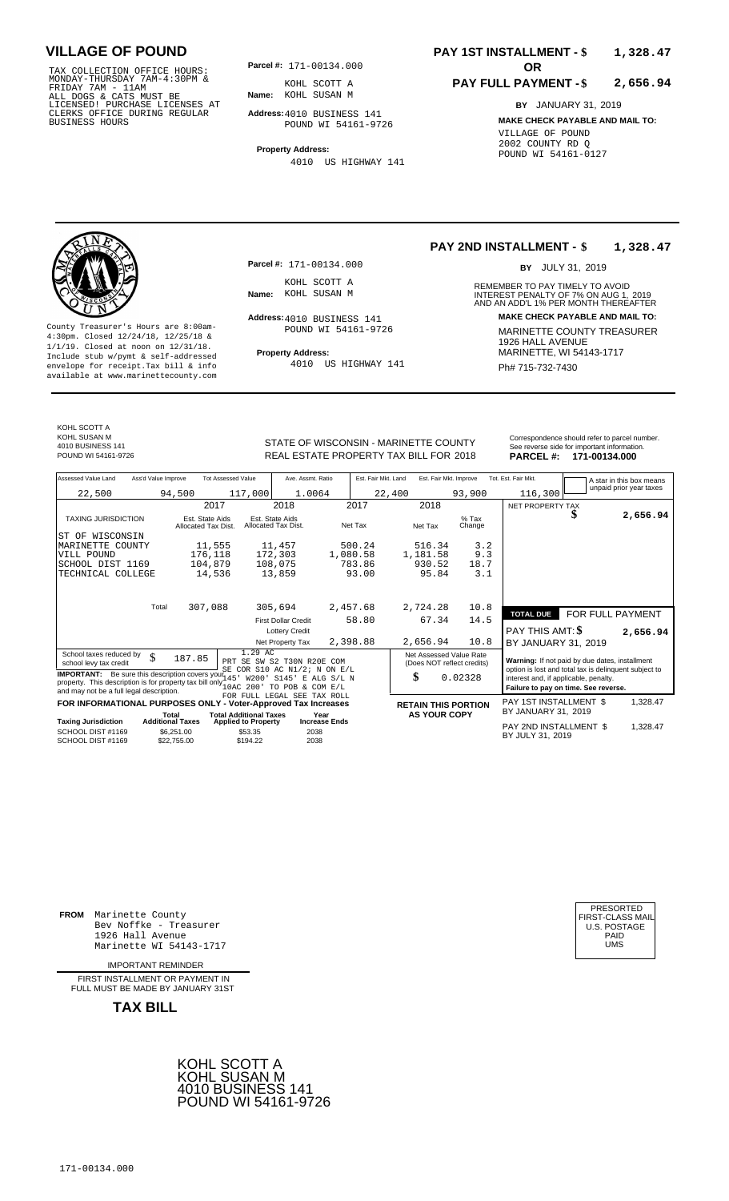171-00134.000 TAX COLLECTION OFFICE HOURS: MONDAY-THURSDAY 7AM-4:30PM & FRIDAY 7AM - 11AM ALL DOGS & CATS MUST BE LICENSED! PURCHASE LICENSES AT CLERKS OFFICE DURING REGULAR BUSINESS HOURS

**Parcel #:** 171-00134.000

**Name:** KOHL SUSAN M KOHL SCOTT A

**Address:** 4010 BUSINESS 141 POUND WI 54161-9726

**Property Address:** 4010 US HIGHWAY 141

### **PAY 1ST INSTALLMENT - \$ 1,328.47**

#### **PAY FULL PAYMENT - \$ 2,656.94**

**BY** JANUARY 31, 2019 **MAKE CHECK PAYABLE AND MAIL TO:** VILLAGE OF POUND 2002 COUNTY RD Q POUND WI 54161-0127



**Property Address:** MARINETTE, WI 54143-1717 Include stub w/pymt & self-addressed envelope for receipt.Tax bill & info Ph# 715-732-7430 available at www.marinettecounty.com

**Parcel #:** 171-00134.000

KOHL SCOTT A<br>Name: KOHL SUSAN M

Address: 4010 BUSINESS 141 POUND WI 54161-9726

4010 US HIGHWAY 141

**PAY 2ND INSTALLMENT - \$ 1,328.47**

BY JULY 31, 2019

REMEMBER TO PAY TIMELY TO AVOID **Name:** INTEREST PENALTY OF 7% ON AUG 1, AND AN ADD'L 1% PER MONTH THEREAFTER KOHL SUSAN M 2019 **Address: MAKE CHECK PAYABLE AND MAIL TO:** County Treasurer's Hours are 8:00am-<br>
4:30pm. Closed 12/24/18, 12/25/18 & MARINETTE COUNTY TREASURER<br>
1/1/19. Closed at noon on 12/31/18.<br>
Include stub w/pwmt & self-addressed<br>
Property Address: MARINETTE, WI 54143-1717

KOHL SCOTT A KOHL SUSAN M

4010 BUSINESS 141

STATE OF WISCONSIN - MARINETTE COUNTY<br>
See reverse side for important information.<br>
REAL ESTATE PROPERTY TAX BILL FOR 2018 PARCEL #: 171-00134.000 REAL ESTATE PROPERTY TAX BILL FOR **PARCEL #:** POUND WI 54161-9726 2018 **171-00134.000**

| Assessed Value Land                                                                                                                                                                             | Ass'd Value Improve     | <b>Tot Assessed Value</b>              |                                                   | Ave. Assmt. Ratio                                       | Est. Fair Mkt. Land | Est. Fair Mkt. Improve                                |                   | Tot. Est. Fair Mkt.                                                                                                                    |   | A star in this box means |
|-------------------------------------------------------------------------------------------------------------------------------------------------------------------------------------------------|-------------------------|----------------------------------------|---------------------------------------------------|---------------------------------------------------------|---------------------|-------------------------------------------------------|-------------------|----------------------------------------------------------------------------------------------------------------------------------------|---|--------------------------|
| 22,500                                                                                                                                                                                          |                         | 94,500                                 | 117,000                                           | 1.0064                                                  | 22,400              |                                                       | 93,900            | 116,300                                                                                                                                |   | unpaid prior year taxes  |
|                                                                                                                                                                                                 |                         | 2017                                   | 2018                                              |                                                         | 2017                | 2018                                                  |                   | NET PROPERTY TAX                                                                                                                       |   |                          |
| <b>TAXING JURISDICTION</b>                                                                                                                                                                      |                         | Est. State Aids<br>Allocated Tax Dist. | Est. State Aids<br>Allocated Tax Dist.            |                                                         | Net Tax             | Net Tax                                               | $%$ Tax<br>Change |                                                                                                                                        | ъ | 2,656.94                 |
| ST OF WISCONSIN                                                                                                                                                                                 |                         |                                        |                                                   |                                                         |                     |                                                       |                   |                                                                                                                                        |   |                          |
| MARINETTE COUNTY                                                                                                                                                                                |                         | 11,555                                 | 11,457                                            |                                                         | 500.24              | 516.34                                                | 3.2               |                                                                                                                                        |   |                          |
| VILL POUND                                                                                                                                                                                      |                         | 176,118                                | 172,303                                           |                                                         | 1,080.58            | 1,181.58                                              | 9.3               |                                                                                                                                        |   |                          |
| SCHOOL DIST 1169                                                                                                                                                                                |                         | 104,879                                | 108,075                                           |                                                         | 783.86              | 930.52                                                | 18.7              |                                                                                                                                        |   |                          |
| TECHNICAL COLLEGE                                                                                                                                                                               |                         | 14,536                                 | 13,859                                            |                                                         | 93.00               | 95.84                                                 | 3.1               |                                                                                                                                        |   |                          |
|                                                                                                                                                                                                 | Total                   | 307,088                                | 305,694                                           |                                                         | 2,457.68            | 2,724.28                                              | 10.8              |                                                                                                                                        |   |                          |
|                                                                                                                                                                                                 |                         |                                        | <b>First Dollar Credit</b>                        |                                                         | 58.80               | 67.34                                                 | 14.5              | <b>TOTAL DUE</b>                                                                                                                       |   | FOR FULL PAYMENT         |
|                                                                                                                                                                                                 |                         |                                        |                                                   | <b>Lottery Credit</b>                                   |                     |                                                       |                   | PAY THIS AMT: \$                                                                                                                       |   | 2,656.94                 |
|                                                                                                                                                                                                 |                         |                                        | Net Property Tax                                  |                                                         | 2,398.88            | 2,656.94                                              | 10.8              | BY JANUARY 31, 2019                                                                                                                    |   |                          |
| School taxes reduced by<br>school levy tax credit                                                                                                                                               | $\mathcal{S}$           | 187.85                                 | $1.29$ AC                                         | PRT SE SW S2 T30N R20E COM                              |                     | Net Assessed Value Rate<br>(Does NOT reflect credits) |                   | Warning: If not paid by due dates, installment                                                                                         |   |                          |
| <b>IMPORTANT:</b> Be sure this description covers your 145<br>property. This description is for property tax bill only $10AC 200'$ TO POB & COM E/L<br>and may not be a full legal description. |                         |                                        |                                                   | SE COR S10 AC N1/2; N ON E/L<br>W200' S145' E ALG S/L N |                     | \$                                                    | 0.02328           | option is lost and total tax is delinquent subject to<br>interest and, if applicable, penalty.<br>Failure to pay on time. See reverse. |   |                          |
| FOR INFORMATIONAL PURPOSES ONLY - Voter-Approved Tax Increases                                                                                                                                  | Total                   |                                        | <b>Total Additional Taxes</b>                     | FOR FULL LEGAL SEE TAX ROLL<br>Year                     |                     | <b>RETAIN THIS PORTION</b><br><b>AS YOUR COPY</b>     |                   | PAY 1ST INSTALLMENT \$<br>BY JANUARY 31, 2019                                                                                          |   | 1,328.47                 |
| <b>Taxing Jurisdiction</b><br>SCHOOL DIST #1169<br>SCHOOL DIST #1169                                                                                                                            | <b>Additional Taxes</b> | \$6.251.00<br>\$22,755.00              | <b>Applied to Property</b><br>\$53.35<br>\$194.22 | <b>Increase Ends</b><br>2038<br>2038                    |                     |                                                       |                   | PAY 2ND INSTALLMENT \$<br>BY JULY 31, 2019                                                                                             |   | 1,328.47                 |
|                                                                                                                                                                                                 |                         |                                        |                                                   |                                                         |                     |                                                       |                   |                                                                                                                                        |   |                          |

**FROM** Marinette County Bev Noffke - Treasurer 1926 Hall Avenue PAID Marinette WI 54143-1717 UMS

IMPORTANT REMINDER

FIRST INSTALLMENT OR PAYMENT IN FULL MUST BE MADE BY JANUARY 31ST



| FIRST-CLASS MAIL<br>U.S. POSTAGE<br>PAID<br>UMS |
|-------------------------------------------------|
|-------------------------------------------------|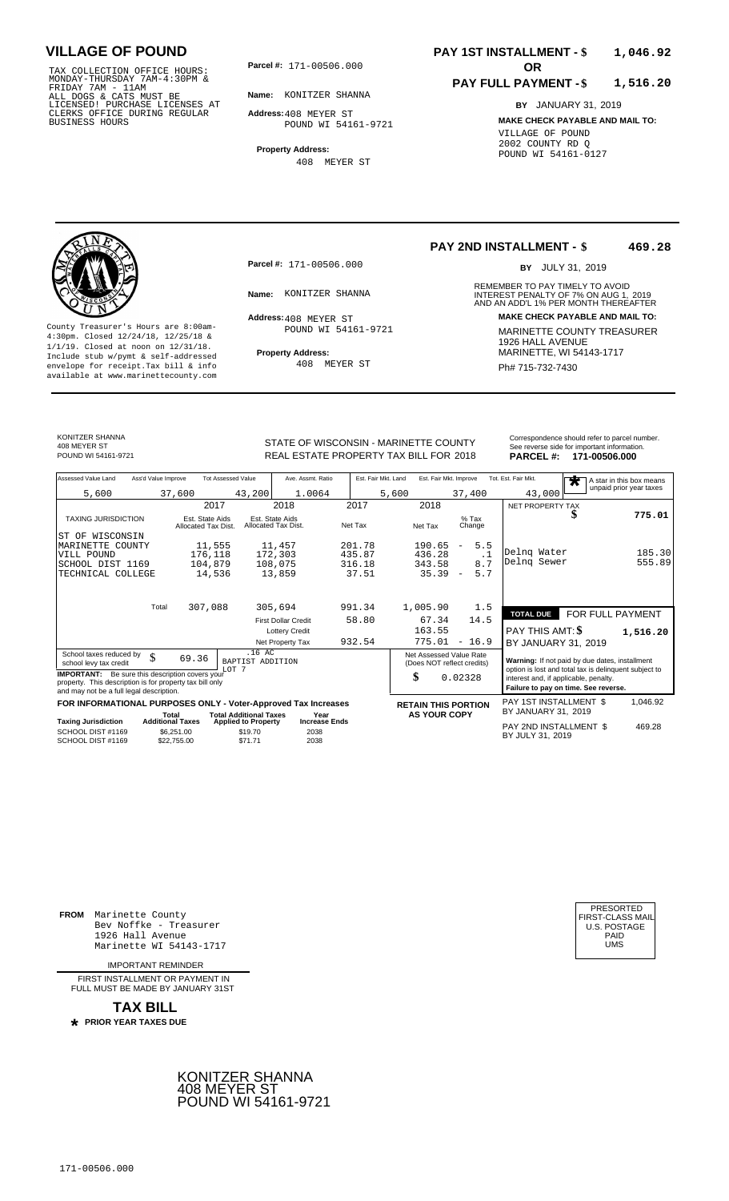TAX COLLECTION OFFICE HOURS:<br>
MONDAY-THURSDAY 7AM-4:30PM &<br>
FRIDAY 7AM - 11AM<br>
ALL DOGS & CATS MUST BE<br>
LICENSED! PURCHASE LICENSES AT<br>
CLERKS OFFICE DURING REGULAR<br>
CLERKS OFFICE DURING REGULAR<br>
BUSINESS HOURS<br>
BUSINESS H

**Parcel #: OR**

**Name:** KONITZER SHANNA

**Address:** 408 MEYER ST POUND WI 54161-9721

**Property Address:** 408 MEYER ST

### **PAY 1ST INSTALLMENT - \$ 1,046.92**

#### **PAY FULL PAYMENT - \$ 1,516.20**

**BY** JANUARY 31, 2019 **MAKE CHECK PAYABLE AND MAIL TO:** VILLAGE OF POUND 2002 COUNTY RD Q POUND WI 54161-0127



**Property Address:** MARINETTE, WI 54143-1717 Include stub w/pymt & self-addressed envelope for receipt.Tax bill & info Ph# 715-732-7430 available at www.marinettecounty.com

**Parcel #:** 171-00506.000

Address: 408 MEYER ST POUND WI 54161-9721

408 MEYER ST

#### **PAY 2ND INSTALLMENT - \$ 469.28**

BY JULY 31, 2019

REMEMBER TO PAY TIMELY TO AVOID **Name:** INTEREST PENALTY OF 7% ON AUG 1, AND AN ADD'L 1% PER MONTH THEREAFTER KONITZER SHANNA 2019 **Address: MAKE CHECK PAYABLE AND MAIL TO:** County Treasurer's Hours are 8:00am-<br>
4:30pm. Closed 12/24/18, 12/25/18 & MARINETTE COUNTY TREASURER<br>
1/1/19. Closed at noon on 12/31/18.<br>
Include stub w/pwmt & self-addressed<br>
Property Address: MARINETTE, WI 54143-1717

KONITZER SHANNA 408 MEYER ST<br>POUND WI 54161-9721

SC<br>TE

SC<br>SC

STATE OF WISCONSIN - MARINETTE COUNTY<br>
See reverse side for important information.<br>
REAL ESTATE PROPERTY TAX BILL FOR 2018 PARCEL #: 171-00506.000 REAL ESTATE PROPERTY TAX BILL FOR **PARCEL #:** POUND WI 54161-9721 2018 **171-00506.000**

| Assessed Value Land                                                                                                                                            | Ass'd Value Improve |                                        | <b>Tot Assessed Value</b>                                   | Ave. Assmt. Ratio                      |                  | Est. Fair Mkt. Land | Est. Fair Mkt. Improve                                |                          |                  | Tot. Est. Fair Mkt.                                                                                     | $\overline{\textbf{r}}$ | A star in this box means |
|----------------------------------------------------------------------------------------------------------------------------------------------------------------|---------------------|----------------------------------------|-------------------------------------------------------------|----------------------------------------|------------------|---------------------|-------------------------------------------------------|--------------------------|------------------|---------------------------------------------------------------------------------------------------------|-------------------------|--------------------------|
| 5,600                                                                                                                                                          |                     | 37,600                                 | 43,200                                                      | 1.0064                                 |                  | 5,600               |                                                       | 37,400                   |                  | 43,000                                                                                                  |                         | unpaid prior year taxes  |
|                                                                                                                                                                |                     | 2017                                   |                                                             | 2018                                   | 2017             |                     | 2018                                                  |                          |                  | NET PROPERTY TAX                                                                                        |                         |                          |
| <b>TAXING JURISDICTION</b>                                                                                                                                     |                     | Est. State Aids<br>Allocated Tax Dist. |                                                             | Est. State Aids<br>Allocated Tax Dist. | Net Tax          |                     | Net Tax                                               | $%$ Tax<br>Change        |                  |                                                                                                         | Φ                       | 775.01                   |
| ST OF WISCONSIN                                                                                                                                                |                     |                                        |                                                             |                                        |                  |                     |                                                       |                          |                  |                                                                                                         |                         |                          |
| MARINETTE COUNTY<br>VILL POUND                                                                                                                                 |                     | 11,555<br>176,118                      |                                                             | 11,457<br>172,303                      | 201.78<br>435.87 |                     | 190.65<br>436.28                                      | $\overline{\phantom{m}}$ | 5.5<br>$\cdot$ 1 | Delng Water                                                                                             |                         | 185.30                   |
| SCHOOL DIST 1169                                                                                                                                               |                     | 104,879                                |                                                             | 108,075                                | 316.18           |                     | 343.58                                                |                          | 8.7              | Delng Sewer                                                                                             |                         | 555.89                   |
| TECHNICAL COLLEGE                                                                                                                                              |                     | 14,536                                 |                                                             | 13,859                                 | 37.51            |                     | 35.39                                                 | $\overline{\phantom{a}}$ | 5.7              |                                                                                                         |                         |                          |
|                                                                                                                                                                | Total               |                                        |                                                             |                                        |                  |                     |                                                       |                          |                  |                                                                                                         |                         |                          |
|                                                                                                                                                                |                     | 307,088                                |                                                             | 305,694                                | 991.34           |                     | 1,005.90                                              |                          | 1.5              | <b>TOTAL DUE</b>                                                                                        | FOR FULL PAYMENT        |                          |
|                                                                                                                                                                |                     |                                        |                                                             | <b>First Dollar Credit</b>             | 58.80            |                     | 67.34                                                 | 14.5                     |                  |                                                                                                         |                         |                          |
|                                                                                                                                                                |                     |                                        |                                                             | <b>Lottery Credit</b>                  |                  |                     | 163.55                                                |                          |                  | PAY THIS AMT: \$                                                                                        |                         | 1,516.20                 |
|                                                                                                                                                                |                     |                                        |                                                             | Net Property Tax                       | 932.54           |                     | 775.01                                                | $-16.9$                  |                  | BY JANUARY 31, 2019                                                                                     |                         |                          |
| School taxes reduced by<br>school levy tax credit                                                                                                              | \$                  | 69.36                                  | .16 AC<br>BAPTIST ADDITION<br>LOT <sub>7</sub>              |                                        |                  |                     | Net Assessed Value Rate<br>(Does NOT reflect credits) |                          |                  | Warning: If not paid by due dates, installment<br>option is lost and total tax is delinquent subject to |                         |                          |
| <b>IMPORTANT:</b> Be sure this description covers your<br>property. This description is for property tax bill only<br>and may not be a full legal description. |                     |                                        |                                                             |                                        |                  |                     | \$                                                    | 0.02328                  |                  | interest and, if applicable, penalty.<br>Failure to pay on time. See reverse.                           |                         |                          |
| FOR INFORMATIONAL PURPOSES ONLY - Voter-Approved Tax Increases                                                                                                 |                     |                                        |                                                             |                                        |                  |                     | <b>RETAIN THIS PORTION</b>                            |                          |                  | PAY 1ST INSTALLMENT \$                                                                                  |                         | 1,046.92                 |
| <b>Taxing Jurisdiction</b>                                                                                                                                     |                     | Total<br><b>Additional Taxes</b>       | <b>Total Additional Taxes</b><br><b>Applied to Property</b> | Year<br><b>Increase Ends</b>           |                  |                     | <b>AS YOUR COPY</b>                                   |                          |                  | BY JANUARY 31, 2019                                                                                     |                         |                          |
| SCHOOL DIST #1169<br>SCHOOL DIST #1169                                                                                                                         |                     | \$6,251,00<br>\$22,755,00              | \$19.70<br>\$71.71                                          | 2038<br>2038                           |                  |                     |                                                       |                          |                  | PAY 2ND INSTALLMENT \$<br>BY JULY 31, 2019                                                              |                         | 469.28                   |
|                                                                                                                                                                |                     |                                        |                                                             |                                        |                  |                     |                                                       |                          |                  |                                                                                                         |                         |                          |

**FROM** Marinette County Bev Noffke - Treasurer 1926 Hall Avenue PAID Marinette WI 54143-1717 UMS

IMPORTANT REMINDER

FIRST INSTALL MENT OR PAYMENT IN FULL MUST BE MADE BY JANUARY 31ST



| PRESORTED<br>FIRST-CLASS MAIL<br>U.S. POSTAGE |
|-----------------------------------------------|
| PAID                                          |
| UMS                                           |
|                                               |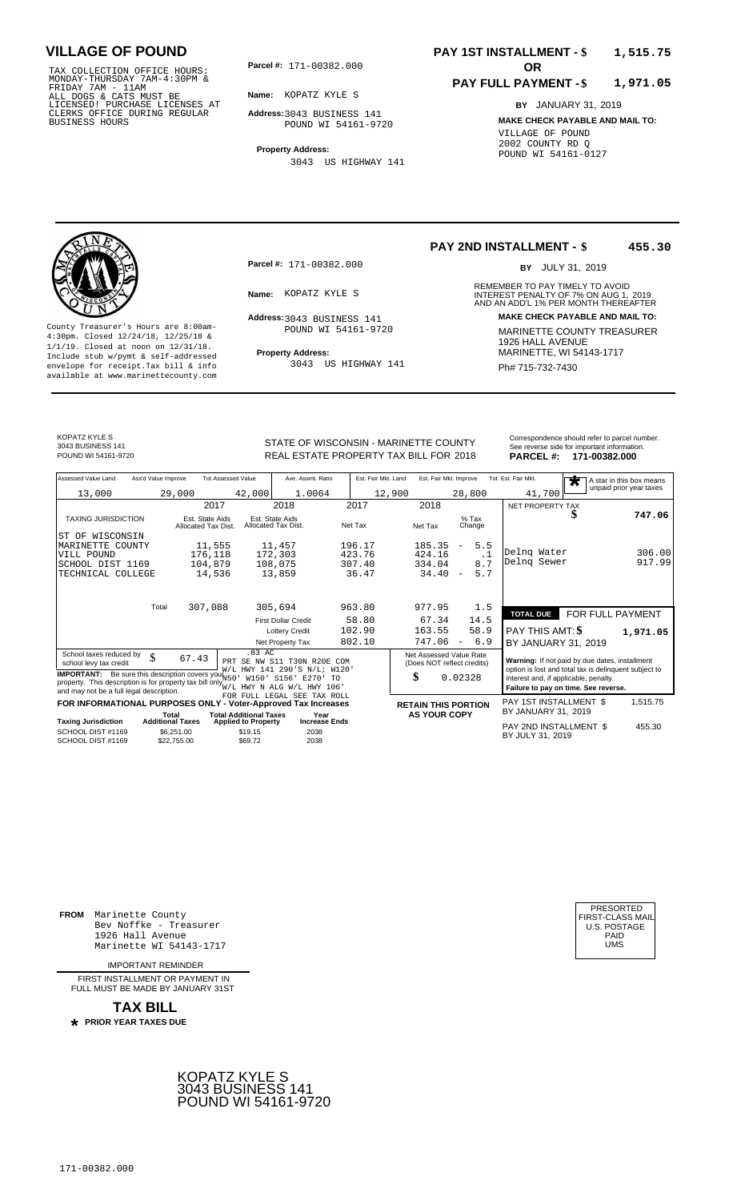TAX COLLECTION OFFICE HOURS:<br>
MONDAY-THURSDAY 7AM-4:30PM &<br>
FRIDAY 7AM - 11AM<br>
ALL DOGS & CATS MUST BE<br>
LICENSED! PURCHASE LICENSES AT<br>
CLERKS OFFICE DURING REGULAR<br>
CLERKS OFFICE DURING REGULAR<br>
BUSINESS HOURS<br>
BUSINESS H

**Parcel #: OR**

**Name:** KOPATZ KYLE S

**Address:** 3043 BUSINESS 141 POUND WI 54161-9720

**Property Address:** 3043 US HIGHWAY 141

#### **PAY 1ST INSTALLMENT - \$ 1,515.75**

#### **PAY FULL PAYMENT - \$ 1,971.05**

**BY** JANUARY 31, 2019 **MAKE CHECK PAYABLE AND MAIL TO:** VILLAGE OF POUND 2002 COUNTY RD Q POUND WI 54161-0127



**Property Address:** MARINETTE, WI 54143-1717 Include stub w/pymt & self-addressed envelope for receipt.Tax bill & info Ph# 715-732-7430 available at www.marinettecounty.com

**Parcel #:** 171-00382.000

Address: 3043 BUSINESS 141

POUND WI 54161-9720

3043 US HIGHWAY 141

#### **PAY 2ND INSTALLMENT - \$ 455.30**

BY JULY 31, 2019

REMEMBER TO PAY TIMELY TO AVOID **Name:** KOPATZ KYLE S<br>
AND AN ADD'L 1% PER MONTH THEREAFTER **Address: MAKE CHECK PAYABLE AND MAIL TO:** County Treasurer's Hours are 8:00am-<br>
4:30pm. Closed 12/24/18, 12/25/18 & MARINETTE COUNTY TREASURER<br>
1/1/19. Closed at noon on 12/31/18.<br>
Include stub w/pwmt & self-addressed **Property Address:** MARINETTE, WI 54143-1717

KOPATZ KYLE S 3043 BUSINESS 141

STATE OF WISCONSIN - MARINETTE COUNTY<br>
See reverse side for important information.<br>
REAL ESTATE PROPERTY TAX BILL FOR 2018 PARCEL #: 171-00382.000 REAL ESTATE PROPERTY TAX BILL FOR **PARCEL #:** POUND WI 54161-9720 2018 **171-00382.000**

| Assessed Value Land<br>Ass'd Value Improve                                                                                                                                                              | <b>Tot Assessed Value</b>                            | Ave. Assmt. Ratio                                                                        | Est. Fair Mkt. Land | Est. Fair Mkt. Improve                                |                                 | Tot. Est. Fair Mkt.                                                           | A star in this box means<br>$\overline{\textbf{r}}$                                                     |
|---------------------------------------------------------------------------------------------------------------------------------------------------------------------------------------------------------|------------------------------------------------------|------------------------------------------------------------------------------------------|---------------------|-------------------------------------------------------|---------------------------------|-------------------------------------------------------------------------------|---------------------------------------------------------------------------------------------------------|
| 13,000                                                                                                                                                                                                  | 29,000                                               | 42,000<br>1.0064                                                                         | 12,900              |                                                       | 28,800                          | 41,700                                                                        | unpaid prior year taxes                                                                                 |
|                                                                                                                                                                                                         | 2017                                                 | 2018                                                                                     | 2017                | 2018                                                  |                                 | NET PROPERTY TAX                                                              |                                                                                                         |
| <b>TAXING JURISDICTION</b>                                                                                                                                                                              | Est. State Aids<br>Allocated Tax Dist.               | Est. State Aids<br>Allocated Tax Dist.                                                   | Net Tax             | Net Tax                                               | $%$ Tax<br>Change               |                                                                               | 747.06                                                                                                  |
| WISCONSIN<br>ST OF                                                                                                                                                                                      |                                                      |                                                                                          |                     |                                                       |                                 |                                                                               |                                                                                                         |
| MARINETTE COUNTY                                                                                                                                                                                        | 11,555                                               | 11,457                                                                                   | 196.17              | 185.35                                                | 5.5<br>$\overline{\phantom{a}}$ |                                                                               |                                                                                                         |
| VILL POUND                                                                                                                                                                                              | 176,118                                              | 172,303                                                                                  | 423.76              | 424.16                                                | $\cdot$ 1                       | Delng Water<br>Delng Sewer                                                    | 306.00<br>917.99                                                                                        |
| SCHOOL DIST 1169                                                                                                                                                                                        | 104,879                                              | 108,075                                                                                  | 307.40              | 334.04                                                | 8.7                             |                                                                               |                                                                                                         |
| TECHNICAL COLLEGE                                                                                                                                                                                       | 14,536                                               | 13,859                                                                                   | 36.47               | 34.40                                                 | 5.7<br>$\overline{\phantom{a}}$ |                                                                               |                                                                                                         |
| Total                                                                                                                                                                                                   | 307,088                                              | 305,694                                                                                  | 963.80              | 977.95                                                | 1.5                             | <b>TOTAL DUE</b>                                                              | FOR FULL PAYMENT                                                                                        |
|                                                                                                                                                                                                         |                                                      | <b>First Dollar Credit</b>                                                               | 58.80               | 67.34                                                 | 14.5                            |                                                                               |                                                                                                         |
|                                                                                                                                                                                                         |                                                      | <b>Lottery Credit</b>                                                                    | 102.90              | 163.55                                                | 58.9                            | PAY THIS AMT: \$                                                              | 1,971.05                                                                                                |
|                                                                                                                                                                                                         |                                                      | Net Property Tax                                                                         | 802.10              | 747.06                                                | 6.9<br>$\overline{\phantom{a}}$ | BY JANUARY 31, 2019                                                           |                                                                                                         |
| School taxes reduced by<br>\$<br>school levy tax credit                                                                                                                                                 | 67.43                                                | .83 AC<br>PRT SE NW S11 T30N R20E COM<br>W/L HWY 141 290'S N/L; W120'                    |                     | Net Assessed Value Rate<br>(Does NOT reflect credits) |                                 |                                                                               | Warning: If not paid by due dates, installment<br>option is lost and total tax is delinquent subject to |
| <b>IMPORTANT:</b> Be sure this description covers you! N50<br>property. This description is for property tax bill only $_{W/L}^{W/L}$ HWY N ALG W/L HWY 106<br>and may not be a full legal description. |                                                      | W150' S156'<br>E270' TO                                                                  |                     | \$                                                    | 0.02328                         | interest and, if applicable, penalty.<br>Failure to pay on time. See reverse. |                                                                                                         |
| FOR INFORMATIONAL PURPOSES ONLY                                                                                                                                                                         |                                                      | FOR FULL LEGAL SEE TAX ROLL<br>- Voter-Approved Tax Increases                            |                     | <b>RETAIN THIS PORTION</b>                            |                                 | PAY 1ST INSTALLMENT \$                                                        | 1,515.75                                                                                                |
|                                                                                                                                                                                                         | Total                                                | <b>Total Additional Taxes</b><br>Year                                                    |                     | <b>AS YOUR COPY</b>                                   |                                 | BY JANUARY 31, 2019                                                           |                                                                                                         |
| <b>Taxing Jurisdiction</b><br>SCHOOL DIST #1169<br>SCHOOL DIST #1169                                                                                                                                    | <b>Additional Taxes</b><br>\$6,251.00<br>\$22,755.00 | <b>Increase Ends</b><br><b>Applied to Property</b><br>\$19.15<br>2038<br>2038<br>\$69.72 |                     |                                                       |                                 | PAY 2ND INSTALLMENT \$<br>BY JULY 31, 2019                                    | 455.30                                                                                                  |

**FROM** Marinette County Bev Noffke - Treasurer 1926 Hall Avenue PAID Marinette WI 54143-1717 UMS

IMPORTANT REMINDER

FIRST INSTALL MENT OR PAYMENT IN FULL MUST BE MADE BY JANUARY 31ST



| UMS |  | PRESORTED<br>FIRST-CLASS MAIL<br>U.S. POSTAGE<br>PAID |
|-----|--|-------------------------------------------------------|
|-----|--|-------------------------------------------------------|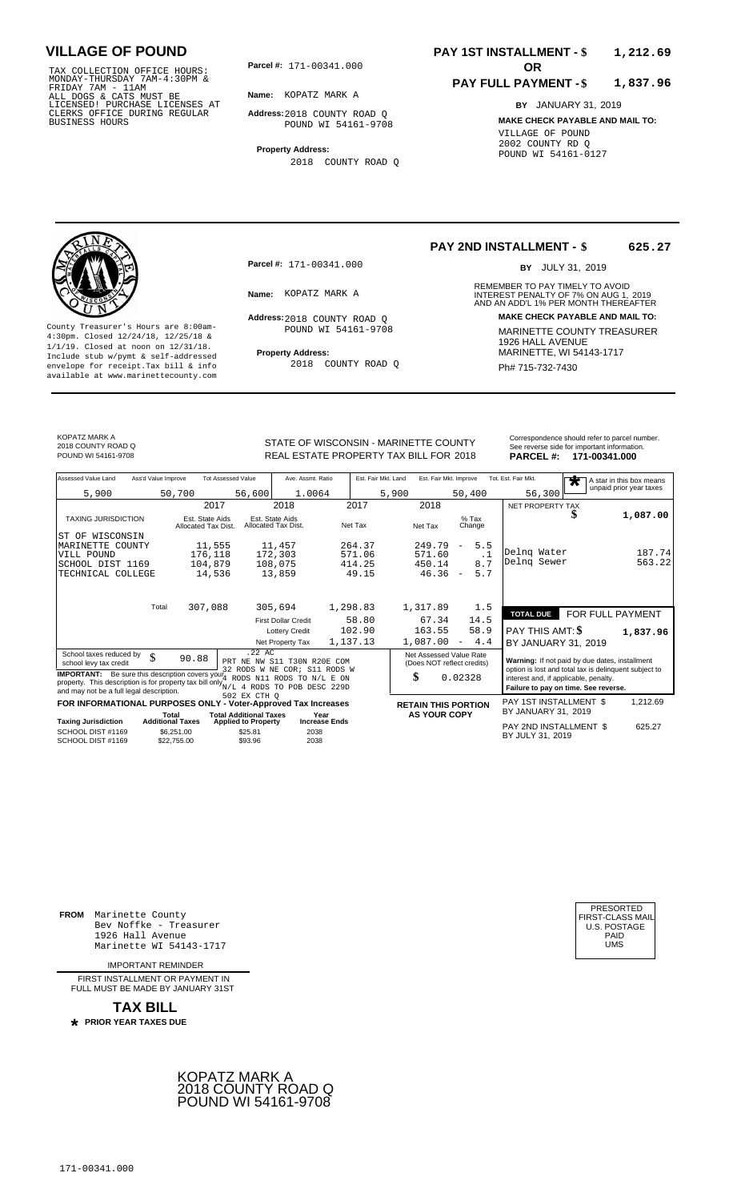TAX COLLECTION OFFICE HOURS:<br>
MONDAY-THURSDAY 7AM-4:30PM &<br>
FRIDAY 7AM - 11AM<br>
ALL DOGS & CATS MUST BE<br>
LICENSED! PURCHASE LICENSES AT<br>
CLERKS OFFICE DURING REGULAR<br>
CLERKS OFFICE DURING REGULAR<br>
BUSINESS HOURS<br>
BUSINESS H

**Parcel #:** 171-00341.000

**Name:** KOPATZ MARK A

**Address:** 2018 COUNTY ROAD Q POUND WI 54161-9708

**Property Address:** 2018 COUNTY ROAD Q

### **PAY 1ST INSTALLMENT - \$ 1,212.69**

#### **PAY FULL PAYMENT - \$ 1,837.96**

**BY** JANUARY 31, 2019 **MAKE CHECK PAYABLE AND MAIL TO:** VILLAGE OF POUND 2002 COUNTY RD Q POUND WI 54161-0127



**Property Address:** MARINETTE, WI 54143-1717 Include stub w/pymt & self-addressed envelope for receipt.Tax bill & info Ph# 715-732-7430 available at www.marinettecounty.com

**Parcel #:** 171-00341.000

Address: 2018 COUNTY ROAD Q POUND WI 54161-9708

2018 COUNTY ROAD Q

#### **PAY 2ND INSTALLMENT - \$ 625.27**

BY JULY 31, 2019

REMEMBER TO PAY TIMELY TO AVOID **Name:** KOPATZ MARK A **1988 1999 INTEREST PENALTY OF 7% ON AUG 1, 2019<br>AND AN ADD'L 1% PER MONTH THEREAFTER Address: MAKE CHECK PAYABLE AND MAIL TO:** County Treasurer's Hours are 8:00am-<br>
4:30pm. Closed 12/24/18, 12/25/18 & MARINETTE COUNTY TREASURER<br>
1/1/19. Closed at noon on 12/31/18.<br>
Include stub w/pwmt & self-addressed **Property Address:** MARINETTE, WI 54143-1717

KOPATZ MARK A 2018 COUNTY ROAD Q

SCH<br>SCH

STATE OF WISCONSIN - MARINETTE COUNTY<br>
See reverse side for important information.<br>
REAL ESTATE PROPERTY TAX BILL FOR 2018 PARCEL #: 171-00341.000 REAL ESTATE PROPERTY TAX BILL FOR **PARCEL #:** POUND WI 54161-9708 2018 **171-00341.000**

| Assessed Value Land                                                                                                                                                                                                                                                                               | Ass'd Value Improve |                                                      | <b>Tot Assessed Value</b>                                               | Ave. Assmt. Ratio                         |                                     | Est. Fair Mkt. Land | Est. Fair Mkt. Improve                  |                                                                  | Tot. Est. Fair Mkt.                                                                                                                                                                      | $\overline{\textbf{r}}$ | A star in this box means |
|---------------------------------------------------------------------------------------------------------------------------------------------------------------------------------------------------------------------------------------------------------------------------------------------------|---------------------|------------------------------------------------------|-------------------------------------------------------------------------|-------------------------------------------|-------------------------------------|---------------------|-----------------------------------------|------------------------------------------------------------------|------------------------------------------------------------------------------------------------------------------------------------------------------------------------------------------|-------------------------|--------------------------|
| 5,900                                                                                                                                                                                                                                                                                             |                     | 50,700                                               | 56,600                                                                  | 1.0064                                    |                                     | 5,900               |                                         | 50,400                                                           | 56,300                                                                                                                                                                                   |                         | unpaid prior year taxes  |
|                                                                                                                                                                                                                                                                                                   |                     | 2017                                                 |                                                                         | 2018                                      | 2017                                |                     | 2018                                    |                                                                  | NET PROPERTY TAX                                                                                                                                                                         |                         |                          |
| <b>TAXING JURISDICTION</b>                                                                                                                                                                                                                                                                        |                     | Est. State Aids<br>Allocated Tax Dist.               | Allocated Tax Dist.                                                     | Est. State Aids                           | Net Tax                             |                     | Net Tax                                 | $%$ Tax<br>Change                                                |                                                                                                                                                                                          | ⊅                       | 1,087.00                 |
| ST OF WISCONSIN<br>MARINETTE COUNTY<br>VILL POUND<br>SCHOOL DIST 1169<br>TECHNICAL COLLEGE                                                                                                                                                                                                        |                     | 11,555<br>176,118<br>104,879<br>14,536               |                                                                         | 11,457<br>172,303<br>108,075<br>13,859    | 264.37<br>571.06<br>414.25<br>49.15 |                     | 249.79<br>571.60<br>450.14<br>$46.36 -$ | 5.5<br>$\overline{\phantom{a}}$<br>$\cdot$ 1<br>8.7<br>5.7       | Delng Water<br>Delnq Sewer                                                                                                                                                               |                         | 187.74<br>563.22         |
|                                                                                                                                                                                                                                                                                                   | Total               | 307,088                                              |                                                                         | 305,694<br><b>First Dollar Credit</b>     | 1,298.83<br>58.80                   |                     | 1,317.89<br>67.34                       | 1.5<br>14.5                                                      | <b>TOTAL DUE</b>                                                                                                                                                                         | FOR FULL PAYMENT        |                          |
|                                                                                                                                                                                                                                                                                                   |                     |                                                      |                                                                         | <b>Lottery Credit</b><br>Net Property Tax | 102.90<br>1,137.13                  |                     | 163.55<br>1,087.00                      | 58.9<br>4.4<br>$\qquad \qquad -$                                 | PAY THIS AMT: \$<br>BY JANUARY 31, 2019                                                                                                                                                  |                         | 1,837.96                 |
| School taxes reduced by<br>school levy tax credit<br><b>IMPORTANT:</b> Be sure this description covers $\text{you}_4^{\sim}$ RODS N11 RODS TO N/L E ON<br>property. This description is for property tax bill only $_{N/L}^2$ 4 RODS TO POB DESC 229D<br>and may not be a full legal description. | \$                  | 90.88                                                | $.22$ AC<br>PRT NE NW S11 T30N R20E COM<br>32 RODS W NE COR; S11 RODS W |                                           |                                     |                     | \$                                      | Net Assessed Value Rate<br>(Does NOT reflect credits)<br>0.02328 | Warning: If not paid by due dates, installment<br>option is lost and total tax is delinquent subject to<br>interest and, if applicable, penalty.<br>Failure to pay on time. See reverse. |                         |                          |
| FOR INFORMATIONAL PURPOSES ONLY - Voter-Approved Tax Increases                                                                                                                                                                                                                                    | Total               |                                                      | 502 EX CTH O<br><b>Total Additional Taxes</b>                           |                                           | Year                                |                     | <b>AS YOUR COPY</b>                     | <b>RETAIN THIS PORTION</b>                                       | PAY 1ST INSTALLMENT \$<br>BY JANUARY 31, 2019                                                                                                                                            |                         | 1,212.69                 |
| Taxing Jurisdiction<br>SCHOOL DIST #1169<br>SCHOOL DIST #1169                                                                                                                                                                                                                                     |                     | <b>Additional Taxes</b><br>\$6,251.00<br>\$22,755.00 | <b>Applied to Property</b><br>\$25.81<br>\$93.96                        | 2038<br>2038                              | <b>Increase Ends</b>                |                     |                                         |                                                                  | PAY 2ND INSTALLMENT \$<br>BY JULY 31, 2019                                                                                                                                               |                         | 625.27                   |
|                                                                                                                                                                                                                                                                                                   |                     |                                                      |                                                                         |                                           |                                     |                     |                                         |                                                                  |                                                                                                                                                                                          |                         |                          |

**FROM** Marinette County Bev Noffke - Treasurer (U.S. POSTAGE)<br>1926 Hall Avenue (U.S. POSTAGE)<br>Marinette WI 54143-1717 (U.S. POSTAGE) 1926 Hall Avenue Marinette WI 54143-1717

IMPORTANT REMINDER

FIRST INSTALL MENT OR PAYMENT IN FULL MUST BE MADE BY JANUARY 31ST



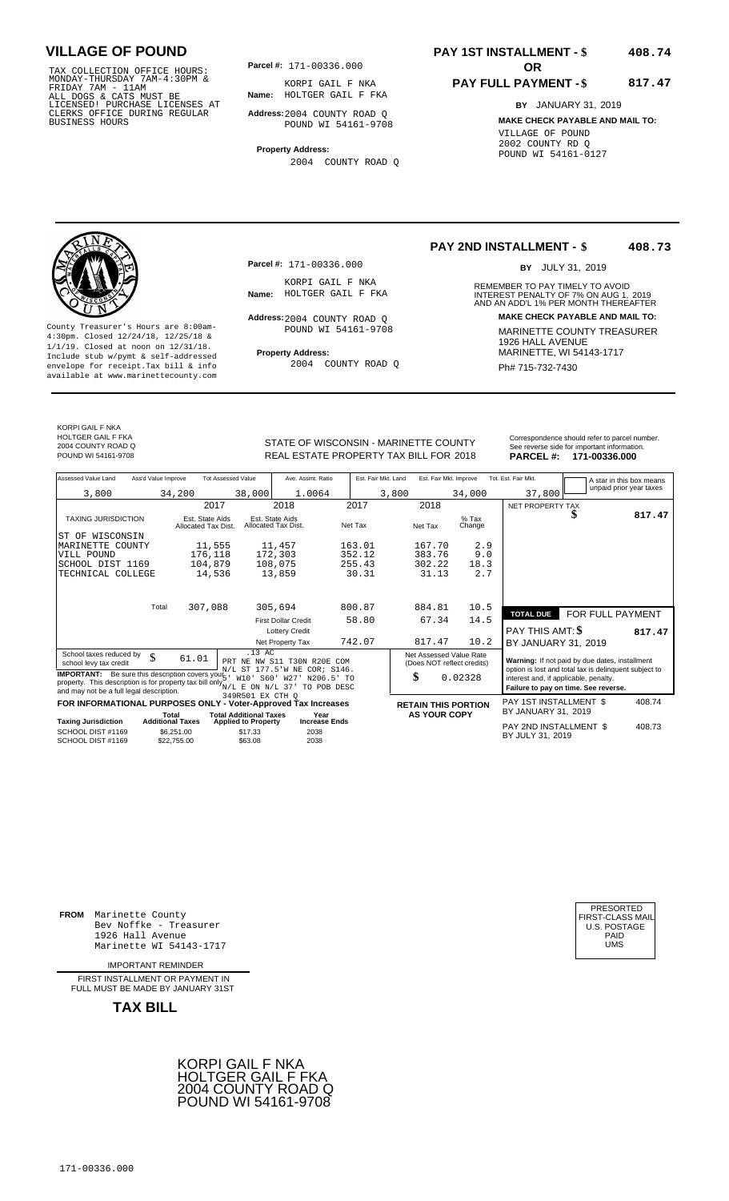TAX COLLECTION OFFICE HOURS: **Parcel#:** 171-00336.000<br>MONDAY-THURSDAY 7AM-4:30PM & KORPI GAIL F N<br>FRIDAY 7AM - 11AM<br>ALL DOGS & CATS MUST BE **Name:** HOLTGER GAIL F<br>LICENSED! PURCHASE LICENSES AT CLERKS OFFICE DURING REGULAR BUSINESS HOURS

**Parcel #: OR**

**Name:** HOLTGER GAIL F FKA KORPI GAIL F NKA

**Address:** 2004 COUNTY ROAD Q POUND WI 54161-9708

**Property Address:** 2004 COUNTY ROAD Q

### **PAY 1ST INSTALLMENT - \$ 408.74**

#### **PAY FULL PAYMENT - \$ 817.47**

**BY** JANUARY 31, 2019 **MAKE CHECK PAYABLE AND MAIL TO:** VILLAGE OF POUND 2002 COUNTY RD Q POUND WI 54161-0127

**Property Address:** MARINETTE, WI 54143-1717 Include stub w/pymt & self-addressed envelope for receipt.Tax bill & info Ph# 715-732-7430 available at www.marinettecounty.com

**Parcel #:** 171-00336.000

KORPI GAIL F NKA<br>Name: HOLTGER GAIL F FKA

Address: 2004 COUNTY ROAD Q POUND WI 54161-9708

2004 COUNTY ROAD Q

**PAY 2ND INSTALLMENT - \$ 408.73**

BY JULY 31, 2019

REMEMBER TO PAY TIMELY TO AVOID **Name:** HOLTGER GAIL F FKA **INTEREST PENALTY OF 7% ON AUG 1, 2019**<br>AND AN ADD'L 1% PER MONTH THEREAFTER **Address: MAKE CHECK PAYABLE AND MAIL TO:** County Treasurer's Hours are 8:00am-<br>
4:30pm. Closed 12/24/18, 12/25/18 & MARINETTE COUNTY TREASURER<br>
1/1/19. Closed at noon on 12/31/18.<br>
Include stub w/pwmt & self-addressed **Property Address:** MARINETTE, WI 54143-1717

KORPI GAIL F NKA HOLTGER GAIL F FKA

STATE OF WISCONSIN - MARINETTE COUNTY<br>
REAL ESTATE PROPERTY TAX BILL FOR 2018 PARCEL #: 171-00336.000 REAL ESTATE PROPERTY TAX BILL FOR **PARCEL #:** POUND WI 54161-9708 2018 **171-00336.000**

| Assessed Value Land                                                                                                                                                                                | Ass'd Value Improve                                  | <b>Tot Assessed Value</b>                        | Ave. Assmt. Ratio                                    | Est. Fair Mkt. Land | Est. Fair Mkt. Improve                                |                   | Tot. Est. Fair Mkt.                        |                                                                                               | A star in this box means |
|----------------------------------------------------------------------------------------------------------------------------------------------------------------------------------------------------|------------------------------------------------------|--------------------------------------------------|------------------------------------------------------|---------------------|-------------------------------------------------------|-------------------|--------------------------------------------|-----------------------------------------------------------------------------------------------|--------------------------|
| 3,800                                                                                                                                                                                              | 34,200                                               | 38,000                                           | 1.0064                                               |                     | 3,800                                                 | 34,000            | 37,800                                     | unpaid prior year taxes                                                                       |                          |
|                                                                                                                                                                                                    |                                                      | 2017                                             | 2018                                                 | 2017                | 2018                                                  |                   | NET PROPERTY TAX                           |                                                                                               |                          |
| <b>TAXING JURISDICTION</b>                                                                                                                                                                         | Est. State Aids<br>Allocated Tax Dist.               |                                                  | Est. State Aids<br>Allocated Tax Dist.               | Net Tax             | Net Tax                                               | $%$ Tax<br>Change |                                            | J                                                                                             | 817.47                   |
| ST OF WISCONSIN                                                                                                                                                                                    |                                                      |                                                  |                                                      |                     |                                                       |                   |                                            |                                                                                               |                          |
| MARINETTE COUNTY                                                                                                                                                                                   |                                                      | 11,555                                           | 11,457                                               | 163.01              | 167.70                                                | 2.9               |                                            |                                                                                               |                          |
| VILL POUND                                                                                                                                                                                         |                                                      | 176,118                                          | 172,303                                              | 352.12              | 383.76                                                | 9.0               |                                            |                                                                                               |                          |
| SCHOOL DIST 1169                                                                                                                                                                                   |                                                      | 104,879                                          | 108,075                                              | 255.43              | 302.22                                                | 18.3              |                                            |                                                                                               |                          |
| TECHNICAL COLLEGE                                                                                                                                                                                  |                                                      | 14,536                                           | 13,859                                               | 30.31               | 31.13                                                 | 2.7               |                                            |                                                                                               |                          |
|                                                                                                                                                                                                    |                                                      |                                                  |                                                      |                     |                                                       |                   |                                            |                                                                                               |                          |
|                                                                                                                                                                                                    | Total                                                | 307,088                                          | 305,694                                              | 800.87              | 884.81                                                | 10.5              |                                            |                                                                                               |                          |
|                                                                                                                                                                                                    |                                                      |                                                  | <b>First Dollar Credit</b>                           | 58.80               | 67.34                                                 | 14.5              | <b>TOTAL DUE</b>                           | FOR FULL PAYMENT                                                                              |                          |
|                                                                                                                                                                                                    |                                                      |                                                  | <b>Lottery Credit</b>                                |                     |                                                       |                   | PAY THIS AMT: \$                           |                                                                                               | 817.47                   |
|                                                                                                                                                                                                    |                                                      |                                                  | Net Property Tax                                     | 742.07              | 817.47                                                | 10.2              | BY JANUARY 31, 2019                        |                                                                                               |                          |
| School taxes reduced by<br>school levy tax credit                                                                                                                                                  | \$<br>61.01                                          | .13 AC                                           | PRT NE NW S11 T30N R20E COM                          |                     | Net Assessed Value Rate<br>(Does NOT reflect credits) |                   |                                            | Warning: If not paid by due dates, installment                                                |                          |
| <b>IMPORTANT:</b> Be sure this description covers your,<br>property. This description is for property tax bill only $N/L$ $E$ ON $N/L$ 37' TO POB DESC<br>and may not be a full legal description. |                                                      | W10'                                             | N/L ST 177.5'W NE COR; S146.<br>S60' W27' N206.5' TO |                     | \$                                                    | 0.02328           | interest and, if applicable, penalty.      | option is lost and total tax is delinquent subject to<br>Failure to pay on time. See reverse. |                          |
| FOR INFORMATIONAL PURPOSES ONLY - Voter-Approved Tax Increases                                                                                                                                     |                                                      | 349R501 EX CTH O                                 |                                                      |                     | <b>RETAIN THIS PORTION</b>                            |                   | PAY 1ST INSTALLMENT \$                     |                                                                                               | 408.74                   |
|                                                                                                                                                                                                    | Total                                                | <b>Total Additional Taxes</b>                    | Year                                                 |                     | <b>AS YOUR COPY</b>                                   |                   | BY JANUARY 31, 2019                        |                                                                                               |                          |
| <b>Taxing Jurisdiction</b><br>SCHOOL DIST #1169<br>SCHOOL DIST #1169                                                                                                                               | <b>Additional Taxes</b><br>\$6,251,00<br>\$22.755.00 | <b>Applied to Property</b><br>\$17.33<br>\$63.08 | <b>Increase Ends</b><br>2038<br>2038                 |                     |                                                       |                   | PAY 2ND INSTALLMENT \$<br>BY JULY 31, 2019 |                                                                                               | 408.73                   |

**FROM** Marinette County Bev Noffke - Treasurer (U.S. POSTAGE)<br>1926 Hall Avenue (U.S. POSTAGE)<br>Marinette WI 54143-1717 (U.S. POSTAGE) 1926 Hall Avenue Marinette WI 54143-1717

IMPORTANT REMINDER

FIRST INSTALL MENT OR PAYMENT IN FULL MUST BE MADE BY JANUARY 31ST

**TAX BILL**





2004 COUNTY ROAD Q

| Taxing Jurisdiction | <b>Additional Taxes</b> | <b>Applied to Property</b> | Increase |
|---------------------|-------------------------|----------------------------|----------|
| SCHOOL DIST #1169   | \$6.251.00              | \$17.33                    | 2038     |
| SCHOOL DIST #1169   | \$22,755,00             | \$63.08                    | 2038     |
|                     |                         |                            |          |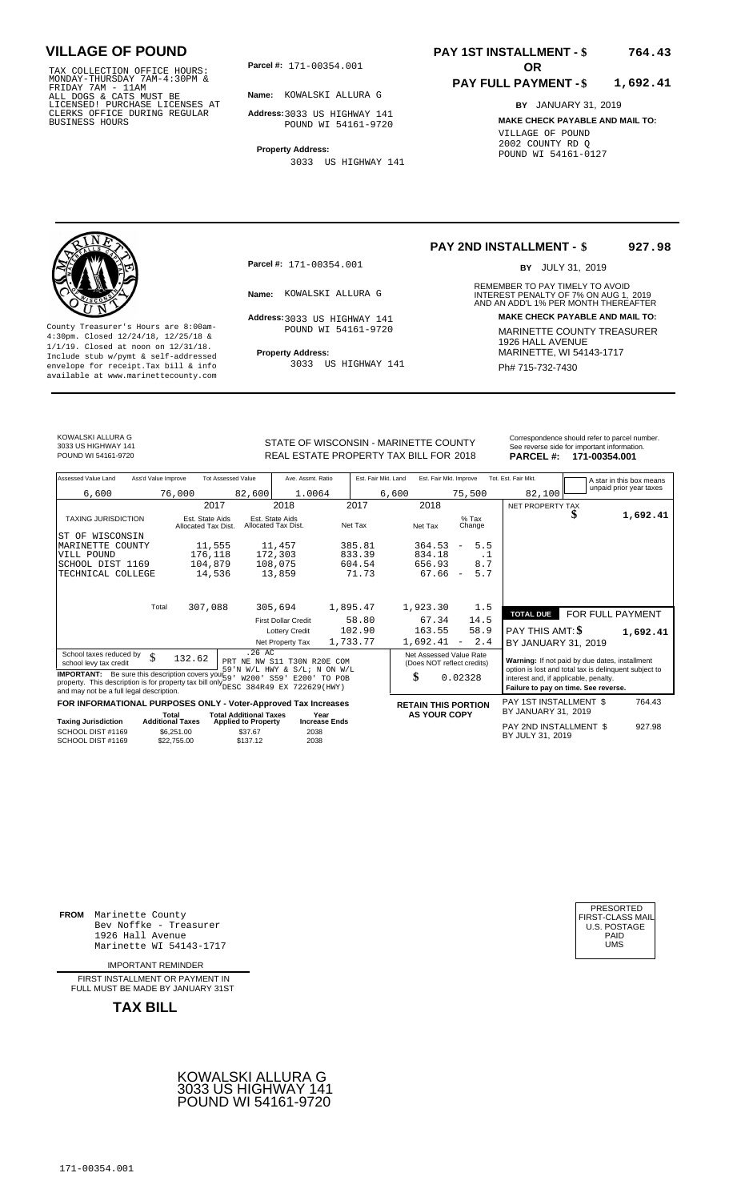TAX COLLECTION OFFICE HOURS:<br>
MONDAY-THURSDAY 7AM-4:30PM &<br>
FRIDAY 7AM - 11AM<br>
ALL DOGS & CATS MUST BE<br>
LICENSED! PURCHASE LICENSES AT<br>
CLERKS OFFICE DURING REGULAR<br>
BUSINESS HOURS<br>
POUND WI 54161

**Parcel #:** 171-00354.001 **OR** 

**Name:** KOWALSKI ALLURA G

**Address:** 3033 US HIGHWAY 141 POUND WI 54161-9720

**Property Address:** 3033 US HIGHWAY 141

### **PAY 1ST INSTALLMENT - \$ 764.43**

#### **PAY FULL PAYMENT - \$ 1,692.41**

**BY** JANUARY 31, 2019 **MAKE CHECK PAYABLE AND MAIL TO:** VILLAGE OF POUND 2002 COUNTY RD Q POUND WI 54161-0127

**Property Address:** MARINETTE, WI 54143-1717 Include stub w/pymt & self-addressed envelope for receipt.Tax bill & info Ph# 715-732-7430 available at www.marinettecounty.com

**Parcel #:** 171-00354.001

Address: 3033 US HIGHWAY 141 POUND WI 54161-9720

3033 US HIGHWAY 141

#### **PAY 2ND INSTALLMENT - \$ 927.98**

BY JULY 31, 2019

REMEMBER TO PAY TIMELY TO AVOID **Name:** INTEREST PENALTY OF 7% ON AUG 1, AND AN ADD'L 1% PER MONTH THEREAFTER KOWALSKI ALLURA G 2019 **Address: MAKE CHECK PAYABLE AND MAIL TO:** County Treasurer's Hours are 8:00am-<br>
4:30pm. Closed 12/24/18, 12/25/18 & 1/1/19. Closed at noon on 12/31/18.<br>
Include stub w/pwmt. & self-addressed<br>
Froperty Address: MARINETTE, WI 54143-1717

KOWALSKI ALLURA G 3033 US HIGHWAY 141

STATE OF WISCONSIN - MARINETTE COUNTY Correspondence should refer to parcel number.

| 3033 US HIGHWAY 141<br>POUND WI 54161-9720 |                     |                           | STATE OF WISCONSIN - MARINETTE COUNT I<br>REAL ESTATE PROPERTY TAX BILL FOR 2018 |                     |                        | <b>PARCEL #:</b>    | See reverse side for important information.<br>171-00354.001 |
|--------------------------------------------|---------------------|---------------------------|----------------------------------------------------------------------------------|---------------------|------------------------|---------------------|--------------------------------------------------------------|
| Assessed Value Land                        | Ass'd Value Improve | <b>Tot Assessed Value</b> | Ave. Assmt. Ratio                                                                | Est. Fair Mkt. Land | Est. Fair Mkt. Improve | Tot. Est. Fair Mkt. | A star in this box means                                     |
| 6,600                                      | 76,000              | 82.600                    | 1.0064                                                                           | 6,600               | 75,500                 | 82,100              | unpaid prior year taxes                                      |
|                                            |                     | 2017                      | 2018                                                                             | 2017                | 2018                   | NET PROPERTY TAX    | --- -- -                                                     |

| Assessed Value Land<br>Ass'd Value Improve                                                                                       | <b>Tot Assessed Value</b>                                                                                 | Ave. Assmt. Ratio                      | Est. Fair Mkt. Land | Est. Fair Mkt. Improve                                | Tot. Est. Fair Mkt.                                                           | A star in this box means                       |  |  |
|----------------------------------------------------------------------------------------------------------------------------------|-----------------------------------------------------------------------------------------------------------|----------------------------------------|---------------------|-------------------------------------------------------|-------------------------------------------------------------------------------|------------------------------------------------|--|--|
| 6,600                                                                                                                            | 76,000<br>82,600                                                                                          | 1.0064                                 | 6,600               | 75,500                                                | 82,100                                                                        | unpaid prior year taxes                        |  |  |
|                                                                                                                                  | 2017                                                                                                      | 2018                                   | 2017                | 2018                                                  | NET PROPERTY TAX                                                              |                                                |  |  |
| <b>TAXING JURISDICTION</b>                                                                                                       | Est. State Aids<br>Allocated Tax Dist.                                                                    | Est. State Aids<br>Allocated Tax Dist. | Net Tax             | $%$ Tax<br>Net Tax<br>Change                          |                                                                               | 1,692.41                                       |  |  |
| WISCONSIN<br>ST OF                                                                                                               |                                                                                                           |                                        |                     |                                                       |                                                                               |                                                |  |  |
| MARINETTE COUNTY                                                                                                                 | 11,555                                                                                                    | 11,457                                 | 385.81              | 5.5<br>364.53<br>$\overline{\phantom{a}}$             |                                                                               |                                                |  |  |
| VILL POUND                                                                                                                       | 176,118                                                                                                   | 172,303                                | 833.39              | 834.18                                                | . 1                                                                           |                                                |  |  |
| SCHOOL DIST 1169                                                                                                                 | 104,879                                                                                                   | 108,075                                | 604.54              | 8.7<br>656.93                                         |                                                                               |                                                |  |  |
| TECHNICAL COLLEGE                                                                                                                | 14,536                                                                                                    | 13,859                                 | 71.73               | 67.66<br>5.7<br>$\sim$                                |                                                                               |                                                |  |  |
|                                                                                                                                  |                                                                                                           |                                        |                     |                                                       |                                                                               |                                                |  |  |
| Total                                                                                                                            | 307,088                                                                                                   | 305,694                                | 1,895.47            | 1,923.30<br>1.5                                       |                                                                               |                                                |  |  |
|                                                                                                                                  |                                                                                                           | <b>First Dollar Credit</b>             | 58.80               | 14.5<br>67.34                                         | <b>TOTAL DUE</b>                                                              | FOR FULL PAYMENT                               |  |  |
|                                                                                                                                  |                                                                                                           | <b>Lottery Credit</b>                  | 102.90              | 163.55<br>58.9                                        | PAY THIS AMT: \$                                                              | 1,692.41                                       |  |  |
|                                                                                                                                  |                                                                                                           | Net Property Tax                       | 1,733.77            | 2.4<br>1,692.41<br>$\overline{\phantom{a}}$           |                                                                               |                                                |  |  |
|                                                                                                                                  | $.26$ AC                                                                                                  |                                        |                     |                                                       | BY JANUARY 31, 2019                                                           |                                                |  |  |
| School taxes reduced by<br>\$<br>school levy tax credit                                                                          | 132.62                                                                                                    | PRT NE NW S11 T30N R20E COM            |                     | Net Assessed Value Rate<br>(Does NOT reflect credits) |                                                                               | Warning: If not paid by due dates, installment |  |  |
| <b>IMPORTANT:</b> Be sure this description covers your $\frac{1}{5}$ .                                                           |                                                                                                           | 59'N W/L HWY & S/L; N ON W/L           |                     |                                                       | option is lost and total tax is delinquent subject to                         |                                                |  |  |
| property. This description is for property tax bill only DESC 384R49 EX 722629 (HWY)<br>and may not be a full legal description. |                                                                                                           | W200' S59' E200' TO POB                |                     | \$<br>0.02328                                         | interest and, if applicable, penalty.<br>Failure to pay on time. See reverse. |                                                |  |  |
| FOR INFORMATIONAL PURPOSES ONLY - Voter-Approved Tax Increases                                                                   |                                                                                                           |                                        |                     | <b>RETAIN THIS PORTION</b>                            | PAY 1ST INSTALLMENT \$                                                        | 764.43                                         |  |  |
|                                                                                                                                  | <b>Total Additional Taxes</b><br>Total                                                                    | Year                                   |                     | <b>AS YOUR COPY</b>                                   | BY JANUARY 31, 2019                                                           |                                                |  |  |
| <b>Taxing Jurisdiction</b><br>SCHOOL DIST #1169<br>SCHOOL DIST #1169                                                             | <b>Additional Taxes</b><br><b>Applied to Property</b><br>\$6.251.00<br>\$37.67<br>\$137.12<br>\$22,755.00 | <b>Increase Ends</b><br>2038<br>2038   |                     |                                                       | PAY 2ND INSTALLMENT \$<br>BY JULY 31, 2019                                    | 927.98                                         |  |  |

**FROM** Marinette County Bev Noffke - Treasurer (U.S. POSTAGE)<br>1926 Hall Avenue (U.S. POSTAGE)<br>Marinette WI 54143-1717 (U.S. POSTAGE) 1926 Hall Avenue PAID Marinette WI 54143-1717 UMS

IMPORTANT REMINDER

FIRST INSTALLMENT OR PAYMENT IN FULL MUST BE MADE BY JANUARY 31ST



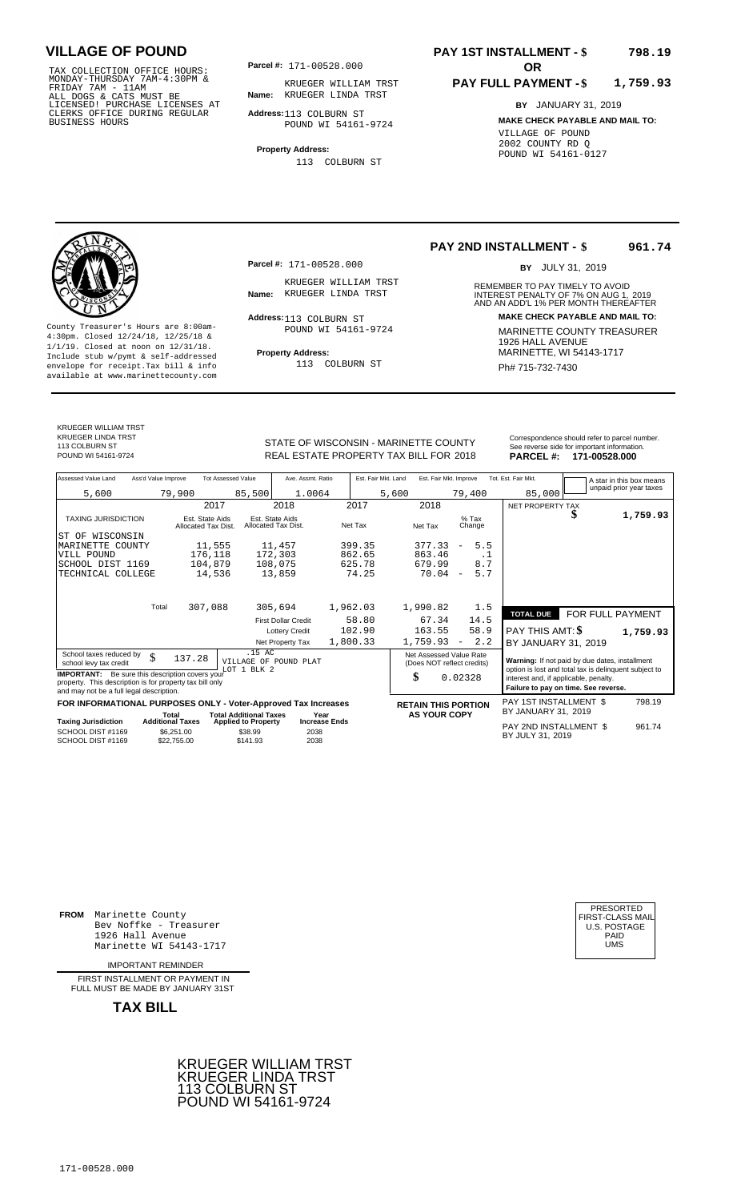TAX COLLECTION OFFICE HOURS:<br>
MONDAY-THURSDAY 7AM-4:30PM &<br>
FRIDAY 7AM - 11AM<br>
ALL DOGS & CATS MUST BE<br>
LICENSED! PURCHASE LICENSES AT<br>
CLERKS OFFICE DURING REGULAR<br>
CLERKS OFFICE DURING REGULAR<br>
BUSINESS HOURS<br>
BUSINESS H

**Parcel #:** 171-00528.000

**Name:** KRUEGER LINDA TRST KRUEGER WILLIAM TRST

**Address:** 113 COLBURN ST POUND WI 54161-9724

**Property Address:** 113 COLBURN ST

#### **PAY 1ST INSTALLMENT - \$ 798.19**

#### **PAY FULL PAYMENT - \$ 1,759.93**

**BY** JANUARY 31, 2019 **MAKE CHECK PAYABLE AND MAIL TO:** VILLAGE OF POUND 2002 COUNTY RD Q POUND WI 54161-0127

**Property Address:** MARINETTE, WI 54143-1717 Include stub w/pymt & self-addressed envelope for receipt.Tax bill & info Ph# 715-732-7430 available at www.marinettecounty.com

**Parcel #:** 171-00528.000

KRUEGER WILLIAM TRST<br>Name: KRUEGER LINDA TRST

Address: 113 COLBURN ST POUND WI 54161-9724

113 COLBURN ST

**PAY 2ND INSTALLMENT - \$ 961.74**

BY JULY 31, 2019

REMEMBER TO PAY TIMELY TO AVOID **Name:** KRUEGER LINDA TRST **INTEREST PENALTY OF 7% ON AUG 1, 2019**<br>AND AN ADD'L 1% PER MONTH THEREAFTER **Address: MAKE CHECK PAYABLE AND MAIL TO:** County Treasurer's Hours are 8:00am-<br>
4:30pm. Closed 12/24/18, 12/25/18 & MARINETTE COUNTY TREASURER<br>
1/1/19. Closed at noon on 12/31/18.<br>
Include stub w/pwmt & self-addressed **Property Address:** MARINETTE, WI 54143-1717

| Assessed Value Land                                                                                                                                                                                                 | Ass'd Value Improve                                  | <b>Tot Assessed Value</b>                         | Ave. Assmt. Ratio                                              | Est. Fair Mkt. Land         | Est. Fair Mkt. Improve                                      |                                        | Tot. Est. Fair Mkt.                                                                                                                                                                      | A star in this box means |
|---------------------------------------------------------------------------------------------------------------------------------------------------------------------------------------------------------------------|------------------------------------------------------|---------------------------------------------------|----------------------------------------------------------------|-----------------------------|-------------------------------------------------------------|----------------------------------------|------------------------------------------------------------------------------------------------------------------------------------------------------------------------------------------|--------------------------|
| 5,600                                                                                                                                                                                                               | 79,900                                               | 85,500                                            | 1.0064                                                         |                             | 5,600                                                       | 79,400                                 | 85,000                                                                                                                                                                                   | unpaid prior year taxes  |
|                                                                                                                                                                                                                     |                                                      | 2017                                              | 2018                                                           | 2017                        | 2018                                                        |                                        | NET PROPERTY TAX                                                                                                                                                                         |                          |
| <b>TAXING JURISDICTION</b>                                                                                                                                                                                          | Est. State Aids<br>Allocated Tax Dist.               | Allocated Tax Dist.                               | Est. State Aids                                                | Net Tax                     | Net Tax                                                     | $%$ Tax<br>Change                      | Φ                                                                                                                                                                                        | 1,759.93                 |
| ST OF WISCONSIN                                                                                                                                                                                                     |                                                      |                                                   |                                                                |                             |                                                             |                                        |                                                                                                                                                                                          |                          |
| MARINETTE COUNTY                                                                                                                                                                                                    |                                                      | 11,555                                            | 11,457                                                         | 399.35                      | 377.33                                                      | 5.5<br>$\overline{\phantom{a}}$        |                                                                                                                                                                                          |                          |
| VILL POUND                                                                                                                                                                                                          |                                                      | 176,118                                           | 172,303                                                        | 862.65                      | 863.46                                                      | . 1                                    |                                                                                                                                                                                          |                          |
| SCHOOL DIST 1169<br>TECHNICAL COLLEGE                                                                                                                                                                               |                                                      | 104,879<br>14,536                                 | 108,075<br>13,859                                              | 625.78<br>74.25             | 679.99<br>70.04                                             | 8.7<br>5.7<br>$\overline{\phantom{a}}$ |                                                                                                                                                                                          |                          |
|                                                                                                                                                                                                                     | Total<br>307,088                                     |                                                   | 305,694<br><b>First Dollar Credit</b><br><b>Lottery Credit</b> | 1,962.03<br>58.80<br>102.90 | 1,990.82<br>67.34<br>163.55                                 | 1.5<br>14.5<br>58.9                    | <b>TOTAL DUE</b><br>PAY THIS AMT: \$                                                                                                                                                     | FOR FULL PAYMENT         |
|                                                                                                                                                                                                                     |                                                      |                                                   | Net Property Tax                                               | 1,800.33                    | 1,759.93                                                    | 2.2<br>$\overline{\phantom{a}}$        | BY JANUARY 31, 2019                                                                                                                                                                      | 1,759.93                 |
| School taxes reduced by<br>school levy tax credit<br><b>IMPORTANT:</b> Be sure this description covers your<br>property. This description is for property tax bill only<br>and may not be a full legal description. | \$<br>137.28                                         | .15 AC<br>VILLAGE OF POUND PLAT<br>LOT 1 BLK 2    |                                                                |                             | Net Assessed Value Rate<br>(Does NOT reflect credits)<br>\$ | 0.02328                                | Warning: If not paid by due dates, installment<br>option is lost and total tax is delinquent subject to<br>interest and, if applicable, penalty.<br>Failure to pay on time. See reverse. |                          |
| FOR INFORMATIONAL PURPOSES ONLY - Voter-Approved Tax Increases                                                                                                                                                      |                                                      |                                                   |                                                                |                             | <b>RETAIN THIS PORTION</b>                                  |                                        | PAY 1ST INSTALLMENT \$                                                                                                                                                                   | 798.19                   |
|                                                                                                                                                                                                                     | Total                                                | <b>Total Additional Taxes</b>                     | Year                                                           |                             | <b>AS YOUR COPY</b>                                         |                                        | BY JANUARY 31, 2019                                                                                                                                                                      |                          |
| <b>Taxing Jurisdiction</b><br>SCHOOL DIST #1169<br>SCHOOL DIST #1169                                                                                                                                                | <b>Additional Taxes</b><br>\$6,251,00<br>\$22,755.00 | <b>Applied to Property</b><br>\$38.99<br>\$141.93 | <b>Increase Ends</b><br>2038<br>2038                           |                             |                                                             |                                        | PAY 2ND INSTALLMENT \$<br>BY JULY 31, 2019                                                                                                                                               | 961.74                   |

**FROM** Marinette County Bev Noffke - Treasurer (U.S. POSTAGE)<br>1926 Hall Avenue (U.S. POSTAGE)<br>Marinette WI 54143-1717 (U.S. POSTAGE) 1926 Hall Avenue Marinette WI 54143-1717

IMPORTANT REMINDER

FIRST INSTALL MENT OR PAYMENT IN FULL MUST BE MADE BY JANUARY 31ST

**TAX BILL**





# KRUEGER WILLIAM TRST

KRUEGER LINDA TRST 113 COLBURN ST<br>POUND WI 54161-9724

STATE OF WISCONSIN - MARINETTE COUNTY<br>
See reverse side for important information.<br>
REAL ESTATE PROPERTY TAX BILL FOR 2018 PARCEL #: 171-00528.000 REAL ESTATE PROPERTY TAX BILL FOR **PARCEL #:** POUND WI 54161-9724 2018 **171-00528.000**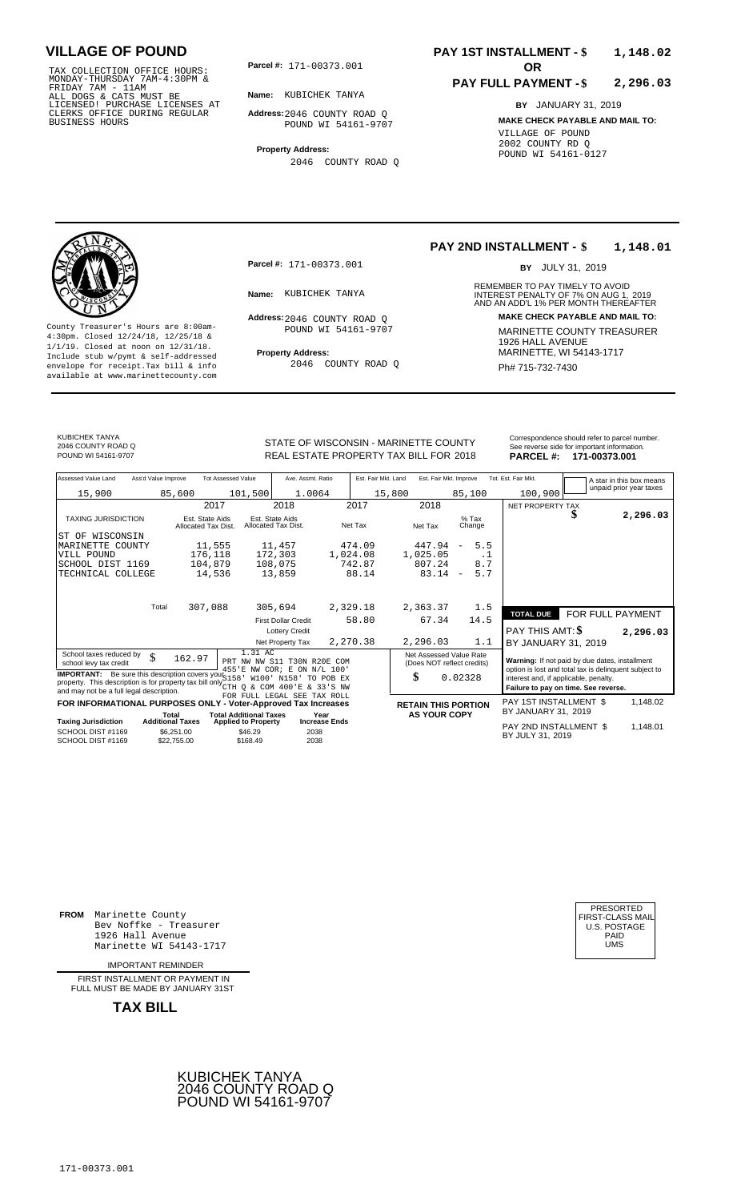TAX COLLECTION OFFICE HOURS:<br>
MONDAY-THURSDAY 7AM-4:30PM &<br>
FRIDAY 7AM - 11AM<br>
ALL DOGS & CATS MUST BE<br>
LICENSED! PURCHASE LICENSES AT<br>
CLERKS OFFICE DURING REGULAR<br>
CLERKS OFFICE DURING REGULAR<br>
BUSINESS HOURS<br>
BUSINESS H

**Parcel #: OR**

**Name:** KUBICHEK TANYA

**Address:** 2046 COUNTY ROAD Q POUND WI 54161-9707

**Property Address:** 2046 COUNTY ROAD Q

#### **PAY 1ST INSTALLMENT - \$ 1,148.02**

#### **PAY FULL PAYMENT - \$ 2,296.03**

**BY** JANUARY 31, 2019 **MAKE CHECK PAYABLE AND MAIL TO:** VILLAGE OF POUND 2002 COUNTY RD Q POUND WI 54161-0127

**Property Address:** MARINETTE, WI 54143-1717 Include stub w/pymt & self-addressed envelope for receipt.Tax bill & info Ph# 715-732-7430 available at www.marinettecounty.com

**Parcel #:** 171-00373.001

Address: 2046 COUNTY ROAD Q POUND WI 54161-9707

2046 COUNTY ROAD Q

#### **PAY 2ND INSTALLMENT - \$ 1,148.01**

BY JULY 31, 2019

REMEMBER TO PAY TIMELY TO AVOID **Name:** INTEREST PENALTY OF 7% ON AUG 1, AND AN ADD'L 1% PER MONTH THEREAFTER KUBICHEK TANYA 2019 **Address: MAKE CHECK PAYABLE AND MAIL TO:** County Treasurer's Hours are 8:00am-<br>
4:30pm. Closed 12/24/18, 12/25/18 & 1/1/19. Closed at noon on 12/31/18.<br>
Include stub w/pwmt. & self-addressed<br>
Froperty Address: MARINETTE, WI 54143-1717

KUBICHEK TANYA 2046 COUNTY ROAD Q

REAL ESTATE PROPERTY TAX BILL FOR **PARCEL #:** POUND WI 54161-9707 2018 **171-00373.001**

| STATE OF WISCONSIN - MARINETTE COUNTY  | Correspondence should refer to parcel number.<br>See reverse side for important information. |
|----------------------------------------|----------------------------------------------------------------------------------------------|
| REAL ESTATE PROPERTY TAX BILL FOR 2018 | PARCEL #: 171-00373.001                                                                      |

| Assessed Value Land                                                                                                                                                                                                         | Ass'd Value Improve |                                        | <b>Tot Assessed Value</b>                                             | Ave. Assmt. Ratio                      |                      | Est. Fair Mkt. Land | Est. Fair Mkt. Improve                                      |                                 | Tot. Est. Fair Mkt.                                                                                                                                                                      |                  | A star in this box means |
|-----------------------------------------------------------------------------------------------------------------------------------------------------------------------------------------------------------------------------|---------------------|----------------------------------------|-----------------------------------------------------------------------|----------------------------------------|----------------------|---------------------|-------------------------------------------------------------|---------------------------------|------------------------------------------------------------------------------------------------------------------------------------------------------------------------------------------|------------------|--------------------------|
| 15,900                                                                                                                                                                                                                      |                     | 85,600                                 | 101,500                                                               | 1.0064                                 |                      |                     | 15,800                                                      | 85,100                          | 100,900                                                                                                                                                                                  |                  | unpaid prior year taxes  |
|                                                                                                                                                                                                                             |                     | 2017                                   |                                                                       | 2018                                   | 2017                 |                     | 2018                                                        |                                 | NET PROPERTY TAX                                                                                                                                                                         |                  |                          |
| <b>TAXING JURISDICTION</b>                                                                                                                                                                                                  |                     | Est. State Aids<br>Allocated Tax Dist. |                                                                       | Est. State Aids<br>Allocated Tax Dist. | Net Tax              |                     | Net Tax                                                     | $%$ Tax<br>Change               |                                                                                                                                                                                          |                  | 2,296.03                 |
| ST OF WISCONSIN                                                                                                                                                                                                             |                     |                                        |                                                                       |                                        |                      |                     |                                                             |                                 |                                                                                                                                                                                          |                  |                          |
| MARINETTE COUNTY                                                                                                                                                                                                            |                     | 11,555                                 |                                                                       | 11,457                                 | 474.09               |                     | 447.94                                                      | 5.5<br>$\overline{\phantom{m}}$ |                                                                                                                                                                                          |                  |                          |
| VILL POUND                                                                                                                                                                                                                  |                     | 176,118                                |                                                                       | 172,303                                | 1,024.08             |                     | 1,025.05                                                    | $\cdot$ 1                       |                                                                                                                                                                                          |                  |                          |
| SCHOOL DIST 1169                                                                                                                                                                                                            |                     | 104,879                                |                                                                       | 108,075                                | 742.87               |                     | 807.24                                                      | 8.7                             |                                                                                                                                                                                          |                  |                          |
| TECHNICAL COLLEGE                                                                                                                                                                                                           |                     | 14,536                                 |                                                                       | 13,859                                 |                      | 88.14               | 83.14                                                       | 5.7<br>$\overline{\phantom{a}}$ |                                                                                                                                                                                          |                  |                          |
|                                                                                                                                                                                                                             |                     |                                        |                                                                       |                                        |                      |                     |                                                             |                                 |                                                                                                                                                                                          |                  |                          |
|                                                                                                                                                                                                                             | Total               | 307,088                                |                                                                       | 305,694                                | 2,329.18             |                     | 2,363.37                                                    | 1.5                             | <b>TOTAL DUE</b>                                                                                                                                                                         | FOR FULL PAYMENT |                          |
|                                                                                                                                                                                                                             |                     |                                        |                                                                       | <b>First Dollar Credit</b>             |                      | 58.80               | 67.34                                                       | 14.5                            |                                                                                                                                                                                          |                  |                          |
|                                                                                                                                                                                                                             |                     |                                        |                                                                       | <b>Lottery Credit</b>                  |                      |                     |                                                             |                                 | <b>PAY THIS AMT: \$</b>                                                                                                                                                                  |                  | 2,296.03                 |
|                                                                                                                                                                                                                             |                     |                                        |                                                                       | Net Property Tax                       | 2,270.38             |                     | 2,296.03                                                    | 1.1                             | BY JANUARY 31, 2019                                                                                                                                                                      |                  |                          |
| School taxes reduced by<br>school levy tax credit<br><b>IMPORTANT:</b> Be sure this description covers your S158<br>property. This description is for property tax bill only $\frac{1}{\text{CTH}}$ Q & COM 400'E & 33'S NW | \$                  | 162.97                                 | 1.31 AC<br>PRT NW NW S11 T30N R20E COM<br>455'E NW COR; E ON N/L 100' | W100' N158'                            | TO POB EX            |                     | Net Assessed Value Rate<br>(Does NOT reflect credits)<br>\$ | 0.02328                         | Warning: If not paid by due dates, installment<br>option is lost and total tax is delinquent subject to<br>interest and, if applicable, penalty.<br>Failure to pay on time. See reverse. |                  |                          |
| and may not be a full legal description.                                                                                                                                                                                    |                     |                                        | FOR FULL LEGAL SEE TAX ROLL                                           |                                        |                      |                     |                                                             |                                 |                                                                                                                                                                                          |                  |                          |
| FOR INFORMATIONAL PURPOSES ONLY - Voter-Approved Tax Increases                                                                                                                                                              |                     | Total                                  | <b>Total Additional Taxes</b>                                         |                                        | Year                 |                     | <b>RETAIN THIS PORTION</b><br><b>AS YOUR COPY</b>           |                                 | PAY 1ST INSTALLMENT \$<br>BY JANUARY 31, 2019                                                                                                                                            |                  | 1,148.02                 |
| <b>Taxing Jurisdiction</b>                                                                                                                                                                                                  |                     | <b>Additional Taxes</b>                | <b>Applied to Property</b>                                            |                                        | <b>Increase Ends</b> |                     |                                                             |                                 |                                                                                                                                                                                          |                  |                          |
| SCHOOL DIST #1169<br>SCHOOL DIST #1169                                                                                                                                                                                      |                     | \$6,251.00<br>\$22,755.00              | \$46.29<br>\$168.49                                                   | 2038<br>2038                           |                      |                     |                                                             |                                 | PAY 2ND INSTALLMENT \$<br>BY JULY 31, 2019                                                                                                                                               |                  | 1,148.01                 |

**FROM** Marinette County Bev Noffke - Treasurer (U.S. POSTAGE)<br>1926 Hall Avenue (U.S. POSTAGE)<br>Marinette WI 54143-1717 (U.S. POSTAGE) 1926 Hall Avenue PAID Marinette WI 54143-1717 UMS

IMPORTANT REMINDER

FIRST INSTALLMENT OR PAYMENT IN FULL MUST BE MADE BY JANUARY 31ST



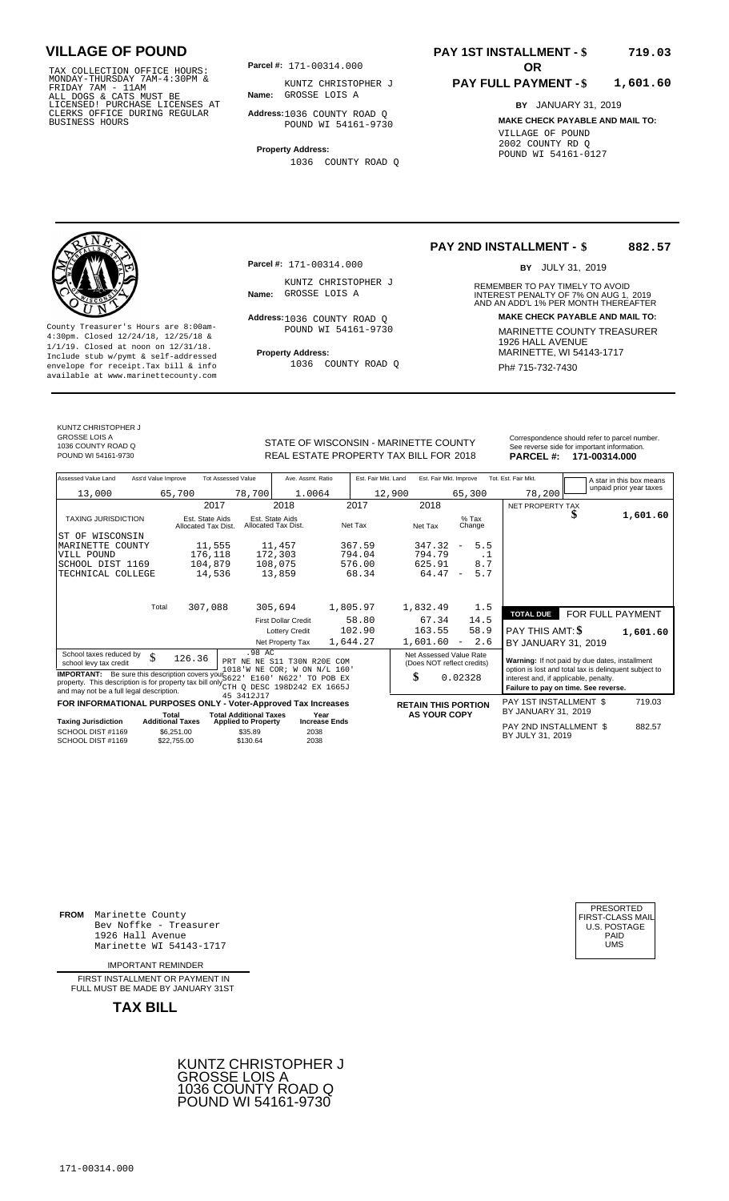TAX COLLECTION OFFICE HOURS:<br>
MONDAY-THURSDAY 7AM-4:30PM & KUNTZ CHRISTOF<br>
FRIDAY 7AM - 11AM<br>
ALL DOGS & CATS MUST BE **Name:** GROSSE LOIS A<br>
LICENSED! PURCHASE LICENSES AT<br>
CLERKS OFFICE DURING REGULAR **Address**:1036 COUNT

**Parcel #:** 171-00314.000

**Name:** GROSSE LOIS A KUNTZ CHRISTOPHER J

**Address:** 1036 COUNTY ROAD Q POUND WI 54161-9730

**Property Address:**

1036 COUNTY ROAD Q

#### **PAY 1ST INSTALLMENT - \$ 719.03**

#### **PAY FULL PAYMENT - \$ 1,601.60**

**BY** JANUARY 31, 2019 **MAKE CHECK PAYABLE AND MAIL TO:** VILLAGE OF POUND 2002 COUNTY RD Q POUND WI 54161-0127

**Property Address:** MARINETTE, WI 54143-1717 Include stub w/pymt & self-addressed envelope for receipt.Tax bill & info Ph# 715-732-7430 available at www.marinettecounty.com

Assessed Value Land Ass'd Value Improve Tot Assessed Value Ave. Assmt. Ratio Est. Fair Mkt. Land

**Parcel #:** 171-00314.000

KUNTZ CHRISTOPHER J<br>Name: GROSSE LOIS A

Address: 1036 COUNTY ROAD Q POUND WI 54161-9730

1036 COUNTY ROAD Q

**PAY 2ND INSTALLMENT - \$ 882.57**

BY JULY 31, 2019

REMEMBER TO PAY TIMELY TO AVOID **Name:** GROSSE LOIS A **INTEREST PENALTY OF 7% ON AUG 1, 2019**<br>AND AN ADD'L 1% PER MONTH THEREAFTER **Address: MAKE CHECK PAYABLE AND MAIL TO:** County Treasurer's Hours are 8:00am-<br>
4:30pm. Closed 12/24/18, 12/25/18 & MARINETTE COUNTY TREASURER<br>
1/1/19. Closed at noon on 12/31/18.<br>
Include stub w/pwmt. & self-addressed<br> **Property Address:** MARINETTE, WI 54143-1717

KUNTZ CHRISTOPHER J GROSSE LOIS A 1036 COUNTY ROAD Q

STATE OF WISCONSIN - MARINETTE COUNTY<br>
SEAL ESTATE PROPERTY TAX RILL FOR 2018<br> **PARCEL #:** 171-00314 000 POUND WI 54161-9730 **171-00314.000** REAL ESTATE PROPERTY TAX BILL FOR 2018 **PARCEL #: 171-00314.000** 

| <b>LL I UITZU IU</b>   |                   | FANUEL #.           | 171-00314.000            |
|------------------------|-------------------|---------------------|--------------------------|
| Est. Fair Mkt. Improve |                   | Tot. Est. Fair Mkt. | A star in this box means |
|                        | 65,300            | 78,200              | unpaid prior year taxes  |
| 2018                   |                   | NET PROPERTY TAX    |                          |
| et Tay                 | $%$ Tax<br>Change |                     | 1,601.60                 |

| 13,000                                                                               | 65,700                                 | 78,700<br>1.0064                                            |                              | 12,900                                                | 65,300                          | 78,200                                                | unpaid prior year taxes |
|--------------------------------------------------------------------------------------|----------------------------------------|-------------------------------------------------------------|------------------------------|-------------------------------------------------------|---------------------------------|-------------------------------------------------------|-------------------------|
|                                                                                      | 2017                                   | 2018                                                        | 2017                         | 2018                                                  |                                 | NET PROPERTY TAX                                      |                         |
| <b>TAXING JURISDICTION</b>                                                           | Est. State Aids<br>Allocated Tax Dist. | Est. State Aids<br>Allocated Tax Dist.                      | Net Tax                      | Net Tax                                               | $%$ Tax<br>Change               | 5                                                     | 1,601.60                |
| WISCONSIN<br>ST OF                                                                   |                                        |                                                             |                              |                                                       |                                 |                                                       |                         |
| MARINETTE COUNTY                                                                     | 11,555                                 | 11,457                                                      | 367.59                       | 347.32                                                | 5.5<br>$\equiv$                 |                                                       |                         |
| VILL POUND                                                                           | 176,118                                | 172,303                                                     | 794.04                       | 794.79                                                | . 1                             |                                                       |                         |
| SCHOOL DIST 1169                                                                     | 104,879                                | 108,075                                                     | 576.00                       | 625.91                                                | 8.7                             |                                                       |                         |
| TECHNICAL COLLEGE                                                                    | 14,536                                 | 13,859                                                      | 68.34                        | 64.47                                                 | 5.7<br>$\overline{\phantom{a}}$ |                                                       |                         |
|                                                                                      |                                        |                                                             |                              |                                                       |                                 |                                                       |                         |
| Total                                                                                | 307,088                                | 305,694                                                     | 1,805.97                     | 1,832.49                                              | 1.5                             |                                                       |                         |
|                                                                                      |                                        |                                                             |                              |                                                       |                                 | <b>TOTAL DUE</b>                                      | FOR FULL PAYMENT        |
|                                                                                      |                                        | <b>First Dollar Credit</b>                                  | 58.80                        | 67.34                                                 | 14.5                            |                                                       |                         |
|                                                                                      |                                        | <b>Lottery Credit</b>                                       | 102.90                       | 163.55                                                | 58.9                            | PAY THIS AMT: \$                                      | 1,601.60                |
|                                                                                      |                                        | Net Property Tax                                            | 1,644.27                     | 1,601.60                                              | 2.6<br>$\overline{\phantom{a}}$ | BY JANUARY 31, 2019                                   |                         |
| School taxes reduced by<br>\$<br>school levy tax credit                              | 126.36                                 | .98 AC<br>PRT NE NE S11 T30N R20E COM                       |                              | Net Assessed Value Rate<br>(Does NOT reflect credits) |                                 | Warning: If not paid by due dates, installment        |                         |
| <b>IMPORTANT:</b> Be sure this description covers your S622                          |                                        | 1018'W NE COR; W ON N/L 160'                                |                              | \$                                                    |                                 | option is lost and total tax is delinquent subject to |                         |
| property. This description is for property tax bill only CTH Q DESC 198D242 EX 1665J |                                        | E160' N622' TO POB EX                                       |                              |                                                       | 0.02328                         | interest and, if applicable, penalty.                 |                         |
| and may not be a full legal description.                                             |                                        | 45 3412J17                                                  |                              |                                                       |                                 | Failure to pay on time. See reverse.                  |                         |
| FOR INFORMATIONAL PURPOSES ONLY - Voter-Approved Tax Increases                       |                                        |                                                             |                              | <b>RETAIN THIS PORTION</b>                            |                                 | PAY 1ST INSTALLMENT \$                                | 719.03                  |
| <b>Taxing Jurisdiction</b>                                                           | Total<br><b>Additional Taxes</b>       | <b>Total Additional Taxes</b><br><b>Applied to Property</b> | Year<br><b>Increase Ends</b> | <b>AS YOUR COPY</b>                                   |                                 | BY JANUARY 31, 2019                                   |                         |
| SCHOOL DIST #1169<br>SCHOOL DIST #1169                                               | \$6,251,00<br>\$22,755.00              | \$35.89<br>2038<br>\$130.64<br>2038                         |                              |                                                       |                                 | PAY 2ND INSTALLMENT \$<br>BY JULY 31, 2019            | 882.57                  |

**FROM** Marinette County Bev Noffke - Treasurer 1926 Hall Avenue Marinette WI 54143-1717

IMPORTANT REMINDER

FIRST INSTALL MENT OR PAYMENT IN FULL MUST BE MADE BY JANUARY 31ST

**TAX BILL**

171-00314.000



| PRESORTED           |
|---------------------|
| FIRST-CLASS MAIL    |
| <b>U.S. POSTAGE</b> |
| PAID                |
| UMS                 |
|                     |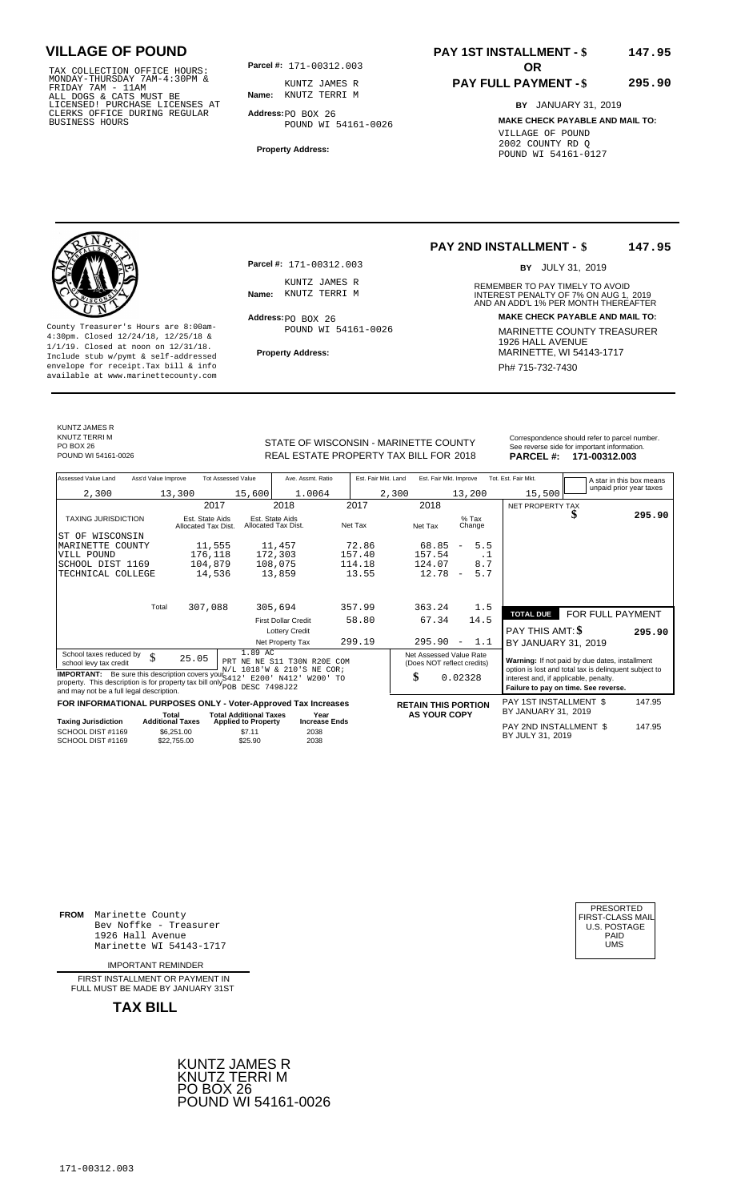TAX COLLECTION OFFICE HOURS:<br>
MONDAY-THURSDAY 7AM-4:30PM & KUNTZ JAMES R<br>
FRIDAY 7AM - 11AM<br>
ALL DOGS & CATS MUST BE **Name**: KNUTZ TERRI M<br>
LICENSED! PURCHASE LICENSES AT<br>
CLERKS OFFICE DURING REGULAR **Address**:po BOX 26<br>

**Parcel #: OR**

**Name:** KNUTZ TERRI M KUNTZ JAMES R

**Address:** PO BOX 26 POUND WI 54161-0026

**Property Address:**

### **PAY 1ST INSTALLMENT - \$ 147.95**

#### **PAY FULL PAYMENT - \$ 295.90**

**BY** JANUARY 31, 2019 **MAKE CHECK PAYABLE AND MAIL TO:** VILLAGE OF POUND 2002 COUNTY RD Q POUND WI 54161-0127

**Property Address:** MARINETTE, WI 54143-1717 Include stub w/pymt & self-addressed envelope for receipt.Tax bill & info Phat is a set of the phat of the Phat 715-732-7430 envelope for receipt.Tax bill & info Phat 715-732-7430 envelope for the phat 715-732-7430 envelope for the phat 715-732-7430 envelope

**Parcel #:** 171-00312.003 KUNTZ JAMES R<br>Name: KNUTZ TERRI M

Address: PO BOX 26 POUND WI 54161-0026

#### **PAY 2ND INSTALLMENT - \$ 147.95**

BY JULY 31, 2019

REMEMBER TO PAY TIMELY TO AVOID **Name:** KNUTZ TERRIM<br> **NAME:** INTEREST PENALTY OF 7% ON AUG 1, 2019<br>
AND AN ADD'L 1% PER MONTH THEREAFTER **Address: MAKE CHECK PAYABLE AND MAIL TO:** County Treasurer's Hours are 8:00am-<br>
4:30pm. Closed 12/24/18, 12/25/18 & 1/1/19. Closed at noon on 12/31/18.<br>
Include stub w/pwmt. & self-addressed<br>
Froperty Address: MARINETTE, WI 54143-1717

KUNTZ JAMES R

KNUTZ TERRI M

STATE OF WISCONSIN - MARINETTE COUNTY<br>
See reverse side for important information.<br>
REAL ESTATE PROPERTY TAX BILL FOR 2018 PARCEL #: 171-00312.003 REAL ESTATE PROPERTY TAX BILL FOR **PARCEL #:** POUND WI 54161-0026 2018 **171-00312.003**

| Assessed Value Land<br>Ass'd Value Improve                                                                                                                                                        |                                        | <b>Tot Assessed Value</b><br>Ave. Assmt. Ratio                       | Est. Fair Mkt. Land | Est. Fair Mkt. Improve                                |                                 | Tot. Est. Fair Mkt.                        | A star in this box means                                                                                |        |
|---------------------------------------------------------------------------------------------------------------------------------------------------------------------------------------------------|----------------------------------------|----------------------------------------------------------------------|---------------------|-------------------------------------------------------|---------------------------------|--------------------------------------------|---------------------------------------------------------------------------------------------------------|--------|
| 2,300                                                                                                                                                                                             | 13,300                                 | 15,600<br>1.0064                                                     | 2,300               |                                                       | 13,200                          | 15,500                                     | unpaid prior year taxes                                                                                 |        |
|                                                                                                                                                                                                   | 2017                                   | 2018                                                                 | 2017                | 2018                                                  |                                 | NET PROPERTY TAX                           |                                                                                                         |        |
| <b>TAXING JURISDICTION</b>                                                                                                                                                                        | Est. State Aids<br>Allocated Tax Dist. | Est. State Aids<br>Allocated Tax Dist.                               | Net Tax             | Net Tax                                               | $%$ Tax<br>Change               |                                            | ง                                                                                                       | 295.90 |
| WISCONSIN<br>ST OF                                                                                                                                                                                |                                        |                                                                      |                     |                                                       |                                 |                                            |                                                                                                         |        |
| MARINETTE COUNTY                                                                                                                                                                                  | 11,555                                 | 11,457                                                               | 72.86               | 68.85                                                 | 5.5<br>$\overline{\phantom{a}}$ |                                            |                                                                                                         |        |
| VILL POUND                                                                                                                                                                                        | 176,118                                | 172,303                                                              | 157.40              | 157.54                                                | . 1                             |                                            |                                                                                                         |        |
| SCHOOL DIST 1169                                                                                                                                                                                  | 104,879                                | 108,075                                                              | 114.18              | 124.07                                                | 8.7                             |                                            |                                                                                                         |        |
| TECHNICAL COLLEGE                                                                                                                                                                                 | 14,536                                 | 13,859                                                               | 13.55               | 12.78                                                 | 5.7<br>$\overline{\phantom{m}}$ |                                            |                                                                                                         |        |
|                                                                                                                                                                                                   |                                        |                                                                      |                     |                                                       |                                 |                                            |                                                                                                         |        |
| Total                                                                                                                                                                                             | 307,088                                | 305,694                                                              | 357.99              | 363.24                                                | 1.5                             | <b>TOTAL DUE</b>                           | FOR FULL PAYMENT                                                                                        |        |
|                                                                                                                                                                                                   |                                        | <b>First Dollar Credit</b>                                           | 58.80               | 67.34                                                 | 14.5                            |                                            |                                                                                                         |        |
|                                                                                                                                                                                                   |                                        | <b>Lottery Credit</b>                                                |                     |                                                       |                                 | PAY THIS AMT: \$                           |                                                                                                         | 295.90 |
|                                                                                                                                                                                                   |                                        | Net Property Tax                                                     | 299.19              | 295.90                                                | 1.1<br>$\overline{\phantom{m}}$ | BY JANUARY 31, 2019                        |                                                                                                         |        |
| School taxes reduced by<br>\$<br>school levy tax credit                                                                                                                                           | 25.05                                  | 1.89 AC<br>PRT NE NE S11 T30N R20E COM<br>N/L 1018'W & 210'S NE COR; |                     | Net Assessed Value Rate<br>(Does NOT reflect credits) |                                 |                                            | Warning: If not paid by due dates, installment<br>option is lost and total tax is delinquent subject to |        |
| <b>IMPORTANT:</b> Be sure this description covers your S412<br>property. This description is for property tax bill only <b>have been</b> DESC 7498J22<br>and may not be a full legal description. | interest and, if applicable, penalty.  | Failure to pay on time. See reverse.                                 |                     |                                                       |                                 |                                            |                                                                                                         |        |
|                                                                                                                                                                                                   |                                        | FOR INFORMATIONAL PURPOSES ONLY - Voter-Approved Tax Increases       |                     | <b>RETAIN THIS PORTION</b>                            |                                 | PAY 1ST INSTALLMENT \$                     |                                                                                                         | 147.95 |
|                                                                                                                                                                                                   | Total<br><b>Additional Taxes</b>       | <b>Total Additional Taxes</b><br>Year<br><b>Increase Ends</b>        |                     | <b>AS YOUR COPY</b>                                   |                                 | BY JANUARY 31, 2019                        |                                                                                                         |        |
| <b>Taxing Jurisdiction</b><br>SCHOOL DIST #1169<br>SCHOOL DIST #1169                                                                                                                              | \$6,251.00<br>\$22.755.00              | <b>Applied to Property</b><br>\$7.11<br>2038<br>2038<br>\$25.90      |                     |                                                       |                                 | PAY 2ND INSTALLMENT \$<br>BY JULY 31, 2019 |                                                                                                         | 147.95 |

**FROM** Marinette County Bev Noffke - Treasurer 1926 Hall Avenue PAID Marinette WI 54143-1717 UMS

IMPORTANT REMINDER

FIRST INSTALLMENT OR PAYMENT IN FULL MUST BE MADE BY JANUARY 31ST

**TAX BILL**



| PRESORTED<br>FIRST-CLASS MAIL<br>U.S. POSTAGE<br>PAID<br>UMS |
|--------------------------------------------------------------|
|                                                              |
|                                                              |

PO BOX 26<br>POUND WI 54161-0026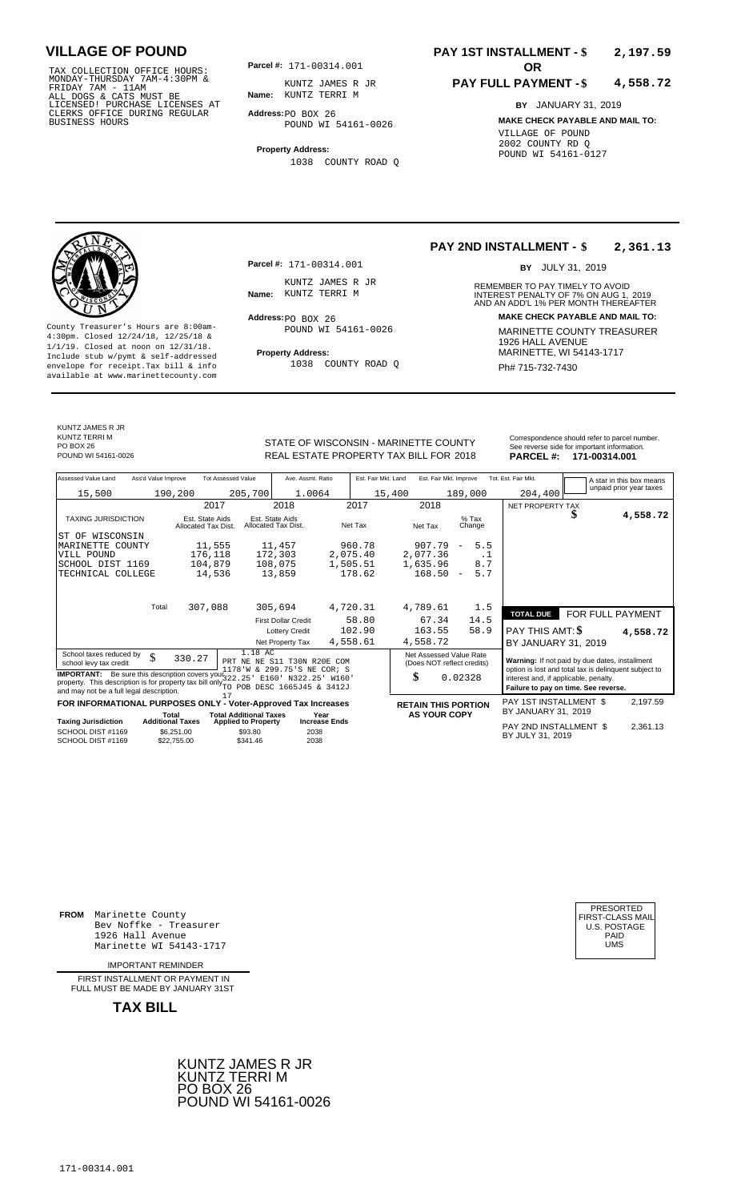TAX COLLECTION OFFICE HOURS:<br>
MONDAY-THURSDAY 7AM-4:30PM & KUNTZ JAMES R<br>
FRIDAY 7AM - 11AM<br>
ALL DOGS & CATS MUST BE **Name**: KUNTZ TERRI M<br>
LICENSED! PURCHASE LICENSES AT<br>
CLERKS OFFICE DURING REGULAR **Address**:po BOX 26<br>

**Parcel #:** 171-00314.001 **OR** 

**Name:** KUNTZ TERRI M KUNTZ JAMES R JR

**Address:** PO BOX 26 POUND WI 54161-0026

**Property Address:** 1038 COUNTY ROAD Q

### **PAY 1ST INSTALLMENT - \$ 2,197.59**

#### **PAY FULL PAYMENT - \$ 4,558.72**

**BY** JANUARY 31, 2019 **MAKE CHECK PAYABLE AND MAIL TO:** VILLAGE OF POUND 2002 COUNTY RD Q POUND WI 54161-0127



**Property Address:** MARINETTE, WI 54143-1717 Include stub w/pymt & self-addressed envelope for receipt.Tax bill & info Ph# 715-732-7430 available at www.marinettecounty.com

**Parcel #:** 171-00314.001

KUNTZ JAMES R JR<br>Name: KUNTZ TERRI M

Address: PO BOX 26 POUND WI 54161-0026

1038 COUNTY ROAD Q

**PAY 2ND INSTALLMENT - \$ 2,361.13**

BY JULY 31, 2019

REMEMBER TO PAY TIMELY TO AVOID **Name:** KUNTZ TERRIM<br>
AND AN ADD'L 1% PER MONTH THEREAFTER **Address: MAKE CHECK PAYABLE AND MAIL TO:** County Treasurer's Hours are 8:00am-<br>
4:30pm. Closed 12/24/18, 12/25/18 & MARINETTE COUNTY TREASURER<br>
1/1/19. Closed at noon on 12/31/18.<br>
Include stub w/pwmt & self-addressed **Property Address:** MARINETTE, WI 54143-1717

KUNTZ JAMES R JR KUNTZ TERRI M PO BOX 26<br>POUND WI 54161-0026

STATE OF WISCONSIN - MARINETTE COUNTY REAL ESTATE PROPERTY TAX BILL FOR **PARCEL #:** POUND WI 54161-0026 2018 **171-00314.001**

| Correspondence should refer to parcel number. |
|-----------------------------------------------|
| See reverse side for important information.   |
| - - - - - - -<br>.                            |

| Assessed Value Land<br>Ass'd Value Improve                                                                                                                                             | <b>Tot Assessed Value</b>              | Ave. Assmt. Ratio                                           | Est. Fair Mkt. Land          | Est. Fair Mkt. Improve                                |                                 | Tot. Est. Fair Mkt.                                   | A star in this box means |
|----------------------------------------------------------------------------------------------------------------------------------------------------------------------------------------|----------------------------------------|-------------------------------------------------------------|------------------------------|-------------------------------------------------------|---------------------------------|-------------------------------------------------------|--------------------------|
| 15,500                                                                                                                                                                                 | 190,200                                | 205,700<br>1.0064                                           |                              | 15,400                                                | 189,000                         | 204,400                                               | unpaid prior year taxes  |
|                                                                                                                                                                                        | 2017                                   | 2018                                                        | 2017                         | 2018                                                  |                                 | NET PROPERTY TAX                                      |                          |
| <b>TAXING JURISDICTION</b>                                                                                                                                                             | Est. State Aids<br>Allocated Tax Dist. | Est. State Aids<br>Allocated Tax Dist.                      | Net Tax                      | Net Tax                                               | $%$ Tax<br>Change               | S                                                     | 4,558.72                 |
| IST OF WISCONSIN                                                                                                                                                                       |                                        |                                                             |                              |                                                       |                                 |                                                       |                          |
| MARINETTE COUNTY                                                                                                                                                                       | 11,555                                 | 11,457                                                      | 960.78                       | 907.79                                                | 5.5<br>$\overline{\phantom{a}}$ |                                                       |                          |
| VILL POUND                                                                                                                                                                             | 176,118                                | 172,303                                                     | 2,075.40                     | 2,077.36                                              | . 1                             |                                                       |                          |
| SCHOOL DIST 1169                                                                                                                                                                       | 104,879                                | 108,075                                                     | 1,505.51                     | 1,635.96                                              | 8.7                             |                                                       |                          |
| TECHNICAL COLLEGE                                                                                                                                                                      | 14,536                                 | 13,859                                                      | 178.62                       | 168.50                                                | 5.7<br>$\overline{\phantom{a}}$ |                                                       |                          |
|                                                                                                                                                                                        |                                        |                                                             |                              |                                                       |                                 |                                                       |                          |
| Total                                                                                                                                                                                  | 307,088                                | 305,694                                                     | 4,720.31                     | 4,789.61                                              | 1.5                             |                                                       |                          |
|                                                                                                                                                                                        |                                        | <b>First Dollar Credit</b>                                  | 58.80                        | 67.34                                                 | 14.5                            | FOR FULL PAYMENT<br><b>TOTAL DUE</b>                  |                          |
|                                                                                                                                                                                        |                                        | <b>Lottery Credit</b>                                       | 102.90                       | 163.55                                                | 58.9                            | PAY THIS AMT: \$                                      |                          |
|                                                                                                                                                                                        |                                        | Net Property Tax                                            | 4,558.61                     | 4,558.72                                              |                                 |                                                       | 4,558.72                 |
|                                                                                                                                                                                        |                                        |                                                             |                              |                                                       |                                 | BY JANUARY 31, 2019                                   |                          |
| School taxes reduced by<br>\$<br>school levy tax credit                                                                                                                                | 330.27                                 | 1.18 AC<br>PRT NE NE S11 T30N R20E COM                      |                              | Net Assessed Value Rate<br>(Does NOT reflect credits) |                                 | Warning: If not paid by due dates, installment        |                          |
|                                                                                                                                                                                        |                                        | 1178'W & 299.75'S NE COR; S                                 |                              |                                                       |                                 | option is lost and total tax is delinquent subject to |                          |
| <b>IMPORTANT:</b> Be sure this description covers your 322, 25 ' E160 ' N322, 25 '<br>property. This description is for property tax bill only <sup>221</sup> POB DESC 1665J45 & 3412J |                                        |                                                             | W160'                        | \$                                                    | 0.02328                         | interest and, if applicable, penalty.                 |                          |
| and may not be a full legal description.                                                                                                                                               | 17                                     |                                                             |                              |                                                       |                                 | Failure to pay on time. See reverse.                  |                          |
| FOR INFORMATIONAL PURPOSES ONLY - Voter-Approved Tax Increases                                                                                                                         |                                        |                                                             |                              | <b>RETAIN THIS PORTION</b>                            |                                 | PAY 1ST INSTALLMENT \$<br>BY JANUARY 31, 2019         | 2,197.59                 |
| <b>Taxing Jurisdiction</b>                                                                                                                                                             | Total<br><b>Additional Taxes</b>       | <b>Total Additional Taxes</b><br><b>Applied to Property</b> | Year<br><b>Increase Ends</b> | <b>AS YOUR COPY</b>                                   |                                 |                                                       |                          |
| SCHOOL DIST #1169<br>SCHOOL DIST #1169                                                                                                                                                 | \$6,251.00<br>\$22,755.00              | \$93.80<br>2038<br>\$341.46<br>2038                         |                              |                                                       |                                 | PAY 2ND INSTALLMENT \$<br>BY JULY 31, 2019            | 2,361.13                 |

**FROM** Marinette County Bev Noffke - Treasurer (U.S. POSTAGE)<br>1926 Hall Avenue (U.S. POSTAGE)<br>Marinette WI 54143-1717 (U.S. POSTAGE) 1926 Hall Avenue PAID Marinette WI 54143-1717 UMS

IMPORTANT REMINDER

FIRST INSTALLMENT OR PAYMENT IN FULL MUST BE MADE BY JANUARY 31ST



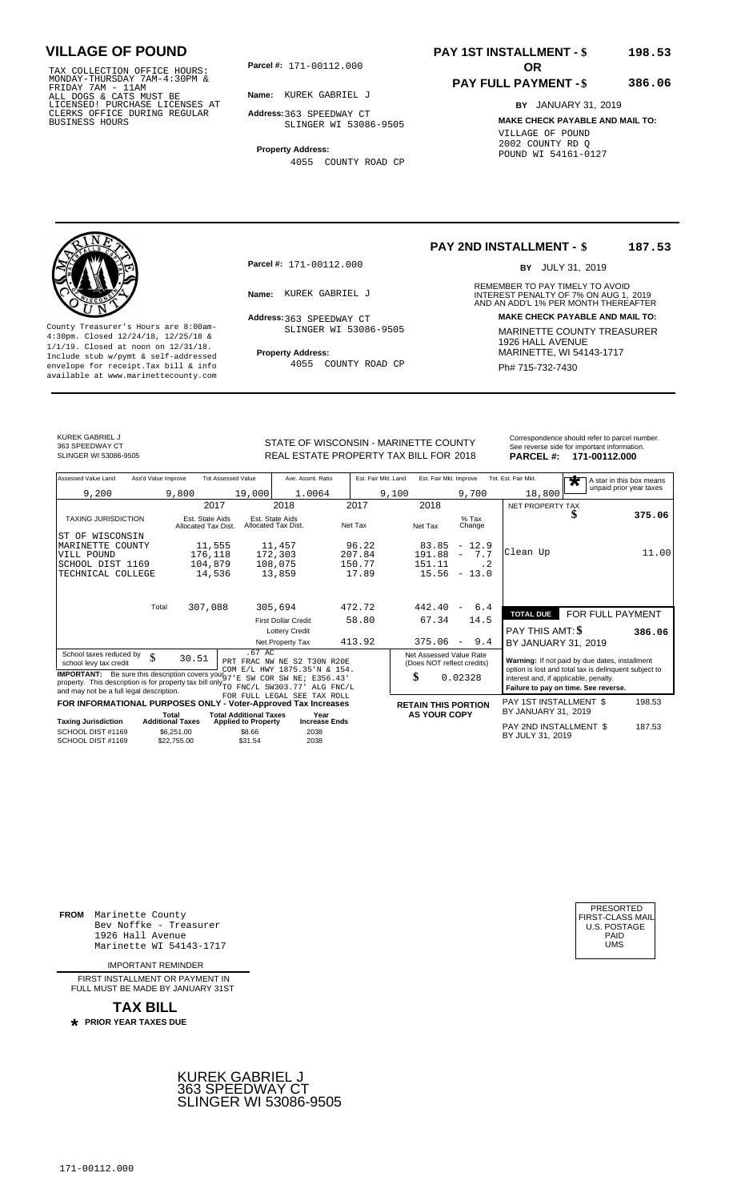TAX COLLECTION OFFICE HOURS:<br>
MONDAY-THURSDAY 7AM-4:30PM &<br>
FRIDAY 7AM - 11AM<br>
ALL DOGS & CATS MUST BE<br>
LICENSED! PURCHASE LICENSES AT<br>
CLERKS OFFICE DURING REGULAR<br>
CLERKS OFFICE DURING REGULAR<br>
BUSINESS HOURS<br>
BUSINESS H

**Parcel #:** 171-00112.000 **OR** 

**Name:** KUREK GABRIEL J

**Address:** 363 SPEEDWAY CT SLINGER WI 53086-9505

**Property Address:** 4055 COUNTY ROAD CP

### **PAY 1ST INSTALLMENT - \$ 198.53**

### **PAY FULL PAYMENT - \$**

**386.06**

**BY** JANUARY 31, 2019 **MAKE CHECK PAYABLE AND MAIL TO:** VILLAGE OF POUND 2002 COUNTY RD Q POUND WI 54161-0127



**Property Address:** MARINETTE, WI 54143-1717 Include stub w/pymt & self-addressed envelope for receipt.Tax bill & info Ph# 715-732-7430 available at www.marinettecounty.com

**Parcel #:** 171-00112.000

Address: 363 SPEEDWAY CT SLINGER WI 53086-9505

4055 COUNTY ROAD CP

**PAY 2ND INSTALLMENT - \$ 187.53**

BY JULY 31, 2019

REMEMBER TO PAY TIMELY TO AVOID **Name:** KUREK GABRIEL J<br>
AND AN ADD'L 1% PER MONTH THEREAFTER<br>
AND AN ADD'L 1% PER MONTH THEREAFTER **Address: MAKE CHECK PAYABLE AND MAIL TO:** County Treasurer's Hours are 8:00am-<br>
4:30pm. Closed 12/24/18, 12/25/18 & 1/1/19. Closed at noon on 12/31/18.<br>
1/1/19. Closed at noon on 12/31/18.<br>
Include stub w/pwmt & self-addressed **Property Address:** MARINETTE, WI 541

KUREK GABRIEL J 363 SPEEDWAY CT<br>SLINGER WI 53086-9505

STATE OF WISCONSIN - MARINETTE COUNTY<br>
See reverse side for important information.<br>
REAL ESTATE PROPERTY TAX BILL FOR 2018<br>
PARCEL #: 171-00112.000 REAL ESTATE PROPERTY TAX BILL FOR **PARCEL #:** SLINGER WI 53086-9505 2018 **171-00112.000**

| Assessed Value Land<br>Ass'd Value Improve                                                                                                                                                                                         |                                        | <b>Tot Assessed Value</b>            | Ave. Assmt. Ratio                                           | Est. Fair Mkt. Land | Est. Fair Mkt. Improve                                |                   | Tot. Est. Fair Mkt.                   | A star in this box means<br>$\bigstar$                                                                  |        |
|------------------------------------------------------------------------------------------------------------------------------------------------------------------------------------------------------------------------------------|----------------------------------------|--------------------------------------|-------------------------------------------------------------|---------------------|-------------------------------------------------------|-------------------|---------------------------------------|---------------------------------------------------------------------------------------------------------|--------|
| 9,200                                                                                                                                                                                                                              | 9,800                                  | 19,000                               | 1.0064                                                      |                     | 9,100                                                 | 9,700             | 18,800                                | unpaid prior year taxes                                                                                 |        |
|                                                                                                                                                                                                                                    | 2017                                   |                                      | 2018                                                        | 2017                | 2018                                                  |                   | NET PROPERTY TAX                      |                                                                                                         |        |
| <b>TAXING JURISDICTION</b>                                                                                                                                                                                                         | Est. State Aids<br>Allocated Tax Dist. |                                      | Est. State Aids<br>Allocated Tax Dist.                      | Net Tax             | Net Tax                                               | $%$ Tax<br>Change |                                       | D                                                                                                       | 375.06 |
| ST OF WISCONSIN                                                                                                                                                                                                                    |                                        |                                      |                                                             |                     |                                                       |                   |                                       |                                                                                                         |        |
| MARINETTE COUNTY                                                                                                                                                                                                                   | 11,555                                 |                                      | 11,457                                                      | 96.22               | 83.85                                                 | $-12.9$           |                                       |                                                                                                         |        |
| VILL POUND                                                                                                                                                                                                                         | 176,118                                |                                      | 172,303                                                     | 207.84              | 191.88                                                | 7.7<br>$\equiv$   | Clean Up                              |                                                                                                         | 11.00  |
| SCHOOL DIST 1169                                                                                                                                                                                                                   | 104,879                                |                                      | 108,075                                                     | 150.77              | 151.11                                                | . 2               |                                       |                                                                                                         |        |
| TECHNICAL COLLEGE                                                                                                                                                                                                                  | 14,536                                 |                                      | 13,859                                                      | 17.89               | 15.56                                                 | $-13.0$           |                                       |                                                                                                         |        |
| Total                                                                                                                                                                                                                              | 307,088                                |                                      | 305,694                                                     | 472.72              | 442.40                                                | 6.4<br>$\equiv$   |                                       |                                                                                                         |        |
|                                                                                                                                                                                                                                    |                                        |                                      | <b>First Dollar Credit</b>                                  | 58.80               | 67.34                                                 | 14.5              | <b>TOTAL DUE</b>                      | FOR FULL PAYMENT                                                                                        |        |
|                                                                                                                                                                                                                                    |                                        |                                      | <b>Lottery Credit</b>                                       |                     |                                                       |                   | PAY THIS AMT: \$                      |                                                                                                         | 386.06 |
|                                                                                                                                                                                                                                    |                                        |                                      | Net Property Tax                                            | 413.92              | 375.06                                                | 9.4<br>$\sim$     | BY JANUARY 31, 2019                   |                                                                                                         |        |
| School taxes reduced by<br>$\mathcal{S}$<br>school levy tax credit                                                                                                                                                                 | 30.51                                  | $.67$ AC                             | PRT FRAC NW NE S2 T30N R20E<br>COM E/L HWY 1875.35'N & 154. |                     | Net Assessed Value Rate<br>(Does NOT reflect credits) |                   |                                       | Warning: If not paid by due dates, installment<br>option is lost and total tax is delinquent subject to |        |
| <b>IMPORTANT:</b> Be sure this description covers your $\frac{1}{97}$ E SW COR SW NE: E356.43<br>property. This description is for property tax bill only TO FNC/L SW303.77' ALG FNC/L<br>and may not be a full legal description. |                                        |                                      |                                                             |                     | \$                                                    | 0.02328           | interest and, if applicable, penalty. | Failure to pay on time. See reverse.                                                                    |        |
| FOR INFORMATIONAL PURPOSES ONLY - Voter-Approved Tax Increases                                                                                                                                                                     |                                        |                                      | FOR FULL LEGAL SEE TAX ROLL                                 |                     | <b>RETAIN THIS PORTION</b>                            |                   | PAY 1ST INSTALLMENT \$                |                                                                                                         | 198.53 |
|                                                                                                                                                                                                                                    | Total                                  | <b>Total Additional Taxes</b>        | Year                                                        |                     | <b>AS YOUR COPY</b>                                   |                   | BY JANUARY 31, 2019                   |                                                                                                         |        |
| <b>Taxing Jurisdiction</b><br>SCHOOL DIST #1169                                                                                                                                                                                    | <b>Additional Taxes</b>                | <b>Applied to Property</b><br>\$8.66 | <b>Increase Ends</b><br>2038                                |                     |                                                       |                   | PAY 2ND INSTALLMENT \$                |                                                                                                         | 187.53 |
| SCHOOL DIST #1169                                                                                                                                                                                                                  | \$6,251.00<br>\$22,755.00              | \$31.54                              | 2038                                                        |                     |                                                       |                   | BY JULY 31, 2019                      |                                                                                                         |        |
|                                                                                                                                                                                                                                    |                                        |                                      |                                                             |                     |                                                       |                   |                                       |                                                                                                         |        |

**FROM** Marinette County Bev Noffke - Treasurer (U.S. POSTAGE)<br>1926 Hall Avenue (U.S. POSTAGE)<br>Marinette WI 54143-1717 (U.S. POSTAGE) 1926 Hall Avenue Marinette WI 54143-1717

IMPORTANT REMINDER

FIRST INSTALL MENT OR PAYMENT IN FULL MUST BE MADE BY JANUARY 31ST



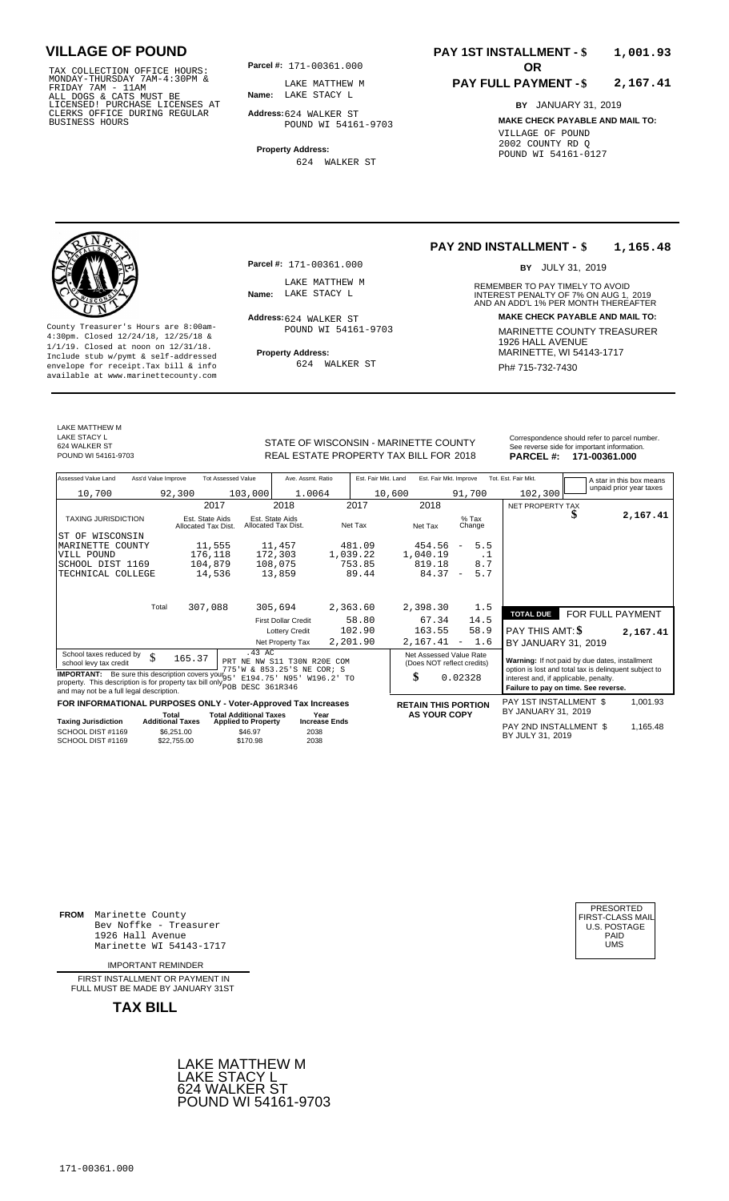TAX COLLECTION OFFICE HOURS: **Parcel#:** 171-00361.000<br>MONDAY-THURSDAY 7AM-4:30PM & LAKE MATTHEW M<br>FRIDAY 7AM - 11AM<br>ALL DOGS & CATS MUST BE **Name:** LAKE STACY L<br>LICENSED! PURCHASE LICENSES AT CLERKS OFFICE DURING REGULAR BUSINESS HOURS

**Parcel #:** 171-00361.000

**Name:** LAKE STACY L LAKE MATTHEW M

**Address:** 624 WALKER ST POUND WI 54161-9703

**Property Address:** 624 WALKER ST

### **PAY 1ST INSTALLMENT - \$ 1,001.93**

#### **PAY FULL PAYMENT - \$ 2,167.41**

**BY** JANUARY 31, 2019 **MAKE CHECK PAYABLE AND MAIL TO:** VILLAGE OF POUND 2002 COUNTY RD Q POUND WI 54161-0127

**Property Address:** Marinette Address: 1/1/19. Closed at noon on 12/31/18.<br>Include stub w/pymt & self-addressed envelope for receipt.Tax bill & info  $624$  WALKER ST  $\overline{P}$  Ph# 715-732-7430 available at www.marinettecounty.com

**Parcel #:** 171-00361.000

LAKE MATTHEW M<br>Name: LAKE STACY L

Address: 624 WALKER ST POUND WI 54161-9703

624 WALKER ST

#### **PAY 2ND INSTALLMENT - \$ 1,165.48**

BY JULY 31, 2019

REMEMBER TO PAY TIMELY TO AVOID **Name:** LAKE STACY L<br> **NAME:** INTEREST PENALTY OF 7% ON AUG 1, 2019<br>
AND AN ADD'L 1% PER MONTH THEREAFTER **Address: MAKE CHECK PAYABLE AND MAIL TO:**  $\begin{array}{r}\n\text{Country Treasury} \text{The number of 100 m} \text{The number of 100 m} \text{The number of 100 m} \text{The number of 100 m} \text{The number of 100 m} \text{The number of 100 m} \text{The number of 100 m} \text{The number of 100 m} \text{The number of 100 m} \text{The number of 100 m} \text{The number of 100 m} \text{The number of 100 m} \text{The number of 100 m} \text{The number of 100 m} \text{The number of 100 m} \text{The number of 100 m} \text{The number of 100 m} \text$ 

LAKE MATTHEW M LAKE STACY L

624 WALKER ST

STATE OF WISCONSIN - MARINETTE COUNTY Correspondence should refer to parcel number.<br>
SEAL ESTATE PROPERTY TAX RILL FOR 2018 See reverse side for important information.

| POUND WI 54161-9703        |                     |        |                                        |         |                                        |                     | REAL ESTATE PROPERTY TAX BILL FOR 2018 |                          |                   | <b>PARCEL#:</b>     | 171-00361.000            |
|----------------------------|---------------------|--------|----------------------------------------|---------|----------------------------------------|---------------------|----------------------------------------|--------------------------|-------------------|---------------------|--------------------------|
| Assessed Value Land        | Ass'd Value Improve |        | <b>Tot Assessed Value</b>              |         | Ave. Assmt. Ratio                      | Est. Fair Mkt. Land | Est. Fair Mkt. Improve                 |                          |                   | Tot. Est. Fair Mkt. | A star in this box means |
| 10,700                     |                     | 92,300 |                                        | 103,000 | 1.0064                                 |                     | 10,600                                 |                          | 91,700            | 102,300             | unpaid prior year taxes  |
|                            |                     |        | 2017                                   |         | 2018                                   | 2017                | 2018                                   |                          |                   | NET PROPERTY TAX    |                          |
| <b>TAXING JURISDICTION</b> |                     |        | Est. State Aids<br>Allocated Tax Dist. |         | Est. State Aids<br>Allocated Tax Dist. | Net Tax             | Net Tax                                |                          | $%$ Tax<br>Change |                     | 2,167.41                 |
| ST OF WISCONSIN            |                     |        |                                        |         |                                        |                     |                                        |                          |                   |                     |                          |
| MARINETTE COUNTY           |                     |        | 11,555                                 |         | 11,457                                 | 481.09              | 454.56                                 | $\overline{\phantom{a}}$ | 5.5               |                     |                          |
| VILL POUND                 |                     |        | 176,118                                |         | 172,303                                | 1,039.22            | 1,040.19                               |                          | $\cdot$ $\bot$    |                     |                          |
| SCHOOL DIST 1169           |                     |        | 104,879                                |         | 108,075                                | 753.85              | 819.18                                 |                          | 8.7               |                     |                          |
| TECHNICAL COLLEGE          |                     |        | 14,536                                 |         | 13,859                                 | 89.44               | 84.37                                  | $\overline{\phantom{a}}$ | 5.7               |                     |                          |
|                            | Total               |        | 307,088                                |         | 305,694                                | 2,363.60            | 2,398.30                               |                          | 1.5               |                     |                          |
|                            |                     |        |                                        |         | <b>First Dollar Credit</b>             | 58.80               | 67.34                                  |                          | 14.5              | <b>TOTAL DUE</b>    | FOR FULL PAYMENT         |

Lottery Credit 102.90 163.55 58.9 **PAY THIS AMT: \$** 2,167.41

BY JANUARY 31, 2019

| $.43 \text{ AC}$<br>School taxes reduced by<br>165.37<br>PRT NE NW S11 T30N R20E COM<br>school levy tax credit                                                                                                                                                                            | Net Assessed Value Rate<br>(Does NOT reflect credits) | Warning: If not paid by due dates, installment                                                                                         |
|-------------------------------------------------------------------------------------------------------------------------------------------------------------------------------------------------------------------------------------------------------------------------------------------|-------------------------------------------------------|----------------------------------------------------------------------------------------------------------------------------------------|
| 775 W & 853.25 S NE COR; S<br>$\overline{\text{Be sure this description covers you}}_{95}^{\bullet}$ E194.75' N95' W196.2' TO<br><b>IMPORTANT:</b><br>property. This description is for property tax bill only $_{\rm POB}^{22}$ DESC 361R346<br>and may not be a full legal description. | 0.02328                                               | option is lost and total tax is delinguent subject to<br>interest and, if applicable, penalty.<br>Failure to pav on time. See reverse. |

### **FOR INFORMATIONAL PURPOSES ONLY - Voter-Approved Tax Increases RETAIN THIS PORTION** PAY 1ST INSTALLMENT \$<br>Total Total Additional Taxes Year AS YOUR COPY BY JANUARY 31, 2019 BY JANUARY 31, **Total Total Additional Taxes Year AS YOUR COPY**

|                                                                                                                                                          | <b>Taxing Jurisdiction</b> | .165.48 | <b>Applied to Property</b> |
|----------------------------------------------------------------------------------------------------------------------------------------------------------|----------------------------|---------|----------------------------|
| PAY 2ND INSTALLMENT \$<br>SCHOOL DIST #1169<br>\$6.251.00<br>\$46.97<br>2038<br>BY JULY 31, 2019<br>SCHOOL DIST #1169<br>2038<br>\$170.98<br>\$22,755,00 |                            |         |                            |

BY JULY 31, <sup>2038</sup> <sup>2019</sup>

Net Property Tax 2, 201.90 2, 167.41 - 1.6 BY JANUARY 31, 2019

67.34

**FROM** Marinette County Bev Noffke - Treasurer 1926 Hall Avenue Marinette WI 54143-1717

IMPORTANT REMINDER

FIRST INSTALL MENT OR PAYMENT IN FULL MUST BE MADE BY JANUARY 31ST

**TAX BILL**



| PRESORTED               |
|-------------------------|
| <b>FIRST-CLASS MAIL</b> |
| <b>U.S. POSTAGE</b>     |
| PAID                    |
| UMS                     |
|                         |

1,001.93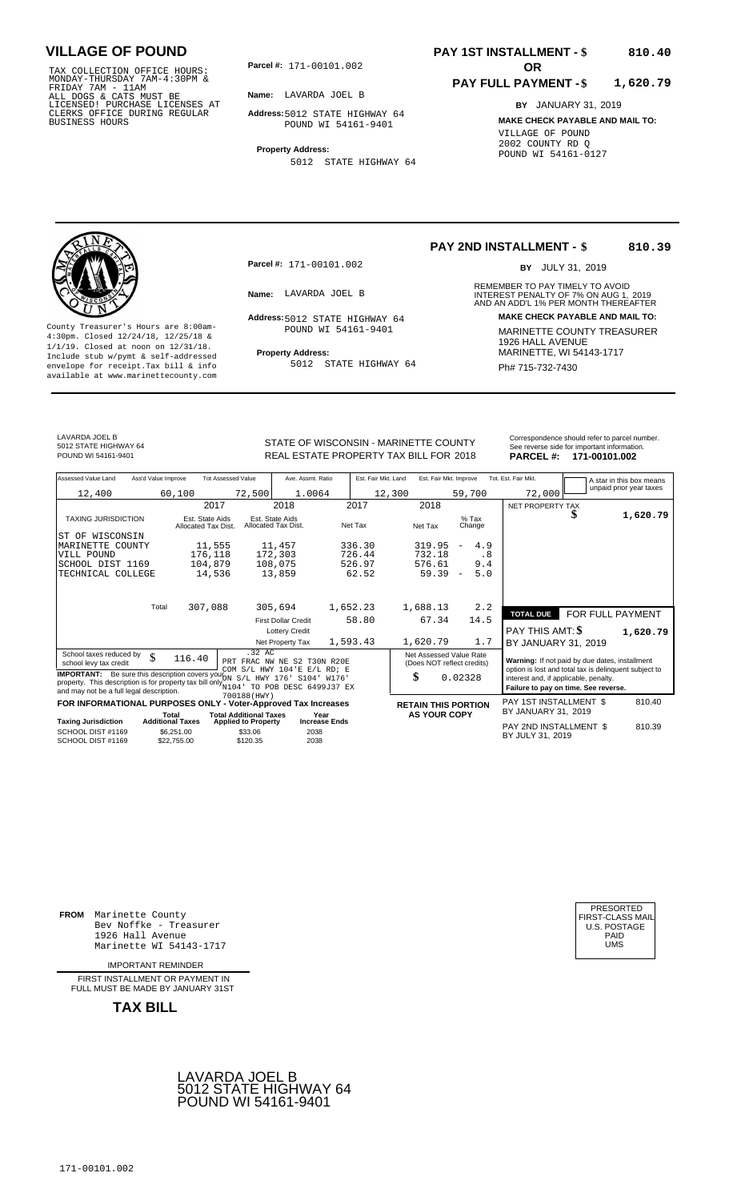TAX COLLECTION OFFICE HOURS:<br>
MONDAY-THURSDAY 7AM-4:30PM &<br>
FRIDAY 7AM - 11AM<br>
ALL DOGS & CATS MUST BE<br>
LICENSED! PURCHASE LICENSES AT<br>
CLERKS OFFICE DURING REGULAR<br>
CLERKS OFFICE DURING REGULAR<br>
BUSINESS HOURS<br>
POUND WI 5

**Parcel #:** 171-00101.002 **OR** 

**Name:** LAVARDA JOEL B

**Address:** 5012 STATE HIGHWAY 64 POUND WI 54161-9401

**Property Address:**

5012 STATE HIGHWAY 64

#### **PAY 1ST INSTALLMENT - \$ 810.40**

#### **PAY FULL PAYMENT - \$ 1,620.79**

**BY** JANUARY 31, 2019 **MAKE CHECK PAYABLE AND MAIL TO:** VILLAGE OF POUND 2002 COUNTY RD Q POUND WI 54161-0127

**Property Address:** MARINETTE, WI 54143-1717 Include stub w/pymt & self-addressed envelope for receipt.Tax bill & info Ph# 715-732-7430 available at www.marinettecounty.com

**Parcel #:** 171-00101.002

POUND WI 54161-9401

5012 STATE HIGHWAY 64

**PAY 2ND INSTALLMENT - \$ 810.39**

BY JULY 31, 2019

REMEMBER TO PAY TIMELY TO AVOID **Name:** LAVARDA JOEL B **Example 2018** INTEREST PENALTY OF 7% ON AUG 1, 2019<br>AND AN ADD'L 1% PER MONTH THEREAFTER **Address: MAKE CHECK PAYABLE AND MAIL TO:** 5012 STATE HIGHWAY 64 County Treasurer's Hours are 8:00am-<br>
4:30pm. Closed 12/24/18, 12/25/18 & MARINETTE COUNTY TREASURER<br>
1/1/19. Closed at noon on 12/31/18.<br>
Include stub w/pwmt & self-addressed **Property Address:** MARINETTE, WI 54143-1717

LAVARDA JOEL B 5012 STATE HIGHWAY 64

STATE OF WISCONSIN - MARINETTE COUNTY REAL ESTATE PROPERTY TAX BILL FOR **PARCEL #:** POUND WI 54161-9401 2018 **171-00101.002**

| Correspondence should refer to parcel number. |  |  |  |  |  |  |
|-----------------------------------------------|--|--|--|--|--|--|
| See reverse side for important information.   |  |  |  |  |  |  |
| <b>DADOFI 4. 474 00404 000</b>                |  |  |  |  |  |  |

| Assessed Value Land<br>Ass'd Value Improve                                                                                       | <b>Tot Assessed Value</b>                                   | Ave. Assmt. Ratio                      | Est. Fair Mkt. Land | Est. Fair Mkt. Improve     |                                 | Tot. Est. Fair Mkt.                                   |                  | A star in this box means |
|----------------------------------------------------------------------------------------------------------------------------------|-------------------------------------------------------------|----------------------------------------|---------------------|----------------------------|---------------------------------|-------------------------------------------------------|------------------|--------------------------|
| 12,400                                                                                                                           | 72,500<br>60,100                                            | 1.0064                                 | 12,300              |                            | 59,700                          | 72,000                                                |                  | unpaid prior year taxes  |
|                                                                                                                                  | 2017                                                        | 2018                                   | 2017                | 2018                       |                                 | NET PROPERTY TAX                                      |                  |                          |
| <b>TAXING JURISDICTION</b>                                                                                                       | Est. State Aids<br>Allocated Tax Dist.                      | Est. State Aids<br>Allocated Tax Dist. | Net Tax             | Net Tax                    | $%$ Tax<br>Change               |                                                       |                  | 1,620.79                 |
| ST OF WISCONSIN                                                                                                                  |                                                             |                                        |                     |                            |                                 |                                                       |                  |                          |
| MARINETTE COUNTY                                                                                                                 | 11,555                                                      | 11,457                                 | 336.30              | 319.95                     | 4.9<br>$\overline{\phantom{m}}$ |                                                       |                  |                          |
| VILL POUND                                                                                                                       | 176,118                                                     | 172,303                                | 726.44              | 732.18                     | . 8                             |                                                       |                  |                          |
| SCHOOL DIST 1169                                                                                                                 | 104,879                                                     | 108,075                                | 526.97              | 576.61                     | 9.4                             |                                                       |                  |                          |
| TECHNICAL COLLEGE                                                                                                                | 14,536                                                      | 13,859                                 | 62.52               | 59.39                      | 5.0<br>$\overline{\phantom{a}}$ |                                                       |                  |                          |
|                                                                                                                                  |                                                             |                                        |                     |                            |                                 |                                                       |                  |                          |
| Total                                                                                                                            | 307,088                                                     | 305,694                                | 1,652.23            | 1,688.13                   | 2.2                             |                                                       |                  |                          |
|                                                                                                                                  |                                                             | <b>First Dollar Credit</b>             | 58.80               | 67.34                      | 14.5                            | <b>TOTAL DUE</b>                                      | FOR FULL PAYMENT |                          |
|                                                                                                                                  |                                                             |                                        |                     |                            |                                 |                                                       |                  |                          |
|                                                                                                                                  |                                                             | <b>Lottery Credit</b>                  |                     |                            |                                 | PAY THIS AMT: \$                                      |                  | 1,620.79                 |
|                                                                                                                                  |                                                             | Net Property Tax                       | 1,593.43            | 1,620.79                   | 1.7                             | BY JANUARY 31, 2019                                   |                  |                          |
| School taxes reduced by<br>\$                                                                                                    | .32 AC<br>116.40                                            | PRT FRAC NW NE S2 T30N R20E            |                     | Net Assessed Value Rate    |                                 | Warning: If not paid by due dates, installment        |                  |                          |
| school levy tax credit                                                                                                           |                                                             | COM S/L HWY 104'E E/L RD; E            |                     | (Does NOT reflect credits) |                                 | option is lost and total tax is delinquent subject to |                  |                          |
| <b>IMPORTANT:</b> Be sure this description covers your S/L HWY 176' S104' W176'                                                  |                                                             |                                        |                     | \$                         | 0.02328                         | interest and, if applicable, penalty.                 |                  |                          |
| property. This description is for property tax bill only 104' TO POB DESC 6499J37 EX<br>and may not be a full legal description. |                                                             |                                        |                     |                            |                                 | Failure to pay on time. See reverse.                  |                  |                          |
|                                                                                                                                  | 700188(HWY)                                                 |                                        |                     |                            |                                 |                                                       |                  |                          |
| FOR INFORMATIONAL PURPOSES ONLY - Voter-Approved Tax Increases                                                                   |                                                             |                                        |                     | <b>RETAIN THIS PORTION</b> |                                 | PAY 1ST INSTALLMENT \$<br>BY JANUARY 31, 2019         |                  | 810.40                   |
| Total<br><b>Additional Taxes</b><br><b>Taxing Jurisdiction</b>                                                                   | <b>Total Additional Taxes</b><br><b>Applied to Property</b> | Year<br><b>Increase Ends</b>           |                     | <b>AS YOUR COPY</b>        |                                 |                                                       |                  |                          |
| SCHOOL DIST #1169<br>SCHOOL DIST #1169                                                                                           | \$6,251.00<br>\$33.06<br>\$120.35<br>\$22,755.00            | 2038<br>2038                           |                     |                            |                                 | PAY 2ND INSTALLMENT \$<br>BY JULY 31, 2019            |                  | 810.39                   |

**FROM** Marinette County Bev Noffke - Treasurer (U.S. POSTAGE)<br>1926 Hall Avenue (U.S. POSTAGE)<br>Marinette WI 54143-1717 (U.S. POSTAGE) 1926 Hall Avenue PAID Marinette WI 54143-1717 UMS

IMPORTANT REMINDER

FIRST INSTALLMENT OR PAYMENT IN FULL MUST BE MADE BY JANUARY 31ST



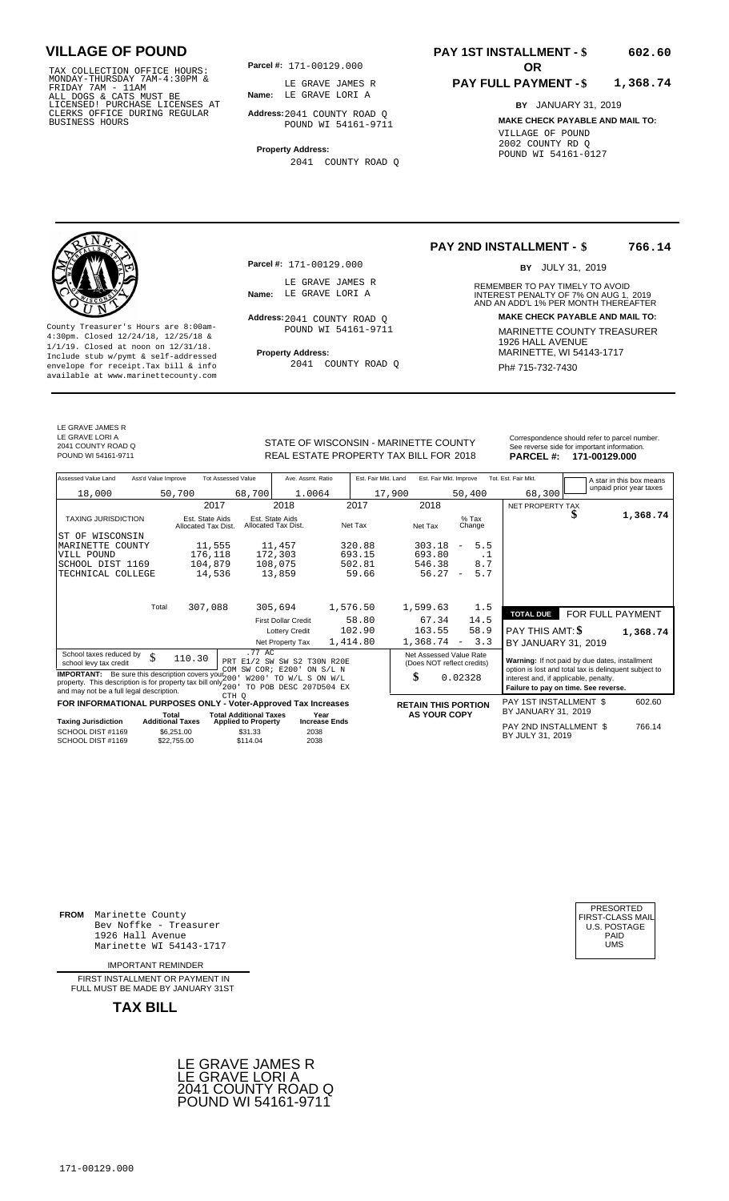TAX COLLECTION OFFICE HOURS:<br>
MONDAY-THURSDAY 7AM-4:30PM &<br>
FRIDAY 7AM - 11AM<br>
ALL DOGS & CATS MUST BE<br>
LICENSED! PURCHASE LICENSES AT<br>
LICENSED! PURCHASE LICENSES AT<br>
CLERKS OFFICE DURING REGULAR<br>
BUSINESS HOURS<br>
BUSINESS

**Parcel #:** 171-00129.000

**Name:** LE GRAVE LORI A LE GRAVE JAMES R

**Address:** 2041 COUNTY ROAD Q POUND WI 54161-9711

**Property Address:** 2041 COUNTY ROAD Q

### **PAY 1ST INSTALLMENT - \$**

#### **PAY FULL PAYMENT - \$ 1,368.74**

**BY** JANUARY 31, 2019 **MAKE CHECK PAYABLE AND MAIL TO:** VILLAGE OF POUND 2002 COUNTY RD Q POUND WI 54161-0127

**Property Address:** MARINETTE, WI 54143-1717 Include stub w/pymt & self-addressed envelope for receipt.Tax bill & info Ph# 715-732-7430 available at www.marinettecounty.com

Address: 2041 COUNTY ROAD Q POUND WI 54161-9711

2041 COUNTY ROAD Q

**PAY 2ND INSTALLMENT - \$ 766.14**

BY JULY 31, 2019

REMEMBER TO PAY TIMELY TO AVOID **Name:** LE GRAVE LORI A<br>
AND AN ADD'L 1% PER MONTH THEREAFTER **Address: MAKE CHECK PAYABLE AND MAIL TO:** County Treasurer's Hours are 8:00am-<br>
4:30pm. Closed 12/24/18, 12/25/18 & MARINETTE COUNTY TREASURER<br>
1/1/19. Closed at noon on 12/31/18.<br>
Include stub w/pwmt & self-addressed **Property Address:** MARINETTE, WI 54143-1717

LE GRAVE JAMES R LE GRAVE LORI A 2041 COUNTY ROAD Q

REAL ESTATE PROPERTY TAX BILL FOR **PARCEL #:** POUND WI 54161-9711 2018 **171-00129.000**

**Parcel #:** 171-00129.000

LE GRAVE JAMES R<br>Name: LE GRAVE LORI A

STATE OF WISCONSIN - MARINETTE COUNTY<br>
See reverse side for important information.<br>
REAL ESTATE PROPERTY TAX BILL FOR 2018 PARCEL #: 171-00129.000

| Assessed Value Land<br>Ass'd Value Improve                                                                                                                                          | <b>Tot Assessed Value</b>              | Ave. Assmt. Ratio                                                                | Est. Fair Mkt. Land | Est. Fair Mkt. Improve                                |                                 | Tot. Est. Fair Mkt.<br>A star in this box means                                                                                        |          |
|-------------------------------------------------------------------------------------------------------------------------------------------------------------------------------------|----------------------------------------|----------------------------------------------------------------------------------|---------------------|-------------------------------------------------------|---------------------------------|----------------------------------------------------------------------------------------------------------------------------------------|----------|
| 18,000                                                                                                                                                                              | 50,700                                 | 68,700<br>1.0064                                                                 | 17,900              |                                                       | 50,400                          | unpaid prior year taxes<br>68,300                                                                                                      |          |
|                                                                                                                                                                                     | 2017                                   | 2018                                                                             | 2017                | 2018                                                  |                                 | NET PROPERTY TAX                                                                                                                       |          |
| <b>TAXING JURISDICTION</b>                                                                                                                                                          | Est. State Aids<br>Allocated Tax Dist. | Est. State Aids<br>Allocated Tax Dist.                                           | Net Tax             | Net Tax                                               | $%$ Tax<br>Change               | æ                                                                                                                                      | 1,368.74 |
| WISCONSIN<br>ST OF                                                                                                                                                                  |                                        |                                                                                  |                     |                                                       |                                 |                                                                                                                                        |          |
| MARINETTE<br>COUNTY                                                                                                                                                                 | 11,555                                 | 11,457                                                                           | 320.88              | 303.18                                                | 5.5<br>$\overline{\phantom{m}}$ |                                                                                                                                        |          |
| VILL POUND                                                                                                                                                                          | 176,118                                | 172,303                                                                          | 693.15              | 693.80                                                | . 1                             |                                                                                                                                        |          |
| SCHOOL DIST 1169                                                                                                                                                                    | 104,879                                | 108,075                                                                          | 502.81              | 546.38                                                | 8.7                             |                                                                                                                                        |          |
| TECHNICAL COLLEGE                                                                                                                                                                   | 14,536                                 | 13,859                                                                           | 59.66               | 56.27                                                 | 5.7<br>$\overline{\phantom{a}}$ |                                                                                                                                        |          |
|                                                                                                                                                                                     |                                        |                                                                                  |                     |                                                       |                                 |                                                                                                                                        |          |
| Total                                                                                                                                                                               | 307,088                                | 305,694                                                                          | 1,576.50            | 1,599.63                                              | 1.5                             | FOR FULL PAYMENT<br><b>TOTAL DUE</b>                                                                                                   |          |
|                                                                                                                                                                                     |                                        | <b>First Dollar Credit</b>                                                       | 58.80               | 67.34                                                 | 14.5                            |                                                                                                                                        |          |
|                                                                                                                                                                                     |                                        | <b>Lottery Credit</b>                                                            | 102.90              | 163.55                                                | 58.9                            | PAY THIS AMT: \$                                                                                                                       | 1,368.74 |
|                                                                                                                                                                                     |                                        | Net Property Tax                                                                 | 1,414.80            | 1,368.74                                              | 3.3<br>$\overline{\phantom{a}}$ | BY JANUARY 31, 2019                                                                                                                    |          |
| School taxes reduced by<br>\$<br>school levy tax credit                                                                                                                             | 110.30                                 | .77 AC<br>PRT E1/2 SW SW S2 T30N R20E                                            |                     | Net Assessed Value Rate<br>(Does NOT reflect credits) |                                 | Warning: If not paid by due dates, installment                                                                                         |          |
| <b>IMPORTANT:</b> Be sure this description covers your 200<br>property. This description is for property tax bill only $_{200}^{200}$ .<br>and may not be a full legal description. |                                        | COM SW COR; E200'<br>ON S/L N<br>W200' TO W/L S ON W/L<br>TO POB DESC 207D504 EX |                     | \$                                                    | 0.02328                         | option is lost and total tax is delinquent subject to<br>interest and, if applicable, penalty.<br>Failure to pay on time. See reverse. |          |
| FOR INFORMATIONAL PURPOSES ONLY - Voter-Approved Tax Increases                                                                                                                      | CTH O                                  |                                                                                  |                     | <b>RETAIN THIS PORTION</b>                            |                                 | PAY 1ST INSTALLMENT \$                                                                                                                 | 602.60   |
|                                                                                                                                                                                     | Total                                  | <b>Total Additional Taxes</b><br>Year                                            |                     | <b>AS YOUR COPY</b>                                   |                                 | BY JANUARY 31, 2019                                                                                                                    |          |
| <b>Taxing Jurisdiction</b>                                                                                                                                                          | <b>Additional Taxes</b>                | <b>Increase Ends</b><br><b>Applied to Property</b>                               |                     |                                                       |                                 | PAY 2ND INSTALLMENT \$                                                                                                                 | 766.14   |
| SCHOOL DIST #1169<br>SCHOOL DIST #1169                                                                                                                                              | \$6,251.00<br>\$22,755.00              | \$31.33<br>2038<br>2038<br>\$114.04                                              |                     |                                                       |                                 | BY JULY 31, 2019                                                                                                                       |          |

**FROM** Marinette County Bev Noffke - Treasurer (U.S. POSTAGE)<br>1926 Hall Avenue (U.S. POSTAGE)<br>Marinette WI 54143-1717 (U.S. POSTAGE) 1926 Hall Avenue Marinette WI 54143-1717

IMPORTANT REMINDER

FIRST INSTALL MENT OR PAYMENT IN FULL MUST BE MADE BY JANUARY 31ST



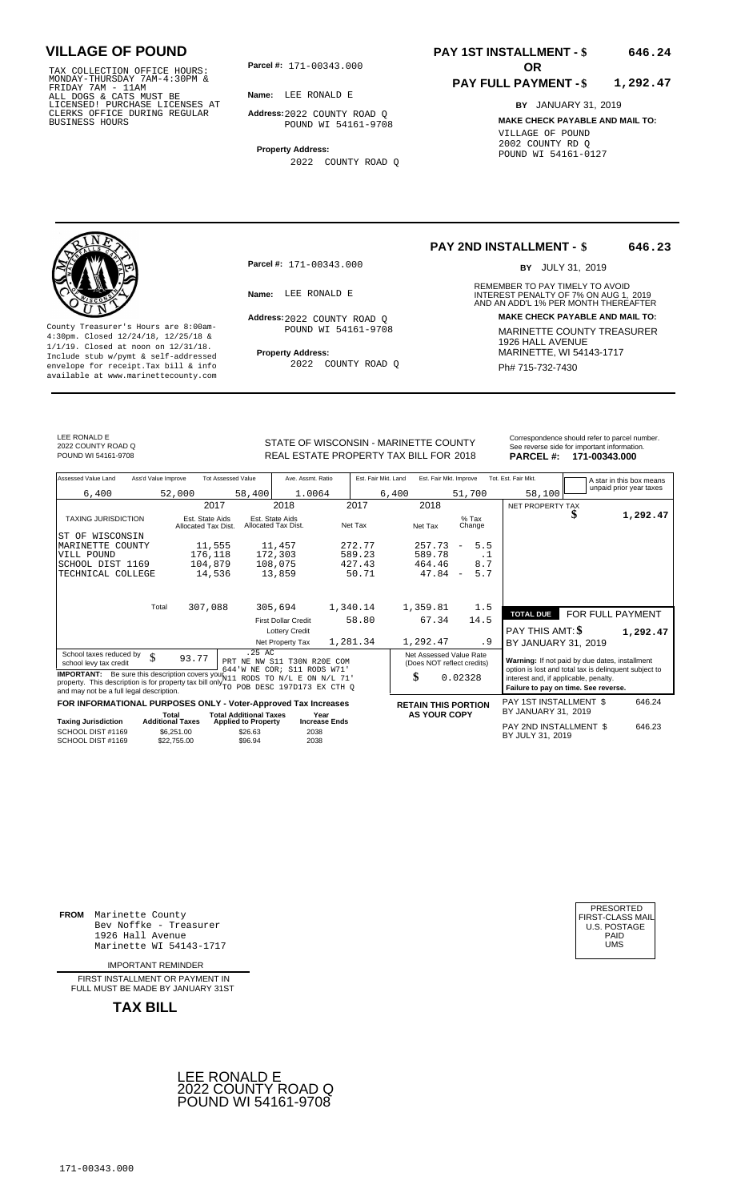TAX COLLECTION OFFICE HOURS: **Parcel#:** 171-00343.000<br>MONDAY-THURSDAY 7AM-4:30PM &<br>FRIDAY 7AM - 11AM<br>ALL DOGS & CATS MUST BE **Name:** LEE RONALD E<br>LICENSED! PURCHASE LICENSES AT CLERKS OFFICE DURING REGULAR BUSINESS HOURS

**Parcel #: OR**

**Name:** LEE RONALD E

**Address:** 2022 COUNTY ROAD Q POUND WI 54161-9708

**Property Address:** 2022 COUNTY ROAD Q

### **PAY 1ST INSTALLMENT - \$ 646.24**

#### **PAY FULL PAYMENT - \$ 1,292.47**

**BY** JANUARY 31, 2019 **MAKE CHECK PAYABLE AND MAIL TO:** VILLAGE OF POUND 2002 COUNTY RD Q POUND WI 54161-0127

**Property Address:** Marinette Address: 1/1/19. Closed at noon on 12/31/18.<br>Include stub w/pymt & self-addressed envelope for receipt.Tax bill & info 2022 COUNTY ROAD Q Ph# 715-732-7430 available at www.marinettecounty.com

**Parcel #:** 171-00343.000

Address: 2022 COUNTY ROAD Q POUND WI 54161-9708

2022 COUNTY ROAD Q

#### **PAY 2ND INSTALLMENT - \$ 646.23**

BY JULY 31, 2019

REMEMBER TO PAY TIMELY TO AVOID **Name:** LEE RONALD E **1999 INTEREST PENALTY OF 7% ON AUG 1, 2019**<br>AND AN ADD'L 1% PER MONTH THEREAFTER **Address: MAKE CHECK PAYABLE AND MAIL TO:** County Treasurer's Hours are 8:00am-<br>  $\frac{4:30 \text{pm}}{4 \cdot 30 \text{pm}}$ . Closed 12/24/18, 12/25/18 & 1926 HALL AVENUE 1/1/19. Closed at noon on 12/31/18.<br>  $\frac{1}{4}$  Trainet self-addressed **Property Address:** MARINETTE, WI 54143-

**TAXIOUS PAY 2ND INSTALLMENT \$** 

BY JANUARY 31, 2019

LEE RONALD E 2022 COUNTY ROAD Q

STATE OF WISCONSIN - MARINETTE COUNTY REAL ESTATE PROPERTY TAX BILL FOR **PARCEL #:** POUND WI 54161-9708 2018 **171-00343.000**

| Correspondence should refer to parcel number<br>See reverse side for important information. |  |
|---------------------------------------------------------------------------------------------|--|
|                                                                                             |  |
|                                                                                             |  |

| Assessed Value Land                               | Ass'd Value Improve |                                        | <b>Tot Assessed Value</b> |              | Ave. Assmt. Ratio                      |        |          | Est. Fair Mkt. Land | Est. Fair Mkt. Improve                                |                          |                   | Tot. Est. Fair Mkt.                                                                                                                                             | A star in this box means<br>unpaid prior year taxes |
|---------------------------------------------------|---------------------|----------------------------------------|---------------------------|--------------|----------------------------------------|--------|----------|---------------------|-------------------------------------------------------|--------------------------|-------------------|-----------------------------------------------------------------------------------------------------------------------------------------------------------------|-----------------------------------------------------|
| 6,400                                             |                     | 52,000                                 |                           | 58,400       |                                        | 1.0064 |          | 6,400               |                                                       | 51,700                   |                   | 58,100                                                                                                                                                          |                                                     |
|                                                   |                     | 2017                                   |                           |              | 2018                                   |        | 2017     |                     | 2018                                                  |                          |                   | NET PROPERTY TAX                                                                                                                                                |                                                     |
| <b>TAXING JURISDICTION</b>                        |                     | Est. State Aids<br>Allocated Tax Dist. |                           |              | Est. State Aids<br>Allocated Tax Dist. |        | Net Tax  |                     | Net Tax                                               |                          | $%$ Tax<br>Change | \$                                                                                                                                                              | 1,292.47                                            |
| WISCONSIN<br>ST OF                                |                     |                                        |                           |              |                                        |        |          |                     |                                                       |                          |                   |                                                                                                                                                                 |                                                     |
| MARINETTE COUNTY                                  |                     | 11,555                                 |                           |              | 11,457                                 |        | 272.77   |                     | 257.73                                                | $\overline{\phantom{m}}$ | 5.5               |                                                                                                                                                                 |                                                     |
| VILL POUND                                        |                     | 176,118                                |                           |              | 172,303                                |        | 589.23   |                     | 589.78                                                |                          | $\cdot$ 1         |                                                                                                                                                                 |                                                     |
| SCHOOL DIST 1169                                  |                     | 104,879                                |                           |              | 108,075                                |        | 427.43   |                     | 464.46                                                |                          | 8.7               |                                                                                                                                                                 |                                                     |
| TECHNICAL COLLEGE                                 |                     | 14,536                                 |                           |              | 13,859                                 |        | 50.71    |                     | 47.84                                                 | $\overline{\phantom{a}}$ | 5.7               |                                                                                                                                                                 |                                                     |
|                                                   | Total               | 307,088                                |                           |              | 305,694                                |        | 1,340.14 |                     | 1,359.81                                              |                          | 1.5               |                                                                                                                                                                 |                                                     |
|                                                   |                     |                                        |                           |              | <b>First Dollar Credit</b>             |        | 58.80    |                     | 67.34                                                 |                          | 14.5              | <b>TOTAL DUE</b>                                                                                                                                                | FOR FULL PAYMENT                                    |
|                                                   |                     |                                        |                           |              | <b>Lottery Credit</b>                  |        |          |                     |                                                       |                          |                   | PAY THIS AMT: \$                                                                                                                                                | 1,292.47                                            |
|                                                   |                     |                                        |                           |              | Net Property Tax                       |        | 1,281.34 |                     | 1,292.47                                              |                          | . 9               | BY JANUARY 31, 2019                                                                                                                                             |                                                     |
| School taxes reduced by<br>school levy tax credit | ¢                   | 93.77                                  | NE<br>PRT                 | .25 AC<br>NW | S11 T30N R20E COM                      |        |          |                     | Net Assessed Value Rate<br>(Does NOT reflect credits) |                          |                   | Warning: If not paid by due dates, installment<br>a contra contra constante e a contra de contra contra constante de contra constante de la contra de la contra |                                                     |

school levy tax credit  $\frac{1}{2}$  and total tax installment<br> **IMPORTANT:** Be sure this description covers you  $\frac{1}{2}$  is the sure this description covers you  $\frac{1}{2}$  is the core is sure this description covers you  $\frac{$ 

## **FOR INFORMATIONAL PURPOSES ONLY - Voter-Approved Tax Increases RETAIN THIS PORTION** PAY 1ST INSTALLMENT \$<br>Total Total Additional Taxes Year AS YOUR COPY BY JANUARY 31, 2019 Total Total Total Additional Taxes Year<br>Taxing Jurisdiction Additional Taxes Applied to Property Increase Ends

|                                        |                           |                    |              | PAY 2ND INSTALLMENT \$ | 646.23 |
|----------------------------------------|---------------------------|--------------------|--------------|------------------------|--------|
| SCHOOL DIST #1169<br>SCHOOL DIST #1169 | \$6.251.00<br>\$22,755,00 | \$26.63<br>\$96.94 | 2038<br>2038 | BY JULY 31, 2019       |        |
|                                        |                           |                    |              |                        |        |

BY JULY 31, <sup>2038</sup> <sup>2019</sup>

0.02328

**FROM** Marinette County Bev Noffke - Treasurer 1926 Hall Avenue Marinette WI 54143-1717

IMPORTANT REMINDER

FIRST INSTALL MENT OR PAYMENT IN FULL MUST BE MADE BY JANUARY 31ST

**TAX BILL**



| PRESORTED        |
|------------------|
| FIRST-CLASS MAIL |
| U.S. POSTAGE     |
| PAID             |
| UMS              |
|                  |

646.24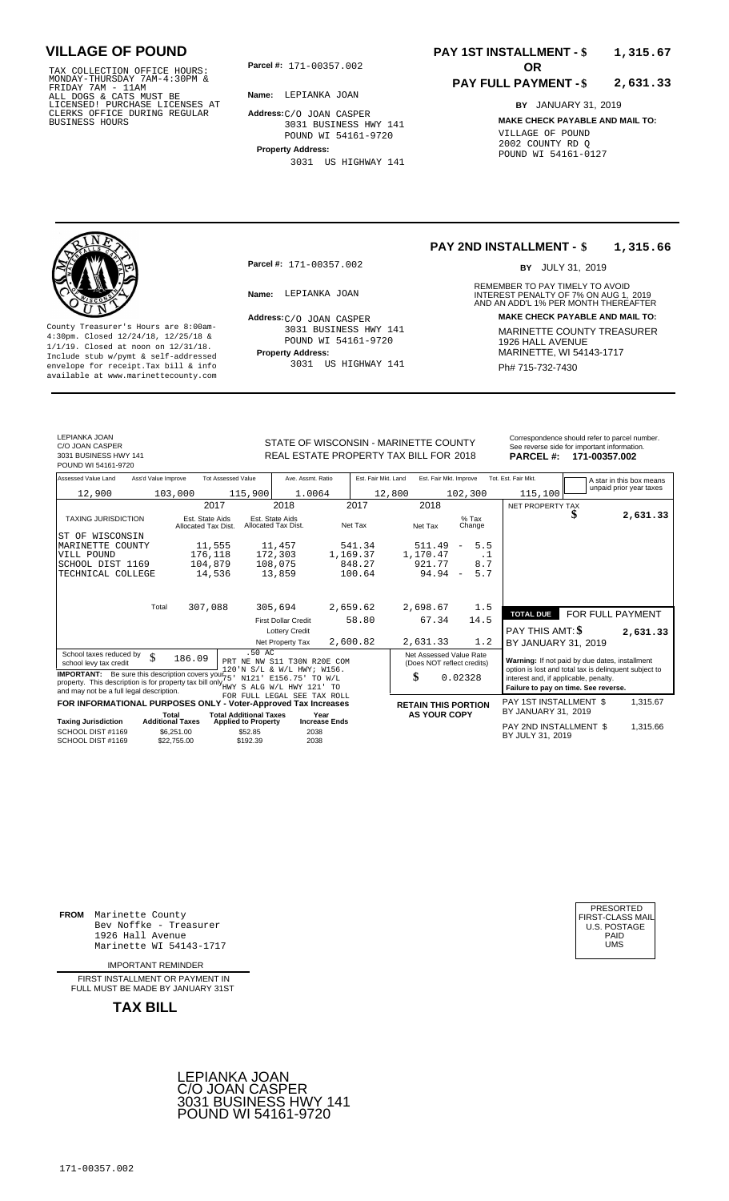TAX COLLECTION OFFICE HOURS: **Parcel#:** 171-00357.002<br>MONDAY-THURSDAY 7AM-4:30PM &<br>FRIDAY 7AM - 11AM<br>ALL DOGS & CATS MUST BE **Name:** LEPIANKA JOAN<br>LICENSED! PURCHASE LICENSES AT CLERKS OFFICE DURING REGULAR BUSINESS HOURS

**Parcel #:** 171-00357.002 **OR** 

**Name:** LEPIANKA JOAN

**Address:** C/O JOAN CASPER 3031 BUSINESS HWY 141 POUND WI 54161-9720

**Property Address:** 3031 US HIGHWAY 141

### **PAY 1ST INSTALLMENT - \$ 1,315.67**

#### **PAY FULL PAYMENT - \$ 2,631.33**

**BY** JANUARY 31, 2019 **MAKE CHECK PAYABLE AND MAIL TO:** VILLAGE OF POUND 2002 COUNTY RD Q POUND WI 54161-0127

**Property Address:** MARINETTE, WI 54143-1717 Include stub w/pymt & self-addressed envelope for receipt.Tax bill & info Film Role of Bull US HIGHWAY 141 Film Ph# 715-732-7430 available at www.marinettecounty.com

**Parcel #:** 171-00357.002

 $Address:C/O$  JOAN CASPER 3031 BUSINESS HWY 141 POUND WI 54161-9720 3031 US HIGHWAY 141 **PAY 2ND INSTALLMENT - \$ 1,315.66**

BY JULY 31, 2019

REMEMBER TO PAY TIMELY TO AVOID **Name:** INTEREST PENALTY OF 7% ON AUG 1, AND AN ADD'L 1% PER MONTH THEREAFTER LEPIANKA JOAN 2019 **Address: MAKE CHECK PAYABLE AND MAIL TO:** County Treasurer's Hours are 8:00am-<br>
4:30pm. Closed 12/24/18, 12/25/18 & 100MD WI 54161-9720 MARINETTE COUNTY TREASURER<br>
1/1/19. Closed at noon on 12/31/18.<br>
Include stub w/pwmt & self-addressed **Property Address:** MARINE

LEPIANKA JOAN C/O JOAN CASPER

STATE OF WISCONSIN - MARINETTE COUNTY Correspondence should refer to parcel number.<br>See reverse side for important information. REAL ESTATE PROPERTY TAX BILL FOR 2018

2018 **171-00357.002**

| 3031 BUSINESS HWY 141<br>POUND WI 54161-9720                                                                                                                                                            |                                  |                                                             | REAL ESTATE PROPERTY TAX BILL FOR 2018       |                              |                     |                                                       |                                 | <b>PARCEL#:</b>                                                                                                                        | 171-00357.002    |                                                     |
|---------------------------------------------------------------------------------------------------------------------------------------------------------------------------------------------------------|----------------------------------|-------------------------------------------------------------|----------------------------------------------|------------------------------|---------------------|-------------------------------------------------------|---------------------------------|----------------------------------------------------------------------------------------------------------------------------------------|------------------|-----------------------------------------------------|
| Assessed Value Land                                                                                                                                                                                     | Ass'd Value Improve              | <b>Tot Assessed Value</b>                                   | Ave. Assmt. Ratio                            |                              | Est. Fair Mkt. Land | Est. Fair Mkt. Improve                                |                                 | Tot. Est. Fair Mkt.                                                                                                                    |                  | A star in this box means<br>unpaid prior year taxes |
| 12,900                                                                                                                                                                                                  | 103,000                          |                                                             | 115,900<br>1.0064                            |                              | 12,800              |                                                       | 102,300                         | 115,100                                                                                                                                |                  |                                                     |
|                                                                                                                                                                                                         |                                  | 2017                                                        | 2018                                         |                              | 2017                | 2018                                                  |                                 | NET PROPERTY TAX                                                                                                                       |                  |                                                     |
| <b>TAXING JURISDICTION</b>                                                                                                                                                                              |                                  | Est. State Aids<br>Allocated Tax Dist.                      | Est. State Aids<br>Allocated Tax Dist.       | Net Tax                      |                     | Net Tax                                               | $%$ Tax<br>Change               |                                                                                                                                        | Φ                | 2,631.33                                            |
| ST OF WISCONSIN                                                                                                                                                                                         |                                  |                                                             |                                              |                              |                     |                                                       |                                 |                                                                                                                                        |                  |                                                     |
| MARINETTE COUNTY                                                                                                                                                                                        |                                  | 11,555                                                      | 11,457                                       |                              | 541.34              | 511.49                                                | 5.5<br>$\overline{\phantom{a}}$ |                                                                                                                                        |                  |                                                     |
| VILL POUND                                                                                                                                                                                              |                                  | 176,118                                                     | 172,303                                      | 1,169.37                     |                     | 1,170.47                                              | . 1                             |                                                                                                                                        |                  |                                                     |
| SCHOOL DIST 1169                                                                                                                                                                                        |                                  | 104,879                                                     | 108,075                                      |                              | 848.27              | 921.77                                                | 8.7                             |                                                                                                                                        |                  |                                                     |
| TECHNICAL COLLEGE                                                                                                                                                                                       |                                  | 14,536                                                      | 13,859                                       |                              | 100.64              | 94.94                                                 | 5.7<br>$\overline{\phantom{a}}$ |                                                                                                                                        |                  |                                                     |
|                                                                                                                                                                                                         | Total                            | 307,088                                                     | 305,694                                      | 2,659.62                     |                     | 2,698.67                                              | 1.5                             |                                                                                                                                        |                  |                                                     |
|                                                                                                                                                                                                         |                                  |                                                             | <b>First Dollar Credit</b>                   |                              | 58.80               | 67.34                                                 | 14.5                            | <b>TOTAL DUE</b>                                                                                                                       | FOR FULL PAYMENT |                                                     |
|                                                                                                                                                                                                         |                                  |                                                             | <b>Lottery Credit</b><br>Net Property Tax    | 2,600.82                     |                     | 2,631.33                                              | 1.2                             | PAY THIS AMT: \$<br>BY JANUARY 31, 2019                                                                                                |                  | 2,631.33                                            |
| School taxes reduced by<br>\$<br>school levy tax credit                                                                                                                                                 | 186.09                           |                                                             | .50 AC<br>PRT NE NW S11 T30N R20E COM        |                              |                     | Net Assessed Value Rate<br>(Does NOT reflect credits) |                                 | Warning: If not paid by due dates, installment                                                                                         |                  |                                                     |
| <b>IMPORTANT:</b> Be sure this description covers your $\frac{1}{7}$<br>property. This description is for property tax bill only WHWY S ALG W/L HWY 121' TO<br>and may not be a full legal description. |                                  |                                                             | 120'N S/L & W/L HWY; W156.<br>N121' E156.75' | TO W/L                       |                     | \$                                                    | 0.02328                         | option is lost and total tax is delinquent subject to<br>interest and, if applicable, penalty.<br>Failure to pay on time. See reverse. |                  |                                                     |
| FOR INFORMATIONAL PURPOSES ONLY - Voter-Approved Tax Increases                                                                                                                                          |                                  |                                                             | FOR FULL LEGAL SEE TAX ROLL                  |                              |                     |                                                       |                                 | PAY 1ST INSTALLMENT \$                                                                                                                 |                  | 1,315.67                                            |
| <b>Taxing Jurisdiction</b>                                                                                                                                                                              | Total<br><b>Additional Taxes</b> | <b>Total Additional Taxes</b><br><b>Applied to Property</b> |                                              | Year<br><b>Increase Ends</b> |                     | <b>RETAIN THIS PORTION</b><br><b>AS YOUR COPY</b>     |                                 | BY JANUARY 31, 2019                                                                                                                    |                  |                                                     |
| SCHOOL DIST #1169<br>SCHOOL DIST #1169                                                                                                                                                                  | \$6,251.00<br>\$22,755.00        |                                                             | \$52.85<br>2038<br>\$192.39<br>2038          |                              |                     |                                                       |                                 | PAY 2ND INSTALLMENT \$<br>BY JULY 31, 2019                                                                                             |                  | 1,315.66                                            |

**FROM** Marinette County Bev Noffke - Treasurer (U.S. POSTAGE)<br>1926 Hall Avenue (U.S. POSTAGE)<br>Marinette WI 54143-1717 (U.S. POSTAGE) 1926 Hall Avenue PAID Marinette WI 54143-1717 UMS

IMPORTANT REMINDER

FIRST INSTALL MENT OR PAYMENT IN FULL MUST BE MADE BY JANUARY 31ST



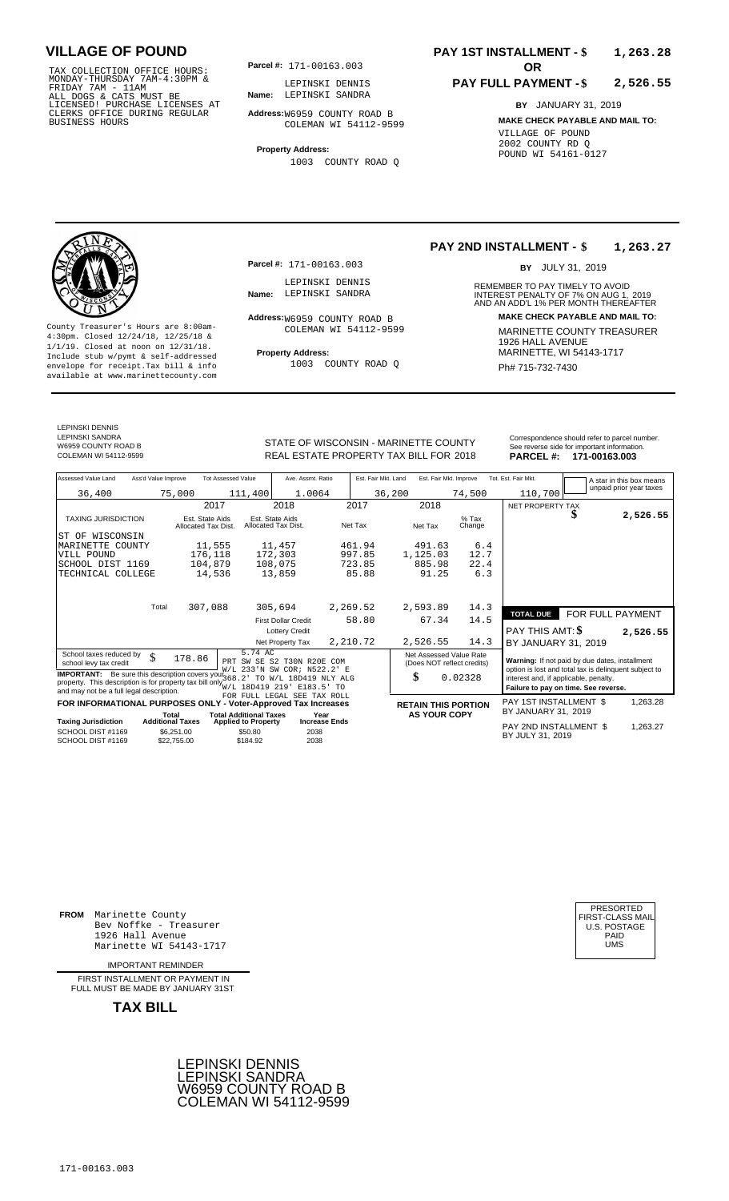TAX COLLECTION OFFICE HOURS: **Parcel#:** 171-00163.003<br>MONDAY-THURSDAY 7AM-4:30PM & LEPINSKI DENNI<br>FRIDAY 7AM - 11AM<br>ALL DOGS & CATS MUST BE **Name:** LEPINSKI SANDR<br>LICENSED! PURCHASE LICENSES AT CLERKS OFFICE DURING REGULAR BUSINESS HOURS

**Parcel #: OR**

**Name:** LEPINSKI SANDRA LEPINSKI DENNIS

**Address:** W6959 COUNTY ROAD B COLEMAN WI 54112-9599

**Property Address:** 1003 COUNTY ROAD Q

### **PAY 1ST INSTALLMENT - \$ 1,263.28**

#### **PAY FULL PAYMENT - \$ 2,526.55**

**BY** JANUARY 31, 2019 **MAKE CHECK PAYABLE AND MAIL TO:** VILLAGE OF POUND 2002 COUNTY RD Q POUND WI 54161-0127



**Property Address:** MARINETTE, WI 54143-1717 Include stub w/pymt & self-addressed envelope for receipt.Tax bill & info Fig. 1003 COUNTY ROAD Q Fig. 2014 Ph# 715-732-7430 available at www.marinettecounty.com

**Parcel #:** 171-00163.003

LEPINSKI DENNIS<br>Name: LEPINSKI SANDRA

Address: W6959 COUNTY ROAD B COLEMAN WI 54112-9599

1003 COUNTY ROAD Q

**PAY 2ND INSTALLMENT - \$ 1,263.27**

BY JULY 31, 2019

REMEMBER TO PAY TIMELY TO AVOID **Name:** LEPINSKI SANDRA (INTEREST PENALTY OF 7% ON AUG 1, 2019)<br>AND AN ADD'L 1% PER MONTH THEREAFTER **Address: MAKE CHECK PAYABLE AND MAIL TO:** County Treasurer's Hours are 8:00am-<br>
4:30pm. Closed 12/24/18, 12/25/18 & MARINETTE COUNTY TREASURER<br>
1/1/19. Closed at noon on 12/31/18.<br>
Include stub w/pwmt & self-addressed **Property Address:** MARINETTE, WI 54143-1717

LEPINSKI DENNIS LEPINSKI SANDRA W6959 COUNTY ROAD B<br>COLEMAN WI 54112-9599

REAL ESTATE PROPERTY TAX BILL FOR **PARCEL #:** COLEMAN WI 54112-9599 2018 **171-00163.003**

| STATE OF WISCONSIN - MARINETTE COUNTY  | Correspondence should refer to parcel number.<br>See reverse side for important information. |
|----------------------------------------|----------------------------------------------------------------------------------------------|
| REAL ESTATE PROPERTY TAX BILL FOR 2018 | <b>PARCEL # 171-00163 003</b>                                                                |

| Assessed Value Land                                                       | Ass'd Value Improve              |                                        | <b>Tot Assessed Value</b>                                   | Ave. Assmt. Ratio                                     |          | Est. Fair Mkt. Land |                            | Est. Fair Mkt. Improve     |                   | Tot. Est. Fair Mkt.                            |   | A star in this box means<br>unpaid prior year taxes   |
|---------------------------------------------------------------------------|----------------------------------|----------------------------------------|-------------------------------------------------------------|-------------------------------------------------------|----------|---------------------|----------------------------|----------------------------|-------------------|------------------------------------------------|---|-------------------------------------------------------|
| 36,400                                                                    |                                  | 75,000                                 | 111,400                                                     | 1.0064                                                |          | 36,200              |                            | 74,500                     |                   | 110,700                                        |   |                                                       |
|                                                                           |                                  | 2017                                   |                                                             | 2018                                                  |          | 2017                | 2018                       |                            |                   | NET PROPERTY TAX                               |   |                                                       |
| <b>TAXING JURISDICTION</b>                                                |                                  | Est. State Aids<br>Allocated Tax Dist. |                                                             | Est. State Aids<br>Allocated Tax Dist.                |          | Net Tax             | Net Tax                    |                            | $%$ Tax<br>Change |                                                | S | 2,526.55                                              |
| WISCONSIN<br>ST OF                                                        |                                  |                                        |                                                             |                                                       |          |                     |                            |                            |                   |                                                |   |                                                       |
| MARINETTE<br>COUNTY                                                       |                                  | 11,555                                 |                                                             | 11,457                                                |          | 461.94              | 491.63                     |                            | 6.4               |                                                |   |                                                       |
| VILL POUND                                                                |                                  | 176,118                                |                                                             | 172,303                                               |          | 997.85              | 1,125.03                   |                            | 12.7              |                                                |   |                                                       |
| SCHOOL DIST 1169                                                          |                                  | 104,879                                |                                                             | 108,075                                               |          | 723.85              | 885.98                     |                            | 22.4              |                                                |   |                                                       |
| TECHNICAL COLLEGE                                                         |                                  | 14,536                                 |                                                             | 13,859                                                |          | 85.88               | 91.25                      |                            | 6.3               |                                                |   |                                                       |
|                                                                           |                                  |                                        |                                                             |                                                       |          |                     |                            |                            |                   |                                                |   |                                                       |
|                                                                           |                                  |                                        |                                                             |                                                       |          |                     |                            |                            |                   |                                                |   |                                                       |
|                                                                           | Total                            | 307,088                                |                                                             | 305,694                                               | 2,269.52 |                     | 2,593.89                   |                            | 14.3              | <b>TOTAL DUE</b>                               |   | FOR FULL PAYMENT                                      |
|                                                                           |                                  |                                        |                                                             | <b>First Dollar Credit</b>                            |          | 58.80               | 67.34                      |                            | 14.5              |                                                |   |                                                       |
|                                                                           |                                  |                                        |                                                             | <b>Lottery Credit</b>                                 |          |                     |                            |                            |                   | PAY THIS AMT: \$                               |   | 2,526.55                                              |
|                                                                           |                                  |                                        |                                                             | Net Property Tax                                      | 2,210.72 |                     | 2,526.55                   |                            | 14.3              | BY JANUARY 31, 2019                            |   |                                                       |
| School taxes reduced by                                                   | \$                               | 178.86                                 | 5.74 AC                                                     |                                                       |          |                     |                            | Net Assessed Value Rate    |                   |                                                |   |                                                       |
| school levy tax credit                                                    |                                  |                                        | PRT                                                         | SW SE S2 T30N R20E COM<br>W/L 233'N SW COR; N522.2' E |          |                     |                            | (Does NOT reflect credits) |                   | Warning: If not paid by due dates, installment |   | option is lost and total tax is delinquent subject to |
| <b>IMPORTANT:</b> Be sure this description covers your 368.2              |                                  |                                        |                                                             | TO W/L 18D419 NLY ALG                                 |          |                     | \$                         | 0.02328                    |                   | interest and, if applicable, penalty.          |   |                                                       |
| property. This description is for property tax bill only $W_{\text{W/L}}$ |                                  |                                        | 18D419 219'                                                 | E183.5' TO                                            |          |                     |                            |                            |                   | Failure to pay on time. See reverse.           |   |                                                       |
| and may not be a full legal description.                                  |                                  |                                        |                                                             | FOR FULL LEGAL SEE TAX ROLL                           |          |                     |                            |                            |                   |                                                |   |                                                       |
| FOR INFORMATIONAL PURPOSES ONLY - Voter-Approved Tax Increases            |                                  |                                        |                                                             |                                                       |          |                     | <b>RETAIN THIS PORTION</b> |                            |                   | PAY 1ST INSTALLMENT \$                         |   | 1,263.28                                              |
| <b>Taxing Jurisdiction</b>                                                | Total<br><b>Additional Taxes</b> |                                        | <b>Total Additional Taxes</b><br><b>Applied to Property</b> | Year<br><b>Increase Ends</b>                          |          |                     |                            | <b>AS YOUR COPY</b>        |                   | BY JANUARY 31, 2019                            |   |                                                       |
| SCHOOL DIST #1169                                                         |                                  | \$6.251.00                             | \$50.80                                                     | 2038                                                  |          |                     |                            |                            |                   | PAY 2ND INSTALLMENT \$<br>BY JULY 31, 2019     |   | 1,263.27                                              |
| SCHOOL DIST #1169                                                         |                                  | \$22,755.00                            | \$184.92                                                    | 2038                                                  |          |                     |                            |                            |                   |                                                |   |                                                       |

**FROM** Marinette County Bev Noffke - Treasurer (U.S. POSTAGE)<br>1926 Hall Avenue (U.S. POSTAGE)<br>Marinette WI 54143-1717 (U.S. POSTAGE) 1926 Hall Avenue Marinette WI 54143-1717

IMPORTANT REMINDER

FIRST INSTALL MENT OR PAYMENT IN FULL MUST BE MADE BY JANUARY 31ST



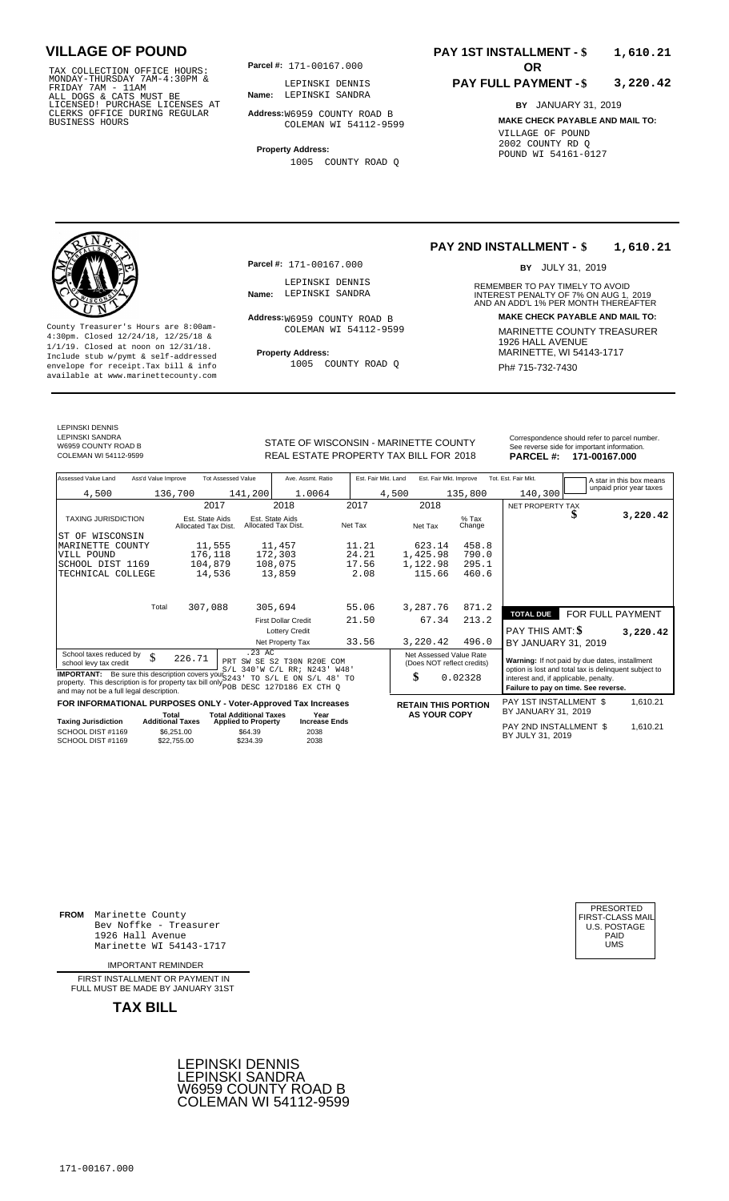TAX COLLECTION OFFICE HOURS: **Parcel#:** 171-00167.000<br>
MONDAY-THURSDAY 7AM-4:30PM &<br>
FRIDAY 7AM - 11AM<br>
ALL DOGS & CATS MUST BE<br>
LICENSED: PURCHASE LICENSES AT<br>
CLERKS OFFICE DURING REGULAR<br>
BUSINESS HOURS<br>
BUSINESS HOURS<br>

**Parcel #:** 171-00167.000

**Name:** LEPINSKI SANDRA LEPINSKI DENNIS

**Address:** W6959 COUNTY ROAD B COLEMAN WI 54112-9599

**Property Address:** 1005 COUNTY ROAD Q

**Parcel #:** 171-00167.000

LEPINSKI DENNIS<br>Name: LEPINSKI SANDRA

### **PAY 1ST INSTALLMENT - \$ 1,610.21**

#### **PAY FULL PAYMENT - \$ 3,220.42**

**BY** JANUARY 31, 2019 **MAKE CHECK PAYABLE AND MAIL TO:** VILLAGE OF POUND 2002 COUNTY RD Q POUND WI 54161-0127



**Property Address:** MARINETTE, WI 54143-1717 Include stub w/pymt & self-addressed envelope for receipt.Tax bill & info Fig. 1005 COUNTY ROAD Q Fig. 2014 Ph# 715-732-7430 available at www.marinettecounty.com

LEPINSKI DENNIS LEPINSKI SANDRA

W6959 COUNTY ROAD B<br>COLEMAN WI 54112-9599

Address:<sub>W6959</sub> COUNTY ROAD B COLEMAN WI 54112-9599

1005 COUNTY ROAD Q

#### **PAY 2ND INSTALLMENT - \$ 1,610.21**

BY JULY 31, 2019

REMEMBER TO PAY TIMELY TO AVOID **Name:** LEPINSKI SANDRA (INTEREST PENALTY OF 7% ON AUG 1, 2019)<br>AND AN ADD'L 1% PER MONTH THEREAFTER **Address: MAKE CHECK PAYABLE AND MAIL TO:** County Treasurer's Hours are 8:00am-<br>
4:30pm. Closed 12/24/18, 12/25/18 & MARINETTE COUNTY TREASURER<br>
1/1/19. Closed at noon on 12/31/18.<br>
Include stub w/pwmt & self-addressed **Property Address:** MARINETTE, WI 54143-1717

STATE OF WISCONSIN - MARINETTE COUNTY<br>
See reverse side for important information.<br>
REAL ESTATE PROPERTY TAX BILL FOR 2018 PARCEL #: 171-00167.000 REAL ESTATE PROPERTY TAX BILL FOR **PARCEL #:** COLEMAN WI 54112-9599 2018 **171-00167.000**

| Assessed Value Land                                                                                                                                                                                         | Ass'd Value Improve                                  | <b>Tot Assessed Value</b>                         | Ave. Assmt. Ratio                      |         | Est. Fair Mkt. Land | Est. Fair Mkt. Improve                                                                                                                                           |                   | Tot. Est. Fair Mkt.                        |                  | A star in this box means |
|-------------------------------------------------------------------------------------------------------------------------------------------------------------------------------------------------------------|------------------------------------------------------|---------------------------------------------------|----------------------------------------|---------|---------------------|------------------------------------------------------------------------------------------------------------------------------------------------------------------|-------------------|--------------------------------------------|------------------|--------------------------|
| 4,500                                                                                                                                                                                                       | 136,700                                              | 141,200                                           | 1.0064                                 |         | 4,500               | 135,800                                                                                                                                                          |                   | 140,300                                    |                  | unpaid prior year taxes  |
|                                                                                                                                                                                                             |                                                      | 2017                                              | 2018                                   | 2017    | 2018                |                                                                                                                                                                  |                   | NET PROPERTY TAX                           |                  |                          |
| <b>TAXING JURISDICTION</b>                                                                                                                                                                                  | Est. State Aids<br>Allocated Tax Dist.               |                                                   | Est. State Aids<br>Allocated Tax Dist. | Net Tax | Net Tax             |                                                                                                                                                                  | $%$ Tax<br>Change |                                            |                  | 3,220.42                 |
| WISCONSIN<br>ST OF                                                                                                                                                                                          |                                                      |                                                   |                                        |         |                     |                                                                                                                                                                  |                   |                                            |                  |                          |
| MARINETTE COUNTY                                                                                                                                                                                            |                                                      | 11,555                                            | 11,457                                 | 11.21   |                     | 623.14                                                                                                                                                           | 458.8             |                                            |                  |                          |
| VILL POUND                                                                                                                                                                                                  | 176,118                                              |                                                   | 172,303                                | 24.21   | 1,425.98            |                                                                                                                                                                  | 790.0             |                                            |                  |                          |
| SCHOOL DIST 1169                                                                                                                                                                                            | 104,879                                              |                                                   | 108,075                                | 17.56   | 1,122.98            |                                                                                                                                                                  | 295.1             |                                            |                  |                          |
| TECHNICAL COLLEGE                                                                                                                                                                                           |                                                      | 14,536                                            | 13,859                                 | 2.08    |                     | 115.66                                                                                                                                                           | 460.6             |                                            |                  |                          |
|                                                                                                                                                                                                             | Total                                                |                                                   |                                        |         |                     |                                                                                                                                                                  |                   |                                            |                  |                          |
|                                                                                                                                                                                                             | 307,088                                              |                                                   | 305,694                                | 55.06   | 3,287.76            |                                                                                                                                                                  | 871.2             | <b>TOTAL DUE</b>                           | FOR FULL PAYMENT |                          |
|                                                                                                                                                                                                             |                                                      |                                                   | <b>First Dollar Credit</b>             | 21.50   |                     | 67.34                                                                                                                                                            | 213.2             |                                            |                  |                          |
|                                                                                                                                                                                                             |                                                      |                                                   | <b>Lottery Credit</b>                  |         |                     |                                                                                                                                                                  |                   | PAY THIS AMT: \$                           |                  | 3,220.42                 |
|                                                                                                                                                                                                             |                                                      |                                                   | Net Property Tax                       | 33.56   | 3,220.42            |                                                                                                                                                                  | 496.0             | BY JANUARY 31, 2019                        |                  |                          |
| .23 AC<br>School taxes reduced by<br>\$<br>226.71<br>PRT SW SE S2 T30N R20E<br>COM<br>school levy tax credit<br>S/L 340'W C/L RR; N243' W48'<br><b>IMPORTANT:</b> Be sure this description covers your 5243 |                                                      |                                                   |                                        |         |                     | Net Assessed Value Rate<br>Warning: If not paid by due dates, installment<br>(Does NOT reflect credits)<br>option is lost and total tax is delinquent subject to |                   |                                            |                  |                          |
| property. This description is for property tax bill only political property. This description is for property tax bill only political process EX CTH Q<br>and may not be a full legal description.          | TO S/L E ON S/L 48' TO                               |                                                   | \$                                     | 0.02328 |                     | interest and, if applicable, penalty.<br>Failure to pay on time. See reverse.                                                                                    |                   |                                            |                  |                          |
| FOR INFORMATIONAL PURPOSES ONLY - Voter-Approved Tax Increases                                                                                                                                              |                                                      |                                                   |                                        |         |                     | <b>RETAIN THIS PORTION</b>                                                                                                                                       |                   | PAY 1ST INSTALLMENT \$                     |                  | 1,610.21                 |
|                                                                                                                                                                                                             | Total                                                | <b>Total Additional Taxes</b>                     | Year                                   |         |                     | <b>AS YOUR COPY</b>                                                                                                                                              |                   | BY JANUARY 31, 2019                        |                  |                          |
| <b>Taxing Jurisdiction</b><br>SCHOOL DIST #1169<br>SCHOOL DIST #1169                                                                                                                                        | <b>Additional Taxes</b><br>\$6,251.00<br>\$22.755.00 | <b>Applied to Property</b><br>\$64.39<br>\$234.39 | <b>Increase Ends</b><br>2038<br>2038   |         |                     |                                                                                                                                                                  |                   | PAY 2ND INSTALLMENT \$<br>BY JULY 31, 2019 |                  | 1,610.21                 |

**FROM** Marinette County Bev Noffke - Treasurer (U.S. POSTAGE)<br>1926 Hall Avenue (U.S. POSTAGE)<br>Marinette WI 54143-1717 (UMS 1926 Hall Avenue Marinette WI 54143-1717

IMPORTANT REMINDER

FIRST INSTALL MENT OR PAYMENT IN FULL MUST BE MADE BY JANUARY 31ST

**TAX BILL**





171-00167.000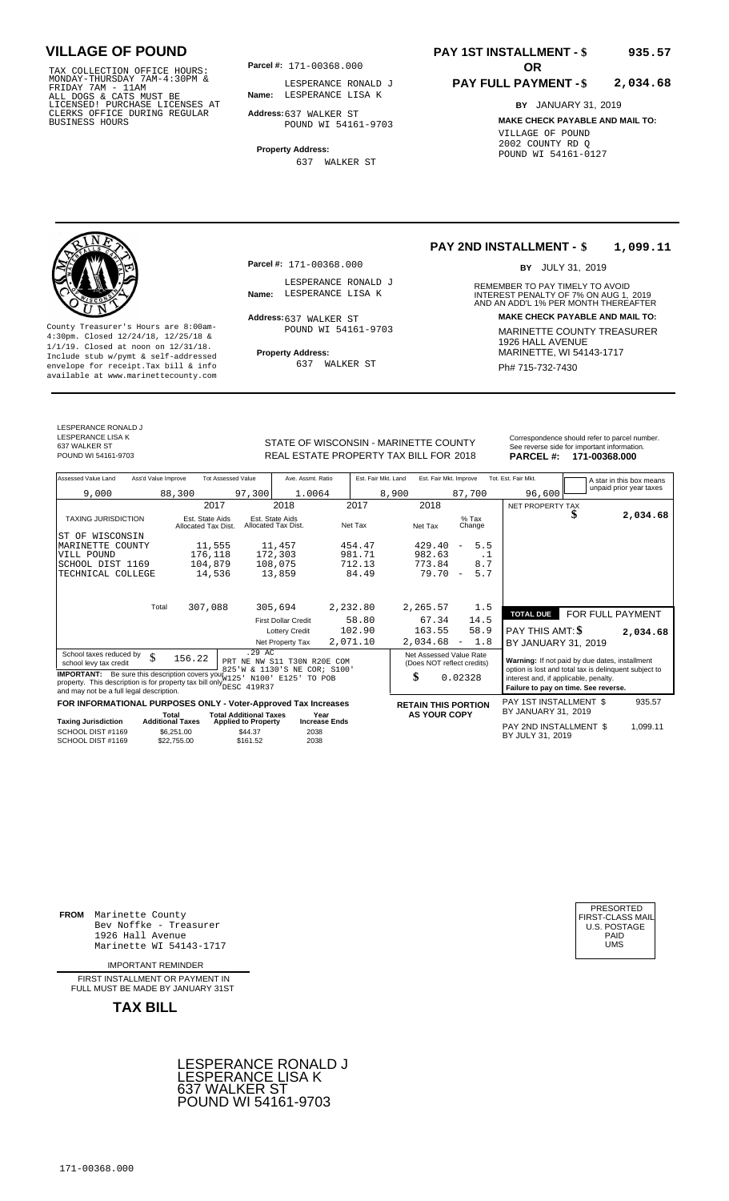TAX COLLECTION OFFICE HOURS: **Parcel#:** 171-00368.000<br>MONDAY-THURSDAY 7AM-4:30PM & LESPERANCE RON<br>FRIDAY 7AM - 11AM<br>ALL DOGS & CATS MUST BE **Name:** LESPERANCE LIS<br>LICENSED! PURCHASE LICENSES AT CLERKS OFFICE DURING REGULAR BUSINESS HOURS

**Parcel #: OR**

**Name:** LESPERANCE LISA K LESPERANCE RONALD J

**Address:** 637 WALKER ST POUND WI 54161-9703

**Property Address:** 637 WALKER ST

**Parcel #:** 171-00368.000

Address: 637 WALKER ST

LESPERANCE RONALD J

POUND WI 54161-9703

637 WALKER ST

### **PAY 1ST INSTALLMENT - \$ 935.57**

#### **PAY FULL PAYMENT - \$ 2,034.68**

**BY** JANUARY 31, 2019 **MAKE CHECK PAYABLE AND MAIL TO:** VILLAGE OF POUND 2002 COUNTY RD Q POUND WI 54161-0127

### **PAY 2ND INSTALLMENT - \$ 1,099.11**

BY JULY 31, 2019

REMEMBER TO PAY TIMELY TO AVOID **Name:** LESPERANCE LISA K **INTEREST PENALTY OF 7% ON AUG 1, 2019**<br>AND AN ADD'L 1% PER MONTH THEREAFTER **Address: MAKE CHECK PAYABLE AND MAIL TO:** County Treasurer's Hours are 8:00am-<br>
4:30pm. Closed 12/24/18, 12/25/18 & 19000D WI 54161-9703<br>
1/1/19. Closed at noon on 12/31/18.<br>
Include stub w/pymt & self-addressed<br>
Include stub w/pymt & self-addressed<br> **Property Add** 

**TAXIOUS PAY 2ND INSTALLMENT \$** 

0.02328

935.57

**Property Address:** Mariner Address: 1/1/19. Closed at noon on 12/31/18.<br>Include stub w/pymt & self-addressed

LESPERANCE RONALD J LESPERANCE LISA K 637 WALKER ST<br>POUND WI 54161-9703

STATE OF WISCONSIN - MARINETTE COUNTY<br>
See reverse side for important information.<br>
REAL ESTATE PROPERTY TAX BILL FOR 2018 PARCEL #: 171-00368.000 REAL ESTATE PROPERTY TAX BILL FOR **PARCEL #:** POUND WI 54161-9703 2018 **171-00368.000**

| Ass'd Value Improve<br>Assessed Value Land | <b>Tot Assessed Value</b>              |                                        | Ave. Assmt. Ratio | Est. Fair Mkt. Land | Est. Fair Mkt. Improve |                                 | Tot. Est. Fair Mkt. |                  | A star in this box means |
|--------------------------------------------|----------------------------------------|----------------------------------------|-------------------|---------------------|------------------------|---------------------------------|---------------------|------------------|--------------------------|
| 9,000                                      | 88,300                                 | 97,300                                 | 1.0064            | 8,900               |                        | 87,700                          | 96,600              |                  | unpaid prior year taxes  |
|                                            | 2017                                   | 2018                                   |                   | 2017                | 2018                   |                                 | NET PROPERTY TAX    |                  |                          |
| <b>TAXING JURISDICTION</b>                 | Est. State Aids<br>Allocated Tax Dist. | Est. State Aids<br>Allocated Tax Dist. |                   | Net Tax             | Net Tax                | $%$ Tax<br>Change               |                     | Φ                | 2,034.68                 |
| WISCONSIN<br>ST OF                         |                                        |                                        |                   |                     |                        |                                 |                     |                  |                          |
| MARINETTE COUNTY                           | 11,555                                 | 11,457                                 |                   | 454.47              | 429.40                 | 5.5<br>$\overline{\phantom{0}}$ |                     |                  |                          |
| VILL POUND                                 | 176,118                                | 172,303                                |                   | 981.71              | 982.63                 | . .                             |                     |                  |                          |
| SCHOOL DIST 1169                           | 104,879                                | 108,075                                |                   | 712.13              | 773.84                 | 8.7                             |                     |                  |                          |
| TECHNICAL COLLEGE                          | 14,536                                 | 13,859                                 |                   | 84.49               | 79.70                  | 5.7<br>$\overline{\phantom{a}}$ |                     |                  |                          |
|                                            |                                        |                                        |                   |                     |                        |                                 |                     |                  |                          |
| Total                                      | 307,088                                | 305,694                                | 2,232.80          |                     | 2,265.57               | 1.5                             |                     |                  |                          |
|                                            |                                        | <b>First Dollar Credit</b>             |                   | 58.80               | 67.34                  | 14.5                            | <b>TOTAL DUE</b>    | FOR FULL PAYMENT |                          |
|                                            |                                        | <b>Lottery Credit</b>                  |                   | 102.90              | 163.55                 | 58.9                            | PAY THIS AMT: \$    |                  | 2,034.68                 |
|                                            |                                        | Net Property Tax                       | 2,071.10          |                     | 2,034.68               | 1.8<br>$\overline{\phantom{a}}$ | BY JANUARY 31, 2019 |                  |                          |

School taxes reduced by  $\begin{array}{ccc} \text{S}-29 & \text{AC} \\ \text{S} & \text{S}-22 & \text{R} \end{array}$  Net Assessed Value Rate **Warning:** If not paid by due dates, installment IMPORTANT: Be sure this description covers you a 23 ' W & 1130 'S NE COR; S100 by the sure that description covers you a 23 ' W & 1130 'S NE COR; S100 by the sure that description covers you all only be sure to property. T .29 AC PRT NE NW S11 T30N R20E COM 825'W & 1130'S NE COR; S100' W125' N100' E125' TO POB DESC 419R37 156.22

|                            |                         | FOR INFORMATIONAL PURPOSES ONLY - Voter-Approved Tax Increases |                      | <b>RETAIN THIS PORTION</b> | PAY 1ST INSTALLMENT \$                                                                                                                                    |
|----------------------------|-------------------------|----------------------------------------------------------------|----------------------|----------------------------|-----------------------------------------------------------------------------------------------------------------------------------------------------------|
|                            | Гоtal                   | <b>Total Additional Taxes</b>                                  | Year                 | <b>AS YOUR COPY</b>        | BY JANUARY 31, 2019                                                                                                                                       |
| <b>Taxing Jurisdiction</b> | <b>Additional Taxes</b> | <b>Applied to Property</b>                                     | <b>Increase Ends</b> |                            | $P$ ( $\lambda$ ) $\lambda$ ( $P$ ) $\lambda$ ) $\lambda$ ( $\lambda$ ) $\lambda$ ) $\lambda$ ( $\lambda$ ) $\lambda$ ) $\lambda$ ( $\lambda$ ) $\lambda$ |

|                                        |                           | $.$                 |              | PAY 2ND INSTALLMENT \$ | .099.11 |
|----------------------------------------|---------------------------|---------------------|--------------|------------------------|---------|
| SCHOOL DIST #1169<br>SCHOOL DIST #1169 | \$6,251,00<br>\$22,755,00 | \$44.37<br>\$161.52 | 2038<br>2038 | BY JULY 31, 2019       |         |
|                                        |                           |                     |              |                        |         |

**FROM** Marinette County Bev Noffke - Treasurer (U.S. POSTAGE)<br>1926 Hall Avenue (U.S. POSTAGE)<br>Marinette WI 54143-1717 (UMS 1926 Hall Avenue Marinette WI 54143-1717

IMPORTANT REMINDER

FIRST INSTALL MENT OR PAYMENT IN FULL MUST BE MADE BY JANUARY 31ST

**TAX BILL**





envelope for receipt.Tax bill & info 637 WALKER ST Ph# 715-732-7430 available at www.marinettecounty.com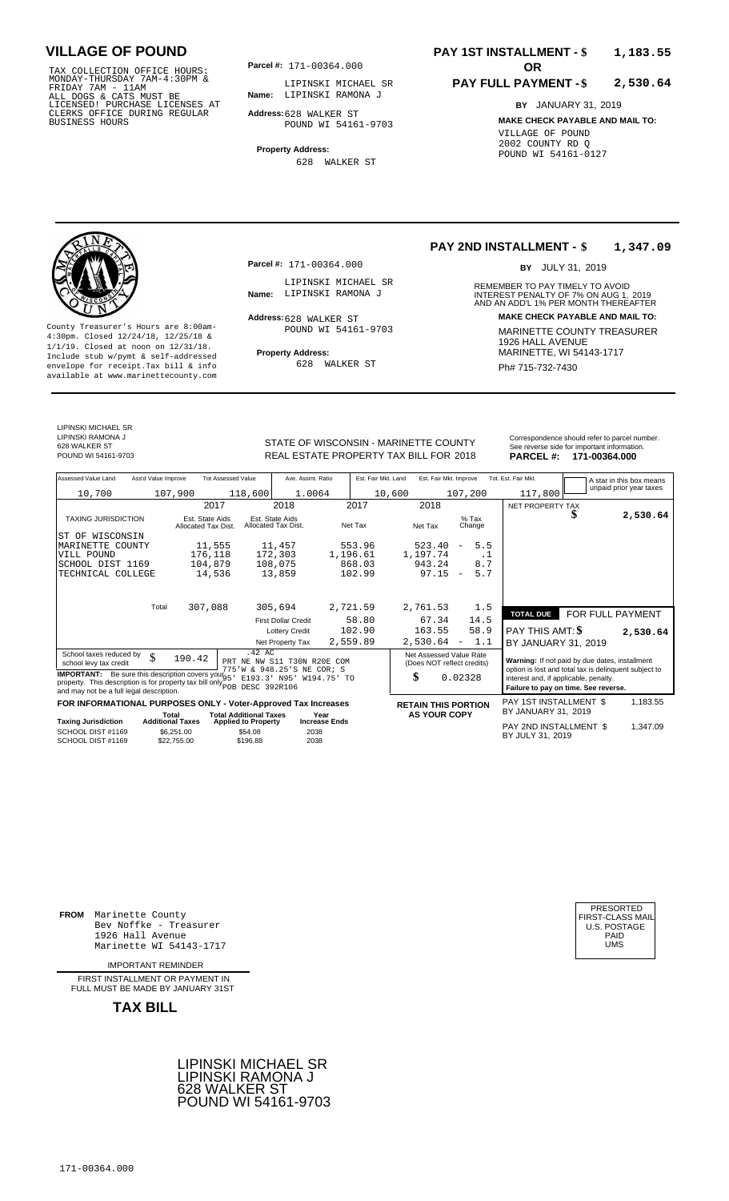TAX COLLECTION OFFICE HOURS:<br>
MONDAY-THURSDAY 7AM-4:30PM & LIPINSKI MICHA<br>
FRIDAY 7AM - 11AM<br>
ALL DOGS & CATS MUST BE **Name**: LIPINSKI RAMON<br>
LICENSED! PURCHASE LICENSES AT<br>
CLERKS OFFICE DURING REGULAR **Address**:628 WALKE

**Parcel #:** 171-00364.000

**Name:** LIPINSKI RAMONA J LIPINSKI MICHAEL SR

**Address:** 628 WALKER ST POUND WI 54161-9703

**Property Address:** 628 WALKER ST

### **PAY 1ST INSTALLMENT - \$ 1,183.55**

#### **PAY FULL PAYMENT - \$ 2,530.64**

**BY** JANUARY 31, 2019

**MAKE CHECK PAYABLE AND MAIL TO:** VILLAGE OF POUND 2002 COUNTY RD Q POUND WI 54161-0127

**Property Address:** MARINETTE, WI 54143-1717 Include stub w/pymt & self-addressed envelope for receipt.Tax bill & info Ph# 715-732-7430 available at www.marinettecounty.com

**Parcel #:** 171-00364.000

LIPINSKI MICHAEL SR<br>Name: LIPINSKI RAMONA J

Address: 628 WALKER ST POUND WI 54161-9703

628 WALKER ST

#### **PAY 2ND INSTALLMENT - \$ 1,347.09**

BY JULY 31, 2019

REMEMBER TO PAY TIMELY TO AVOID **Name:** LIPINSKI RAMONA J<br>
AND AN ADD'L 1% PER MONTH THEREAFTER **Address: MAKE CHECK PAYABLE AND MAIL TO:** County Treasurer's Hours are 8:00am-<br>
4:30pm. Closed 12/24/18, 12/25/18 & 1/1/19. Closed at noon on 12/31/18.<br>
Include stub w/pwmt. & self-addressed<br>
Froperty Address: MARINETTE, WI 54143-1717

LIPINSKI MICHAEL SR LIPINSKI RAMONA J

628 WALKER ST<br>POUND WI 54161-9703

STATE OF WISCONSIN - MARINETTE COUNTY REAL ESTATE PROPERTY TAX BILL FOR **PARCEL #:** POUND WI 54161-9703 2018 **171-00364.000**

| Correspondence should refer to parcel number |
|----------------------------------------------|
|                                              |
|                                              |

| Assessed Value Land                                                                                                                                                                                                                        | Ass'd Value Improve              |                                        | <b>Tot Assessed Value</b>                                   | Ave. Assmt. Ratio                      |                              | Est. Fair Mkt. Land |        | Est. Fair Mkt. Improve                                |                          |                                                                               | Tot. Est. Fair Mkt.                                                                                     | A star in this box means |
|--------------------------------------------------------------------------------------------------------------------------------------------------------------------------------------------------------------------------------------------|----------------------------------|----------------------------------------|-------------------------------------------------------------|----------------------------------------|------------------------------|---------------------|--------|-------------------------------------------------------|--------------------------|-------------------------------------------------------------------------------|---------------------------------------------------------------------------------------------------------|--------------------------|
| 10,700                                                                                                                                                                                                                                     |                                  | 107,900                                | 118,600                                                     | 1.0064                                 |                              |                     | 10,600 |                                                       | 107,200                  |                                                                               | 117,800                                                                                                 | unpaid prior year taxes  |
|                                                                                                                                                                                                                                            |                                  | 2017                                   |                                                             | 2018                                   |                              | 2017                |        | 2018                                                  |                          |                                                                               | NET PROPERTY TAX                                                                                        |                          |
| <b>TAXING JURISDICTION</b>                                                                                                                                                                                                                 |                                  | Est. State Aids<br>Allocated Tax Dist. |                                                             | Est. State Aids<br>Allocated Tax Dist. |                              | Net Tax             |        | Net Tax                                               | $%$ Tax<br>Change        |                                                                               |                                                                                                         | 2,530.64                 |
| ST OF WISCONSIN                                                                                                                                                                                                                            |                                  |                                        |                                                             |                                        |                              |                     |        |                                                       |                          |                                                                               |                                                                                                         |                          |
| MARINETTE COUNTY                                                                                                                                                                                                                           |                                  | 11,555                                 |                                                             | 11,457                                 |                              | 553.96              |        | 523.40                                                | $\overline{\phantom{a}}$ | 5.5                                                                           |                                                                                                         |                          |
| VILL POUND                                                                                                                                                                                                                                 |                                  | 176,118                                |                                                             | 172,303                                | 1,196.61                     |                     |        | 1,197.74                                              |                          | . 1                                                                           |                                                                                                         |                          |
| SCHOOL DIST 1169<br>TECHNICAL COLLEGE                                                                                                                                                                                                      |                                  | 104,879<br>14,536                      |                                                             | 108,075<br>13,859                      |                              | 868.03<br>102.99    |        | 943.24<br>97.15                                       | $\overline{\phantom{a}}$ | 8.7<br>5.7                                                                    |                                                                                                         |                          |
|                                                                                                                                                                                                                                            |                                  |                                        |                                                             |                                        |                              |                     |        |                                                       |                          |                                                                               |                                                                                                         |                          |
|                                                                                                                                                                                                                                            |                                  |                                        |                                                             |                                        |                              |                     |        |                                                       |                          |                                                                               |                                                                                                         |                          |
|                                                                                                                                                                                                                                            | Total                            | 307,088                                |                                                             | 305,694                                | 2,721.59                     |                     |        | 2,761.53                                              |                          | 1.5                                                                           | <b>TOTAL DUE</b>                                                                                        | FOR FULL PAYMENT         |
|                                                                                                                                                                                                                                            |                                  |                                        |                                                             | <b>First Dollar Credit</b>             |                              | 58.80               |        | 67.34                                                 |                          | 14.5                                                                          |                                                                                                         |                          |
|                                                                                                                                                                                                                                            |                                  |                                        |                                                             | <b>Lottery Credit</b>                  |                              | 102.90              |        | 163.55                                                |                          | 58.9                                                                          | <b>PAY THIS AMT: \$</b>                                                                                 | 2,530.64                 |
|                                                                                                                                                                                                                                            |                                  |                                        |                                                             | Net Property Tax                       |                              | 2,559.89            |        | 2,530.64                                              | $\overline{\phantom{a}}$ | 1.1                                                                           | BY JANUARY 31, 2019                                                                                     |                          |
| School taxes reduced by<br>school levy tax credit                                                                                                                                                                                          | \$                               | 190.42                                 | $.42 \text{ AC}$                                            | PRT NE NW S11 T30N R20E COM            |                              |                     |        | Net Assessed Value Rate<br>(Does NOT reflect credits) |                          |                                                                               | Warning: If not paid by due dates, installment<br>option is lost and total tax is delinquent subject to |                          |
| 775'W & 948.25'S NE COR; S<br><b>IMPORTANT:</b> Be sure this description covers your $95$<br>E193.3' N95' W194.75' TO<br>property. This description is for property tax bill only DESC 392R106<br>and may not be a full legal description. |                                  |                                        |                                                             |                                        |                              | \$                  |        | 0.02328                                               |                          | interest and, if applicable, penalty.<br>Failure to pay on time. See reverse. |                                                                                                         |                          |
| FOR INFORMATIONAL PURPOSES ONLY - Voter-Approved Tax Increases                                                                                                                                                                             |                                  |                                        |                                                             |                                        |                              |                     |        | <b>RETAIN THIS PORTION</b>                            |                          |                                                                               | PAY 1ST INSTALLMENT \$                                                                                  | 1,183.55                 |
| <b>Taxing Jurisdiction</b>                                                                                                                                                                                                                 | Total<br><b>Additional Taxes</b> |                                        | <b>Total Additional Taxes</b><br><b>Applied to Property</b> |                                        | Year<br><b>Increase Ends</b> |                     |        | <b>AS YOUR COPY</b>                                   |                          |                                                                               | BY JANUARY 31, 2019                                                                                     |                          |
| SCHOOL DIST #1169<br>SCHOOL DIST #1169                                                                                                                                                                                                     |                                  | \$6,251,00<br>\$22,755.00              | \$54.08<br>\$196.88                                         | 2038<br>2038                           |                              |                     |        |                                                       |                          |                                                                               | PAY 2ND INSTALLMENT \$<br>BY JULY 31, 2019                                                              | 1.347.09                 |

**FROM** Marinette County Bev Noffke - Treasurer 1926 Hall Avenue PAID Marinette WI 54143-1717 UMS

IMPORTANT REMINDER

FIRST INSTALLMENT OR PAYMENT IN FULL MUST BE MADE BY JANUARY 31ST

**TAX BILL**

171-00364.000



| PRESORTED<br>FIRST-CLASS MAIL<br>U.S. POSTAGE |
|-----------------------------------------------|
| PAID                                          |
| UMS                                           |
|                                               |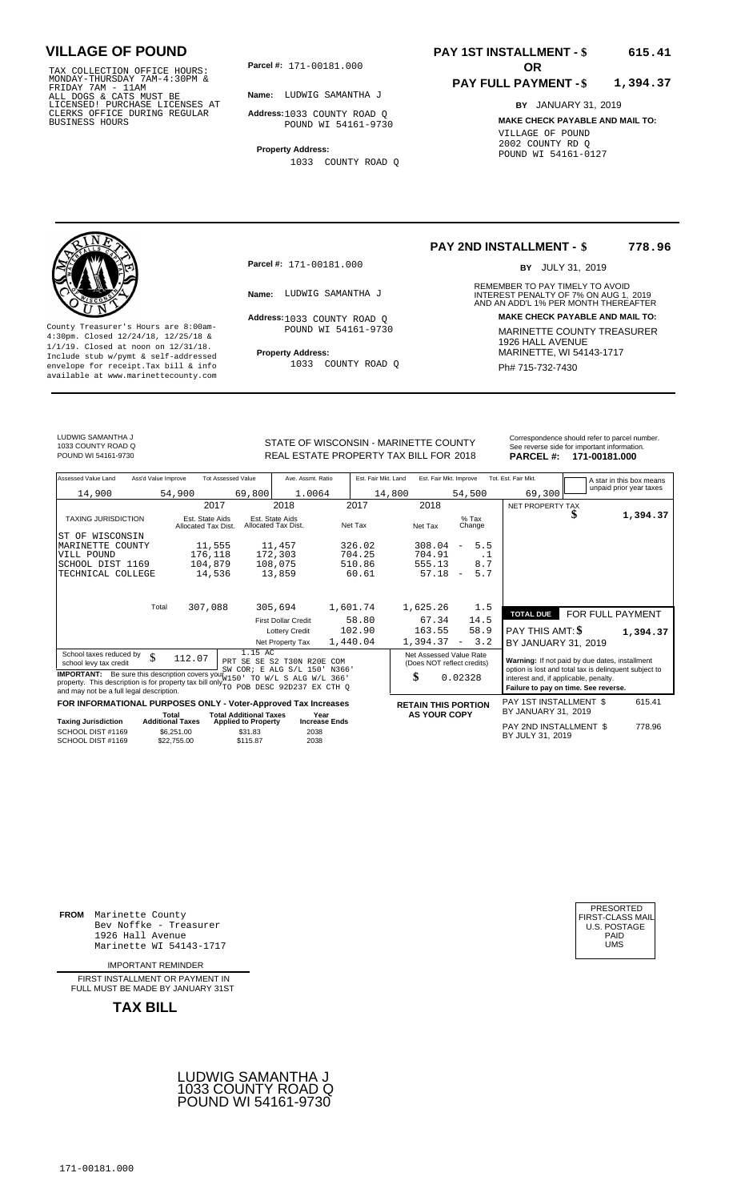TAX COLLECTION OFFICE HOURS:<br>
MONDAY-THURSDAY 7AM-4:30PM &<br>
FRIDAY 7AM - 11AM<br>
ALL DOGS & CATS MUST BE<br>
LICENSED! PURCHASE LICENSES AT<br>
CLERKS OFFICE DURING REGULAR<br>
CLERKS OFFICE DURING REGULAR<br>
BUSINESS HOURS<br>
BUSINESS H

**Parcel #:** 171-00181.000 **OR** 

**Name:** LUDWIG SAMANTHA J

**Address:** 1033 COUNTY ROAD Q POUND WI 54161-9730

**Property Address:** 1033 COUNTY ROAD Q

### **PAY 1ST INSTALLMENT - \$ 615.41**

#### **PAY FULL PAYMENT - \$ 1,394.37**

**BY** JANUARY 31, 2019 **MAKE CHECK PAYABLE AND MAIL TO:** VILLAGE OF POUND 2002 COUNTY RD Q POUND WI 54161-0127



**Property Address:** MARINETTE, WI 54143-1717 Include stub w/pymt & self-addressed envelope for receipt.Tax bill & info Ph# 715-732-7430 available at www.marinettecounty.com

**Parcel #:** 171-00181.000

Address: 1033 COUNTY ROAD Q POUND WI 54161-9730

1033 COUNTY ROAD Q

#### **PAY 2ND INSTALLMENT - \$ 778.96**

BY JULY 31, 2019

REMEMBER TO PAY TIMELY TO AVOID **Name:** LUDWIG SAMANTHA J<br>
AND AN ADD'L 1% PER MONTH THEREAFTER **Address: MAKE CHECK PAYABLE AND MAIL TO:** County Treasurer's Hours are 8:00am-<br>
4:30pm. Closed 12/24/18, 12/25/18 & MARINETTE COUNTY TREASURER<br>
1/1/19. Closed at noon on 12/31/18.<br>
Include stub w/pwmt. & self-addressed<br> **Property Address:** MARINETTE, WI 54143-1717

LUDWIG SAMANTHA J 1033 COUNTY ROAD Q

STATE OF WISCONSIN - MARINETTE COUNTY REAL ESTATE PROPERTY TAX BILL FOR **PARCEL #:** POUND WI 54161-9730 2018 **171-00181.000**

| Correspondence should refer to parcel number.  |  |  |  |  |
|------------------------------------------------|--|--|--|--|
| See reverse side for important information.    |  |  |  |  |
| $1 - 1 - 0 - 1 - 1 - 0 - 0$<br><b>BABARL #</b> |  |  |  |  |

|          | reverse side for important imomiation. |
|----------|----------------------------------------|
| .RCEL #: | 171-00181.000                          |

| Assessed Value Land                                                                                                                                                                                                                                                                                                              | Ass'd Value Improve                                  | <b>Tot Assessed Value</b>                         | Ave. Assmt. Ratio                      | Est. Fair Mkt. Land | Est. Fair Mkt. Improve                                      |                                 | Tot. Est. Fair Mkt.                                                                                                                              |                  | A star in this box means |
|----------------------------------------------------------------------------------------------------------------------------------------------------------------------------------------------------------------------------------------------------------------------------------------------------------------------------------|------------------------------------------------------|---------------------------------------------------|----------------------------------------|---------------------|-------------------------------------------------------------|---------------------------------|--------------------------------------------------------------------------------------------------------------------------------------------------|------------------|--------------------------|
| 14,900                                                                                                                                                                                                                                                                                                                           | 54,900                                               | 69,800                                            | 1.0064                                 | 14,800              |                                                             | 54,500                          | 69,300                                                                                                                                           |                  | unpaid prior year taxes  |
|                                                                                                                                                                                                                                                                                                                                  |                                                      | 2017                                              | 2018                                   | 2017                | 2018                                                        |                                 | NET PROPERTY TAX                                                                                                                                 |                  |                          |
| <b>TAXING JURISDICTION</b>                                                                                                                                                                                                                                                                                                       | Est. State Aids<br>Allocated Tax Dist.               |                                                   | Est. State Aids<br>Allocated Tax Dist. | Net Tax             | Net Tax                                                     | $%$ Tax<br>Change               |                                                                                                                                                  |                  | 1,394.37                 |
| WISCONSIN<br>ST OF                                                                                                                                                                                                                                                                                                               |                                                      |                                                   |                                        |                     |                                                             |                                 |                                                                                                                                                  |                  |                          |
| MARINETTE COUNTY                                                                                                                                                                                                                                                                                                                 |                                                      | 11,555                                            | 11,457                                 | 326.02              | 308.04                                                      | 5.5<br>$\overline{\phantom{m}}$ |                                                                                                                                                  |                  |                          |
| VILL POUND                                                                                                                                                                                                                                                                                                                       |                                                      | 176,118                                           | 172,303                                | 704.25              | 704.91                                                      | . 1                             |                                                                                                                                                  |                  |                          |
| SCHOOL DIST 1169                                                                                                                                                                                                                                                                                                                 |                                                      | 104,879                                           | 108,075                                | 510.86              | 555.13                                                      | 8.7                             |                                                                                                                                                  |                  |                          |
| TECHNICAL COLLEGE                                                                                                                                                                                                                                                                                                                |                                                      | 14,536                                            | 13,859                                 | 60.61               | 57.18                                                       | 5.7<br>$\overline{\phantom{m}}$ |                                                                                                                                                  |                  |                          |
|                                                                                                                                                                                                                                                                                                                                  | 307,088<br>Total                                     |                                                   | 305,694                                | 1,601.74            | 1,625.26                                                    | 1.5                             |                                                                                                                                                  |                  |                          |
|                                                                                                                                                                                                                                                                                                                                  |                                                      |                                                   | <b>First Dollar Credit</b>             | 58.80               | 67.34                                                       | 14.5                            | <b>TOTAL DUE</b>                                                                                                                                 | FOR FULL PAYMENT |                          |
|                                                                                                                                                                                                                                                                                                                                  |                                                      |                                                   | <b>Lottery Credit</b>                  | 102.90              | 163.55                                                      | 58.9                            | <b>PAY THIS AMT: \$</b>                                                                                                                          |                  | 1,394.37                 |
|                                                                                                                                                                                                                                                                                                                                  |                                                      |                                                   | Net Property Tax                       | 1,440.04            | 1,394.37                                                    | 3.2<br>$\overline{\phantom{a}}$ | BY JANUARY 31, 2019                                                                                                                              |                  |                          |
| 1.15 AC<br>School taxes reduced by<br>\$<br>112.07<br>S2 T30N R20E COM<br>PRT SE SE<br>school levy tax credit<br>SW COR; E ALG S/L 150'<br>N366'<br><b>IMPORTANT:</b> Be sure this description covers your W150<br>TO W/L S ALG W/L 366'<br>property. This description is for property tax bill only TO POB DESC 92D237 EX CTH Q |                                                      |                                                   |                                        |                     | Net Assessed Value Rate<br>(Does NOT reflect credits)<br>\$ | 0.02328                         | Warning: If not paid by due dates, installment<br>option is lost and total tax is delinquent subject to<br>interest and, if applicable, penalty. |                  |                          |
| and may not be a full legal description.                                                                                                                                                                                                                                                                                         |                                                      |                                                   |                                        |                     |                                                             |                                 | Failure to pay on time. See reverse.                                                                                                             |                  |                          |
| FOR INFORMATIONAL PURPOSES ONLY - Voter-Approved Tax Increases                                                                                                                                                                                                                                                                   | Total                                                | <b>Total Additional Taxes</b>                     | Year                                   |                     | <b>RETAIN THIS PORTION</b><br><b>AS YOUR COPY</b>           |                                 | PAY 1ST INSTALLMENT \$<br>BY JANUARY 31, 2019                                                                                                    |                  | 615.41                   |
| <b>Taxing Jurisdiction</b><br>SCHOOL DIST #1169<br>SCHOOL DIST #1169                                                                                                                                                                                                                                                             | <b>Additional Taxes</b><br>\$6,251.00<br>\$22,755.00 | <b>Applied to Property</b><br>\$31.83<br>\$115.87 | <b>Increase Ends</b><br>2038<br>2038   |                     |                                                             |                                 | PAY 2ND INSTALLMENT \$<br>BY JULY 31, 2019                                                                                                       |                  | 778.96                   |

**FROM** Marinette County Bev Noffke - Treasurer 1926 Hall Avenue PAID Marinette WI 54143-1717 UMS

IMPORTANT REMINDER

FIRST INSTALLMENT OR PAYMENT IN FULL MUST BE MADE BY JANUARY 31ST





| PRESORTED        |
|------------------|
| FIRST-CLASS MAIL |
| U.S. POSTAGE     |
| PAID             |
| UMS              |
|                  |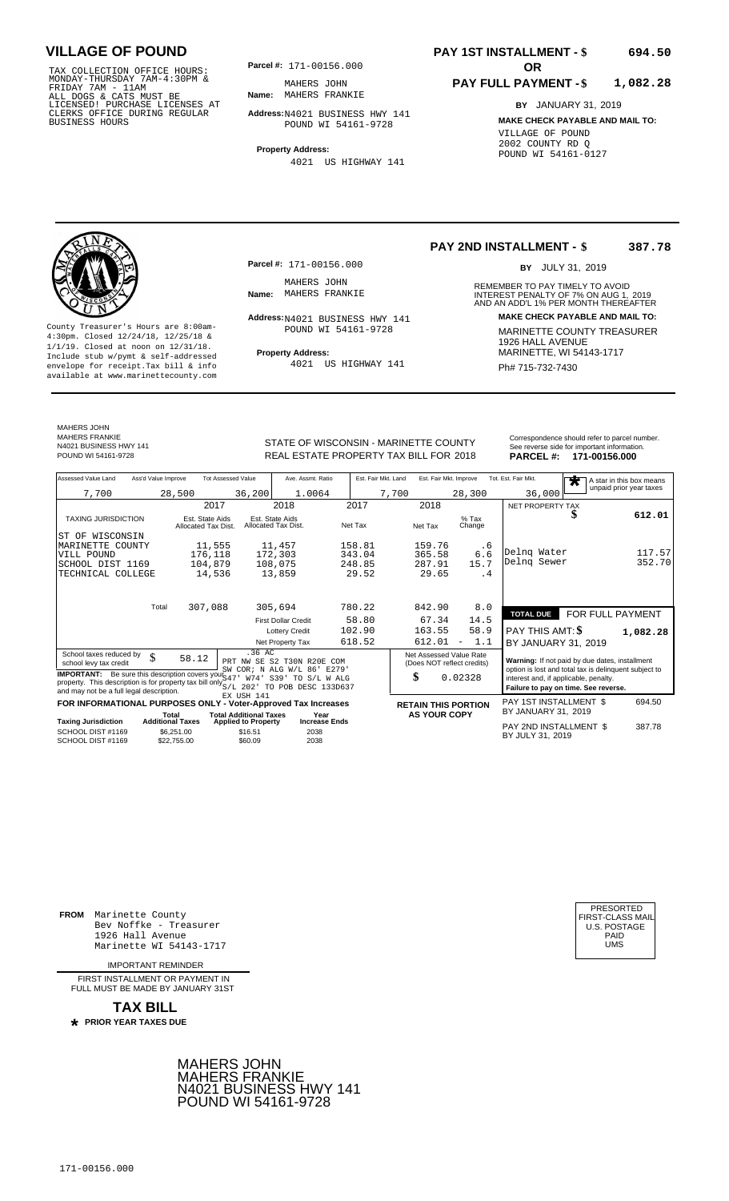TAX COLLECTION OFFICE HOURS: **Parcel#:** 171-00156.000<br>
MONDAY-THURSDAY 7AM-4:30PM & MAHERS JOHN<br>
FRIDAY 7AM - 11AM<br>
ALL DOGS & CATS MUST BE **Name:** MAHERS FRANKIE<br>
CLERKS OFFICE DURING REGULAR **Address:**N4021 BUSINESS<br>
BUS

**Parcel #:** 171-00156.000

**Name:** MAHERS FRANKIE MAHERS JOHN

**Address:** N4021 BUSINESS HWY 141 POUND WI 54161-9728

**Property Address:** 4021 US HIGHWAY 141

#### **PAY 1ST INSTALLMENT - \$ 694.50**

#### **PAY FULL PAYMENT - \$ 1,082.28**

**BY** JANUARY 31, 2019 **MAKE CHECK PAYABLE AND MAIL TO:** VILLAGE OF POUND 2002 COUNTY RD Q POUND WI 54161-0127



**Property Address:** MARINETTE, WI 54143-1717 Include stub w/pymt & self-addressed envelope for receipt.Tax bill & info Ph# 715-732-7430 available at www.marinettecounty.com

MAHERS JOHN MAHERS FRANKIE N4021 BUSINESS HWY 141 MAHERS JOHN<br>Name: MAHERS FRANKIE

**Parcel #:** 171-00156.000

POUND WI 54161-9728

4021 US HIGHWAY 141

**PAY 2ND INSTALLMENT - \$ 387.78**

BY JULY 31, 2019

REMEMBER TO PAY TIMELY TO AVOID **Name:** MAHERS FRANKIE **And ADDEREST PENALTY OF 7% ON AUG 1, 2019**<br>AND AN ADD'L 1% PER MONTH THEREAFTER **Address: MAKE CHECK PAYABLE AND MAIL TO:** N4021 BUSINESS HWY 141 County Treasurer's Hours are 8:00am-<br>
4:30pm. Closed 12/24/18, 12/25/18 & MARINETTE COUNTY TREASURER<br>
1/1/19. Closed at noon on 12/31/18.<br>
Include stub w/pwmt & self-addressed **Property Address:** MARINETTE, WI 54143-1717

| POUND WI 54161-9728 |                     |                             | REAL ESTATE PROPERTY TAX BILL FOR 2018 |                   | <b>PARCEL#:</b>      | See reverse sige for important important<br>171-00156.000 |                    |
|---------------------|---------------------|-----------------------------|----------------------------------------|-------------------|----------------------|-----------------------------------------------------------|--------------------|
|                     |                     |                             |                                        |                   |                      |                                                           |                    |
| hne LauleV hessessA | Ass'd Value Improve | <b>AuleV</b> hezessed Value | Ave Acemt Ratio                        | Fet Fair Mkt Land | Fet Fair Mkt Improve | Tot Fet Fair Mkt                                          | A step to this bea |

STATE OF WISCONSIN - MARINETTE COUNTY Correspondence should refer to parcel number.

| Assessed Value Land                                                                                                                                                                             | Ass'd Value Improve                                    | <b>Tot Assessed Value</b>             | Ave. Assmt. Ratio                      | Est. Fair Mkt. Land | Est. Fair Mkt. Improve                                |                                                                                               | Tot. Est. Fair Mkt.     | A star in this box means<br>$\overline{\textbf{r}}$ |
|-------------------------------------------------------------------------------------------------------------------------------------------------------------------------------------------------|--------------------------------------------------------|---------------------------------------|----------------------------------------|---------------------|-------------------------------------------------------|-----------------------------------------------------------------------------------------------|-------------------------|-----------------------------------------------------|
| 7,700                                                                                                                                                                                           | 28,500                                                 | 36,200                                | 1.0064                                 |                     | 7,700                                                 | 28,300                                                                                        | 36,000                  | unpaid prior year taxes                             |
|                                                                                                                                                                                                 |                                                        | 2017                                  | 2018                                   | 2017                | 2018                                                  |                                                                                               | NET PROPERTY TAX        |                                                     |
| <b>TAXING JURISDICTION</b>                                                                                                                                                                      | Allocated Tax Dist.                                    | Est. State Aids                       | Est. State Aids<br>Allocated Tax Dist. | Net Tax             | Net Tax                                               | $%$ Tax<br>Change                                                                             |                         | 612.01<br>D                                         |
| ST OF WISCONSIN                                                                                                                                                                                 |                                                        |                                       |                                        |                     |                                                       |                                                                                               |                         |                                                     |
| MARINETTE COUNTY                                                                                                                                                                                |                                                        | 11,555                                | 11,457                                 | 158.81              | 159.76                                                | . 6                                                                                           |                         |                                                     |
| VILL POUND                                                                                                                                                                                      |                                                        | 176,118                               | 172,303                                | 343.04              | 365.58                                                | 6.6                                                                                           | Delng Water             | 117.57                                              |
| SCHOOL DIST 1169                                                                                                                                                                                |                                                        | 104,879                               | 108,075                                | 248.85              | 287.91                                                | 15.7                                                                                          | Delnq Sewer             | 352.70                                              |
| TECHNICAL COLLEGE                                                                                                                                                                               |                                                        | 14,536                                | 13,859                                 | 29.52               | 29.65                                                 | . 4                                                                                           |                         |                                                     |
|                                                                                                                                                                                                 |                                                        |                                       |                                        |                     |                                                       |                                                                                               |                         |                                                     |
|                                                                                                                                                                                                 | Total                                                  | 307,088                               | 305,694                                | 780.22              | 842.90                                                | 8.0                                                                                           |                         |                                                     |
|                                                                                                                                                                                                 |                                                        |                                       | <b>First Dollar Credit</b>             | 58.80               | 67.34                                                 | 14.5                                                                                          | <b>TOTAL DUE</b>        | FOR FULL PAYMENT                                    |
|                                                                                                                                                                                                 |                                                        |                                       | <b>Lottery Credit</b>                  | 102.90              | 163.55                                                | 58.9                                                                                          | <b>PAY THIS AMT: \$</b> | 1,082.28                                            |
|                                                                                                                                                                                                 |                                                        |                                       | Net Property Tax                       | 618.52              | 612.01                                                | 1.1<br>$\overline{\phantom{m}}$                                                               | BY JANUARY 31, 2019     |                                                     |
| School taxes reduced by<br>school levy tax credit                                                                                                                                               | \$<br>58.12                                            | .36 AC                                | PRT NW SE S2 T30N R20E<br><b>COM</b>   |                     | Net Assessed Value Rate<br>(Does NOT reflect credits) |                                                                                               |                         | Warning: If not paid by due dates, installment      |
| <b>IMPORTANT:</b> Be sure this description covers your S47<br>property. This description is for property tax bill only S/L 2021 TO POB DESC 133D637<br>and may not be a full legal description. | SW COR; N ALG W/L 86'<br>E279'<br>S39'<br>TO S/L W ALG |                                       | \$                                     | 0.02328             | interest and, if applicable, penalty.                 | option is lost and total tax is delinquent subject to<br>Failure to pay on time. See reverse. |                         |                                                     |
| FOR INFORMATIONAL PURPOSES ONLY - Voter-Approved Tax Increases                                                                                                                                  |                                                        | EX USH 141                            |                                        |                     | <b>RETAIN THIS PORTION</b>                            |                                                                                               | PAY 1ST INSTALLMENT \$  | 694.50                                              |
|                                                                                                                                                                                                 | Total                                                  | <b>Total Additional Taxes</b>         | Year                                   |                     | <b>AS YOUR COPY</b>                                   |                                                                                               | BY JANUARY 31, 2019     |                                                     |
| <b>Taxing Jurisdiction</b><br>SCHOOL DIST #1169                                                                                                                                                 | <b>Additional Taxes</b><br>\$6.251.00                  | <b>Applied to Property</b><br>\$16.51 | <b>Increase Ends</b><br>2038           |                     |                                                       |                                                                                               | PAY 2ND INSTALLMENT \$  | 387.78                                              |
| SCHOOL DIST #1169                                                                                                                                                                               | \$22,755,00                                            | \$60.09                               | 2038                                   |                     |                                                       |                                                                                               | BY JULY 31, 2019        |                                                     |

**FROM** Marinette County Bev Noffke - Treasurer 1926 Hall Avenue PAID Marinette WI 54143-1717 UMS

IMPORTANT REMINDER

FIRST INSTALL MENT OR PAYMENT IN FULL MUST BE MADE BY JANUARY 31ST

**TAX BILL PRIOR YEAR TAXES DUE \***

> MAHERS JOHN MAHERS FRANKIE N4021 BUSINESS HWY 141 POUND WI 54161-9728

| PRESORTED           |
|---------------------|
| FIRST-CLASS MAIL    |
| <b>U.S. POSTAGE</b> |
| PAID                |
| UMS                 |
|                     |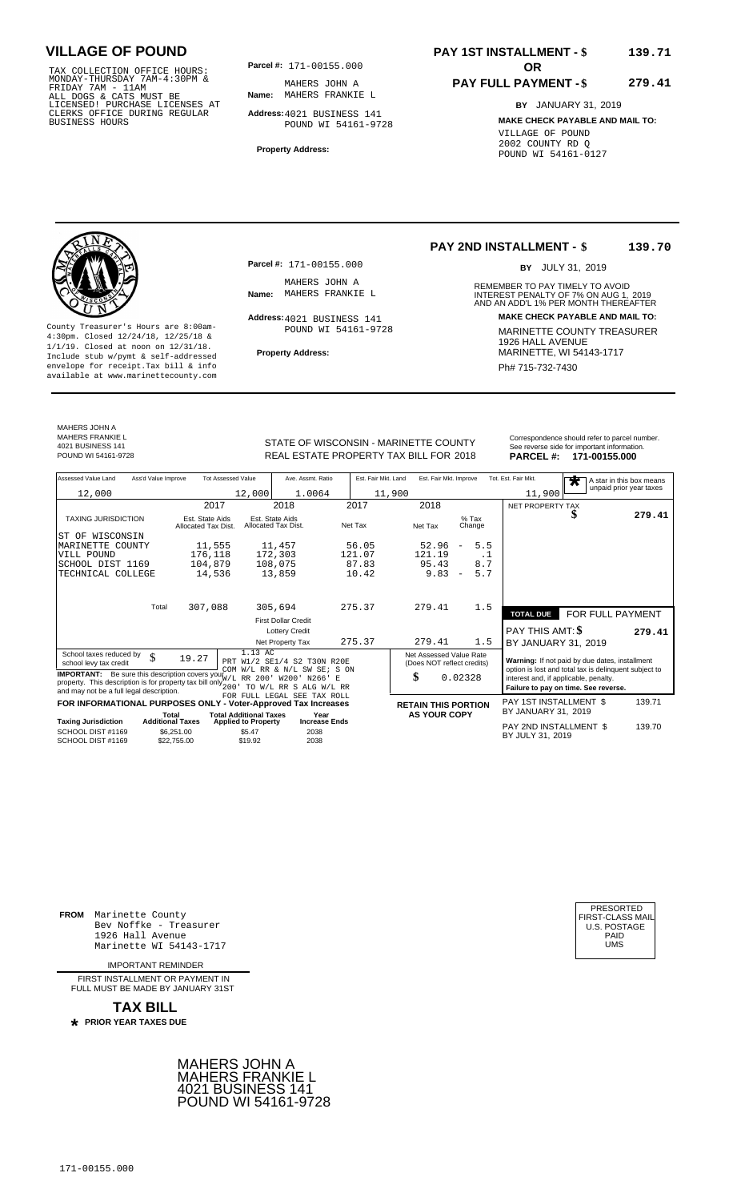TAX COLLECTION OFFICE HOURS:<br>
MONDAY-THURSDAY 7AM-4:30PM & MAHERS JOHN A<br>
FRIDAY 7AM - 11AM<br>
ALL DOGS & CATS MUST BE **Name:** MAHERS FRANKIE<br>
LICENSED! PURCHASE LICENSES AT<br>
CLERKS OFFICE DURING REGULAR **Address:**4021 BUSIN

**Parcel #:** 171-00155.000

**Name:** MAHERS FRANKIE L MAHERS JOHN A

**Address:** 4021 BUSINESS 141 POUND WI 54161-9728

**Property Address:**

### **PAY 1ST INSTALLMENT - \$ 139.71**

#### **PAY FULL PAYMENT - \$ 279.41**

**BY** JANUARY 31, 2019 **MAKE CHECK PAYABLE AND MAIL TO:** VILLAGE OF POUND 2002 COUNTY RD Q POUND WI 54161-0127

**Property Address:** MARINETTE, WI 54143-1717 Include stub w/pymt & self-addressed envelope for receipt.Tax bill & info Phat is a set of the phat of the Phat 715-732-7430 envelope for receipt.Tax bill & info Phat 715-732-7430 envelope for the phat 715-732-7430 envelope for the phat 715-732-7430 envelope

**Parcel #:** 171-00155.000

MAHERS JOHN A<br>Name: MAHERS FRANKIE L

Address: 4021 BUSINESS 141 POUND WI 54161-9728

#### **PAY 2ND INSTALLMENT - \$ 139.70**

BY JULY 31, 2019

REMEMBER TO PAY TIMELY TO AVOID **Name:** MAHERS FRANKIE L<br>
AND AN ADD'L 1% PER MONTH THEREAFTER **Address: MAKE CHECK PAYABLE AND MAIL TO:** County Treasurer's Hours are 8:00am-<br>
4:30pm. Closed 12/24/18, 12/25/18 & MARINETTE COUNTY TREASURER<br>
1/1/19. Closed at noon on 12/31/18.<br>
Include stub w/pwmt. & self-addressed<br> **Property Address:** MARINETTE, WI 54143-1717

MAHERS JOHN A MAHERS FRANKIE L 4021 BUSINESS 141

STATE OF WISCONSIN - MARINETTE COUNTY<br>
See reverse side for important information.<br>
REAL ESTATE PROPERTY TAX BILL FOR 2018 PARCEL #: 171-00155.000 REAL ESTATE PROPERTY TAX BILL FOR **PARCEL #:** POUND WI 54161-9728 2018 **171-00155.000**

| Assessed Value Land                                                        | Ass'd Value Improve                    | <b>Tot Assessed Value</b>                                   | Ave. Assmt. Ratio                                | Est. Fair Mkt. Land                  | Est. Fair Mkt. Improve                                |                                 | Tot. Est. Fair Mkt.                                                                            | $\overline{\textbf{r}}$ | A star in this box means |
|----------------------------------------------------------------------------|----------------------------------------|-------------------------------------------------------------|--------------------------------------------------|--------------------------------------|-------------------------------------------------------|---------------------------------|------------------------------------------------------------------------------------------------|-------------------------|--------------------------|
| 12,000                                                                     |                                        | 12,000                                                      | 1.0064                                           |                                      | 11,900                                                |                                 | 11,900                                                                                         |                         | unpaid prior year taxes  |
|                                                                            |                                        | 2017                                                        | 2018                                             | 2017                                 | 2018                                                  |                                 | NET PROPERTY TAX                                                                               |                         |                          |
| <b>TAXING JURISDICTION</b>                                                 | Est. State Aids<br>Allocated Tax Dist. |                                                             | Est. State Aids<br>Allocated Tax Dist.           | Net Tax                              | Net Tax                                               | $%$ Tax<br>Change               |                                                                                                |                         | 279.41                   |
| WISCONSIN<br>ST OF                                                         |                                        |                                                             |                                                  |                                      |                                                       |                                 |                                                                                                |                         |                          |
| MARINETTE COUNTY                                                           |                                        | 11,555                                                      | 11,457                                           | 56.05                                | 52.96                                                 | 5.5<br>$\overline{\phantom{m}}$ |                                                                                                |                         |                          |
| VILL POUND                                                                 |                                        | 176,118                                                     | 172,303                                          | 121.07                               | 121.19                                                | $\cdot$ 1                       |                                                                                                |                         |                          |
| SCHOOL DIST 1169                                                           |                                        | 104,879                                                     | 108,075                                          | 87.83                                | 95.43                                                 | 8.7                             |                                                                                                |                         |                          |
| TECHNICAL COLLEGE                                                          |                                        | 14,536                                                      | 13,859                                           | 10.42                                | 9.83                                                  | 5.7<br>$\overline{\phantom{a}}$ |                                                                                                |                         |                          |
|                                                                            |                                        |                                                             |                                                  |                                      |                                                       |                                 |                                                                                                |                         |                          |
|                                                                            | Total<br>307,088                       |                                                             | 305,694                                          | 275.37                               | 279.41                                                | 1.5                             |                                                                                                |                         |                          |
|                                                                            |                                        |                                                             |                                                  |                                      |                                                       |                                 | <b>TOTAL DUE</b>                                                                               | FOR FULL PAYMENT        |                          |
|                                                                            |                                        |                                                             | <b>First Dollar Credit</b>                       |                                      |                                                       |                                 |                                                                                                |                         |                          |
|                                                                            |                                        |                                                             | <b>Lottery Credit</b>                            |                                      |                                                       |                                 | <b>PAY THIS AMT: \$</b>                                                                        |                         | 279.41                   |
|                                                                            |                                        |                                                             | Net Property Tax                                 | 275.37                               | 279.41                                                | 1.5                             | BY JANUARY 31, 2019                                                                            |                         |                          |
| School taxes reduced by<br>school levy tax credit                          | \$<br>19.27                            | 1.13 AC                                                     | PRT W1/2 SE1/4 S2 T30N R20E                      |                                      | Net Assessed Value Rate<br>(Does NOT reflect credits) |                                 | Warning: If not paid by due dates, installment                                                 |                         |                          |
| <b>IMPORTANT:</b> Be sure this description covers your W/L RR 200          |                                        |                                                             | COM W/L RR & N/L SW SE; S ON<br>W200'<br>N266' E |                                      | \$                                                    | 0.02328                         | option is lost and total tax is delinquent subject to<br>interest and, if applicable, penalty. |                         |                          |
| property. This description is for property tax bill only $\frac{1}{200}$ . | TO W/L RR S ALG W/L RR                 |                                                             |                                                  | Failure to pay on time. See reverse. |                                                       |                                 |                                                                                                |                         |                          |
| and may not be a full legal description.                                   |                                        |                                                             | FOR FULL LEGAL SEE TAX ROLL                      |                                      |                                                       |                                 |                                                                                                |                         |                          |
| FOR INFORMATIONAL PURPOSES ONLY - Voter-Approved Tax Increases             |                                        |                                                             |                                                  |                                      | <b>RETAIN THIS PORTION</b>                            |                                 | PAY 1ST INSTALLMENT \$                                                                         |                         | 139.71                   |
| <b>Taxing Jurisdiction</b>                                                 | Total<br><b>Additional Taxes</b>       | <b>Total Additional Taxes</b><br><b>Applied to Property</b> | Year<br><b>Increase Ends</b>                     |                                      | <b>AS YOUR COPY</b>                                   |                                 | BY JANUARY 31, 2019                                                                            |                         |                          |
| SCHOOL DIST #1169                                                          | \$6,251.00                             | \$5.47                                                      | 2038                                             |                                      |                                                       |                                 | PAY 2ND INSTALLMENT \$<br>BY JULY 31, 2019                                                     |                         | 139.70                   |
| SCHOOL DIST #1169                                                          | \$22,755.00                            | \$19.92                                                     | 2038                                             |                                      |                                                       |                                 |                                                                                                |                         |                          |

**FROM** Marinette County Bev Noffke - Treasurer (U.S. POSTAGE)<br>1926 Hall Avenue (U.S. POSTAGE)<br>Marinette WI 54143-1717 (U.S. POSTAGE) 1926 Hall Avenue PAID Marinette WI 54143-1717 UMS

IMPORTANT REMINDER

FIRST INSTALL MENT OR PAYMENT IN FULL MUST BE MADE BY JANUARY 31ST



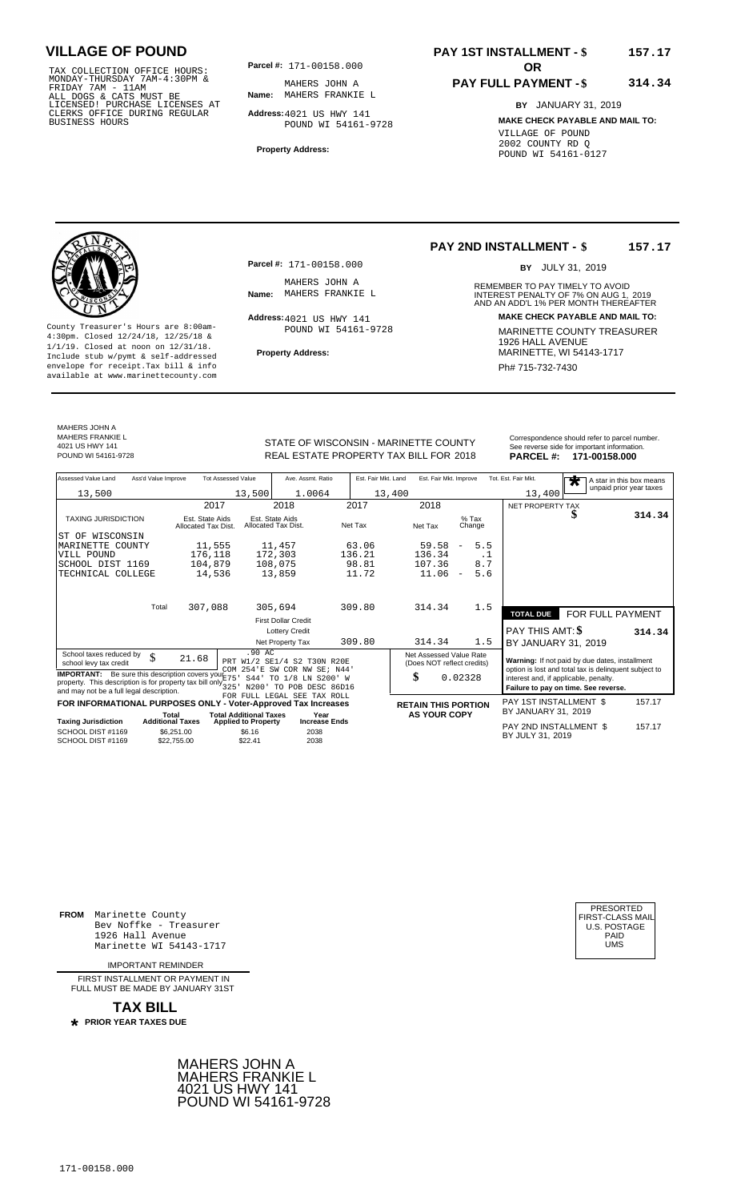TAX COLLECTION OFFICE HOURS: **Parcel#:** 171-00158.000<br>
MONDAY-THURSDAY 7AM-4:30PM & MAHERS JOHN A<br>
FRIDAY 7AM - 11AM<br>
ALL DOGS & CATS MUST BE **Name:** MAHERS FRANKIE<br>
CLERKS OFFICE DURING REGULAR **Address:**4021 US HWY 14<br>
B

**Parcel #:** 171-00158.000

**Name:** MAHERS FRANKIE L MAHERS JOHN A

**Address:** 4021 US HWY 141 POUND WI 54161-9728

**Property Address:**

### **PAY 1ST INSTALLMENT - \$ 157.17**

#### **PAY FULL PAYMENT - \$ 314.34**

**BY** JANUARY 31, 2019 **MAKE CHECK PAYABLE AND MAIL TO:** VILLAGE OF POUND 2002 COUNTY RD Q POUND WI 54161-0127

**Property Address:** MARINETTE, WI 54143-1717 Include stub w/pymt & self-addressed envelope for receipt.Tax bill & info Phat is a set of the phat of the Phat 715-732-7430 envelope for receipt.Tax bill & info Phat 715-732-7430 envelope for the phat 715-732-7430 envelope for the phat 715-732-7430 envelope

MAHERS JOHN A<br>Name: MAHERS FRANKIE L

**Parcel #:** 171-00158.000

Address: 4021 US HWY 141 POUND WI 54161-9728

#### **PAY 2ND INSTALLMENT - \$ 157.17**

BY JULY 31, 2019

REMEMBER TO PAY TIMELY TO AVOID **Name:** MAHERS FRANKIE L<br>
AND AN ADD'L 1% PER MONTH THEREAFTER **Address: MAKE CHECK PAYABLE AND MAIL TO:** County Treasurer's Hours are 8:00am-<br>
4:30pm. Closed 12/24/18, 12/25/18 & MARINETTE COUNTY TREASURER<br>
1/1/19. Closed at noon on 12/31/18.<br>
Include stub w/pwmt. & self-addressed<br> **Property Address:** MARINETTE, WI 54143-1717

MAHERS JOHN A

MAHERS FRANKIE L 4021 US HWY 141

SCHOOL DIST #1169

REAL ESTATE PROPERTY TAX BILL FOR **PARCEL #:** POUND WI 54161-9728 2018 **171-00158.000**

| STATE OF WISCONSIN - MARINETTE COUNTY  | Correspondence should refer to parcel number.<br>See reverse side for important information. |
|----------------------------------------|----------------------------------------------------------------------------------------------|
| DEAL FOTATE DDODEDTY TAY DILL FOD 0040 | <b>BABOEL # 474 00450 000</b>                                                                |

| Assessed Value Land                                                                                                    | Ass'd Value Improve |                                        | <b>Tot Assessed Value</b>                                   | Ave. Assmt. Ratio                                           | Est. Fair Mkt. Land |                            | Est. Fair Mkt. Improve            |                   | Tot. Est. Fair Mkt.                                                                                     | $\overline{\textbf{r}}$ | A star in this box means |
|------------------------------------------------------------------------------------------------------------------------|---------------------|----------------------------------------|-------------------------------------------------------------|-------------------------------------------------------------|---------------------|----------------------------|-----------------------------------|-------------------|---------------------------------------------------------------------------------------------------------|-------------------------|--------------------------|
| 13,500                                                                                                                 |                     |                                        | 13,500                                                      | 1.0064                                                      |                     | 13,400                     |                                   |                   | 13,400                                                                                                  |                         | unpaid prior year taxes  |
|                                                                                                                        |                     | 2017                                   |                                                             | 2018                                                        | 2017                | 2018                       |                                   |                   | NET PROPERTY TAX                                                                                        |                         |                          |
| <b>TAXING JURISDICTION</b>                                                                                             |                     | Est. State Aids<br>Allocated Tax Dist. |                                                             | Est. State Aids<br>Allocated Tax Dist.                      | Net Tax             | Net Tax                    |                                   | $%$ Tax<br>Change |                                                                                                         | æ                       | 314.34                   |
| ST OF<br>WISCONSIN                                                                                                     |                     |                                        |                                                             |                                                             |                     |                            |                                   |                   |                                                                                                         |                         |                          |
| MARINETTE COUNTY                                                                                                       |                     | 11,555                                 |                                                             | 11,457                                                      | 63.06               |                            | 59.58<br>$\overline{\phantom{a}}$ | 5.5               |                                                                                                         |                         |                          |
| VILL POUND                                                                                                             |                     | 176,118                                |                                                             | 172,303                                                     | 136.21              | 136.34                     |                                   | . 1               |                                                                                                         |                         |                          |
| SCHOOL DIST 1169                                                                                                       |                     | 104,879                                |                                                             | 108,075                                                     | 98.81               | 107.36                     |                                   | 8.7               |                                                                                                         |                         |                          |
| TECHNICAL COLLEGE                                                                                                      |                     | 14,536                                 |                                                             | 13,859                                                      | 11.72               |                            | 11.06<br>$\overline{\phantom{a}}$ | 5.6               |                                                                                                         |                         |                          |
|                                                                                                                        |                     |                                        |                                                             |                                                             |                     |                            |                                   |                   |                                                                                                         |                         |                          |
|                                                                                                                        |                     |                                        |                                                             |                                                             |                     |                            |                                   |                   |                                                                                                         |                         |                          |
|                                                                                                                        | Total               | 307,088                                |                                                             | 305,694                                                     | 309.80              | 314.34                     |                                   | 1.5               | <b>TOTAL DUE</b>                                                                                        | FOR FULL PAYMENT        |                          |
|                                                                                                                        |                     |                                        |                                                             | <b>First Dollar Credit</b>                                  |                     |                            |                                   |                   |                                                                                                         |                         |                          |
|                                                                                                                        |                     |                                        |                                                             | <b>Lottery Credit</b>                                       |                     |                            |                                   |                   | <b>PAY THIS AMT: \$</b>                                                                                 |                         | 314.34                   |
|                                                                                                                        |                     |                                        |                                                             | Net Property Tax                                            | 309.80              | 314.34                     |                                   | 1.5               | BY JANUARY 31, 2019                                                                                     |                         |                          |
| School taxes reduced by                                                                                                | \$                  | 21.68                                  | .90AC                                                       |                                                             |                     | Net Assessed Value Rate    |                                   |                   |                                                                                                         |                         |                          |
| school levy tax credit                                                                                                 |                     |                                        |                                                             | PRT W1/2 SE1/4 S2 T30N R20E<br>COM 254'E SW COR NW SE; N44' |                     | (Does NOT reflect credits) |                                   |                   | Warning: If not paid by due dates, installment<br>option is lost and total tax is delinguent subject to |                         |                          |
| <b>IMPORTANT:</b> Be sure this description covers your $E75$                                                           |                     |                                        | $S44$ '                                                     | TO 1/8 IN S200' W                                           |                     | \$                         | 0.02328                           |                   | interest and, if applicable, penalty.                                                                   |                         |                          |
| property. This description is for property tax bill only $\frac{3}{325}$ ,<br>and may not be a full legal description. |                     |                                        | N200'                                                       | TO POB DESC 86D16                                           |                     |                            |                                   |                   | Failure to pay on time. See reverse.                                                                    |                         |                          |
|                                                                                                                        |                     |                                        |                                                             | FOR FULL LEGAL SEE TAX ROLL                                 |                     |                            |                                   |                   |                                                                                                         |                         |                          |
| FOR INFORMATIONAL PURPOSES ONLY - Voter-Approved Tax Increases                                                         |                     |                                        |                                                             |                                                             |                     | <b>RETAIN THIS PORTION</b> |                                   |                   | PAY 1ST INSTALLMENT \$<br>BY JANUARY 31, 2019                                                           |                         | 157.17                   |
| Taxing Jurisdiction                                                                                                    |                     | Total<br><b>Additional Taxes</b>       | <b>Total Additional Taxes</b><br><b>Applied to Property</b> | Year<br><b>Increase Ends</b>                                |                     |                            | <b>AS YOUR COPY</b>               |                   |                                                                                                         |                         |                          |
| SCHOOL DIST #1169                                                                                                      |                     | \$6,251,00                             | \$6.16                                                      | 2038                                                        |                     |                            |                                   |                   | PAY 2ND INSTALLMENT \$<br>BY JULY 31, 2019                                                              |                         | 157.17                   |
| SCHOOL DIST #1169                                                                                                      |                     | \$22,755,00                            | \$22.41                                                     | 2038                                                        |                     |                            |                                   |                   |                                                                                                         |                         |                          |

**FROM** Marinette County Bev Noffke - Treasurer 1926 Hall Avenue PAID Marinette WI 54143-1717 UMS

IMPORTANT REMINDER

FIRST INSTALL MENT OR PAYMENT IN FULL MUST BE MADE BY JANUARY 31ST



| PRESORTED           |
|---------------------|
|                     |
| FIRST-CLASS MAIL    |
| <b>U.S. POSTAGE</b> |
|                     |
| PAID                |
| UMS                 |
|                     |
|                     |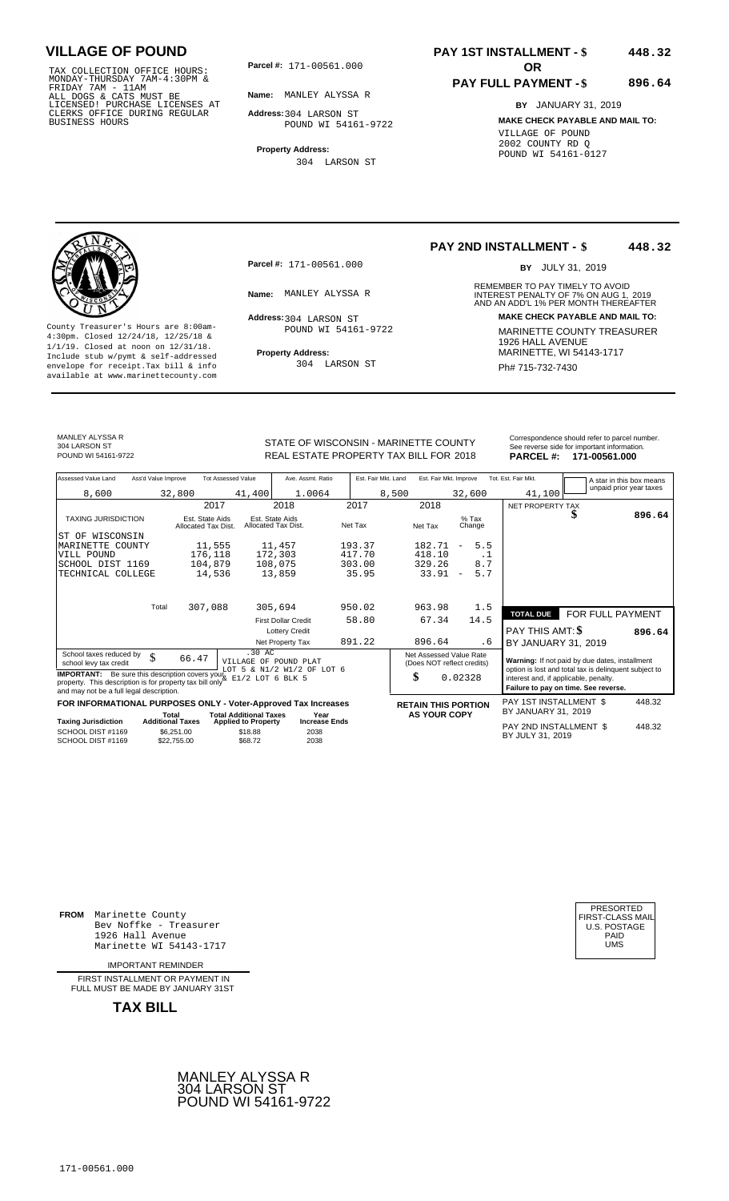TAX COLLECTION OFFICE HOURS:<br>
MONDAY-THURSDAY 7AM-4:30PM &<br>
FRIDAY 7AM - 11AM<br>
ALL DOGS & CATS MUST BE<br>
LICENSED! PURCHASE LICENSES AT<br>
CLERKS OFFICE DURING REGULAR<br>
CLERKS OFFICE DURING REGULAR<br>
BUSINESS HOURS<br>
BUSINESS H

**Parcel #:** 171-00561.000

**Name:** MANLEY ALYSSA R

**Address:** 304 LARSON ST

POUND WI 54161-9722

**Property Address:** 304 LARSON ST

### **PAY 1ST INSTALLMENT - \$ 448.32**

### **PAY FULL PAYMENT - \$**

**BY** JANUARY 31, 2019 **MAKE CHECK PAYABLE AND MAIL TO:** VILLAGE OF POUND 2002 COUNTY RD Q POUND WI 54161-0127

**896.64**

**Property Address:** MARINETTE, WI 54143-1717 Include stub w/pymt & self-addressed envelope for receipt.Tax bill & info Ph# 715-732-7430 available at www.marinettecounty.com

**Parcel #:** 171-00561.000

Address: 304 LARSON ST POUND WI 54161-9722

304 LARSON ST

**PAY 2ND INSTALLMENT - \$ 448.32**

BY JULY 31, 2019

REMEMBER TO PAY TIMELY TO AVOID **Name:** MANLEY ALYSSA R **INTEREST PENALTY OF 7% ON AUG 1, 2019**<br>AND AN ADD'L 1% PER MONTH THEREAFTER **Address: MAKE CHECK PAYABLE AND MAIL TO:** County Treasurer's Hours are 8:00am-<br>
4:30pm. Closed 12/24/18, 12/25/18 & 1/1/19. Closed at noon on 12/31/18.<br>
Include stub w/pwmt. & self-addressed<br>
Froperty Address: MARINETTE, WI 54143-1717

MANLEY ALYSSA R 304 LARSON ST<br>POUND WI 54161-9722

STATE OF WISCONSIN - MARINETTE COUNTY POUND WI 54161-9722 **18 CHEAL ESTATE PROPERTY TAX BILL FOR 2018 PARCEL #: 171-00561.000** 

|                  | Correspondence should refer to parcel number. |
|------------------|-----------------------------------------------|
|                  | See reverse side for important information.   |
| <b>PARCEL #:</b> | 171-00561.000                                 |

| Assessed Value Land<br>Ass'd Value Improve<br><b>Tot Assessed Value</b><br>Est. Fair Mkt. Land<br>Ave. Assmt. Ratio<br>Est. Fair Mkt. Improve<br>Tot. Est. Fair Mkt.                                                                                            | A star in this box means                                                                                |  |  |
|-----------------------------------------------------------------------------------------------------------------------------------------------------------------------------------------------------------------------------------------------------------------|---------------------------------------------------------------------------------------------------------|--|--|
| 41,100<br>8,600<br>41,400<br>8,500<br>32,800<br>1.0064<br>32,600                                                                                                                                                                                                | unpaid prior year taxes                                                                                 |  |  |
| 2017<br>2018<br>2017<br>2018<br>NET PROPERTY TAX                                                                                                                                                                                                                |                                                                                                         |  |  |
| <b>TAXING JURISDICTION</b><br>$%$ Tax<br>Est. State Aids<br>Est. State Aids<br>Allocated Tax Dist.<br>Net Tax<br>Net Tax<br>Change<br>Allocated Tax Dist.                                                                                                       | S<br>896.64                                                                                             |  |  |
| ST OF WISCONSIN                                                                                                                                                                                                                                                 |                                                                                                         |  |  |
| 5.5<br>11,457<br>193.37<br>182.71<br>11,555<br>MARINETTE<br>COUNTY                                                                                                                                                                                              |                                                                                                         |  |  |
| 417.70<br>418.10<br>176,118<br>172,303<br>VILL POUND<br>$\cdot$ 1                                                                                                                                                                                               |                                                                                                         |  |  |
| 8.7<br>104,879<br>108,075<br>303.00<br>329.26<br>SCHOOL DIST 1169                                                                                                                                                                                               |                                                                                                         |  |  |
| 5.7<br>13,859<br>35.95<br>33.91<br>TECHNICAL COLLEGE<br>14,536<br>$\overline{\phantom{a}}$                                                                                                                                                                      |                                                                                                         |  |  |
|                                                                                                                                                                                                                                                                 |                                                                                                         |  |  |
| 307,088<br>950.02<br>1.5<br>Total<br>305,694<br>963.98<br><b>TOTAL DUE</b>                                                                                                                                                                                      | FOR FULL PAYMENT                                                                                        |  |  |
| 14.5<br>58.80<br>67.34<br><b>First Dollar Credit</b>                                                                                                                                                                                                            |                                                                                                         |  |  |
| <b>PAY THIS AMT: \$</b><br><b>Lottery Credit</b>                                                                                                                                                                                                                | 896.64                                                                                                  |  |  |
| 891.22<br>896.64<br>Net Property Tax<br>. 6                                                                                                                                                                                                                     | BY JANUARY 31, 2019                                                                                     |  |  |
| .30AC<br>Net Assessed Value Rate<br>School taxes reduced by<br>\$<br>66.47<br>VILLAGE OF POUND PLAT<br>school levy tax credit<br>(Does NOT reflect credits)<br>LOT 5 & N1/2 W1/2 OF LOT 6                                                                       | Warning: If not paid by due dates, installment<br>option is lost and total tax is delinquent subject to |  |  |
| <b>IMPORTANT:</b> Be sure this description covers your <sup>bour</sup> $5 \times 1/2$ $\pi$ $1/2$ $\pi$<br>property. This description is for property tax bill only $\frac{1}{2}$ E1/2 LOT 6 BLK 5<br>\$<br>0.02328<br>and may not be a full legal description. | interest and, if applicable, penalty.<br>Failure to pay on time. See reverse.                           |  |  |
| FOR INFORMATIONAL PURPOSES ONLY - Voter-Approved Tax Increases<br><b>RETAIN THIS PORTION</b>                                                                                                                                                                    | PAY 1ST INSTALLMENT \$<br>448.32                                                                        |  |  |
| BY JANUARY 31, 2019<br><b>AS YOUR COPY</b><br><b>Total Additional Taxes</b><br>Total<br>Year                                                                                                                                                                    |                                                                                                         |  |  |
| <b>Taxing Jurisdiction</b><br><b>Additional Taxes</b><br><b>Increase Ends</b><br><b>Applied to Property</b><br>SCHOOL DIST #1169<br>\$6,251.00<br>\$18.88<br>2038<br>BY JULY 31, 2019<br>2038<br>SCHOOL DIST #1169<br>\$22,755.00<br>\$68.72                    | PAY 2ND INSTALLMENT \$<br>448.32                                                                        |  |  |

**FROM** Marinette County Bev Noffke - Treasurer 1926 Hall Avenue PAID Marinette WI 54143-1717 UMS

IMPORTANT REMINDER

FIRST INSTALLMENT OR PAYMENT IN FULL MUST BE MADE BY JANUARY 31ST

**TAX BILL**

171-00561.000



| PRESORTED        |
|------------------|
| FIRST-CLASS MAIL |
| U.S. POSTAGE     |
| PAID             |
| UMS              |
|                  |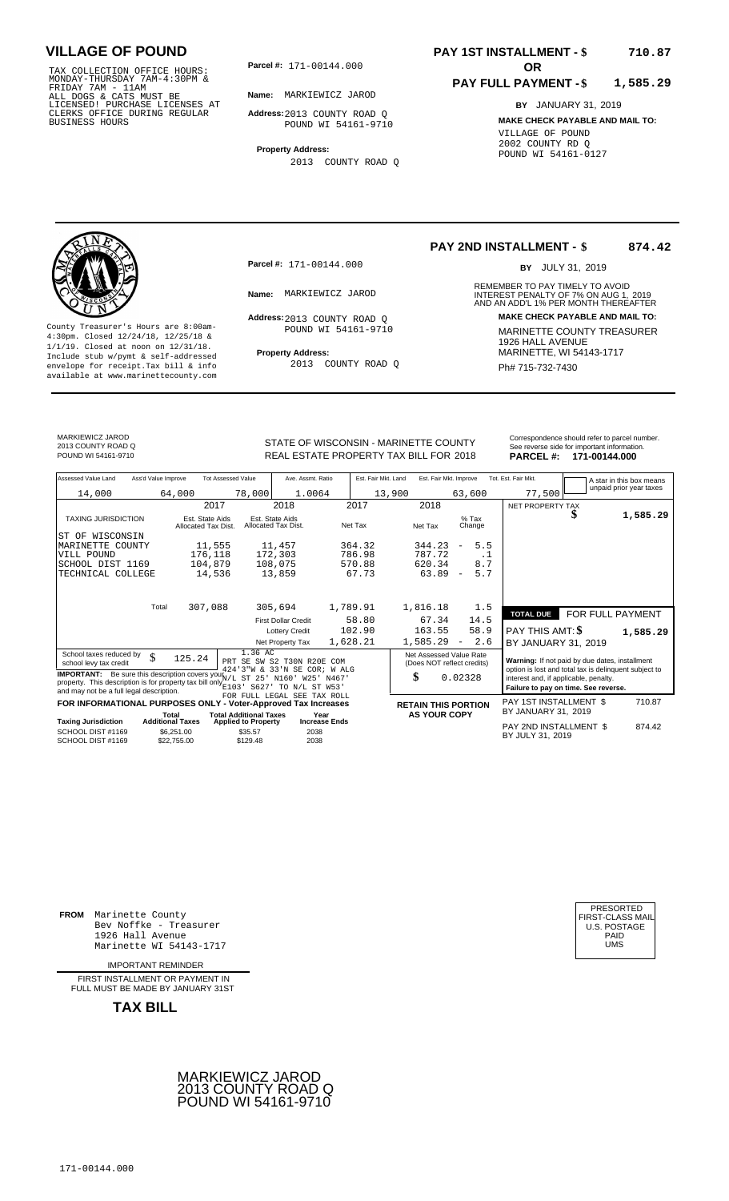TAX COLLECTION OFFICE HOURS:<br>
MONDAY-THURSDAY 7AM-4:30PM &<br>
FRIDAY 7AM - 11AM<br>
ALL DOGS & CATS MUST BE<br>
LICENSED! PURCHASE LICENSES AT<br>
CLERKS OFFICE DURING REGULAR<br>
CLERKS OFFICE DURING REGULAR<br>
BUSINESS HOURS<br>
BUSINESS H

**Parcel #:** 171-00144.000

**Name:** MARKIEWICZ JAROD

**Address:** 2013 COUNTY ROAD Q POUND WI 54161-9710

**Property Address:** 2013 COUNTY ROAD Q

#### **PAY 1ST INSTALLMENT - \$ 710.87**

#### **PAY FULL PAYMENT - \$ 1,585.29**

**BY** JANUARY 31, 2019 **MAKE CHECK PAYABLE AND MAIL TO:** VILLAGE OF POUND 2002 COUNTY RD Q POUND WI 54161-0127

**Property Address:** MARINETTE, WI 54143-1717 Include stub w/pymt & self-addressed envelope for receipt.Tax bill & info Ph# 715-732-7430 available at www.marinettecounty.com

**Parcel #:** 171-00144.000

Address: 2013 COUNTY ROAD Q POUND WI 54161-9710

2013 COUNTY ROAD Q

**PAY 2ND INSTALLMENT - \$ 874.42**

BY JULY 31, 2019

REMEMBER TO PAY TIMELY TO AVOID **Name:** MARKIEWICZ JAROD **1989 12 MILIAN INTEREST PENALTY OF 7% ON AUG 1, 2019<br>AND AN ADD'L 1% PER MONTH THEREAFTER Address: MAKE CHECK PAYABLE AND MAIL TO:** County Treasurer's Hours are 8:00am-<br>
4:30pm. Closed 12/24/18, 12/25/18 & 1/1/19. Closed at noon on 12/31/18.<br>
Include stub w/pwmt. & self-addressed<br>
Froperty Address: MARINETTE, WI 54143-1717

MARKIEWICZ JAROD 2013 COUNTY ROAD Q

REAL ESTATE PROPERTY TAX BILL FOR **PARCEL #:** POUND WI 54161-9710 2018 **171-00144.000**

| Correspondence should refer to parcel number. |
|-----------------------------------------------|
| See reverse side for important information.   |
| <b>DADOFI 4. 474 004 44 000</b>               |

| Assessed Value Land                                                                                                                                                                                           | Ass'd Value Improve              |                                        | <b>Tot Assessed Value</b>     | Ave. Assmt. Ratio                      |                      | Est. Fair Mkt. Land |         | Est. Fair Mkt. Improve |                                                                               |           | Tot. Est. Fair Mkt.                                   |   | A star in this box means |
|---------------------------------------------------------------------------------------------------------------------------------------------------------------------------------------------------------------|----------------------------------|----------------------------------------|-------------------------------|----------------------------------------|----------------------|---------------------|---------|------------------------|-------------------------------------------------------------------------------|-----------|-------------------------------------------------------|---|--------------------------|
| 14,000                                                                                                                                                                                                        |                                  | 64,000                                 | 78,000                        | 1.0064                                 |                      |                     | 13,900  |                        | 63,600                                                                        |           | 77,500                                                |   | unpaid prior year taxes  |
|                                                                                                                                                                                                               |                                  | 2017                                   |                               | 2018                                   |                      | 2017                |         | 2018                   |                                                                               |           | NET PROPERTY TAX                                      |   |                          |
| <b>TAXING JURISDICTION</b>                                                                                                                                                                                    |                                  | Est. State Aids<br>Allocated Tax Dist. |                               | Est. State Aids<br>Allocated Tax Dist. |                      | Net Tax             |         | Net Tax                | $%$ Tax<br>Change                                                             |           |                                                       | Φ | 1,585.29                 |
| ST OF WISCONSIN                                                                                                                                                                                               |                                  |                                        |                               |                                        |                      |                     |         |                        |                                                                               |           |                                                       |   |                          |
| MARINETTE COUNTY                                                                                                                                                                                              |                                  | 11,555                                 |                               | 11,457                                 |                      | 364.32              |         | 344.23                 | 5.5<br>$\overline{\phantom{a}}$                                               |           |                                                       |   |                          |
| VILL POUND                                                                                                                                                                                                    |                                  | 176,118                                |                               | 172,303                                |                      | 786.98              |         | 787.72                 |                                                                               | $\cdot$ 1 |                                                       |   |                          |
| SCHOOL DIST 1169                                                                                                                                                                                              |                                  | 104,879                                |                               | 108,075                                |                      | 570.88              |         | 620.34                 | 8.7                                                                           |           |                                                       |   |                          |
| TECHNICAL COLLEGE                                                                                                                                                                                             |                                  | 14,536                                 |                               | 13,859                                 |                      | 67.73               |         | 63.89                  | 5.7<br>$\overline{\phantom{m}}$                                               |           |                                                       |   |                          |
|                                                                                                                                                                                                               |                                  |                                        |                               |                                        |                      |                     |         |                        |                                                                               |           |                                                       |   |                          |
|                                                                                                                                                                                                               | Total                            | 307,088                                |                               | 305,694                                |                      | 1,789.91            |         | 1,816.18               | 1.5                                                                           |           |                                                       |   |                          |
|                                                                                                                                                                                                               |                                  |                                        |                               | <b>First Dollar Credit</b>             |                      | 58.80               |         | 67.34                  | 14.5                                                                          |           | <b>TOTAL DUE</b>                                      |   | FOR FULL PAYMENT         |
|                                                                                                                                                                                                               |                                  |                                        |                               | <b>Lottery Credit</b>                  |                      | 102.90              |         | 163.55                 | 58.9                                                                          |           | PAY THIS AMT: \$                                      |   | 1,585.29                 |
|                                                                                                                                                                                                               |                                  |                                        |                               | Net Property Tax                       |                      | 1,628.21            |         | 1,585.29               | 2.6<br>$\overline{\phantom{a}}$                                               |           | BY JANUARY 31, 2019                                   |   |                          |
| School taxes reduced by                                                                                                                                                                                       |                                  |                                        | 1.36 AC                       |                                        |                      |                     |         |                        | Net Assessed Value Rate                                                       |           |                                                       |   |                          |
| school levy tax credit                                                                                                                                                                                        | \$                               | 125.24                                 | PRT SE SW S2 T30N R20E COM    |                                        |                      |                     |         |                        | (Does NOT reflect credits)                                                    |           | Warning: If not paid by due dates, installment        |   |                          |
|                                                                                                                                                                                                               |                                  |                                        | 424'3"W & 33'N SE COR; W ALG  |                                        |                      |                     |         |                        |                                                                               |           | option is lost and total tax is delinquent subject to |   |                          |
| <b>IMPORTANT:</b> Be sure this description covers your $N/L$ ST 25' N160' W25' N467'<br>property. This description is for property tax bill only $\frac{x}{E103}$<br>and may not be a full legal description. | S627                             | TO N/L ST W53'                         |                               |                                        | \$                   |                     | 0.02328 |                        | interest and, if applicable, penalty.<br>Failure to pay on time. See reverse. |           |                                                       |   |                          |
| FOR INFORMATIONAL PURPOSES ONLY - Voter-Approved Tax Increases                                                                                                                                                |                                  |                                        | FOR FULL LEGAL SEE TAX ROLL   |                                        |                      |                     |         |                        |                                                                               |           | PAY 1ST INSTALLMENT \$                                |   | 710.87                   |
|                                                                                                                                                                                                               |                                  |                                        | <b>Total Additional Taxes</b> |                                        | Year                 |                     |         | <b>AS YOUR COPY</b>    | <b>RETAIN THIS PORTION</b>                                                    |           | BY JANUARY 31, 2019                                   |   |                          |
| <b>Taxing Jurisdiction</b>                                                                                                                                                                                    | Total<br><b>Additional Taxes</b> |                                        | <b>Applied to Property</b>    |                                        | <b>Increase Ends</b> |                     |         |                        |                                                                               |           |                                                       |   |                          |
| SCHOOL DIST #1169<br>SCHOOL DIST #1169                                                                                                                                                                        |                                  | \$6,251.00<br>\$22,755.00              | \$35.57<br>\$129.48           | 2038<br>2038                           |                      |                     |         |                        |                                                                               |           | PAY 2ND INSTALLMENT \$<br>BY JULY 31, 2019            |   | 874.42                   |
|                                                                                                                                                                                                               |                                  |                                        |                               |                                        |                      |                     |         |                        |                                                                               |           |                                                       |   |                          |

**FROM** Marinette County Bev Noffke - Treasurer (U.S. POSTAGE)<br>1926 Hall Avenue (U.S. POSTAGE)<br>Marinette WI 54143-1717 (U.S. POSTAGE) 1926 Hall Avenue PAID

IMPORTANT REMINDER

FIRST INSTALL MENT OR PAYMENT IN FULL MUST BE MADE BY JANUARY 31ST

**TAX BILL**





# STATE OF WISCONSIN - MARINETTE COUNTY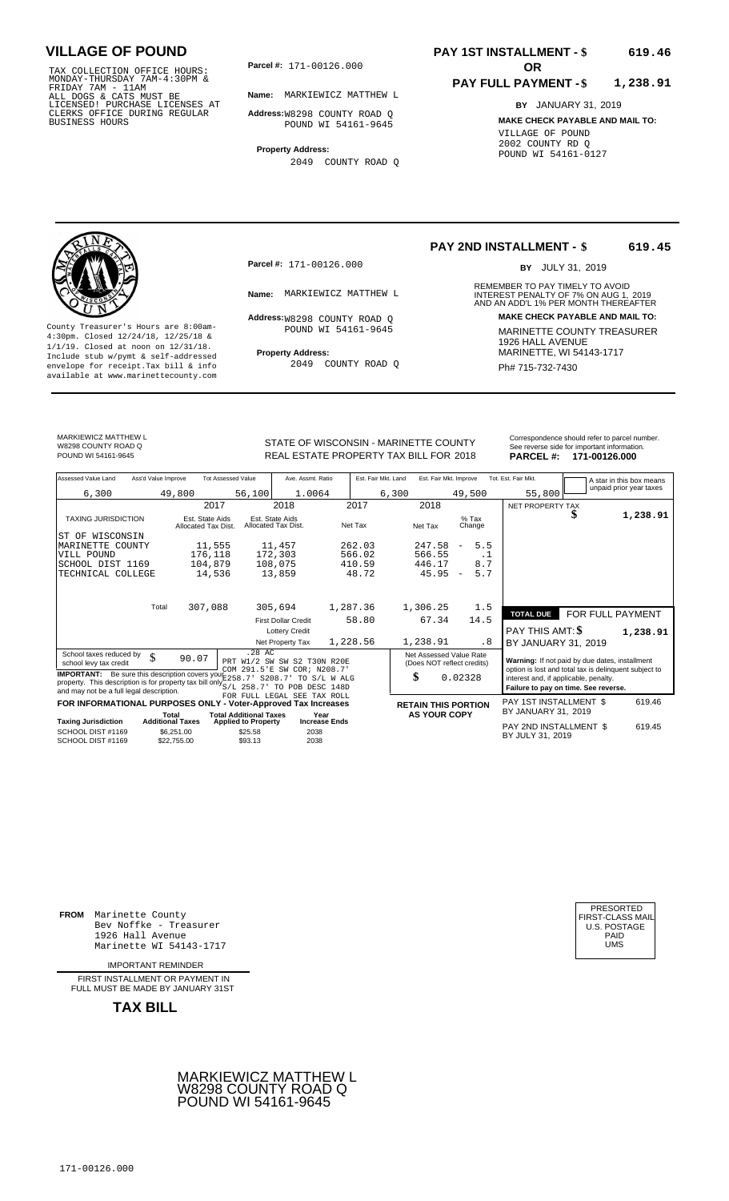TAX COLLECTION OFFICE HOURS:<br>
MONDAY-THURSDAY 7AM-4:30PM &<br>
FRIDAY 7AM - 11AM<br>
ALL DOGS & CATS MUST BE<br>
LICENSED! PURCHASE LICENSES AT<br>
CLERKS OFFICE DURING REGULAR<br>
BUSINESS HOURS<br>
BUSINESS HOURS

**Parcel #:** 171-00126.000

**Name:** MARKIEWICZ MATTHEW L

**Address:** W8298 COUNTY ROAD Q POUND WI 54161-9645

**Property Address:** 2049 COUNTY ROAD Q

### **PAY 1ST INSTALLMENT - \$ 619.46**

#### **PAY FULL PAYMENT - \$ 1,238.91**

**BY** JANUARY 31, 2019 **MAKE CHECK PAYABLE AND MAIL TO:** VILLAGE OF POUND 2002 COUNTY RD Q POUND WI 54161-0127

**Property Address:** MARINETTE, WI 54143-1717 Include stub w/pymt & self-addressed envelope for receipt.Tax bill & info Ph# 715-732-7430 available at www.marinettecounty.com

**Parcel #:** 171-00126.000

Address: W8298 COUNTY ROAD Q POUND WI 54161-9645

2049 COUNTY ROAD Q

#### **PAY 2ND INSTALLMENT - \$ 619.45**

BY JULY 31, 2019

REMEMBER TO PAY TIMELY TO AVOID **Name:** MARKIEWICZ MATTHEW L<br>
AND AN ADD'L 1% PER MONTH THEREAFTER **Address: MAKE CHECK PAYABLE AND MAIL TO:** County Treasurer's Hours are 8:00am-<br>
4:30pm. Closed 12/24/18, 12/25/18 & MARINETTE COUNTY TREASURER<br>
1/1/19. Closed at noon on 12/31/18.<br>
Include stub w/pwmt & self-addressed **Property Address:** MARINETTE, WI 54143-1717

MARKIEWICZ MATTHEW L W8298 COUNTY ROAD Q<br>POUND WI 54161-9645

STATE OF WISCONSIN - MARINETTE COUNTY<br>
See reverse side for important information.<br>
REAL ESTATE PROPERTY TAX BILL FOR 2018 PARCEL #: 171-00126.000 REAL ESTATE PROPERTY TAX BILL FOR **PARCEL #:** POUND WI 54161-9645 2018 **171-00126.000**

| Assessed Value Land                                            | Ass'd Value Improve                                                                                                  |                                        | <b>Tot Assessed Value</b>     |                                        | Ave. Assmt. Ratio           |                      | Est. Fair Mkt. Land |       | Est. Fair Mkt. Improve                                |                          |                   | Tot. Est. Fair Mkt.                                                                                     |    | A star in this box means |  |
|----------------------------------------------------------------|----------------------------------------------------------------------------------------------------------------------|----------------------------------------|-------------------------------|----------------------------------------|-----------------------------|----------------------|---------------------|-------|-------------------------------------------------------|--------------------------|-------------------|---------------------------------------------------------------------------------------------------------|----|--------------------------|--|
| 6,300                                                          |                                                                                                                      | 49,800                                 |                               | 56,100                                 | 1.0064                      |                      |                     | 6,300 |                                                       |                          | 49,500            | 55,800                                                                                                  |    | unpaid prior year taxes  |  |
|                                                                |                                                                                                                      |                                        | 2017                          |                                        | 2018                        |                      | 2017                |       | 2018                                                  |                          |                   | NET PROPERTY TAX                                                                                        |    |                          |  |
| <b>TAXING JURISDICTION</b>                                     |                                                                                                                      | Est. State Aids<br>Allocated Tax Dist. |                               | Est. State Aids<br>Allocated Tax Dist. |                             | Net Tax              |                     |       | Net Tax                                               |                          | $%$ Tax<br>Change |                                                                                                         | \$ | 1,238.91                 |  |
| WISCONSIN<br>ST OF                                             |                                                                                                                      |                                        |                               |                                        |                             |                      |                     |       |                                                       |                          |                   |                                                                                                         |    |                          |  |
| MARINETTE COUNTY                                               |                                                                                                                      | 11,555                                 |                               | 11,457                                 |                             |                      | 262.03              |       | 247.58                                                | $\overline{\phantom{m}}$ | 5.5               |                                                                                                         |    |                          |  |
| VILL POUND                                                     |                                                                                                                      | 176,118                                |                               | 172,303                                |                             |                      | 566.02              |       | 566.55                                                |                          | $\cdot$ 1         |                                                                                                         |    |                          |  |
| SCHOOL DIST 1169                                               |                                                                                                                      | 104,879                                |                               | 108,075                                |                             |                      | 410.59              |       | 446.17                                                |                          | 8.7               |                                                                                                         |    |                          |  |
| TECHNICAL COLLEGE                                              |                                                                                                                      | 14,536                                 |                               | 13,859                                 |                             |                      | 48.72               |       | 45.95                                                 | $\overline{\phantom{a}}$ | 5.7               |                                                                                                         |    |                          |  |
|                                                                |                                                                                                                      |                                        |                               |                                        |                             |                      |                     |       |                                                       |                          |                   |                                                                                                         |    |                          |  |
|                                                                | Total                                                                                                                | 307,088                                |                               | 305,694                                |                             | 1,287.36             |                     |       | 1,306.25                                              |                          | 1.5               | <b>TOTAL DUE</b>                                                                                        |    | <b>FOR FULL PAYMENT</b>  |  |
|                                                                |                                                                                                                      |                                        |                               |                                        | <b>First Dollar Credit</b>  |                      | 58.80               |       | 67.34                                                 |                          | 14.5              |                                                                                                         |    |                          |  |
|                                                                |                                                                                                                      |                                        |                               |                                        | <b>Lottery Credit</b>       |                      |                     |       |                                                       |                          |                   | <b>PAY THIS AMT: \$</b>                                                                                 |    | 1,238.91                 |  |
|                                                                |                                                                                                                      |                                        |                               |                                        | Net Property Tax            | 1,228.56             |                     |       | 1,238.91                                              |                          | . 8               | BY JANUARY 31, 2019                                                                                     |    |                          |  |
| School taxes reduced by<br>school levy tax credit              | \$                                                                                                                   | 90.07                                  |                               | $.28$ AC                               | PRT W1/2 SW SW S2 T30N R20E |                      |                     |       | Net Assessed Value Rate<br>(Does NOT reflect credits) |                          |                   | Warning: If not paid by due dates, installment<br>option is lost and total tax is delinquent subject to |    |                          |  |
| and may not be a full legal description.                       | COM 291.5'E SW COR; N208.7'<br><b>IMPORTANT:</b> Be sure this description covers your E258.7' S208.7'<br>TO S/L WALG |                                        |                               |                                        |                             |                      |                     |       | \$                                                    | 0.02328                  |                   | interest and, if applicable, penalty.<br>Failure to pay on time. See reverse.                           |    |                          |  |
| FOR INFORMATIONAL PURPOSES ONLY - Voter-Approved Tax Increases |                                                                                                                      |                                        |                               |                                        | FOR FULL LEGAL SEE TAX ROLL |                      |                     |       | <b>RETAIN THIS PORTION</b>                            |                          |                   | PAY 1ST INSTALLMENT \$                                                                                  |    | 619.46                   |  |
|                                                                | Total                                                                                                                |                                        | <b>Total Additional Taxes</b> |                                        | Year                        |                      |                     |       | <b>AS YOUR COPY</b>                                   |                          |                   | BY JANUARY 31, 2019                                                                                     |    |                          |  |
| <b>Taxing Jurisdiction</b>                                     | <b>Additional Taxes</b>                                                                                              |                                        | <b>Applied to Property</b>    |                                        |                             | <b>Increase Ends</b> |                     |       |                                                       |                          |                   | PAY 2ND INSTALLMENT \$                                                                                  |    | 619.45                   |  |
| SCHOOL DIST #1169<br>SCHOOL DIST #1169                         |                                                                                                                      | \$6.251.00<br>\$22,755.00              | \$25.58<br>\$93.13            |                                        | 2038<br>2038                |                      |                     |       |                                                       |                          |                   | BY JULY 31, 2019                                                                                        |    |                          |  |

**FROM** Marinette County Bev Noffke - Treasurer 1926 Hall Avenue Marinette WI 54143-1717

IMPORTANT REMINDER

FIRST INSTALLMENT OR PAYMENT IN FULL MUST BE MADE BY JANUARY 31ST



| PRESORTED        |
|------------------|
| FIRST-CLASS MAIL |
| U.S. POSTAGE     |
| PAID             |
| UMS              |
|                  |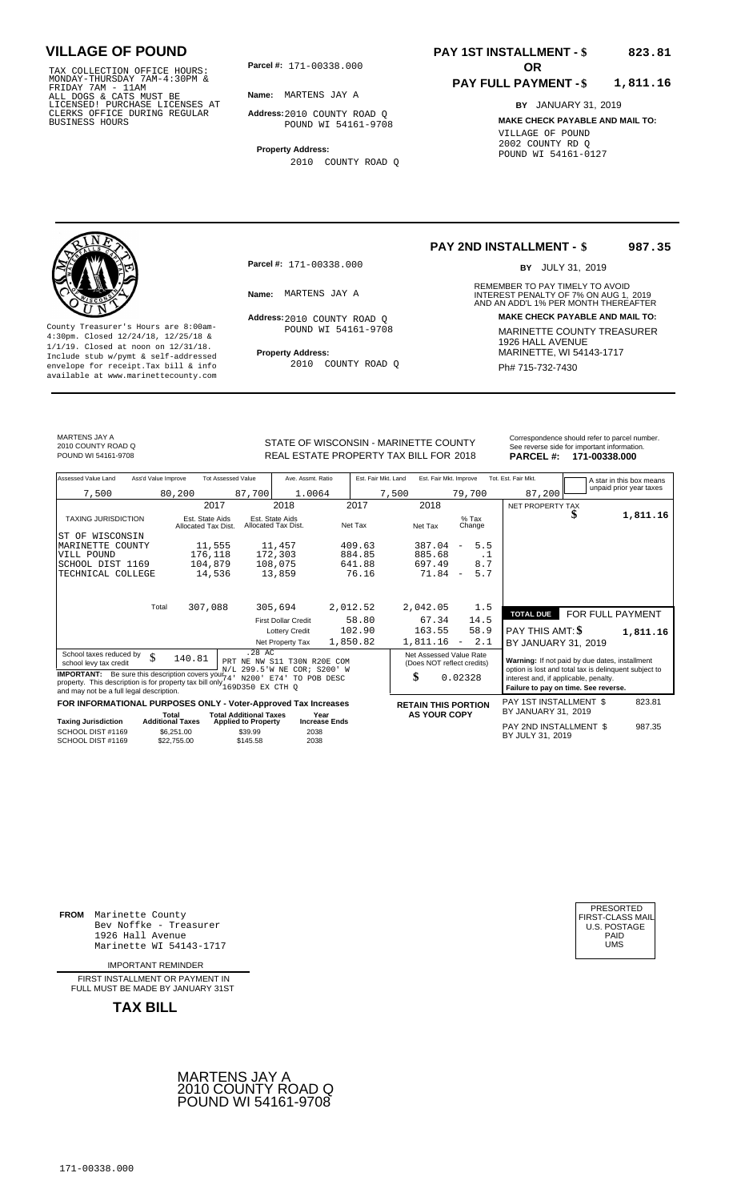TAX COLLECTION OFFICE HOURS:<br>
MONDAY-THURSDAY 7AM-4:30PM &<br>
FRIDAY 7AM - 11AM<br>
ALL DOGS & CATS MUST BE<br>
LICENSED! PURCHASE LICENSES AT<br>
CLERKS OFFICE DURING REGULAR<br>
CLERKS OFFICE DURING REGULAR<br>
BUSINESS HOURS<br>
BUSINESS H

**Parcel #: OR**

**Name:** MARTENS JAY A

**Address:** 2010 COUNTY ROAD Q POUND WI 54161-9708

**Property Address:** 2010 COUNTY ROAD Q

### **PAY 1ST INSTALLMENT - \$ 823.81**

#### **PAY FULL PAYMENT - \$ 1,811.16**

**BY** JANUARY 31, 2019 **MAKE CHECK PAYABLE AND MAIL TO:** VILLAGE OF POUND 2002 COUNTY RD Q POUND WI 54161-0127



**Property Address:** MARINETTE, WI 54143-1717 Include stub w/pymt & self-addressed envelope for receipt.Tax bill & info Ph# 715-732-7430 available at www.marinettecounty.com

**Parcel #:** 171-00338.000

Address: 2010 COUNTY ROAD Q POUND WI 54161-9708

2010 COUNTY ROAD Q

#### **PAY 2ND INSTALLMENT - \$ 987.35**

BY JULY 31, 2019

REMEMBER TO PAY TIMELY TO AVOID **Name:** INTEREST PENALTY OF 7% ON AUG 1, AND AN ADD'L 1% PER MONTH THEREAFTER MARTENS JAY A 2019 **Address: MAKE CHECK PAYABLE AND MAIL TO:** County Treasurer's Hours are 8:00am-<br>
4:30pm. Closed 12/24/18, 12/25/18 & MARINETTE COUNTY TREASURER<br>
1/1/19. Closed at noon on 12/31/18.<br>
Include stub w/pwmt & self-addressed **Property Address:** MARINETTE, WI 54143-1717

MARTENS JAY A 2010 COUNTY ROAD Q

STATE OF WISCONSIN - MARINETTE COUNTY REAL ESTATE PROPERTY TAX BILL FOR **PARCEL #:** POUND WI 54161-9708 2018 **171-00338.000**

| Correspondence should refer to parcel number. |
|-----------------------------------------------|
| See reverse side for important information.   |
| - - - - - -<br>.                              |

| Assessed Value Land                                                                                                                                                                  | Ass'd Value Improve       | <b>Tot Assessed Value</b>              | Ave. Assmt. Ratio                           | Est. Fair Mkt. Land | Est. Fair Mkt. Improve                                |                                 | Tot. Est. Fair Mkt.                                                                                     |                  | A star in this box means |
|--------------------------------------------------------------------------------------------------------------------------------------------------------------------------------------|---------------------------|----------------------------------------|---------------------------------------------|---------------------|-------------------------------------------------------|---------------------------------|---------------------------------------------------------------------------------------------------------|------------------|--------------------------|
| 7,500                                                                                                                                                                                | 80,200                    | 87,700                                 | 1.0064                                      | 7,500               |                                                       | 79,700                          | 87,200                                                                                                  |                  | unpaid prior year taxes  |
|                                                                                                                                                                                      |                           | 2017                                   | 2018                                        | 2017                | 2018                                                  |                                 | NET PROPERTY TAX                                                                                        |                  |                          |
| <b>TAXING JURISDICTION</b>                                                                                                                                                           |                           | Est. State Aids<br>Allocated Tax Dist. | Est. State Aids<br>Allocated Tax Dist.      | Net Tax             | Net Tax                                               | $%$ Tax<br>Change               |                                                                                                         |                  | 1,811.16                 |
| WISCONSIN<br>ST OF                                                                                                                                                                   |                           |                                        |                                             |                     |                                                       |                                 |                                                                                                         |                  |                          |
| MARINETTE COUNTY                                                                                                                                                                     |                           | 11,555                                 | 11,457                                      | 409.63              | 387.04                                                | 5.5<br>$\overline{\phantom{m}}$ |                                                                                                         |                  |                          |
| VILL POUND                                                                                                                                                                           |                           | 176,118                                | 172,303                                     | 884.85              | 885.68                                                | . 1                             |                                                                                                         |                  |                          |
| SCHOOL DIST 1169                                                                                                                                                                     |                           | 104,879                                | 108,075                                     | 641.88              | 697.49                                                | 8.7                             |                                                                                                         |                  |                          |
| TECHNICAL COLLEGE                                                                                                                                                                    |                           | 14,536                                 | 13,859                                      | 76.16               | 71.84                                                 | 5.7<br>$\overline{\phantom{a}}$ |                                                                                                         |                  |                          |
|                                                                                                                                                                                      |                           |                                        |                                             |                     |                                                       |                                 |                                                                                                         |                  |                          |
|                                                                                                                                                                                      | Total                     | 307,088                                | 305,694                                     | 2,012.52            | 2,042.05                                              | 1.5                             |                                                                                                         |                  |                          |
|                                                                                                                                                                                      |                           |                                        | <b>First Dollar Credit</b>                  | 58.80               | 67.34                                                 | 14.5                            | <b>TOTAL DUE</b>                                                                                        | FOR FULL PAYMENT |                          |
|                                                                                                                                                                                      |                           |                                        | <b>Lottery Credit</b>                       | 102.90              | 163.55                                                | 58.9                            | PAY THIS AMT: \$                                                                                        |                  | 1,811.16                 |
|                                                                                                                                                                                      |                           |                                        | Net Property Tax                            | 1,850.82            | 1,811.16                                              | 2.1<br>$\overline{\phantom{a}}$ | BY JANUARY 31, 2019                                                                                     |                  |                          |
| School taxes reduced by<br>school levy tax credit                                                                                                                                    | \$<br>140.81              | .28 AC<br>N/L 299.5'W NE               | PRT NE NW S11 T30N R20E COM<br>COR; S200' W |                     | Net Assessed Value Rate<br>(Does NOT reflect credits) |                                 | Warning: If not paid by due dates, installment<br>option is lost and total tax is delinquent subject to |                  |                          |
| <b>IMPORTANT:</b> Be sure this description covers your $74$<br>property. This description is for property tax bill only 169D350 EX CTH Q<br>and may not be a full legal description. |                           |                                        | N200' E74' TO POB DESC                      |                     | \$                                                    | 0.02328                         | interest and, if applicable, penalty.<br>Failure to pay on time. See reverse.                           |                  |                          |
| FOR INFORMATIONAL PURPOSES ONLY - Voter-Approved Tax Increases                                                                                                                       |                           |                                        |                                             |                     | <b>RETAIN THIS PORTION</b>                            |                                 | PAY 1ST INSTALLMENT \$                                                                                  |                  | 823.81                   |
|                                                                                                                                                                                      | Total                     | <b>Total Additional Taxes</b>          | Year                                        |                     | <b>AS YOUR COPY</b>                                   |                                 | BY JANUARY 31, 2019                                                                                     |                  |                          |
| <b>Taxing Jurisdiction</b>                                                                                                                                                           | <b>Additional Taxes</b>   | <b>Applied to Property</b>             | <b>Increase Ends</b>                        |                     |                                                       |                                 | PAY 2ND INSTALLMENT \$                                                                                  |                  | 987.35                   |
| SCHOOL DIST #1169<br>SCHOOL DIST #1169                                                                                                                                               | \$6,251.00<br>\$22,755.00 | \$39.99<br>\$145.58                    | 2038<br>2038                                |                     |                                                       |                                 | BY JULY 31, 2019                                                                                        |                  |                          |

**FROM** Marinette County Bev Noffke - Treasurer (U.S. POSTAGE)<br>1926 Hall Avenue (U.S. POSTAGE)<br>Marinette WI 54143-1717 (U.S. POSTAGE) 1926 Hall Avenue PAID Marinette WI 54143-1717 UMS

IMPORTANT REMINDER

FIRST INSTALLMENT OR PAYMENT IN FULL MUST BE MADE BY JANUARY 31ST



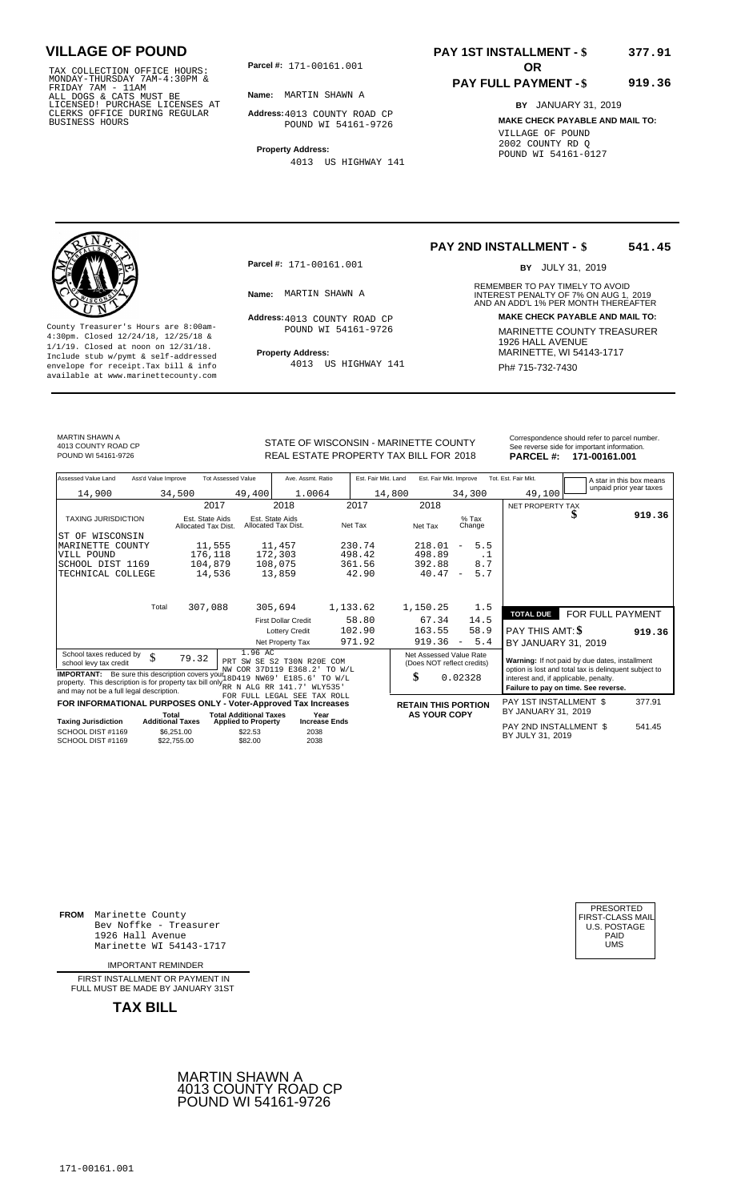TAX COLLECTION OFFICE HOURS:<br>
MONDAY-THURSDAY 7AM-4:30PM &<br>
FRIDAY 7AM - 11AM<br>
ALL DOGS & CATS MUST BE<br>
LICENSED! PURCHASE LICENSES AT<br>
CLERKS OFFICE DURING REGULAR<br>
CLERKS OFFICE DURING REGULAR<br>
BUSINESS HOURS<br>
BUSINESS H

**Parcel #:** 171-00161.001 **OR** 

**Name:** MARTIN SHAWN A

**Address:** 4013 COUNTY ROAD CP POUND WI 54161-9726

**Property Address:** 4013 US HIGHWAY 141

### **PAY 1ST INSTALLMENT - \$ 377.91**

#### **PAY FULL PAYMENT - \$ 919.36**

**BY** JANUARY 31, 2019 **MAKE CHECK PAYABLE AND MAIL TO:** VILLAGE OF POUND 2002 COUNTY RD Q POUND WI 54161-0127

**Property Address:** MARINETTE, WI 54143-1717 Include stub w/pymt & self-addressed envelope for receipt.Tax bill & info Ph# 715-732-7430 available at www.marinettecounty.com

**Parcel #:** 171-00161.001

Address: 4013 COUNTY ROAD CP POUND WI 54161-9726

4013 US HIGHWAY 141

#### **PAY 2ND INSTALLMENT - \$ 541.45**

BY JULY 31, 2019

REMEMBER TO PAY TIMELY TO AVOID **Name:** INTEREST PENALTY OF 7% ON AUG 1, AND AN ADD'L 1% PER MONTH THEREAFTER MARTIN SHAWN A 2019 **Address: MAKE CHECK PAYABLE AND MAIL TO:** County Treasurer's Hours are 8:00am-<br>
4:30pm. Closed 12/24/18, 12/25/18 & MARINETTE COUNTY TREASURER<br>
1/1/19. Closed at noon on 12/31/18.<br>
Include stub w/pwmt & self-addressed<br>
Property Address: MARINETTE, WI 54143-1717

MARTIN SHAWN A 4013 COUNTY ROAD CP

STATE OF WISCONSIN - MARINETTE COUNTY<br>
See reverse side for important information.<br>
REAL ESTATE PROPERTY TAX BILL FOR 2018 PARCEL #: 171-00161.001 REAL ESTATE PROPERTY TAX BILL FOR **PARCEL #:** POUND WI 54161-9726 2018 **171-00161.001**

| Assessed Value Land                                                                                                                                                                                                     | Ass'd Value Improve                    | <b>Tot Assessed Value</b>                                   | Ave. Assmt. Ratio                                             | Est. Fair Mkt. Land | Est. Fair Mkt. Improve                                |                                        | Tot. Est. Fair Mkt.                                                                                     | A star in this box means             |        |
|-------------------------------------------------------------------------------------------------------------------------------------------------------------------------------------------------------------------------|----------------------------------------|-------------------------------------------------------------|---------------------------------------------------------------|---------------------|-------------------------------------------------------|----------------------------------------|---------------------------------------------------------------------------------------------------------|--------------------------------------|--------|
| 14,900                                                                                                                                                                                                                  | 34,500                                 | 49,400                                                      | 1.0064                                                        | 14,800              |                                                       | 34,300                                 | 49,100                                                                                                  | unpaid prior year taxes              |        |
|                                                                                                                                                                                                                         |                                        | 2017                                                        | 2018                                                          | 2017                | 2018                                                  |                                        | NET PROPERTY TAX                                                                                        |                                      |        |
| <b>TAXING JURISDICTION</b>                                                                                                                                                                                              | Est. State Aids<br>Allocated Tax Dist. |                                                             | Est. State Aids<br>Allocated Tax Dist.                        | Net Tax             | Net Tax                                               | $%$ Tax<br>Change                      |                                                                                                         | æ                                    | 919.36 |
| WISCONSIN<br>ST OF                                                                                                                                                                                                      |                                        |                                                             |                                                               |                     |                                                       |                                        |                                                                                                         |                                      |        |
| MARINETTE COUNTY                                                                                                                                                                                                        | 11,555                                 |                                                             | 11,457                                                        | 230.74              | 218.01                                                | 5.5<br>$\overline{\phantom{0}}$        |                                                                                                         |                                      |        |
| VILL POUND                                                                                                                                                                                                              | 176,118                                |                                                             | 172,303                                                       | 498.42              | 498.89                                                | . 1                                    |                                                                                                         |                                      |        |
| SCHOOL DIST 1169                                                                                                                                                                                                        | 104,879                                |                                                             | 108,075                                                       | 361.56              | 392.88                                                | 8.7                                    |                                                                                                         |                                      |        |
| TECHNICAL COLLEGE                                                                                                                                                                                                       | 14,536                                 |                                                             | 13,859                                                        | 42.90               | 40.47                                                 | 5.7<br>$\overline{\phantom{a}}$        |                                                                                                         |                                      |        |
|                                                                                                                                                                                                                         |                                        |                                                             |                                                               |                     |                                                       |                                        |                                                                                                         |                                      |        |
|                                                                                                                                                                                                                         | Total<br>307,088                       |                                                             | 305,694                                                       | 1,133.62            | 1,150.25                                              | 1.5                                    | <b>TOTAL DUE</b>                                                                                        | FOR FULL PAYMENT                     |        |
|                                                                                                                                                                                                                         |                                        |                                                             | <b>First Dollar Credit</b>                                    | 58.80               | 67.34                                                 | 14.5                                   |                                                                                                         |                                      |        |
|                                                                                                                                                                                                                         |                                        |                                                             | <b>Lottery Credit</b>                                         | 102.90              | 163.55                                                | 58.9                                   | PAY THIS AMT: <b>\$</b>                                                                                 |                                      | 919.36 |
|                                                                                                                                                                                                                         |                                        |                                                             | Net Property Tax                                              | 971.92              | 919.36                                                | 5.4<br>$\hspace{0.1mm}-\hspace{0.1mm}$ | BY JANUARY 31, 2019                                                                                     |                                      |        |
| School taxes reduced by<br>\$<br>school levy tax credit                                                                                                                                                                 | 79.32                                  | 1.96 AC                                                     | PRT SW SE S2 T30N R20E<br>COM<br>NW COR 37D119 E368.2' TO W/L |                     | Net Assessed Value Rate<br>(Does NOT reflect credits) |                                        | Warning: If not paid by due dates, installment<br>option is lost and total tax is delinquent subject to |                                      |        |
| <b>IMPORTANT:</b> Be sure this description covers your 18D419 NW69' E185.6'<br>property. This description is for property tax bill only $_{\rm RR}^{\rm N}$ N ALG RR 141.7'<br>and may not be a full legal description. |                                        |                                                             | TO W/L<br>WLY535'                                             |                     | \$                                                    | 0.02328                                | interest and, if applicable, penalty.                                                                   | Failure to pay on time. See reverse. |        |
|                                                                                                                                                                                                                         |                                        |                                                             | FOR FULL LEGAL SEE TAX ROLL                                   |                     |                                                       |                                        | PAY 1ST INSTALLMENT \$                                                                                  |                                      | 377.91 |
| FOR INFORMATIONAL PURPOSES ONLY - Voter-Approved Tax Increases                                                                                                                                                          |                                        |                                                             |                                                               |                     | <b>RETAIN THIS PORTION</b>                            |                                        | BY JANUARY 31, 2019                                                                                     |                                      |        |
| <b>Taxing Jurisdiction</b>                                                                                                                                                                                              | Total<br><b>Additional Taxes</b>       | <b>Total Additional Taxes</b><br><b>Applied to Property</b> | Year<br><b>Increase Ends</b>                                  |                     | <b>AS YOUR COPY</b>                                   |                                        |                                                                                                         |                                      |        |
| SCHOOL DIST #1169<br>SCHOOL DIST #1169                                                                                                                                                                                  | \$6,251.00<br>\$22,755.00              | \$22.53<br>\$82.00                                          | 2038<br>2038                                                  |                     |                                                       |                                        | PAY 2ND INSTALLMENT \$<br>BY JULY 31, 2019                                                              |                                      | 541.45 |

**FROM** Marinette County Bev Noffke - Treasurer (U.S. POSTAGE)<br>1926 Hall Avenue (U.S. POSTAGE)<br>Marinette WI 54143-1717 (U.S. POSTAGE) 1926 Hall Avenue PAID Marinette WI 54143-1717 UMS

IMPORTANT REMINDER

FIRST INSTALLMENT OR PAYMENT IN FULL MUST BE MADE BY JANUARY 31ST



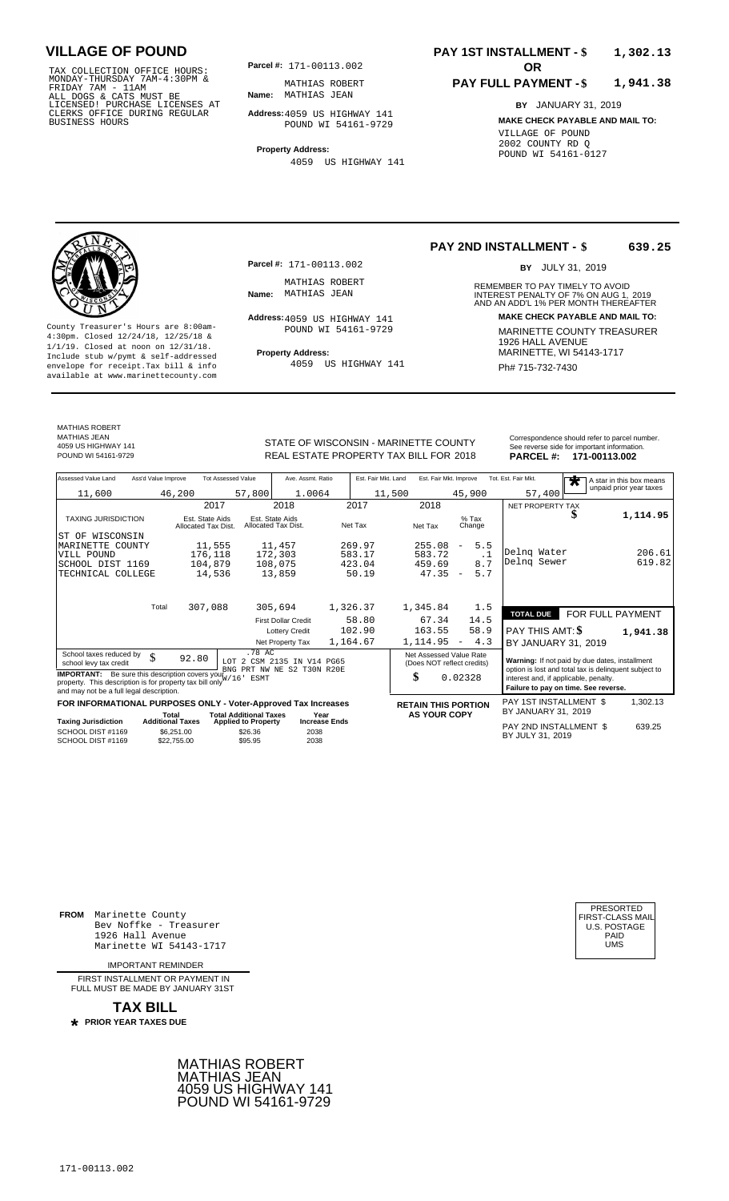TAX COLLECTION OFFICE HOURS:<br>
MONDAY-THURSDAY 7AM-4:30PM & MATHIAS ROBERT<br>
FRIDAY 7AM - 11AM<br>
ALL DOGS & CATS MUST BE **Name**: MATHIAS JEAN<br>
LICENSED! PURCHASE LICENSES AT<br>
CLERKS OFFICE DURING REGULAR **Address:**4059 US HIG

**Parcel #:** 171-00113.002 **OR** 

**Name:** MATHIAS JEAN MATHIAS ROBERT

**Address:** 4059 US HIGHWAY 141 POUND WI 54161-9729

**Property Address:** 4059 US HIGHWAY 141

#### **PAY 1ST INSTALLMENT - \$ 1,302.13**

#### **PAY FULL PAYMENT - \$ 1,941.38**

**BY** JANUARY 31, 2019 **MAKE CHECK PAYABLE AND MAIL TO:** VILLAGE OF POUND 2002 COUNTY RD Q POUND WI 54161-0127



**Property Address:** MARINETTE, WI 54143-1717 Include stub w/pymt & self-addressed envelope for receipt.Tax bill & info Ph# 715-732-7430 available at www.marinettecounty.com

MATHIAS ROBERT MATHIAS JEAN

**Parcel #:** 171-00113.002

MATHIAS ROBERT<br>Name: MATHIAS JEAN

Address: 4059 US HIGHWAY 141 POUND WI 54161-9729

4059 US HIGHWAY 141

**PAY 2ND INSTALLMENT - \$ 639.25**

BY JULY 31, 2019

REMEMBER TO PAY TIMELY TO AVOID **Name:** MATHIAS JEAN **CHANGE AND AN INTEREST PENALTY OF 7% ON AUG 1, 2019<br>AND AN ADD'L 1% PER MONTH THEREAFTER Address: MAKE CHECK PAYABLE AND MAIL TO:** County Treasurer's Hours are 8:00am-<br>
4:30pm. Closed 12/24/18, 12/25/18 & MARINETTE COUNTY TREASURER<br>
1/1/19. Closed at noon on 12/31/18.<br>
Include stub w/pwmt & self-addressed<br>
Property Address: MARINETTE, WI 54143-1717

| MATHIAS JEAN<br>4059 US HIGHWAY 141 | STATE OF WISCONSIN - MARINETTE COUNTY  | Correspondence should refer to parcel number.<br>See reverse side for important information. |                         |  |
|-------------------------------------|----------------------------------------|----------------------------------------------------------------------------------------------|-------------------------|--|
| POUND WI 54161-9729                 | REAL ESTATE PROPERTY TAX BILL FOR 2018 |                                                                                              | PARCEL #: 171-00113.002 |  |

| Assessed Value Land<br>Ass'd Value Improve                                                                                                                                              | <b>Tot Assessed Value</b>                                   | Ave. Assmt. Ratio                      | Est. Fair Mkt. Land | Est. Fair Mkt. Improve                                |                                 | Tot. Est. Fair Mkt.<br>$\overline{\textbf{r}}$                                                          |                  | A star in this box means |
|-----------------------------------------------------------------------------------------------------------------------------------------------------------------------------------------|-------------------------------------------------------------|----------------------------------------|---------------------|-------------------------------------------------------|---------------------------------|---------------------------------------------------------------------------------------------------------|------------------|--------------------------|
| 11,600                                                                                                                                                                                  | 46,200<br>57,800                                            | 1.0064                                 | 11,500              |                                                       | 45,900                          | 57,400                                                                                                  |                  | unpaid prior year taxes  |
|                                                                                                                                                                                         | 2017                                                        | 2018                                   | 2017                | 2018                                                  |                                 | NET PROPERTY TAX                                                                                        |                  |                          |
| <b>TAXING JURISDICTION</b>                                                                                                                                                              | Est. State Aids<br>Allocated Tax Dist.                      | Est. State Aids<br>Allocated Tax Dist. | Net Tax             | Net Tax                                               | $%$ Tax<br>Change               | D                                                                                                       |                  | 1,114.95                 |
| ST OF WISCONSIN                                                                                                                                                                         |                                                             |                                        |                     |                                                       |                                 |                                                                                                         |                  |                          |
| MARINETTE COUNTY                                                                                                                                                                        | 11,555                                                      | 11,457                                 | 269.97              | 255.08                                                | 5.5<br>$\overline{\phantom{a}}$ |                                                                                                         |                  |                          |
| VILL POUND                                                                                                                                                                              | 176,118                                                     | 172,303                                | 583.17              | 583.72                                                | $\cdot$ 1                       | Delng Water                                                                                             |                  | 206.61                   |
| SCHOOL DIST 1169                                                                                                                                                                        | 104,879                                                     | 108,075                                | 423.04              | 459.69                                                | 8.7                             | Delng Sewer                                                                                             |                  | 619.82                   |
| TECHNICAL COLLEGE                                                                                                                                                                       | 14,536                                                      | 13,859                                 | 50.19               | 47.35                                                 | 5.7<br>$\overline{a}$           |                                                                                                         |                  |                          |
| Total                                                                                                                                                                                   | 307,088                                                     | 305,694                                | 1,326.37            | 1,345.84                                              | 1.5                             |                                                                                                         |                  |                          |
|                                                                                                                                                                                         |                                                             | <b>First Dollar Credit</b>             | 58.80               | 67.34                                                 | 14.5                            | <b>TOTAL DUE</b>                                                                                        | FOR FULL PAYMENT |                          |
|                                                                                                                                                                                         |                                                             | <b>Lottery Credit</b>                  | 102.90              | 163.55                                                | 58.9                            | PAY THIS AMT: \$                                                                                        |                  | 1,941.38                 |
|                                                                                                                                                                                         |                                                             | Net Property Tax                       | 1,164.67            | 1,114.95                                              | 4.3<br>$\overline{\phantom{m}}$ | BY JANUARY 31, 2019                                                                                     |                  |                          |
| .78 AC<br>School taxes reduced by<br>\$<br>92.80<br>2 CSM 2135 IN V14 PG65<br>T.OT<br>school levy tax credit<br>BNG PRT NW NE S2 T30N R20E                                              |                                                             |                                        |                     | Net Assessed Value Rate<br>(Does NOT reflect credits) |                                 | Warning: If not paid by due dates, installment<br>option is lost and total tax is delinquent subject to |                  |                          |
| <b>IMPORTANT:</b> Be sure this description covers your $W/16$ <sup>1</sup> ESMT<br>property. This description is for property tax bill only<br>and may not be a full legal description. |                                                             |                                        |                     | \$<br>0.02328                                         |                                 | interest and, if applicable, penalty.<br>Failure to pay on time. See reverse.                           |                  |                          |
| FOR INFORMATIONAL PURPOSES ONLY - Voter-Approved Tax Increases                                                                                                                          |                                                             |                                        |                     | <b>RETAIN THIS PORTION</b>                            |                                 | PAY 1ST INSTALLMENT \$                                                                                  |                  | 1,302.13                 |
| Total<br><b>Additional Taxes</b><br><b>Taxing Jurisdiction</b>                                                                                                                          | <b>Total Additional Taxes</b><br><b>Applied to Property</b> | Year<br><b>Increase Ends</b>           |                     | <b>AS YOUR COPY</b>                                   |                                 | BY JANUARY 31, 2019                                                                                     |                  |                          |
| SCHOOL DIST #1169<br>SCHOOL DIST #1169                                                                                                                                                  | \$6.251.00<br>\$26.36<br>\$95.95<br>\$22,755.00             | 2038<br>2038                           |                     |                                                       |                                 | PAY 2ND INSTALLMENT \$<br>BY JULY 31, 2019                                                              |                  | 639.25                   |

**FROM** Marinette County Bev Noffke - Treasurer (U.S. POSTAGE)<br>1926 Hall Avenue (U.S. POSTAGE)<br>Marinette WI 54143-1717 (UMS 1926 Hall Avenue PAID Marinette WI 54143-1717 UMS

IMPORTANT REMINDER

FIRST INSTALL MENT OR PAYMENT IN FULL MUST BE MADE BY JANUARY 31ST

**TAX BILL PRIOR YEAR TAXES DUE \***





4059 US HIGHWAY 141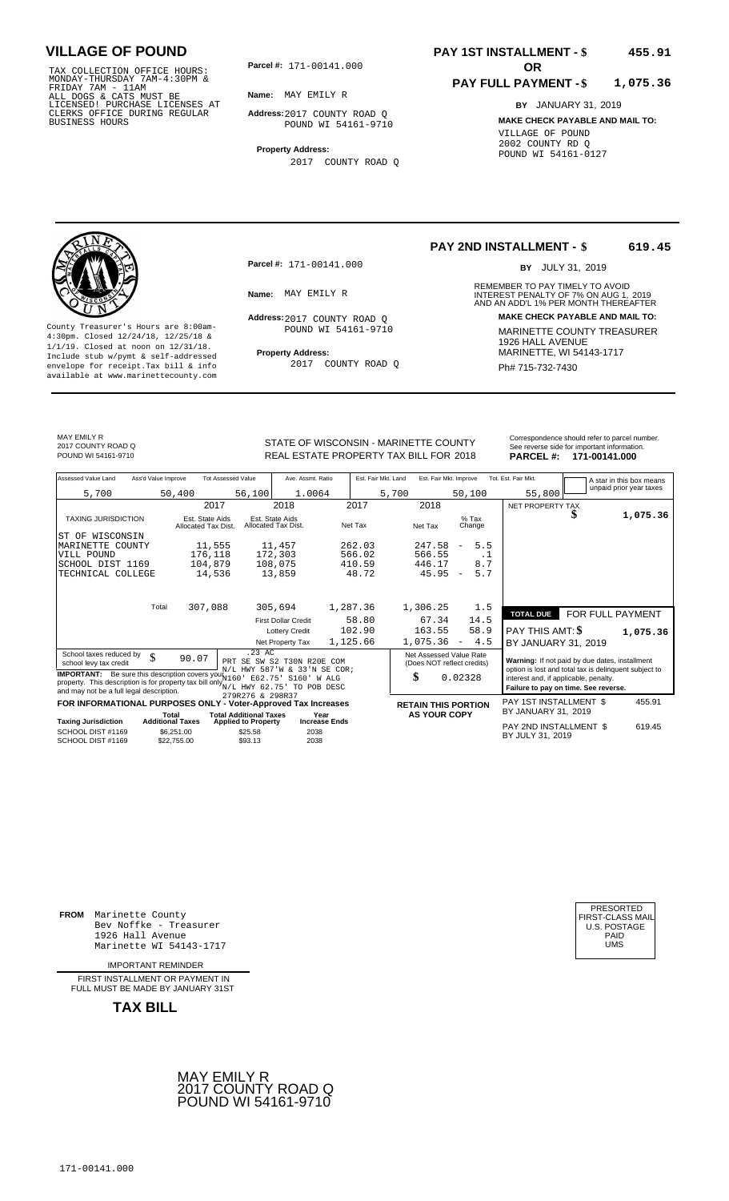TAX COLLECTION OFFICE HOURS: **Parcel#:** 171-00141.000<br>
MONDAY-THURSDAY 7AM-4:30PM &<br>
FRIDAY 7AM - 11AM<br>
ALL DOGS & CATS MUST BE<br>
LICENSED: PURCHASE LICENSES AT<br>
CLERKS OFFICE DURING REGULAR

**Parcel #:** 171-00141.000 **OR** 

**Name:** MAY EMILY R

**Address:** 2017 COUNTY ROAD Q POUND WI 54161-9710

**Property Address:** 2017 COUNTY ROAD Q

### **PAY 1ST INSTALLMENT - \$ 455.91**

#### **PAY FULL PAYMENT - \$ 1,075.36**

**BY** JANUARY 31, 2019 **MAKE CHECK PAYABLE AND MAIL TO:** VILLAGE OF POUND 2002 COUNTY RD Q POUND WI 54161-0127



**Property Address:** MARINETTE, WI 54143-1717 Include stub w/pymt & self-addressed envelope for receipt.Tax bill & info Ph# 715-732-7430 available at www.marinettecounty.com

**Parcel #:** 171-00141.000

Address: 2017 COUNTY ROAD Q POUND WI 54161-9710

2017 COUNTY ROAD Q

#### **PAY 2ND INSTALLMENT - \$ 619.45**

BY JULY 31, 2019

REMEMBER TO PAY TIMELY TO AVOID **Name:** MAY EMILY R<br> **NAME:** MAY EMILY R<br>
AND AN ADD'L 1% PER MONTH THEREAFTER **Address: MAKE CHECK PAYABLE AND MAIL TO:** County Treasurer's Hours are 8:00am-<br>
4:30pm. Closed 12/24/18, 12/25/18 & 1/1/19. Closed at noon on 12/31/18.<br>
1/1/19. Closed at noon on 12/31/18.<br>
Include stub w/pwmt & self-addressed **Property Address:** MARINETTE, WI 541

MAY EMILY R 2017 COUNTY ROAD Q

Correspondence should refer to parcel n<br>
See reverse side for important informatic<br>
REAL ESTATE PROPERTY TAX BILL FOR 2018 PARCEL #: 171-00141.000 REAL ESTATE PROPERTY TAX BILL FOR **PARCEL #:** POUND WI 54161-9710 2018 **171-00141.000**

| Correspondence should refer to parcel number. |
|-----------------------------------------------|
| See reverse side for important information.   |
| ------<br>$         -$                        |

| Assessed Value Land<br>Ass'd Value Improve                                                                                                                                                                                           | <b>Tot Assessed Value</b>              | Ave. Assmt. Ratio                                  | Est. Fair Mkt. Land | Est. Fair Mkt. Improve                                |                                 | Tot. Est. Fair Mkt.                                                           |                  | A star in this box means |
|--------------------------------------------------------------------------------------------------------------------------------------------------------------------------------------------------------------------------------------|----------------------------------------|----------------------------------------------------|---------------------|-------------------------------------------------------|---------------------------------|-------------------------------------------------------------------------------|------------------|--------------------------|
| 5,700                                                                                                                                                                                                                                | 50,400                                 | 56,100<br>1.0064                                   |                     | 5,700                                                 | 50,100                          | 55,800                                                                        |                  | unpaid prior year taxes  |
|                                                                                                                                                                                                                                      | 2017                                   | 2018                                               | 2017                | 2018                                                  |                                 | NET PROPERTY TAX                                                              |                  |                          |
| <b>TAXING JURISDICTION</b>                                                                                                                                                                                                           | Est. State Aids<br>Allocated Tax Dist. | Est. State Aids<br>Allocated Tax Dist.             | Net Tax             | Net Tax                                               | $%$ Tax<br>Change               |                                                                               |                  | 1,075.36                 |
| WISCONSIN<br>ST OF                                                                                                                                                                                                                   |                                        |                                                    |                     |                                                       |                                 |                                                                               |                  |                          |
| MARINETTE COUNTY                                                                                                                                                                                                                     | 11,555                                 | 11,457                                             | 262.03              | 247.58                                                | 5.5<br>$\overline{\phantom{a}}$ |                                                                               |                  |                          |
| VILL POUND                                                                                                                                                                                                                           | 176,118                                | 172,303                                            | 566.02              | 566.55                                                | .1                              |                                                                               |                  |                          |
| SCHOOL DIST 1169                                                                                                                                                                                                                     | 104,879                                | 108,075                                            | 410.59              | 446.17                                                | 8.7                             |                                                                               |                  |                          |
| TECHNICAL COLLEGE                                                                                                                                                                                                                    | 14,536                                 | 13,859                                             | 48.72               | 45.95                                                 | 5.7<br>$\overline{\phantom{a}}$ |                                                                               |                  |                          |
|                                                                                                                                                                                                                                      |                                        |                                                    |                     |                                                       |                                 |                                                                               |                  |                          |
| Total                                                                                                                                                                                                                                | 307,088                                | 305,694                                            | 1,287.36            | 1,306.25                                              | 1.5                             |                                                                               |                  |                          |
|                                                                                                                                                                                                                                      |                                        | <b>First Dollar Credit</b>                         | 58.80               | 67.34                                                 | 14.5                            | <b>TOTAL DUE</b>                                                              | FOR FULL PAYMENT |                          |
|                                                                                                                                                                                                                                      |                                        |                                                    | 102.90              |                                                       |                                 |                                                                               |                  |                          |
|                                                                                                                                                                                                                                      |                                        | <b>Lottery Credit</b>                              |                     | 163.55                                                | 58.9                            | PAY THIS AMT: <b>\$</b>                                                       |                  | 1,075.36                 |
|                                                                                                                                                                                                                                      |                                        | Net Property Tax                                   | 1,125.66            | 1,075.36                                              | 4.5<br>$\sim$                   | BY JANUARY 31, 2019                                                           |                  |                          |
| School taxes reduced by<br>\$<br>school levy tax credit                                                                                                                                                                              | 90.07                                  | $.23$ AC<br>PRT SE SW S2 T30N R20E                 | COM                 | Net Assessed Value Rate<br>(Does NOT reflect credits) |                                 | Warning: If not paid by due dates, installment                                |                  |                          |
|                                                                                                                                                                                                                                      |                                        | N/L HWY 587'W & 33'N SE COR;                       |                     |                                                       |                                 | option is lost and total tax is delinquent subject to                         |                  |                          |
| <b>IMPORTANT:</b> Be sure this description covers yout 160<br>E62.75'<br>S160' W ALG<br>property. This description is for property tax bill only $_{N/L}^{N+2}$ HWY 62.75<br>TO POB DESC<br>and may not be a full legal description. |                                        |                                                    |                     | \$                                                    | 0.02328                         | interest and, if applicable, penalty.<br>Failure to pay on time. See reverse. |                  |                          |
| 279R276 & 298R37<br>FOR INFORMATIONAL PURPOSES ONLY - Voter-Approved Tax Increases                                                                                                                                                   |                                        |                                                    |                     | <b>RETAIN THIS PORTION</b>                            |                                 | PAY 1ST INSTALLMENT \$                                                        |                  | 455.91                   |
| <b>Total Additional Taxes</b><br>Total<br>Year                                                                                                                                                                                       |                                        |                                                    | <b>AS YOUR COPY</b> |                                                       | BY JANUARY 31, 2019             |                                                                               |                  |                          |
| <b>Additional Taxes</b><br><b>Taxing Jurisdiction</b>                                                                                                                                                                                |                                        | <b>Increase Ends</b><br><b>Applied to Property</b> |                     |                                                       |                                 | PAY 2ND INSTALLMENT \$                                                        |                  | 619.45                   |
| SCHOOL DIST #1169<br>SCHOOL DIST #1169                                                                                                                                                                                               | \$6.251.00<br>\$22,755.00              | \$25.58<br>2038<br>\$93.13<br>2038                 |                     |                                                       |                                 | BY JULY 31, 2019                                                              |                  |                          |

**FROM** Marinette County Bev Noffke - Treasurer (U.S. POSTAGE)<br>1926 Hall Avenue (U.S. POSTAGE)<br>Marinette WI 54143-1717 (U.S. POSTAGE) 1926 Hall Avenue PAID Marinette WI 54143-1717 UMS

IMPORTANT REMINDER

FIRST INSTALLMENT OR PAYMENT IN FULL MUST BE MADE BY JANUARY 31ST



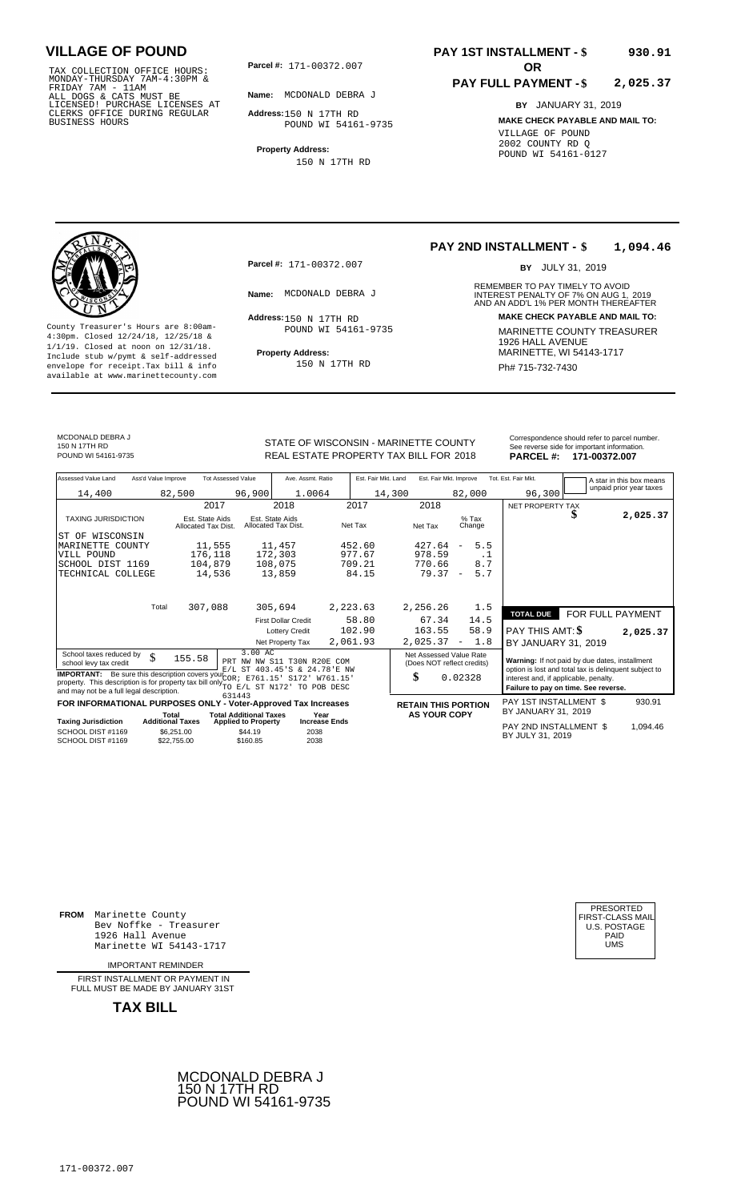TAX COLLECTION OFFICE HOURS:<br>
MONDAY-THURSDAY 7AM-4:30PM &<br>
FRIDAY 7AM - 11AM<br>
ALL DOGS & CATS MUST BE<br>
LICENSED! PURCHASE LICENSES AT<br>
CLERKS OFFICE DURING REGULAR<br>
CLERKS OFFICE DURING REGULAR<br>
BUSINESS HOURS<br>
BUSINESS H

**Parcel #: OR**

**Name:** MCDONALD DEBRA J

**Address:** 150 N 17TH RD POUND WI 54161-9735

**Property Address:** 150 N 17TH RD

### **PAY 1ST INSTALLMENT - \$ 930.91**

#### **PAY FULL PAYMENT - \$ 2,025.37**

**BY** JANUARY 31, 2019 **MAKE CHECK PAYABLE AND MAIL TO:** VILLAGE OF POUND 2002 COUNTY RD Q POUND WI 54161-0127

**Property Address:** MARINETTE, WI 54143-1717 Include stub w/pymt & self-addressed envelope for receipt.Tax bill & info Ph# 715-732-7430<br>available at www.marinettecounty.com

**Parcel #:** 171-00372.007

Address: 150 N 17TH RD POUND WI 54161-9735

150 N 17TH RD

#### **PAY 2ND INSTALLMENT - \$ 1,094.46**

BY JULY 31, 2019

REMEMBER TO PAY TIMELY TO AVOID **Name:** MCDONALD DEBRA J<br>
MTEREST PENALTY OF 7% ON AUG 1, 2019<br>
AND AN ADD'L 1% PER MONTH THEREAFTER **Address: MAKE CHECK PAYABLE AND MAIL TO:** County Treasurer's Hours are 8:00am-<br>
4:30pm. Closed 12/24/18, 12/25/18 & MARINETTE COUNTY TREASURER<br>
1/1/19. Closed at noon on 12/31/18.<br>
Include stub w/pwmt & self-addressed **Property Address:** MARINETTE, WI 54143-1717

MCDONALD DEBRA J 150 N 17TH RD

STATE OF WISCONSIN - MARINETTE COUNTY<br>
See reverse side for important information.<br>
REAL ESTATE PROPERTY TAX BILL FOR 2018 PARCEL #: 171-00372.007 REAL ESTATE PROPERTY TAX BILL FOR **PARCEL #:** POUND WI 54161-9735 2018 **171-00372.007**

| Assessed Value Land                                                                                                                                                                               | Ass'd Value Improve     |                                        | <b>Tot Assessed Value</b>     | Ave. Assmt. Ratio                                           |                         | Est. Fair Mkt. Land | Est. Fair Mkt. Improve                                |                                 | Tot. Est. Fair Mkt.                                                                                                                    |                  | A star in this box means |
|---------------------------------------------------------------------------------------------------------------------------------------------------------------------------------------------------|-------------------------|----------------------------------------|-------------------------------|-------------------------------------------------------------|-------------------------|---------------------|-------------------------------------------------------|---------------------------------|----------------------------------------------------------------------------------------------------------------------------------------|------------------|--------------------------|
| 14,400                                                                                                                                                                                            |                         | 82,500                                 | 96,900                        | 1.0064                                                      |                         | 14,300              |                                                       | 82,000                          | 96,300                                                                                                                                 |                  | unpaid prior year taxes  |
|                                                                                                                                                                                                   |                         | 2017                                   |                               | 2018                                                        |                         | 2017                | 2018                                                  |                                 | NET PROPERTY TAX                                                                                                                       |                  |                          |
| <b>TAXING JURISDICTION</b>                                                                                                                                                                        |                         | Est. State Aids<br>Allocated Tax Dist. |                               | Est. State Aids<br>Allocated Tax Dist.                      |                         | Net Tax             | Net Tax                                               | $%$ Tax<br>Change               |                                                                                                                                        | \$               | 2,025.37                 |
| ST OF WISCONSIN                                                                                                                                                                                   |                         |                                        |                               |                                                             |                         |                     |                                                       |                                 |                                                                                                                                        |                  |                          |
| MARINETTE<br>COUNTY                                                                                                                                                                               |                         | 11,555                                 |                               | 11,457                                                      |                         | 452.60              | 427.64                                                | 5.5                             |                                                                                                                                        |                  |                          |
| VILL POUND                                                                                                                                                                                        |                         | 176,118                                |                               | 172,303                                                     |                         | 977.67              | 978.59                                                | . 1                             |                                                                                                                                        |                  |                          |
| SCHOOL DIST 1169                                                                                                                                                                                  |                         | 104,879                                |                               | 108,075                                                     |                         | 709.21              | 770.66                                                | 8.7                             |                                                                                                                                        |                  |                          |
| TECHNICAL COLLEGE                                                                                                                                                                                 |                         | 14,536                                 |                               | 13,859                                                      |                         | 84.15               | 79.37                                                 | 5.7<br>$\overline{\phantom{a}}$ |                                                                                                                                        |                  |                          |
|                                                                                                                                                                                                   |                         |                                        |                               |                                                             |                         |                     |                                                       |                                 |                                                                                                                                        |                  |                          |
|                                                                                                                                                                                                   | Total                   | 307,088                                |                               | 305,694                                                     |                         | 2,223.63            | 2,256.26                                              | 1.5                             |                                                                                                                                        |                  |                          |
|                                                                                                                                                                                                   |                         |                                        |                               | <b>First Dollar Credit</b>                                  |                         | 58.80               | 67.34                                                 | 14.5                            | <b>TOTAL DUE</b>                                                                                                                       | FOR FULL PAYMENT |                          |
|                                                                                                                                                                                                   |                         |                                        |                               | <b>Lottery Credit</b>                                       |                         | 102.90              | 163.55                                                | 58.9                            | PAY THIS AMT: \$                                                                                                                       |                  | 2,025.37                 |
|                                                                                                                                                                                                   |                         |                                        |                               | Net Property Tax                                            |                         | 2,061.93            | 2,025.37                                              | 1.8<br>$\overline{\phantom{a}}$ | BY JANUARY 31, 2019                                                                                                                    |                  |                          |
| School taxes reduced by<br>school levy tax credit                                                                                                                                                 | \$                      | 155.58                                 | 3.00 AC                       | PRT NW NW S11 T30N R20E COM<br>E/L ST 403.45'S & 24.78'E NW |                         |                     | Net Assessed Value Rate<br>(Does NOT reflect credits) |                                 | Warning: If not paid by due dates, installment                                                                                         |                  |                          |
| <b>IMPORTANT:</b> Be sure this description covers your $COR$ ;<br>property. This description is for property tax bill only $_{\text{TO E/L ST N172}}$<br>and may not be a full legal description. |                         |                                        | E761.15'<br>631443            | S172'                                                       | W761.15'<br>TO POB DESC |                     | \$                                                    | 0.02328                         | option is lost and total tax is delinguent subject to<br>interest and, if applicable, penalty.<br>Failure to pay on time. See reverse. |                  |                          |
| FOR INFORMATIONAL PURPOSES ONLY - Voter-Approved Tax Increases                                                                                                                                    |                         |                                        |                               |                                                             |                         |                     | <b>RETAIN THIS PORTION</b>                            |                                 | PAY 1ST INSTALLMENT \$                                                                                                                 |                  | 930.91                   |
|                                                                                                                                                                                                   | Total                   |                                        | <b>Total Additional Taxes</b> |                                                             | Year                    |                     | <b>AS YOUR COPY</b>                                   |                                 | BY JANUARY 31, 2019                                                                                                                    |                  |                          |
| <b>Taxing Jurisdiction</b>                                                                                                                                                                        | <b>Additional Taxes</b> |                                        | <b>Applied to Property</b>    |                                                             | <b>Increase Ends</b>    |                     |                                                       |                                 | PAY 2ND INSTALLMENT \$                                                                                                                 |                  | 1,094.46                 |
| SCHOOL DIST #1169<br>SCHOOL DIST #1169                                                                                                                                                            |                         | \$6,251,00<br>\$22,755.00              | \$44.19<br>\$160.85           | 2038<br>2038                                                |                         |                     |                                                       |                                 | BY JULY 31, 2019                                                                                                                       |                  |                          |
|                                                                                                                                                                                                   |                         |                                        |                               |                                                             |                         |                     |                                                       |                                 |                                                                                                                                        |                  |                          |

**FROM** Marinette County Bev Noffke - Treasurer (U.S. POSTAGE)<br>1926 Hall Avenue (U.S. POSTAGE)<br>Marinette WI 54143-1717 (U.S. POSTAGE) 1926 Hall Avenue Marinette WI 54143-1717

IMPORTANT REMINDER

FIRST INSTALLMENT OR PAYMENT IN FULL MUST BE MADE BY JANUARY 31ST



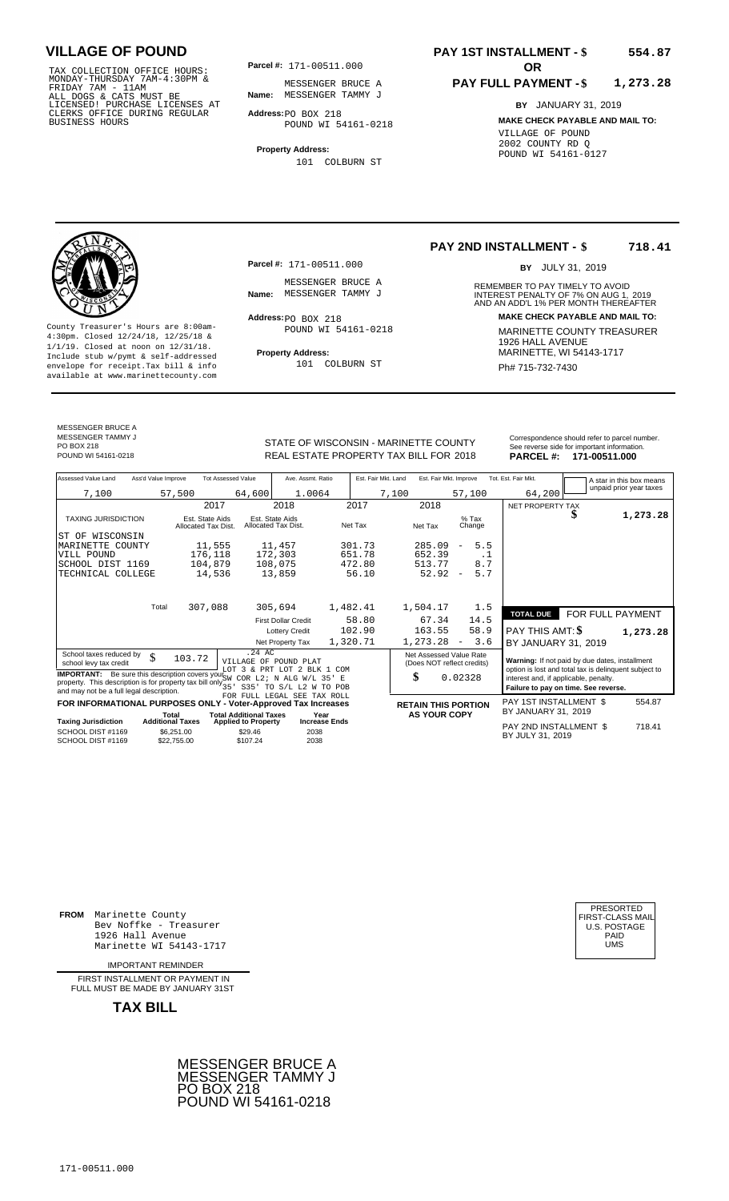TAX COLLECTION OFFICE HOURS:<br>
MONDAY-THURSDAY 7AM-4:30PM & MESSENGER BRUC<br>
FRIDAY 7AM - 11AM<br>
ALL DOGS & CATS MUST BE **Name:** MESSENGER TAMM<br>
LICENSED! PURCHASE LICENSES AT<br>
CLERKS OFFICE DURING REGULAR **Address**:po BOX 21

**Parcel #:** 171-00511.000

**Name:** MESSENGER TAMMY J MESSENGER BRUCE A

**Address:** PO BOX 218 POUND WI 54161-0218

**Property Address:** 101 COLBURN ST

### **PAY 1ST INSTALLMENT - \$ 554.87**

#### **PAY FULL PAYMENT - \$ 1,273.28**

**BY** JANUARY 31, 2019 **MAKE CHECK PAYABLE AND MAIL TO:** VILLAGE OF POUND 2002 COUNTY RD Q POUND WI 54161-0127

**Property Address:** MARINETTE, WI 54143-1717 Include stub w/pymt & self-addressed envelope for receipt.Tax bill & info Ph# 715-732-7430 available at www.marinettecounty.com

**Parcel #:** 171-00511.000

MESSENGER BRUCE A<br>Name: MESSENGER TAMMY J

 $Address:  $PO$  BOX 218$ POUND WI 54161-0218

101 COLBURN ST

**PAY 2ND INSTALLMENT - \$ 718.41**

BY JULY 31, 2019

REMEMBER TO PAY TIMELY TO AVOID **Name:** MESSENGER TAMMY J<br>
AND AN ADD'L 1% PER MONTH THEREAFTER **Address: MAKE CHECK PAYABLE AND MAIL TO:** County Treasurer's Hours are 8:00am-<br>
4:30pm. Closed 12/24/18, 12/25/18 & MARINETTE COUNTY TREASURER<br>
1/1/19. Closed at noon on 12/31/18.<br>
Include stub w/pwmt & self-addressed **Property Address:** MARINETTE, WI 54143-1717

MESSENGER BRUCE A MESSENGER TAMMY J

STATE OF WISCONSIN - MARINETTE COUNTY<br>
See reverse side for important information.<br>
REAL ESTATE PROPERTY TAX BILL FOR 2018 PARCEL #: 171-00511.000 REAL ESTATE PROPERTY TAX BILL FOR **PARCEL #:** POUND WI 54161-0218 2018 **171-00511.000**

| Assessed Value Land                                                                                                                                                                                        | Ass'd Value Improve                                  | <b>Tot Assessed Value</b>              |                                                   | Ave. Assmt. Ratio                                    |                      | Est. Fair Mkt. Land |       |                     | Est. Fair Mkt. Improve                                |           | Tot. Est. Fair Mkt.                                                                                     |   | A star in this box means |
|------------------------------------------------------------------------------------------------------------------------------------------------------------------------------------------------------------|------------------------------------------------------|----------------------------------------|---------------------------------------------------|------------------------------------------------------|----------------------|---------------------|-------|---------------------|-------------------------------------------------------|-----------|---------------------------------------------------------------------------------------------------------|---|--------------------------|
| 7,100                                                                                                                                                                                                      | 57,500                                               |                                        | 64,600                                            | 1.0064                                               |                      |                     | 7,100 |                     | 57,100                                                |           | 64,200                                                                                                  |   | unpaid prior year taxes  |
|                                                                                                                                                                                                            |                                                      | 2017                                   |                                                   | 2018                                                 |                      | 2017                |       | 2018                |                                                       |           | NET PROPERTY TAX                                                                                        |   |                          |
| <b>TAXING JURISDICTION</b>                                                                                                                                                                                 |                                                      | Est. State Aids<br>Allocated Tax Dist. | Est. State Aids<br>Allocated Tax Dist.            |                                                      | Net Tax              |                     |       | Net Tax             | $%$ Tax<br>Change                                     |           |                                                                                                         | J | 1,273.28                 |
| ST OF WISCONSIN                                                                                                                                                                                            |                                                      |                                        |                                                   |                                                      |                      |                     |       |                     |                                                       |           |                                                                                                         |   |                          |
| MARINETTE COUNTY                                                                                                                                                                                           |                                                      | 11,555                                 |                                                   | 11,457                                               |                      | 301.73              |       | 285.09              | 5.5<br>$\overline{\phantom{a}}$                       |           |                                                                                                         |   |                          |
| VILL POUND                                                                                                                                                                                                 |                                                      | 176,118                                |                                                   | 172,303                                              |                      | 651.78              |       | 652.39              |                                                       | $\cdot$ 1 |                                                                                                         |   |                          |
| SCHOOL DIST 1169                                                                                                                                                                                           |                                                      | 104,879                                |                                                   | 108,075                                              |                      | 472.80              |       | 513.77              | 8.7                                                   |           |                                                                                                         |   |                          |
| TECHNICAL COLLEGE                                                                                                                                                                                          |                                                      | 14,536                                 |                                                   | 13,859                                               |                      | 56.10               |       | 52.92               | 5.7<br>$\overline{\phantom{a}}$                       |           |                                                                                                         |   |                          |
|                                                                                                                                                                                                            | Total                                                | 307,088                                |                                                   | 305,694                                              | 1,482.41             |                     |       | 1,504.17            | 1.5                                                   |           |                                                                                                         |   |                          |
|                                                                                                                                                                                                            |                                                      |                                        |                                                   | <b>First Dollar Credit</b>                           |                      | 58.80               |       | 67.34               | 14.5                                                  |           | <b>TOTAL DUE</b>                                                                                        |   | FOR FULL PAYMENT         |
|                                                                                                                                                                                                            |                                                      |                                        |                                                   | <b>Lottery Credit</b>                                |                      | 102.90              |       | 163.55              | 58.9                                                  |           | <b>PAY THIS AMT: \$</b>                                                                                 |   | 1,273.28                 |
|                                                                                                                                                                                                            |                                                      |                                        |                                                   | Net Property Tax                                     | 1,320.71             |                     |       | 1,273.28            | 3.6<br>$\overline{\phantom{a}}$                       |           | BY JANUARY 31, 2019                                                                                     |   |                          |
| School taxes reduced by<br>school levy tax credit                                                                                                                                                          | \$                                                   | 103.72                                 | $.24 \text{ AC}$                                  | VILLAGE OF POUND PLAT<br>LOT 3 & PRT LOT 2 BLK 1 COM |                      |                     |       |                     | Net Assessed Value Rate<br>(Does NOT reflect credits) |           | Warning: If not paid by due dates, installment<br>option is lost and total tax is delinquent subject to |   |                          |
| <b>IMPORTANT:</b> Be sure this description covers your SW COR L2; N ALG W/L 35' E<br>property. This description is for property tax bill only $\frac{3}{35}$ ,<br>and may not be a full legal description. |                                                      |                                        |                                                   | S35' TO S/L L2 W TO POB                              |                      |                     | \$    |                     | 0.02328                                               |           | interest and, if applicable, penalty.<br>Failure to pay on time. See reverse.                           |   |                          |
| FOR INFORMATIONAL PURPOSES ONLY - Voter-Approved Tax Increases                                                                                                                                             |                                                      |                                        |                                                   | FOR FULL LEGAL SEE TAX ROLL                          |                      |                     |       |                     | <b>RETAIN THIS PORTION</b>                            |           | PAY 1ST INSTALLMENT \$                                                                                  |   | 554.87                   |
|                                                                                                                                                                                                            | Total                                                |                                        | <b>Total Additional Taxes</b>                     |                                                      | Year                 |                     |       | <b>AS YOUR COPY</b> |                                                       |           | BY JANUARY 31, 2019                                                                                     |   |                          |
| <b>Taxing Jurisdiction</b><br>SCHOOL DIST #1169<br>SCHOOL DIST #1169                                                                                                                                       | <b>Additional Taxes</b><br>\$6.251.00<br>\$22,755.00 |                                        | <b>Applied to Property</b><br>\$29.46<br>\$107.24 | 2038<br>2038                                         | <b>Increase Ends</b> |                     |       |                     |                                                       |           | PAY 2ND INSTALLMENT \$<br>BY JULY 31, 2019                                                              |   | 718.41                   |
|                                                                                                                                                                                                            |                                                      |                                        |                                                   |                                                      |                      |                     |       |                     |                                                       |           |                                                                                                         |   |                          |

**FROM** Marinette County Bev Noffke - Treasurer (U.S. POSTAGE)<br>1926 Hall Avenue (U.S. POSTAGE)<br>Marinette WI 54143-1717 (U.S. POSTAGE) 1926 Hall Avenue Marinette WI 54143-1717

IMPORTANT REMINDER

FIRST INSTALLMENT OR PAYMENT IN FULL MUST BE MADE BY JANUARY 31ST

**TAX BILL**





PO BOX 218<br>POUND WI 54161-0218

171-00511.000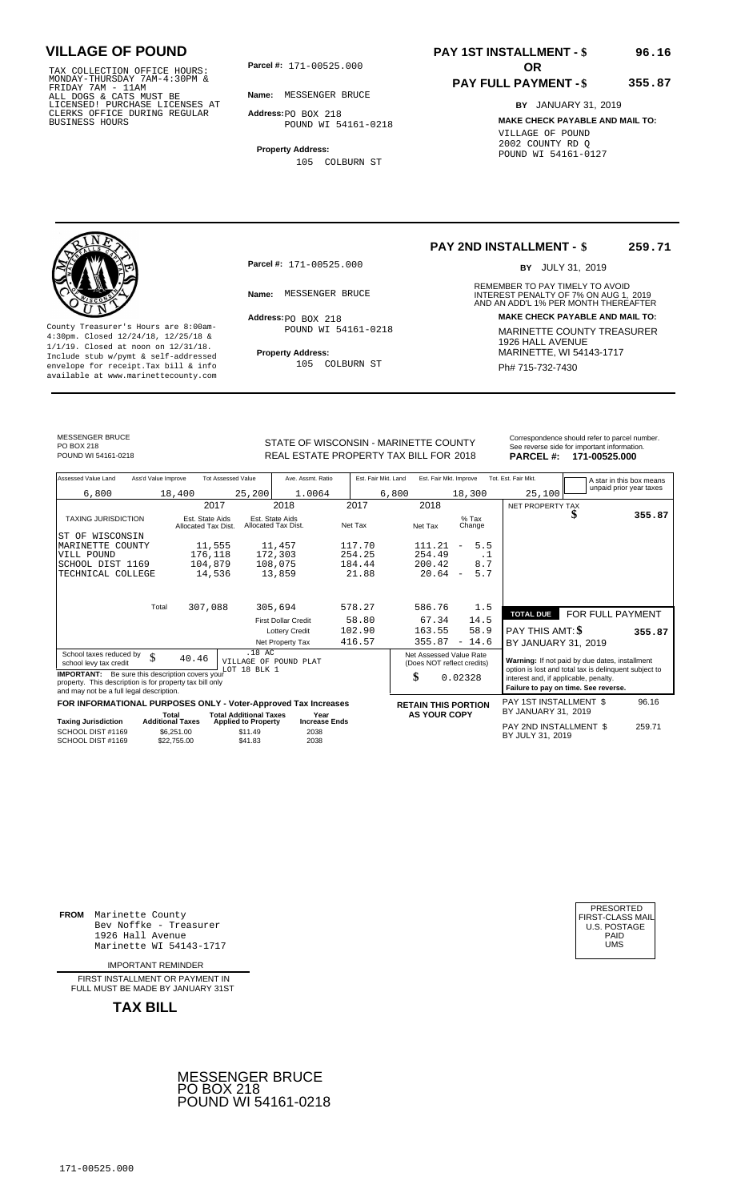TAX COLLECTION OFFICE HOURS:<br>
MONDAY-THURSDAY 7AM-4:30PM &<br>
FRIDAY 7AM - 11AM<br>
ALL DOGS & CATS MUST BE<br>
LICENSED! PURCHASE LICENSES AT<br>
CLERKS OFFICE DURING REGULAR<br>
CLERKS OFFICE DURING REGULAR<br>
BUSINESS HOURS<br>
BUSINESS H

**Parcel #:** 171-00525.000

**Name:** MESSENGER BRUCE

**Address:** PO BOX 218 POUND WI 54161-0218

**Property Address:** 105 COLBURN ST

# **PAY 1ST INSTALLMENT - \$**

### **PAY FULL PAYMENT - \$**

**355.87**

**96.16**

**BY** JANUARY 31, 2019 **MAKE CHECK PAYABLE AND MAIL TO:** VILLAGE OF POUND 2002 COUNTY RD Q POUND WI 54161-0127



**Property Address:** MARINETTE, WI 54143-1717 Include stub w/pymt & self-addressed envelope for receipt.Tax bill & info Ph# 715-732-7430 available at www.marinettecounty.com

**Parcel #:** 171-00525.000

 $Address:  $PO$  BOX 218$ POUND WI 54161-0218

105 COLBURN ST

**PAY 2ND INSTALLMENT - \$ 259.71**

BY JULY 31, 2019

REMEMBER TO PAY TIMELY TO AVOID **Name:** MESSENGER BRUCE **And ADDEREST PENALTY OF 7% ON AUG 1, 2019**<br>AND AN ADD'L 1% PER MONTH THEREAFTER **Address: MAKE CHECK PAYABLE AND MAIL TO:** County Treasurer's Hours are 8:00am-<br>
4:30pm. Closed 12/24/18, 12/25/18 & MARINETTE COUNTY TREASURER<br>
1/1/19. Closed at noon on 12/31/18.<br>
Include stub w/pwmt. & self-addressed<br> **Property Address:** MARINETTE, WI 54143-1717

MESSENGER BRUCE PO BOX 218<br>POUND WI 54161-0218

STATE OF WISCONSIN - MARINETTE COUNTY REAL ESTATE PROPERTY TAX BILL FOR **PARCEL #:** POUND WI 54161-0218 2018 **171-00525.000**

|                  | Correspondence should refer to parcel number. |
|------------------|-----------------------------------------------|
|                  | See reverse side for important information.   |
| <b>PARCEL #:</b> | 171-00525.000                                 |

| Assessed Value Land                                            | Ass'd Value Improve              |                                        | <b>Tot Assessed Value</b>             | Ave. Assmt. Ratio                      |         | Est. Fair Mkt. Land | Est. Fair Mkt. Improve  |                                 | Tot. Est. Fair Mkt.                   |                                                       | A star in this box means |
|----------------------------------------------------------------|----------------------------------|----------------------------------------|---------------------------------------|----------------------------------------|---------|---------------------|-------------------------|---------------------------------|---------------------------------------|-------------------------------------------------------|--------------------------|
| 6,800                                                          |                                  | 18,400                                 | 25,200                                | 1.0064                                 |         | 6,800               |                         | 18,300                          | 25,100                                |                                                       | unpaid prior year taxes  |
|                                                                |                                  | 2017                                   |                                       | 2018                                   | 2017    |                     | 2018                    |                                 | NET PROPERTY TAX                      |                                                       |                          |
|                                                                |                                  |                                        |                                       |                                        |         |                     |                         | $%$ Tax                         |                                       |                                                       | 355.87                   |
| <b>TAXING JURISDICTION</b>                                     |                                  | Est. State Aids<br>Allocated Tax Dist. |                                       | Est. State Aids<br>Allocated Tax Dist. | Net Tax |                     | Net Tax                 | Change                          |                                       |                                                       |                          |
| ST OF WISCONSIN                                                |                                  |                                        |                                       |                                        |         |                     |                         |                                 |                                       |                                                       |                          |
| MARINETTE COUNTY                                               |                                  | 11,555                                 |                                       | 11,457                                 | 117.70  |                     | 111.21                  | 5.5<br>$\overline{\phantom{m}}$ |                                       |                                                       |                          |
| VILL POUND                                                     |                                  | 176,118                                |                                       | 172,303                                | 254.25  |                     | 254.49                  | $\cdot$ 1                       |                                       |                                                       |                          |
| SCHOOL DIST 1169                                               |                                  | 104,879                                |                                       | 108,075                                | 184.44  |                     | 200.42                  | 8.7                             |                                       |                                                       |                          |
| TECHNICAL COLLEGE                                              |                                  | 14,536                                 |                                       | 13,859                                 | 21.88   |                     | 20.64                   | 5.7<br>$\overline{\phantom{a}}$ |                                       |                                                       |                          |
|                                                                |                                  |                                        |                                       |                                        |         |                     |                         |                                 |                                       |                                                       |                          |
|                                                                |                                  |                                        |                                       |                                        |         |                     |                         |                                 |                                       |                                                       |                          |
|                                                                | Total                            | 307,088                                |                                       | 305,694                                | 578.27  |                     | 586.76                  | 1.5                             |                                       |                                                       |                          |
|                                                                |                                  |                                        |                                       | <b>First Dollar Credit</b>             | 58.80   |                     | 67.34                   | 14.5                            | <b>TOTAL DUE</b>                      | FOR FULL PAYMENT                                      |                          |
|                                                                |                                  |                                        |                                       | <b>Lottery Credit</b>                  | 102.90  |                     | 163.55                  | 58.9                            | PAY THIS AMT: \$                      |                                                       | 355.87                   |
|                                                                |                                  |                                        |                                       | Net Property Tax                       | 416.57  |                     | 355.87                  | $-14.6$                         | BY JANUARY 31, 2019                   |                                                       |                          |
| School taxes reduced by                                        | \$                               |                                        | .18 AC                                |                                        |         |                     | Net Assessed Value Rate |                                 |                                       |                                                       |                          |
| school levy tax credit                                         |                                  | 40.46                                  |                                       | VILLAGE OF POUND PLAT                  |         |                     |                         | (Does NOT reflect credits)      |                                       | Warning: If not paid by due dates, installment        |                          |
| <b>IMPORTANT:</b> Be sure this description covers your         |                                  |                                        | LOT 18 BLK 1                          |                                        |         | \$                  |                         | 0.02328                         | interest and, if applicable, penalty. | option is lost and total tax is delinquent subject to |                          |
| property. This description is for property tax bill only       |                                  |                                        |                                       |                                        |         |                     |                         |                                 |                                       | Failure to pay on time. See reverse.                  |                          |
| and may not be a full legal description.                       |                                  |                                        |                                       |                                        |         |                     |                         |                                 |                                       |                                                       |                          |
| FOR INFORMATIONAL PURPOSES ONLY - Voter-Approved Tax Increases |                                  |                                        |                                       |                                        |         |                     |                         | <b>RETAIN THIS PORTION</b>      | PAY 1ST INSTALLMENT \$                |                                                       | 96.16                    |
| <b>Taxing Jurisdiction</b>                                     | Total<br><b>Additional Taxes</b> |                                        | <b>Total Additional Taxes</b>         | Year<br><b>Increase Ends</b>           |         |                     | <b>AS YOUR COPY</b>     |                                 | BY JANUARY 31, 2019                   |                                                       |                          |
| SCHOOL DIST #1169                                              |                                  | \$6.251.00                             | <b>Applied to Property</b><br>\$11.49 | 2038                                   |         |                     |                         |                                 | PAY 2ND INSTALLMENT \$                |                                                       | 259.71                   |
| SCHOOL DIST #1169                                              |                                  | \$22,755.00                            | \$41.83                               | 2038                                   |         |                     |                         |                                 | BY JULY 31, 2019                      |                                                       |                          |
|                                                                |                                  |                                        |                                       |                                        |         |                     |                         |                                 |                                       |                                                       |                          |

**FROM** Marinette County Bev Noffke - Treasurer 1926 Hall Avenue PAID Marinette WI 54143-1717 UMS

IMPORTANT REMINDER

FIRST INSTALLMENT OR PAYMENT IN FULL MUST BE MADE BY JANUARY 31ST



| PRESORTED           |
|---------------------|
| FIRST-CLASS MAIL    |
| <b>U.S. POSTAGE</b> |
| PAID                |
| UMS                 |
|                     |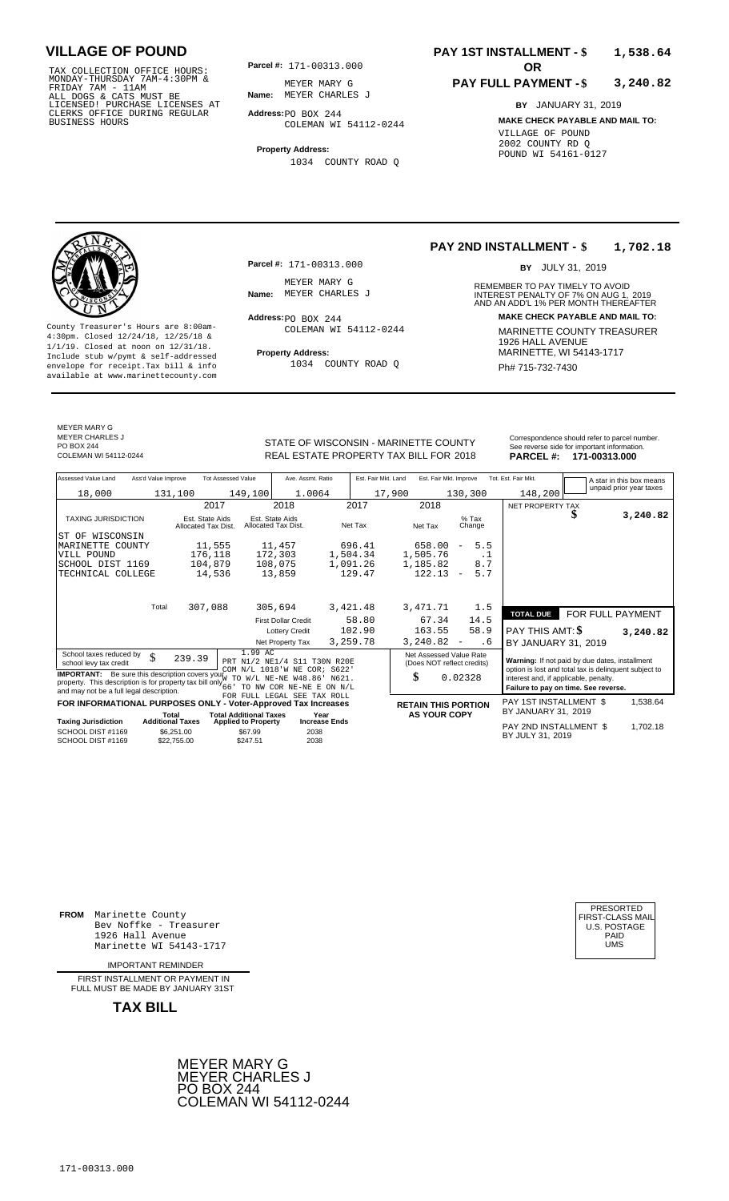TAX COLLECTION OFFICE HOURS:<br>
MONDAY-THURSDAY 7AM-4:30PM & MEYER MARY G<br>
FRIDAY 7AM - 11AM<br>
ALL DOGS & CATS MUST BE **Name:** MEYER CHARLES<br>
LICENSED! PURCHASE LICENSES AT<br>
CLERKS OFFICE DURING REGULAR **Address**:PO BOX 244<br>

**Parcel #:** 171-00313.000

**Name:** MEYER CHARLES J MEYER MARY G

**Address:** PO BOX 244 COLEMAN WI 54112-0244

**Property Address:** 1034 COUNTY ROAD Q

### **PAY 1ST INSTALLMENT - \$ 1,538.64**

#### **PAY FULL PAYMENT - \$ 3,240.82**

**BY** JANUARY 31, 2019 **MAKE CHECK PAYABLE AND MAIL TO:** VILLAGE OF POUND 2002 COUNTY RD Q POUND WI 54161-0127



**Property Address:** MARINETTE, WI 54143-1717 Include stub w/pymt & self-addressed envelope for receipt.Tax bill & info Ph# 715-732-7430 available at www.marinettecounty.com

MEYER MARY G METER MARTING

PO BOX 244<br>COLEMAN WI 54112-0244

**Parcel #:** 171-00313.000

MEYER MARY G<br>Name: MEYER CHARLES J

 $Address:  $PO$  BOX 244$ COLEMAN WI 54112-0244

1034 COUNTY ROAD Q

**PAY 2ND INSTALLMENT - \$ 1,702.18**

BY JULY 31, 2019

REMEMBER TO PAY TIMELY TO AVOID **Name:** MEYER CHARLES J<br> **INTEREST PENALTY OF 7% ON AUG 1, 2019**<br>
AND AN ADD'L 1% PER MONTH THEREAFTER **Address: MAKE CHECK PAYABLE AND MAIL TO:** County Treasurer's Hours are 8:00am-<br>
4:30pm. Closed 12/24/18, 12/25/18 & MARINETTE COUNTY TREASURER<br>
1/1/19. Closed at noon on 12/31/18.<br>
Include stub w/pwmt & self-addressed **Property Address:** MARINETTE, WI 54143-1717

STATE OF WISCONSIN - MARINETTE COUNTY REAL ESTATE PROPERTY TAX BILL FOR **PARCEL #:** COLEMAN WI 54112-0244 2018 **171-00313.000**

| Correspondence should refer to parcel number. |
|-----------------------------------------------|
| See reverse side for important information.   |
| ------<br>$\cdots$                            |

| Assessed Value Land                                                                                                                           | Ass'd Value Improve              |                                                | <b>Tot Assessed Value</b>                                   | Ave. Assmt. Ratio                                                                                                  |                              | Est. Fair Mkt. Land | Est. Fair Mkt. Improve                                      |                          |                   | Tot. Est. Fair Mkt.                                                                                                                                                                      |  | A star in this box means |
|-----------------------------------------------------------------------------------------------------------------------------------------------|----------------------------------|------------------------------------------------|-------------------------------------------------------------|--------------------------------------------------------------------------------------------------------------------|------------------------------|---------------------|-------------------------------------------------------------|--------------------------|-------------------|------------------------------------------------------------------------------------------------------------------------------------------------------------------------------------------|--|--------------------------|
| 18,000                                                                                                                                        | 131,100                          |                                                | 149,100                                                     | 1.0064                                                                                                             |                              |                     | 17,900                                                      | 130,300                  |                   | 148,200                                                                                                                                                                                  |  | unpaid prior year taxes  |
|                                                                                                                                               |                                  |                                                | 2017                                                        | 2018                                                                                                               |                              | 2017                | 2018                                                        |                          |                   | NET PROPERTY TAX                                                                                                                                                                         |  |                          |
| <b>TAXING JURISDICTION</b>                                                                                                                    |                                  | Est. State Aids<br>Allocated Tax Dist.         |                                                             | Est. State Aids<br>Allocated Tax Dist.                                                                             |                              | Net Tax             | Net Tax                                                     |                          | $%$ Tax<br>Change |                                                                                                                                                                                          |  | 3,240.82                 |
| ST OF WISCONSIN                                                                                                                               |                                  |                                                |                                                             |                                                                                                                    |                              |                     |                                                             |                          |                   |                                                                                                                                                                                          |  |                          |
| MARINETTE COUNTY                                                                                                                              |                                  | 11,555                                         |                                                             | 11,457                                                                                                             |                              | 696.41              | 658.00                                                      | $\overline{\phantom{a}}$ | 5.5               |                                                                                                                                                                                          |  |                          |
| VILL POUND                                                                                                                                    |                                  | 176,118                                        |                                                             | 172,303                                                                                                            |                              | 1,504.34            | 1,505.76                                                    |                          | $\cdot$ 1         |                                                                                                                                                                                          |  |                          |
| SCHOOL DIST 1169                                                                                                                              |                                  | 104,879                                        |                                                             | 108,075                                                                                                            |                              | 1,091.26            | 1,185.82                                                    |                          | 8.7               |                                                                                                                                                                                          |  |                          |
| TECHNICAL COLLEGE                                                                                                                             |                                  |                                                | 14,536                                                      | 13,859                                                                                                             |                              | 129.47              | 122.13                                                      | $\overline{\phantom{m}}$ | 5.7               |                                                                                                                                                                                          |  |                          |
|                                                                                                                                               |                                  |                                                |                                                             |                                                                                                                    |                              |                     |                                                             |                          |                   |                                                                                                                                                                                          |  |                          |
|                                                                                                                                               | Total                            | 307,088                                        |                                                             | 305,694                                                                                                            |                              | 3,421.48            | 3,471.71                                                    |                          | 1.5               | <b>TOTAL DUE</b>                                                                                                                                                                         |  | FOR FULL PAYMENT         |
|                                                                                                                                               |                                  |                                                |                                                             | <b>First Dollar Credit</b>                                                                                         |                              | 58.80               | 67.34                                                       |                          | 14.5              |                                                                                                                                                                                          |  |                          |
|                                                                                                                                               |                                  |                                                |                                                             | <b>Lottery Credit</b>                                                                                              |                              | 102.90              | 163.55                                                      |                          | 58.9              | <b>PAY THIS AMT: \$</b>                                                                                                                                                                  |  | 3,240.82                 |
|                                                                                                                                               |                                  |                                                |                                                             | Net Property Tax                                                                                                   |                              | 3,259.78            | 3,240.82                                                    | $\overline{\phantom{a}}$ | . 6               | BY JANUARY 31, 2019                                                                                                                                                                      |  |                          |
| School taxes reduced by<br>school levy tax credit<br><b>IMPORTANT:</b><br>property. This description is for property tax bill only $66^\circ$ | \$                               | 239.39<br>Be sure this description covers your | 1.99 AC<br>TO                                               | PRT N1/2 NE1/4 S11 T30N R20E<br>COM N/L 1018'W NE COR; S622'<br>$W/L$ NE-NE $W48.86$ '<br>TO NW COR NE-NE E ON N/L | N621.                        |                     | Net Assessed Value Rate<br>(Does NOT reflect credits)<br>\$ | 0.02328                  |                   | Warning: If not paid by due dates, installment<br>option is lost and total tax is delinquent subject to<br>interest and, if applicable, penalty.<br>Failure to pay on time. See reverse. |  |                          |
| and may not be a full legal description.                                                                                                      |                                  |                                                |                                                             | FOR FULL LEGAL SEE TAX ROLL                                                                                        |                              |                     |                                                             |                          |                   |                                                                                                                                                                                          |  |                          |
| FOR INFORMATIONAL PURPOSES ONLY - Voter-Approved Tax Increases                                                                                |                                  |                                                |                                                             |                                                                                                                    |                              |                     | <b>RETAIN THIS PORTION</b>                                  |                          |                   | PAY 1ST INSTALLMENT \$<br>BY JANUARY 31, 2019                                                                                                                                            |  | 1,538.64                 |
| <b>Taxing Jurisdiction</b>                                                                                                                    | Total<br><b>Additional Taxes</b> |                                                | <b>Total Additional Taxes</b><br><b>Applied to Property</b> |                                                                                                                    | Year<br><b>Increase Ends</b> |                     | <b>AS YOUR COPY</b>                                         |                          |                   |                                                                                                                                                                                          |  |                          |
| SCHOOL DIST #1169<br>SCHOOL DIST #1169                                                                                                        |                                  | \$6,251.00<br>\$22,755.00                      | \$67.99<br>\$247.51                                         | 2038<br>2038                                                                                                       |                              |                     |                                                             |                          |                   | PAY 2ND INSTALLMENT \$<br>BY JULY 31, 2019                                                                                                                                               |  | 1,702.18                 |

**FROM** Marinette County Bev Noffke - Treasurer (U.S. POSTAGE)<br>1926 Hall Avenue (U.S. POSTAGE)<br>Marinette WI 54143-1717 (U.S. POSTAGE) 1926 Hall Avenue PAID Marinette WI 54143-1717 UMS

IMPORTANT REMINDER

FIRST INSTALLMENT OR PAYMENT IN FULL MUST BE MADE BY JANUARY 31ST



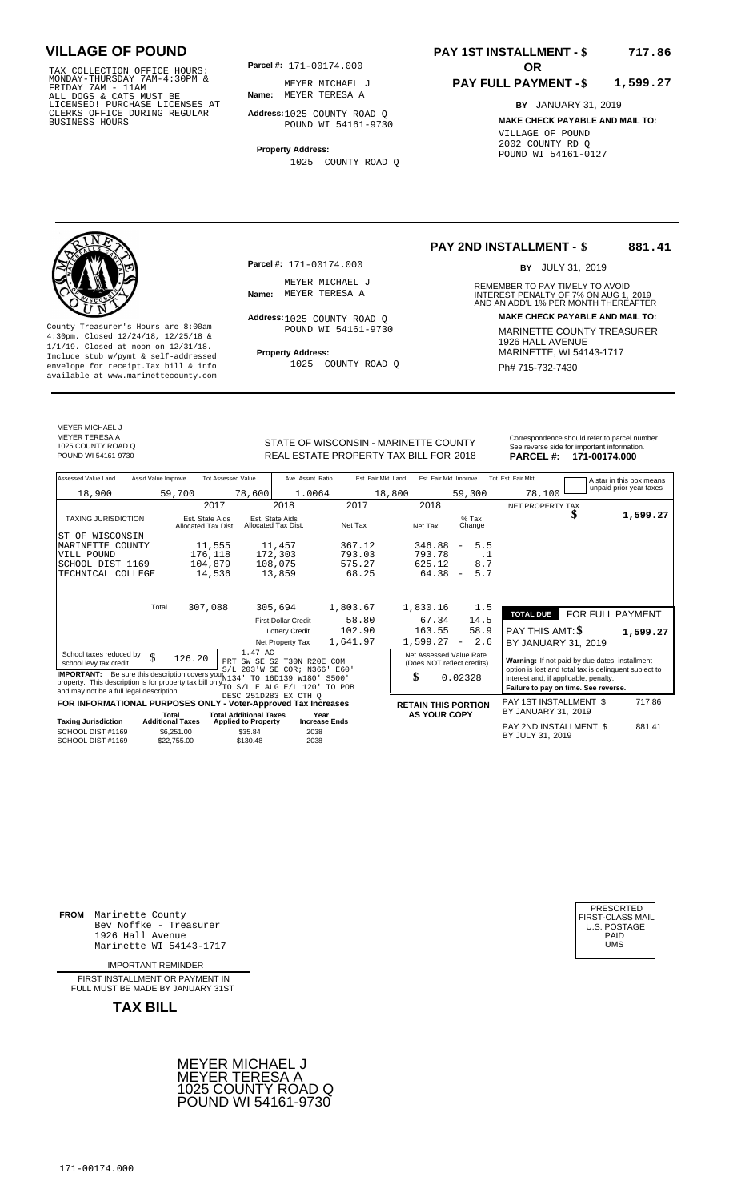TAX COLLECTION OFFICE HOURS:<br>
MONDAY-THURSDAY 7AM-4:30PM & MEYER MICHAEL<br>
FRIDAY 7AM - 11AM<br>
ALL DOGS & CATS MUST BE **Name**: MEYER TERESA F<br>
LICENSED! PURCHASE LICENSES AT<br>
CLERKS OFFICE DURING REGULAR **Address**:1025 COUNT

**Parcel #:** 171-00174.000

**Name:** MEYER TERESA A MEYER MICHAEL J

**Address:** 1025 COUNTY ROAD Q POUND WI 54161-9730

**Property Address:** 1025 COUNTY ROAD Q

**Parcel #:** 171-00174.000

MEYER MICHAEL J<br>Name: MEYER TERESA A

Address: 1025 COUNTY ROAD Q POUND WI 54161-9730

1025 COUNTY ROAD Q

### **PAY 1ST INSTALLMENT - \$ 717.86**

**PAY 2ND INSTALLMENT - \$**

**Name:** MEYER TERESA A **1988 18 18 INTEREST PENALTY OF 7% ON AUG 1, 2019<br>AND AN ADD'L 1% PER MONTH THEREAFTER** 

#### **PAY FULL PAYMENT - \$ 1,599.27**

REMEMBER TO PAY TIMELY TO AVOID

BY JULY 31, 2019

**Address: MAKE CHECK PAYABLE AND MAIL TO:**

**881.41**

**BY** JANUARY 31, 2019 **MAKE CHECK PAYABLE AND MAIL TO:** VILLAGE OF POUND 2002 COUNTY RD Q POUND WI 54161-0127



County Treasurer's Hours are 8:00am-<br>
4:30pm. Closed 12/24/18, 12/25/18 & MARINETTE COUNTY TREASURER<br>
1/1/19. Closed at noon on 12/31/18.<br>
Include stub w/pwmt & self-addressed **Property Address:** MARINETTE, WI 54143-1717 **Property Address:** MARINETTE, WI 54143-1717 Include stub w/pymt & self-addressed envelope for receipt.Tax bill & info Fig. 2000 COUNTY ROAD Q Fig. 2014 Ph# 715-732-7430 available at www.marinettecounty.com

MEYER MICHAEL J METER MIDITALES 1025 COUNTY ROAD Q

STATE OF WISCONSIN - MARINETTE COUNTY<br>
See reverse side for important information.<br>
REAL ESTATE PROPERTY TAX BILL FOR 2018 PARCEL #: 171-00174.000 REAL ESTATE PROPERTY TAX BILL FOR **PARCEL #:** POUND WI 54161-9730 2018 **171-00174.000**

| Assessed Value Land                                                                                                                                                                                    | Ass'd Value Improve     |                                        | <b>Tot Assessed Value</b>                         | Ave. Assmt. Ratio                                 | Est. Fair Mkt. Land | Est. Fair Mkt. Improve                                |                                 | Tot. Est. Fair Mkt.                                                                                     |                  | A star in this box means |
|--------------------------------------------------------------------------------------------------------------------------------------------------------------------------------------------------------|-------------------------|----------------------------------------|---------------------------------------------------|---------------------------------------------------|---------------------|-------------------------------------------------------|---------------------------------|---------------------------------------------------------------------------------------------------------|------------------|--------------------------|
| 18,900                                                                                                                                                                                                 |                         | 59,700                                 | 78,600                                            | 1.0064                                            |                     | 18,800                                                | 59,300                          | 78,100                                                                                                  |                  | unpaid prior year taxes  |
|                                                                                                                                                                                                        |                         |                                        | 2017                                              | 2018                                              | 2017                | 2018                                                  |                                 | NET PROPERTY TAX                                                                                        |                  |                          |
| <b>TAXING JURISDICTION</b>                                                                                                                                                                             |                         | Est. State Aids<br>Allocated Tax Dist. |                                                   | Est. State Aids<br>Allocated Tax Dist.            | Net Tax             | Net Tax                                               | $%$ Tax<br>Change               |                                                                                                         |                  | 1,599.27                 |
| ST OF WISCONSIN                                                                                                                                                                                        |                         |                                        |                                                   |                                                   |                     |                                                       |                                 |                                                                                                         |                  |                          |
| MARINETTE COUNTY                                                                                                                                                                                       |                         | 11,555                                 |                                                   | 11,457                                            | 367.12              | 346.88                                                | 5.5<br>$\overline{\phantom{m}}$ |                                                                                                         |                  |                          |
| VILL POUND                                                                                                                                                                                             |                         | 176,118                                |                                                   | 172,303                                           | 793.03              | 793.78                                                | $\cdot$ 1                       |                                                                                                         |                  |                          |
| SCHOOL DIST 1169                                                                                                                                                                                       |                         | 104,879                                |                                                   | 108,075                                           | 575.27              | 625.12                                                | 8.7                             |                                                                                                         |                  |                          |
| TECHNICAL COLLEGE                                                                                                                                                                                      |                         | 14,536                                 |                                                   | 13,859                                            | 68.25               | 64.38                                                 | 5.7<br>$\overline{\phantom{a}}$ |                                                                                                         |                  |                          |
|                                                                                                                                                                                                        |                         |                                        |                                                   |                                                   |                     |                                                       |                                 |                                                                                                         |                  |                          |
|                                                                                                                                                                                                        | Total                   | 307,088                                |                                                   | 305,694                                           | 1,803.67            | 1,830.16                                              | 1.5                             | <b>TOTAL DUE</b>                                                                                        | FOR FULL PAYMENT |                          |
|                                                                                                                                                                                                        |                         |                                        |                                                   | <b>First Dollar Credit</b>                        | 58.80               | 67.34                                                 | 14.5                            |                                                                                                         |                  |                          |
|                                                                                                                                                                                                        |                         |                                        |                                                   | <b>Lottery Credit</b>                             | 102.90              | 163.55                                                | 58.9                            | PAY THIS AMT: <b>\$</b>                                                                                 |                  | 1,599.27                 |
|                                                                                                                                                                                                        |                         |                                        |                                                   | Net Property Tax                                  | 1,641.97            | 1,599.27                                              | 2.6<br>$\overline{\phantom{m}}$ | BY JANUARY 31, 2019                                                                                     |                  |                          |
| School taxes reduced by<br>school levy tax credit                                                                                                                                                      | \$                      | 126.20                                 | 1.47 AC                                           | PRT SW SE S2 T30N R20E<br>S/L 203'W SE COR; N366' | COM<br>E60'         | Net Assessed Value Rate<br>(Does NOT reflect credits) |                                 | Warning: If not paid by due dates, installment<br>option is lost and total tax is delinquent subject to |                  |                          |
| <b>IMPORTANT:</b> Be sure this description covers your 134<br>property. This description is for property tax bill only $_{TO \ S/L \ E \ ALG \ E/L \ 120}$<br>and may not be a full legal description. |                         |                                        |                                                   | TO 16D139 W180'<br>DESC 251D283 EX CTH O          | S500'<br>TO POB     | \$                                                    | 0.02328                         | interest and, if applicable, penalty.<br>Failure to pay on time. See reverse.                           |                  |                          |
| FOR INFORMATIONAL PURPOSES ONLY                                                                                                                                                                        |                         |                                        |                                                   | - Voter-Approved Tax Increases                    |                     | <b>RETAIN THIS PORTION</b>                            |                                 | <b>PAY 1ST INSTALLMENT \$</b>                                                                           |                  | 717.86                   |
|                                                                                                                                                                                                        | Total                   |                                        | <b>Total Additional Taxes</b>                     | Year                                              |                     | <b>AS YOUR COPY</b>                                   |                                 | BY JANUARY 31, 2019                                                                                     |                  |                          |
| <b>Taxing Jurisdiction</b><br>SCHOOL DIST #1169<br>SCHOOL DIST #1169                                                                                                                                   | <b>Additional Taxes</b> | \$6,251.00<br>\$22,755.00              | <b>Applied to Property</b><br>\$35.84<br>\$130.48 | <b>Increase Ends</b><br>2038<br>2038              |                     |                                                       |                                 | PAY 2ND INSTALLMENT \$<br>BY JULY 31, 2019                                                              |                  | 881.41                   |

**FROM** Marinette County Bev Noffke - Treasurer (U.S. POSTAGE)<br>1926 Hall Avenue (U.S. POSTAGE)<br>Marinette WI 54143-1717 (U.S. POSTAGE) 1926 Hall Avenue Marinette WI 54143-1717

IMPORTANT REMINDER

FIRST INSTALL MENT OR PAYMENT IN FULL MUST BE MADE BY JANUARY 31ST



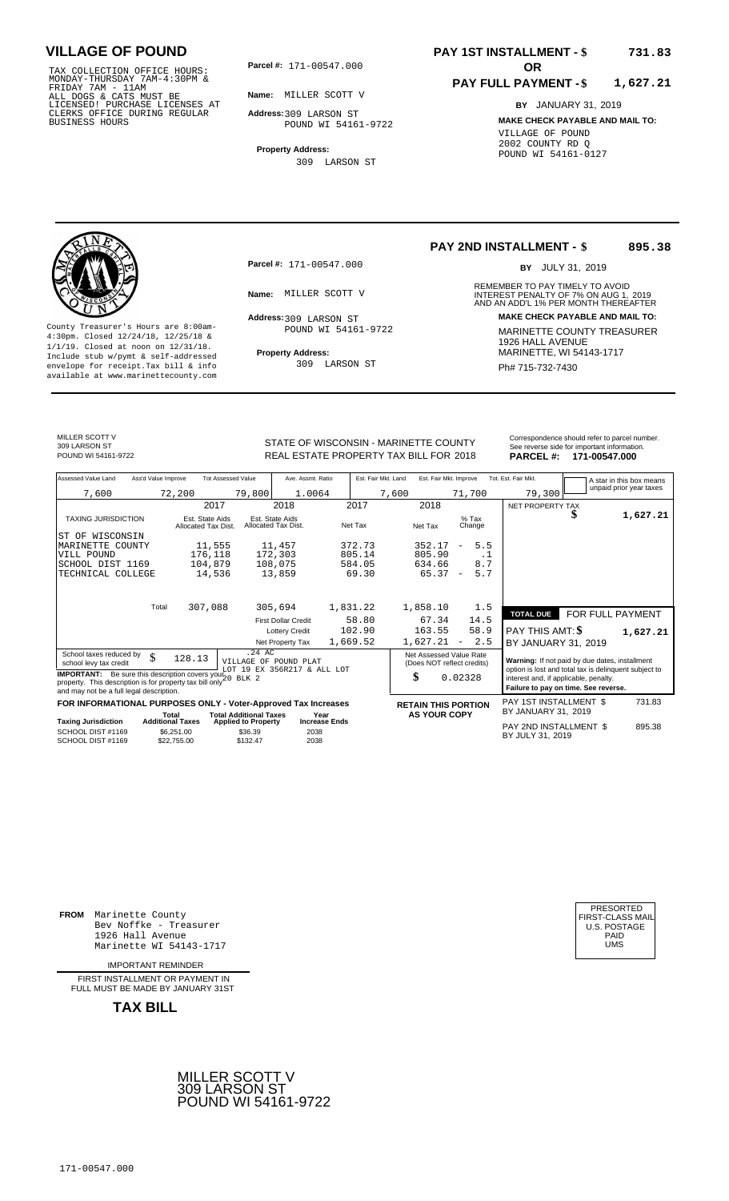TAX COLLECTION OFFICE HOURS:<br>
MONDAY-THURSDAY 7AM-4:30PM &<br>
FRIDAY 7AM - 11AM<br>
ALL DOGS & CATS MUST BE<br>
LICENSED! PURCHASE LICENSES AT<br>
CLERKS OFFICE DURING REGULAR<br>
CLERKS OFFICE DURING REGULAR<br>
BUSINESS HOURS<br>
BUSINESS H

**Parcel #:** 171-00547.000

**Name:** MILLER SCOTT V

**Address:** 309 LARSON ST POUND WI 54161-9722

**Property Address:** 309 LARSON ST

#### **PAY 1ST INSTALLMENT - \$ 731.83**

#### **PAY FULL PAYMENT - \$ 1,627.21**

**BY** JANUARY 31, 2019 **MAKE CHECK PAYABLE AND MAIL TO:** VILLAGE OF POUND 2002 COUNTY RD Q POUND WI 54161-0127



**Property Address:** MARINETTE, WI 54143-1717 Include stub w/pymt & self-addressed envelope for receipt.Tax bill & info Phat Subsetter Subsetter Subsetter Ph# 715-732-7430<br>available at www.marinettecounty.com

**Parcel #:** 171-00547.000

Address: 309 LARSON ST POUND WI 54161-9722

309 LARSON ST

#### **PAY 2ND INSTALLMENT - \$ 895.38**

BY JULY 31, 2019

REMEMBER TO PAY TIMELY TO AVOID **Name:** MILLER SCOTT V **1988** INTEREST PENALTY OF 7% ON AUG 1, 2019<br>AND AN ADD'L 1% PER MONTH THEREAFTER **Address: MAKE CHECK PAYABLE AND MAIL TO:** County Treasurer's Hours are 8:00am-<br>
4:30pm. Closed 12/24/18, 12/25/18 & 1/1/19. Closed at noon on 12/31/18.<br>
Include stub w/pwmt. & self-addressed<br>
Froperty Address: MARINETTE, WI 54143-1717

MILLER SCOTT V 309 LARSON ST<br>POUND WI 54161-9722

STATE OF WISCONSIN - MARINETTE COUNTY POUND WI 54161-9722 **18 COVER THE PROPERTY TAX BILL FOR 2018 PARCEL #: 171-00547.000** 

|  | PARCEL # 171-00547.000                       |
|--|----------------------------------------------|
|  | See reverse side for important information.  |
|  | Correspondence should refer to parcel number |

| Assessed Value Land<br>Ass'd Value Improve                                                                                                                                | <b>Tot Assessed Value</b>                        | Ave. Assmt. Ratio                                    | Est. Fair Mkt. Land | Est. Fair Mkt. Improve                                | Tot. Est. Fair Mkt.                                                                                     | A star in this box means |
|---------------------------------------------------------------------------------------------------------------------------------------------------------------------------|--------------------------------------------------|------------------------------------------------------|---------------------|-------------------------------------------------------|---------------------------------------------------------------------------------------------------------|--------------------------|
| 7,600                                                                                                                                                                     | 79,800<br>72,200                                 | 1.0064                                               | 7,600               | 71,700                                                | 79,300                                                                                                  | unpaid prior year taxes  |
|                                                                                                                                                                           | 2017                                             | 2018                                                 | 2017                | 2018                                                  | NET PROPERTY TAX                                                                                        |                          |
| <b>TAXING JURISDICTION</b>                                                                                                                                                | Est. State Aids<br>Allocated Tax Dist.           | Est. State Aids<br>Allocated Tax Dist.               | Net Tax             | $%$ Tax<br>Net Tax<br>Change                          | \$                                                                                                      | 1,627.21                 |
| WISCONSIN<br>ST OF                                                                                                                                                        |                                                  |                                                      |                     |                                                       |                                                                                                         |                          |
| MARINETTE COUNTY                                                                                                                                                          | 11,555                                           | 11,457                                               | 372.73              | 5.5<br>352.17<br>$\overline{\phantom{a}}$             |                                                                                                         |                          |
| VILL POUND                                                                                                                                                                | 176,118                                          | 172,303                                              | 805.14              | 805.90<br>. 1                                         |                                                                                                         |                          |
| SCHOOL DIST 1169                                                                                                                                                          | 104,879                                          | 108,075                                              | 584.05              | 8.7<br>634.66                                         |                                                                                                         |                          |
| TECHNICAL COLLEGE                                                                                                                                                         | 14,536                                           | 13,859                                               | 69.30               | 5.7<br>65.37<br>$\overline{\phantom{a}}$              |                                                                                                         |                          |
| Total                                                                                                                                                                     | 307,088                                          | 305,694                                              | 1,831.22            | 1,858.10<br>1.5                                       |                                                                                                         |                          |
|                                                                                                                                                                           |                                                  |                                                      | 58.80               | 67.34                                                 | <b>TOTAL DUE</b>                                                                                        | FOR FULL PAYMENT         |
|                                                                                                                                                                           |                                                  | <b>First Dollar Credit</b>                           |                     | 14.5                                                  |                                                                                                         |                          |
|                                                                                                                                                                           |                                                  | <b>Lottery Credit</b>                                | 102.90              | 58.9<br>163.55                                        | PAY THIS AMT: \$                                                                                        | 1,627.21                 |
|                                                                                                                                                                           |                                                  | Net Property Tax                                     | 1,669.52            | 2.5<br>1,627.21<br>$\overline{\phantom{a}}$           | BY JANUARY 31, 2019                                                                                     |                          |
| School taxes reduced by<br>\$<br>school levy tax credit                                                                                                                   | $.24 \text{ AC}$<br>128.13                       | VILLAGE OF POUND PLAT<br>LOT 19 EX 356R217 & ALL LOT |                     | Net Assessed Value Rate<br>(Does NOT reflect credits) | Warning: If not paid by due dates, installment<br>option is lost and total tax is delinquent subject to |                          |
| <b>IMPORTANT:</b> Be sure this description covers your $20$ BLK 2<br>property. This description is for property tax bill only<br>and may not be a full legal description. |                                                  |                                                      |                     | \$<br>0.02328                                         | interest and, if applicable, penalty.<br>Failure to pay on time. See reverse.                           |                          |
| FOR INFORMATIONAL PURPOSES ONLY - Voter-Approved Tax Increases                                                                                                            |                                                  |                                                      |                     | <b>RETAIN THIS PORTION</b>                            | PAY 1ST INSTALLMENT \$                                                                                  | 731.83                   |
| Total                                                                                                                                                                     | <b>Total Additional Taxes</b>                    | Year                                                 |                     | <b>AS YOUR COPY</b>                                   | BY JANUARY 31, 2019                                                                                     |                          |
| <b>Taxing Jurisdiction</b><br><b>Additional Taxes</b>                                                                                                                     | <b>Applied to Property</b>                       | <b>Increase Ends</b>                                 |                     |                                                       | PAY 2ND INSTALLMENT \$                                                                                  | 895.38                   |
| SCHOOL DIST #1169<br>SCHOOL DIST #1169                                                                                                                                    | \$6.251.00<br>\$36.39<br>\$22,755.00<br>\$132.47 | 2038<br>2038                                         |                     |                                                       | BY JULY 31, 2019                                                                                        |                          |

**FROM** Marinette County Bev Noffke - Treasurer (U.S. POSTAGE)<br>1926 Hall Avenue (U.S. POSTAGE)<br>Marinette WI 54143-1717 (U.S. POSTAGE) 1926 Hall Avenue PAID Marinette WI 54143-1717 UMS

IMPORTANT REMINDER

FIRST INSTALLMENT OR PAYMENT IN FULL MUST BE MADE BY JANUARY 31ST

**TAX BILL**

171-00547.000



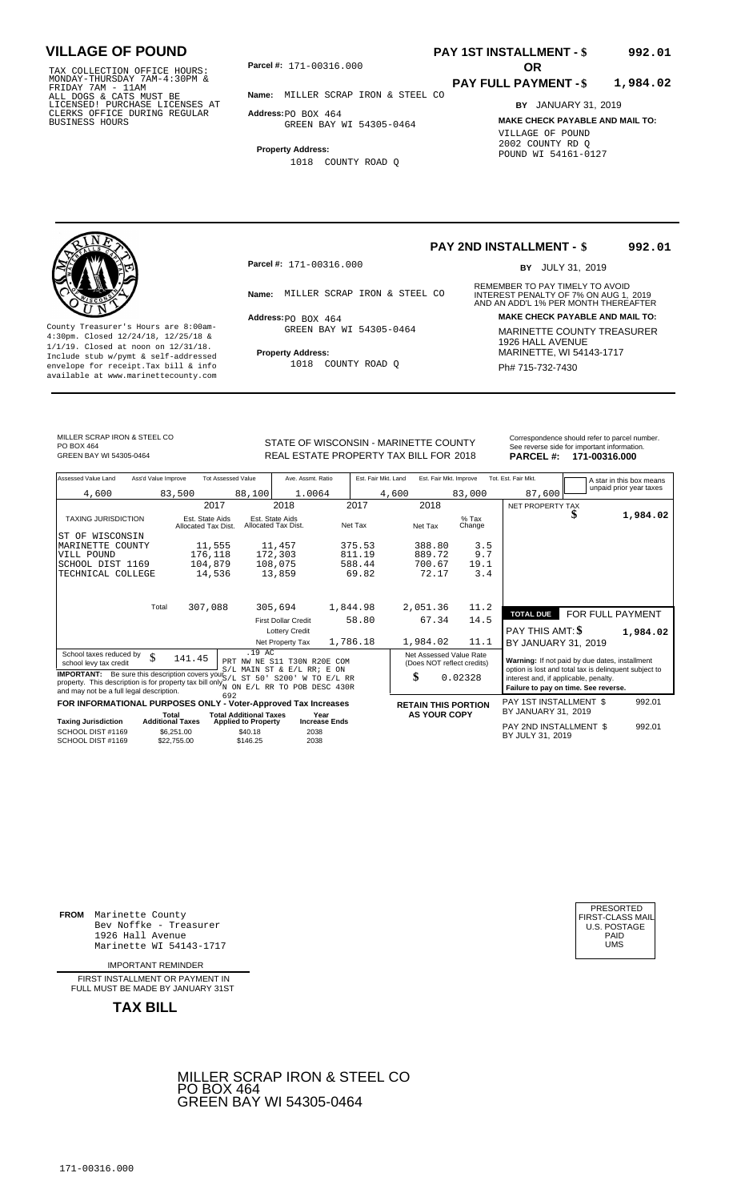TAX COLLECTION OFFICE HOURS:<br>
MONDAY-THURSDAY 7AM-4:30PM &<br>
FRIDAY 7AM - 11AM<br>
ALL DOGS & CATS MUST BE<br>
LICENSED! PURCHASE LICENSES AT<br>
CLERKS OFFICE DURING REGULAR<br>
CLERKS OFFICE DURING REGULAR<br>
BUSINESS HOURS<br>
BUSINESS H

**Parcel #:** 171-00316.000

**Name:** MILLER SCRAP IRON & STEEL CO

**Address:** PO BOX 464 GREEN BAY WI 54305-0464

**Property Address:** 1018 COUNTY ROAD Q

# **PAY 1ST INSTALLMENT - \$**

#### **PAY FULL PAYMENT - \$ 1,984.02**

**992.01**

**BY** JANUARY 31, 2019 **MAKE CHECK PAYABLE AND MAIL TO:** VILLAGE OF POUND 2002 COUNTY RD Q POUND WI 54161-0127

**Property Address:** MARINETTE, WI 54143-1717 Include stub w/pymt & self-addressed envelope for receipt.Tax bill & info Ph# 715-732-7430 available at www.marinettecounty.com

**Parcel #:** 171-00316.000

 $Address:  $PO$  BOX 464$ GREEN BAY WI 54305-0464

1018 COUNTY ROAD Q

**PAY 2ND INSTALLMENT - \$ 992.01**

BY JULY 31, 2019

REMEMBER TO PAY TIMELY TO AVOID **Name:** MILLER SCRAP IRON & STEEL CO INTEREST PENALTY OF 7% ON AUG 1, 2019<br>AND AN ADD'L 1% PER MONTH THEREAFTER **Address: MAKE CHECK PAYABLE AND MAIL TO:** County Treasurer's Hours are 8:00am-<br>
4:30pm. Closed 12/24/18, 12/25/18 & MARINETTE COUNTY TREASURER<br>
1/1/19. Closed at noon on 12/31/18.<br>
Include stub w/pwmt & self-addressed **Property Address:** MARINETTE, WI 54143-1717

MILLER SCRAP IRON & STEEL CO PO BOX 464<br>GREEN BAY WI 54305-0464

STATE OF WISCONSIN - MARINETTE COUNTY<br>
See reverse side for important information.<br>
REAL ESTATE PROPERTY TAX BILL FOR 2018 PARCEL #: 171-00316.000 GREEN BAY WI 54305-0464 **171-00316.000** REAL ESTATE PROPERTY TAX BILL FOR 2018 **PARCEL #: 171-00316.000** 

| Assessed Value Land<br>Ass'd Value Improve                                                                                                                                                                                      | <b>Tot Assessed Value</b>                                                      | Ave. Assmt. Ratio                                         | Est. Fair Mkt. Land | Est. Fair Mkt. Improve                                | Tot. Est. Fair Mkt.                                                           | A star in this box means                              |
|---------------------------------------------------------------------------------------------------------------------------------------------------------------------------------------------------------------------------------|--------------------------------------------------------------------------------|-----------------------------------------------------------|---------------------|-------------------------------------------------------|-------------------------------------------------------------------------------|-------------------------------------------------------|
| 4,600                                                                                                                                                                                                                           | 83,500<br>88,100                                                               | 1.0064                                                    | 4,600               | 83,000                                                | 87,600                                                                        | unpaid prior year taxes                               |
|                                                                                                                                                                                                                                 | 2017                                                                           | 2018                                                      | 2017                | 2018                                                  | NET PROPERTY TAX                                                              |                                                       |
| <b>TAXING JURISDICTION</b>                                                                                                                                                                                                      | Est. State Aids<br>Allocated Tax Dist.                                         | Est. State Aids<br>Allocated Tax Dist.                    | Net Tax             | $%$ Tax<br>Net Tax<br>Change                          | D                                                                             | 1,984.02                                              |
| ST OF WISCONSIN                                                                                                                                                                                                                 |                                                                                |                                                           |                     |                                                       |                                                                               |                                                       |
| MARINETTE COUNTY                                                                                                                                                                                                                | 11,555                                                                         | 11,457                                                    | 375.53              | 388.80<br>3.5                                         |                                                                               |                                                       |
| VILL POUND                                                                                                                                                                                                                      | 176,118                                                                        | 172,303                                                   | 811.19              | 889.72<br>9.7                                         |                                                                               |                                                       |
| SCHOOL DIST 1169                                                                                                                                                                                                                | 104,879                                                                        | 108,075                                                   | 588.44              | 700.67<br>19.1                                        |                                                                               |                                                       |
| TECHNICAL COLLEGE                                                                                                                                                                                                               | 14,536                                                                         | 13,859                                                    | 69.82               | 72.17<br>3.4                                          |                                                                               |                                                       |
|                                                                                                                                                                                                                                 |                                                                                |                                                           |                     |                                                       |                                                                               |                                                       |
| Total                                                                                                                                                                                                                           | 307,088                                                                        | 305,694                                                   | 1,844.98            | 2,051.36<br>11.2                                      | <b>TOTAL DUE</b>                                                              | FOR FULL PAYMENT                                      |
|                                                                                                                                                                                                                                 |                                                                                | <b>First Dollar Credit</b>                                | 58.80               | 14.5<br>67.34                                         |                                                                               |                                                       |
|                                                                                                                                                                                                                                 |                                                                                | <b>Lottery Credit</b>                                     |                     |                                                       | <b>PAY THIS AMT: \$</b>                                                       | 1,984.02                                              |
|                                                                                                                                                                                                                                 |                                                                                | Net Property Tax                                          | 1,786.18            | 1,984.02<br>11.1                                      | BY JANUARY 31, 2019                                                           |                                                       |
| School taxes reduced by<br>\$<br>school levy tax credit                                                                                                                                                                         | .19 AC<br>141.45                                                               | PRT NW NE S11 T30N R20E COM<br>S/L MAIN ST & E/L RR; E ON |                     | Net Assessed Value Rate<br>(Does NOT reflect credits) | Warning: If not paid by due dates, installment                                | option is lost and total tax is delinquent subject to |
| <b>IMPORTANT:</b> Be sure this description covers your $\frac{1}{5}$ /L ST 50' S200' W<br>property. This description is for property tax bill only $N$ ON $E/L$ RR TO POB DESC 430R<br>and may not be a full legal description. |                                                                                | TO E/L RR                                                 |                     | \$<br>0.02328                                         | interest and, if applicable, penalty.<br>Failure to pay on time. See reverse. |                                                       |
| FOR INFORMATIONAL PURPOSES ONLY - Voter-Approved Tax Increases                                                                                                                                                                  | 692                                                                            |                                                           |                     | <b>RETAIN THIS PORTION</b>                            | PAY 1ST INSTALLMENT \$                                                        | 992.01                                                |
|                                                                                                                                                                                                                                 | <b>Total Additional Taxes</b><br>Total                                         | Year                                                      |                     | <b>AS YOUR COPY</b>                                   | BY JANUARY 31, 2019                                                           |                                                       |
| <b>Taxing Jurisdiction</b><br>SCHOOL DIST #1169                                                                                                                                                                                 | <b>Additional Taxes</b><br><b>Applied to Property</b><br>\$6,251,00<br>\$40.18 | <b>Increase Ends</b><br>2038                              |                     |                                                       | PAY 2ND INSTALLMENT \$                                                        | 992.01                                                |
| SCHOOL DIST #1169                                                                                                                                                                                                               | \$146.25<br>\$22,755,00                                                        | 2038                                                      |                     |                                                       | BY JULY 31, 2019                                                              |                                                       |

**FROM** Marinette County Bev Noffke - Treasurer 1926 Hall Avenue Marinette WI 54143-1717 UMS

IMPORTANT REMINDER

FIRST INSTALLMENT OR PAYMENT IN FULL MUST BE MADE BY JANUARY 31ST

**TAX BILL**



| PRESORTED           |
|---------------------|
| FIRST-CLASS MAIL    |
| <b>U.S. POSTAGE</b> |
| PAID                |
| UMS                 |
|                     |

SC<br>TE<br>TE

SCHOOL DIST #1169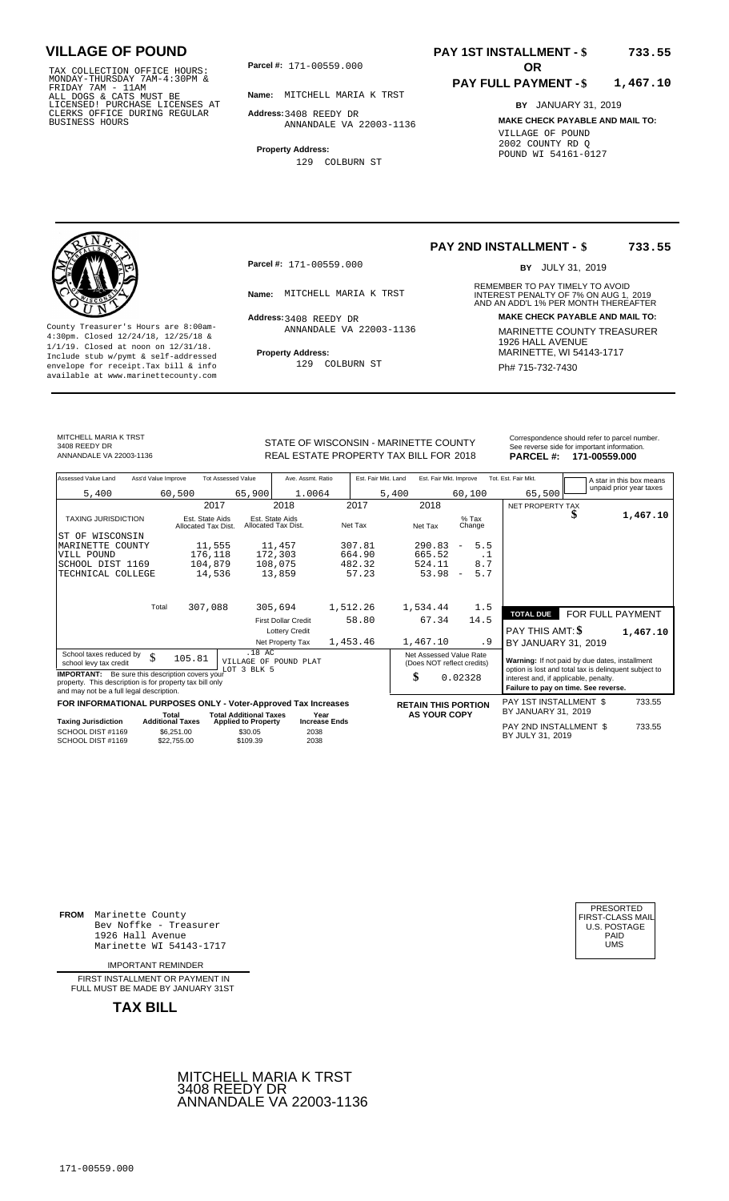TAX COLLECTION OFFICE HOURS:<br>
MONDAY-THURSDAY 7AM-4:30PM &<br>
FRIDAY 7AM - 11AM<br>
ALL DOGS & CATS MUST BE<br>
LICENSED! PURCHASE LICENSES AT<br>
CLERKS OFFICE DURING REGULAR<br>
CLERKS OFFICE DURING REGULAR<br>
BUSINESS HOURS<br>
BUSINESS H

**Parcel #: OR**

**Name:** MITCHELL MARIA K TRST

**Address:** 3408 REEDY DR ANNANDALE VA 22003-1136

**Property Address:** 129 COLBURN ST

### **PAY 1ST INSTALLMENT - \$ 733.55**

#### **PAY FULL PAYMENT - \$ 1,467.10**

**BY** JANUARY 31, 2019 **MAKE CHECK PAYABLE AND MAIL TO:** VILLAGE OF POUND 2002 COUNTY RD Q POUND WI 54161-0127



**Property Address:** MARINETTE, WI 54143-1717 Include stub w/pymt & self-addressed envelope for receipt.Tax bill & info Ph# 715-732-7430 available at www.marinettecounty.com

**Parcel #:** 171-00559.000

Address: 3408 REEDY DR ANNANDALE VA 22003-1136

129 COLBURN ST

#### **PAY 2ND INSTALLMENT - \$ 733.55**

BY JULY 31, 2019

REMEMBER TO PAY TIMELY TO AVOID **Name:** MITCHELL MARIA K TRST **INTEREST PENALTY OF 7% ON AUG 1, 2019**<br>AND AN ADD'L 1% PER MONTH THEREAFTER **Address: MAKE CHECK PAYABLE AND MAIL TO:** County Treasurer's Hours are 8:00am-<br>
4:30pm. Closed 12/24/18, 12/25/18 & MARINETTE COUNTY TREASURER<br>
1/1/19. Closed at noon on 12/31/18.<br>
Include stub w/pwmt & self-addressed **Property Address:** MARINETTE, WI 54143-1717

MITCHELL MARIA K TRST 3408 REEDY DR

STATE OF WISCONSIN - MARINETTE COUNTY Correspondence should refer to parcel number.

| 3400 REEDI DR<br>ANNANDALE VA 22003-1136 |                     |                                        |                                        | REAL ESTATE PROPERTY TAX BILL FOR 2018 |         |                     |                              | <b>PARCEL#:</b>     | See reverse side for important information.<br>171-00559.000 |
|------------------------------------------|---------------------|----------------------------------------|----------------------------------------|----------------------------------------|---------|---------------------|------------------------------|---------------------|--------------------------------------------------------------|
| Assessed Value Land                      | Ass'd Value Improve | <b>Tot Assessed Value</b>              |                                        | Ave. Assmt. Ratio                      |         | Est. Fair Mkt. Land | Est. Fair Mkt. Improve       | Tot. Est. Fair Mkt. | A star in this box means<br>unpaid prior year taxes          |
| 5,400                                    | 60,500              |                                        | 65,900                                 | 1.0064                                 |         | 5,400               | 60,100                       | 65,500              |                                                              |
|                                          |                     | 2017                                   |                                        | 2018                                   | 2017    |                     | 2018                         | NET PROPERTY TAX    |                                                              |
| <b>TAXING JURISDICTION</b>               |                     | Est. State Aids<br>Allocated Tax Dist. | Est. State Aids<br>Allocated Tax Dist. |                                        | Net Tax |                     | $%$ Tax<br>Net Tax<br>Change |                     | 1,467.1                                                      |

| 5,400                                                                                                                                                          | 60,500                                               | 65,900                                            | 1.0064                               |                            | 5,400                                                 | 60,100                          | $65,500$ <sup>[1</sup> ]                                                                                | anpara prior your taxou |
|----------------------------------------------------------------------------------------------------------------------------------------------------------------|------------------------------------------------------|---------------------------------------------------|--------------------------------------|----------------------------|-------------------------------------------------------|---------------------------------|---------------------------------------------------------------------------------------------------------|-------------------------|
|                                                                                                                                                                | 2017                                                 | 2018                                              |                                      | 2017                       | 2018                                                  |                                 | NET PROPERTY TAX                                                                                        |                         |
| <b>TAXING JURISDICTION</b>                                                                                                                                     | Est. State Aids<br>Allocated Tax Dist.               | Est. State Aids<br>Allocated Tax Dist.            |                                      | Net Tax                    | Net Tax                                               | $%$ Tax<br>Change               |                                                                                                         | 1,467.10                |
| WISCONSIN<br>OF<br>ST                                                                                                                                          |                                                      |                                                   |                                      |                            |                                                       |                                 |                                                                                                         |                         |
| MARINETTE COUNTY                                                                                                                                               | 11,555                                               | 11,457                                            |                                      | 307.81                     | 290.83                                                | 5.5<br>$\overline{\phantom{a}}$ |                                                                                                         |                         |
| VILL POUND                                                                                                                                                     | 176,118                                              | 172,303                                           |                                      | 664.90                     | 665.52                                                | . 1                             |                                                                                                         |                         |
| SCHOOL DIST 1169                                                                                                                                               | 104,879                                              | 108,075                                           |                                      | 482.32                     | 524.11                                                | 8.7                             |                                                                                                         |                         |
| TECHNICAL COLLEGE                                                                                                                                              | 14,536                                               | 13,859                                            |                                      | 57.23                      | 53.98                                                 | 5.7<br>$\overline{\phantom{a}}$ |                                                                                                         |                         |
| Total                                                                                                                                                          | 307,088                                              | 305,694                                           | 1,512.26                             |                            | 1,534.44                                              | 1.5                             | <b>TOTAL DUE</b>                                                                                        | FOR FULL PAYMENT        |
|                                                                                                                                                                |                                                      | <b>First Dollar Credit</b>                        |                                      | 58.80                      | 67.34                                                 | 14.5                            |                                                                                                         |                         |
|                                                                                                                                                                |                                                      | <b>Lottery Credit</b><br>Net Property Tax         | 1,453.46                             |                            | 1,467.10                                              | . 9                             | PAY THIS AMT: \$<br>BY JANUARY 31, 2019                                                                 | 1,467.10                |
| School taxes reduced by<br>\$<br>school levy tax credit                                                                                                        | 105.81                                               | $.18$ AC<br>VILLAGE OF POUND PLAT<br>LOT 3 BLK 5  |                                      |                            | Net Assessed Value Rate<br>(Does NOT reflect credits) |                                 | Warning: If not paid by due dates, installment<br>option is lost and total tax is delinquent subject to |                         |
| <b>IMPORTANT:</b> Be sure this description covers your<br>property. This description is for property tax bill only<br>and may not be a full legal description. |                                                      |                                                   |                                      |                            | \$                                                    | 0.02328                         | interest and, if applicable, penalty.<br>Failure to pay on time. See reverse.                           |                         |
| FOR INFORMATIONAL PURPOSES ONLY - Voter-Approved Tax Increases                                                                                                 |                                                      |                                                   |                                      | <b>RETAIN THIS PORTION</b> |                                                       | PAY 1ST INSTALLMENT \$          | 733.55                                                                                                  |                         |
|                                                                                                                                                                | Total                                                | <b>Total Additional Taxes</b>                     | Year                                 |                            | <b>AS YOUR COPY</b>                                   |                                 | BY JANUARY 31, 2019                                                                                     |                         |
| <b>Taxing Jurisdiction</b><br>SCHOOL DIST #1169<br>SCHOOL DIST #1169                                                                                           | <b>Additional Taxes</b><br>\$6,251.00<br>\$22,755.00 | <b>Applied to Property</b><br>\$30.05<br>\$109.39 | <b>Increase Ends</b><br>2038<br>2038 |                            |                                                       |                                 | PAY 2ND INSTALLMENT \$<br>BY JULY 31, 2019                                                              | 733.55                  |

**FROM** Marinette County

Bev Noffke - Treasurer (U.S. POSTAGE)<br>1926 Hall Avenue (U.S. POSTAGE)<br>Marinette WI 54143-1717 (UMS  $1926$  Hall Avenue Marinette WI 54143-1717

IMPORTANT REMINDER

FIRST INSTALLMENT OR PAYMENT IN FULL MUST BE MADE BY JANUARY 31ST



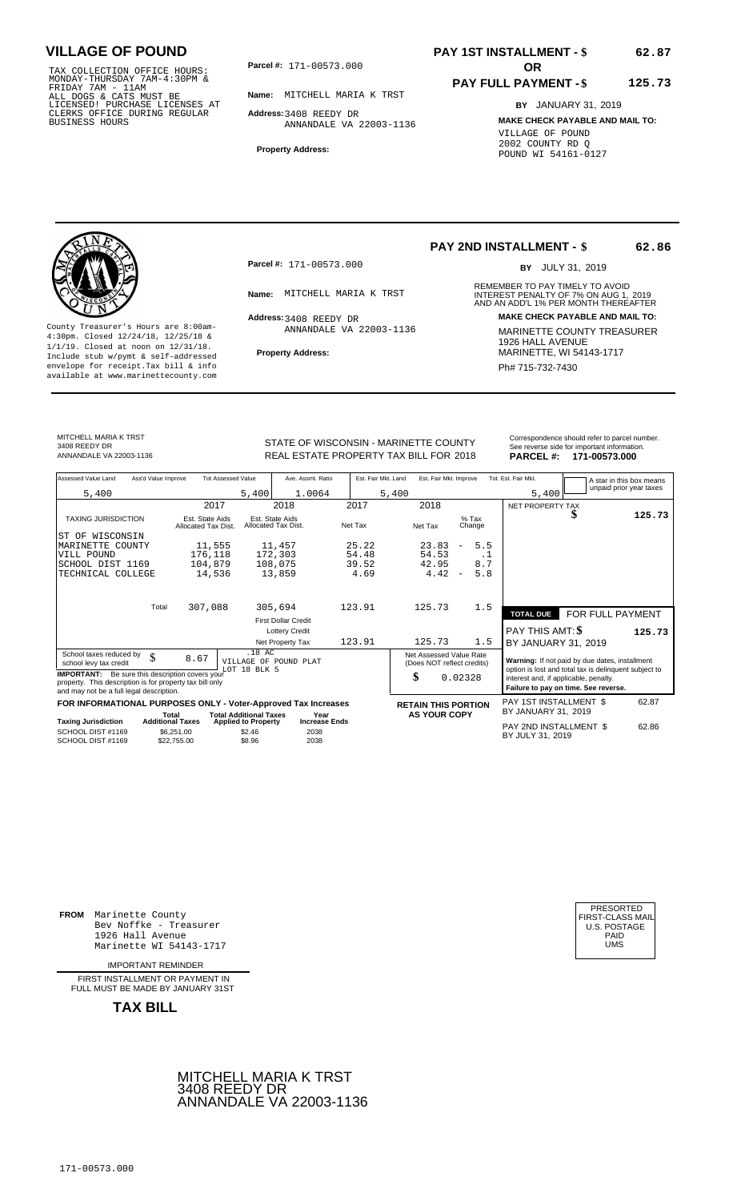TAX COLLECTION OFFICE HOURS:<br>
MONDAY-THURSDAY 7AM-4:30PM &<br>
FRIDAY 7AM - 11AM<br>
ALL DOGS & CATS MUST BE<br>
LICENSED! PURCHASE LICENSES AT<br>
CLERKS OFFICE DURING REGULAR<br>
CLERKS OFFICE DURING REGULAR<br>
BUSINESS HOURS<br>
BUSINESS H

**Parcel #:** 171-00573.000

**Name:** MITCHELL MARIA K TRST

**Address:** 3408 REEDY DR ANNANDALE VA 22003-1136

**Property Address:**

# **PAY 1ST INSTALLMENT - \$**

#### **PAY FULL PAYMENT - \$ 125.73**

**BY** JANUARY 31, 2019 **MAKE CHECK PAYABLE AND MAIL TO:** VILLAGE OF POUND 2002 COUNTY RD Q POUND WI 54161-0127

**Property Address:** MARINETTE, WI 54143-1717 Include stub w/pymt & self-addressed envelope for receipt.Tax bill & info Phat is a set of the phat of the Phat 715-732-7430 envelope for receipt.Tax bill & info Phat 715-732-7430 envelope for the phat 715-732-7430 envelope for the phat 715-732-7430 envelope

**Parcel #:** 171-00573.000

Address: 3408 REEDY DR ANNANDALE VA 22003-1136

### **PAY 2ND INSTALLMENT - \$**

BY JULY 31, 2019

**62.86**

**62.87**

REMEMBER TO PAY TIMELY TO AVOID **Name:** MITCHELL MARIA K TRST **INTEREST PENALTY OF 7% ON AUG 1, 2019**<br>AND AN ADD'L 1% PER MONTH THEREAFTER **Address: MAKE CHECK PAYABLE AND MAIL TO:** County Treasurer's Hours are 8:00am-<br>
4:30pm. Closed 12/24/18, 12/25/18 & MARINETTE COUNTY TREASURER<br>
1/1/19. Closed at noon on 12/31/18.<br>
Include stub w/pwmt. & self-addressed<br> **Property Address:** MARINETTE, WI 54143-1717

MITCHELL MARIA K TRST

3408 REEDY DR

REAL ESTATE PROPERTY TAX BILL FOR **PARCEL #:** ANNANDALE VA 22003-1136 2018 **171-00573.000**

| STATE OF WISCONSIN - MARINETTE COUNTY  | Correspondence should refer to parcel number.<br>See reverse side for important information. |
|----------------------------------------|----------------------------------------------------------------------------------------------|
| REAL ESTATE PROPERTY TAX BILL FOR 2018 | PARCEL #: 171-00573.000                                                                      |

| Assessed Value Land                                                                                                                                            | Ass'd Value Improve                    | <b>Tot Assessed Value</b>     | Ave. Assmt. Ratio                      | Est. Fair Mkt. Land |                                                       | Est. Fair Mkt. Improve           |                   | Tot. Est. Fair Mkt.                   | A star in this box means<br>unpaid prior year taxes                                                     |        |
|----------------------------------------------------------------------------------------------------------------------------------------------------------------|----------------------------------------|-------------------------------|----------------------------------------|---------------------|-------------------------------------------------------|----------------------------------|-------------------|---------------------------------------|---------------------------------------------------------------------------------------------------------|--------|
| 5,400                                                                                                                                                          |                                        | 5,400                         | 1.0064                                 |                     | 5,400                                                 |                                  |                   | 5,400                                 |                                                                                                         |        |
|                                                                                                                                                                |                                        | 2017                          | 2018                                   | 2017                | 2018                                                  |                                  |                   | NET PROPERTY TAX                      |                                                                                                         |        |
| <b>TAXING JURISDICTION</b>                                                                                                                                     | Est. State Aids<br>Allocated Tax Dist. |                               | Est. State Aids<br>Allocated Tax Dist. | Net Tax             | Net Tax                                               |                                  | $%$ Tax<br>Change |                                       |                                                                                                         | 125.73 |
| WISCONSIN<br>ST OF                                                                                                                                             |                                        |                               |                                        |                     |                                                       |                                  |                   |                                       |                                                                                                         |        |
| MARINETTE COUNTY                                                                                                                                               |                                        | 11,555                        | 11,457                                 | 25.22               | 23.83                                                 | $\overline{\phantom{a}}$         | 5.5               |                                       |                                                                                                         |        |
| VILL POUND                                                                                                                                                     |                                        | 176,118                       | 172,303                                | 54.48               | 54.53                                                 |                                  | $\cdot$ 1         |                                       |                                                                                                         |        |
| SCHOOL DIST 1169                                                                                                                                               |                                        | 104,879                       | 108,075                                | 39.52               | 42.95                                                 |                                  | 8.7               |                                       |                                                                                                         |        |
| TECHNICAL COLLEGE                                                                                                                                              |                                        | 14,536                        | 13,859                                 | 4.69                |                                                       | 4.42<br>$\overline{\phantom{a}}$ | 5.8               |                                       |                                                                                                         |        |
|                                                                                                                                                                |                                        |                               |                                        |                     |                                                       |                                  |                   |                                       |                                                                                                         |        |
|                                                                                                                                                                | Total<br>307,088                       |                               | 305,694                                | 123.91              | 125.73                                                |                                  | 1.5               | <b>TOTAL DUE</b>                      | FOR FULL PAYMENT                                                                                        |        |
|                                                                                                                                                                |                                        |                               | <b>First Dollar Credit</b>             |                     |                                                       |                                  |                   |                                       |                                                                                                         |        |
|                                                                                                                                                                |                                        |                               | <b>Lottery Credit</b>                  |                     |                                                       |                                  |                   | PAY THIS AMT: \$                      |                                                                                                         | 125.73 |
|                                                                                                                                                                |                                        |                               | Net Property Tax                       | 123.91              | 125.73                                                |                                  | 1.5               | BY JANUARY 31, 2019                   |                                                                                                         |        |
| School taxes reduced by<br>school levy tax credit                                                                                                              | \$<br>8.67                             | .18 AC<br>LOT 18 BLK 5        | VILLAGE OF POUND PLAT                  |                     | Net Assessed Value Rate<br>(Does NOT reflect credits) |                                  |                   |                                       | Warning: If not paid by due dates, installment<br>option is lost and total tax is delinquent subject to |        |
| <b>IMPORTANT:</b> Be sure this description covers your<br>property. This description is for property tax bill only<br>and may not be a full legal description. |                                        |                               |                                        |                     | \$                                                    | 0.02328                          |                   | interest and, if applicable, penalty. | Failure to pay on time. See reverse.                                                                    |        |
| FOR INFORMATIONAL PURPOSES ONLY - Voter-Approved Tax Increases                                                                                                 |                                        |                               |                                        |                     | <b>RETAIN THIS PORTION</b>                            |                                  |                   | PAY 1ST INSTALLMENT \$                |                                                                                                         | 62.87  |
|                                                                                                                                                                | Total                                  | <b>Total Additional Taxes</b> | Year                                   |                     |                                                       | <b>AS YOUR COPY</b>              |                   | BY JANUARY 31, 2019                   |                                                                                                         |        |
| <b>Taxing Jurisdiction</b>                                                                                                                                     | <b>Additional Taxes</b>                | <b>Applied to Property</b>    | <b>Increase Ends</b>                   |                     |                                                       |                                  |                   | PAY 2ND INSTALLMENT \$                |                                                                                                         | 62.86  |
| SCHOOL DIST #1169<br>SCHOOL DIST #1169                                                                                                                         | \$6.251.00<br>\$22,755.00              | \$2.46<br>\$8.96              | 2038<br>2038                           |                     |                                                       |                                  |                   | BY JULY 31, 2019                      |                                                                                                         |        |

**FROM** Marinette County Bev Noffke - Treasurer (U.S. POSTAGE)<br>1926 Hall Avenue (U.S. POSTAGE)<br>Marinette WI 54143-1717 (U.S. POSTAGE) 1926 Hall Avenue PAID Marinette WI 54143-1717 UMS

IMPORTANT REMINDER

FIRST INSTALLMENT OR PAYMENT IN FULL MUST BE MADE BY JANUARY 31ST



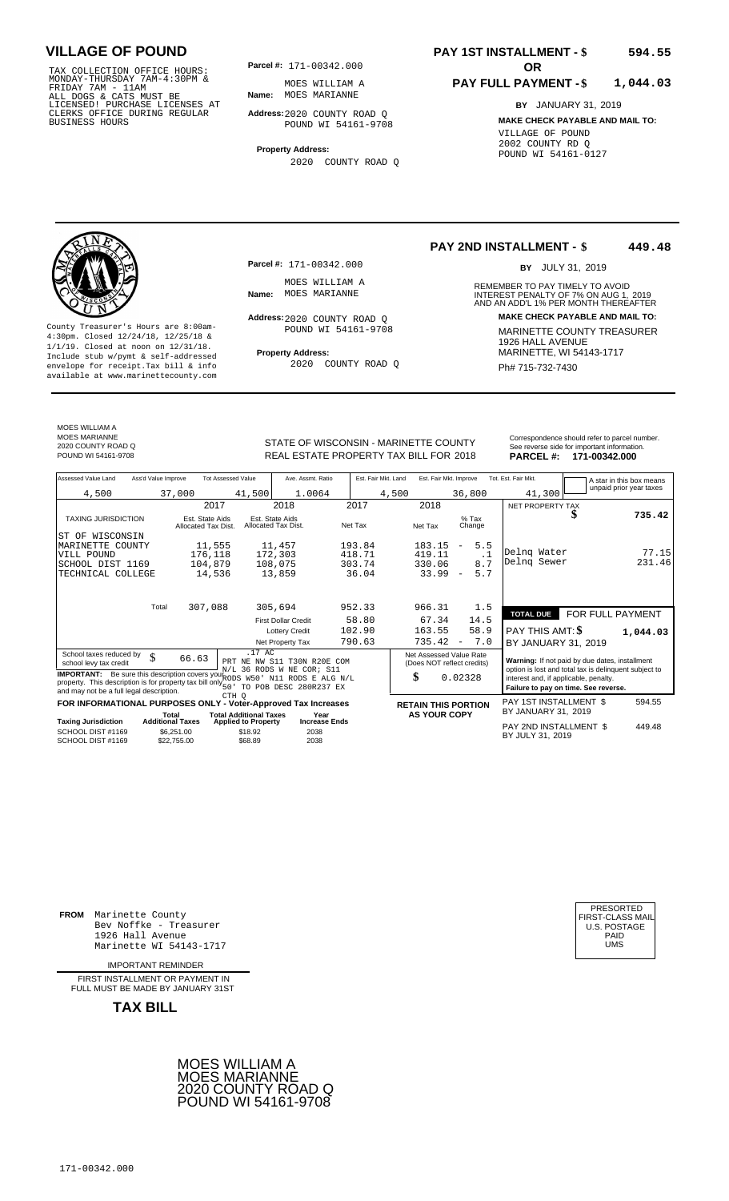TAX COLLECTION OFFICE HOURS:<br>
MONDAY-THURSDAY 7AM-4:30PM & MOES WILLIAM P<br>
FRIDAY 7AM - 11AM<br>
ALL DOGS & CATS MUST BE **Name**: MOES MARIANNE<br>
LICENSED ! PURCHASE LICENSES AT<br>
CLERKS OFFICE DURING REGULAR **Address**:2020 COUN

**Parcel #:** 171-00342.000

**Name:** MOES MARIANNE MOES WILLIAM A

**Address:** 2020 COUNTY ROAD Q POUND WI 54161-9708

**Property Address:** 2020 COUNTY ROAD Q

**Parcel #:** 171-00342.000

MOES WILLIAM A<br>Name: MOES MARIANNE

Address: 2020 COUNTY ROAD Q POUND WI 54161-9708

2020 COUNTY ROAD Q

#### **PAY 1ST INSTALLMENT - \$ 594.55**

**PAY 2ND INSTALLMENT - \$**

**Name:** MOES MARIANNE **And Accord 1999 INTEREST PENALTY OF 7% ON AUG 1, 2019<br>AND AN ADD'L 1% PER MONTH THEREAFTER** 

#### **PAY FULL PAYMENT - \$ 1,044.03**

REMEMBER TO PAY TIMELY TO AVOID

BY JULY 31, 2019

**Address: MAKE CHECK PAYABLE AND MAIL TO:**

**449.48**

**BY** JANUARY 31, 2019 **MAKE CHECK PAYABLE AND MAIL TO:** VILLAGE OF POUND 2002 COUNTY RD Q POUND WI 54161-0127



County Treasurer's Hours are 8:00am-<br>
4:30pm. Closed 12/24/18, 12/25/18 & MARINETTE COUNTY TREASURER<br>
1/1/19. Closed at noon on 12/31/18.<br>
Include stub w/pwmt & self-addressed **Property Address:** MARINETTE, WI 54143-1717 **Property Address:** MARINETTE, WI 54143-1717 Include stub w/pymt & self-addressed envelope for receipt.Tax bill & info Ph# 715-732-7430 available at www.marinettecounty.com

MOES WILLIAM A MOES MARIANNE 2020 COUNTY ROAD Q

STATE OF WISCONSIN - MARINETTE COUNTY<br>
See reverse side for important information.<br>
REAL ESTATE PROPERTY TAX BILL FOR 2018 PARCEL #: 171-00342.000 REAL ESTATE PROPERTY TAX BILL FOR **PARCEL #:** POUND WI 54161-9708 2018 **171-00342.000**

| Assessed Value Land<br>Ass'd Value Improve                                   | <b>Tot Assessed Value</b>                                   | Ave. Assmt. Ratio                      | Est. Fair Mkt. Land | Est. Fair Mkt. Improve                                |                                 | Tot. Est. Fair Mkt.                                                                            |                  | A star in this box means |
|------------------------------------------------------------------------------|-------------------------------------------------------------|----------------------------------------|---------------------|-------------------------------------------------------|---------------------------------|------------------------------------------------------------------------------------------------|------------------|--------------------------|
| 4,500                                                                        | 37,000<br>41,500                                            | 1.0064                                 | 4,500               |                                                       | 36,800                          | 41,300                                                                                         |                  | unpaid prior year taxes  |
|                                                                              | 2017                                                        | 2018                                   | 2017                | 2018                                                  |                                 | NET PROPERTY TAX                                                                               |                  |                          |
| <b>TAXING JURISDICTION</b>                                                   | Est. State Aids<br>Allocated Tax Dist.                      | Est. State Aids<br>Allocated Tax Dist. | Net Tax             | Net Tax                                               | $%$ Tax<br>Change               |                                                                                                |                  | 735.42                   |
| WISCONSIN<br>ST OF                                                           |                                                             |                                        |                     |                                                       |                                 |                                                                                                |                  |                          |
| MARINETTE COUNTY                                                             | 11,555                                                      | 11,457                                 | 193.84              | 183.15                                                | 5.5<br>$\overline{\phantom{a}}$ |                                                                                                |                  |                          |
| VILL POUND                                                                   | 176,118                                                     | 172,303                                | 418.71              | 419.11                                                | $\cdot$ 1                       | Delng Water<br>Delnq Sewer                                                                     |                  | 77.15<br>231.46          |
| SCHOOL DIST 1169                                                             | 104,879                                                     | 108,075                                | 303.74              | 330.06                                                | 8.7                             |                                                                                                |                  |                          |
| TECHNICAL COLLEGE                                                            | 14,536                                                      | 13,859                                 | 36.04               | 33.99                                                 | 5.7<br>$\overline{\phantom{a}}$ |                                                                                                |                  |                          |
|                                                                              |                                                             |                                        |                     |                                                       |                                 |                                                                                                |                  |                          |
| Total                                                                        | 307,088                                                     | 305,694                                | 952.33              | 966.31                                                | 1.5                             |                                                                                                |                  |                          |
|                                                                              |                                                             |                                        |                     |                                                       |                                 | <b>TOTAL DUE</b>                                                                               | FOR FULL PAYMENT |                          |
|                                                                              |                                                             | <b>First Dollar Credit</b>             | 58.80               | 67.34                                                 | 14.5                            |                                                                                                |                  |                          |
|                                                                              |                                                             | <b>Lottery Credit</b>                  | 102.90              | 163.55                                                | 58.9                            | PAY THIS AMT: \$                                                                               |                  | 1,044.03                 |
|                                                                              |                                                             | Net Property Tax                       | 790.63              | 735.42                                                | 7.0<br>$\overline{\phantom{m}}$ | BY JANUARY 31, 2019                                                                            |                  |                          |
| School taxes reduced by<br>\$<br>school levy tax credit                      | .17 AC<br>66.63<br>PRT                                      | NE NW S11 T30N R20E COM                |                     | Net Assessed Value Rate<br>(Does NOT reflect credits) |                                 | Warning: If not paid by due dates, installment                                                 |                  |                          |
| IMPORTANT: Be sure this description covers your RODS W50' N11 RODS E ALG N/L |                                                             | N/L 36 RODS W NE COR; S11              | \$                  |                                                       | 0.02328                         | option is lost and total tax is delinquent subject to<br>interest and, if applicable, penalty. |                  |                          |
| property. This description is for property tax bill only $50^{\circ}$        |                                                             | TO POB DESC 280R237 EX                 |                     |                                                       |                                 | Failure to pay on time. See reverse.                                                           |                  |                          |
| and may not be a full legal description.                                     | CTH O                                                       |                                        |                     |                                                       |                                 |                                                                                                |                  |                          |
| FOR INFORMATIONAL PURPOSES ONLY - Voter-Approved Tax Increases               |                                                             |                                        |                     | <b>RETAIN THIS PORTION</b>                            |                                 | PAY 1ST INSTALLMENT \$                                                                         |                  | 594.55                   |
| Total<br><b>Taxing Jurisdiction</b><br><b>Additional Taxes</b>               | <b>Total Additional Taxes</b><br><b>Applied to Property</b> | Year<br><b>Increase Ends</b>           |                     | <b>AS YOUR COPY</b>                                   |                                 | BY JANUARY 31, 2019                                                                            |                  |                          |
| SCHOOL DIST #1169<br>SCHOOL DIST #1169                                       | \$6,251.00<br>\$18.92<br>\$68.89<br>\$22,755,00             | 2038<br>2038                           |                     |                                                       |                                 | PAY 2ND INSTALLMENT \$<br>BY JULY 31, 2019                                                     |                  | 449.48                   |

**FROM** Marinette County Bev Noffke - Treasurer 1926 Hall Avenue PAID Marinette WI 54143-1717 UMS

IMPORTANT REMINDER

FIRST INSTALL MENT OR PAYMENT IN FULL MUST BE MADE BY JANUARY 31ST



| PRESORTED<br>FIRST-CLASS MAIL<br><b>U.S. POSTAGE</b><br>PAID<br>UMS |  |
|---------------------------------------------------------------------|--|
|---------------------------------------------------------------------|--|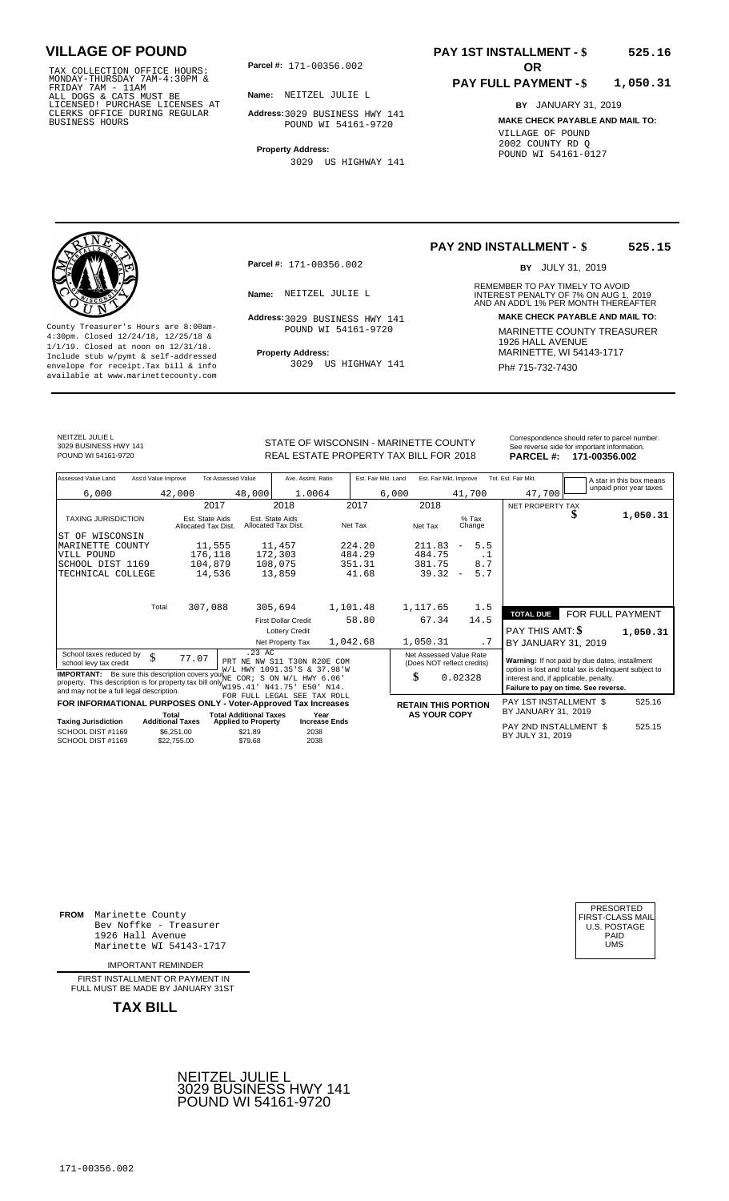TAX COLLECTION OFFICE HOURS:<br>
MONDAY-THURSDAY 7AM-4:30PM &<br>
FRIDAY 7AM - 11AM<br>
ALL DOGS & CATS MUST BE<br>
LICENSED! PURCHASE LICENSES AT<br>
CLERKS OFFICE DURING REGULAR<br>
CLERKS OFFICE DURING REGULAR<br>
BUSINESS HOURS<br>
BUSINESS H

**Parcel #: OR**

**Name:** NEITZEL JULIE L

**Address:** 3029 BUSINESS HWY 141 POUND WI 54161-9720

**Property Address:** 3029 US HIGHWAY 141

### **PAY 1ST INSTALLMENT - \$ 525.16**

#### **PAY FULL PAYMENT - \$ 1,050.31**

**BY** JANUARY 31, 2019 **MAKE CHECK PAYABLE AND MAIL TO:** VILLAGE OF POUND 2002 COUNTY RD Q POUND WI 54161-0127



**Property Address:** MARINETTE, WI 54143-1717 Include stub w/pymt & self-addressed envelope for receipt.Tax bill & info Filed Bureau Bureau Bureau and Henri Ph# 715-732-7430 available at www.marinettecounty.com

**Parcel #:** 171-00356.002

POUND WI 54161-9720

3029 US HIGHWAY 141

**PAY 2ND INSTALLMENT - \$ 525.15**

BY JULY 31, 2019

REMEMBER TO PAY TIMELY TO AVOID **Name:** NEITZEL JULIE L<br>
AND AN ADD'L 1% PER MONTH THEREAFTER **Address: MAKE CHECK PAYABLE AND MAIL TO:** 3029 BUSINESS HWY 141 County Treasurer's Hours are 8:00am-<br>
4:30pm. Closed 12/24/18, 12/25/18 & MARINETTE COUNTY TREASURER<br>
1/1/19. Closed at noon on 12/31/18.<br>
Include stub w/pwmt & self-addressed **Property Address:** MARINETTE, WI 54143-1717

NEITZEL JULIE L 3029 BUSINESS HWY 141

STATE OF WISCONSIN - MARINETTE COUNTY<br>
SEAL ESTATE DEODEDTY TAY BILL EOR 2019<br> **DARCEL #1. 171 00256 002** 

| POUND WI 54161-9720        |                     |                                        |        | REAL ESTATE PROPERTY TAX BILL FOR 2018 |          |         |                     |                        |                          |                | <b>PARCEL#:</b>     |   | 171-00356.002            |
|----------------------------|---------------------|----------------------------------------|--------|----------------------------------------|----------|---------|---------------------|------------------------|--------------------------|----------------|---------------------|---|--------------------------|
| Assessed Value Land        | Ass'd Value Improve | <b>Tot Assessed Value</b>              |        | Ave. Assmt. Ratio                      |          |         | Est. Fair Mkt. Land | Est. Fair Mkt. Improve |                          |                | Tot. Est. Fair Mkt. |   | A star in this box means |
| 6,000                      | 42,000              |                                        | 48,000 | 1.0064                                 |          |         | 6,000               |                        | 41,700                   |                | 47,700              |   | unpaid prior year taxes  |
|                            |                     | 2017                                   |        | 2018                                   |          | 2017    |                     | 2018                   |                          |                | NET PROPERTY TAX    |   |                          |
| <b>TAXING JURISDICTION</b> |                     | Est. State Aids<br>Allocated Tax Dist. |        | Est. State Aids<br>Allocated Tax Dist. |          | Net Tax |                     | Net Tax                | $%$ Tax<br>Change        |                |                     | S | 1,050.31                 |
| ST OF WISCONSIN            |                     |                                        |        |                                        |          |         |                     |                        |                          |                |                     |   |                          |
| MARINETTE COUNTY           |                     | 11,555                                 |        | 11,457                                 |          | 224.20  |                     | 211.83                 | $\overline{\phantom{m}}$ | 5.5            |                     |   |                          |
| VILL POUND                 |                     | 176,118                                |        | 172,303                                |          | 484.29  |                     | 484.75                 |                          | $\cdot$ $\bot$ |                     |   |                          |
| SCHOOL DIST 1169           |                     | 104,879                                |        | 108,075                                |          | 351.31  |                     | 381.75                 |                          | 8.7            |                     |   |                          |
| TECHNICAL COLLEGE          |                     | 14,536                                 |        | 13,859                                 |          | 41.68   |                     | 39.32                  | $\overline{\phantom{0}}$ | 5.7            |                     |   |                          |
|                            |                     |                                        |        |                                        |          |         |                     |                        |                          |                |                     |   |                          |
|                            | T <sub>ofol</sub>   | $207.00$                               |        | 205.601                                | 1 101 10 |         |                     | 1.117c                 |                          | $\sim$         |                     |   |                          |

|                                                                                                                                                | Total<br>307,088                      | 305,694                                                                 | 1,101.48                     | 1,117.65            | 1.5                                                   | <b>TOTAL DUE</b>                                                                                                                       | FOR FULL PAYMENT |
|------------------------------------------------------------------------------------------------------------------------------------------------|---------------------------------------|-------------------------------------------------------------------------|------------------------------|---------------------|-------------------------------------------------------|----------------------------------------------------------------------------------------------------------------------------------------|------------------|
|                                                                                                                                                |                                       | <b>First Dollar Credit</b><br><b>Lottery Credit</b>                     | 58.80                        | 67.34               | 14.5                                                  | PAY THIS AMT: \$                                                                                                                       | 1,050.31         |
|                                                                                                                                                |                                       | Net Property Tax                                                        | 1,042.68                     | 1,050.31            | . 7                                                   | BY JANUARY 31, 2019                                                                                                                    |                  |
| School taxes reduced by<br>Φ<br>◡<br>school levy tax credit                                                                                    | 77.07                                 | $.23$ AC<br>PRT NE NW S11 T30N R20E COM                                 |                              |                     | Net Assessed Value Rate<br>(Does NOT reflect credits) | Warning: If not paid by due dates, installment                                                                                         |                  |
| <b>IMPORTANT:</b><br>property. This description is for property tax bill only $_{W195.41}^{\star}$<br>and may not be a full legal description. | Be sure this description covers you'' | W/L HWY 1091.35'S & 37.98'W<br>$COR$ ; S ON W/L HWY $6.06$ '<br>N41.75' | $E50'$ N14.                  | ъĐ                  | 0.02328                                               | option is lost and total tax is delinquent subject to<br>interest and, if applicable, penalty.<br>Failure to pay on time. See reverse. |                  |
| FOR INFORMATIONAL PURPOSES ONLY - Voter-Approved Tax Increases                                                                                 |                                       | FOR FULL LEGAL SEE TAX ROLL                                             |                              |                     | <b>RETAIN THIS PORTION</b>                            | PAY 1ST INSTALLMENT \$                                                                                                                 | 525.16           |
| <b>Taxing Jurisdiction</b>                                                                                                                     | Total<br><b>Additional Taxes</b>      | <b>Total Additional Taxes</b><br><b>Applied to Property</b>             | Year<br><b>Increase Ends</b> | <b>AS YOUR COPY</b> |                                                       | BY JANUARY 31, 2019                                                                                                                    |                  |
| SCHOOL DIST #1169<br>SCHOOL DIST #1169                                                                                                         | \$6.251.00<br>\$22,755.00             | \$21.89<br>\$79.68                                                      | 2038<br>2038                 |                     |                                                       | PAY 2ND INSTALLMENT \$<br>BY JULY 31, 2019                                                                                             | 525.15           |

**FROM** Marinette County Bev Noffke - Treasurer (U.S. POSTAGE)<br>1926 Hall Avenue (U.S. POSTAGE)<br>Marinette WI 54143-1717 (UMS 1926 Hall Avenue PAID Marinette WI 54143-1717 UMS

IMPORTANT REMINDER

FIRST INSTALL MENT OR PAYMENT IN FULL MUST BE MADE BY JANUARY 31ST



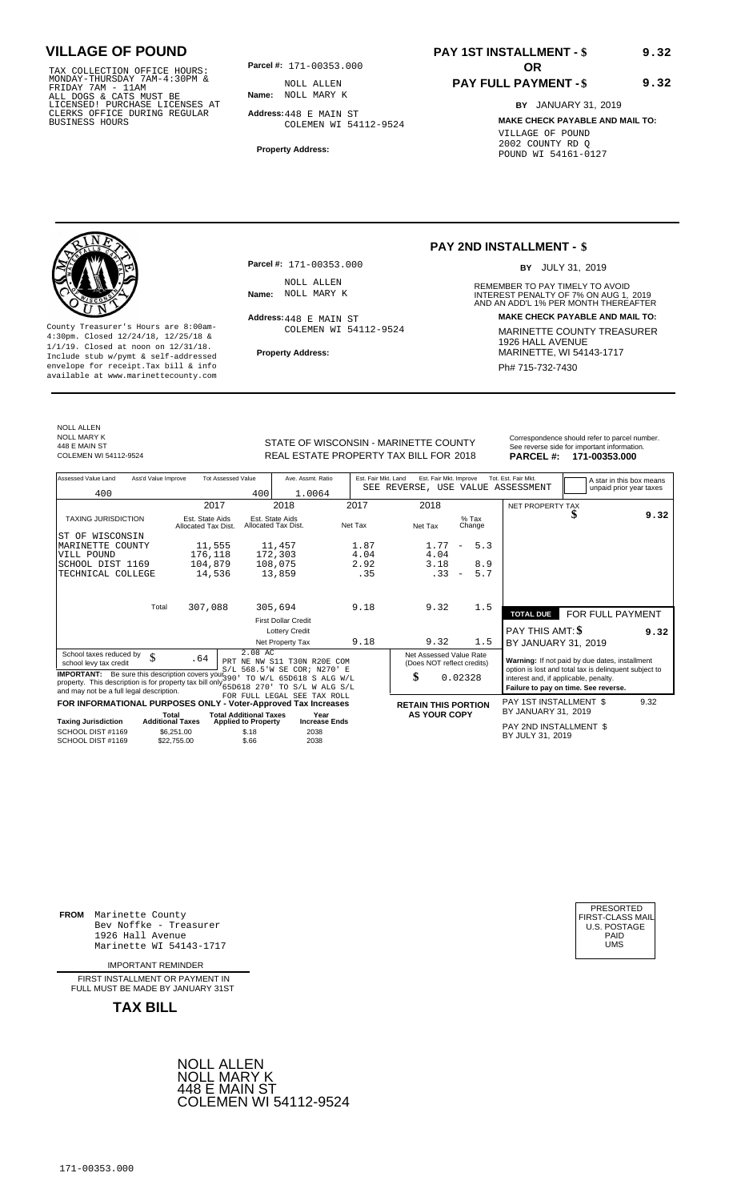TAX COLLECTION OFFICE HOURS:<br>
MONDAY-THURSDAY 7AM-4:30PM & MOLL ALLEN<br>
FRIDAY 7AM - 11AM<br>
ALL DOGS & CATS MUST BE **Name**: NOLL MARY K<br>
LICENSED! PURCHASE LICENSES AT<br>
CLERKS OFFICE DURING REGULAR **Address:**448 E MAIN ST<br>
B

**Parcel #: OR**

**Name:** NOLL MARY K NOLL ALLEN

**Address:** 448 E MAIN ST COLEMEN WI 54112-9524

**Property Address:**

# **PAY 1ST INSTALLMENT - \$**

### **PAY FULL PAYMENT - \$**

**BY** JANUARY 31, 2019 **MAKE CHECK PAYABLE AND MAIL TO:** VILLAGE OF POUND 2002 COUNTY RD Q POUND WI 54161-0127

**9.32**

**9.32**



**Property Address:** MARINETTE, WI 54143-1717 Include stub w/pymt & self-addressed envelope for receipt.Tax bill & info Phat is a set of the phat of the Phat 715-732-7430 envelope for receipt.Tax bill & info Phat 715-732-7430 envelope for the phat 715-732-7430 envelope for the phat 715-732-7430 envelope

**Parcel #:** 171-00353.000 NOLL ALLEN<br>Name: NOLL MARY K

Address: 448 E MAIN ST COLEMEN WI 54112-9524

### **PAY 2ND INSTALLMENT - \$**

BY JULY 31, 2019

REMEMBER TO PAY TIMELY TO AVOID **Name:** INTEREST PENALTY OF 7% ON AUG 1, AND AN ADD'L 1% PER MONTH THEREAFTER NOLL MARY K 2019 **Address: MAKE CHECK PAYABLE AND MAIL TO:** County Treasurer's Hours are 8:00am-<br>
4:30pm. Closed 12/24/18, 12/25/18 & COLEMEN WI 54112-9524 MARINETTE COUNTY TREASURER<br>
1/1/19. Closed at noon on 12/31/18.<br>
Include stub w/pwmt. & self-addressed Property Address: MARIN

NOLL ALLEN NOLL MARY K 448 E MAIN ST<br>COLEMEN WI 54112-9524

STATE OF WISCONSIN - MARINETTE COUNTY<br>
See reverse side for important information.<br>
REAL ESTATE PROPERTY TAX BILL FOR 2018 PARCEL #: 171-00353.000 REAL ESTATE PROPERTY TAX BILL FOR **PARCEL #:** COLEMEN WI 54112-9524 2018 **171-00353.000**

| Assessed Value Land                                                                                                                | Ass'd Value Improve     |                                        | <b>Tot Assessed Value</b>     | Ave. Assmt. Ratio                      |                      | Est. Fair Mkt. Land<br>SEE REVERSE, USE VALUE ASSESSMENT | Est. Fair Mkt. Improve     |                          |                   | Tot. Est. Fair Mkt.                                   |   | A star in this box means |
|------------------------------------------------------------------------------------------------------------------------------------|-------------------------|----------------------------------------|-------------------------------|----------------------------------------|----------------------|----------------------------------------------------------|----------------------------|--------------------------|-------------------|-------------------------------------------------------|---|--------------------------|
| 400                                                                                                                                |                         |                                        | 400                           | 1.0064                                 |                      |                                                          |                            |                          |                   |                                                       |   | unpaid prior year taxes  |
|                                                                                                                                    |                         | 2017                                   |                               | 2018                                   | 2017                 |                                                          | 2018                       |                          |                   | NET PROPERTY TAX                                      |   |                          |
| <b>TAXING JURISDICTION</b>                                                                                                         |                         | Est. State Aids<br>Allocated Tax Dist. |                               | Est. State Aids<br>Allocated Tax Dist. | Net Tax              | Net Tax                                                  |                            |                          | $%$ Tax<br>Change |                                                       | D | 9.32                     |
| ST OF WISCONSIN                                                                                                                    |                         |                                        |                               |                                        |                      |                                                          |                            |                          |                   |                                                       |   |                          |
| MARINETTE COUNTY                                                                                                                   |                         | 11,555                                 |                               | 11,457                                 | 1.87                 |                                                          | 1.77                       | $\overline{\phantom{m}}$ | 5.3               |                                                       |   |                          |
| VILL POUND                                                                                                                         |                         | 176,118                                |                               | 172,303                                | 4.04                 |                                                          | 4.04                       |                          |                   |                                                       |   |                          |
| SCHOOL DIST 1169                                                                                                                   |                         | 104,879                                |                               | 108,075                                | 2.92                 |                                                          | 3.18                       |                          | 8.9               |                                                       |   |                          |
| TECHNICAL COLLEGE                                                                                                                  |                         | 14,536                                 |                               | 13,859                                 | .35                  |                                                          | .33                        | $\overline{\phantom{a}}$ | 5.7               |                                                       |   |                          |
|                                                                                                                                    |                         |                                        |                               |                                        |                      |                                                          |                            |                          |                   |                                                       |   |                          |
|                                                                                                                                    | Total                   | 307,088                                |                               | 305,694                                | 9.18                 |                                                          | 9.32                       |                          | 1.5               |                                                       |   |                          |
|                                                                                                                                    |                         |                                        |                               | <b>First Dollar Credit</b>             |                      |                                                          |                            |                          |                   | <b>TOTAL DUE</b>                                      |   | FOR FULL PAYMENT         |
|                                                                                                                                    |                         |                                        |                               |                                        |                      |                                                          |                            |                          |                   |                                                       |   |                          |
|                                                                                                                                    |                         |                                        |                               | <b>Lottery Credit</b>                  |                      |                                                          |                            |                          |                   | <b>PAY THIS AMT: \$</b>                               |   | 9.32                     |
|                                                                                                                                    |                         |                                        |                               | Net Property Tax                       | 9.18                 |                                                          | 9.32                       |                          | 1.5               | BY JANUARY 31, 2019                                   |   |                          |
| School taxes reduced by<br>school levy tax credit                                                                                  | \$                      | .64                                    | 2.08 AC                       | PRT NE NW S11 T30N R20E COM            |                      |                                                          | Net Assessed Value Rate    |                          |                   | Warning: If not paid by due dates, installment        |   |                          |
|                                                                                                                                    |                         |                                        |                               | S/L 568.5'W SE COR; N270' E            |                      |                                                          | (Does NOT reflect credits) |                          |                   | option is lost and total tax is delinguent subject to |   |                          |
| <b>IMPORTANT:</b> Be sure this description covers your $390'$                                                                      |                         |                                        |                               | TO W/L 65D618 S ALG W/L                |                      | \$                                                       |                            | 0.02328                  |                   | interest and, if applicable, penalty.                 |   |                          |
| property. This description is for property tax bill only 65D618 270 ' TO S/L W ALG S/L<br>and may not be a full legal description. |                         |                                        |                               |                                        |                      |                                                          |                            |                          |                   | Failure to pay on time. See reverse.                  |   |                          |
| FOR INFORMATIONAL PURPOSES ONLY - Voter-Approved Tax Increases                                                                     |                         |                                        |                               | FOR FULL LEGAL SEE TAX ROLL            |                      | <b>RETAIN THIS PORTION</b>                               |                            |                          |                   | PAY 1ST INSTALLMENT \$                                |   | 9.32                     |
|                                                                                                                                    | Total                   |                                        | <b>Total Additional Taxes</b> | Year                                   |                      |                                                          | <b>AS YOUR COPY</b>        |                          |                   | BY JANUARY 31, 2019                                   |   |                          |
| Taxing Jurisdiction                                                                                                                | <b>Additional Taxes</b> |                                        | <b>Applied to Property</b>    |                                        | <b>Increase Ends</b> |                                                          |                            |                          |                   |                                                       |   |                          |
| SCHOOL DIST #1169                                                                                                                  |                         | \$6,251,00                             | \$.18                         | 2038                                   |                      |                                                          |                            |                          |                   | PAY 2ND INSTALLMENT \$<br>BY JULY 31, 2019            |   |                          |
| SCHOOL DIST #1169                                                                                                                  |                         | \$22,755,00                            | \$.66                         | 2038                                   |                      |                                                          |                            |                          |                   |                                                       |   |                          |

**FROM** Marinette County Bev Noffke - Treasurer 1926 Hall Avenue PAID Marinette WI 54143-1717 UMS

IMPORTANT REMINDER

FIRST INSTALLMENT OR PAYMENT IN FULL MUST BE MADE BY JANUARY 31ST



| FIRST-CLASS MAIL<br>U.S. POSTAGE<br>PAID<br>UMS |
|-------------------------------------------------|
|-------------------------------------------------|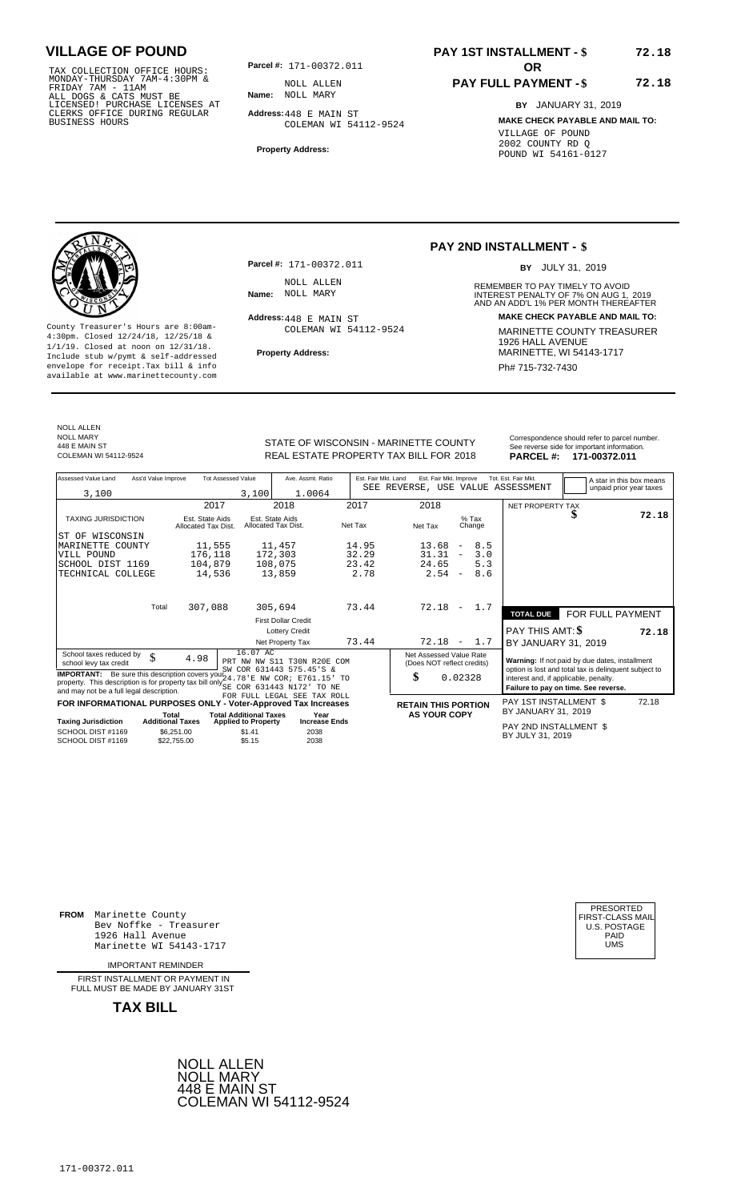TAX COLLECTION OFFICE HOURS:<br>
MONDAY-THURSDAY 7AM-4:30PM & MOLL ALLEN<br>
FRIDAY 7AM - 11AM<br>
ALL DOGS & CATS MUST BE **Name**: NOLL MARY<br>
LICENSED! PURCHASE LICENSES AT<br>
CLERKS OFFICE DURING REGULAR **Address:**448 E MAIN ST<br>
BUS

**Parcel #: OR**

**Name:** NOLL MARY NOLL ALLEN

**Address:** 448 E MAIN ST COLEMAN WI 54112-9524

**Property Address:**

### **PAY 1ST INSTALLMENT - \$ 72.18**

### **PAY FULL PAYMENT - \$**

**BY** JANUARY 31, 2019 **MAKE CHECK PAYABLE AND MAIL TO:** VILLAGE OF POUND 2002 COUNTY RD Q POUND WI 54161-0127

**72.18**



**Property Address:** MARINETTE, WI 54143-1717 Include stub w/pymt & self-addressed envelope for receipt.Tax bill & info Phat is a set of the phat of the Phat 715-732-7430 envelope for receipt.Tax bill & info Phat 715-732-7430 envelope for the phat 715-732-7430 envelope for the phat 715-732-7430 envelope

**Parcel #:** 171-00372.011 NOLL ALLEN<br>Name: NOLL MARY

Address: 448 E MAIN ST COLEMAN WI 54112-9524

### **PAY 2ND INSTALLMENT - \$**

BY JULY 31, 2019

REMEMBER TO PAY TIMELY TO AVOID **Name:** NOLL MARY **NAME ARE ARRY 2019**<br>AND AN ADD'L 1% PER MONTH THEREAFTER **Address: MAKE CHECK PAYABLE AND MAIL TO:** County Treasurer's Hours are 8:00am-<br>
4:30pm. Closed 12/24/18, 12/25/18 & COLEMAN WI 54112-9524 MARINETTE COUNTY TREASURER<br>
1/1/19. Closed at noon on 12/31/18.<br>
Include stub w/pwmt. & self-addressed Property Address: MARIN

NOLL ALLEN NOLL MARY 448 E MAIN ST<br>COLEMAN WI 54112-9524

STATE OF WISCONSIN - MARINETTE COUNTY<br>
See reverse side for important information.<br>
REAL ESTATE PROPERTY TAX BILL FOR 2018 PARCEL #: 171-00372.011 REAL ESTATE PROPERTY TAX BILL FOR **PARCEL #:** COLEMAN WI 54112-9524 2018 **171-00372.011**

| Assessed Value Land                                                                                                                                                                                                                                                 | Ass'd Value Improve              | <b>Tot Assessed Value</b>                                   | Ave. Assmt. Ratio                                                |         | Est. Fair Mkt. Land | Est. Fair Mkt. Improve                                      |                                 | Tot. Est. Fair Mkt.<br>SEE REVERSE, USE VALUE ASSESSMENT |                                                                                                                                                                                          | A star in this box means |
|---------------------------------------------------------------------------------------------------------------------------------------------------------------------------------------------------------------------------------------------------------------------|----------------------------------|-------------------------------------------------------------|------------------------------------------------------------------|---------|---------------------|-------------------------------------------------------------|---------------------------------|----------------------------------------------------------|------------------------------------------------------------------------------------------------------------------------------------------------------------------------------------------|--------------------------|
| 3,100                                                                                                                                                                                                                                                               |                                  | 3,100                                                       | 1.0064                                                           |         |                     |                                                             |                                 |                                                          |                                                                                                                                                                                          | unpaid prior year taxes  |
|                                                                                                                                                                                                                                                                     |                                  | 2017                                                        | 2018                                                             | 2017    |                     | 2018                                                        |                                 | NET PROPERTY TAX                                         |                                                                                                                                                                                          |                          |
| <b>TAXING JURISDICTION</b>                                                                                                                                                                                                                                          | Allocated Tax Dist.              | Est. State Aids                                             | Est. State Aids<br>Allocated Tax Dist.                           | Net Tax |                     | Net Tax                                                     | $%$ Tax<br>Change               |                                                          |                                                                                                                                                                                          | 72.18                    |
| WISCONSIN<br>ST OF                                                                                                                                                                                                                                                  |                                  |                                                             |                                                                  |         |                     |                                                             |                                 |                                                          |                                                                                                                                                                                          |                          |
| MARINETTE COUNTY                                                                                                                                                                                                                                                    |                                  | 11,555                                                      | 11,457                                                           |         | 14.95               | 13.68                                                       | 8.5<br>$\overline{\phantom{a}}$ |                                                          |                                                                                                                                                                                          |                          |
| VILL POUND                                                                                                                                                                                                                                                          |                                  | 176,118                                                     | 172,303                                                          |         | 32.29               | 31.31                                                       | 3.0<br>$\overline{\phantom{m}}$ |                                                          |                                                                                                                                                                                          |                          |
| SCHOOL DIST 1169                                                                                                                                                                                                                                                    |                                  | 104,879                                                     | 108,075                                                          |         | 23.42               | 24.65                                                       | 5.3                             |                                                          |                                                                                                                                                                                          |                          |
| TECHNICAL COLLEGE                                                                                                                                                                                                                                                   |                                  | 14,536                                                      | 13,859                                                           |         | 2.78                | 2.54                                                        | 8.6<br>$\overline{\phantom{a}}$ |                                                          |                                                                                                                                                                                          |                          |
|                                                                                                                                                                                                                                                                     | Total                            | 307,088                                                     | 305,694                                                          |         | 73.44               | 72.18                                                       | 1.7<br>$\overline{\phantom{a}}$ |                                                          |                                                                                                                                                                                          |                          |
|                                                                                                                                                                                                                                                                     |                                  |                                                             |                                                                  |         |                     |                                                             |                                 | <b>TOTAL DUE</b>                                         | FOR FULL PAYMENT                                                                                                                                                                         |                          |
|                                                                                                                                                                                                                                                                     |                                  |                                                             | <b>First Dollar Credit</b>                                       |         |                     |                                                             |                                 |                                                          |                                                                                                                                                                                          |                          |
|                                                                                                                                                                                                                                                                     |                                  |                                                             | <b>Lottery Credit</b>                                            |         |                     |                                                             |                                 | PAY THIS AMT: \$                                         |                                                                                                                                                                                          | 72.18                    |
|                                                                                                                                                                                                                                                                     |                                  |                                                             | Net Property Tax                                                 |         | 73.44               | 72.18                                                       | 1.7<br>$\overline{\phantom{a}}$ | BY JANUARY 31, 2019                                      |                                                                                                                                                                                          |                          |
| School taxes reduced by<br>school levy tax credit<br><b>IMPORTANT:</b> Be sure this description covers your 24.78' E NW COR; E761.15' TO<br>property. This description is for property tax bill only SE COR 631443 N172<br>and may not be a full legal description. | \$<br>4.98                       | 16.07 AC                                                    | PRT NW NW S11 T30N R20E COM<br>SW COR 631443 575.45'S &<br>TO NE |         |                     | Net Assessed Value Rate<br>(Does NOT reflect credits)<br>\$ | 0.02328                         |                                                          | Warning: If not paid by due dates, installment<br>option is lost and total tax is delinquent subject to<br>interest and, if applicable, penalty.<br>Failure to pay on time. See reverse. |                          |
|                                                                                                                                                                                                                                                                     |                                  |                                                             | FOR FULL LEGAL SEE TAX ROLL                                      |         |                     |                                                             |                                 |                                                          |                                                                                                                                                                                          |                          |
| FOR INFORMATIONAL PURPOSES ONLY - Voter-Approved Tax Increases                                                                                                                                                                                                      |                                  |                                                             |                                                                  |         |                     | <b>RETAIN THIS PORTION</b>                                  |                                 | PAY 1ST INSTALLMENT \$<br>BY JANUARY 31, 2019            |                                                                                                                                                                                          | 72.18                    |
| <b>Taxing Jurisdiction</b>                                                                                                                                                                                                                                          | Total<br><b>Additional Taxes</b> | <b>Total Additional Taxes</b><br><b>Applied to Property</b> | Year<br><b>Increase Ends</b>                                     |         |                     | <b>AS YOUR COPY</b>                                         |                                 |                                                          |                                                                                                                                                                                          |                          |
| SCHOOL DIST #1169<br>SCHOOL DIST #1169                                                                                                                                                                                                                              | \$6,251.00<br>\$22,755.00        | \$1.41<br>\$5.15                                            | 2038<br>2038                                                     |         |                     |                                                             |                                 | PAY 2ND INSTALLMENT \$<br>BY JULY 31, 2019               |                                                                                                                                                                                          |                          |

**FROM** Marinette County Bev Noffke - Treasurer (U.S. POSTAGE)<br>1926 Hall Avenue (U.S. POSTAGE)<br>Marinette WI 54143-1717 (U.S. POSTAGE) 1926 Hall Avenue PAID Marinette WI 54143-1717 UMS

IMPORTANT REMINDER

FIRST INSTALLMENT OR PAYMENT IN FULL MUST BE MADE BY JANUARY 31ST

**TAX BILL**





171-00372.011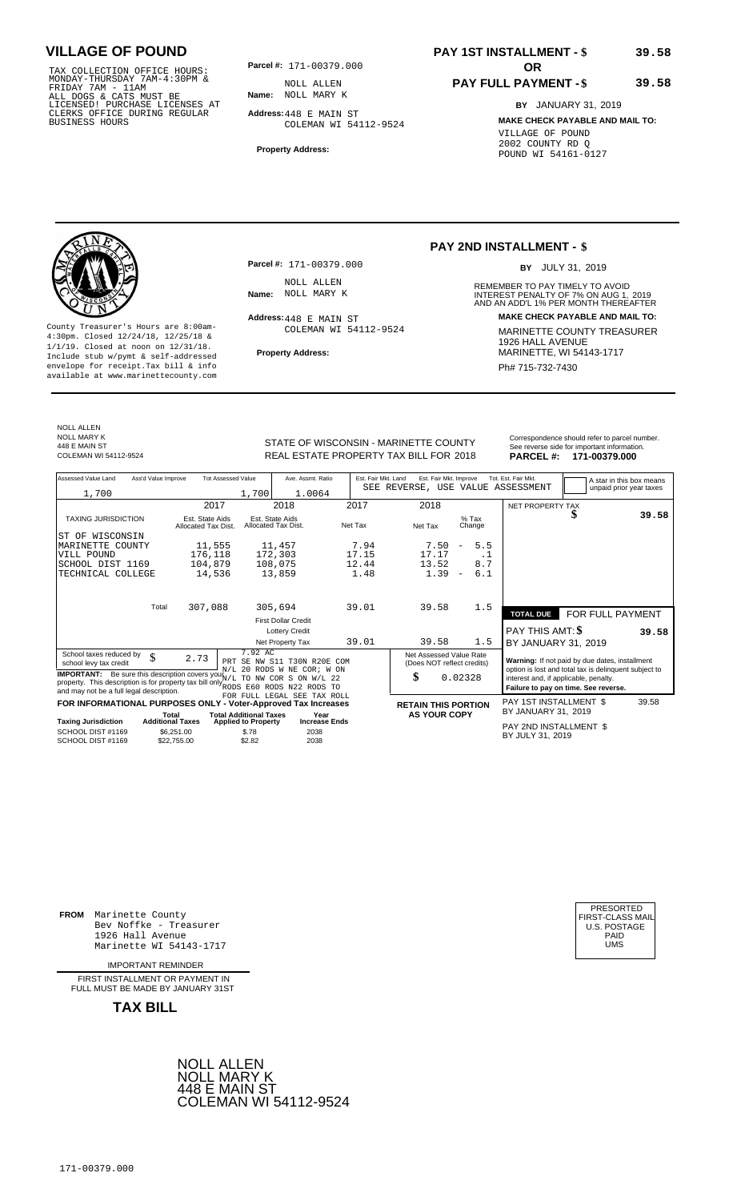TAX COLLECTION OFFICE HOURS:<br>
MONDAY-THURSDAY 7AM-4:30PM & MOLL ALLEN<br>
FRIDAY 7AM - 11AM<br>
ALL DOGS & CATS MUST BE **Name**: NOLL MARY K<br>
LICENSED! PURCHASE LICENSES AT<br>
CLERKS OFFICE DURING REGULAR **Address:**448 E MAIN ST<br>
B

**Parcel #: OR**

**Name:** NOLL MARY K NOLL ALLEN

**Address:** 448 E MAIN ST COLEMAN WI 54112-9524

**Property Address:**

### **PAY 1ST INSTALLMENT - \$ 39.58**

### **PAY FULL PAYMENT - \$**

**BY** JANUARY 31, 2019 **MAKE CHECK PAYABLE AND MAIL TO:** VILLAGE OF POUND 2002 COUNTY RD Q POUND WI 54161-0127

**39.58**



**Property Address:** MARINETTE, WI 54143-1717 Include stub w/pymt & self-addressed envelope for receipt.Tax bill & info Phat is a set of the phat of the Phat 715-732-7430 envelope for receipt.Tax bill & info Phat 715-732-7430 envelope for the phat 715-732-7430 envelope for the phat 715-732-7430 envelope

**Parcel #:** 171-00379.000 NOLL ALLEN<br>Name: NOLL MARY K

Address: 448 E MAIN ST COLEMAN WI 54112-9524

### **PAY 2ND INSTALLMENT - \$**

BY JULY 31, 2019

REMEMBER TO PAY TIMELY TO AVOID **Name:** INTEREST PENALTY OF 7% ON AUG 1, AND AN ADD'L 1% PER MONTH THEREAFTER NOLL MARY K 2019 **Address: MAKE CHECK PAYABLE AND MAIL TO:** County Treasurer's Hours are 8:00am-<br>
4:30pm. Closed 12/24/18, 12/25/18 & COLEMAN WI 54112-9524 MARINETTE COUNTY TREASURER<br>
1/1/19. Closed at noon on 12/31/18.<br>
Include stub w/pwmt. & self-addressed Property Address: MARIN

NOLL ALLEN NOLL MARY K 448 E MAIN ST<br>COLEMAN WI 54112-9524

STATE OF WISCONSIN - MARINETTE COUNTY<br>
See reverse side for important information.<br>
REAL ESTATE PROPERTY TAX BILL FOR 2018 PARCEL #: 171-00379.000 REAL ESTATE PROPERTY TAX BILL FOR **PARCEL #:** COLEMAN WI 54112-9524 2018 **171-00379.000**

| Assessed Value Land                                                                                                                                                                            | Ass'd Value Improve                                  | <b>Tot Assessed Value</b>              |                                               | Ave. Assmt. Ratio                                                               | Est. Fair Mkt. Land | Est. Fair Mkt. Improve<br>SEE REVERSE, USE VALUE ASSESSMENT |                                 | Tot. Est. Fair Mkt.                                                                                                                    |   | A star in this box means<br>unpaid prior year taxes |       |
|------------------------------------------------------------------------------------------------------------------------------------------------------------------------------------------------|------------------------------------------------------|----------------------------------------|-----------------------------------------------|---------------------------------------------------------------------------------|---------------------|-------------------------------------------------------------|---------------------------------|----------------------------------------------------------------------------------------------------------------------------------------|---|-----------------------------------------------------|-------|
| 1,700                                                                                                                                                                                          |                                                      |                                        | 1,700                                         | 1.0064                                                                          |                     |                                                             |                                 |                                                                                                                                        |   |                                                     |       |
|                                                                                                                                                                                                |                                                      | 2017                                   |                                               | 2018                                                                            | 2017                | 2018                                                        |                                 | NET PROPERTY TAX                                                                                                                       |   |                                                     |       |
| <b>TAXING JURISDICTION</b>                                                                                                                                                                     |                                                      | Est. State Aids<br>Allocated Tax Dist. | Est. State Aids<br>Allocated Tax Dist.        |                                                                                 | Net Tax             | Net Tax                                                     | $%$ Tax<br>Change               |                                                                                                                                        | ъ |                                                     | 39.58 |
| WISCONSIN<br>ST OF                                                                                                                                                                             |                                                      |                                        |                                               |                                                                                 |                     |                                                             |                                 |                                                                                                                                        |   |                                                     |       |
| MARINETTE COUNTY                                                                                                                                                                               |                                                      | 11,555                                 |                                               | 11,457                                                                          | 7.94                | 7.50                                                        | 5.5<br>$\overline{\phantom{a}}$ |                                                                                                                                        |   |                                                     |       |
| VILL POUND                                                                                                                                                                                     |                                                      | 176,118                                |                                               | 172,303                                                                         | 17.15               | 17.17                                                       | .1                              |                                                                                                                                        |   |                                                     |       |
| SCHOOL DIST 1169                                                                                                                                                                               |                                                      | 104,879                                |                                               | 108,075                                                                         | 12.44               | 13.52                                                       | 8.7                             |                                                                                                                                        |   |                                                     |       |
| TECHNICAL COLLEGE                                                                                                                                                                              |                                                      | 14,536                                 |                                               | 13,859                                                                          | 1.48                | 1.39                                                        | 6.1<br>$\overline{\phantom{a}}$ |                                                                                                                                        |   |                                                     |       |
|                                                                                                                                                                                                |                                                      |                                        |                                               |                                                                                 |                     |                                                             |                                 |                                                                                                                                        |   |                                                     |       |
|                                                                                                                                                                                                | Total                                                | 307,088                                |                                               | 305,694                                                                         | 39.01               | 39.58                                                       | 1.5                             | <b>TOTAL DUE</b>                                                                                                                       |   | FOR FULL PAYMENT                                    |       |
|                                                                                                                                                                                                |                                                      |                                        |                                               | <b>First Dollar Credit</b>                                                      |                     |                                                             |                                 |                                                                                                                                        |   |                                                     |       |
|                                                                                                                                                                                                |                                                      |                                        |                                               | <b>Lottery Credit</b>                                                           |                     |                                                             |                                 | PAY THIS AMT: \$                                                                                                                       |   |                                                     | 39.58 |
|                                                                                                                                                                                                |                                                      |                                        |                                               | Net Property Tax                                                                | 39.01               | 39.58                                                       | 1.5                             | BY JANUARY 31, 2019                                                                                                                    |   |                                                     |       |
| School taxes reduced by<br>school levy tax credit                                                                                                                                              | \$                                                   | 2.73<br>PRT                            | 7.92 AC                                       | SE NW S11 T30N R20E COM                                                         |                     | Net Assessed Value Rate<br>(Does NOT reflect credits)       |                                 | Warning: If not paid by due dates, installment                                                                                         |   |                                                     |       |
| <b>IMPORTANT:</b> Be sure this description covers your $N/L$<br>property. This description is for property tax bill only RODS E60 RODS N22 RODS TO<br>and may not be a full legal description. |                                                      |                                        | <b>TO</b>                                     | N/L 20 RODS W NE COR; W ON<br>NW COR S ON W/L 22<br>FOR FULL LEGAL SEE TAX ROLL |                     | \$                                                          | 0.02328                         | option is lost and total tax is delinquent subject to<br>interest and, if applicable, penalty.<br>Failure to pay on time. See reverse. |   |                                                     |       |
| FOR INFORMATIONAL PURPOSES ONLY - Voter-Approved Tax Increases                                                                                                                                 |                                                      |                                        |                                               |                                                                                 |                     | <b>RETAIN THIS PORTION</b>                                  |                                 | PAY 1ST INSTALLMENT \$                                                                                                                 |   |                                                     | 39.58 |
|                                                                                                                                                                                                | Total                                                |                                        | <b>Total Additional Taxes</b>                 | Year                                                                            |                     | <b>AS YOUR COPY</b>                                         |                                 | BY JANUARY 31, 2019                                                                                                                    |   |                                                     |       |
| <b>Taxing Jurisdiction</b><br>SCHOOL DIST #1169<br>SCHOOL DIST #1169                                                                                                                           | <b>Additional Taxes</b><br>\$6.251.00<br>\$22,755.00 |                                        | <b>Applied to Property</b><br>\$.78<br>\$2.82 | <b>Increase Ends</b><br>2038<br>2038                                            |                     |                                                             |                                 | PAY 2ND INSTALLMENT \$<br>BY JULY 31, 2019                                                                                             |   |                                                     |       |

**FROM** Marinette County Bev Noffke - Treasurer (U.S. POSTAGE)<br>1926 Hall Avenue (U.S. POSTAGE)<br>Marinette WI 54143-1717 (U.S. POSTAGE) 1926 Hall Avenue PAID Marinette WI 54143-1717 UMS

IMPORTANT REMINDER

FIRST INSTALLMENT OR PAYMENT IN FULL MUST BE MADE BY JANUARY 31ST

**TAX BILL**





171-00379.000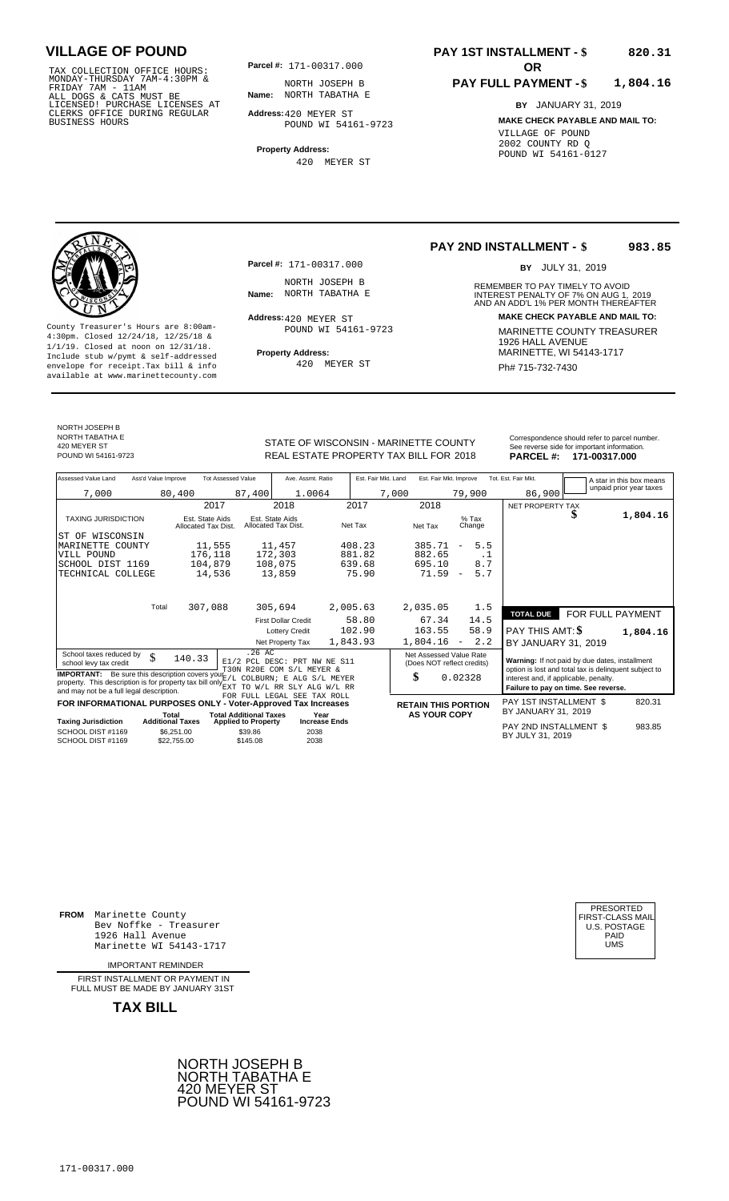TAX COLLECTION OFFICE HOURS:<br>
MONDAY-THURSDAY 7AM-4:30PM & MORTH JOSEPH E<br>
FRIDAY 7AM - 11AM<br>
ALL DOGS & CATS MUST BE **Name**: NORTH TABATHA<br>
LICENSED ! PURCHASE LICENSES AT<br>
CLERKS OFFICE DURING REGULAR **Address:**420 MEYER

**Parcel #:** 171-00317.000

**Name:** NORTH TABATHA E NORTH JOSEPH B

**Address:** 420 MEYER ST POUND WI 54161-9723

**Property Address:** 420 MEYER ST

#### **PAY 1ST INSTALLMENT - \$ 820.31**

#### **PAY FULL PAYMENT - \$ 1,804.16**

**BY** JANUARY 31, 2019 **MAKE CHECK PAYABLE AND MAIL TO:** VILLAGE OF POUND 2002 COUNTY RD Q POUND WI 54161-0127

**Property Address:** MARINETTE, WI 54143-1717 Include stub w/pymt & self-addressed envelope for receipt.Tax bill & info Ph# 715-732-7430 available at www.marinettecounty.com

**Parcel #:** 171-00317.000

NORTH JOSEPH B<br>Name: NORTH TABATHA E

Address: 420 MEYER ST POUND WI 54161-9723

420 MEYER ST

#### **PAY 2ND INSTALLMENT - \$ 983.85**

BY JULY 31, 2019

REMEMBER TO PAY TIMELY TO AVOID **Name:** NORTH TABATHA E **INTEREST PENALTY OF 7% ON AUG 1, 2019**<br>AND AN ADD'L 1% PER MONTH THEREAFTER **Address: MAKE CHECK PAYABLE AND MAIL TO:** County Treasurer's Hours are 8:00am- MARINETTE COUNTY TREASURER 4:30pm. Closed 12/24/18, 12/25/18 & 1926 HALL AVENUE 1/1/19. Closed at noon on 12/31/18.

NORTH JOSEPH B NORTH TABATHA E

420 MEYER ST<br>POUND WI 54161-9723

POUND WI 54161-9723 **18. EXELL ESTATE PROPERTY TAX BILL FOR 2018 PARCEL #: 171-00317.000** 

| Correspondence should refer to parcel number. |
|-----------------------------------------------|
| See reverse side for important information.   |
| <b>DADCEL 4. 474 00347 000</b>                |

| Assessed Value Land                                                                                                                                                                                              | Ass'd Value Improve     |                                        | <b>Tot Assessed Value</b>     |                                                                    | Ave. Assmt. Ratio    | Est. Fair Mkt. Land |       | Est. Fair Mkt. Improve                                |                          |      | Tot. Est. Fair Mkt.                                                                                     |   | A star in this box means |
|------------------------------------------------------------------------------------------------------------------------------------------------------------------------------------------------------------------|-------------------------|----------------------------------------|-------------------------------|--------------------------------------------------------------------|----------------------|---------------------|-------|-------------------------------------------------------|--------------------------|------|---------------------------------------------------------------------------------------------------------|---|--------------------------|
| 7,000                                                                                                                                                                                                            |                         | 80,400                                 | 87,400                        |                                                                    | 1.0064               |                     | 7,000 |                                                       | 79,900                   |      | 86,900                                                                                                  |   | unpaid prior year taxes  |
|                                                                                                                                                                                                                  |                         |                                        | 2017                          | 2018                                                               |                      | 2017                |       | 2018                                                  |                          |      | NET PROPERTY TAX                                                                                        |   |                          |
| <b>TAXING JURISDICTION</b>                                                                                                                                                                                       |                         | Est. State Aids<br>Allocated Tax Dist. |                               | Est. State Aids<br>Allocated Tax Dist.                             |                      | Net Tax             |       | Net Tax                                               | $%$ Tax<br>Change        |      |                                                                                                         | J | 1,804.16                 |
| WISCONSIN<br>ST OF                                                                                                                                                                                               |                         |                                        |                               |                                                                    |                      |                     |       |                                                       |                          |      |                                                                                                         |   |                          |
| MARINETTE COUNTY                                                                                                                                                                                                 |                         | 11,555                                 |                               | 11,457                                                             |                      | 408.23              |       | 385.71                                                | $\overline{\phantom{a}}$ | 5.5  |                                                                                                         |   |                          |
| VILL POUND                                                                                                                                                                                                       |                         | 176,118                                |                               | 172,303                                                            |                      | 881.82              |       | 882.65                                                |                          | . 1  |                                                                                                         |   |                          |
| SCHOOL DIST 1169                                                                                                                                                                                                 |                         | 104,879                                |                               | 108,075                                                            |                      | 639.68              |       | 695.10                                                |                          | 8.7  |                                                                                                         |   |                          |
| TECHNICAL COLLEGE                                                                                                                                                                                                |                         | 14,536                                 |                               | 13,859                                                             |                      | 75.90               |       | 71.59                                                 | $\overline{\phantom{a}}$ | 5.7  |                                                                                                         |   |                          |
|                                                                                                                                                                                                                  |                         |                                        |                               |                                                                    |                      |                     |       |                                                       |                          |      |                                                                                                         |   |                          |
|                                                                                                                                                                                                                  | Total                   | 307,088                                |                               | 305,694                                                            |                      | 2,005.63            |       | 2,035.05                                              |                          | 1.5  | <b>TOTAL DUE</b>                                                                                        |   | FOR FULL PAYMENT         |
|                                                                                                                                                                                                                  |                         |                                        |                               | <b>First Dollar Credit</b>                                         |                      | 58.80               |       | 67.34                                                 |                          | 14.5 |                                                                                                         |   |                          |
|                                                                                                                                                                                                                  |                         |                                        |                               | <b>Lottery Credit</b>                                              |                      | 102.90              |       | 163.55                                                |                          | 58.9 | <b>PAY THIS AMT: \$</b>                                                                                 |   | 1,804.16                 |
|                                                                                                                                                                                                                  |                         |                                        |                               | Net Property Tax                                                   |                      | 1,843.93            |       | 1,804.16                                              | $\overline{\phantom{a}}$ | 2.2  | BY JANUARY 31, 2019                                                                                     |   |                          |
| School taxes reduced by<br>school levy tax credit                                                                                                                                                                | \$                      | 140.33                                 |                               | .26AC<br>E1/2 PCL DESC: PRT NW NE S11<br>T30N R20E COM S/L MEYER & |                      |                     |       | Net Assessed Value Rate<br>(Does NOT reflect credits) |                          |      | Warning: If not paid by due dates, installment<br>option is lost and total tax is delinquent subject to |   |                          |
| <b>IMPORTANT:</b> Be sure this description covers your $E/L$ COLBURN; E ALG S/L MEYER<br>property. This description is for property tax bill only $_{\rm EXT}^{2,2}$<br>and may not be a full legal description. |                         |                                        |                               | TO W/L RR SLY ALG W/L RR                                           |                      |                     |       | \$                                                    | 0.02328                  |      | interest and, if applicable, penalty.<br>Failure to pay on time. See reverse.                           |   |                          |
| FOR INFORMATIONAL PURPOSES ONLY - Voter-Approved Tax Increases                                                                                                                                                   |                         |                                        |                               | FOR FULL LEGAL SEE TAX ROLL                                        |                      |                     |       | <b>RETAIN THIS PORTION</b>                            |                          |      | PAY 1ST INSTALLMENT \$                                                                                  |   | 820.31                   |
|                                                                                                                                                                                                                  | Total                   |                                        | <b>Total Additional Taxes</b> |                                                                    | Year                 |                     |       | <b>AS YOUR COPY</b>                                   |                          |      | BY JANUARY 31, 2019                                                                                     |   |                          |
| <b>Taxing Jurisdiction</b>                                                                                                                                                                                       | <b>Additional Taxes</b> |                                        | <b>Applied to Property</b>    |                                                                    | <b>Increase Ends</b> |                     |       |                                                       |                          |      |                                                                                                         |   |                          |
| SCHOOL DIST #1169<br>SCHOOL DIST #1169                                                                                                                                                                           |                         | \$6.251.00<br>\$22,755.00              | \$39.86<br>\$145.08           |                                                                    | 2038<br>2038         |                     |       |                                                       |                          |      | PAY 2ND INSTALLMENT \$<br>BY JULY 31, 2019                                                              |   | 983.85                   |

**FROM** Marinette County Bev Noffke - Treasurer (U.S. POSTAGE)<br>1926 Hall Avenue (U.S. POSTAGE)<br>Marinette WI 54143-1717 (U.S. POSTAGE) 1926 Hall Avenue Marinette WI 54143-1717

IMPORTANT REMINDER

FIRST INSTALLMENT OR PAYMENT IN FULL MUST BE MADE BY JANUARY 31ST

**TAX BILL**





# STATE OF WISCONSIN - MARINETTE COUNTY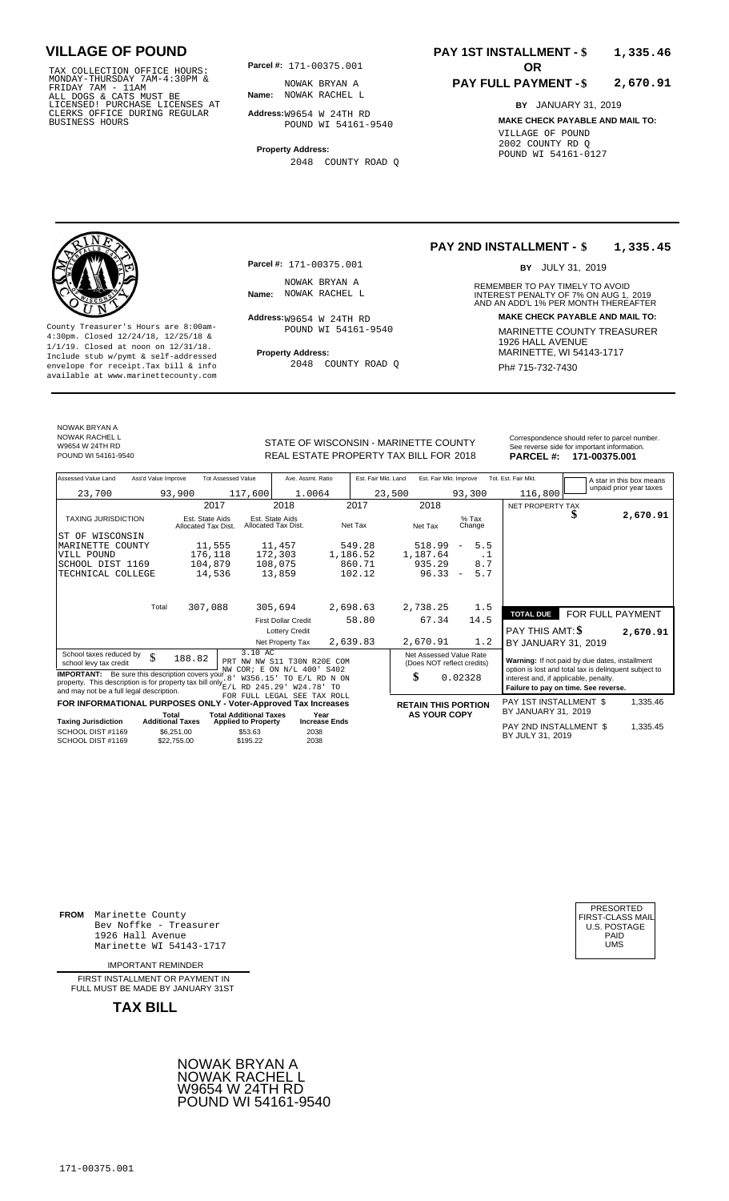TAX COLLECTION OFFICE HOURS:<br>
MONDAY-THURSDAY 7AM-4:30PM & MOWAK BRYAN A<br>
FRIDAY 7AM - 11AM<br>
ALL DOGS & CATS MUST BE **Name**: NOWAK RACHEL I<br>
LICENSED ! PURCHASE LICENSES AT<br>
CLERKS OFFICE DURING REGULAR **Address:**W9654 W 2

**Parcel #: OR**

**Name:** NOWAK RACHEL L NOWAK BRYAN A

**Address:** W9654 W 24TH RD POUND WI 54161-9540

**Property Address:** 2048 COUNTY ROAD Q

### **PAY 1ST INSTALLMENT - \$ 1,335.46**

#### **PAY FULL PAYMENT - \$ 2,670.91**

**BY** JANUARY 31, 2019 **MAKE CHECK PAYABLE AND MAIL TO:** VILLAGE OF POUND 2002 COUNTY RD Q POUND WI 54161-0127

**Property Address:** MARINETTE, WI 54143-1717 Include stub w/pymt & self-addressed envelope for receipt.Tax bill & info Ph# 715-732-7430 available at www.marinettecounty.com

**Parcel #:** 171-00375.001

NOWAK BRYAN A<br>Name: NOWAK RACHEL L

 $Address: W9654 W 24TH RD$ POUND WI 54161-9540

2048 COUNTY ROAD Q

#### **PAY 2ND INSTALLMENT - \$ 1,335.45**

BY JULY 31, 2019

REMEMBER TO PAY TIMELY TO AVOID **Name:** NOWAK RACHEL L **Interest Penalty of 7% ON AUG 1, 2019**<br>AND AN ADD'L 1% PER MONTH THEREAFTER **Address: MAKE CHECK PAYABLE AND MAIL TO:** County Treasurer's Hours are 8:00am-<br>  $\begin{array}{r}\n4:30 \text{pm.} \text{ 2.1 } \text{m} \text{ m}^2 \text{ m}^2 \text{ m}^2 \text{ m}^2 \text{ m}^2 \text{ m}^2 \text{ m}^2 \text{ m}^2 \text{ m}^2 \text{ m}^2 \text{ m}^2 \text{ m}^2 \text{ m}^2 \text{ m}^2 \text{ m}^2 \text{ m}^2 \text{ m}^2 \text{ m}^2 \text{ m}^2 \text{ m}^2 \text{ m}^2 \text{ m$ 

NOWAK BRYAN A NOWAK RACHEL L

W9654 W 24TH RD

STATE OF WISCONSIN - MARINETTE COUNTY REAL ESTATE PROPERTY TAX BILL FOR **PARCEL #:** POUND WI 54161-9540 2018 **171-00375.001**

|                 | Correspondence should refer to parcel number. |
|-----------------|-----------------------------------------------|
|                 | See reverse side for important information.   |
| <b>PARCEL#:</b> | 171-00375.001                                 |

| Assessed Value Land                                                                                                                                                                     | Ass'd Value Improve     |                                        | <b>Tot Assessed Value</b>             | Ave. Assmt. Ratio                                                      |                      | Est. Fair Mkt. Land |                                                             | Est. Fair Mkt. Improve |                          |                   | Tot. Est. Fair Mkt.                           |         |  | A star in this box means                                                                                |
|-----------------------------------------------------------------------------------------------------------------------------------------------------------------------------------------|-------------------------|----------------------------------------|---------------------------------------|------------------------------------------------------------------------|----------------------|---------------------|-------------------------------------------------------------|------------------------|--------------------------|-------------------|-----------------------------------------------|---------|--|---------------------------------------------------------------------------------------------------------|
| 23,700                                                                                                                                                                                  |                         | 93,900                                 | 117,600                               | 1.0064                                                                 |                      |                     | 23,500                                                      |                        | 93,300                   |                   |                                               | 116,800 |  | unpaid prior year taxes                                                                                 |
|                                                                                                                                                                                         |                         | 2017                                   |                                       | 2018                                                                   |                      | 2017                |                                                             | 2018                   |                          |                   | NET PROPERTY TAX                              |         |  |                                                                                                         |
| <b>TAXING JURISDICTION</b>                                                                                                                                                              |                         | Est. State Aids<br>Allocated Tax Dist. |                                       | Est. State Aids<br>Allocated Tax Dist.                                 |                      | Net Tax             | Net Tax                                                     |                        |                          | $%$ Tax<br>Change |                                               |         |  | 2,670.91                                                                                                |
| ST OF WISCONSIN                                                                                                                                                                         |                         |                                        |                                       |                                                                        |                      |                     |                                                             |                        |                          |                   |                                               |         |  |                                                                                                         |
| MARINETTE COUNTY                                                                                                                                                                        |                         | 11,555                                 |                                       | 11,457                                                                 |                      | 549.28              |                                                             | 518.99                 | $\overline{\phantom{a}}$ | 5.5               |                                               |         |  |                                                                                                         |
| VILL POUND                                                                                                                                                                              |                         | 176,118                                |                                       | 172,303                                                                | 1,186.52             |                     | 1,187.64                                                    |                        |                          | $\cdot$ 1         |                                               |         |  |                                                                                                         |
| SCHOOL DIST 1169                                                                                                                                                                        |                         | 104,879                                |                                       | 108,075                                                                |                      | 860.71              |                                                             | 935.29                 |                          | 8.7               |                                               |         |  |                                                                                                         |
| TECHNICAL COLLEGE                                                                                                                                                                       |                         | 14,536                                 |                                       | 13,859                                                                 |                      | 102.12              |                                                             | 96.33                  | $\overline{\phantom{a}}$ | 5.7               |                                               |         |  |                                                                                                         |
|                                                                                                                                                                                         | Total                   | 307,088                                |                                       | 305,694                                                                |                      | 2,698.63            | 2,738.25                                                    |                        |                          | 1.5               |                                               |         |  |                                                                                                         |
|                                                                                                                                                                                         |                         |                                        |                                       |                                                                        |                      |                     |                                                             |                        |                          |                   | <b>TOTAL DUE</b>                              |         |  | FOR FULL PAYMENT                                                                                        |
|                                                                                                                                                                                         |                         |                                        |                                       | <b>First Dollar Credit</b>                                             |                      | 58.80               |                                                             | 67.34                  |                          | 14.5              |                                               |         |  |                                                                                                         |
|                                                                                                                                                                                         |                         |                                        |                                       | <b>Lottery Credit</b>                                                  |                      |                     |                                                             |                        |                          |                   | <b>PAY THIS AMT: \$</b>                       |         |  | 2,670.91                                                                                                |
|                                                                                                                                                                                         |                         |                                        |                                       | Net Property Tax                                                       |                      | 2,639.83            | 2,670.91                                                    |                        |                          | 1.2               | BY JANUARY 31, 2019                           |         |  |                                                                                                         |
| School taxes reduced by<br>school levy tax credit<br><b>IMPORTANT:</b> Be sure this description covers your<br>property. This description is for property tax bill only $E/L$ RD 245.29 | \$                      | 188.82                                 | 3.10 AC<br>8 <sup>1</sup><br>W356.15' | PRT NW NW S11 T30N R20E COM<br>NW COR; E ON N/L 400'<br>TO E/L RD N ON | S402                 |                     | Net Assessed Value Rate<br>(Does NOT reflect credits)<br>\$ |                        | 0.02328                  |                   | interest and, if applicable, penalty.         |         |  | Warning: If not paid by due dates, installment<br>option is lost and total tax is delinquent subject to |
| and may not be a full legal description.                                                                                                                                                |                         |                                        |                                       | W24.78' TO<br>FOR FULL LEGAL SEE TAX ROLL                              |                      |                     |                                                             |                        |                          |                   | Failure to pay on time. See reverse.          |         |  |                                                                                                         |
| FOR INFORMATIONAL PURPOSES ONLY - Voter-Approved Tax Increases                                                                                                                          | Total                   |                                        | <b>Total Additional Taxes</b>         |                                                                        | Year                 |                     | <b>RETAIN THIS PORTION</b>                                  | <b>AS YOUR COPY</b>    |                          |                   | PAY 1ST INSTALLMENT \$<br>BY JANUARY 31, 2019 |         |  | 1,335.46                                                                                                |
| <b>Taxing Jurisdiction</b>                                                                                                                                                              | <b>Additional Taxes</b> |                                        | <b>Applied to Property</b>            |                                                                        | <b>Increase Ends</b> |                     |                                                             |                        |                          |                   |                                               |         |  |                                                                                                         |
| SCHOOL DIST #1169<br>SCHOOL DIST #1169                                                                                                                                                  |                         | \$6,251.00<br>\$22.755.00              | \$53.63<br>\$195.22                   | 2038<br>2038                                                           |                      |                     |                                                             |                        |                          |                   | PAY 2ND INSTALLMENT \$<br>BY JULY 31, 2019    |         |  | 1,335.45                                                                                                |

**FROM** Marinette County Bev Noffke - Treasurer (U.S. POSTAGE)<br>1926 Hall Avenue (U.S. POSTAGE)<br>Marinette WI 54143-1717 (U.S. POSTAGE) 1926 Hall Avenue Marinette WI 54143-1717

IMPORTANT REMINDER

FIRST INSTALLMENT OR PAYMENT IN FULL MUST BE MADE BY JANUARY 31ST



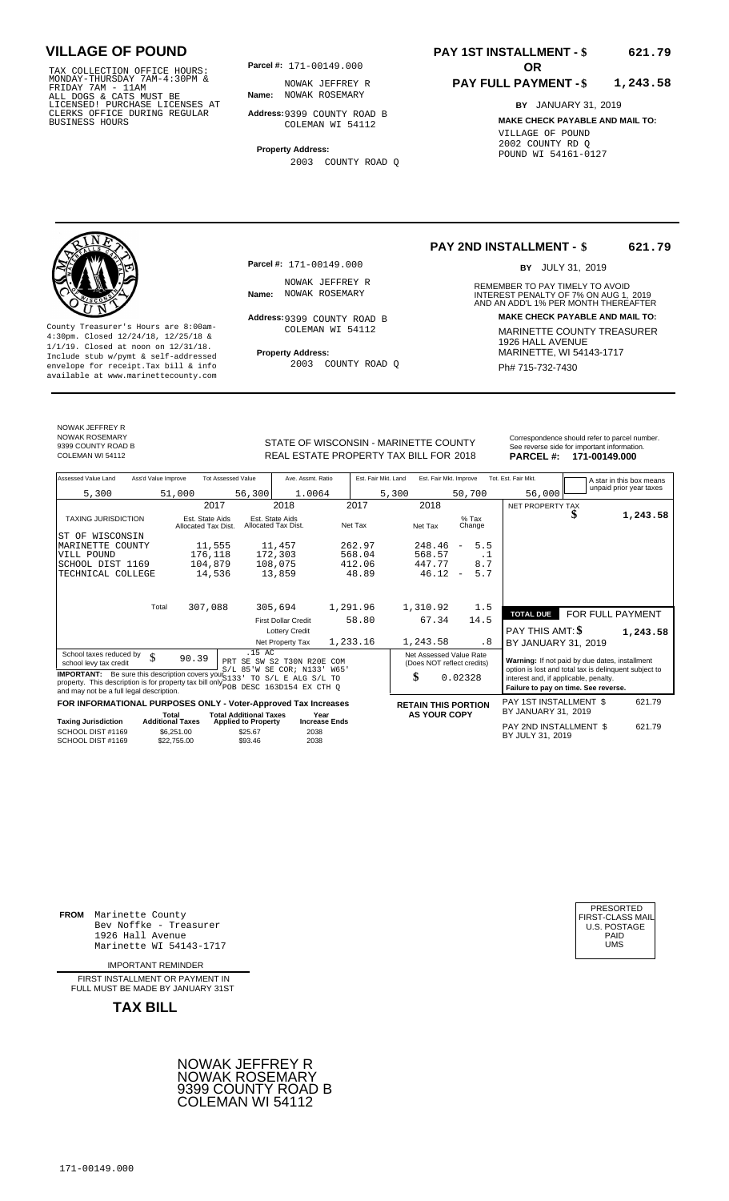TAX COLLECTION OFFICE HOURS: **Parcel#:** 171-00149.000<br>
MONDAY-THURSDAY 7AM-4:30PM & NOWAK JEFFREY<br>
FRIDAY 7AM - 11AM<br>
ALL DOGS & CATS MUST BE **Name:** NOWAK ROSEMARY<br>
CLERKS OFFICE DURING REGULAR **Address**:9399 COUNTY RC<br>
C

**Parcel #:** 171-00149.000

**Name:** NOWAK ROSEMARY NOWAK JEFFREY R

**Address:** 9399 COUNTY ROAD B COLEMAN WI 54112

**Property Address:** 2003 COUNTY ROAD Q

### **PAY 1ST INSTALLMENT - \$ 621.79**

#### **PAY FULL PAYMENT - \$ 1,243.58**

**BY** JANUARY 31, 2019 **MAKE CHECK PAYABLE AND MAIL TO:** VILLAGE OF POUND 2002 COUNTY RD Q POUND WI 54161-0127

**Property Address:** MARINETTE, WI 54143-1717 Include stub w/pymt & self-addressed envelope for receipt.Tax bill & info Ph# 715-732-7430 available at www.marinettecounty.com

**Parcel #:** 171-00149.000

NOWAK JEFFREY R<br>Name: NOWAK ROSEMARY

Address: 9399 COUNTY ROAD B COLEMAN WI 54112

2003 COUNTY ROAD Q

**PAY 2ND INSTALLMENT - \$ 621.79**

BY JULY 31, 2019

REMEMBER TO PAY TIMELY TO AVOID **Name:** NOWAK ROSEMARY **And ADDEREST PENALTY OF 7% ON AUG 1, 2019**<br>AND AN ADD'L 1% PER MONTH THEREAFTER **Address: MAKE CHECK PAYABLE AND MAIL TO:** County Treasurer's Hours are 8:00am-<br>
4:30pm. Closed 12/24/18, 12/25/18 & MARINETTE COUNTY TREASURER<br>
1/1/19. Closed at noon on 12/31/18.<br>
Include stub w/pwmt & self-addressed **Property Address:** MARINETTE, WI 54143-1717

NOWAK JEFFREY R NOWAK ROSEMARY 9399 COUNTY ROAD B<br>COLEMAN WI 54112

STATE OF WISCONSIN - MARINETTE COUNTY<br>
See reverse side for important information.<br>
REAL ESTATE PROPERTY TAX BILL FOR 2018 PARCEL #: 171-00149.000 REAL ESTATE PROPERTY TAX BILL FOR **PARCEL #:** COLEMAN WI 54112 2018 **171-00149.000**

| Assessed Value Land<br>Ass'd Value Improve                                                                                                                                                    | <b>Tot Assessed Value</b>                            | Ave. Assmt. Ratio                                                | Est. Fair Mkt. Land  | Est. Fair Mkt. Improve                                |                                 | Tot. Est. Fair Mkt.<br>A star in this box means                                                                                        |
|-----------------------------------------------------------------------------------------------------------------------------------------------------------------------------------------------|------------------------------------------------------|------------------------------------------------------------------|----------------------|-------------------------------------------------------|---------------------------------|----------------------------------------------------------------------------------------------------------------------------------------|
| 5,300                                                                                                                                                                                         | 51,000                                               | 1.0064<br>56,300                                                 |                      | 5,300                                                 | 50,700                          | unpaid prior year taxes<br>56,000                                                                                                      |
|                                                                                                                                                                                               | 2017                                                 | 2018                                                             | 2017                 | 2018                                                  |                                 | NET PROPERTY TAX                                                                                                                       |
| <b>TAXING JURISDICTION</b>                                                                                                                                                                    | Est. State Aids<br>Allocated Tax Dist.               | Est. State Aids<br>Allocated Tax Dist.                           | Net Tax              | Net Tax                                               | $%$ Tax<br>Change               | 1,243.58                                                                                                                               |
| WISCONSIN<br>ST OF                                                                                                                                                                            |                                                      |                                                                  |                      |                                                       |                                 |                                                                                                                                        |
| MARINETTE COUNTY                                                                                                                                                                              | 11,555                                               | 11,457                                                           | 262.97               | 248.46                                                | 5.5<br>$\overline{\phantom{a}}$ |                                                                                                                                        |
| VILL POUND                                                                                                                                                                                    | 176,118                                              | 172,303                                                          | 568.04               | 568.57                                                | $\cdot$ 1                       |                                                                                                                                        |
| SCHOOL DIST 1169                                                                                                                                                                              | 104,879                                              | 108,075                                                          | 412.06               | 447.77                                                | 8.7                             |                                                                                                                                        |
| TECHNICAL COLLEGE                                                                                                                                                                             | 14,536                                               | 13,859                                                           | 48.89                | 46.12                                                 | 5.7<br>$\overline{\phantom{m}}$ |                                                                                                                                        |
|                                                                                                                                                                                               |                                                      |                                                                  |                      |                                                       |                                 |                                                                                                                                        |
| Total                                                                                                                                                                                         | 307,088                                              | 305,694                                                          | 1,291.96             | 1,310.92                                              | 1.5                             |                                                                                                                                        |
|                                                                                                                                                                                               |                                                      | <b>First Dollar Credit</b>                                       | 58.80                | 67.34                                                 | 14.5                            | FOR FULL PAYMENT<br><b>TOTAL DUE</b>                                                                                                   |
|                                                                                                                                                                                               |                                                      | <b>Lottery Credit</b>                                            |                      |                                                       |                                 | PAY THIS AMT: <b>S</b><br>1,243.58                                                                                                     |
|                                                                                                                                                                                               |                                                      | Net Property Tax                                                 | 1,233.16             | 1,243.58                                              | . 8                             | BY JANUARY 31, 2019                                                                                                                    |
| School taxes reduced by<br>\$<br>school levy tax credit                                                                                                                                       | 90.39                                                | .15 AC<br>PRT SE SW S2 T30N R20E                                 | COM<br>W65'          | Net Assessed Value Rate<br>(Does NOT reflect credits) |                                 | Warning: If not paid by due dates, installment                                                                                         |
| <b>IMPORTANT:</b> Be sure this description covers your 5133<br>property. This description is for property tax bill only POB DESC 163D154 EX CTH Q<br>and may not be a full legal description. |                                                      | S/L 85'W SE COR; N133'<br>TO S/L E ALG S/L TO                    |                      | \$                                                    | 0.02328                         | option is lost and total tax is delinquent subject to<br>interest and, if applicable, penalty.<br>Failure to pay on time. See reverse. |
| FOR INFORMATIONAL PURPOSES ONLY - Voter-Approved Tax Increases                                                                                                                                |                                                      |                                                                  |                      | <b>RETAIN THIS PORTION</b>                            |                                 | PAY 1ST INSTALLMENT \$<br>621.79                                                                                                       |
|                                                                                                                                                                                               | Total                                                | <b>Total Additional Taxes</b>                                    | Year                 | <b>AS YOUR COPY</b>                                   |                                 | BY JANUARY 31, 2019                                                                                                                    |
| <b>Taxing Jurisdiction</b><br>SCHOOL DIST #1169<br>SCHOOL DIST #1169                                                                                                                          | <b>Additional Taxes</b><br>\$6.251.00<br>\$22,755.00 | <b>Applied to Property</b><br>\$25.67<br>2038<br>2038<br>\$93.46 | <b>Increase Ends</b> |                                                       |                                 | PAY 2ND INSTALLMENT \$<br>621.79<br>BY JULY 31, 2019                                                                                   |

**FROM** Marinette County Bev Noffke - Treasurer (U.S. POSTAGE)<br>1926 Hall Avenue (U.S. POSTAGE)<br>Marinette WI 54143-1717 (U.S. POSTAGE) 1926 Hall Avenue Marinette WI 54143-1717

IMPORTANT REMINDER

FIRST INSTALL MENT OR PAYMENT IN FULL MUST BE MADE BY JANUARY 31ST



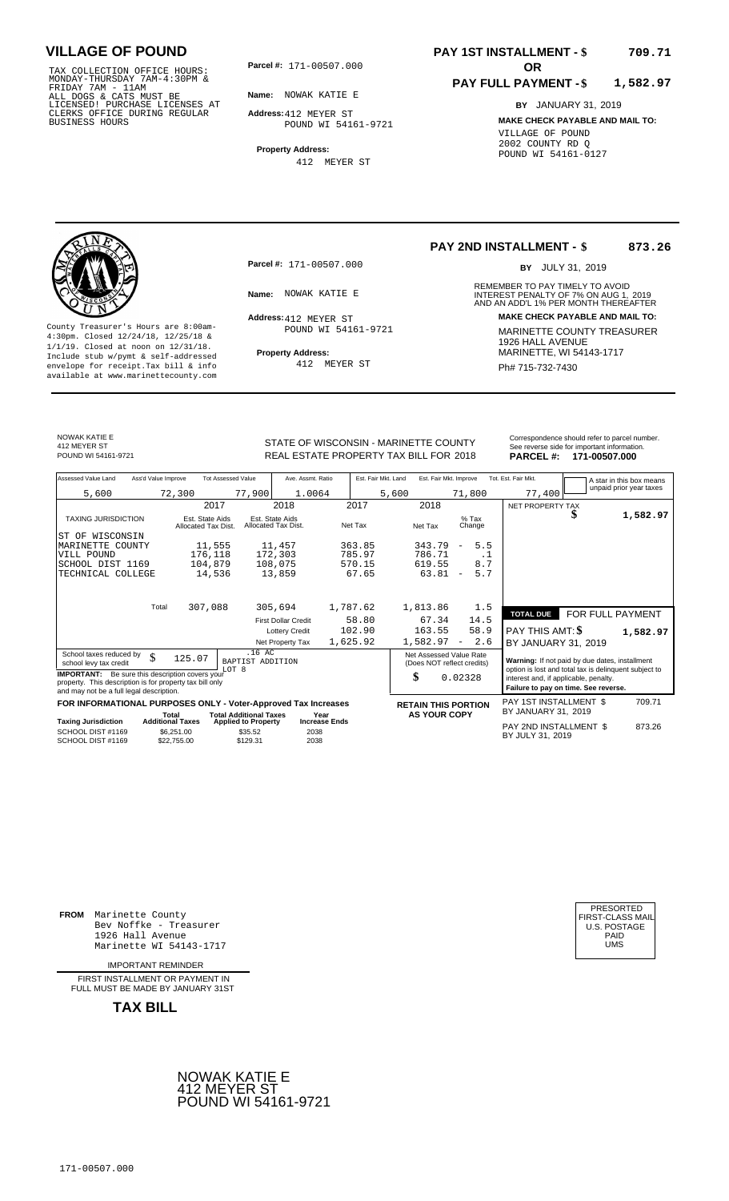171-00507.000 TAX COLLECTION OFFICE HOURS: MONDAY-THURSDAY 7AM-4:30PM & FRIDAY 7AM - 11AM ALL DOGS & CATS MUST BE LICENSED! PURCHASE LICENSES AT CLERKS OFFICE DURING REGULAR BUSINESS HOURS

**Parcel #:** 171-00507.000

**Name:** NOWAK KATIE E

**Address:** 412 MEYER ST POUND WI 54161-9721

**Property Address:** 412 MEYER ST

### **PAY 1ST INSTALLMENT - \$ 709.71**

#### **PAY FULL PAYMENT - \$ 1,582.97**

**BY** JANUARY 31, 2019 **MAKE CHECK PAYABLE AND MAIL TO:** VILLAGE OF POUND 2002 COUNTY RD Q POUND WI 54161-0127

**Property Address:** MARINETTE, WI 54143-1717 Include stub w/pymt & self-addressed envelope for receipt.Tax bill & info Ph# 715-732-7430 available at www.marinettecounty.com

**Parcel #:** 171-00507.000

Address: 412 MEYER ST POUND WI 54161-9721

412 MEYER ST

**PAY 2ND INSTALLMENT - \$ 873.26**

BY JULY 31, 2019

REMEMBER TO PAY TIMELY TO AVOID **Name:** INTEREST PENALTY OF 7% ON AUG 1, AND AN ADD'L 1% PER MONTH THEREAFTER NOWAK KATIE E 2019 **Address: MAKE CHECK PAYABLE AND MAIL TO:** County Treasurer's Hours are 8:00am-<br>
4:30pm. Closed 12/24/18, 12/25/18 & 1/1/19. Closed at noon on 12/31/18.<br>
Include stub w/pwmt. & self-addressed<br>
Froperty Address: MARINETTE, WI 54143-1717

NOWAK KATIE E 412 MEYER ST<br>POUND WI 54161-9721

REAL ESTATE PROPERTY TAX BILL FOR **PARCEL #:** POUND WI 54161-9721 2018 **171-00507.000**

| Correspondence should refer to parcel number.<br>See reverse side for important information. |  |
|----------------------------------------------------------------------------------------------|--|
|                                                                                              |  |
|                                                                                              |  |

| Assessed Value Land                                                                                                                                            | Ass'd Value Improve     |                                        | <b>Tot Assessed Value</b>     | Ave. Assmt. Ratio                      |                      |          | Est. Fair Mkt. Land | Est. Fair Mkt. Improve                                |                          |           | Tot. Est. Fair Mkt.                                                           |        |   | A star in this box means                              |
|----------------------------------------------------------------------------------------------------------------------------------------------------------------|-------------------------|----------------------------------------|-------------------------------|----------------------------------------|----------------------|----------|---------------------|-------------------------------------------------------|--------------------------|-----------|-------------------------------------------------------------------------------|--------|---|-------------------------------------------------------|
| 5,600                                                                                                                                                          |                         | 72,300                                 | 77,900                        | 1.0064                                 |                      |          | 5,600               |                                                       | 71,800                   |           |                                                                               | 77,400 |   | unpaid prior year taxes                               |
|                                                                                                                                                                |                         | 2017                                   |                               | 2018                                   |                      | 2017     |                     | 2018                                                  |                          |           | NET PROPERTY TAX                                                              |        |   |                                                       |
| <b>TAXING JURISDICTION</b>                                                                                                                                     |                         | Est. State Aids<br>Allocated Tax Dist. |                               | Est. State Aids<br>Allocated Tax Dist. |                      | Net Tax  |                     | Net Tax                                               | $%$ Tax<br>Change        |           |                                                                               |        | ъ | 1,582.97                                              |
| ST OF WISCONSIN                                                                                                                                                |                         |                                        |                               |                                        |                      |          |                     |                                                       |                          |           |                                                                               |        |   |                                                       |
| MARINETTE COUNTY                                                                                                                                               |                         | 11,555                                 |                               | 11,457                                 |                      | 363.85   |                     | 343.79                                                | $\overline{\phantom{m}}$ | 5.5       |                                                                               |        |   |                                                       |
| VILL POUND                                                                                                                                                     |                         | 176,118                                |                               | 172,303                                |                      | 785.97   |                     | 786.71                                                |                          | $\cdot$ 1 |                                                                               |        |   |                                                       |
| SCHOOL DIST 1169                                                                                                                                               |                         | 104,879                                |                               | 108,075                                |                      | 570.15   |                     | 619.55                                                |                          | 8.7       |                                                                               |        |   |                                                       |
| TECHNICAL COLLEGE                                                                                                                                              |                         | 14,536                                 |                               | 13,859                                 |                      | 67.65    |                     | 63.81                                                 | $\overline{\phantom{a}}$ | 5.7       |                                                                               |        |   |                                                       |
|                                                                                                                                                                | Total                   | 307,088                                |                               | 305,694                                |                      | 1,787.62 |                     | 1,813.86                                              |                          | 1.5       |                                                                               |        |   |                                                       |
|                                                                                                                                                                |                         |                                        |                               |                                        |                      | 58.80    |                     |                                                       |                          |           | <b>TOTAL DUE</b>                                                              |        |   | FOR FULL PAYMENT                                      |
|                                                                                                                                                                |                         |                                        |                               | <b>First Dollar Credit</b>             |                      |          |                     | 67.34                                                 |                          | 14.5      |                                                                               |        |   |                                                       |
|                                                                                                                                                                |                         |                                        |                               | <b>Lottery Credit</b>                  |                      | 102.90   |                     | 163.55                                                |                          | 58.9      | PAY THIS AMT: \$                                                              |        |   | 1,582.97                                              |
|                                                                                                                                                                |                         |                                        |                               | Net Property Tax                       |                      | 1,625.92 |                     | 1,582.97                                              | $\overline{\phantom{a}}$ | 2.6       | BY JANUARY 31, 2019                                                           |        |   |                                                       |
| School taxes reduced by<br>school levy tax credit                                                                                                              | \$                      | 125.07                                 | .16 AC<br>BAPTIST ADDITION    |                                        |                      |          |                     | Net Assessed Value Rate<br>(Does NOT reflect credits) |                          |           |                                                                               |        |   | Warning: If not paid by due dates, installment        |
| <b>IMPORTANT:</b> Be sure this description covers your<br>property. This description is for property tax bill only<br>and may not be a full legal description. |                         |                                        | LOT 8                         |                                        |                      |          |                     | \$                                                    | 0.02328                  |           | interest and, if applicable, penalty.<br>Failure to pay on time. See reverse. |        |   | option is lost and total tax is delinquent subject to |
| FOR INFORMATIONAL PURPOSES ONLY - Voter-Approved Tax Increases                                                                                                 |                         |                                        |                               |                                        |                      |          |                     | <b>RETAIN THIS PORTION</b>                            |                          |           | PAY 1ST INSTALLMENT \$                                                        |        |   | 709.71                                                |
|                                                                                                                                                                | Total                   |                                        | <b>Total Additional Taxes</b> |                                        | Year                 |          |                     | <b>AS YOUR COPY</b>                                   |                          |           | BY JANUARY 31, 2019                                                           |        |   |                                                       |
| <b>Taxing Jurisdiction</b>                                                                                                                                     | <b>Additional Taxes</b> |                                        | <b>Applied to Property</b>    |                                        | <b>Increase Ends</b> |          |                     |                                                       |                          |           | PAY 2ND INSTALLMENT \$                                                        |        |   | 873.26                                                |
| SCHOOL DIST #1169<br>SCHOOL DIST #1169                                                                                                                         |                         | \$6,251.00<br>\$22,755.00              | \$35.52<br>\$129.31           | 2038<br>2038                           |                      |          |                     |                                                       |                          |           | BY JULY 31, 2019                                                              |        |   |                                                       |

**FROM** Marinette County Bev Noffke - Treasurer 1926 Hall Avenue PAID Marinette WI 54143-1717 UMS

IMPORTANT REMINDER

FIRST INSTALLMENT OR PAYMENT IN FULL MUST BE MADE BY JANUARY 31ST

**TAX BILL**



| PRESORTED<br>FIRST-CLASS MAIL<br><b>U.S. POSTAGE</b><br>PAID<br>UMS |  |
|---------------------------------------------------------------------|--|
|---------------------------------------------------------------------|--|

# STATE OF WISCONSIN - MARINETTE COUNTY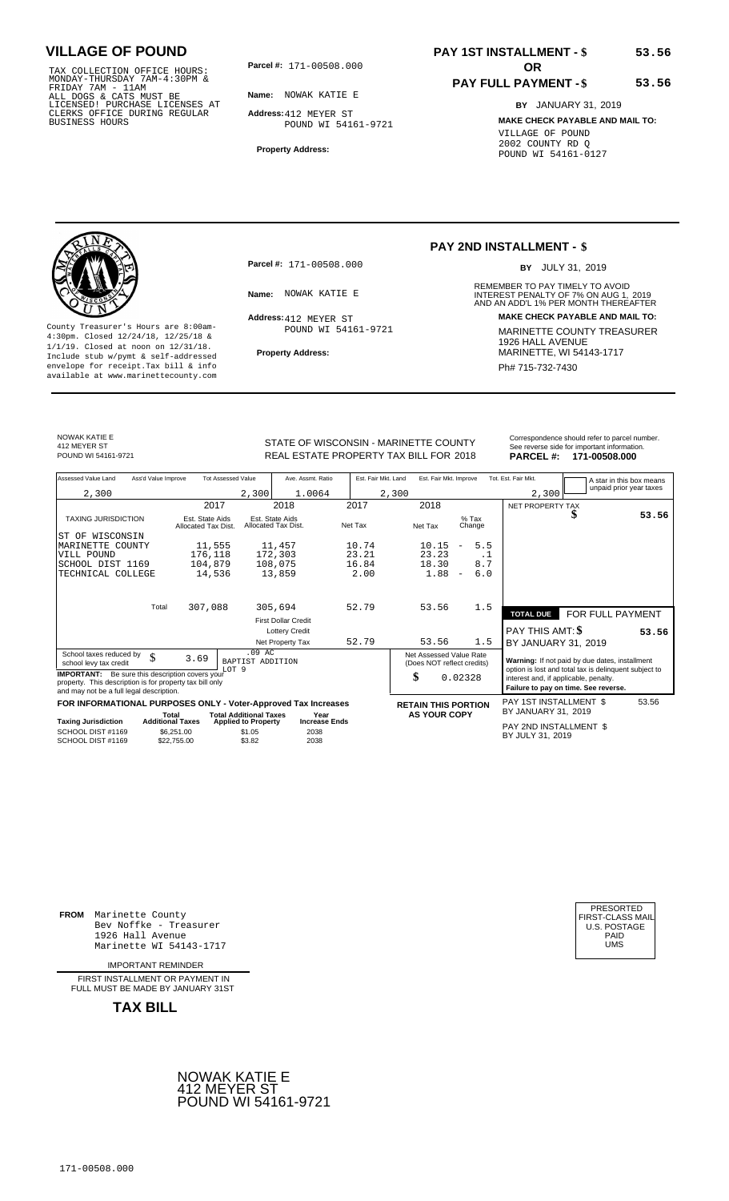TAX COLLECTION OFFICE HOURS:<br>
MONDAY-THURSDAY 7AM-4:30PM &<br>
FRIDAY 7AM - 11AM<br>
ALL DOGS & CATS MUST BE<br>
LICENSED! PURCHASE LICENSES AT<br>
CLERKS OFFICE DURING REGULAR<br>
CLERKS OFFICE DURING REGULAR<br>
BUSINESS HOURS<br>
BUSINESS H

**Parcel #: OR**

**Name:** NOWAK KATIE E **Address:** 412 MEYER ST POUND WI 54161-9721

**Property Address:**

### **PAY 1ST INSTALLMENT - \$ 53.56**

### **PAY FULL PAYMENT - \$**

**BY** JANUARY 31, 2019 **MAKE CHECK PAYABLE AND MAIL TO:** VILLAGE OF POUND 2002 COUNTY RD Q POUND WI 54161-0127

**53.56**



**Property Address:** MARINETTE, WI 54143-1717 Include stub w/pymt & self-addressed envelope for receipt.Tax bill & info Phat is a set of the phat of the Phat 715-732-7430 envelope for receipt.Tax bill & info Phat 715-732-7430 envelope for the phat 715-732-7430 envelope for the phat 715-732-7430 envelope

**Parcel #:** 171-00508.000

412 MEYER ST POUND WI 54161-9721

### **PAY 2ND INSTALLMENT - \$**

BY JULY 31, 2019

REMEMBER TO PAY TIMELY TO AVOID **Name:** INTEREST PENALTY OF 7% ON AUG 1, AND AN ADD'L 1% PER MONTH THEREAFTER NOWAK KATIE E 2019 **Address: MAKE CHECK PAYABLE AND MAIL TO:** County Treasurer's Hours are 8:00am-<br>
4:30pm. Closed 12/24/18, 12/25/18 & 1/1/19. Closed at noon on 12/31/18.<br>
Include stub w/pwmt. & self-addressed<br>
Froperty Address: MARINETTE, WI 54143-1717

NOWAK KATIE E 412 MEYER ST<br>POUND WI 54161-9721

STATE OF WISCONSIN - MARINETTE COUNTY<br>
REAL ESTATE PROPERTY TAX BILL FOR 2018 PARCEL #: 171-00508.000 REAL ESTATE PROPERTY TAX BILL FOR **PARCEL #:** POUND WI 54161-9721 2018 **171-00508.000**

| Assessed Value Land<br>Ass'd Value Improve                                                                                                                     | <b>Tot Assessed Value</b>              |                                                  | Ave. Assmt. Ratio            | Est. Fair Mkt. Land | Est. Fair Mkt. Improve                                |                                 | Tot. Est. Fair Mkt.                   | A star in this box means<br>unpaid prior year taxes                                                     |       |
|----------------------------------------------------------------------------------------------------------------------------------------------------------------|----------------------------------------|--------------------------------------------------|------------------------------|---------------------|-------------------------------------------------------|---------------------------------|---------------------------------------|---------------------------------------------------------------------------------------------------------|-------|
| 2,300                                                                                                                                                          |                                        | 2,300                                            | 1.0064                       | 2,300               |                                                       |                                 | 2,300                                 |                                                                                                         |       |
|                                                                                                                                                                | 2017                                   | 2018                                             |                              | 2017                | 2018                                                  |                                 | NET PROPERTY TAX                      |                                                                                                         |       |
| <b>TAXING JURISDICTION</b>                                                                                                                                     | Est. State Aids<br>Allocated Tax Dist. | Est. State Aids<br>Allocated Tax Dist.           |                              | Net Tax             | Net Tax                                               | $%$ Tax<br>Change               |                                       | \$                                                                                                      | 53.56 |
| ST OF WISCONSIN                                                                                                                                                |                                        |                                                  |                              |                     |                                                       |                                 |                                       |                                                                                                         |       |
| MARINETTE COUNTY                                                                                                                                               | 11,555                                 | 11,457                                           |                              | 10.74               | 10.15                                                 | 5.5<br>$\overline{\phantom{m}}$ |                                       |                                                                                                         |       |
| VILL POUND                                                                                                                                                     | 176,118                                | 172,303                                          |                              | 23.21               | 23.23                                                 | $\cdot$ 1                       |                                       |                                                                                                         |       |
| SCHOOL DIST 1169                                                                                                                                               | 104,879                                | 108,075                                          |                              | 16.84               | 18.30                                                 | 8.7                             |                                       |                                                                                                         |       |
| TECHNICAL COLLEGE                                                                                                                                              | 14,536                                 | 13,859                                           |                              | 2.00                | 1.88                                                  | 6.0<br>$\overline{\phantom{a}}$ |                                       |                                                                                                         |       |
|                                                                                                                                                                |                                        |                                                  |                              |                     |                                                       |                                 |                                       |                                                                                                         |       |
| Total                                                                                                                                                          | 307,088                                | 305,694                                          |                              | 52.79               | 53.56                                                 | 1.5                             | <b>TOTAL DUE</b>                      | FOR FULL PAYMENT                                                                                        |       |
|                                                                                                                                                                |                                        | <b>First Dollar Credit</b>                       |                              |                     |                                                       |                                 |                                       |                                                                                                         |       |
|                                                                                                                                                                |                                        | <b>Lottery Credit</b>                            |                              |                     |                                                       |                                 | PAY THIS AMT: \$                      |                                                                                                         | 53.56 |
|                                                                                                                                                                |                                        | Net Property Tax                                 |                              | 52.79               | 53.56                                                 | 1.5                             | BY JANUARY 31, 2019                   |                                                                                                         |       |
| School taxes reduced by<br>\$<br>school levy tax credit                                                                                                        | 3.69                                   | $.09$ AC<br>BAPTIST ADDITION<br>LOT <sub>9</sub> |                              |                     | Net Assessed Value Rate<br>(Does NOT reflect credits) |                                 |                                       | Warning: If not paid by due dates, installment<br>option is lost and total tax is delinquent subject to |       |
| <b>IMPORTANT:</b> Be sure this description covers your<br>property. This description is for property tax bill only<br>and may not be a full legal description. |                                        |                                                  |                              |                     | \$                                                    | 0.02328                         | interest and, if applicable, penalty. | Failure to pay on time. See reverse.                                                                    |       |
| FOR INFORMATIONAL PURPOSES ONLY - Voter-Approved Tax Increases                                                                                                 |                                        |                                                  |                              |                     | <b>RETAIN THIS PORTION</b>                            |                                 | PAY 1ST INSTALLMENT \$                |                                                                                                         | 53.56 |
|                                                                                                                                                                | Total                                  | <b>Total Additional Taxes</b>                    | Year                         |                     | <b>AS YOUR COPY</b>                                   |                                 | BY JANUARY 31, 2019                   |                                                                                                         |       |
| <b>Taxing Jurisdiction</b><br>SCHOOL DIST #1169                                                                                                                | <b>Additional Taxes</b><br>\$6,251.00  | <b>Applied to Property</b><br>\$1.05             | <b>Increase Ends</b><br>2038 |                     |                                                       |                                 | PAY 2ND INSTALLMENT \$                |                                                                                                         |       |
| SCHOOL DIST #1169                                                                                                                                              | \$22.755.00                            | \$3.82                                           | 2038                         |                     |                                                       |                                 | BY JULY 31, 2019                      |                                                                                                         |       |

**FROM** Marinette County Bev Noffke - Treasurer (U.S. POSTAGE)<br>1926 Hall Avenue (U.S. POSTAGE)<br>Marinette WI 54143-1717 (U.S. POSTAGE) 1926 Hall Avenue PAID Marinette WI 54143-1717 UMS

IMPORTANT REMINDER

FIRST INSTALLMENT OR PAYMENT IN FULL MUST BE MADE BY JANUARY 31ST



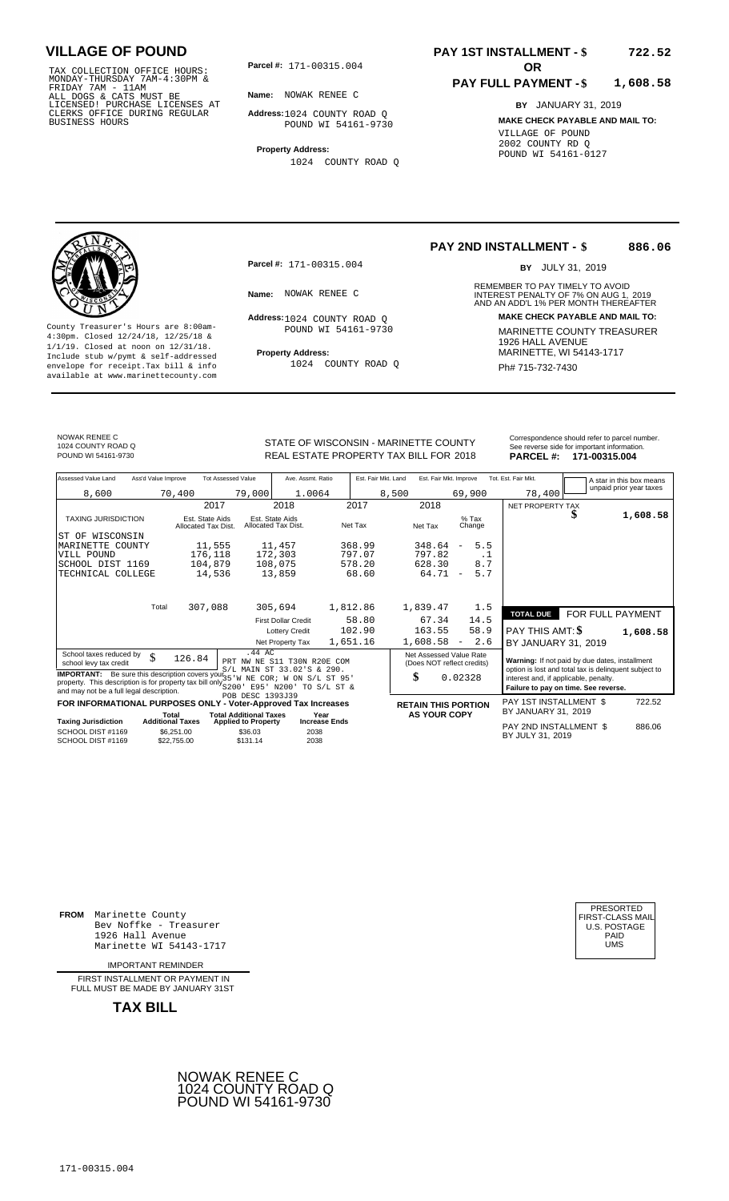TAX COLLECTION OFFICE HOURS:<br>
MONDAY-THURSDAY 7AM-4:30PM &<br>
FRIDAY 7AM - 11AM<br>
ALL DOGS & CATS MUST BE<br>
LICENSED! PURCHASE LICENSES AT<br>
CLERKS OFFICE DURING REGULAR<br>
CLERKS OFFICE DURING REGULAR<br>
BUSINESS HOURS<br>
BUSINESS H

**Parcel #:** 171-00315.004 **OR** 

**Name:** NOWAK RENEE C

**Address:** 1024 COUNTY ROAD Q POUND WI 54161-9730

**Property Address:** 1024 COUNTY ROAD Q

#### **PAY 1ST INSTALLMENT - \$ 722.52**

#### **PAY FULL PAYMENT - \$ 1,608.58**

**BY** JANUARY 31, 2019 **MAKE CHECK PAYABLE AND MAIL TO:** VILLAGE OF POUND 2002 COUNTY RD Q POUND WI 54161-0127

**Property Address:** MARINETTE, WI 54143-1717 Include stub w/pymt & self-addressed envelope for receipt.Tax bill & info Ph# 715-732-7430 available at www.marinettecounty.com

**Parcel #:** 171-00315.004

Address: 1024 COUNTY ROAD Q POUND WI 54161-9730

1024 COUNTY ROAD Q

**PAY 2ND INSTALLMENT - \$ 886.06**

BY JULY 31, 2019

REMEMBER TO PAY TIMELY TO AVOID **Name:** NOWAK RENEE C **Analyzie Computer CONTACT AND AN ADD'L 1% PER MONTH THEREAFTER Address: MAKE CHECK PAYABLE AND MAIL TO:** County Treasurer's Hours are 8:00am-<br>
4:30pm. Closed 12/24/18, 12/25/18 & MARINETTE COUNTY TREASURER<br>
1/1/19. Closed at noon on 12/31/18.<br>
Include stub w/pwmt. & self-addressed<br>
Froperty Address:<br>
MARINETTE, WI 54143-1717

NOWAK RENEE C 1024 COUNTY ROAD Q

Correspondence should refer to parcel n<br>
See reverse side for important informatic<br>
REAL ESTATE PROPERTY TAX BILL FOR 2018 PARCEL #: 171-00315.004 POUND WI 54161-9730 **171-00315.004** REAL ESTATE PROPERTY TAX BILL FOR 2018 **PARCEL #: 171-00315.004** 

| Correspondence should refer to parcel number. |
|-----------------------------------------------|
| See reverse side for important information.   |
| - - - - - - -<br>.                            |

| Assessed Value Land                                                                                                                                                                   | Ass'd Value Improve       | <b>Tot Assessed Value</b>     | Ave. Assmt. Ratio                                         | Est. Fair Mkt. Land | Est. Fair Mkt. Improve                                |                                 | Tot. Est. Fair Mkt.                                                                                     |                  | A star in this box means |
|---------------------------------------------------------------------------------------------------------------------------------------------------------------------------------------|---------------------------|-------------------------------|-----------------------------------------------------------|---------------------|-------------------------------------------------------|---------------------------------|---------------------------------------------------------------------------------------------------------|------------------|--------------------------|
| 8,600                                                                                                                                                                                 | 70,400                    | 79,000                        | 1.0064                                                    | 8,500               |                                                       | 69,900                          | 78,400                                                                                                  |                  | unpaid prior year taxes  |
|                                                                                                                                                                                       |                           | 2017                          | 2018                                                      | 2017                | 2018                                                  |                                 | NET PROPERTY TAX                                                                                        |                  |                          |
| <b>TAXING JURISDICTION</b>                                                                                                                                                            | Allocated Tax Dist.       | Est. State Aids               | Est. State Aids<br>Allocated Tax Dist.                    | Net Tax             | Net Tax                                               | $%$ Tax<br>Change               |                                                                                                         |                  | 1,608.58                 |
| ST OF WISCONSIN                                                                                                                                                                       |                           |                               |                                                           |                     |                                                       |                                 |                                                                                                         |                  |                          |
| MARINETTE COUNTY                                                                                                                                                                      |                           | 11,555                        | 11,457                                                    | 368.99              | 348.64                                                | 5.5<br>$\overline{\phantom{m}}$ |                                                                                                         |                  |                          |
| VILL POUND                                                                                                                                                                            |                           | 176,118                       | 172,303                                                   | 797.07              | 797.82                                                | .1                              |                                                                                                         |                  |                          |
| SCHOOL DIST 1169                                                                                                                                                                      |                           | 104,879                       | 108,075                                                   | 578.20              | 628.30                                                | 8.7                             |                                                                                                         |                  |                          |
| TECHNICAL COLLEGE                                                                                                                                                                     |                           | 14,536                        | 13,859                                                    | 68.60               | 64.71                                                 | 5.7<br>$\overline{\phantom{m}}$ |                                                                                                         |                  |                          |
|                                                                                                                                                                                       |                           |                               |                                                           |                     |                                                       |                                 |                                                                                                         |                  |                          |
|                                                                                                                                                                                       | Total                     | 307,088                       | 305,694                                                   | 1,812.86            | 1,839.47                                              | 1.5                             | <b>TOTAL DUE</b>                                                                                        | FOR FULL PAYMENT |                          |
|                                                                                                                                                                                       |                           |                               | <b>First Dollar Credit</b>                                | 58.80               | 67.34                                                 | 14.5                            |                                                                                                         |                  |                          |
|                                                                                                                                                                                       |                           |                               | <b>Lottery Credit</b>                                     | 102.90              | 163.55                                                | 58.9                            | PAY THIS AMT: \$                                                                                        |                  | 1,608.58                 |
|                                                                                                                                                                                       |                           |                               | Net Property Tax                                          | 1,651.16            | 1,608.58                                              | 2.6<br>$\sim$                   | BY JANUARY 31, 2019                                                                                     |                  |                          |
| School taxes reduced by<br>school levy tax credit                                                                                                                                     | \$<br>126.84              | .44 AC                        | PRT NW NE S11 T30N R20E COM<br>S/L MAIN ST 33.02'S & 290. |                     | Net Assessed Value Rate<br>(Does NOT reflect credits) |                                 | Warning: If not paid by due dates, installment<br>option is lost and total tax is delinquent subject to |                  |                          |
| <b>IMPORTANT:</b> Be sure this description covers your $35W$<br>property. This description is for property tax bill only $\frac{3}{5200}$<br>and may not be a full legal description. |                           |                               | NE COR; W ON S/L ST 95'<br>E95' N200'<br>TO S/L ST &      |                     | \$                                                    | 0.02328                         | interest and, if applicable, penalty.<br>Failure to pay on time. See reverse.                           |                  |                          |
| FOR INFORMATIONAL PURPOSES ONLY - Voter-Approved Tax Increases                                                                                                                        |                           | POB DESC 1393J39              |                                                           |                     | <b>RETAIN THIS PORTION</b>                            |                                 | PAY 1ST INSTALLMENT \$                                                                                  |                  | 722.52                   |
|                                                                                                                                                                                       | Total                     | <b>Total Additional Taxes</b> | Year                                                      |                     | <b>AS YOUR COPY</b>                                   |                                 | BY JANUARY 31, 2019                                                                                     |                  |                          |
| <b>Taxing Jurisdiction</b>                                                                                                                                                            | <b>Additional Taxes</b>   | <b>Applied to Property</b>    | <b>Increase Ends</b>                                      |                     |                                                       |                                 | PAY 2ND INSTALLMENT \$                                                                                  |                  | 886.06                   |
| SCHOOL DIST #1169<br>SCHOOL DIST #1169                                                                                                                                                | \$6,251.00<br>\$22,755.00 | \$36.03<br>\$131.14           | 2038<br>2038                                              |                     |                                                       |                                 | BY JULY 31, 2019                                                                                        |                  |                          |

**FROM** Marinette County Bev Noffke - Treasurer 1926 Hall Avenue PAID Marinette WI 54143-1717 UMS

IMPORTANT REMINDER

FIRST INSTALLMENT OR PAYMENT IN FULL MUST BE MADE BY JANUARY 31ST



| PRESORTED<br>FIRST-CLASS MAIL<br><b>U.S. POSTAGE</b><br>PAID<br>UMS |  |
|---------------------------------------------------------------------|--|
|---------------------------------------------------------------------|--|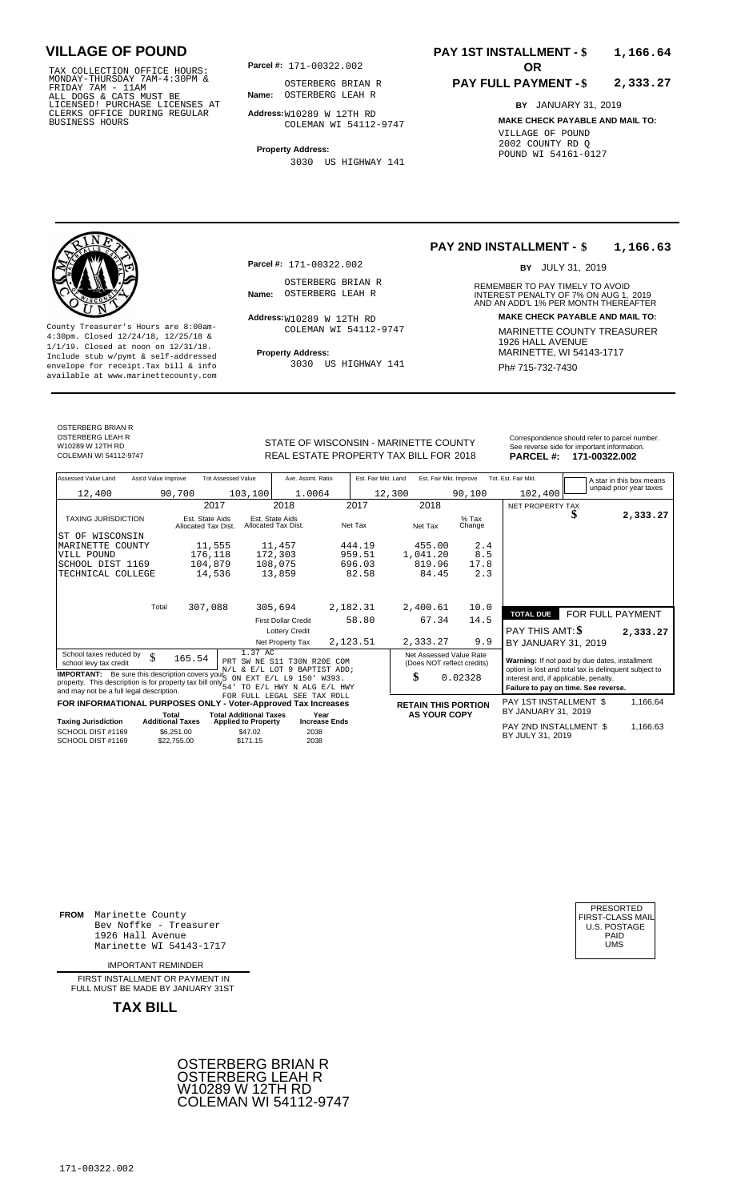171-00322.002 TAX COLLECTION OFFICE HOURS: MONDAY-THURSDAY 7AM-4:30PM & FRIDAY 7AM - 11AM ALL DOGS & CATS MUST BE LICENSED! PURCHASE LICENSES AT CLERKS OFFICE DURING REGULAR BUSINESS HOURS

**Parcel #: OR**

**Name:** OSTERBERG LEAH R OSTERBERG BRIAN R

**Address:** W10289 W 12TH RD COLEMAN WI 54112-9747

**Property Address:** 3030 US HIGHWAY 141

### **PAY 1ST INSTALLMENT - \$ 1,166.64**

#### **PAY FULL PAYMENT - \$ 2,333.27**

**BY** JANUARY 31, 2019 **MAKE CHECK PAYABLE AND MAIL TO:** VILLAGE OF POUND 2002 COUNTY RD Q POUND WI 54161-0127

OSTERBERG BRIAN R OSTERBERG LEAH R W10289 W 12TH RD<br>COLEMAN WL54112-9747

**Property Address:** MARINETTE, WI 54143-1717 Include stub w/pymt & self-addressed envelope for receipt.Tax bill & info  $3030$  US HIGHWAY 141  $\overline{PH}$  715-732-7430 available at www.marinettecounty.com

**Parcel #:** 171-00322.002

OSTERBERG BRIAN R

Address: W10289 W 12TH RD COLEMAN WI 54112-9747

3030 US HIGHWAY 141

**DEAL ESTATE DROPERTY TAY BILL EOD 2019** 

#### **PAY 2ND INSTALLMENT - \$ 1,166.63**

BY JULY 31, 2019

REMEMBER TO PAY TIMELY TO AVOID **Name:** OSTERBERG LEAH R<br> **INTEREST PENALTY OF 7% ON AUG 1, 2019**<br>
AND AN ADD'L 1% PER MONTH THEREAFTER **Address: MAKE CHECK PAYABLE AND MAIL TO:** County Treasurer's Hours are 8:00am-<br>  $\frac{4:30 \text{pm}}{4 \cdot 30 \text{pm}}$  MARINETTE COUNTY TREASURER<br>  $\frac{1}{1/9}$ . Closed at noon on 12/31/18.<br>
Trainde stub w/pymt & self-addressed<br>
Trainde stub w/pymt & self-addressed<br>
Trainde st

|                                                                                     |                                        |                                        |                                                         |                     |                                                                                                              |                   | .                                              | 11 I VVVLLIVVL |                          |
|-------------------------------------------------------------------------------------|----------------------------------------|----------------------------------------|---------------------------------------------------------|---------------------|--------------------------------------------------------------------------------------------------------------|-------------------|------------------------------------------------|----------------|--------------------------|
| Assessed Value Land<br>Ass'd Value Improve                                          | <b>Tot Assessed Value</b>              |                                        | Ave. Assmt. Ratio                                       | Est. Fair Mkt. Land | Est. Fair Mkt. Improve                                                                                       |                   | Tot. Est. Fair Mkt.                            |                | A star in this box means |
| 12,400                                                                              | 90,700                                 | 103,100                                | 1.0064                                                  | 12,300              |                                                                                                              | 90,100            | 102,400                                        |                | unpaid prior year taxes  |
|                                                                                     | 2017                                   |                                        | 2018                                                    | 2017                | 2018                                                                                                         |                   | NET PROPERTY TAX                               |                |                          |
| <b>TAXING JURISDICTION</b>                                                          | Est. State Aids<br>Allocated Tax Dist. | Est. State Aids<br>Allocated Tax Dist. |                                                         | Net Tax             | Net Tax                                                                                                      | $%$ Tax<br>Change |                                                | Œ              | 2,333.2                  |
| ST OF<br>WISCONSIN                                                                  |                                        |                                        |                                                         |                     |                                                                                                              |                   |                                                |                |                          |
| MARINETTE COUNTY                                                                    | 11,555                                 | 11,457                                 |                                                         | 444.19              | 455.00                                                                                                       | 2.4               |                                                |                |                          |
| VILL POUND                                                                          | 176,118                                | 172,303                                |                                                         | 959.51              | 1,041.20                                                                                                     | 8.5               |                                                |                |                          |
| SCHOOL DIST 1169                                                                    | 104,879                                | 108,075                                |                                                         | 696.03              | 819.96                                                                                                       | 17.8              |                                                |                |                          |
| TECHNICAL COLLEGE                                                                   | 14,536                                 | 13,859                                 |                                                         | 82.58               | 84.45                                                                                                        | 2.3               |                                                |                |                          |
| Total                                                                               | 307,088                                | 305,694                                |                                                         | 2,182.31            | 2,400.61                                                                                                     | 10.0              |                                                |                |                          |
|                                                                                     |                                        |                                        | <b>First Dollar Credit</b>                              | 58.80               | 67.34                                                                                                        | 14.5              | <b>TOTAL DUE</b>                               |                | FOR FULL PAYMENT         |
|                                                                                     |                                        |                                        | <b>Lottery Credit</b>                                   |                     |                                                                                                              |                   | PAY THIS AMT: \$                               |                | 2,333.2                  |
|                                                                                     |                                        |                                        | Net Property Tax                                        | 2,123.51            | 2,333.27                                                                                                     | 9.9               | BY JANUARY 31, 2019                            |                |                          |
| 1.37 AC<br>School taxes reduced by<br>\$<br>165.54<br>PRT<br>school levy tax credit |                                        |                                        | SW NE S11 T30N R20E COM<br>N/L & E/L LOT 9 BAPTIST ADD; |                     | Net Assessed Value Rate<br>(Does NOT reflect credits)                                                        |                   | Warning: If not paid by due dates, installment |                |                          |
| <b>IMPORTANT:</b>                                                                   | Be sure this description covers your," | $\bigcap_{\mathcal{A}}$                | <b>DVD D/T TO 1501 13000</b>                            |                     | option is lost and total tax is delinquent subject to<br>¢<br>n noppo<br>interest said if condicable popular |                   |                                                |                |                          |

**IMPORTANT:** Be sure this description covers you  $N/L$  &  $E/L$  LOT 9 BAPTIST ADD;<br>property. This description is for property tax bill only  $S_{ON}$  EXT  $E/L$  L9 150' W393.<br>and may not be a full legal description.<br>and may not b N/L & E/L LOT 9 BAPTIST ADD; S ON EXT E/L L9 150' W393. 54' TO E/L HWY N ALG E/L HWY FOR FULL LEGAL SEE TAX ROLL

|                            |                                  | FOR INFORMATIONAL PURPOSES ONLY - Voter-Approved Tax Increases |                                                     | <b>RETAIN THIS PORTION</b> | PAY 1ST INSTALLMENT \$ | .166.64 |
|----------------------------|----------------------------------|----------------------------------------------------------------|-----------------------------------------------------|----------------------------|------------------------|---------|
| <b>Taxing Jurisdiction</b> | Total<br><b>Additional Taxes</b> | <b>Total Additional Taxes</b><br><b>Applied to Property</b>    | <b>AS YOUR COPY</b><br>Year<br><b>Increase Ends</b> |                            | BY JANUARY 31, 2019    |         |
| SCHOOL DIST #1169          | \$6.251.00                       | \$47.02                                                        | 2038                                                |                            | PAY 2ND INSTALLMENT \$ | .166.63 |
| SCHOOL DIST #1169          | \$22,755,00                      | \$171.15                                                       | 2038                                                |                            | BY JULY 31, 2019       |         |

0.02328

STATE OF WISCONSIN - MARINETTE COUNTY Correspondence should refer to parcel number.<br>See reverse side for important information. PARCEL #: 171-00322.002

 **2,333.27**

**2,333.27**

1,166.64

| PRESORTED<br>FIRST-CLASS MAIL<br><b>U.S. POSTAGE</b> |
|------------------------------------------------------|

**FROM** Marinette County Bev Noffke - Treasurer 1926 Hall Avenue PAID (1926 Hall Avenue PAID) (1926 Hall Avenue PAID (1946 Hall Avenue PAID (1946 Hall Avenue<br>Marinette WI 54143-1717 Marinette WI 54143-1717

IMPORTANT REMINDER

FIRST INSTALL MENT OR PAYMENT IN FULL MUST BE MADE BY JANUARY 31ST

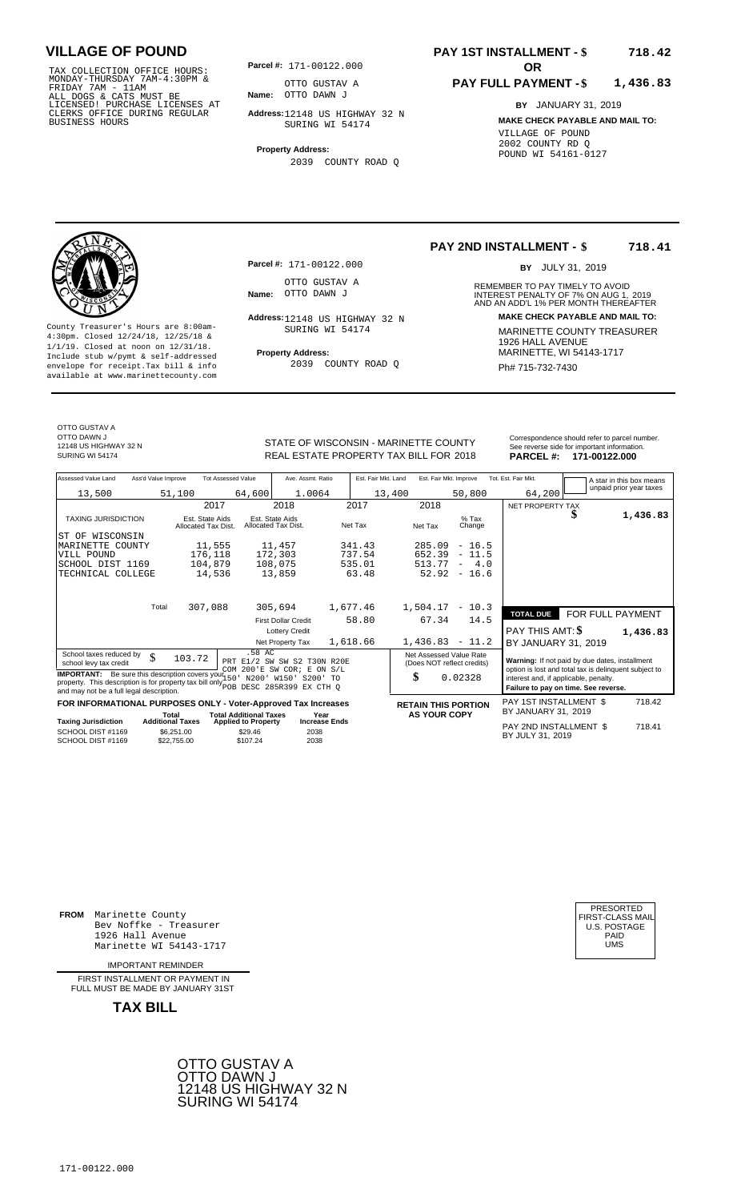171-00122.000 TAX COLLECTION OFFICE HOURS: MONDAY-THURSDAY 7AM-4:30PM & FRIDAY 7AM - 11AM ALL DOGS & CATS MUST BE LICENSED! PURCHASE LICENSES AT CLERKS OFFICE DURING REGULAR BUSINESS HOURS

**Parcel #: OR**

**Name:** OTTO DAWN J OTTO GUSTAV A

**Address:** 12148 US HIGHWAY 32 N SURING WI 54174

**Property Address:** 2039 COUNTY ROAD Q

### **PAY 1ST INSTALLMENT - \$ 718.42**

#### **PAY FULL PAYMENT - \$ 1,436.83**

**BY** JANUARY 31, 2019 **MAKE CHECK PAYABLE AND MAIL TO:** VILLAGE OF POUND 2002 COUNTY RD Q POUND WI 54161-0127



**Property Address:** MARINETTE, WI 54143-1717 Include stub w/pymt & self-addressed envelope for receipt.Tax bill & info Ph# 715-732-7430 available at www.marinettecounty.com

**Parcel #:** 171-00122.000

OTTO GUSTAV A<br>Name: OTTO DAWN J

SURING WI 54174

2039 COUNTY ROAD Q

**PAY 2ND INSTALLMENT - \$ 718.41**

BY JULY 31, 2019

REMEMBER TO PAY TIMELY TO AVOID **Name:** OTTO DAWN J<br> **INTEREST PENALTY OF 7% ON AUG 1, 2019**<br>
AND AN ADD'L 1% PER MONTH THEREAFTER **Address: MAKE CHECK PAYABLE AND MAIL TO:** 12148 US HIGHWAY 32 N County Treasurer's Hours are 8:00am-<br>
4:30pm. Closed 12/24/18, 12/25/18 & 11/119. Closed at noon on 12/31/18.<br>
Include stub w/pwmt. & self-addressed<br>
Froperty Address: MARINETTE, WI 54143-1717

OTTO GUSTAV A OTTO DAWN J 12148 US HIGHWAY 32 N

STATE OF WISCONSIN - MARINETTE COUNTY STATE OF WISCONSIN - MARINETTE COUNTY REAL ESTATE PROPERTY TAX BILL FOR **PARCEL #:** SURING WI 54174 2018 **171-00122.000**

| NTY<br>2018 | <b>PARCEL#:</b>   | Correspondence should refer to parcel number.<br>See reverse side for important information.<br>171-00122.000 |
|-------------|-------------------|---------------------------------------------------------------------------------------------------------------|
| nnnn        | Tot Ent Enix Mid- |                                                                                                               |

| Assessed Value Land                                                                                                                                                                                                                                                                                                                                                                      | Ass'd Value Improve                                                                                              |                                        | <b>Tot Assessed Value</b>  | Ave. Assmt. Ratio                      |                      | Est. Fair Mkt. Land |                                                                                                                                                                                                                                                                    |  | Est. Fair Mkt. Improve          | Tot. Est. Fair Mkt.     |        |   |  | A star in this box means |
|------------------------------------------------------------------------------------------------------------------------------------------------------------------------------------------------------------------------------------------------------------------------------------------------------------------------------------------------------------------------------------------|------------------------------------------------------------------------------------------------------------------|----------------------------------------|----------------------------|----------------------------------------|----------------------|---------------------|--------------------------------------------------------------------------------------------------------------------------------------------------------------------------------------------------------------------------------------------------------------------|--|---------------------------------|-------------------------|--------|---|--|--------------------------|
| 13,500                                                                                                                                                                                                                                                                                                                                                                                   |                                                                                                                  | 51,100                                 | 64,600                     | 1.0064                                 |                      |                     | 13,400                                                                                                                                                                                                                                                             |  | 50,800                          |                         | 64,200 |   |  | unpaid prior year taxes  |
|                                                                                                                                                                                                                                                                                                                                                                                          |                                                                                                                  | 2017                                   |                            | 2018                                   |                      | 2017                | 2018                                                                                                                                                                                                                                                               |  |                                 | <b>NET PROPERTY TAX</b> |        |   |  |                          |
| <b>TAXING JURISDICTION</b>                                                                                                                                                                                                                                                                                                                                                               |                                                                                                                  | Est. State Aids<br>Allocated Tax Dist. |                            | Est. State Aids<br>Allocated Tax Dist. |                      | Net Tax             | Net Tax                                                                                                                                                                                                                                                            |  | $%$ Tax<br>Change               |                         |        | ъ |  | 1,436.83                 |
| ST OF WISCONSIN                                                                                                                                                                                                                                                                                                                                                                          |                                                                                                                  |                                        |                            |                                        |                      |                     |                                                                                                                                                                                                                                                                    |  |                                 |                         |        |   |  |                          |
| MARINETTE COUNTY                                                                                                                                                                                                                                                                                                                                                                         |                                                                                                                  | 11,555                                 |                            | 11,457                                 |                      | 341.43              | 285.09                                                                                                                                                                                                                                                             |  | $-16.5$                         |                         |        |   |  |                          |
| VILL POUND                                                                                                                                                                                                                                                                                                                                                                               |                                                                                                                  | 176,118                                |                            | 172,303                                |                      | 737.54              | 652.39                                                                                                                                                                                                                                                             |  | $-11.5$                         |                         |        |   |  |                          |
| SCHOOL DIST 1169                                                                                                                                                                                                                                                                                                                                                                         |                                                                                                                  | 104,879                                |                            | 108,075                                |                      | 535.01              | 513.77                                                                                                                                                                                                                                                             |  | 4.0<br>$\overline{\phantom{m}}$ |                         |        |   |  |                          |
| TECHNICAL COLLEGE                                                                                                                                                                                                                                                                                                                                                                        |                                                                                                                  | 14,536                                 |                            | 13,859                                 |                      | 63.48               | 52.92                                                                                                                                                                                                                                                              |  | $-16.6$                         |                         |        |   |  |                          |
|                                                                                                                                                                                                                                                                                                                                                                                          | Total                                                                                                            | 307,088                                |                            | 305,694                                |                      | 1,677.46            | 1,504.17                                                                                                                                                                                                                                                           |  | $-10.3$                         |                         |        |   |  |                          |
|                                                                                                                                                                                                                                                                                                                                                                                          |                                                                                                                  |                                        |                            |                                        |                      |                     |                                                                                                                                                                                                                                                                    |  |                                 | <b>TOTAL DUE</b>        |        |   |  | FOR FULL PAYMENT         |
|                                                                                                                                                                                                                                                                                                                                                                                          |                                                                                                                  |                                        |                            | <b>First Dollar Credit</b>             |                      | 58.80               | 67.34                                                                                                                                                                                                                                                              |  | 14.5                            |                         |        |   |  |                          |
|                                                                                                                                                                                                                                                                                                                                                                                          |                                                                                                                  |                                        |                            | <b>Lottery Credit</b>                  |                      |                     |                                                                                                                                                                                                                                                                    |  |                                 | <b>PAY THIS AMT: \$</b> |        |   |  | 1,436.83                 |
|                                                                                                                                                                                                                                                                                                                                                                                          |                                                                                                                  |                                        |                            | Net Property Tax                       |                      | 1,618.66            |                                                                                                                                                                                                                                                                    |  | $1,436.83 - 11.2$               | BY JANUARY 31, 2019     |        |   |  |                          |
| .58 AC<br>School taxes reduced by<br>\$<br>103.72<br>PRT E1/2 SW SW S2 T30N R20E<br>school levy tax credit<br>COM 200'E SW COR; E ON S/L<br><b>IMPORTANT:</b> Be sure this description covers your 150<br>N200' W150' S200' TO<br>property. This description is for property tax bill only $_{\text{POB}}^{\text{22}}$ DESC 285R399 EX CTH Q<br>and may not be a full legal description. |                                                                                                                  |                                        |                            |                                        |                      |                     | Net Assessed Value Rate<br>Warning: If not paid by due dates, installment<br>(Does NOT reflect credits)<br>option is lost and total tax is delinquent subject to<br>\$<br>0.02328<br>interest and, if applicable, penalty.<br>Failure to pay on time. See reverse. |  |                                 |                         |        |   |  |                          |
|                                                                                                                                                                                                                                                                                                                                                                                          |                                                                                                                  |                                        |                            |                                        |                      |                     |                                                                                                                                                                                                                                                                    |  |                                 | PAY 1ST INSTALLMENT \$  |        |   |  | 718.42                   |
|                                                                                                                                                                                                                                                                                                                                                                                          | FOR INFORMATIONAL PURPOSES ONLY - Voter-Approved Tax Increases<br><b>Total Additional Taxes</b><br>Year<br>Total |                                        |                            |                                        |                      |                     | <b>RETAIN THIS PORTION</b><br><b>AS YOUR COPY</b>                                                                                                                                                                                                                  |  |                                 | BY JANUARY 31, 2019     |        |   |  |                          |
| <b>Taxing Jurisdiction</b>                                                                                                                                                                                                                                                                                                                                                               | <b>Additional Taxes</b>                                                                                          |                                        | <b>Applied to Property</b> |                                        | <b>Increase Ends</b> |                     |                                                                                                                                                                                                                                                                    |  |                                 | PAY 2ND INSTALLMENT \$  |        |   |  | 718.41                   |
| SCHOOL DIST #1169<br>SCHOOL DIST #1169                                                                                                                                                                                                                                                                                                                                                   |                                                                                                                  | \$6,251.00<br>\$22.755.00              | \$29.46<br>\$107.24        | 2038<br>2038                           |                      |                     |                                                                                                                                                                                                                                                                    |  |                                 | BY JULY 31, 2019        |        |   |  |                          |

**FROM** Marinette County Bev Noffke - Treasurer (U.S. POSTAGE)<br>1926 Hall Avenue (U.S. POSTAGE)<br>Marinette WI 54143-1717 (U.S. POSTAGE) 1926 Hall Avenue PAID Marinette WI 54143-1717 UMS

IMPORTANT REMINDER

FIRST INSTALLMENT OR PAYMENT IN FULL MUST BE MADE BY JANUARY 31ST



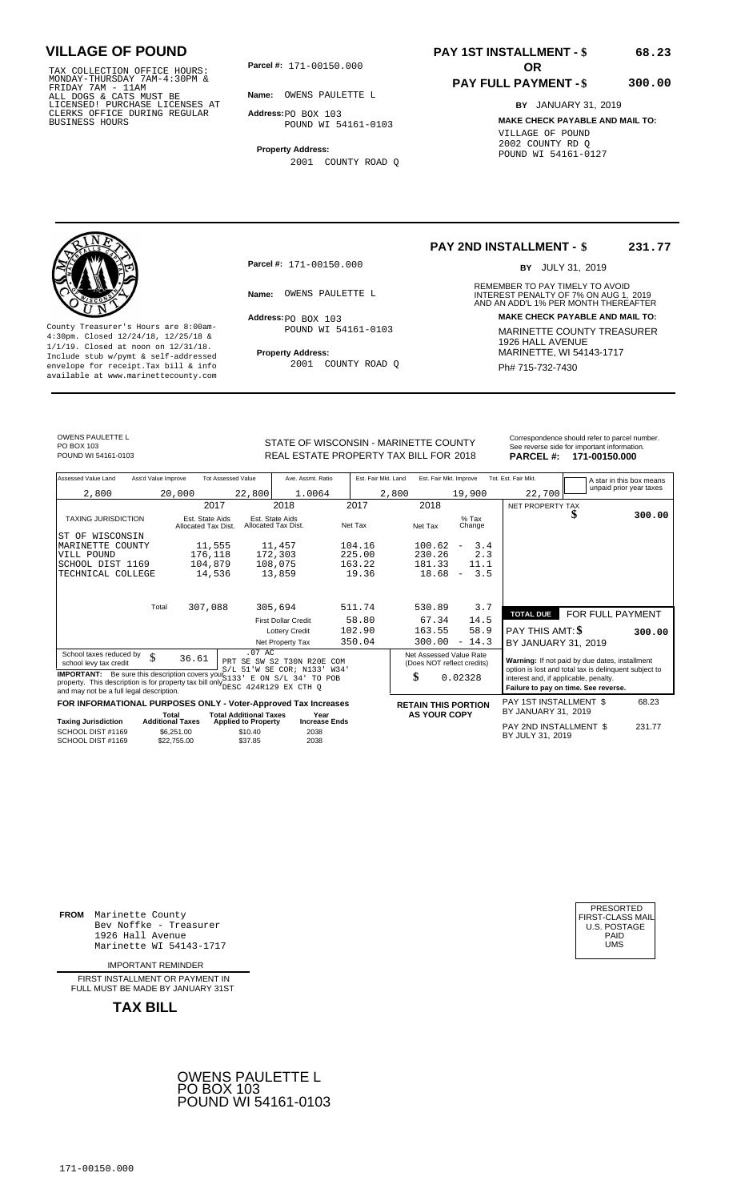171-00150.000 TAX COLLECTION OFFICE HOURS: MONDAY-THURSDAY 7AM-4:30PM & FRIDAY 7AM - 11AM ALL DOGS & CATS MUST BE LICENSED! PURCHASE LICENSES AT CLERKS OFFICE DURING REGULAR BUSINESS HOURS

**Parcel #: OR**

**Name:** OWENS PAULETTE L

**Address:** PO BOX 103 POUND WI 54161-0103

**Property Address:** 2001 COUNTY ROAD Q

# **PAY 1ST INSTALLMENT - \$**

### **PAY FULL PAYMENT - \$**

**300.00**

**68.23**

**BY** JANUARY 31, 2019 **MAKE CHECK PAYABLE AND MAIL TO:** VILLAGE OF POUND 2002 COUNTY RD Q POUND WI 54161-0127



**Property Address:** MARINETTE, WI 54143-1717 Include stub w/pymt & self-addressed envelope for receipt.Tax bill & info Ph# 715-732-7430 available at www.marinettecounty.com

**Parcel #:** 171-00150.000

Address: PO BOX 103 POUND WI 54161-0103

2001 COUNTY ROAD Q

**PAY 2ND INSTALLMENT - \$ 231.77**

BY JULY 31, 2019

REMEMBER TO PAY TIMELY TO AVOID **Name:** OWENS PAULETTE L<br>
AND AN ADD'L 1% PER MONTH THEREAFTER **Address: MAKE CHECK PAYABLE AND MAIL TO:** County Treasurer's Hours are 8:00am-<br>
4:30pm. Closed 12/24/18, 12/25/18 & MARINETTE COUNTY TREASURER<br>
1/1/19. Closed at noon on 12/31/18.<br>
Include stub w/pwmt & self-addressed **Property Address:** MARINETTE, WI 54143-1717

OWENS PAULETTE L PO BOX 103<br>POUND WI 54161-0103

STATE OF WISCONSIN - MARINETTE COUNTY<br>
See reverse side for important information.<br>
REAL ESTATE PROPERTY TAX BILL FOR 2018<br>
PARCEL #: 171-00150.000 REAL ESTATE PROPERTY TAX BILL FOR **PARCEL #:** POUND WI 54161-0103 2018 **171-00150.000**

| Assessed Value Land<br>Ass'd Value Improve                                                                                                                                                                         | <b>Tot Assessed Value</b>                                                                       | Ave. Assmt. Ratio                                | Est. Fair Mkt. Land | Est. Fair Mkt. Improve                                |                   | Tot. Est. Fair Mkt.                                                                                     | A star in this box means |        |
|--------------------------------------------------------------------------------------------------------------------------------------------------------------------------------------------------------------------|-------------------------------------------------------------------------------------------------|--------------------------------------------------|---------------------|-------------------------------------------------------|-------------------|---------------------------------------------------------------------------------------------------------|--------------------------|--------|
| 2,800                                                                                                                                                                                                              | 20,000<br>22,800                                                                                | 1.0064                                           | 2,800               |                                                       | 19,900            | 22,700                                                                                                  | unpaid prior year taxes  |        |
|                                                                                                                                                                                                                    | 2017                                                                                            | 2018                                             | 2017                | 2018                                                  |                   | NET PROPERTY TAX                                                                                        |                          |        |
| <b>TAXING JURISDICTION</b>                                                                                                                                                                                         | Est. State Aids<br>Allocated Tax Dist.                                                          | Est. State Aids<br>Allocated Tax Dist.           | Net Tax             | Net Tax                                               | $%$ Tax<br>Change |                                                                                                         | ъ                        | 300.00 |
| ST OF WISCONSIN                                                                                                                                                                                                    |                                                                                                 |                                                  |                     |                                                       |                   |                                                                                                         |                          |        |
| MARINETTE COUNTY                                                                                                                                                                                                   | 11,555                                                                                          | 11,457                                           | 104.16              | 100.62<br>$\overline{\phantom{0}}$                    | 3.4               |                                                                                                         |                          |        |
| VILL POUND                                                                                                                                                                                                         | 176,118                                                                                         | 172,303                                          | 225.00              | 230.26                                                | 2.3               |                                                                                                         |                          |        |
| SCHOOL DIST 1169                                                                                                                                                                                                   | 104,879                                                                                         | 108,075                                          | 163.22              | 181.33                                                | 11.1              |                                                                                                         |                          |        |
| TECHNICAL COLLEGE                                                                                                                                                                                                  | 14,536                                                                                          | 13,859                                           | 19.36               | 18.68<br>$\overline{\phantom{a}}$                     | 3.5               |                                                                                                         |                          |        |
| Total                                                                                                                                                                                                              | 307,088                                                                                         | 305,694                                          | 511.74              | 530.89                                                | 3.7               |                                                                                                         |                          |        |
|                                                                                                                                                                                                                    |                                                                                                 | <b>First Dollar Credit</b>                       | 58.80               | 67.34                                                 | 14.5              | <b>TOTAL DUE</b>                                                                                        | FOR FULL PAYMENT         |        |
|                                                                                                                                                                                                                    |                                                                                                 | <b>Lottery Credit</b>                            | 102.90              | 163.55                                                | 58.9              | PAY THIS AMT: \$                                                                                        |                          | 300.00 |
|                                                                                                                                                                                                                    |                                                                                                 | Net Property Tax                                 | 350.04              | 300.00                                                | $-14.3$           | BY JANUARY 31, 2019                                                                                     |                          |        |
| School taxes reduced by<br>\$<br>school levy tax credit                                                                                                                                                            | 36.61                                                                                           | $.07$ AC<br>PRT SE SW S2 T30N R20E<br><b>COM</b> |                     | Net Assessed Value Rate<br>(Does NOT reflect credits) |                   | Warning: If not paid by due dates, installment<br>option is lost and total tax is delinquent subject to |                          |        |
| <b>IMPORTANT:</b> Be sure this description covers your $S/L$ 51 W SE COR; N133' W34'<br>property. This description is for property tax bill only DESC 424R129 EX CTH Q<br>and may not be a full legal description. |                                                                                                 |                                                  |                     | \$<br>0.02328                                         |                   | interest and, if applicable, penalty.<br>Failure to pay on time. See reverse.                           |                          |        |
| FOR INFORMATIONAL PURPOSES ONLY - Voter-Approved Tax Increases                                                                                                                                                     |                                                                                                 |                                                  |                     | <b>RETAIN THIS PORTION</b>                            |                   | PAY 1ST INSTALLMENT \$                                                                                  |                          | 68.23  |
| <b>Taxing Jurisdiction</b>                                                                                                                                                                                         | <b>Total Additional Taxes</b><br>Total<br><b>Additional Taxes</b><br><b>Applied to Property</b> | Year<br><b>Increase Ends</b>                     |                     | <b>AS YOUR COPY</b>                                   |                   | BY JANUARY 31, 2019                                                                                     |                          |        |
| SCHOOL DIST #1169<br>SCHOOL DIST #1169                                                                                                                                                                             | \$6,251.00<br>\$10.40<br>\$37.85<br>\$22,755.00                                                 | 2038<br>2038                                     |                     |                                                       |                   | PAY 2ND INSTALLMENT \$<br>BY JULY 31, 2019                                                              |                          | 231.77 |

**FROM** Marinette County Bev Noffke - Treasurer 1926 Hall Avenue PAID Marinette WI 54143-1717 UMS

IMPORTANT REMINDER

FIRST INSTALLMENT OR PAYMENT IN FULL MUST BE MADE BY JANUARY 31ST



| PRESORTED        |
|------------------|
| FIRST-CLASS MAIL |
| U.S. POSTAGE     |
| PAID             |
| UMS              |
|                  |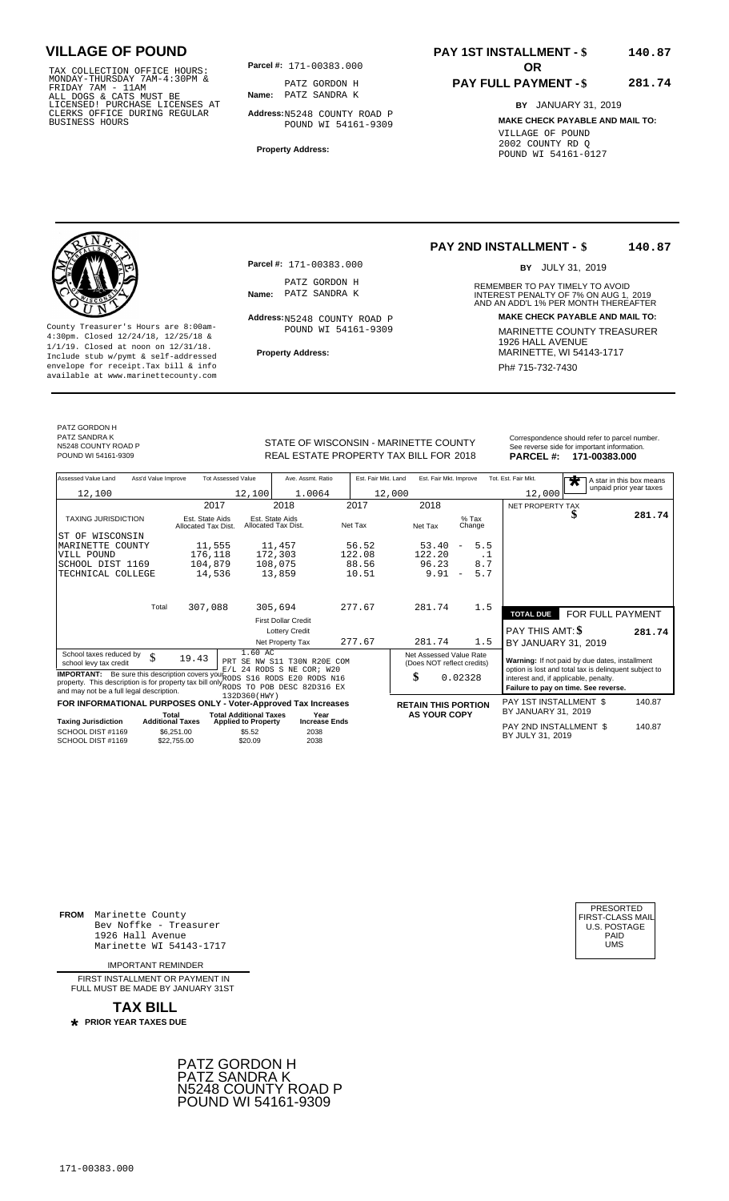TAX COLLECTION OFFICE HOURS:<br>
MONDAY-THURSDAY 7AM-4:30PM &<br>
FRIDAY 7AM - 11AM<br>
ALL DOGS & CATS MUST BE<br>
LICENSED I PURCHASE LICENSES AT<br>
LICENSED I PURCHASE LICENSES AT<br>
CLERKS OFFICE DURING REGULAR<br>
BUSINESS HOURS<br>
BUSINE

**Parcel #: OR**

**Name:** PATZ SANDRA K PATZ GORDON H

**Address:** N5248 COUNTY ROAD P POUND WI 54161-9309

**Property Address:**

### **PAY 1ST INSTALLMENT - \$ 140.87**

#### **PAY FULL PAYMENT - \$ 281.74**

**BY** JANUARY 31, 2019 **MAKE CHECK PAYABLE AND MAIL TO:** VILLAGE OF POUND 2002 COUNTY RD Q POUND WI 54161-0127

**Property Address:** MARINETTE, WI 54143-1717 Include stub w/pymt & self-addressed envelope for receipt.Tax bill & info Phat is a set of the phat of the Phat 715-732-7430 envelope for receipt.Tax bill & info Phat 715-732-7430 envelope for the phat 715-732-7430 envelope for the phat 715-732-7430 envelope

**Parcel #:** 171-00383.000

PATZ GORDON H<br>Name: PATZ SANDRA K

Address: N5248 COUNTY ROAD P POUND WI 54161-9309

#### **PAY 2ND INSTALLMENT - \$ 140.87**

BY JULY 31, 2019

REMEMBER TO PAY TIMELY TO AVOID **Name:** PATZ SANDRA K **INTEREST PENALTY OF 7% ON AUG 1, 2019**<br>AND AN ADD'L 1% PER MONTH THEREAFTER **Address: MAKE CHECK PAYABLE AND MAIL TO:** County Treasurer's Hours are 8:00am-<br>
4:30pm. Closed 12/24/18, 12/25/18 & MARINETTE COUNTY TREASURER<br>
1/1/19. Closed at noon on 12/31/18.<br>
Include stub w/pwmt & self-addressed **Property Address:** MARINETTE, WI 54143-1717

PATZ GORDON H PATZ SANDRA K N5248 COUNTY ROAD P

STATE OF WISCONSIN - MARINETTE COUNTY<br>
See reverse side for important information.<br>
REAL ESTATE PROPERTY TAX BILL FOR 2018 PARCEL #: 171-00383.000 REAL ESTATE PROPERTY TAX BILL FOR **PARCEL #:** POUND WI 54161-9309 2018 **171-00383.000**

| Assessed Value Land                                                                                                                                                                            | Ass'd Value Improve                    | <b>Tot Assessed Value</b>     | Ave. Assmt. Ratio                                        | Est. Fair Mkt. Land | Est. Fair Mkt. Improve                                |                                 | Tot. Est. Fair Mkt.                                                                                     | A star in this box means<br>$\overline{\textbf{r}}$ |        |
|------------------------------------------------------------------------------------------------------------------------------------------------------------------------------------------------|----------------------------------------|-------------------------------|----------------------------------------------------------|---------------------|-------------------------------------------------------|---------------------------------|---------------------------------------------------------------------------------------------------------|-----------------------------------------------------|--------|
| 12,100                                                                                                                                                                                         |                                        | 12,100                        | 1.0064                                                   |                     | 12,000                                                |                                 | 12,000                                                                                                  | unpaid prior year taxes                             |        |
|                                                                                                                                                                                                | 2017                                   |                               | 2018                                                     | 2017                | 2018                                                  |                                 | NET PROPERTY TAX                                                                                        |                                                     |        |
| <b>TAXING JURISDICTION</b>                                                                                                                                                                     | Est. State Aids<br>Allocated Tax Dist. |                               | Est. State Aids<br>Allocated Tax Dist.                   | Net Tax             | Net Tax                                               | $%$ Tax<br>Change               |                                                                                                         | S                                                   | 281.74 |
| ST OF WISCONSIN                                                                                                                                                                                |                                        |                               |                                                          |                     |                                                       |                                 |                                                                                                         |                                                     |        |
| MARINETTE<br>COUNTY                                                                                                                                                                            | 11,555                                 |                               | 11,457                                                   | 56.52               | 53.40                                                 | 5.5<br>$\overline{\phantom{m}}$ |                                                                                                         |                                                     |        |
| VILL POUND                                                                                                                                                                                     | 176,118                                |                               | 172,303                                                  | 122.08              | 122.20                                                | . 1                             |                                                                                                         |                                                     |        |
| SCHOOL DIST 1169                                                                                                                                                                               | 104,879                                |                               | 108,075                                                  | 88.56               | 96.23                                                 | 8.7                             |                                                                                                         |                                                     |        |
| TECHNICAL COLLEGE                                                                                                                                                                              | 14,536                                 |                               | 13,859                                                   | 10.51               | 9.91                                                  | 5.7<br>$\overline{\phantom{a}}$ |                                                                                                         |                                                     |        |
|                                                                                                                                                                                                |                                        |                               |                                                          |                     |                                                       |                                 |                                                                                                         |                                                     |        |
|                                                                                                                                                                                                | 307,088<br>Total                       |                               | 305,694                                                  | 277.67              | 281.74                                                | 1.5                             | <b>TOTAL DUE</b>                                                                                        | FOR FULL PAYMENT                                    |        |
|                                                                                                                                                                                                |                                        |                               | <b>First Dollar Credit</b>                               |                     |                                                       |                                 |                                                                                                         |                                                     |        |
|                                                                                                                                                                                                |                                        |                               | <b>Lottery Credit</b>                                    |                     |                                                       |                                 | <b>PAY THIS AMT: \$</b>                                                                                 |                                                     | 281.74 |
|                                                                                                                                                                                                |                                        |                               | Net Property Tax                                         | 277.67              | 281.74                                                | 1.5                             | BY JANUARY 31, 2019                                                                                     |                                                     |        |
| School taxes reduced by<br>\$<br>school levy tax credit                                                                                                                                        | 19.43                                  | 1.60 AC                       | PRT SE NW S11 T30N R20E COM<br>E/L 24 RODS S NE COR; W20 |                     | Net Assessed Value Rate<br>(Does NOT reflect credits) |                                 | Warning: If not paid by due dates, installment<br>option is lost and total tax is delinquent subject to |                                                     |        |
| <b>IMPORTANT:</b> Be sure this description covers your RODS<br>property. This description is for property tax bill only RODS TO POB DESC 82D316 EX<br>and may not be a full legal description. |                                        | 132D360(HWY)                  | S16 RODS E20 RODS N16                                    |                     | \$                                                    | 0.02328                         | interest and, if applicable, penalty.                                                                   | Failure to pay on time. See reverse.                |        |
| FOR INFORMATIONAL PURPOSES ONLY - Voter-Approved Tax Increases                                                                                                                                 |                                        |                               |                                                          |                     | <b>RETAIN THIS PORTION</b>                            |                                 | PAY 1ST INSTALLMENT \$                                                                                  |                                                     | 140.87 |
|                                                                                                                                                                                                | Total                                  | <b>Total Additional Taxes</b> | Year                                                     |                     | <b>AS YOUR COPY</b>                                   |                                 | BY JANUARY 31, 2019                                                                                     |                                                     |        |
| <b>Taxing Jurisdiction</b>                                                                                                                                                                     | <b>Additional Taxes</b>                | <b>Applied to Property</b>    | <b>Increase Ends</b>                                     |                     |                                                       |                                 | PAY 2ND INSTALLMENT \$                                                                                  |                                                     | 140.87 |
| SCHOOL DIST #1169<br>SCHOOL DIST #1169                                                                                                                                                         | \$6,251.00<br>\$22,755,00              | \$5.52<br>\$20.09             | 2038<br>2038                                             |                     |                                                       |                                 | BY JULY 31, 2019                                                                                        |                                                     |        |

**FROM** Marinette County Bev Noffke - Treasurer (U.S. POSTAGE)<br>1926 Hall Avenue (U.S. POSTAGE)<br>Marinette WI 54143-1717 (U.S. POSTAGE) 1926 Hall Avenue PAID Marinette WI 54143-1717 UMS

IMPORTANT REMINDER

FIRST INSTALL MENT OR PAYMENT IN FULL MUST BE MADE BY JANUARY 31ST

**TAX BILL PRIOR YEAR TAXES DUE \***



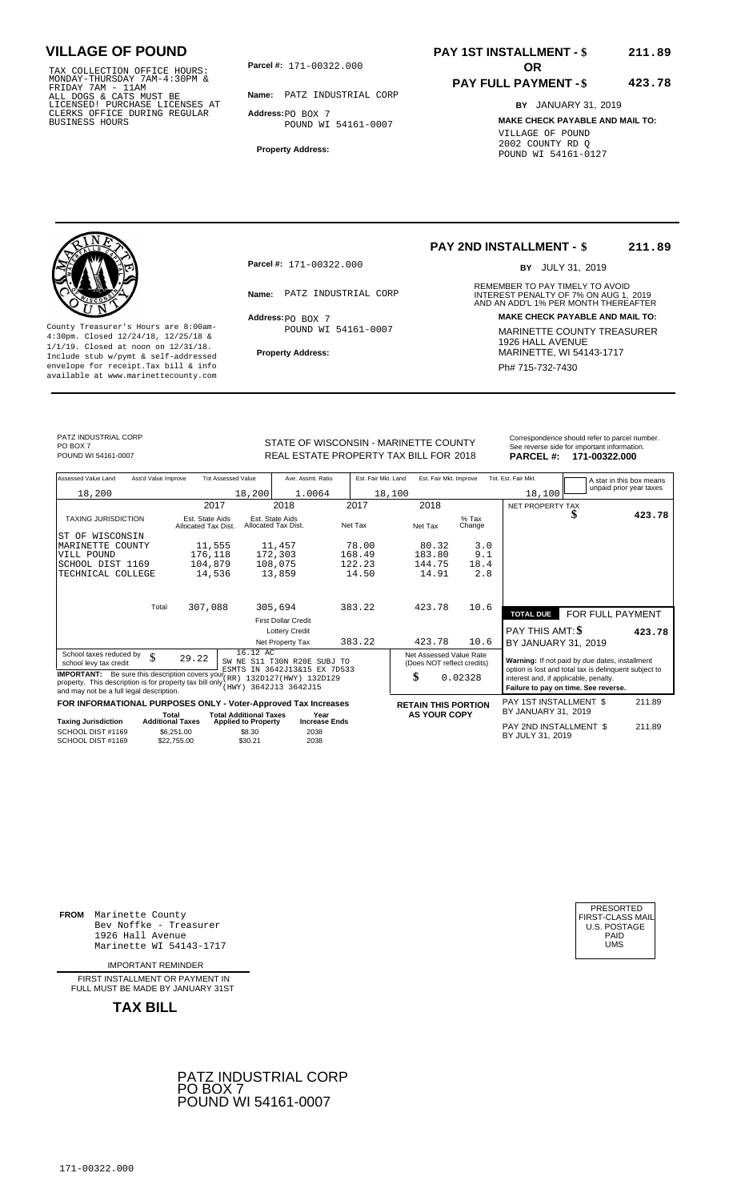171-00322.000 TAX COLLECTION OFFICE HOURS: MONDAY-THURSDAY 7AM-4:30PM & FRIDAY 7AM - 11AM ALL DOGS & CATS MUST BE LICENSED! PURCHASE LICENSES AT CLERKS OFFICE DURING REGULAR BUSINESS HOURS

**Parcel #: OR**

**Name:** PATZ INDUSTRIAL CORP **Address:** PO BOX 7

POUND WI 54161-0007

**Property Address:**

### **PAY 1ST INSTALLMENT - \$ 211.89**

#### **PAY FULL PAYMENT - \$ 423.78**

**BY** JANUARY 31, 2019 **MAKE CHECK PAYABLE AND MAIL TO:** VILLAGE OF POUND 2002 COUNTY RD Q POUND WI 54161-0127



**Property Address:** MARINETTE, WI 54143-1717 Include stub w/pymt & self-addressed envelope for receipt.Tax bill & info Phat is a set of the phat of the Phat 715-732-7430 envelope for receipt.Tax bill & info Phat 715-732-7430 envelope for the phat 715-732-7430 envelope for the phat 715-732-7430 envelope

**Parcel #:** 171-00322.000

Address: PO BOX 7 POUND WI 54161-0007

#### **PAY 2ND INSTALLMENT - \$ 211.89**

BY JULY 31, 2019

REMEMBER TO PAY TIMELY TO AVOID **Name:** PATZ INDUSTRIAL CORP **1999 INTEREST PENALTY OF 7% ON AUG 1, 2019**<br>AND AN ADD'L 1% PER MONTH THEREAFTER **Address: MAKE CHECK PAYABLE AND MAIL TO:** County Treasurer's Hours are 8:00am-<br>
4:30pm. Closed 12/24/18, 12/25/18 & MARINETTE COUNTY TREASURER<br>
1/1/19. Closed at noon on 12/31/18.<br>
Include stub w/pwmt. & self-addressed<br> **Property Address:** MARINETTE, WI 54143-1717

PATZ INDUSTRIAL CORP PO BOX 7<br>POUND WI 54161-0007

STATE OF WISCONSIN - MARINETTE COUNTY REAL ESTATE PROPERTY TAX BILL FOR **PARCEL #:** POUND WI 54161-0007 2018 **171-00322.000**

| PARCEL #: 171-00322.000                       |  |
|-----------------------------------------------|--|
| See reverse side for important information.   |  |
| Correspondence should refer to parcel number. |  |
|                                               |  |
|                                               |  |

| Assessed Value Land<br>Ass'd Value Improve                                                                        |                                        | <b>Tot Assessed Value</b>                                   | Ave. Assmt. Ratio                                                                   | Est. Fair Mkt. Land | Est. Fair Mkt. Improve                                      |                   | Tot. Est. Fair Mkt.                                                                                                                              |                                      | A star in this box means |
|-------------------------------------------------------------------------------------------------------------------|----------------------------------------|-------------------------------------------------------------|-------------------------------------------------------------------------------------|---------------------|-------------------------------------------------------------|-------------------|--------------------------------------------------------------------------------------------------------------------------------------------------|--------------------------------------|--------------------------|
| 18,200                                                                                                            |                                        | 18,200                                                      | 1.0064                                                                              | 18,100              |                                                             |                   | 18,100                                                                                                                                           |                                      | unpaid prior year taxes  |
|                                                                                                                   | 2017                                   |                                                             | 2018                                                                                | 2017                | 2018                                                        |                   | NET PROPERTY TAX                                                                                                                                 |                                      |                          |
| <b>TAXING JURISDICTION</b>                                                                                        | Est. State Aids<br>Allocated Tax Dist. |                                                             | Est. State Aids<br>Allocated Tax Dist.                                              | Net Tax             | Net Tax                                                     | $%$ Tax<br>Change |                                                                                                                                                  |                                      | 423.78                   |
| WISCONSIN<br>ST OF                                                                                                |                                        |                                                             |                                                                                     |                     |                                                             |                   |                                                                                                                                                  |                                      |                          |
| MARINETTE COUNTY                                                                                                  | 11,555                                 |                                                             | 11,457                                                                              | 78.00               | 80.32                                                       | 3.0               |                                                                                                                                                  |                                      |                          |
| VILL POUND                                                                                                        | 176,118                                |                                                             | 172,303                                                                             | 168.49              | 183.80                                                      | 9.1               |                                                                                                                                                  |                                      |                          |
| SCHOOL DIST 1169                                                                                                  | 104,879                                |                                                             | 108,075                                                                             | 122.23              | 144.75                                                      | 18.4              |                                                                                                                                                  |                                      |                          |
| TECHNICAL COLLEGE                                                                                                 | 14,536                                 |                                                             | 13,859                                                                              | 14.50               | 14.91                                                       | 2.8               |                                                                                                                                                  |                                      |                          |
|                                                                                                                   | 307,088<br>Total                       |                                                             | 305,694                                                                             | 383.22              | 423.78                                                      | 10.6              |                                                                                                                                                  |                                      |                          |
|                                                                                                                   |                                        |                                                             |                                                                                     |                     |                                                             |                   | <b>TOTAL DUE</b>                                                                                                                                 | FOR FULL PAYMENT                     |                          |
|                                                                                                                   |                                        |                                                             | <b>First Dollar Credit</b>                                                          |                     |                                                             |                   |                                                                                                                                                  |                                      |                          |
|                                                                                                                   |                                        |                                                             | <b>Lottery Credit</b>                                                               |                     |                                                             |                   | <b>PAY THIS AMT: \$</b>                                                                                                                          |                                      | 423.78                   |
|                                                                                                                   |                                        |                                                             | Net Property Tax                                                                    | 383.22              | 423.78                                                      | 10.6              | BY JANUARY 31, 2019                                                                                                                              |                                      |                          |
| School taxes reduced by<br>\$<br>school levy tax credit<br><b>IMPORTANT:</b> Be sure this description covers your | 29.22                                  | 16.12 AC                                                    | SW NE S11 T30N R20E SUBJ TO<br>ESMTS IN 3642J13&15 EX 7D533<br>132D127(HWY) 132D129 |                     | Net Assessed Value Rate<br>(Does NOT reflect credits)<br>\$ | 0.02328           | Warning: If not paid by due dates, installment<br>option is lost and total tax is delinquent subject to<br>interest and, if applicable, penalty. |                                      |                          |
| property. This description is for property tax bill only<br>and may not be a full legal description.              |                                        |                                                             | (HWY) 3642J13 3642J15                                                               |                     |                                                             |                   |                                                                                                                                                  | Failure to pay on time. See reverse. |                          |
| FOR INFORMATIONAL PURPOSES ONLY - Voter-Approved Tax Increases                                                    |                                        |                                                             |                                                                                     |                     | <b>RETAIN THIS PORTION</b>                                  |                   | <b>PAY 1ST INSTALLMENT \$</b><br>BY JANUARY 31, 2019                                                                                             |                                      | 211.89                   |
| <b>Taxing Jurisdiction</b>                                                                                        | Total<br><b>Additional Taxes</b>       | <b>Total Additional Taxes</b><br><b>Applied to Property</b> | Year<br><b>Increase Ends</b>                                                        |                     | <b>AS YOUR COPY</b>                                         |                   |                                                                                                                                                  |                                      |                          |
| SCHOOL DIST #1169<br>SCHOOL DIST #1169                                                                            | \$6,251.00<br>\$22,755.00              | \$8.30<br>\$30.21                                           | 2038<br>2038                                                                        |                     |                                                             |                   | PAY 2ND INSTALLMENT \$<br>BY JULY 31, 2019                                                                                                       |                                      | 211.89                   |

**FROM** Marinette County Bev Noffke - Treasurer (U.S. POSTAGE)<br>1926 Hall Avenue (U.S. POSTAGE)<br>Marinette WI 54143-1717 (U.S. POSTAGE) 1926 Hall Avenue PAID Marinette WI 54143-1717 UMS

IMPORTANT REMINDER

FIRST INSTALLMENT OR PAYMENT IN FULL MUST BE MADE BY JANUARY 31ST



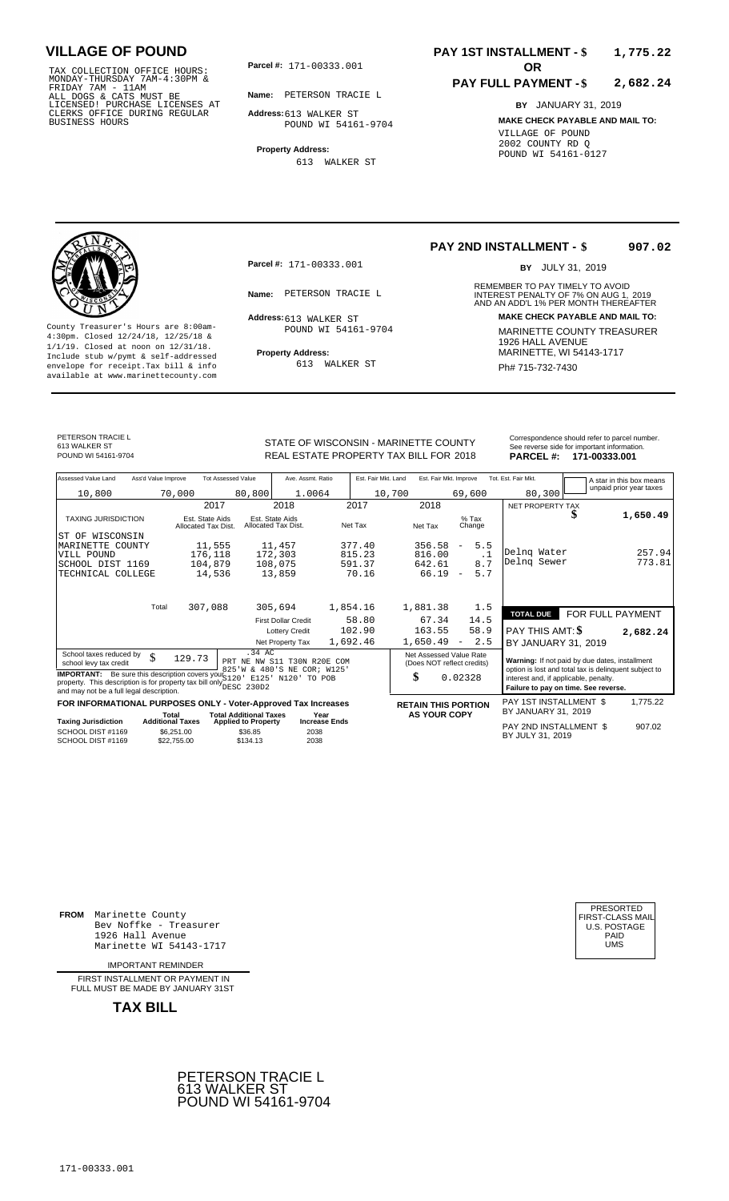TAX COLLECTION OFFICE HOURS:<br>
MONDAY-THURSDAY 7AM-4:30PM &<br>
FRIDAY 7AM - 11AM<br>
ALL DOGS & CATS MUST BE<br>
LICENSED! PURCHASE LICENSES AT<br>
CLERKS OFFICE DURING REGULAR<br>
CLERKS OFFICE DURING REGULAR<br>
BUSINESS HOURS<br>
BUSINESS H

**Parcel #: OR**

**Name:** PETERSON TRACIE L

**Address:** 613 WALKER ST POUND WI 54161-9704

**Property Address:** 613 WALKER ST

### **PAY 1ST INSTALLMENT - \$ 1,775.22**

#### **PAY FULL PAYMENT - \$ 2,682.24**

**BY** JANUARY 31, 2019 **MAKE CHECK PAYABLE AND MAIL TO:** VILLAGE OF POUND 2002 COUNTY RD Q POUND WI 54161-0127

**Property Address:** MARINETTE, WI 54143-1717 Include stub w/pymt & self-addressed envelope for receipt.Tax bill & info Ph# 715-732-7430 available at www.marinettecounty.com

**Parcel #:** 171-00333.001

Address: 613 WALKER ST POUND WI 54161-9704

613 WALKER ST

#### **PAY 2ND INSTALLMENT - \$ 907.02**

BY JULY 31, 2019

REMEMBER TO PAY TIMELY TO AVOID **Name:** PETERSON TRACIE L<br>
AND AN ADD'L 1% PER MONTH THEREAFTER **Address: MAKE CHECK PAYABLE AND MAIL TO:** County Treasurer's Hours are 8:00am-<br>
4:30pm. Closed 12/24/18, 12/25/18 & 1/1/19. Closed at noon on 12/31/18.<br>
Include stub w/pwmt. & self-addressed<br>
Froperty Address: MARINETTE, WI 54143-1717

PETERSON TRACIE L

613 WALKER ST

STATE OF WISCONSIN - MARINETTE COUNTY REAL ESTATE PROPERTY TAX BILL FOR **PARCEL #:** POUND WI 54161-9704 2018 **171-00333.001**

|                 | Correspondence should refer to parcel number. |
|-----------------|-----------------------------------------------|
|                 | See reverse side for important information.   |
| <b>PARCEL#:</b> | 171-00333.001                                 |

| Assessed Value Land                                                                                                                                                            | Ass'd Value Improve |                                                      | <b>Tot Assessed Value</b>                                            | Ave. Assmt. Ratio                      |                      | Est. Fair Mkt. Land | Est. Fair Mkt. Improve                                                                                                                                           |                                 | Tot. Est. Fair Mkt.                                                           |                  | A star in this box means |
|--------------------------------------------------------------------------------------------------------------------------------------------------------------------------------|---------------------|------------------------------------------------------|----------------------------------------------------------------------|----------------------------------------|----------------------|---------------------|------------------------------------------------------------------------------------------------------------------------------------------------------------------|---------------------------------|-------------------------------------------------------------------------------|------------------|--------------------------|
| 10,800                                                                                                                                                                         |                     | 70,000                                               | 80,800                                                               | 1.0064                                 |                      | 10,700              |                                                                                                                                                                  | 69,600                          | 80,300                                                                        |                  | unpaid prior year taxes  |
|                                                                                                                                                                                |                     | 2017                                                 |                                                                      | 2018                                   | 2017                 |                     | 2018                                                                                                                                                             |                                 | <b>NET PROPERTY TAX</b>                                                       |                  |                          |
| <b>TAXING JURISDICTION</b>                                                                                                                                                     |                     | Est. State Aids<br>Allocated Tax Dist.               |                                                                      | Est. State Aids<br>Allocated Tax Dist. | Net Tax              |                     | Net Tax                                                                                                                                                          | $%$ Tax<br>Change               |                                                                               |                  | 1,650.49                 |
| ST OF WISCONSIN                                                                                                                                                                |                     |                                                      |                                                                      |                                        |                      |                     |                                                                                                                                                                  |                                 |                                                                               |                  |                          |
| MARINETTE COUNTY                                                                                                                                                               |                     | 11,555                                               |                                                                      | 11,457                                 | 377.40               |                     | 356.58                                                                                                                                                           | 5.5<br>$\overline{\phantom{m}}$ | Delng Water                                                                   |                  |                          |
| VILL POUND                                                                                                                                                                     |                     | 176,118                                              |                                                                      | 172,303                                | 815.23               |                     | 816.00                                                                                                                                                           | $\cdot$ 1                       | Delng Sewer                                                                   |                  | 257.94<br>773.81         |
| SCHOOL DIST 1169                                                                                                                                                               |                     | 104,879                                              |                                                                      | 108,075                                | 591.37               |                     | 642.61                                                                                                                                                           | 8.7                             |                                                                               |                  |                          |
| TECHNICAL COLLEGE                                                                                                                                                              |                     | 14,536                                               |                                                                      | 13,859                                 | 70.16                |                     | 66.19                                                                                                                                                            | 5.7<br>$\overline{\phantom{a}}$ |                                                                               |                  |                          |
|                                                                                                                                                                                | Total               | 307,088                                              |                                                                      | 305,694                                | 1,854.16             |                     | 1,881.38                                                                                                                                                         | 1.5                             |                                                                               |                  |                          |
|                                                                                                                                                                                |                     |                                                      |                                                                      | <b>First Dollar Credit</b>             | 58.80                |                     | 67.34                                                                                                                                                            | 14.5                            | <b>TOTAL DUE</b>                                                              | FOR FULL PAYMENT |                          |
|                                                                                                                                                                                |                     |                                                      |                                                                      | <b>Lottery Credit</b>                  | 102.90               |                     | 163.55                                                                                                                                                           | 58.9                            | <b>PAY THIS AMT: \$</b>                                                       |                  | 2,682.24                 |
|                                                                                                                                                                                |                     |                                                      |                                                                      | Net Property Tax                       | 1,692.46             |                     | 1,650.49                                                                                                                                                         | 2.5<br>$\overline{\phantom{a}}$ | BY JANUARY 31, 2019                                                           |                  |                          |
| School taxes reduced by<br>school levy tax credit                                                                                                                              | \$                  | 129.73                                               | .34 AC<br>PRT NE NW S11 T30N R20E COM<br>825'W & 480'S NE COR; W125' |                                        |                      |                     | Net Assessed Value Rate<br>Warning: If not paid by due dates, installment<br>(Does NOT reflect credits)<br>option is lost and total tax is delinquent subject to |                                 |                                                                               |                  |                          |
| <b>IMPORTANT:</b> Be sure this description covers your \$120<br>property. This description is for property tax bill only ESC 230D2<br>and may not be a full legal description. |                     |                                                      | E125'                                                                | N120'                                  | TO POB               |                     | \$                                                                                                                                                               | 0.02328                         | interest and, if applicable, penalty.<br>Failure to pay on time. See reverse. |                  |                          |
| FOR INFORMATIONAL PURPOSES ONLY - Voter-Approved Tax Increases                                                                                                                 |                     |                                                      |                                                                      |                                        |                      |                     | <b>RETAIN THIS PORTION</b>                                                                                                                                       |                                 | PAY 1ST INSTALLMENT \$                                                        |                  | 1,775.22                 |
|                                                                                                                                                                                |                     | Total                                                | <b>Total Additional Taxes</b>                                        |                                        | Year                 |                     | <b>AS YOUR COPY</b>                                                                                                                                              |                                 | BY JANUARY 31, 2019                                                           |                  |                          |
| <b>Taxing Jurisdiction</b><br>SCHOOL DIST #1169<br>SCHOOL DIST #1169                                                                                                           |                     | <b>Additional Taxes</b><br>\$6.251.00<br>\$22,755.00 | <b>Applied to Property</b><br>\$36.85<br>\$134.13                    | 2038<br>2038                           | <b>Increase Ends</b> |                     |                                                                                                                                                                  |                                 | PAY 2ND INSTALLMENT \$<br>BY JULY 31, 2019                                    |                  | 907.02                   |

**FROM** Marinette County Bev Noffke - Treasurer 1926 Hall Avenue PAID Marinette WI 54143-1717 UMS

IMPORTANT REMINDER

FIRST INSTALLMENT OR PAYMENT IN FULL MUST BE MADE BY JANUARY 31ST



| FIRST-CLASS MAIL<br><b>U.S. POSTAGE</b><br>PAID<br>UMS |
|--------------------------------------------------------|
|--------------------------------------------------------|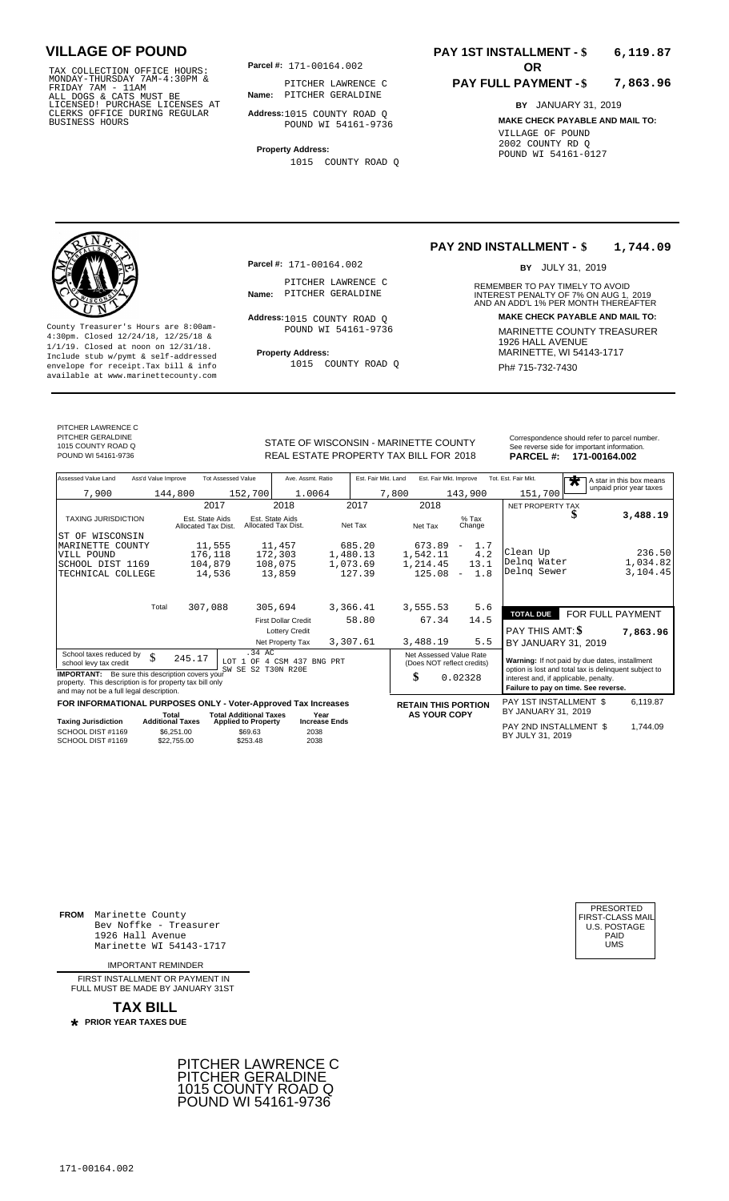TAX COLLECTION OFFICE HOURS:<br>
MONDAY-THURSDAY 7AM-4:30PM &<br>
FRIDAY 7AM - 11AM<br>
ALL DOGS & CATS MUST BE<br>
LICENSED! PURCHASE LICENSES AT<br>
LICENSED! PURCHASE LICENSES AT<br>
CLERKS OFFICE DURING REGULAR<br>
BUSINESS HOURS<br>
BUSINESS

**Parcel #:** 171-00164.002 **OR** 

**Name:** PITCHER GERALDINE PITCHER LAWRENCE C

**Address:** 1015 COUNTY ROAD Q POUND WI 54161-9736

**Property Address:** 1015 COUNTY ROAD Q

### **PAY 1ST INSTALLMENT - \$ 6,119.87**

#### **PAY FULL PAYMENT - \$ 7,863.96**

**BY** JANUARY 31, 2019 **MAKE CHECK PAYABLE AND MAIL TO:** VILLAGE OF POUND 2002 COUNTY RD Q POUND WI 54161-0127

**Property Address:** MARINETTE, WI 54143-1717 Include stub w/pymt & self-addressed envelope for receipt.Tax bill & info Ph# 715-732-7430 available at www.marinettecounty.com

**Parcel #:** 171-00164.002

PITCHER LAWRENCE C<br>Name: PITCHER GERALDINE

Address: 1015 COUNTY ROAD Q POUND WI 54161-9736

1015 COUNTY ROAD Q

#### **PAY 2ND INSTALLMENT - \$ 1,744.09**

BY JULY 31, 2019

REMEMBER TO PAY TIMELY TO AVOID **Name:** PITCHER GERALDINE **INTEREST PENALTY OF 7% ON AUG 1, 2019**<br>AND AN ADD'L 1% PER MONTH THEREAFTER **Address: MAKE CHECK PAYABLE AND MAIL TO:** County Treasurer's Hours are 8:00am-<br>
4:30pm. Closed 12/24/18, 12/25/18 & MARINETTE COUNTY TREASURER<br>
1/1/19. Closed at noon on 12/31/18.<br>
Include stub w/pwmt & self-addressed **Property Address:** MARINETTE, WI 54143-1717

PITCHER LAWRENCE C PITCHER GERALDINE

1015 COUNTY ROAD Q

STATE OF WISCONSIN - MARINETTE COUNTY<br>
See reverse side for important information.<br>
REAL ESTATE PROPERTY TAX BILL FOR 2018 PARCEL #: 171-00164.002 REAL ESTATE PROPERTY TAX BILL FOR **PARCEL #:** POUND WI 54161-9736 2018 **171-00164.002**

| Assessed Value Land                                                                                                                                            | Ass'd Value Improve                                  | <b>Tot Assessed Value</b>              |                                                   | Ave. Assmt. Ratio          |                      | Est. Fair Mkt. Land |       | Est. Fair Mkt. Improve                                |                          |      | Tot. Est. Fair Mkt.                                                                                     |  | $\bigstar$ |  | A star in this box means |
|----------------------------------------------------------------------------------------------------------------------------------------------------------------|------------------------------------------------------|----------------------------------------|---------------------------------------------------|----------------------------|----------------------|---------------------|-------|-------------------------------------------------------|--------------------------|------|---------------------------------------------------------------------------------------------------------|--|------------|--|--------------------------|
| 7,900                                                                                                                                                          | 144,800                                              |                                        | 152,700                                           | 1.0064                     |                      |                     | 7,800 |                                                       | 143,900                  |      | 151,700                                                                                                 |  |            |  | unpaid prior year taxes  |
|                                                                                                                                                                |                                                      | 2017                                   |                                                   | 2018                       |                      | 2017                |       | 2018                                                  |                          |      | <b>NET PROPERTY TAX</b>                                                                                 |  |            |  |                          |
| <b>TAXING JURISDICTION</b>                                                                                                                                     |                                                      | Est. State Aids<br>Allocated Tax Dist. | Est. State Aids<br>Allocated Tax Dist.            |                            |                      | Net Tax             |       | Net Tax                                               | $%$ Tax<br>Change        |      |                                                                                                         |  |            |  | 3,488.19                 |
| WISCONSIN<br>ST OF                                                                                                                                             |                                                      |                                        |                                                   |                            |                      |                     |       |                                                       |                          |      |                                                                                                         |  |            |  |                          |
| MARINETTE COUNTY                                                                                                                                               |                                                      | 11,555                                 |                                                   | 11,457                     |                      | 685.20              |       | 673.89                                                | $\overline{\phantom{a}}$ | 1.7  | Clean Up                                                                                                |  |            |  | 236.50                   |
| VILL POUND                                                                                                                                                     |                                                      | 176,118                                |                                                   | 172,303                    | 1,480.13             |                     |       | 1,542.11                                              |                          | 4.2  | Delng Water                                                                                             |  |            |  | 1,034.82                 |
| SCHOOL DIST 1169                                                                                                                                               |                                                      | 104,879                                |                                                   | 108,075                    | 1,073.69             |                     |       | 1,214.45                                              |                          | 13.1 | Delng Sewer                                                                                             |  |            |  | 3,104.45                 |
| TECHNICAL COLLEGE                                                                                                                                              |                                                      | 14,536                                 |                                                   | 13,859                     |                      | 127.39              |       | 125.08                                                | $\overline{\phantom{a}}$ | 1.8  |                                                                                                         |  |            |  |                          |
|                                                                                                                                                                | Total                                                | 307,088                                |                                                   | 305,694                    | 3,366.41             |                     |       | 3,555.53                                              |                          | 5.6  | <b>TOTAL DUE</b>                                                                                        |  |            |  | FOR FULL PAYMENT         |
|                                                                                                                                                                |                                                      |                                        |                                                   | <b>First Dollar Credit</b> |                      | 58.80               |       | 67.34                                                 |                          | 14.5 |                                                                                                         |  |            |  |                          |
|                                                                                                                                                                |                                                      |                                        |                                                   | <b>Lottery Credit</b>      |                      |                     |       |                                                       |                          |      | PAY THIS AMT: \$                                                                                        |  |            |  | 7,863.96                 |
|                                                                                                                                                                |                                                      |                                        |                                                   | Net Property Tax           | 3,307.61             |                     |       | 3,488.19                                              |                          | 5.5  | BY JANUARY 31, 2019                                                                                     |  |            |  |                          |
| School taxes reduced by<br>school levy tax credit                                                                                                              | \$                                                   | 245.17                                 | .34 AC<br>LOT 1 OF<br>SW SE S2 T30N R20E          | 4 CSM 437 BNG PRT          |                      |                     |       | Net Assessed Value Rate<br>(Does NOT reflect credits) |                          |      | Warning: If not paid by due dates, installment<br>option is lost and total tax is delinquent subject to |  |            |  |                          |
| <b>IMPORTANT:</b> Be sure this description covers your<br>property. This description is for property tax bill only<br>and may not be a full legal description. |                                                      |                                        |                                                   |                            |                      |                     | \$    |                                                       | 0.02328                  |      | interest and, if applicable, penalty.<br>Failure to pay on time. See reverse.                           |  |            |  |                          |
| FOR INFORMATIONAL PURPOSES ONLY - Voter-Approved Tax Increases                                                                                                 |                                                      |                                        |                                                   |                            |                      |                     |       | <b>RETAIN THIS PORTION</b>                            |                          |      | PAY 1ST INSTALLMENT \$                                                                                  |  |            |  | 6.119.87                 |
|                                                                                                                                                                | Total                                                |                                        | <b>Total Additional Taxes</b>                     |                            | Year                 |                     |       | <b>AS YOUR COPY</b>                                   |                          |      | BY JANUARY 31, 2019                                                                                     |  |            |  |                          |
| <b>Taxing Jurisdiction</b><br>SCHOOL DIST #1169<br>SCHOOL DIST #1169                                                                                           | <b>Additional Taxes</b><br>\$6.251.00<br>\$22,755.00 |                                        | <b>Applied to Property</b><br>\$69.63<br>\$253.48 | 2038<br>2038               | <b>Increase Ends</b> |                     |       |                                                       |                          |      | PAY 2ND INSTALLMENT \$<br>BY JULY 31, 2019                                                              |  |            |  | 1.744.09                 |

**FROM** Marinette County Bev Noffke - Treasurer 1926 Hall Avenue Marinette WI 54143-1717

IMPORTANT REMINDER

FIRST INSTALL MENT OR PAYMENT IN FULL MUST BE MADE BY JANUARY 31ST

**TAX BILL PRIOR YEAR TAXES DUE \***



| PRESORTED           |
|---------------------|
| FIRST-CLASS MAIL    |
| <b>U.S. POSTAGE</b> |
| PAID                |
| UMS                 |
|                     |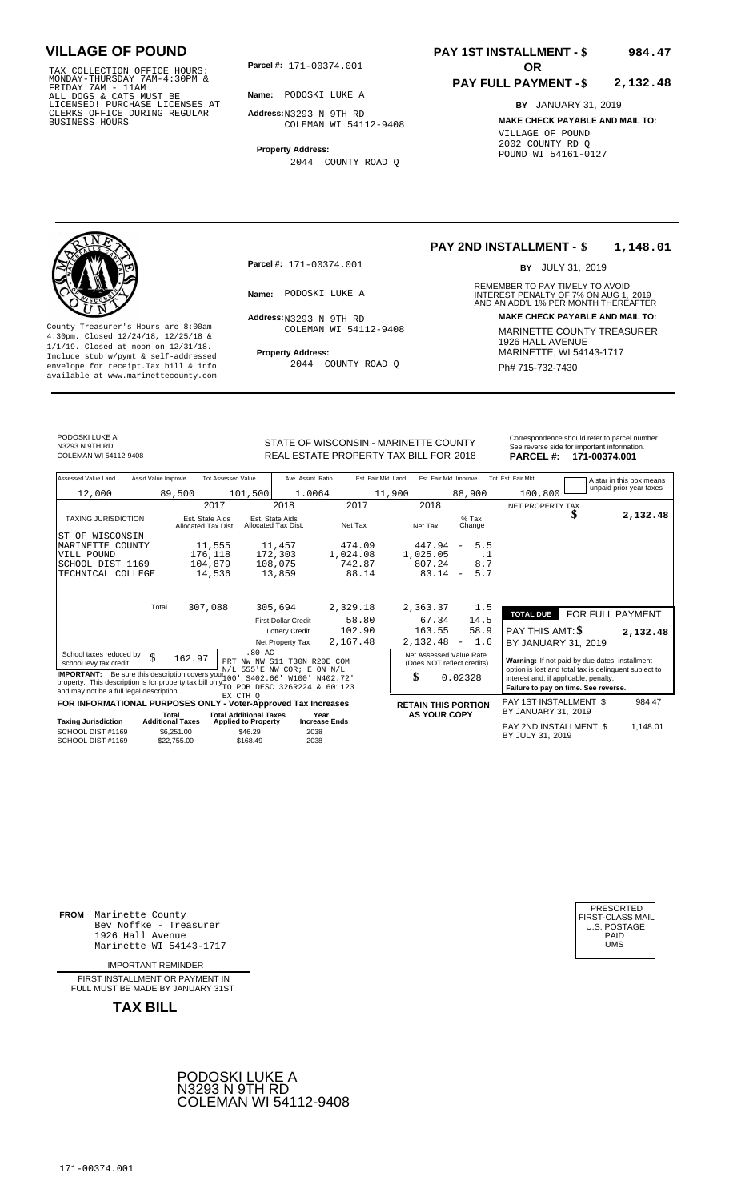TAX COLLECTION OFFICE HOURS: **Parcel#:** 171-00374.001<br>MONDAY-THURSDAY 7AM-4:30PM &<br>FRIDAY 7AM - 11AM<br>ALL DOGS & CATS MUST BE **Name:** PODOSKI LUKE A<br>LICENSED! PURCHASE LICENSES AT CLERKS OFFICE DURING REGULAR BUSINESS HOURS

**Parcel #: OR**

**Name:** PODOSKI LUKE A

**Address:** N3293 N 9TH RD COLEMAN WI 54112-9408

**Property Address:** 2044 COUNTY ROAD Q

#### **PAY 1ST INSTALLMENT - \$ 984.47**

#### **PAY FULL PAYMENT - \$ 2,132.48**

**BY** JANUARY 31, 2019 **MAKE CHECK PAYABLE AND MAIL TO:** VILLAGE OF POUND 2002 COUNTY RD Q POUND WI 54161-0127



**Property Address:** Mariner Address: 1/1/19. Closed at noon on 12/31/18.<br>Include stub w/pymt & self-addressed envelope for receipt.Tax bill & info  $2044$  COUNTY ROAD Q  $\overline{Ph# 715-732-7430}$ available at www.marinettecounty.com

**Parcel #:** 171-00374.001

Address: N3293 N 9TH RD COLEMAN WI 54112-9408

2044 COUNTY ROAD Q

#### **PAY 2ND INSTALLMENT - \$ 1,148.01**

BY JULY 31, 2019

REMEMBER TO PAY TIMELY TO AVOID **Name:** PODOSKI LUKE A **1988 1999 INTEREST PENALTY OF 7% ON AUG 1, 2019<br>AND AN ADD'L 1% PER MONTH THEREAFTER Address: MAKE CHECK PAYABLE AND MAIL TO:** County Treasurer's Hours are 8:00am-<br>  $\frac{4:30 \text{pm}}{4 \cdot 30 \text{pm}}$  MARINETTE COUNTY TREASURER<br>  $\frac{1}{1/9}$ . Closed at noon on 12/31/18.<br>
Trainde stub w/pymt & self-addressed<br>
Trainde stub w/pymt & self-addressed<br>
Trainde st

PODOSKI LUKE A N3293 N 9TH RD<br>COLEMAN WL54112-9408

STATE OF WISCONSIN - MARINETTE COUNTY<br>REAL ESTATE PROPERTY TAX BILL FOR 2018 PARCEL #: 171-00374.001 REAL ESTATE PROPERTY TAX BILL FOR **PARCEL #:** COLEMAN WI 54112-9408 2018 **171-00374.001**

| Ass'd Value Improve<br>Assessed Value Land |        | <b>Tot Assessed Value</b>              |         | Ave. Assmt. Ratio                      | Est. Fair Mkt. Land |        | Est. Fair Mkt. Improve |                          |                   | Tot. Est. Fair Mkt.     |                  | A star in this box means |
|--------------------------------------------|--------|----------------------------------------|---------|----------------------------------------|---------------------|--------|------------------------|--------------------------|-------------------|-------------------------|------------------|--------------------------|
| 12,000                                     | 89,500 |                                        | 101,500 | 1.0064                                 |                     | 11,900 |                        | 88,900                   |                   | 100,800                 |                  | unpaid prior year taxes  |
|                                            |        | 2017                                   |         | 2018                                   | 2017                |        | 2018                   |                          |                   | NET PROPERTY TAX        |                  |                          |
| <b>TAXING JURISDICTION</b>                 |        | Est. State Aids<br>Allocated Tax Dist. |         | Est. State Aids<br>Allocated Tax Dist. | Net Tax             |        | Net Tax                |                          | $%$ Tax<br>Change |                         | Ъ                | 2,132.48                 |
| ST OF<br>WISCONSIN                         |        |                                        |         |                                        |                     |        |                        |                          |                   |                         |                  |                          |
| MARINETTE<br>COUNTY                        |        | 11,555                                 |         | 11,457                                 | 474.09              |        | 447.94                 | $\equiv$                 | 5.5               |                         |                  |                          |
| VILL POUND                                 |        | 176,118                                |         | 172,303                                | 1,024.08            |        | 1,025.05               |                          | . .               |                         |                  |                          |
| SCHOOL DIST 1169                           |        | 104,879                                |         | 108,075                                | 742.87              |        | 807.24                 |                          | 8.7               |                         |                  |                          |
| TECHNICAL COLLEGE                          |        | 14,536                                 |         | 13,859                                 | 88.14               |        | 83.14                  | $\overline{\phantom{a}}$ | 5.7               |                         |                  |                          |
|                                            |        |                                        |         |                                        |                     |        |                        |                          |                   |                         |                  |                          |
| Total                                      |        | 307,088                                |         | 305,694                                | 2,329.18            |        | 2,363.37               |                          | 1.5               | <b>TOTAL DUE</b>        | FOR FULL PAYMENT |                          |
|                                            |        |                                        |         | <b>First Dollar Credit</b>             | 58.80               |        | 67.34                  |                          | 14.5              |                         |                  |                          |
|                                            |        |                                        |         | <b>Lottery Credit</b>                  | 102.90              |        | 163.55                 |                          | 58.9              | PAY THIS AMT: <b>\$</b> |                  | 2,132.48                 |
|                                            |        |                                        |         | Net Property Tax                       | 2,167.48            |        | 2,132.48               | $\sim$                   | 1.6               | BY JANUARY 31, 2019     |                  |                          |

School taxes reduced by  $\begin{array}{c|c|c|c|c|c} \text{S} & \text{S} & \text{S} & \text{S} & \text{S} \\ \text{S} & \text{S} & \text{S} & \text{S} & \text{S} & \text{S} \\ \text{S} & \text{S} & \text{S} & \text{S} & \text{S} & \text{S} & \text{S} \\ \text{S} & \text{S} & \text{S} & \text{S} & \text{S} & \text{S} & \text{S} \end{array}$  Net Assessed Value Rate **IMPORTANT:** Be sure this description covers you  $N/L$  555'E NW COR; E ON N/L<br>property. This description is for property tax bill only 10<sup>1</sup> S402.66' W100' N402.72'<br>and may not be a full legal description. The property tax .80 AC<br>PRT NW NW S11 T30N R20E COM<br>N/L 555'E NW COR; E ON N/L<br>100' S402.66' W100' N402.72'<br>TO POB DESC 326R224 & 601123<br>EX CTH Q 162.97

|                                        |                                  | FOR INFORMATIONAL PURPOSES ONLY - Voter-Approved Tax Increases |                       | <b>RETAIN THIS PORTION</b> | PAY 1ST INSTALLMENT \$                     | 984.47  |
|----------------------------------------|----------------------------------|----------------------------------------------------------------|-----------------------|----------------------------|--------------------------------------------|---------|
| <b>Taxing Jurisdiction</b>             | Total<br><b>Additional Taxes</b> | <b>Total Additional Taxes</b><br><b>Applied to Property</b>    | Year<br>Increase Ends | <b>AS YOUR COPY</b>        | BY JANUARY 31, 2019                        |         |
| SCHOOL DIST #1169<br>SCHOOL DIST #1169 | \$6.251.00<br>\$22,755,00        | \$46.29<br>\$168.49                                            | 2038<br>2038          |                            | PAY 2ND INSTALLMENT \$<br>BY JULY 31, 2019 | .148.01 |

0.02328

**FROM** Marinette County Bev Noffke - Treasurer 1926 Hall Avenue Marinette WI 54143-1717

IMPORTANT REMINDER

FIRST INSTALL MENT OR PAYMENT IN FULL MUST BE MADE BY JANUARY 31ST

**TAX BILL**



| PRESORTED        |
|------------------|
| FIRST-CLASS MAIL |
| U.S. POSTAGE     |
| PAID             |
| UMS              |
|                  |

984.47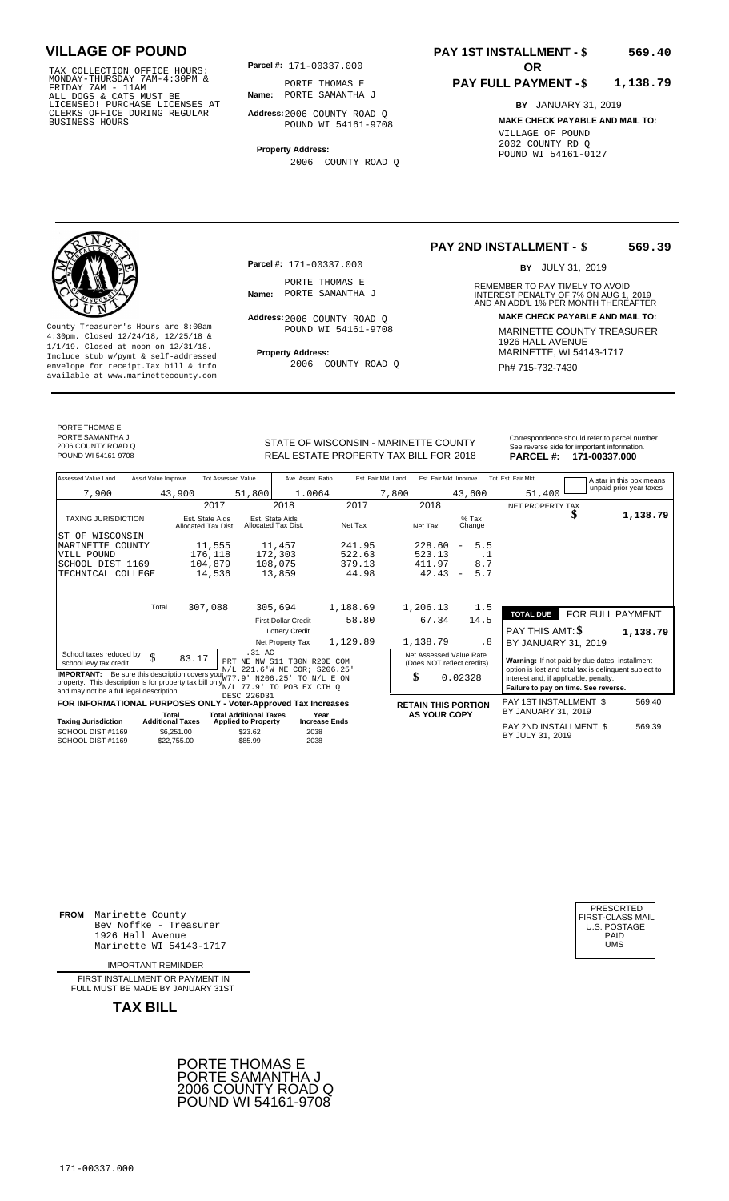TAX COLLECTION OFFICE HOURS:<br>
MONDAY-THURSDAY 7AM-4:30PM &<br>
FRIDAY 7AM - 11AM<br>
ALL DOGS & CATS MUST BE<br>
LICENSED! PURCHASE LICENSES AT<br>
CLERKS OFFICE DURING REGULAR<br>
CLERKS OFFICE DURING REGULAR<br>
BUSINESS HOURS<br>
BUSINESS H

**Parcel #:** 171-00337.000

**Name:** PORTE SAMANTHA J PORTE THOMAS E

**Address:** 2006 COUNTY ROAD Q POUND WI 54161-9708

**Property Address:** 2006 COUNTY ROAD Q

### **PAY 1ST INSTALLMENT - \$ 569.40**

#### **PAY FULL PAYMENT - \$ 1,138.79**

**BY** JANUARY 31, 2019 **MAKE CHECK PAYABLE AND MAIL TO:** VILLAGE OF POUND 2002 COUNTY RD Q POUND WI 54161-0127



**Property Address:** MARINETTE, WI 54143-1717 Include stub w/pymt & self-addressed envelope for receipt.Tax bill & info Ph# 715-732-7430 available at www.marinettecounty.com

**Parcel #:** 171-00337.000

PORTE THOMAS E<br>Name: PORTE SAMANTHA J

Address: 2006 COUNTY ROAD Q POUND WI 54161-9708

2006 COUNTY ROAD Q

#### **PAY 2ND INSTALLMENT - \$ 569.39**

BY JULY 31, 2019

REMEMBER TO PAY TIMELY TO AVOID **Name:** PORTE SAMANTHA J<br>
AND AN ADD'L 1% PER MONTH THEREAFTER **Address: MAKE CHECK PAYABLE AND MAIL TO:** County Treasurer's Hours are 8:00am-<br>
4:30pm. Closed 12/24/18, 12/25/18 & MARINETTE COUNTY TREASURER<br>
1/1/19. Closed at noon on 12/31/18.<br>
Include stub w/pwmt & self-addressed **Property Address:** MARINETTE, WI 54143-1717

PORTE THOMAS E PORTE SAMANTHA J 2006 COUNTY ROAD Q

STATE OF WISCONSIN - MARINETTE COUNTY<br>
See reverse side for important information.<br>
REAL ESTATE PROPERTY TAX BILL FOR 2018 PARCEL #: 171-00337.000 REAL ESTATE PROPERTY TAX BILL FOR **PARCEL #:** POUND WI 54161-9708 2018 **171-00337.000**

| Assessed Value Land<br>Ass'd Value Improve                                           | <b>Tot Assessed Value</b>              | Ave. Assmt. Ratio                                    |                      | Est. Fair Mkt. Land<br>Est. Fair Mkt. Improve         |                                 | Tot. Est. Fair Mkt.                                                                            |                  | A star in this box means |
|--------------------------------------------------------------------------------------|----------------------------------------|------------------------------------------------------|----------------------|-------------------------------------------------------|---------------------------------|------------------------------------------------------------------------------------------------|------------------|--------------------------|
| 7,900                                                                                | 43,900                                 | 51,800<br>1.0064                                     |                      | 7,800                                                 | 43,600                          | 51,400                                                                                         |                  | unpaid prior year taxes  |
|                                                                                      | 2017                                   | 2018                                                 | 2017                 | 2018                                                  |                                 | NET PROPERTY TAX                                                                               |                  |                          |
| <b>TAXING JURISDICTION</b>                                                           | Est. State Aids<br>Allocated Tax Dist. | Est. State Aids<br>Allocated Tax Dist.               | Net Tax              | Net Tax                                               | $%$ Tax<br>Change               |                                                                                                | J                | 1,138.79                 |
| ST OF WISCONSIN                                                                      |                                        |                                                      |                      |                                                       |                                 |                                                                                                |                  |                          |
| MARINETTE COUNTY                                                                     | 11,555                                 | 11,457                                               | 241.95               | 228.60                                                | 5.5<br>$\overline{\phantom{a}}$ |                                                                                                |                  |                          |
| VILL POUND                                                                           | 176,118                                | 172,303                                              | 522.63               | 523.13                                                | . 1                             |                                                                                                |                  |                          |
| SCHOOL DIST 1169                                                                     | 104,879                                | 108,075                                              | 379.13               | 411.97                                                | 8.7                             |                                                                                                |                  |                          |
| TECHNICAL COLLEGE                                                                    | 14,536                                 | 13,859                                               | 44.98                | 42.43                                                 | 5.7<br>$\overline{\phantom{a}}$ |                                                                                                |                  |                          |
|                                                                                      |                                        |                                                      |                      |                                                       |                                 |                                                                                                |                  |                          |
| Total                                                                                | 307,088                                | 305,694                                              | 1,188.69             | 1,206.13                                              | 1.5                             |                                                                                                |                  |                          |
|                                                                                      |                                        |                                                      |                      |                                                       |                                 | <b>TOTAL DUE</b>                                                                               | FOR FULL PAYMENT |                          |
|                                                                                      |                                        | <b>First Dollar Credit</b>                           | 58.80                | 67.34                                                 | 14.5                            |                                                                                                |                  |                          |
|                                                                                      |                                        | <b>Lottery Credit</b>                                |                      |                                                       |                                 | PAY THIS AMT: \$                                                                               |                  | 1,138.79                 |
|                                                                                      |                                        | Net Property Tax                                     | 1,129.89             | 1,138.79                                              | . 8                             | BY JANUARY 31, 2019                                                                            |                  |                          |
| School taxes reduced by<br>\$<br>school levy tax credit                              | 83.17                                  | .31 AC<br>PRT NE NW S11 T30N R20E COM                |                      | Net Assessed Value Rate<br>(Does NOT reflect credits) |                                 | Warning: If not paid by due dates, installment                                                 |                  |                          |
| <b>IMPORTANT:</b> Be sure this description covers yout 77.91                         |                                        | N/L 221.6'W NE COR; S206.25'<br>N206.25' TO N/L E ON |                      | \$                                                    | 0.02328                         | option is lost and total tax is delinquent subject to<br>interest and, if applicable, penalty. |                  |                          |
| property. This description is for property tax bill only $N/L$ 77.9' TO POB EX CTH Q |                                        |                                                      |                      |                                                       |                                 | Failure to pay on time. See reverse.                                                           |                  |                          |
| and may not be a full legal description.                                             |                                        | DESC 226D31                                          |                      |                                                       |                                 |                                                                                                |                  |                          |
| FOR INFORMATIONAL PURPOSES ONLY - Voter-Approved Tax Increases                       |                                        |                                                      |                      | <b>RETAIN THIS PORTION</b>                            |                                 | PAY 1ST INSTALLMENT \$                                                                         |                  | 569.40                   |
|                                                                                      | Total                                  | <b>Total Additional Taxes</b><br>Year                |                      | <b>AS YOUR COPY</b>                                   |                                 | BY JANUARY 31, 2019                                                                            |                  |                          |
| <b>Taxing Jurisdiction</b><br>SCHOOL DIST #1169                                      | <b>Additional Taxes</b><br>\$6.251.00  | <b>Applied to Property</b><br>\$23.62<br>2038        | <b>Increase Ends</b> |                                                       |                                 | PAY 2ND INSTALLMENT \$                                                                         |                  | 569.39                   |
| SCHOOL DIST #1169                                                                    | \$22.755.00                            | \$85.99<br>2038                                      |                      |                                                       |                                 | BY JULY 31, 2019                                                                               |                  |                          |

**FROM** Marinette County Bev Noffke - Treasurer 1926 Hall Avenue Marinette WI 54143-1717 UMS

IMPORTANT REMINDER

FIRST INSTALL MENT OR PAYMENT IN FULL MUST BE MADE BY JANUARY 31ST



| PRESORTED        |
|------------------|
| FIRST-CLASS MAIL |
| U.S. POSTAGE     |
| PAID             |
| UMS              |
|                  |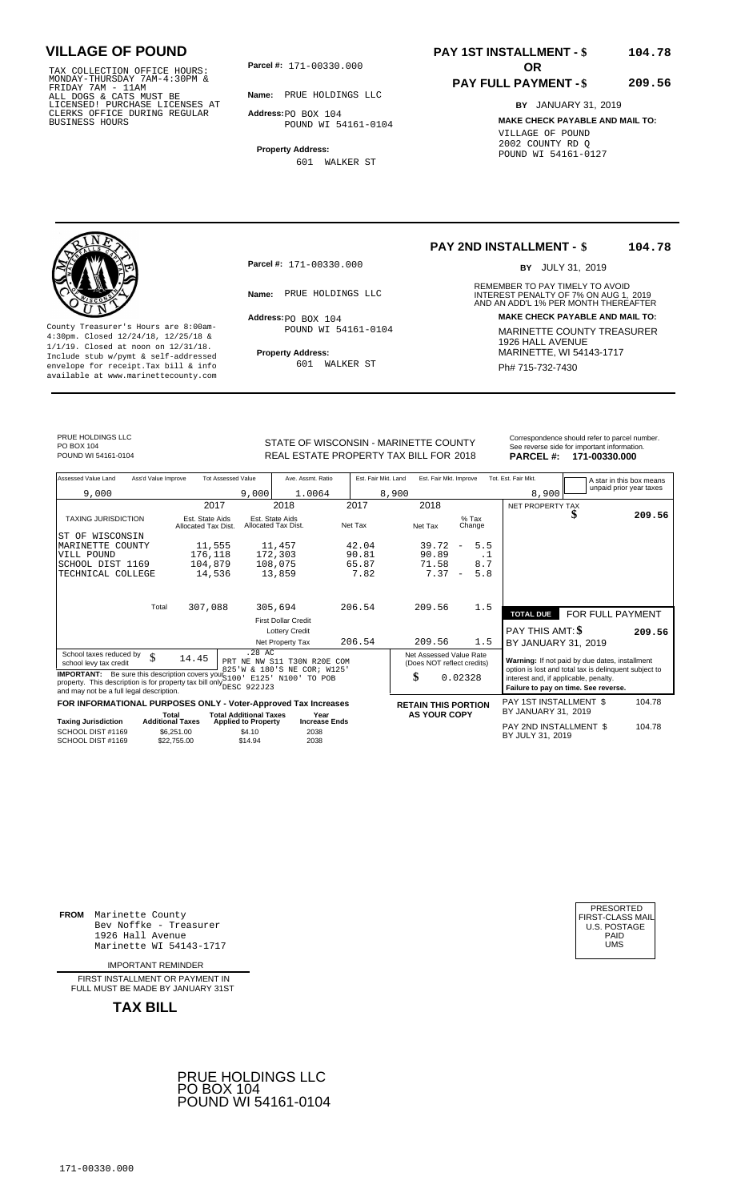TAX COLLECTION OFFICE HOURS:<br>
MONDAY-THURSDAY 7AM-4:30PM &<br>
FRIDAY 7AM - 11AM<br>
ALL DOGS & CATS MUST BE<br>
LICENSED! PURCHASE LICENSES AT<br>
CLERKS OFFICE DURING REGULAR<br>
CLERKS OFFICE DURING REGULAR<br>
BUSINESS HOURS<br>
BUSINESS H

**Parcel #: OR**

**Name:** PRUE HOLDINGS LLC

**Address:** PO BOX 104 POUND WI 54161-0104

**Property Address:** 601 WALKER ST

### **PAY 1ST INSTALLMENT - \$ 104.78**

### **PAY FULL PAYMENT - \$**

**BY** JANUARY 31, 2019

**209.56**

**MAKE CHECK PAYABLE AND MAIL TO:** VILLAGE OF POUND 2002 COUNTY RD Q POUND WI 54161-0127



**Property Address:** MARINETTE, WI 54143-1717 Include stub w/pymt & self-addressed envelope for receipt.Tax bill & info Ph# 715-732-7430 available at www.marinettecounty.com

**Parcel #:** 171-00330.000

 $Address:  $PO$  BOX 104$ POUND WI 54161-0104

601 WALKER ST

**PAY 2ND INSTALLMENT - \$ 104.78**

BY JULY 31, 2019

REMEMBER TO PAY TIMELY TO AVOID **Name:** PRUE HOLDINGS LLC<br>
AND AN ADD'L 1% PER MONTH THEREAFTER **Address: MAKE CHECK PAYABLE AND MAIL TO:** County Treasurer's Hours are 8:00am-<br>
4:30pm. Closed 12/24/18, 12/25/18 & MARINETTE COUNTY TREASURER<br>
1/1/19. Closed at noon on 12/31/18.<br>
Include stub w/pwmt. & self-addressed<br> **Property Address:** MARINETTE, WI 54143-1717

PRUE HOLDINGS LLC PO BOX 104<br>POUND WI 54161-0104

STATE OF WISCONSIN - MARINETTE COUNTY REAL ESTATE PROPERTY TAX BILL FOR **PARCEL #:** POUND WI 54161-0104 2018 **171-00330.000**

| Correspondence should refer to parcel number.<br>See reverse side for important information. |
|----------------------------------------------------------------------------------------------|
| <b>PARCEL #:</b><br>171-00330.000                                                            |

| Assessed Value Land                                                                                                                                                                                                                 | Ass'd Value Improve                    | <b>Tot Assessed Value</b>     | Ave. Assmt. Ratio                                                                | Est. Fair Mkt. Land | Est. Fair Mkt. Improve                                      |                                 | Tot. Est. Fair Mkt.                   | unpaid prior year taxes                                                                                                                         | A star in this box means |
|-------------------------------------------------------------------------------------------------------------------------------------------------------------------------------------------------------------------------------------|----------------------------------------|-------------------------------|----------------------------------------------------------------------------------|---------------------|-------------------------------------------------------------|---------------------------------|---------------------------------------|-------------------------------------------------------------------------------------------------------------------------------------------------|--------------------------|
| 9,000                                                                                                                                                                                                                               |                                        | 9,000                         | 1.0064                                                                           |                     | 8,900                                                       |                                 | 8,900                                 |                                                                                                                                                 |                          |
|                                                                                                                                                                                                                                     | 2017                                   |                               | 2018                                                                             | 2017                | 2018                                                        |                                 | <b>NET PROPERTY TAX</b>               |                                                                                                                                                 |                          |
| <b>TAXING JURISDICTION</b>                                                                                                                                                                                                          | Est. State Aids<br>Allocated Tax Dist. |                               | Est. State Aids<br>Allocated Tax Dist.                                           | Net Tax             | Net Tax                                                     | $%$ Tax<br>Change               |                                       | ъ                                                                                                                                               | 209.56                   |
| OF WISCONSIN<br>ST                                                                                                                                                                                                                  |                                        |                               |                                                                                  |                     |                                                             |                                 |                                       |                                                                                                                                                 |                          |
| MARINETTE COUNTY                                                                                                                                                                                                                    | 11,555                                 |                               | 11,457                                                                           | 42.04               | 39.72                                                       | 5.5<br>$\overline{\phantom{m}}$ |                                       |                                                                                                                                                 |                          |
| VILL POUND                                                                                                                                                                                                                          | 176,118                                |                               | 172,303                                                                          | 90.81               | 90.89                                                       | . 1                             |                                       |                                                                                                                                                 |                          |
| SCHOOL DIST 1169                                                                                                                                                                                                                    | 104,879                                |                               | 108,075                                                                          | 65.87               | 71.58                                                       | 8.7                             |                                       |                                                                                                                                                 |                          |
| TECHNICAL COLLEGE                                                                                                                                                                                                                   | 14,536                                 |                               | 13,859                                                                           | 7.82                | 7.37                                                        | 5.8<br>$\overline{\phantom{a}}$ |                                       |                                                                                                                                                 |                          |
|                                                                                                                                                                                                                                     | Total                                  |                               |                                                                                  |                     |                                                             |                                 |                                       |                                                                                                                                                 |                          |
|                                                                                                                                                                                                                                     | 307,088                                |                               | 305,694                                                                          | 206.54              | 209.56                                                      | 1.5                             | <b>TOTAL DUE</b>                      | FOR FULL PAYMENT                                                                                                                                |                          |
|                                                                                                                                                                                                                                     |                                        |                               | <b>First Dollar Credit</b>                                                       |                     |                                                             |                                 |                                       |                                                                                                                                                 |                          |
|                                                                                                                                                                                                                                     |                                        |                               | <b>Lottery Credit</b>                                                            |                     |                                                             |                                 | PAY THIS AMT: \$                      |                                                                                                                                                 | 209.56                   |
|                                                                                                                                                                                                                                     |                                        |                               | Net Property Tax                                                                 | 206.54              | 209.56                                                      | 1.5                             | BY JANUARY 31, 2019                   |                                                                                                                                                 |                          |
| School taxes reduced by<br>school levy tax credit<br><b>IMPORTANT:</b> Be sure this description covers you 5100<br>property. This description is for property tax bill only DESC 922J23<br>and may not be a full legal description. | \$<br>14.45                            | .28 AC                        | PRT NE NW S11 T30N R20E COM<br>825'W & 180'S NE COR; W125'<br>E125' N100' TO POB |                     | Net Assessed Value Rate<br>(Does NOT reflect credits)<br>\$ | 0.02328                         | interest and, if applicable, penalty. | Warning: If not paid by due dates, installment<br>option is lost and total tax is delinquent subject to<br>Failure to pay on time. See reverse. |                          |
| FOR INFORMATIONAL PURPOSES ONLY - Voter-Approved Tax Increases                                                                                                                                                                      |                                        |                               |                                                                                  |                     | <b>RETAIN THIS PORTION</b>                                  |                                 | PAY 1ST INSTALLMENT \$                |                                                                                                                                                 | 104.78                   |
|                                                                                                                                                                                                                                     | Total                                  | <b>Total Additional Taxes</b> | Year                                                                             |                     | <b>AS YOUR COPY</b>                                         |                                 | BY JANUARY 31, 2019                   |                                                                                                                                                 |                          |
| <b>Taxing Jurisdiction</b>                                                                                                                                                                                                          | <b>Additional Taxes</b>                | <b>Applied to Property</b>    | <b>Increase Ends</b>                                                             |                     |                                                             |                                 | PAY 2ND INSTALLMENT \$                |                                                                                                                                                 | 104.78                   |
| SCHOOL DIST #1169<br>SCHOOL DIST #1169                                                                                                                                                                                              | \$6.251.00<br>\$22.755.00              | \$4.10<br>\$14.94             | 2038<br>2038                                                                     |                     |                                                             |                                 | BY JULY 31, 2019                      |                                                                                                                                                 |                          |

**FROM** Marinette County Bev Noffke - Treasurer 1926 Hall Avenue PAID Marinette WI 54143-1717 UMS

IMPORTANT REMINDER

FIRST INSTALLMENT OR PAYMENT IN FULL MUST BE MADE BY JANUARY 31ST



| PRESORTED<br>FIRST-CLASS MAIL<br>U.S. POSTAGE<br>PAID<br>UMS |
|--------------------------------------------------------------|
|--------------------------------------------------------------|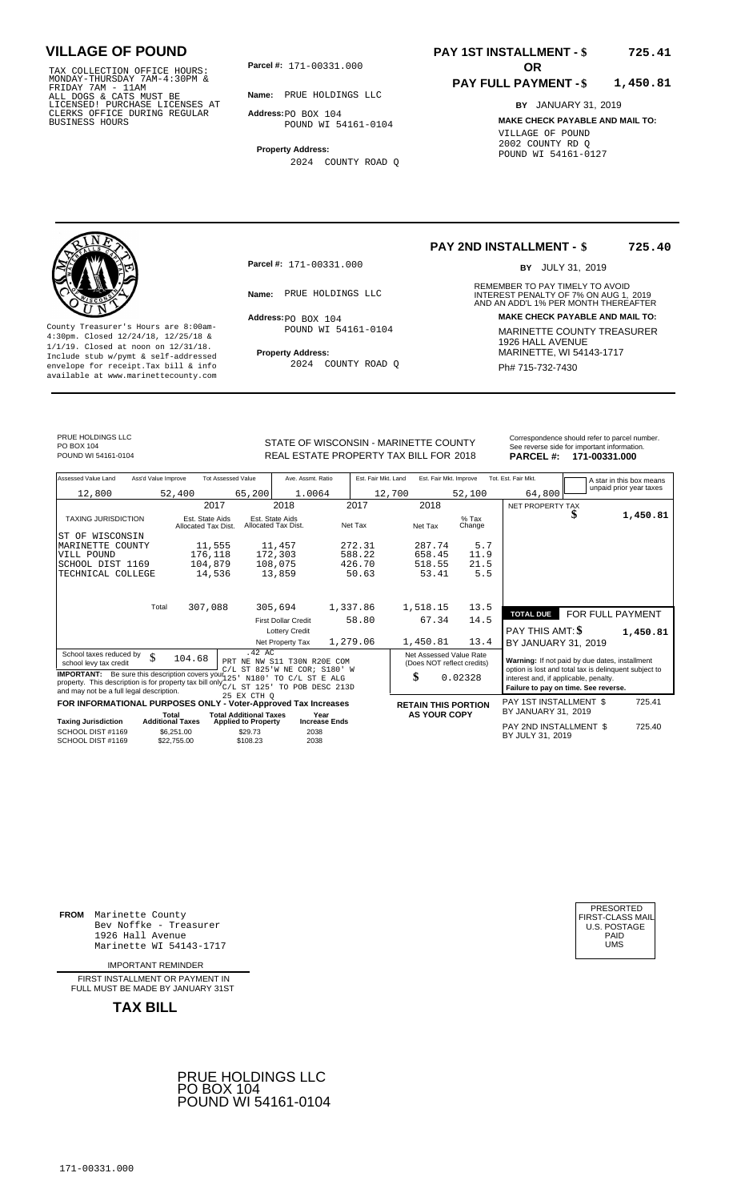TAX COLLECTION OFFICE HOURS:<br>
MONDAY-THURSDAY 7AM-4:30PM &<br>
FRIDAY 7AM - 11AM<br>
ALL DOGS & CATS MUST BE<br>
LICENSED! PURCHASE LICENSES AT<br>
CLERKS OFFICE DURING REGULAR<br>
CLERKS OFFICE DURING REGULAR<br>
BUSINESS HOURS<br>
BUSINESS H

**Parcel #:** 171-00331.000 **OR** 

**Name:** PRUE HOLDINGS LLC

**Address:** PO BOX 104 POUND WI 54161-0104

**Property Address:** 2024 COUNTY ROAD Q

### **PAY 1ST INSTALLMENT - \$ 725.41**

#### **PAY FULL PAYMENT - \$ 1,450.81**

**BY** JANUARY 31, 2019 **MAKE CHECK PAYABLE AND MAIL TO:** VILLAGE OF POUND 2002 COUNTY RD Q POUND WI 54161-0127



**Property Address:** MARINETTE, WI 54143-1717 Include stub w/pymt & self-addressed envelope for receipt.Tax bill & info Ph# 715-732-7430 available at www.marinettecounty.com

**Parcel #:** 171-00331.000

 $Address:  $PO$  BOX 104$ POUND WI 54161-0104

2024 COUNTY ROAD Q

**PAY 2ND INSTALLMENT - \$ 725.40**

BY JULY 31, 2019

REMEMBER TO PAY TIMELY TO AVOID **Name:** PRUE HOLDINGS LLC<br>
AND AN ADD'L 1% PER MONTH THEREAFTER **Address: MAKE CHECK PAYABLE AND MAIL TO:** County Treasurer's Hours are 8:00am-<br>
4:30pm. Closed 12/24/18, 12/25/18 & MARINETTE COUNTY TREASURER<br>
1/1/19. Closed at noon on 12/31/18.<br>
Include stub w/pwmt & self-addressed **Property Address:** MARINETTE, WI 54143-1717

PRUE HOLDINGS LLC PO BOX 104<br>POUND WI 54161-0104

STATE OF WISCONSIN - MARINETTE COUNTY<br>
See reverse side for important information.<br>
REAL ESTATE PROPERTY TAX BILL FOR 2018 PARCEL #: 171-00331.000 REAL ESTATE PROPERTY TAX BILL FOR **PARCEL #:** POUND WI 54161-0104 2018 **171-00331.000**

| Assessed Value Land                                                                                                                                                                                          | Ass'd Value Improve              |                                        | <b>Tot Assessed Value</b>                                   | Ave. Assmt. Ratio                      |                              | Est. Fair Mkt. Land |                            | Est. Fair Mkt. Improve                                                        |                   | Tot. Est. Fair Mkt.                                   |   | A star in this box means<br>unpaid prior year taxes |
|--------------------------------------------------------------------------------------------------------------------------------------------------------------------------------------------------------------|----------------------------------|----------------------------------------|-------------------------------------------------------------|----------------------------------------|------------------------------|---------------------|----------------------------|-------------------------------------------------------------------------------|-------------------|-------------------------------------------------------|---|-----------------------------------------------------|
| 12,800                                                                                                                                                                                                       |                                  | 52,400                                 | 65,200                                                      | 1.0064                                 |                              | 12,700              |                            | 52,100                                                                        |                   | 64,800                                                |   |                                                     |
|                                                                                                                                                                                                              |                                  | 2017                                   |                                                             | 2018                                   |                              | 2017                | 2018                       |                                                                               |                   | <b>NET PROPERTY TAX</b>                               |   |                                                     |
| TAXING JURISDICTION                                                                                                                                                                                          |                                  | Est. State Aids<br>Allocated Tax Dist. |                                                             | Est. State Aids<br>Allocated Tax Dist. |                              | Net Tax             | Net Tax                    |                                                                               | $%$ Tax<br>Change |                                                       | S | 1,450.81                                            |
| ST OF WISCONSIN                                                                                                                                                                                              |                                  |                                        |                                                             |                                        |                              |                     |                            |                                                                               |                   |                                                       |   |                                                     |
| MARINETTE COUNTY                                                                                                                                                                                             |                                  | 11,555                                 |                                                             | 11,457                                 |                              | 272.31              | 287.74                     |                                                                               | 5.7               |                                                       |   |                                                     |
| VILL POUND                                                                                                                                                                                                   |                                  | 176,118                                |                                                             | 172,303                                |                              | 588.22              | 658.45                     |                                                                               | 11.9              |                                                       |   |                                                     |
| SCHOOL DIST 1169                                                                                                                                                                                             |                                  | 104,879                                |                                                             | 108,075                                |                              | 426.70              | 518.55                     |                                                                               | 21.5              |                                                       |   |                                                     |
| TECHNICAL COLLEGE                                                                                                                                                                                            |                                  | 14,536                                 |                                                             | 13,859                                 |                              | 50.63               | 53.41                      |                                                                               | 5.5               |                                                       |   |                                                     |
|                                                                                                                                                                                                              |                                  |                                        |                                                             |                                        |                              |                     |                            |                                                                               |                   |                                                       |   |                                                     |
|                                                                                                                                                                                                              | Total                            | 307,088                                |                                                             | 305,694                                | 1,337.86                     |                     | 1,518.15                   |                                                                               | 13.5              | <b>TOTAL DUE</b>                                      |   | FOR FULL PAYMENT                                    |
|                                                                                                                                                                                                              |                                  |                                        |                                                             | <b>First Dollar Credit</b>             |                              | 58.80               | 67.34                      |                                                                               | 14.5              |                                                       |   |                                                     |
|                                                                                                                                                                                                              |                                  |                                        |                                                             | <b>Lottery Credit</b>                  |                              |                     |                            |                                                                               |                   | PAY THIS AMT: \$                                      |   | 1,450.81                                            |
|                                                                                                                                                                                                              |                                  |                                        |                                                             | Net Property Tax                       | 1,279.06                     |                     | 1,450.81                   |                                                                               | 13.4              | BY JANUARY 31, 2019                                   |   |                                                     |
| School taxes reduced by<br>school levy tax credit                                                                                                                                                            | \$                               | 104.68                                 | $.42 \text{ AC}$<br>PRT NE NW S11 T30N R20E COM             |                                        |                              |                     | (Does NOT reflect credits) | Net Assessed Value Rate                                                       |                   | Warning: If not paid by due dates, installment        |   |                                                     |
| <b>IMPORTANT:</b> Be sure this description covers your $125$<br>property. This description is for property tax bill only <sup>222</sup> ST 125' TO POB DESC 213D<br>and may not be a full legal description. | C/L ST 825'W NE COR; S180' W     | N180' TO C/L ST E ALG                  |                                                             |                                        | \$                           | 0.02328             |                            | interest and, if applicable, penalty.<br>Failure to pay on time. See reverse. |                   | option is lost and total tax is delinquent subject to |   |                                                     |
|                                                                                                                                                                                                              |                                  |                                        | 25 EX CTH O                                                 |                                        |                              |                     |                            |                                                                               |                   |                                                       |   |                                                     |
| FOR INFORMATIONAL PURPOSES ONLY - Voter-Approved Tax Increases                                                                                                                                               |                                  |                                        |                                                             |                                        |                              |                     | <b>RETAIN THIS PORTION</b> |                                                                               |                   | <b>PAY 1ST INSTALLMENT \$</b><br>BY JANUARY 31, 2019  |   | 725.41                                              |
| <b>Taxing Jurisdiction</b>                                                                                                                                                                                   | Total<br><b>Additional Taxes</b> |                                        | <b>Total Additional Taxes</b><br><b>Applied to Property</b> |                                        | Year<br><b>Increase Ends</b> |                     |                            | <b>AS YOUR COPY</b>                                                           |                   |                                                       |   |                                                     |
| SCHOOL DIST #1169<br>SCHOOL DIST #1169                                                                                                                                                                       |                                  | \$6.251.00<br>\$22,755,00              | \$29.73<br>\$108.23                                         | 2038<br>2038                           |                              |                     |                            |                                                                               |                   | PAY 2ND INSTALLMENT \$<br>BY JULY 31, 2019            |   | 725.40                                              |

**FROM** Marinette County Bev Noffke - Treasurer 1926 Hall Avenue PAID Marinette WI 54143-1717 UMS

IMPORTANT REMINDER

FIRST INSTALLMENT OR PAYMENT IN FULL MUST BE MADE BY JANUARY 31ST



| PRESORTED        |
|------------------|
| FIRST-CLASS MAIL |
| U.S. POSTAGE     |
| PAID             |
| UMS              |
|                  |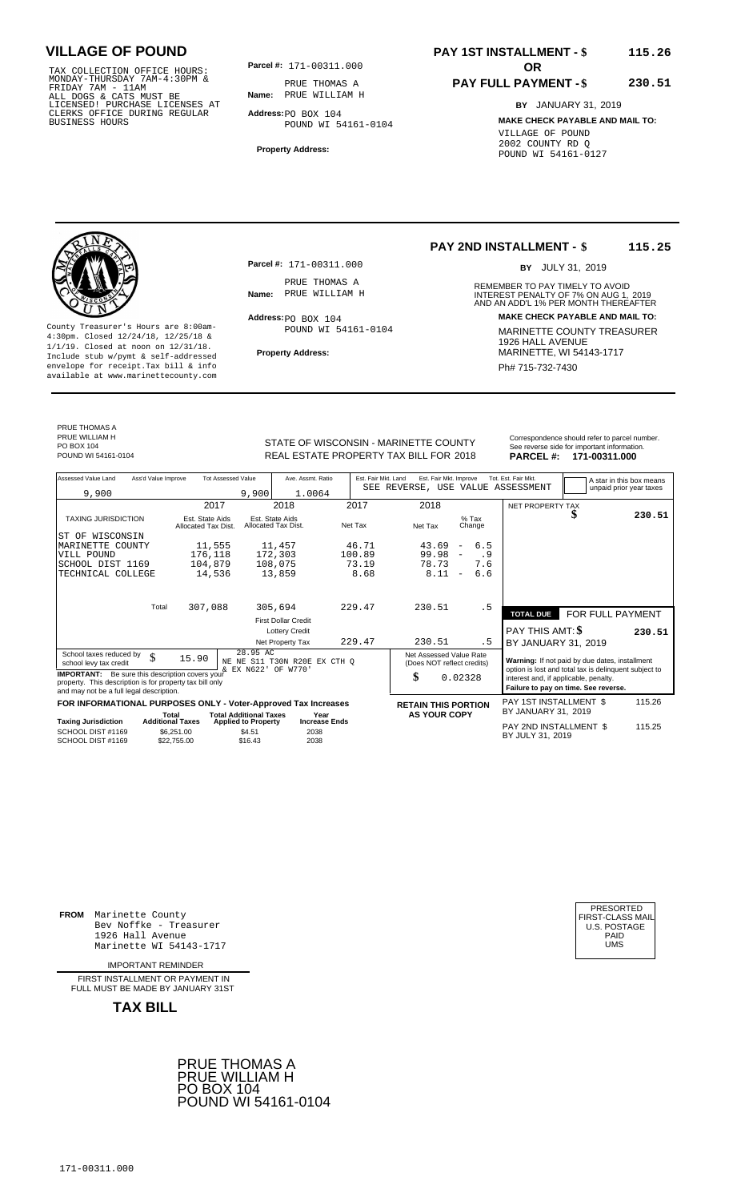TAX COLLECTION OFFICE HOURS:<br>
MONDAY-THURSDAY 7AM-4:30PM &<br>
FRIDAY 7AM - 11AM<br>
ALL DOGS & CATS MUST BE<br>
LICENSED! PURCHASE LICENSES AT<br>
CLERKS OFFICE DURING REGULAR<br>
CLERKS OFFICE DURING REGULAR<br>
BUSINESS HOURS<br>
BUSINESS H

**Parcel #:** 171-00311.000 **OR** 

**Name:** PRUE WILLIAM H PRUE THOMAS A

**Address:** PO BOX 104 POUND WI 54161-0104

**Property Address:**

### **PAY 1ST INSTALLMENT - \$ 115.26**

### **PAY FULL PAYMENT - \$**

**BY** JANUARY 31, 2019

**230.51**

**MAKE CHECK PAYABLE AND MAIL TO:** VILLAGE OF POUND 2002 COUNTY RD Q POUND WI 54161-0127



**Property Address:** MARINETTE, WI 54143-1717 Include stub w/pymt & self-addressed envelope for receipt.Tax bill & info Phat is a set of the phat of the Phat 715-732-7430 envelope for receipt.Tax bill & info Phat 715-732-7430 envelope for the phat 715-732-7430 envelope for the phat 715-732-7430 envelope

**Parcel #:** 171-00311.000 PRUE THOMAS A<br>Name: PRUE WILLIAM H

 $Address:  $PO$  BOX 104$ POUND WI 54161-0104

### **PAY 2ND INSTALLMENT - \$ 115.25**

BY JULY 31, 2019

REMEMBER TO PAY TIMELY TO AVOID **Name:** PRUE WILLIAM H **INTEREST PENALTY OF 7% ON AUG 1, 2019**<br>AND AN ADD'L 1% PER MONTH THEREAFTER **Address: MAKE CHECK PAYABLE AND MAIL TO:** County Treasurer's Hours are 8:00am-<br>
4:30pm. Closed 12/24/18, 12/25/18 & MARINETTE COUNTY TREASURER<br>
1/1/19. Closed at noon on 12/31/18.<br>
Include stub w/pwmt. & self-addressed<br> **Property Address:** MARINETTE, WI 54143-1717

PRUE THOMAS A PRUE WILLIAM H PO BOX 104<br>POUND WI 54161-0104

STATE OF WISCONSIN - MARINETTE COUNTY<br>
See reverse side for important information.<br>
REAL ESTATE PROPERTY TAX BILL FOR 2018 PARCEL #: 171-00311.000 POUND WI 54161-0104 **171-00311.000** REAL ESTATE PROPERTY TAX BILL FOR 2018 **PARCEL #: 171-00311.000** 

| Assessed Value Land                                                                                                                                            | Ass'd Value Improve                    | <b>Tot Assessed Value</b>                                   | Ave. Assmt. Ratio                      | Est. Fair Mkt. Land | Est. Fair Mkt. Improve<br>SEE REVERSE, USE VALUE ASSESSMENT |                                 | Tot. Est. Fair Mkt.                                                                                     |                                      | A star in this box means |
|----------------------------------------------------------------------------------------------------------------------------------------------------------------|----------------------------------------|-------------------------------------------------------------|----------------------------------------|---------------------|-------------------------------------------------------------|---------------------------------|---------------------------------------------------------------------------------------------------------|--------------------------------------|--------------------------|
| 9,900                                                                                                                                                          |                                        | 9,900                                                       | 1.0064                                 |                     |                                                             |                                 |                                                                                                         |                                      | unpaid prior year taxes  |
|                                                                                                                                                                |                                        | 2017                                                        | 2018                                   | 2017                | 2018                                                        |                                 | NET PROPERTY TAX                                                                                        |                                      |                          |
| <b>TAXING JURISDICTION</b>                                                                                                                                     | Est. State Aids<br>Allocated Tax Dist. |                                                             | Est. State Aids<br>Allocated Tax Dist. | Net Tax             | Net Tax                                                     | $%$ Tax<br>Change               |                                                                                                         | J                                    | 230.51                   |
| WISCONSIN<br>ST OF                                                                                                                                             |                                        |                                                             |                                        |                     |                                                             |                                 |                                                                                                         |                                      |                          |
| MARINETTE<br>COUNTY                                                                                                                                            |                                        | 11,555                                                      | 11,457                                 | 46.71               | 43.69                                                       | 6.5<br>$\overline{\phantom{m}}$ |                                                                                                         |                                      |                          |
| VILL POUND                                                                                                                                                     |                                        | 176,118                                                     | 172,303                                | 100.89              | 99.98                                                       | . 9<br>$\overline{\phantom{a}}$ |                                                                                                         |                                      |                          |
| SCHOOL DIST 1169                                                                                                                                               |                                        | 104,879                                                     | 108,075                                | 73.19               | 78.73                                                       | 7.6                             |                                                                                                         |                                      |                          |
| TECHNICAL COLLEGE                                                                                                                                              |                                        | 14,536                                                      | 13,859                                 | 8.68                | 8.11                                                        | 6.6<br>$\overline{\phantom{a}}$ |                                                                                                         |                                      |                          |
|                                                                                                                                                                | Total                                  |                                                             |                                        |                     |                                                             |                                 |                                                                                                         |                                      |                          |
|                                                                                                                                                                |                                        | 307,088                                                     | 305,694                                | 229.47              | 230.51                                                      | . 5                             | <b>TOTAL DUE</b>                                                                                        | FOR FULL PAYMENT                     |                          |
|                                                                                                                                                                |                                        |                                                             | <b>First Dollar Credit</b>             |                     |                                                             |                                 |                                                                                                         |                                      |                          |
|                                                                                                                                                                |                                        |                                                             | <b>Lottery Credit</b>                  |                     |                                                             |                                 | PAY THIS AMT: \$                                                                                        |                                      | 230.51                   |
|                                                                                                                                                                |                                        |                                                             | Net Property Tax                       | 229.47              | 230.51                                                      | . 5                             | BY JANUARY 31, 2019                                                                                     |                                      |                          |
| School taxes reduced by<br>school levy tax credit                                                                                                              | \$<br>15.90                            | 28.95 AC<br>NE<br>& EX N622' OF W770'                       | NE S11 T30N R20E EX CTH O              |                     | Net Assessed Value Rate<br>(Does NOT reflect credits)       |                                 | Warning: If not paid by due dates, installment<br>option is lost and total tax is delinquent subject to |                                      |                          |
| <b>IMPORTANT:</b> Be sure this description covers your<br>property. This description is for property tax bill only<br>and may not be a full legal description. |                                        |                                                             |                                        |                     | \$                                                          | 0.02328                         | interest and, if applicable, penalty.                                                                   | Failure to pay on time. See reverse. |                          |
| FOR INFORMATIONAL PURPOSES ONLY - Voter-Approved Tax Increases                                                                                                 |                                        |                                                             |                                        |                     | <b>RETAIN THIS PORTION</b>                                  |                                 | PAY 1ST INSTALLMENT \$                                                                                  |                                      | 115.26                   |
| <b>Taxing Jurisdiction</b>                                                                                                                                     | Total<br><b>Additional Taxes</b>       | <b>Total Additional Taxes</b><br><b>Applied to Property</b> | Year<br><b>Increase Ends</b>           |                     | <b>AS YOUR COPY</b>                                         |                                 | BY JANUARY 31, 2019                                                                                     |                                      |                          |
| SCHOOL DIST #1169<br>SCHOOL DIST #1169                                                                                                                         | \$6.251.00<br>\$22.755.00              | \$4.51<br>\$16.43                                           | 2038<br>2038                           |                     |                                                             |                                 | PAY 2ND INSTALLMENT \$<br>BY JULY 31, 2019                                                              |                                      | 115.25                   |

**FROM** Marinette County Bev Noffke - Treasurer (U.S. POSTAGE)<br>1926 Hall Avenue (U.S. POSTAGE)<br>Marinette WI 54143-1717 (U.S. POSTAGE) 1926 Hall Avenue PAID Marinette WI 54143-1717 UMS

IMPORTANT REMINDER

FIRST INSTALLMENT OR PAYMENT IN FULL MUST BE MADE BY JANUARY 31ST



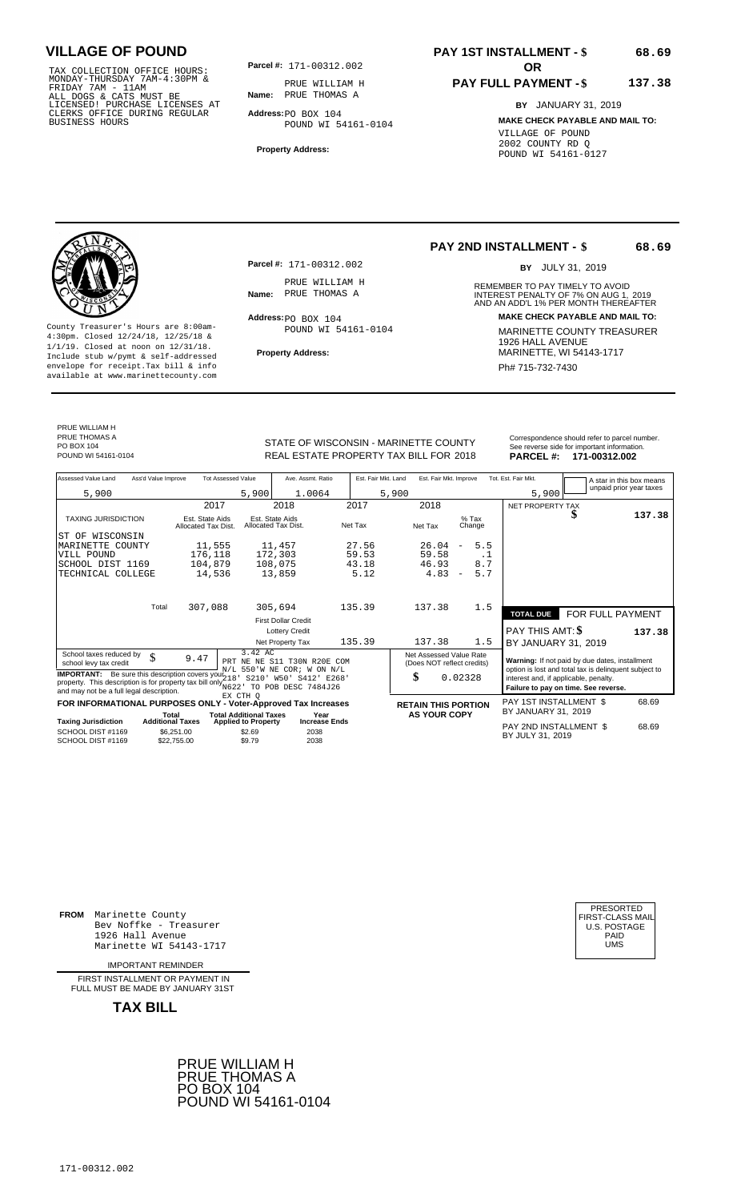TAX COLLECTION OFFICE HOURS:<br>
MONDAY-THURSDAY 7AM-4:30PM &<br>
FRIDAY 7AM - 11AM<br>
ALL DOGS & CATS MUST BE<br>
LICENSED! PURCHASE LICENSES AT<br>
LICENSED! PURCHASE LICENSES AT<br>
CLERKS OFFICE DURING REGULAR<br>
BUSINESS HOURS<br>
BUSINESS

**Parcel #: OR**

**Name:** PRUE THOMAS A PRUE WILLIAM H

**Address:** PO BOX 104 POUND WI 54161-0104

**Property Address:**

# **PAY 1ST INSTALLMENT - \$**

#### **PAY FULL PAYMENT - \$ 137.38**

**BY** JANUARY 31, 2019 **MAKE CHECK PAYABLE AND MAIL TO:** VILLAGE OF POUND 2002 COUNTY RD Q POUND WI 54161-0127

**Property Address:** MARINETTE, WI 54143-1717 Include stub w/pymt & self-addressed envelope for receipt.Tax bill & info Phat is a set of the phat of the Phat 715-732-7430 envelope for receipt.Tax bill & info Phat 715-732-7430 envelope for the phat 715-732-7430 envelope for the phat 715-732-7430 envelope

**Parcel #:** 171-00312.002 PRUE WILLIAM H<br>Name: PRUE THOMAS A

 $Address:  $PO$  BOX 104$ 

POUND WI 54161-0104

### **PAY 2ND INSTALLMENT - \$**

BY JULY 31, 2019

**68.69**

**68.69**

REMEMBER TO PAY TIMELY TO AVOID **Name:** PRUE THOMAS A **1988 18 CONTREST PENALTY OF 7% ON AUG 1, 2019<br>AND AN ADD'L 1% PER MONTH THEREAFTER Address: MAKE CHECK PAYABLE AND MAIL TO:** County Treasurer's Hours are 8:00am-<br>
4:30pm. Closed 12/24/18, 12/25/18 & MARINETTE COUNTY TREASURER<br>
1/1/19. Closed at noon on 12/31/18.<br>
Include stub w/pwmt. & self-addressed<br> **Property Address:** MARINETTE, WI 54143-1717

PRUE WILLIAM H PRUE THOMAS A PO BOX 104<br>POUND WI 54161-0104

POUND WI 54161-0104 **171-00312.002** REAL ESTATE PROPERTY TAX BILL FOR 2018 **PARCEL #: 171-00312.002** 

| STATE OF WISCONSIN - MARINETTE COUNTY<br>REAL ESTATE PROPERTY TAX BILL FOR 2018 | Correspondence should refer to parcel number.<br>See reverse side for important information.<br>PARCEL #: 171-00312.002 |
|---------------------------------------------------------------------------------|-------------------------------------------------------------------------------------------------------------------------|
|                                                                                 |                                                                                                                         |

| Assessed Value Land                                                                                                                                                                                           | Ass'd Value Improve       |                                        | <b>Tot Assessed Value</b>         | Ave. Assmt. Ratio                                         | Est. Fair Mkt. Land |         | Est. Fair Mkt. Improve                                |                                                   |                                                                               | Tot. Est. Fair Mkt.                                                                                     |                  | A star in this box means |
|---------------------------------------------------------------------------------------------------------------------------------------------------------------------------------------------------------------|---------------------------|----------------------------------------|-----------------------------------|-----------------------------------------------------------|---------------------|---------|-------------------------------------------------------|---------------------------------------------------|-------------------------------------------------------------------------------|---------------------------------------------------------------------------------------------------------|------------------|--------------------------|
| 5,900                                                                                                                                                                                                         |                           |                                        | 5,900                             | 1.0064                                                    |                     | 5,900   |                                                       |                                                   |                                                                               | 5,900                                                                                                   |                  | unpaid prior year taxes  |
|                                                                                                                                                                                                               |                           | 2017                                   |                                   | 2018                                                      | 2017                |         | 2018                                                  |                                                   |                                                                               | NET PROPERTY TAX                                                                                        |                  |                          |
| <b>TAXING JURISDICTION</b>                                                                                                                                                                                    |                           | Est. State Aids<br>Allocated Tax Dist. |                                   | Est. State Aids<br>Allocated Tax Dist.                    | Net Tax             | Net Tax |                                                       | $%$ Tax                                           | Change                                                                        |                                                                                                         |                  | 137.38                   |
| WISCONSIN<br>ST OF                                                                                                                                                                                            |                           |                                        |                                   |                                                           |                     |         |                                                       |                                                   |                                                                               |                                                                                                         |                  |                          |
| MARINETTE COUNTY                                                                                                                                                                                              |                           | 11,555                                 |                                   | 11,457                                                    | 27.56               |         | 26.04                                                 | $\overline{\phantom{a}}$                          | 5.5                                                                           |                                                                                                         |                  |                          |
| VILL POUND                                                                                                                                                                                                    |                           | 176,118                                |                                   | 172,303                                                   | 59.53               |         | 59.58                                                 |                                                   | $\cdot$ 1                                                                     |                                                                                                         |                  |                          |
| SCHOOL DIST 1169                                                                                                                                                                                              |                           | 104,879                                |                                   | 108,075                                                   | 43.18               |         | 46.93                                                 |                                                   | 8.7                                                                           |                                                                                                         |                  |                          |
| TECHNICAL COLLEGE                                                                                                                                                                                             |                           | 14,536                                 |                                   | 13,859                                                    | 5.12                |         | 4.83                                                  | $\overline{\phantom{a}}$                          | 5.7                                                                           |                                                                                                         |                  |                          |
|                                                                                                                                                                                                               |                           |                                        |                                   |                                                           |                     |         |                                                       |                                                   |                                                                               |                                                                                                         |                  |                          |
|                                                                                                                                                                                                               | Total                     | 307,088                                |                                   | 305,694                                                   | 135.39              |         | 137.38                                                |                                                   | 1.5                                                                           | <b>TOTAL DUE</b>                                                                                        | FOR FULL PAYMENT |                          |
|                                                                                                                                                                                                               |                           |                                        |                                   | <b>First Dollar Credit</b>                                |                     |         |                                                       |                                                   |                                                                               |                                                                                                         |                  |                          |
|                                                                                                                                                                                                               |                           |                                        |                                   | <b>Lottery Credit</b>                                     |                     |         |                                                       |                                                   |                                                                               | <b>PAY THIS AMT: \$</b>                                                                                 |                  | 137.38                   |
|                                                                                                                                                                                                               |                           |                                        |                                   | Net Property Tax                                          | 135.39              |         | 137.38                                                |                                                   | 1.5                                                                           | BY JANUARY 31, 2019                                                                                     |                  |                          |
| School taxes reduced by<br>school levy tax credit                                                                                                                                                             | \$                        | 9.47                                   | 3.42 AC                           | PRT NE NE S11 T30N R20E COM<br>N/L 550'W NE COR; W ON N/L |                     |         | Net Assessed Value Rate<br>(Does NOT reflect credits) |                                                   |                                                                               | Warning: If not paid by due dates, installment<br>option is lost and total tax is delinquent subject to |                  |                          |
| <b>IMPORTANT:</b> Be sure this description covers your $218$<br>S210'<br>property. This description is for property tax bill only $_{\text{N622}}^{\text{max}}$ .<br>and may not be a full legal description. |                           |                                        | W50' S412'<br>TO POB DESC 7484J26 | E268'                                                     | \$                  |         | 0.02328                                               |                                                   | interest and, if applicable, penalty.<br>Failure to pay on time. See reverse. |                                                                                                         |                  |                          |
| FOR INFORMATIONAL PURPOSES ONLY - Voter-Approved Tax Increases                                                                                                                                                |                           |                                        | EX CTH O                          |                                                           |                     |         |                                                       |                                                   |                                                                               | PAY 1ST INSTALLMENT \$                                                                                  |                  | 68.69                    |
|                                                                                                                                                                                                               | Total                     |                                        | <b>Total Additional Taxes</b>     | Year                                                      |                     |         |                                                       | <b>RETAIN THIS PORTION</b><br><b>AS YOUR COPY</b> |                                                                               | BY JANUARY 31, 2019                                                                                     |                  |                          |
| <b>Taxing Jurisdiction</b>                                                                                                                                                                                    | <b>Additional Taxes</b>   |                                        | <b>Applied to Property</b>        | <b>Increase Ends</b>                                      |                     |         |                                                       |                                                   |                                                                               | PAY 2ND INSTALLMENT \$                                                                                  |                  | 68.69                    |
| SCHOOL DIST #1169<br>SCHOOL DIST #1169                                                                                                                                                                        | \$6,251.00<br>\$22,755.00 |                                        | \$2.69<br>\$9.79                  | 2038<br>2038                                              |                     |         |                                                       |                                                   |                                                                               | BY JULY 31, 2019                                                                                        |                  |                          |

**FROM** Marinette County Bev Noffke - Treasurer 1926 Hall Avenue PAID Marinette WI 54143-1717 UMS

IMPORTANT REMINDER

FIRST INSTALLMENT OR PAYMENT IN FULL MUST BE MADE BY JANUARY 31ST



| PRESORTED           |
|---------------------|
| FIRST-CLASS MAIL    |
| <b>U.S. POSTAGE</b> |
| PAID                |
| UMS                 |
|                     |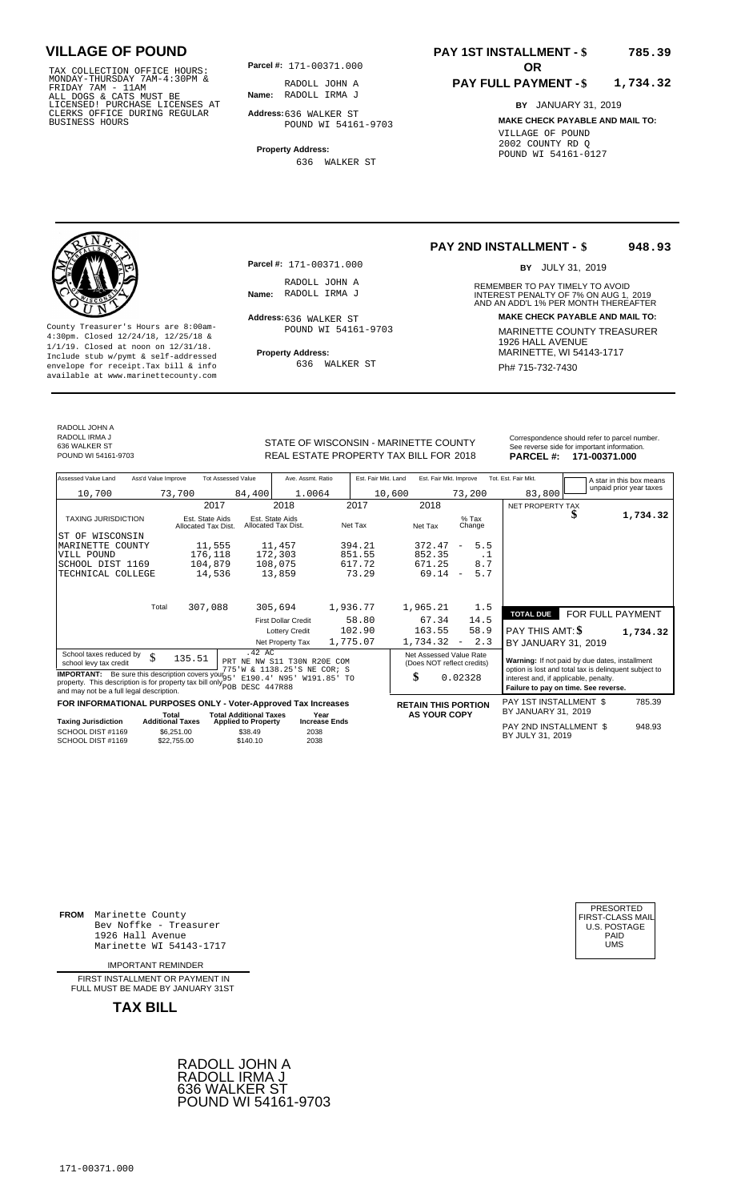TAX COLLECTION OFFICE HOURS:<br>
MONDAY-THURSDAY 7AM-4:30PM &<br>
FRIDAY 7AM - 11AM<br>
ALL DOGS & CATS MUST BE<br>
LICENSED! PURCHASE LICENSES AT<br>
CLERKS OFFICE DURING REGULAR<br>
CLERKS OFFICE DURING REGULAR<br>
BUSINESS HOURS<br>
BUSINESS H

**Parcel #:** 171-00371.000

**Name:** RADOLL IRMA J RADOLL JOHN A

**Address:** 636 WALKER ST POUND WI 54161-9703

**Property Address:** 636 WALKER ST

#### **PAY 1ST INSTALLMENT - \$ 785.39**

#### **PAY FULL PAYMENT - \$ 1,734.32**

**BY** JANUARY 31, 2019 **MAKE CHECK PAYABLE AND MAIL TO:** VILLAGE OF POUND 2002 COUNTY RD Q POUND WI 54161-0127

available at www.marinettecounty.com

**Parcel #:** 171-00371.000

RADOLL JOHN A<br>Name: RADOLL IRMA J

POUND WI 54161-9703

636 WALKER ST

**PAY 2ND INSTALLMENT - \$ 948.93**

BY JULY 31, 2019

REMEMBER TO PAY TIMELY TO AVOID **Name:** RADOLL IRMA J<br> **INTEREST PENALTY OF 7% ON AUG 1, 2019**<br>
AND AN ADD'L 1% PER MONTH THEREAFTER **Address: MAKE CHECK PAYABLE AND MAIL TO:** County Treasurer's Hours are 8:00am-<br>
4:30pm. Closed 12/24/18, 12/25/18 & MARINETTE COUNTY TREASURER<br>
1/1/19. Closed at noon on 12/31/18.<br>
Include stub w/pwmt & self-addressed **Property Address:** MARINETTE, WI 54143-1717

RADOLL JOHN A RADOLL IRMA J 636 WALKER ST<br>POUND WI 54161-9703

REAL ESTATE PROPERTY TAX BILL FOR **PARCEL #:** POUND WI 54161-9703 2018 **171-00371.000**

| Assessed Value Land                                                                                                                | Ass'd Value Improve                    | <b>Tot Assessed Value</b>              | Ave. Assmt. Ratio                                    | Est. Fair Mkt. Land | Est. Fair Mkt. Improve                                |                                 | Tot. Est. Fair Mkt.                                                                            |                         | A star in this box means |
|------------------------------------------------------------------------------------------------------------------------------------|----------------------------------------|----------------------------------------|------------------------------------------------------|---------------------|-------------------------------------------------------|---------------------------------|------------------------------------------------------------------------------------------------|-------------------------|--------------------------|
| 10,700                                                                                                                             | 73,700                                 | 84,400                                 | 1.0064                                               | 10,600              |                                                       | 73,200                          | 83,800                                                                                         |                         | unpaid prior year taxes  |
|                                                                                                                                    | 2017                                   |                                        | 2018                                                 | 2017                | 2018                                                  |                                 | NET PROPERTY TAX                                                                               |                         |                          |
| <b>TAXING JURISDICTION</b>                                                                                                         | Est. State Aids<br>Allocated Tax Dist. | Est. State Aids<br>Allocated Tax Dist. |                                                      | Net Tax             | $%$ Tax<br>Net Tax<br>Change                          |                                 |                                                                                                | S                       | 1,734.32                 |
| ST OF WISCONSIN                                                                                                                    |                                        |                                        |                                                      |                     |                                                       |                                 |                                                                                                |                         |                          |
| MARINETTE<br>COUNTY                                                                                                                | 11,555                                 |                                        | 11,457                                               | 394.21              | 372.47                                                | 5.5<br>$\overline{\phantom{a}}$ |                                                                                                |                         |                          |
| VILL POUND                                                                                                                         | 176,118                                |                                        | 172,303                                              | 851.55              | 852.35                                                | . 1                             |                                                                                                |                         |                          |
| SCHOOL DIST 1169                                                                                                                   | 104,879                                |                                        | 108,075                                              | 617.72              | 671.25                                                | 8.7                             |                                                                                                |                         |                          |
| TECHNICAL COLLEGE                                                                                                                  | 14,536                                 |                                        | 13,859                                               | 73.29               | 69.14                                                 | 5.7<br>$\overline{\phantom{m}}$ |                                                                                                |                         |                          |
|                                                                                                                                    |                                        |                                        |                                                      |                     |                                                       |                                 |                                                                                                |                         |                          |
|                                                                                                                                    | Total<br>307,088                       |                                        | 305,694                                              | 1,936.77            | 1,965.21                                              | 1.5                             |                                                                                                |                         |                          |
|                                                                                                                                    |                                        |                                        | <b>First Dollar Credit</b>                           | 58.80               | 67.34                                                 | 14.5                            | <b>TOTAL DUE</b>                                                                               | <b>FOR FULL PAYMENT</b> |                          |
|                                                                                                                                    |                                        |                                        | <b>Lottery Credit</b>                                | 102.90              | 163.55                                                | 58.9                            | $PAY$ THIS AMT: $\$$                                                                           |                         | 1,734.32                 |
|                                                                                                                                    |                                        |                                        | Net Property Tax                                     | 1,775.07            | 1,734.32                                              | 2.3<br>$\overline{\phantom{a}}$ | BY JANUARY 31, 2019                                                                            |                         |                          |
| School taxes reduced by<br>\$<br>school levy tax credit                                                                            | 135.51                                 | .42 AC<br>PRT                          | NE NW S11 T30N R20E COM                              |                     | Net Assessed Value Rate<br>(Does NOT reflect credits) |                                 | Warning: If not paid by due dates, installment                                                 |                         |                          |
| <b>IMPORTANT:</b> Be sure this description covers your $\frac{1}{9}$                                                               |                                        |                                        | 775'W & 1138.25'S NE COR; S<br>E190.4' N95' W191.85' | TO                  | \$                                                    | 0.02328                         | option is lost and total tax is delinquent subject to<br>interest and, if applicable, penalty. |                         |                          |
| property. This description is for property tax bill only $\stackrel{\sim}{\text{pos}}$<br>and may not be a full legal description. |                                        | DESC 447R88                            |                                                      |                     |                                                       |                                 | Failure to pay on time. See reverse.                                                           |                         |                          |
|                                                                                                                                    |                                        |                                        |                                                      |                     |                                                       |                                 |                                                                                                |                         |                          |

**FOR INFORMATIONAL PURPOSES ONLY - Voter-Approved Tax Increases <br>Total Total Additional Taxes Year As Your COPY BY JANUARY 31, 2019** BY JANUARY 31, **Total Total Additional Taxes Year AS YOUR COPY Taxing Jurisdiction Additional Taxes Applied to Property Increase Ends** PAY 2ND INSTALLMENT \$

|                                        |                           |                     |              | PAY 2ND INSTALLMENT \$ | 948.93 |
|----------------------------------------|---------------------------|---------------------|--------------|------------------------|--------|
| SCHOOL DIST #1169<br>SCHOOL DIST #1169 | \$6,251,00<br>\$22,755,00 | \$38.49<br>\$140.10 | 2038<br>2038 | BY JULY 31, 2019       |        |
|                                        |                           |                     |              |                        |        |

BY JULY 31, <sup>2038</sup> <sup>2019</sup>

**FROM** Marinette County Bev Noffke - Treasurer (U.S. POSTAGE)<br>1926 Hall Avenue (U.S. POSTAGE)<br>Marinette WI 54143-1717 (UMS 1926 Hall Avenue Marinette WI 54143-1717

IMPORTANT REMINDER

FIRST INSTALL MENT OR PAYMENT IN FULL MUST BE MADE BY JANUARY 31ST

**TAX BILL**





785.39

STATE OF WISCONSIN - MARINETTE COUNTY<br>
See reverse side for important information.<br>
REAL ESTATE PROPERTY TAX BILL FOR 2018 PARCEL #: 171-00371.000

BY JANUARY 31, 2019

**Property Address:** MARINETTE, WI 54143-1717 Include stub w/pymt & self-addressed envelope for receipt.Tax bill & info Ph# 715-732-7430

Address: 636 WALKER ST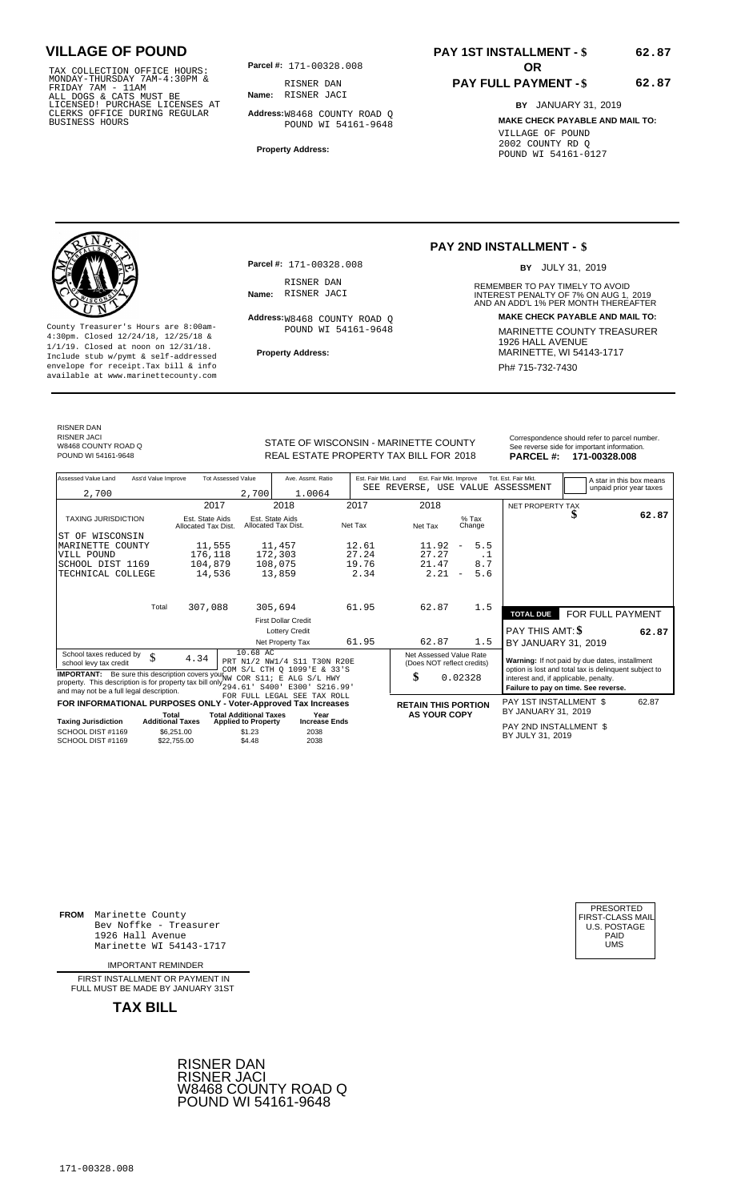TAX COLLECTION OFFICE HOURS:<br>
MONDAY-THURSDAY 7AM-4:30PM &<br>
FRIDAY 7AM - 11AM<br>
ALL DOGS & CATS MUST BE<br>
LICENSED I PURCHASE LICENSES AT<br>
CLERKS OFFICE DURING REGULAR<br>
CLERKS OFFICE DURING REGULAR<br>
BUSINESS HOURS<br>
BUSINESS

**Parcel #: OR**

**Name:** RISNER JACI RISNER DAN

**Parcel #:** 171-00328.008

Address: W8468 COUNTY ROAD Q POUND WI 54161-9648

RISNER DAN<br>**Name:** RISNER JACI

**Address:** W8468 COUNTY ROAD Q POUND WI 54161-9648

**Property Address:**

# **PAY 1ST INSTALLMENT - \$**

### **PAY FULL PAYMENT - \$**

**PAY 2ND INSTALLMENT - \$**

**Name:** INTEREST PENALTY OF 7% ON AUG 1, AND AN ADD'L 1% PER MONTH THEREAFTER RISNER JACI 2019

REMEMBER TO PAY TIMELY TO AVOID

BY JULY 31, 2019

**Address: MAKE CHECK PAYABLE AND MAIL TO:**

**BY** JANUARY 31, 2019 **MAKE CHECK PAYABLE AND MAIL TO:** VILLAGE OF POUND 2002 COUNTY RD Q POUND WI 54161-0127



County Treasurer's Hours are 8:00am-<br>
4:30pm. Closed 12/24/18, 12/25/18 & 1/1/19. Closed at noon on 12/31/18.<br>
Include stub w/pwmt. & self-addressed<br>
Froperty Address: MARINETTE, WI 54143-1717 **Property Address:** MARINETTE, WI 54143-1717 Include stub w/pymt & self-addressed envelope for receipt.Tax bill & info Phat is a set of the phat of the Phat 715-732-7430 envelope for receipt.Tax bill & info Phat 715-732-7430 envelope for the phat 715-732-7430 envelope for the phat 715-732-7430 envelope

RISNER DAN RISNER JACI W8468 COUNTY ROAD Q<br>POUND WI 54161-9648

REAL ESTATE PROPERTY TAX BILL FOR **PARCEL #:** POUND WI 54161-9648 2018 **171-00328.008**

STATE OF WISCONSIN - MARINETTE COUNTY<br>
See reverse side for important information.<br>
REAL ESTATE PROPERTY TAX BILL FOR 2018 PARCEL #: 171-00328.008

| Assessed Value Land<br>Ass'd Value Improve<br><b>Tot Assessed Value</b>          |                         | Ave. Assmt. Ratio                      | Est. Fair Mkt. Land           |                                        | Est. Fair Mkt. Improve |                            |                     | Tot. Est. Fair Mkt.      |         | A star in this box means                              |                  |                         |
|----------------------------------------------------------------------------------|-------------------------|----------------------------------------|-------------------------------|----------------------------------------|------------------------|----------------------------|---------------------|--------------------------|---------|-------------------------------------------------------|------------------|-------------------------|
| 2,700                                                                            |                         |                                        | 2,700                         | 1.0064                                 |                        |                            |                     |                          |         | SEE REVERSE, USE VALUE ASSESSMENT                     |                  | unpaid prior year taxes |
|                                                                                  |                         | 2017                                   |                               | 2018                                   | 2017                   |                            | 2018                |                          |         |                                                       |                  |                         |
|                                                                                  |                         |                                        |                               |                                        |                        |                            |                     |                          |         | NET PROPERTY TAX                                      |                  | 62.87                   |
| <b>TAXING JURISDICTION</b>                                                       |                         | Est. State Aids<br>Allocated Tax Dist. |                               | Est. State Aids<br>Allocated Tax Dist. | Net Tax                | Net Tax                    |                     |                          | $%$ Tax |                                                       |                  |                         |
|                                                                                  |                         |                                        |                               |                                        |                        |                            |                     |                          | Change  |                                                       |                  |                         |
| OF WISCONSIN<br>ST<br>MARINETTE COUNTY                                           |                         | 11,555                                 |                               | 11,457                                 | 12.61                  |                            | 11.92               | $\overline{\phantom{m}}$ | 5.5     |                                                       |                  |                         |
| VILL POUND                                                                       |                         | 176,118                                |                               | 172,303                                | 27.24                  |                            | 27.27               |                          | . 1     |                                                       |                  |                         |
| SCHOOL DIST 1169                                                                 |                         | 104,879                                |                               | 108,075                                | 19.76                  |                            | 21.47               |                          | 8.7     |                                                       |                  |                         |
| TECHNICAL COLLEGE                                                                |                         | 14,536                                 |                               | 13,859                                 | 2.34                   |                            | 2.21                | $\overline{\phantom{m}}$ | 5.6     |                                                       |                  |                         |
|                                                                                  |                         |                                        |                               |                                        |                        |                            |                     |                          |         |                                                       |                  |                         |
|                                                                                  |                         |                                        |                               |                                        |                        |                            |                     |                          |         |                                                       |                  |                         |
|                                                                                  |                         |                                        |                               |                                        |                        |                            |                     |                          |         |                                                       |                  |                         |
|                                                                                  | Total                   | 307,088                                |                               | 305,694                                | 61.95                  |                            | 62.87               |                          | 1.5     | <b>TOTAL DUE</b>                                      | FOR FULL PAYMENT |                         |
|                                                                                  |                         |                                        |                               | <b>First Dollar Credit</b>             |                        |                            |                     |                          |         |                                                       |                  |                         |
|                                                                                  |                         |                                        |                               | <b>Lottery Credit</b>                  |                        |                            |                     |                          |         | PAY THIS AMT: \$                                      |                  | 62.87                   |
|                                                                                  |                         |                                        |                               | Net Property Tax                       | 61.95                  |                            | 62.87               |                          | 1.5     | BY JANUARY 31, 2019                                   |                  |                         |
| School taxes reduced by                                                          |                         |                                        | 10.68 AC                      |                                        |                        | Net Assessed Value Rate    |                     |                          |         |                                                       |                  |                         |
| school levy tax credit                                                           | \$                      | 4.34                                   |                               | PRT N1/2 NW1/4 S11 T30N R20E           |                        | (Does NOT reflect credits) |                     |                          |         | Warning: If not paid by due dates, installment        |                  |                         |
| <b>IMPORTANT:</b> Be sure this description covers your WW COR S11; E ALG S/L HWY |                         |                                        |                               | COM S/L CTH O 1099'E & 33'S            |                        | \$                         |                     |                          |         | option is lost and total tax is delinquent subject to |                  |                         |
| property. This description is for property tax bill only 294.61' S400'           |                         |                                        |                               | E300' S216.99'                         |                        |                            |                     | 0.02328                  |         | interest and, if applicable, penalty.                 |                  |                         |
| and may not be a full legal description.                                         |                         |                                        |                               | FOR FULL LEGAL SEE TAX ROLL            |                        |                            |                     |                          |         | Failure to pay on time. See reverse.                  |                  |                         |
| FOR INFORMATIONAL PURPOSES ONLY - Voter-Approved Tax Increases                   |                         |                                        |                               |                                        |                        | <b>RETAIN THIS PORTION</b> |                     |                          |         | PAY 1ST INSTALLMENT \$                                |                  | 62.87                   |
|                                                                                  | Total                   |                                        | <b>Total Additional Taxes</b> | Year                                   |                        |                            | <b>AS YOUR COPY</b> |                          |         | BY JANUARY 31, 2019                                   |                  |                         |
| <b>Taxing Jurisdiction</b>                                                       | <b>Additional Taxes</b> |                                        | <b>Applied to Property</b>    | <b>Increase Ends</b>                   |                        |                            |                     |                          |         | PAY 2ND INSTALLMENT \$                                |                  |                         |
| SCHOOL DIST #1169                                                                |                         | \$6.251.00                             | \$1.23                        | 2038                                   |                        |                            |                     |                          |         | BY JULY 31, 2019                                      |                  |                         |
| SCHOOL DIST #1169                                                                |                         | \$22,755,00                            | \$4.48                        | 2038                                   |                        |                            |                     |                          |         |                                                       |                  |                         |

**FROM** Marinette County Bev Noffke - Treasurer (U.S. POSTAGE)<br>1926 Hall Avenue (U.S. POSTAGE)<br>Marinette WI 54143-1717 (U.S. POSTAGE) 1926 Hall Avenue PAID Marinette WI 54143-1717 UMS

IMPORTANT REMINDER

FIRST INSTALL MENT OR PAYMENT IN FULL MUST BE MADE BY JANUARY 31ST

**TAX BILL**





**62.87**

**62.87**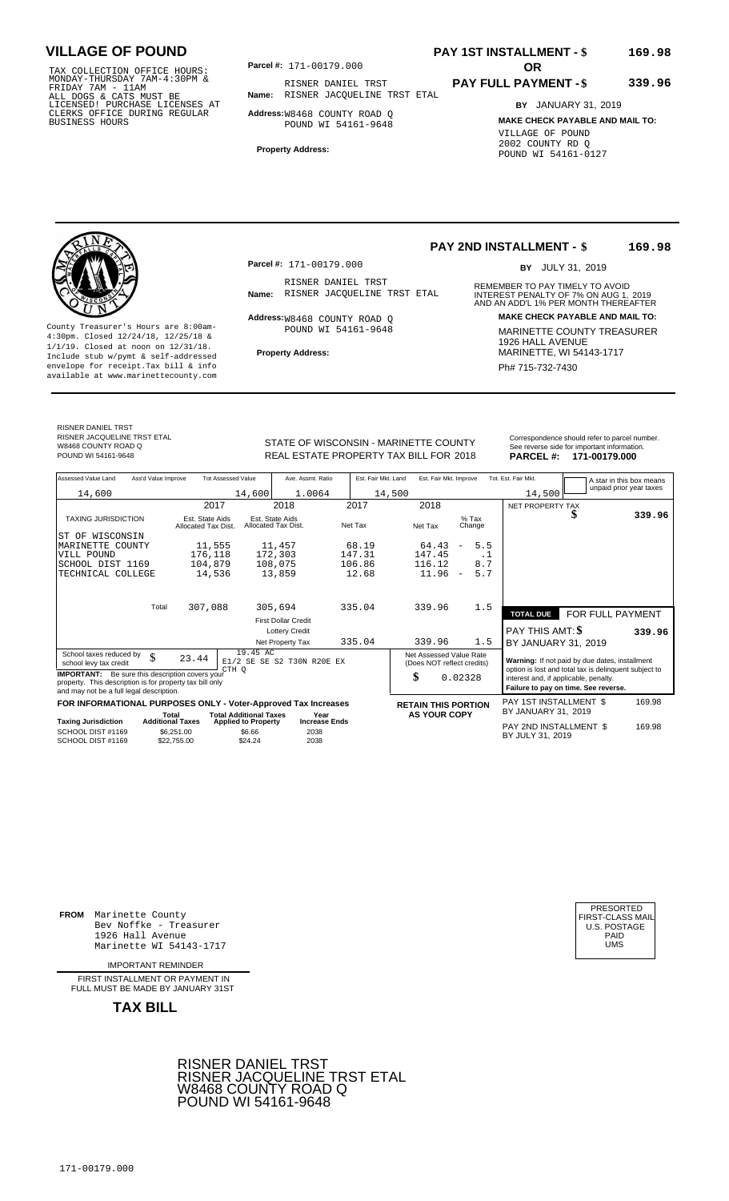TAX COLLECTION OFFICE HOURS:<br>
MONDAY-THURSDAY 7AM-4:30PM &<br>
FRIDAY 7AM - 11AM<br>
ALL DOGS & CATS MUST BE<br>
LICENSED I PURCHASE LICENSES AT<br>
LICENSED I PURCHASE LICENSES AT<br>
CLERKS OFFICE DURING REGULAR<br>
BUSINESS HOURS<br>
BUSINE

**Parcel #:** 171-00179.000

**Name:** RISNER JACQUELINE TRST ETAL RISNER DANIEL TRST

**Address:** W8468 COUNTY ROAD Q POUND WI 54161-9648

**Property Address:**

### **PAY 1ST INSTALLMENT - \$ 169.98**

#### **PAY FULL PAYMENT - \$ 339.96**

**BY** JANUARY 31, 2019 **MAKE CHECK PAYABLE AND MAIL TO:** VILLAGE OF POUND 2002 COUNTY RD Q POUND WI 54161-0127

County Treasurer's Hours are 8:00am-<br>
4:30pm. Closed 12/24/18, 12/25/18 & 1/1/19. Closed at noon on 12/31/18.<br>
Include stub w/pwmt. & self-addressed<br>
Froperty Address: MARINETTE, WI 54143-1717 **Property Address:** MARINETTE, WI 54143-1717 Include stub w/pymt & self-addressed envelope for receipt.Tax bill & info Phat is a set of the phat of the Phat 715-732-7430 envelope for receipt.Tax bill & info Phat 715-732-7430 envelope for the phat 715-732-7430 envelope for the phat 715-732-7430 envelope

**Parcel #:** 171-00179.000

RISNER DANIEL TRST<br>Name: RISNER JACOUELINE TRST ETAL

Address: W8468 COUNTY ROAD Q POUND WI 54161-9648

#### **PAY 2ND INSTALLMENT - \$ 169.98**

BY JULY 31, 2019

REMEMBER TO PAY TIMELY TO AVOID **Name:** RISNER JACQUELINE TRST ETAL INTEREST PENALTY OF 7% ON AUG 1, 2019<br>AND AN ADD'L 1% PER MONTH THEREAFTER **Address: MAKE CHECK PAYABLE AND MAIL TO:**

REAL ESTATE PROPERTY TAX BILL FOR **PARCEL #:** POUND WI 54161-9648 2018 **171-00179.000**

| STATE OF WISCONSIN - MARINETTE COUNTY  | Correspondence should refer to parcel number.<br>See reverse side for important information. |
|----------------------------------------|----------------------------------------------------------------------------------------------|
| REAL ESTATE PROPERTY TAX BILL FOR 2018 | PARCEL #: 171-00179.000                                                                      |

| Assessed Value Land                                                                                                                                            | Ass'd Value Improve                    | <b>Tot Assessed Value</b>            | Ave. Assmt. Ratio                                 | Est. Fair Mkt. Land | Est. Fair Mkt. Improve                                |                                      | Tot. Est. Fair Mkt.                                                                                     | A star in this box means |        |
|----------------------------------------------------------------------------------------------------------------------------------------------------------------|----------------------------------------|--------------------------------------|---------------------------------------------------|---------------------|-------------------------------------------------------|--------------------------------------|---------------------------------------------------------------------------------------------------------|--------------------------|--------|
| 14,600                                                                                                                                                         |                                        | 14,600                               | 1.0064                                            | 14,500              |                                                       |                                      | 14,500                                                                                                  | unpaid prior year taxes  |        |
|                                                                                                                                                                |                                        | 2017                                 | 2018                                              | 2017                | 2018                                                  |                                      | NET PROPERTY TAX                                                                                        |                          |        |
| <b>TAXING JURISDICTION</b>                                                                                                                                     | Est. State Aids<br>Allocated Tax Dist. |                                      | Est. State Aids<br>Net Tax<br>Allocated Tax Dist. |                     | $%$ Tax<br>Net Tax<br>Change                          |                                      |                                                                                                         |                          | 339.96 |
| WISCONSIN<br>ST OF                                                                                                                                             |                                        |                                      |                                                   |                     |                                                       |                                      |                                                                                                         |                          |        |
| MARINETTE COUNTY                                                                                                                                               |                                        | 11,555                               | 11,457                                            | 68.19               | 64.43                                                 | 5.5<br>$\overline{\phantom{a}}$      |                                                                                                         |                          |        |
| VILL POUND                                                                                                                                                     |                                        | 176,118                              | 172,303                                           | 147.31              | 147.45                                                | $\cdot$ 1                            |                                                                                                         |                          |        |
| SCHOOL DIST 1169                                                                                                                                               |                                        | 104,879                              | 108,075                                           | 106.86              | 116.12                                                | 8.7                                  |                                                                                                         |                          |        |
| TECHNICAL COLLEGE                                                                                                                                              |                                        | 14,536                               | 13,859                                            | 12.68               | 11.96                                                 | 5.7<br>$\overline{\phantom{a}}$      |                                                                                                         |                          |        |
|                                                                                                                                                                | Total                                  | 307,088                              | 305,694                                           | 335.04              | 339.96                                                | 1.5                                  |                                                                                                         |                          |        |
|                                                                                                                                                                |                                        |                                      |                                                   |                     |                                                       |                                      | <b>TOTAL DUE</b>                                                                                        | FOR FULL PAYMENT         |        |
|                                                                                                                                                                |                                        |                                      | <b>First Dollar Credit</b>                        |                     |                                                       |                                      |                                                                                                         |                          |        |
|                                                                                                                                                                |                                        |                                      | <b>Lottery Credit</b>                             |                     |                                                       |                                      | PAY THIS AMT: \$                                                                                        |                          | 339.96 |
|                                                                                                                                                                |                                        |                                      | Net Property Tax                                  | 335.04              | 339.96                                                | 1.5                                  | BY JANUARY 31, 2019                                                                                     |                          |        |
| School taxes reduced by<br>school levy tax credit                                                                                                              | \$<br>23.44                            | 19.45 AC<br>CTH O                    | E1/2 SE SE S2 T30N R20E EX                        |                     | Net Assessed Value Rate<br>(Does NOT reflect credits) |                                      | Warning: If not paid by due dates, installment<br>option is lost and total tax is delinquent subject to |                          |        |
| <b>IMPORTANT:</b> Be sure this description covers your<br>property. This description is for property tax bill only<br>and may not be a full legal description. |                                        |                                      | \$                                                | 0.02328             | interest and, if applicable, penalty.                 | Failure to pay on time. See reverse. |                                                                                                         |                          |        |
| FOR INFORMATIONAL PURPOSES ONLY - Voter-Approved Tax Increases                                                                                                 |                                        |                                      |                                                   |                     | <b>RETAIN THIS PORTION</b>                            |                                      | PAY 1ST INSTALLMENT \$                                                                                  |                          | 169.98 |
|                                                                                                                                                                | Total                                  | <b>Total Additional Taxes</b>        | Year                                              |                     | <b>AS YOUR COPY</b>                                   |                                      | BY JANUARY 31, 2019                                                                                     |                          |        |
| <b>Taxing Jurisdiction</b><br>SCHOOL DIST #1169                                                                                                                | <b>Additional Taxes</b><br>\$6.251.00  | <b>Applied to Property</b><br>\$6.66 | <b>Increase Ends</b><br>2038                      |                     |                                                       |                                      | PAY 2ND INSTALLMENT \$                                                                                  |                          | 169.98 |
| SCHOOL DIST #1169                                                                                                                                              | \$22,755.00                            | \$24.24                              | 2038                                              |                     |                                                       |                                      | BY JULY 31, 2019                                                                                        |                          |        |

**FROM** Marinette County Bev Noffke - Treasurer (U.S. POSTAGE)<br>1926 Hall Avenue (U.S. POSTAGE)<br>Marinette WI 54143-1717 (U.S. POSTAGE) 1926 Hall Avenue PAID Marinette WI 54143-1717 UMS

IMPORTANT REMINDER

FIRST INSTALLMENT OR PAYMENT IN FULL MUST BE MADE BY JANUARY 31ST



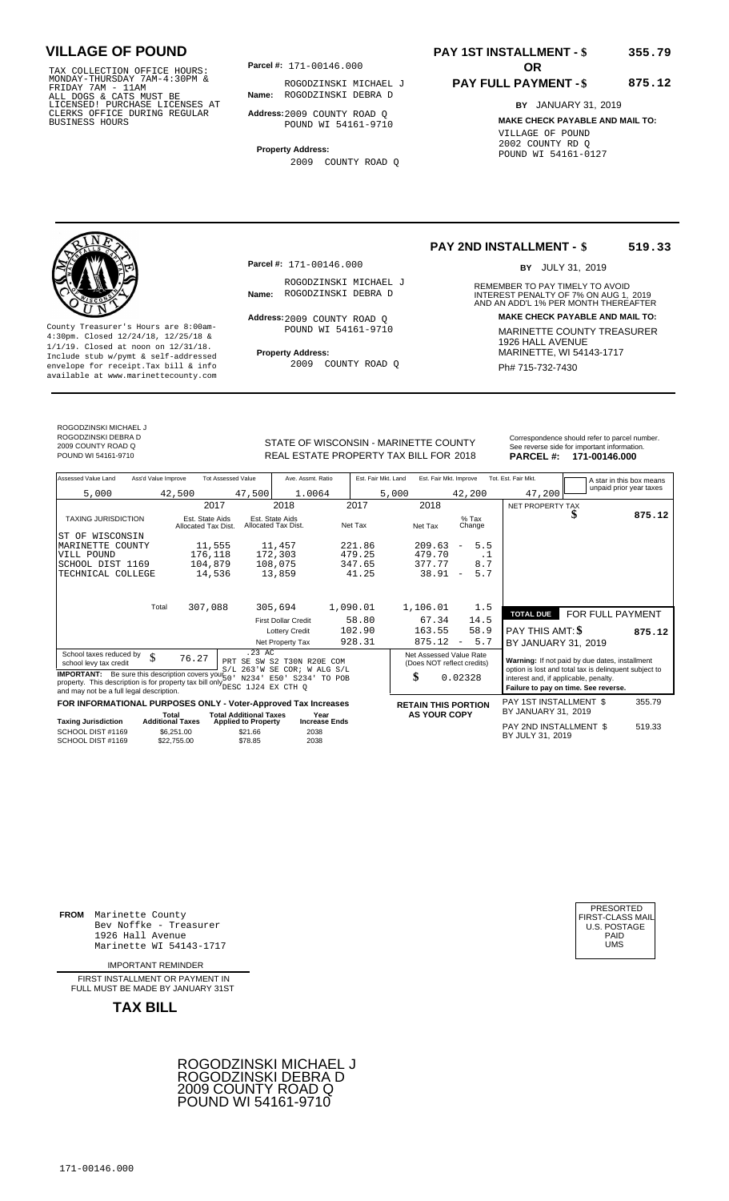TAX COLLECTION OFFICE HOURS:<br>
MONDAY-THURSDAY 7AM-4:30PM &<br>
FRIDAY 7AM - 11AM<br>
ALL DOGS & CATS MUST BE<br>
LICENSED! PURCHASE LICENSES AT<br>
CLERKS OFFICE DURING REGULAR<br>
CLERKS OFFICE DURING REGULAR<br>
BUSINESS HOURS<br>
BUSINESS H

**Parcel #:** 171-00146.000

**Name:** ROGODZINSKI DEBRA D ROGODZINSKI MICHAEL J

**Address:** 2009 COUNTY ROAD Q POUND WI 54161-9710

**Property Address:** 2009 COUNTY ROAD Q

### **PAY 1ST INSTALLMENT - \$ 355.79**

#### **PAY FULL PAYMENT - \$ 875.12**

**BY** JANUARY 31, 2019 **MAKE CHECK PAYABLE AND MAIL TO:** VILLAGE OF POUND 2002 COUNTY RD Q POUND WI 54161-0127



**Property Address:** MARINETTE, WI 54143-1717 Include stub w/pymt & self-addressed envelope for receipt.Tax bill & info Ph# 715-732-7430 available at www.marinettecounty.com

**Parcel #:** 171-00146.000

ROGODZINSKI MICHAEL J

Address: 2009 COUNTY ROAD Q POUND WI 54161-9710

2009 COUNTY ROAD Q

### **PAY 2ND INSTALLMENT - \$ 519.33**

BY JULY 31, 2019

REMEMBER TO PAY TIMELY TO AVOID **Name:** ROGODZINSKI DEBRA D INTEREST PENALTY OF 7% ON AUG 1, 2019<br>AND AN ADD'L 1% PER MONTH THEREAFTER **Address: MAKE CHECK PAYABLE AND MAIL TO:** County Treasurer's Hours are 8:00am-<br>
4:30pm. Closed 12/24/18, 12/25/18 & MARINETTE COUNTY TREASURER<br>
1/1/19. Closed at noon on 12/31/18.<br>
Include stub w/pwmt & self-addressed<br>
Property Address:<br>
MARINETTE, WI 54143-1717

ROGODZINSKI MICHAEL J ROGODZINSKI DEBRA D 2009 COUNTY ROAD Q

STATE OF WISCONSIN - MARINETTE COUNTY<br>
REAL ESTATE PROPERTY TAX BILL FOR 2018 PARCEL #: 171-00146.000 REAL ESTATE PROPERTY TAX BILL FOR **PARCEL #:** POUND WI 54161-9710 2018 **171-00146.000**

| Assessed Value Land<br>Ass'd Value Improve<br><b>Tot Assessed Value</b><br>Ave. Assmt. Ratio<br>Est. Fair Mkt. Land<br>Est. Fair Mkt. Improve<br>Tot. Est. Fair Mkt.<br>A star in this box means<br>unpaid prior year taxes<br>1.0064<br>47,200<br>5,000<br>42,500<br>47,500<br>5,000<br>42,200<br>2017<br>2018<br>2017<br>2018<br><b>NET PROPERTY TAX</b><br>D<br><b>TAXING JURISDICTION</b><br>Est. State Aids<br>$%$ Tax<br>Est. State Aids<br>Net Tax<br>Net Tax<br>Allocated Tax Dist.<br>Allocated Tax Dist.<br>Change<br>WISCONSIN<br>ST OF<br>5.5<br>11,555<br>221.86<br>209.63<br>MARINETTE<br>11,457<br>COUNTY<br>$\overline{\phantom{m}}$<br>172,303<br>479.25<br>176,118<br>479.70<br>VILL POUND<br>. 1<br>8.7<br>347.65<br>377.77<br>104,879<br>108,075<br>SCHOOL DIST 1169<br>5.7<br>41.25<br>38.91<br>14,536<br>13,859<br>TECHNICAL COLLEGE<br>$\overline{\phantom{a}}$<br>307,088<br>1,090.01<br>1,106.01<br>Total<br>305,694<br>1.5<br>FOR FULL PAYMENT<br><b>TOTAL DUE</b><br>58.80<br>14.5<br>67.34<br><b>First Dollar Credit</b><br>58.9<br>102.90<br>163.55<br><b>PAY THIS AMT: \$</b><br><b>Lottery Credit</b> | 875.12 |
|--------------------------------------------------------------------------------------------------------------------------------------------------------------------------------------------------------------------------------------------------------------------------------------------------------------------------------------------------------------------------------------------------------------------------------------------------------------------------------------------------------------------------------------------------------------------------------------------------------------------------------------------------------------------------------------------------------------------------------------------------------------------------------------------------------------------------------------------------------------------------------------------------------------------------------------------------------------------------------------------------------------------------------------------------------------------------------------------------------------------------------------|--------|
|                                                                                                                                                                                                                                                                                                                                                                                                                                                                                                                                                                                                                                                                                                                                                                                                                                                                                                                                                                                                                                                                                                                                      |        |
|                                                                                                                                                                                                                                                                                                                                                                                                                                                                                                                                                                                                                                                                                                                                                                                                                                                                                                                                                                                                                                                                                                                                      |        |
|                                                                                                                                                                                                                                                                                                                                                                                                                                                                                                                                                                                                                                                                                                                                                                                                                                                                                                                                                                                                                                                                                                                                      |        |
|                                                                                                                                                                                                                                                                                                                                                                                                                                                                                                                                                                                                                                                                                                                                                                                                                                                                                                                                                                                                                                                                                                                                      |        |
|                                                                                                                                                                                                                                                                                                                                                                                                                                                                                                                                                                                                                                                                                                                                                                                                                                                                                                                                                                                                                                                                                                                                      |        |
|                                                                                                                                                                                                                                                                                                                                                                                                                                                                                                                                                                                                                                                                                                                                                                                                                                                                                                                                                                                                                                                                                                                                      |        |
|                                                                                                                                                                                                                                                                                                                                                                                                                                                                                                                                                                                                                                                                                                                                                                                                                                                                                                                                                                                                                                                                                                                                      |        |
|                                                                                                                                                                                                                                                                                                                                                                                                                                                                                                                                                                                                                                                                                                                                                                                                                                                                                                                                                                                                                                                                                                                                      |        |
|                                                                                                                                                                                                                                                                                                                                                                                                                                                                                                                                                                                                                                                                                                                                                                                                                                                                                                                                                                                                                                                                                                                                      |        |
|                                                                                                                                                                                                                                                                                                                                                                                                                                                                                                                                                                                                                                                                                                                                                                                                                                                                                                                                                                                                                                                                                                                                      |        |
|                                                                                                                                                                                                                                                                                                                                                                                                                                                                                                                                                                                                                                                                                                                                                                                                                                                                                                                                                                                                                                                                                                                                      |        |
|                                                                                                                                                                                                                                                                                                                                                                                                                                                                                                                                                                                                                                                                                                                                                                                                                                                                                                                                                                                                                                                                                                                                      |        |
|                                                                                                                                                                                                                                                                                                                                                                                                                                                                                                                                                                                                                                                                                                                                                                                                                                                                                                                                                                                                                                                                                                                                      |        |
|                                                                                                                                                                                                                                                                                                                                                                                                                                                                                                                                                                                                                                                                                                                                                                                                                                                                                                                                                                                                                                                                                                                                      | 875.12 |
| 928.31<br>5.7<br>875.12<br>Net Property Tax<br>BY JANUARY 31, 2019<br>$\qquad \qquad -$                                                                                                                                                                                                                                                                                                                                                                                                                                                                                                                                                                                                                                                                                                                                                                                                                                                                                                                                                                                                                                              |        |
| $.23$ AC<br>School taxes reduced by<br>Net Assessed Value Rate<br>\$<br>76.27<br>Warning: If not paid by due dates, installment<br>SE SW S2 T30N R20E<br>PRT<br>COM                                                                                                                                                                                                                                                                                                                                                                                                                                                                                                                                                                                                                                                                                                                                                                                                                                                                                                                                                                  |        |
| school levy tax credit<br>(Does NOT reflect credits)<br>option is lost and total tax is delinquent subject to<br>$S/L$ 263'W SE COR; W ALG $S/L$                                                                                                                                                                                                                                                                                                                                                                                                                                                                                                                                                                                                                                                                                                                                                                                                                                                                                                                                                                                     |        |
| <b>IMPORTANT:</b> Be sure this description covers your $67 - 1$<br>\$<br>0.02328<br>interest and, if applicable, penalty.<br>E50' S234' TO POB<br>N234'<br>property. This description is for property tax bill only DESC 1J24 EX CTH Q                                                                                                                                                                                                                                                                                                                                                                                                                                                                                                                                                                                                                                                                                                                                                                                                                                                                                               |        |
| Failure to pay on time. See reverse.<br>and may not be a full legal description.                                                                                                                                                                                                                                                                                                                                                                                                                                                                                                                                                                                                                                                                                                                                                                                                                                                                                                                                                                                                                                                     |        |
| PAY 1ST INSTALLMENT \$<br>FOR INFORMATIONAL PURPOSES ONLY - Voter-Approved Tax Increases<br><b>RETAIN THIS PORTION</b><br>BY JANUARY 31, 2019                                                                                                                                                                                                                                                                                                                                                                                                                                                                                                                                                                                                                                                                                                                                                                                                                                                                                                                                                                                        | 355.79 |
| <b>AS YOUR COPY</b><br><b>Total Additional Taxes</b><br>Year<br>Total<br><b>Additional Taxes</b><br><b>Taxing Jurisdiction</b><br><b>Increase Ends</b><br><b>Applied to Property</b>                                                                                                                                                                                                                                                                                                                                                                                                                                                                                                                                                                                                                                                                                                                                                                                                                                                                                                                                                 |        |
| PAY 2ND INSTALLMENT \$<br>SCHOOL DIST #1169<br>\$6.251.00<br>\$21.66<br>2038<br>BY JULY 31, 2019<br>2038<br>SCHOOL DIST #1169<br>\$78.85<br>\$22,755.00                                                                                                                                                                                                                                                                                                                                                                                                                                                                                                                                                                                                                                                                                                                                                                                                                                                                                                                                                                              | 519.33 |

**FROM** Marinette County Bev Noffke - Treasurer (U.S. POSTAGE)<br>1926 Hall Avenue (U.S. POSTAGE)<br>Marinette WI 54143-1717 (U.S. POSTAGE) 1926 Hall Avenue Marinette WI 54143-1717

IMPORTANT REMINDER

FIRST INSTALL MENT OR PAYMENT IN FULL MUST BE MADE BY JANUARY 31ST



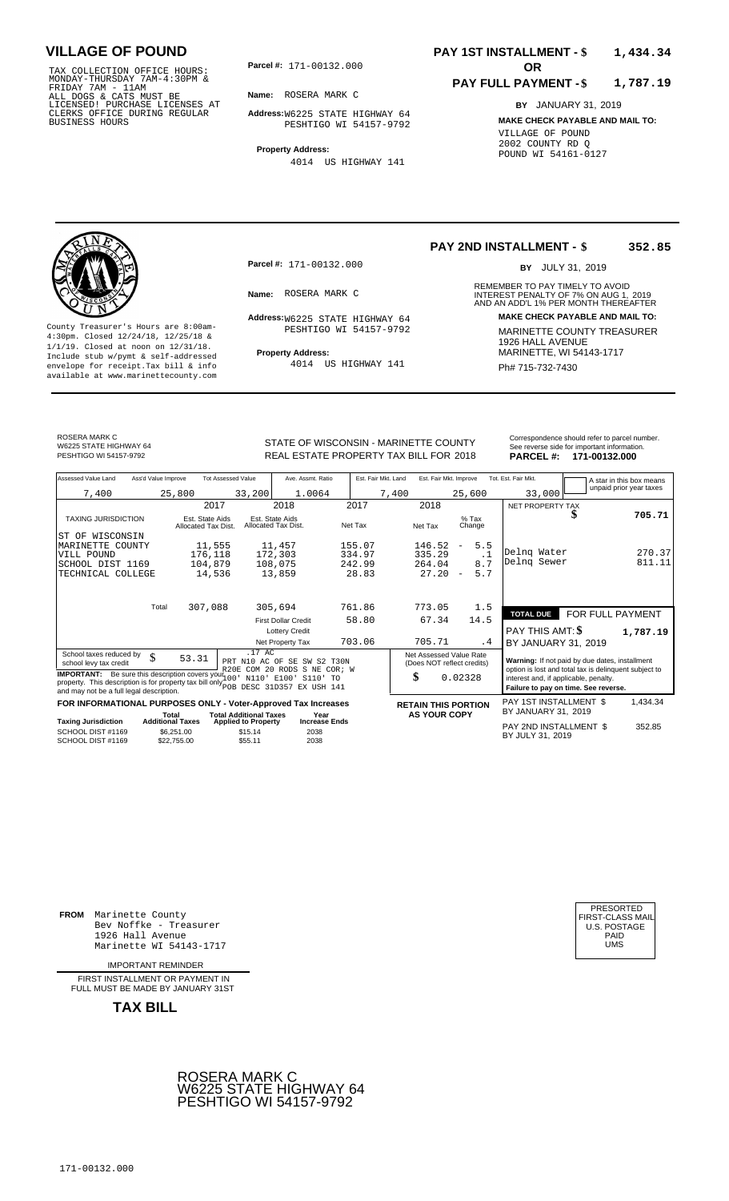TAX COLLECTION OFFICE HOURS:<br>
MONDAY-THURSDAY 7AM-4:30PM &<br>
FRIDAY 7AM - 11AM<br>
ALL DOGS & CATS MUST BE<br>
LICENSED! PURCHASE LICENSES AT<br>
CLERKS OFFICE DURING REGULAR<br>
CLERKS OFFICE DURING REGULAR<br>
BUSINESS HOURS<br>
BUSINESS H

**Parcel #:** 171-00132.000

**Name:** ROSERA MARK C

**Address:** W6225 STATE HIGHWAY 64 PESHTIGO WI 54157-9792

**Property Address:** 4014 US HIGHWAY 141

### **PAY 1ST INSTALLMENT - \$ 1,434.34**

#### **PAY FULL PAYMENT - \$ 1,787.19**

**BY** JANUARY 31, 2019 **MAKE CHECK PAYABLE AND MAIL TO:** VILLAGE OF POUND 2002 COUNTY RD Q POUND WI 54161-0127

**Property Address:** MARINETTE, WI 54143-1717 Include stub w/pymt & self-addressed envelope for receipt.Tax bill & info Ph# 715-732-7430 available at www.marinettecounty.com

**Parcel #:** 171-00132.000

PESHTIGO WI 54157-9792

4014 US HIGHWAY 141

### **PAY 2ND INSTALLMENT - \$ 352.85**

BY JULY 31, 2019

REMEMBER TO PAY TIMELY TO AVOID **Name:** INTEREST PENALTY OF 7% ON AUG 1, AND AN ADD'L 1% PER MONTH THEREAFTER ROSERA MARK C 2019 **Address: MAKE CHECK PAYABLE AND MAIL TO:** W6225 STATE HIGHWAY 64 County Treasurer's Hours are 8:00am-<br>
4:30pm. Closed 12/24/18, 12/25/18 & MARINETTE COUNTY TREASURER<br>
1/1/19. Closed at noon on 12/31/18.<br>
Include stub w/pwmt. & self-addressed<br>
Property Address:<br>
Property Address:<br>
ARRINE

ROSERA MARK C W6225 STATE HIGHWAY 64

STATE OF WISCONSIN - MARINETTE COUNTY<br>
See reverse side for important information.<br>
REAL ESTATE PROPERTY TAX BILL FOR 2018 PARCEL #: 171-00132.000 PESHTIGO WI 54157-9792 **18 CHAL ESTATE PROPERTY TAX BILL FOR 2018 19ARCEL #: 171-00132.000** 

| Assessed Value Land                                                                                                                                                                                                                                   | Ass'd Value Improve       |                                        | <b>Tot Assessed Value</b>     | Ave. Assmt. Ratio                      |                                                       | Est. Fair Mkt. Land | Est. Fair Mkt. Improve     |                                                                                                         |     | Tot. Est. Fair Mkt.                                                           |   | A star in this box means<br>unpaid prior year taxes |
|-------------------------------------------------------------------------------------------------------------------------------------------------------------------------------------------------------------------------------------------------------|---------------------------|----------------------------------------|-------------------------------|----------------------------------------|-------------------------------------------------------|---------------------|----------------------------|---------------------------------------------------------------------------------------------------------|-----|-------------------------------------------------------------------------------|---|-----------------------------------------------------|
| 7,400                                                                                                                                                                                                                                                 | 25,800                    |                                        | 33,200                        | 1.0064                                 |                                                       | 7,400               |                            | 25,600                                                                                                  |     | 33,000                                                                        |   |                                                     |
|                                                                                                                                                                                                                                                       |                           | 2017                                   |                               | 2018                                   | 2017                                                  |                     | 2018                       |                                                                                                         |     | NET PROPERTY TAX                                                              |   |                                                     |
| <b>TAXING JURISDICTION</b>                                                                                                                                                                                                                            |                           | Est. State Aids<br>Allocated Tax Dist. |                               | Est. State Aids<br>Allocated Tax Dist. | Net Tax                                               |                     | Net Tax                    | $%$ Tax<br>Change                                                                                       |     |                                                                               | ъ | 705.71                                              |
| ST OF WISCONSIN                                                                                                                                                                                                                                       |                           |                                        |                               |                                        |                                                       |                     |                            |                                                                                                         |     |                                                                               |   |                                                     |
| MARINETTE COUNTY                                                                                                                                                                                                                                      |                           | 11,555                                 |                               | 11,457                                 | 155.07                                                |                     | 146.52                     | 5.5<br>$\overline{\phantom{m}}$                                                                         |     |                                                                               |   |                                                     |
| VILL POUND                                                                                                                                                                                                                                            |                           | 176,118                                |                               | 172,303                                | 334.97                                                |                     | 335.29                     | $\cdot$ 1                                                                                               |     | Delng Water<br>Delng Sewer                                                    |   | 270.37                                              |
| SCHOOL DIST 1169                                                                                                                                                                                                                                      |                           | 104,879                                |                               | 108,075                                | 242.99                                                |                     | 264.04                     | 8.7                                                                                                     |     |                                                                               |   | 811.11                                              |
| TECHNICAL COLLEGE                                                                                                                                                                                                                                     |                           | 14,536                                 |                               | 13,859                                 | 28.83                                                 |                     | 27.20                      | 5.7<br>$\overline{\phantom{a}}$                                                                         |     |                                                                               |   |                                                     |
|                                                                                                                                                                                                                                                       | Total                     | 307,088                                |                               | 305,694                                | 761.86                                                |                     | 773.05                     | 1.5                                                                                                     |     |                                                                               |   |                                                     |
|                                                                                                                                                                                                                                                       |                           |                                        |                               |                                        |                                                       |                     |                            |                                                                                                         |     | <b>TOTAL DUE</b>                                                              |   | FOR FULL PAYMENT                                    |
|                                                                                                                                                                                                                                                       |                           |                                        |                               | <b>First Dollar Credit</b>             | 58.80                                                 |                     | 67.34                      | 14.5                                                                                                    |     |                                                                               |   |                                                     |
|                                                                                                                                                                                                                                                       |                           |                                        |                               | <b>Lottery Credit</b>                  |                                                       |                     |                            |                                                                                                         |     | PAY THIS AMT: \$                                                              |   | 1,787.19                                            |
|                                                                                                                                                                                                                                                       |                           |                                        |                               | Net Property Tax                       | 703.06                                                |                     | 705.71                     |                                                                                                         | . 4 | BY JANUARY 31, 2019                                                           |   |                                                     |
| .17 AC<br>School taxes reduced by<br>\$<br>53.31<br>PRT N10 AC OF SE SW S2 T30N<br>school levy tax credit                                                                                                                                             |                           |                                        |                               |                                        | Net Assessed Value Rate<br>(Does NOT reflect credits) |                     |                            | Warning: If not paid by due dates, installment<br>option is lost and total tax is delinquent subject to |     |                                                                               |   |                                                     |
| R20E COM 20 RODS S NE COR; W<br><b>IMPORTANT:</b> Be sure this description covers your 100<br>N110' E100' S110' TO<br>property. This description is for property tax bill only pop DESC 31D357 EX USH 141<br>and may not be a full legal description. |                           |                                        |                               |                                        |                                                       |                     | \$                         | 0.02328                                                                                                 |     | interest and, if applicable, penalty.<br>Failure to pay on time. See reverse. |   |                                                     |
| FOR INFORMATIONAL PURPOSES ONLY - Voter-Approved Tax Increases                                                                                                                                                                                        |                           |                                        |                               |                                        |                                                       |                     | <b>RETAIN THIS PORTION</b> |                                                                                                         |     | PAY 1ST INSTALLMENT \$                                                        |   | 1,434.34                                            |
|                                                                                                                                                                                                                                                       | Total                     |                                        | <b>Total Additional Taxes</b> | Year                                   |                                                       |                     | <b>AS YOUR COPY</b>        |                                                                                                         |     | BY JANUARY 31, 2019                                                           |   |                                                     |
| <b>Taxing Jurisdiction</b>                                                                                                                                                                                                                            | <b>Additional Taxes</b>   |                                        | <b>Applied to Property</b>    | <b>Increase Ends</b>                   |                                                       |                     |                            |                                                                                                         |     | PAY 2ND INSTALLMENT \$                                                        |   | 352.85                                              |
| SCHOOL DIST #1169<br>SCHOOL DIST #1169                                                                                                                                                                                                                | \$6,251.00<br>\$22,755.00 |                                        | \$15.14<br>\$55.11            | 2038<br>2038                           |                                                       |                     |                            |                                                                                                         |     | BY JULY 31, 2019                                                              |   |                                                     |

**FROM** Marinette County Bev Noffke - Treasurer 1926 Hall Avenue PAID Marinette WI 54143-1717 UMS

IMPORTANT REMINDER

FIRST INSTALLMENT OR PAYMENT IN FULL MUST BE MADE BY JANUARY 31ST



| PRESORTED        |
|------------------|
| FIRST-CLASS MAIL |
| U.S. POSTAGE     |
| PAID             |
| UMS              |
|                  |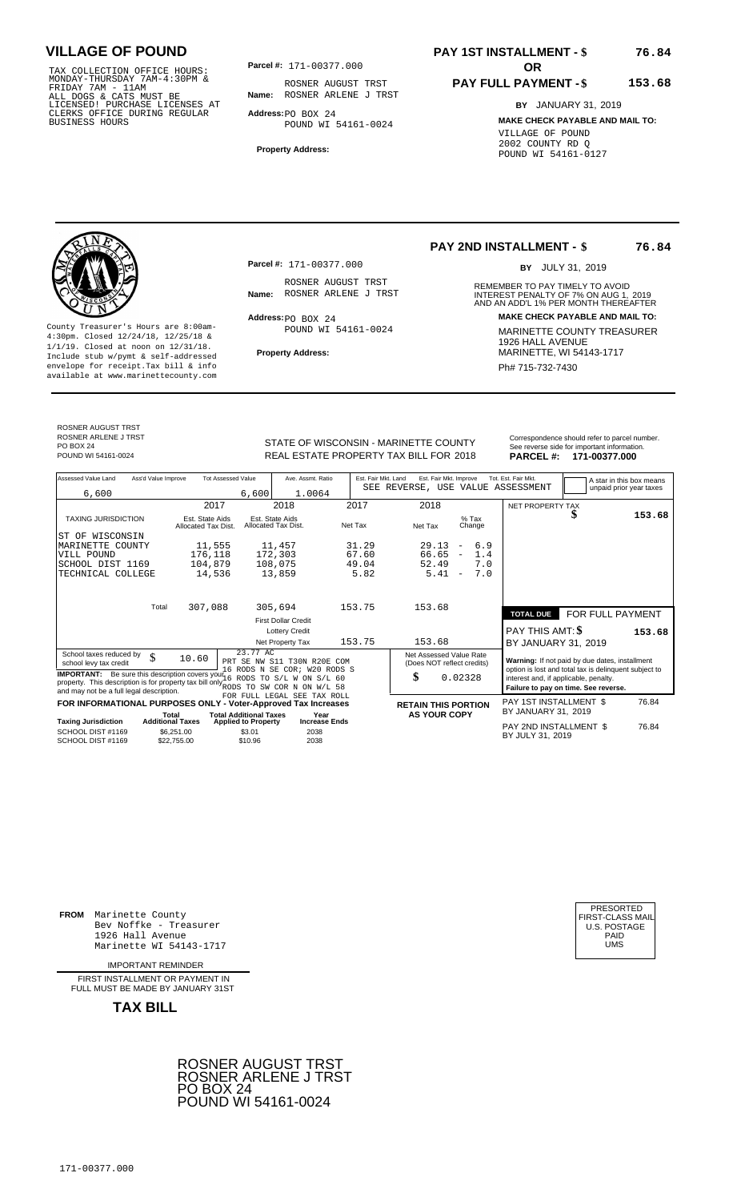TAX COLLECTION OFFICE HOURS:<br>
MONDAY-THURSDAY 7AM-4:30PM &<br>
FRIDAY 7AM - 11AM<br>
ALL DOGS & CATS MUST BE<br>
LICENSED! PURCHASE LICENSES AT<br>
CLERKS OFFICE DURING REGULAR<br>
CLERKS OFFICE DURING REGULAR<br>
BUSINESS HOURS<br>
BUSINESS H

**Parcel #:** 171-00377.000

**Name:** ROSNER ARLENE J TRST ROSNER AUGUST TRST

**Address:** PO BOX 24 POUND WI 54161-0024

**Property Address:**

# **PAY 1ST INSTALLMENT - \$**

### **PAY FULL PAYMENT - \$ 153.68**

**BY** JANUARY 31, 2019 **MAKE CHECK PAYABLE AND MAIL TO:** VILLAGE OF POUND 2002 COUNTY RD Q POUND WI 54161-0127



**Property Address:** MARINETTE, WI 54143-1717 Include stub w/pymt & self-addressed envelope for receipt.Tax bill & info Phat is a set of the phat of the Phat 715-732-7430 envelope for receipt.Tax bill & info Phat 715-732-7430 envelope for the phat 715-732-7430 envelope for the phat 715-732-7430 envelope

**Parcel #:** 171-00377.000

ROSNER AUGUST TRST<br>Name: ROSNER ARLENE J TRST

Address: PO BOX 24 POUND WI 54161-0024

## **PAY 2ND INSTALLMENT - \$**

BY JULY 31, 2019

**76.84**

**76.84**

REMEMBER TO PAY TIMELY TO AVOID **Name:** ROSNER ARLENE J TRST **INTEREST PENALTY OF 7% ON AUG 1, 2019**<br>AND AN ADD'L 1% PER MONTH THEREAFTER **Address: MAKE CHECK PAYABLE AND MAIL TO:** County Treasurer's Hours are 8:00am-<br>
4:30pm. Closed 12/24/18, 12/25/18 & MARINETTE COUNTY TREASURER<br>
1/1/19. Closed at noon on 12/31/18.<br>
Include stub w/pwmt & self-addressed **Property Address:** MARINETTE, WI 54143-1717

ROSNER AUGUST TRST ROSNER ARLENE J TRST PO BOX 24<br>POUND WI 54161-0024

STATE OF WISCONSIN - MARINETTE COUNTY<br>
See reverse side for important information.<br>
REAL ESTATE PROPERTY TAX BILL FOR 2018 PARCEL #: 171-00377.000 POUND WI 54161-0024 **171-00377.000** REAL ESTATE PROPERTY TAX BILL FOR 2018 **PARCEL #: 171-00377.000** 

| Assessed Value Land                                                                                                                                                                                                                                                         | Ass'd Value Improve       | <b>Tot Assessed Value</b>              |                                        | Ave. Assmt. Ratio           | Est. Fair Mkt. Land | Est. Fair Mkt. Improve                                |         |                          |        | Tot. Est. Fair Mkt.                                                                                                                    |  |  | A star in this box means |
|-----------------------------------------------------------------------------------------------------------------------------------------------------------------------------------------------------------------------------------------------------------------------------|---------------------------|----------------------------------------|----------------------------------------|-----------------------------|---------------------|-------------------------------------------------------|---------|--------------------------|--------|----------------------------------------------------------------------------------------------------------------------------------------|--|--|--------------------------|
| 6,600                                                                                                                                                                                                                                                                       |                           |                                        | 6,600                                  | 1.0064                      |                     | SEE REVERSE, USE VALUE ASSESSMENT                     |         |                          |        |                                                                                                                                        |  |  | unpaid prior year taxes  |
|                                                                                                                                                                                                                                                                             |                           |                                        |                                        |                             |                     |                                                       |         |                          |        |                                                                                                                                        |  |  |                          |
|                                                                                                                                                                                                                                                                             |                           | 2017                                   | 2018                                   |                             | 2017                | 2018                                                  |         |                          |        | NET PROPERTY TAX                                                                                                                       |  |  |                          |
| <b>TAXING JURISDICTION</b>                                                                                                                                                                                                                                                  |                           | Est. State Aids<br>Allocated Tax Dist. | Est. State Aids<br>Allocated Tax Dist. |                             | Net Tax             | Net Tax                                               |         | $%$ Tax                  | Change |                                                                                                                                        |  |  | 153.68                   |
| WISCONSIN<br>ST OF                                                                                                                                                                                                                                                          |                           |                                        |                                        |                             |                     |                                                       |         |                          |        |                                                                                                                                        |  |  |                          |
| MARINETTE COUNTY                                                                                                                                                                                                                                                            |                           | 11,555                                 | 11,457                                 |                             | 31.29               | 29.13                                                 |         | $\overline{\phantom{m}}$ | 6.9    |                                                                                                                                        |  |  |                          |
| VILL POUND                                                                                                                                                                                                                                                                  |                           | 176,118                                | 172,303                                |                             | 67.60               | 66.65                                                 |         | $\overline{\phantom{m}}$ | 1.4    |                                                                                                                                        |  |  |                          |
| SCHOOL DIST 1169                                                                                                                                                                                                                                                            |                           | 104,879                                | 108,075                                |                             | 49.04               | 52.49                                                 |         |                          | 7.0    |                                                                                                                                        |  |  |                          |
| TECHNICAL COLLEGE                                                                                                                                                                                                                                                           |                           | 14,536                                 | 13,859                                 |                             | 5.82                | 5.41                                                  |         | $\overline{\phantom{m}}$ | 7.0    |                                                                                                                                        |  |  |                          |
|                                                                                                                                                                                                                                                                             |                           |                                        |                                        |                             |                     |                                                       |         |                          |        |                                                                                                                                        |  |  |                          |
|                                                                                                                                                                                                                                                                             | Total                     | 307,088                                | 305,694                                |                             | 153.75              | 153.68                                                |         |                          |        | <b>TOTAL DUE</b>                                                                                                                       |  |  | FOR FULL PAYMENT         |
|                                                                                                                                                                                                                                                                             |                           |                                        | <b>First Dollar Credit</b>             |                             |                     |                                                       |         |                          |        |                                                                                                                                        |  |  |                          |
|                                                                                                                                                                                                                                                                             |                           |                                        |                                        | <b>Lottery Credit</b>       |                     |                                                       |         |                          |        | PAY THIS AMT: \$                                                                                                                       |  |  | 153.68                   |
|                                                                                                                                                                                                                                                                             |                           |                                        | Net Property Tax                       |                             | 153.75              | 153.68                                                |         |                          |        | BY JANUARY 31, 2019                                                                                                                    |  |  |                          |
| School taxes reduced by<br>school levy tax credit                                                                                                                                                                                                                           | \$<br>10.60               |                                        | 23.77 AC                               | PRT SE NW S11 T30N R20E COM |                     | Net Assessed Value Rate<br>(Does NOT reflect credits) |         |                          |        | Warning: If not paid by due dates, installment                                                                                         |  |  |                          |
| 16 RODS N SE COR; W20 RODS S<br><b>IMPORTANT:</b> Be sure this description covers your 6 RODS TO S/L W ON S/L 60<br>property. This description is for property tax bill only $_{\rm RODS}^{\text{20}}$<br>TO SW COR N ON W/L 58<br>and may not be a full legal description. |                           |                                        |                                        |                             |                     | \$                                                    | 0.02328 |                          |        | option is lost and total tax is delinquent subject to<br>interest and, if applicable, penalty.<br>Failure to pay on time. See reverse. |  |  |                          |
| FOR INFORMATIONAL PURPOSES ONLY - Voter-Approved Tax Increases                                                                                                                                                                                                              |                           |                                        |                                        | FOR FULL LEGAL SEE TAX ROLL |                     | <b>RETAIN THIS PORTION</b>                            |         |                          |        | PAY 1ST INSTALLMENT \$                                                                                                                 |  |  | 76.84                    |
|                                                                                                                                                                                                                                                                             | Total                     |                                        | <b>Total Additional Taxes</b>          | Year                        |                     | <b>AS YOUR COPY</b>                                   |         |                          |        | BY JANUARY 31, 2019                                                                                                                    |  |  |                          |
| <b>Taxing Jurisdiction</b>                                                                                                                                                                                                                                                  | <b>Additional Taxes</b>   |                                        | <b>Applied to Property</b>             | <b>Increase Ends</b>        |                     |                                                       |         |                          |        |                                                                                                                                        |  |  |                          |
| SCHOOL DIST #1169<br>SCHOOL DIST #1169                                                                                                                                                                                                                                      | \$6,251.00<br>\$22,755.00 |                                        | \$3.01<br>\$10.96                      | 2038<br>2038                |                     |                                                       |         |                          |        | PAY 2ND INSTALLMENT \$<br>BY JULY 31, 2019                                                                                             |  |  | 76.84                    |

**FROM** Marinette County Bev Noffke - Treasurer (U.S. POSTAGE)<br>1926 Hall Avenue (U.S. POSTAGE)<br>Marinette WI 54143-1717 (U.S. POSTAGE) 1926 Hall Avenue PAID Marinette WI 54143-1717 UMS

IMPORTANT REMINDER

FIRST INSTALLMENT OR PAYMENT IN FULL MUST BE MADE BY JANUARY 31ST



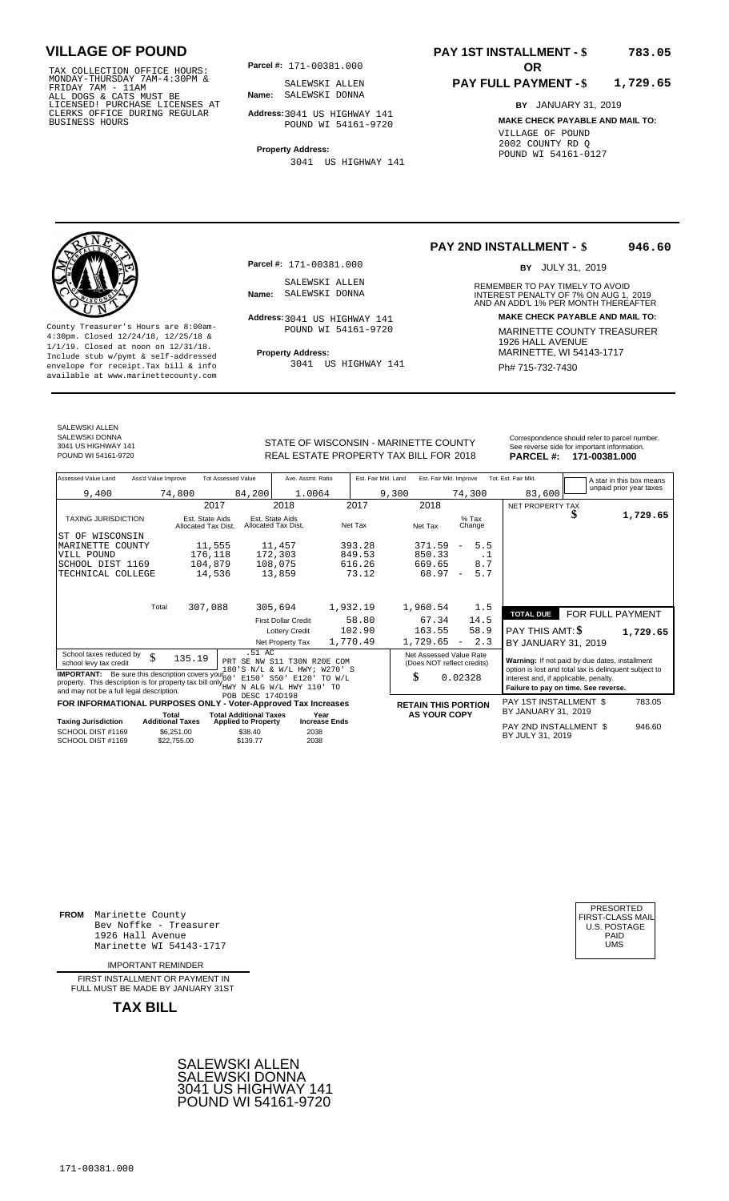TAX COLLECTION OFFICE HOURS:<br>
MONDAY-THURSDAY 7AM-4:30PM &<br>
FRIDAY 7AM - 11AM<br>
ALL DOGS & CATS MUST BE<br>
LICENSED I PURCHASE LICENSES AT<br>
CLERKS OFFICE DURING REGULAR<br>
CLERKS OFFICE DURING REGULAR<br>
BUSINESS HOURS<br>
POUND WI

**Parcel #:** 171-00381.000

**Name:** SALEWSKI DONNA SALEWSKI ALLEN

**Address:** 3041 US HIGHWAY 141 POUND WI 54161-9720

**Property Address:** 3041 US HIGHWAY 141

### **PAY 1ST INSTALLMENT - \$ 783.05**

### **PAY FULL PAYMENT - \$ 1,729.65**

**BY** JANUARY 31, 2019 **MAKE CHECK PAYABLE AND MAIL TO:** VILLAGE OF POUND 2002 COUNTY RD Q POUND WI 54161-0127

**Property Address:** MARINETTE, WI 54143-1717 Include stub w/pymt & self-addressed envelope for receipt.Tax bill & info Ph# 715-732-7430 available at www.marinettecounty.com

SALEWSKI ALLEN SALEWSKI DONNA

3041 US HIGHWAY 141

**Parcel #:** 171-00381.000 SALEWSKI ALLEN<br>Name: SALEWSKI DONNA

Address: 3041 US HIGHWAY 141 POUND WI 54161-9720

3041 US HIGHWAY 141

**PAY 2ND INSTALLMENT - \$ 946.60**

BY JULY 31, 2019

REMEMBER TO PAY TIMELY TO AVOID **Name:** SALEWSKI DONNA **1988**<br> **INTEREST PENALTY OF 7% ON AUG 1, 2019**<br>
AND AN ADD'L 1% PER MONTH THEREAFTER **Address: MAKE CHECK PAYABLE AND MAIL TO:** County Treasurer's Hours are 8:00am-<br>
4:30pm. Closed 12/24/18, 12/25/18 & MARINETTE COUNTY TREASURER<br>
1/1/19. Closed at noon on 12/31/18.<br>
Include stub w/pwmt & self-addressed<br>
Property Address: MARINETTE, WI 54143-1717

| SALEWSKI DONNA      |                                        | Correspondence should refer to parcel number. |
|---------------------|----------------------------------------|-----------------------------------------------|
| 3041 US HIGHWAY 141 | STATE OF WISCONSIN - MARINETTE COUNTY  | See reverse side for important information.   |
| POUND WI 54161-9720 | REAL ESTATE PROPERTY TAX BILL FOR 2018 | PARCEL #: 171-00381.000                       |
|                     |                                        |                                               |

| Assessed Value Land<br>Ass'd Value Improve                                                                                      | <b>Tot Assessed Value</b>                             | Ave. Assmt. Ratio                      | Est. Fair Mkt. Land | Est. Fair Mkt. Improve                      | Tot. Est. Fair Mkt.<br>A star in this box means       |
|---------------------------------------------------------------------------------------------------------------------------------|-------------------------------------------------------|----------------------------------------|---------------------|---------------------------------------------|-------------------------------------------------------|
| 9,400                                                                                                                           | 74,800<br>84,200                                      | 1.0064                                 | 9,300               | 74,300                                      | unpaid prior year taxes<br>83,600                     |
|                                                                                                                                 | 2017                                                  | 2018                                   | 2017                | 2018                                        | NET PROPERTY TAX                                      |
| <b>TAXING JURISDICTION</b>                                                                                                      | Est. State Aids<br>Allocated Tax Dist.                | Est. State Aids<br>Allocated Tax Dist. | Net Tax             | $%$ Tax<br>Net Tax<br>Change                | 1,729.65<br>ъ                                         |
| ST OF WISCONSIN                                                                                                                 |                                                       |                                        |                     |                                             |                                                       |
| MARINETTE COUNTY                                                                                                                | 11,555                                                | 11,457                                 | 393.28              | 5.5<br>371.59<br>$\overline{\phantom{a}}$   |                                                       |
| VILL POUND                                                                                                                      | 176,118                                               | 172,303                                | 849.53              | 850.33<br>. 1                               |                                                       |
| SCHOOL DIST 1169                                                                                                                | 104,879                                               | 108,075                                | 616.26              | 8.7<br>669.65                               |                                                       |
| TECHNICAL COLLEGE                                                                                                               | 14,536                                                | 13,859                                 | 73.12               | 5.7<br>68.97<br>$\overline{\phantom{a}}$    |                                                       |
|                                                                                                                                 |                                                       |                                        |                     |                                             |                                                       |
| Total                                                                                                                           | 307,088                                               | 305,694                                | 1,932.19            | 1,960.54<br>1.5                             |                                                       |
|                                                                                                                                 |                                                       | <b>First Dollar Credit</b>             | 58.80               | 14.5<br>67.34                               | FOR FULL PAYMENT<br><b>TOTAL DUE</b>                  |
|                                                                                                                                 |                                                       | <b>Lottery Credit</b>                  | 102.90              | 58.9<br>163.55                              | <b>PAY THIS AMT: \$</b><br>1,729.65                   |
|                                                                                                                                 |                                                       | Net Property Tax                       | 1,770.49            | 2.3<br>1,729.65<br>$\overline{\phantom{a}}$ | BY JANUARY 31, 2019                                   |
| School taxes reduced by<br>$\mathcal{S}$                                                                                        | .51 AC<br>135.19                                      | PRT SE NW S11 T30N R20E COM            |                     | Net Assessed Value Rate                     | Warning: If not paid by due dates, installment        |
| school levy tax credit                                                                                                          |                                                       | 180'S N/L & W/L HWY; W270' S           |                     | (Does NOT reflect credits)                  | option is lost and total tax is delinquent subject to |
| <b>IMPORTANT:</b> Be sure this description covers your 60                                                                       |                                                       | E150' S50' E120'<br>TO W/L             |                     | \$<br>0.02328                               | interest and, if applicable, penalty.                 |
| property. This description is for property tax bill only WHWY N ALG W/L HWY 110' TO<br>and may not be a full legal description. |                                                       |                                        |                     |                                             | Failure to pay on time. See reverse.                  |
| FOR INFORMATIONAL PURPOSES ONLY - Voter-Approved Tax Increases                                                                  | POB DESC 174D198                                      |                                        |                     | <b>RETAIN THIS PORTION</b>                  | PAY 1ST INSTALLMENT \$<br>783.05                      |
|                                                                                                                                 | <b>Total Additional Taxes</b><br>Total                | Year                                   |                     | <b>AS YOUR COPY</b>                         | BY JANUARY 31, 2019                                   |
| Taxing Jurisdiction                                                                                                             | <b>Additional Taxes</b><br><b>Applied to Property</b> | <b>Increase Ends</b>                   |                     |                                             | PAY 2ND INSTALLMENT \$<br>946.60                      |
| SCHOOL DIST #1169                                                                                                               | \$6.251.00<br>\$38.40                                 | 2038                                   |                     |                                             | BY JULY 31, 2019                                      |
| SCHOOL DIST #1169                                                                                                               | \$22,755,00<br>\$139.77                               | 2038                                   |                     |                                             |                                                       |

**FROM** Marinette County Bev Noffke - Treasurer (U.S. POSTAGE)<br>1926 Hall Avenue (U.S. POSTAGE)<br>Marinette WI 54143-1717 (U.S. POSTAGE) 1926 Hall Avenue Marinette WI 54143-1717

IMPORTANT REMINDER

FIRST INSTALLMENT OR PAYMENT IN FULL MUST BE MADE BY JANUARY 31ST



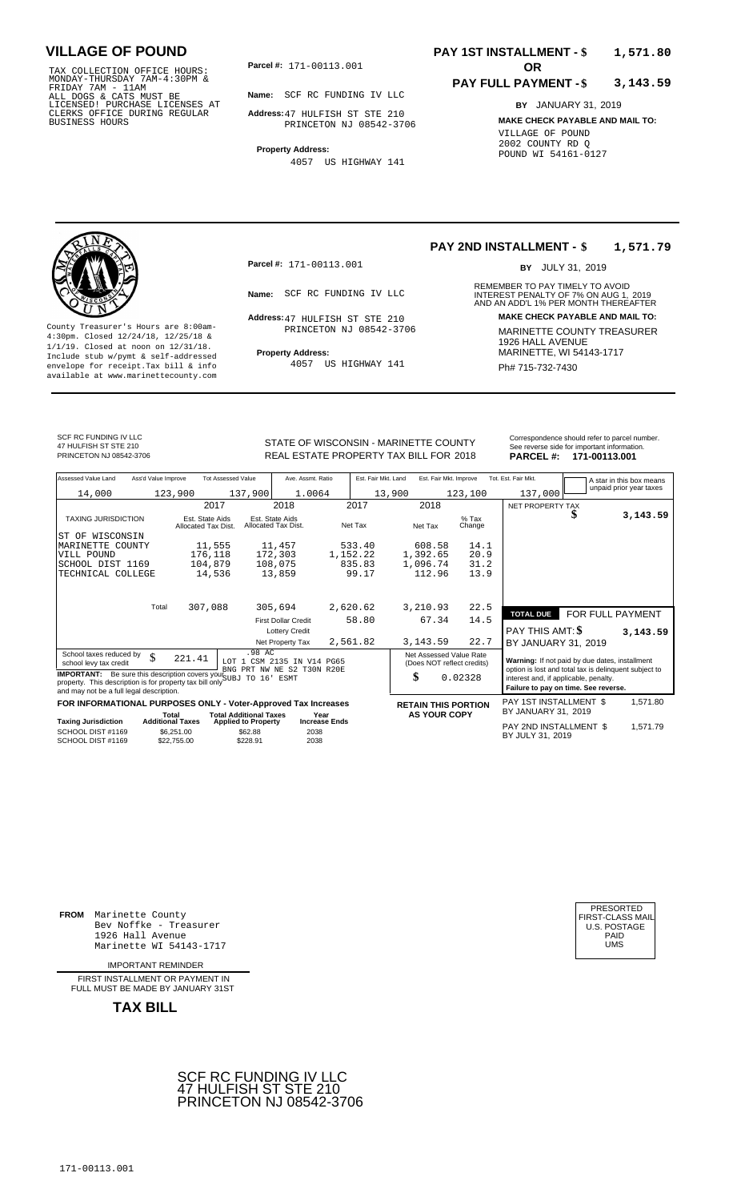TAX COLLECTION OFFICE HOURS:<br>
MONDAY-THURSDAY 7AM-4:30PM &<br>
FRIDAY 7AM - 11AM<br>
ALL DOGS & CATS MUST BE<br>
LICENSED! PURCHASE LICENSES AT<br>
CLERKS OFFICE DURING REGULAR<br>
CLERKS OFFICE DURING REGULAR<br>
BUSINESS HOURS<br>
BUSINESS H

**Parcel #:** 171-00113.001 **OR** 

**Name:** SCF RC FUNDING IV LLC

**Address:** 47 HULFISH ST STE 210 PRINCETON NJ 08542-3706

**Property Address:** 4057 US HIGHWAY 141

### **PAY 1ST INSTALLMENT - \$ 1,571.80**

#### **PAY FULL PAYMENT - \$ 3,143.59**

**BY** JANUARY 31, 2019 **MAKE CHECK PAYABLE AND MAIL TO:** VILLAGE OF POUND 2002 COUNTY RD Q POUND WI 54161-0127



**Property Address:** MARINETTE, WI 54143-1717 Include stub w/pymt & self-addressed envelope for receipt.Tax bill & info Film Research Business Human Research Ph# **715-732-7430** available at www.marinettecounty.com

**Parcel #:** 171-00113.001

PRINCETON NJ 08542-3706

4057 US HIGHWAY 141

### **PAY 2ND INSTALLMENT - \$ 1,571.79**

BY JULY 31, 2019

REMEMBER TO PAY TIMELY TO AVOID **Name:** SCF RC FUNDING IV LLC **INTEREST PENALTY OF 7% ON AUG 1, 2019**<br>AND AN ADD'L 1% PER MONTH THEREAFTER **Address: MAKE CHECK PAYABLE AND MAIL TO:** 47 HULFISH ST STE 210 County Treasurer's Hours are 8:00am-<br>
4:30pm. Closed 12/24/18, 12/25/18 & MARINETTE COUNTY TREASURER<br>
1/1/19. Closed at noon on 12/31/18.<br>
Include stub w/pwmt & self-addressed<br>
Property Address: MARINETTE, WI 54143-1717

SCF RC FUNDING IV LLC 47 HULFISH ST STE 210<br>PRINCETON NJ 08542-3706

STATE OF WISCONSIN - MARINETTE COUNTY<br>
See reverse side for important information.<br>
REAL ESTATE PROPERTY TAX BILL FOR 2018 PARCEL #: 171-00113.001 REAL ESTATE PROPERTY TAX BILL FOR **PARCEL #:** PRINCETON NJ 08542-3706 2018 **171-00113.001**

| Assessed Value Land                                                                                                                                                            | Ass'd Value Improve |                                                      | <b>Tot Assessed Value</b>                         | Ave. Assmt. Ratio                      |                      | Est. Fair Mkt. Land |        |                                                       | Est. Fair Mkt. Improve | Tot. Est. Fair Mkt.                                                                                     |                                                                               | A star in this box means<br>unpaid prior year taxes |
|--------------------------------------------------------------------------------------------------------------------------------------------------------------------------------|---------------------|------------------------------------------------------|---------------------------------------------------|----------------------------------------|----------------------|---------------------|--------|-------------------------------------------------------|------------------------|---------------------------------------------------------------------------------------------------------|-------------------------------------------------------------------------------|-----------------------------------------------------|
| 14,000                                                                                                                                                                         |                     | 123,900                                              | 137,900                                           | 1.0064                                 |                      |                     | 13,900 |                                                       | 123,100                | 137,000                                                                                                 |                                                                               |                                                     |
|                                                                                                                                                                                |                     | 2017                                                 |                                                   | 2018                                   |                      | 2017                |        | 2018                                                  |                        | NET PROPERTY TAX                                                                                        |                                                                               |                                                     |
| <b>TAXING JURISDICTION</b>                                                                                                                                                     |                     | Est. State Aids<br>Allocated Tax Dist.               |                                                   | Est. State Aids<br>Allocated Tax Dist. |                      | Net Tax             |        | Net Tax                                               | $%$ Tax<br>Change      |                                                                                                         | ъ                                                                             | 3,143.59                                            |
| ST OF WISCONSIN                                                                                                                                                                |                     |                                                      |                                                   |                                        |                      |                     |        |                                                       |                        |                                                                                                         |                                                                               |                                                     |
| MARINETTE<br>COUNTY                                                                                                                                                            |                     | 11,555                                               |                                                   | 11,457                                 |                      | 533.40              |        | 608.58                                                | 14.1                   |                                                                                                         |                                                                               |                                                     |
| VILL POUND                                                                                                                                                                     |                     | 176,118                                              |                                                   | 172,303                                |                      | 1,152.22            |        | 1,392.65                                              | 20.9                   |                                                                                                         |                                                                               |                                                     |
| SCHOOL DIST 1169                                                                                                                                                               |                     | 104,879                                              |                                                   | 108,075                                |                      | 835.83              |        | 1,096.74                                              | 31.2                   |                                                                                                         |                                                                               |                                                     |
| TECHNICAL COLLEGE                                                                                                                                                              |                     | 14,536                                               |                                                   | 13,859                                 |                      | 99.17               |        | 112.96                                                | 13.9                   |                                                                                                         |                                                                               |                                                     |
|                                                                                                                                                                                |                     |                                                      |                                                   |                                        |                      |                     |        |                                                       |                        |                                                                                                         |                                                                               |                                                     |
|                                                                                                                                                                                | Total               | 307,088                                              |                                                   | 305,694                                |                      | 2,620.62            |        | 3,210.93                                              | 22.5                   | <b>TOTAL DUE</b>                                                                                        |                                                                               | FOR FULL PAYMENT                                    |
|                                                                                                                                                                                |                     |                                                      |                                                   | <b>First Dollar Credit</b>             |                      | 58.80               |        | 67.34                                                 | 14.5                   |                                                                                                         |                                                                               |                                                     |
|                                                                                                                                                                                |                     |                                                      |                                                   | <b>Lottery Credit</b>                  |                      |                     |        |                                                       |                        | PAY THIS AMT: \$                                                                                        |                                                                               | 3,143.59                                            |
|                                                                                                                                                                                |                     |                                                      |                                                   | Net Property Tax                       |                      | 2,561.82            |        | 3, 143.59                                             | 22.7                   |                                                                                                         | BY JANUARY 31, 2019                                                           |                                                     |
| .98 AC<br>School taxes reduced by<br>\$<br>221.41<br>LOT 1 CSM 2135 IN V14 PG65<br>school levy tax credit<br>BNG PRT NW NE S2 T30N R20E                                        |                     |                                                      |                                                   |                                        |                      |                     |        | Net Assessed Value Rate<br>(Does NOT reflect credits) |                        | Warning: If not paid by due dates, installment<br>option is lost and total tax is delinquent subject to |                                                                               |                                                     |
| <b>IMPORTANT:</b> Be sure this description covers you SUBJ TO 16' ESMT<br>property. This description is for property tax bill only<br>and may not be a full legal description. |                     |                                                      |                                                   |                                        |                      |                     |        | \$                                                    | 0.02328                |                                                                                                         | interest and, if applicable, penalty.<br>Failure to pay on time. See reverse. |                                                     |
| FOR INFORMATIONAL PURPOSES ONLY - Voter-Approved Tax Increases                                                                                                                 |                     |                                                      |                                                   |                                        |                      |                     |        | <b>RETAIN THIS PORTION</b>                            |                        |                                                                                                         | PAY 1ST INSTALLMENT \$                                                        | 1,571.80                                            |
|                                                                                                                                                                                |                     | Total                                                | <b>Total Additional Taxes</b>                     |                                        | Year                 |                     |        | <b>AS YOUR COPY</b>                                   |                        | BY JANUARY 31, 2019                                                                                     |                                                                               |                                                     |
| <b>Taxing Jurisdiction</b><br>SCHOOL DIST #1169<br>SCHOOL DIST #1169                                                                                                           |                     | <b>Additional Taxes</b><br>\$6,251.00<br>\$22,755.00 | <b>Applied to Property</b><br>\$62.88<br>\$228.91 | 2038<br>2038                           | <b>Increase Ends</b> |                     |        |                                                       |                        | BY JULY 31, 2019                                                                                        | PAY 2ND INSTALLMENT \$                                                        | 1,571.79                                            |

**FROM** Marinette County Bev Noffke - Treasurer 1926 Hall Avenue Marinette WI 54143-1717 UMS

IMPORTANT REMINDER

FIRST INSTALLMENT OR PAYMENT IN FULL MUST BE MADE BY JANUARY 31ST



| PRESORTED<br>FIRST-CLASS MAIL<br><b>U.S. POSTAGE</b><br>PAID |
|--------------------------------------------------------------|
|                                                              |
| UMS                                                          |
|                                                              |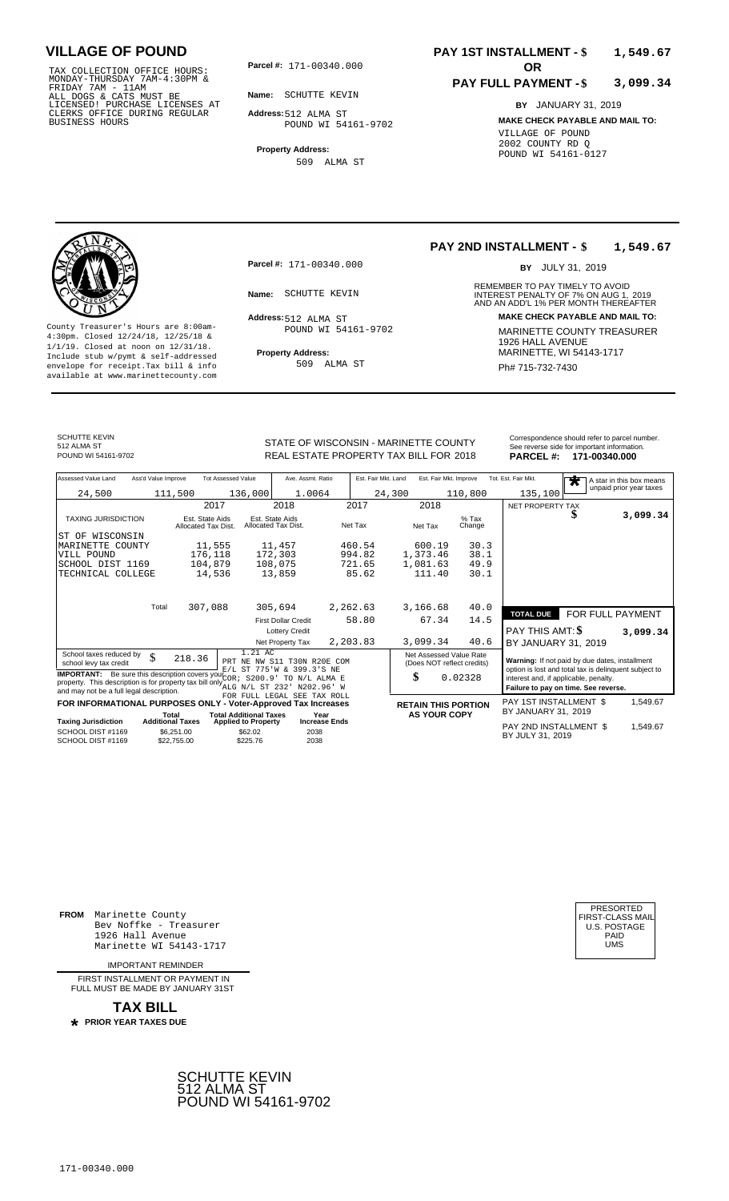TAX COLLECTION OFFICE HOURS:<br>
MONDAY-THURSDAY 7AM-4:30PM &<br>
FRIDAY 7AM - 11AM<br>
ALL DOGS & CATS MUST BE<br>
LICENSED! PURCHASE LICENSES AT<br>
CLERKS OFFICE DURING REGULAR<br>
CLERKS OFFICE DURING REGULAR<br>
BUSINESS HOURS<br>
BUSINESS H

**Parcel #: OR**

**Name:** SCHUTTE KEVIN **Address:** 512 ALMA ST POUND WI 54161-9702

**Property Address:**

509 ALMA ST

### **PAY 1ST INSTALLMENT - \$ 1,549.67**

#### **PAY FULL PAYMENT - \$ 3,099.34**

**BY** JANUARY 31, 2019 **MAKE CHECK PAYABLE AND MAIL TO:** VILLAGE OF POUND 2002 COUNTY RD Q POUND WI 54161-0127

**Property Address:** MARINETTE, WI 54143-1717 Include stub w/pymt & self-addressed envelope for receipt.Tax bill & info Ph# 715-732-7430 available at www.marinettecounty.com

**Parcel #:** 171-00340.000

Address: 512 ALMA ST POUND WI 54161-9702

509 ALMA ST

**PAY 2ND INSTALLMENT - \$ 1,549.67**

BY JULY 31, 2019

REMEMBER TO PAY TIMELY TO AVOID **Name:** SCHUTTE KEVIN **INTEREST PENALTY OF 7% ON AUG 1, 2019**<br>AND AN ADD'L 1% PER MONTH THEREAFTER **Address: MAKE CHECK PAYABLE AND MAIL TO:** County Treasurer's Hours are 8:00am-<br>
4:30pm. Closed 12/24/18, 12/25/18 & MARINETTE COUNTY TREASURER<br>
1/1/19. Closed at noon on 12/31/18.<br>
Include stub w/pwmt & self-addressed **Property Address:** MARINETTE, WI 54143-1717

SCHUTTE KEVIN 512 ALMA ST

STATE OF WISCONSIN - MARINETTE COUNTY<br>
REAL ESTATE PROPERTY TAX BILL FOR 2018 PARCEL #: 171-00340.000 REAL ESTATE PROPERTY TAX BILL FOR **PARCEL #:** POUND WI 54161-9702 2018 **171-00340.000**

| Assessed Value Land<br>Ass'd Value Improve                                                                                                                                               | <b>Tot Assessed Value</b>                        | Ave. Assmt. Ratio                                 | Est. Fair Mkt. Land | Est. Fair Mkt. Improve                                | Tot. Est. Fair Mkt.<br>$\overline{\textbf{r}}$                                                          | A star in this box means |
|------------------------------------------------------------------------------------------------------------------------------------------------------------------------------------------|--------------------------------------------------|---------------------------------------------------|---------------------|-------------------------------------------------------|---------------------------------------------------------------------------------------------------------|--------------------------|
| 24,500                                                                                                                                                                                   | 136,000<br>111,500                               | 1.0064                                            | 24,300              | 110,800                                               | 135,100                                                                                                 | unpaid prior year taxes  |
|                                                                                                                                                                                          | 2017                                             | 2018                                              | 2017                | 2018                                                  | NET PROPERTY TAX                                                                                        |                          |
| <b>TAXING JURISDICTION</b>                                                                                                                                                               | Est. State Aids<br>Allocated Tax Dist.           | Est. State Aids<br>Allocated Tax Dist.            | Net Tax             | $%$ Tax<br>Net Tax<br>Change                          | D                                                                                                       | 3,099.34                 |
| ST OF WISCONSIN                                                                                                                                                                          |                                                  |                                                   |                     |                                                       |                                                                                                         |                          |
| MARINETTE COUNTY                                                                                                                                                                         | 11,555                                           | 11,457                                            | 460.54              | 600.19<br>30.3                                        |                                                                                                         |                          |
| VILL POUND                                                                                                                                                                               | 176,118                                          | 172,303                                           | 994.82              | 1,373.46<br>38.1                                      |                                                                                                         |                          |
| SCHOOL DIST 1169                                                                                                                                                                         | 104,879                                          | 108,075                                           | 721.65              | 1,081.63<br>49.9                                      |                                                                                                         |                          |
| TECHNICAL COLLEGE                                                                                                                                                                        | 14,536                                           | 13,859                                            | 85.62               | 111.40<br>30.1                                        |                                                                                                         |                          |
| Total                                                                                                                                                                                    | 307,088                                          | 305,694                                           | 2,262.63            | 3,166.68<br>40.0                                      |                                                                                                         |                          |
|                                                                                                                                                                                          |                                                  | <b>First Dollar Credit</b>                        | 58.80               | 67.34<br>14.5                                         | <b>TOTAL DUE</b>                                                                                        | FOR FULL PAYMENT         |
|                                                                                                                                                                                          |                                                  | <b>Lottery Credit</b>                             |                     |                                                       | PAY THIS AMT: \$                                                                                        | 3,099.34                 |
|                                                                                                                                                                                          |                                                  | Net Property Tax                                  | 2,203.83            | 40.6<br>3,099.34                                      | BY JANUARY 31, 2019                                                                                     |                          |
| School taxes reduced by<br>\$<br>school levy tax credit                                                                                                                                  | 1.21 AC<br>218.36<br>PRT NE                      | NW S11 T30N R20E COM<br>E/L ST 775'W & 399.3'S NE |                     | Net Assessed Value Rate<br>(Does NOT reflect credits) | Warning: If not paid by due dates, installment<br>option is lost and total tax is delinquent subject to |                          |
| <b>IMPORTANT:</b> Be sure this description covers your $C \cap R$<br>property. This description is for property tax bill only ALG N/L ST 232<br>and may not be a full legal description. | S200.9'                                          | TO N/L ALMA E<br>N202.96' W                       |                     | \$<br>0.02328                                         | interest and, if applicable, penalty.<br>Failure to pay on time. See reverse.                           |                          |
| FOR INFORMATIONAL PURPOSES ONLY - Voter-Approved Tax Increases                                                                                                                           |                                                  | FOR FULL LEGAL SEE TAX ROLL                       |                     | <b>RETAIN THIS PORTION</b>                            | PAY 1ST INSTALLMENT \$                                                                                  | 1,549.67                 |
| Total                                                                                                                                                                                    | <b>Total Additional Taxes</b>                    | Year                                              |                     | <b>AS YOUR COPY</b>                                   | BY JANUARY 31, 2019                                                                                     |                          |
| <b>Additional Taxes</b><br><b>Taxing Jurisdiction</b>                                                                                                                                    | <b>Applied to Property</b>                       | <b>Increase Ends</b>                              |                     |                                                       | PAY 2ND INSTALLMENT \$                                                                                  | 1.549.67                 |
| SCHOOL DIST #1169<br>SCHOOL DIST #1169                                                                                                                                                   | \$62.02<br>\$6,251.00<br>\$22,755.00<br>\$225.76 | 2038<br>2038                                      |                     |                                                       | BY JULY 31, 2019                                                                                        |                          |

**FROM** Marinette County Bev Noffke - Treasurer 1926 Hall Avenue Marinette WI 54143-1717

IMPORTANT REMINDER

FIRST INSTALL MENT OR PAYMENT IN FULL MUST BE MADE BY JANUARY 31ST

**TAX BILL PRIOR YEAR TAXES DUE \***



| FIRST-CLASS MAIL<br>U.S. POSTAGE<br>PAID<br>UMS |
|-------------------------------------------------|
|-------------------------------------------------|

**3,099.34**

| <b>Taxing Jurisdiction</b> | Total<br><b>Additional Taxes</b> | <b>Total Additional Taxes</b><br><b>Applied to Property</b> | Year<br><b>Increase Ends</b> |
|----------------------------|----------------------------------|-------------------------------------------------------------|------------------------------|
| SCHOOL DIST #1169          | \$6,251,00                       | \$62.02                                                     | 2038                         |
| SCHOOL DIST #1169          | \$22,755,00                      | \$225.76                                                    | 2038                         |
|                            |                                  |                                                             |                              |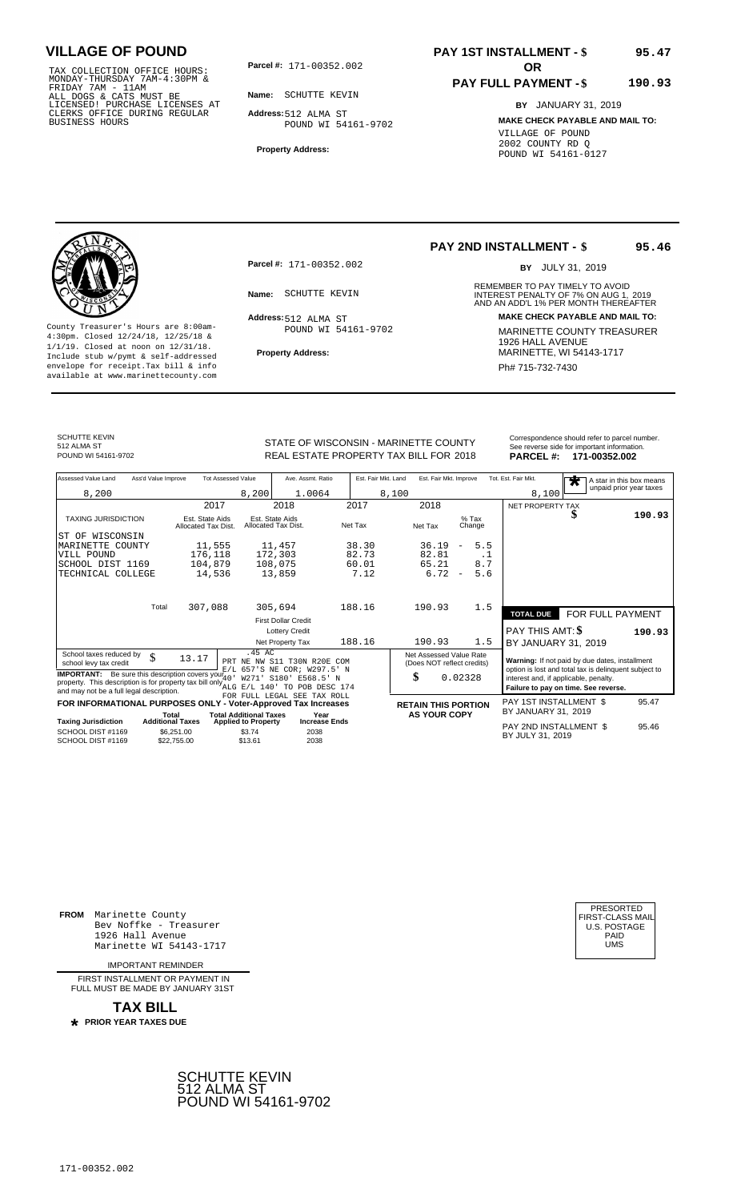TAX COLLECTION OFFICE HOURS:<br>
MONDAY-THURSDAY 7AM-4:30PM &<br>
FRIDAY 7AM - 11AM<br>
ALL DOGS & CATS MUST BE<br>
LICENSED! PURCHASE LICENSES AT<br>
CLERKS OFFICE DURING REGULAR<br>
CLERKS OFFICE DURING REGULAR<br>
BUSINESS HOURS<br>
BUSINESS H

**Parcel #: OR**

**Name:** SCHUTTE KEVIN **Address:** 512 ALMA ST POUND WI 54161-9702

**Property Address:**

### **PAY 1ST INSTALLMENT - \$ 95.47**

### **PAY FULL PAYMENT - \$**

**BY** JANUARY 31, 2019 **MAKE CHECK PAYABLE AND MAIL TO:** VILLAGE OF POUND 2002 COUNTY RD Q POUND WI 54161-0127



**Property Address:** MARINETTE, WI 54143-1717 Include stub w/pymt & self-addressed envelope for receipt.Tax bill & info Phat is a set of the phat of the Phat 715-732-7430 envelope for receipt.Tax bill & info Phat 715-732-7430 envelope for the phat 715-732-7430 envelope for the phat 715-732-7430 envelope

**Parcel #:** 171-00352.002

Address: 512 ALMA ST POUND WI 54161-9702

## **PAY 2ND INSTALLMENT - \$**

BY JULY 31, 2019

**95.46**

**190.93**

REMEMBER TO PAY TIMELY TO AVOID **Name:** SCHUTTE KEVIN **INTEREST PENALTY OF 7% ON AUG 1, 2019**<br>AND AN ADD'L 1% PER MONTH THEREAFTER **Address: MAKE CHECK PAYABLE AND MAIL TO:** County Treasurer's Hours are 8:00am-<br>
4:30pm. Closed 12/24/18, 12/25/18 & MARINETTE COUNTY TREASURER<br>
1/1/19. Closed at noon on 12/31/18.<br>
Include stub w/pwmt. & self-addressed<br>
Property Address:<br>
MARINETTE, WI 54143-1717

| SCHUTTE KEVIN<br>512 ALMA ST<br>POUND WI 54161-9702 | STATE OF WISCONSIN - MARINETTE COUNTY<br>REAL ESTATE PROPERTY TAX BILL FOR 2018 | Correspondence should refer to parcel number.<br>See reverse side for important information.<br>PARCEL #: 171-00352.002 |
|-----------------------------------------------------|---------------------------------------------------------------------------------|-------------------------------------------------------------------------------------------------------------------------|
|                                                     |                                                                                 |                                                                                                                         |

| Assessed Value Land<br>Ass'd Value Improve                                                                                                                                                       | <b>Tot Assessed Value</b>                             | Ave. Assmt. Ratio                                                                                                  | Est. Fair Mkt. Land | Est. Fair Mkt. Improve                                | Tot. Est. Fair Mkt.<br>A star in this box means<br>$\overline{\textbf{r}}$                                                             |
|--------------------------------------------------------------------------------------------------------------------------------------------------------------------------------------------------|-------------------------------------------------------|--------------------------------------------------------------------------------------------------------------------|---------------------|-------------------------------------------------------|----------------------------------------------------------------------------------------------------------------------------------------|
| 8,200                                                                                                                                                                                            |                                                       | 8,200<br>1.0064                                                                                                    | 8,100               |                                                       | unpaid prior year taxes<br>8,100                                                                                                       |
|                                                                                                                                                                                                  | 2017                                                  | 2018                                                                                                               | 2017<br>2018        |                                                       | <b>NET PROPERTY TAX</b>                                                                                                                |
| <b>TAXING JURISDICTION</b>                                                                                                                                                                       | Est. State Aids<br>Allocated Tax Dist.                | Est. State Aids<br>Allocated Tax Dist.                                                                             | Net Tax<br>Net Tax  | $%$ Tax<br>Change                                     | S<br>190.93                                                                                                                            |
| WISCONSIN<br>ST OF                                                                                                                                                                               |                                                       |                                                                                                                    |                     |                                                       |                                                                                                                                        |
| MARINETTE COUNTY                                                                                                                                                                                 | 11,555                                                | 11,457                                                                                                             | 38.30<br>36.19      | 5.5<br>$\overline{\phantom{a}}$                       |                                                                                                                                        |
| VILL POUND                                                                                                                                                                                       | 176,118                                               | 172,303                                                                                                            | 82.73<br>82.81      | . 1                                                   |                                                                                                                                        |
| SCHOOL DIST 1169                                                                                                                                                                                 | 104,879                                               | 108,075                                                                                                            | 60.01<br>65.21      | 8.7                                                   |                                                                                                                                        |
| TECHNICAL COLLEGE                                                                                                                                                                                | 14,536                                                | 13,859                                                                                                             | 7.12                | 6.72<br>5.6<br>$\overline{\phantom{m}}$               |                                                                                                                                        |
|                                                                                                                                                                                                  |                                                       |                                                                                                                    |                     |                                                       |                                                                                                                                        |
| Total                                                                                                                                                                                            | 307,088                                               | 305,694                                                                                                            | 188.16<br>190.93    | 1.5                                                   |                                                                                                                                        |
|                                                                                                                                                                                                  |                                                       | <b>First Dollar Credit</b>                                                                                         |                     |                                                       | FOR FULL PAYMENT<br><b>TOTAL DUE</b>                                                                                                   |
|                                                                                                                                                                                                  |                                                       | <b>Lottery Credit</b>                                                                                              |                     |                                                       | PAY THIS AMT: \$<br>190.93                                                                                                             |
|                                                                                                                                                                                                  |                                                       | Net Property Tax                                                                                                   | 188.16<br>190.93    | 1.5                                                   | BY JANUARY 31, 2019                                                                                                                    |
| School taxes reduced by<br>\$<br>school levy tax credit                                                                                                                                          | 13.17<br>PRT                                          | .45 AC<br>NE NW S11 T30N R20E COM                                                                                  |                     | Net Assessed Value Rate<br>(Does NOT reflect credits) | Warning: If not paid by due dates, installment                                                                                         |
| <b>IMPORTANT:</b> Be sure this description covers your $\frac{7}{4}$<br>property. This description is for property tax bill only $\sum_{\text{ALG}}$<br>and may not be a full legal description. |                                                       | E/L 657'S NE COR; W297.5' N<br>W271'<br>S <sub>180</sub> '<br>E568.5' N<br>$E/L$ 140'<br><b>TO</b><br>POB DESC 174 | \$                  | 0.02328                                               | option is lost and total tax is delinquent subject to<br>interest and, if applicable, penalty.<br>Failure to pay on time. See reverse. |
| FOR INFORMATIONAL PURPOSES ONLY - Voter-Approved Tax Increases                                                                                                                                   |                                                       | FOR FULL LEGAL SEE TAX ROLL                                                                                        |                     | <b>RETAIN THIS PORTION</b>                            | PAY 1ST INSTALLMENT \$<br>95.47                                                                                                        |
|                                                                                                                                                                                                  | <b>Total Additional Taxes</b><br>Total                | Year                                                                                                               |                     | <b>AS YOUR COPY</b>                                   | BY JANUARY 31, 2019                                                                                                                    |
| <b>Taxing Jurisdiction</b>                                                                                                                                                                       | <b>Additional Taxes</b><br><b>Applied to Property</b> | <b>Increase Ends</b>                                                                                               |                     |                                                       | PAY 2ND INSTALLMENT \$<br>95.46                                                                                                        |
| SCHOOL DIST #1169<br>SCHOOL DIST #1169                                                                                                                                                           | \$6.251.00<br>\$13.61<br>\$22,755.00                  | \$3.74<br>2038<br>2038                                                                                             |                     |                                                       | BY JULY 31, 2019                                                                                                                       |

**FROM** Marinette County Bev Noffke - Treasurer 1926 Hall Avenue PAID Marinette WI 54143-1717 UMS

IMPORTANT REMINDER

FIRST INSTALL MENT OR PAYMENT IN FULL MUST BE MADE BY JANUARY 31ST

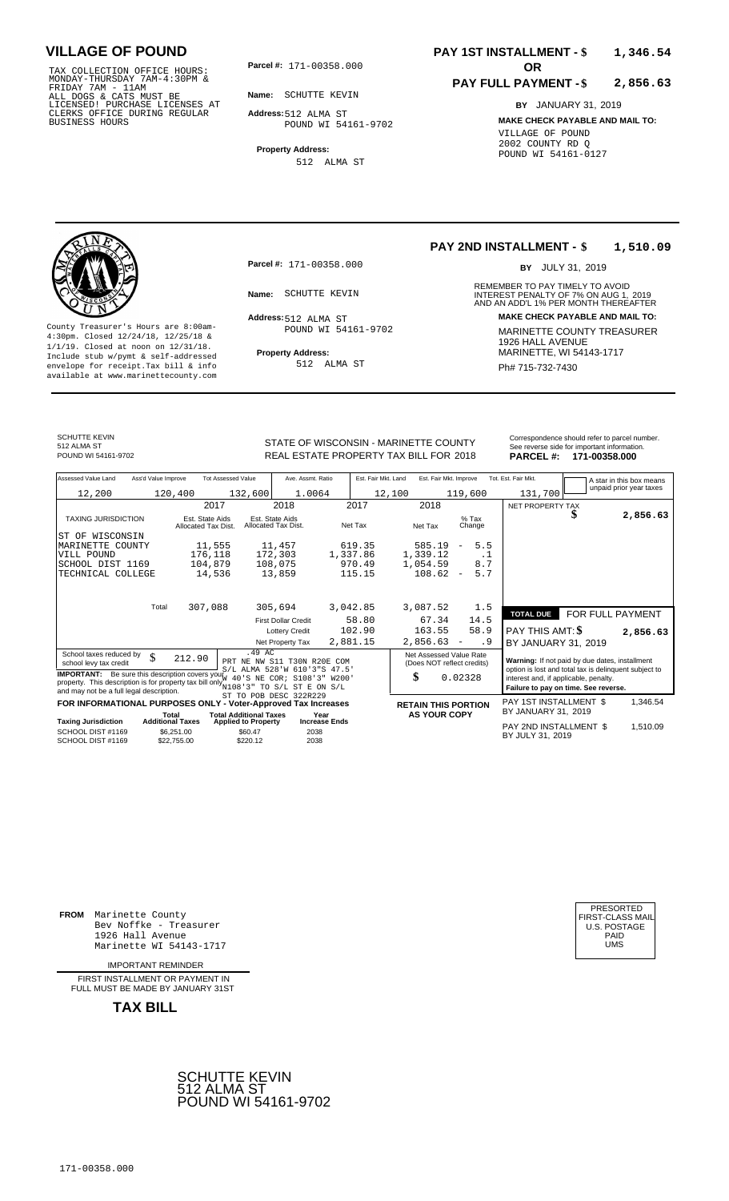TAX COLLECTION OFFICE HOURS:<br>
MONDAY-THURSDAY 7AM-4:30PM &<br>
FRIDAY 7AM - 11AM<br>
ALL DOGS & CATS MUST BE<br>
LICENSED! PURCHASE LICENSES AT<br>
CLERKS OFFICE DURING REGULAR<br>
CLERKS OFFICE DURING REGULAR<br>
BUSINESS HOURS<br>
BUSINESS H

**Parcel #: OR**

**Name:** SCHUTTE KEVIN

**Address:** 512 ALMA ST POUND WI 54161-9702

**Property Address:** 512 ALMA ST

### **PAY 1ST INSTALLMENT - \$ 1,346.54**

#### **PAY FULL PAYMENT - \$ 2,856.63**

**BY** JANUARY 31, 2019 **MAKE CHECK PAYABLE AND MAIL TO:** VILLAGE OF POUND 2002 COUNTY RD Q POUND WI 54161-0127

**Property Address:** MARINETTE, WI 54143-1717 Include stub w/pymt & self-addressed envelope for receipt.Tax bill & info Ph# 715-732-7430 available at www.marinettecounty.com

**Parcel #:** 171-00358.000

Address: 512 ALMA ST POUND WI 54161-9702

512 ALMA ST

### **PAY 2ND INSTALLMENT - \$ 1,510.09**

BY JULY 31, 2019

REMEMBER TO PAY TIMELY TO AVOID **Name:** SCHUTTE KEVIN **INTEREST PENALTY OF 7% ON AUG 1, 2019**<br>AND AN ADD'L 1% PER MONTH THEREAFTER **Address: MAKE CHECK PAYABLE AND MAIL TO:** County Treasurer's Hours are 8:00am-<br>
4:30pm. Closed 12/24/18, 12/25/18 & MARINETTE COUNTY TREASURER<br>
1/1/19. Closed at noon on 12/31/18.<br>
Include stub w/pwmt & self-addressed **Property Address:** MARINETTE, WI 54143-1717

SCHUTTE KEVIN

512 ALMA ST<br>POUND WI 54161-9702

STATE OF WISCONSIN - MARINETTE COUNTY REAL ESTATE PROPERTY TAX BILL FOR **PARCEL #:** POUND WI 54161-9702 2018 **171-00358.000**

| Correspondence should refer to parcel number. |
|-----------------------------------------------|
| See reverse side for important information.   |
| <b>BABOEL # 474 00050 000</b>                 |

| Assessed Value Land                                                                        | Ass'd Value Improve     |                                        | <b>Tot Assessed Value</b>     | Ave. Assmt. Ratio                      |                      | Est. Fair Mkt. Land | Est. Fair Mkt. Improve     |                          |                   | Tot. Est. Fair Mkt.                            |  | A star in this box means                              |
|--------------------------------------------------------------------------------------------|-------------------------|----------------------------------------|-------------------------------|----------------------------------------|----------------------|---------------------|----------------------------|--------------------------|-------------------|------------------------------------------------|--|-------------------------------------------------------|
| 12,200                                                                                     |                         | 120,400                                | 132,600                       | 1.0064                                 |                      | 12,100              |                            |                          | 119,600           | 131,700                                        |  | unpaid prior year taxes                               |
|                                                                                            |                         | 2017                                   |                               | 2018                                   |                      | 2017                | 2018                       |                          |                   | NET PROPERTY TAX                               |  |                                                       |
|                                                                                            |                         |                                        |                               |                                        |                      |                     |                            |                          |                   |                                                |  | 2,856.63                                              |
| <b>TAXING JURISDICTION</b>                                                                 |                         | Est. State Aids<br>Allocated Tax Dist. |                               | Est. State Aids<br>Allocated Tax Dist. | Net Tax              |                     | Net Tax                    |                          | $%$ Tax<br>Change |                                                |  |                                                       |
| ST OF WISCONSIN                                                                            |                         |                                        |                               |                                        |                      |                     |                            |                          |                   |                                                |  |                                                       |
| MARINETTE COUNTY                                                                           |                         | 11,555                                 |                               | 11,457                                 |                      | 619.35              | 585.19                     | $\overline{\phantom{a}}$ | 5.5               |                                                |  |                                                       |
| VILL POUND                                                                                 |                         | 176,118                                |                               | 172,303                                | 1,337.86             |                     | 1,339.12                   |                          | $\cdot$ 1         |                                                |  |                                                       |
| SCHOOL DIST 1169                                                                           |                         | 104,879                                |                               | 108,075                                |                      | 970.49              | 1,054.59                   |                          | 8.7               |                                                |  |                                                       |
| TECHNICAL COLLEGE                                                                          |                         | 14,536                                 |                               | 13,859                                 |                      | 115.15              | 108.62                     | $\overline{\phantom{a}}$ | 5.7               |                                                |  |                                                       |
|                                                                                            |                         |                                        |                               |                                        |                      |                     |                            |                          |                   |                                                |  |                                                       |
|                                                                                            |                         |                                        |                               |                                        |                      |                     |                            |                          |                   |                                                |  |                                                       |
|                                                                                            | Total                   | 307,088                                |                               | 305,694                                | 3,042.85             |                     | 3,087.52                   |                          | 1.5               |                                                |  |                                                       |
|                                                                                            |                         |                                        |                               | <b>First Dollar Credit</b>             |                      | 58.80               | 67.34                      |                          | 14.5              | <b>TOTAL DUE</b>                               |  | FOR FULL PAYMENT                                      |
|                                                                                            |                         |                                        |                               | <b>Lottery Credit</b>                  |                      | 102.90              | 163.55                     |                          | 58.9              | PAY THIS AMT: \$                               |  | 2,856.63                                              |
|                                                                                            |                         |                                        |                               | Net Property Tax                       | 2,881.15             |                     | 2,856.63                   | $\overline{\phantom{a}}$ | . 9               | BY JANUARY 31, 2019                            |  |                                                       |
| School taxes reduced by                                                                    |                         |                                        | .49AC                         |                                        |                      |                     | Net Assessed Value Rate    |                          |                   |                                                |  |                                                       |
| school levy tax credit                                                                     | \$                      | 212.90                                 |                               | PRT NE NW S11 T30N R20E COM            |                      |                     | (Does NOT reflect credits) |                          |                   | Warning: If not paid by due dates, installment |  |                                                       |
| <b>IMPORTANT:</b> Be sure this description covers yout                                     |                         |                                        |                               | S/L ALMA 528'W 610'3"S                 | 47.5'                |                     |                            |                          |                   |                                                |  | option is lost and total tax is delinquent subject to |
| property. This description is for property tax bill only $N108'3''$ TO $S/L$ ST E ON $S/L$ |                         |                                        |                               | 40'S NE COR; S108'3"                   | W200'                |                     | \$                         | 0.02328                  |                   | interest and, if applicable, penalty.          |  |                                                       |
| and may not be a full legal description.                                                   |                         |                                        |                               | ST TO POB DESC 322R229                 |                      |                     |                            |                          |                   | Failure to pay on time. See reverse.           |  |                                                       |
| FOR INFORMATIONAL PURPOSES ONLY - Voter-Approved Tax Increases                             |                         |                                        |                               |                                        |                      |                     | <b>RETAIN THIS PORTION</b> |                          |                   | <b>PAY 1ST INSTALLMENT \$</b>                  |  | 1,346.54                                              |
|                                                                                            | Total                   |                                        | <b>Total Additional Taxes</b> | Year                                   |                      |                     | <b>AS YOUR COPY</b>        |                          |                   | BY JANUARY 31, 2019                            |  |                                                       |
| <b>Taxing Jurisdiction</b>                                                                 | <b>Additional Taxes</b> |                                        | <b>Applied to Property</b>    |                                        | <b>Increase Ends</b> |                     |                            |                          |                   | PAY 2ND INSTALLMENT \$                         |  | 1,510.09                                              |
| SCHOOL DIST #1169                                                                          |                         | \$6,251.00                             | \$60.47                       | 2038                                   |                      |                     |                            |                          |                   | BY JULY 31, 2019                               |  |                                                       |
| SCHOOL DIST #1169                                                                          |                         | \$22,755.00                            | \$220.12                      | 2038                                   |                      |                     |                            |                          |                   |                                                |  |                                                       |

**FROM** Marinette County Bev Noffke - Treasurer (U.S. POSTAGE)<br>1926 Hall Avenue (U.S. POSTAGE)<br>Marinette WI 54143-1717 (U.S. POSTAGE) 1926 Hall Avenue PAID Marinette WI 54143-1717 UMS

IMPORTANT REMINDER

FIRST INSTALLMENT OR PAYMENT IN FULL MUST BE MADE BY JANUARY 31ST



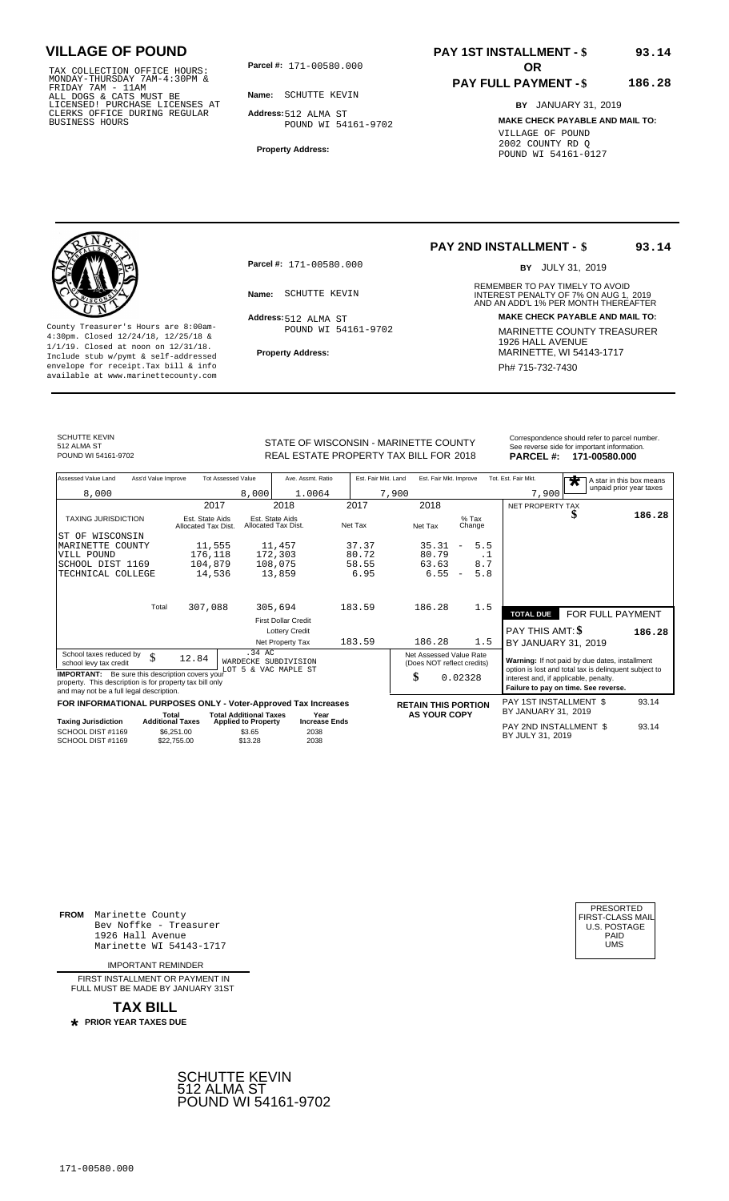TAX COLLECTION OFFICE HOURS:<br>
MONDAY-THURSDAY 7AM-4:30PM &<br>
FRIDAY 7AM - 11AM<br>
ALL DOGS & CATS MUST BE<br>
LICENSED! PURCHASE LICENSES AT<br>
CLERKS OFFICE DURING REGULAR<br>
CLERKS OFFICE DURING REGULAR<br>
BUSINESS HOURS<br>
BUSINESS H

**Parcel #: OR**

**Name:** SCHUTTE KEVIN

**Address:** 512 ALMA ST POUND WI 54161-9702

**Property Address:**

### **PAY 1ST INSTALLMENT - \$ 93.14**

### **PAY FULL PAYMENT - \$**

**BY** JANUARY 31, 2019 **MAKE CHECK PAYABLE AND MAIL TO:** VILLAGE OF POUND 2002 COUNTY RD Q POUND WI 54161-0127



**Property Address:** MARINETTE, WI 54143-1717 Include stub w/pymt & self-addressed envelope for receipt.Tax bill & info Phat is a set of the phat of the Phat 715-732-7430 envelope for receipt.Tax bill & info Phat 715-732-7430 envelope for the phat 715-732-7430 envelope for the phat 715-732-7430 envelope

**Parcel #:** 171-00580.000

Address: 512 ALMA ST POUND WI 54161-9702

# **PAY 2ND INSTALLMENT - \$**

BY JULY 31, 2019

**93.14**

**186.28**

REMEMBER TO PAY TIMELY TO AVOID **Name:** SCHUTTE KEVIN **INTEREST PENALTY OF 7% ON AUG 1, 2019**<br>AND AN ADD'L 1% PER MONTH THEREAFTER **Address: MAKE CHECK PAYABLE AND MAIL TO:** County Treasurer's Hours are 8:00am-<br>
4:30pm. Closed 12/24/18, 12/25/18 & MARINETTE COUNTY TREASURER<br>
1/1/19. Closed at noon on 12/31/18.<br>
Include stub w/pwmt. & self-addressed<br>
Property Address:<br>
MARINETTE, WI 54143-1717

SCHUTTE KEVIN 512 ALMA ST<br>POUND WI 54161-9702

STATE OF WISCONSIN - MARINETTE COUNTY<br>
See reverse side for important information.<br>
REAL ESTATE PROPERTY TAX BILL FOR 2018 PARCEL #: 171-00580.000 REAL ESTATE PROPERTY TAX BILL FOR **PARCEL #:** POUND WI 54161-9702 2018 **171-00580.000**

| Assessed Value Land                                                                                                                                            | Ass'd Value Improve                    | <b>Tot Assessed Value</b>                              | Ave. Assmt. Ratio                      | Est. Fair Mkt. Land |                                                       | Est. Fair Mkt. Improve          | Tot. Est. Fair Mkt.                   | A star in this box means<br>$\bigstar$<br>unpaid prior year taxes                                       |        |
|----------------------------------------------------------------------------------------------------------------------------------------------------------------|----------------------------------------|--------------------------------------------------------|----------------------------------------|---------------------|-------------------------------------------------------|---------------------------------|---------------------------------------|---------------------------------------------------------------------------------------------------------|--------|
| 8,000                                                                                                                                                          |                                        | 8,000                                                  | 1.0064                                 |                     | 7,900                                                 |                                 | 7,900                                 |                                                                                                         |        |
|                                                                                                                                                                | 2017                                   |                                                        | 2018                                   | 2017                | 2018                                                  |                                 | NET PROPERTY TAX                      |                                                                                                         |        |
| <b>TAXING JURISDICTION</b>                                                                                                                                     | Est. State Aids<br>Allocated Tax Dist. |                                                        | Est. State Aids<br>Allocated Tax Dist. | Net Tax             | Net Tax                                               | $%$ Tax<br>Change               |                                       |                                                                                                         | 186.28 |
| WISCONSIN<br>IST OF                                                                                                                                            |                                        |                                                        |                                        |                     |                                                       |                                 |                                       |                                                                                                         |        |
| MARINETTE COUNTY                                                                                                                                               | 11,555                                 |                                                        | 11,457                                 | 37.37               | 35.31                                                 | 5.5<br>$\overline{\phantom{m}}$ |                                       |                                                                                                         |        |
| VILL POUND                                                                                                                                                     | 176,118                                |                                                        | 172,303                                | 80.72               | 80.79                                                 | $\cdot$ 1                       |                                       |                                                                                                         |        |
| SCHOOL DIST 1169                                                                                                                                               | 104,879                                |                                                        | 108,075                                | 58.55               | 63.63                                                 | 8.7                             |                                       |                                                                                                         |        |
| TECHNICAL COLLEGE                                                                                                                                              | 14,536                                 |                                                        | 13,859                                 | 6.95                | 6.55                                                  | 5.8<br>$\overline{\phantom{a}}$ |                                       |                                                                                                         |        |
|                                                                                                                                                                |                                        |                                                        |                                        |                     |                                                       |                                 |                                       |                                                                                                         |        |
|                                                                                                                                                                | 307,088<br>Total                       |                                                        | 305,694                                | 183.59              | 186.28                                                | 1.5                             | <b>TOTAL DUE</b>                      | FOR FULL PAYMENT                                                                                        |        |
|                                                                                                                                                                |                                        |                                                        | <b>First Dollar Credit</b>             |                     |                                                       |                                 |                                       |                                                                                                         |        |
|                                                                                                                                                                |                                        |                                                        | <b>Lottery Credit</b>                  |                     |                                                       |                                 | PAY THIS AMT: \$                      |                                                                                                         | 186.28 |
|                                                                                                                                                                |                                        |                                                        | Net Property Tax                       | 183.59              | 186.28                                                | 1.5                             | BY JANUARY 31, 2019                   |                                                                                                         |        |
| School taxes reduced by<br>school levy tax credit                                                                                                              | \$<br>12.84                            | .34 AC<br>WARDECKE SUBDIVISION<br>LOT 5 & VAC MAPLE ST |                                        |                     | Net Assessed Value Rate<br>(Does NOT reflect credits) |                                 |                                       | Warning: If not paid by due dates, installment<br>option is lost and total tax is delinquent subject to |        |
| <b>IMPORTANT:</b> Be sure this description covers your<br>property. This description is for property tax bill only<br>and may not be a full legal description. |                                        |                                                        |                                        |                     | \$                                                    | 0.02328                         | interest and, if applicable, penalty. | Failure to pay on time. See reverse.                                                                    |        |
| FOR INFORMATIONAL PURPOSES ONLY - Voter-Approved Tax Increases                                                                                                 |                                        |                                                        |                                        |                     | <b>RETAIN THIS PORTION</b>                            |                                 | PAY 1ST INSTALLMENT \$                |                                                                                                         | 93.14  |
|                                                                                                                                                                | Total                                  | <b>Total Additional Taxes</b>                          | Year                                   |                     | <b>AS YOUR COPY</b>                                   |                                 | BY JANUARY 31, 2019                   |                                                                                                         |        |
| <b>Taxing Jurisdiction</b>                                                                                                                                     | <b>Additional Taxes</b>                | <b>Applied to Property</b>                             | <b>Increase Ends</b>                   |                     |                                                       |                                 | PAY 2ND INSTALLMENT \$                |                                                                                                         | 93.14  |
| SCHOOL DIST #1169<br>SCHOOL DIST #1169                                                                                                                         | \$6,251.00<br>\$22,755.00              | \$3.65<br>\$13.28                                      | 2038<br>2038                           |                     |                                                       |                                 | BY JULY 31, 2019                      |                                                                                                         |        |

**FROM** Marinette County Bev Noffke - Treasurer 1926 Hall Avenue PAID Marinette WI 54143-1717 UMS

IMPORTANT REMINDER

FIRST INSTALL MENT OR PAYMENT IN FULL MUST BE MADE BY JANUARY 31ST



| PRESORTED<br>FIRST-CLASS MAIL<br>U.S. POSTAGE<br>PAID |  |
|-------------------------------------------------------|--|
| UMS                                                   |  |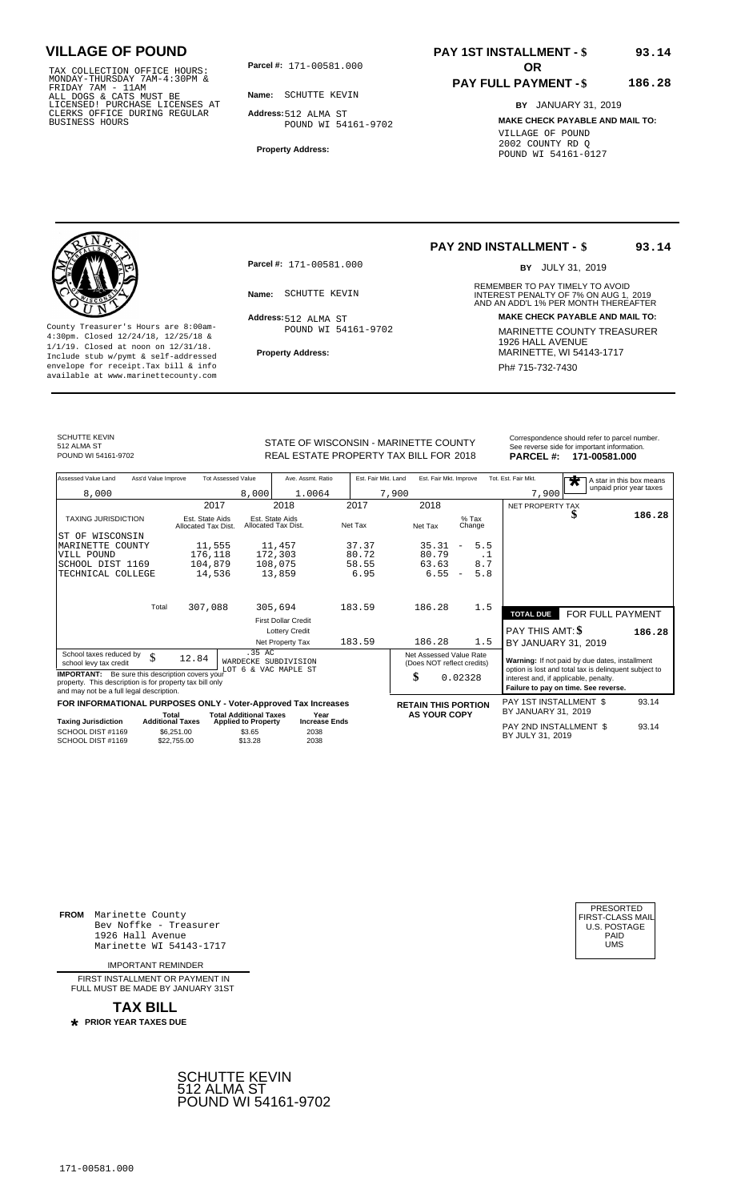TAX COLLECTION OFFICE HOURS:<br>
MONDAY-THURSDAY 7AM-4:30PM &<br>
FRIDAY 7AM - 11AM<br>
ALL DOGS & CATS MUST BE<br>
LICENSED! PURCHASE LICENSES AT<br>
CLERKS OFFICE DURING REGULAR<br>
CLERKS OFFICE DURING REGULAR<br>
BUSINESS HOURS<br>
BUSINESS H

**Parcel #:** 171-00581.000

**Name:** SCHUTTE KEVIN

**Address:** 512 ALMA ST POUND WI 54161-9702

**Property Address:**

### **PAY 1ST INSTALLMENT - \$ 93.14**

#### **PAY FULL PAYMENT - \$ 186.28**

**BY** JANUARY 31, 2019 **MAKE CHECK PAYABLE AND MAIL TO:** VILLAGE OF POUND 2002 COUNTY RD Q POUND WI 54161-0127



**Property Address:** MARINETTE, WI 54143-1717 Include stub w/pymt & self-addressed envelope for receipt.Tax bill & info Phat is a set of the phat of the Phat 715-732-7430 envelope for receipt.Tax bill & info Phat 715-732-7430 envelope for the phat 715-732-7430 envelope for the phat 715-732-7430 envelope

**Parcel #:** 171-00581.000

Address: 512 ALMA ST POUND WI 54161-9702

# **PAY 2ND INSTALLMENT - \$**

BY JULY 31, 2019

**93.14**

REMEMBER TO PAY TIMELY TO AVOID **Name:** SCHUTTE KEVIN **INTEREST PENALTY OF 7% ON AUG 1, 2019**<br>AND AN ADD'L 1% PER MONTH THEREAFTER **Address: MAKE CHECK PAYABLE AND MAIL TO:** County Treasurer's Hours are 8:00am-<br>
4:30pm. Closed 12/24/18, 12/25/18 & MARINETTE COUNTY TREASURER<br>
1/1/19. Closed at noon on 12/31/18.<br>
Include stub w/pwmt. & self-addressed<br>
Property Address:<br>
MARINETTE, WI 54143-1717

SCHUTTE KEVIN 512 ALMA ST<br>POUND WI 54161-9702

STATE OF WISCONSIN - MARINETTE COUNTY<br>
See reverse side for important information.<br>
REAL ESTATE PROPERTY TAX BILL FOR 2018 PARCEL #: 171-00581.000 REAL ESTATE PROPERTY TAX BILL FOR **PARCEL #:** POUND WI 54161-9702 2018 **171-00581.000**

| Assessed Value Land                                                                                                                                            | Ass'd Value Improve                    | <b>Tot Assessed Value</b>      | Ave. Assmt. Ratio                      | Est. Fair Mkt. Land | Est. Fair Mkt. Improve                                |                                 | Tot. Est. Fair Mkt.                                                                                                                    | $\bigstar$                                     | A star in this box means<br>unpaid prior year taxes |
|----------------------------------------------------------------------------------------------------------------------------------------------------------------|----------------------------------------|--------------------------------|----------------------------------------|---------------------|-------------------------------------------------------|---------------------------------|----------------------------------------------------------------------------------------------------------------------------------------|------------------------------------------------|-----------------------------------------------------|
| 8,000                                                                                                                                                          |                                        | 8,000                          | 1.0064                                 |                     | 7,900                                                 |                                 | 7,900                                                                                                                                  |                                                |                                                     |
|                                                                                                                                                                |                                        | 2017                           | 2018                                   | 2017                | 2018                                                  |                                 | NET PROPERTY TAX                                                                                                                       |                                                |                                                     |
| <b>TAXING JURISDICTION</b>                                                                                                                                     | Est. State Aids<br>Allocated Tax Dist. |                                | Est. State Aids<br>Allocated Tax Dist. | Net Tax             | Net Tax                                               | $%$ Tax<br>Change               |                                                                                                                                        | æ                                              | 186.28                                              |
| IST OF WISCONSIN                                                                                                                                               |                                        |                                |                                        |                     |                                                       |                                 |                                                                                                                                        |                                                |                                                     |
| MARINETTE COUNTY                                                                                                                                               | 11,555                                 |                                | 11,457                                 | 37.37               | 35.31                                                 | 5.5<br>$\overline{\phantom{m}}$ |                                                                                                                                        |                                                |                                                     |
| VILL POUND                                                                                                                                                     | 176,118                                |                                | 172,303                                | 80.72               | 80.79                                                 | . 1                             |                                                                                                                                        |                                                |                                                     |
| SCHOOL DIST 1169                                                                                                                                               | 104,879                                |                                | 108,075                                | 58.55               | 63.63                                                 | 8.7                             |                                                                                                                                        |                                                |                                                     |
| TECHNICAL COLLEGE                                                                                                                                              | 14,536                                 |                                | 13,859                                 | 6.95                | 6.55                                                  | 5.8<br>$\overline{\phantom{a}}$ |                                                                                                                                        |                                                |                                                     |
|                                                                                                                                                                | Total<br>307,088                       |                                | 305,694                                | 183.59              | 186.28                                                | 1.5                             |                                                                                                                                        |                                                |                                                     |
|                                                                                                                                                                |                                        |                                |                                        |                     |                                                       |                                 | <b>TOTAL DUE</b>                                                                                                                       | FOR FULL PAYMENT                               |                                                     |
|                                                                                                                                                                |                                        |                                | <b>First Dollar Credit</b>             |                     |                                                       |                                 |                                                                                                                                        |                                                |                                                     |
|                                                                                                                                                                |                                        |                                | <b>Lottery Credit</b>                  |                     |                                                       |                                 | PAY THIS AMT: \$                                                                                                                       |                                                | 186.28                                              |
|                                                                                                                                                                |                                        |                                | Net Property Tax                       | 183.59              | 186.28                                                | 1.5                             | BY JANUARY 31, 2019                                                                                                                    |                                                |                                                     |
| School taxes reduced by<br>school levy tax credit                                                                                                              | \$<br>12.84                            | .35 AC<br>WARDECKE SUBDIVISION |                                        |                     | Net Assessed Value Rate<br>(Does NOT reflect credits) |                                 |                                                                                                                                        | Warning: If not paid by due dates, installment |                                                     |
| <b>IMPORTANT:</b> Be sure this description covers your<br>property. This description is for property tax bill only<br>and may not be a full legal description. |                                        | LOT 6 & VAC MAPLE ST           |                                        |                     | \$<br>0.02328                                         |                                 | option is lost and total tax is delinquent subject to<br>interest and, if applicable, penalty.<br>Failure to pay on time. See reverse. |                                                |                                                     |
| FOR INFORMATIONAL PURPOSES ONLY - Voter-Approved Tax Increases                                                                                                 |                                        |                                |                                        |                     | <b>RETAIN THIS PORTION</b>                            |                                 | PAY 1ST INSTALLMENT \$                                                                                                                 |                                                | 93.14                                               |
|                                                                                                                                                                | Total                                  | <b>Total Additional Taxes</b>  | Year                                   |                     | <b>AS YOUR COPY</b>                                   |                                 | BY JANUARY 31, 2019                                                                                                                    |                                                |                                                     |
| <b>Taxing Jurisdiction</b>                                                                                                                                     | <b>Additional Taxes</b>                | <b>Applied to Property</b>     | <b>Increase Ends</b>                   |                     |                                                       |                                 | PAY 2ND INSTALLMENT \$                                                                                                                 |                                                | 93.14                                               |
| SCHOOL DIST #1169<br>SCHOOL DIST #1169                                                                                                                         | \$6,251.00<br>\$22,755.00              | \$3.65<br>\$13.28              | 2038<br>2038                           |                     |                                                       |                                 | BY JULY 31, 2019                                                                                                                       |                                                |                                                     |

**FROM** Marinette County Bev Noffke - Treasurer 1926 Hall Avenue PAID Marinette WI 54143-1717 UMS

IMPORTANT REMINDER

FIRST INSTALL MENT OR PAYMENT IN FULL MUST BE MADE BY JANUARY 31ST



| PRESORTED<br>FIRST-CLASS MAIL<br>U.S. POSTAGE<br>PAID |  |
|-------------------------------------------------------|--|
| UMS                                                   |  |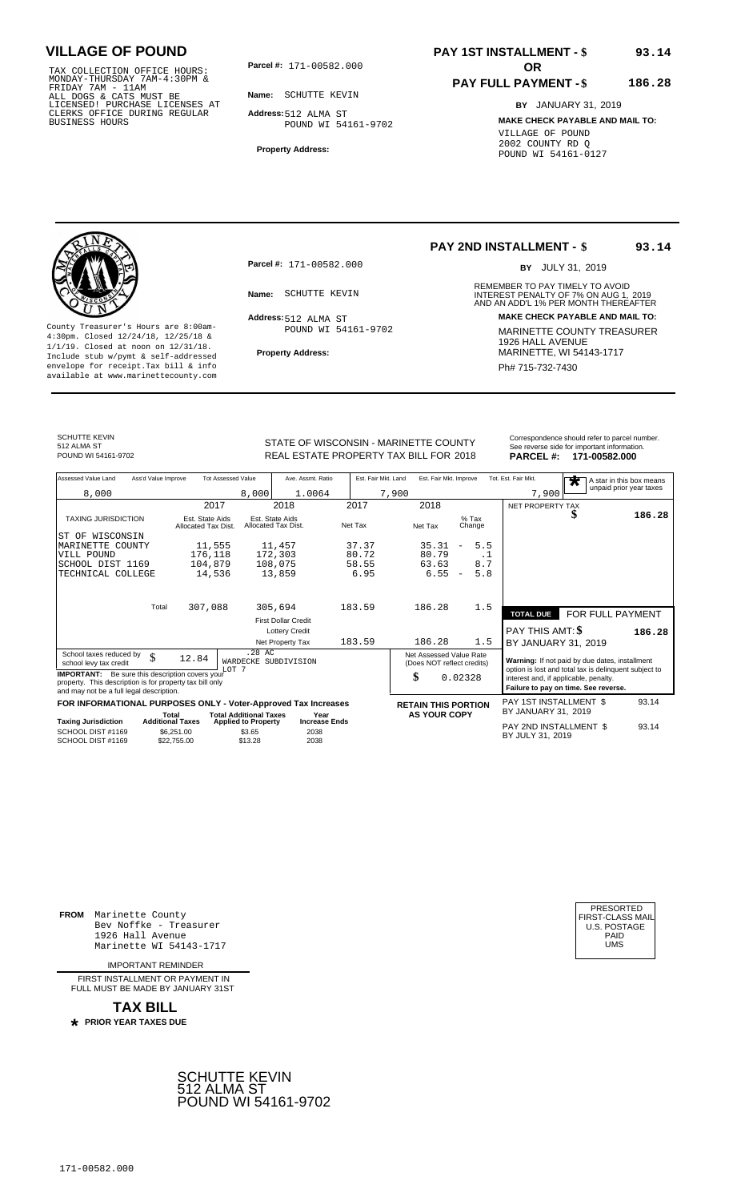TAX COLLECTION OFFICE HOURS:<br>
MONDAY-THURSDAY 7AM-4:30PM &<br>
FRIDAY 7AM - 11AM<br>
ALL DOGS & CATS MUST BE<br>
LICENSED! PURCHASE LICENSES AT<br>
CLERKS OFFICE DURING REGULAR<br>
CLERKS OFFICE DURING REGULAR<br>
BUSINESS HOURS<br>
BUSINESS H

**Parcel #: OR**

**Name:** SCHUTTE KEVIN **Address:** 512 ALMA ST POUND WI 54161-9702

**Property Address:**

### **PAY 1ST INSTALLMENT - \$ 93.14**

#### **PAY FULL PAYMENT - \$ 186.28**

**BY** JANUARY 31, 2019 **MAKE CHECK PAYABLE AND MAIL TO:** VILLAGE OF POUND 2002 COUNTY RD Q POUND WI 54161-0127

**Property Address:** MARINETTE, WI 54143-1717 Include stub w/pymt & self-addressed envelope for receipt.Tax bill & info Phat is a set of the phat of the Phat 715-732-7430 envelope for receipt.Tax bill & info Phat 715-732-7430 envelope for the phat 715-732-7430 envelope for the phat 715-732-7430 envelope

**Parcel #:** 171-00582.000

Address: 512 ALMA ST POUND WI 54161-9702

## **PAY 2ND INSTALLMENT - \$**

BY JULY 31, 2019

**93.14**

REMEMBER TO PAY TIMELY TO AVOID **Name:** SCHUTTE KEVIN **INTEREST PENALTY OF 7% ON AUG 1, 2019**<br>AND AN ADD'L 1% PER MONTH THEREAFTER **Address: MAKE CHECK PAYABLE AND MAIL TO:** County Treasurer's Hours are 8:00am-<br>
4:30pm. Closed 12/24/18, 12/25/18 & MARINETTE COUNTY TREASURER<br>
1/1/19. Closed at noon on 12/31/18.<br>
Include stub w/pwmt. & self-addressed<br>
Property Address:<br>
MARINETTE, WI 54143-1717

SCHUTTE KEVIN 512 ALMA ST<br>POUND WI 54161-9702

STATE OF WISCONSIN - MARINETTE COUNTY<br>
See reverse side for important information.<br>
REAL ESTATE PROPERTY TAX BILL FOR 2018 PARCEL #: 171-00582.000 REAL ESTATE PROPERTY TAX BILL FOR **PARCEL #:** POUND WI 54161-9702 2018 **171-00582.000**

| Assessed Value Land                                                                                                                                            | Ass'd Value Improve       | <b>Tot Assessed Value</b>              |                                        | Ave. Assmt. Ratio          | Est. Fair Mkt. Land |                                                       | Est. Fair Mkt. Improve |                          |     | Tot. Est. Fair Mkt.                                                                                     | $\overline{\textbf{r}}$ | A star in this box means<br>unpaid prior year taxes |
|----------------------------------------------------------------------------------------------------------------------------------------------------------------|---------------------------|----------------------------------------|----------------------------------------|----------------------------|---------------------|-------------------------------------------------------|------------------------|--------------------------|-----|---------------------------------------------------------------------------------------------------------|-------------------------|-----------------------------------------------------|
| 8,000                                                                                                                                                          |                           |                                        | 8,000                                  | 1.0064                     |                     | 7,900                                                 |                        |                          |     | 7,900                                                                                                   |                         |                                                     |
|                                                                                                                                                                |                           | 2017                                   |                                        | 2018                       | 2017                | 2018                                                  |                        |                          |     | NET PROPERTY TAX                                                                                        |                         |                                                     |
| <b>TAXING JURISDICTION</b>                                                                                                                                     |                           | Est. State Aids<br>Allocated Tax Dist. | Est. State Aids<br>Allocated Tax Dist. |                            | Net Tax             | Net Tax                                               |                        | $%$ Tax<br>Change        |     |                                                                                                         |                         | 186.28                                              |
| WISCONSIN<br>ST OF                                                                                                                                             |                           |                                        |                                        |                            |                     |                                                       |                        |                          |     |                                                                                                         |                         |                                                     |
| MARINETTE COUNTY                                                                                                                                               |                           | 11,555                                 |                                        | 11,457                     | 37.37               |                                                       | 35.31                  | $\overline{\phantom{m}}$ | 5.5 |                                                                                                         |                         |                                                     |
| VILL POUND                                                                                                                                                     |                           | 176,118                                | 172,303                                |                            | 80.72               |                                                       | 80.79                  |                          | . 1 |                                                                                                         |                         |                                                     |
| SCHOOL DIST 1169                                                                                                                                               |                           | 104,879                                | 108,075                                |                            | 58.55               |                                                       | 63.63                  |                          | 8.7 |                                                                                                         |                         |                                                     |
| TECHNICAL COLLEGE                                                                                                                                              |                           | 14,536                                 |                                        | 13,859                     | 6.95                |                                                       | 6.55                   | $\overline{\phantom{a}}$ | 5.8 |                                                                                                         |                         |                                                     |
|                                                                                                                                                                | Total                     | 307,088                                | 305,694                                |                            | 183.59              | 186.28                                                |                        |                          | 1.5 |                                                                                                         |                         |                                                     |
|                                                                                                                                                                |                           |                                        |                                        |                            |                     |                                                       |                        |                          |     | <b>TOTAL DUE</b>                                                                                        |                         | <b>FOR FULL PAYMENT</b>                             |
|                                                                                                                                                                |                           |                                        |                                        | <b>First Dollar Credit</b> |                     |                                                       |                        |                          |     |                                                                                                         |                         |                                                     |
|                                                                                                                                                                |                           |                                        |                                        | <b>Lottery Credit</b>      |                     |                                                       |                        |                          |     | PAY THIS AMT: \$                                                                                        |                         | 186.28                                              |
|                                                                                                                                                                |                           |                                        |                                        | Net Property Tax           | 183.59              | 186.28                                                |                        |                          | 1.5 | BY JANUARY 31, 2019                                                                                     |                         |                                                     |
| School taxes reduced by<br>school levy tax credit                                                                                                              | \$<br>12.84               | LOT <sub>7</sub>                       | .28 AC                                 | WARDECKE SUBDIVISION       |                     | Net Assessed Value Rate<br>(Does NOT reflect credits) |                        |                          |     | Warning: If not paid by due dates, installment<br>option is lost and total tax is delinquent subject to |                         |                                                     |
| <b>IMPORTANT:</b> Be sure this description covers your<br>property. This description is for property tax bill only<br>and may not be a full legal description. |                           |                                        |                                        |                            |                     | \$                                                    |                        | 0.02328                  |     | interest and, if applicable, penalty.<br>Failure to pay on time. See reverse.                           |                         |                                                     |
| FOR INFORMATIONAL PURPOSES ONLY - Voter-Approved Tax Increases                                                                                                 |                           |                                        |                                        |                            |                     | <b>RETAIN THIS PORTION</b>                            |                        |                          |     | PAY 1ST INSTALLMENT \$                                                                                  |                         | 93.14                                               |
|                                                                                                                                                                | Total                     |                                        | <b>Total Additional Taxes</b>          | Year                       |                     | <b>AS YOUR COPY</b>                                   |                        |                          |     | BY JANUARY 31, 2019                                                                                     |                         |                                                     |
| <b>Taxing Jurisdiction</b>                                                                                                                                     | <b>Additional Taxes</b>   |                                        | <b>Applied to Property</b>             | <b>Increase Ends</b>       |                     |                                                       |                        |                          |     | PAY 2ND INSTALLMENT \$                                                                                  |                         | 93.14                                               |
| SCHOOL DIST #1169<br>SCHOOL DIST #1169                                                                                                                         | \$6,251.00<br>\$22,755.00 |                                        | \$3.65<br>\$13.28                      | 2038<br>2038               |                     |                                                       |                        |                          |     | BY JULY 31, 2019                                                                                        |                         |                                                     |

**FROM** Marinette County Bev Noffke - Treasurer 1926 Hall Avenue PAID Marinette WI 54143-1717 UMS

IMPORTANT REMINDER

FIRST INSTALL MENT OR PAYMENT IN FULL MUST BE MADE BY JANUARY 31ST



| PRESORTED<br>FIRST-CLASS MAIL<br><b>U.S. POSTAGE</b><br>PAID<br>UMS |  |
|---------------------------------------------------------------------|--|
|---------------------------------------------------------------------|--|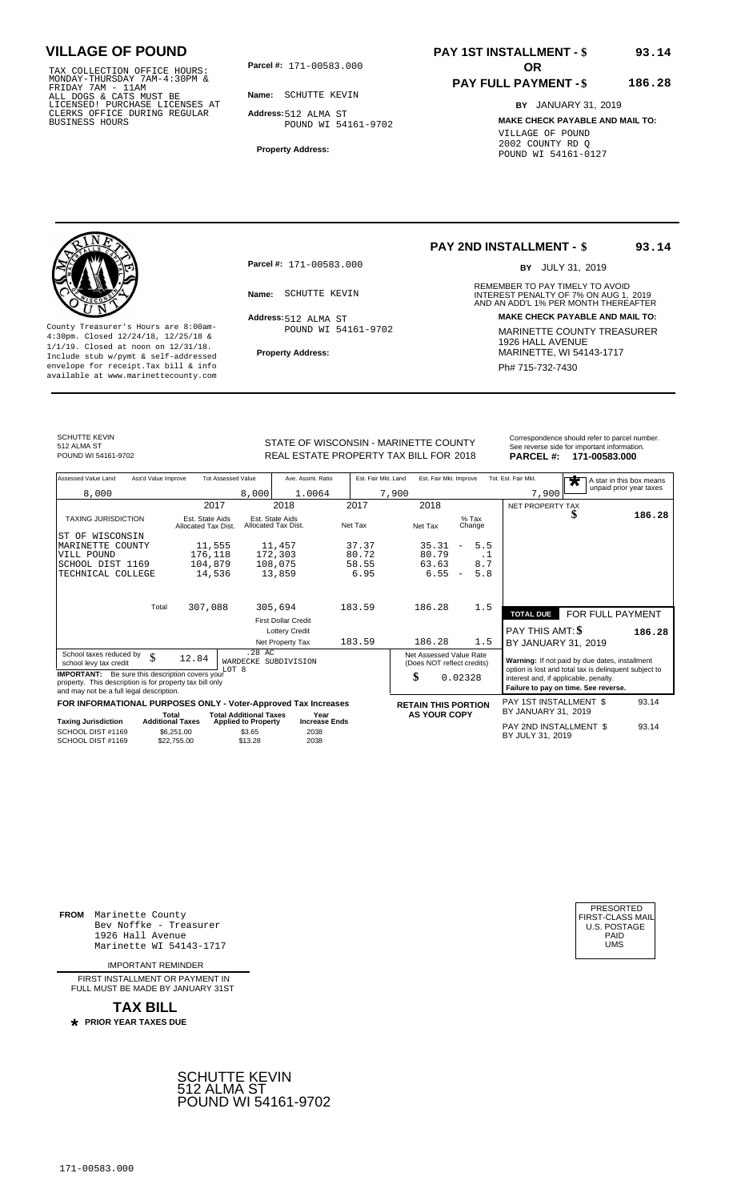TAX COLLECTION OFFICE HOURS:<br>
MONDAY-THURSDAY 7AM-4:30PM &<br>
FRIDAY 7AM - 11AM<br>
ALL DOGS & CATS MUST BE<br>
LICENSED! PURCHASE LICENSES AT<br>
CLERKS OFFICE DURING REGULAR<br>
CLERKS OFFICE DURING REGULAR<br>
BUSINESS HOURS<br>
BUSINESS H

**Parcel #: OR**

**Name:** SCHUTTE KEVIN

**Address:** 512 ALMA ST POUND WI 54161-9702

**Property Address:**

### **PAY 1ST INSTALLMENT - \$ 93.14**

### **PAY FULL PAYMENT - \$**

**BY** JANUARY 31, 2019 **MAKE CHECK PAYABLE AND MAIL TO:** VILLAGE OF POUND 2002 COUNTY RD Q POUND WI 54161-0127



**Property Address:** MARINETTE, WI 54143-1717 Include stub w/pymt & self-addressed envelope for receipt.Tax bill & info Phat is a set of the phat of the Phat 715-732-7430 envelope for receipt.Tax bill & info Phat 715-732-7430 envelope for the phat 715-732-7430 envelope for the phat 715-732-7430 envelope

**Parcel #:** 171-00583.000

Address: 512 ALMA ST POUND WI 54161-9702

## **PAY 2ND INSTALLMENT - \$**

BY JULY 31, 2019

**93.14**

**186.28**

REMEMBER TO PAY TIMELY TO AVOID **Name:** SCHUTTE KEVIN **INTEREST PENALTY OF 7% ON AUG 1, 2019**<br>AND AN ADD'L 1% PER MONTH THEREAFTER **Address: MAKE CHECK PAYABLE AND MAIL TO:** County Treasurer's Hours are 8:00am-<br>
4:30pm. Closed 12/24/18, 12/25/18 & MARINETTE COUNTY TREASURER<br>
1/1/19. Closed at noon on 12/31/18.<br>
Include stub w/pwmt. & self-addressed<br>
Property Address:<br>
MARINETTE, WI 54143-1717

SCHUTTE KEVIN 512 ALMA ST<br>POUND WI 54161-9702

STATE OF WISCONSIN - MARINETTE COUNTY<br>
See reverse side for important information.<br>
REAL ESTATE PROPERTY TAX BILL FOR 2018 PARCEL #: 171-00583.000 REAL ESTATE PROPERTY TAX BILL FOR **PARCEL #:** POUND WI 54161-9702 2018 **171-00583.000**

| Assessed Value Land                                                                                                                                            | Ass'd Value Improve                    | <b>Tot Assessed Value</b>               | Ave. Assmt. Ratio                      | Est. Fair Mkt. Land | Est. Fair Mkt. Improve                                |                                 | Tot. Est. Fair Mkt.                   | A star in this box means<br>$\bigstar$                                                                  |        |
|----------------------------------------------------------------------------------------------------------------------------------------------------------------|----------------------------------------|-----------------------------------------|----------------------------------------|---------------------|-------------------------------------------------------|---------------------------------|---------------------------------------|---------------------------------------------------------------------------------------------------------|--------|
| 8,000                                                                                                                                                          |                                        | 8,000                                   | 1.0064                                 |                     | 7,900                                                 |                                 | 7,900                                 | unpaid prior year taxes                                                                                 |        |
|                                                                                                                                                                |                                        | 2017                                    | 2018                                   | 2017                | 2018                                                  |                                 | NET PROPERTY TAX                      |                                                                                                         |        |
| <b>TAXING JURISDICTION</b>                                                                                                                                     | Est. State Aids<br>Allocated Tax Dist. |                                         | Est. State Aids<br>Allocated Tax Dist. | Net Tax             | Net Tax                                               | $%$ Tax<br>Change               |                                       | S                                                                                                       | 186.28 |
| ST OF WISCONSIN                                                                                                                                                |                                        |                                         |                                        |                     |                                                       |                                 |                                       |                                                                                                         |        |
| MARINETTE<br>COUNTY                                                                                                                                            |                                        | 11,555                                  | 11,457                                 | 37.37               | 35.31                                                 | 5.5                             |                                       |                                                                                                         |        |
| VILL POUND                                                                                                                                                     | 176,118                                |                                         | 172,303                                | 80.72               | 80.79                                                 | $\cdot$ 1                       |                                       |                                                                                                         |        |
| SCHOOL DIST 1169                                                                                                                                               | 104,879                                |                                         | 108,075                                | 58.55               | 63.63                                                 | 8.7                             |                                       |                                                                                                         |        |
| TECHNICAL COLLEGE                                                                                                                                              |                                        | 14,536                                  | 13,859                                 | 6.95                | 6.55                                                  | 5.8<br>$\overline{\phantom{a}}$ |                                       |                                                                                                         |        |
|                                                                                                                                                                | 307,088<br>Total                       |                                         | 305,694                                | 183.59              | 186.28                                                | 1.5                             |                                       |                                                                                                         |        |
|                                                                                                                                                                |                                        |                                         |                                        |                     |                                                       |                                 | <b>TOTAL DUE</b>                      | FOR FULL PAYMENT                                                                                        |        |
|                                                                                                                                                                |                                        |                                         | <b>First Dollar Credit</b>             |                     |                                                       |                                 |                                       |                                                                                                         |        |
|                                                                                                                                                                |                                        |                                         | <b>Lottery Credit</b>                  |                     |                                                       |                                 | PAY THIS AMT: \$                      |                                                                                                         | 186.28 |
|                                                                                                                                                                |                                        |                                         | Net Property Tax                       | 183.59              | 186.28                                                | 1.5                             | BY JANUARY 31, 2019                   |                                                                                                         |        |
| School taxes reduced by<br>school levy tax credit                                                                                                              | \$<br>12.84                            | .28 AC<br>WARDECKE SUBDIVISION<br>LOT 8 |                                        |                     | Net Assessed Value Rate<br>(Does NOT reflect credits) |                                 |                                       | Warning: If not paid by due dates, installment<br>option is lost and total tax is delinquent subject to |        |
| <b>IMPORTANT:</b> Be sure this description covers your<br>property. This description is for property tax bill only<br>and may not be a full legal description. |                                        |                                         |                                        |                     | \$                                                    | 0.02328                         | interest and, if applicable, penalty. | Failure to pay on time. See reverse.                                                                    |        |
| FOR INFORMATIONAL PURPOSES ONLY - Voter-Approved Tax Increases                                                                                                 |                                        |                                         |                                        |                     | <b>RETAIN THIS PORTION</b>                            |                                 | PAY 1ST INSTALLMENT \$                |                                                                                                         | 93.14  |
|                                                                                                                                                                | Total                                  | <b>Total Additional Taxes</b>           | Year                                   |                     | <b>AS YOUR COPY</b>                                   |                                 | BY JANUARY 31, 2019                   |                                                                                                         |        |
| <b>Taxing Jurisdiction</b>                                                                                                                                     | <b>Additional Taxes</b>                | <b>Applied to Property</b>              | <b>Increase Ends</b>                   |                     |                                                       |                                 | PAY 2ND INSTALLMENT \$                |                                                                                                         | 93.14  |
| SCHOOL DIST #1169<br>SCHOOL DIST #1169                                                                                                                         | \$6,251.00<br>\$22,755.00              | \$3.65<br>\$13.28                       | 2038<br>2038                           |                     |                                                       |                                 | BY JULY 31, 2019                      |                                                                                                         |        |

**FROM** Marinette County Bev Noffke - Treasurer 1926 Hall Avenue PAID Marinette WI 54143-1717 UMS

IMPORTANT REMINDER

FIRST INSTALL MENT OR PAYMENT IN FULL MUST BE MADE BY JANUARY 31ST



| PRESORTED<br>FIRST-CLASS MAIL<br>U.S. POSTAGE<br>PAID |  |
|-------------------------------------------------------|--|
| UMS                                                   |  |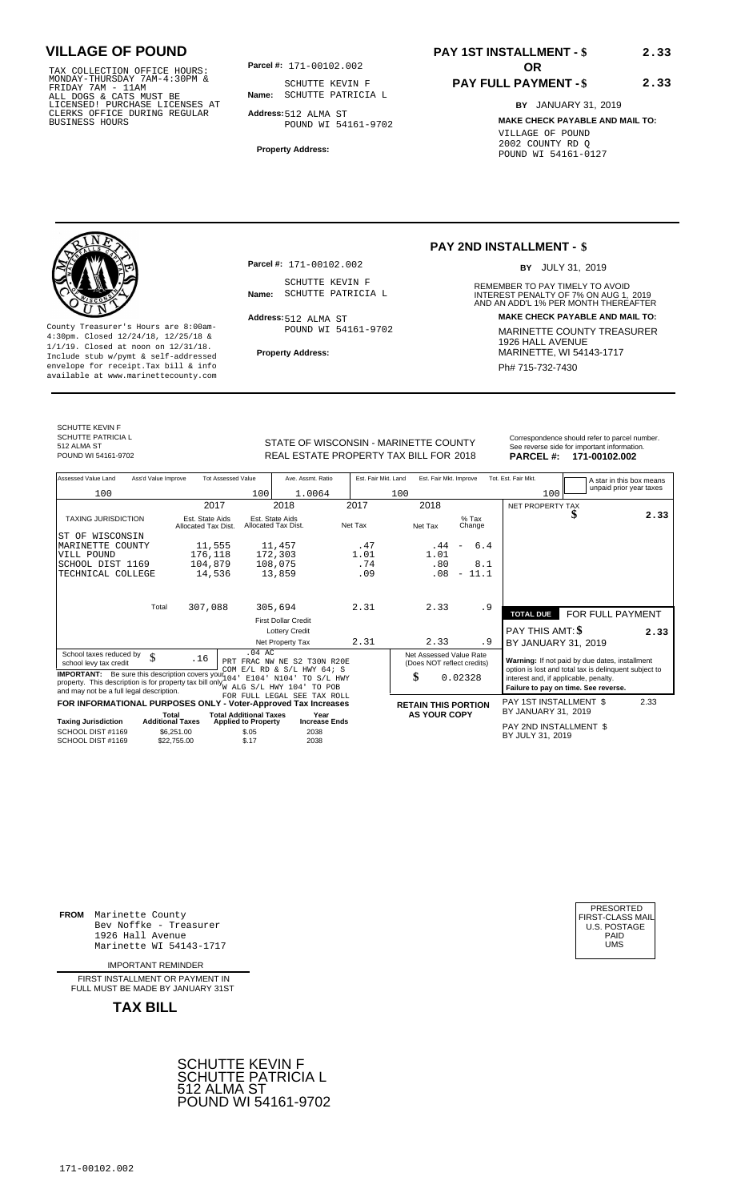TAX COLLECTION OFFICE HOURS:<br>
MONDAY-THURSDAY 7AM-4:30PM &<br>
FRIDAY 7AM - 11AM<br>
ALL DOGS & CATS MUST BE<br>
LICENSED! PURCHASE LICENSES AT<br>
CLERKS OFFICE DURING REGULAR<br>
CLERKS OFFICE DURING REGULAR<br>
BUSINESS HOURS<br>
BUSINESS H

**Parcel #: OR**

**Name:** SCHUTTE PATRICIA L SCHUTTE KEVIN F

**Address:** 512 ALMA ST POUND WI 54161-9702

**Property Address:**

# **PAY 1ST INSTALLMENT - \$**

## **PAY FULL PAYMENT - \$**

**BY** JANUARY 31, 2019 **MAKE CHECK PAYABLE AND MAIL TO:** VILLAGE OF POUND 2002 COUNTY RD Q POUND WI 54161-0127

**2.33**

**2.33**



**Property Address:** MARINETTE, WI 54143-1717 Include stub w/pymt & self-addressed envelope for receipt.Tax bill & info Phat is a set of the phat of the Phat 715-732-7430 envelope for receipt.Tax bill & info Phat 715-732-7430 envelope for the phat 715-732-7430 envelope for the phat 715-732-7430 envelope

**Parcel #:** 171-00102.002

SCHUTTE KEVIN F<br>Name: SCHUTTE PATRICIA L

Address: 512 ALMA ST POUND WI 54161-9702

## **PAY 2ND INSTALLMENT - \$**

BY JULY 31, 2019

REMEMBER TO PAY TIMELY TO AVOID **Name:** SCHUTTE PATRICIA L<br>
AND AN ADD'L 1% PER MONTH THEREAFTER **Address: MAKE CHECK PAYABLE AND MAIL TO:** County Treasurer's Hours are 8:00am-<br>
4:30pm. Closed 12/24/18, 12/25/18 & MARINETTE COUNTY TREASURER<br>
1/1/19. Closed at noon on 12/31/18.<br>
Include stub w/pwmt. & self-addressed<br>
Property Address:<br>
MARINETTE, WI 54143-1717

SCHUTTE KEVIN F SCHUTTE PATRICIA L

STATE OF WISCONSIN - MARINETTE COUNTY<br>
See reverse side for important information.<br>
REAL ESTATE PROPERTY TAX BILL FOR 2018 PARCEL #: 171-00102.002 REAL ESTATE PROPERTY TAX BILL FOR **PARCEL #:** POUND WI 54161-9702 2018 **171-00102.002**

| Assessed Value Land                                                                                                                                                                                                                                   | Ass'd Value Improve       |                                        | <b>Tot Assessed Value</b>     | Ave. Assmt. Ratio                                         | Est. Fair Mkt. Land | Est. Fair Mkt. Improve                                |                                  | Tot. Est. Fair Mkt.                   | A star in this box means<br>unpaid prior year taxes                                                     |  |
|-------------------------------------------------------------------------------------------------------------------------------------------------------------------------------------------------------------------------------------------------------|---------------------------|----------------------------------------|-------------------------------|-----------------------------------------------------------|---------------------|-------------------------------------------------------|----------------------------------|---------------------------------------|---------------------------------------------------------------------------------------------------------|--|
| 100                                                                                                                                                                                                                                                   |                           |                                        | 100                           | 1.0064                                                    |                     | 100                                                   |                                  | 100                                   |                                                                                                         |  |
|                                                                                                                                                                                                                                                       |                           | 2017                                   |                               | 2018                                                      | 2017                | 2018                                                  |                                  | NET PROPERTY TAX                      |                                                                                                         |  |
| <b>TAXING JURISDICTION</b>                                                                                                                                                                                                                            |                           | Est. State Aids<br>Allocated Tax Dist. |                               | Est. State Aids<br>Allocated Tax Dist.                    | Net Tax             | Net Tax                                               | $%$ Tax<br>Change                |                                       | 2.33                                                                                                    |  |
| WISCONSIN<br>ST OF                                                                                                                                                                                                                                    |                           |                                        |                               |                                                           |                     |                                                       |                                  |                                       |                                                                                                         |  |
| MARINETTE COUNTY                                                                                                                                                                                                                                      |                           | 11,555                                 |                               | 11,457                                                    | .47                 | .44                                                   | 6.4<br>$\overline{\phantom{m}}$  |                                       |                                                                                                         |  |
| VILL POUND                                                                                                                                                                                                                                            |                           | 176,118                                |                               | 172,303                                                   | 1.01                | 1.01                                                  |                                  |                                       |                                                                                                         |  |
| SCHOOL DIST 1169                                                                                                                                                                                                                                      |                           | 104,879                                |                               | 108,075                                                   | .74                 | .80                                                   | 8.1                              |                                       |                                                                                                         |  |
| TECHNICAL COLLEGE                                                                                                                                                                                                                                     |                           | 14,536                                 |                               | 13,859                                                    | .09                 | .08                                                   | 11.1<br>$\overline{\phantom{a}}$ |                                       |                                                                                                         |  |
|                                                                                                                                                                                                                                                       | Total                     | 307,088                                |                               | 305,694                                                   | 2.31                | 2.33                                                  | . 9                              |                                       |                                                                                                         |  |
|                                                                                                                                                                                                                                                       |                           |                                        |                               | <b>First Dollar Credit</b>                                |                     |                                                       |                                  | <b>TOTAL DUE</b>                      | FOR FULL PAYMENT                                                                                        |  |
|                                                                                                                                                                                                                                                       |                           |                                        |                               | <b>Lottery Credit</b>                                     |                     |                                                       |                                  | <b>PAY THIS AMT: \$</b>               | 2.33                                                                                                    |  |
|                                                                                                                                                                                                                                                       |                           |                                        |                               | Net Property Tax                                          | 2.31                | 2.33                                                  | . 9                              | BY JANUARY 31, 2019                   |                                                                                                         |  |
| School taxes reduced by<br>school levy tax credit                                                                                                                                                                                                     | \$                        | .16                                    | $.04$ AC                      | PRT FRAC NW NE S2 T30N R20E<br>COM E/L RD & S/L HWY 64; S |                     | Net Assessed Value Rate<br>(Does NOT reflect credits) |                                  |                                       | Warning: If not paid by due dates, installment<br>option is lost and total tax is delinquent subject to |  |
| <b>IMPORTANT:</b> Be sure this description covers your 104<br>property. This description is for property tax bill only $_{\text{W ALG S/L HWY 104}}^{\text{2.2}}$ and $_{\text{2.1}}$ and $_{\text{2.1}}$<br>and may not be a full legal description. |                           |                                        | E104' N104'                   | TO S/L HWY                                                |                     | \$                                                    | 0.02328                          | interest and, if applicable, penalty. | Failure to pay on time. See reverse.                                                                    |  |
| FOR INFORMATIONAL PURPOSES ONLY - Voter-Approved Tax Increases                                                                                                                                                                                        |                           |                                        |                               | FOR FULL LEGAL SEE TAX ROLL                               |                     | <b>RETAIN THIS PORTION</b>                            |                                  | PAY 1ST INSTALLMENT \$                | 2.33                                                                                                    |  |
|                                                                                                                                                                                                                                                       | Total                     |                                        | <b>Total Additional Taxes</b> | Year                                                      |                     | <b>AS YOUR COPY</b>                                   |                                  | BY JANUARY 31, 2019                   |                                                                                                         |  |
| <b>Taxing Jurisdiction</b>                                                                                                                                                                                                                            | <b>Additional Taxes</b>   |                                        | <b>Applied to Property</b>    | <b>Increase Ends</b>                                      |                     |                                                       |                                  | PAY 2ND INSTALLMENT \$                |                                                                                                         |  |
| SCHOOL DIST #1169<br>SCHOOL DIST #1169                                                                                                                                                                                                                | \$6,251.00<br>\$22,755.00 |                                        | \$.05<br>\$.17                | 2038<br>2038                                              |                     |                                                       |                                  | BY JULY 31, 2019                      |                                                                                                         |  |

**FROM** Marinette County Bev Noffke - Treasurer (U.S. POSTAGE)<br>1926 Hall Avenue (U.S. POSTAGE)<br>Marinette WI 54143-1717 (U.S. POSTAGE) 1926 Hall Avenue PAID Marinette WI 54143-1717 UMS

IMPORTANT REMINDER

FIRST INSTALLMENT OR PAYMENT IN FULL MUST BE MADE BY JANUARY 31ST

**TAX BILL**





512 ALMA ST<br>POUND WI 54161-9702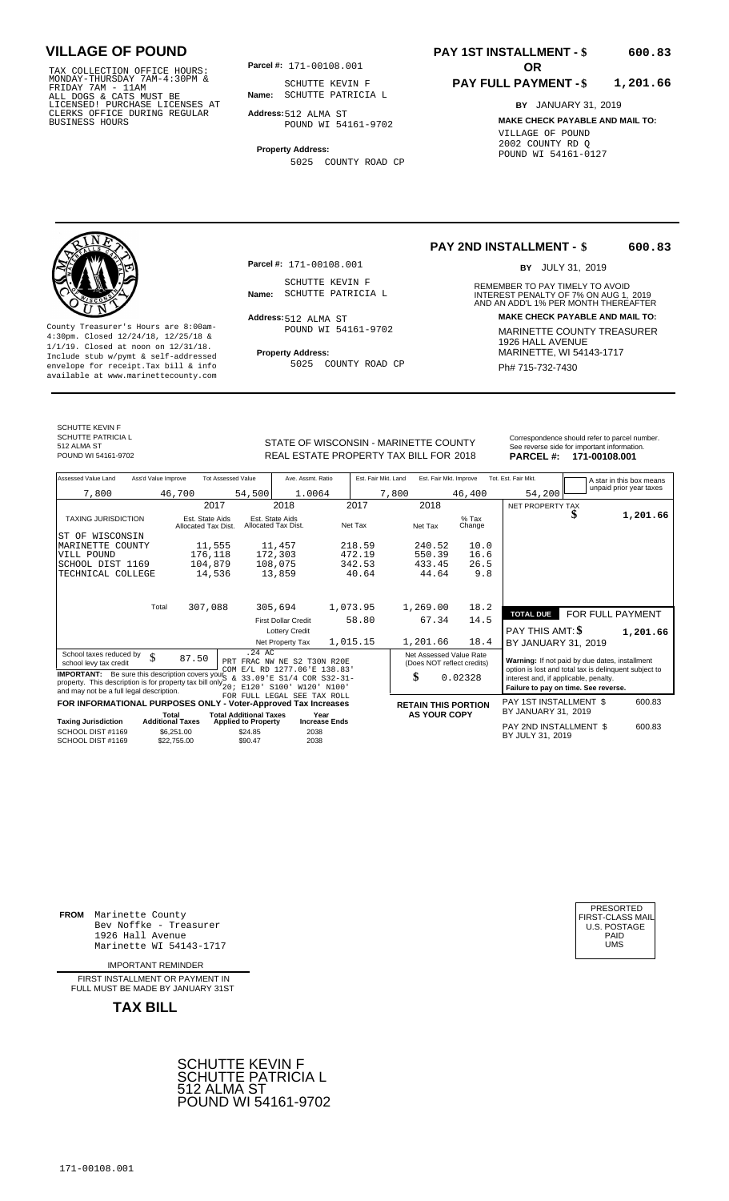TAX COLLECTION OFFICE HOURS:<br>
MONDAY-THURSDAY 7AM-4:30PM &<br>
FRIDAY 7AM - 11AM<br>
ALL DOGS & CATS MUST BE<br>
LICENSED! PURCHASE LICENSES AT<br>
CLERKS OFFICE DURING REGULAR<br>
CLERKS OFFICE DURING REGULAR<br>
BUSINESS HOURS<br>
BUSINESS H

**Parcel #: OR**

**Name:** SCHUTTE PATRICIA L SCHUTTE KEVIN F

**Address:** 512 ALMA ST POUND WI 54161-9702

**Property Address:** 5025 COUNTY ROAD CP

## **PAY 1ST INSTALLMENT - \$**

#### **PAY FULL PAYMENT - \$ 1,201.66**

**BY** JANUARY 31, 2019 **MAKE CHECK PAYABLE AND MAIL TO:** VILLAGE OF POUND 2002 COUNTY RD Q POUND WI 54161-0127

**600.83**



**Property Address:** MARINETTE, WI 54143-1717 Include stub w/pymt & self-addressed envelope for receipt.Tax bill & info Ph# 715-732-7430 available at www.marinettecounty.com

**Parcel #:** 171-00108.001

SCHUTTE KEVIN F<br>Name: SCHUTTE PATRICIA L

Address: 512 ALMA ST POUND WI 54161-9702

5025 COUNTY ROAD CP

**PAY 2ND INSTALLMENT - \$ 600.83**

BY JULY 31, 2019

REMEMBER TO PAY TIMELY TO AVOID **Name:** SCHUTTE PATRICIA L<br>
AND AN ADD'L 1% PER MONTH THEREAFTER **Address: MAKE CHECK PAYABLE AND MAIL TO:** County Treasurer's Hours are 8:00am-<br>
4:30pm. Closed 12/24/18, 12/25/18 & MARINETTE COUNTY TREASURER<br>
1/1/19. Closed at noon on 12/31/18.<br>
Include stub w/pwmt. & self-addressed<br>
Property Address:<br>
MARINETTE, WI 54143-1717

SCHUTTE KEVIN F SCHUTTE PATRICIA L 512 ALMA ST<br>POUND WI 54161-9702

STATE OF WISCONSIN - MARINETTE COUNTY REAL ESTATE PROPERTY TAX BILL FOR **PARCEL #:** POUND WI 54161-9702 2018 **171-00108.001**

| Correspondence should refer to parcel number. |
|-----------------------------------------------|
| See reverse side for important information.   |
| $DADCET$ #<br>171-00108 001                   |

| See reverse side for important importation.<br>PARCEL #: 171-00108.001 |
|------------------------------------------------------------------------|
|                                                                        |

| Assessed Value Land                                                     | Ass'd Value Improve              |                                        | <b>Tot Assessed Value</b>                                   | Ave. Assmt. Ratio                      |                              |        | Est. Fair Mkt. Land |                     | Est. Fair Mkt. Improve     | Tot. Est. Fair Mkt.                                                                                     |                  | A star in this box means |
|-------------------------------------------------------------------------|----------------------------------|----------------------------------------|-------------------------------------------------------------|----------------------------------------|------------------------------|--------|---------------------|---------------------|----------------------------|---------------------------------------------------------------------------------------------------------|------------------|--------------------------|
| 7,800                                                                   |                                  | 46,700                                 | 54,500                                                      | 1.0064                                 |                              |        | 7,800               |                     | 46,400                     | 54,200                                                                                                  |                  | unpaid prior year taxes  |
|                                                                         |                                  | 2017                                   |                                                             | 2018                                   |                              | 2017   |                     | 2018                |                            | NET PROPERTY TAX                                                                                        |                  |                          |
| <b>TAXING JURISDICTION</b>                                              |                                  | Est. State Aids<br>Allocated Tax Dist. |                                                             | Est. State Aids<br>Allocated Tax Dist. | Net Tax                      |        |                     | Net Tax             | $%$ Tax<br>Change          |                                                                                                         | æ                | 1,201.66                 |
| ST OF WISCONSIN                                                         |                                  |                                        |                                                             |                                        |                              |        |                     |                     |                            |                                                                                                         |                  |                          |
| COUNTY<br>MARINETTE                                                     |                                  | 11,555                                 |                                                             | 11,457                                 |                              | 218.59 |                     | 240.52              | 10.0                       |                                                                                                         |                  |                          |
| VILL POUND                                                              |                                  | 176,118                                |                                                             | 172,303                                |                              | 472.19 |                     | 550.39              | 16.6                       |                                                                                                         |                  |                          |
| SCHOOL DIST 1169                                                        |                                  | 104,879                                |                                                             | 108,075                                |                              | 342.53 |                     | 433.45              | 26.5                       |                                                                                                         |                  |                          |
| TECHNICAL COLLEGE                                                       |                                  | 14,536                                 |                                                             | 13,859                                 |                              | 40.64  |                     | 44.64               | 9.8                        |                                                                                                         |                  |                          |
|                                                                         |                                  |                                        |                                                             |                                        |                              |        |                     |                     |                            |                                                                                                         |                  |                          |
|                                                                         |                                  |                                        |                                                             |                                        |                              |        |                     |                     |                            |                                                                                                         |                  |                          |
|                                                                         | Total                            | 307,088                                |                                                             | 305,694                                | 1,073.95                     |        |                     | 1,269.00            | 18.2                       | <b>TOTAL DUE</b>                                                                                        | FOR FULL PAYMENT |                          |
|                                                                         |                                  |                                        |                                                             | <b>First Dollar Credit</b>             |                              | 58.80  |                     | 67.34               | 14.5                       |                                                                                                         |                  |                          |
|                                                                         |                                  |                                        |                                                             | <b>Lottery Credit</b>                  |                              |        |                     |                     |                            | PAY THIS AMT: <b>\$</b>                                                                                 |                  | 1,201.66                 |
|                                                                         |                                  |                                        |                                                             | Net Property Tax                       | 1,015.15                     |        |                     | 1,201.66            | 18.4                       | BY JANUARY 31, 2019                                                                                     |                  |                          |
| School taxes reduced by                                                 | \$                               | 87.50                                  | $.24 \text{ AC}$                                            |                                        |                              |        |                     |                     | Net Assessed Value Rate    |                                                                                                         |                  |                          |
| school levy tax credit                                                  |                                  |                                        | PRT FRAC NW NE S2 T30N R20E                                 | COM E/L RD 1277.06'E 138.83'           |                              |        |                     |                     | (Does NOT reflect credits) | Warning: If not paid by due dates, installment<br>option is lost and total tax is delinquent subject to |                  |                          |
| <b>IMPORTANT:</b> Be sure this description covers your                  |                                  |                                        | $\delta$                                                    | 33.09 F S1/4 COR S32-31-               |                              |        |                     | \$                  | 0.02328                    | interest and, if applicable, penalty.                                                                   |                  |                          |
| property. This description is for property tax bill only $\frac{1}{20}$ |                                  |                                        | E120'                                                       | S100'                                  | W120' N100'                  |        |                     |                     |                            | Failure to pay on time. See reverse.                                                                    |                  |                          |
| and may not be a full legal description.                                |                                  |                                        |                                                             | FOR FULL LEGAL SEE TAX ROLL            |                              |        |                     |                     |                            |                                                                                                         |                  |                          |
| FOR INFORMATIONAL PURPOSES ONLY - Voter-Approved Tax Increases          |                                  |                                        |                                                             |                                        |                              |        |                     |                     | <b>RETAIN THIS PORTION</b> | PAY 1ST INSTALLMENT \$                                                                                  |                  | 600.83                   |
| <b>Taxing Jurisdiction</b>                                              | Total<br><b>Additional Taxes</b> |                                        | <b>Total Additional Taxes</b><br><b>Applied to Property</b> |                                        | Year<br><b>Increase Ends</b> |        |                     | <b>AS YOUR COPY</b> |                            | BY JANUARY 31, 2019                                                                                     |                  |                          |
| SCHOOL DIST #1169                                                       |                                  | \$6.251.00                             | \$24.85                                                     | 2038                                   |                              |        |                     |                     |                            | PAY 2ND INSTALLMENT \$                                                                                  |                  | 600.83                   |
| SCHOOL DIST #1169                                                       |                                  | \$22.755.00                            | \$90.47                                                     | 2038                                   |                              |        |                     |                     |                            | BY JULY 31, 2019                                                                                        |                  |                          |
|                                                                         |                                  |                                        |                                                             |                                        |                              |        |                     |                     |                            |                                                                                                         |                  |                          |

**FROM** Marinette County Bev Noffke - Treasurer (U.S. POSTAGE)<br>1926 Hall Avenue (U.S. POSTAGE)<br>Marinette WI 54143-1717 (U.S. POSTAGE) 1926 Hall Avenue PAID Marinette WI 54143-1717 UMS

IMPORTANT REMINDER

FIRST INSTALLMENT OR PAYMENT IN FULL MUST BE MADE BY JANUARY 31ST



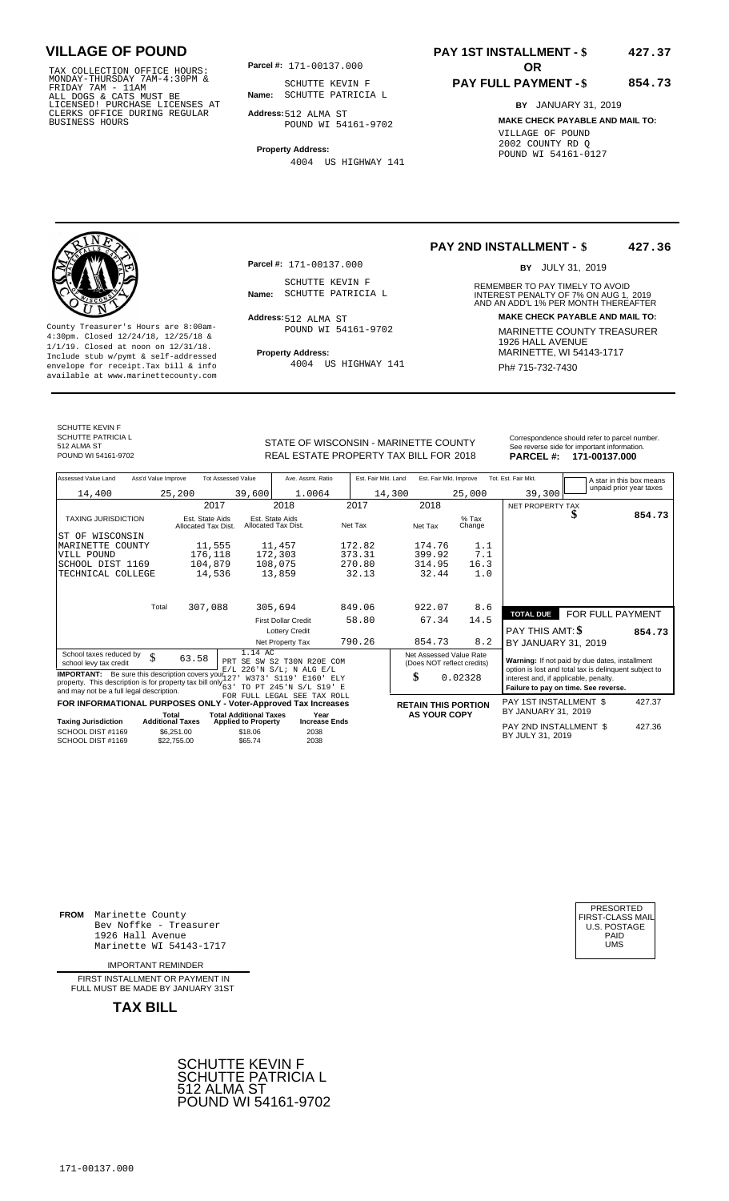TAX COLLECTION OFFICE HOURS: **Parcel#:** 171-00137.000<br>MONDAY-THURSDAY 7AM-4:30PM & SCHUTTE KEVIN<br>FRIDAY 7AM - 11AM<br>ALL DOGS & CATS MUST BE **Name:** SCHUTTE PATRIC<br>LICENSED! PURCHASE LICENSES AT CLERKS OFFICE DURING REGULAR BUSINESS HOURS

**Parcel #:** 171-00137.000

**Name:** SCHUTTE PATRICIA L SCHUTTE KEVIN F

**Address:** 512 ALMA ST POUND WI 54161-9702

**Property Address:** 4004 US HIGHWAY 141

### **PAY 1ST INSTALLMENT - \$ 427.37**

### **PAY FULL PAYMENT - \$ 854.73**

**BY** JANUARY 31, 2019 **MAKE CHECK PAYABLE AND MAIL TO:** VILLAGE OF POUND 2002 COUNTY RD Q POUND WI 54161-0127

**Property Address:** Mariner Address: 1/1/19. Closed at noon on 12/31/18.<br>Include stub w/pymt & self-addressed envelope for receipt.Tax bill & info  $4004$  US HIGHWAY 141  $\overline{PH}$  715-732-7430 available at www.marinettecounty.com

**Parcel #:** 171-00137.000

SCHUTTE KEVIN F<br>Name: SCHUTTE PATRICIA L

Address: 512 ALMA ST POUND WI 54161-9702

4004 US HIGHWAY 141

**PAY 2ND INSTALLMENT - \$ 427.36**

BY JULY 31, 2019

REMEMBER TO PAY TIMELY TO AVOID **Name:** SCHUTTE PATRICIA L<br>
AND AN ADD'L 1% PER MONTH THEREAFTER **Address: MAKE CHECK PAYABLE AND MAIL TO:** County Treasurer's Hours are 8:00am-<br>
4:30pm. Closed 12/24/18, 12/25/18 & MARINETTE COUNTY TREASURER<br>
1/1/19. Closed at noon on 12/31/18.<br>
Include stub w/pwmt & self-addressed **Property Address:** MARINETTE, WI 54143-1717

SCHUTTE KEVIN F SCHUTTE PATRICIA L 512 ALMA ST<br>POUND WI 54161-9702

STATE OF WISCONSIN - MARINETTE COUNTY<br>
See reverse side for important information.<br>
REAL ESTATE PROPERTY TAX BILL FOR 2018 PARCEL #: 171-00137.000 REAL ESTATE PROPERTY TAX BILL FOR **PARCEL #:** POUND WI 54161-9702 2018 **171-00137.000**

| Assessed Value Land<br>Ass'd Value Improve | <b>Tot Assessed Value</b>              |                                        | Ave. Assmt. Ratio          | Est. Fair Mkt. Land | Est. Fair Mkt. Improve |                   | Tot. Est. Fair Mkt. |                  | A star in this box means |
|--------------------------------------------|----------------------------------------|----------------------------------------|----------------------------|---------------------|------------------------|-------------------|---------------------|------------------|--------------------------|
| 14,400                                     | 25,200                                 | 39,600                                 | 1.0064                     | 14,300              |                        | 25,000            | 39,300              |                  | unpaid prior year taxes  |
|                                            | 2017                                   |                                        | 2018                       | 2017                | 2018                   |                   | NET PROPERTY TAX    |                  |                          |
| <b>TAXING JURISDICTION</b>                 | Est. State Aids<br>Allocated Tax Dist. | Est. State Aids<br>Allocated Tax Dist. |                            | Net Tax             | Net Tax                | $%$ Tax<br>Change |                     | Φ                | 854.73                   |
| WISCONSIN<br>ST OF                         |                                        |                                        |                            |                     |                        |                   |                     |                  |                          |
| MARINETTE<br>COUNTY                        | 11,555                                 | 11,457                                 |                            | 172.82              | 174.76                 | 1.1               |                     |                  |                          |
| VILL POUND                                 | 176,118                                | 172,303                                |                            | 373.31              | 399.92                 | 7.1               |                     |                  |                          |
| SCHOOL DIST 1169                           | 104,879                                | 108,075                                |                            | 270.80              | 314.95                 | 16.3              |                     |                  |                          |
| TECHNICAL COLLEGE                          | 14,536                                 | 13,859                                 |                            | 32.13               | 32.44                  | 1.0               |                     |                  |                          |
|                                            |                                        |                                        |                            |                     |                        |                   |                     |                  |                          |
| Total                                      | 307,088                                | 305,694                                |                            | 849.06              | 922.07                 | 8.6               |                     |                  |                          |
|                                            |                                        |                                        | <b>First Dollar Credit</b> | 58.80               | 67.34                  | 14.5              | <b>TOTAL DUE</b>    | FOR FULL PAYMENT |                          |
|                                            |                                        |                                        | <b>Lottery Credit</b>      |                     |                        |                   | PAY THIS AMT: \$    |                  | 854.73                   |
|                                            |                                        |                                        | Net Property Tax           | 790.26              | 854.73                 | 8.2               | BY JANUARY 31, 2019 |                  |                          |
|                                            |                                        | 1.11.22                                |                            |                     |                        |                   |                     |                  |                          |

School taxes reduced by  $\begin{array}{ccc} \text{School taxes} & 1.14 \text{ AC} \\ \text{School leaves} & 63.58 \end{array}$  PRT SE SW S2 T30N R20E COM (Does NOT reflect credits) **Warning:** If not paid by due dates, installment **IMPORTANT:** Be sure this description covers your  $\begin{bmatrix} E/L & 226 & N & S/L \\ 27 & 373 & 5119 \\ 23 & 72 & 625 \\ 10 & 21 & 625 \\ 20 & 21 & 625 \\ 21 & 21 & 625 \\ 22 & 22 & 625 \\ 23 & 24 & 625 \\ 24 & 25 & 100 \\ 25 & 26 & 100 \\ 26 & 27 & 100 \\ 27 & 245 & 101 \\ 28 &$ 1.14 AC<br>PRT SE SW S2 T30N R20E COM<br>E/L 226'N S/L; N ALG E/L<br>127' W373' S119' E160' ELY<br>63' TO PT 245'N S/L S19' E<br>FOR FULL LEGAL SEE TAX ROLL 63.58

|                                        |                                  | <b>PUR PULLE LIBATALE OBB LAA RULLE</b><br>FOR INFORMATIONAL PURPOSES ONLY - Voter-Approved Tax Increases |                              | <b>RETAIN THIS PORTION</b> | PAY 1ST INSTALLMENT \$                     | 427.37 |
|----------------------------------------|----------------------------------|-----------------------------------------------------------------------------------------------------------|------------------------------|----------------------------|--------------------------------------------|--------|
| <b>Taxing Jurisdiction</b>             | Total<br><b>Additional Taxes</b> | <b>Total Additional Taxes</b><br><b>Applied to Property</b>                                               | Year<br><b>Increase Ends</b> | <b>AS YOUR COPY</b>        | BY JANUARY 31, 2019                        |        |
| SCHOOL DIST #1169<br>SCHOOL DIST #1169 | \$6,251,00<br>\$22,755,00        | \$18.06<br>\$65.74                                                                                        | 2038<br>2038                 |                            | PAY 2ND INSTALLMENT \$<br>BY JULY 31, 2019 | 427.36 |

**FOR TION BET INSTALLMENT \$**<br>PPY BY JANUARY 31, 2019 **TAXIOUS PAY 2ND INSTALLMENT \$**  0.02328 BY JANUARY 31, 2019

**FROM** Marinette County Bev Noffke - Treasurer (U.S. POSTAGE)<br>1926 Hall Avenue (U.S. POSTAGE)<br>Marinette WI 54143-1717 (UMS 1926 Hall Avenue Marinette WI 54143-1717

IMPORTANT REMINDER

FIRST INSTALL MENT OR PAYMENT IN FULL MUST BE MADE BY JANUARY 31ST

**TAX BILL**





427.37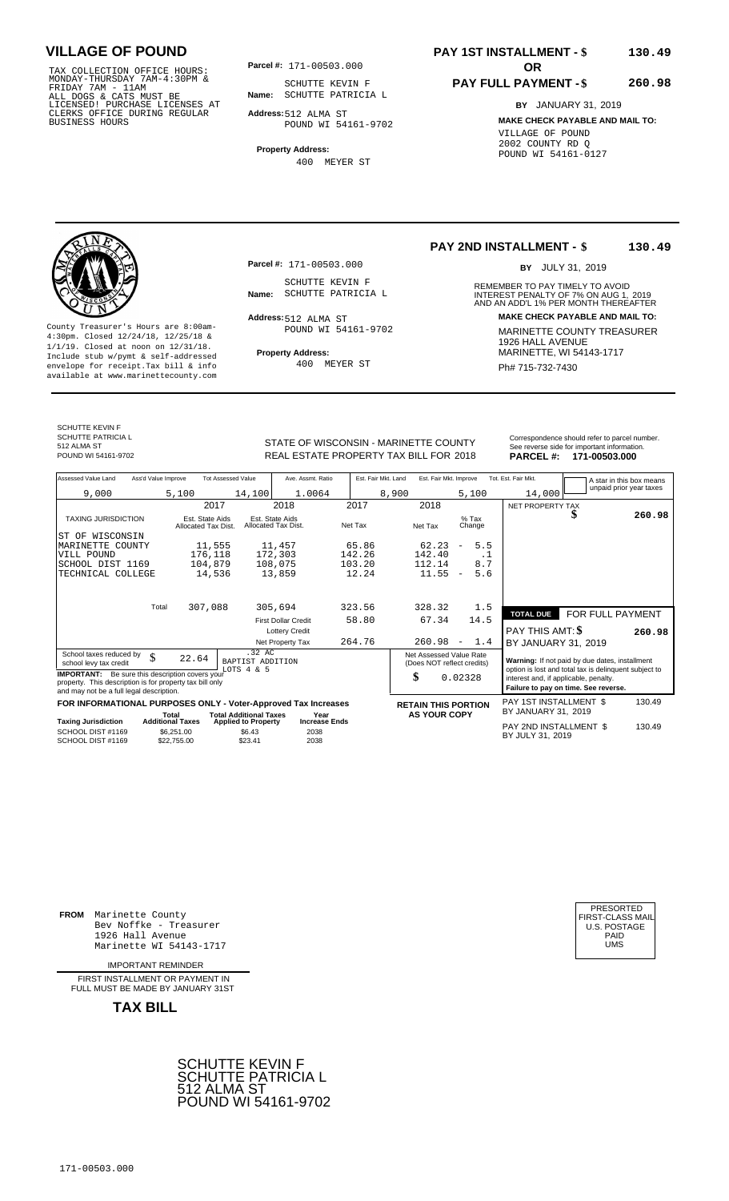TAX COLLECTION OFFICE HOURS:<br>
MONDAY-THURSDAY 7AM-4:30PM &<br>
FRIDAY 7AM - 11AM<br>
ALL DOGS & CATS MUST BE<br>
LICENSED! PURCHASE LICENSES AT<br>
CLERKS OFFICE DURING REGULAR<br>
CLERKS OFFICE DURING REGULAR<br>
BUSINESS HOURS<br>
BUSINESS H

**Parcel #: OR**

**Name:** SCHUTTE PATRICIA L SCHUTTE KEVIN F

**Address:** 512 ALMA ST POUND WI 54161-9702

**Property Address:** 400 MEYER ST

### **PAY 1ST INSTALLMENT - \$ 130.49**

## **PAY FULL PAYMENT - \$**

**260.98**

**BY** JANUARY 31, 2019 **MAKE CHECK PAYABLE AND MAIL TO:** VILLAGE OF POUND 2002 COUNTY RD Q POUND WI 54161-0127



**Property Address:** MARINETTE, WI 54143-1717 Include stub w/pymt & self-addressed envelope for receipt.Tax bill & info Ph# 715-732-7430 available at www.marinettecounty.com

**Parcel #:** 171-00503.000

SCHUTTE KEVIN F<br>Name: SCHUTTE PATRICIA L

Address: 512 ALMA ST POUND WI 54161-9702

400 MEYER ST

### **PAY 2ND INSTALLMENT - \$ 130.49**

BY JULY 31, 2019

REMEMBER TO PAY TIMELY TO AVOID **Name:** SCHUTTE PATRICIA L<br>
AND AN ADD'L 1% PER MONTH THEREAFTER **Address: MAKE CHECK PAYABLE AND MAIL TO:** County Treasurer's Hours are 8:00am-<br>
4:30pm. Closed 12/24/18, 12/25/18 & MARINETTE COUNTY TREASURER<br>
1/1/19. Closed at noon on 12/31/18.<br>
Include stub w/pwmt. & self-addressed<br>
Property Address:<br>
MARINETTE, WI 54143-1717

SCHUTTE KEVIN F SCHUTTE PATRICIA L 512 ALMA ST<br>POUND WI 54161-9702

STATE OF WISCONSIN - MARINETTE COUNTY REAL ESTATE PROPERTY TAX BILL FOR **PARCEL #:** POUND WI 54161-9702 2018 **171-00503.000**

| <b>PARCEL#:</b><br>171-00503.000              |
|-----------------------------------------------|
| See reverse side for important information.   |
| Correspondence should refer to parcel number. |
|                                               |
|                                               |

| Assessed Value Land                                                                                                                                            | Ass'd Value Improve                                  | <b>Tot Assessed Value</b>                       | Ave. Assmt. Ratio                    | Est. Fair Mkt. Land | Est. Fair Mkt. Improve                                |                                 | Tot. Est. Fair Mkt.                        | A star in this box means                                                                                |        |
|----------------------------------------------------------------------------------------------------------------------------------------------------------------|------------------------------------------------------|-------------------------------------------------|--------------------------------------|---------------------|-------------------------------------------------------|---------------------------------|--------------------------------------------|---------------------------------------------------------------------------------------------------------|--------|
| 9,000                                                                                                                                                          | 5,100                                                | 14,100                                          | 1.0064                               |                     | 8,900                                                 | 5,100                           | 14,000                                     | unpaid prior year taxes                                                                                 |        |
|                                                                                                                                                                | 2017                                                 |                                                 | 2018                                 | 2017                | 2018                                                  |                                 | NET PROPERTY TAX                           |                                                                                                         |        |
| <b>TAXING JURISDICTION</b>                                                                                                                                     | Est. State Aids<br>Allocated Tax Dist.               | Allocated Tax Dist.                             | Est. State Aids                      | Net Tax             | Net Tax                                               | $%$ Tax<br>Change               |                                            | S                                                                                                       | 260.98 |
| IST OF WISCONSIN                                                                                                                                               |                                                      |                                                 |                                      |                     |                                                       |                                 |                                            |                                                                                                         |        |
| MARINETTE COUNTY                                                                                                                                               | 11,555                                               |                                                 | 11,457                               | 65.86               | 62.23                                                 | 5.5<br>$\overline{\phantom{a}}$ |                                            |                                                                                                         |        |
| VILL POUND                                                                                                                                                     | 176,118                                              |                                                 | 172,303                              | 142.26              | 142.40                                                | $\cdot$ 1                       |                                            |                                                                                                         |        |
| SCHOOL DIST 1169                                                                                                                                               | 104,879                                              |                                                 | 108,075                              | 103.20              | 112.14                                                | 8.7                             |                                            |                                                                                                         |        |
| TECHNICAL COLLEGE                                                                                                                                              | 14,536                                               |                                                 | 13,859                               | 12.24               | 11.55                                                 | 5.6<br>$\overline{\phantom{a}}$ |                                            |                                                                                                         |        |
|                                                                                                                                                                |                                                      |                                                 |                                      |                     |                                                       |                                 |                                            |                                                                                                         |        |
|                                                                                                                                                                | 307,088<br>Total                                     |                                                 | 305,694                              | 323.56              | 328.32                                                | 1.5                             | <b>TOTAL DUE</b>                           | FOR FULL PAYMENT                                                                                        |        |
|                                                                                                                                                                |                                                      |                                                 | <b>First Dollar Credit</b>           | 58.80               | 67.34                                                 | 14.5                            |                                            |                                                                                                         |        |
|                                                                                                                                                                |                                                      |                                                 | <b>Lottery Credit</b>                |                     |                                                       |                                 | <b>PAY THIS AMT: \$</b>                    |                                                                                                         | 260.98 |
|                                                                                                                                                                |                                                      |                                                 | Net Property Tax                     | 264.76              | 260.98                                                | 1.4<br>$\overline{\phantom{a}}$ | BY JANUARY 31, 2019                        |                                                                                                         |        |
| School taxes reduced by<br>\$<br>school levy tax credit                                                                                                        | 22.64                                                | .32 AC<br>BAPTIST ADDITION<br>LOTS 4 & 5        |                                      |                     | Net Assessed Value Rate<br>(Does NOT reflect credits) |                                 |                                            | Warning: If not paid by due dates, installment<br>option is lost and total tax is delinquent subject to |        |
| <b>IMPORTANT:</b> Be sure this description covers your<br>property. This description is for property tax bill only<br>and may not be a full legal description. |                                                      |                                                 |                                      |                     | \$                                                    | 0.02328                         | interest and, if applicable, penalty.      | Failure to pay on time. See reverse.                                                                    |        |
| FOR INFORMATIONAL PURPOSES ONLY - Voter-Approved Tax Increases                                                                                                 |                                                      |                                                 |                                      |                     | <b>RETAIN THIS PORTION</b>                            |                                 | <b>PAY 1ST INSTALLMENT \$</b>              |                                                                                                         | 130.49 |
|                                                                                                                                                                | Total                                                | <b>Total Additional Taxes</b>                   | Year                                 |                     | <b>AS YOUR COPY</b>                                   |                                 | BY JANUARY 31, 2019                        |                                                                                                         |        |
| <b>Taxing Jurisdiction</b><br>SCHOOL DIST #1169<br>SCHOOL DIST #1169                                                                                           | <b>Additional Taxes</b><br>\$6,251.00<br>\$22,755.00 | <b>Applied to Property</b><br>\$6.43<br>\$23.41 | <b>Increase Ends</b><br>2038<br>2038 |                     |                                                       |                                 | PAY 2ND INSTALLMENT \$<br>BY JULY 31, 2019 |                                                                                                         | 130.49 |

**FROM** Marinette County Bev Noffke - Treasurer (U.S. POSTAGE)<br>1926 Hall Avenue (U.S. POSTAGE)<br>Marinette WI 54143-1717 (U.S. POSTAGE) 1926 Hall Avenue PAID Marinette WI 54143-1717 UMS

IMPORTANT REMINDER

FIRST INSTALLMENT OR PAYMENT IN FULL MUST BE MADE BY JANUARY 31ST



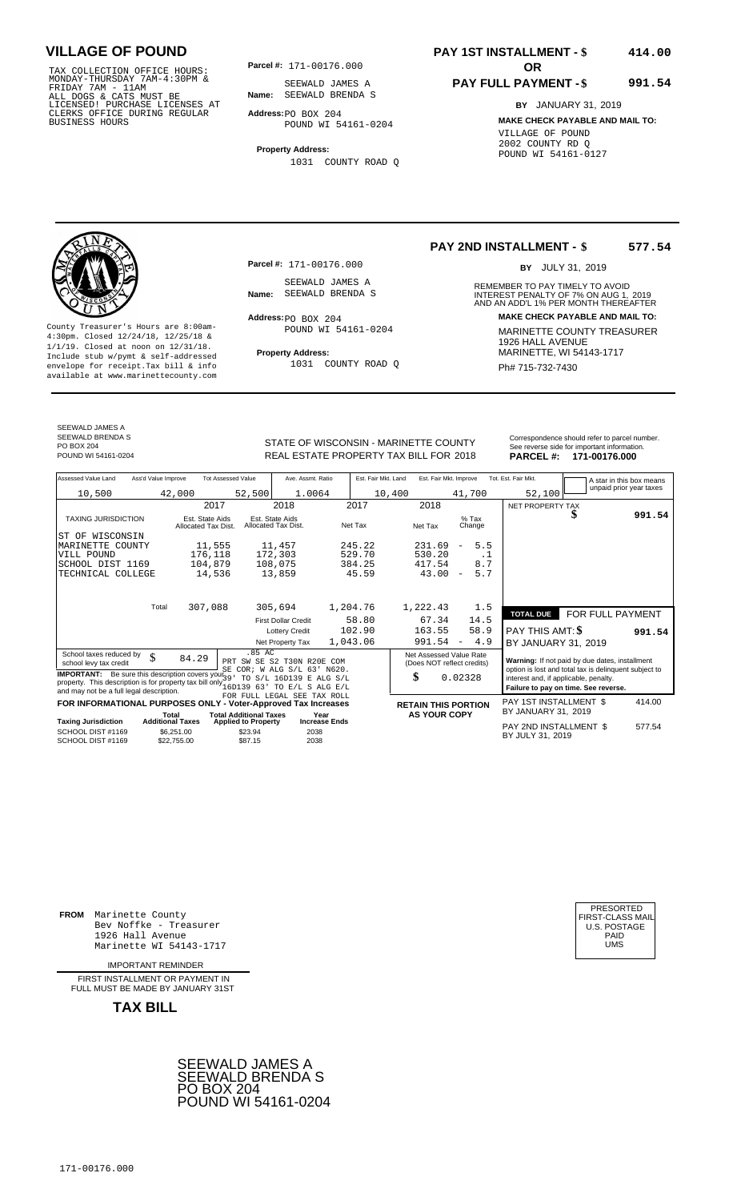TAX COLLECTION OFFICE HOURS:<br>
MONDAY-THURSDAY 7AM-4:30PM &<br>
FRIDAY 7AM - 11AM<br>
ALL DOGS & CATS MUST BE<br>
LICENSED! PURCHASE LICENSES AT<br>
LICENSED! PURCHASE LICENSES AT<br>
CLERKS OFFICE DURING REGULAR<br>
BUSINESS HOURS<br>
BUSINESS

**Parcel #:** 171-00176.000

**Name:** SEEWALD BRENDA S SEEWALD JAMES A

**Address:** PO BOX 204 POUND WI 54161-0204

**Property Address:** 1031 COUNTY ROAD Q

### **PAY 1ST INSTALLMENT - \$ 414.00**

### **PAY FULL PAYMENT - \$ 991.54**

**BY** JANUARY 31, 2019 **MAKE CHECK PAYABLE AND MAIL TO:** VILLAGE OF POUND 2002 COUNTY RD Q POUND WI 54161-0127



**Property Address:** MARINETTE, WI 54143-1717 Include stub w/pymt & self-addressed envelope for receipt.Tax bill & info Ph# 715-732-7430 available at www.marinettecounty.com

**Parcel #:** 171-00176.000

SEEWALD JAMES A<br>Name: SEEWALD BRENDA S

 $Address:  $PO$  BOX 204$ POUND WI 54161-0204

1031 COUNTY ROAD Q

**PAY 2ND INSTALLMENT - \$ 577.54**

BY JULY 31, 2019

REMEMBER TO PAY TIMELY TO AVOID **Name:** SEEWALD BRENDA S<br>
AND AN ADD'L 1% PER MONTH THEREAFTER **Address: MAKE CHECK PAYABLE AND MAIL TO:** County Treasurer's Hours are 8:00am-<br>
4:30pm. Closed 12/24/18, 12/25/18 & MARINETTE COUNTY TREASURER<br>
1/1/19. Closed at noon on 12/31/18.<br>
Include stub w/pwmt. & self-addressed<br> **Property Address:** MARINETTE, WI 54143-1717

SEEWALD JAMES A SEEWALD BRENDA S PO BOX 204<br>POUND WI 54161-0204

STATE OF WISCONSIN - MARINETTE COUNTY REAL ESTATE PROPERTY TAX BILL FOR **PARCEL #:** POUND WI 54161-0204 2018 **171-00176.000**

| Correspondence should refer to parcel number. |
|-----------------------------------------------|
| See reverse side for important information.   |
| ------                                        |

|          |               | $\mathsf{F}$ reverse side for important importation. |
|----------|---------------|------------------------------------------------------|
| \RCEL #: | 171-00176.000 |                                                      |

| Assessed Value Land                                                                                                                                                                                                  | Ass'd Value Improve     |                                        | <b>Tot Assessed Value</b>     | Ave. Assmt. Ratio                                         | Est. Fair Mkt. Land |                                                       | Est. Fair Mkt. Improve   |                   | Tot. Est. Fair Mkt.                        | A star in this box means                                                                                |        |
|----------------------------------------------------------------------------------------------------------------------------------------------------------------------------------------------------------------------|-------------------------|----------------------------------------|-------------------------------|-----------------------------------------------------------|---------------------|-------------------------------------------------------|--------------------------|-------------------|--------------------------------------------|---------------------------------------------------------------------------------------------------------|--------|
| 10,500                                                                                                                                                                                                               |                         | 42,000                                 | 52,500                        | 1.0064                                                    |                     | 10,400                                                | 41,700                   |                   | 52,100                                     | unpaid prior year taxes                                                                                 |        |
|                                                                                                                                                                                                                      |                         | 2017                                   |                               | 2018                                                      | 2017                | 2018                                                  |                          |                   | NET PROPERTY TAX                           |                                                                                                         |        |
| <b>TAXING JURISDICTION</b>                                                                                                                                                                                           |                         | Est. State Aids<br>Allocated Tax Dist. |                               | Est. State Aids<br>Allocated Tax Dist.                    | Net Tax             | Net Tax                                               |                          | $%$ Tax<br>Change |                                            | S                                                                                                       | 991.54 |
| ST OF WISCONSIN                                                                                                                                                                                                      |                         |                                        |                               |                                                           |                     |                                                       |                          |                   |                                            |                                                                                                         |        |
| MARINETTE<br>COUNTY                                                                                                                                                                                                  |                         | 11,555                                 |                               | 11,457                                                    | 245.22              | 231.69                                                | $\qquad \qquad -$        | 5.5               |                                            |                                                                                                         |        |
| VILL POUND                                                                                                                                                                                                           |                         | 176,118                                |                               | 172,303                                                   | 529.70              | 530.20                                                |                          | .1                |                                            |                                                                                                         |        |
| SCHOOL DIST 1169                                                                                                                                                                                                     |                         | 104,879                                |                               | 108,075                                                   | 384.25              | 417.54                                                |                          | 8.7               |                                            |                                                                                                         |        |
| TECHNICAL COLLEGE                                                                                                                                                                                                    |                         | 14,536                                 |                               | 13,859                                                    | 45.59               | 43.00                                                 | $\overline{\phantom{a}}$ | 5.7               |                                            |                                                                                                         |        |
|                                                                                                                                                                                                                      |                         |                                        |                               |                                                           |                     |                                                       |                          |                   |                                            |                                                                                                         |        |
|                                                                                                                                                                                                                      | Total                   | 307,088                                |                               | 305,694                                                   | 1,204.76            | 1,222.43                                              |                          | 1.5               | <b>TOTAL DUE</b>                           | FOR FULL PAYMENT                                                                                        |        |
|                                                                                                                                                                                                                      |                         |                                        |                               | <b>First Dollar Credit</b>                                | 58.80               | 67.34                                                 |                          | 14.5              |                                            |                                                                                                         |        |
|                                                                                                                                                                                                                      |                         |                                        |                               | <b>Lottery Credit</b>                                     | 102.90              | 163.55                                                |                          | 58.9              | <b>PAY THIS AMT: \$</b>                    |                                                                                                         | 991.54 |
|                                                                                                                                                                                                                      |                         |                                        |                               | Net Property Tax                                          | 1,043.06            | 991.54                                                | $\overline{\phantom{a}}$ | 4.9               | BY JANUARY 31, 2019                        |                                                                                                         |        |
| School taxes reduced by<br>school levy tax credit                                                                                                                                                                    | \$                      | 84.29                                  | .85 AC                        | PRT SW SE S2 T30N R20E COM<br>SE COR; W ALG S/L 63' N620. |                     | Net Assessed Value Rate<br>(Does NOT reflect credits) |                          |                   |                                            | Warning: If not paid by due dates, installment<br>option is lost and total tax is delinquent subject to |        |
| <b>IMPORTANT:</b> Be sure this description covers your $\frac{1}{3}$<br>property. This description is for property tax bill only $\frac{1}{16D139}$ 63' TO E/L S ALG E/L<br>and may not be a full legal description. |                         |                                        |                               | TO S/L 16D139 E ALG S/L                                   |                     | \$                                                    | 0.02328                  |                   | interest and, if applicable, penalty.      | Failure to pay on time. See reverse.                                                                    |        |
| FOR INFORMATIONAL PURPOSES ONLY - Voter-Approved Tax Increases                                                                                                                                                       |                         |                                        |                               | FOR FULL LEGAL SEE TAX ROLL                               |                     | <b>RETAIN THIS PORTION</b>                            |                          |                   | PAY 1ST INSTALLMENT \$                     |                                                                                                         | 414.00 |
|                                                                                                                                                                                                                      | Total                   |                                        | <b>Total Additional Taxes</b> | Year                                                      |                     | <b>AS YOUR COPY</b>                                   |                          |                   | BY JANUARY 31, 2019                        |                                                                                                         |        |
| <b>Taxing Jurisdiction</b>                                                                                                                                                                                           | <b>Additional Taxes</b> |                                        | <b>Applied to Property</b>    | <b>Increase Ends</b>                                      |                     |                                                       |                          |                   |                                            |                                                                                                         |        |
| SCHOOL DIST #1169<br>SCHOOL DIST #1169                                                                                                                                                                               |                         | \$6.251.00<br>\$22,755.00              | \$23.94<br>\$87.15            | 2038<br>2038                                              |                     |                                                       |                          |                   | PAY 2ND INSTALLMENT \$<br>BY JULY 31, 2019 |                                                                                                         | 577.54 |

**FROM** Marinette County Bev Noffke - Treasurer (U.S. POSTAGE)<br>1926 Hall Avenue (U.S. POSTAGE)<br>Marinette WI 54143-1717 (U.S. POSTAGE) 1926 Hall Avenue PAID Marinette WI 54143-1717 UMS

IMPORTANT REMINDER

FIRST INSTALLMENT OR PAYMENT IN FULL MUST BE MADE BY JANUARY 31ST



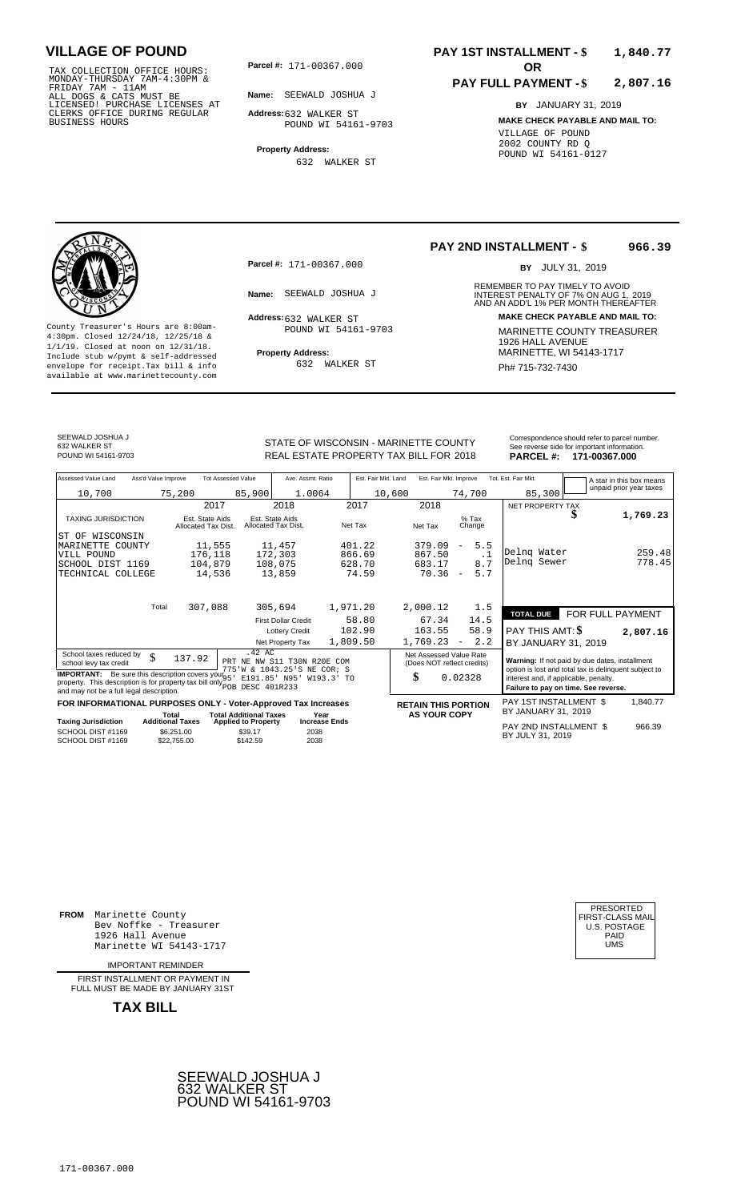TAX COLLECTION OFFICE HOURS:<br>
MONDAY-THURSDAY 7AM-4:30PM &<br>
FRIDAY 7AM - 11AM<br>
ALL DOGS & CATS MUST BE<br>
LICENSED! PURCHASE LICENSES AT<br>
CLERKS OFFICE DURING REGULAR<br>
CLERKS OFFICE DURING REGULAR<br>
BUSINESS HOURS<br>
BUSINESS H

**Parcel #:** 171-00367.000

**Name:** SEEWALD JOSHUA J

**Address:** 632 WALKER ST POUND WI 54161-9703

**Property Address:** 632 WALKER ST

### **PAY 1ST INSTALLMENT - \$ 1,840.77**

#### **PAY FULL PAYMENT - \$ 2,807.16**

**BY** JANUARY 31, 2019 **MAKE CHECK PAYABLE AND MAIL TO:** VILLAGE OF POUND 2002 COUNTY RD Q POUND WI 54161-0127

**Property Address:** MARINETTE, WI 54143-1717 Include stub w/pymt & self-addressed envelope for receipt.Tax bill & info Ph# 715-732-7430 available at www.marinettecounty.com

**Parcel #:** 171-00367.000

Address: 632 WALKER ST POUND WI 54161-9703

632 WALKER ST

### **PAY 2ND INSTALLMENT - \$ 966.39**

BY JULY 31, 2019

REMEMBER TO PAY TIMELY TO AVOID **Name:** SEEWALD JOSHUA J<br> **INTEREST PENALTY OF 7% ON AUG 1, 2019**<br>
AND AN ADD'L 1% PER MONTH THEREAFTER **Address: MAKE CHECK PAYABLE AND MAIL TO:** County Treasurer's Hours are 8:00am-<br>
4:30pm. Closed 12/24/18, 12/25/18 & 1/1/19. Closed at noon on 12/31/18.<br>
Include stub w/pwmt. & self-addressed<br>
Froperty Address: MARINETTE, WI 54143-1717

SEEWALD JOSHUA J

632 WALKER ST<br>POUND WI 54161-9703

STATE OF WISCONSIN - MARINETTE COUNTY REAL ESTATE PROPERTY TAX BILL FOR **PARCEL #:** POUND WI 54161-9703 2018 **171-00367.000**

| <b>PARCEL#:</b> | 171-00367.000                                 |
|-----------------|-----------------------------------------------|
|                 | See reverse side for important information.   |
|                 | Correspondence should refer to parcel number. |
|                 |                                               |

| Assessed Value Land                                                                                                                                                                                                                                                                                                                                                                       | Ass'd Value Improve     |                                        | <b>Tot Assessed Value</b>                         | Ave. Assmt. Ratio                      |                      | Est. Fair Mkt. Land | Est. Fair Mkt. Improve                                                                                                                                                                                                                                             |                          |                   | Tot. Est. Fair Mkt.                        |  | A star in this box means |
|-------------------------------------------------------------------------------------------------------------------------------------------------------------------------------------------------------------------------------------------------------------------------------------------------------------------------------------------------------------------------------------------|-------------------------|----------------------------------------|---------------------------------------------------|----------------------------------------|----------------------|---------------------|--------------------------------------------------------------------------------------------------------------------------------------------------------------------------------------------------------------------------------------------------------------------|--------------------------|-------------------|--------------------------------------------|--|--------------------------|
| 10,700                                                                                                                                                                                                                                                                                                                                                                                    |                         | 75,200                                 | 85,900                                            | 1.0064                                 |                      | 10,600              |                                                                                                                                                                                                                                                                    | 74,700                   |                   | 85,300                                     |  | unpaid prior year taxes  |
|                                                                                                                                                                                                                                                                                                                                                                                           |                         | 2017                                   |                                                   | 2018                                   | 2017                 |                     | 2018                                                                                                                                                                                                                                                               |                          |                   | NET PROPERTY TAX                           |  |                          |
| <b>TAXING JURISDICTION</b>                                                                                                                                                                                                                                                                                                                                                                |                         | Est. State Aids<br>Allocated Tax Dist. |                                                   | Est. State Aids<br>Allocated Tax Dist. | Net Tax              |                     | Net Tax                                                                                                                                                                                                                                                            |                          | $%$ Tax<br>Change |                                            |  | 1,769.23                 |
| ST OF WISCONSIN                                                                                                                                                                                                                                                                                                                                                                           |                         |                                        |                                                   |                                        |                      |                     |                                                                                                                                                                                                                                                                    |                          |                   |                                            |  |                          |
| MARINETTE COUNTY                                                                                                                                                                                                                                                                                                                                                                          |                         | 11,555                                 |                                                   | 11,457                                 | 401.22               |                     | 379.09                                                                                                                                                                                                                                                             | $\overline{\phantom{a}}$ | 5.5               | Delng Water                                |  | 259.48                   |
| VILL POUND                                                                                                                                                                                                                                                                                                                                                                                |                         | 176,118                                |                                                   | 172,303                                | 866.69               |                     | 867.50                                                                                                                                                                                                                                                             |                          | $\cdot$ 1         | Delng Sewer                                |  | 778.45                   |
| SCHOOL DIST 1169<br>TECHNICAL COLLEGE                                                                                                                                                                                                                                                                                                                                                     |                         | 104,879<br>14,536                      |                                                   | 108,075<br>13,859                      | 628.70               | 74.59               | 683.17<br>70.36                                                                                                                                                                                                                                                    | $\overline{\phantom{a}}$ | 8.7<br>5.7        |                                            |  |                          |
|                                                                                                                                                                                                                                                                                                                                                                                           |                         |                                        |                                                   |                                        |                      |                     |                                                                                                                                                                                                                                                                    |                          |                   |                                            |  |                          |
|                                                                                                                                                                                                                                                                                                                                                                                           | Total                   | 307,088                                |                                                   | 305,694                                | 1,971.20             |                     | 2,000.12                                                                                                                                                                                                                                                           |                          | 1.5               | <b>TOTAL DUE</b>                           |  | FOR FULL PAYMENT         |
|                                                                                                                                                                                                                                                                                                                                                                                           |                         |                                        |                                                   | <b>First Dollar Credit</b>             |                      | 58.80               | 67.34                                                                                                                                                                                                                                                              |                          | 14.5              |                                            |  |                          |
|                                                                                                                                                                                                                                                                                                                                                                                           |                         |                                        |                                                   | <b>Lottery Credit</b>                  | 102.90               |                     | 163.55                                                                                                                                                                                                                                                             |                          | 58.9              | PAY THIS AMT: <b>\$</b>                    |  | 2,807.16                 |
|                                                                                                                                                                                                                                                                                                                                                                                           |                         |                                        |                                                   | Net Property Tax                       | 1,809.50             |                     | 1,769.23                                                                                                                                                                                                                                                           | $\overline{\phantom{a}}$ | 2.2               | BY JANUARY 31, 2019                        |  |                          |
| .42 AC<br>School taxes reduced by<br>\$<br>137.92<br>PRT NE NW S11 T30N R20E COM<br>school levy tax credit<br>775 W & 1043.25 'S NE COR; S<br><b>IMPORTANT:</b> Be sure this description covers your $95^{\circ}$<br>E191.85' N95'<br>W193.3'<br><b>TO</b><br>property. This description is for property tax bill only $\sim$<br>DESC 401R233<br>and may not be a full legal description. |                         |                                        |                                                   |                                        |                      |                     | Net Assessed Value Rate<br>Warning: If not paid by due dates, installment<br>(Does NOT reflect credits)<br>option is lost and total tax is delinquent subject to<br>\$<br>0.02328<br>interest and, if applicable, penalty.<br>Failure to pay on time. See reverse. |                          |                   |                                            |  |                          |
| FOR INFORMATIONAL PURPOSES ONLY - Voter-Approved Tax Increases                                                                                                                                                                                                                                                                                                                            |                         |                                        |                                                   |                                        |                      |                     | <b>RETAIN THIS PORTION</b>                                                                                                                                                                                                                                         |                          |                   | PAY 1ST INSTALLMENT \$                     |  | 1,840.77                 |
|                                                                                                                                                                                                                                                                                                                                                                                           | Total                   |                                        | <b>Total Additional Taxes</b>                     |                                        | Year                 |                     | <b>AS YOUR COPY</b>                                                                                                                                                                                                                                                |                          |                   | BY JANUARY 31, 2019                        |  |                          |
| <b>Taxing Jurisdiction</b><br>SCHOOL DIST #1169<br>SCHOOL DIST #1169                                                                                                                                                                                                                                                                                                                      | <b>Additional Taxes</b> | \$6,251.00<br>\$22,755.00              | <b>Applied to Property</b><br>\$39.17<br>\$142.59 | 2038<br>2038                           | <b>Increase Ends</b> |                     |                                                                                                                                                                                                                                                                    |                          |                   | PAY 2ND INSTALLMENT \$<br>BY JULY 31, 2019 |  | 966.39                   |

**FROM** Marinette County Bev Noffke - Treasurer 1926 Hall Avenue PAID Marinette WI 54143-1717 UMS

IMPORTANT REMINDER

FIRST INSTALLMENT OR PAYMENT IN FULL MUST BE MADE BY JANUARY 31ST



| FIRST-CLASS MAIL<br>U.S. POSTAGE<br>PAID<br>UMS |
|-------------------------------------------------|
|-------------------------------------------------|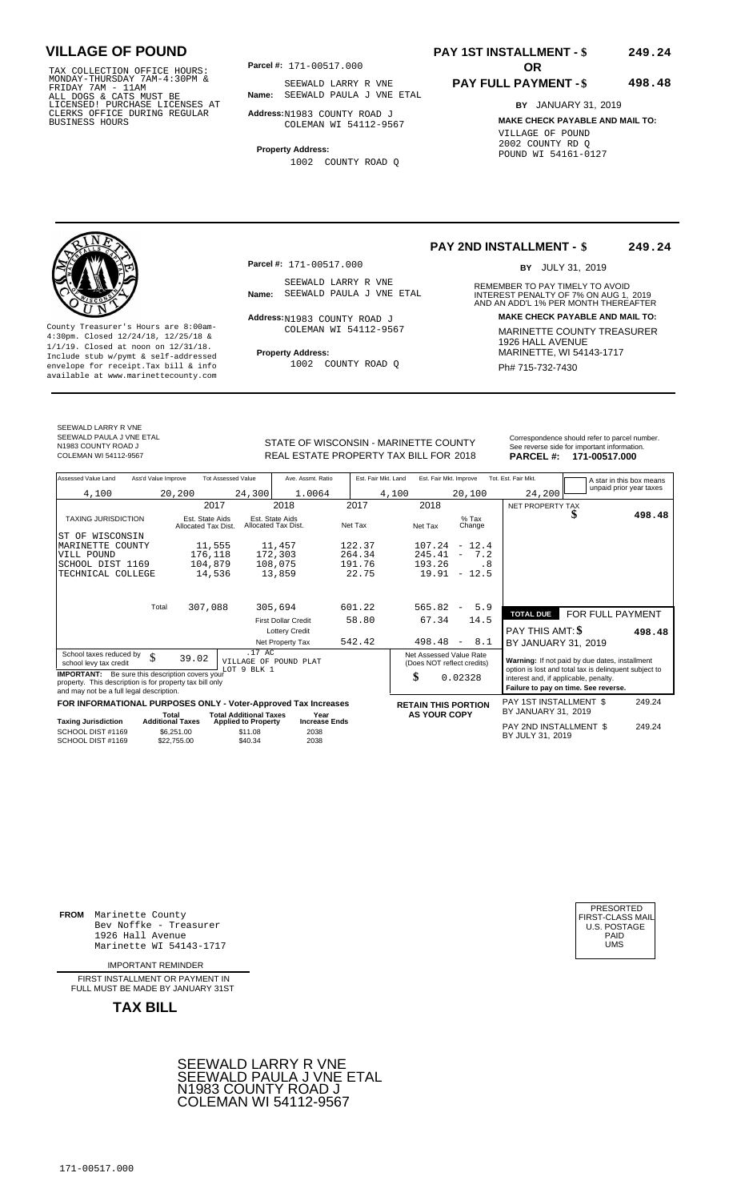TAX COLLECTION OFFICE HOURS:<br>
MONDAY-THURSDAY 7AM-4:30PM &<br>
FRIDAY 7AM - 11AM<br>
ALL DOGS & CATS MUST BE<br>
LICENSED! PURCHASE LICENSES AT<br>
LICENSED! PURCHASE LICENSES AT<br>
CLERKS OFFICE DURING REGULAR<br>
BUSINESS HOURS<br>
BUSINESS

**Parcel #:** 171-00517.000

**Name:** SEEWALD PAULA J VNE ETAL SEEWALD LARRY R VNE

**Address:** N1983 COUNTY ROAD J COLEMAN WI 54112-9567

**Property Address:**

1002 COUNTY ROAD Q

### **PAY 1ST INSTALLMENT - \$ 249.24**

#### **PAY FULL PAYMENT - \$ 498.48**

**BY** JANUARY 31, 2019 **MAKE CHECK PAYABLE AND MAIL TO:** VILLAGE OF POUND 2002 COUNTY RD Q POUND WI 54161-0127

**Property Address:** MARINETTE, WI 54143-1717 Include stub w/pymt & self-addressed envelope for receipt.Tax bill & info Ph# 715-732-7430 available at www.marinettecounty.com

**Parcel #:** 171-00517.000

SEEWALD LARRY R VNE<br>Name: SEEWALD PAULA J VNE ETAL

Address: N1983 COUNTY ROAD J COLEMAN WI 54112-9567

1002 COUNTY ROAD Q

**PAY 2ND INSTALLMENT - \$ 249.24**

BY JULY 31, 2019

REMEMBER TO PAY TIMELY TO AVOID **Name:** SEEWALD PAULA J VNE ETAL **INTEREST PENALTY OF 7% ON AUG 1, 2019**<br>AND AN ADD'L 1% PER MONTH THEREAFTER **Address: MAKE CHECK PAYABLE AND MAIL TO:** County Treasurer's Hours are 8:00am-<br>
4:30pm. Closed 12/24/18, 12/25/18 & COLEMAN WI 54112-9567 MARINETTE COUNTY TREASURER<br>
1/1/19. Closed at noon on 12/31/18.<br>
Include stub w/pwmt. & self-addressed Property Address: MARIN

SEEWALD LARRY R VNE SEEWALD PAULA J VNE ETAL N1983 COUNTY ROAD J<br>COLEMAN WI 54112-9567

STATE OF WISCONSIN - MARINETTE COUNTY REAL ESTATE PROPERTY TAX BILL FOR **PARCEL #:** COLEMAN WI 54112-9567 2018 **171-00517.000**

| Assessed Value Land                                                                                                                                            | Ass'd Value Improve                    | <b>Tot Assessed Value</b>                      | Ave. Assmt. Ratio                      |         | Est. Fair Mkt. Land | Est. Fair Mkt. Improve                                |      | Tot. Est. Fair Mkt.                   | A star in this box means                                                                                |        |
|----------------------------------------------------------------------------------------------------------------------------------------------------------------|----------------------------------------|------------------------------------------------|----------------------------------------|---------|---------------------|-------------------------------------------------------|------|---------------------------------------|---------------------------------------------------------------------------------------------------------|--------|
| 4,100                                                                                                                                                          | 20,200                                 | 24,300                                         | 1.0064                                 |         | 4,100               | 20,100                                                |      | 24,200                                | unpaid prior year taxes                                                                                 |        |
|                                                                                                                                                                | 2017                                   |                                                | 2018                                   | 2017    | 2018                |                                                       |      | NET PROPERTY TAX                      |                                                                                                         |        |
| <b>TAXING JURISDICTION</b>                                                                                                                                     | Est. State Aids<br>Allocated Tax Dist. |                                                | Est. State Aids<br>Allocated Tax Dist. | Net Tax | Net Tax             | $%$ Tax<br>Change                                     |      |                                       |                                                                                                         | 498.48 |
| WISCONSIN<br>ST OF                                                                                                                                             |                                        |                                                |                                        |         |                     |                                                       |      |                                       |                                                                                                         |        |
| MARINETTE COUNTY                                                                                                                                               | 11,555                                 |                                                | 11,457                                 | 122.37  |                     | $107.24 - 12.4$                                       |      |                                       |                                                                                                         |        |
| VILL POUND                                                                                                                                                     | 176,118                                |                                                | 172,303                                | 264.34  | 245.41              | $\overline{\phantom{m}}$                              | 7.2  |                                       |                                                                                                         |        |
| SCHOOL DIST 1169                                                                                                                                               | 104,879                                |                                                | 108,075                                | 191.76  | 193.26              |                                                       | . 8  |                                       |                                                                                                         |        |
| TECHNICAL COLLEGE                                                                                                                                              | 14,536                                 |                                                | 13,859                                 | 22.75   | 19.91               | $-12.5$                                               |      |                                       |                                                                                                         |        |
|                                                                                                                                                                |                                        |                                                |                                        |         |                     |                                                       |      |                                       |                                                                                                         |        |
|                                                                                                                                                                | 307,088<br>Total                       |                                                | 305,694                                | 601.22  | 565.82              | $\overline{\phantom{a}}$                              | 5.9  | <b>TOTAL DUE</b>                      | FOR FULL PAYMENT                                                                                        |        |
|                                                                                                                                                                |                                        |                                                | <b>First Dollar Credit</b>             | 58.80   | 67.34               |                                                       | 14.5 |                                       |                                                                                                         |        |
|                                                                                                                                                                |                                        |                                                | <b>Lottery Credit</b>                  |         |                     |                                                       |      | <b>PAY THIS AMT: \$</b>               |                                                                                                         | 498.48 |
|                                                                                                                                                                |                                        |                                                | Net Property Tax                       | 542.42  | 498.48              | $\overline{\phantom{a}}$                              | 8.1  | BY JANUARY 31, 2019                   |                                                                                                         |        |
| School taxes reduced by<br>\$<br>school levy tax credit                                                                                                        | 39.02                                  | .17 AC<br>VILLAGE OF POUND PLAT<br>LOT 9 BLK 1 |                                        |         |                     | Net Assessed Value Rate<br>(Does NOT reflect credits) |      |                                       | Warning: If not paid by due dates, installment<br>option is lost and total tax is delinquent subject to |        |
| <b>IMPORTANT:</b> Be sure this description covers your<br>property. This description is for property tax bill only<br>and may not be a full legal description. |                                        |                                                |                                        |         | \$                  | 0.02328                                               |      | interest and, if applicable, penalty. | Failure to pay on time. See reverse.                                                                    |        |
| FOR INFORMATIONAL PURPOSES ONLY - Voter-Approved Tax Increases                                                                                                 |                                        |                                                |                                        |         |                     |                                                       |      | PAY 1ST INSTALLMENT \$                |                                                                                                         | 249.24 |
|                                                                                                                                                                | Total                                  | <b>Total Additional Taxes</b>                  | Year                                   |         |                     | <b>RETAIN THIS PORTION</b><br><b>AS YOUR COPY</b>     |      | BY JANUARY 31, 2019                   |                                                                                                         |        |
| <b>Taxing Jurisdiction</b>                                                                                                                                     | <b>Additional Taxes</b>                | <b>Applied to Property</b>                     | <b>Increase Ends</b>                   |         |                     |                                                       |      | PAY 2ND INSTALLMENT \$                |                                                                                                         | 249.24 |
| SCHOOL DIST #1169<br>SCHOOL DIST #1169                                                                                                                         | \$6,251.00<br>\$22,755.00              | \$11.08<br>\$40.34                             | 2038<br>2038                           |         |                     |                                                       |      | BY JULY 31, 2019                      |                                                                                                         |        |

**FROM** Marinette County Bev Noffke - Treasurer 1926 Hall Avenue PAID Marinette WI 54143-1717 UMS

IMPORTANT REMINDER

FIRST INSTALLMENT OR PAYMENT IN FULL MUST BE MADE BY JANUARY 31ST



| PRESORTED        |
|------------------|
| FIRST-CLASS MAIL |
| U.S. POSTAGE     |
| PAID             |
| UMS              |
|                  |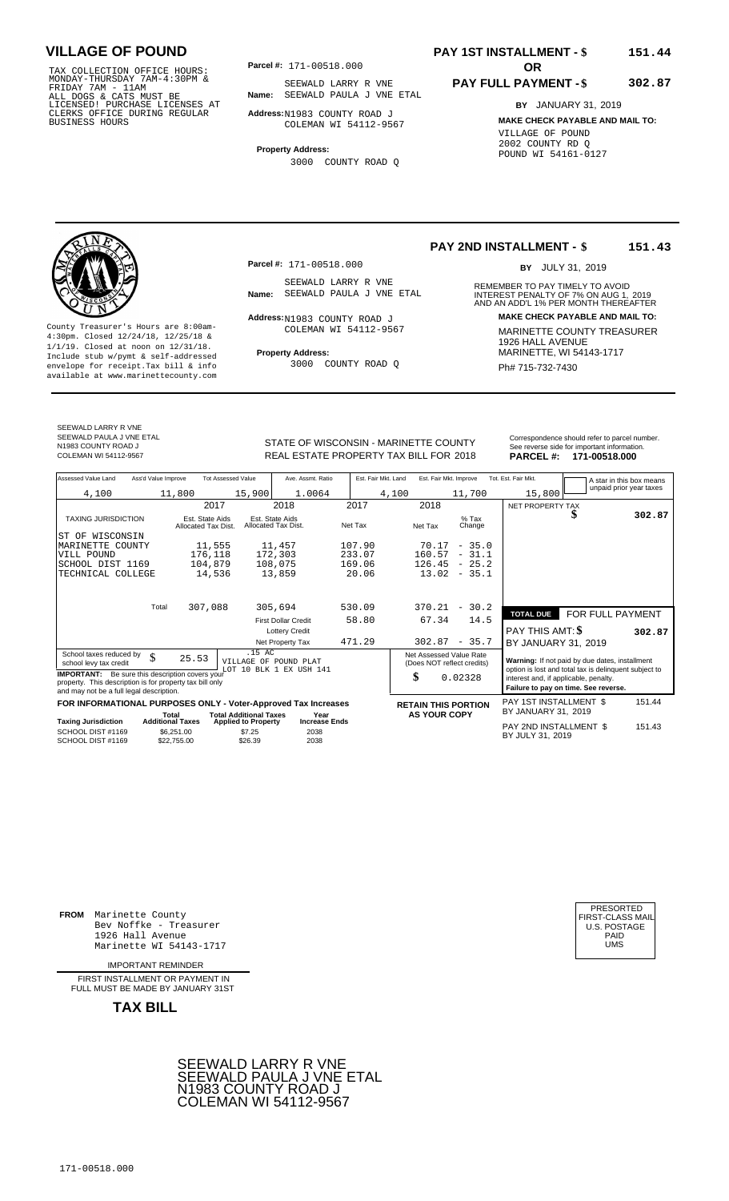TAX COLLECTION OFFICE HOURS:<br>
MONDAY-THURSDAY 7AM-4:30PM &<br>
FRIDAY 7AM - 11AM<br>
ALL DOGS & CATS MUST BE<br>
LICENSED I PURCHASE LICENSES AT<br>
LICENSED I PURCHASE LICENSES AT<br>
CLERKS OFFICE DURING REGULAR<br>
BUSINESS HOURS<br>
BUSINE

**Parcel #:** 171-00518.000

**Name:** SEEWALD PAULA J VNE ETAL SEEWALD LARRY R VNE

**Address:** N1983 COUNTY ROAD J COLEMAN WI 54112-9567

**Property Address:**

3000 COUNTY ROAD Q

### **PAY 1ST INSTALLMENT - \$ 151.44**

#### **PAY FULL PAYMENT - \$ 302.87**

**BY** JANUARY 31, 2019 **MAKE CHECK PAYABLE AND MAIL TO:** VILLAGE OF POUND 2002 COUNTY RD Q POUND WI 54161-0127

**Property Address:** MARINETTE, WI 54143-1717 Include stub w/pymt & self-addressed envelope for receipt.Tax bill & info Ph# 715-732-7430 available at www.marinettecounty.com

**Parcel #:** 171-00518.000

SEEWALD LARRY R VNE<br>Name: SEEWALD PAULA J VNE ETAL

Address: N1983 COUNTY ROAD J COLEMAN WI 54112-9567

3000 COUNTY ROAD Q

**PAY 2ND INSTALLMENT - \$ 151.43**

BY JULY 31, 2019

REMEMBER TO PAY TIMELY TO AVOID **Name:** SEEWALD PAULA J VNE ETAL **INTEREST PENALTY OF 7% ON AUG 1, 2019**<br>AND AN ADD'L 1% PER MONTH THEREAFTER **Address: MAKE CHECK PAYABLE AND MAIL TO:** County Treasurer's Hours are 8:00am-<br>
4:30pm. Closed 12/24/18, 12/25/18 & COLEMAN WI 54112-9567 MARINETTE COUNTY TREASURER<br>
1/1/19. Closed at noon on 12/31/18.<br>
Include stub w/pwmt & self-addressed **Property Address:** MARI

SEEWALD LARRY R VNE SEEWALD PAULA J VNE ETAL N1983 COUNTY ROAD J<br>COLEMAN WI 54112-9567

STATE OF WISCONSIN - MARINETTE COUNTY<br>
See reverse side for important information.<br>
REAL ESTATE PROPERTY TAX BILL FOR 2018 PARCEL #: 171-00518.000 REAL ESTATE PROPERTY TAX BILL FOR **PARCEL #:** COLEMAN WI 54112-9567 2018 **171-00518.000**

| Assessed Value Land                                                                                                                                                                          | Ass'd Value Improve     |                                        | <b>Tot Assessed Value</b>                       | Ave. Assmt. Ratio                      | Est. Fair Mkt. Land | Est. Fair Mkt. Improve                                |                   | Tot. Est. Fair Mkt.                                                                                                                    |                  | A star in this box means |
|----------------------------------------------------------------------------------------------------------------------------------------------------------------------------------------------|-------------------------|----------------------------------------|-------------------------------------------------|----------------------------------------|---------------------|-------------------------------------------------------|-------------------|----------------------------------------------------------------------------------------------------------------------------------------|------------------|--------------------------|
| 4,100                                                                                                                                                                                        |                         | 11,800                                 | 15,900                                          | 1.0064                                 |                     | 4,100                                                 | 11,700            | 15,800                                                                                                                                 |                  | unpaid prior year taxes  |
|                                                                                                                                                                                              |                         | 2017                                   |                                                 | 2018                                   | 2017                | 2018                                                  |                   | NET PROPERTY TAX                                                                                                                       |                  |                          |
| <b>TAXING JURISDICTION</b>                                                                                                                                                                   |                         | Est. State Aids<br>Allocated Tax Dist. |                                                 | Est. State Aids<br>Allocated Tax Dist. | Net Tax             | Net Tax                                               | $%$ Tax<br>Change |                                                                                                                                        |                  | 302.87                   |
| ST OF<br>WISCONSIN                                                                                                                                                                           |                         |                                        |                                                 |                                        |                     |                                                       |                   |                                                                                                                                        |                  |                          |
| MARINETTE COUNTY                                                                                                                                                                             |                         | 11,555                                 |                                                 | 11,457                                 | 107.90              |                                                       | $70.17 - 35.0$    |                                                                                                                                        |                  |                          |
| VILL POUND                                                                                                                                                                                   |                         | 176,118                                |                                                 | 172,303                                | 233.07              | 160.57                                                | $-31.1$           |                                                                                                                                        |                  |                          |
| SCHOOL DIST 1169                                                                                                                                                                             |                         | 104,879                                |                                                 | 108,075                                | 169.06              |                                                       | $126.45 - 25.2$   |                                                                                                                                        |                  |                          |
| TECHNICAL COLLEGE                                                                                                                                                                            |                         | 14,536                                 |                                                 | 13,859                                 | 20.06               |                                                       | $13.02 - 35.1$    |                                                                                                                                        |                  |                          |
|                                                                                                                                                                                              |                         |                                        |                                                 |                                        |                     |                                                       |                   |                                                                                                                                        |                  |                          |
|                                                                                                                                                                                              | Total                   | 307,088                                |                                                 | 305,694                                | 530.09              | 370.21                                                | $-30.2$           |                                                                                                                                        |                  |                          |
|                                                                                                                                                                                              |                         |                                        |                                                 | <b>First Dollar Credit</b>             | 58.80               | 67.34                                                 | 14.5              | <b>TOTAL DUE</b>                                                                                                                       | FOR FULL PAYMENT |                          |
|                                                                                                                                                                                              |                         |                                        |                                                 | <b>Lottery Credit</b>                  |                     |                                                       |                   | PAY THIS AMT: \$                                                                                                                       |                  | 302.87                   |
|                                                                                                                                                                                              |                         |                                        |                                                 | Net Property Tax                       | 471.29              | 302.87                                                | $-35.7$           | BY JANUARY 31, 2019                                                                                                                    |                  |                          |
| School taxes reduced by<br>school levy tax credit                                                                                                                                            | \$                      | 25.53                                  | .15AC                                           | VILLAGE OF POUND PLAT                  |                     | Net Assessed Value Rate<br>(Does NOT reflect credits) |                   | Warning: If not paid by due dates, installment                                                                                         |                  |                          |
| 10 BLK 1 EX USH 141<br>LOT<br><b>IMPORTANT:</b> Be sure this description covers your<br>property. This description is for property tax bill only<br>and may not be a full legal description. |                         |                                        |                                                 |                                        |                     | \$                                                    | 0.02328           | option is lost and total tax is delinquent subject to<br>interest and, if applicable, penalty.<br>Failure to pay on time. See reverse. |                  |                          |
| FOR INFORMATIONAL PURPOSES ONLY - Voter-Approved Tax Increases                                                                                                                               |                         |                                        |                                                 |                                        |                     | <b>RETAIN THIS PORTION</b>                            |                   | PAY 1ST INSTALLMENT \$                                                                                                                 |                  | 151.44                   |
|                                                                                                                                                                                              | Total                   |                                        | <b>Total Additional Taxes</b>                   | Year                                   |                     | <b>AS YOUR COPY</b>                                   |                   | BY JANUARY 31, 2019                                                                                                                    |                  |                          |
| <b>Taxing Jurisdiction</b><br>SCHOOL DIST #1169<br>SCHOOL DIST #1169                                                                                                                         | <b>Additional Taxes</b> | \$6.251.00<br>\$22.755.00              | <b>Applied to Property</b><br>\$7.25<br>\$26.39 | <b>Increase Ends</b><br>2038<br>2038   |                     |                                                       |                   | PAY 2ND INSTALLMENT \$<br>BY JULY 31, 2019                                                                                             |                  | 151.43                   |

**FROM** Marinette County Bev Noffke - Treasurer 1926 Hall Avenue Marinette WI 54143-1717

IMPORTANT REMINDER

FIRST INSTALLMENT OR PAYMENT IN FULL MUST BE MADE BY JANUARY 31ST



| PRESORTED           |
|---------------------|
| FIRST-CLASS MAIL    |
| <b>U.S. POSTAGE</b> |
| PAID                |
| UMS                 |
|                     |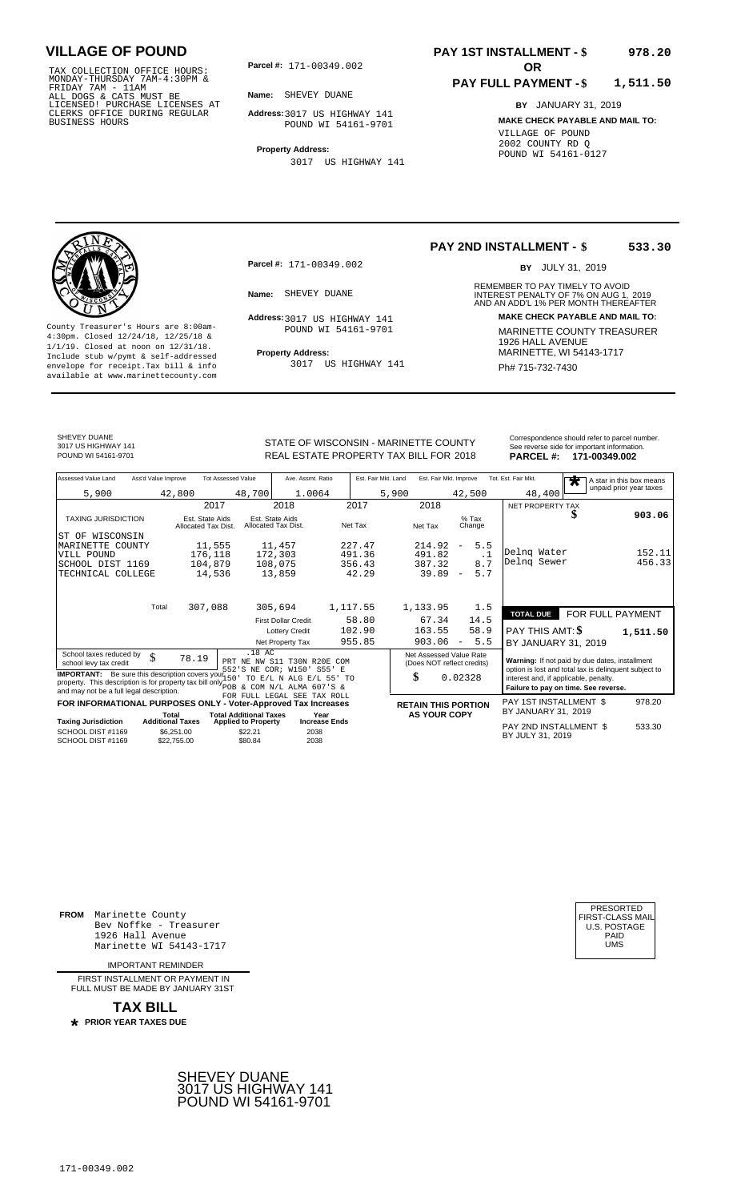TAX COLLECTION OFFICE HOURS:<br>
MONDAY-THURSDAY 7AM-4:30PM &<br>
FRIDAY 7AM - 11AM<br>
ALL DOGS & CATS MUST BE<br>
LICENSED! PURCHASE LICENSES AT<br>
CLERKS OFFICE DURING REGULAR<br>
CLERKS OFFICE DURING REGULAR<br>
BUSINESS HOURS<br>
POUND WI 5

**Parcel #:** 171-00349.002 **OR** 

**Name:** SHEVEY DUANE

**Address:** 3017 US HIGHWAY 141 POUND WI 54161-9701

**Property Address:** 3017 US HIGHWAY 141

### **PAY 1ST INSTALLMENT - \$ 978.20**

#### **PAY FULL PAYMENT - \$ 1,511.50**

**BY** JANUARY 31, 2019 **MAKE CHECK PAYABLE AND MAIL TO:** VILLAGE OF POUND 2002 COUNTY RD Q POUND WI 54161-0127



**Property Address:** MARINETTE, WI 54143-1717 Include stub w/pymt & self-addressed envelope for receipt.Tax bill & info Ph# 715-732-7430 available at www.marinettecounty.com

**Parcel #:** 171-00349.002

Address: 3017 US HIGHWAY 141 POUND WI 54161-9701

3017 US HIGHWAY 141

### **PAY 2ND INSTALLMENT - \$ 533.30**

BY JULY 31, 2019

REMEMBER TO PAY TIMELY TO AVOID **Name:** SHEVEY DUANE **INTEREST PENALTY OF 7% ON AUG 1, 2019**<br>AND AN ADD'L 1% PER MONTH THEREAFTER **Address: MAKE CHECK PAYABLE AND MAIL TO:** County Treasurer's Hours are 8:00am-<br>
4:30pm. Closed 12/24/18, 12/25/18 & MARINETTE COUNTY TREASURER<br>
1/1/19. Closed at noon on 12/31/18.<br>
Include stub w/pwmt & self-addressed **Property Address:** MARINETTE, WI 54143-1717

SHEVEY DUANE 3017 US HIGHWAY 141

STATE OF WISCONSIN - MARINETTE COUNTY REAL ESTATE PROPERTY TAX BILL FOR **PARCEL #:** POUND WI 54161-9701 2018 **171-00349.002**

| Correspondence should refer to parcel number. |
|-----------------------------------------------|
| See reverse side for important information.   |
| .                                             |

| Assessed Value Land                                                       | Ass'd Value Improve              |                                        | <b>Tot Assessed Value</b>                                   | Ave. Assmt. Ratio                      |                      | Est. Fair Mkt. Land |                     | Est. Fair Mkt. Improve          | Tot. Est. Fair Mkt.                                                                            | $\overline{\textbf{r}}$ | A star in this box means |
|---------------------------------------------------------------------------|----------------------------------|----------------------------------------|-------------------------------------------------------------|----------------------------------------|----------------------|---------------------|---------------------|---------------------------------|------------------------------------------------------------------------------------------------|-------------------------|--------------------------|
| 5,900                                                                     |                                  | 42,800                                 | 48,700                                                      | 1.0064                                 |                      | 5,900               |                     | 42,500                          | 48,400                                                                                         |                         | unpaid prior year taxes  |
|                                                                           |                                  |                                        | 2017                                                        | 2018                                   | 2017                 |                     | 2018                |                                 | NET PROPERTY TAX                                                                               |                         |                          |
| <b>TAXING JURISDICTION</b>                                                |                                  | Est. State Aids<br>Allocated Tax Dist. |                                                             | Est. State Aids<br>Allocated Tax Dist. | Net Tax              | Net Tax             |                     | $%$ Tax<br>Change               |                                                                                                |                         | 903.06                   |
| WISCONSIN<br>ST OF                                                        |                                  |                                        |                                                             |                                        |                      |                     |                     |                                 |                                                                                                |                         |                          |
| MARINETTE COUNTY                                                          |                                  | 11,555                                 |                                                             | 11,457                                 | 227.47               |                     | 214.92              | 5.5<br>$\overline{\phantom{m}}$ |                                                                                                |                         |                          |
| VILL POUND                                                                |                                  | 176,118                                |                                                             | 172,303                                | 491.36               |                     | 491.82              | $\cdot$ 1                       | Delng Water<br>Delnq Sewer                                                                     |                         | 152.11                   |
| SCHOOL DIST 1169                                                          |                                  | 104,879                                |                                                             | 108,075                                | 356.43               |                     | 387.32              | 8.7                             |                                                                                                |                         | 456.33                   |
| TECHNICAL COLLEGE                                                         |                                  | 14,536                                 |                                                             | 13,859                                 | 42.29                |                     | 39.89               | 5.7<br>$\overline{\phantom{a}}$ |                                                                                                |                         |                          |
|                                                                           |                                  |                                        |                                                             |                                        |                      |                     |                     |                                 |                                                                                                |                         |                          |
|                                                                           | Total                            | 307,088                                |                                                             | 305,694                                | 1,117.55             | 1,133.95            |                     | 1.5                             |                                                                                                |                         |                          |
|                                                                           |                                  |                                        |                                                             | <b>First Dollar Credit</b>             | 58.80                |                     | 67.34               | 14.5                            | <b>TOTAL DUE</b>                                                                               | FOR FULL PAYMENT        |                          |
|                                                                           |                                  |                                        |                                                             | <b>Lottery Credit</b>                  | 102.90               |                     | 163.55              | 58.9                            | PAY THIS AMT: \$                                                                               |                         | 1,511.50                 |
|                                                                           |                                  |                                        |                                                             | Net Property Tax                       | 955.85               |                     | 903.06              | 5.5<br>$\overline{\phantom{a}}$ | BY JANUARY 31, 2019                                                                            |                         |                          |
| School taxes reduced by                                                   | \$                               |                                        | $.18$ AC                                                    |                                        |                      |                     |                     | Net Assessed Value Rate         |                                                                                                |                         |                          |
| school levy tax credit                                                    |                                  | 78.19                                  | PRT NE NW S11 T30N R20E COM                                 |                                        |                      |                     |                     | (Does NOT reflect credits)      | Warning: If not paid by due dates, installment                                                 |                         |                          |
| <b>IMPORTANT:</b> Be sure this description covers your 150                |                                  |                                        | 552'S NE COR; W150' S55' E                                  | TO E/L N ALG E/L 55'                   | <b>TO</b>            | \$                  |                     | 0.02328                         | option is lost and total tax is delinquent subject to<br>interest and, if applicable, penalty. |                         |                          |
| property. This description is for property tax bill only $\overline{POB}$ |                                  |                                        |                                                             | & COM N/L ALMA 607'S &                 |                      |                     |                     |                                 | Failure to pay on time. See reverse.                                                           |                         |                          |
| and may not be a full legal description.                                  |                                  |                                        | FOR FULL LEGAL SEE TAX ROLL                                 |                                        |                      |                     |                     |                                 |                                                                                                |                         |                          |
| FOR INFORMATIONAL PURPOSES ONLY - Voter-Approved Tax Increases            |                                  |                                        |                                                             |                                        |                      |                     |                     | <b>RETAIN THIS PORTION</b>      | PAY 1ST INSTALLMENT \$                                                                         |                         | 978.20                   |
| <b>Taxing Jurisdiction</b>                                                | Total<br><b>Additional Taxes</b> |                                        | <b>Total Additional Taxes</b><br><b>Applied to Property</b> | Year                                   | <b>Increase Ends</b> |                     | <b>AS YOUR COPY</b> |                                 | BY JANUARY 31, 2019                                                                            |                         |                          |
| SCHOOL DIST #1169<br>SCHOOL DIST #1169                                    |                                  | \$6,251.00<br>\$22,755.00              | \$22.21<br>\$80.84                                          | 2038<br>2038                           |                      |                     |                     |                                 | PAY 2ND INSTALLMENT \$<br>BY JULY 31, 2019                                                     |                         | 533.30                   |
|                                                                           |                                  |                                        |                                                             |                                        |                      |                     |                     |                                 |                                                                                                |                         |                          |

**FROM** Marinette County Bev Noffke - Treasurer (U.S. POSTAGE)<br>1926 Hall Avenue (U.S. POSTAGE)<br>Marinette WI 54143-1717 (U.S. POSTAGE) 1926 Hall Avenue PAID Marinette WI 54143-1717 UMS

IMPORTANT REMINDER

FIRST INSTALL MENT OR PAYMENT IN FULL MUST BE MADE BY JANUARY 31ST

**TAX BILL**

 **PRIOR YEAR TAXES DUE \***



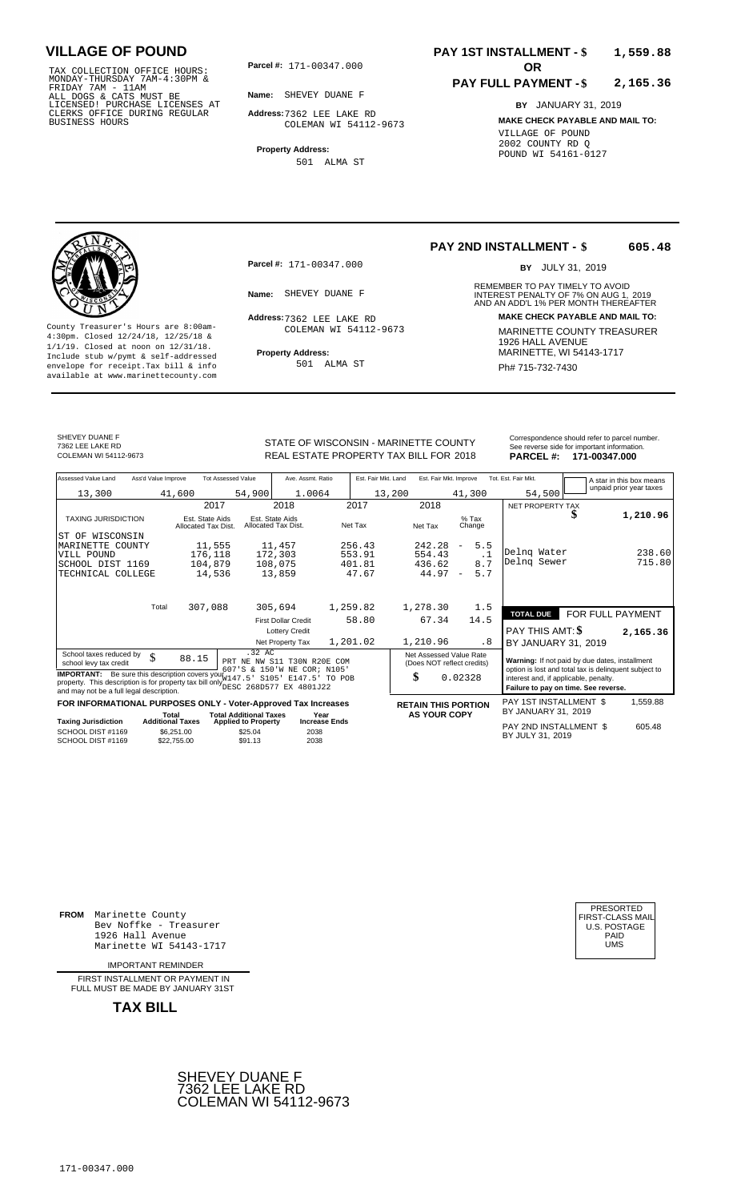TAX COLLECTION OFFICE HOURS:<br>
MONDAY-THURSDAY 7AM-4:30PM &<br>
FRIDAY 7AM - 11AM<br>
ALL DOGS & CATS MUST BE<br>
LICENSED! PURCHASE LICENSES AT<br>
CLERKS OFFICE DURING REGULAR<br>
CLERKS OFFICE DURING REGULAR<br>
BUSINESS HOURS<br>
COLEMAN WI

**Parcel #:** 171-00347.000

**Name:** SHEVEY DUANE F

**Address:** 7362 LEE LAKE RD COLEMAN WI 54112-9673

**Property Address:** 501 ALMA ST

### **PAY 1ST INSTALLMENT - \$ 1,559.88**

#### **PAY FULL PAYMENT - \$ 2,165.36**

**BY** JANUARY 31, 2019 **MAKE CHECK PAYABLE AND MAIL TO:** VILLAGE OF POUND 2002 COUNTY RD Q POUND WI 54161-0127

**Property Address:** MARINETTE, WI 54143-1717 Include stub w/pymt & self-addressed envelope for receipt.Tax bill & info Ph# 715-732-7430 available at www.marinettecounty.com

**Parcel #:** 171-00347.000

Address: 7362 LEE LAKE RD COLEMAN WI 54112-9673

501 ALMA ST

### **PAY 2ND INSTALLMENT - \$ 605.48**

BY JULY 31, 2019

REMEMBER TO PAY TIMELY TO AVOID **Name:** SHEVEY DUANE F **INTEREST PENALTY OF 7% ON AUG 1, 2019**<br>AND AN ADD'L 1% PER MONTH THEREAFTER **Address: MAKE CHECK PAYABLE AND MAIL TO:** County Treasurer's Hours are 8:00am-<br>
4:30pm. Closed 12/24/18, 12/25/18 & COLEMAN WI 54112-9673 MARINETTE COUNTY TREASURER<br>
1/1/19. Closed at noon on 12/31/18.<br>
Include stub w/pwmt. & self-addressed Property Address: MARIN

SHEVEY DUANE F 7362 LEE LAKE RD

REAL ESTATE PROPERTY TAX BILL FOR **PARCEL #:** COLEMAN WI 54112-9673 2018 **171-00347.000**

| STATE OF WISCONSIN - MARINETTE COUNTY<br>REAL ESTATE PROPERTY TAX BILL FOR 2018 | Correspondence should refer to parcel number.<br>See reverse side for important information.<br>PARCEL #: 171-00347.000 |
|---------------------------------------------------------------------------------|-------------------------------------------------------------------------------------------------------------------------|
|                                                                                 |                                                                                                                         |

| Assessed Value Land<br>Ass'd Value Improve                                                                                                                                                            |                                        | <b>Tot Assessed Value</b>                                            | Ave. Assmt. Ratio                      |                      | Est. Fair Mkt. Land | Est. Fair Mkt. Improve                                                        |                                 | Tot. Est. Fair Mkt.                                                                                     |                  | A star in this box means<br>unpaid prior year taxes |
|-------------------------------------------------------------------------------------------------------------------------------------------------------------------------------------------------------|----------------------------------------|----------------------------------------------------------------------|----------------------------------------|----------------------|---------------------|-------------------------------------------------------------------------------|---------------------------------|---------------------------------------------------------------------------------------------------------|------------------|-----------------------------------------------------|
| 13,300                                                                                                                                                                                                | 41,600                                 | 54,900                                                               | 1.0064                                 |                      | 13,200              |                                                                               | 41,300                          | 54,500                                                                                                  |                  |                                                     |
|                                                                                                                                                                                                       | 2017                                   |                                                                      | 2018                                   |                      | 2017                | 2018                                                                          |                                 | NET PROPERTY TAX                                                                                        |                  |                                                     |
| <b>TAXING JURISDICTION</b>                                                                                                                                                                            | Est. State Aids<br>Allocated Tax Dist. |                                                                      | Est. State Aids<br>Allocated Tax Dist. | Net Tax              |                     | Net Tax                                                                       | $%$ Tax<br>Change               |                                                                                                         | S                | 1,210.96                                            |
| IST OF WISCONSIN                                                                                                                                                                                      |                                        |                                                                      |                                        |                      |                     |                                                                               |                                 |                                                                                                         |                  |                                                     |
| <b>MARINETTE</b><br>COUNTY                                                                                                                                                                            | 11,555                                 |                                                                      | 11,457                                 |                      | 256.43              | 242.28                                                                        | 5.5<br>$\overline{\phantom{a}}$ |                                                                                                         |                  |                                                     |
| VILL POUND                                                                                                                                                                                            | 176,118                                |                                                                      | 172,303                                |                      | 553.91              | 554.43                                                                        | $\cdot$ 1                       | Delng Water                                                                                             |                  | 238.60                                              |
| SCHOOL DIST 1169                                                                                                                                                                                      | 104,879                                |                                                                      | 108,075                                |                      | 401.81              | 436.62                                                                        | 8.7                             | Delnq Sewer                                                                                             |                  | 715.80                                              |
| TECHNICAL COLLEGE                                                                                                                                                                                     | 14,536                                 |                                                                      | 13,859                                 |                      | 47.67               | 44.97                                                                         | 5.7<br>$\overline{\phantom{a}}$ |                                                                                                         |                  |                                                     |
| Total                                                                                                                                                                                                 |                                        |                                                                      |                                        |                      |                     |                                                                               |                                 |                                                                                                         |                  |                                                     |
|                                                                                                                                                                                                       | 307,088                                |                                                                      | 305,694                                | 1,259.82             |                     | 1,278.30                                                                      | 1.5                             | <b>TOTAL DUE</b>                                                                                        | FOR FULL PAYMENT |                                                     |
|                                                                                                                                                                                                       |                                        |                                                                      | <b>First Dollar Credit</b>             |                      | 58.80               | 67.34                                                                         | 14.5                            |                                                                                                         |                  |                                                     |
|                                                                                                                                                                                                       |                                        |                                                                      | <b>Lottery Credit</b>                  |                      |                     |                                                                               |                                 | PAY THIS AMT: \$                                                                                        |                  | 2,165.36                                            |
|                                                                                                                                                                                                       |                                        |                                                                      | Net Property Tax                       | 1,201.02             |                     | 1,210.96                                                                      | .8                              | BY JANUARY 31, 2019                                                                                     |                  |                                                     |
| School taxes reduced by<br>\$<br>school levy tax credit                                                                                                                                               | 88.15                                  | .32 AC<br>PRT NE NW S11 T30N R20E COM<br>607'S & 150'W NE COR; N105' |                                        |                      |                     | Net Assessed Value Rate<br>(Does NOT reflect credits)                         |                                 | Warning: If not paid by due dates, installment<br>option is lost and total tax is delinquent subject to |                  |                                                     |
| <b>IMPORTANT:</b> Be sure this description covers your W147.5<br>property. This description is for property tax bill only <b>ELECT 268D577</b> EX 4801J22<br>and may not be a full legal description. | S105'<br>E147.5'                       | TO POB                                                               |                                        | \$                   | 0.02328             | interest and, if applicable, penalty.<br>Failure to pay on time. See reverse. |                                 |                                                                                                         |                  |                                                     |
| FOR INFORMATIONAL PURPOSES ONLY - Voter-Approved Tax Increases                                                                                                                                        |                                        |                                                                      |                                        |                      |                     | <b>RETAIN THIS PORTION</b>                                                    |                                 | PAY 1ST INSTALLMENT \$                                                                                  |                  | 1,559.88                                            |
|                                                                                                                                                                                                       | Total                                  | <b>Total Additional Taxes</b><br>Year                                |                                        |                      |                     | <b>AS YOUR COPY</b>                                                           |                                 | BY JANUARY 31, 2019                                                                                     |                  |                                                     |
| <b>Taxing Jurisdiction</b>                                                                                                                                                                            | <b>Additional Taxes</b>                | <b>Applied to Property</b>                                           |                                        | <b>Increase Ends</b> |                     |                                                                               |                                 | PAY 2ND INSTALLMENT \$                                                                                  |                  | 605.48                                              |
| SCHOOL DIST #1169<br>SCHOOL DIST #1169                                                                                                                                                                | \$6,251.00<br>\$22,755,00              | \$25.04<br>\$91.13                                                   | 2038<br>2038                           |                      |                     |                                                                               |                                 | BY JULY 31, 2019                                                                                        |                  |                                                     |

**FROM** Marinette County Bev Noffke - Treasurer 1926 Hall Avenue PAID Marinette WI 54143-1717 UMS

IMPORTANT REMINDER

FIRST INSTALLMENT OR PAYMENT IN FULL MUST BE MADE BY JANUARY 31ST

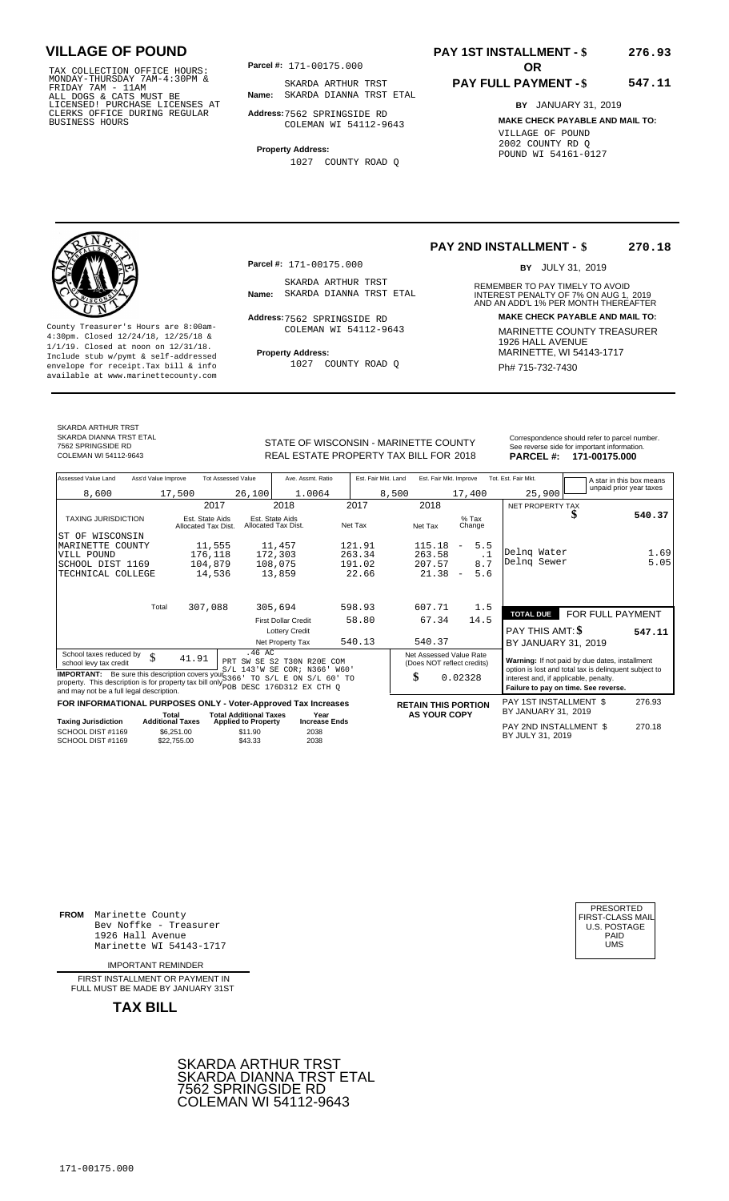TAX COLLECTION OFFICE HOURS:<br>
MONDAY-THURSDAY 7AM-4:30PM &<br>
FRIDAY 7AM - 11AM<br>
ALL DOGS & CATS MUST BE<br>
LICENSED! PURCHASE LICENSES AT<br>
CLERKS OFFICE DURING REGULAR<br>
CLERKS OFFICE DURING REGULAR<br>
BUSINESS HOURS<br>
PURCHASE C

**Parcel #:** 171-00175.000

**Name:** SKARDA DIANNA TRST ETAL SKARDA ARTHUR TRST

**Address:** 7562 SPRINGSIDE RD COLEMAN WI 54112-9643

**Property Address:**

1027 COUNTY ROAD Q

### **PAY 1ST INSTALLMENT - \$ 276.93**

#### **PAY FULL PAYMENT - \$ 547.11**

**BY** JANUARY 31, 2019 **MAKE CHECK PAYABLE AND MAIL TO:** VILLAGE OF POUND 2002 COUNTY RD Q POUND WI 54161-0127

**Property Address:** MARINETTE, WI 54143-1717 Include stub w/pymt & self-addressed envelope for receipt.Tax bill & info Ph# 715-732-7430 available at www.marinettecounty.com

**Parcel #:** 171-00175.000

SKARDA ARTHUR TRST<br>Name: SKARDA DIANNA TRST ETAL

Address: 7562 SPRINGSIDE RD COLEMAN WI 54112-9643

1027 COUNTY ROAD Q

### **PAY 2ND INSTALLMENT - \$ 270.18**

BY JULY 31, 2019

REMEMBER TO PAY TIMELY TO AVOID **Name:** SKARDA DIANNA TRST ETAL **INTEREST PENALTY OF 7% ON AUG 1, 2019**<br>AND AN ADD'L 1% PER MONTH THEREAFTER **Address: MAKE CHECK PAYABLE AND MAIL TO:** County Treasurer's Hours are 8:00am-<br>
4:30pm. Closed 12/24/18, 12/25/18 & COLEMAN WI 54112-9643 MARINETTE COUNTY TREASURER<br>
1/1/19. Closed at noon on 12/31/18.<br>
Include stub w/pwmt. & self-addressed Property Address: MARIN

SKARDA ARTHUR TRST SKARDA DIANNA TRST ETAL

7562 SPRINGSIDE RD

STATE OF WISCONSIN - MARINETTE COUNTY REAL ESTATE PROPERTY TAX BILL FOR **PARCEL #:** COLEMAN WI 54112-9643 2018 **171-00175.000**

|                 | Correspondence should refer to parcel number. |
|-----------------|-----------------------------------------------|
|                 | See reverse side for important information.   |
| <b>PARCEL#:</b> | 171-00175.000                                 |

| Assessed Value Land                                                                                                                                                                         | Ass'd Value Improve              |                                        | <b>Tot Assessed Value</b>                        | Ave. Assmt. Ratio                                     |         | Est. Fair Mkt. Land | Est. Fair Mkt. Improve                                |                          |           | Tot. Est. Fair Mkt.                                                           |   | A star in this box means                              |
|---------------------------------------------------------------------------------------------------------------------------------------------------------------------------------------------|----------------------------------|----------------------------------------|--------------------------------------------------|-------------------------------------------------------|---------|---------------------|-------------------------------------------------------|--------------------------|-----------|-------------------------------------------------------------------------------|---|-------------------------------------------------------|
| 8,600                                                                                                                                                                                       |                                  | 17,500                                 | 26,100                                           | 1.0064                                                |         | 8,500               |                                                       | 17,400                   |           | 25,900                                                                        |   | unpaid prior year taxes                               |
|                                                                                                                                                                                             |                                  | 2017                                   |                                                  | 2018                                                  | 2017    |                     | 2018                                                  |                          |           | NET PROPERTY TAX                                                              |   |                                                       |
| <b>TAXING JURISDICTION</b>                                                                                                                                                                  |                                  | Est. State Aids<br>Allocated Tax Dist. |                                                  | Est. State Aids<br>Allocated Tax Dist.                | Net Tax |                     | Net Tax                                               | $%$ Tax<br>Change        |           |                                                                               | ъ | 540.37                                                |
| ST OF WISCONSIN                                                                                                                                                                             |                                  |                                        |                                                  |                                                       |         |                     |                                                       |                          |           |                                                                               |   |                                                       |
| MARINETTE COUNTY                                                                                                                                                                            |                                  | 11,555                                 |                                                  | 11,457                                                | 121.91  |                     | 115.18                                                | $\overline{\phantom{m}}$ | 5.5       |                                                                               |   |                                                       |
| VILL POUND                                                                                                                                                                                  |                                  | 176,118                                |                                                  | 172,303                                               | 263.34  |                     | 263.58                                                |                          | $\cdot$ 1 | Delng Water                                                                   |   | 1.69                                                  |
| SCHOOL DIST 1169                                                                                                                                                                            |                                  | 104,879                                |                                                  | 108,075                                               | 191.02  |                     | 207.57                                                |                          | 8.7       | Delng Sewer                                                                   |   | 5.05                                                  |
| TECHNICAL COLLEGE                                                                                                                                                                           |                                  | 14,536                                 |                                                  | 13,859                                                | 22.66   |                     | 21.38                                                 | $\overline{\phantom{a}}$ | 5.6       |                                                                               |   |                                                       |
|                                                                                                                                                                                             | Total                            | 307,088                                |                                                  | 305,694                                               | 598.93  |                     | 607.71                                                |                          | 1.5       |                                                                               |   |                                                       |
|                                                                                                                                                                                             |                                  |                                        |                                                  |                                                       | 58.80   |                     | 67.34                                                 | 14.5                     |           | <b>TOTAL DUE</b>                                                              |   | FOR FULL PAYMENT                                      |
|                                                                                                                                                                                             |                                  |                                        |                                                  | <b>First Dollar Credit</b><br><b>Lottery Credit</b>   |         |                     |                                                       |                          |           | PAY THIS AMT: \$                                                              |   | 547.11                                                |
|                                                                                                                                                                                             |                                  |                                        |                                                  | Net Property Tax                                      | 540.13  |                     | 540.37                                                |                          |           | BY JANUARY 31, 2019                                                           |   |                                                       |
| School taxes reduced by<br>school levy tax credit                                                                                                                                           | \$                               | 41.91                                  | .46 AC                                           | PRT SW SE S2 T30N R20E COM<br>S/L 143'W SE COR; N366' | W60'    |                     | Net Assessed Value Rate<br>(Does NOT reflect credits) |                          |           | Warning: If not paid by due dates, installment                                |   | option is lost and total tax is delinquent subject to |
| <b>IMPORTANT:</b> Be sure this description covers your $S366$<br>property. This description is for property tax bill only DESC 176D312 EX CTH Q<br>and may not be a full legal description. |                                  |                                        |                                                  | TO S/L E ON S/L 60' TO                                |         |                     | \$                                                    | 0.02328                  |           | interest and, if applicable, penalty.<br>Failure to pay on time. See reverse. |   |                                                       |
| FOR INFORMATIONAL PURPOSES ONLY - Voter-Approved Tax Increases                                                                                                                              |                                  |                                        |                                                  |                                                       |         |                     | <b>RETAIN THIS PORTION</b>                            |                          |           | PAY 1ST INSTALLMENT \$                                                        |   | 276.93                                                |
|                                                                                                                                                                                             | Total<br><b>Additional Taxes</b> |                                        | <b>Total Additional Taxes</b>                    | Year<br><b>Increase Ends</b>                          |         |                     | <b>AS YOUR COPY</b>                                   |                          |           | BY JANUARY 31, 2019                                                           |   |                                                       |
| <b>Taxing Jurisdiction</b><br>SCHOOL DIST #1169<br>SCHOOL DIST #1169                                                                                                                        |                                  | \$6.251.00<br>\$22,755.00              | <b>Applied to Property</b><br>\$11.90<br>\$43.33 | 2038<br>2038                                          |         |                     |                                                       |                          |           | PAY 2ND INSTALLMENT \$<br>BY JULY 31, 2019                                    |   | 270.18                                                |

**FROM** Marinette County Bev Noffke - Treasurer (U.S. POSTAGE)<br>1926 Hall Avenue (U.S. POSTAGE)<br>Marinette WI 54143-1717 (UMS 1926 Hall Avenue PAID Marinette WI 54143-1717 UMS

IMPORTANT REMINDER

FIRST INSTALLMENT OR PAYMENT IN FULL MUST BE MADE BY JANUARY 31ST



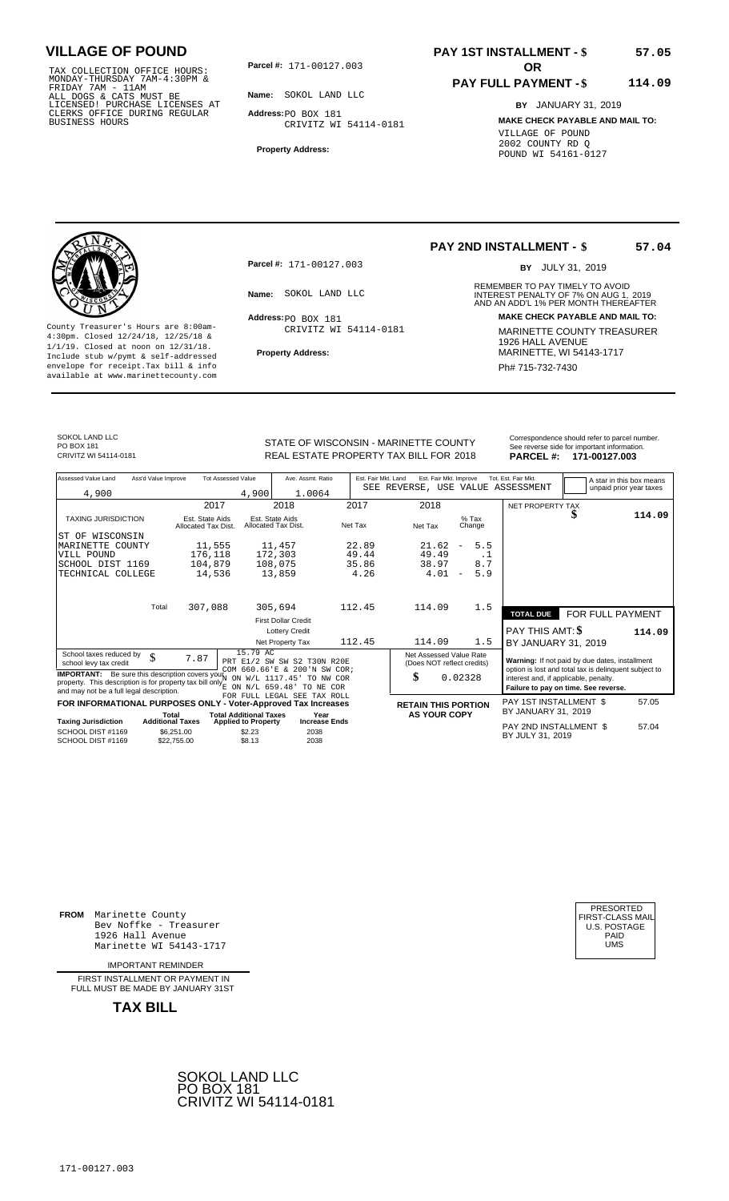TAX COLLECTION OFFICE HOURS:<br>
MONDAY-THURSDAY 7AM-4:30PM &<br>
FRIDAY 7AM - 11AM<br>
ALL DOGS & CATS MUST BE<br>
LICENSED! PURCHASE LICENSES AT<br>
CLERKS OFFICE DURING REGULAR<br>
CLERKS OFFICE DURING REGULAR<br>
BUSINESS HOURS<br>
BUSINESS H

**Parcel #:** 171-00127.003 **OR** 

**Name:** SOKOL LAND LLC

**Address:** PO BOX 181 CRIVITZ WI 54114-0181

**Property Address:**

# **PAY 1ST INSTALLMENT - \$**

#### **PAY FULL PAYMENT - \$ 114.09**

**BY** JANUARY 31, 2019 **MAKE CHECK PAYABLE AND MAIL TO:** VILLAGE OF POUND 2002 COUNTY RD Q POUND WI 54161-0127

**Property Address:** MARINETTE, WI 54143-1717 Include stub w/pymt & self-addressed envelope for receipt.Tax bill & info Phat is a set of the phat of the Phat 715-732-7430 envelope for receipt.Tax bill & info Phat 715-732-7430 envelope for the phat 715-732-7430 envelope for the phat 715-732-7430 envelope

**Parcel #:** 171-00127.003

Address: PO BOX 181 CRIVITZ WI 54114-0181

## **PAY 2ND INSTALLMENT - \$**

BY JULY 31, 2019

REMEMBER TO PAY TIMELY TO AVOID **Name:** SOKOL LAND LLC **And ADD** INTEREST PENALTY OF 7% ON AUG 1, 2019<br>AND AN ADD'L 1% PER MONTH THEREAFTER **Address: MAKE CHECK PAYABLE AND MAIL TO:** County Treasurer's Hours are 8:00am-<br>
4:30pm. Closed 12/24/18, 12/25/18 & CRIVITZ WI 54114-0181 MARINETTE COUNTY TREASURER<br>
1/1/19. Closed at noon on 12/31/18.<br>
Include stub w/pwmt & self-addressed **Property Address:** MARI

SOKOL LAND LLC PO BOX 181<br>CRIVITZ WI 54114-0181

STATE OF WISCONSIN - MARINETTE COUNTY<br>
See reverse side for important information.<br>
REAL ESTATE PROPERTY TAX BILL FOR 2018 PARCEL #: 171-00127.003 REAL ESTATE PROPERTY TAX BILL FOR **PARCEL #:** CRIVITZ WI 54114-0181 2018 **171-00127.003**

| Assessed Value Land                                                                                                                                                                                                                     | Ass'd Value Improve |                                        | <b>Tot Assessed Value</b>                                   | Ave. Assmt. Ratio                                           | Est. Fair Mkt. Land | Est. Fair Mkt. Improve<br>SEE REVERSE, USE VALUE ASSESSMENT |                                 | Tot. Est. Fair Mkt.                                                                                     |                  | A star in this box means<br>unpaid prior year taxes |
|-----------------------------------------------------------------------------------------------------------------------------------------------------------------------------------------------------------------------------------------|---------------------|----------------------------------------|-------------------------------------------------------------|-------------------------------------------------------------|---------------------|-------------------------------------------------------------|---------------------------------|---------------------------------------------------------------------------------------------------------|------------------|-----------------------------------------------------|
| 4,900                                                                                                                                                                                                                                   |                     |                                        | 4,900                                                       | 1.0064                                                      |                     |                                                             |                                 |                                                                                                         |                  |                                                     |
|                                                                                                                                                                                                                                         |                     | 2017                                   |                                                             | 2018                                                        | 2017                | 2018                                                        |                                 | NET PROPERTY TAX                                                                                        |                  |                                                     |
| <b>TAXING JURISDICTION</b>                                                                                                                                                                                                              |                     | Est. State Aids<br>Allocated Tax Dist. |                                                             | Est. State Aids<br>Allocated Tax Dist.                      | Net Tax             | Net Tax                                                     | % Tax<br>Change                 |                                                                                                         | D                | 114.09                                              |
| ST OF<br>WISCONSIN                                                                                                                                                                                                                      |                     |                                        |                                                             |                                                             |                     |                                                             |                                 |                                                                                                         |                  |                                                     |
| MARINETTE COUNTY                                                                                                                                                                                                                        |                     | 11,555                                 |                                                             | 11,457                                                      | 22.89               | 21.62                                                       | 5.5<br>$\overline{\phantom{a}}$ |                                                                                                         |                  |                                                     |
| VILL POUND                                                                                                                                                                                                                              |                     | 176,118                                |                                                             | 172,303                                                     | 49.44               | 49.49                                                       | $\cdot$ 1                       |                                                                                                         |                  |                                                     |
| SCHOOL DIST 1169                                                                                                                                                                                                                        |                     | 104,879                                |                                                             | 108,075                                                     | 35.86               | 38.97                                                       | 8.7                             |                                                                                                         |                  |                                                     |
| TECHNICAL COLLEGE                                                                                                                                                                                                                       |                     | 14,536                                 |                                                             | 13,859                                                      | 4.26                | 4.01                                                        | 5.9<br>$\overline{\phantom{a}}$ |                                                                                                         |                  |                                                     |
|                                                                                                                                                                                                                                         | Total               | 307,088                                |                                                             | 305,694                                                     | 112.45              | 114.09                                                      | 1.5                             |                                                                                                         |                  |                                                     |
|                                                                                                                                                                                                                                         |                     |                                        |                                                             |                                                             |                     |                                                             |                                 | <b>TOTAL DUE</b>                                                                                        | FOR FULL PAYMENT |                                                     |
|                                                                                                                                                                                                                                         |                     |                                        |                                                             | <b>First Dollar Credit</b>                                  |                     |                                                             |                                 |                                                                                                         |                  |                                                     |
|                                                                                                                                                                                                                                         |                     |                                        |                                                             | <b>Lottery Credit</b>                                       |                     |                                                             |                                 | PAY THIS AMT: \$                                                                                        |                  | 114.09                                              |
|                                                                                                                                                                                                                                         |                     |                                        |                                                             | Net Property Tax                                            | 112.45              | 114.09                                                      | 1.5                             | BY JANUARY 31, 2019                                                                                     |                  |                                                     |
| School taxes reduced by<br>school levy tax credit                                                                                                                                                                                       | \$                  | 7.87                                   | 15.79 AC                                                    | PRT E1/2 SW SW S2 T30N R20E<br>COM 660.66'E & 200'N SW COR; |                     | Net Assessed Value Rate<br>(Does NOT reflect credits)       |                                 | Warning: If not paid by due dates, installment<br>option is lost and total tax is delinquent subject to |                  |                                                     |
| <b>IMPORTANT:</b> Be sure this description covers your $N$ ON $W/L$ 1117.45' TO NW COR<br>property. This description is for property tax bill only $\frac{1}{E}$ on $N/L$ 659.48' TO NE COR<br>and may not be a full legal description. |                     |                                        |                                                             |                                                             |                     | \$                                                          | 0.02328                         | interest and, if applicable, penalty.<br>Failure to pay on time. See reverse.                           |                  |                                                     |
|                                                                                                                                                                                                                                         |                     |                                        |                                                             | FOR FULL LEGAL SEE TAX ROLL                                 |                     |                                                             |                                 |                                                                                                         |                  |                                                     |
| FOR INFORMATIONAL PURPOSES ONLY - Voter-Approved Tax Increases                                                                                                                                                                          |                     |                                        |                                                             |                                                             |                     | <b>RETAIN THIS PORTION</b>                                  |                                 | PAY 1ST INSTALLMENT \$<br>BY JANUARY 31, 2019                                                           |                  | 57.05                                               |
| <b>Taxing Jurisdiction</b>                                                                                                                                                                                                              |                     | Total<br><b>Additional Taxes</b>       | <b>Total Additional Taxes</b><br><b>Applied to Property</b> | Year<br><b>Increase Ends</b>                                |                     | <b>AS YOUR COPY</b>                                         |                                 |                                                                                                         |                  |                                                     |
| SCHOOL DIST #1169<br>SCHOOL DIST #1169                                                                                                                                                                                                  |                     | \$6,251.00<br>\$22.755.00              | \$2.23<br>\$8.13                                            | 2038<br>2038                                                |                     |                                                             |                                 | PAY 2ND INSTALLMENT \$<br>BY JULY 31, 2019                                                              |                  | 57.04                                               |
|                                                                                                                                                                                                                                         |                     |                                        |                                                             |                                                             |                     |                                                             |                                 |                                                                                                         |                  |                                                     |

**FROM** Marinette County Bev Noffke - Treasurer (U.S. POSTAGE)<br>1926 Hall Avenue (U.S. POSTAGE)<br>Marinette WI 54143-1717 (U.S. POSTAGE) 1926 Hall Avenue PAID Marinette WI 54143-1717 UMS

IMPORTANT REMINDER

FIRST INSTALLMENT OR PAYMENT IN FULL MUST BE MADE BY JANUARY 31ST

**TAX BILL**





**57.04**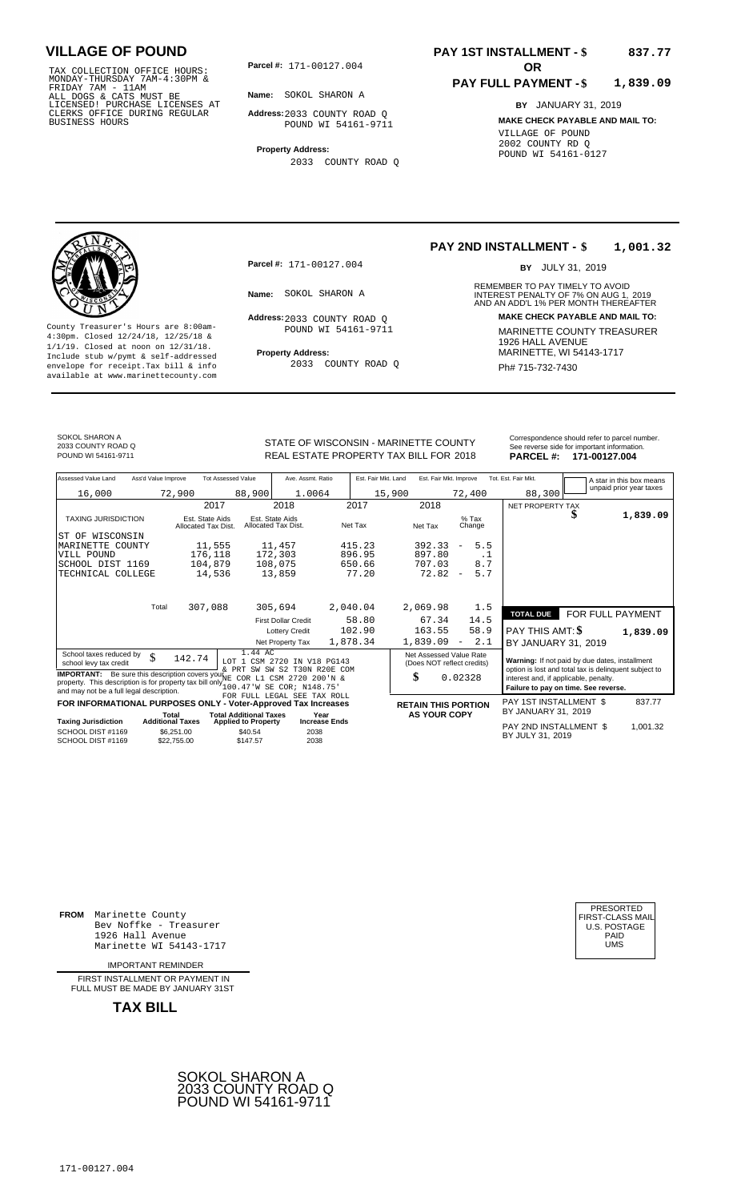TAX COLLECTION OFFICE HOURS:<br>
MONDAY-THURSDAY 7AM-4:30PM &<br>
FRIDAY 7AM - 11AM<br>
ALL DOGS & CATS MUST BE<br>
LICENSED! PURCHASE LICENSES AT<br>
CLERKS OFFICE DURING REGULAR<br>
CLERKS OFFICE DURING REGULAR<br>
BUSINESS HOURS<br>
BUSINESS H

**Parcel #:** 171-00127.004 **OR** 

**Name:** SOKOL SHARON A

**Address:** 2033 COUNTY ROAD Q POUND WI 54161-9711

**Property Address:** 2033 COUNTY ROAD Q

### **PAY 1ST INSTALLMENT - \$ 837.77**

#### **PAY FULL PAYMENT - \$ 1,839.09**

**BY** JANUARY 31, 2019 **MAKE CHECK PAYABLE AND MAIL TO:** VILLAGE OF POUND 2002 COUNTY RD Q POUND WI 54161-0127

**Property Address:** MARINETTE, WI 54143-1717 Include stub w/pymt & self-addressed envelope for receipt.Tax bill & info Ph# 715-732-7430 available at www.marinettecounty.com

**Parcel #:** 171-00127.004

Address: 2033 COUNTY ROAD Q POUND WI 54161-9711

2033 COUNTY ROAD Q

### **PAY 2ND INSTALLMENT - \$ 1,001.32**

BY JULY 31, 2019

REMEMBER TO PAY TIMELY TO AVOID **Name:** SOKOL SHARON A **INTEREST PENALTY OF 7% ON AUG 1, 2019**<br>AND AN ADD'L 1% PER MONTH THEREAFTER **Address: MAKE CHECK PAYABLE AND MAIL TO:** County Treasurer's Hours are 8:00am-<br>
4:30pm. Closed 12/24/18, 12/25/18 & MARINETTE COUNTY TREASURER<br>
1/1/19. Closed at noon on 12/31/18.<br>
Include stub w/pwmt & self-addressed **Property Address:** MARINETTE, WI 54143-1717

SOKOL SHARON A 2033 COUNTY ROAD Q

POUND WI 54161-9711 **171-00127.004** REAL ESTATE PROPERTY TAX BILL FOR 2018 **PARCEL #: 171-00127.004** 

| STATE OF WISCONSIN - MARINETTE COUNTY  | Correspondence should refer to parcel number.<br>See reverse side for important information. |
|----------------------------------------|----------------------------------------------------------------------------------------------|
| REAL ESTATE PROPERTY TAX BILL FOR 2018 | PARCEL #: 171-00127.004                                                                      |

| Assessed Value Land                                                                                                                                                                                             | Ass'd Value Improve |                                        | <b>Tot Assessed Value</b> |                                        | Ave. Assmt. Ratio                                           |                      | Est. Fair Mkt. Land |        | Est. Fair Mkt. Improve                                |                          |                   | Tot. Est. Fair Mkt.                                                                                     |                  | A star in this box means |
|-----------------------------------------------------------------------------------------------------------------------------------------------------------------------------------------------------------------|---------------------|----------------------------------------|---------------------------|----------------------------------------|-------------------------------------------------------------|----------------------|---------------------|--------|-------------------------------------------------------|--------------------------|-------------------|---------------------------------------------------------------------------------------------------------|------------------|--------------------------|
| 16,000                                                                                                                                                                                                          |                     | 72,900                                 |                           | 88,900                                 | 1.0064                                                      |                      |                     | 15,900 |                                                       | 72,400                   |                   | 88,300                                                                                                  |                  | unpaid prior year taxes  |
|                                                                                                                                                                                                                 |                     |                                        | 2017                      |                                        | 2018                                                        |                      | 2017                |        | 2018                                                  |                          |                   | NET PROPERTY TAX                                                                                        |                  |                          |
| <b>TAXING JURISDICTION</b>                                                                                                                                                                                      |                     | Est. State Aids<br>Allocated Tax Dist. |                           | Est. State Aids<br>Allocated Tax Dist. |                                                             |                      | Net Tax             |        | Net Tax                                               |                          | $%$ Tax<br>Change |                                                                                                         | ъ                | 1,839.09                 |
| ST OF WISCONSIN                                                                                                                                                                                                 |                     |                                        |                           |                                        |                                                             |                      |                     |        |                                                       |                          |                   |                                                                                                         |                  |                          |
| MARINETTE COUNTY                                                                                                                                                                                                |                     |                                        | 11,555                    |                                        | 11,457                                                      |                      | 415.23              |        | 392.33                                                | $\overline{\phantom{a}}$ | 5.5               |                                                                                                         |                  |                          |
| VILL POUND<br>SCHOOL DIST 1169                                                                                                                                                                                  |                     |                                        | 176,118<br>104,879        | 172,303<br>108,075                     |                                                             |                      | 896.95<br>650.66    |        | 897.80<br>707.03                                      |                          | $\cdot$ 1<br>8.7  |                                                                                                         |                  |                          |
| TECHNICAL COLLEGE                                                                                                                                                                                               |                     |                                        | 14,536                    | 13,859                                 |                                                             |                      | 77.20               |        | 72.82                                                 | $\overline{\phantom{a}}$ | 5.7               |                                                                                                         |                  |                          |
|                                                                                                                                                                                                                 |                     |                                        |                           |                                        |                                                             |                      |                     |        |                                                       |                          |                   |                                                                                                         |                  |                          |
|                                                                                                                                                                                                                 | Total               | 307,088                                |                           | 305,694                                |                                                             |                      | 2,040.04            |        | 2,069.98                                              |                          | 1.5               |                                                                                                         |                  |                          |
|                                                                                                                                                                                                                 |                     |                                        |                           |                                        | <b>First Dollar Credit</b>                                  |                      | 58.80               |        | 67.34                                                 |                          | 14.5              | <b>TOTAL DUE</b>                                                                                        | FOR FULL PAYMENT |                          |
|                                                                                                                                                                                                                 |                     |                                        |                           |                                        | <b>Lottery Credit</b>                                       |                      | 102.90              |        | 163.55                                                |                          | 58.9              | <b>PAY THIS AMT: \$</b>                                                                                 |                  | 1,839.09                 |
|                                                                                                                                                                                                                 |                     |                                        |                           |                                        | Net Property Tax                                            |                      | 1,878.34            |        | 1,839.09                                              | $\overline{\phantom{a}}$ | 2.1               | BY JANUARY 31, 2019                                                                                     |                  |                          |
| School taxes reduced by<br>school levy tax credit                                                                                                                                                               | \$                  | 142.74                                 |                           | 1.44 AC                                | LOT 1 CSM 2720 IN V18 PG143<br>& PRT SW SW S2 T30N R20E COM |                      |                     |        | Net Assessed Value Rate<br>(Does NOT reflect credits) |                          |                   | Warning: If not paid by due dates, installment<br>option is lost and total tax is delinquent subject to |                  |                          |
| <b>IMPORTANT:</b> Be sure this description covers your COR L1 CSM 2720 200'N &<br>property. This description is for property tax bill only 100.47 W SE COR: N148.75<br>and may not be a full legal description. |                     |                                        |                           |                                        |                                                             |                      |                     |        | \$                                                    | 0.02328                  |                   | interest and, if applicable, penalty.<br>Failure to pay on time. See reverse.                           |                  |                          |
|                                                                                                                                                                                                                 |                     |                                        |                           |                                        | FOR FULL LEGAL SEE TAX ROLL                                 |                      |                     |        |                                                       |                          |                   | PAY 1ST INSTALLMENT \$                                                                                  |                  | 837.77                   |
| FOR INFORMATIONAL PURPOSES ONLY - Voter-Approved Tax Increases                                                                                                                                                  |                     | Total                                  |                           | <b>Total Additional Taxes</b>          |                                                             | Year                 |                     |        | <b>RETAIN THIS PORTION</b><br><b>AS YOUR COPY</b>     |                          |                   | BY JANUARY 31, 2019                                                                                     |                  |                          |
| Taxing Jurisdiction                                                                                                                                                                                             |                     | <b>Additional Taxes</b>                |                           | <b>Applied to Property</b>             |                                                             | <b>Increase Ends</b> |                     |        |                                                       |                          |                   | PAY 2ND INSTALLMENT \$                                                                                  |                  | 1,001.32                 |
| SCHOOL DIST #1169<br>SCHOOL DIST #1169                                                                                                                                                                          |                     | \$6,251.00<br>\$22.755.00              |                           | \$40.54<br>\$147.57                    | 2038<br>2038                                                |                      |                     |        |                                                       |                          |                   | BY JULY 31, 2019                                                                                        |                  |                          |
|                                                                                                                                                                                                                 |                     |                                        |                           |                                        |                                                             |                      |                     |        |                                                       |                          |                   |                                                                                                         |                  |                          |

**FROM** Marinette County Bev Noffke - Treasurer (U.S. POSTAGE)<br>1926 Hall Avenue (U.S. POSTAGE)<br>Marinette WI 54143-1717 (U.S. POSTAGE) 1926 Hall Avenue Marinette WI 54143-1717

IMPORTANT REMINDER

FIRST INSTALLMENT OR PAYMENT IN FULL MUST BE MADE BY JANUARY 31ST



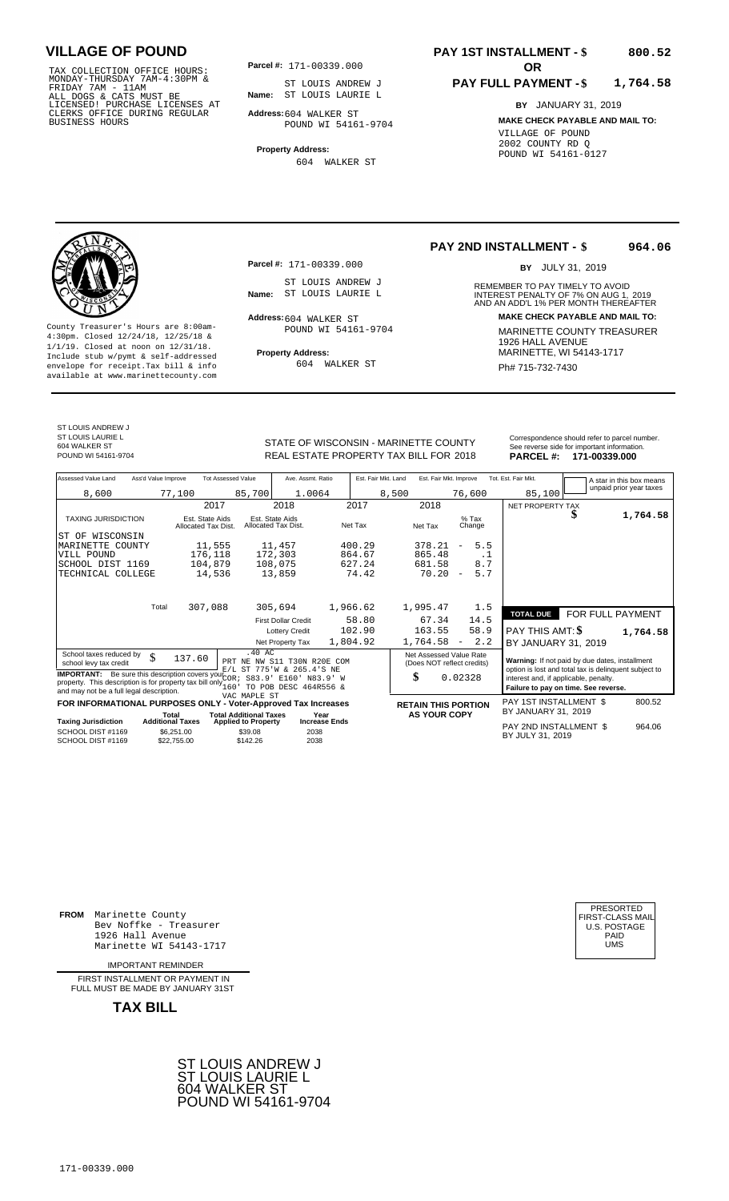TAX COLLECTION OFFICE HOURS:<br>
MONDAY-THURSDAY 7AM-4:30PM & ST LOUIS ANDRE<br>
FRIDAY 7AM - 11AM & ST LOUIS ANDRE<br>
ALL DOGS & CATS MUST BE **Name**: ST LOUIS LAURI<br>
CLERKS OFFICE DURING REGULAR **Address:**604 WALKER ST<br>
BUSINESS

**Parcel #:** 171-00339.000

**Name:** ST LOUIS LAURIE L ST LOUIS ANDREW J

**Address:** 604 WALKER ST POUND WI 54161-9704

**Property Address:** 604 WALKER ST

# **PAY 1ST INSTALLMENT - \$**

#### **PAY FULL PAYMENT - \$ 1,764.58**

**BY** JANUARY 31, 2019 **MAKE CHECK PAYABLE AND MAIL TO:** VILLAGE OF POUND 2002 COUNTY RD Q POUND WI 54161-0127

**800.52**

**Property Address:** MARINETTE, WI 54143-1717 Include stub w/pymt & self-addressed envelope for receipt.Tax bill & info Ph# 715-732-7430 available at www.marinettecounty.com

**Parcel #:** 171-00339.000

ST LOUIS ANDREW J<br>Name: ST LOUIS LAURIE L

 $Address:604$  WALKER ST POUND WI 54161-9704

604 WALKER ST

### **PAY 2ND INSTALLMENT - \$ 964.06**

BY JULY 31, 2019

REMEMBER TO PAY TIMELY TO AVOID **Name:** ST LOUIS LAURIE L<br> **INTEREST PENALTY OF 7% ON AUG 1, 2019**<br>
AND AN ADD'L 1% PER MONTH THEREAFTER **Address: MAKE CHECK PAYABLE AND MAIL TO:** County Treasurer's Hours are 8:00am-<br>
4:30pm. Closed 12/24/18, 12/25/18 & 1/1/19. Closed at noon on 12/31/18.<br>
Include stub w/pwmt. & self-addressed<br>
Froperty Address: MARINETTE, WI 54143-1717

ST LOUIS ANDREW J ST LOUIS LAURIE L 604 WALKER ST

Correspondence should refer to parcel n<br>
Correspondence should refer to parcel n<br>
REAL ESTATE PROPERTY TAX BILL FOR 2018 PARCEL #: 171-00339.000 REAL ESTATE PROPERTY TAX BILL FOR **PARCEL #:** POUND WI 54161-9704 2018 **171-00339.000**

| orrespondence should refer to parcel number. |  |
|----------------------------------------------|--|
| ee reverse side for important information.   |  |
| _____                                        |  |

| Assessed Value Land                                                                                                                                                                                             | Ass'd Value Improve              |                                        | <b>Tot Assessed Value</b>                                   | Ave. Assmt. Ratio                                        |          | Est. Fair Mkt. Land | Est. Fair Mkt. Improve                                |                          |           | Tot. Est. Fair Mkt.                                                           |        |  | A star in this box means                                                                                |
|-----------------------------------------------------------------------------------------------------------------------------------------------------------------------------------------------------------------|----------------------------------|----------------------------------------|-------------------------------------------------------------|----------------------------------------------------------|----------|---------------------|-------------------------------------------------------|--------------------------|-----------|-------------------------------------------------------------------------------|--------|--|---------------------------------------------------------------------------------------------------------|
| 8,600                                                                                                                                                                                                           |                                  | 77,100                                 | 85,700                                                      | 1.0064                                                   |          | 8,500               |                                                       | 76,600                   |           |                                                                               | 85,100 |  | unpaid prior year taxes                                                                                 |
|                                                                                                                                                                                                                 |                                  |                                        | 2017                                                        | 2018                                                     | 2017     |                     | 2018                                                  |                          |           | NET PROPERTY TAX                                                              |        |  |                                                                                                         |
| <b>TAXING JURISDICTION</b>                                                                                                                                                                                      |                                  | Est. State Aids<br>Allocated Tax Dist. |                                                             | Est. State Aids<br>Allocated Tax Dist.                   | Net Tax  |                     | Net Tax                                               | $%$ Tax<br>Change        |           |                                                                               |        |  | 1,764.58                                                                                                |
| WISCONSIN<br>ST OF                                                                                                                                                                                              |                                  |                                        |                                                             |                                                          |          |                     |                                                       |                          |           |                                                                               |        |  |                                                                                                         |
| MARINETTE COUNTY                                                                                                                                                                                                |                                  | 11,555                                 |                                                             | 11,457                                                   | 400.29   |                     | 378.21                                                | $\overline{\phantom{a}}$ | 5.5       |                                                                               |        |  |                                                                                                         |
| VILL POUND                                                                                                                                                                                                      |                                  | 176,118                                |                                                             | 172,303                                                  | 864.67   |                     | 865.48                                                |                          | $\cdot$ 1 |                                                                               |        |  |                                                                                                         |
| SCHOOL DIST 1169                                                                                                                                                                                                |                                  | 104,879                                |                                                             | 108,075                                                  | 627.24   |                     | 681.58                                                |                          | 8.7       |                                                                               |        |  |                                                                                                         |
| TECHNICAL COLLEGE                                                                                                                                                                                               |                                  | 14,536                                 |                                                             | 13,859                                                   | 74.42    |                     | 70.20                                                 | $\overline{\phantom{a}}$ | 5.7       |                                                                               |        |  |                                                                                                         |
|                                                                                                                                                                                                                 |                                  |                                        |                                                             |                                                          |          |                     |                                                       |                          |           |                                                                               |        |  |                                                                                                         |
|                                                                                                                                                                                                                 | Total                            | 307,088                                |                                                             | 305,694                                                  | 1,966.62 |                     | 1,995.47                                              |                          | 1.5       | <b>TOTAL DUE</b>                                                              |        |  | FOR FULL PAYMENT                                                                                        |
|                                                                                                                                                                                                                 |                                  |                                        |                                                             | <b>First Dollar Credit</b>                               | 58.80    |                     | 67.34                                                 |                          | 14.5      |                                                                               |        |  |                                                                                                         |
|                                                                                                                                                                                                                 |                                  |                                        |                                                             | <b>Lottery Credit</b>                                    | 102.90   |                     | 163.55                                                |                          | 58.9      | <b>PAY THIS AMT: \$</b>                                                       |        |  | 1,764.58                                                                                                |
|                                                                                                                                                                                                                 |                                  |                                        |                                                             | Net Property Tax                                         | 1,804.92 |                     | 1,764.58                                              | $\overline{\phantom{a}}$ | 2.2       | BY JANUARY 31, 2019                                                           |        |  |                                                                                                         |
| School taxes reduced by<br>school levy tax credit                                                                                                                                                               | \$                               | 137.60                                 | .40AC                                                       | PRT NE NW S11 T30N R20E COM<br>E/L ST 775'W & 265.4'S NE |          |                     | Net Assessed Value Rate<br>(Does NOT reflect credits) |                          |           |                                                                               |        |  | Warning: If not paid by due dates, installment<br>option is lost and total tax is delinquent subject to |
| <b>IMPORTANT:</b> Be sure this description covers your $\overline{C}$ $\overline{C}$ .<br>property. This description is for property tax bill only $_{160}^{000}$ .<br>and may not be a full legal description. |                                  |                                        |                                                             | S83.9' E160'<br>N83.9' W<br>TO POB DESC 464R556 &        |          | \$                  |                                                       | 0.02328                  |           | interest and, if applicable, penalty.<br>Failure to pay on time. See reverse. |        |  |                                                                                                         |
|                                                                                                                                                                                                                 |                                  |                                        | VAC MAPLE ST                                                |                                                          |          |                     |                                                       |                          |           |                                                                               |        |  |                                                                                                         |
| FOR INFORMATIONAL PURPOSES ONLY - Voter-Approved Tax Increases                                                                                                                                                  |                                  |                                        |                                                             |                                                          |          |                     | <b>RETAIN THIS PORTION</b>                            |                          |           | PAY 1ST INSTALLMENT \$<br>BY JANUARY 31, 2019                                 |        |  | 800.52                                                                                                  |
| <b>Taxing Jurisdiction</b>                                                                                                                                                                                      | Total<br><b>Additional Taxes</b> |                                        | <b>Total Additional Taxes</b><br><b>Applied to Property</b> | Year<br><b>Increase Ends</b>                             |          |                     | <b>AS YOUR COPY</b>                                   |                          |           |                                                                               |        |  |                                                                                                         |
| SCHOOL DIST #1169<br>SCHOOL DIST #1169                                                                                                                                                                          |                                  | \$6,251.00<br>\$22,755.00              | \$39.08<br>\$142.26                                         | 2038<br>2038                                             |          |                     |                                                       |                          |           | PAY 2ND INSTALLMENT \$<br>BY JULY 31, 2019                                    |        |  | 964.06                                                                                                  |

**FROM** Marinette County Bev Noffke - Treasurer 1926 Hall Avenue PAID Marinette WI 54143-1717 UMS

IMPORTANT REMINDER

FIRST INSTALLMENT OR PAYMENT IN FULL MUST BE MADE BY JANUARY 31ST



| PRESORTED        |
|------------------|
|                  |
| FIRST-CLASS MAIL |
| U.S. POSTAGE     |
| PAID             |
|                  |
| UMS              |
|                  |
|                  |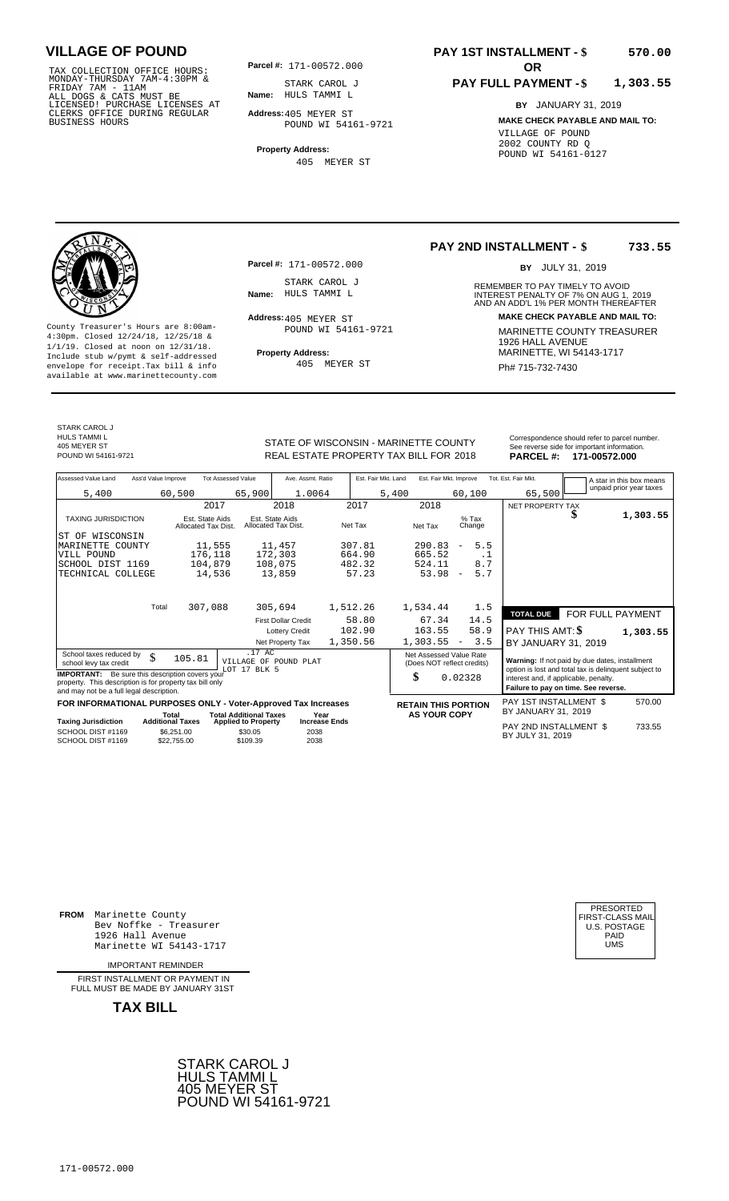TAX COLLECTION OFFICE HOURS:<br>
MONDAY-THURSDAY 7AM-4:30PM & STARK CAROL J<br>
FRIDAY 7AM - 11AM<br>
ALL DOGS & CATS MUST BE **Name**: HULS TAMMI L<br>
LICENSED ! PURCHASE LICENSES AT<br>
CLERKS OFFICE DURING REGULAR **Address:**405 MEYER S

**Parcel #: OR**

**Name:** HULS TAMMI L STARK CAROL J

**Address:** 405 MEYER ST POUND WI 54161-9721

**Property Address:** 405 MEYER ST

### **PAY 1ST INSTALLMENT - \$ 570.00**

### **PAY FULL PAYMENT - \$ 1,303.55**

**BY** JANUARY 31, 2019 **MAKE CHECK PAYABLE AND MAIL TO:** VILLAGE OF POUND 2002 COUNTY RD Q POUND WI 54161-0127

**Property Address:** MARINETTE, WI 54143-1717 Include stub w/pymt & self-addressed envelope for receipt.Tax bill & info Ph# 715-732-7430 available at www.marinettecounty.com

**Parcel #:** 171-00572.000

STARK CAROL J<br>Name: HULS TAMMI L

Address: 405 MEYER ST POUND WI 54161-9721

405 MEYER ST

**PAY 2ND INSTALLMENT - \$ 733.55**

BY JULY 31, 2019

REMEMBER TO PAY TIMELY TO AVOID **Name:** INTEREST PENALTY OF 7% ON AUG 1, AND AN ADD'L 1% PER MONTH THEREAFTER HULS TAMMI L 2019 **Address: MAKE CHECK PAYABLE AND MAIL TO:** County Treasurer's Hours are 8:00am-<br>
4:30pm. Closed 12/24/18, 12/25/18 & 1/1/19. Closed at noon on 12/31/18.<br>
Include stub w/pwmt. & self-addressed<br>
Froperty Address: MARINETTE, WI 54143-1717

STARK CAROL J HULS TAMMI L

405 MEYER ST<br>POUND WI 54161-9721

STATE OF WISCONSIN - MARINETTE COUNTY REAL ESTATE PROPERTY TAX BILL FOR **PARCEL #:** POUND WI 54161-9721 2018 **171-00572.000**

| DADCET H<br>171-00572.000                     |
|-----------------------------------------------|
| See reverse side for important information.   |
| Correspondence should refer to parcel number. |
|                                               |
|                                               |

| Assessed Value Land                                                                                                                                            | Ass'd Value Improve              |                                        | <b>Tot Assessed Value</b>                                   | Ave. Assmt. Ratio                      |                              |          | Est. Fair Mkt. Land | Est. Fair Mkt. Improve                                |                          |           | Tot. Est. Fair Mkt.                                                                                     |   | A star in this box means |
|----------------------------------------------------------------------------------------------------------------------------------------------------------------|----------------------------------|----------------------------------------|-------------------------------------------------------------|----------------------------------------|------------------------------|----------|---------------------|-------------------------------------------------------|--------------------------|-----------|---------------------------------------------------------------------------------------------------------|---|--------------------------|
| 5,400                                                                                                                                                          |                                  | 60,500                                 | 65,900                                                      | 1.0064                                 |                              |          | 5,400               |                                                       | 60,100                   |           | 65,500                                                                                                  |   | unpaid prior year taxes  |
|                                                                                                                                                                |                                  | 2017                                   |                                                             | 2018                                   |                              | 2017     |                     | 2018                                                  |                          |           | NET PROPERTY TAX                                                                                        |   |                          |
| TAXING JURISDICTION                                                                                                                                            |                                  | Est. State Aids<br>Allocated Tax Dist. |                                                             | Est. State Aids<br>Allocated Tax Dist. |                              | Net Tax  |                     | Net Tax                                               | $%$ Tax<br>Change        |           |                                                                                                         | ъ | 1,303.55                 |
| ST OF WISCONSIN                                                                                                                                                |                                  |                                        |                                                             |                                        |                              |          |                     |                                                       |                          |           |                                                                                                         |   |                          |
| MARINETTE<br>COUNTY                                                                                                                                            |                                  | 11,555                                 |                                                             | 11,457                                 |                              | 307.81   |                     | 290.83                                                | $\overline{\phantom{a}}$ | 5.5       |                                                                                                         |   |                          |
| VILL POUND                                                                                                                                                     |                                  | 176,118                                |                                                             | 172,303                                |                              | 664.90   |                     | 665.52                                                |                          | $\cdot$ 1 |                                                                                                         |   |                          |
| SCHOOL DIST 1169                                                                                                                                               |                                  | 104,879                                |                                                             | 108,075                                |                              | 482.32   |                     | 524.11                                                |                          | 8.7       |                                                                                                         |   |                          |
| TECHNICAL COLLEGE                                                                                                                                              |                                  | 14,536                                 |                                                             | 13,859                                 |                              | 57.23    |                     | 53.98                                                 | $\overline{\phantom{a}}$ | 5.7       |                                                                                                         |   |                          |
|                                                                                                                                                                |                                  |                                        |                                                             |                                        |                              |          |                     |                                                       |                          |           |                                                                                                         |   |                          |
|                                                                                                                                                                | Total                            | 307,088                                |                                                             | 305,694                                |                              | 1,512.26 |                     | 1,534.44                                              |                          | 1.5       |                                                                                                         |   |                          |
|                                                                                                                                                                |                                  |                                        |                                                             | <b>First Dollar Credit</b>             |                              | 58.80    |                     | 67.34                                                 | 14.5                     |           | <b>TOTAL DUE</b>                                                                                        |   | FOR FULL PAYMENT         |
|                                                                                                                                                                |                                  |                                        |                                                             | <b>Lottery Credit</b>                  |                              | 102.90   |                     | 163.55                                                | 58.9                     |           | PAY THIS AMT: \$                                                                                        |   | 1,303.55                 |
|                                                                                                                                                                |                                  |                                        |                                                             | Net Property Tax                       |                              | 1,350.56 |                     | 1,303.55                                              | $\overline{\phantom{a}}$ | 3.5       | BY JANUARY 31, 2019                                                                                     |   |                          |
| School taxes reduced by<br>school levy tax credit                                                                                                              | \$                               | 105.81                                 | .17 AC<br>VILLAGE OF POUND PLAT<br>LOT 17 BLK 5             |                                        |                              |          |                     | Net Assessed Value Rate<br>(Does NOT reflect credits) |                          |           | Warning: If not paid by due dates, installment<br>option is lost and total tax is delinguent subject to |   |                          |
| <b>IMPORTANT:</b> Be sure this description covers your<br>property. This description is for property tax bill only<br>and may not be a full legal description. |                                  |                                        |                                                             |                                        |                              |          |                     | \$                                                    | 0.02328                  |           | interest and, if applicable, penalty.<br>Failure to pay on time. See reverse.                           |   |                          |
| FOR INFORMATIONAL PURPOSES ONLY - Voter-Approved Tax Increases                                                                                                 |                                  |                                        |                                                             |                                        |                              |          |                     | <b>RETAIN THIS PORTION</b>                            |                          |           | PAY 1ST INSTALLMENT \$                                                                                  |   | 570.00                   |
| <b>Taxing Jurisdiction</b>                                                                                                                                     | Total<br><b>Additional Taxes</b> |                                        | <b>Total Additional Taxes</b><br><b>Applied to Property</b> |                                        | Year<br><b>Increase Ends</b> |          |                     | <b>AS YOUR COPY</b>                                   |                          |           | BY JANUARY 31, 2019                                                                                     |   |                          |
| SCHOOL DIST #1169<br>SCHOOL DIST #1169                                                                                                                         |                                  | \$6.251.00<br>\$22.755.00              | \$30.05<br>\$109.39                                         | 2038<br>2038                           |                              |          |                     |                                                       |                          |           | PAY 2ND INSTALLMENT \$<br>BY JULY 31, 2019                                                              |   | 733.55                   |

SCHOOL DIST #1169<br>SCHOOL DIST #1169  $$22,755.00$ \$109.39

**FROM** Marinette County Bev Noffke - Treasurer (U.S. POSTAGE)<br>1926 Hall Avenue (U.S. POSTAGE)<br>Marinette WI 54143-1717 (U.S. POSTAGE) 1926 Hall Avenue PAID Marinette WI 54143-1717 UMS

IMPORTANT REMINDER

FIRST INSTALL MENT OR PAYMENT IN FULL MUST BE MADE BY JANUARY 31ST



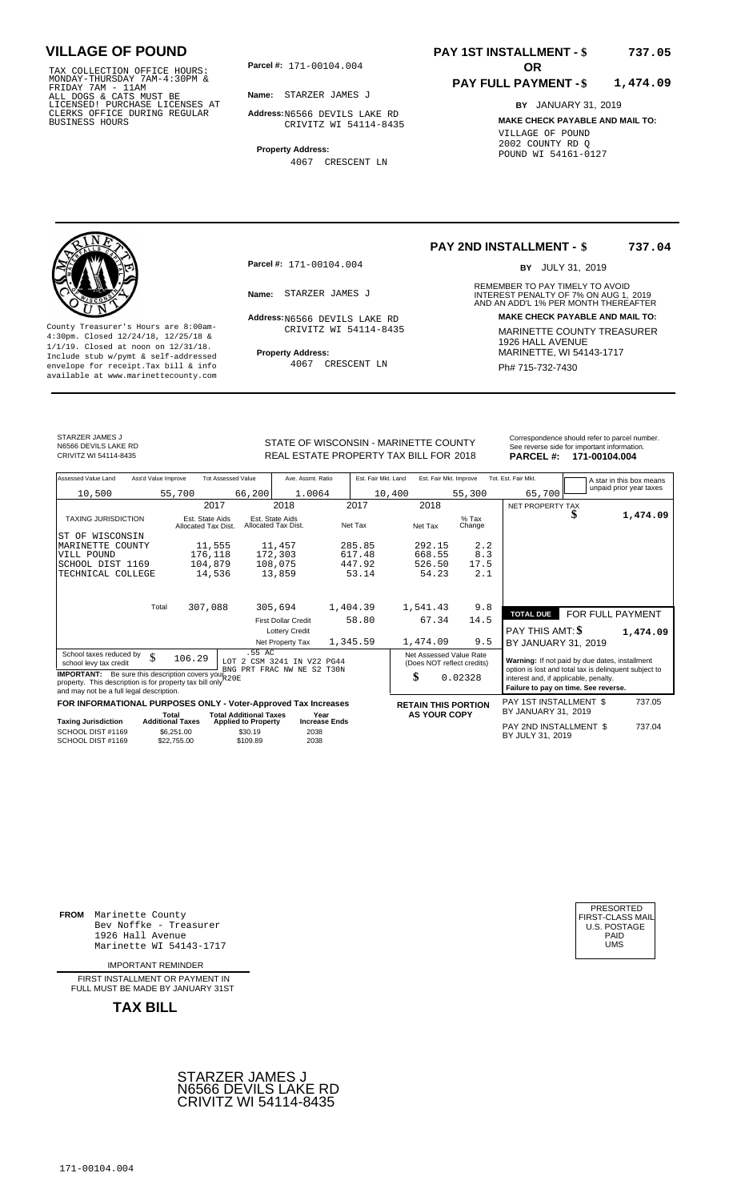TAX COLLECTION OFFICE HOURS:<br>
MONDAY-THURSDAY 7AM-4:30PM &<br>
FRIDAY 7AM - 11AM<br>
ALL DOGS & CATS MUST BE<br>
LICENSED! PURCHASE LICENSES AT<br>
CLERKS OFFICE DURING REGULAR<br>
BUSINESS HOURS<br>
BUSINESS HOURS

**Parcel #:** 171-00104.004

**Name:** STARZER JAMES J

**Address:** N6566 DEVILS LAKE RD CRIVITZ WI 54114-8435

**Property Address:** 4067 CRESCENT LN

### **PAY 1ST INSTALLMENT - \$ 737.05**

#### **PAY FULL PAYMENT - \$ 1,474.09**

**BY** JANUARY 31, 2019 **MAKE CHECK PAYABLE AND MAIL TO:** VILLAGE OF POUND 2002 COUNTY RD Q POUND WI 54161-0127



**Property Address:** MARINETTE, WI 54143-1717 Include stub w/pymt & self-addressed envelope for receipt.Tax bill & info Ph# 715-732-7430 available at www.marinettecounty.com

**Parcel #:** 171-00104.004

Address: N6566 DEVILS LAKE RD CRIVITZ WI 54114-8435

4067 CRESCENT LN

### **PAY 2ND INSTALLMENT - \$ 737.04**

BY JULY 31, 2019

REMEMBER TO PAY TIMELY TO AVOID **Name:** STARZER JAMES J<br>
AND AN ADD'L 1% PER MONTH THEREAFTER **Address: MAKE CHECK PAYABLE AND MAIL TO:** County Treasurer's Hours are 8:00am-<br>
4:30pm. Closed 12/24/18, 12/25/18 & CRIVITZ WI 54114-8435 MARINETTE COUNTY TREASURER<br>
1/1/19. Closed at noon on 12/31/18.<br>
Include stub w/pwmt. & self-addressed Property Address: MARIN

STARZER JAMES J N6566 DEVILS LAKE RD<br>CRIVITZ WI 54114-8435

STATE OF WISCONSIN - MARINETTE COUNTY REAL ESTATE PROPERTY TAX BILL FOR **PARCEL #:** CRIVITZ WI 54114-8435 2018 **171-00104.004**

| ٦Y |                  | Correspondence should refer to parcel number.<br>See reverse side for important information. |
|----|------------------|----------------------------------------------------------------------------------------------|
| 18 | <b>PARCEL #:</b> | 171-00104.004                                                                                |
|    |                  |                                                                                              |

| Assessed Value Land                                                                                                                                                 | Ass'd Value Improve                                  |                                        | <b>Tot Assessed Value</b>                                          | Ave. Assmt. Ratio                      |                      | Est. Fair Mkt. Land |                     |        | Est. Fair Mkt. Improve                                | Tot. Est. Fair Mkt.                                                                                     |                  | A star in this box means<br>unpaid prior year taxes |
|---------------------------------------------------------------------------------------------------------------------------------------------------------------------|------------------------------------------------------|----------------------------------------|--------------------------------------------------------------------|----------------------------------------|----------------------|---------------------|---------------------|--------|-------------------------------------------------------|---------------------------------------------------------------------------------------------------------|------------------|-----------------------------------------------------|
| 10,500                                                                                                                                                              | 55,700                                               |                                        | 66,200                                                             | 1.0064                                 |                      | 10,400              |                     |        | 55,300                                                | 65,700                                                                                                  |                  |                                                     |
|                                                                                                                                                                     |                                                      | 2017                                   |                                                                    | 2018                                   |                      | 2017                | 2018                |        |                                                       | NET PROPERTY TAX                                                                                        |                  |                                                     |
| <b>TAXING JURISDICTION</b>                                                                                                                                          |                                                      | Est. State Aids<br>Allocated Tax Dist. |                                                                    | Est. State Aids<br>Allocated Tax Dist. |                      | Net Tax             | Net Tax             |        | $%$ Tax<br>Change                                     |                                                                                                         | S                | 1,474.09                                            |
| ST OF WISCONSIN                                                                                                                                                     |                                                      |                                        |                                                                    |                                        |                      |                     |                     |        |                                                       |                                                                                                         |                  |                                                     |
| MARINETTE<br>COUNTY                                                                                                                                                 |                                                      | 11,555                                 |                                                                    | 11,457                                 |                      | 285.85              |                     | 292.15 | 2.2                                                   |                                                                                                         |                  |                                                     |
| VILL POUND                                                                                                                                                          |                                                      | 176,118                                |                                                                    | 172,303                                |                      | 617.48              |                     | 668.55 | 8.3                                                   |                                                                                                         |                  |                                                     |
| SCHOOL DIST 1169                                                                                                                                                    |                                                      | 104,879                                |                                                                    | 108,075                                |                      | 447.92              |                     | 526.50 | 17.5                                                  |                                                                                                         |                  |                                                     |
| TECHNICAL COLLEGE                                                                                                                                                   |                                                      | 14,536                                 |                                                                    | 13,859                                 |                      | 53.14               |                     | 54.23  | 2.1                                                   |                                                                                                         |                  |                                                     |
|                                                                                                                                                                     |                                                      |                                        |                                                                    |                                        |                      |                     |                     |        |                                                       |                                                                                                         |                  |                                                     |
|                                                                                                                                                                     | Total                                                | 307,088                                |                                                                    | 305,694                                |                      | 1,404.39            | 1,541.43            |        | 9.8                                                   | <b>TOTAL DUE</b>                                                                                        | FOR FULL PAYMENT |                                                     |
|                                                                                                                                                                     |                                                      |                                        |                                                                    | <b>First Dollar Credit</b>             |                      | 58.80               |                     | 67.34  | 14.5                                                  |                                                                                                         |                  |                                                     |
|                                                                                                                                                                     |                                                      |                                        |                                                                    | <b>Lottery Credit</b>                  |                      |                     |                     |        |                                                       | PAY THIS AMT: \$                                                                                        |                  | 1,474.09                                            |
|                                                                                                                                                                     |                                                      |                                        |                                                                    | Net Property Tax                       |                      | 1,345.59            | 1,474.09            |        | 9.5                                                   | BY JANUARY 31, 2019                                                                                     |                  |                                                     |
| School taxes reduced by<br>school levy tax credit                                                                                                                   | \$                                                   | 106.29                                 | .55 AC<br>LOT 2 CSM 3241 IN V22 PG44<br>BNG PRT FRAC NW NE S2 T30N |                                        |                      |                     |                     |        | Net Assessed Value Rate<br>(Does NOT reflect credits) | Warning: If not paid by due dates, installment<br>option is lost and total tax is delinquent subject to |                  |                                                     |
| <b>IMPORTANT:</b> Be sure this description covers your R20E<br>property. This description is for property tax bill only<br>and may not be a full legal description. |                                                      |                                        |                                                                    |                                        |                      |                     | \$                  |        | 0.02328                                               | interest and, if applicable, penalty.<br>Failure to pay on time. See reverse.                           |                  |                                                     |
| FOR INFORMATIONAL PURPOSES ONLY - Voter-Approved Tax Increases                                                                                                      |                                                      |                                        |                                                                    |                                        |                      |                     |                     |        | <b>RETAIN THIS PORTION</b>                            | PAY 1ST INSTALLMENT \$                                                                                  |                  | 737.05                                              |
|                                                                                                                                                                     | Total                                                |                                        | <b>Total Additional Taxes</b>                                      |                                        | Year                 |                     | <b>AS YOUR COPY</b> |        |                                                       | BY JANUARY 31, 2019                                                                                     |                  |                                                     |
| <b>Taxing Jurisdiction</b><br>SCHOOL DIST #1169<br>SCHOOL DIST #1169                                                                                                | <b>Additional Taxes</b><br>\$6,251.00<br>\$22,755.00 |                                        | <b>Applied to Property</b><br>\$30.19<br>\$109.89                  | 2038<br>2038                           | <b>Increase Ends</b> |                     |                     |        |                                                       | PAY 2ND INSTALLMENT \$<br>BY JULY 31, 2019                                                              |                  | 737.04                                              |
|                                                                                                                                                                     |                                                      |                                        |                                                                    |                                        |                      |                     |                     |        |                                                       |                                                                                                         |                  |                                                     |

**FROM** Marinette County Bev Noffke - Treasurer (U.S. POSTAGE)<br>1926 Hall Avenue (U.S. POSTAGE)<br>Marinette WI 54143-1717 (U.S. POSTAGE) 1926 Hall Avenue PAID Marinette WI 54143-1717 UMS

IMPORTANT REMINDER

FIRST INSTALLMENT OR PAYMENT IN FULL MUST BE MADE BY JANUARY 31ST



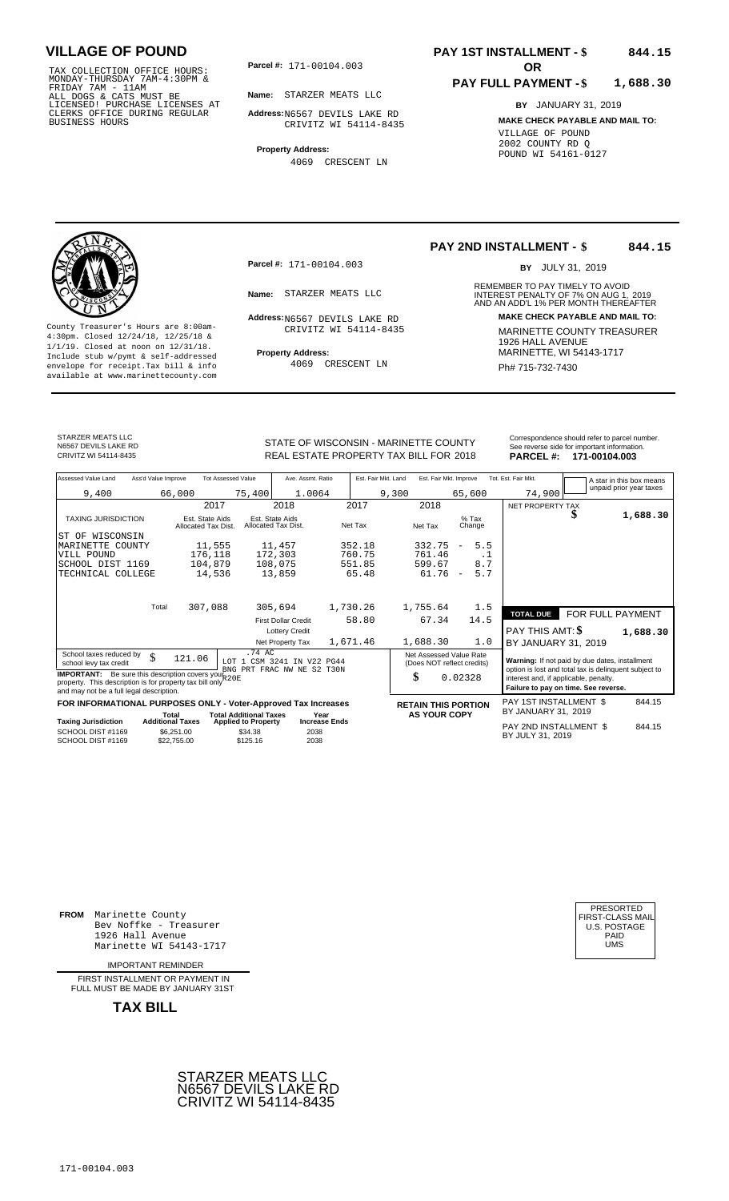TAX COLLECTION OFFICE HOURS:<br>
MONDAY-THURSDAY 7AM-4:30PM &<br>
FRIDAY 7AM - 11AM<br>
ALL DOGS & CATS MUST BE<br>
LICENSED! PURCHASE LICENSES AT<br>
CLERKS OFFICE DURING REGULAR<br>
CLERKS OFFICE DURING REGULAR<br>
BUSINESS HOURS<br>
BUSINESS H

**Parcel #:** 171-00104.003 **OR** 

**Name:** STARZER MEATS LLC

**Address:** N6567 DEVILS LAKE RD CRIVITZ WI 54114-8435

**Property Address:** 4069 CRESCENT LN

### **PAY 1ST INSTALLMENT - \$ 844.15**

#### **PAY FULL PAYMENT - \$ 1,688.30**

**BY** JANUARY 31, 2019 **MAKE CHECK PAYABLE AND MAIL TO:** VILLAGE OF POUND 2002 COUNTY RD Q POUND WI 54161-0127



**Property Address:** MARINETTE, WI 54143-1717 Include stub w/pymt & self-addressed envelope for receipt.Tax bill & info Ph# 715-732-7430 available at www.marinettecounty.com

**Parcel #:** 171-00104.003

Address: N6567 DEVILS LAKE RD CRIVITZ WI 54114-8435

4069 CRESCENT LN

### **PAY 2ND INSTALLMENT - \$ 844.15**

BY JULY 31, 2019

REMEMBER TO PAY TIMELY TO AVOID **Name:** STARZER MEATS LLC<br>
AND AN ADD'L 1% PER MONTH THEREAFTER **Address: MAKE CHECK PAYABLE AND MAIL TO:** County Treasurer's Hours are 8:00am-<br>
4:30pm. Closed 12/24/18, 12/25/18 & CRIVITZ WI 54114-8435 MARINETTE COUNTY TREASURER<br>
1/1/19. Closed at noon on 12/31/18.<br>
Include stub w/pwmt. & self-addressed Property Address: MARIN

STARZER MEATS LLC N6567 DEVILS LAKE RD<br>CRIVITZ WI 54114-8435

STATE OF WISCONSIN - MARINETTE COUNTY REAL ESTATE PROPERTY TAX BILL FOR **PARCEL #:** CRIVITZ WI 54114-8435 2018 **171-00104.003**

| Correspondence should refer to parcel number. |
|-----------------------------------------------|
| See reverse side for important information.   |
| ------                                        |

|         | $\sim$ . The map is the matrix intermediate of |
|---------|------------------------------------------------|
| :CEL #: | 171-00104.003                                  |

| Assessed Value Land                                                                                                                                                              | Ass'd Value Improve                                  | <b>Tot Assessed Value</b>                         | Ave. Assmt. Ratio                                        | Est. Fair Mkt. Land | Est. Fair Mkt. Improve                                |                                 | Tot. Est. Fair Mkt.                                                                                     |                  | A star in this box means |
|----------------------------------------------------------------------------------------------------------------------------------------------------------------------------------|------------------------------------------------------|---------------------------------------------------|----------------------------------------------------------|---------------------|-------------------------------------------------------|---------------------------------|---------------------------------------------------------------------------------------------------------|------------------|--------------------------|
| 9,400                                                                                                                                                                            | 66,000                                               | 75,400                                            | 1.0064                                                   |                     | 9,300                                                 | 65,600                          | 74,900                                                                                                  |                  | unpaid prior year taxes  |
|                                                                                                                                                                                  |                                                      | 2017                                              | 2018                                                     | 2017                | 2018                                                  |                                 | NET PROPERTY TAX                                                                                        |                  |                          |
| <b>TAXING JURISDICTION</b>                                                                                                                                                       | Est. State Aids<br>Allocated Tax Dist.               |                                                   | Est. State Aids<br>Allocated Tax Dist.                   | Net Tax             | Net Tax                                               | $%$ Tax<br>Change               |                                                                                                         |                  | 1,688.30                 |
| WISCONSIN<br>ST OF                                                                                                                                                               |                                                      |                                                   |                                                          |                     |                                                       |                                 |                                                                                                         |                  |                          |
| MARINETTE COUNTY                                                                                                                                                                 |                                                      | 11,555                                            | 11,457                                                   | 352.18              | 332.75                                                | 5.5<br>$\overline{\phantom{m}}$ |                                                                                                         |                  |                          |
| VILL POUND                                                                                                                                                                       |                                                      | 176,118                                           | 172,303                                                  | 760.75              | 761.46                                                | $\cdot$ 1                       |                                                                                                         |                  |                          |
| SCHOOL DIST 1169                                                                                                                                                                 |                                                      | 104,879                                           | 108,075                                                  | 551.85              | 599.67                                                | 8.7                             |                                                                                                         |                  |                          |
| TECHNICAL COLLEGE                                                                                                                                                                |                                                      | 14,536                                            | 13,859                                                   | 65.48               | 61.76                                                 | 5.7<br>$\overline{\phantom{a}}$ |                                                                                                         |                  |                          |
|                                                                                                                                                                                  |                                                      |                                                   |                                                          |                     |                                                       |                                 |                                                                                                         |                  |                          |
|                                                                                                                                                                                  | Total<br>307,088                                     |                                                   | 305,694                                                  | 1,730.26            | 1,755.64                                              | 1.5                             | <b>TOTAL DUE</b>                                                                                        |                  |                          |
|                                                                                                                                                                                  |                                                      |                                                   | <b>First Dollar Credit</b>                               | 58.80               | 67.34                                                 | 14.5                            |                                                                                                         | FOR FULL PAYMENT |                          |
|                                                                                                                                                                                  |                                                      |                                                   | <b>Lottery Credit</b>                                    |                     |                                                       |                                 | PAY THIS AMT: \$                                                                                        |                  | 1,688.30                 |
|                                                                                                                                                                                  |                                                      |                                                   | Net Property Tax                                         | 1,671.46            | 1,688.30                                              | 1.0                             | BY JANUARY 31, 2019                                                                                     |                  |                          |
| School taxes reduced by<br>\$<br>school levy tax credit                                                                                                                          | 121.06                                               | .74 AC                                            | LOT 1 CSM 3241 IN V22 PG44<br>BNG PRT FRAC NW NE S2 T30N |                     | Net Assessed Value Rate<br>(Does NOT reflect credits) |                                 | Warning: If not paid by due dates, installment<br>option is lost and total tax is delinquent subject to |                  |                          |
| <b>IMPORTANT:</b> Be sure this description covers your R20E<br>property. This description is for property tax bill only <sup>+</sup><br>and may not be a full legal description. |                                                      |                                                   |                                                          |                     | \$                                                    | 0.02328                         | interest and, if applicable, penalty.<br>Failure to pay on time. See reverse.                           |                  |                          |
| FOR INFORMATIONAL PURPOSES ONLY - Voter-Approved Tax Increases                                                                                                                   |                                                      |                                                   |                                                          |                     | <b>RETAIN THIS PORTION</b>                            |                                 | <b>PAY 1ST INSTALLMENT \$</b>                                                                           |                  | 844.15                   |
|                                                                                                                                                                                  | Total                                                | <b>Total Additional Taxes</b><br>Year             |                                                          |                     |                                                       | <b>AS YOUR COPY</b>             | BY JANUARY 31, 2019                                                                                     |                  |                          |
| <b>Taxing Jurisdiction</b><br>SCHOOL DIST #1169<br>SCHOOL DIST #1169                                                                                                             | <b>Additional Taxes</b><br>\$6,251.00<br>\$22,755.00 | <b>Applied to Property</b><br>\$34.38<br>\$125.16 | <b>Increase Ends</b><br>2038<br>2038                     |                     |                                                       |                                 | PAY 2ND INSTALLMENT \$<br>BY JULY 31, 2019                                                              |                  | 844.15                   |

**FROM** Marinette County Bev Noffke - Treasurer 1926 Hall Avenue PAID Marinette WI 54143-1717 UMS

IMPORTANT REMINDER

FIRST INSTALLMENT OR PAYMENT IN FULL MUST BE MADE BY JANUARY 31ST

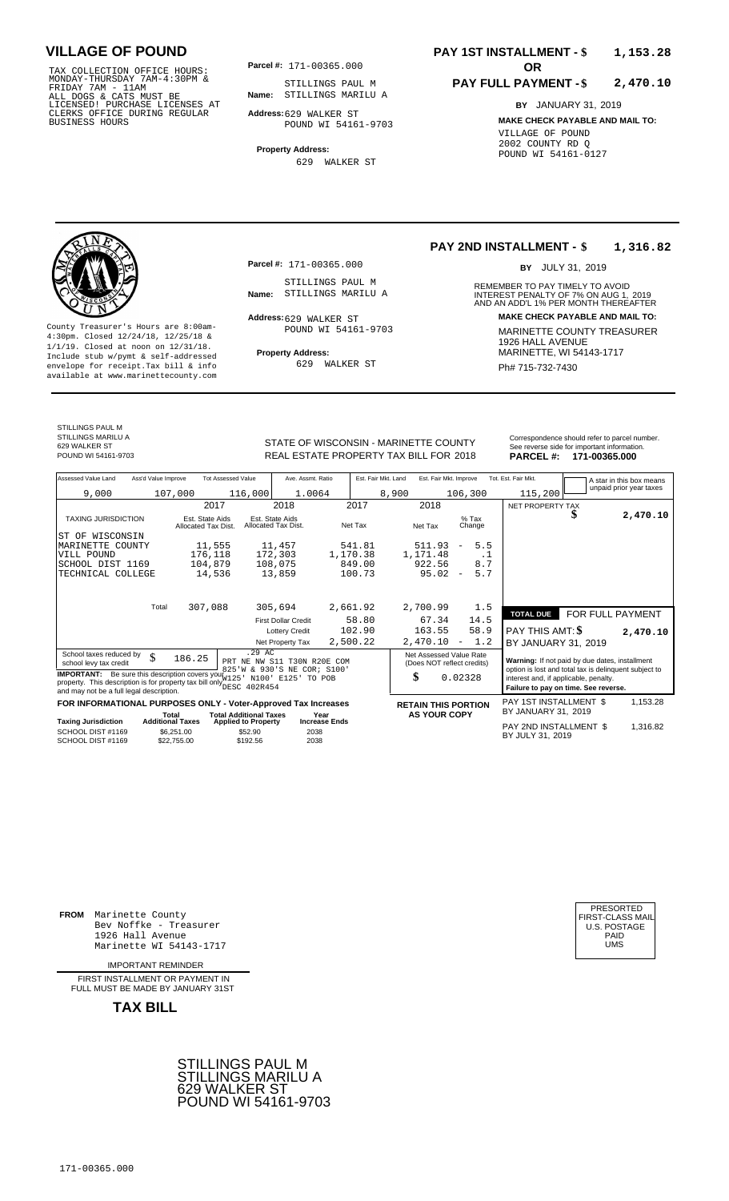TAX COLLECTION OFFICE HOURS:<br>
MONDAY-THURSDAY 7AM-4:30PM & STILLINGS PAUL<br>
FRIDAY 7AM - 11AM<br>
ALL DOGS & CATS MUST BE **Name**: STILLINGS MARI<br>
LICENSED ! PURCHASE LICENSES AT<br>
CLERKS OFFICE DURING REGULAR **Address**:629 WALK

**Parcel #:** 171-00365.000

**Name:** STILLINGS MARILU A STILLINGS PAUL M

**Address:** 629 WALKER ST POUND WI 54161-9703

**Property Address:** 629 WALKER ST

### **PAY 1ST INSTALLMENT - \$ 1,153.28**

### **PAY FULL PAYMENT - \$ 2,470.10**

**BY** JANUARY 31, 2019 **MAKE CHECK PAYABLE AND MAIL TO:** VILLAGE OF POUND 2002 COUNTY RD Q POUND WI 54161-0127

**Property Address:** MARINETTE, WI 54143-1717 Include stub w/pymt & self-addressed envelope for receipt.Tax bill & info Ph# 715-732-7430 available at www.marinettecounty.com

629 WALKER ST

**Parcel #:** 171-00365.000

STILLINGS PAUL M<br>Name: STILLINGS MARILU A

Address: 629 WALKER ST POUND WI 54161-9703

629 WALKER ST

### **PAY 2ND INSTALLMENT - \$ 1,316.82**

BY JULY 31, 2019

REMEMBER TO PAY TIMELY TO AVOID **Name:** STILLINGS MARILU A **INTEREST PENALTY OF 7% ON AUG 1, 2019**<br>AND AN ADD'L 1% PER MONTH THEREAFTER **Address: MAKE CHECK PAYABLE AND MAIL TO:** County Treasurer's Hours are 8:00am-<br>
4:30pm. Closed 12/24/18, 12/25/18 & 1/1/19. Closed at noon on 12/31/18.<br>
Include stub w/pwmt. & self-addressed<br>
Froperty Address: MARINETTE, WI 54143-1717

STILLINGS PAUL M STILLINGS MARILU A

REAL ESTATE PROPERTY TAX BILL FOR **PARCEL #:** POUND WI 54161-9703 2018 **171-00365.000**

| STATE OF WISCONSIN - MARINETTE COUNTY  | Correspondence should refer to parcel number.<br>See reverse side for important information. |
|----------------------------------------|----------------------------------------------------------------------------------------------|
| REAL ESTATE PROPERTY TAX BILL FOR 2018 | PARCEL #: 171-00365.000                                                                      |

| Assessed Value Land                                                                                                                                                            | Ass'd Value Improve     |                                        | <b>Tot Assessed Value</b>                                            | Ave. Assmt. Ratio                      |                      | Est. Fair Mkt. Land |                                                       | Est. Fair Mkt. Improve                            |                   | Tot. Est. Fair Mkt.                                                                                     |  |  |  | A star in this box means |
|--------------------------------------------------------------------------------------------------------------------------------------------------------------------------------|-------------------------|----------------------------------------|----------------------------------------------------------------------|----------------------------------------|----------------------|---------------------|-------------------------------------------------------|---------------------------------------------------|-------------------|---------------------------------------------------------------------------------------------------------|--|--|--|--------------------------|
| 9,000                                                                                                                                                                          |                         | 107,000                                | 116,000                                                              | 1.0064                                 |                      |                     | 8,900                                                 |                                                   | 106,300           | 115,200                                                                                                 |  |  |  | unpaid prior year taxes  |
|                                                                                                                                                                                |                         | 2017                                   |                                                                      | 2018                                   |                      | 2017                | 2018                                                  |                                                   |                   | NET PROPERTY TAX                                                                                        |  |  |  |                          |
| <b>TAXING JURISDICTION</b>                                                                                                                                                     |                         | Est. State Aids<br>Allocated Tax Dist. |                                                                      | Est. State Aids<br>Allocated Tax Dist. | Net Tax              |                     | Net Tax                                               |                                                   | $%$ Tax<br>Change |                                                                                                         |  |  |  | 2,470.10                 |
| WISCONSIN<br>ST OF                                                                                                                                                             |                         |                                        |                                                                      |                                        |                      |                     |                                                       |                                                   |                   |                                                                                                         |  |  |  |                          |
| MARINETTE COUNTY                                                                                                                                                               |                         | 11,555                                 |                                                                      | 11,457                                 |                      | 541.81              | 511.93                                                | $\overline{\phantom{a}}$                          | 5.5               |                                                                                                         |  |  |  |                          |
| VILL POUND                                                                                                                                                                     |                         | 176,118                                |                                                                      | 172,303                                | 1,170.38             |                     | 1,171.48                                              |                                                   | $\cdot$ 1         |                                                                                                         |  |  |  |                          |
| SCHOOL DIST 1169                                                                                                                                                               |                         | 104,879                                |                                                                      | 108,075                                |                      | 849.00              | 922.56                                                |                                                   | 8.7               |                                                                                                         |  |  |  |                          |
| TECHNICAL COLLEGE                                                                                                                                                              |                         | 14,536                                 |                                                                      | 13,859                                 |                      | 100.73              | 95.02                                                 | $\overline{\phantom{a}}$                          | 5.7               |                                                                                                         |  |  |  |                          |
|                                                                                                                                                                                |                         |                                        |                                                                      |                                        |                      |                     |                                                       |                                                   |                   |                                                                                                         |  |  |  |                          |
|                                                                                                                                                                                |                         |                                        |                                                                      |                                        |                      |                     |                                                       |                                                   |                   |                                                                                                         |  |  |  |                          |
|                                                                                                                                                                                | Total                   | 307,088                                |                                                                      | 305,694                                | 2,661.92             |                     | 2,700.99                                              |                                                   | 1.5               | <b>TOTAL DUE</b>                                                                                        |  |  |  | FOR FULL PAYMENT         |
|                                                                                                                                                                                |                         |                                        |                                                                      | <b>First Dollar Credit</b>             |                      | 58.80               | 67.34                                                 |                                                   | 14.5              |                                                                                                         |  |  |  |                          |
|                                                                                                                                                                                |                         |                                        |                                                                      | <b>Lottery Credit</b>                  |                      | 102.90              | 163.55                                                |                                                   | 58.9              | <b>PAY THIS AMT: \$</b>                                                                                 |  |  |  | 2,470.10                 |
|                                                                                                                                                                                |                         |                                        |                                                                      | Net Property Tax                       | 2,500.22             |                     | 2,470.10                                              | $\overline{\phantom{m}}$                          | 1.2               | BY JANUARY 31, 2019                                                                                     |  |  |  |                          |
| School taxes reduced by<br>school levy tax credit                                                                                                                              | \$                      | 186.25                                 | .29 AC<br>PRT NE NW S11 T30N R20E COM<br>825'W & 930'S NE COR; S100' |                                        |                      |                     | Net Assessed Value Rate<br>(Does NOT reflect credits) |                                                   |                   | Warning: If not paid by due dates, installment<br>option is lost and total tax is delinquent subject to |  |  |  |                          |
| <b>IMPORTANT:</b> Be sure this description covers your 25<br>property. This description is for property tax bill only hese 402R454<br>and may not be a full legal description. |                         |                                        |                                                                      | N100' E125' TO POB                     |                      |                     | \$                                                    |                                                   | 0.02328           | interest and, if applicable, penalty.<br>Failure to pay on time. See reverse.                           |  |  |  |                          |
| FOR INFORMATIONAL PURPOSES ONLY - Voter-Approved Tax Increases                                                                                                                 |                         |                                        |                                                                      |                                        |                      |                     |                                                       |                                                   |                   | PAY 1ST INSTALLMENT \$                                                                                  |  |  |  | 1,153.28                 |
|                                                                                                                                                                                | Total                   |                                        | <b>Total Additional Taxes</b>                                        |                                        | Year                 |                     |                                                       | <b>RETAIN THIS PORTION</b><br><b>AS YOUR COPY</b> |                   | BY JANUARY 31, 2019                                                                                     |  |  |  |                          |
| <b>Taxing Jurisdiction</b>                                                                                                                                                     | <b>Additional Taxes</b> |                                        | <b>Applied to Property</b>                                           |                                        | <b>Increase Ends</b> |                     |                                                       |                                                   |                   | PAY 2ND INSTALLMENT \$                                                                                  |  |  |  | 1,316.82                 |
| SCHOOL DIST #1169<br>SCHOOL DIST #1169                                                                                                                                         |                         | \$6,251.00<br>\$22,755.00              | \$52.90<br>\$192.56                                                  | 2038<br>2038                           |                      |                     |                                                       |                                                   |                   | BY JULY 31, 2019                                                                                        |  |  |  |                          |

**FROM** Marinette County Bev Noffke - Treasurer (U.S. POSTAGE)<br>1926 Hall Avenue (U.S. POSTAGE)<br>Marinette WI 54143-1717 (U.S. POSTAGE) 1926 Hall Avenue PAID Marinette WI 54143-1717 UMS

IMPORTANT REMINDER

FIRST INSTALLMENT OR PAYMENT IN FULL MUST BE MADE BY JANUARY 31ST



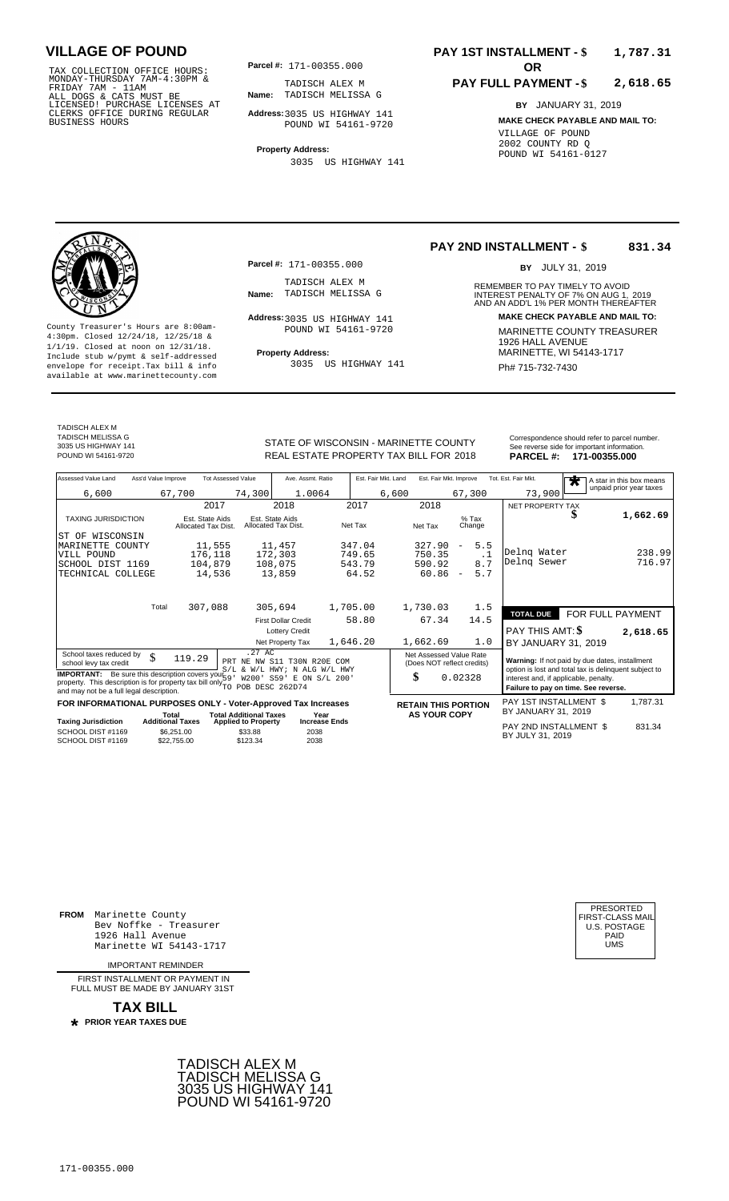TAX COLLECTION OFFICE HOURS:<br>
MONDAY-THURSDAY 7AM-4:30PM &<br>
FRIDAY 7AM - 11AM<br>
ALL DOGS & CATS MUST BE<br>
LICENSED! PURCHASE LICENSES AT<br>
CLERKS OFFICE DURING REGULAR<br>
CLERKS OFFICE DURING REGULAR<br>
BUSINESS HOURS<br>
POUND WI 5

**Parcel #:** 171-00355.000

**Name:** TADISCH MELISSA G TADISCH ALEX M

**Address:** 3035 US HIGHWAY 141 POUND WI 54161-9720

**Property Address:** 3035 US HIGHWAY 141

### **PAY 1ST INSTALLMENT - \$ 1,787.31**

### **PAY FULL PAYMENT - \$ 2,618.65**

**BY** JANUARY 31, 2019 **MAKE CHECK PAYABLE AND MAIL TO:** VILLAGE OF POUND 2002 COUNTY RD Q POUND WI 54161-0127

**Property Address:** MARINETTE, WI 54143-1717 Include stub w/pymt & self-addressed envelope for receipt.Tax bill & info Film Role of Bullah Muslim Pole Ph# **715-732-7430** available at www.marinettecounty.com

**Parcel #:** 171-00355.000

TADISCH ALEX M<br>Name: TADISCH MELISSA G

Address: 3035 US HIGHWAY 141 POUND WI 54161-9720

3035 US HIGHWAY 141

**PAY 2ND INSTALLMENT - \$ 831.34**

BY JULY 31, 2019

REMEMBER TO PAY TIMELY TO AVOID **Name:** TADISCH MELISSA G 2019<br>AND AN ADD'L 1% PER MONTH THEREAFTER **Address: MAKE CHECK PAYABLE AND MAIL TO:** County Treasurer's Hours are 8:00am-<br>
4:30pm. Closed 12/24/18, 12/25/18 & 1/1/19. Closed at noon on 12/31/18.<br>
Include stub w/pwmt. & self-addressed<br>
Froperty Address: MARINETTE, WI 54143-1717

TADISCH ALEX M TADISCH MELISSA G 3035 US HIGHWAY 141

STATE OF WISCONSIN - MARINETTE COUNTY Correspondence should refer to parcel number.

| 3035 US HIGHWAY 141<br>POUND WI 54161-9720 |                     |                    | <u>ULATE UL WIUUUNUIN " MANINETTE UUUN T</u><br>REAL ESTATE PROPERTY TAX BILL FOR 2018 |                     |                        | <b>PARCEL#:</b>     | See reverse side for important information.<br>171-00355.000 |
|--------------------------------------------|---------------------|--------------------|----------------------------------------------------------------------------------------|---------------------|------------------------|---------------------|--------------------------------------------------------------|
| Assessed Value Land                        | Ass'd Value Improve | Tot Assessed Value | Ave. Assmt. Ratio                                                                      | Est. Fair Mkt. Land | Est. Fair Mkt. Improve | Tot. Est. Fair Mkt. | A star in this box mean                                      |
| 6,600                                      | 67,700              | 74,300             | 1.0064                                                                                 | 6,600               | 67,300                 | 73,900              | unpaid prior year taxes                                      |
|                                            |                     | 2017               | 2018                                                                                   | 2017                | 2018                   | NET PROPERTY TAX    |                                                              |

| Assessed Value Land                                                                                                              | Ass'd Value Improve              |                                        | Tot Assessed Value                                          | Ave. Assmt. Ratio                      |                              | Est. Fair Mkt. Land |       | Est. Fair Mkt. Improve     |                          |                   | Tot. Est. Fair Mkt.                                                           | A star in this box means |
|----------------------------------------------------------------------------------------------------------------------------------|----------------------------------|----------------------------------------|-------------------------------------------------------------|----------------------------------------|------------------------------|---------------------|-------|----------------------------|--------------------------|-------------------|-------------------------------------------------------------------------------|--------------------------|
| 6,600                                                                                                                            |                                  | 67,700                                 | 74,300                                                      | 1.0064                                 |                              |                     | 6,600 |                            |                          | 67,300            | 73,900                                                                        | unpaid prior year taxes  |
|                                                                                                                                  |                                  | 2017                                   |                                                             | 2018                                   |                              | 2017                |       | 2018                       |                          |                   | NET PROPERTY TAX                                                              |                          |
| <b>TAXING JURISDICTION</b>                                                                                                       |                                  | Est. State Aids<br>Allocated Tax Dist. |                                                             | Est. State Aids<br>Allocated Tax Dist. |                              | Net Tax             |       | Net Tax                    |                          | $%$ Tax<br>Change |                                                                               | 1,662.69                 |
| WISCONSIN<br>ST OF                                                                                                               |                                  |                                        |                                                             |                                        |                              |                     |       |                            |                          |                   |                                                                               |                          |
| MARINETTE COUNTY                                                                                                                 |                                  | 11,555                                 |                                                             | 11,457                                 |                              | 347.04              |       | 327.90                     | $\overline{\phantom{a}}$ | 5.5               |                                                                               |                          |
| VILL POUND                                                                                                                       |                                  | 176,118                                |                                                             | 172,303                                |                              | 749.65              |       | 750.35                     |                          | $\cdot$ 1         | Delng Water                                                                   | 238.99                   |
| SCHOOL DIST 1169                                                                                                                 |                                  | 104,879                                |                                                             | 108,075                                |                              | 543.79              |       | 590.92                     |                          | 8.7               | Delng Sewer                                                                   | 716.97                   |
| TECHNICAL COLLEGE                                                                                                                |                                  | 14,536                                 |                                                             | 13,859                                 |                              | 64.52               |       | 60.86                      | $\overline{\phantom{a}}$ | 5.7               |                                                                               |                          |
|                                                                                                                                  | Total                            | 307,088                                |                                                             | 305,694                                |                              | 1,705.00            |       | 1,730.03                   |                          | 1.5               |                                                                               |                          |
|                                                                                                                                  |                                  |                                        |                                                             | <b>First Dollar Credit</b>             |                              | 58.80               |       | 67.34                      |                          | 14.5              | <b>TOTAL DUE</b>                                                              | FOR FULL PAYMENT         |
|                                                                                                                                  |                                  |                                        |                                                             | <b>Lottery Credit</b>                  |                              |                     |       |                            |                          |                   | PAY THIS AMT: \$                                                              |                          |
|                                                                                                                                  |                                  |                                        |                                                             | Net Property Tax                       |                              | 1,646.20            |       | 1,662.69                   |                          | 1.0               | BY JANUARY 31, 2019                                                           | 2,618.65                 |
| School taxes reduced by                                                                                                          |                                  |                                        | .27AC                                                       |                                        |                              |                     |       | Net Assessed Value Rate    |                          |                   |                                                                               |                          |
| school levy tax credit                                                                                                           | \$                               | 119.29                                 | PRT NE NW S11 T30N R20E COM                                 |                                        |                              |                     |       | (Does NOT reflect credits) |                          |                   | Warning: If not paid by due dates, installment                                |                          |
| <b>IMPORTANT:</b> Be sure this description covers your 59 W/L HWY: N ALG W/L HWY: N ALG W/L HWY: N ALG W/L HWY:                  |                                  |                                        |                                                             |                                        |                              |                     |       |                            |                          |                   | option is lost and total tax is delinquent subject to                         |                          |
| property. This description is for property tax bill only $\widetilde{p_{\text{TO}}}$<br>and may not be a full legal description. |                                  |                                        | POB DESC 262D74                                             |                                        |                              |                     |       | \$                         | 0.02328                  |                   | interest and, if applicable, penalty.<br>Failure to pay on time. See reverse. |                          |
| FOR INFORMATIONAL PURPOSES ONLY - Voter-Approved Tax Increases                                                                   |                                  |                                        |                                                             |                                        |                              |                     |       | <b>RETAIN THIS PORTION</b> |                          |                   | PAY 1ST INSTALLMENT \$<br>BY JANUARY 31, 2019                                 | 1,787.31                 |
| <b>Taxing Jurisdiction</b>                                                                                                       | Total<br><b>Additional Taxes</b> |                                        | <b>Total Additional Taxes</b><br><b>Applied to Property</b> |                                        | Year<br><b>Increase Ends</b> |                     |       | <b>AS YOUR COPY</b>        |                          |                   |                                                                               |                          |
| SCHOOL DIST #1169<br>SCHOOL DIST #1169                                                                                           |                                  | \$6,251,00<br>\$22.755.00              | \$33.88<br>\$123.34                                         | 2038<br>2038                           |                              |                     |       |                            |                          |                   | PAY 2ND INSTALLMENT \$<br>BY JULY 31, 2019                                    | 831.34                   |

**FROM** Marinette County Bev Noffke - Treasurer (U.S. POSTAGE)<br>1926 Hall Avenue (U.S. POSTAGE)<br>Marinette WI 54143-1717 (UMS 1926 Hall Avenue PAID Marinette WI 54143-1717 UMS

IMPORTANT REMINDER

FIRST INSTALL MENT OR PAYMENT IN FULL MUST BE MADE BY JANUARY 31ST



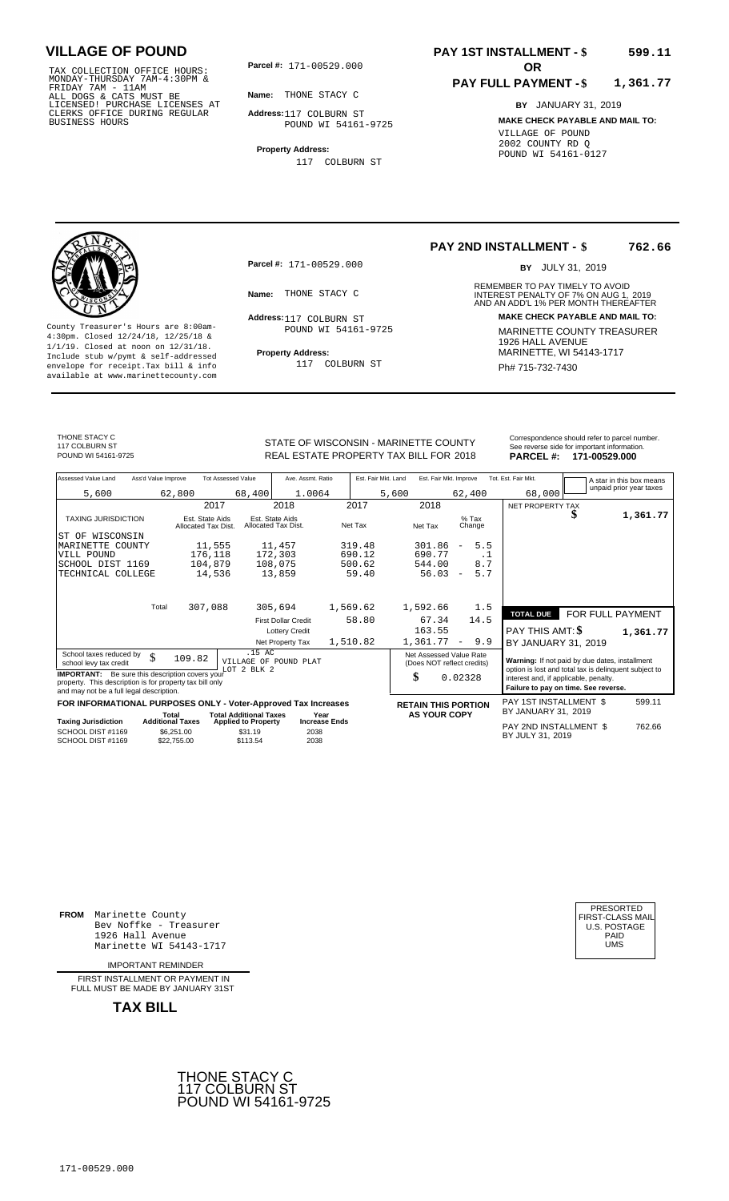TAX COLLECTION OFFICE HOURS:<br>
MONDAY-THURSDAY 7AM-4:30PM &<br>
FRIDAY 7AM - 11AM<br>
ALL DOGS & CATS MUST BE<br>
LICENSED! PURCHASE LICENSES AT<br>
CLERKS OFFICE DURING REGULAR<br>
BUSINESS HOURS<br>
BUSINESS HOURS<br>
POUND WI 54161

**Parcel #: OR**

**Name:** THONE STACY C

**Address:** 117 COLBURN ST POUND WI 54161-9725

**Property Address:** 117 COLBURN ST

### **PAY 1ST INSTALLMENT - \$ 599.11**

#### **PAY FULL PAYMENT - \$ 1,361.77**

**BY** JANUARY 31, 2019 **MAKE CHECK PAYABLE AND MAIL TO:** VILLAGE OF POUND 2002 COUNTY RD Q POUND WI 54161-0127

**Property Address:** MARINETTE, WI 54143-1717 Include stub w/pymt & self-addressed envelope for receipt.Tax bill & info Ph# 715-732-7430 available at www.marinettecounty.com

**Parcel #:** 171-00529.000

Address: 117 COLBURN ST POUND WI 54161-9725

117 COLBURN ST

**PAY 2ND INSTALLMENT - \$ 762.66**

BY JULY 31, 2019

REMEMBER TO PAY TIMELY TO AVOID **Name:** THONE STACY C **2008** INTEREST PENALTY OF 7% ON AUG 1, 2019<br>AND AN ADD'L 1% PER MONTH THEREAFTER **Address: MAKE CHECK PAYABLE AND MAIL TO:** County Treasurer's Hours are 8:00am-<br>
4:30pm. Closed 12/24/18, 12/25/18 & MARINETTE COUNTY TREASURER<br>
1/1/19. Closed at noon on 12/31/18.<br>
Include stub w/pwmt. & self-addressed<br>
Property Address:<br>
MARINETTE, WI 54143-1717

THONE STACY C 117 COLBURN ST<br>POUND WI 54161-9725

REAL ESTATE PROPERTY TAX BILL FOR **PARCEL #:** POUND WI 54161-9725 2018 **171-00529.000**

|                                        | Correspondence should refer to parcel number. |
|----------------------------------------|-----------------------------------------------|
| STATE OF WISCONSIN - MARINETTE COUNTY  | See reverse side for important information.   |
| REAL ESTATE PROPERTY TAX BILL FOR 2018 | PARCEL #: 171-00529.000                       |

| Assessed Value Land                                                                                                                                            | Ass'd Value Improve<br><b>Tot Assessed Value</b><br>Ave. Assmt. Ratio |                                        |                                                             | Est. Fair Mkt. Land                    | Est. Fair Mkt. Improve | Tot. Est. Fair Mkt.        | A star in this box means                                                      |                                                                                                         |                  |                         |
|----------------------------------------------------------------------------------------------------------------------------------------------------------------|-----------------------------------------------------------------------|----------------------------------------|-------------------------------------------------------------|----------------------------------------|------------------------|----------------------------|-------------------------------------------------------------------------------|---------------------------------------------------------------------------------------------------------|------------------|-------------------------|
| 5,600                                                                                                                                                          |                                                                       | 62,800                                 | 68,400                                                      | 1.0064                                 |                        | 5,600                      | 62,400                                                                        | 68,000                                                                                                  |                  | unpaid prior year taxes |
|                                                                                                                                                                |                                                                       | 2017                                   |                                                             | 2018                                   | 2017                   | 2018                       |                                                                               | NET PROPERTY TAX                                                                                        |                  |                         |
| <b>TAXING JURISDICTION</b>                                                                                                                                     |                                                                       | Est. State Aids<br>Allocated Tax Dist. |                                                             | Est. State Aids<br>Allocated Tax Dist. | Net Tax                | Net Tax                    | $%$ Tax<br>Change                                                             |                                                                                                         |                  | 1,361.77                |
| WISCONSIN<br>ST OF                                                                                                                                             |                                                                       |                                        |                                                             |                                        |                        |                            |                                                                               |                                                                                                         |                  |                         |
| MARINETTE COUNTY                                                                                                                                               |                                                                       | 11,555                                 |                                                             | 11,457                                 | 319.48                 | 301.86                     | 5.5<br>$\overline{\phantom{a}}$                                               |                                                                                                         |                  |                         |
| VILL POUND                                                                                                                                                     |                                                                       | 176,118                                |                                                             | 172,303                                | 690.12                 | 690.77                     | $\cdot$ 1                                                                     |                                                                                                         |                  |                         |
| SCHOOL DIST 1169                                                                                                                                               |                                                                       | 104,879                                |                                                             | 108,075                                | 500.62                 | 544.00                     | 8.7                                                                           |                                                                                                         |                  |                         |
| TECHNICAL COLLEGE                                                                                                                                              |                                                                       | 14,536                                 |                                                             | 13,859                                 | 59.40                  | 56.03                      | 5.7<br>$\overline{\phantom{m}}$                                               |                                                                                                         |                  |                         |
|                                                                                                                                                                | Total                                                                 | 307,088                                |                                                             | 305,694                                | 1,569.62               | 1,592.66                   | 1.5                                                                           |                                                                                                         |                  |                         |
|                                                                                                                                                                |                                                                       |                                        |                                                             |                                        |                        |                            |                                                                               | <b>TOTAL DUE</b>                                                                                        | FOR FULL PAYMENT |                         |
|                                                                                                                                                                |                                                                       |                                        |                                                             | <b>First Dollar Credit</b>             | 58.80                  | 67.34                      | 14.5                                                                          |                                                                                                         |                  |                         |
|                                                                                                                                                                |                                                                       |                                        |                                                             | <b>Lottery Credit</b>                  |                        | 163.55                     |                                                                               | PAY THIS AMT: \$                                                                                        |                  | 1,361.77                |
|                                                                                                                                                                |                                                                       |                                        |                                                             | Net Property Tax                       | 1,510.82               | 1,361.77                   | 9.9<br>$\overline{\phantom{a}}$                                               | BY JANUARY 31, 2019                                                                                     |                  |                         |
| School taxes reduced by<br>school levy tax credit                                                                                                              | \$                                                                    | 109.82                                 | .15 AC<br>VILLAGE OF POUND PLAT<br>LOT 2 BLK 2              |                                        |                        | Net Assessed Value Rate    | (Does NOT reflect credits)                                                    | Warning: If not paid by due dates, installment<br>option is lost and total tax is delinquent subject to |                  |                         |
| <b>IMPORTANT:</b> Be sure this description covers your<br>property. This description is for property tax bill only<br>and may not be a full legal description. |                                                                       |                                        |                                                             |                                        | \$                     | 0.02328                    | interest and, if applicable, penalty.<br>Failure to pay on time. See reverse. |                                                                                                         |                  |                         |
| FOR INFORMATIONAL PURPOSES ONLY - Voter-Approved Tax Increases                                                                                                 |                                                                       |                                        |                                                             |                                        |                        | <b>RETAIN THIS PORTION</b> |                                                                               | PAY 1ST INSTALLMENT \$                                                                                  |                  | 599.11                  |
| <b>Taxing Jurisdiction</b>                                                                                                                                     | Total<br><b>Additional Taxes</b>                                      |                                        | <b>Total Additional Taxes</b><br><b>Applied to Property</b> | Year                                   | <b>Increase Ends</b>   | <b>AS YOUR COPY</b>        |                                                                               | BY JANUARY 31, 2019                                                                                     |                  |                         |
| SCHOOL DIST #1169<br>SCHOOL DIST #1169                                                                                                                         |                                                                       | \$6,251.00<br>\$22,755.00              | \$31.19<br>\$113.54                                         | 2038<br>2038                           |                        |                            |                                                                               | PAY 2ND INSTALLMENT \$<br>BY JULY 31, 2019                                                              |                  | 762.66                  |

**FROM** Marinette County Bev Noffke - Treasurer 1926 Hall Avenue PAID Marinette WI 54143-1717 UMS

IMPORTANT REMINDER

FIRST INSTALLMENT OR PAYMENT IN FULL MUST BE MADE BY JANUARY 31ST



| PRESORTED        |  |
|------------------|--|
| FIRST-CLASS MAIL |  |
| U.S. POSTAGE     |  |
| PAID             |  |
| UMS              |  |
|                  |  |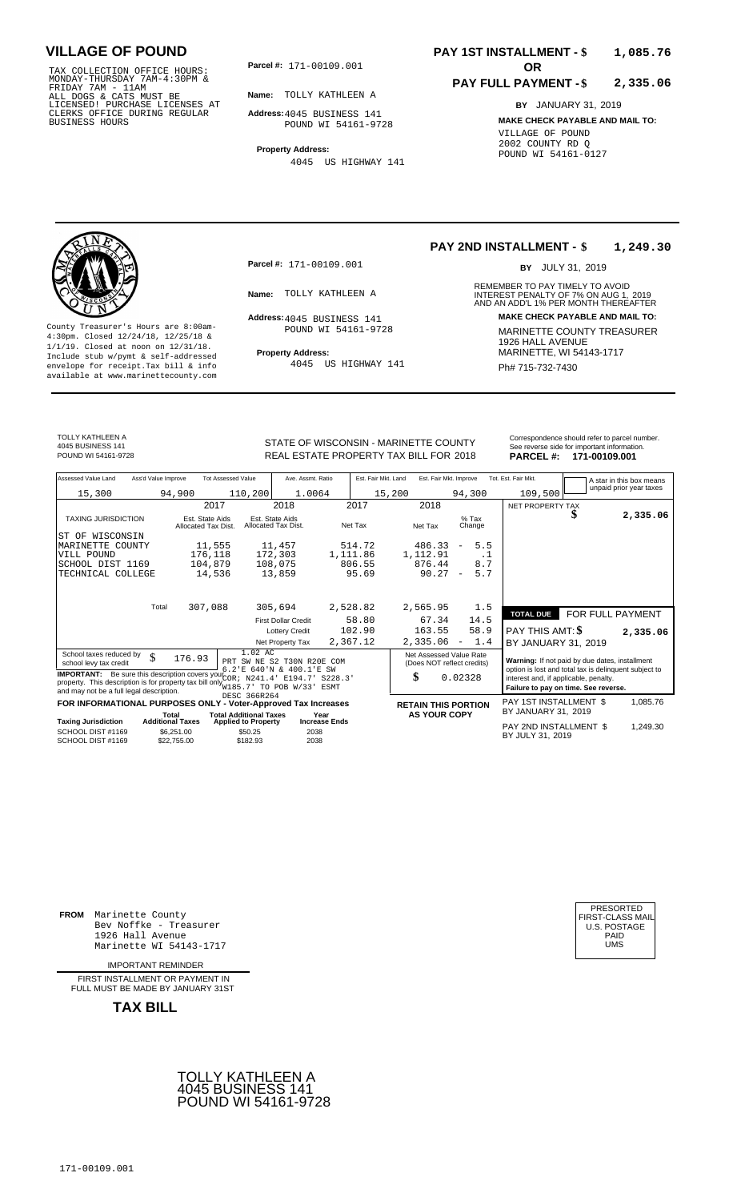TAX COLLECTION OFFICE HOURS:<br>
MONDAY-THURSDAY 7AM-4:30PM &<br>
FRIDAY 7AM - 11AM<br>
ALL DOGS & CATS MUST BE<br>
LICENSED! PURCHASE LICENSES AT<br>
CLERKS OFFICE DURING REGULAR<br>
CLERKS OFFICE DURING REGULAR<br>
BUSINESS HOURS<br>
BUSINESS H

**Parcel #: OR**

**Name:** TOLLY KATHLEEN A

**Address:** 4045 BUSINESS 141 POUND WI 54161-9728

**Property Address:** 4045 US HIGHWAY 141

### **PAY 1ST INSTALLMENT - \$ 1,085.76**

#### **PAY FULL PAYMENT - \$ 2,335.06**

**BY** JANUARY 31, 2019 **MAKE CHECK PAYABLE AND MAIL TO:** VILLAGE OF POUND 2002 COUNTY RD Q POUND WI 54161-0127

**Property Address:** MARINETTE, WI 54143-1717 Include stub w/pymt & self-addressed envelope for receipt.Tax bill & info Ph# 715-732-7430 available at www.marinettecounty.com

**Parcel #:** 171-00109.001

Address: 4045 BUSINESS 141 POUND WI 54161-9728

4045 US HIGHWAY 141

#### **PAY 2ND INSTALLMENT - \$ 1,249.30**

BY JULY 31, 2019

REMEMBER TO PAY TIMELY TO AVOID **Name:** TOLLY KATHLEEN A **INTEREST PENALTY OF 7% ON AUG 1, 2019**<br>AND AN ADD'L 1% PER MONTH THEREAFTER **Address: MAKE CHECK PAYABLE AND MAIL TO:** County Treasurer's Hours are 8:00am-<br>
4:30pm. Closed 12/24/18, 12/25/18 & MARINETTE COUNTY TREASURER<br>
1/1/19. Closed at noon on 12/31/18.<br>
Include stub w/pwmt & self-addressed **Property Address:** MARINETTE, WI 54143-1717

TOLLY KATHLEEN A 4045 BUSINESS 141

STATE OF WISCONSIN - MARINETTE COUNTY<br>REAL ESTATE PROPERTY TAX BILL FOR 2018 PARCEL #: 171-00109.001 REAL ESTATE PROPERTY TAX BILL FOR **PARCEL #:** POUND WI 54161-9728 2018 **171-00109.001**

| Assessed Value Land                                                                                                                                                                                                                                                                                                                                              | Ass'd Value Improve                                                           | <b>Tot Assessed Value</b>              | Ave. Assmt. Ratio                                                       |          | Est. Fair Mkt. Land       | Est. Fair Mkt. Improve                                                 |                                                     | Tot. Est. Fair Mkt.                                                                                                                                                                      |  | A star in this box means |
|------------------------------------------------------------------------------------------------------------------------------------------------------------------------------------------------------------------------------------------------------------------------------------------------------------------------------------------------------------------|-------------------------------------------------------------------------------|----------------------------------------|-------------------------------------------------------------------------|----------|---------------------------|------------------------------------------------------------------------|-----------------------------------------------------|------------------------------------------------------------------------------------------------------------------------------------------------------------------------------------------|--|--------------------------|
| 15,300                                                                                                                                                                                                                                                                                                                                                           | 94,900                                                                        | 110,200                                | 1.0064                                                                  |          | 15,200                    |                                                                        | 94,300                                              | 109,500                                                                                                                                                                                  |  | unpaid prior year taxes  |
|                                                                                                                                                                                                                                                                                                                                                                  |                                                                               | 2017                                   | 2018                                                                    |          | 2017                      | 2018                                                                   |                                                     | NET PROPERTY TAX                                                                                                                                                                         |  |                          |
| <b>TAXING JURISDICTION</b>                                                                                                                                                                                                                                                                                                                                       |                                                                               | Est. State Aids<br>Allocated Tax Dist. | Est. State Aids<br>Allocated Tax Dist.                                  |          | Net Tax                   | Net Tax                                                                | $%$ Tax<br>Change                                   |                                                                                                                                                                                          |  | 2,335.06                 |
| WISCONSIN<br>ST OF<br>MARINETTE COUNTY<br>VILL POUND<br>SCHOOL DIST 1169<br>TECHNICAL COLLEGE                                                                                                                                                                                                                                                                    |                                                                               | 11,555<br>176,118<br>104,879<br>14,536 | 11,457<br>172,303<br>108,075<br>13,859                                  | 1,111.86 | 514.72<br>806.55<br>95.69 | 486.33<br>1,112.91<br>876.44<br>$90.27 -$                              | 5.5<br>$\overline{\phantom{a}}$<br>.1<br>8.7<br>5.7 |                                                                                                                                                                                          |  |                          |
|                                                                                                                                                                                                                                                                                                                                                                  | Total                                                                         | 307,088                                | 305,694                                                                 | 2,528.82 |                           | 2,565.95                                                               | 1.5                                                 | <b>TOTAL DUE</b>                                                                                                                                                                         |  | FOR FULL PAYMENT         |
|                                                                                                                                                                                                                                                                                                                                                                  |                                                                               |                                        | <b>First Dollar Credit</b><br><b>Lottery Credit</b><br>Net Property Tax | 2,367.12 | 58.80<br>102.90           | 67.34<br>163.55<br>2,335.06                                            | 14.5<br>58.9<br>$-1.4$                              | <b>PAY THIS AMT: \$</b><br>BY JANUARY 31, 2019                                                                                                                                           |  | 2,335.06                 |
| 1.02 AC<br>School taxes reduced by<br>\$<br>176.93<br>PRT SW NE S2 T30N R20E COM<br>school levy tax credit<br>6.2'E 640'N & 400.1'E SW<br><b>IMPORTANT:</b> Be sure this description covers your COR ; N241.4' E194.7' S228.3'<br>property. This description is for property tax bill only W185.7' TO POB W/33' ESMT<br>and may not be a full legal description. |                                                                               |                                        |                                                                         |          |                           | Net Assessed Value Rate<br>(Does NOT reflect credits)<br>\$<br>0.02328 |                                                     | Warning: If not paid by due dates, installment<br>option is lost and total tax is delinquent subject to<br>interest and, if applicable, penalty.<br>Failure to pay on time. See reverse. |  |                          |
|                                                                                                                                                                                                                                                                                                                                                                  | FOR INFORMATIONAL PURPOSES ONLY - Voter-Approved Tax Increases<br>$T - 1 - 1$ | DESC 366R264                           | Tatel Additional Texton                                                 | $V - -$  |                           | <b>RETAIN THIS PORTION</b><br>AC VOLID CODY                            |                                                     | PAY 1ST INSTALLMENT \$<br>BY JANUARY 31, 2019                                                                                                                                            |  | 1,085.76                 |

| Total       | <b>Total Additional Taxes</b> | Year                       | <b>AS YOUR COPY</b>                                                                            |                            |                                                                   |
|-------------|-------------------------------|----------------------------|------------------------------------------------------------------------------------------------|----------------------------|-------------------------------------------------------------------|
|             |                               |                            |                                                                                                |                            | .249.30                                                           |
| \$6.251.00  | \$50.25                       | 2038                       |                                                                                                |                            |                                                                   |
| \$22,755,00 | \$182.93                      | 2038                       |                                                                                                |                            |                                                                   |
|             | <b>Additional Taxes</b>       | <b>Applied to Property</b> | <b>FUN INFUNIMATIONAL FUNFUSES UNLI - VULGI-APPIOVED TAX INCIEASES</b><br><b>Increase Ends</b> | <b>RETAIN THIS PURTION</b> | BY JANUARY 31, 2019<br>PAY 2ND INSTALLMENT \$<br>BY JULY 31, 2019 |

**FROM** Marinette County Bev Noffke - Treasurer 1926 Hall Avenue Marinette WI 54143-1717

IMPORTANT REMINDER

FIRST INSTALLMENT OR PAYMENT IN FULL MUST BE MADE BY JANUARY 31ST



| PRESORTED           |  |
|---------------------|--|
| FIRST-CLASS MAIL    |  |
| <b>U.S. POSTAGE</b> |  |
| PAID                |  |
| UMS                 |  |
|                     |  |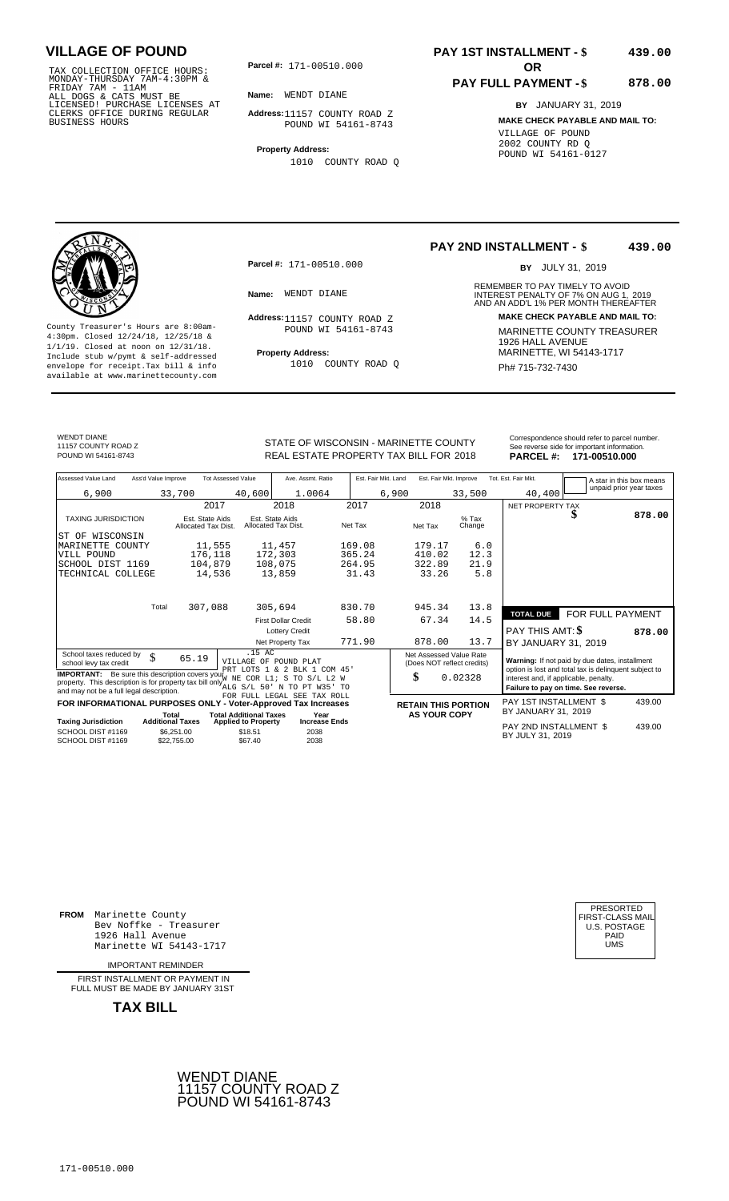TAX COLLECTION OFFICE HOURS:<br>
MONDAY-THURSDAY 7AM-4:30PM &<br>
FRIDAY 7AM - 11AM<br>
ALL DOGS & CATS MUST BE<br>
LICENSED! PURCHASE LICENSES AT<br>
CLERKS OFFICE DURING REGULAR<br>
BUSINESS HOURS<br>
BUSINESS HOURS

**Parcel #: OR**

**Name:** WENDT DIANE

**Address:** 11157 COUNTY ROAD Z POUND WI 54161-8743

**Property Address:** 1010 COUNTY ROAD Q

### **PAY 1ST INSTALLMENT - \$ 439.00**

### **PAY FULL PAYMENT - \$**

**878.00**

**BY** JANUARY 31, 2019 **MAKE CHECK PAYABLE AND MAIL TO:** VILLAGE OF POUND 2002 COUNTY RD Q POUND WI 54161-0127



**Property Address:** MARINETTE, WI 54143-1717 Include stub w/pymt & self-addressed envelope for receipt.Tax bill & info Ph# 715-732-7430 available at www.marinettecounty.com

**Parcel #:** 171-00510.000

Address: 11157 COUNTY ROAD Z POUND WI 54161-8743

1010 COUNTY ROAD Q

#### **PAY 2ND INSTALLMENT - \$ 439.00**

BY JULY 31, 2019

REMEMBER TO PAY TIMELY TO AVOID **Name:** WENDT DIANE **INTEREST PENALTY OF 7% ON AUG 1, 2019**<br>AND AN ADD'L 1% PER MONTH THEREAFTER **Address: MAKE CHECK PAYABLE AND MAIL TO:** County Treasurer's Hours are 8:00am-<br>
4:30pm. Closed 12/24/18, 12/25/18 & MARINETTE COUNTY TREASURER<br>
1/1/19. Closed at noon on 12/31/18.<br>
Include stub w/pwmt. & self-addressed<br>
Froperty Address:<br>
MARINETTE, WI 54143-1717

WENDT DIANE 11157 COUNTY ROAD Z

STATE OF WISCONSIN - MARINETTE COUNTY REAL ESTATE PROPERTY TAX BILL FOR **PARCEL #:** POUND WI 54161-8743 2018 **171-00510.000**

| Correspondence should refer to parcel number<br>See reverse side for important information. |  |
|---------------------------------------------------------------------------------------------|--|
|                                                                                             |  |
|                                                                                             |  |

|          |               | ee reverse side for important information. |  |
|----------|---------------|--------------------------------------------|--|
| ARCEL #: | 171-00510.000 |                                            |  |

| Assessed Value Land<br>Ass'd Value Improve                                                                                                                                        |                                        | <b>Tot Assessed Value</b>                                   | Ave. Assmt. Ratio            |         | Est. Fair Mkt. Land | Est. Fair Mkt. Improve                                |                   | Tot. Est. Fair Mkt.                        | A star in this box means                                                                      |        |
|-----------------------------------------------------------------------------------------------------------------------------------------------------------------------------------|----------------------------------------|-------------------------------------------------------------|------------------------------|---------|---------------------|-------------------------------------------------------|-------------------|--------------------------------------------|-----------------------------------------------------------------------------------------------|--------|
| 6,900                                                                                                                                                                             | 33,700                                 | 40,600                                                      | 1.0064                       |         | 6,900               |                                                       | 33,500            | 40,400                                     | unpaid prior year taxes                                                                       |        |
|                                                                                                                                                                                   | 2017                                   |                                                             | 2018                         | 2017    |                     | 2018                                                  |                   | NET PROPERTY TAX                           |                                                                                               |        |
| <b>TAXING JURISDICTION</b>                                                                                                                                                        | Est. State Aids<br>Allocated Tax Dist. | Est. State Aids<br>Allocated Tax Dist.                      |                              | Net Tax |                     | Net Tax                                               | $%$ Tax<br>Change |                                            | S                                                                                             | 878.00 |
| IST OF WISCONSIN                                                                                                                                                                  |                                        |                                                             |                              |         |                     |                                                       |                   |                                            |                                                                                               |        |
| MARINETTE<br>COUNTY                                                                                                                                                               | 11,555                                 |                                                             | 11,457                       | 169.08  |                     | 179.17                                                | 6.0               |                                            |                                                                                               |        |
| VILL POUND                                                                                                                                                                        | 176,118                                |                                                             | 172,303                      | 365.24  |                     | 410.02                                                | 12.3              |                                            |                                                                                               |        |
| SCHOOL DIST 1169                                                                                                                                                                  | 104,879                                |                                                             | 108,075                      | 264.95  |                     | 322.89                                                | 21.9              |                                            |                                                                                               |        |
| TECHNICAL COLLEGE                                                                                                                                                                 | 14,536                                 |                                                             | 13,859                       | 31.43   |                     | 33.26                                                 | 5.8               |                                            |                                                                                               |        |
|                                                                                                                                                                                   |                                        |                                                             |                              |         |                     |                                                       |                   |                                            |                                                                                               |        |
| Total                                                                                                                                                                             | 307,088                                |                                                             | 305,694                      | 830.70  |                     | 945.34                                                | 13.8              |                                            |                                                                                               |        |
|                                                                                                                                                                                   |                                        |                                                             | <b>First Dollar Credit</b>   | 58.80   |                     | 67.34                                                 | 14.5              | <b>TOTAL DUE</b>                           | FOR FULL PAYMENT                                                                              |        |
|                                                                                                                                                                                   |                                        |                                                             | <b>Lottery Credit</b>        |         |                     |                                                       |                   | <b>PAY THIS AMT: \$</b>                    |                                                                                               | 878.00 |
|                                                                                                                                                                                   |                                        |                                                             | Net Property Tax             | 771.90  |                     | 878.00                                                | 13.7              | BY JANUARY 31, 2019                        |                                                                                               |        |
| School taxes reduced by<br>\$<br>school levy tax credit                                                                                                                           | 65.19                                  | .15 AC<br>VILLAGE OF POUND PLAT                             | PRT LOTS 1 & 2 BLK 1 COM 45' |         |                     | Net Assessed Value Rate<br>(Does NOT reflect credits) |                   |                                            | Warning: If not paid by due dates, installment                                                |        |
| <b>IMPORTANT:</b> Be sure this description covers your $W = \frac{1}{W}$<br>property. This description is for property tax bill only $_{\text{ALG S/L 50}}^{100}$ N TO PT W35' TO |                                        |                                                             | COR L1; S TO S/L L2 W        |         |                     | \$                                                    | 0.02328           | interest and, if applicable, penalty.      | option is lost and total tax is delinquent subject to<br>Failure to pay on time. See reverse. |        |
| and may not be a full legal description.                                                                                                                                          |                                        |                                                             | FOR FULL LEGAL SEE TAX ROLL  |         |                     |                                                       |                   |                                            |                                                                                               |        |
| FOR INFORMATIONAL PURPOSES ONLY - Voter-Approved Tax Increases                                                                                                                    |                                        |                                                             |                              |         |                     | <b>RETAIN THIS PORTION</b>                            |                   | PAY 1ST INSTALLMENT \$                     |                                                                                               | 439.00 |
| <b>Taxing Jurisdiction</b>                                                                                                                                                        | Total<br><b>Additional Taxes</b>       | <b>Total Additional Taxes</b><br><b>Applied to Property</b> | Year<br><b>Increase Ends</b> |         |                     | <b>AS YOUR COPY</b>                                   |                   | BY JANUARY 31, 2019                        |                                                                                               |        |
| SCHOOL DIST #1169<br>SCHOOL DIST #1169                                                                                                                                            | \$6,251.00<br>\$22,755.00              | \$18.51<br>\$67.40                                          | 2038<br>2038                 |         |                     |                                                       |                   | PAY 2ND INSTALLMENT \$<br>BY JULY 31, 2019 |                                                                                               | 439.00 |

**FROM** Marinette County Bev Noffke - Treasurer 1926 Hall Avenue PAID Marinette WI 54143-1717 UMS

IMPORTANT REMINDER

FIRST INSTALLMENT OR PAYMENT IN FULL MUST BE MADE BY JANUARY 31ST



| PRESORTED        |
|------------------|
| FIRST-CLASS MAIL |
| U.S. POSTAGE     |
| PAID             |
| UMS              |
|                  |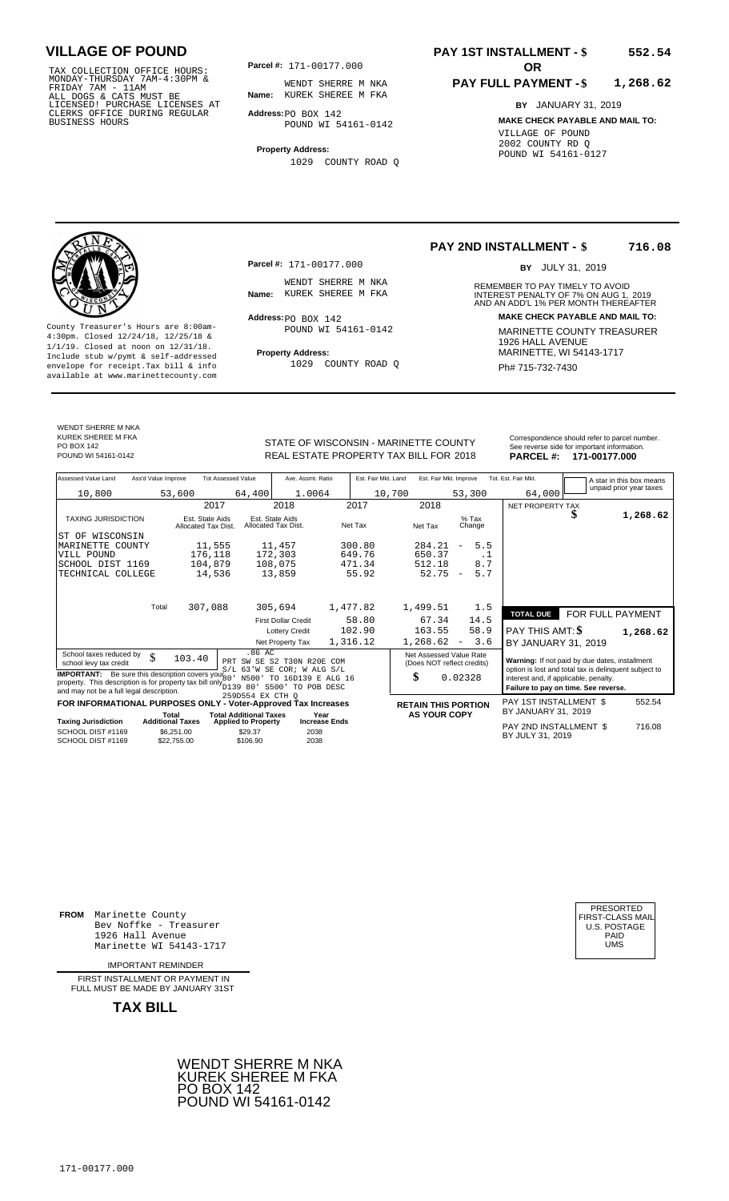TAX COLLECTION OFFICE HOURS: **Parcel#:** 171-00177.000<br>MONDAY-THURSDAY 7AM-4:30PM & WENDT SHERRE M<br>FRIDAY 7AM - 11AM<br>ALL DOGS & CATS MUST BE **Name:** KUREK SHEREE M<br>LICENSED! PURCHASE LICENSES AT CLERKS OFFICE DURING REGULAR BUSINESS HOURS

**Parcel #:** 171-00177.000

**Name:** KUREK SHEREE M FKA WENDT SHERRE M NKA

**Address:** PO BOX 142 POUND WI 54161-0142

**Property Address:** 1029 COUNTY ROAD Q

### **PAY 1ST INSTALLMENT - \$ 552.54**

#### **PAY FULL PAYMENT - \$ 1,268.62**

**BY** JANUARY 31, 2019 **MAKE CHECK PAYABLE AND MAIL TO:** VILLAGE OF POUND 2002 COUNTY RD Q POUND WI 54161-0127



**Property Address:** MARINETTE, WI 54143-1717 Include stub w/pymt & self-addressed envelope for receipt.Tax bill & info Final Revolution of Phames and Phames Ph# 715-732-7430 available at www.marinettecounty.com

**Parcel #:** 171-00177.000

WENDT SHERRE M NKA<br>Name: KUREK SHEREE M FKA

 $Address:  $PO$  BOX 142$ POUND WI 54161-0142

1029 COUNTY ROAD Q

**PAY 2ND INSTALLMENT - \$ 716.08**

BY JULY 31, 2019

REMEMBER TO PAY TIMELY TO AVOID **Name:** KUREK SHEREE M FKA **INTEREST PENALTY OF 7% ON AUG 1, 2019**<br>AND AN ADD'L 1% PER MONTH THEREAFTER **Address: MAKE CHECK PAYABLE AND MAIL TO:** County Treasurer's Hours are 8:00am-<br>
4:30pm. Closed 12/24/18, 12/25/18 & MARINETTE COUNTY TREASURER<br>
1/1/19. Closed at noon on 12/31/18.<br>
Include stub w/pwmt & self-addressed **Property Address:** MARINETTE, WI 54143-1717

WENDT SHERRE M NKA

KUREK SHEREE M FKA PO BOX 142<br>POUND WI 54161-0142

STATE OF WISCONSIN - MARINETTE COUNTY<br>
See reverse side for important information.<br>
REAL ESTATE PROPERTY TAX BILL FOR 2018 PARCEL #: 171-00177.000 REAL ESTATE PROPERTY TAX BILL FOR **PARCEL #:** POUND WI 54161-0142 2018 **171-00177.000**

| Assessed Value Land<br>Ass'd Value Improve<br><b>Tot Assessed Value</b><br>Est. Fair Mkt. Land<br>Ave. Assmt. Ratio<br>Est. Fair Mkt. Improve<br>Tot. Est. Fair Mkt.<br>unpaid prior year taxes<br>64,000<br>10,800<br>1.0064<br>10,700<br>53,300<br>53,600<br>64,400<br>2017<br>2017<br>2018<br>2018<br>NET PROPERTY TAX<br>\$<br>$%$ Tax<br><b>TAXING JURISDICTION</b><br>Est. State Aids<br>Est. State Aids<br>Net Tax<br>Change<br>Allocated Tax Dist.<br>Allocated Tax Dist.<br>Net Tax<br>300.80<br>5.5<br>11,555<br>11,457<br>284.21<br>COUNTY<br>649.76<br>176,118<br>172,303<br>650.37<br>. 1<br>104,879<br>108,075<br>471.34<br>8.7<br>512.18<br>52.75<br>55.92<br>5.7<br>14,536<br>13,859<br>$\overline{\phantom{a}}$<br>1,477.82<br>1.5<br>Total<br>307,088<br>305,694<br>1,499.51 |          |                          |                  |  |  |  |  |  |  |  |
|------------------------------------------------------------------------------------------------------------------------------------------------------------------------------------------------------------------------------------------------------------------------------------------------------------------------------------------------------------------------------------------------------------------------------------------------------------------------------------------------------------------------------------------------------------------------------------------------------------------------------------------------------------------------------------------------------------------------------------------------------------------------------------------------|----------|--------------------------|------------------|--|--|--|--|--|--|--|
|                                                                                                                                                                                                                                                                                                                                                                                                                                                                                                                                                                                                                                                                                                                                                                                                |          | A star in this box means |                  |  |  |  |  |  |  |  |
| ST OF WISCONSIN<br><b>MARINETTE</b><br>VILL POUND<br>SCHOOL DIST 1169<br>TECHNICAL COLLEGE                                                                                                                                                                                                                                                                                                                                                                                                                                                                                                                                                                                                                                                                                                     |          |                          |                  |  |  |  |  |  |  |  |
|                                                                                                                                                                                                                                                                                                                                                                                                                                                                                                                                                                                                                                                                                                                                                                                                |          |                          |                  |  |  |  |  |  |  |  |
|                                                                                                                                                                                                                                                                                                                                                                                                                                                                                                                                                                                                                                                                                                                                                                                                | 1,268.62 |                          |                  |  |  |  |  |  |  |  |
|                                                                                                                                                                                                                                                                                                                                                                                                                                                                                                                                                                                                                                                                                                                                                                                                |          |                          |                  |  |  |  |  |  |  |  |
|                                                                                                                                                                                                                                                                                                                                                                                                                                                                                                                                                                                                                                                                                                                                                                                                |          |                          |                  |  |  |  |  |  |  |  |
|                                                                                                                                                                                                                                                                                                                                                                                                                                                                                                                                                                                                                                                                                                                                                                                                |          |                          |                  |  |  |  |  |  |  |  |
|                                                                                                                                                                                                                                                                                                                                                                                                                                                                                                                                                                                                                                                                                                                                                                                                |          |                          |                  |  |  |  |  |  |  |  |
|                                                                                                                                                                                                                                                                                                                                                                                                                                                                                                                                                                                                                                                                                                                                                                                                |          |                          |                  |  |  |  |  |  |  |  |
|                                                                                                                                                                                                                                                                                                                                                                                                                                                                                                                                                                                                                                                                                                                                                                                                |          |                          |                  |  |  |  |  |  |  |  |
|                                                                                                                                                                                                                                                                                                                                                                                                                                                                                                                                                                                                                                                                                                                                                                                                |          | FOR FULL PAYMENT         | <b>TOTAL DUE</b> |  |  |  |  |  |  |  |
| 58.80<br>14.5<br>67.34<br><b>First Dollar Credit</b>                                                                                                                                                                                                                                                                                                                                                                                                                                                                                                                                                                                                                                                                                                                                           |          |                          |                  |  |  |  |  |  |  |  |
| 102.90<br>58.9<br>PAY THIS AMT: \$<br>163.55<br><b>Lottery Credit</b>                                                                                                                                                                                                                                                                                                                                                                                                                                                                                                                                                                                                                                                                                                                          | 1,268.62 |                          |                  |  |  |  |  |  |  |  |
| 3.6<br>1,316.12<br>1,268.62<br>Net Property Tax<br>$\overline{\phantom{a}}$<br>BY JANUARY 31, 2019                                                                                                                                                                                                                                                                                                                                                                                                                                                                                                                                                                                                                                                                                             |          |                          |                  |  |  |  |  |  |  |  |
| .86AC<br>School taxes reduced by<br>Net Assessed Value Rate<br>\$<br>103.40<br>Warning: If not paid by due dates, installment<br>SW SE S2 T30N R20E<br><b>PRT</b><br>COM<br>school levy tax credit<br>(Does NOT reflect credits)<br>option is lost and total tax is delinquent subject to<br>S/L 63'W SE COR; W ALG S/L                                                                                                                                                                                                                                                                                                                                                                                                                                                                        |          |                          |                  |  |  |  |  |  |  |  |
| <b>IMPORTANT:</b> Be sure this description covers you $\frac{1}{8}$<br>\$<br>0.02328<br>interest and, if applicable, penalty.<br>N500'<br>TO 16D139 E ALG 16<br>property. This description is for property tax bill only $_{\rm D139}^{\rm tot}$<br>80' S500' TO POB DESC<br>Failure to pay on time. See reverse.<br>and may not be a full legal description.                                                                                                                                                                                                                                                                                                                                                                                                                                  |          |                          |                  |  |  |  |  |  |  |  |
| 259D554 EX CTH O<br>PAY 1ST INSTALLMENT \$                                                                                                                                                                                                                                                                                                                                                                                                                                                                                                                                                                                                                                                                                                                                                     | 552.54   |                          |                  |  |  |  |  |  |  |  |
| FOR INFORMATIONAL PURPOSES ONLY - Voter-Approved Tax Increases<br><b>RETAIN THIS PORTION</b><br>BY JANUARY 31, 2019<br><b>AS YOUR COPY</b><br><b>Total Additional Taxes</b><br>Year<br>Total                                                                                                                                                                                                                                                                                                                                                                                                                                                                                                                                                                                                   |          |                          |                  |  |  |  |  |  |  |  |
| <b>Increase Ends</b><br>Taxing Jurisdiction<br><b>Additional Taxes</b><br><b>Applied to Property</b>                                                                                                                                                                                                                                                                                                                                                                                                                                                                                                                                                                                                                                                                                           |          |                          |                  |  |  |  |  |  |  |  |
| PAY 2ND INSTALLMENT \$<br>SCHOOL DIST #1169<br>\$6.251.00<br>\$29.37<br>2038<br>BY JULY 31, 2019<br>2038<br>SCHOOL DIST #1169<br>\$106.90<br>\$22,755.00                                                                                                                                                                                                                                                                                                                                                                                                                                                                                                                                                                                                                                       | 716.08   |                          |                  |  |  |  |  |  |  |  |

**FROM** Marinette County Bev Noffke - Treasurer (U.S. POSTAGE)<br>1926 Hall Avenue (U.S. POSTAGE)<br>Marinette WI 54143-1717 (U.S. POSTAGE) 1926 Hall Avenue Marinette WI 54143-1717

IMPORTANT REMINDER

FIRST INSTALL MENT OR PAYMENT IN FULL MUST BE MADE BY JANUARY 31ST



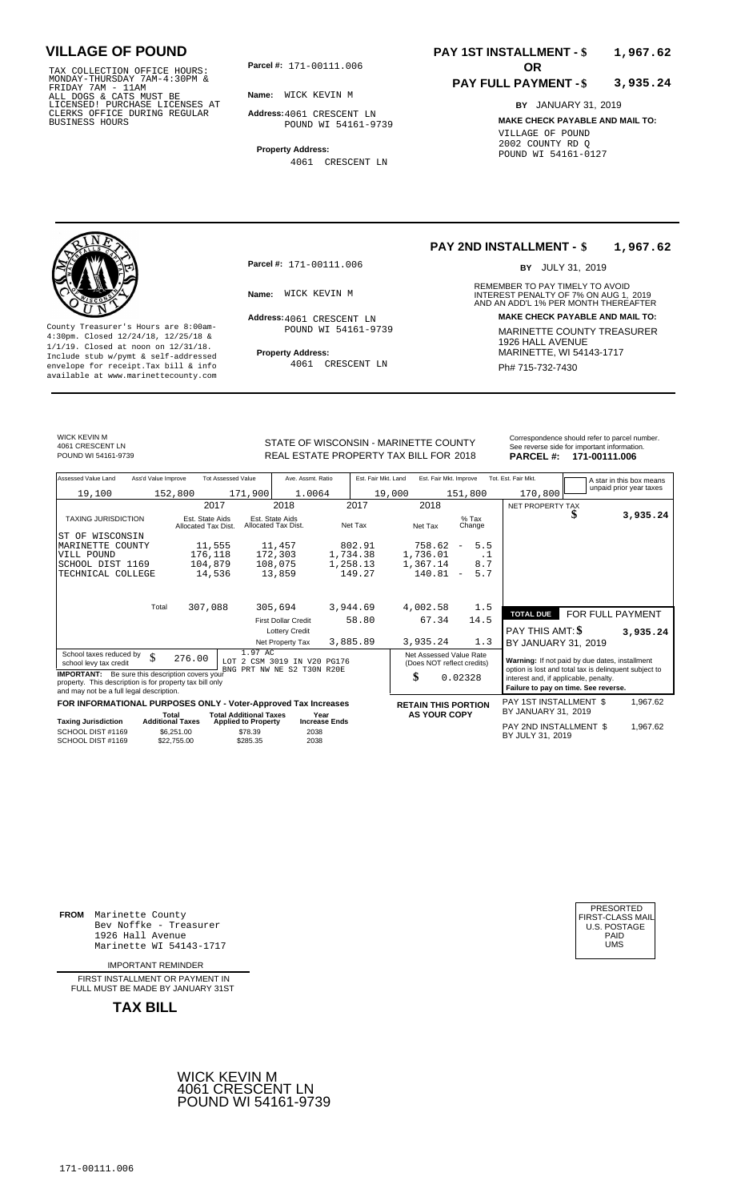171-00111.006 TAX COLLECTION OFFICE HOURS: MONDAY-THURSDAY 7AM-4:30PM & FRIDAY 7AM - 11AM ALL DOGS & CATS MUST BE LICENSED! PURCHASE LICENSES AT CLERKS OFFICE DURING REGULAR BUSINESS HOURS

**Parcel #:** 171-00111.006 **OR** 

**Name:** WICK KEVIN M

**Address:** 4061 CRESCENT LN POUND WI 54161-9739

**Property Address:** 4061 CRESCENT LN

### **PAY 1ST INSTALLMENT - \$ 1,967.62**

#### **PAY FULL PAYMENT - \$ 3,935.24**

**BY** JANUARY 31, 2019 **MAKE CHECK PAYABLE AND MAIL TO:** VILLAGE OF POUND 2002 COUNTY RD Q POUND WI 54161-0127

**Property Address:** MARINETTE, WI 54143-1717 Include stub w/pymt & self-addressed envelope for receipt.Tax bill & info Ph# 715-732-7430 available at www.marinettecounty.com

**Parcel #:** 171-00111.006

Address: 4061 CRESCENT LN POUND WI 54161-9739

4061 CRESCENT LN

### **PAY 2ND INSTALLMENT - \$ 1,967.62**

BY JULY 31, 2019

REMEMBER TO PAY TIMELY TO AVOID **Name:** INTEREST PENALTY OF 7% ON AUG 1, AND AN ADD'L 1% PER MONTH THEREAFTER WICK KEVIN M 2019 **Address: MAKE CHECK PAYABLE AND MAIL TO:** County Treasurer's Hours are 8:00am-<br>
4:30pm. Closed 12/24/18, 12/25/18 & 1/1/19. Closed at noon on 12/31/18.<br>
Include stub w/pwmt. & self-addressed<br>
Froperty Address: MARINETTE, WI 54143-1717

WICK KEVIN M 4061 CRESCENT LN

STATE OF WISCONSIN - MARINETTE COUNTY POUND WI 54161-9739 **18th State State BEAL ESTATE PROPERTY TAX BILL FOR 2018 PARCEL #: 171-00111.006** 

| Correspondence should refer to parcel number. |
|-----------------------------------------------|
| See reverse side for important information.   |
| <b>BABOEL # 474 00444 000</b>                 |

| Assessed Value Land                                                                                                                                            | Ass'd Value Improve       | <b>Tot Assessed Value</b>     | Ave. Assmt. Ratio                                     | Est. Fair Mkt. Land | Est. Fair Mkt. Improve                                |                                 | Tot. Est. Fair Mkt.                                                                                     |                  | A star in this box means |
|----------------------------------------------------------------------------------------------------------------------------------------------------------------|---------------------------|-------------------------------|-------------------------------------------------------|---------------------|-------------------------------------------------------|---------------------------------|---------------------------------------------------------------------------------------------------------|------------------|--------------------------|
| 19,100                                                                                                                                                         | 152,800                   | 171,900                       | 1.0064                                                | 19,000              |                                                       | 151,800                         | 170,800                                                                                                 |                  | unpaid prior year taxes  |
|                                                                                                                                                                |                           | 2017                          | 2018                                                  | 2017                | 2018                                                  |                                 | NET PROPERTY TAX                                                                                        |                  |                          |
| <b>TAXING JURISDICTION</b>                                                                                                                                     | Allocated Tax Dist.       | Est. State Aids               | Est. State Aids<br>Allocated Tax Dist.                | Net Tax             | Net Tax                                               | $%$ Tax<br>Change               |                                                                                                         | S                | 3,935.24                 |
| IST OF WISCONSIN                                                                                                                                               |                           |                               |                                                       |                     |                                                       |                                 |                                                                                                         |                  |                          |
| MARINETTE COUNTY                                                                                                                                               |                           | 11,555                        | 11,457                                                | 802.91              | 758.62                                                | 5.5<br>$\overline{\phantom{m}}$ |                                                                                                         |                  |                          |
| VILL POUND                                                                                                                                                     |                           | 176,118                       | 172,303                                               | 1,734.38            | 1,736.01                                              | . 1                             |                                                                                                         |                  |                          |
| SCHOOL DIST 1169                                                                                                                                               |                           | 104,879                       | 108,075                                               | 1,258.13            | 1,367.14                                              | 8.7                             |                                                                                                         |                  |                          |
| TECHNICAL COLLEGE                                                                                                                                              |                           | 14,536                        | 13,859                                                | 149.27              | 140.81                                                | 5.7<br>$\overline{\phantom{m}}$ |                                                                                                         |                  |                          |
|                                                                                                                                                                |                           |                               |                                                       |                     |                                                       |                                 |                                                                                                         |                  |                          |
|                                                                                                                                                                | Total                     | 307,088                       | 305,694                                               | 3,944.69            | 4,002.58                                              | 1.5                             | <b>TOTAL DUE</b>                                                                                        | FOR FULL PAYMENT |                          |
|                                                                                                                                                                |                           |                               | <b>First Dollar Credit</b>                            | 58.80               | 67.34                                                 | 14.5                            |                                                                                                         |                  |                          |
|                                                                                                                                                                |                           |                               | <b>Lottery Credit</b>                                 |                     |                                                       |                                 | PAY THIS AMT: \$                                                                                        |                  | 3,935.24                 |
|                                                                                                                                                                |                           |                               | Net Property Tax                                      | 3,885.89            | 3,935.24                                              | 1.3                             | BY JANUARY 31, 2019                                                                                     |                  |                          |
| School taxes reduced by<br>school levy tax credit                                                                                                              | \$<br>276.00              | 1.97 AC<br>T.OT               | 2 CSM 3019 IN V20 PG176<br>BNG PRT NW NE S2 T30N R20E |                     | Net Assessed Value Rate<br>(Does NOT reflect credits) |                                 | Warning: If not paid by due dates, installment<br>option is lost and total tax is delinquent subject to |                  |                          |
| <b>IMPORTANT:</b> Be sure this description covers your<br>property. This description is for property tax bill only<br>and may not be a full legal description. |                           |                               |                                                       |                     | \$                                                    | 0.02328                         | interest and, if applicable, penalty.<br>Failure to pay on time. See reverse.                           |                  |                          |
| FOR INFORMATIONAL PURPOSES ONLY - Voter-Approved Tax Increases                                                                                                 |                           |                               |                                                       |                     | <b>RETAIN THIS PORTION</b>                            |                                 | PAY 1ST INSTALLMENT \$                                                                                  |                  | 1,967.62                 |
|                                                                                                                                                                | Total                     | <b>Total Additional Taxes</b> | Year                                                  |                     | <b>AS YOUR COPY</b>                                   |                                 | BY JANUARY 31, 2019                                                                                     |                  |                          |
| <b>Taxing Jurisdiction</b>                                                                                                                                     | <b>Additional Taxes</b>   | <b>Applied to Property</b>    | <b>Increase Ends</b>                                  |                     |                                                       |                                 | PAY 2ND INSTALLMENT \$                                                                                  |                  | 1,967.62                 |
| SCHOOL DIST #1169<br>SCHOOL DIST #1169                                                                                                                         | \$6,251.00<br>\$22,755.00 | \$78.39<br>\$285.35           | 2038<br>2038                                          |                     |                                                       |                                 | BY JULY 31, 2019                                                                                        |                  |                          |

**FROM** Marinette County Bev Noffke - Treasurer 1926 Hall Avenue PAID Marinette WI 54143-1717 UMS

IMPORTANT REMINDER

FIRST INSTALLMENT OR PAYMENT IN FULL MUST BE MADE BY JANUARY 31ST



| PRESORTED        |
|------------------|
| FIRST-CLASS MAIL |
| U.S. POSTAGE     |
| PAID             |
| UMS              |
|                  |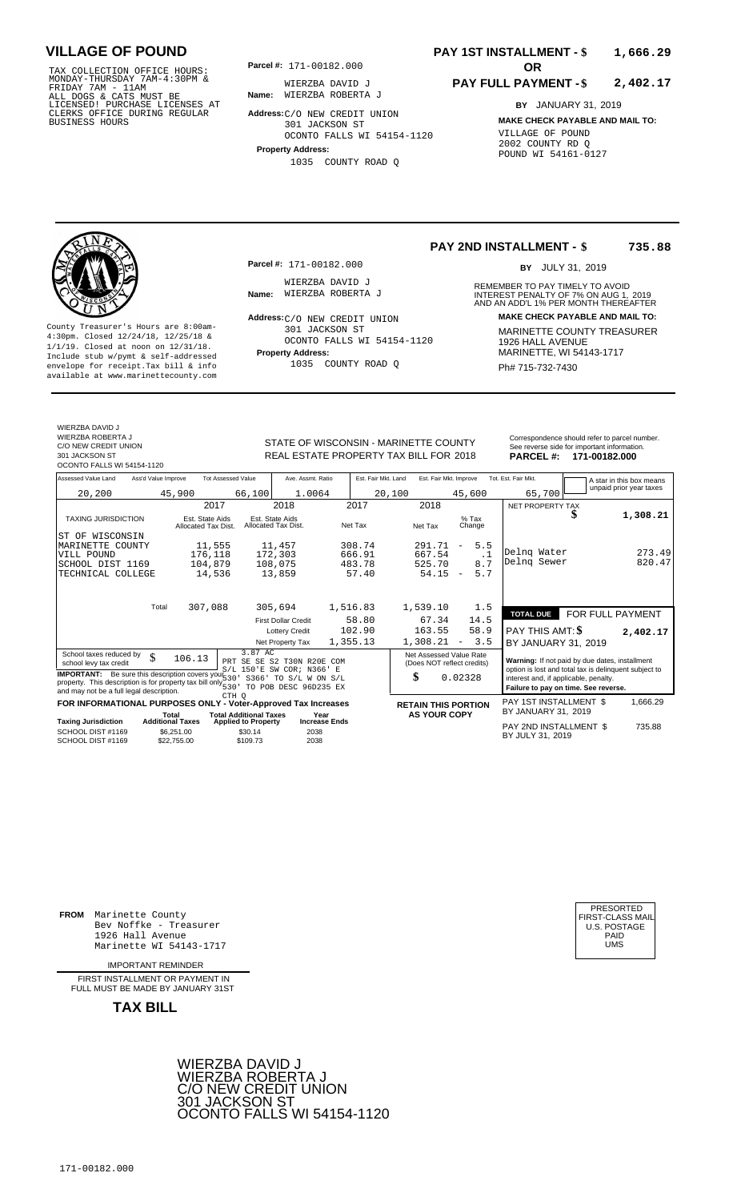TAX COLLECTION OFFICE HOURS: **Parcel#:** 171-00182.000<br>MONDAY-THURSDAY 7AM-4:30PM & WIERZBA DAVID<br>FRIDAY 7AM - 11AM<br>ALL DOGS & CATS MUST BE **Name:** WIERZBA ROBERT<br>LICENSED! PURCHASE LICENSES AT CLERKS OFFICE DURING REGULAR BUSINESS HOURS

**Parcel #: OR**

**Name:** WIERZBA ROBERTA J WIERZBA DAVID J

**Address:** C/O NEW CREDIT UNION

301 JACKSON ST OCONTO FALLS WI 54154-1120

**Property Address:** 1035 COUNTY ROAD Q

## **PAY 1ST INSTALLMENT - \$ 1,666.29**

## **PAY FULL PAYMENT - \$ 2,402.17**

**BY** JANUARY 31, 2019 **MAKE CHECK PAYABLE AND MAIL TO:** VILLAGE OF POUND 2002 COUNTY RD Q POUND WI 54161-0127

**Property Address:** Mariner Address: 1/1/19. Closed at noon on 12/31/18.<br>Include stub w/pymt & self-addressed envelope for receipt.Tax bill & info  $1035$  COUNTY ROAD Q  $Ph# 715-732-7430$ available at www.marinettecounty.com

**Parcel #:** 171-00182.000

WIERZBA DAVID J<br>**Name:** WIERZBA ROBERTA J

County Treasurer's Hours are 8:00am-<br>
4:30pm. Closed 12/24/18, 12/25/18 & 11/1/19. Closed at noon on 12/31/18.<br>
Include stub w/pwmt & self-addressed<br>
Froperty Address: Property Address: MARINETTE, WI 54143-1717 Address: C/O NEW CREDIT UNION 301 JACKSON ST OCONTO FALLS WI 54154-1120 1035 COUNTY ROAD Q

**PAY 2ND INSTALLMENT - \$ 735.88** BY JULY 31, 2019

REMEMBER TO PAY TIMELY TO AVOID **Name:** WIERZBA ROBERTA J<br>
AND AN ADD'L 1% PER MONTH THEREAFTER **Address: MAKE CHECK PAYABLE AND MAIL TO:**

WIERZRA DAVID J WIERZBA ROBERTA J C/O NEW CREDIT UNION

301 JACKSON ST OCONTO FALLS WI 54154-1120

STATE OF WISCONSIN - MARINETTE COUNTY Correspondence should refer to parcel number.<br>See reverse side for important information. REAL ESTATE PROPERTY TAX BILL FOR 2018

2018 **171-00182.000**

| Assessed Value Land                                                                                                                                                       | Ass'd Value Improve |                                                      | <b>Tot Assessed Value</b>                         | Ave. Assmt. Ratio                                   | Est. Fair Mkt. Land | Est. Fair Mkt. Improve                                |                                 | Tot. Est. Fair Mkt.                                                                                     |                  | A star in this box means |
|---------------------------------------------------------------------------------------------------------------------------------------------------------------------------|---------------------|------------------------------------------------------|---------------------------------------------------|-----------------------------------------------------|---------------------|-------------------------------------------------------|---------------------------------|---------------------------------------------------------------------------------------------------------|------------------|--------------------------|
| 20,200                                                                                                                                                                    |                     | 45,900                                               | 66,100                                            | 1.0064                                              |                     | 20,100                                                | 45,600                          | 65,700                                                                                                  |                  | unpaid prior year taxes  |
|                                                                                                                                                                           |                     | 2017                                                 |                                                   | 2018                                                | 2017                | 2018                                                  |                                 | NET PROPERTY TAX                                                                                        |                  |                          |
| <b>TAXING JURISDICTION</b>                                                                                                                                                |                     | Est. State Aids<br>Allocated Tax Dist.               |                                                   | Est. State Aids<br>Allocated Tax Dist.              | Net Tax             | Net Tax                                               | $%$ Tax<br>Change               |                                                                                                         |                  | 1,308.21                 |
| ST OF<br>WISCONSIN                                                                                                                                                        |                     |                                                      |                                                   |                                                     |                     |                                                       |                                 |                                                                                                         |                  |                          |
| MARINETTE COUNTY                                                                                                                                                          |                     | 11,555                                               |                                                   | 11,457                                              | 308.74              | 291.71                                                | 5.5<br>$\overline{\phantom{m}}$ | Delng Water                                                                                             |                  | 273.49                   |
| VILL POUND                                                                                                                                                                |                     | 176,118                                              |                                                   | 172,303                                             | 666.91              | 667.54                                                | $\cdot$ 1                       | Delng Sewer                                                                                             |                  | 820.47                   |
| SCHOOL DIST 1169                                                                                                                                                          |                     | 104,879                                              |                                                   | 108,075                                             | 483.78              | 525.70                                                | 8.7                             |                                                                                                         |                  |                          |
| TECHNICAL COLLEGE                                                                                                                                                         |                     | 14,536                                               |                                                   | 13,859                                              | 57.40               | 54.15                                                 | 5.7<br>$\overline{\phantom{a}}$ |                                                                                                         |                  |                          |
|                                                                                                                                                                           | Total               | 307,088                                              |                                                   | 305,694                                             | 1,516.83            | 1,539.10                                              | 1.5                             | <b>TOTAL DUE</b>                                                                                        | FOR FULL PAYMENT |                          |
|                                                                                                                                                                           |                     |                                                      |                                                   | <b>First Dollar Credit</b>                          | 58.80               | 67.34                                                 | 14.5                            |                                                                                                         |                  |                          |
|                                                                                                                                                                           |                     |                                                      |                                                   | <b>Lottery Credit</b>                               | 102.90              | 163.55                                                | 58.9                            | PAY THIS AMT: \$                                                                                        |                  | 2,402.17                 |
|                                                                                                                                                                           |                     |                                                      |                                                   | Net Property Tax                                    | 1,355.13            | 1,308.21                                              | 3.5<br>$\overline{\phantom{a}}$ | BY JANUARY 31, 2019                                                                                     |                  |                          |
| School taxes reduced by<br>school levy tax credit                                                                                                                         | $\mathcal{S}$       | 106.13                                               | 3.87 AC                                           | PRT SE SE S2 T30N R20E<br>S/L 150'E SW COR; N366' E | COM                 | Net Assessed Value Rate<br>(Does NOT reflect credits) |                                 | Warning: If not paid by due dates, installment<br>option is lost and total tax is delinquent subject to |                  |                          |
| <b>IMPORTANT:</b> Be sure this description covers your $530'$<br>property. This description is for property tax bill only 530<br>and may not be a full legal description. |                     |                                                      |                                                   | S366' TO S/L W ON S/L<br>TO POB DESC 96D235 EX      |                     | \$                                                    | 0.02328                         | interest and, if applicable, penalty.<br>Failure to pay on time. See reverse.                           |                  |                          |
| FOR INFORMATIONAL PURPOSES ONLY - Voter-Approved Tax Increases                                                                                                            |                     |                                                      | CTH O                                             |                                                     |                     | <b>RETAIN THIS PORTION</b>                            |                                 | PAY 1ST INSTALLMENT \$                                                                                  |                  | 1,666.29                 |
|                                                                                                                                                                           |                     | Total                                                | <b>Total Additional Taxes</b>                     | Year                                                |                     | <b>AS YOUR COPY</b>                                   |                                 | BY JANUARY 31, 2019                                                                                     |                  |                          |
| Taxing Jurisdiction<br>SCHOOL DIST #1169<br>SCHOOL DIST #1169                                                                                                             |                     | <b>Additional Taxes</b><br>\$6.251.00<br>\$22,755.00 | <b>Applied to Property</b><br>\$30.14<br>\$109.73 | <b>Increase Ends</b><br>2038<br>2038                |                     |                                                       |                                 | PAY 2ND INSTALLMENT \$<br>BY JULY 31, 2019                                                              |                  | 735.88                   |
|                                                                                                                                                                           |                     |                                                      |                                                   |                                                     |                     |                                                       |                                 |                                                                                                         |                  |                          |

**FROM** Marinette County Bev Noffke - Treasurer (U.S. POSTAGE)<br>1926 Hall Avenue (U.S. POSTAGE)<br>Marinette WI 54143-1717 (UMS 1926 Hall Avenue Marinette WI 54143-1717

IMPORTANT REMINDER

FIRST INSTALL MENT OR PAYMENT IN FULL MUST BE MADE BY JANUARY 31ST



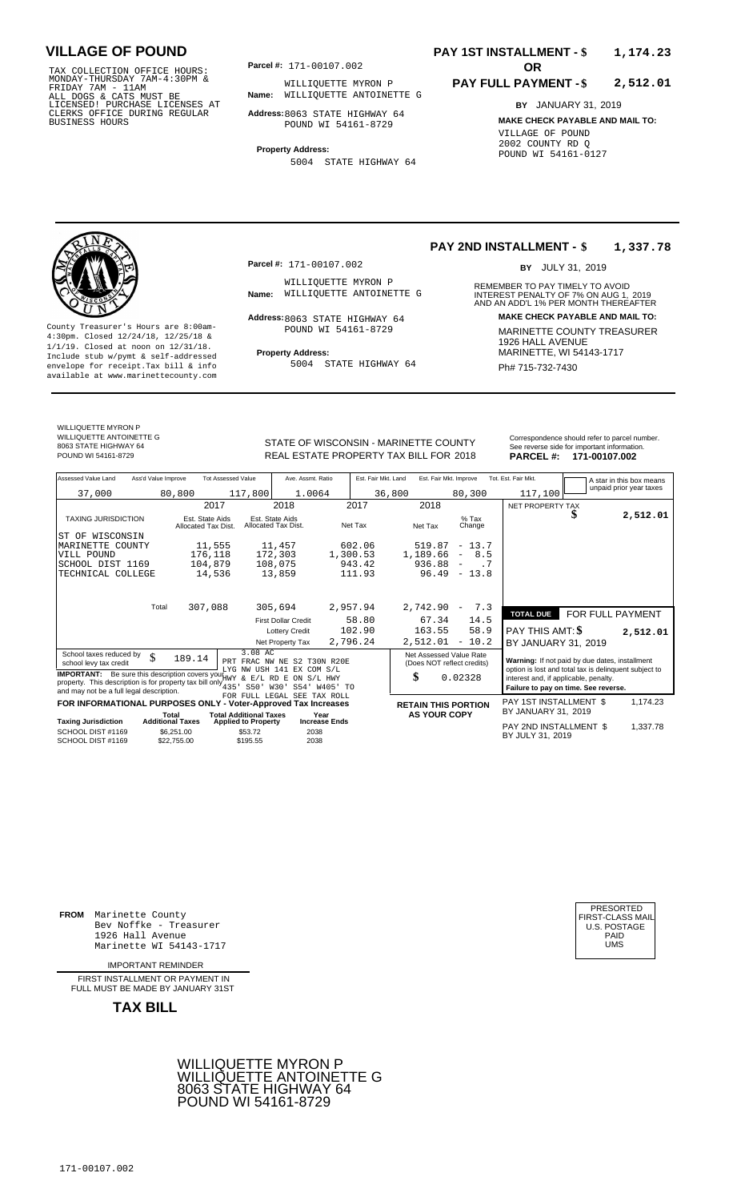TAX COLLECTION OFFICE HOURS: **Parcel#:** 171-00107.002<br>MONDAY-THURSDAY 7AM-4:30PM & WILLIQUETTE MY<br>FRIDAY 7AM - 11AM<br>ALL DOGS & CATS MUST BE **Name:** WILLIQUETTE AN<br>LICENSED! PURCHASE LICENSES AT CLERKS OFFICE DURING REGULAR BUSINESS HOURS

**Parcel #: OR**

**Name:** WILLIQUETTE ANTOINETTE G WILLIQUETTE MYRON P

**Address:** 8063 STATE HIGHWAY 64 POUND WI 54161-8729

**Property Address:** 5004 STATE HIGHWAY 64

## **PAY 1ST INSTALLMENT - \$ 1,174.23**

## **PAY FULL PAYMENT - \$ 2,512.01**

**BY** JANUARY 31, 2019 **MAKE CHECK PAYABLE AND MAIL TO:** VILLAGE OF POUND 2002 COUNTY RD Q POUND WI 54161-0127

**Property Address:** Mariner Address: 1/1/19. Closed at noon on 12/31/18.<br>Include stub w/pymt & self-addressed envelope for receipt.Tax bill & info 5004 STATE HIGHWAY 64 Ph# 715-732-7430 available at www.marinettecounty.com

WILLIQUETTE MYRON P

WILLIQUETTE ANTOINETTE G 8063 STATE HIGHWAY 64

**Parcel #:** 171-00107.002

WILLIQUETTE MYRON P<br>Name: WILLIQUETTE ANTOINETTE G

POUND WI 54161-8729

5004 STATE HIGHWAY 64

**PAY 2ND INSTALLMENT - \$ 1,337.78**

BY JULY 31, 2019

REMEMBER TO PAY TIMELY TO AVOID **Name:** INTEREST PENALTY OF 7% ON AUG 1, AND AN ADD'L 1% PER MONTH THEREAFTER WILLIQUETTE ANTOINETTE G 2019 **Address: MAKE CHECK PAYABLE AND MAIL TO:** 8063 STATE HIGHWAY 64 County Treasurer's Hours are 8:00am-<br>
4:30pm. Closed 12/24/18, 12/25/18 & MARINETTE COUNTY TREASURER<br>
1/1/19. Closed at noon on 12/31/18.<br>
Include stub w/pwmt & self-addressed **Property Address:** MARINETTE, WI 54143-1717

STATE OF WISCONSIN - MARINETTE COUNTY<br>
See reverse side for important information.<br>
REAL ESTATE PROPERTY TAX BILL FOR 2018 PARCEL #: 171-00107.002 REAL ESTATE PROPERTY TAX BILL FOR **PARCEL #:** POUND WI 54161-8729 2018 **171-00107.002**

| Assessed Value Land                                                                                                                                                                                      | Ass'd Value Improve       | <b>Tot Assessed Value</b>              | Ave. Assmt. Ratio                                        | Est. Fair Mkt. Land | Est. Fair Mkt. Improve                                |                                 | Tot. Est. Fair Mkt.                                                                                     |                         | A star in this box means |
|----------------------------------------------------------------------------------------------------------------------------------------------------------------------------------------------------------|---------------------------|----------------------------------------|----------------------------------------------------------|---------------------|-------------------------------------------------------|---------------------------------|---------------------------------------------------------------------------------------------------------|-------------------------|--------------------------|
| 37,000                                                                                                                                                                                                   | 80,800                    | 117,800                                | 1.0064                                                   | 36,800              |                                                       | 80,300                          | 117,100                                                                                                 |                         | unpaid prior year taxes  |
|                                                                                                                                                                                                          |                           | 2017                                   | 2018                                                     | 2017                | 2018                                                  |                                 | NET PROPERTY TAX                                                                                        |                         |                          |
| <b>TAXING JURISDICTION</b>                                                                                                                                                                               |                           | Est. State Aids<br>Allocated Tax Dist. | Est. State Aids<br>Allocated Tax Dist.                   | Net Tax             | Net Tax                                               | $%$ Tax<br>Change               |                                                                                                         | \$                      | 2,512.01                 |
| IST OF WISCONSIN                                                                                                                                                                                         |                           |                                        |                                                          |                     |                                                       |                                 |                                                                                                         |                         |                          |
| MARINETTE COUNTY                                                                                                                                                                                         |                           | 11,555                                 | 11,457                                                   | 602.06              | 519.87                                                | $-13.7$                         |                                                                                                         |                         |                          |
| VILL POUND                                                                                                                                                                                               |                           | 176,118                                | 172,303                                                  | 1,300.53            | 1,189.66                                              | 8.5<br>$\overline{\phantom{a}}$ |                                                                                                         |                         |                          |
| SCHOOL DIST 1169                                                                                                                                                                                         |                           | 104,879                                | 108,075                                                  | 943.42              | 936.88                                                | . 7<br>$\overline{\phantom{m}}$ |                                                                                                         |                         |                          |
| TECHNICAL COLLEGE                                                                                                                                                                                        |                           | 14,536                                 | 13,859                                                   | 111.93              | 96.49                                                 | 13.8<br>$\sim$                  |                                                                                                         |                         |                          |
|                                                                                                                                                                                                          |                           |                                        |                                                          |                     |                                                       |                                 |                                                                                                         |                         |                          |
|                                                                                                                                                                                                          | Total                     | 307,088                                | 305,694                                                  | 2,957.94            | 2,742.90                                              | 7.3<br>$\overline{\phantom{a}}$ | <b>TOTAL DUE</b>                                                                                        | <b>FOR FULL PAYMENT</b> |                          |
|                                                                                                                                                                                                          |                           |                                        | <b>First Dollar Credit</b>                               | 58.80               | 67.34                                                 | 14.5                            |                                                                                                         |                         |                          |
|                                                                                                                                                                                                          |                           |                                        | <b>Lottery Credit</b>                                    | 102.90              | 163.55                                                | 58.9                            | PAY THIS AMT: \$                                                                                        |                         | 2,512.01                 |
|                                                                                                                                                                                                          |                           |                                        | Net Property Tax                                         | 2,796.24            | 2,512.01                                              | $-10.2$                         | BY JANUARY 31, 2019                                                                                     |                         |                          |
| School taxes reduced by<br>school levy tax credit                                                                                                                                                        | \$<br>189.14              | 3.08 AC                                | PRT FRAC NW NE S2 T30N R20E<br>LYG NW USH 141 EX COM S/L |                     | Net Assessed Value Rate<br>(Does NOT reflect credits) |                                 | Warning: If not paid by due dates, installment<br>option is lost and total tax is delinquent subject to |                         |                          |
| <b>IMPORTANT:</b> Be sure this description covers you HWY & E/L RD E ON S/L HWY<br>property. This description is for property tax bill only $_{435}^{***}$ ,<br>and may not be a full legal description. |                           | S50' W30'                              | S54' W405' TO                                            |                     | \$                                                    | 0.02328                         | interest and, if applicable, penalty.<br>Failure to pay on time. See reverse.                           |                         |                          |
| FOR INFORMATIONAL PURPOSES ONLY - Voter-Approved Tax Increases                                                                                                                                           |                           |                                        | FOR FULL LEGAL SEE TAX ROLL                              |                     |                                                       |                                 | PAY 1ST INSTALLMENT \$                                                                                  |                         | 1,174.23                 |
|                                                                                                                                                                                                          | Total                     | <b>Total Additional Taxes</b>          | Year                                                     |                     | <b>RETAIN THIS PORTION</b><br><b>AS YOUR COPY</b>     |                                 | BY JANUARY 31, 2019                                                                                     |                         |                          |
| <b>Taxing Jurisdiction</b>                                                                                                                                                                               | <b>Additional Taxes</b>   | <b>Applied to Property</b>             | <b>Increase Ends</b>                                     |                     |                                                       |                                 |                                                                                                         |                         |                          |
| SCHOOL DIST #1169<br>SCHOOL DIST #1169                                                                                                                                                                   | \$6,251.00<br>\$22,755.00 | \$53.72<br>\$195.55                    | 2038<br>2038                                             |                     |                                                       |                                 | PAY 2ND INSTALLMENT \$<br>BY JULY 31, 2019                                                              |                         | 1,337.78                 |

**FROM** Marinette County Bev Noffke - Treasurer (U.S. POSTAGE)<br>1926 Hall Avenue (U.S. POSTAGE)<br>Marinette WI 54143-1717 (UMS 1926 Hall Avenue Marinette WI 54143-1717

IMPORTANT REMINDER

FIRST INSTALL MENT OR PAYMENT IN FULL MUST BE MADE BY JANUARY 31ST



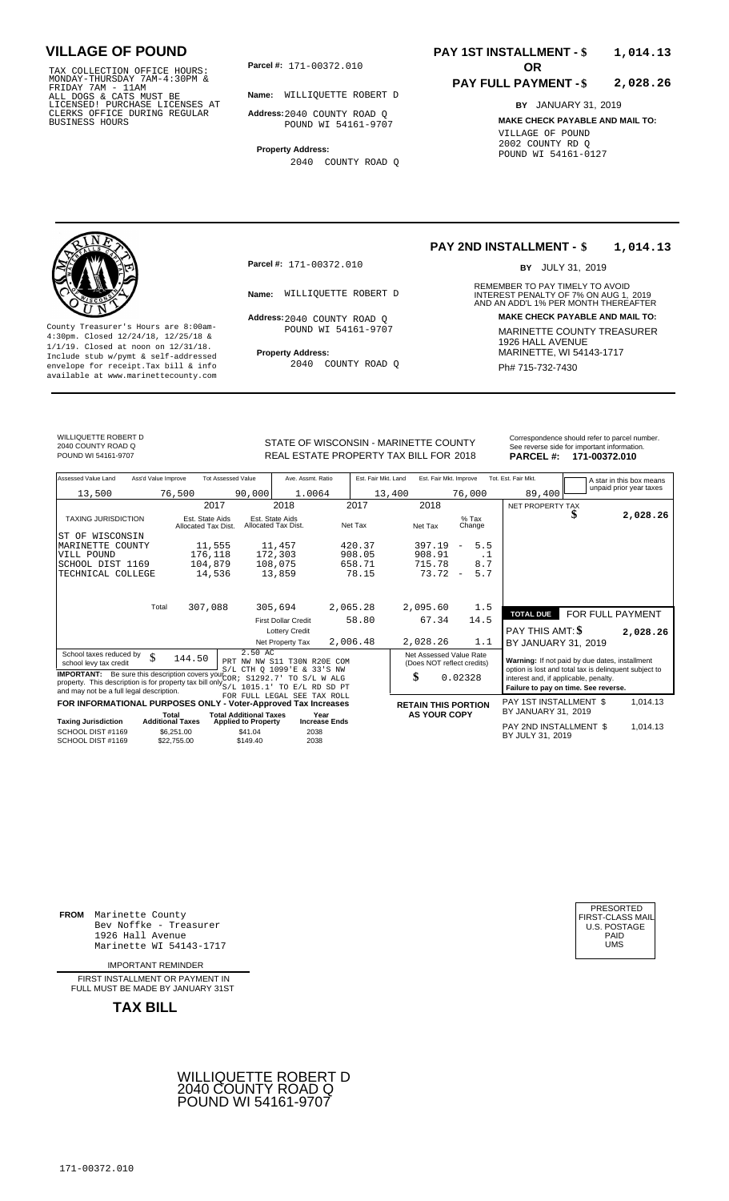TAX COLLECTION OFFICE HOURS:<br>
MONDAY-THURSDAY 7AM-4:30PM &<br>
FRIDAY 7AM - 11AM<br>
ALL DOGS & CATS MUST BE<br>
LICENSED! PURCHASE LICENSES AT<br>
CLERKS OFFICE DURING REGULAR<br>
CLERKS OFFICE DURING REGULAR<br>
BUSINESS HOURS<br>
BUSINESS H

**Parcel #: OR**

**Name:** WILLIQUETTE ROBERT D

**Address:** 2040 COUNTY ROAD Q POUND WI 54161-9707

**Property Address:** 2040 COUNTY ROAD Q

## **PAY 1ST INSTALLMENT - \$ 1,014.13**

## **PAY FULL PAYMENT - \$ 2,028.26**

**BY** JANUARY 31, 2019 **MAKE CHECK PAYABLE AND MAIL TO:** VILLAGE OF POUND 2002 COUNTY RD Q POUND WI 54161-0127

**Property Address:** MARINETTE, WI 54143-1717 Include stub w/pymt & self-addressed envelope for receipt.Tax bill & info Ph# 715-732-7430 available at www.marinettecounty.com

**Parcel #:** 171-00372.010

Address: 2040 COUNTY ROAD Q POUND WI 54161-9707

2040 COUNTY ROAD Q

## **PAY 2ND INSTALLMENT - \$ 1,014.13**

BY JULY 31, 2019

REMEMBER TO PAY TIMELY TO AVOID **Name:** WILLIQUETTE ROBERT D<br>
AND AN ADD'L 1% PER MONTH THEREAFTER **Address: MAKE CHECK PAYABLE AND MAIL TO:** County Treasurer's Hours are 8:00am-<br>
4:30pm. Closed 12/24/18, 12/25/18 & MARINETTE COUNTY TREASURER<br>
1/1/19. Closed at noon on 12/31/18.<br>
Include stub w/pwmt & self-addressed **Property Address:** MARINETTE, WI 54143-1717

WILLIQUETTE ROBERT D 2040 COUNTY ROAD Q

STATE OF WISCONSIN - MARINETTE COUNTY<br>
See reverse side for important information.<br>
REAL ESTATE PROPERTY TAX BILL FOR 2018 PARCEL #: 171-00372.010 POUND WI 54161-9707 **171-00372.010** REAL ESTATE PROPERTY TAX BILL FOR 2018 **PARCEL #: 171-00372.010** 

| Assessed Value Land<br>Ass'd Value Improve                                                                                   | <b>Tot Assessed Value</b>              | Ave. Assmt. Ratio                                  | Est. Fair Mkt. Land | Est. Fair Mkt. Improve                                | Tot. Est. Fair Mkt.<br>A star in this box means                               |
|------------------------------------------------------------------------------------------------------------------------------|----------------------------------------|----------------------------------------------------|---------------------|-------------------------------------------------------|-------------------------------------------------------------------------------|
| 13,500                                                                                                                       | 76,500                                 | 90,000<br>1.0064                                   | 13,400              | 76,000                                                | unpaid prior year taxes<br>89,400                                             |
|                                                                                                                              | 2017                                   | 2018                                               | 2017                | 2018                                                  | <b>NET PROPERTY TAX</b>                                                       |
| TAXING JURISDICTION                                                                                                          | Est. State Aids<br>Allocated Tax Dist. | Est. State Aids<br>Allocated Tax Dist.             | Net Tax             | $%$ Tax<br>Net Tax<br>Change                          | S<br>2,028.26                                                                 |
| ST OF WISCONSIN                                                                                                              |                                        |                                                    |                     |                                                       |                                                                               |
| MARINETTE COUNTY                                                                                                             | 11,555                                 | 11,457                                             | 420.37              | 5.5<br>397.19<br>$\overline{\phantom{m}}$             |                                                                               |
| VILL POUND                                                                                                                   | 176,118                                | 172,303                                            | 908.05              | 908.91<br>. 1                                         |                                                                               |
| SCHOOL DIST 1169                                                                                                             | 104,879                                | 108,075                                            | 658.71              | 8.7<br>715.78                                         |                                                                               |
| TECHNICAL COLLEGE                                                                                                            | 14,536                                 | 13,859                                             | 78.15               | 5.7<br>73.72<br>$\overline{\phantom{a}}$              |                                                                               |
|                                                                                                                              |                                        |                                                    |                     |                                                       |                                                                               |
| Total                                                                                                                        | 307,088                                | 305,694                                            | 2,065.28            | 2,095.60<br>1.5                                       |                                                                               |
|                                                                                                                              |                                        | <b>First Dollar Credit</b>                         | 58.80               | 14.5<br>67.34                                         | FOR FULL PAYMENT<br><b>TOTAL DUE</b>                                          |
|                                                                                                                              |                                        | <b>Lottery Credit</b>                              |                     |                                                       | PAY THIS AMT: \$<br>2,028.26                                                  |
|                                                                                                                              |                                        | Net Property Tax                                   | 2,006.48            | 2,028.26<br>1.1                                       | BY JANUARY 31, 2019                                                           |
| School taxes reduced by<br>\$<br>school levy tax credit                                                                      | 144.50                                 | 2.50 AC<br>PRT NW NW S11 T30N R20E COM             |                     | Net Assessed Value Rate<br>(Does NOT reflect credits) | Warning: If not paid by due dates, installment                                |
| <b>IMPORTANT:</b> Be sure this description covers your COR: S1292.7' TO S/L W ALG                                            |                                        |                                                    |                     | \$<br>0.02328                                         | option is lost and total tax is delinquent subject to                         |
| property. This description is for property tax bill only $\frac{1}{S/L}$ 1015.1'<br>and may not be a full legal description. |                                        | TO E/L RD SD PT                                    |                     |                                                       | interest and, if applicable, penalty.<br>Failure to pay on time. See reverse. |
| FOR INFORMATIONAL PURPOSES ONLY - Voter-Approved Tax Increases                                                               |                                        | FOR FULL LEGAL SEE TAX ROLL                        |                     | <b>RETAIN THIS PORTION</b>                            | 1,014.13<br>PAY 1ST INSTALLMENT \$                                            |
|                                                                                                                              | Total                                  | <b>Total Additional Taxes</b><br>Year              |                     | <b>AS YOUR COPY</b>                                   | BY JANUARY 31, 2019                                                           |
| <b>Taxing Jurisdiction</b>                                                                                                   | <b>Additional Taxes</b>                | <b>Increase Ends</b><br><b>Applied to Property</b> |                     |                                                       | PAY 2ND INSTALLMENT \$<br>1,014.13                                            |
| SCHOOL DIST #1169<br>SCHOOL DIST #1169                                                                                       | \$6,251.00<br>\$22,755.00              | \$41.04<br>2038<br>\$149.40<br>2038                |                     |                                                       | BY JULY 31, 2019                                                              |

**FROM** Marinette County Bev Noffke - Treasurer (U.S. POSTAGE)<br>1926 Hall Avenue (U.S. POSTAGE)<br>Marinette WI 54143-1717 (U.S. POSTAGE) 1926 Hall Avenue PAID Marinette WI 54143-1717 UMS

IMPORTANT REMINDER

FIRST INSTALLMENT OR PAYMENT IN FULL MUST BE MADE BY JANUARY 31ST



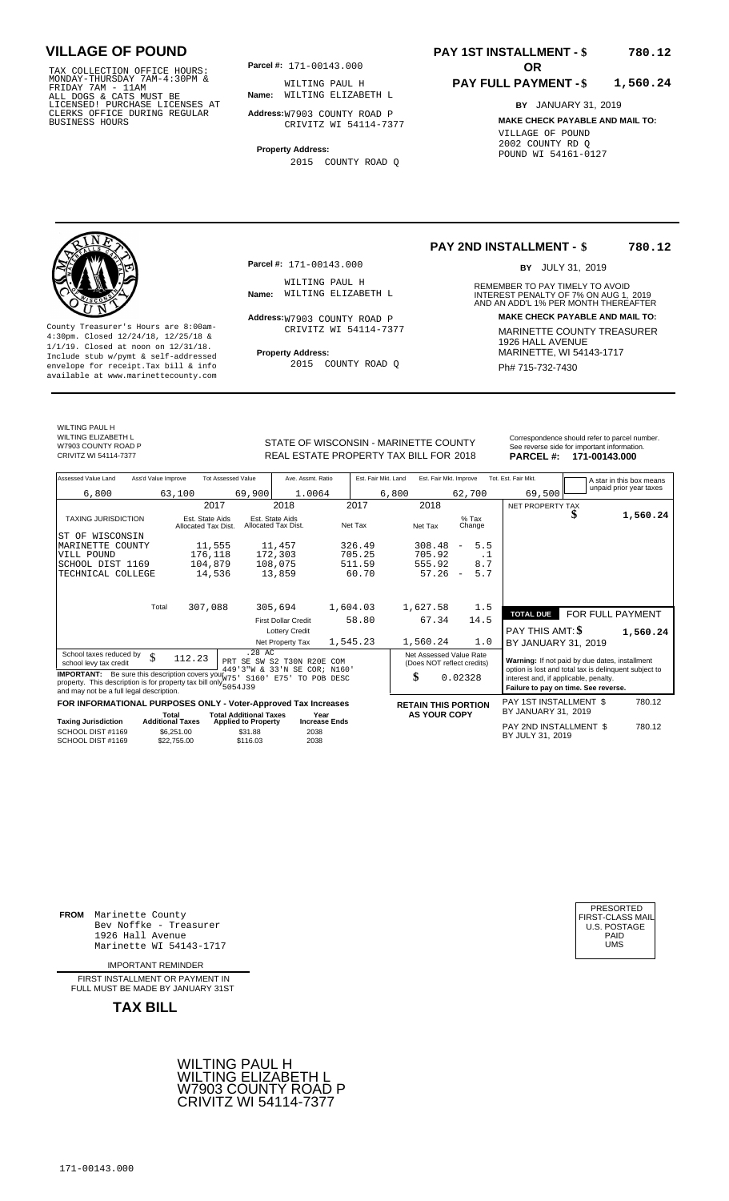TAX COLLECTION OFFICE HOURS: **Parcel#:** 171-00143.000<br>MONDAY-THURSDAY 7AM-4:30PM & WILTING PAUL F<br>FRIDAY 7AM - 11AM<br>ALL DOGS & CATS MUST BE **Name:** WILTING ELIZAE<br>LICENSED! PURCHASE LICENSES AT CLERKS OFFICE DURING REGULAR BUSINESS HOURS

**Parcel #:** 171-00143.000

**Name:** WILTING ELIZABETH L WILTING PAUL H

**Address:** W7903 COUNTY ROAD P CRIVITZ WI 54114-7377

**Property Address:** 2015 COUNTY ROAD Q

## **PAY 1ST INSTALLMENT - \$ 780.12**

## **PAY FULL PAYMENT - \$ 1,560.24**

**BY** JANUARY 31, 2019 **MAKE CHECK PAYABLE AND MAIL TO:** VILLAGE OF POUND 2002 COUNTY RD Q POUND WI 54161-0127



**Property Address:** Mariner Address: 1/1/19. Closed at noon on 12/31/18.<br>Include stub w/pymt & self-addressed envelope for receipt.Tax bill & info  $2015$  COUNTY ROAD Q  $Ph# 715-732-7430$ available at www.marinettecounty.com

**Parcel #:** 171-00143.000

WILTING PAUL H<br>Name: WILTING ELIZABETH L

Address: W7903 COUNTY ROAD P CRIVITZ WI 54114-7377

2015 COUNTY ROAD Q

**PAY 2ND INSTALLMENT - \$ 780.12**

BY JULY 31, 2019

REMEMBER TO PAY TIMELY TO AVOID **Name:** WILTING ELIZABETH L<br>
AND AN ADD'L 1% PER MONTH THEREAFTER **Address: MAKE CHECK PAYABLE AND MAIL TO:** County Treasurer's Hours are 8:00am-<br>
4:30pm. Closed 12/24/18, 12/25/18 & CRIVITZ WI 54114-7377 MARINETTE COUNTY TREASURER<br>
1/1/19. Closed at noon on 12/31/18.<br>
Include stub w/pwmt & self-addressed **Property Address:** MARI

WILTING PAUL H WILTING FRUETH L

W7903 COUNTY ROAD P<br>CRIVITZ WI 54114-7377

STATE OF WISCONSIN - MARINETTE COUNTY<br>REAL ESTATE PROPERTY TAX BILL FOR 2018 PARCEL #: 171-00143.000 REAL ESTATE PROPERTY TAX BILL FOR **PARCEL #:** CRIVITZ WI 54114-7377 2018 **171-00143.000**

| Assessed Value Land        | Ass'd Value Improve | <b>Tot Assessed Value</b>              |                                        | Ave. Assmt. Ratio | Est. Fair Mkt. Land |       | Est. Fair Mkt. Improve |                   |                | Tot. Est. Fair Mkt. |        | A star in this box means |  |
|----------------------------|---------------------|----------------------------------------|----------------------------------------|-------------------|---------------------|-------|------------------------|-------------------|----------------|---------------------|--------|--------------------------|--|
| 6,800                      | 63,100              |                                        | 69,900                                 | 1.0064            |                     | 6,800 |                        | 62,700            |                |                     | 69,500 | unpaid prior year taxes  |  |
|                            |                     | 2017                                   |                                        | 2018              | 2017                |       | 2018                   |                   |                | NET PROPERTY TAX    |        |                          |  |
| <b>TAXING JURISDICTION</b> |                     | Est. State Aids<br>Allocated Tax Dist. | Est. State Aids<br>Allocated Tax Dist. |                   | Net Tax             |       | Net Tax                | $%$ Tax<br>Change |                |                     |        | 1,560.24                 |  |
| ST OF WISCONSIN            |                     |                                        |                                        |                   |                     |       |                        |                   |                |                     |        |                          |  |
| MARINETTE COUNTY           |                     | 11,555                                 |                                        | 11,457            | 326.49              |       | 308.48                 | Ξ.                | 5.5            |                     |        |                          |  |
| VILL POUND                 |                     | 176,118                                |                                        | 172,303           | 705.25              |       | 705.92                 |                   | . . L          |                     |        |                          |  |
| CAUONI DICT 1160           |                     | 104.070                                |                                        | <b>100 075</b>    | 511 50              |       | EEE 00                 |                   | 0 <sub>7</sub> |                     |        |                          |  |

|                                                                                                              | 2017                                   | 2018                                    | 2017        | 2018                                                  |                                 | NET PROPERTY TAX                                                              |                  |
|--------------------------------------------------------------------------------------------------------------|----------------------------------------|-----------------------------------------|-------------|-------------------------------------------------------|---------------------------------|-------------------------------------------------------------------------------|------------------|
| <b>TAXING JURISDICTION</b>                                                                                   | Est. State Aids<br>Allocated Tax Dist. | Est. State Aids<br>Allocated Tax Dist.  | Net Tax     | Net Tax                                               | $%$ Tax<br>Change               |                                                                               | 1,560.24         |
| WISCONSIN<br>ST OF                                                                                           |                                        |                                         |             |                                                       |                                 |                                                                               |                  |
| MARINETTE COUNTY                                                                                             | 11,555                                 | 11,457                                  | 326.49      | 308.48                                                | 5.5<br>$\overline{\phantom{a}}$ |                                                                               |                  |
| VILL POUND                                                                                                   | 176,118                                | 172,303                                 | 705.25      | 705.92                                                | . .                             |                                                                               |                  |
| SCHOOL DIST 1169                                                                                             | 104,879                                | 108,075                                 | 511.59      | 555.92                                                | 8.7                             |                                                                               |                  |
| TECHNICAL COLLEGE                                                                                            | 14,536                                 | 13,859                                  | 60.70       | 57.26                                                 | 5.7<br>$\overline{\phantom{a}}$ |                                                                               |                  |
|                                                                                                              |                                        |                                         |             |                                                       |                                 |                                                                               |                  |
| Total                                                                                                        | 307,088                                | 305,694                                 | 1,604.03    | 1,627.58                                              | 1.5                             |                                                                               |                  |
|                                                                                                              |                                        | <b>First Dollar Credit</b>              | 58.80       | 67.34                                                 | 14.5                            | <b>TOTAL DUE</b>                                                              | FOR FULL PAYMENT |
|                                                                                                              |                                        | <b>Lottery Credit</b>                   |             |                                                       |                                 | PAY THIS AMT: \$                                                              | 1,560.24         |
|                                                                                                              |                                        | Net Property Tax                        | 1,545.23    | 1,560.24                                              | 1.0                             | BY JANUARY 31, 2019                                                           |                  |
| School taxes reduced by<br>¢<br>۰D<br>school levy tax credit                                                 | 112.23                                 | .28 AC<br>PRT SE SW<br>S2 T30N R20E COM |             | Net Assessed Value Rate<br>(Does NOT reflect credits) |                                 | Warning: If not paid by due dates, installment                                |                  |
| <b>IMPORTANT:</b> Be sure this description covers your $\frac{1}{W75}$                                       |                                        | 449'3"W & 33'N SE COR; N160'            |             |                                                       |                                 | option is lost and total tax is delinquent subject to                         |                  |
| property. This description is for property tax bill only 5054J39<br>and may not be a full legal description. |                                        | S160'<br>E75'                           | TO POB DESC | \$                                                    | 0.02328                         | interest and, if applicable, penalty.<br>Failure to pay on time. See reverse. |                  |
|                                                                                                              |                                        |                                         |             |                                                       |                                 | PAY 1ST INSTALLMENT \$                                                        | 780.12           |
| FOR INFORMATIONAL PURPOSES ONLY - Voter-Approved Tax Increases<br>_                                          | Total                                  | <b>Total Additional Taxes</b>           | Year        | <b>RETAIN THIS PORTION</b><br><b>AS YOUR COPY</b>     |                                 | BY JANUARY 31, 2019                                                           |                  |

Taxing Jurisdiction Additional Taxes Property Increase Ends<br>
PAY 2ND INSTALLMENT \$ 780.12 SCHOOL DIST #1169 SCHOOL DIST #1169 \$6,251.00  $$22,755.00$  \$31.88  $$116.03$ 2038

BY JULY 31, <sup>2038</sup> <sup>2019</sup>

**FROM** Marinette County Bev Noffke - Treasurer (U.S. POSTAGE)<br>1926 Hall Avenue (U.S. POSTAGE)<br>Marinette WI 54143-1717 (UMS 1926 Hall Avenue Marinette WI 54143-1717

IMPORTANT REMINDER

FIRST INSTALL MENT OR PAYMENT IN FULL MUST BE MADE BY JANUARY 31ST



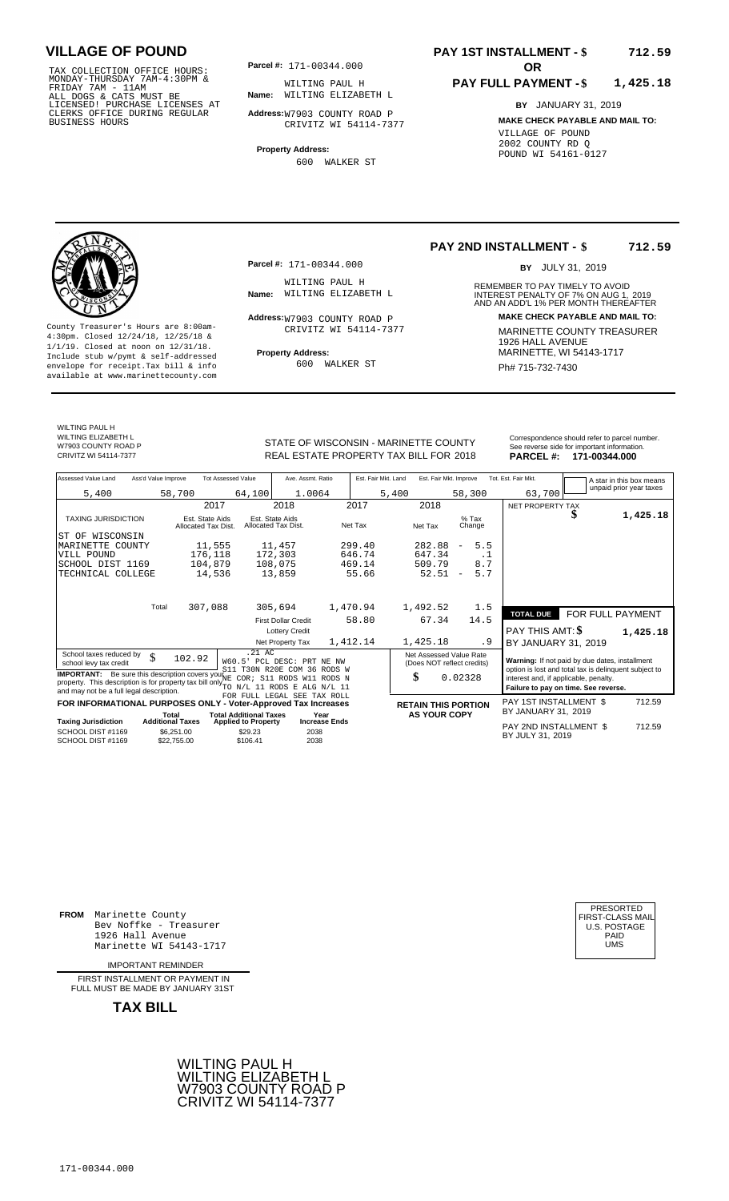TAX COLLECTION OFFICE HOURS:<br>
MONDAY-THURSDAY 7AM-4:30PM & WILTING PAUL F<br>
FRIDAY 7AM - 11AM<br>
ALL DOGS & CATS MUST BE **Name**: WILTING ELIZAE<br>
LICENSED! PURCHASE LICENSES AT<br>
CLERKS OFFICE DURING REGULAR **Address:**W7903 COU

**Parcel #:** 171-00344.000

**Name:** WILTING ELIZABETH L WILTING PAUL H

**Address:** W7903 COUNTY ROAD P CRIVITZ WI 54114-7377

**Property Address:** 600 WALKER ST

## **PAY 1ST INSTALLMENT - \$ 712.59**

## **PAY FULL PAYMENT - \$ 1,425.18**

**BY** JANUARY 31, 2019 **MAKE CHECK PAYABLE AND MAIL TO:** VILLAGE OF POUND 2002 COUNTY RD Q POUND WI 54161-0127

**Property Address:** MARINETTE, WI 54143-1717 Include stub w/pymt & self-addressed envelope for receipt.Tax bill & info Ph# 715-732-7430 available at www.marinettecounty.com

**Parcel #:** 171-00344.000

WILTING PAUL H<br>Name: WILTING ELIZABETH L

Address: W7903 COUNTY ROAD P CRIVITZ WI 54114-7377

600 WALKER ST

## **PAY 2ND INSTALLMENT - \$ 712.59**

BY JULY 31, 2019

REMEMBER TO PAY TIMELY TO AVOID **Name:** WILTING ELIZABETH L<br>
AND AN ADD'L 1% PER MONTH THEREAFTER **Address: MAKE CHECK PAYABLE AND MAIL TO:** County Treasurer's Hours are 8:00am-<br>
4:30pm. Closed 12/24/18, 12/25/18 & CRIVITZ WI 54114-7377 MARINETTE COUNTY TREASURER<br>
1/1/19. Closed at noon on 12/31/18.<br>
Include stub w/pwmt & self-addressed **Property Address:** MARI

WILTING PAUL H WILTING FRUETH L W7903 COUNTY ROAD P<br>CRIVITZ WI 54114-7377

STATE OF WISCONSIN - MARINETTE COUNTY<br>
See reverse side for important information.<br>
REAL ESTATE PROPERTY TAX BILL FOR 2018 PARCEL #: 171-00344.000 REAL ESTATE PROPERTY TAX BILL FOR **PARCEL #:** CRIVITZ WI 54114-7377 2018 **171-00344.000**

| Assessed Value Land                                                                                                                                                                                                                                                | Ass'd Value Improve       |                                        | <b>Tot Assessed Value</b>     | Ave. Assmt. Ratio                                         |                      | Est. Fair Mkt. Land | Est. Fair Mkt. Improve                                |                          |      | Tot. Est. Fair Mkt.                                                                                     |                  | A star in this box means |
|--------------------------------------------------------------------------------------------------------------------------------------------------------------------------------------------------------------------------------------------------------------------|---------------------------|----------------------------------------|-------------------------------|-----------------------------------------------------------|----------------------|---------------------|-------------------------------------------------------|--------------------------|------|---------------------------------------------------------------------------------------------------------|------------------|--------------------------|
| 5,400                                                                                                                                                                                                                                                              |                           | 58,700                                 | 64,100                        | 1.0064                                                    |                      | 5,400               |                                                       | 58,300                   |      | 63,700                                                                                                  |                  | unpaid prior year taxes  |
|                                                                                                                                                                                                                                                                    |                           | 2017                                   |                               | 2018                                                      | 2017                 |                     | 2018                                                  |                          |      | NET PROPERTY TAX                                                                                        |                  |                          |
| <b>TAXING JURISDICTION</b>                                                                                                                                                                                                                                         |                           | Est. State Aids<br>Allocated Tax Dist. |                               | Est. State Aids<br>Allocated Tax Dist.                    | Net Tax              |                     | Net Tax                                               | $%$ Tax<br>Change        |      |                                                                                                         | J                | 1,425.18                 |
| WISCONSIN<br>ST OF                                                                                                                                                                                                                                                 |                           |                                        |                               |                                                           |                      |                     |                                                       |                          |      |                                                                                                         |                  |                          |
| MARINETTE COUNTY                                                                                                                                                                                                                                                   |                           | 11,555                                 |                               | 11,457                                                    | 299.40               |                     | 282.88                                                | $\qquad \qquad -$        | 5.5  |                                                                                                         |                  |                          |
| VILL POUND                                                                                                                                                                                                                                                         |                           | 176,118                                |                               | 172,303                                                   | 646.74               |                     | 647.34                                                |                          | . 1  |                                                                                                         |                  |                          |
| SCHOOL DIST 1169                                                                                                                                                                                                                                                   |                           | 104,879                                |                               | 108,075                                                   | 469.14               |                     | 509.79                                                |                          | 8.7  |                                                                                                         |                  |                          |
| TECHNICAL COLLEGE                                                                                                                                                                                                                                                  |                           | 14,536                                 |                               | 13,859                                                    | 55.66                |                     | 52.51                                                 | $\overline{\phantom{m}}$ | 5.7  |                                                                                                         |                  |                          |
|                                                                                                                                                                                                                                                                    | Total                     | 307,088                                |                               | 305,694                                                   | 1,470.94             |                     | 1,492.52                                              |                          | 1.5  |                                                                                                         |                  |                          |
|                                                                                                                                                                                                                                                                    |                           |                                        |                               |                                                           |                      |                     |                                                       |                          |      | <b>TOTAL DUE</b>                                                                                        | FOR FULL PAYMENT |                          |
|                                                                                                                                                                                                                                                                    |                           |                                        |                               | <b>First Dollar Credit</b>                                | 58.80                |                     | 67.34                                                 |                          | 14.5 |                                                                                                         |                  |                          |
|                                                                                                                                                                                                                                                                    |                           |                                        |                               | <b>Lottery Credit</b>                                     |                      |                     |                                                       |                          |      | PAY THIS AMT: \$                                                                                        |                  | 1,425.18                 |
|                                                                                                                                                                                                                                                                    |                           |                                        |                               | Net Property Tax                                          | 1,412.14             |                     | 1,425.18                                              |                          | . 9  | BY JANUARY 31, 2019                                                                                     |                  |                          |
| School taxes reduced by<br>school levy tax credit                                                                                                                                                                                                                  | \$                        | 102.92                                 | $.21 \text{ AC}$              | W60.5' PCL DESC: PRT NE NW<br>S11 T30N R20E COM 36 RODS W |                      |                     | Net Assessed Value Rate<br>(Does NOT reflect credits) |                          |      | Warning: If not paid by due dates, installment<br>option is lost and total tax is delinquent subject to |                  |                          |
| <b>IMPORTANT:</b> Be sure this description covers your $\overline{NE}$<br>property. This description is for property tax bill only $_{\text{TO}~\text{N/L}}^{12}$ and $_{\text{FOD}}^{12}$ and $_{\text{N/L}}^{11}$ 11<br>and may not be a full legal description. |                           |                                        |                               | COR; S11 RODS W11 RODS N                                  |                      |                     | \$                                                    | 0.02328                  |      | interest and, if applicable, penalty.<br>Failure to pay on time. See reverse.                           |                  |                          |
| FOR INFORMATIONAL PURPOSES ONLY - Voter-Approved Tax Increases                                                                                                                                                                                                     |                           |                                        |                               | FOR FULL LEGAL SEE TAX ROLL                               |                      |                     |                                                       |                          |      | PAY 1ST INSTALLMENT \$                                                                                  |                  | 712.59                   |
|                                                                                                                                                                                                                                                                    | Total                     |                                        | <b>Total Additional Taxes</b> |                                                           | Year                 |                     | <b>RETAIN THIS PORTION</b><br><b>AS YOUR COPY</b>     |                          |      | BY JANUARY 31, 2019                                                                                     |                  |                          |
| <b>Taxing Jurisdiction</b>                                                                                                                                                                                                                                         | <b>Additional Taxes</b>   |                                        | <b>Applied to Property</b>    |                                                           | <b>Increase Ends</b> |                     |                                                       |                          |      | PAY 2ND INSTALLMENT \$                                                                                  |                  | 712.59                   |
| SCHOOL DIST #1169<br>SCHOOL DIST #1169                                                                                                                                                                                                                             | \$6.251.00<br>\$22,755.00 |                                        | \$29.23<br>\$106.41           | 2038<br>2038                                              |                      |                     |                                                       |                          |      | BY JULY 31, 2019                                                                                        |                  |                          |
|                                                                                                                                                                                                                                                                    |                           |                                        |                               |                                                           |                      |                     |                                                       |                          |      |                                                                                                         |                  |                          |

**FROM** Marinette County Bev Noffke - Treasurer (U.S. POSTAGE)<br>1926 Hall Avenue (U.S. POSTAGE)<br>Marinette WI 54143-1717 (U.S. POSTAGE) 1926 Hall Avenue Marinette WI 54143-1717

IMPORTANT REMINDER

FIRST INSTALL MENT OR PAYMENT IN FULL MUST BE MADE BY JANUARY 31ST



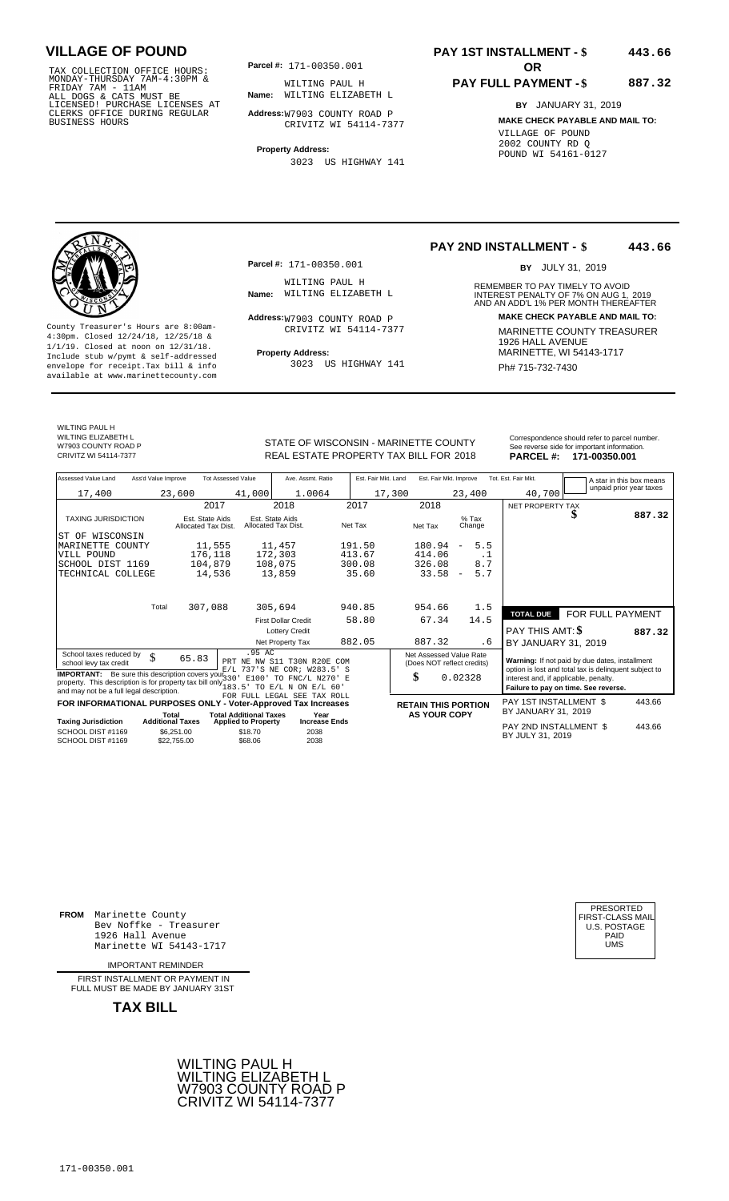TAX COLLECTION OFFICE HOURS:<br>
MONDAY-THURSDAY 7AM-4:30PM & WILTING PAUL F<br>
FRIDAY 7AM - 11AM<br>
ALL DOGS & CATS MUST BE **Name**: WILTING ELIZAE<br>
LICENSED! PURCHASE LICENSES AT<br>
CLERKS OFFICE DURING REGULAR **Address:**W7903 COU

**Parcel #: OR**

**Name:** WILTING ELIZABETH L WILTING PAUL H

**Address:** W7903 COUNTY ROAD P CRIVITZ WI 54114-7377

**Property Address:** 3023 US HIGHWAY 141

## **PAY 1ST INSTALLMENT - \$ 443.66**

## **PAY FULL PAYMENT - \$ 887.32**

**BY** JANUARY 31, 2019 **MAKE CHECK PAYABLE AND MAIL TO:** VILLAGE OF POUND 2002 COUNTY RD Q POUND WI 54161-0127

**Property Address:** MARINETTE, WI 54143-1717 Include stub w/pymt & self-addressed envelope for receipt.Tax bill & info Film Results of Bulla and August 141 Film Ph# 715-732-7430 available at www.marinettecounty.com

**Parcel #:** 171-00350.001

WILTING PAUL H<br>Name: WILTING ELIZABETH L

Address: W7903 COUNTY ROAD P CRIVITZ WI 54114-7377

3023 US HIGHWAY 141

**PAY 2ND INSTALLMENT - \$ 443.66**

BY JULY 31, 2019

REMEMBER TO PAY TIMELY TO AVOID **Name:** WILTING ELIZABETH L<br>
AND AN ADD'L 1% PER MONTH THEREAFTER **Address: MAKE CHECK PAYABLE AND MAIL TO:** County Treasurer's Hours are 8:00am-<br>
4:30pm. Closed 12/24/18, 12/25/18 & CRIVITZ WI 54114-7377<br>
1/1/19. Closed at noon on 12/31/18.<br>
Include stub w/pwmt. & self-addressed<br>
Property Address: MARINETTE, WI 54143-1717

WILTING PAUL H WILTING FREE THE

W7903 COUNTY ROAD P<br>CRIVITZ WI 54114-7377

STATE OF WISCONSIN - MARINETTE COUNTY REAL ESTATE PROPERTY TAX BILL FOR **PARCEL #:** CRIVITZ WI 54114-7377 2018 **171-00350.001**

| Correspondence should refer to parcel number.<br>See reverse side for important information. |
|----------------------------------------------------------------------------------------------|
| PARCEL #: 171-00350.001                                                                      |

| Assessed Value Land                                                                      | Ass'd Value Improve       |                                        | <b>Tot Assessed Value</b>     | Ave. Assmt. Ratio                                   | Est. Fair Mkt. Land |                            | Est. Fair Mkt. Improve |                          |      | Tot. Est. Fair Mkt.                                                                            |   | A star in this box means |
|------------------------------------------------------------------------------------------|---------------------------|----------------------------------------|-------------------------------|-----------------------------------------------------|---------------------|----------------------------|------------------------|--------------------------|------|------------------------------------------------------------------------------------------------|---|--------------------------|
| 17,400                                                                                   | 23,600                    |                                        | 41,000                        | 1.0064                                              | 17,300              |                            |                        | 23,400                   |      | 40,700                                                                                         |   | unpaid prior year taxes  |
|                                                                                          |                           | 2017                                   |                               | 2018                                                | 2017                | 2018                       |                        |                          |      | <b>NET PROPERTY TAX</b>                                                                        |   |                          |
| <b>TAXING JURISDICTION</b>                                                               |                           | Est. State Aids<br>Allocated Tax Dist. |                               | Est. State Aids<br>Allocated Tax Dist.              | Net Tax             | Net Tax                    |                        | $%$ Tax<br>Change        |      |                                                                                                | æ | 887.32                   |
| ST OF WISCONSIN                                                                          |                           |                                        |                               |                                                     |                     |                            |                        |                          |      |                                                                                                |   |                          |
| MARINETTE COUNTY                                                                         |                           | 11,555                                 |                               | 11,457                                              | 191.50              | 180.94                     |                        | $\overline{\phantom{a}}$ | 5.5  |                                                                                                |   |                          |
| VILL POUND                                                                               |                           | 176,118                                |                               | 172,303                                             | 413.67              | 414.06                     |                        |                          | . 1  |                                                                                                |   |                          |
| SCHOOL DIST 1169                                                                         |                           | 104,879                                |                               | 108,075                                             | 300.08              | 326.08                     |                        |                          | 8.7  |                                                                                                |   |                          |
| TECHNICAL COLLEGE                                                                        |                           | 14,536                                 |                               | 13,859                                              | 35.60               | 33.58                      |                        | $\overline{\phantom{a}}$ | 5.7  |                                                                                                |   |                          |
|                                                                                          |                           |                                        |                               |                                                     |                     |                            |                        |                          |      |                                                                                                |   |                          |
|                                                                                          |                           |                                        |                               |                                                     |                     |                            |                        |                          |      |                                                                                                |   |                          |
|                                                                                          | Total                     | 307,088                                |                               | 305,694                                             | 940.85              | 954.66                     |                        |                          | 1.5  |                                                                                                |   |                          |
|                                                                                          |                           |                                        |                               | <b>First Dollar Credit</b>                          | 58.80               | 67.34                      |                        |                          | 14.5 | <b>TOTAL DUE</b>                                                                               |   | FOR FULL PAYMENT         |
|                                                                                          |                           |                                        |                               | <b>Lottery Credit</b>                               |                     |                            |                        |                          |      | PAY THIS AMT: <b>\$</b>                                                                        |   | 887.32                   |
|                                                                                          |                           |                                        |                               | Net Property Tax                                    | 882.05              | 887.32                     |                        |                          | . 6  | BY JANUARY 31, 2019                                                                            |   |                          |
| School taxes reduced by                                                                  | \$                        |                                        | .95 AC                        |                                                     |                     | Net Assessed Value Rate    |                        |                          |      |                                                                                                |   |                          |
| school levy tax credit                                                                   |                           | 65.83                                  |                               | PRT NE NW S11 T30N R20E COM                         |                     | (Does NOT reflect credits) |                        |                          |      | Warning: If not paid by due dates, installment                                                 |   |                          |
| <b>IMPORTANT:</b> Be sure this description covers your $330$                             |                           |                                        |                               | E/L 737'S NE COR; W283.5'<br>E100' TO FNC/L N270' E |                     | \$                         |                        | 0.02328                  |      | option is lost and total tax is delinquent subject to<br>interest and, if applicable, penalty. |   |                          |
| property. This description is for property tax bill only $\frac{3}{183}$ , $\frac{3}{5}$ |                           |                                        |                               | TO E/L N ON E/L 60                                  |                     |                            |                        |                          |      | Failure to pay on time. See reverse.                                                           |   |                          |
| and may not be a full legal description.                                                 |                           |                                        |                               | FOR FULL LEGAL SEE TAX ROLL                         |                     |                            |                        |                          |      |                                                                                                |   |                          |
| FOR INFORMATIONAL PURPOSES ONLY - Voter-Approved Tax Increases                           |                           |                                        |                               |                                                     |                     | <b>RETAIN THIS PORTION</b> |                        |                          |      | PAY 1ST INSTALLMENT \$                                                                         |   | 443.66                   |
|                                                                                          | Total                     |                                        | <b>Total Additional Taxes</b> | Year                                                |                     | <b>AS YOUR COPY</b>        |                        |                          |      | BY JANUARY 31, 2019                                                                            |   |                          |
| <b>Taxing Jurisdiction</b>                                                               | <b>Additional Taxes</b>   |                                        | <b>Applied to Property</b>    | <b>Increase Ends</b>                                |                     |                            |                        |                          |      | PAY 2ND INSTALLMENT \$                                                                         |   | 443.66                   |
| SCHOOL DIST #1169<br>SCHOOL DIST #1169                                                   | \$6.251.00<br>\$22.755.00 |                                        | \$18.70<br>\$68.06            | 2038<br>2038                                        |                     |                            |                        |                          |      | BY JULY 31, 2019                                                                               |   |                          |
|                                                                                          |                           |                                        |                               |                                                     |                     |                            |                        |                          |      |                                                                                                |   |                          |

**FROM** Marinette County Bev Noffke - Treasurer (U.S. POSTAGE)<br>1926 Hall Avenue (U.S. POSTAGE)<br>Marinette WI 54143-1717 (U.S. POSTAGE) 1926 Hall Avenue Marinette WI 54143-1717

IMPORTANT REMINDER

FIRST INSTALLMENT OR PAYMENT IN FULL MUST BE MADE BY JANUARY 31ST



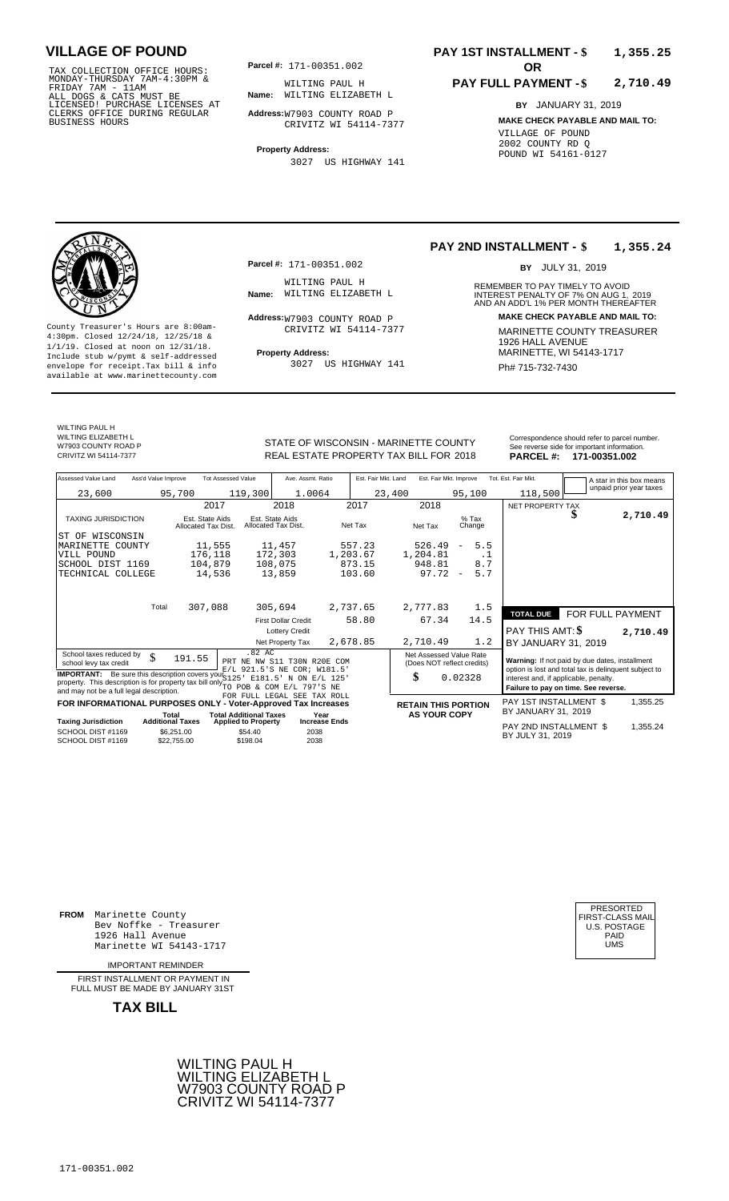TAX COLLECTION OFFICE HOURS:<br>
MONDAY-THURSDAY 7AM-4:30PM & WILTING PAUL F<br>
FRIDAY 7AM - 11AM<br>
ALL DOGS & CATS MUST BE **Name**: WILTING ELIZAE<br>
LICENSED! PURCHASE LICENSES AT<br>
CLERKS OFFICE DURING REGULAR **Address:**W7903 COU

**Parcel #:** 171-00351.002 **OR** 

**Name:** WILTING ELIZABETH L WILTING PAUL H

**Address:** W7903 COUNTY ROAD P CRIVITZ WI 54114-7377

**Property Address:** 3027 US HIGHWAY 141

## **PAY 1ST INSTALLMENT - \$ 1,355.25**

## **PAY FULL PAYMENT - \$ 2,710.49**

**BY** JANUARY 31, 2019 **MAKE CHECK PAYABLE AND MAIL TO:** VILLAGE OF POUND 2002 COUNTY RD Q POUND WI 54161-0127



**Property Address:** MARINETTE, WI 54143-1717 Include stub w/pymt & self-addressed envelope for receipt.Tax bill & info Film Research Muslim Book and Muslim Ph# **715-732-7430** Ph# **715-732-7430** available at www.marinettecounty.com

**Parcel #:** 171-00351.002

WILTING PAUL H<br>Name: WILTING ELIZABETH L

Address: W7903 COUNTY ROAD P CRIVITZ WI 54114-7377

3027 US HIGHWAY 141

## **PAY 2ND INSTALLMENT - \$ 1,355.24**

BY JULY 31, 2019

REMEMBER TO PAY TIMELY TO AVOID **Name:** WILTING ELIZABETH L<br>
AND AN ADD'L 1% PER MONTH THEREAFTER **Address: MAKE CHECK PAYABLE AND MAIL TO:** County Treasurer's Hours are 8:00am-<br>
4:30pm. Closed 12/24/18, 12/25/18 & CRIVITZ WI 54114-7377 MARINETTE COUNTY TREASURER<br>
1/1/19. Closed at noon on 12/31/18.<br>
Include stub w/pwmt & self-addressed **Property Address:** MARI

WILTING PAUL H WILTING FREE THE W7903 COUNTY ROAD P<br>CRIVITZ WI 54114-7377

STATE OF WISCONSIN - MARINETTE COUNTY<br>
See reverse side for important information.<br>
REAL ESTATE PROPERTY TAX BILL FOR 2018 PARCEL #: 171-00351.002 REAL ESTATE PROPERTY TAX BILL FOR **PARCEL #:** CRIVITZ WI 54114-7377 2018 **171-00351.002**

| Assessed Value Land<br>Ass'd Value Improve                                                                                                                                                                |                                                      | <b>Tot Assessed Value</b>                         | Ave. Assmt. Ratio                                          |          | Est. Fair Mkt. Land | Est. Fair Mkt. Improve                                |                                 | Tot. Est. Fair Mkt.                                                                                     |                  | A star in this box means |
|-----------------------------------------------------------------------------------------------------------------------------------------------------------------------------------------------------------|------------------------------------------------------|---------------------------------------------------|------------------------------------------------------------|----------|---------------------|-------------------------------------------------------|---------------------------------|---------------------------------------------------------------------------------------------------------|------------------|--------------------------|
| 23,600                                                                                                                                                                                                    | 95,700                                               | 119,300                                           | 1.0064                                                     |          | 23,400              |                                                       | 95,100                          | 118,500                                                                                                 |                  | unpaid prior year taxes  |
|                                                                                                                                                                                                           | 2017                                                 |                                                   | 2018                                                       | 2017     |                     | 2018                                                  |                                 | <b>NET PROPERTY TAX</b>                                                                                 |                  |                          |
| <b>TAXING JURISDICTION</b>                                                                                                                                                                                | Est. State Aids<br>Allocated Tax Dist.               |                                                   | Est. State Aids<br>Allocated Tax Dist.                     | Net Tax  |                     | Net Tax                                               | $%$ Tax<br>Change               |                                                                                                         | J                | 2,710.49                 |
| ST OF WISCONSIN                                                                                                                                                                                           |                                                      |                                                   |                                                            |          |                     |                                                       |                                 |                                                                                                         |                  |                          |
| MARINETTE COUNTY                                                                                                                                                                                          | 11,555                                               |                                                   | 11,457                                                     | 557.23   |                     | 526.49                                                | 5.5<br>$\overline{\phantom{m}}$ |                                                                                                         |                  |                          |
| VILL POUND                                                                                                                                                                                                | 176,118                                              |                                                   | 172,303                                                    | 1,203.67 |                     | 1,204.81                                              | . 1                             |                                                                                                         |                  |                          |
| SCHOOL DIST 1169                                                                                                                                                                                          | 104,879                                              |                                                   | 108,075                                                    | 873.15   |                     | 948.81                                                | 8.7                             |                                                                                                         |                  |                          |
| TECHNICAL COLLEGE                                                                                                                                                                                         | 14,536                                               |                                                   | 13,859                                                     | 103.60   |                     | 97.72                                                 | 5.7<br>$\overline{\phantom{a}}$ |                                                                                                         |                  |                          |
| Total                                                                                                                                                                                                     |                                                      |                                                   |                                                            |          |                     |                                                       |                                 |                                                                                                         |                  |                          |
|                                                                                                                                                                                                           | 307,088                                              |                                                   | 305,694                                                    | 2,737.65 |                     | 2,777.83                                              | 1.5                             | <b>TOTAL DUE</b>                                                                                        | FOR FULL PAYMENT |                          |
|                                                                                                                                                                                                           |                                                      |                                                   | <b>First Dollar Credit</b>                                 |          | 58.80               | 67.34                                                 | 14.5                            |                                                                                                         |                  |                          |
|                                                                                                                                                                                                           |                                                      |                                                   | <b>Lottery Credit</b>                                      |          |                     |                                                       |                                 | PAY THIS AMT: \$                                                                                        |                  | 2,710.49                 |
|                                                                                                                                                                                                           |                                                      |                                                   | Net Property Tax                                           | 2,678.85 |                     | 2,710.49                                              | 1.2                             | BY JANUARY 31, 2019                                                                                     |                  |                          |
| School taxes reduced by<br>\$<br>school levy tax credit                                                                                                                                                   | 191.55                                               | .82 AC                                            | PRT NE NW S11 T30N R20E COM<br>E/L 921.5'S NE COR; W181.5' |          |                     | Net Assessed Value Rate<br>(Does NOT reflect credits) |                                 | Warning: If not paid by due dates, installment<br>option is lost and total tax is delinquent subject to |                  |                          |
| <b>IMPORTANT:</b> Be sure this description covers your S125<br>property. This description is for property tax bill only $\frac{1}{10}$ POB & COM E/L 797'S NE<br>and may not be a full legal description. |                                                      | E181.5'                                           | N ON E/L 125'                                              |          |                     | \$                                                    | 0.02328                         | interest and, if applicable, penalty.<br>Failure to pay on time. See reverse.                           |                  |                          |
| FOR INFORMATIONAL PURPOSES ONLY - Voter-Approved Tax Increases                                                                                                                                            |                                                      |                                                   | FOR FULL LEGAL SEE TAX ROLL                                |          |                     | <b>RETAIN THIS PORTION</b>                            |                                 | PAY 1ST INSTALLMENT \$                                                                                  |                  | 1,355.25                 |
|                                                                                                                                                                                                           | Total                                                | <b>Total Additional Taxes</b>                     | Year                                                       |          |                     | <b>AS YOUR COPY</b>                                   |                                 | BY JANUARY 31, 2019                                                                                     |                  |                          |
| <b>Taxing Jurisdiction</b><br>SCHOOL DIST #1169<br>SCHOOL DIST #1169                                                                                                                                      | <b>Additional Taxes</b><br>\$6.251.00<br>\$22,755,00 | <b>Applied to Property</b><br>\$54.40<br>\$198.04 | <b>Increase Ends</b><br>2038<br>2038                       |          |                     |                                                       |                                 | PAY 2ND INSTALLMENT \$<br>BY JULY 31, 2019                                                              |                  | 1,355.24                 |

**FROM** Marinette County Bev Noffke - Treasurer (U.S. POSTAGE)<br>1926 Hall Avenue (U.S. POSTAGE)<br>Marinette WI 54143-1717 (U.S. POSTAGE) 1926 Hall Avenue Marinette WI 54143-1717

IMPORTANT REMINDER

FIRST INSTALL MENT OR PAYMENT IN FULL MUST BE MADE BY JANUARY 31ST



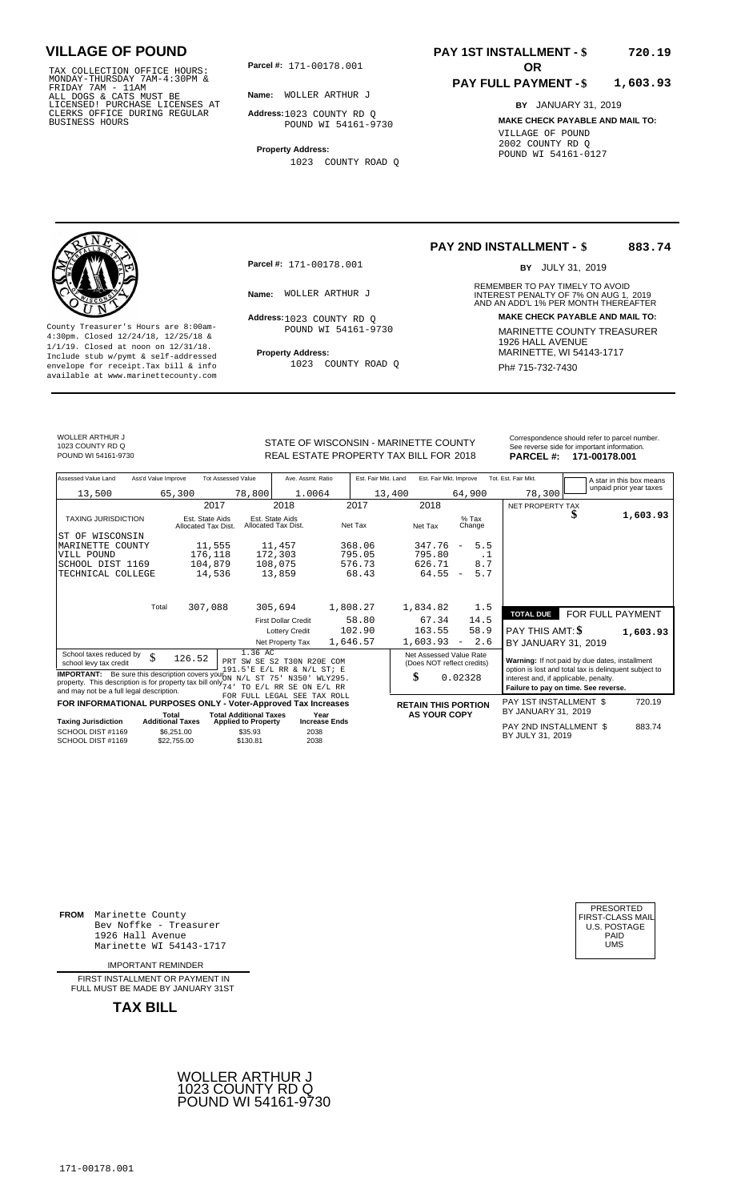TAX COLLECTION OFFICE HOURS:<br>
MONDAY-THURSDAY 7AM-4:30PM &<br>
FRIDAY 7AM - 11AM<br>
ALL DOGS & CATS MUST BE<br>
LICENSED! PURCHASE LICENSES AT<br>
CLERKS OFFICE DURING REGULAR<br>
CLERKS OFFICE DURING REGULAR<br>
BUSINESS HOURS<br>
BUSINESS H

**Parcel #: OR**

**Name:** WOLLER ARTHUR J

**Address:** 1023 COUNTY RD Q POUND WI 54161-9730

**Property Address:** 1023 COUNTY ROAD Q

## **PAY 1ST INSTALLMENT - \$ 720.19**

## **PAY FULL PAYMENT - \$ 1,603.93**

**BY** JANUARY 31, 2019 **MAKE CHECK PAYABLE AND MAIL TO:** VILLAGE OF POUND 2002 COUNTY RD Q POUND WI 54161-0127

**Property Address:** MARINETTE, WI 54143-1717 Include stub w/pymt & self-addressed envelope for receipt.Tax bill & info Ph# 715-732-7430 available at www.marinettecounty.com

**Parcel #:** 171-00178.001

Address: 1023 COUNTY RD Q POUND WI 54161-9730

1023 COUNTY ROAD Q

## **PAY 2ND INSTALLMENT - \$ 883.74**

BY JULY 31, 2019

REMEMBER TO PAY TIMELY TO AVOID **Name:** WOLLER ARTHUR J<br>
AND AN ADD'L 1% PER MONTH THEREAFTER **Address: MAKE CHECK PAYABLE AND MAIL TO:** County Treasurer's Hours are 8:00am-<br>
4:30pm. Closed 12/24/18, 12/25/18 & MARINETTE COUNTY TREASURER<br>
1/1/19. Closed at noon on 12/31/18.<br>
Include stub w/pwmt & self-addressed **Property Address:** MARINETTE, WI 54143-1717

WOLLER ARTHUR J 1023 COUNTY RD Q

STATE OF WISCONSIN - MARINETTE COUNTY<br>REAL ESTATE PROPERTY TAX BILL FOR 2018 PARCEL #: 171-00178.001 REAL ESTATE PROPERTY TAX BILL FOR **PARCEL #:** POUND WI 54161-9730 2018 **171-00178.001**

| Correspondence should refer to parcel number. |
|-----------------------------------------------|
| See reverse side for important information.   |
| - - - - - - -<br>.                            |

| Assessed Value Land                                                                                                                                                                    | Ass'd Value Improve       | <b>Tot Assessed Value</b>     | Ave. Assmt. Ratio                                           | Est. Fair Mkt. Land | Est. Fair Mkt. Improve                                |                                 | Tot. Est. Fair Mkt.                                                                                     |                  | A star in this box means |
|----------------------------------------------------------------------------------------------------------------------------------------------------------------------------------------|---------------------------|-------------------------------|-------------------------------------------------------------|---------------------|-------------------------------------------------------|---------------------------------|---------------------------------------------------------------------------------------------------------|------------------|--------------------------|
| 13,500                                                                                                                                                                                 | 65,300                    | 78,800                        | 1.0064                                                      | 13,400              |                                                       | 64,900                          | 78,300                                                                                                  |                  | unpaid prior year taxes  |
|                                                                                                                                                                                        |                           | 2017                          | 2018                                                        | 2017                | 2018                                                  |                                 | NET PROPERTY TAX                                                                                        |                  |                          |
| <b>TAXING JURISDICTION</b>                                                                                                                                                             | Allocated Tax Dist.       | Est. State Aids               | Est. State Aids<br>Allocated Tax Dist.                      | Net Tax             | Net Tax                                               | $%$ Tax<br>Change               |                                                                                                         |                  | 1,603.93                 |
| ST OF WISCONSIN                                                                                                                                                                        |                           |                               |                                                             |                     |                                                       |                                 |                                                                                                         |                  |                          |
| MARINETTE COUNTY                                                                                                                                                                       |                           | 11,555                        | 11,457                                                      | 368.06              | 347.76                                                | 5.5<br>$\overline{\phantom{a}}$ |                                                                                                         |                  |                          |
| VILL POUND                                                                                                                                                                             |                           | 176,118                       | 172,303                                                     | 795.05              | 795.80                                                | .1                              |                                                                                                         |                  |                          |
| SCHOOL DIST 1169                                                                                                                                                                       |                           | 104,879                       | 108,075                                                     | 576.73              | 626.71                                                | 8.7                             |                                                                                                         |                  |                          |
| TECHNICAL COLLEGE                                                                                                                                                                      |                           | 14,536                        | 13,859                                                      | 68.43               | 64.55                                                 | 5.7<br>$\overline{\phantom{a}}$ |                                                                                                         |                  |                          |
|                                                                                                                                                                                        |                           |                               |                                                             |                     |                                                       |                                 |                                                                                                         |                  |                          |
|                                                                                                                                                                                        | Total                     | 307,088                       | 305,694                                                     | 1,808.27            | 1,834.82                                              | 1.5                             | <b>TOTAL DUE</b>                                                                                        | FOR FULL PAYMENT |                          |
|                                                                                                                                                                                        |                           |                               | <b>First Dollar Credit</b>                                  | 58.80               | 67.34                                                 | 14.5                            |                                                                                                         |                  |                          |
|                                                                                                                                                                                        |                           |                               | <b>Lottery Credit</b>                                       | 102.90              | 163.55                                                | 58.9                            | PAY THIS AMT: \$                                                                                        |                  | 1,603.93                 |
|                                                                                                                                                                                        |                           |                               | Net Property Tax                                            | 1,646.57            | 1,603.93                                              | 2.6<br>$\overline{\phantom{a}}$ | BY JANUARY 31, 2019                                                                                     |                  |                          |
| School taxes reduced by<br>school levy tax credit                                                                                                                                      | \$<br>126.52              | 1.36 AC                       | PRT SW SE S2 T30N R20E<br>COM<br>191.5'E E/L RR & N/L ST; E |                     | Net Assessed Value Rate<br>(Does NOT reflect credits) |                                 | Warning: If not paid by due dates, installment<br>option is lost and total tax is delinquent subject to |                  |                          |
| <b>IMPORTANT:</b> Be sure this description covers your N/L ST<br>property. This description is for property tax bill only $\frac{1}{74}$ .<br>and may not be a full legal description. |                           |                               | 75'<br>N350'<br>WLY295.<br>TO E/L RR SE ON E/L RR           |                     | \$                                                    | 0.02328                         | interest and, if applicable, penalty.<br>Failure to pay on time. See reverse.                           |                  |                          |
| FOR INFORMATIONAL PURPOSES ONLY - Voter-Approved Tax Increases                                                                                                                         |                           |                               | FOR FULL LEGAL SEE TAX ROLL                                 |                     | <b>RETAIN THIS PORTION</b>                            |                                 | PAY 1ST INSTALLMENT \$                                                                                  |                  | 720.19                   |
|                                                                                                                                                                                        | Total                     | <b>Total Additional Taxes</b> | Year                                                        |                     | <b>AS YOUR COPY</b>                                   |                                 | BY JANUARY 31, 2019                                                                                     |                  |                          |
| <b>Taxing Jurisdiction</b>                                                                                                                                                             | <b>Additional Taxes</b>   | <b>Applied to Property</b>    | <b>Increase Ends</b>                                        |                     |                                                       |                                 |                                                                                                         |                  |                          |
| SCHOOL DIST #1169<br>SCHOOL DIST #1169                                                                                                                                                 | \$6,251.00<br>\$22,755.00 | \$35.93<br>\$130.81           | 2038<br>2038                                                |                     |                                                       |                                 | PAY 2ND INSTALLMENT \$<br>BY JULY 31, 2019                                                              |                  | 883.74                   |

**FROM** Marinette County Bev Noffke - Treasurer (U.S. POSTAGE)<br>1926 Hall Avenue (U.S. POSTAGE)<br>Marinette WI 54143-1717 (U.S. POSTAGE) 1926 Hall Avenue Marinette WI 54143-1717

IMPORTANT REMINDER

FIRST INSTALLMENT OR PAYMENT IN FULL MUST BE MADE BY JANUARY 31ST



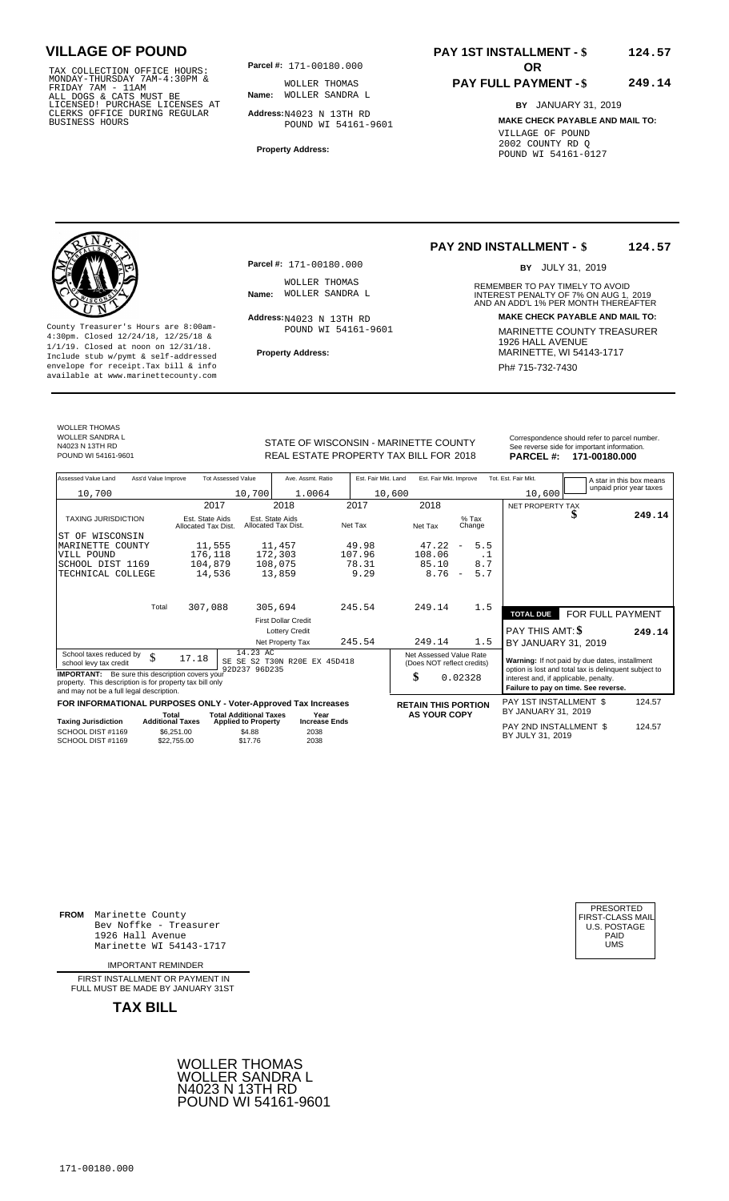TAX COLLECTION OFFICE HOURS:<br>
MONDAY-THURSDAY 7AM-4:30PM & WOLLER THOMAS<br>
FRIDAY 7AM - 11AM<br>
ALL DOGS & CATS MUST BE **Name**: WOLLER SANDRA<br>
LICENSED! PURCHASE LICENSES AT<br>
CLERKS OFFICE DURING REGULAR **Address:**N4023 N 13T

**Parcel #: OR**

**Name:** WOLLER SANDRA L WOLLER THOMAS

**Address:** N4023 N 13TH RD POUND WI 54161-9601

**Property Address:**

## **PAY 1ST INSTALLMENT - \$ 124.57**

## **PAY FULL PAYMENT - \$ 249.14**

**BY** JANUARY 31, 2019 **MAKE CHECK PAYABLE AND MAIL TO:** VILLAGE OF POUND 2002 COUNTY RD Q POUND WI 54161-0127

**Property Address:** MARINETTE, WI 54143-1717 Include stub w/pymt & self-addressed envelope for receipt.Tax bill & info Phat is a set of the phat of the Phat 715-732-7430 envelope for receipt.Tax bill & info Phat 715-732-7430 envelope for the phat 715-732-7430 envelope for the phat 715-732-7430 envelope

**Parcel #:** 171-00180.000

WOLLER THOMAS<br>Name: WOLLER SANDRA L

 $Address: N4023 N 13TH RD$ POUND WI 54161-9601

## **PAY 2ND INSTALLMENT - \$ 124.57**

BY JULY 31, 2019

REMEMBER TO PAY TIMELY TO AVOID **Name:** WOLLER SANDRA L<br>
INTEREST PENALTY OF 7% ON AUG 1, 2019<br>
AND AN ADD'L 1% PER MONTH THEREAFTER **Address: MAKE CHECK PAYABLE AND MAIL TO:** County Treasurer's Hours are 8:00am-<br>
4:30pm. Closed 12/24/18, 12/25/18 & 1/1/19. Closed at noon on 12/31/18.<br>
Include stub w/pwmt. & self-addressed<br>
Froperty Address: MARINETTE, WI 54143-1717

WOLLER THOMAS

WOLLER SANDRA L N4023 N 13TH RD

REAL ESTATE PROPERTY TAX BILL FOR **PARCEL #:** POUND WI 54161-9601 2018 **171-00180.000**

| STATE OF WISCONSIN - MARINETTE COUNTY  | Correspondence should refer to parcel number.<br>See reverse side for important information. |
|----------------------------------------|----------------------------------------------------------------------------------------------|
| REAL ESTATE DROPERTY TAY RILL EOR 2018 | DADCEL # 474-00490.000                                                                       |

| Assessed Value Land                                                                                  | Ass'd Value Improve                    | <b>Tot Assessed Value</b>                                   | Ave. Assmt. Ratio                      | Est. Fair Mkt. Land |                            | Est. Fair Mkt. Improve          | Tot. Est. Fair Mkt.                           |                                                                                                         | A star in this box means |
|------------------------------------------------------------------------------------------------------|----------------------------------------|-------------------------------------------------------------|----------------------------------------|---------------------|----------------------------|---------------------------------|-----------------------------------------------|---------------------------------------------------------------------------------------------------------|--------------------------|
| 10,700                                                                                               |                                        | 10,700                                                      | 1.0064                                 |                     | 10,600                     |                                 | 10,600                                        |                                                                                                         | unpaid prior year taxes  |
|                                                                                                      |                                        | 2017                                                        | 2018                                   | 2017                | 2018                       |                                 | NET PROPERTY TAX                              |                                                                                                         |                          |
| <b>TAXING JURISDICTION</b>                                                                           | Est. State Aids<br>Allocated Tax Dist. |                                                             | Est. State Aids<br>Allocated Tax Dist. | Net Tax             | Net Tax                    | $%$ Tax<br>Change               |                                               |                                                                                                         | 249.14                   |
| ST OF WISCONSIN                                                                                      |                                        |                                                             |                                        |                     |                            |                                 |                                               |                                                                                                         |                          |
| MARINETTE<br>COUNTY                                                                                  | 11,555                                 |                                                             | 11,457                                 | 49.98               | 47.22                      | 5.5<br>$\overline{\phantom{m}}$ |                                               |                                                                                                         |                          |
| VILL POUND                                                                                           | 176,118                                |                                                             | 172,303                                | 107.96              | 108.06                     | .1                              |                                               |                                                                                                         |                          |
| SCHOOL DIST 1169                                                                                     | 104,879                                |                                                             | 108,075                                | 78.31               | 85.10                      | 8.7                             |                                               |                                                                                                         |                          |
| TECHNICAL COLLEGE                                                                                    |                                        | 14,536                                                      | 13,859                                 | 9.29                | 8.76                       | 5.7<br>$\overline{\phantom{a}}$ |                                               |                                                                                                         |                          |
|                                                                                                      |                                        |                                                             |                                        |                     |                            |                                 |                                               |                                                                                                         |                          |
|                                                                                                      |                                        |                                                             |                                        |                     |                            |                                 |                                               |                                                                                                         |                          |
|                                                                                                      | Total<br>307,088                       |                                                             | 305,694                                | 245.54              | 249.14                     | 1.5                             | <b>TOTAL DUE</b>                              | FOR FULL PAYMENT                                                                                        |                          |
|                                                                                                      |                                        |                                                             | <b>First Dollar Credit</b>             |                     |                            |                                 |                                               |                                                                                                         |                          |
|                                                                                                      |                                        |                                                             | <b>Lottery Credit</b>                  |                     |                            |                                 | PAY THIS AMT: \$                              |                                                                                                         | 249.14                   |
|                                                                                                      |                                        |                                                             | Net Property Tax                       | 245.54              | 249.14                     | 1.5                             | BY JANUARY 31, 2019                           |                                                                                                         |                          |
| School taxes reduced by                                                                              | \$<br>17.18                            | 14.23 AC                                                    |                                        |                     | Net Assessed Value Rate    |                                 |                                               |                                                                                                         |                          |
| school levy tax credit                                                                               |                                        | 92D237 96D235                                               | SE SE S2 T30N R20E EX 45D418           |                     | (Does NOT reflect credits) |                                 |                                               | Warning: If not paid by due dates, installment<br>option is lost and total tax is delinquent subject to |                          |
| <b>IMPORTANT:</b> Be sure this description covers your                                               |                                        |                                                             |                                        |                     | \$                         | 0.02328                         | interest and, if applicable, penalty.         |                                                                                                         |                          |
| property. This description is for property tax bill only<br>and may not be a full legal description. |                                        |                                                             |                                        |                     |                            |                                 |                                               | Failure to pay on time. See reverse.                                                                    |                          |
|                                                                                                      |                                        |                                                             |                                        |                     |                            |                                 |                                               |                                                                                                         |                          |
| FOR INFORMATIONAL PURPOSES ONLY - Voter-Approved Tax Increases                                       |                                        |                                                             |                                        |                     | <b>RETAIN THIS PORTION</b> |                                 | PAY 1ST INSTALLMENT \$<br>BY JANUARY 31, 2019 |                                                                                                         | 124.57                   |
| <b>Taxing Jurisdiction</b>                                                                           | Total<br><b>Additional Taxes</b>       | <b>Total Additional Taxes</b><br><b>Applied to Property</b> | Year<br><b>Increase Ends</b>           |                     | <b>AS YOUR COPY</b>        |                                 |                                               |                                                                                                         |                          |
| SCHOOL DIST #1169<br>SCHOOL DIST #1169                                                               | \$6.251.00<br>\$22.755.00              | \$4.88<br>\$17.76                                           | 2038<br>2038                           |                     |                            |                                 | PAY 2ND INSTALLMENT \$<br>BY JULY 31, 2019    |                                                                                                         | 124.57                   |

**FROM** Marinette County Bev Noffke - Treasurer (U.S. POSTAGE)<br>1926 Hall Avenue (U.S. POSTAGE)<br>Marinette WI 54143-1717 (U.S. POSTAGE) 1926 Hall Avenue PAID Marinette WI 54143-1717 UMS

IMPORTANT REMINDER

FIRST INSTALLMENT OR PAYMENT IN FULL MUST BE MADE BY JANUARY 31ST



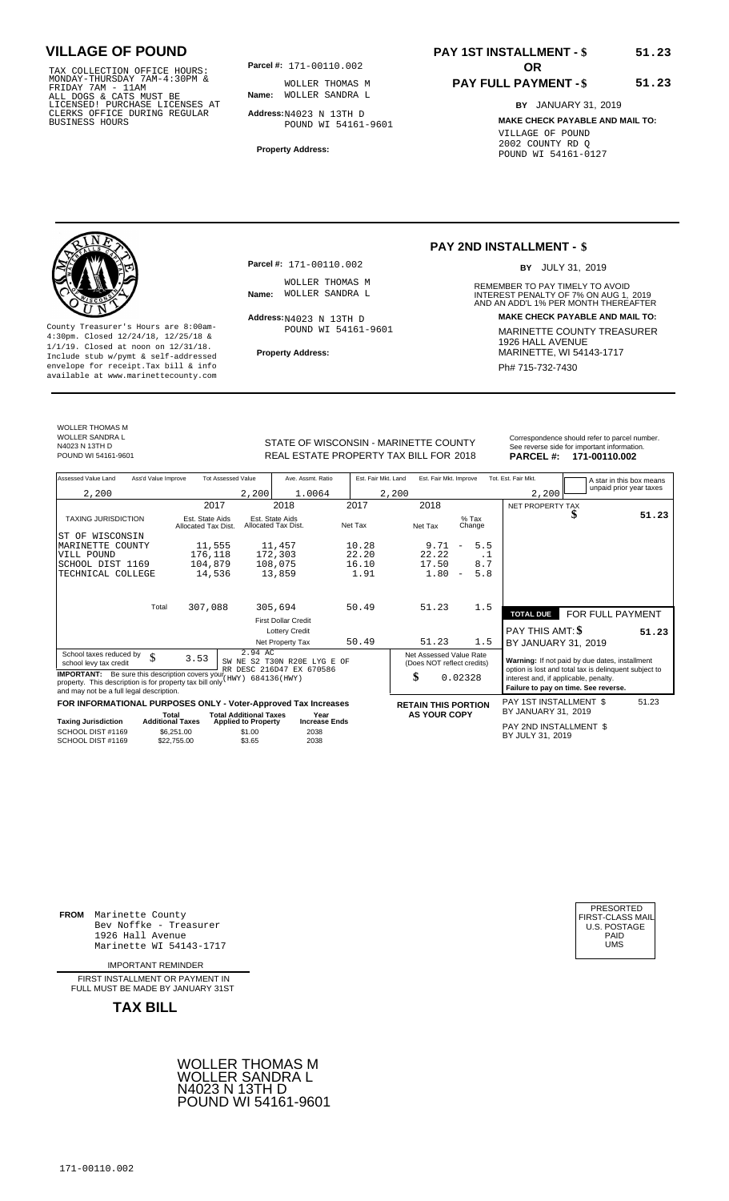TAX COLLECTION OFFICE HOURS:<br>
MONDAY-THURSDAY 7AM-4:30PM & WOLLER THOMAS<br>
FRIDAY 7AM - 11AM<br>
ALL DOGS & CATS MUST BE **Name**: WOLLER SANDRA<br>
LICENSED! PURCHASE LICENSES AT<br>
CLERKS OFFICE DURING REGULAR **Address:**N4023 N 13T

**Parcel #: OR**

**Name:** WOLLER SANDRA L WOLLER THOMAS M

**Address:** N4023 N 13TH D POUND WI 54161-9601

**Property Address:**

## **PAY 1ST INSTALLMENT - \$ 51.23**

# **PAY FULL PAYMENT - \$**

**BY** JANUARY 31, 2019 **MAKE CHECK PAYABLE AND MAIL TO:** VILLAGE OF POUND 2002 COUNTY RD Q POUND WI 54161-0127

**51.23**



**Property Address:** MARINETTE, WI 54143-1717 Include stub w/pymt & self-addressed envelope for receipt.Tax bill & info Phat is a set of the phat of the Phat 715-732-7430 envelope for receipt.Tax bill & info Phat 715-732-7430 envelope for the phat 715-732-7430 envelope for the phat 715-732-7430 envelope

**Parcel #:** 171-00110.002

WOLLER THOMAS M<br>Name: WOLLER SANDRA L

 $Address: N4023 N 13TH D$ POUND WI 54161-9601

# **PAY 2ND INSTALLMENT - \$**

BY JULY 31, 2019

REMEMBER TO PAY TIMELY TO AVOID **Name:** WOLLER SANDRA L<br>
INTEREST PENALTY OF 7% ON AUG 1, 2019<br>
AND AN ADD'L 1% PER MONTH THEREAFTER **Address: MAKE CHECK PAYABLE AND MAIL TO:** County Treasurer's Hours are 8:00am-<br>
4:30pm. Closed 12/24/18, 12/25/18 & 1/1/19. Closed at noon on 12/31/18.<br>
Include stub w/pwmt. & self-addressed<br>
Froperty Address: MARINETTE, WI 54143-1717

WOLLER THOMAS M WOLLER SANDRA L N4023 N 13TH D

STATE OF WISCONSIN - MARINETTE COUNTY REAL ESTATE PROPERTY TAX BILL FOR **PARCEL #:** POUND WI 54161-9601 2018 **171-00110.002**

| Correspondence should refer to parcel number<br>See reverse side for important information. |
|---------------------------------------------------------------------------------------------|
|                                                                                             |

| Assessed Value Land                                                                                                                                            | Ass'd Value Improve                    | <b>Tot Assessed Value</b>     | Ave. Assmt. Ratio                                       | Est. Fair Mkt. Land | Est. Fair Mkt. Improve                                |                                 | Tot. Est. Fair Mkt.                   | A star in this box means<br>unpaid prior year taxes                                                     |
|----------------------------------------------------------------------------------------------------------------------------------------------------------------|----------------------------------------|-------------------------------|---------------------------------------------------------|---------------------|-------------------------------------------------------|---------------------------------|---------------------------------------|---------------------------------------------------------------------------------------------------------|
| 2,200                                                                                                                                                          |                                        | 2,200                         | 1.0064                                                  |                     | 2,200                                                 |                                 | 2,200                                 |                                                                                                         |
|                                                                                                                                                                | 2017                                   |                               | 2018                                                    | 2017                | 2018                                                  |                                 | NET PROPERTY TAX                      |                                                                                                         |
| <b>TAXING JURISDICTION</b>                                                                                                                                     | Est. State Aids<br>Allocated Tax Dist. |                               | Est. State Aids<br>Allocated Tax Dist.                  | Net Tax             | Net Tax                                               | $%$ Tax<br>Change               |                                       | 51.23                                                                                                   |
| WISCONSIN<br>ST OF                                                                                                                                             |                                        |                               |                                                         |                     |                                                       |                                 |                                       |                                                                                                         |
| MARINETTE COUNTY                                                                                                                                               | 11,555                                 |                               | 11,457                                                  | 10.28               | 9.71                                                  | 5.5<br>$\overline{\phantom{m}}$ |                                       |                                                                                                         |
| VILL POUND                                                                                                                                                     | 176,118                                |                               | 172,303                                                 | 22.20               | 22.22                                                 | . 1                             |                                       |                                                                                                         |
| SCHOOL DIST 1169                                                                                                                                               | 104,879                                |                               | 108,075                                                 | 16.10               | 17.50                                                 | 8.7                             |                                       |                                                                                                         |
| TECHNICAL COLLEGE                                                                                                                                              | 14,536                                 |                               | 13,859                                                  | 1.91                | 1.80                                                  | 5.8<br>$\overline{\phantom{a}}$ |                                       |                                                                                                         |
|                                                                                                                                                                |                                        |                               |                                                         |                     |                                                       |                                 |                                       |                                                                                                         |
|                                                                                                                                                                | 307,088<br>Total                       |                               | 305,694                                                 | 50.49               | 51.23                                                 | 1.5                             | <b>TOTAL DUE</b>                      | FOR FULL PAYMENT                                                                                        |
|                                                                                                                                                                |                                        |                               | <b>First Dollar Credit</b>                              |                     |                                                       |                                 |                                       |                                                                                                         |
|                                                                                                                                                                |                                        |                               | <b>Lottery Credit</b>                                   |                     |                                                       |                                 | PAY THIS AMT: \$                      | 51.23                                                                                                   |
|                                                                                                                                                                |                                        |                               | Net Property Tax                                        | 50.49               | 51.23                                                 | 1.5                             | BY JANUARY 31, 2019                   |                                                                                                         |
| School taxes reduced by<br>\$<br>school levy tax credit                                                                                                        | 3.53                                   | 2.94 AC                       | SW NE S2 T30N R20E LYG E OF<br>RR DESC 216D47 EX 670586 |                     | Net Assessed Value Rate<br>(Does NOT reflect credits) |                                 |                                       | Warning: If not paid by due dates, installment<br>option is lost and total tax is delinquent subject to |
| <b>IMPORTANT:</b> Be sure this description covers your<br>property. This description is for property tax bill only<br>and may not be a full legal description. |                                        |                               | 684136(HWY)                                             |                     | \$                                                    | 0.02328                         | interest and, if applicable, penalty. | Failure to pay on time. See reverse.                                                                    |
| FOR INFORMATIONAL PURPOSES ONLY - Voter-Approved Tax Increases                                                                                                 |                                        |                               |                                                         |                     | <b>RETAIN THIS PORTION</b>                            |                                 | <b>PAY 1ST INSTALLMENT \$</b>         | 51.23                                                                                                   |
|                                                                                                                                                                | Total                                  | <b>Total Additional Taxes</b> | Year                                                    |                     | <b>AS YOUR COPY</b>                                   |                                 | BY JANUARY 31, 2019                   |                                                                                                         |
| <b>Taxing Jurisdiction</b>                                                                                                                                     | <b>Additional Taxes</b>                | <b>Applied to Property</b>    | <b>Increase Ends</b>                                    |                     |                                                       |                                 | PAY 2ND INSTALLMENT \$                |                                                                                                         |
| SCHOOL DIST #1169<br>SCHOOL DIST #1169                                                                                                                         | \$6,251.00<br>\$22,755,00              | \$1.00<br>\$3.65              | 2038<br>2038                                            |                     |                                                       |                                 | BY JULY 31, 2019                      |                                                                                                         |

**FROM** Marinette County Bev Noffke - Treasurer (U.S. POSTAGE)<br>1926 Hall Avenue (U.S. POSTAGE)<br>Marinette WI 54143-1717 (U.S. POSTAGE) 1926 Hall Avenue PAID Marinette WI 54143-1717 UMS

IMPORTANT REMINDER

FIRST INSTALLMENT OR PAYMENT IN FULL MUST BE MADE BY JANUARY 31ST



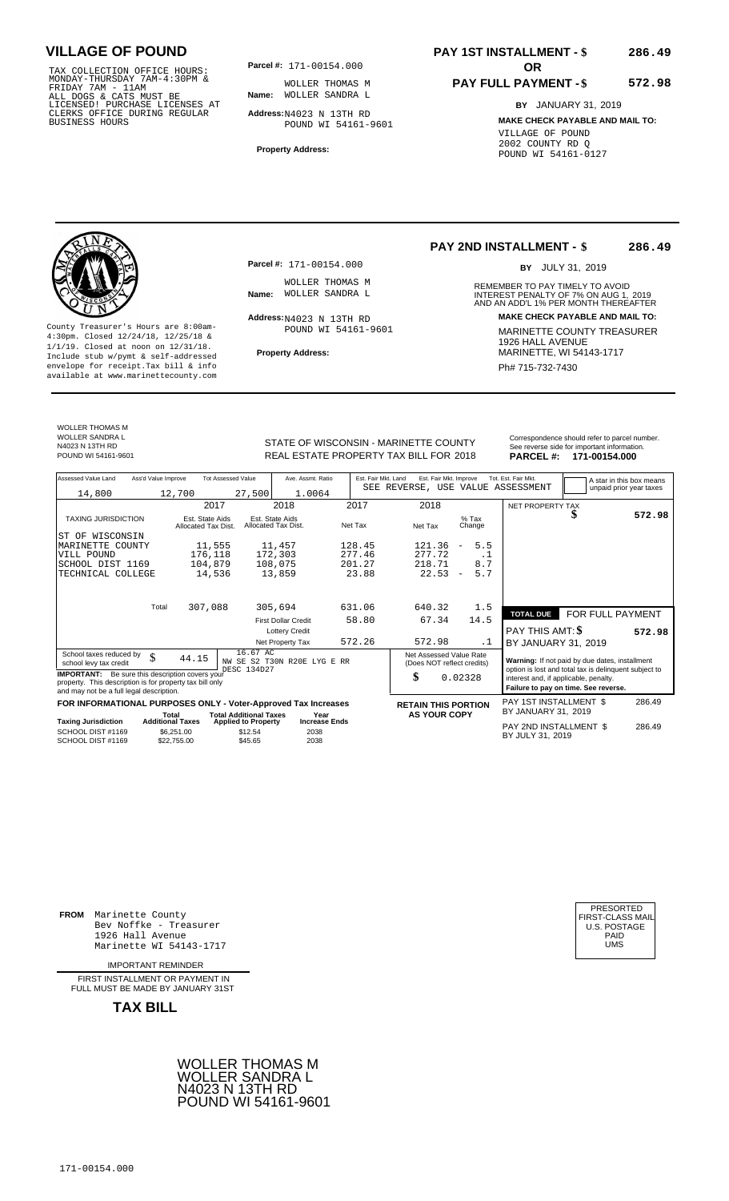TAX COLLECTION OFFICE HOURS:<br>
MONDAY-THURSDAY 7AM-4:30PM & WOLLER THOMAS<br>
FRIDAY 7AM - 11AM<br>
ALL DOGS & CATS MUST BE **Name**: WOLLER SANDRA<br>
LICENSED! PURCHASE LICENSES AT<br>
CLERKS OFFICE DURING REGULAR **Address:**N4023 N 13T

**Parcel #:** 171-00154.000

**Name:** WOLLER SANDRA L WOLLER THOMAS M

**Address:** N4023 N 13TH RD POUND WI 54161-9601

**Property Address:**

## **PAY 1ST INSTALLMENT - \$ 286.49**

# **PAY FULL PAYMENT - \$**

**572.98**

**BY** JANUARY 31, 2019 **MAKE CHECK PAYABLE AND MAIL TO:** VILLAGE OF POUND 2002 COUNTY RD Q POUND WI 54161-0127

WOLLER THOMAS M WOLLER SANDRA L N4023 N 13TH RD

**Property Address:** MARINETTE, WI 54143-1717 Include stub w/pymt & self-addressed envelope for receipt.Tax bill & info Phat is a set of the phat of the Phat 715-732-7430 envelope for receipt.Tax bill & info Phat 715-732-7430 envelope for the phat 715-732-7430 envelope for the phat 715-732-7430 envelope

**Parcel #:** 171-00154.000

WOLLER THOMAS M<br>Name: WOLLER SANDRA L

 $Address: N4023 N 13TH RD$ POUND WI 54161-9601

## **PAY 2ND INSTALLMENT - \$ 286.49**

BY JULY 31, 2019

REMEMBER TO PAY TIMELY TO AVOID **Name:** WOLLER SANDRA L<br>
INTEREST PENALTY OF 7% ON AUG 1, 2019<br>
AND AN ADD'L 1% PER MONTH THEREAFTER **Address: MAKE CHECK PAYABLE AND MAIL TO:** County Treasurer's Hours are 8:00am-<br>
4:30pm. Closed 12/24/18, 12/25/18 & 1/1/19. Closed at noon on 12/31/18.<br>
Include stub w/pwmt. & self-addressed<br>
Froperty Address: MARINETTE, WI 54143-1717

| WOLLER SANDRA L<br>N4023 N 13TH RD | STATE OF WISCONSIN - MARINETTE COUNTY  | Correspondence should refer to parcel number.<br>See reverse side for important information. |
|------------------------------------|----------------------------------------|----------------------------------------------------------------------------------------------|
| POUND WI 54161-9601                | REAL ESTATE PROPERTY TAX BILL FOR 2018 | PARCEL #: 171-00154.000                                                                      |

| Assessed Value Land                                                                                                                                            | Ass'd Value Improve     |                                        | <b>Tot Assessed Value</b>                        |                                        | Ave. Assmt. Ratio                    | Est. Fair Mkt. Land |                            | Est. Fair Mkt. Improve                                |                          |                   | Tot. Est. Fair Mkt.                                                                                     |  | A star in this box means |
|----------------------------------------------------------------------------------------------------------------------------------------------------------------|-------------------------|----------------------------------------|--------------------------------------------------|----------------------------------------|--------------------------------------|---------------------|----------------------------|-------------------------------------------------------|--------------------------|-------------------|---------------------------------------------------------------------------------------------------------|--|--------------------------|
| 14,800                                                                                                                                                         |                         | 12,700                                 | 27,500                                           |                                        | 1.0064                               |                     |                            |                                                       |                          |                   | SEE REVERSE, USE VALUE ASSESSMENT                                                                       |  | unpaid prior year taxes  |
|                                                                                                                                                                |                         |                                        | 2017                                             | 2018                                   |                                      | 2017                |                            | 2018                                                  |                          |                   | NET PROPERTY TAX                                                                                        |  |                          |
|                                                                                                                                                                |                         |                                        |                                                  |                                        |                                      |                     |                            |                                                       |                          |                   |                                                                                                         |  | 572.98                   |
| <b>TAXING JURISDICTION</b>                                                                                                                                     |                         | Est. State Aids<br>Allocated Tax Dist. |                                                  | Est. State Aids<br>Allocated Tax Dist. |                                      | Net Tax             | Net Tax                    |                                                       |                          | $%$ Tax<br>Change |                                                                                                         |  |                          |
| WISCONSIN<br>ST OF                                                                                                                                             |                         |                                        |                                                  |                                        |                                      |                     |                            |                                                       |                          |                   |                                                                                                         |  |                          |
| MARINETTE COUNTY                                                                                                                                               |                         | 11,555                                 |                                                  | 11,457                                 |                                      | 128.45              |                            | 121.36                                                | $\overline{\phantom{a}}$ | 5.5               |                                                                                                         |  |                          |
| VILL POUND                                                                                                                                                     |                         | 176,118                                |                                                  | 172,303                                |                                      | 277.46              |                            | 277.72                                                |                          | $\cdot$ 1         |                                                                                                         |  |                          |
| SCHOOL DIST 1169                                                                                                                                               |                         | 104,879                                |                                                  | 108,075                                |                                      | 201.27              |                            | 218.71                                                |                          | 8.7               |                                                                                                         |  |                          |
| TECHNICAL COLLEGE                                                                                                                                              |                         | 14,536                                 |                                                  | 13,859                                 |                                      | 23.88               |                            | 22.53                                                 | $\overline{\phantom{m}}$ | 5.7               |                                                                                                         |  |                          |
|                                                                                                                                                                | Total                   |                                        |                                                  |                                        |                                      | 631.06              |                            |                                                       |                          |                   |                                                                                                         |  |                          |
|                                                                                                                                                                |                         | 307,088                                |                                                  | 305,694                                |                                      |                     |                            | 640.32                                                |                          | 1.5               | <b>TOTAL DUE</b>                                                                                        |  | FOR FULL PAYMENT         |
|                                                                                                                                                                |                         |                                        |                                                  | <b>First Dollar Credit</b>             |                                      | 58.80               |                            | 67.34                                                 |                          | 14.5              |                                                                                                         |  |                          |
|                                                                                                                                                                |                         |                                        |                                                  |                                        | <b>Lottery Credit</b>                |                     |                            |                                                       |                          |                   | <b>PAY THIS AMT: \$</b>                                                                                 |  | 572.98                   |
|                                                                                                                                                                |                         |                                        |                                                  | Net Property Tax                       |                                      | 572.26              |                            | 572.98                                                |                          | .1                | BY JANUARY 31, 2019                                                                                     |  |                          |
| School taxes reduced by<br>school levy tax credit                                                                                                              | \$                      | 44.15                                  | DESC 134D27                                      | 16.67 AC                               | NW SE S2 T30N R20E LYG E RR          |                     |                            | Net Assessed Value Rate<br>(Does NOT reflect credits) |                          |                   | Warning: If not paid by due dates, installment<br>option is lost and total tax is delinquent subject to |  |                          |
| <b>IMPORTANT:</b> Be sure this description covers your<br>property. This description is for property tax bill only<br>and may not be a full legal description. |                         |                                        |                                                  |                                        |                                      |                     | \$                         |                                                       | 0.02328                  |                   | interest and, if applicable, penalty.<br>Failure to pay on time. See reverse.                           |  |                          |
| FOR INFORMATIONAL PURPOSES ONLY - Voter-Approved Tax Increases                                                                                                 |                         |                                        |                                                  |                                        |                                      |                     | <b>RETAIN THIS PORTION</b> |                                                       |                          |                   | PAY 1ST INSTALLMENT \$                                                                                  |  | 286.49                   |
|                                                                                                                                                                | Total                   |                                        | <b>Total Additional Taxes</b>                    |                                        | Year                                 |                     |                            | <b>AS YOUR COPY</b>                                   |                          |                   | BY JANUARY 31, 2019                                                                                     |  |                          |
| <b>Taxing Jurisdiction</b><br>SCHOOL DIST #1169<br>SCHOOL DIST #1169                                                                                           | <b>Additional Taxes</b> | \$6,251.00<br>\$22,755,00              | <b>Applied to Property</b><br>\$12.54<br>\$45.65 |                                        | <b>Increase Ends</b><br>2038<br>2038 |                     |                            |                                                       |                          |                   | PAY 2ND INSTALLMENT \$<br>BY JULY 31, 2019                                                              |  | 286.49                   |

**FROM** Marinette County Bev Noffke - Treasurer (U.S. POSTAGE)<br>1926 Hall Avenue (U.S. POSTAGE)<br>Marinette WI 54143-1717 (U.S. POSTAGE) 1926 Hall Avenue PAID Marinette WI 54143-1717 UMS

IMPORTANT REMINDER

FIRST INSTALLMENT OR PAYMENT IN FULL MUST BE MADE BY JANUARY 31ST



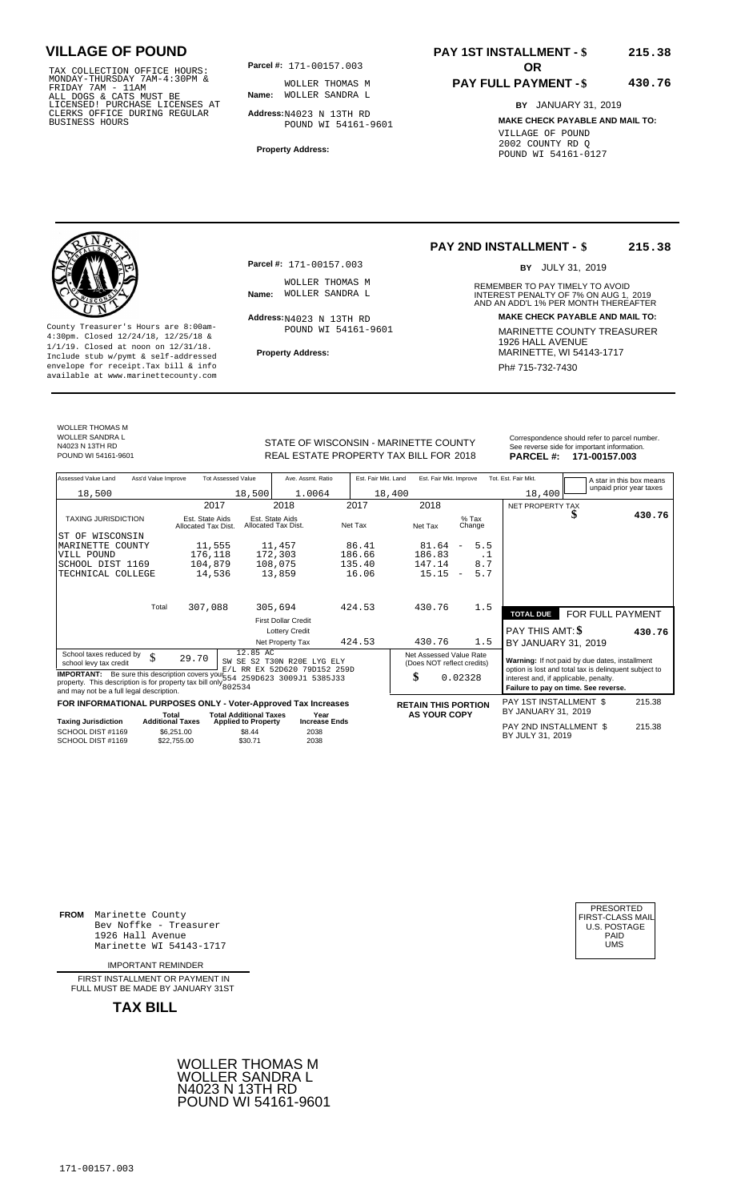TAX COLLECTION OFFICE HOURS:<br>
MONDAY-THURSDAY 7AM-4:30PM & WOLLER THOMAS<br>
FRIDAY 7AM - 11AM<br>
ALL DOGS & CATS MUST BE **Name**: WOLLER SANDRA<br>
LICENSED! PURCHASE LICENSES AT<br>
CLERKS OFFICE DURING REGULAR **Address:**N4023 N 13T

**Parcel #:** 171-00157.003 **OR** 

**Name:** WOLLER SANDRA L WOLLER THOMAS M

**Address:** N4023 N 13TH RD POUND WI 54161-9601

**Property Address:**

# **PAY 1ST INSTALLMENT - \$**

## **PAY FULL PAYMENT - \$ 430.76**

**BY** JANUARY 31, 2019 **MAKE CHECK PAYABLE AND MAIL TO:** VILLAGE OF POUND 2002 COUNTY RD Q POUND WI 54161-0127

**Property Address:** MARINETTE, WI 54143-1717 Include stub w/pymt & self-addressed envelope for receipt.Tax bill & info Ph# 715-732-7430 available at www.marinettecounty.com

**Parcel #:** 171-00157.003

WOLLER THOMAS M<br>Name: WOLLER SANDRA L

 $Address: N4023 N 13TH RD$ POUND WI 54161-9601

## **PAY 2ND INSTALLMENT - \$ 215.38**

BY JULY 31, 2019

REMEMBER TO PAY TIMELY TO AVOID **Name:** WOLLER SANDRA L<br>
INTEREST PENALTY OF 7% ON AUG 1, 2019<br>
AND AN ADD'L 1% PER MONTH THEREAFTER **Address: MAKE CHECK PAYABLE AND MAIL TO:** County Treasurer's Hours are 8:00am-<br>
4:30pm. Closed 12/24/18, 12/25/18 & MARINETTE COUNTY TREASURER<br>
1/1/19. Closed at noon on 12/31/18.<br>
Include stub w/pwmt & self-addressed<br>
Property Address: MARINETTE, WI 54143-1717

BY JANUARY 31, 2019

WOLLER THOMAS M WOLLER SANDRA L N4023 N 13TH RD

STATE OF WISCONSIN - MARINETTE COUNTY<br>
See reverse side for important information.<br>
REAL ESTATE PROPERTY TAX BILL FOR 2018 PARCEL #: 171-00157.003 REAL ESTATE PROPERTY TAX BILL FOR **PARCEL #:** POUND WI 54161-9601 2018 **171-00157.003**

| Assessed Value Land<br>Ass'd Value Improve<br>18,500                                                                                                                                                     | <b>Tot Assessed Value</b><br>18,500                                                                 | Ave. Assmt. Ratio<br>1.0064                                             | Est. Fair Mkt. Land<br>18,400      | Est. Fair Mkt. Improve                                                              |                   | Tot. Est. Fair Mkt.<br>18,400                                      |                                                                                                                                                 | A star in this box means<br>unpaid prior year taxes |
|----------------------------------------------------------------------------------------------------------------------------------------------------------------------------------------------------------|-----------------------------------------------------------------------------------------------------|-------------------------------------------------------------------------|------------------------------------|-------------------------------------------------------------------------------------|-------------------|--------------------------------------------------------------------|-------------------------------------------------------------------------------------------------------------------------------------------------|-----------------------------------------------------|
| <b>TAXING JURISDICTION</b><br>WISCONSIN<br>ST OF<br>COUNTY<br>MARINETTE<br>VILL POUND                                                                                                                    | 2017<br>Est. State Aids<br>Allocated Tax Dist.<br>11,555<br>176,118                                 | 2018<br>Est. State Aids<br>Allocated Tax Dist.<br>11,457<br>172,303     | 2017<br>Net Tax<br>86.41<br>186.66 | 2018<br>$%$ Tax<br>Net Tax<br>Change<br>81.64<br>$\overline{\phantom{m}}$<br>186.83 | 5.5<br>. 1        | NET PROPERTY TAX                                                   | æ                                                                                                                                               | 430.76                                              |
| SCHOOL DIST 1169<br>TECHNICAL COLLEGE<br>Total                                                                                                                                                           | 104,879<br>14,536<br>307,088                                                                        | 108,075<br>13,859<br>305,694                                            | 135.40<br>16.06<br>424.53          | 147.14<br>15.15<br>$\overline{\phantom{m}}$<br>430.76                               | 8.7<br>5.7<br>1.5 |                                                                    |                                                                                                                                                 |                                                     |
|                                                                                                                                                                                                          |                                                                                                     | <b>First Dollar Credit</b><br><b>Lottery Credit</b><br>Net Property Tax | 424.53                             | 430.76                                                                              | 1.5               | <b>TOTAL DUE</b><br><b>PAY THIS AMT: \$</b><br>BY JANUARY 31, 2019 | FOR FULL PAYMENT                                                                                                                                | 430.76                                              |
| School taxes reduced by<br>$\mathcal{S}$<br>school levy tax credit<br><b>IMPORTANT:</b><br>property. This description is for property tax bill only $802534$<br>and may not be a full legal description. | 12.85 AC<br>29.70<br>SW SE<br>S2<br>Be sure this description covers your 554 259D623 3009J1 5385J33 | T30N R20E<br>LYG ELY<br>E/L RR EX 52D620 79D152 259D                    |                                    | Net Assessed Value Rate<br>(Does NOT reflect credits)<br>\$<br>0.02328              |                   | interest and, if applicable, penalty.                              | Warning: If not paid by due dates, installment<br>option is lost and total tax is delinguent subject to<br>Failure to pay on time. See reverse. |                                                     |

**FOR INFORMATIONAL PURPOSES ONLY - Voter-Approved Tax Increases RETAIN THIS PORTION** PAY 1ST INSTALLMENT \$<br>Total Total Additional Taxes Year AS YOUR COPY BY JANUARY 31, 2019<br>PAY 2ND INSTALLMENT \$ **Total Additional Taxes** 

| Taxing Jurisdiction | <b>Additional Taxes</b> | <b>Applied to Property</b> | <b>Increase Ends</b> | PAY 2ND INSTALLMENT \$ | 215.38 |
|---------------------|-------------------------|----------------------------|----------------------|------------------------|--------|
| SCHOOL DIST #1169   | \$6.251.00              | \$8.44                     | 2038                 | BY JULY 31, 2019       |        |
| SCHOOL DIST #1169   | \$22,755,00             | \$30.71                    | 2038                 |                        |        |

BY JULY 31, <sup>2038</sup> <sup>2019</sup>

**FROM** Marinette County Bev Noffke - Treasurer (U.S. POSTAGE)<br>1926 Hall Avenue (U.S. POSTAGE)<br>Marinette WI 54143-1717 (UMS 1926 Hall Avenue Marinette WI 54143-1717

IMPORTANT REMINDER

FIRST INSTALL MENT OR PAYMENT IN FULL MUST BE MADE BY JANUARY 31ST

**TAX BILL**





215.38

**215.38**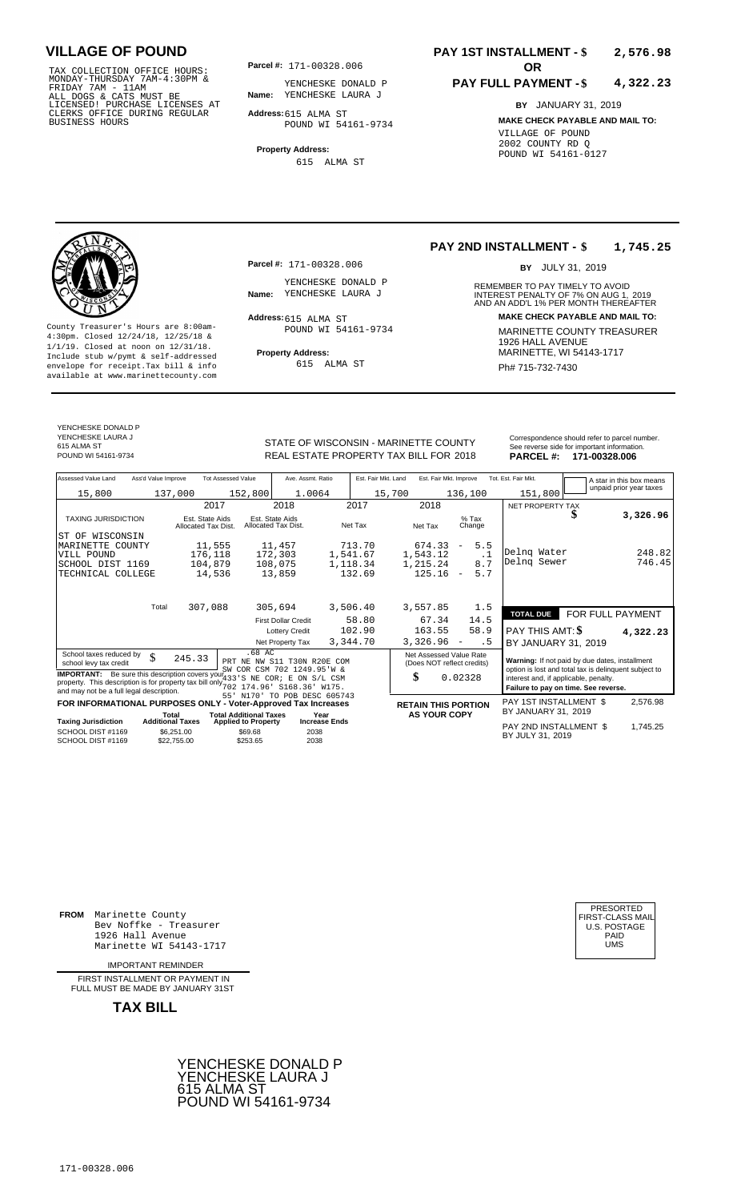TAX COLLECTION OFFICE HOURS:<br>
MONDAY-THURSDAY 7AM-4:30PM & FRIDAY 7AM - 11AM<br>
FRIDAY 7AM - 11AM<br>
ALL DOGS & CATS MUST BE **Name**: YENCHESKE LAUF<br>
LICENSED ! PURCHASE LICENSES AT<br>
CLERKS OFFICE DURING REGULAR **Address:**615 A

**Parcel #: OR**

**Name:** YENCHESKE LAURA J YENCHESKE DONALD P

**Address:** 615 ALMA ST POUND WI 54161-9734

**Property Address:** 615 ALMA ST

## **PAY 1ST INSTALLMENT - \$ 2,576.98**

## **PAY FULL PAYMENT - \$ 4,322.23**

**BY** JANUARY 31, 2019 **MAKE CHECK PAYABLE AND MAIL TO:** VILLAGE OF POUND 2002 COUNTY RD Q POUND WI 54161-0127

**Property Address:** MARINETTE, WI 54143-1717 Include stub w/pymt & self-addressed envelope for receipt.Tax bill & info Ph# 715-732-7430 available at www.marinettecounty.com

**Parcel #:** 171-00328.006

YENCHESKE DONALD P<br>Name: YENCHESKE LAURA J

Address: 615 ALMA ST POUND WI 54161-9734

615 ALMA ST

## **PAY 2ND INSTALLMENT - \$ 1,745.25**

BY JULY 31, 2019

REMEMBER TO PAY TIMELY TO AVOID **Name:** YENCHESKE LAURA J<br> **INTEREST PENALTY OF 7% ON AUG 1, 2019**<br>
AND AN ADD'L 1% PER MONTH THEREAFTER **Address: MAKE CHECK PAYABLE AND MAIL TO:** County Treasurer's Hours are 8:00am-<br>
4:30pm. Closed 12/24/18, 12/25/18 & MARINETTE COUNTY TREASURER<br>
1/1/19. Closed at noon on 12/31/18.<br>
Include stub w/pwmt & self-addressed **Property Address:** MARINETTE, WI 54143-1717

YENCHESKE DONALD P YENCHESKE LAURA J 615 ALMA ST<br>POUND WI 54161-9734

STATE OF WISCONSIN - MARINETTE COUNTY<br>
REAL ESTATE PROPERTY TAX BILL FOR 2018 PARCEL #: 171-00328.006 POUND WI 54161-9734 **171-00328.006** REAL ESTATE PROPERTY TAX BILL FOR 2018 **PARCEL #: 171-00328.006** 

| Assessed Value Land                                                                                                                                                                               | Ass'd Value Improve       | <b>Tot Assessed Value</b>              | Ave. Assmt. Ratio                                         | Est. Fair Mkt. Land | Est. Fair Mkt. Improve                                |                                 | Tot. Est. Fair Mkt.                                                                                     |                  | A star in this box means |
|---------------------------------------------------------------------------------------------------------------------------------------------------------------------------------------------------|---------------------------|----------------------------------------|-----------------------------------------------------------|---------------------|-------------------------------------------------------|---------------------------------|---------------------------------------------------------------------------------------------------------|------------------|--------------------------|
| 15,800                                                                                                                                                                                            | 137,000                   | 152,800                                | 1.0064                                                    | 15,700              |                                                       | 136,100                         | 151,800                                                                                                 |                  | unpaid prior year taxes  |
|                                                                                                                                                                                                   |                           | 2017                                   | 2018                                                      | 2017                | 2018                                                  |                                 | NET PROPERTY TAX                                                                                        |                  |                          |
| <b>TAXING JURISDICTION</b>                                                                                                                                                                        |                           | Est. State Aids<br>Allocated Tax Dist. | Est. State Aids<br>Allocated Tax Dist.                    | Net Tax             | Net Tax                                               | $%$ Tax<br>Change               |                                                                                                         | S                | 3,326.96                 |
| ST OF WISCONSIN                                                                                                                                                                                   |                           |                                        |                                                           |                     |                                                       |                                 |                                                                                                         |                  |                          |
| MARINETTE COUNTY                                                                                                                                                                                  |                           | 11,555                                 | 11,457                                                    | 713.70              | 674.33                                                | 5.5<br>$\overline{\phantom{a}}$ |                                                                                                         |                  |                          |
| VILL POUND                                                                                                                                                                                        |                           | 176,118                                | 172,303                                                   | 1,541.67            | 1,543.12                                              | $\cdot$ 1                       | Delng Water                                                                                             |                  | 248.82                   |
| SCHOOL DIST 1169                                                                                                                                                                                  |                           | 104,879                                | 108,075                                                   | 1,118.34            | 1,215.24                                              | 8.7                             | Delng Sewer                                                                                             |                  | 746.45                   |
| TECHNICAL COLLEGE                                                                                                                                                                                 |                           | 14,536                                 | 13,859                                                    | 132.69              | 125.16                                                | 5.7<br>$\overline{\phantom{a}}$ |                                                                                                         |                  |                          |
|                                                                                                                                                                                                   | Total                     | 307,088                                | 305,694                                                   | 3,506.40            | 3,557.85                                              | 1.5                             | <b>TOTAL DUE</b>                                                                                        | FOR FULL PAYMENT |                          |
|                                                                                                                                                                                                   |                           |                                        | <b>First Dollar Credit</b>                                | 58.80               | 67.34                                                 | 14.5                            |                                                                                                         |                  |                          |
|                                                                                                                                                                                                   |                           |                                        | <b>Lottery Credit</b>                                     | 102.90              | 163.55                                                | 58.9                            | PAY THIS AMT: \$                                                                                        |                  | 4,322.23                 |
|                                                                                                                                                                                                   |                           |                                        | Net Property Tax                                          | 3,344.70            | 3,326.96                                              | . 5<br>$\overline{\phantom{m}}$ | BY JANUARY 31, 2019                                                                                     |                  |                          |
| School taxes reduced by<br>school levy tax credit                                                                                                                                                 | \$<br>245.33              | $.68$ AC                               | PRT NE NW S11 T30N R20E COM<br>SW COR CSM 702 1249.95'W & |                     | Net Assessed Value Rate<br>(Does NOT reflect credits) |                                 | Warning: If not paid by due dates, installment<br>option is lost and total tax is delinquent subject to |                  |                          |
| <b>IMPORTANT:</b> Be sure this description covers your <sup>"</sup> 33' S NE COR; E<br>property. This description is for property tax bill only $702$<br>and may not be a full legal description. |                           |                                        | ON S/L CSM<br>174.96' S168.36' W175.                      |                     | \$                                                    | 0.02328                         | interest and, if applicable, penalty.<br>Failure to pay on time. See reverse.                           |                  |                          |
| FOR INFORMATIONAL PURPOSES ONLY - Voter-Approved Tax Increases                                                                                                                                    |                           |                                        | 55' N170' TO POB DESC 605743                              |                     | <b>RETAIN THIS PORTION</b>                            |                                 | PAY 1ST INSTALLMENT \$                                                                                  |                  | 2,576.98                 |
|                                                                                                                                                                                                   | Total                     | <b>Total Additional Taxes</b>          | Year                                                      |                     | <b>AS YOUR COPY</b>                                   |                                 | BY JANUARY 31, 2019                                                                                     |                  |                          |
| <b>Taxing Jurisdiction</b>                                                                                                                                                                        | <b>Additional Taxes</b>   | <b>Applied to Property</b>             | <b>Increase Ends</b>                                      |                     |                                                       |                                 | PAY 2ND INSTALLMENT \$                                                                                  |                  | 1,745.25                 |
| SCHOOL DIST #1169<br>SCHOOL DIST #1169                                                                                                                                                            | \$6,251.00<br>\$22.755.00 | \$69.68<br>\$253.65                    | 2038<br>2038                                              |                     |                                                       |                                 | BY JULY 31, 2019                                                                                        |                  |                          |

**FROM** Marinette County Bev Noffke - Treasurer (U.S. POSTAGE)<br>1926 Hall Avenue (U.S. POSTAGE)<br>Marinette WI 54143-1717 (U.S. POSTAGE) 1926 Hall Avenue PAID Marinette WI 54143-1717 UMS

IMPORTANT REMINDER

FIRST INSTALL MENT OR PAYMENT IN FULL MUST BE MADE BY JANUARY 31ST



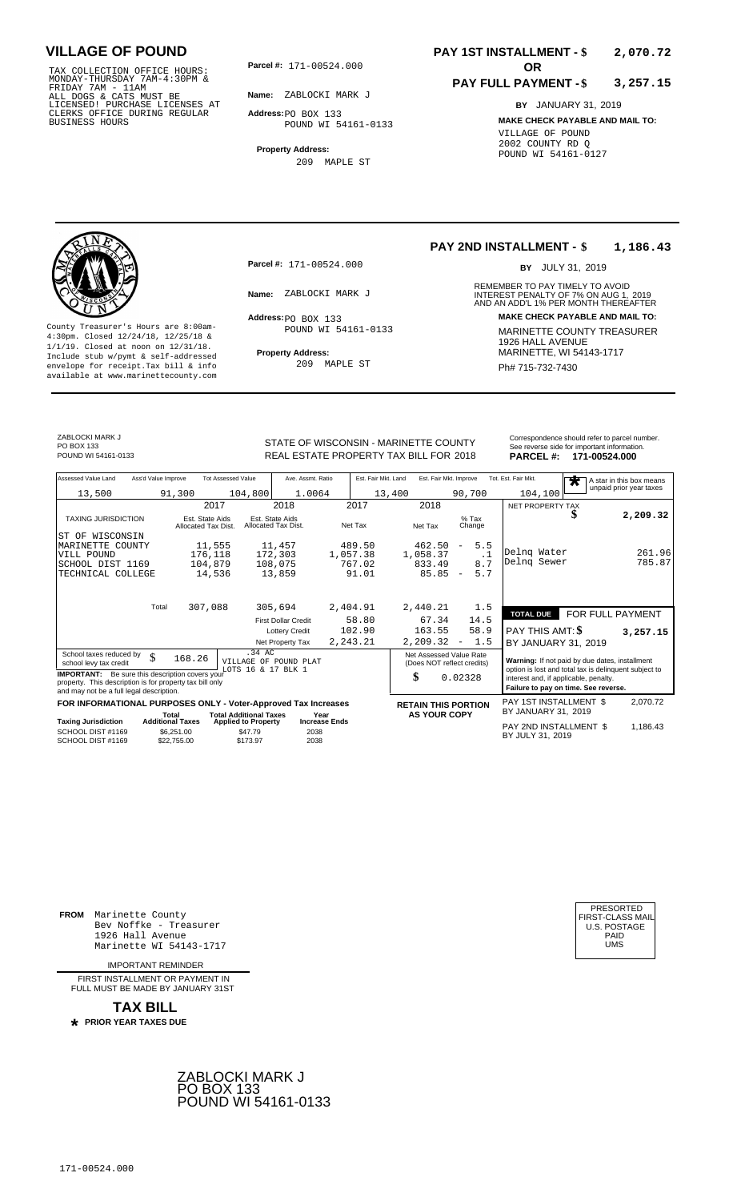TAX COLLECTION OFFICE HOURS:<br>
MONDAY-THURSDAY 7AM-4:30PM &<br>
FRIDAY 7AM - 11AM<br>
ALL DOGS & CATS MUST BE<br>
LICENSED! PURCHASE LICENSES AT<br>
CLERKS OFFICE DURING REGULAR<br>
CLERKS OFFICE DURING REGULAR<br>
BUSINESS HOURS<br>
BUSINESS H

**Parcel #:** 171-00524.000

**Name:** ZABLOCKI MARK J

**Address:** PO BOX 133 POUND WI 54161-0133

**Property Address:** 209 MAPLE ST

## **PAY 1ST INSTALLMENT - \$ 2,070.72**

## **PAY FULL PAYMENT - \$ 3,257.15**

**BY** JANUARY 31, 2019 **MAKE CHECK PAYABLE AND MAIL TO:** VILLAGE OF POUND 2002 COUNTY RD Q POUND WI 54161-0127

**Property Address:** MARINETTE, WI 54143-1717 Include stub w/pymt & self-addressed envelope for receipt.Tax bill & info Ph# 715-732-7430 available at www.marinettecounty.com

**Parcel #:** 171-00524.000

Address: PO BOX 133 POUND WI 54161-0133

209 MAPLE ST

## **PAY 2ND INSTALLMENT - \$ 1,186.43**

BY JULY 31, 2019

REMEMBER TO PAY TIMELY TO AVOID **Name:** ZABLOCKI MARK J<br>
AND AN ADD'L 1% PER MONTH THEREAFTER **Address: MAKE CHECK PAYABLE AND MAIL TO:** County Treasurer's Hours are 8:00am-<br>
4:30pm. Closed 12/24/18, 12/25/18 & MARINETTE COUNTY TREASURER<br>
1/1/19. Closed at noon on 12/31/18.<br>
Include stub w/pwmt. & self-addressed<br> **Property Address:** MARINETTE, WI 54143-1717

ZABLOCKI MARK J PO BOX 133<br>POUND WI 54161-0133

STATE OF WISCONSIN - MARINETTE COUNTY POUND WI 54161-0133 **171-00524.000** REAL ESTATE PROPERTY TAX BILL FOR 2018 **PARCEL #: 171-00524.000** 

| Correspondence should refer to parcel number. |
|-----------------------------------------------|
| See reverse side for important information.   |
| $1 = 1$ $0.0501$ $0.00$<br><b>BABARL #</b>    |

| Assessed Value Land<br>Ass'd Value Improve                                                                                                                     | <b>Tot Assessed Value</b>                                                      | Ave. Assmt. Ratio                      | Est. Fair Mkt. Land | Est. Fair Mkt. Improve                                |                                 | Tot. Est. Fair Mkt.                                                           | A star in this box means<br>$\overline{\textbf{r}}$<br>unpaid prior year taxes |
|----------------------------------------------------------------------------------------------------------------------------------------------------------------|--------------------------------------------------------------------------------|----------------------------------------|---------------------|-------------------------------------------------------|---------------------------------|-------------------------------------------------------------------------------|--------------------------------------------------------------------------------|
| 13,500                                                                                                                                                         | 91,300<br>104,800                                                              | 1.0064                                 | 13,400              |                                                       | 90,700                          | 104,100                                                                       |                                                                                |
|                                                                                                                                                                | 2017                                                                           | 2018                                   | 2017                | 2018                                                  |                                 | NET PROPERTY TAX                                                              |                                                                                |
| <b>TAXING JURISDICTION</b>                                                                                                                                     | Est. State Aids<br>Allocated Tax Dist.                                         | Est. State Aids<br>Allocated Tax Dist. | Net Tax             | Net Tax                                               | $%$ Tax<br>Change               |                                                                               | S<br>2,209.32                                                                  |
| WISCONSIN<br>ST OF                                                                                                                                             |                                                                                |                                        |                     |                                                       |                                 |                                                                               |                                                                                |
| MARINETTE COUNTY                                                                                                                                               | 11,555                                                                         | 11,457                                 | 489.50              | 462.50                                                | 5.5<br>$\overline{\phantom{a}}$ | Delng Water                                                                   |                                                                                |
| VILL POUND                                                                                                                                                     | 176,118                                                                        | 172,303                                | 1,057.38            | 1,058.37                                              | $\cdot$ 1                       | Delng Sewer                                                                   | 261.96<br>785.87                                                               |
| SCHOOL DIST 1169                                                                                                                                               | 104,879                                                                        | 108,075                                | 767.02              | 833.49                                                | 8.7                             |                                                                               |                                                                                |
| TECHNICAL COLLEGE                                                                                                                                              | 14,536                                                                         | 13,859                                 | 91.01               | 85.85                                                 | 5.7<br>$\overline{\phantom{a}}$ |                                                                               |                                                                                |
| Total                                                                                                                                                          | 307,088                                                                        | 305,694                                | 2,404.91            | 2,440.21                                              | 1.5                             |                                                                               |                                                                                |
|                                                                                                                                                                |                                                                                | <b>First Dollar Credit</b>             | 58.80               | 67.34                                                 | 14.5                            | <b>TOTAL DUE</b>                                                              | FOR FULL PAYMENT                                                               |
|                                                                                                                                                                |                                                                                | <b>Lottery Credit</b>                  | 102.90              | 163.55                                                | 58.9                            | PAY THIS AMT: \$                                                              |                                                                                |
|                                                                                                                                                                |                                                                                | Net Property Tax                       | 2,243.21            | 2,209.32                                              | 1.5<br>$\overline{\phantom{a}}$ |                                                                               | 3,257.15                                                                       |
|                                                                                                                                                                | .34 AC                                                                         |                                        |                     |                                                       |                                 | BY JANUARY 31, 2019                                                           |                                                                                |
| School taxes reduced by<br>\$<br>school levy tax credit                                                                                                        | 168.26                                                                         | VILLAGE OF POUND PLAT                  |                     | Net Assessed Value Rate<br>(Does NOT reflect credits) |                                 |                                                                               | Warning: If not paid by due dates, installment                                 |
| <b>IMPORTANT:</b> Be sure this description covers your<br>property. This description is for property tax bill only<br>and may not be a full legal description. |                                                                                | LOTS 16 & 17 BLK 1                     |                     | \$                                                    | 0.02328                         | interest and, if applicable, penalty.<br>Failure to pay on time. See reverse. | option is lost and total tax is delinquent subject to                          |
| FOR INFORMATIONAL PURPOSES ONLY - Voter-Approved Tax Increases                                                                                                 |                                                                                |                                        |                     | <b>RETAIN THIS PORTION</b>                            |                                 | PAY 1ST INSTALLMENT \$                                                        | 2,070.72                                                                       |
| Total                                                                                                                                                          | <b>Total Additional Taxes</b>                                                  | Year                                   |                     | <b>AS YOUR COPY</b>                                   |                                 | BY JANUARY 31, 2019                                                           |                                                                                |
| <b>Taxing Jurisdiction</b><br><b>Additional Taxes</b><br>SCHOOL DIST #1169<br>SCHOOL DIST #1169                                                                | <b>Applied to Property</b><br>\$6,251.00<br>\$47.79<br>\$173.97<br>\$22,755.00 | <b>Increase Ends</b><br>2038<br>2038   |                     |                                                       |                                 | PAY 2ND INSTALLMENT \$<br>BY JULY 31, 2019                                    | 1,186.43                                                                       |

**FROM** Marinette County Bev Noffke - Treasurer 1926 Hall Avenue PAID Marinette WI 54143-1717 UMS

IMPORTANT REMINDER

FIRST INSTALL MENT OR PAYMENT IN FULL MUST BE MADE BY JANUARY 31ST

**TAX BILL PRIOR YEAR TAXES DUE \***



| PRESORTED        |
|------------------|
| FIRST-CLASS MAIL |
| U.S. POSTAGE     |
| PAID             |
| UMS              |
|                  |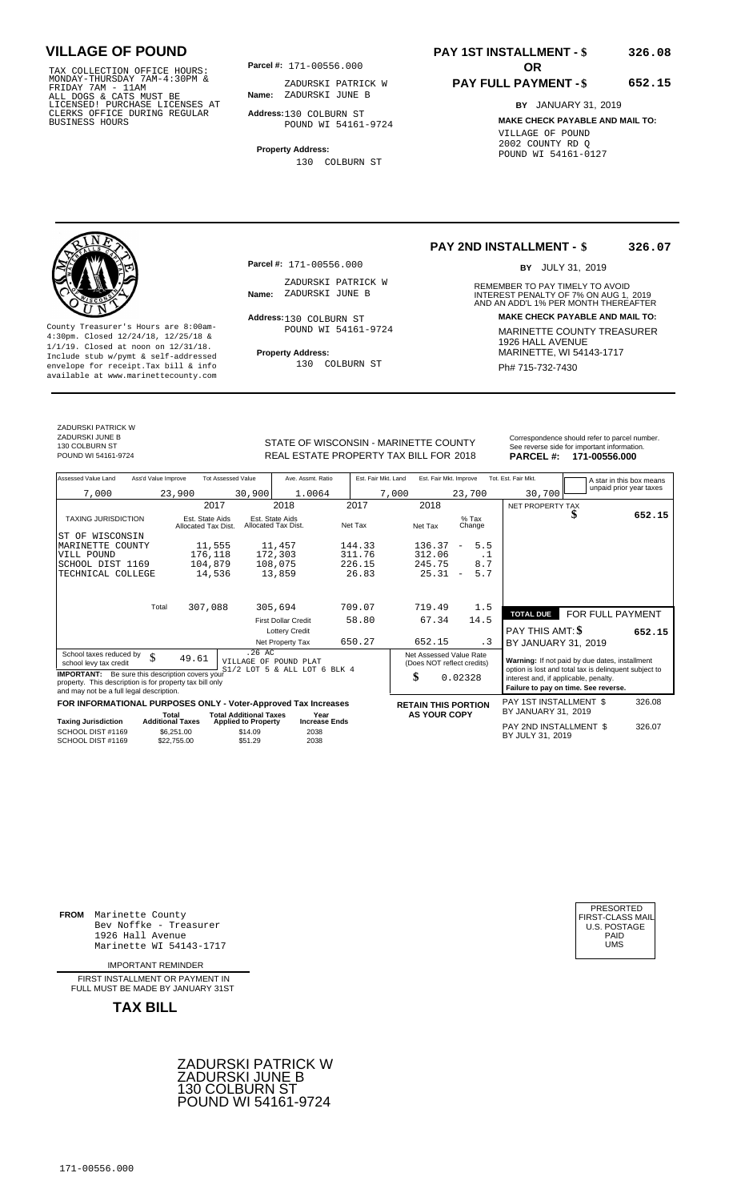TAX COLLECTION OFFICE HOURS:<br>
MONDAY-THURSDAY 7AM-4:30PM &<br>
FRIDAY 7AM - 11AM<br>
ALL DOGS & CATS MUST BE<br>
LICENSED! PURCHASE LICENSES AT<br>
CLERKS OFFICE DURING REGULAR<br>
CLERKS OFFICE DURING REGULAR<br>
BUSINESS HOURS<br>
BUSINESS H

**Parcel #:** 171-00556.000

**Name:** ZADURSKI JUNE B ZADURSKI PATRICK W

**Address:** 130 COLBURN ST POUND WI 54161-9724

**Property Address:** 130 COLBURN ST

## **PAY 1ST INSTALLMENT - \$ 326.08**

## **PAY FULL PAYMENT - \$**

**652.15**

**BY** JANUARY 31, 2019 **MAKE CHECK PAYABLE AND MAIL TO:** VILLAGE OF POUND 2002 COUNTY RD Q POUND WI 54161-0127

**Property Address:** MARINETTE, WI 54143-1717 Include stub w/pymt & self-addressed envelope for receipt.Tax bill & info Ph# 715-732-7430 available at www.marinettecounty.com

**Parcel #:** 171-00556.000

ZADURSKI PATRICK W<br>Name: ZADURSKI JUNE B

Address: 130 COLBURN ST POUND WI 54161-9724

130 COLBURN ST

**PAY 2ND INSTALLMENT - \$ 326.07**

BY JULY 31, 2019

REMEMBER TO PAY TIMELY TO AVOID **Name:** ZADURSKI JUNE B<br>
AND AN ADD'L 1% PER MONTH THEREAFTER **Address: MAKE CHECK PAYABLE AND MAIL TO:** County Treasurer's Hours are 8:00am-<br>
4:30pm. Closed 12/24/18, 12/25/18 & MARINETTE COUNTY TREASURER<br>
1/1/19. Closed at noon on 12/31/18.<br>
Include stub w/pwmt. & self-addressed<br>
Property Address:<br>
MARINETTE, WI 54143-1717

ZADURSKI PATRICK W ZADURSKI JUNE B 130 COLBURN ST<br>POUND WI 54161-9724

STATE OF WISCONSIN - MARINETTE COUNTY REAL ESTATE PROPERTY TAX BILL FOR **PARCEL #:** POUND WI 54161-9724 2018 **171-00556.000**

| See reverse side for important information.   |  |
|-----------------------------------------------|--|
| Correspondence should refer to parcel number. |  |

| Assessed Value Land                                                                                                                                            | Ass'd Value Improve              |                                        | <b>Tot Assessed Value</b>                        | Ave. Assmt. Ratio                      |  | Est. Fair Mkt. Land        |       | Est. Fair Mkt. Improve     |                          |                                                       | Tot. Est. Fair Mkt.                                                           |                                                | A star in this box means |        |  |
|----------------------------------------------------------------------------------------------------------------------------------------------------------------|----------------------------------|----------------------------------------|--------------------------------------------------|----------------------------------------|--|----------------------------|-------|----------------------------|--------------------------|-------------------------------------------------------|-------------------------------------------------------------------------------|------------------------------------------------|--------------------------|--------|--|
| 7,000                                                                                                                                                          |                                  | 23,900                                 | 30,900                                           | 1.0064                                 |  |                            | 7,000 |                            |                          | 23,700                                                | 30,700                                                                        |                                                | unpaid prior year taxes  |        |  |
|                                                                                                                                                                |                                  | 2017                                   |                                                  | 2018                                   |  | 2017                       |       | 2018                       |                          |                                                       | NET PROPERTY TAX                                                              |                                                |                          |        |  |
| <b>TAXING JURISDICTION</b>                                                                                                                                     |                                  | Est. State Aids<br>Allocated Tax Dist. |                                                  | Est. State Aids<br>Allocated Tax Dist. |  | Net Tax                    |       | Net Tax                    |                          | $%$ Tax<br>Change                                     |                                                                               | J                                              |                          | 652.15 |  |
| ST OF WISCONSIN                                                                                                                                                |                                  |                                        |                                                  |                                        |  |                            |       |                            |                          |                                                       |                                                                               |                                                |                          |        |  |
| MARINETTE COUNTY                                                                                                                                               |                                  | 11,555                                 |                                                  | 11,457                                 |  | 144.33                     |       | 136.37                     | $\qquad \qquad -$        | 5.5                                                   |                                                                               |                                                |                          |        |  |
| VILL POUND                                                                                                                                                     |                                  | 176,118                                |                                                  | 172,303                                |  | 311.76                     |       | 312.06                     |                          | . 1                                                   |                                                                               |                                                |                          |        |  |
| SCHOOL DIST 1169                                                                                                                                               |                                  | 104,879                                |                                                  | 108,075                                |  | 226.15                     |       | 245.75                     |                          | 8.7                                                   |                                                                               |                                                |                          |        |  |
| TECHNICAL COLLEGE                                                                                                                                              |                                  | 14,536                                 |                                                  | 13,859                                 |  | 26.83                      |       | 25.31                      | $\overline{\phantom{a}}$ | 5.7                                                   |                                                                               |                                                |                          |        |  |
|                                                                                                                                                                |                                  |                                        |                                                  |                                        |  |                            |       |                            |                          |                                                       |                                                                               |                                                |                          |        |  |
|                                                                                                                                                                | Total                            | 307,088                                |                                                  | 305,694                                |  | 709.07                     |       | 719.49                     |                          | 1.5                                                   |                                                                               |                                                |                          |        |  |
|                                                                                                                                                                |                                  |                                        |                                                  | <b>First Dollar Credit</b>             |  | 58.80                      |       | 67.34                      |                          | 14.5                                                  | <b>TOTAL DUE</b>                                                              |                                                | FOR FULL PAYMENT         |        |  |
|                                                                                                                                                                |                                  |                                        |                                                  | <b>Lottery Credit</b>                  |  |                            |       |                            |                          |                                                       | PAY THIS AMT: \$                                                              |                                                |                          | 652.15 |  |
|                                                                                                                                                                |                                  |                                        |                                                  | Net Property Tax                       |  | 650.27                     |       | 652.15                     |                          | . 3                                                   | BY JANUARY 31, 2019                                                           |                                                |                          |        |  |
| School taxes reduced by                                                                                                                                        | \$                               | 49.61                                  | .26AC                                            | VILLAGE OF POUND PLAT                  |  |                            |       | Net Assessed Value Rate    |                          |                                                       |                                                                               | Warning: If not paid by due dates, installment |                          |        |  |
| school levy tax credit                                                                                                                                         |                                  |                                        | $S1/2$ LOT 5                                     | & ALL LOT 6 BLK 4                      |  | (Does NOT reflect credits) |       |                            |                          | option is lost and total tax is delinquent subject to |                                                                               |                                                |                          |        |  |
| <b>IMPORTANT:</b> Be sure this description covers your<br>property. This description is for property tax bill only<br>and may not be a full legal description. |                                  |                                        |                                                  |                                        |  |                            |       | \$                         | 0.02328                  |                                                       | interest and, if applicable, penalty.<br>Failure to pay on time. See reverse. |                                                |                          |        |  |
| FOR INFORMATIONAL PURPOSES ONLY - Voter-Approved Tax Increases                                                                                                 |                                  |                                        |                                                  |                                        |  |                            |       | <b>RETAIN THIS PORTION</b> |                          |                                                       | PAY 1ST INSTALLMENT \$                                                        |                                                |                          | 326.08 |  |
|                                                                                                                                                                | Total<br><b>Additional Taxes</b> |                                        | <b>Total Additional Taxes</b>                    | Year<br><b>Increase Ends</b>           |  |                            |       | <b>AS YOUR COPY</b>        |                          |                                                       | BY JANUARY 31, 2019                                                           |                                                |                          |        |  |
| <b>Taxing Jurisdiction</b><br>SCHOOL DIST #1169<br>SCHOOL DIST #1169                                                                                           |                                  | \$6,251.00<br>\$22,755.00              | <b>Applied to Property</b><br>\$14.09<br>\$51.29 | 2038<br>2038                           |  |                            |       |                            |                          |                                                       | PAY 2ND INSTALLMENT \$<br>BY JULY 31, 2019                                    |                                                |                          | 326.07 |  |

**FROM** Marinette County Bev Noffke - Treasurer (U.S. POSTAGE)<br>1926 Hall Avenue (U.S. POSTAGE)<br>Marinette WI 54143-1717 (U.S. POSTAGE) 1926 Hall Avenue PAID Marinette WI 54143-1717 UMS

IMPORTANT REMINDER

FIRST INSTALLMENT OR PAYMENT IN FULL MUST BE MADE BY JANUARY 31ST



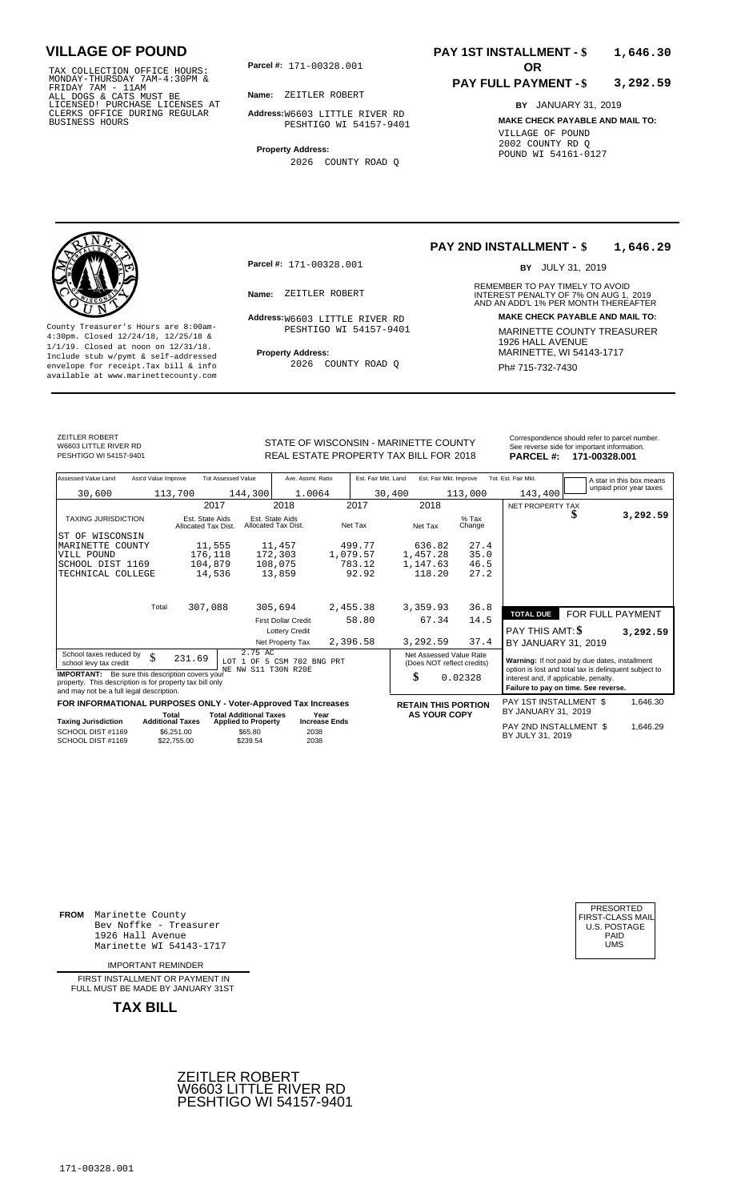TAX COLLECTION OFFICE HOURS:<br>
MONDAY-THURSDAY 7AM-4:30PM &<br>
FRIDAY 7AM - 11AM<br>
ALL DOGS & CATS MUST BE<br>
LICENSED! PURCHASE LICENSES AT<br>
CLERKS OFFICE DURING REGULAR<br>
CLERKS OFFICE DURING REGULAR<br>
BUSINESS HOURS<br>
BUSINESS H

**Parcel #: OR**

**Name:** ZEITLER ROBERT

**Address:** W6603 LITTLE RIVER RD PESHTIGO WI 54157-9401

**Property Address:**

2026 COUNTY ROAD Q

## **PAY 1ST INSTALLMENT - \$ 1,646.30**

## **PAY FULL PAYMENT - \$ 3,292.59**

**BY** JANUARY 31, 2019 **MAKE CHECK PAYABLE AND MAIL TO:** VILLAGE OF POUND 2002 COUNTY RD Q POUND WI 54161-0127



**Property Address:** MARINETTE, WI 54143-1717 Include stub w/pymt & self-addressed envelope for receipt.Tax bill & info Ph# 715-732-7430 available at www.marinettecounty.com

**Parcel #:** 171-00328.001

PESHTIGO WI 54157-9401

2026 COUNTY ROAD Q

## **PAY 2ND INSTALLMENT - \$ 1,646.29**

BY JULY 31, 2019

REMEMBER TO PAY TIMELY TO AVOID **Name:** ZEITLER ROBERT **1988** INTEREST PENALTY OF 7% ON AUG 1, 2019<br>AND AN ADD'L 1% PER MONTH THEREAFTER **Address: MAKE CHECK PAYABLE AND MAIL TO:** W6603 LITTLE RIVER RD County Treasurer's Hours are 8:00am-<br>
4:30pm. Closed 12/24/18, 12/25/18 & MARINETTE COUNTY TREASURER<br>
1/1/19. Closed at noon on 12/31/18.<br>
Include stub w/pwmt & self-addressed **Property Address:** MARINETTE, WI 54143-1717

ZEITLER ROBERT W6603 LITTLE RIVER RD<br>PESHTIGO WI 54157-9401

STATE OF WISCONSIN - MARINETTE COUNTY<br>REAL ESTATE PROPERTY TAX BILL FOR 2018 PARCEL #: 171-00328.001 PESHTIGO WI 54157-9401 **171-00328.001** REAL ESTATE PROPERTY TAX BILL FOR 2018 **PARCEL #: 171-00328.001** 

| $\overline{1}$<br><b>BABARI</b> "             |
|-----------------------------------------------|
| See reverse side for important information.   |
| Correspondence should refer to parcel number. |
|                                               |

| Assessed Value Land                                                                                                                                                                   | Ass'd Value Improve |                                                      | <b>Tot Assessed Value</b>                         | Ave. Assmt. Ratio                      |                      | Est. Fair Mkt. Land |                            | Est. Fair Mkt. Improve                                |                   | Tot. Est. Fair Mkt.                                                                                                                    |                  | A star in this box means |  |
|---------------------------------------------------------------------------------------------------------------------------------------------------------------------------------------|---------------------|------------------------------------------------------|---------------------------------------------------|----------------------------------------|----------------------|---------------------|----------------------------|-------------------------------------------------------|-------------------|----------------------------------------------------------------------------------------------------------------------------------------|------------------|--------------------------|--|
| 30,600                                                                                                                                                                                |                     | 113,700                                              | 144,300                                           | 1.0064                                 |                      | 30,400              |                            |                                                       | 113,000           | 143,400                                                                                                                                |                  | unpaid prior year taxes  |  |
|                                                                                                                                                                                       |                     |                                                      | 2017                                              | 2018                                   |                      | 2017                | 2018                       |                                                       |                   | NET PROPERTY TAX                                                                                                                       |                  |                          |  |
| <b>TAXING JURISDICTION</b>                                                                                                                                                            |                     | Est. State Aids<br>Allocated Tax Dist.               |                                                   | Est. State Aids<br>Allocated Tax Dist. | Net Tax              |                     | Net Tax                    |                                                       | $%$ Tax<br>Change |                                                                                                                                        | \$               | 3,292.59                 |  |
| ST OF WISCONSIN                                                                                                                                                                       |                     |                                                      |                                                   |                                        |                      |                     |                            |                                                       |                   |                                                                                                                                        |                  |                          |  |
| MARINETTE<br>COUNTY                                                                                                                                                                   |                     | 11,555                                               |                                                   | 11,457                                 |                      | 499.77              | 636.82                     |                                                       | 27.4              |                                                                                                                                        |                  |                          |  |
| VILL POUND                                                                                                                                                                            |                     | 176,118                                              |                                                   | 172,303                                | 1,079.57             |                     | 1,457.28                   |                                                       | 35.0              |                                                                                                                                        |                  |                          |  |
| SCHOOL DIST 1169                                                                                                                                                                      |                     | 104,879                                              |                                                   | 108,075                                |                      | 783.12              | 1,147.63                   |                                                       | 46.5              |                                                                                                                                        |                  |                          |  |
| TECHNICAL COLLEGE                                                                                                                                                                     |                     |                                                      | 14,536                                            | 13,859                                 |                      | 92.92               | 118.20                     |                                                       | 27.2              |                                                                                                                                        |                  |                          |  |
|                                                                                                                                                                                       |                     | 307,088                                              |                                                   |                                        |                      |                     |                            |                                                       |                   |                                                                                                                                        |                  |                          |  |
|                                                                                                                                                                                       | Total               |                                                      |                                                   | 305,694                                | 2,455.38             |                     | 3,359.93                   |                                                       | 36.8              | <b>TOTAL DUE</b>                                                                                                                       | FOR FULL PAYMENT |                          |  |
|                                                                                                                                                                                       |                     |                                                      |                                                   | <b>First Dollar Credit</b>             |                      | 58.80               | 67.34                      |                                                       | 14.5              |                                                                                                                                        |                  |                          |  |
|                                                                                                                                                                                       |                     |                                                      |                                                   | <b>Lottery Credit</b>                  |                      |                     |                            |                                                       |                   | <b>PAY THIS AMT: \$</b>                                                                                                                |                  | 3,292.59                 |  |
|                                                                                                                                                                                       |                     |                                                      |                                                   | Net Property Tax                       | 2,396.58             |                     | 3,292.59                   |                                                       | 37.4              | BY JANUARY 31, 2019                                                                                                                    |                  |                          |  |
| School taxes reduced by<br>school levy tax credit                                                                                                                                     | \$                  | 231.69                                               | 2.75 AC                                           | LOT 1 OF 5 CSM 702 BNG                 | PRT                  |                     |                            | Net Assessed Value Rate<br>(Does NOT reflect credits) |                   | Warning: If not paid by due dates, installment                                                                                         |                  |                          |  |
| NE NW S11 T30N R20E<br><b>IMPORTANT:</b> Be sure this description covers your<br>property. This description is for property tax bill only<br>and may not be a full legal description. |                     |                                                      |                                                   |                                        |                      |                     | \$                         | 0.02328                                               |                   | option is lost and total tax is delinquent subject to<br>interest and, if applicable, penalty.<br>Failure to pay on time. See reverse. |                  |                          |  |
| FOR INFORMATIONAL PURPOSES ONLY - Voter-Approved Tax Increases                                                                                                                        |                     |                                                      |                                                   |                                        |                      |                     | <b>RETAIN THIS PORTION</b> |                                                       |                   | PAY 1ST INSTALLMENT \$                                                                                                                 |                  | 1,646.30                 |  |
|                                                                                                                                                                                       | Total               |                                                      | <b>Total Additional Taxes</b>                     | Year                                   |                      |                     |                            | <b>AS YOUR COPY</b>                                   |                   | BY JANUARY 31, 2019                                                                                                                    |                  |                          |  |
| <b>Taxing Jurisdiction</b><br>SCHOOL DIST #1169<br>SCHOOL DIST #1169                                                                                                                  |                     | <b>Additional Taxes</b><br>\$6,251.00<br>\$22,755.00 | <b>Applied to Property</b><br>\$65.80<br>\$239.54 | 2038<br>2038                           | <b>Increase Ends</b> |                     |                            |                                                       |                   | PAY 2ND INSTALLMENT \$<br>BY JULY 31, 2019                                                                                             |                  | 1,646.29                 |  |

**FROM** Marinette County Bev Noffke - Treasurer 1926 Hall Avenue PAID Marinette WI 54143-1717 UMS

IMPORTANT REMINDER

FIRST INSTALLMENT OR PAYMENT IN FULL MUST BE MADE BY JANUARY 31ST



| PRESORTED        |
|------------------|
| FIRST-CLASS MAIL |
| U.S. POSTAGE     |
| PAID             |
| UMS              |
|                  |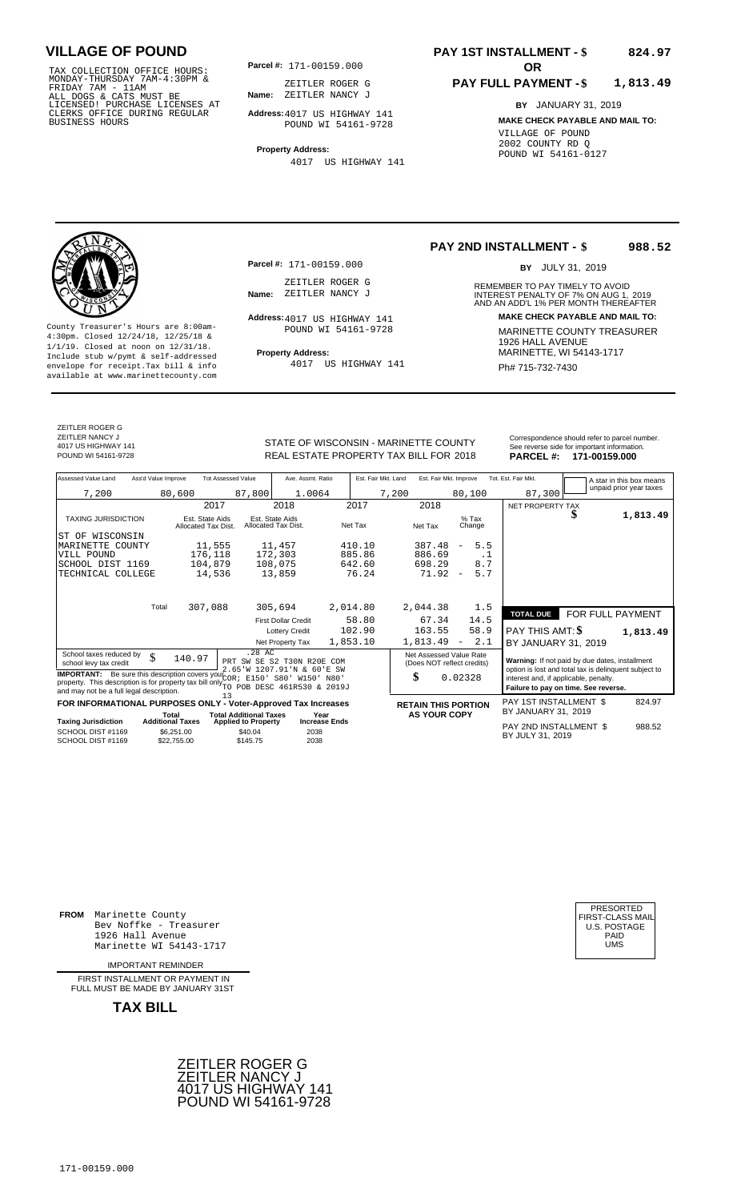TAX COLLECTION OFFICE HOURS:<br>
MONDAY-THURSDAY 7AM-4:30PM & ZEITLER ROGER<br>
FRIDAY 7AM - 11AM<br>
ALL DOGS & CATS MUST BE **Name**: ZEITLER NANCY<br>
LICENSED ! PURCHASE LICENSES AT<br>
CLERKS OFFICE DURING REGULAR **Address:**4017 US HI

**Parcel #:** 171-00159.000

**Name:** ZEITLER NANCY J ZEITLER ROGER G

**Address:** 4017 US HIGHWAY 141 POUND WI 54161-9728

**Property Address:** 4017 US HIGHWAY 141

## **PAY 1ST INSTALLMENT - \$ 824.97**

## **PAY FULL PAYMENT - \$ 1,813.49**

**BY** JANUARY 31, 2019 **MAKE CHECK PAYABLE AND MAIL TO:** VILLAGE OF POUND 2002 COUNTY RD Q POUND WI 54161-0127

**Property Address:** MARINETTE, WI 54143-1717 Include stub w/pymt & self-addressed envelope for receipt.Tax bill & info Film Research Phanges Huise Research Ph# **715-732-7430** available at www.marinettecounty.com

ZEITLER ROGER G ZEITLER NANCY J 4017 US HIGHWAY 141

ZEITLER ROGER G<br>Name: ZEITLER NANCY J

**Parcel #:** 171-00159.000

Address: 4017 US HIGHWAY 141 POUND WI 54161-9728

4017 US HIGHWAY 141

## **PAY 2ND INSTALLMENT - \$ 988.52**

BY JULY 31, 2019

REMEMBER TO PAY TIMELY TO AVOID **Name:** ZEITLER NANCY J<br>
AND AN ADD'L 1% PER MONTH THEREAFTER **Address: MAKE CHECK PAYABLE AND MAIL TO:** County Treasurer's Hours are 8:00am-<br>
4:30pm. Closed 12/24/18, 12/25/18 & MARINETTE COUNTY TREASURER<br>
1/1/19. Closed at noon on 12/31/18.<br>
Include stub w/pwmt & self-addressed<br>
Property Address: MARINETTE, WI 54143-1717

STATE OF WISCONSIN - MARINETTE COUNTY<br>
See reverse side for important information.<br>
REAL ESTATE PROPERTY TAX BILL FOR 2018 PARCEL #: 171-00159.000

| Assessed Value Land                                                                                                                                                                                           | Ass'd Value Improve     |                                        | <b>Tot Assessed Value</b>     | Ave. Assmt. Ratio                                        |          | Est. Fair Mkt. Land | Est. Fair Mkt. Improve                                                                                  |                                                                                                                                                   |     | Tot. Est. Fair Mkt.    |  | A star in this box means |
|---------------------------------------------------------------------------------------------------------------------------------------------------------------------------------------------------------------|-------------------------|----------------------------------------|-------------------------------|----------------------------------------------------------|----------|---------------------|---------------------------------------------------------------------------------------------------------|---------------------------------------------------------------------------------------------------------------------------------------------------|-----|------------------------|--|--------------------------|
| 7,200                                                                                                                                                                                                         |                         | 80,600                                 | 87,800                        | 1.0064                                                   |          | 7,200               |                                                                                                         | 80,100                                                                                                                                            |     | 87,300                 |  | unpaid prior year taxes  |
|                                                                                                                                                                                                               |                         |                                        | 2017                          | 2018                                                     | 2017     |                     | 2018                                                                                                    |                                                                                                                                                   |     | NET PROPERTY TAX       |  |                          |
| <b>TAXING JURISDICTION</b>                                                                                                                                                                                    |                         | Est. State Aids<br>Allocated Tax Dist. |                               | Est. State Aids<br>Allocated Tax Dist.                   | Net Tax  |                     | Net Tax                                                                                                 | $%$ Tax<br>Change                                                                                                                                 |     |                        |  | 1,813.49                 |
| WISCONSIN<br>IST OF                                                                                                                                                                                           |                         |                                        |                               |                                                          |          |                     |                                                                                                         |                                                                                                                                                   |     |                        |  |                          |
| MARINETTE COUNTY                                                                                                                                                                                              |                         |                                        | 11,555                        | 11,457                                                   | 410.10   |                     | 387.48                                                                                                  | $\overline{\phantom{m}}$                                                                                                                          | 5.5 |                        |  |                          |
| VILL POUND                                                                                                                                                                                                    |                         | 176,118                                |                               | 172,303                                                  | 885.86   |                     | 886.69                                                                                                  |                                                                                                                                                   | . 1 |                        |  |                          |
| SCHOOL DIST 1169                                                                                                                                                                                              |                         | 104,879                                |                               | 108,075                                                  | 642.60   |                     | 698.29                                                                                                  |                                                                                                                                                   | 8.7 |                        |  |                          |
| TECHNICAL COLLEGE                                                                                                                                                                                             |                         |                                        | 14,536                        | 13,859                                                   | 76.24    |                     | 71.92                                                                                                   | $\overline{\phantom{m}}$                                                                                                                          | 5.7 |                        |  |                          |
|                                                                                                                                                                                                               |                         |                                        |                               |                                                          |          |                     |                                                                                                         |                                                                                                                                                   |     |                        |  |                          |
|                                                                                                                                                                                                               | Total                   | 307,088                                |                               | 305,694                                                  | 2,014.80 |                     | 2,044.38                                                                                                |                                                                                                                                                   | 1.5 | <b>TOTAL DUE</b>       |  | FOR FULL PAYMENT         |
|                                                                                                                                                                                                               |                         |                                        |                               | <b>First Dollar Credit</b>                               | 58.80    |                     | 67.34                                                                                                   | 14.5                                                                                                                                              |     |                        |  |                          |
|                                                                                                                                                                                                               |                         |                                        |                               | <b>Lottery Credit</b>                                    | 102.90   |                     | 163.55                                                                                                  | 58.9                                                                                                                                              |     | PAY THIS AMT: \$       |  | 1,813.49                 |
|                                                                                                                                                                                                               |                         |                                        |                               | Net Property Tax                                         | 1,853.10 |                     | 1,813.49                                                                                                | $\overline{\phantom{m}}$                                                                                                                          | 2.1 | BY JANUARY 31, 2019    |  |                          |
| School taxes reduced by<br>school levy tax credit                                                                                                                                                             | \$                      | 140.97                                 | .28 AC                        | PRT SW SE S2 T30N R20E COM<br>2.65'W 1207.91'N & 60'E SW |          |                     | Net Assessed Value Rate<br>Warning: If not paid by due dates, installment<br>(Does NOT reflect credits) |                                                                                                                                                   |     |                        |  |                          |
| <b>IMPORTANT:</b> Be sure this description covers your $\overline{COR}$ ;<br>property. This description is for property tax bill only TO POB DESC 461R530 & 2019J<br>and may not be a full legal description. |                         |                                        |                               | E150' S80' W150' N80'                                    |          | \$                  |                                                                                                         | option is lost and total tax is delinquent subject to<br>0.02328<br>interest and, if applicable, penalty.<br>Failure to pay on time. See reverse. |     |                        |  |                          |
| FOR INFORMATIONAL PURPOSES ONLY - Voter-Approved Tax Increases                                                                                                                                                |                         |                                        | 13                            |                                                          |          |                     |                                                                                                         | <b>RETAIN THIS PORTION</b>                                                                                                                        |     | PAY 1ST INSTALLMENT \$ |  | 824.97                   |
|                                                                                                                                                                                                               | Total                   |                                        | <b>Total Additional Taxes</b> | Year                                                     |          |                     | <b>AS YOUR COPY</b>                                                                                     |                                                                                                                                                   |     | BY JANUARY 31, 2019    |  |                          |
| <b>Taxing Jurisdiction</b>                                                                                                                                                                                    | <b>Additional Taxes</b> |                                        | <b>Applied to Property</b>    | <b>Increase Ends</b>                                     |          |                     |                                                                                                         |                                                                                                                                                   |     | PAY 2ND INSTALLMENT \$ |  | 988.52                   |
| SCHOOL DIST #1169<br>SCHOOL DIST #1169                                                                                                                                                                        |                         | \$6,251.00<br>\$22,755.00              | \$40.04<br>\$145.75           | 2038<br>2038                                             |          |                     |                                                                                                         |                                                                                                                                                   |     | BY JULY 31, 2019       |  |                          |

**FROM** Marinette County Bev Noffke - Treasurer (U.S. POSTAGE)<br>1926 Hall Avenue (U.S. POSTAGE)<br>Marinette WI 54143-1717 (U.S. POSTAGE) 1926 Hall Avenue Marinette WI 54143-1717

IMPORTANT REMINDER

FIRST INSTALL MENT OR PAYMENT IN FULL MUST BE MADE BY JANUARY 31ST

**TAX BILL**





REAL ESTATE PROPERTY TAX BILL FOR **PARCEL #:** POUND WI 54161-9728 2018 **171-00159.000**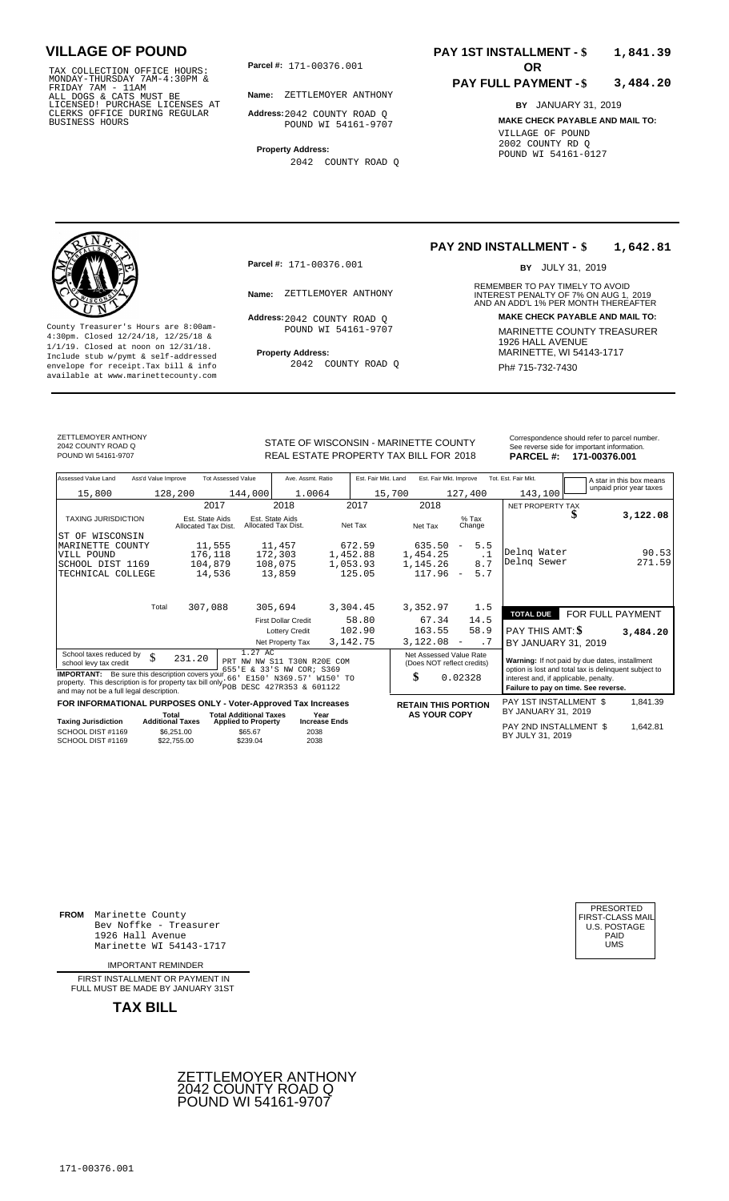TAX COLLECTION OFFICE HOURS:<br>
MONDAY-THURSDAY 7AM-4:30PM &<br>
FRIDAY 7AM - 11AM<br>
ALL DOGS & CATS MUST BE<br>
LICENSED! PURCHASE LICENSES AT<br>
CLERKS OFFICE DURING REGULAR<br>
CLERKS OFFICE DURING REGULAR<br>
BUSINESS HOURS<br>
BUSINESS H

**Parcel #: OR**

**Name:** ZETTLEMOYER ANTHONY

**Address:** 2042 COUNTY ROAD Q POUND WI 54161-9707

**Property Address:** 2042 COUNTY ROAD Q

## **PAY 1ST INSTALLMENT - \$ 1,841.39**

## **PAY FULL PAYMENT - \$ 3,484.20**

**BY** JANUARY 31, 2019 **MAKE CHECK PAYABLE AND MAIL TO:** VILLAGE OF POUND 2002 COUNTY RD Q POUND WI 54161-0127

**Property Address:** MARINETTE, WI 54143-1717 Include stub w/pymt & self-addressed envelope for receipt.Tax bill & info Fig. 2042 COUNTY ROAD Q Fig. 2014 Ph# 715-732-7430 available at www.marinettecounty.com

**Parcel #:** 171-00376.001

Address: 2042 COUNTY ROAD Q POUND WI 54161-9707

2042 COUNTY ROAD Q

## **PAY 2ND INSTALLMENT - \$ 1,642.81**

BY JULY 31, 2019

REMEMBER TO PAY TIMELY TO AVOID **Name:** ZETTLEMOYER ANTHONY **Anne** INTEREST PENALTY OF 7% ON AUG 1, 2019<br>AND AN ADD'L 1% PER MONTH THEREAFTER **Address: MAKE CHECK PAYABLE AND MAIL TO:** County Treasurer's Hours are 8:00am-<br>
4:30pm. Closed 12/24/18, 12/25/18 & MARINETTE COUNTY TREASURER<br>
1/1/19. Closed at noon on 12/31/18.<br>
Include stub w/pwmt & self-addressed **Property Address:** MARINETTE, WI 54143-1717

ZETTLEMOYER ANTHONY 2042 COUNTY ROAD Q

REAL ESTATE PROPERTY TAX BILL FOR **PARCEL #:** POUND WI 54161-9707 2018 **171-00376.001**

| Correspondence should refer to parcel number.                                    |
|----------------------------------------------------------------------------------|
| See reverse side for important information.<br><b>DADAEL #.</b><br>171 00276 001 |

| Assessed Value Land<br>Ass'd Value Improve                                                                                                                                               | <b>Tot Assessed Value</b>                       |                                                                      | Ave. Assmt. Ratio                     | Est. Fair Mkt. Land | Est. Fair Mkt. Improve                                                                                  |                                              | Tot. Est. Fair Mkt.                                                                                                                    |                  | A star in this box means |
|------------------------------------------------------------------------------------------------------------------------------------------------------------------------------------------|-------------------------------------------------|----------------------------------------------------------------------|---------------------------------------|---------------------|---------------------------------------------------------------------------------------------------------|----------------------------------------------|----------------------------------------------------------------------------------------------------------------------------------------|------------------|--------------------------|
| 15,800                                                                                                                                                                                   | 128,200                                         | 144,000                                                              | 1.0064                                | 15,700              |                                                                                                         | 127,400                                      | 143,100                                                                                                                                |                  | unpaid prior year taxes  |
|                                                                                                                                                                                          | 2017                                            | 2018                                                                 | 2017                                  |                     | 2018                                                                                                    |                                              | NET PROPERTY TAX                                                                                                                       |                  |                          |
| <b>TAXING JURISDICTION</b>                                                                                                                                                               | Est. State Aids<br>Allocated Tax Dist.          | Est. State Aids<br>Allocated Tax Dist.                               | Net Tax                               |                     | Net Tax                                                                                                 | $%$ Tax<br>Change                            |                                                                                                                                        |                  | 3,122.08                 |
| ST OF WISCONSIN                                                                                                                                                                          |                                                 |                                                                      |                                       |                     |                                                                                                         |                                              |                                                                                                                                        |                  |                          |
| MARINETTE COUNTY<br>VILL POUND                                                                                                                                                           | 11,555<br>176,118                               | 11,457<br>172,303                                                    | 672.59<br>1,452.88                    |                     | 635.50<br>1,454.25                                                                                      | 5.5<br>$\overline{\phantom{a}}$<br>$\cdot$ 1 | Delng Water                                                                                                                            |                  | 90.53                    |
| SCHOOL DIST 1169                                                                                                                                                                         | 104,879                                         | 108,075                                                              | 1,053.93                              |                     | 1,145.26                                                                                                | 8.7                                          | Delng Sewer                                                                                                                            |                  | 271.59                   |
| TECHNICAL COLLEGE                                                                                                                                                                        | 14,536                                          | 13,859                                                               | 125.05                                |                     | 117.96                                                                                                  | 5.7<br>$\overline{\phantom{a}}$              |                                                                                                                                        |                  |                          |
| Total                                                                                                                                                                                    | 307,088                                         | 305,694                                                              | 3,304.45                              |                     | 3,352.97                                                                                                | 1.5                                          |                                                                                                                                        |                  |                          |
|                                                                                                                                                                                          |                                                 | <b>First Dollar Credit</b>                                           | 58.80                                 |                     | 67.34                                                                                                   | 14.5                                         | <b>TOTAL DUE</b>                                                                                                                       | FOR FULL PAYMENT |                          |
|                                                                                                                                                                                          |                                                 | <b>Lottery Credit</b>                                                | 102.90                                |                     | 163.55                                                                                                  | 58.9                                         | PAY THIS AMT: \$                                                                                                                       |                  | 3,484.20                 |
|                                                                                                                                                                                          |                                                 | Net Property Tax                                                     | 3, 142. 75                            |                     | 3,122.08                                                                                                | .7<br>$\qquad \qquad -$                      | BY JANUARY 31, 2019                                                                                                                    |                  |                          |
| School taxes reduced by<br>\$<br>school levy tax credit                                                                                                                                  | 231.20                                          | 1.27 AC<br>PRT NW NW S11 T30N R20E COM<br>655'E & 33'S NW COR; S369  |                                       |                     | Net Assessed Value Rate<br>Warning: If not paid by due dates, installment<br>(Does NOT reflect credits) |                                              |                                                                                                                                        |                  |                          |
| <b>IMPORTANT:</b> Be sure this description covers your<br>property. This description is for property tax bill only pop DESC 427R353 & 601122<br>and may not be a full legal description. |                                                 | 66'<br>E150' N369.57' W150' TO                                       |                                       |                     | \$                                                                                                      | 0.02328                                      | option is lost and total tax is delinquent subject to<br>interest and, if applicable, penalty.<br>Failure to pay on time. See reverse. |                  |                          |
| FOR INFORMATIONAL PURPOSES ONLY - Voter-Approved Tax Increases                                                                                                                           |                                                 |                                                                      |                                       |                     | <b>RETAIN THIS PORTION</b>                                                                              |                                              | PAY 1ST INSTALLMENT \$<br>BY JANUARY 31, 2019                                                                                          |                  | 1,841.39                 |
| <b>Taxing Jurisdiction</b><br>$0.011001$ DIGT $0.1100$                                                                                                                                   | Total<br><b>Additional Taxes</b><br>$A - A - A$ | <b>Total Additional Taxes</b><br><b>Applied to Property</b><br>0.050 | Year<br><b>Increase Ends</b><br>0.000 |                     | <b>AS YOUR COPY</b>                                                                                     |                                              | PAY 2ND INSTALLMENT \$                                                                                                                 |                  | 1,642.81                 |

BY JULY 31, <sup>2038</sup> <sup>2019</sup> 1,642.81 SCHOOL DIST #1169 SCHOOL DIST #1169 \$6,251.00  $$22,755.00$ **S65.67**  \$239.04 2038

**FROM** Marinette County 1926 Hall Avenue Marinette WI 54143-1717

IMPORTANT REMINDER

FIRST INSTALL MENT OR PAYMENT IN FULL MUST BE MADE BY JANUARY 31ST

**TAX BILL**





Bev Noffke - Treasurer (U.S. POSTAGE)<br>1926 Hall Avenue (U.S. POSTAGE)<br>Marinette WI 54143-1717 (U.S. POSTAGE)

STATE OF WISCONSIN - MARINETTE COUNTY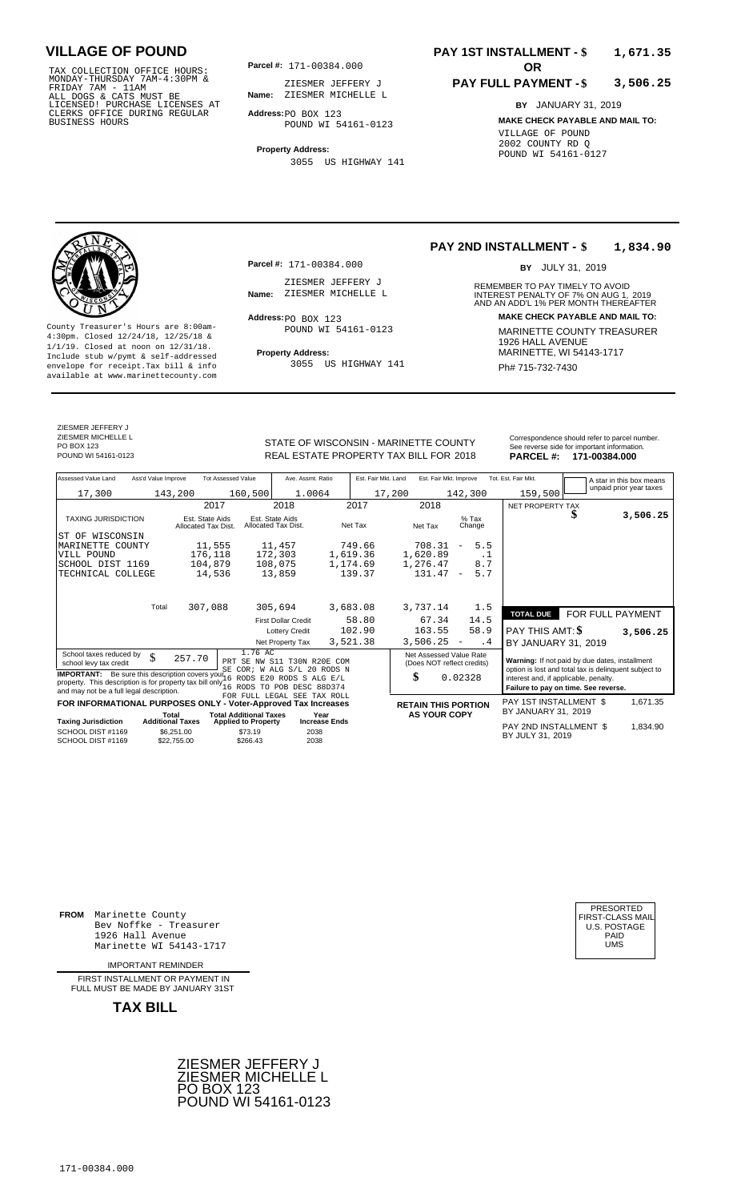TAX COLLECTION OFFICE HOURS:<br>
MONDAY-THURSDAY 7AM-4:30PM & ZIESMER JEFFER<br>
FRIDAY 7AM - 11AM<br>
ALL DOGS & CATS MUST BE **Name**: ZIESMER MICHEL<br>
LICENSED! PURCHASE LICENSES AT<br>
CLERKS OFFICE DURING REGULAR **Address**:po BOX 12

**Parcel #:** 171-00384.000

**Name:** ZIESMER MICHELLE L ZIESMER JEFFERY J

**Address:** PO BOX 123 POUND WI 54161-0123

**Property Address:** 3055 US HIGHWAY 141

## **PAY 1ST INSTALLMENT - \$ 1,671.35**

## **PAY FULL PAYMENT - \$ 3,506.25**

**BY** JANUARY 31, 2019 **MAKE CHECK PAYABLE AND MAIL TO:** VILLAGE OF POUND 2002 COUNTY RD Q POUND WI 54161-0127



**Property Address:** MARINETTE, WI 54143-1717 Include stub w/pymt & self-addressed envelope for receipt.Tax bill & info Ph# 715-732-7430 available at www.marinettecounty.com

**Parcel #:** 171-00384.000

ZIESMER JEFFERY J<br>Name: ZIESMER MICHELLE L

Address: PO BOX 123 POUND WI 54161-0123

3055 US HIGHWAY 141

## **PAY 2ND INSTALLMENT - \$ 1,834.90**

BY JULY 31, 2019

REMEMBER TO PAY TIMELY TO AVOID **Name:** ZIESMER MICHELLE L<br>
AND AN ADD'L 1% PER MONTH THEREAFTER **Address: MAKE CHECK PAYABLE AND MAIL TO:** County Treasurer's Hours are 8:00am-<br>
4:30pm. Closed 12/24/18, 12/25/18 & MARINETTE COUNTY TREASURER<br>
1/1/19. Closed at noon on 12/31/18.<br>
Include stub w/pwmt & self-addressed **Property Address:** MARINETTE, WI 54143-1717

ZIESMER JEFFERY J ZIESMER MICHELLE L PO BOX 123<br>POUND WI 54161-0123

STATE OF WISCONSIN - MARINETTE COUNTY<br>
See reverse side for important information.<br>
REAL ESTATE PROPERTY TAX BILL FOR 2018<br>
PARCEL #: 171-00384.000 REAL ESTATE PROPERTY TAX BILL FOR **PARCEL #:** POUND WI 54161-0123 2018 **171-00384.000**

|        | reverse side for important information. |
|--------|-----------------------------------------|
| RCEL#: | 171-00384.000                           |

| Assessed Value Land                                                                                                                                                                                                                                                                                                            | Ass'd Value Improve     |                                        | <b>Tot Assessed Value</b>                                       | Ave. Assmt. Ratio                      |                      | Est. Fair Mkt. Land |                                                   |                                                                                                                                                                                                                                                                    | Est. Fair Mkt. Improve   |           | Tot. Est. Fair Mkt.                           |         |  | A star in this box means |
|--------------------------------------------------------------------------------------------------------------------------------------------------------------------------------------------------------------------------------------------------------------------------------------------------------------------------------|-------------------------|----------------------------------------|-----------------------------------------------------------------|----------------------------------------|----------------------|---------------------|---------------------------------------------------|--------------------------------------------------------------------------------------------------------------------------------------------------------------------------------------------------------------------------------------------------------------------|--------------------------|-----------|-----------------------------------------------|---------|--|--------------------------|
| 17,300                                                                                                                                                                                                                                                                                                                         |                         | 143,200                                | 160,500                                                         | 1.0064                                 |                      |                     | 17,200                                            |                                                                                                                                                                                                                                                                    | 142,300                  |           |                                               | 159,500 |  | unpaid prior year taxes  |
|                                                                                                                                                                                                                                                                                                                                |                         | 2017                                   |                                                                 | 2018                                   |                      | 2017                | 2018                                              |                                                                                                                                                                                                                                                                    |                          |           | NET PROPERTY TAX                              |         |  |                          |
| <b>TAXING JURISDICTION</b>                                                                                                                                                                                                                                                                                                     |                         | Est. State Aids<br>Allocated Tax Dist. |                                                                 | Est. State Aids<br>Allocated Tax Dist. |                      | Net Tax             | Net Tax                                           |                                                                                                                                                                                                                                                                    | $%$ Tax<br>Change        |           |                                               |         |  | 3,506.25                 |
| WISCONSIN<br>ST OF                                                                                                                                                                                                                                                                                                             |                         |                                        |                                                                 |                                        |                      |                     |                                                   |                                                                                                                                                                                                                                                                    |                          |           |                                               |         |  |                          |
| MARINETTE COUNTY                                                                                                                                                                                                                                                                                                               |                         | 11,555                                 |                                                                 | 11,457                                 |                      | 749.66              | 708.31                                            |                                                                                                                                                                                                                                                                    | $\overline{\phantom{a}}$ | 5.5       |                                               |         |  |                          |
| VILL POUND                                                                                                                                                                                                                                                                                                                     |                         | 176,118                                |                                                                 | 172,303                                | 1,619.36             |                     | 1,620.89                                          |                                                                                                                                                                                                                                                                    |                          | $\cdot$ 1 |                                               |         |  |                          |
| SCHOOL DIST 1169                                                                                                                                                                                                                                                                                                               |                         | 104,879                                |                                                                 | 108,075                                | 1,174.69             |                     | 1,276.47                                          |                                                                                                                                                                                                                                                                    |                          | 8.7       |                                               |         |  |                          |
| TECHNICAL COLLEGE                                                                                                                                                                                                                                                                                                              |                         | 14,536                                 |                                                                 | 13,859                                 |                      | 139.37              | 131.47                                            |                                                                                                                                                                                                                                                                    | $\overline{\phantom{a}}$ | 5.7       |                                               |         |  |                          |
|                                                                                                                                                                                                                                                                                                                                | Total                   | 307,088                                |                                                                 | 305,694                                | 3,683.08             |                     | 3,737.14                                          |                                                                                                                                                                                                                                                                    |                          | 1.5       |                                               |         |  |                          |
|                                                                                                                                                                                                                                                                                                                                |                         |                                        |                                                                 |                                        |                      |                     |                                                   |                                                                                                                                                                                                                                                                    |                          |           | <b>TOTAL DUE</b>                              |         |  | FOR FULL PAYMENT         |
|                                                                                                                                                                                                                                                                                                                                |                         |                                        |                                                                 | <b>First Dollar Credit</b>             |                      | 58.80               |                                                   | 67.34                                                                                                                                                                                                                                                              |                          | 14.5      |                                               |         |  |                          |
|                                                                                                                                                                                                                                                                                                                                |                         |                                        |                                                                 | <b>Lottery Credit</b>                  |                      | 102.90              | 163.55                                            |                                                                                                                                                                                                                                                                    |                          | 58.9      | PAY THIS AMT: \$                              |         |  | 3,506.25                 |
|                                                                                                                                                                                                                                                                                                                                |                         |                                        |                                                                 | Net Property Tax                       | 3,521.38             |                     | 3,506.25                                          |                                                                                                                                                                                                                                                                    | $\overline{\phantom{a}}$ | . 4       | BY JANUARY 31, 2019                           |         |  |                          |
| 1.76 AC<br>School taxes reduced by<br>\$<br>257.70<br>PRT SE NW S11 T30N R20E COM<br>school levy tax credit<br>SE COR; W ALG S/L 20 RODS N<br><b>IMPORTANT:</b> Be sure this description covers your 16 RODS E20 RODS S<br>$AT.G$ $E/T$<br>property. This description is for property tax bill only 16 RODS TO POB DESC 88D374 |                         |                                        |                                                                 |                                        |                      |                     |                                                   | Net Assessed Value Rate<br>Warning: If not paid by due dates, installment<br>(Does NOT reflect credits)<br>option is lost and total tax is delinquent subject to<br>\$<br>0.02328<br>interest and, if applicable, penalty.<br>Failure to pay on time. See reverse. |                          |           |                                               |         |  |                          |
| and may not be a full legal description.                                                                                                                                                                                                                                                                                       |                         |                                        | FOR FULL LEGAL SEE TAX ROLL                                     |                                        |                      |                     |                                                   |                                                                                                                                                                                                                                                                    |                          |           |                                               |         |  |                          |
| <b>FOR INFORMATIONAL PURPOSES ONLY</b>                                                                                                                                                                                                                                                                                         | Total                   |                                        | - Voter-Approved Tax Increases<br><b>Total Additional Taxes</b> |                                        | Year                 |                     | <b>RETAIN THIS PORTION</b><br><b>AS YOUR COPY</b> |                                                                                                                                                                                                                                                                    |                          |           | PAY 1ST INSTALLMENT \$<br>BY JANUARY 31, 2019 |         |  | 1,671.35                 |
| <b>Taxing Jurisdiction</b>                                                                                                                                                                                                                                                                                                     | <b>Additional Taxes</b> |                                        | <b>Applied to Property</b>                                      |                                        | <b>Increase Ends</b> |                     |                                                   |                                                                                                                                                                                                                                                                    |                          |           |                                               |         |  |                          |
| SCHOOL DIST #1169<br>SCHOOL DIST #1169                                                                                                                                                                                                                                                                                         |                         | \$6,251.00<br>\$22.755.00              | \$73.19<br>\$266.43                                             | 2038<br>2038                           |                      |                     |                                                   |                                                                                                                                                                                                                                                                    |                          |           | PAY 2ND INSTALLMENT \$<br>BY JULY 31, 2019    |         |  | 1,834.90                 |

**FROM** Marinette County Bev Noffke - Treasurer (U.S. POSTAGE)<br>1926 Hall Avenue (U.S. POSTAGE)<br>Marinette WI 54143-1717 (U.S. POSTAGE) 1926 Hall Avenue PAID Marinette WI 54143-1717 UMS

IMPORTANT REMINDER

FIRST INSTALLMENT OR PAYMENT IN FULL MUST BE MADE BY JANUARY 31ST